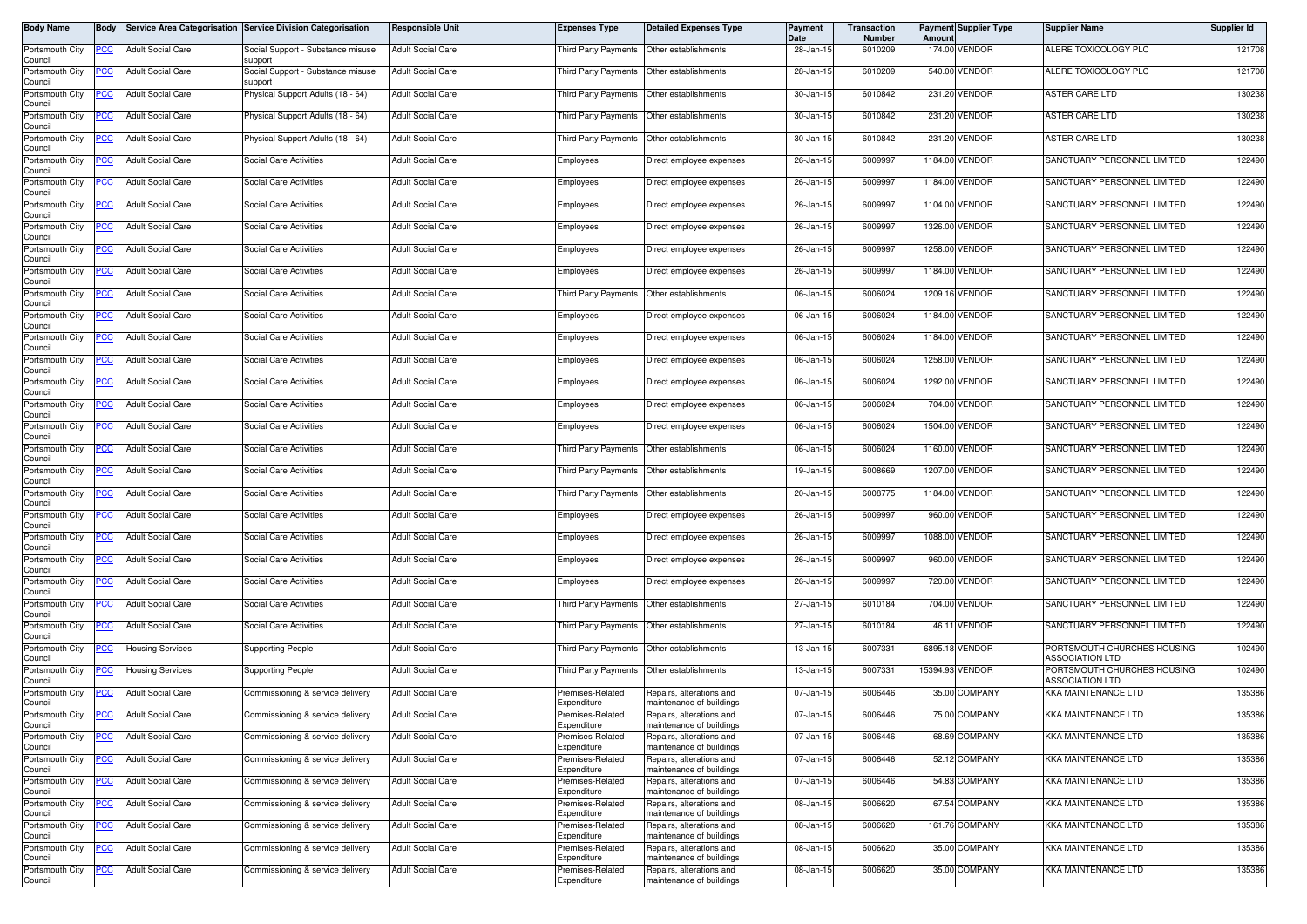| Body Name                             | <b>Body</b> |                          | Service Area Categorisation Service Division Categorisation | <b>Responsible Unit</b>  | <b>Expenses Type</b>                      | <b>Detailed Expenses Type</b>                        | Payment<br>Date | Transaction<br>Number | Amount | <b>Payment Supplier Type</b> | <b>Supplier Name</b>                                  | Supplier Id |
|---------------------------------------|-------------|--------------------------|-------------------------------------------------------------|--------------------------|-------------------------------------------|------------------------------------------------------|-----------------|-----------------------|--------|------------------------------|-------------------------------------------------------|-------------|
| Portsmouth City<br>Council            | PCC         | <b>Adult Social Care</b> | Social Support - Substance misuse<br>support                | <b>Adult Social Care</b> | <b>Third Party Payments</b>               | Other establishments                                 | 28-Jan-15       | 6010209               |        | 174.00 VENDOR                | ALERE TOXICOLOGY PLC                                  | 121708      |
| Portsmouth City<br>Council            | ပင          | <b>Adult Social Care</b> | Social Support - Substance misuse<br>upport                 | <b>Adult Social Care</b> |                                           | Third Party Payments Other establishments            | 28-Jan-15       | 6010209               |        | 540.00 VENDOR                | ALERE TOXICOLOGY PLC                                  | 121708      |
| Portsmouth City<br>Council            | <u>CC </u>  | <b>Adult Social Care</b> | <sup>9</sup> hysical Support Adults (18 - 64)               | <b>Adult Social Care</b> | Third Party Payments                      | Other establishments                                 | 30-Jan-15       | 6010842               |        | 231.20 VENDOR                | ASTER CARE LTD                                        | 130238      |
| Portsmouth City<br>Council            | <u>CC</u>   | <b>Adult Social Care</b> | Physical Support Adults (18 - 64)                           | <b>Adult Social Care</b> | Third Party Payments                      | Other establishments                                 | 30-Jan-15       | 6010842               |        | 231.20 VENDOR                | ASTER CARE LTD                                        | 130238      |
| Portsmouth City<br>Council            | PCC         | <b>Adult Social Care</b> | Physical Support Adults (18 - 64)                           | <b>Adult Social Care</b> | <b>Third Party Payments</b>               | Other establishments                                 | 30-Jan-15       | 6010842               |        | 231.20 VENDOR                | <b>ASTER CARE LTD</b>                                 | 130238      |
| Portsmouth City                       |             | <b>Adult Social Care</b> | Social Care Activities                                      | <b>Adult Social Care</b> | Employees                                 | Direct employee expenses                             | 26-Jan-15       | 6009997               |        | 1184.00 VENDOR               | SANCTUARY PERSONNEL LIMITED                           | 122490      |
| Council<br>Portsmouth City            | <u>PCC</u>  | <b>Adult Social Care</b> | Social Care Activities                                      | <b>Adult Social Care</b> | Employees                                 | Direct employee expenses                             | 26-Jan-15       | 6009997               |        | 1184.00 VENDOR               | SANCTUARY PERSONNEL LIMITED                           | 122490      |
| Council<br>Portsmouth City            | <u>PCC</u>  | <b>Adult Social Care</b> | Social Care Activities                                      | <b>Adult Social Care</b> | Employees                                 | Direct employee expenses                             | 26-Jan-15       | 6009997               |        | 1104.00 VENDOR               | SANCTUARY PERSONNEL LIMITED                           | 122490      |
| Council<br>Portsmouth City            | PCC         | <b>Adult Social Care</b> | Social Care Activities                                      | <b>Adult Social Care</b> | Employees                                 | Direct employee expenses                             | 26-Jan-15       | 6009997               |        | 1326.00 VENDOR               | SANCTUARY PERSONNEL LIMITED                           | 122490      |
| Council<br>Portsmouth City            | PСC         | <b>Adult Social Care</b> | Social Care Activities                                      | <b>Adult Social Care</b> | Employees                                 | Direct employee expenses                             | 26-Jan-15       | 6009997               |        | 1258.00 VENDOR               | SANCTUARY PERSONNEL LIMITED                           | 122490      |
| Council<br>Portsmouth City            | <u>PCC</u>  | <b>Adult Social Care</b> | Social Care Activities                                      | <b>Adult Social Care</b> | Employees                                 | Direct employee expenses                             | 26-Jan-15       | 6009997               |        | 1184.00 VENDOR               | SANCTUARY PERSONNEL LIMITED                           | 122490      |
| Council<br>Portsmouth City            | <u>PCC </u> | <b>Adult Social Care</b> | Social Care Activities                                      | <b>Adult Social Care</b> | Third Party Payments                      | Other establishments                                 | 06-Jan-15       | 6006024               |        | 1209.16 VENDOR               | SANCTUARY PERSONNEL LIMITED                           | 122490      |
| Council<br>Portsmouth City<br>Council | PСC         | <b>Adult Social Care</b> | <b>Social Care Activities</b>                               | <b>Adult Social Care</b> | Employees                                 | Direct employee expenses                             | 06-Jan-15       | 6006024               |        | 1184.00 VENDOR               | SANCTUARY PERSONNEL LIMITED                           | 122490      |
| Portsmouth City<br>Council            | PСC         | <b>Adult Social Care</b> | Social Care Activities                                      | <b>Adult Social Care</b> | Employees                                 | Direct employee expenses                             | 06-Jan-15       | 6006024               |        | 1184.00 VENDOR               | SANCTUARY PERSONNEL LIMITED                           | 122490      |
| Portsmouth City                       | <u>PCC</u>  | <b>Adult Social Care</b> | Social Care Activities                                      | <b>Adult Social Care</b> | Employees                                 | Direct employee expenses                             | 06-Jan-15       | 6006024               |        | 1258.00 VENDOR               | SANCTUARY PERSONNEL LIMITED                           | 122490      |
| Council<br>Portsmouth City<br>Council | <u>PCC</u>  | <b>Adult Social Care</b> | Social Care Activities                                      | <b>Adult Social Care</b> | Employees                                 | Direct employee expenses                             | 06-Jan-15       | 6006024               |        | 1292.00 VENDOR               | SANCTUARY PERSONNEL LIMITED                           | 122490      |
| Portsmouth City<br>Council            |             | <b>Adult Social Care</b> | <b>Social Care Activities</b>                               | <b>Adult Social Care</b> | Employees                                 | Direct employee expenses                             | 06-Jan-15       | 6006024               |        | 704.00 VENDOR                | SANCTUARY PERSONNEL LIMITED                           | 122490      |
| Portsmouth City<br>Council            | PCC         | <b>Adult Social Care</b> | <b>Social Care Activities</b>                               | <b>Adult Social Care</b> | Employees                                 | Direct employee expenses                             | 06-Jan-15       | 6006024               |        | 1504.00 VENDOR               | SANCTUARY PERSONNEL LIMITED                           | 122490      |
| Portsmouth City<br>Council            | <u>cc</u>   | <b>Adult Social Care</b> | <b>Social Care Activities</b>                               | <b>Adult Social Care</b> | <b>Third Party Payments</b>               | Other establishments                                 | 06-Jan-15       | 6006024               |        | 1160.00 VENDOR               | SANCTUARY PERSONNEL LIMITED                           | 122490      |
| Portsmouth City<br>Council            | PСC         | <b>Adult Social Care</b> | Social Care Activities                                      | <b>Adult Social Care</b> | Third Party Payments                      | Other establishments                                 | 19-Jan-15       | 6008669               |        | 1207.00 VENDOR               | SANCTUARY PERSONNEL LIMITED                           | 122490      |
| Portsmouth City<br>Council            | <u>PCC</u>  | <b>Adult Social Care</b> | <b>Social Care Activities</b>                               | <b>Adult Social Care</b> | Third Party Payments                      | Other establishments                                 | 20-Jan-15       | 6008775               |        | 1184.00 VENDOR               | SANCTUARY PERSONNEL LIMITED                           | 122490      |
| Portsmouth City<br>Council            | PСC         | <b>Adult Social Care</b> | Social Care Activities                                      | <b>Adult Social Care</b> | Employees                                 | Direct employee expenses                             | 26-Jan-15       | 6009997               | 960.00 | VENDOR                       | SANCTUARY PERSONNEL LIMITED                           | 122490      |
| Portsmouth City<br>Council            | сc          | <b>Adult Social Care</b> | Social Care Activities                                      | <b>Adult Social Care</b> | Employees                                 | Direct employee expenses                             | 26-Jan-15       | 6009997               |        | 1088.00 VENDOR               | SANCTUARY PERSONNEL LIMITED                           | 122490      |
| Portsmouth City<br>Council            | PCC         | <b>Adult Social Care</b> | Social Care Activities                                      | <b>Adult Social Care</b> | <b>Employees</b>                          | Direct employee expenses                             | 26-Jan-15       | 6009997               |        | 960.00 VENDOR                | SANCTUARY PERSONNEL LIMITED                           | 122490      |
| Portsmouth City<br>Council            | PCC         | <b>Adult Social Care</b> | Social Care Activities                                      | <b>Adult Social Care</b> | Employees                                 | Direct employee expenses                             | 26-Jan-15       | 6009997               |        | 720.00 VENDOR                | SANCTUARY PERSONNEL LIMITED                           | 122490      |
| Portsmouth City<br>Council            | PCC         | <b>Adult Social Care</b> | Social Care Activities                                      | <b>Adult Social Care</b> | Third Party Payments Other establishments |                                                      | 27-Jan-15       | 6010184               |        | 704.00 VENDOR                | SANCTUARY PERSONNEL LIMITED                           | 122490      |
| Portsmouth City<br>Council            | PCC         | <b>Adult Social Care</b> | Social Care Activities                                      | <b>Adult Social Care</b> | Third Party Payments                      | Other establishments                                 | 27-Jan-15       | 6010184               |        | 46.11 VENDOR                 | SANCTUARY PERSONNEL LIMITED                           | 122490      |
| Portsmouth City<br>Council            | <u>PCC</u>  | <b>Housing Services</b>  | <b>Supporting People</b>                                    | <b>Adult Social Care</b> | Third Party Payments                      | Other establishments                                 | 13-Jan-15       | 6007331               |        | 6895.18 VENDOR               | PORTSMOUTH CHURCHES HOUSING<br>ASSOCIATION LTD        | 102490      |
| Portsmouth City<br>Council            | <u>'CC</u>  | <b>Housing Services</b>  | Supporting People                                           | <b>Adult Social Care</b> | <b>Third Party Payments</b>               | Other establishments                                 | 13-Jan-15       | 6007331               |        | 15394.93 VENDOR              | PORTSMOUTH CHURCHES HOUSING<br><b>ASSOCIATION LTD</b> | 102490      |
| Portsmouth City<br>Council            | <b>PCC</b>  | <b>Adult Social Care</b> | Commissioning & service delivery                            | <b>Adult Social Care</b> | Premises-Related<br>Expenditure           | Repairs, alterations and<br>naintenance of buildings | 07-Jan-15       | 6006446               |        | 35.00 COMPANY                | <b>KKA MAINTENANCE LTD</b>                            | 135386      |
| Portsmouth City<br>Council            | <b>PCC</b>  | <b>Adult Social Care</b> | Commissioning & service delivery                            | <b>Adult Social Care</b> | Premises-Related<br>Expenditure           | Repairs, alterations and<br>maintenance of buildings | 07-Jan-15       | 6006446               |        | 75.00 COMPANY                | <b>KKA MAINTENANCE LTD</b>                            | 135386      |
| Portsmouth City<br>Council            | <u>PCC</u>  | <b>Adult Social Care</b> | Commissioning & service delivery                            | <b>Adult Social Care</b> | Premises-Related<br>Expenditure           | Repairs, alterations and<br>maintenance of buildings | 07-Jan-15       | 6006446               |        | 68.69 COMPANY                | KKA MAINTENANCE LTD                                   | 135386      |
| Portsmouth City<br>Council            | <u>PCC</u>  | <b>Adult Social Care</b> | Commissioning & service delivery                            | <b>Adult Social Care</b> | Premises-Related<br>Expenditure           | Repairs, alterations and<br>naintenance of buildings | 07-Jan-15       | 6006446               |        | 52.12 COMPANY                | KKA MAINTENANCE LTD                                   | 135386      |
| Portsmouth City<br>Council            | <u>PCC</u>  | <b>Adult Social Care</b> | Commissioning & service delivery                            | <b>Adult Social Care</b> | Premises-Related<br>Expenditure           | Repairs, alterations and<br>maintenance of buildings | 07-Jan-15       | 6006446               |        | 54.83 COMPANY                | KKA MAINTENANCE LTD                                   | 135386      |
| Portsmouth City<br>Council            | PCC         | <b>Adult Social Care</b> | Commissioning & service delivery                            | <b>Adult Social Care</b> | Premises-Related<br>Expenditure           | Repairs, alterations and<br>maintenance of buildings | 08-Jan-15       | 6006620               |        | 67.54 COMPANY                | KKA MAINTENANCE LTD                                   | 135386      |
| Portsmouth City<br>Council            | <u>CC </u>  | <b>Adult Social Care</b> | Commissioning & service delivery                            | <b>Adult Social Care</b> | Premises-Related<br>Expenditure           | Repairs, alterations and<br>maintenance of buildings | 08-Jan-15       | 6006620               |        | 161.76 COMPANY               | KKA MAINTENANCE LTD                                   | 135386      |
| Portsmouth City<br>Council            | <u>PCC</u>  | <b>Adult Social Care</b> | Commissioning & service delivery                            | <b>Adult Social Care</b> | Premises-Related<br>Expenditure           | Repairs, alterations and<br>maintenance of buildings | 08-Jan-15       | 6006620               |        | 35.00 COMPANY                | <b>KKA MAINTENANCE LTD</b>                            | 135386      |
| Portsmouth City<br>Council            | <u>PCC</u>  | <b>Adult Social Care</b> | Commissioning & service delivery                            | <b>Adult Social Care</b> | Premises-Related<br>Expenditure           | Repairs, alterations and<br>maintenance of buildings | 08-Jan-15       | 6006620               |        | 35.00 COMPANY                | KKA MAINTENANCE LTD                                   | 135386      |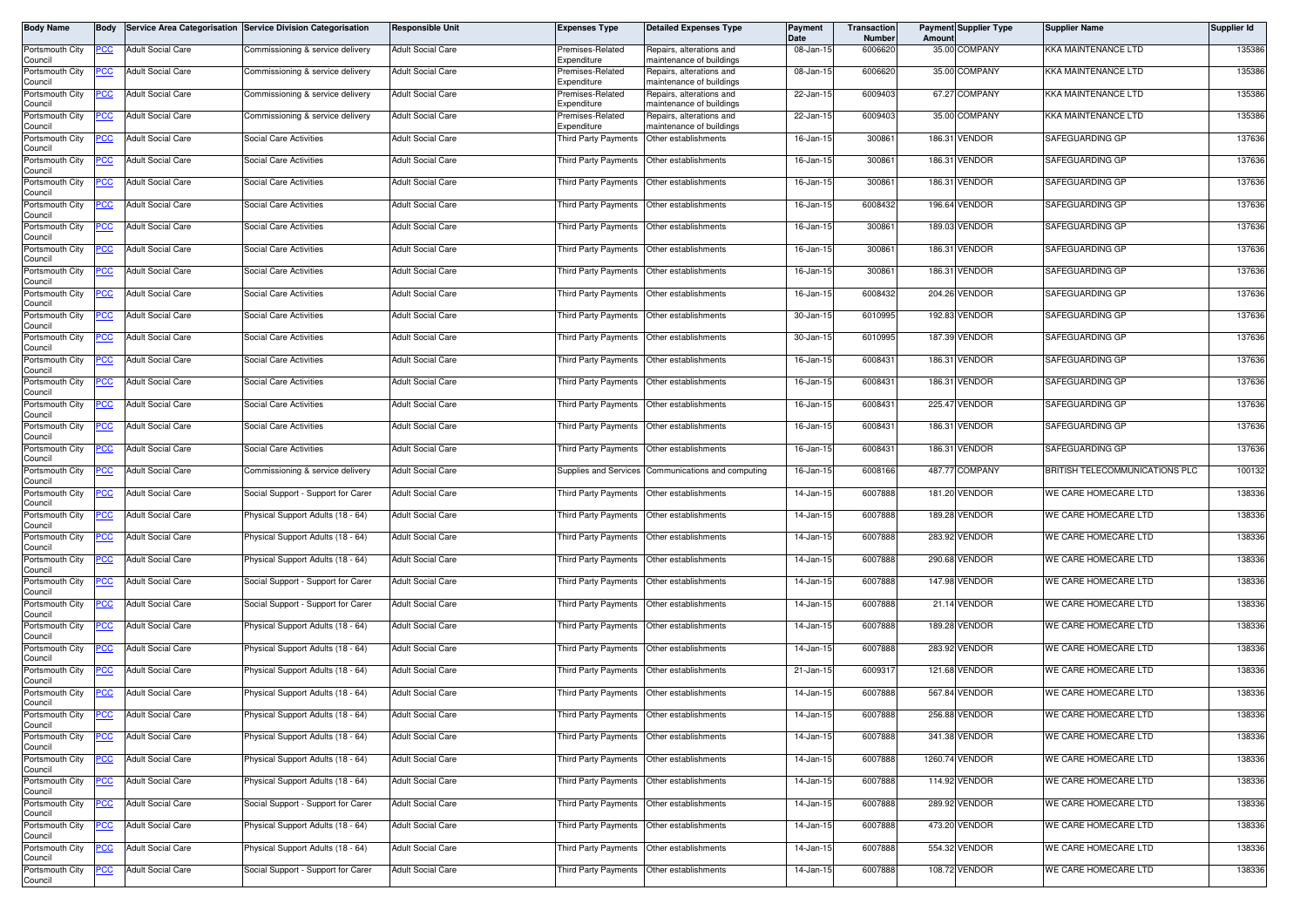| <b>Body Name</b>           | <b>Body</b> |                          | Service Area Categorisation Service Division Categorisation | <b>Responsible Unit</b>  | <b>Expenses Type</b>                        | <b>Detailed Expenses Type</b>                        | <b>Payment</b><br>Date | Transaction<br>Number | Amount | <b>Payment Supplier Type</b> | <b>Supplier Name</b>           | Supplier Id |
|----------------------------|-------------|--------------------------|-------------------------------------------------------------|--------------------------|---------------------------------------------|------------------------------------------------------|------------------------|-----------------------|--------|------------------------------|--------------------------------|-------------|
| Portsmouth City<br>Council | PCC         | <b>Adult Social Care</b> | Commissioning & service delivery                            | <b>Adult Social Care</b> | Premises-Related<br>Expenditure             | Repairs, alterations and<br>naintenance of buildings | 08-Jan-15              | 6006620               |        | 35.00 COMPANY                | KKA MAINTENANCE LTD            | 135386      |
| Portsmouth City<br>Council | PСC         | <b>Adult Social Care</b> | Commissioning & service delivery                            | <b>Adult Social Care</b> | Premises-Related<br>Expenditure             | Repairs, alterations and<br>naintenance of buildings | 08-Jan-15              | 6006620               |        | 35.00 COMPANY                | KKA MAINTENANCE LTD            | 135386      |
| Portsmouth City<br>Council | <u>CC </u>  | <b>Adult Social Care</b> | Commissioning & service delivery                            | <b>Adult Social Care</b> | Premises-Related<br>Expenditure             | Repairs, alterations and<br>maintenance of buildings | 22-Jan-15              | 6009403               |        | 67.27 COMPANY                | KKA MAINTENANCE LTD            | 135386      |
| Portsmouth City<br>Council | <u>PCC</u>  | <b>Adult Social Care</b> | Commissioning & service delivery                            | <b>Adult Social Care</b> | Premises-Related<br>Expenditure             | Repairs, alterations and<br>naintenance of buildings | 22-Jan-15              | 6009403               |        | 35.00 COMPANY                | <b>KKA MAINTENANCE LTD</b>     | 135386      |
| Portsmouth City<br>Council | <u>CC</u>   | <b>Adult Social Care</b> | Social Care Activities                                      | <b>Adult Social Care</b> | <b>Third Party Payments</b>                 | Other establishments                                 | 16-Jan-15              | 300861                |        | 186.31 VENDOR                | SAFEGUARDING GP                | 137636      |
| Portsmouth City<br>Council | PCC         | <b>Adult Social Care</b> | <b>Social Care Activities</b>                               | <b>Adult Social Care</b> | Third Party Payments                        | Other establishments                                 | 16-Jan-15              | 300861                |        | 186.31 VENDOR                | SAFEGUARDING GP                | 137636      |
| Portsmouth City<br>Council | <u>CC</u>   | <b>Adult Social Care</b> | Social Care Activities                                      | <b>Adult Social Care</b> | Third Party Payments                        | Other establishments                                 | 16-Jan-15              | 300861                |        | 186.31 VENDOR                | SAFEGUARDING GP                | 137636      |
| Portsmouth City<br>Council | <u>'CC</u>  | <b>Adult Social Care</b> | Social Care Activities                                      | <b>Adult Social Care</b> | <b>Third Party Payments</b>                 | Other establishments                                 | 16-Jan-15              | 6008432               |        | 196.64 VENDOR                | SAFEGUARDING GP                | 137636      |
| Portsmouth City<br>Council |             | <b>Adult Social Care</b> | Social Care Activities                                      | <b>Adult Social Care</b> | <b>Third Party Payments</b>                 | Other establishments                                 | 16-Jan-15              | 300861                |        | 189.03 VENDOR                | SAFEGUARDING GP                | 137636      |
| Portsmouth City<br>Council | PCC         | <b>Adult Social Care</b> | Social Care Activities                                      | <b>Adult Social Care</b> | Third Party Payments                        | Other establishments                                 | 16-Jan-15              | 300861                |        | 186.31 VENDOR                | SAFEGUARDING GP                | 137636      |
| Portsmouth City<br>Council | сC          | <b>Adult Social Care</b> | Social Care Activities                                      | <b>Adult Social Care</b> | <b>Third Party Payments</b>                 | Other establishments                                 | 16-Jan-15              | 300861                |        | 186.31 VENDOR                | SAFEGUARDING GP                | 137636      |
| Portsmouth City<br>Council | PCC         | <b>Adult Social Care</b> | Social Care Activities                                      | <b>Adult Social Care</b> | Third Party Payments                        | Other establishments                                 | 16-Jan-15              | 6008432               |        | 204.26 VENDOR                | SAFEGUARDING GP                | 137636      |
| Portsmouth City<br>Council | <u>PCC</u>  | <b>Adult Social Care</b> | <b>Social Care Activities</b>                               | <b>Adult Social Care</b> | Third Party Payments                        | Other establishments                                 | 30-Jan-15              | 6010995               |        | 192.83 VENDOR                | SAFEGUARDING GP                | 137636      |
| Portsmouth City<br>Council | PCC         | <b>Adult Social Care</b> | Social Care Activities                                      | <b>Adult Social Care</b> | Third Party Payments                        | Other establishments                                 | 30-Jan-15              | 6010995               |        | 187.39 VENDOR                | SAFEGUARDING GP                | 137636      |
| Portsmouth City<br>Council | PCC         | <b>Adult Social Care</b> | Social Care Activities                                      | <b>Adult Social Care</b> | Third Party Payments                        | Other establishments                                 | 16-Jan-15              | 6008431               |        | 186.31 VENDOR                | SAFEGUARDING GP                | 137636      |
| Portsmouth City<br>Council | <u>PCC</u>  | <b>Adult Social Care</b> | <b>Social Care Activities</b>                               | <b>Adult Social Care</b> | Third Party Payments                        | Other establishments                                 | 16-Jan-15              | 6008431               |        | 186.31 VENDOR                | SAFEGUARDING GP                | 137636      |
| Portsmouth City<br>Council | <u>PCC</u>  | <b>Adult Social Care</b> | Social Care Activities                                      | <b>Adult Social Care</b> | Third Party Payments                        | Other establishments                                 | 16-Jan-15              | 6008431               |        | 225.47 VENDOR                | SAFEGUARDING GP                | 137636      |
| Portsmouth City<br>Council | <u>PCC</u>  | <b>Adult Social Care</b> | <b>Social Care Activities</b>                               | <b>Adult Social Care</b> | <b>Third Party Payments</b>                 | Other establishments                                 | 16-Jan-15              | 6008431               |        | 186.31 VENDOR                | SAFEGUARDING GP                | 137636      |
| Portsmouth City<br>Council | <u>PCC</u>  | <b>Adult Social Care</b> | Social Care Activities                                      | <b>Adult Social Care</b> | Third Party Payments                        | Other establishments                                 | 16-Jan-15              | 6008431               |        | 186.31 VENDOR                | SAFEGUARDING GP                | 137636      |
| Portsmouth City<br>Council | <u>PCC</u>  | <b>Adult Social Care</b> | Commissioning & service delivery                            | <b>Adult Social Care</b> |                                             | Supplies and Services Communications and computing   | 16-Jan-15              | 6008166               |        | 487.77 COMPANY               | BRITISH TELECOMMUNICATIONS PLC | 100132      |
| Portsmouth City<br>Council | <u>PCC</u>  | <b>Adult Social Care</b> | Social Support - Support for Carer                          | <b>Adult Social Care</b> | Third Party Payments                        | Other establishments                                 | 14-Jan-15              | 6007888               |        | 181.20 VENDOR                | WE CARE HOMECARE LTD           | 138336      |
| Portsmouth City<br>Council | <u>PCC</u>  | <b>Adult Social Care</b> | Physical Support Adults (18 - 64)                           | <b>Adult Social Care</b> | Third Party Payments                        | Other establishments                                 | 14-Jan-15              | 6007888               |        | 189.28 VENDOR                | WE CARE HOMECARE LTD           | 138336      |
| Portsmouth City<br>Council | PСC         | <b>Adult Social Care</b> | Physical Support Adults (18 - 64)                           | <b>Adult Social Care</b> | Third Party Payments                        | Other establishments                                 | 14-Jan-15              | 6007888               |        | 283.92 VENDOR                | WE CARE HOMECARE LTD           | 138336      |
| Portsmouth City<br>Council |             | <b>Adult Social Care</b> | hysical Support Adults (18 - 64)                            | <b>Adult Social Care</b> | Third Party Payments                        | Other establishments                                 | 14-Jan-15              | 6007888               |        | 290.68 VENDOR                | WE CARE HOMECARE LTD           | 138336      |
| Portsmouth City<br>Council | <u>PCC</u>  | <b>Adult Social Care</b> | Social Support - Support for Carer                          | <b>Adult Social Care</b> | Third Party Payments                        | Other establishments                                 | 14-Jan-15              | 6007888               |        | 147.98 VENDOR                | WE CARE HOMECARE LTD           | 138336      |
| Portsmouth City<br>Council | <u>PCC</u>  | <b>Adult Social Care</b> | Social Support - Support for Carer                          | <b>Adult Social Care</b> | Third Party Payments                        | Other establishments                                 | 14-Jan-15              | 6007888               |        | 21.14 VENDOR                 | WE CARE HOMECARE LTD           | 138336      |
| Portsmouth City<br>Council | <u>PCC</u>  | <b>Adult Social Care</b> | Physical Support Adults (18 - 64)                           | <b>Adult Social Care</b> | Third Party Payments                        | Other establishments                                 | 14-Jan-15              | 6007888               |        | 189.28 VENDOR                | WE CARE HOMECARE LTD           | 138336      |
| Portsmouth City<br>Council | <u>'CC</u>  | <b>Adult Social Care</b> | Physical Support Adults (18 - 64)                           | <b>Adult Social Care</b> | Third Party Payments                        | Other establishments                                 | 14-Jan-15              | 6007888               |        | 283.92 VENDOR                | WE CARE HOMECARE LTD           | 138336      |
| Portsmouth City<br>Council | <u>PCC</u>  | <b>Adult Social Care</b> | Physical Support Adults (18 - 64)                           | <b>Adult Social Care</b> | Third Party Payments                        | Other establishments                                 | 21-Jan-15              | 600931                |        | 121.68 VENDOR                | WE CARE HOMECARE LTD           | 138336      |
| Portsmouth City<br>Council | <u>PCC</u>  | <b>Adult Social Care</b> | Physical Support Adults (18 - 64)                           | <b>Adult Social Care</b> | Third Party Payments                        | Other establishments                                 | 14-Jan-15              | 6007888               |        | 567.84 VENDOR                | WE CARE HOMECARE LTD           | 138336      |
| Portsmouth City<br>Council | <b>PCC</b>  | <b>Adult Social Care</b> | Physical Support Adults (18 - 64)                           | <b>Adult Social Care</b> | Third Party Payments   Other establishments |                                                      | 14-Jan-15              | 6007888               |        | 256.88 VENDOR                | WE CARE HOMECARE LTD           | 138336      |
| Portsmouth City<br>Council | <u>PCC </u> | <b>Adult Social Care</b> | Physical Support Adults (18 - 64)                           | <b>Adult Social Care</b> | Third Party Payments                        | Other establishments                                 | 14-Jan-15              | 6007888               |        | 341.38 VENDOR                | WE CARE HOMECARE LTD           | 138336      |
| Portsmouth City<br>Council | <u>PCC</u>  | <b>Adult Social Care</b> | Physical Support Adults (18 - 64)                           | <b>Adult Social Care</b> |                                             | Third Party Payments Other establishments            | 14-Jan-15              | 6007888               |        | 1260.74 VENDOR               | WE CARE HOMECARE LTD           | 138336      |
| Portsmouth City<br>Council | cc          | <b>Adult Social Care</b> | Physical Support Adults (18 - 64)                           | <b>Adult Social Care</b> | <b>Third Party Payments</b>                 | Other establishments                                 | 14-Jan-15              | 6007888               |        | 114.92 VENDOR                | WE CARE HOMECARE LTD           | 138336      |
| Portsmouth City<br>Council | <u>PCC</u>  | <b>Adult Social Care</b> | Social Support - Support for Carer                          | <b>Adult Social Care</b> | Third Party Payments                        | Other establishments                                 | 14-Jan-15              | 6007888               |        | 289.92 VENDOR                | WE CARE HOMECARE LTD           | 138336      |
| Portsmouth City<br>Council | ပင          | <b>Adult Social Care</b> | Physical Support Adults (18 - 64)                           | <b>Adult Social Care</b> |                                             | Third Party Payments Other establishments            | 14-Jan-15              | 6007888               |        | 473.20 VENDOR                | WE CARE HOMECARE LTD           | 138336      |
| Portsmouth City<br>Council |             | <b>Adult Social Care</b> | Physical Support Adults (18 - 64)                           | <b>Adult Social Care</b> |                                             | Third Party Payments Other establishments            | 14-Jan-15              | 6007888               |        | 554.32 VENDOR                | WE CARE HOMECARE LTD           | 138336      |
| Portsmouth City<br>Council | <u>CC </u>  | <b>Adult Social Care</b> | Social Support - Support for Carer                          | <b>Adult Social Care</b> | Third Party Payments                        | Other establishments                                 | 14-Jan-15              | 6007888               |        | 108.72 VENDOR                | WE CARE HOMECARE LTD           | 138336      |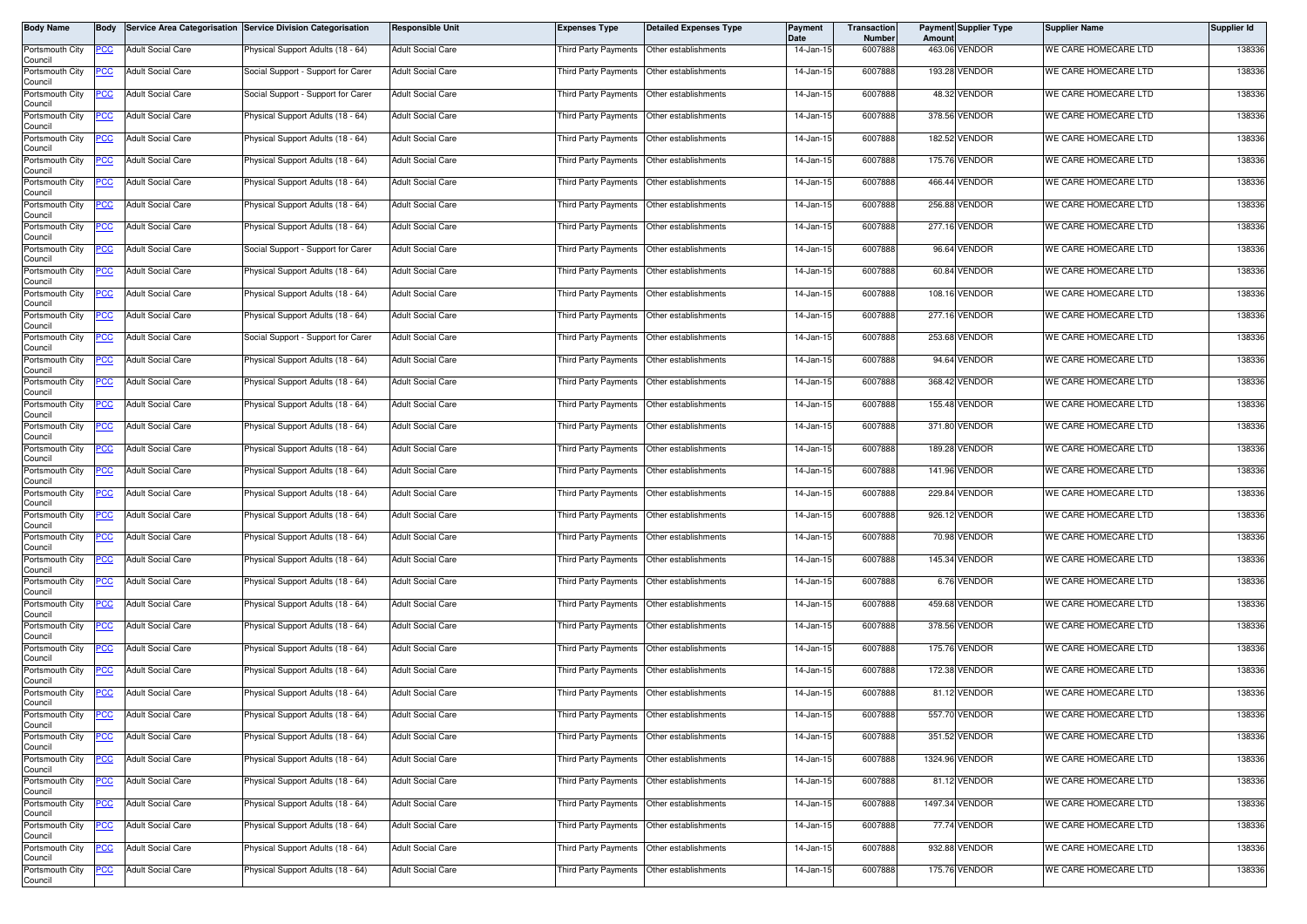| Body Name                  | <b>Body</b> |                          | Service Area Categorisation Service Division Categorisation | <b>Responsible Unit</b>  | <b>Expenses Type</b>                        | <b>Detailed Expenses Type</b> | Payment<br>Date | Transaction<br><b>Number</b> | Amoun | <b>Payment Supplier Type</b> | <b>Supplier Name</b> | Supplier Id |
|----------------------------|-------------|--------------------------|-------------------------------------------------------------|--------------------------|---------------------------------------------|-------------------------------|-----------------|------------------------------|-------|------------------------------|----------------------|-------------|
| Portsmouth City<br>Council | PCC         | <b>Adult Social Care</b> | Physical Support Adults (18 - 64)                           | <b>Adult Social Care</b> | Third Party Payments Other establishments   |                               | 14-Jan-15       | 6007888                      |       | 463.06 VENDOR                | WE CARE HOMECARE LTD | 138336      |
| Portsmouth City<br>Council | PCC         | <b>Adult Social Care</b> | Social Support - Support for Carer                          | <b>Adult Social Care</b> | Third Party Payments Other establishments   |                               | 14-Jan-15       | 6007888                      |       | 193.28 VENDOR                | WE CARE HOMECARE LTD | 138336      |
| Portsmouth City<br>Council | <u>PCC </u> | <b>Adult Social Care</b> | Social Support - Support for Carer                          | <b>Adult Social Care</b> | Third Party Payments Other establishments   |                               | 14-Jan-15       | 6007888                      |       | 48.32 VENDOR                 | WE CARE HOMECARE LTD | 138336      |
| Portsmouth City<br>Council | <u>PCC</u>  | <b>Adult Social Care</b> | Physical Support Adults (18 - 64)                           | <b>Adult Social Care</b> | Third Party Payments                        | Other establishments          | 14-Jan-15       | 6007888                      |       | 378.56 VENDOR                | WE CARE HOMECARE LTD | 138336      |
| Portsmouth City<br>Council | <u>PCC</u>  | <b>Adult Social Care</b> | Physical Support Adults (18 - 64)                           | <b>Adult Social Care</b> | Third Party Payments   Other establishments |                               | 14-Jan-15       | 6007888                      |       | 182.52 VENDOR                | WE CARE HOMECARE LTD | 138336      |
| Portsmouth City<br>Council |             | <b>Adult Social Care</b> | Physical Support Adults (18 - 64)                           | <b>Adult Social Care</b> | Third Party Payments                        | Other establishments          | 14-Jan-15       | 6007888                      |       | 175.76 VENDOR                | WE CARE HOMECARE LTD | 138336      |
| Portsmouth City<br>Council | <u>PCC</u>  | <b>Adult Social Care</b> | Physical Support Adults (18 - 64)                           | <b>Adult Social Care</b> | Third Party Payments   Other establishments |                               | 14-Jan-15       | 6007888                      |       | 466.44 VENDOR                | WE CARE HOMECARE LTD | 138336      |
| Portsmouth City<br>Council | <u>PCC</u>  | <b>Adult Social Care</b> | Physical Support Adults (18 - 64)                           | <b>Adult Social Care</b> | Third Party Payments                        | Other establishments          | 14-Jan-15       | 6007888                      |       | 256.88 VENDOR                | WE CARE HOMECARE LTD | 138336      |
| Portsmouth City<br>Council | <u>PCC</u>  | <b>Adult Social Care</b> | Physical Support Adults (18 - 64)                           | <b>Adult Social Care</b> | Third Party Payments                        | Other establishments          | 14-Jan-15       | 6007888                      |       | 277.16 VENDOR                | WE CARE HOMECARE LTD | 138336      |
| Portsmouth City<br>Council | PСC         | <b>Adult Social Care</b> | Social Support - Support for Carer                          | <b>Adult Social Care</b> | Third Party Payments   Other establishments |                               | 14-Jan-15       | 6007888                      |       | 96.64 VENDOR                 | WE CARE HOMECARE LTD | 138336      |
| Portsmouth City<br>Council | <u>PCC</u>  | <b>Adult Social Care</b> | Physical Support Adults (18 - 64)                           | <b>Adult Social Care</b> | Third Party Payments                        | Other establishments          | 14-Jan-15       | 6007888                      |       | 60.84 VENDOR                 | WE CARE HOMECARE LTD | 138336      |
| Portsmouth City<br>Council | <u>PCC </u> | <b>Adult Social Care</b> | Physical Support Adults (18 - 64)                           | <b>Adult Social Care</b> | Third Party Payments                        | Other establishments          | 14-Jan-15       | 6007888                      |       | 108.16 VENDOR                | WE CARE HOMECARE LTD | 138336      |
| Portsmouth City<br>Council | <u>PCC</u>  | <b>Adult Social Care</b> | Physical Support Adults (18 - 64)                           | <b>Adult Social Care</b> | Third Party Payments Other establishments   |                               | 14-Jan-15       | 6007888                      |       | 277.16 VENDOR                | WE CARE HOMECARE LTD | 138336      |
| Portsmouth City<br>Council | <u>CC </u>  | <b>Adult Social Care</b> | Social Support - Support for Carer                          | <b>Adult Social Care</b> | Third Party Payments                        | Other establishments          | 14-Jan-15       | 6007888                      |       | 253.68 VENDOR                | WE CARE HOMECARE LTD | 138336      |
| Portsmouth City<br>Council | <u>PCC</u>  | <b>Adult Social Care</b> | Physical Support Adults (18 - 64)                           | <b>Adult Social Care</b> | Third Party Payments Other establishments   |                               | 14-Jan-15       | 6007888                      |       | 94.64 VENDOR                 | WE CARE HOMECARE LTD | 138336      |
| Portsmouth City<br>Council | <u>PCC</u>  | <b>Adult Social Care</b> | Physical Support Adults (18 - 64)                           | <b>Adult Social Care</b> | Third Party Payments                        | Other establishments          | 14-Jan-15       | 6007888                      |       | 368.42 VENDOR                | WE CARE HOMECARE LTD | 138336      |
| Portsmouth City<br>Council | <u>PCC</u>  | <b>Adult Social Care</b> | Physical Support Adults (18 - 64)                           | <b>Adult Social Care</b> | Third Party Payments                        | Other establishments          | 14-Jan-15       | 6007888                      |       | 155.48 VENDOR                | WE CARE HOMECARE LTD | 138336      |
| Portsmouth City<br>Council | PCC         | <b>Adult Social Care</b> | Physical Support Adults (18 - 64)                           | <b>Adult Social Care</b> | Third Party Payments   Other establishments |                               | 14-Jan-15       | 6007888                      |       | 371.80 VENDOR                | WE CARE HOMECARE LTD | 138336      |
| Portsmouth City<br>Council | <u>cc</u>   | <b>Adult Social Care</b> | Physical Support Adults (18 - 64)                           | <b>Adult Social Care</b> | Third Party Payments                        | Other establishments          | 14-Jan-15       | 6007888                      |       | 189.28 VENDOR                | WE CARE HOMECARE LTD | 138336      |
| Portsmouth City<br>Council | <u>PCC </u> | <b>Adult Social Care</b> | Physical Support Adults (18 - 64)                           | <b>Adult Social Care</b> | Third Party Payments                        | Other establishments          | 14-Jan-15       | 6007888                      |       | 141.96 VENDOR                | WE CARE HOMECARE LTD | 138336      |
| Portsmouth City<br>Council | <u>PCC</u>  | <b>Adult Social Care</b> | Physical Support Adults (18 - 64)                           | <b>Adult Social Care</b> | Third Party Payments                        | Other establishments          | 14-Jan-15       | 6007888                      |       | 229.84 VENDOR                | WE CARE HOMECARE LTD | 138336      |
| Portsmouth City<br>Council | <u>PCC</u>  | <b>Adult Social Care</b> | Physical Support Adults (18 - 64)                           | <b>Adult Social Care</b> | Third Party Payments                        | Other establishments          | 14-Jan-15       | 6007888                      |       | 926.12 VENDOR                | WE CARE HOMECARE LTD | 138336      |
| Portsmouth City<br>Council | <u>CC </u>  | <b>Adult Social Care</b> | Physical Support Adults (18 - 64)                           | <b>Adult Social Care</b> | Third Party Payments Other establishments   |                               | 14-Jan-15       | 6007888                      |       | 70.98 VENDOR                 | WE CARE HOMECARE LTD | 138336      |
| Portsmouth City<br>Council | <u>PCC</u>  | <b>Adult Social Care</b> | <sup>9</sup> hysical Support Adults (18 - 64)               | <b>Adult Social Care</b> | Third Party Payments Other establishments   |                               | 14-Jan-15       | 6007888                      |       | 145.34 VENDOR                | WE CARE HOMECARE LTD | 138336      |
| Portsmouth City<br>Council | <u>PCC</u>  | <b>Adult Social Care</b> | Physical Support Adults (18 - 64)                           | <b>Adult Social Care</b> | Third Party Payments Other establishments   |                               | 14-Jan-15       | 6007888                      |       | 6.76 VENDOR                  | WE CARE HOMECARE LTD | 138336      |
| Portsmouth City<br>Council | <u>PCC</u>  | <b>Adult Social Care</b> | Physical Support Adults (18 - 64)                           | <b>Adult Social Care</b> | Third Party Payments   Other establishments |                               | 14-Jan-15       | 6007888                      |       | 459.68 VENDOR                | WE CARE HOMECARE LTD | 138336      |
| Portsmouth City<br>Council | <u>PCC</u>  | <b>Adult Social Care</b> | Physical Support Adults (18 - 64)                           | <b>Adult Social Care</b> | Third Party Payments Other establishments   |                               | 14-Jan-15       | 6007888                      |       | 378.56 VENDOR                | WE CARE HOMECARE LTD | 138336      |
| Portsmouth City<br>Council | <u>PCC</u>  | <b>Adult Social Care</b> | Physical Support Adults (18 - 64)                           | <b>Adult Social Care</b> | Third Party Payments   Other establishments |                               | 14-Jan-15       | 6007888                      |       | 175.76 VENDOR                | WE CARE HOMECARE LTD | 138336      |
| Portsmouth City<br>Council | <u>CC</u>   | <b>Adult Social Care</b> | Physical Support Adults (18 - 64)                           | <b>Adult Social Care</b> | Third Party Payments                        | Other establishments          | 14-Jan-15       | 6007888                      |       | 172.38 VENDOR                | WE CARE HOMECARE LTD | 138336      |
| Portsmouth City<br>Council | <u>PCC</u>  | <b>Adult Social Care</b> | Physical Support Adults (18 - 64)                           | <b>Adult Social Care</b> | Third Party Payments                        | Other establishments          | 14-Jan-15       | 6007888                      |       | 81.12 VENDOR                 | WE CARE HOMECARE LTD | 138336      |
| Portsmouth City<br>Council | <u>PCC</u>  | <b>Adult Social Care</b> | Physical Support Adults (18 - 64)                           | <b>Adult Social Care</b> | Third Party Payments Other establishments   |                               | 14-Jan-15       | 6007888                      |       | 557.70 VENDOR                | WE CARE HOMECARE LTD | 138336      |
| Portsmouth City<br>Council | <u>PCC</u>  | <b>Adult Social Care</b> | Physical Support Adults (18 - 64)                           | <b>Adult Social Care</b> | Third Party Payments Other establishments   |                               | 14-Jan-15       | 6007888                      |       | 351.52 VENDOR                | WE CARE HOMECARE LTD | 138336      |
| Portsmouth City<br>Council | <u>PCC</u>  | <b>Adult Social Care</b> | Physical Support Adults (18 - 64)                           | <b>Adult Social Care</b> | Third Party Payments Other establishments   |                               | 14-Jan-15       | 6007888                      |       | 1324.96 VENDOR               | WE CARE HOMECARE LTD | 138336      |
| Portsmouth City<br>Council | <u>PCC</u>  | <b>Adult Social Care</b> | Physical Support Adults (18 - 64)                           | <b>Adult Social Care</b> | Third Party Payments Other establishments   |                               | 14-Jan-15       | 6007888                      |       | 81.12 VENDOR                 | WE CARE HOMECARE LTD | 138336      |
| Portsmouth City<br>Council | <u>PCC</u>  | Adult Social Care        | Physical Support Adults (18 - 64)                           | <b>Adult Social Care</b> | Third Party Payments Other establishments   |                               | 14-Jan-15       | 6007888                      |       | 1497.34 VENDOR               | WE CARE HOMECARE LTD | 138336      |
| Portsmouth City<br>Council | <u>PCC </u> | <b>Adult Social Care</b> | Physical Support Adults (18 - 64)                           | <b>Adult Social Care</b> | Third Party Payments Other establishments   |                               | 14-Jan-15       | 6007888                      |       | 77.74 VENDOR                 | WE CARE HOMECARE LTD | 138336      |
| Portsmouth City<br>Council | <u>CC </u>  | <b>Adult Social Care</b> | Physical Support Adults (18 - 64)                           | <b>Adult Social Care</b> | Third Party Payments   Other establishments |                               | 14-Jan-15       | 6007888                      |       | 932.88 VENDOR                | WE CARE HOMECARE LTD | 138336      |
| Portsmouth City<br>Council | <u>PCC</u>  | <b>Adult Social Care</b> | Physical Support Adults (18 - 64)                           | <b>Adult Social Care</b> | Third Party Payments Other establishments   |                               | 14-Jan-15       | 6007888                      |       | 175.76 VENDOR                | WE CARE HOMECARE LTD | 138336      |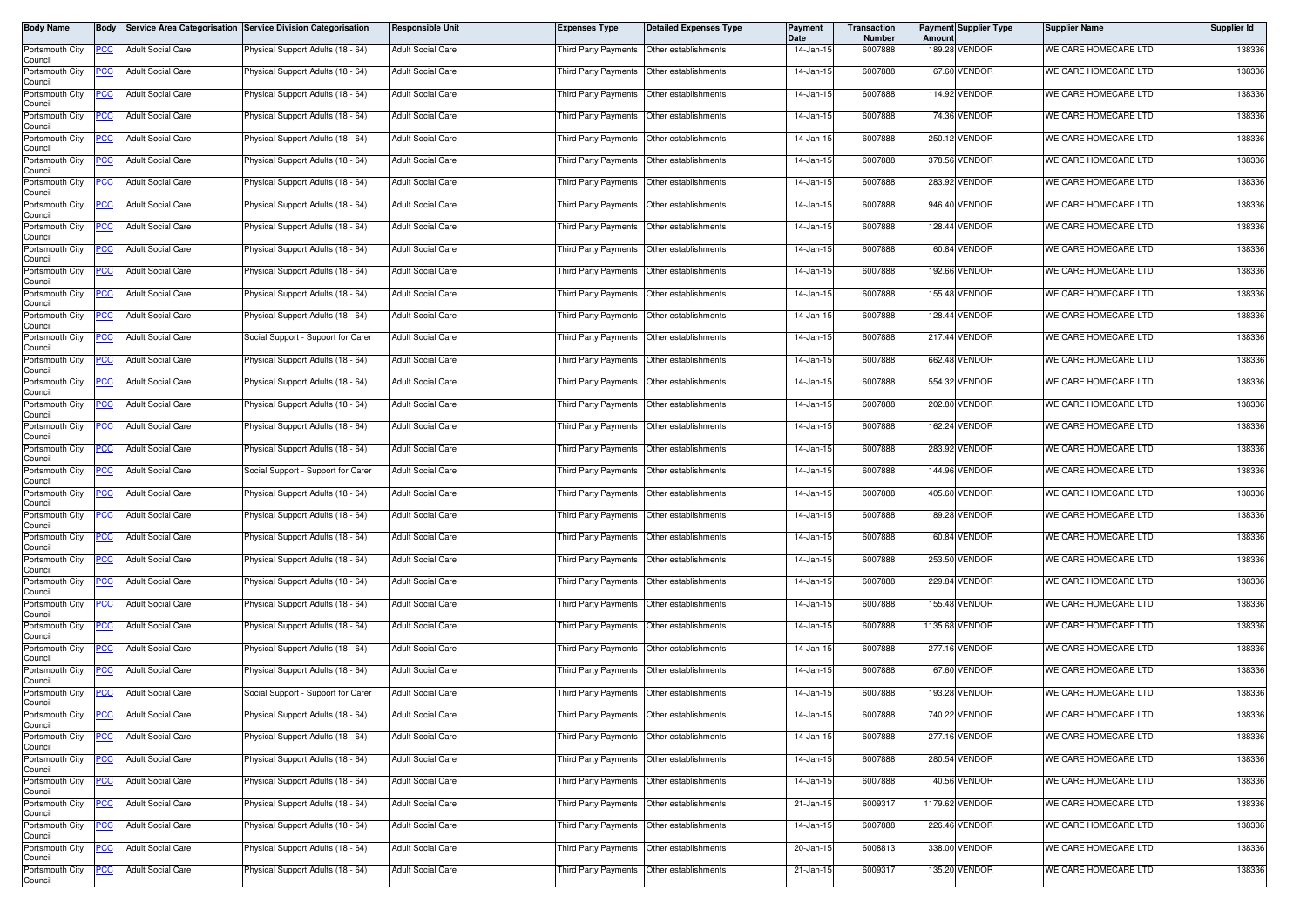| <b>Body Name</b>           | <b>Body</b> |                          | Service Area Categorisation Service Division Categorisation | <b>Responsible Unit</b>  | <b>Expenses Type</b>                        | <b>Detailed Expenses Type</b> | Payment<br>Date | Transaction<br><b>Number</b> | Amoun | <b>Payment Supplier Type</b> | <b>Supplier Name</b> | Supplier Id |
|----------------------------|-------------|--------------------------|-------------------------------------------------------------|--------------------------|---------------------------------------------|-------------------------------|-----------------|------------------------------|-------|------------------------------|----------------------|-------------|
| Portsmouth City<br>Council | PCC         | <b>Adult Social Care</b> | Physical Support Adults (18 - 64)                           | <b>Adult Social Care</b> | Third Party Payments Other establishments   |                               | 14-Jan-15       | 6007888                      |       | 189.28 VENDOR                | WE CARE HOMECARE LTD | 138336      |
| Portsmouth City<br>Council | PCC         | <b>Adult Social Care</b> | Physical Support Adults (18 - 64)                           | <b>Adult Social Care</b> | Third Party Payments Other establishments   |                               | 14-Jan-15       | 6007888                      |       | 67.60 VENDOR                 | WE CARE HOMECARE LTD | 138336      |
| Portsmouth City<br>Council | <u>PCC </u> | <b>Adult Social Care</b> | <sup>9</sup> hysical Support Adults (18 - 64)               | <b>Adult Social Care</b> | Third Party Payments Other establishments   |                               | 14-Jan-15       | 6007888                      |       | 114.92 VENDOR                | WE CARE HOMECARE LTD | 138336      |
| Portsmouth City<br>Council | <u>PCC</u>  | <b>Adult Social Care</b> | Physical Support Adults (18 - 64)                           | <b>Adult Social Care</b> | Third Party Payments                        | Other establishments          | 14-Jan-15       | 6007888                      |       | 74.36 VENDOR                 | WE CARE HOMECARE LTD | 138336      |
| Portsmouth City<br>Council | <u>PCC</u>  | <b>Adult Social Care</b> | Physical Support Adults (18 - 64)                           | <b>Adult Social Care</b> | Third Party Payments   Other establishments |                               | 14-Jan-15       | 6007888                      |       | 250.12 VENDOR                | WE CARE HOMECARE LTD | 138336      |
| Portsmouth City<br>Council |             | <b>Adult Social Care</b> | Physical Support Adults (18 - 64)                           | <b>Adult Social Care</b> | Third Party Payments                        | Other establishments          | 14-Jan-15       | 6007888                      |       | 378.56 VENDOR                | WE CARE HOMECARE LTD | 138336      |
| Portsmouth City<br>Council | <u>PCC</u>  | <b>Adult Social Care</b> | Physical Support Adults (18 - 64)                           | <b>Adult Social Care</b> | Third Party Payments   Other establishments |                               | 14-Jan-15       | 6007888                      |       | 283.92 VENDOR                | WE CARE HOMECARE LTD | 138336      |
| Portsmouth City<br>Council | <u>PCC</u>  | <b>Adult Social Care</b> | Physical Support Adults (18 - 64)                           | <b>Adult Social Care</b> | Third Party Payments                        | Other establishments          | 14-Jan-15       | 6007888                      |       | 946.40 VENDOR                | WE CARE HOMECARE LTD | 138336      |
| Portsmouth City<br>Council | <u>PCC</u>  | <b>Adult Social Care</b> | Physical Support Adults (18 - 64)                           | <b>Adult Social Care</b> | Third Party Payments                        | Other establishments          | 14-Jan-15       | 6007888                      |       | 128.44 VENDOR                | WE CARE HOMECARE LTD | 138336      |
| Portsmouth City<br>Council | PСC         | <b>Adult Social Care</b> | Physical Support Adults (18 - 64)                           | <b>Adult Social Care</b> | Third Party Payments   Other establishments |                               | 14-Jan-15       | 6007888                      |       | 60.84 VENDOR                 | WE CARE HOMECARE LTD | 138336      |
| Portsmouth City<br>Council | <u>PCC</u>  | <b>Adult Social Care</b> | Physical Support Adults (18 - 64)                           | <b>Adult Social Care</b> | Third Party Payments                        | Other establishments          | 14-Jan-15       | 6007888                      |       | 192.66 VENDOR                | WE CARE HOMECARE LTD | 138336      |
| Portsmouth City<br>Council | <u>PCC </u> | <b>Adult Social Care</b> | Physical Support Adults (18 - 64)                           | <b>Adult Social Care</b> | Third Party Payments                        | Other establishments          | 14-Jan-15       | 6007888                      |       | 155.48 VENDOR                | WE CARE HOMECARE LTD | 138336      |
| Portsmouth City<br>Council | <u>PCC</u>  | <b>Adult Social Care</b> | Physical Support Adults (18 - 64)                           | <b>Adult Social Care</b> | Third Party Payments                        | Other establishments          | 14-Jan-15       | 6007888                      |       | 128.44 VENDOR                | WE CARE HOMECARE LTD | 138336      |
| Portsmouth City<br>Council | <u>CC </u>  | <b>Adult Social Care</b> | Social Support - Support for Carer                          | <b>Adult Social Care</b> | Third Party Payments                        | Other establishments          | 14-Jan-15       | 6007888                      |       | 217.44 VENDOR                | WE CARE HOMECARE LTD | 138336      |
| Portsmouth City<br>Council | <u>PCC</u>  | <b>Adult Social Care</b> | Physical Support Adults (18 - 64)                           | <b>Adult Social Care</b> | Third Party Payments Other establishments   |                               | 14-Jan-15       | 6007888                      |       | 662.48 VENDOR                | WE CARE HOMECARE LTD | 138336      |
| Portsmouth City<br>Council | <u>PCC</u>  | <b>Adult Social Care</b> | Physical Support Adults (18 - 64)                           | <b>Adult Social Care</b> | Third Party Payments                        | Other establishments          | 14-Jan-15       | 6007888                      |       | 554.32 VENDOR                | WE CARE HOMECARE LTD | 138336      |
| Portsmouth City<br>Council | <u>PCC</u>  | <b>Adult Social Care</b> | Physical Support Adults (18 - 64)                           | <b>Adult Social Care</b> | Third Party Payments                        | Other establishments          | 14-Jan-15       | 6007888                      |       | 202.80 VENDOR                | WE CARE HOMECARE LTD | 138336      |
| Portsmouth City<br>Council | PCC         | <b>Adult Social Care</b> | Physical Support Adults (18 - 64)                           | <b>Adult Social Care</b> | Third Party Payments   Other establishments |                               | 14-Jan-15       | 6007888                      |       | 162.24 VENDOR                | WE CARE HOMECARE LTD | 138336      |
| Portsmouth City<br>Council | <u>cc</u>   | <b>Adult Social Care</b> | Physical Support Adults (18 - 64)                           | <b>Adult Social Care</b> | Third Party Payments                        | Other establishments          | 14-Jan-15       | 6007888                      |       | 283.92 VENDOR                | WE CARE HOMECARE LTD | 138336      |
| Portsmouth City<br>Council | <u>PCC </u> | <b>Adult Social Care</b> | Social Support - Support for Carer                          | <b>Adult Social Care</b> | Third Party Payments                        | Other establishments          | 14-Jan-15       | 6007888                      |       | 144.96 VENDOR                | WE CARE HOMECARE LTD | 138336      |
| Portsmouth City<br>Council | <u>PCC</u>  | <b>Adult Social Care</b> | Physical Support Adults (18 - 64)                           | <b>Adult Social Care</b> | Third Party Payments                        | Other establishments          | 14-Jan-15       | 6007888                      |       | 405.60 VENDOR                | WE CARE HOMECARE LTD | 138336      |
| Portsmouth City<br>Council | <u>PCC</u>  | <b>Adult Social Care</b> | Physical Support Adults (18 - 64)                           | <b>Adult Social Care</b> | Third Party Payments                        | Other establishments          | 14-Jan-15       | 6007888                      |       | 189.28 VENDOR                | WE CARE HOMECARE LTD | 138336      |
| Portsmouth City<br>Council | <u>CC </u>  | <b>Adult Social Care</b> | Physical Support Adults (18 - 64)                           | <b>Adult Social Care</b> | Third Party Payments Other establishments   |                               | 14-Jan-15       | 6007888                      |       | 60.84 VENDOR                 | WE CARE HOMECARE LTD | 138336      |
| Portsmouth City<br>Council | <u>PCC</u>  | <b>Adult Social Care</b> | <sup>9</sup> hysical Support Adults (18 - 64)               | <b>Adult Social Care</b> | Third Party Payments Other establishments   |                               | 14-Jan-15       | 6007888                      |       | 253.50 VENDOR                | WE CARE HOMECARE LTD | 138336      |
| Portsmouth City<br>Council | <u>PCC</u>  | <b>Adult Social Care</b> | Physical Support Adults (18 - 64)                           | <b>Adult Social Care</b> | Third Party Payments Other establishments   |                               | 14-Jan-15       | 6007888                      |       | 229.84 VENDOR                | WE CARE HOMECARE LTD | 138336      |
| Portsmouth City<br>Council | <u>PCC</u>  | <b>Adult Social Care</b> | Physical Support Adults (18 - 64)                           | <b>Adult Social Care</b> | Third Party Payments   Other establishments |                               | 14-Jan-15       | 6007888                      |       | 155.48 VENDOR                | WE CARE HOMECARE LTD | 138336      |
| Portsmouth City<br>Council | <u>PCC</u>  | <b>Adult Social Care</b> | Physical Support Adults (18 - 64)                           | <b>Adult Social Care</b> | Third Party Payments                        | Other establishments          | 14-Jan-15       | 6007888                      |       | 1135.68 VENDOR               | WE CARE HOMECARE LTD | 138336      |
| Portsmouth City<br>Council | <u>PCC</u>  | <b>Adult Social Care</b> | Physical Support Adults (18 - 64)                           | <b>Adult Social Care</b> | Third Party Payments   Other establishments |                               | 14-Jan-15       | 6007888                      |       | 277.16 VENDOR                | WE CARE HOMECARE LTD | 138336      |
| Portsmouth City<br>Council | <u>CC</u>   | <b>Adult Social Care</b> | Physical Support Adults (18 - 64)                           | <b>Adult Social Care</b> | Third Party Payments                        | Other establishments          | 14-Jan-15       | 6007888                      |       | 67.60 VENDOR                 | WE CARE HOMECARE LTD | 138336      |
| Portsmouth City<br>Council | <u>PCC</u>  | <b>Adult Social Care</b> | Social Support - Support for Carer                          | <b>Adult Social Care</b> | Third Party Payments                        | Other establishments          | 14-Jan-15       | 6007888                      |       | 193.28 VENDOR                | WE CARE HOMECARE LTD | 138336      |
| Portsmouth City<br>Council | <u>PCC</u>  | <b>Adult Social Care</b> | Physical Support Adults (18 - 64)                           | <b>Adult Social Care</b> | Third Party Payments Other establishments   |                               | 14-Jan-15       | 6007888                      |       | 740.22 VENDOR                | WE CARE HOMECARE LTD | 138336      |
| Portsmouth City<br>Council | <u>PCC</u>  | <b>Adult Social Care</b> | Physical Support Adults (18 - 64)                           | <b>Adult Social Care</b> | Third Party Payments Other establishments   |                               | 14-Jan-15       | 6007888                      |       | 277.16 VENDOR                | WE CARE HOMECARE LTD | 138336      |
| Portsmouth City<br>Council | <u>PCC</u>  | <b>Adult Social Care</b> | Physical Support Adults (18 - 64)                           | <b>Adult Social Care</b> | Third Party Payments Other establishments   |                               | 14-Jan-15       | 6007888                      |       | 280.54 VENDOR                | WE CARE HOMECARE LTD | 138336      |
| Portsmouth City<br>Council | <u>PCC</u>  | <b>Adult Social Care</b> | Physical Support Adults (18 - 64)                           | <b>Adult Social Care</b> | Third Party Payments Other establishments   |                               | 14-Jan-15       | 6007888                      |       | 40.56 VENDOR                 | WE CARE HOMECARE LTD | 138336      |
| Portsmouth City<br>Council | <u>PCC</u>  | <b>Adult Social Care</b> | Physical Support Adults (18 - 64)                           | <b>Adult Social Care</b> | Third Party Payments Other establishments   |                               | 21-Jan-15       | 6009317                      |       | 1179.62 VENDOR               | WE CARE HOMECARE LTD | 138336      |
| Portsmouth City<br>Council | <u>PCC </u> | <b>Adult Social Care</b> | Physical Support Adults (18 - 64)                           | <b>Adult Social Care</b> | Third Party Payments Other establishments   |                               | 14-Jan-15       | 6007888                      |       | 226.46 VENDOR                | WE CARE HOMECARE LTD | 138336      |
| Portsmouth City<br>Council | <u>CC </u>  | <b>Adult Social Care</b> | Physical Support Adults (18 - 64)                           | <b>Adult Social Care</b> | Third Party Payments   Other establishments |                               | 20-Jan-15       | 6008813                      |       | 338.00 VENDOR                | WE CARE HOMECARE LTD | 138336      |
| Portsmouth City<br>Council | <u>PCC</u>  | <b>Adult Social Care</b> | Physical Support Adults (18 - 64)                           | <b>Adult Social Care</b> | Third Party Payments Other establishments   |                               | 21-Jan-15       | 6009317                      |       | 135.20 VENDOR                | WE CARE HOMECARE LTD | 138336      |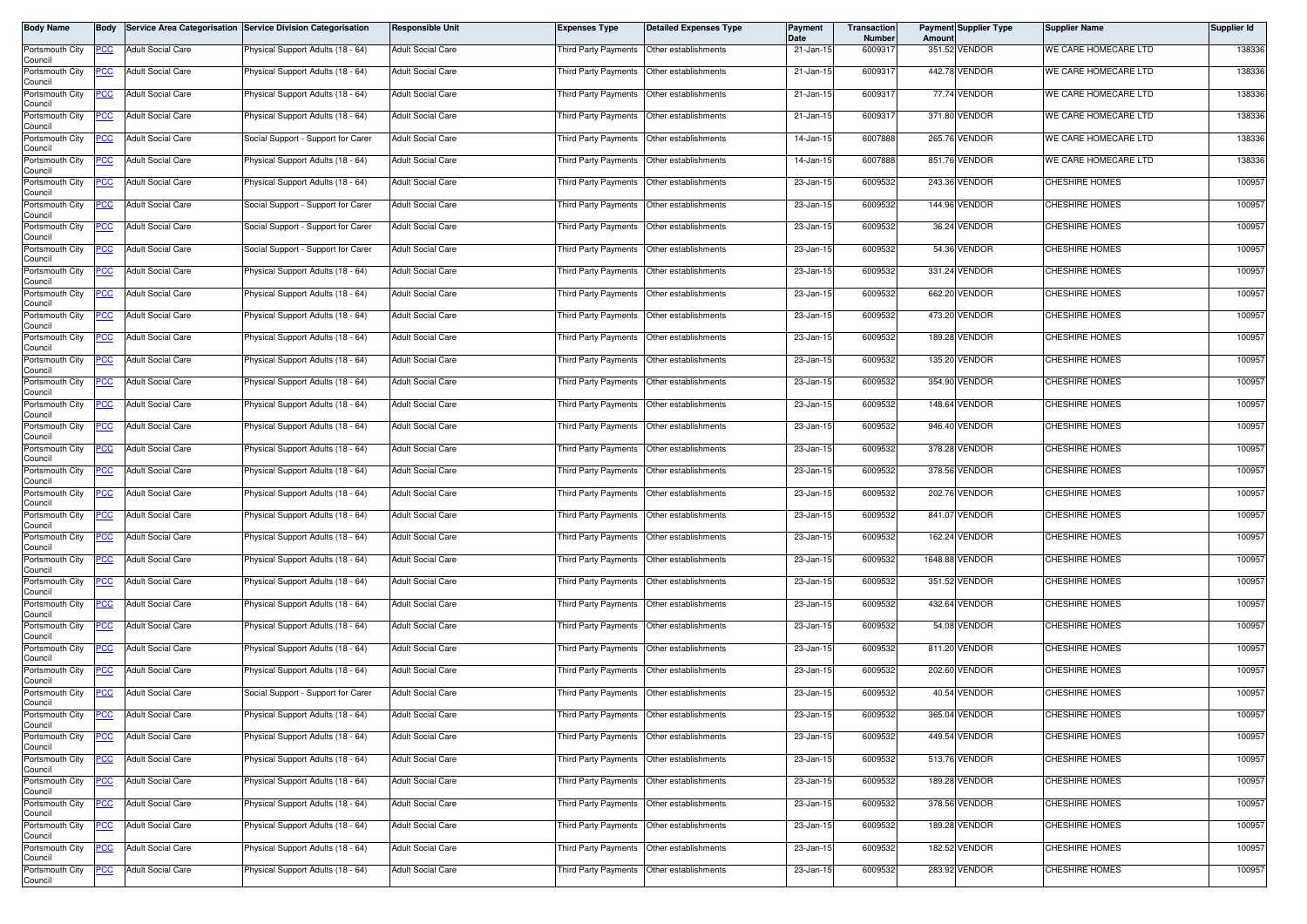| <b>Body Name</b>           | <b>Body</b> |                          | Service Area Categorisation Service Division Categorisation | <b>Responsible Unit</b>  | <b>Expenses Type</b>                        | <b>Detailed Expenses Type</b>             | Payment<br>Date         | Transaction<br>Number | Amount | <b>Payment Supplier Type</b> | <b>Supplier Name</b>  | Supplier Id |
|----------------------------|-------------|--------------------------|-------------------------------------------------------------|--------------------------|---------------------------------------------|-------------------------------------------|-------------------------|-----------------------|--------|------------------------------|-----------------------|-------------|
| Portsmouth City<br>Council | PCC         | <b>Adult Social Care</b> | Physical Support Adults (18 - 64)                           | <b>Adult Social Care</b> | Third Party Payments Other establishments   |                                           | 21-Jan-15               | 6009317               |        | 351.52 VENDOR                | WE CARE HOMECARE LTD  | 138336      |
| Portsmouth City<br>Council | PCC         | <b>Adult Social Care</b> | Physical Support Adults (18 - 64)                           | <b>Adult Social Care</b> | Third Party Payments Other establishments   |                                           | 21-Jan-15               | 6009317               |        | 442.78 VENDOR                | WE CARE HOMECARE LTD  | 138336      |
| Portsmouth City<br>Council | <u>PCC </u> | <b>Adult Social Care</b> | <sup>9</sup> hysical Support Adults (18 - 64)               | <b>Adult Social Care</b> | Third Party Payments Other establishments   |                                           | 21-Jan-15               | 6009317               |        | 77.74 VENDOR                 | WE CARE HOMECARE LTD  | 138336      |
| Portsmouth City<br>Council | <u>PCC</u>  | <b>Adult Social Care</b> | Physical Support Adults (18 - 64)                           | <b>Adult Social Care</b> | Third Party Payments                        | Other establishments                      | $\overline{21}$ -Jan-15 | 600931                |        | 371.80 VENDOR                | WE CARE HOMECARE LTD  | 138336      |
| Portsmouth City<br>Council | <u>PCC</u>  | <b>Adult Social Care</b> | Social Support - Support for Carer                          | <b>Adult Social Care</b> | Third Party Payments                        | Other establishments                      | 14-Jan-15               | 6007888               |        | 265.76 VENDOR                | WE CARE HOMECARE LTD  | 138336      |
| Portsmouth City<br>Council |             | <b>Adult Social Care</b> | Physical Support Adults (18 - 64)                           | <b>Adult Social Care</b> | Third Party Payments                        | Other establishments                      | 14-Jan-15               | 6007888               |        | 851.76 VENDOR                | WE CARE HOMECARE LTD  | 138336      |
| Portsmouth City<br>Council | <u>PCC</u>  | <b>Adult Social Care</b> | Physical Support Adults (18 - 64)                           | <b>Adult Social Care</b> | Third Party Payments Other establishments   |                                           | 23-Jan-15               | 6009532               |        | 243.36 VENDOR                | <b>CHESHIRE HOMES</b> | 100957      |
| Portsmouth City<br>Council | <u>PCC</u>  | <b>Adult Social Care</b> | Social Support - Support for Carer                          | <b>Adult Social Care</b> | Third Party Payments                        | Other establishments                      | 23-Jan-15               | 6009532               |        | 144.96 VENDOR                | CHESHIRE HOMES        | 100957      |
| Portsmouth City<br>Council | <u>PCC</u>  | <b>Adult Social Care</b> | Social Support - Support for Carer                          | <b>Adult Social Care</b> | Third Party Payments                        | Other establishments                      | 23-Jan-15               | 6009532               |        | 36.24 VENDOR                 | <b>CHESHIRE HOMES</b> | 100957      |
| Portsmouth City<br>Council | PСC         | <b>Adult Social Care</b> | Social Support - Support for Carer                          | <b>Adult Social Care</b> | Third Party Payments                        | Other establishments                      | 23-Jan-15               | 6009532               |        | 54.36 VENDOR                 | CHESHIRE HOMES        | 100957      |
| Portsmouth City<br>Council | <u>PCC</u>  | <b>Adult Social Care</b> | Physical Support Adults (18 - 64)                           | <b>Adult Social Care</b> | Third Party Payments                        | Other establishments                      | 23-Jan-15               | 6009532               |        | 331.24 VENDOR                | <b>CHESHIRE HOMES</b> | 100957      |
| Portsmouth City<br>Council | <u>PCC</u>  | <b>Adult Social Care</b> | Physical Support Adults (18 - 64)                           | <b>Adult Social Care</b> | Third Party Payments                        | Other establishments                      | 23-Jan-15               | 6009532               |        | 662.20 VENDOR                | CHESHIRE HOMES        | 100957      |
| Portsmouth City<br>Council | <u>PCC</u>  | <b>Adult Social Care</b> | Physical Support Adults (18 - 64)                           | <b>Adult Social Care</b> | Third Party Payments                        | Other establishments                      | 23-Jan-15               | 6009532               |        | 473.20 VENDOR                | <b>CHESHIRE HOMES</b> | 100957      |
| Portsmouth City<br>Council | <u>PCC </u> | <b>Adult Social Care</b> | Physical Support Adults (18 - 64)                           | <b>Adult Social Care</b> | Third Party Payments                        | Other establishments                      | 23-Jan-15               | 6009532               |        | 189.28 VENDOR                | <b>CHESHIRE HOMES</b> | 100957      |
| Portsmouth City<br>Council | <u>PCC</u>  | <b>Adult Social Care</b> | Physical Support Adults (18 - 64)                           | <b>Adult Social Care</b> | Third Party Payments Other establishments   |                                           | 23-Jan-15               | 6009532               |        | 135.20 VENDOR                | <b>CHESHIRE HOMES</b> | 100957      |
| Portsmouth City<br>Council | <u>PCC</u>  | <b>Adult Social Care</b> | Physical Support Adults (18 - 64)                           | <b>Adult Social Care</b> | Third Party Payments                        | Other establishments                      | 23-Jan-15               | 6009532               |        | 354.90 VENDOR                | CHESHIRE HOMES        | 100957      |
| Portsmouth City<br>Council | <u>PCC</u>  | <b>Adult Social Care</b> | Physical Support Adults (18 - 64)                           | <b>Adult Social Care</b> | Third Party Payments                        | Other establishments                      | 23-Jan-15               | 6009532               |        | 148.64 VENDOR                | <b>CHESHIRE HOMES</b> | 100957      |
| Portsmouth City<br>Council | <u>PCC</u>  | <b>Adult Social Care</b> | Physical Support Adults (18 - 64)                           | <b>Adult Social Care</b> | Third Party Payments                        | Other establishments                      | 23-Jan-15               | 6009532               |        | 946.40 VENDOR                | <b>CHESHIRE HOMES</b> | 100957      |
| Portsmouth City<br>Council | <u>cc</u>   | <b>Adult Social Care</b> | Physical Support Adults (18 - 64)                           | <b>Adult Social Care</b> | Third Party Payments                        | Other establishments                      | 23-Jan-15               | 6009532               |        | 378.28 VENDOR                | <b>CHESHIRE HOMES</b> | 100957      |
| Portsmouth City<br>Council | <u>PCC </u> | <b>Adult Social Care</b> | Physical Support Adults (18 - 64)                           | <b>Adult Social Care</b> | Third Party Payments                        | Other establishments                      | 23-Jan-15               | 6009532               |        | 378.56 VENDOR                | CHESHIRE HOMES        | 100957      |
| Portsmouth City<br>Council | <u>PCC</u>  | <b>Adult Social Care</b> | Physical Support Adults (18 - 64)                           | <b>Adult Social Care</b> | Third Party Payments                        | Other establishments                      | 23-Jan-15               | 6009532               |        | 202.76 VENDOR                | CHESHIRE HOMES        | 100957      |
| Portsmouth City<br>Council | <u>PCC</u>  | <b>Adult Social Care</b> | Physical Support Adults (18 - 64)                           | <b>Adult Social Care</b> | Third Party Payments                        | Other establishments                      | 23-Jan-15               | 6009532               |        | 841.07 VENDOR                | CHESHIRE HOMES        | 100957      |
| Portsmouth City<br>Council | <u>CC </u>  | <b>Adult Social Care</b> | Physical Support Adults (18 - 64)                           | <b>Adult Social Care</b> | Third Party Payments                        | Other establishments                      | 23-Jan-15               | 6009532               |        | 162.24 VENDOR                | <b>CHESHIRE HOMES</b> | 100957      |
| Portsmouth City<br>Council | <u>PCC</u>  | <b>Adult Social Care</b> | <sup>9</sup> hysical Support Adults (18 - 64)               | <b>Adult Social Care</b> | Third Party Payments Other establishments   |                                           | 23-Jan-15               | 6009532               |        | 1648.88 VENDOR               | <b>CHESHIRE HOMES</b> | 100957      |
| Portsmouth City<br>Council | <u>PCC</u>  | <b>Adult Social Care</b> | Physical Support Adults (18 - 64)                           | <b>Adult Social Care</b> | Third Party Payments                        | Other establishments                      | 23-Jan-15               | 6009532               |        | 351.52 VENDOR                | <b>CHESHIRE HOMES</b> | 100957      |
| Portsmouth City<br>Council | <u>PCC</u>  | <b>Adult Social Care</b> | Physical Support Adults (18 - 64)                           | <b>Adult Social Care</b> | Third Party Payments   Other establishments |                                           | 23-Jan-15               | 6009532               |        | 432.64 VENDOR                | <b>CHESHIRE HOMES</b> | 100957      |
| Portsmouth City<br>Council | <u>PCC</u>  | <b>Adult Social Care</b> | Physical Support Adults (18 - 64)                           | <b>Adult Social Care</b> | Third Party Payments                        | Other establishments                      | 23-Jan-15               | 6009532               |        | 54.08 VENDOR                 | CHESHIRE HOMES        | 100957      |
| Portsmouth City<br>Council | <u>PCC</u>  | <b>Adult Social Care</b> | Physical Support Adults (18 - 64)                           | <b>Adult Social Care</b> | Third Party Payments   Other establishments |                                           | 23-Jan-15               | 6009532               |        | 811.20 VENDOR                | <b>CHESHIRE HOMES</b> | 100957      |
| Portsmouth City<br>Council | <u>CC</u>   | <b>Adult Social Care</b> | Physical Support Adults (18 - 64)                           | <b>Adult Social Care</b> | Third Party Payments                        | Other establishments                      | 23-Jan-15               | 6009532               |        | 202.60 VENDOR                | <b>CHESHIRE HOMES</b> | 100957      |
| Portsmouth City<br>Council | <u>PCC</u>  | <b>Adult Social Care</b> | Social Support - Support for Carer                          | <b>Adult Social Care</b> | Third Party Payments                        | Other establishments                      | 23-Jan-15               | 6009532               |        | 40.54 VENDOR                 | <b>CHESHIRE HOMES</b> | 100957      |
| Portsmouth City<br>Council | <b>PCC</b>  | <b>Adult Social Care</b> | Physical Support Adults (18 - 64)                           | <b>Adult Social Care</b> | Third Party Payments Other establishments   |                                           | 23-Jan-15               | 6009532               |        | 365.04 VENDOR                | <b>CHESHIRE HOMES</b> | 100957      |
| Portsmouth City<br>Council | <u>PCC</u>  | <b>Adult Social Care</b> | Physical Support Adults (18 - 64)                           | <b>Adult Social Care</b> | <b>Third Party Payments</b>                 | Other establishments                      | 23-Jan-15               | 6009532               |        | 449.54 VENDOR                | CHESHIRE HOMES        | 100957      |
| Portsmouth City<br>Council | <u>PCC</u>  | <b>Adult Social Care</b> | Physical Support Adults (18 - 64)                           | <b>Adult Social Care</b> | Third Party Payments                        | Other establishments                      | 23-Jan-15               | 6009532               |        | 513.76 VENDOR                | CHESHIRE HOMES        | 100957      |
| Portsmouth City<br>Council | <u>PCC</u>  | <b>Adult Social Care</b> | Physical Support Adults (18 - 64)                           | <b>Adult Social Care</b> | Third Party Payments Other establishments   |                                           | 23-Jan-15               | 6009532               |        | 189.28 VENDOR                | <b>CHESHIRE HOMES</b> | 100957      |
| Portsmouth City<br>Council | PСC         | Adult Social Care        | Physical Support Adults (18 - 64)                           | <b>Adult Social Care</b> | Third Party Payments                        | Other establishments                      | 23-Jan-15               | 6009532               |        | 378.56 VENDOR                | CHESHIRE HOMES        | 100957      |
| Portsmouth City<br>Council | <u>PCC </u> | <b>Adult Social Care</b> | Physical Support Adults (18 - 64)                           | <b>Adult Social Care</b> |                                             | Third Party Payments Other establishments | 23-Jan-15               | 6009532               |        | 189.28 VENDOR                | <b>CHESHIRE HOMES</b> | 100957      |
| Portsmouth City<br>Council | <u>PCC</u>  | <b>Adult Social Care</b> | Physical Support Adults (18 - 64)                           | <b>Adult Social Care</b> | Third Party Payments                        | Other establishments                      | 23-Jan-15               | 6009532               |        | 182.52 VENDOR                | <b>CHESHIRE HOMES</b> | 100957      |
| Portsmouth City<br>Council | <u>PCC</u>  | <b>Adult Social Care</b> | Physical Support Adults (18 - 64)                           | <b>Adult Social Care</b> | Third Party Payments                        | Other establishments                      | 23-Jan-15               | 6009532               |        | 283.92 VENDOR                | CHESHIRE HOMES        | 100957      |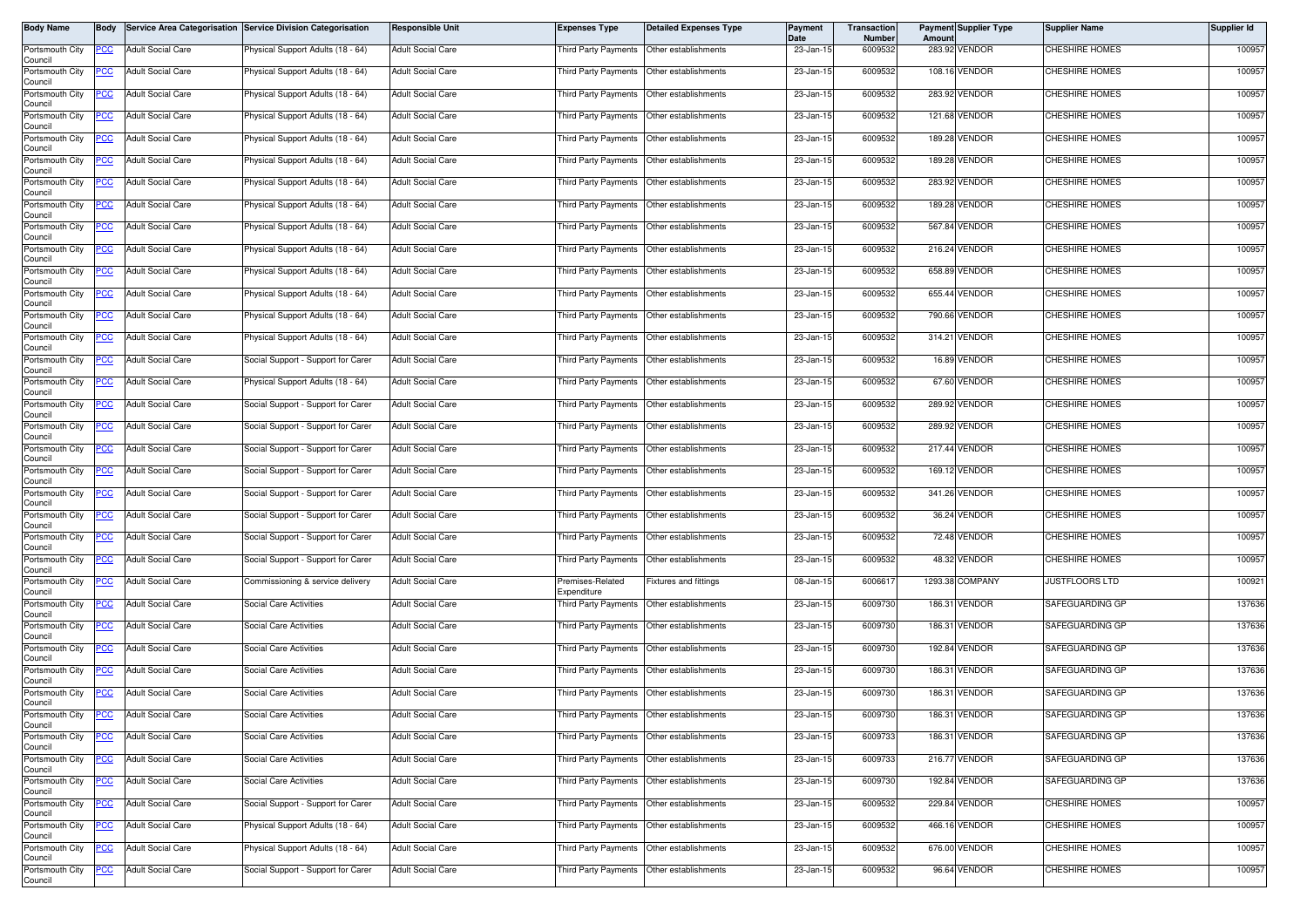| <b>Body Name</b>           | <b>Body</b> |                          | Service Area Categorisation Service Division Categorisation | <b>Responsible Unit</b>  | <b>Expenses Type</b>                      | <b>Detailed Expenses Type</b>             | <b>Payment</b><br>Date | Transaction<br>Number | Amount | <b>Payment Supplier Type</b> | <b>Supplier Name</b>  | Supplier Id |
|----------------------------|-------------|--------------------------|-------------------------------------------------------------|--------------------------|-------------------------------------------|-------------------------------------------|------------------------|-----------------------|--------|------------------------------|-----------------------|-------------|
| Portsmouth City<br>Council | PCC         | <b>Adult Social Care</b> | Physical Support Adults (18 - 64)                           | <b>Adult Social Care</b> | Third Party Payments Other establishments |                                           | 23-Jan-15              | 6009532               |        | 283.92 VENDOR                | <b>CHESHIRE HOMES</b> | 100957      |
| Portsmouth City<br>Council | PCC         | <b>Adult Social Care</b> | Physical Support Adults (18 - 64)                           | <b>Adult Social Care</b> | Third Party Payments Other establishments |                                           | 23-Jan-15              | 6009532               |        | 108.16 VENDOR                | <b>CHESHIRE HOMES</b> | 100957      |
| Portsmouth City<br>Council | <u>PCC </u> | <b>Adult Social Care</b> | <sup>9</sup> hysical Support Adults (18 - 64)               | <b>Adult Social Care</b> | Third Party Payments Other establishments |                                           | 23-Jan-15              | 6009532               |        | 283.92 VENDOR                | <b>CHESHIRE HOMES</b> | 100957      |
| Portsmouth City<br>Council | PCC         | <b>Adult Social Care</b> | Physical Support Adults (18 - 64)                           | <b>Adult Social Care</b> | Third Party Payments                      | Other establishments                      | 23-Jan-15              | 6009532               |        | 121.68 VENDOR                | <b>CHESHIRE HOMES</b> | 100957      |
| Portsmouth City<br>Council | <u>PCC</u>  | <b>Adult Social Care</b> | Physical Support Adults (18 - 64)                           | <b>Adult Social Care</b> | Third Party Payments                      | Other establishments                      | 23-Jan-15              | 6009532               |        | 189.28 VENDOR                | CHESHIRE HOMES        | 100957      |
| Portsmouth City<br>Council |             | <b>Adult Social Care</b> | Physical Support Adults (18 - 64)                           | <b>Adult Social Care</b> | Third Party Payments                      | Other establishments                      | 23-Jan-15              | 6009532               |        | 189.28 VENDOR                | <b>CHESHIRE HOMES</b> | 100957      |
| Portsmouth City<br>Council | <u>PCC</u>  | <b>Adult Social Care</b> | Physical Support Adults (18 - 64)                           | <b>Adult Social Care</b> | Third Party Payments Other establishments |                                           | 23-Jan-15              | 6009532               |        | 283.92 VENDOR                | <b>CHESHIRE HOMES</b> | 100957      |
| Portsmouth City<br>Council | <u>PCC</u>  | <b>Adult Social Care</b> | Physical Support Adults (18 - 64)                           | <b>Adult Social Care</b> | Third Party Payments                      | Other establishments                      | 23-Jan-15              | 6009532               |        | 189.28 VENDOR                | CHESHIRE HOMES        | 100957      |
| Portsmouth City<br>Council | <u>PCC</u>  | <b>Adult Social Care</b> | Physical Support Adults (18 - 64)                           | <b>Adult Social Care</b> | <b>Third Party Payments</b>               | Other establishments                      | 23-Jan-15              | 6009532               |        | 567.84 VENDOR                | <b>CHESHIRE HOMES</b> | 100957      |
| Portsmouth City<br>Council | PСC         | <b>Adult Social Care</b> | Physical Support Adults (18 - 64)                           | <b>Adult Social Care</b> | Third Party Payments                      | Other establishments                      | 23-Jan-15              | 6009532               |        | 216.24 VENDOR                | CHESHIRE HOMES        | 100957      |
| Portsmouth City<br>Council | <u>PCC</u>  | <b>Adult Social Care</b> | Physical Support Adults (18 - 64)                           | <b>Adult Social Care</b> | Third Party Payments                      | Other establishments                      | 23-Jan-15              | 6009532               |        | 658.89 VENDOR                | <b>CHESHIRE HOMES</b> | 100957      |
| Portsmouth City<br>Council | <u>PCC</u>  | <b>Adult Social Care</b> | Physical Support Adults (18 - 64)                           | <b>Adult Social Care</b> | Third Party Payments                      | Other establishments                      | 23-Jan-15              | 6009532               |        | 655.44 VENDOR                | CHESHIRE HOMES        | 100957      |
| Portsmouth City<br>Council | <u>PCC</u>  | <b>Adult Social Care</b> | Physical Support Adults (18 - 64)                           | <b>Adult Social Care</b> | Third Party Payments                      | Other establishments                      | 23-Jan-15              | 6009532               |        | 790.66 VENDOR                | <b>CHESHIRE HOMES</b> | 100957      |
| Portsmouth City<br>Council | <u>PCC </u> | <b>Adult Social Care</b> | Physical Support Adults (18 - 64)                           | <b>Adult Social Care</b> | Third Party Payments                      | Other establishments                      | 23-Jan-15              | 6009532               |        | 314.21 VENDOR                | <b>CHESHIRE HOMES</b> | 100957      |
| Portsmouth City<br>Council | <u>PCC</u>  | <b>Adult Social Care</b> | Social Support - Support for Carer                          | <b>Adult Social Care</b> | Third Party Payments Other establishments |                                           | 23-Jan-15              | 6009532               |        | 16.89 VENDOR                 | <b>CHESHIRE HOMES</b> | 100957      |
| Portsmouth City<br>Council | <u>PCC</u>  | <b>Adult Social Care</b> | Physical Support Adults (18 - 64)                           | <b>Adult Social Care</b> | Third Party Payments                      | Other establishments                      | 23-Jan-15              | 6009532               |        | 67.60 VENDOR                 | CHESHIRE HOMES        | 100957      |
| Portsmouth City<br>Council | <u>PCC</u>  | <b>Adult Social Care</b> | Social Support - Support for Carer                          | <b>Adult Social Care</b> | Third Party Payments                      | Other establishments                      | 23-Jan-15              | 6009532               |        | 289.92 VENDOR                | <b>CHESHIRE HOMES</b> | 100957      |
| Portsmouth City<br>Council | PCC         | <b>Adult Social Care</b> | Social Support - Support for Carer                          | <b>Adult Social Care</b> | Third Party Payments                      | Other establishments                      | 23-Jan-15              | 6009532               |        | 289.92 VENDOR                | CHESHIRE HOMES        | 100957      |
| Portsmouth City<br>Council | <u>cc</u>   | <b>Adult Social Care</b> | Social Support - Support for Carer                          | <b>Adult Social Care</b> | Third Party Payments                      | Other establishments                      | 23-Jan-15              | 6009532               |        | 217.44 VENDOR                | <b>CHESHIRE HOMES</b> | 100957      |
| Portsmouth City<br>Council |             | <b>Adult Social Care</b> | Social Support - Support for Carer                          | <b>Adult Social Care</b> | Third Party Payments                      | Other establishments                      | 23-Jan-15              | 6009532               |        | 169.12 VENDOR                | CHESHIRE HOMES        | 100957      |
| Portsmouth City<br>Council | <u>PCC</u>  | <b>Adult Social Care</b> | Social Support - Support for Carer                          | <b>Adult Social Care</b> | Third Party Payments                      | Other establishments                      | 23-Jan-15              | 6009532               |        | 341.26 VENDOR                | <b>CHESHIRE HOMES</b> | 100957      |
| Portsmouth City<br>Council | PCC         | <b>Adult Social Care</b> | Social Support - Support for Carer                          | <b>Adult Social Care</b> | Third Party Payments                      | Other establishments                      | 23-Jan-15              | 6009532               |        | 36.24 VENDOR                 | <b>CHESHIRE HOMES</b> | 100957      |
| Portsmouth City<br>Council | PСC         | <b>Adult Social Care</b> | Social Support - Support for Carer                          | <b>Adult Social Care</b> | Third Party Payments                      | Other establishments                      | 23-Jan-15              | 6009532               |        | 72.48 VENDOR                 | <b>CHESHIRE HOMES</b> | 100957      |
| Portsmouth City<br>Council | <u>PCC</u>  | <b>Adult Social Care</b> | Social Support - Support for Carer                          | <b>Adult Social Care</b> | Third Party Payments Other establishments |                                           | 23-Jan-15              | 6009532               |        | 48.32 VENDOR                 | <b>CHESHIRE HOMES</b> | 100957      |
| Portsmouth City<br>Council | <u>PCC</u>  | <b>Adult Social Care</b> | Commissioning & service delivery                            | <b>Adult Social Care</b> | remises-Related<br>Expenditure            | <b>Fixtures and fittings</b>              | 08-Jan-15              | 600661                |        | 1293.38 COMPANY              | <b>JUSTFLOORS LTD</b> | 100921      |
| Portsmouth City<br>Council | PCC         | <b>Adult Social Care</b> | Social Care Activities                                      | <b>Adult Social Care</b> | Third Party Payments Other establishments |                                           | 23-Jan-15              | 6009730               |        | 186.31 VENDOR                | SAFEGUARDING GP       | 137636      |
| Portsmouth City<br>Council | <u>PCC</u>  | <b>Adult Social Care</b> | Social Care Activities                                      | <b>Adult Social Care</b> | Third Party Payments                      | Other establishments                      | 23-Jan-15              | 6009730               |        | 186.31 VENDOR                | SAFEGUARDING GP       | 137636      |
| Portsmouth City<br>Council | <u>PCC</u>  | <b>Adult Social Care</b> | Social Care Activities                                      | <b>Adult Social Care</b> | Third Party Payments Other establishments |                                           | $23$ -Jan-15           | 6009730               |        | 192.84 VENDOR                | SAFEGUARDING GP       | 137636      |
| Portsmouth City<br>Council | <u>CC</u>   | <b>Adult Social Care</b> | Social Care Activities                                      | <b>Adult Social Care</b> | Third Party Payments                      | Other establishments                      | 23-Jan-15              | 6009730               |        | 186.31 VENDOR                | SAFEGUARDING GP       | 137636      |
| Portsmouth City<br>Council | <b>PCC</b>  | <b>Adult Social Care</b> | <b>Social Care Activities</b>                               | <b>Adult Social Care</b> | Third Party Payments                      | Other establishments                      | 23-Jan-15              | 6009730               |        | 186.31 VENDOR                | SAFEGUARDING GP       | 137636      |
| Portsmouth City<br>Council | <b>PCC</b>  | <b>Adult Social Care</b> | Social Care Activities                                      | <b>Adult Social Care</b> | Third Party Payments Other establishments |                                           | 23-Jan-15              | 6009730               |        | 186.31 VENDOR                | SAFEGUARDING GP       | 137636      |
| Portsmouth City<br>Council | <u>PCC</u>  | <b>Adult Social Care</b> | Social Care Activities                                      | <b>Adult Social Care</b> | Third Party Payments                      | Other establishments                      | 23-Jan-15              | 6009733               |        | 186.31 VENDOR                | SAFEGUARDING GP       | 137636      |
| Portsmouth City<br>Council | <u>PCC</u>  | <b>Adult Social Care</b> | Social Care Activities                                      | <b>Adult Social Care</b> | Third Party Payments                      | Other establishments                      | 23-Jan-15              | 6009733               |        | 216.77 VENDOR                | SAFEGUARDING GP       | 137636      |
| Portsmouth City<br>Council | <u>PCC</u>  | <b>Adult Social Care</b> | Social Care Activities                                      | <b>Adult Social Care</b> | Third Party Payments Other establishments |                                           | 23-Jan-15              | 6009730               |        | 192.84 VENDOR                | SAFEGUARDING GP       | 137636      |
| Portsmouth City<br>Council | PСC         | <b>Adult Social Care</b> | Social Support - Support for Carer                          | <b>Adult Social Care</b> | Third Party Payments                      | Other establishments                      | 23-Jan-15              | 6009532               |        | 229.84 VENDOR                | CHESHIRE HOMES        | 100957      |
| Portsmouth City<br>Council | <u>PCC </u> | <b>Adult Social Care</b> | Physical Support Adults (18 - 64)                           | <b>Adult Social Care</b> |                                           | Third Party Payments Other establishments | 23-Jan-15              | 6009532               |        | 466.16 VENDOR                | CHESHIRE HOMES        | 100957      |
| Portsmouth City<br>Council | <u>PCC</u>  | <b>Adult Social Care</b> | Physical Support Adults (18 - 64)                           | <b>Adult Social Care</b> | Third Party Payments                      | Other establishments                      | 23-Jan-15              | 6009532               |        | 676.00 VENDOR                | <b>CHESHIRE HOMES</b> | 100957      |
| Portsmouth City<br>Council | <u>PCC</u>  | <b>Adult Social Care</b> | Social Support - Support for Carer                          | <b>Adult Social Care</b> | Third Party Payments                      | Other establishments                      | 23-Jan-15              | 6009532               |        | 96.64 VENDOR                 | <b>CHESHIRE HOMES</b> | 100957      |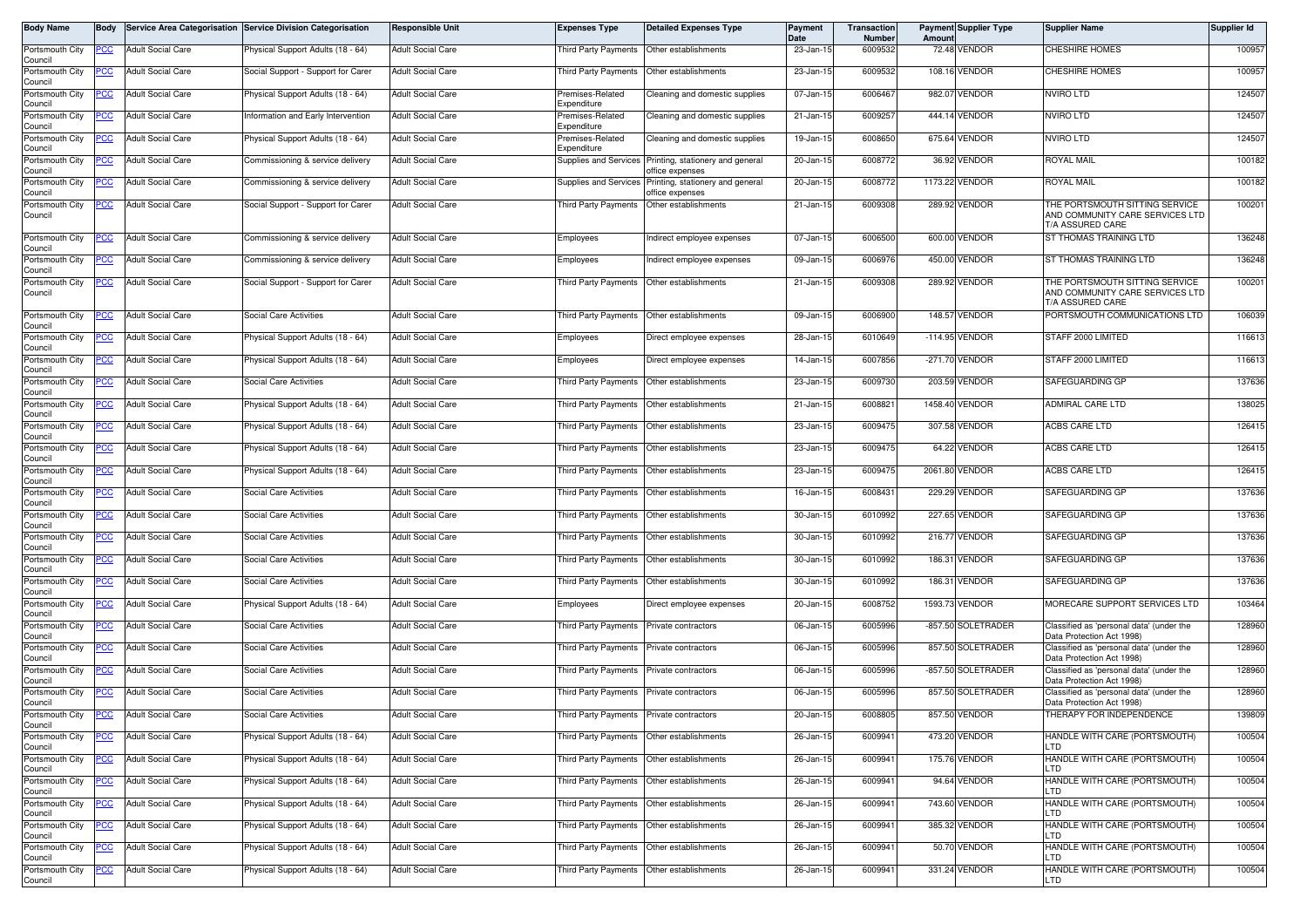| Body Name                  | <b>Body</b> |                          | Service Area Categorisation Service Division Categorisation | <b>Responsible Unit</b>  | <b>Expenses Type</b>                        | <b>Detailed Expenses Type</b>                       | Payment<br>Date | Transaction<br>Number | Amount    | <b>Payment Supplier Type</b> | <b>Supplier Name</b>                                                                  | Supplier Id |
|----------------------------|-------------|--------------------------|-------------------------------------------------------------|--------------------------|---------------------------------------------|-----------------------------------------------------|-----------------|-----------------------|-----------|------------------------------|---------------------------------------------------------------------------------------|-------------|
| Portsmouth City<br>Council | <u>PCC</u>  | <b>Adult Social Care</b> | Physical Support Adults (18 - 64)                           | <b>Adult Social Care</b> | Third Party Payments                        | Other establishments                                | 23-Jan-15       | 6009532               |           | 72.48 VENDOR                 | <b>CHESHIRE HOMES</b>                                                                 | 100957      |
| Portsmouth City<br>Council | <u>PCC</u>  | <b>Adult Social Care</b> | Social Support - Support for Carer                          | <b>Adult Social Care</b> | Third Party Payments Other establishments   |                                                     | 23-Jan-15       | 6009532               |           | 108.16 VENDOR                | <b>CHESHIRE HOMES</b>                                                                 | 100957      |
| Portsmouth City<br>Council |             | <b>Adult Social Care</b> | Physical Support Adults (18 - 64)                           | <b>Adult Social Care</b> | Premises-Related<br>Expenditure             | Cleaning and domestic supplies                      | 07-Jan-15       | 6006467               |           | 982.07 VENDOR                | <b>NVIRO LTD</b>                                                                      | 124507      |
| Portsmouth City<br>Council | <u>PCC</u>  | <b>Adult Social Care</b> | Information and Early Intervention                          | <b>Adult Social Care</b> | Premises-Related<br>Expenditure             | Cleaning and domestic supplies                      | 21-Jan-15       | 6009257               |           | 444.14 VENDOR                | <b>NVIRO LTD</b>                                                                      | 124507      |
| Portsmouth City<br>Council | <u>PCC</u>  | <b>Adult Social Care</b> | Physical Support Adults (18 - 64)                           | <b>Adult Social Care</b> | Premises-Related<br>Expenditure             | Cleaning and domestic supplies                      | 19-Jan-15       | 6008650               |           | 675.64 VENDOR                | <b>NVIRO LTD</b>                                                                      | 124507      |
| Portsmouth City<br>Council | <u>PCC</u>  | <b>Adult Social Care</b> | Commissioning & service delivery                            | <b>Adult Social Care</b> | Supplies and Services                       | Printing, stationery and general<br>office expenses | 20-Jan-15       | 6008772               | 36.92     | VENDOR                       | ROYAL MAIL                                                                            | 100182      |
| Portsmouth City<br>Council | <u>PCC</u>  | <b>Adult Social Care</b> | Commissioning & service delivery                            | <b>Adult Social Care</b> | Supplies and Services                       | Printing, stationery and general<br>office expenses | 20-Jan-15       | 6008772               |           | 1173.22 VENDOR               | ROYAL MAIL                                                                            | 100182      |
| Portsmouth City<br>Council | <u>PCC</u>  | <b>Adult Social Care</b> | Social Support - Support for Carer                          | <b>Adult Social Care</b> | Third Party Payments                        | Other establishments                                | 21-Jan-15       | 6009308               |           | 289.92 VENDOR                | THE PORTSMOUTH SITTING SERVICE<br>AND COMMUNITY CARE SERVICES LTD<br>T/A ASSURED CARE | 100201      |
| Portsmouth City<br>Council | <u>PCC</u>  | <b>Adult Social Care</b> | Commissioning & service delivery                            | <b>Adult Social Care</b> | Employees                                   | Indirect employee expenses                          | 07-Jan-15       | 6006500               |           | 600.00 VENDOR                | ST THOMAS TRAINING LTD                                                                | 136248      |
| Portsmouth City<br>Council | <u>PCC</u>  | <b>Adult Social Care</b> | Commissioning & service delivery                            | <b>Adult Social Care</b> | Employees                                   | Indirect employee expenses                          | 09-Jan-1        | 6006976               |           | 450.00 VENDOR                | ST THOMAS TRAINING LTD                                                                | 136248      |
| Portsmouth City<br>Council | <u>PCC</u>  | <b>Adult Social Care</b> | Social Support - Support for Carer                          | <b>Adult Social Care</b> | Third Party Payments  Other establishments  |                                                     | 21-Jan-15       | 6009308               |           | 289.92 VENDOR                | THE PORTSMOUTH SITTING SERVICE<br>AND COMMUNITY CARE SERVICES LTD<br>T/A ASSURED CARE | 100201      |
| Portsmouth City<br>Council | <u>PCC</u>  | <b>Adult Social Care</b> | Social Care Activities                                      | <b>Adult Social Care</b> | Third Party Payments                        | Other establishments                                | 09-Jan-15       | 6006900               |           | 148.57 VENDOR                | PORTSMOUTH COMMUNICATIONS LTD                                                         | 106039      |
| Portsmouth City<br>Council |             | <b>Adult Social Care</b> | Physical Support Adults (18 - 64)                           | <b>Adult Social Care</b> | Employees                                   | Direct employee expenses                            | 28-Jan-15       | 6010649               | $-114.95$ | <b>ENDOR</b>                 | STAFF 2000 LIMITED                                                                    | 116613      |
| Portsmouth City<br>Council | <u>PCC</u>  | <b>Adult Social Care</b> | Physical Support Adults (18 - 64)                           | <b>Adult Social Care</b> | Employees                                   | Direct employee expenses                            | 14-Jan-15       | 6007856               |           | -271.70 VENDOR               | STAFF 2000 LIMITED                                                                    | 116613      |
| Portsmouth City<br>Council | <u>PCC</u>  | <b>Adult Social Care</b> | Social Care Activities                                      | <b>Adult Social Care</b> | Third Party Payments                        | Other establishments                                | 23-Jan-15       | 6009730               | 203.59    | VENDOR                       | SAFEGUARDING GP                                                                       | 137636      |
| Portsmouth City<br>Council | <u>PCC</u>  | <b>Adult Social Care</b> | Physical Support Adults (18 - 64)                           | <b>Adult Social Care</b> | Third Party Payments                        | Other establishments                                | 21-Jan-1        | 6008821               | 1458.40   | <b>/ENDOR</b>                | <b>ADMIRAL CARE LTD</b>                                                               | 138025      |
| Portsmouth City<br>Council | PCC         | <b>Adult Social Care</b> | Physical Support Adults (18 - 64)                           | <b>Adult Social Care</b> | Third Party Payments  Other establishments  |                                                     | 23-Jan-15       | 6009475               |           | 307.58 VENDOR                | <b>ACBS CARE LTD</b>                                                                  | 126415      |
| Portsmouth City<br>Council | <u>PCC</u>  | <b>Adult Social Care</b> | Physical Support Adults (18 - 64)                           | <b>Adult Social Care</b> | Third Party Payments                        | Other establishments                                | 23-Jan-15       | 6009475               |           | 64.22 VENDOR                 | <b>ACBS CARE LTD</b>                                                                  | 126415      |
| Portsmouth City<br>Council | <u>PCC</u>  | <b>Adult Social Care</b> | Physical Support Adults (18 - 64)                           | <b>Adult Social Care</b> | Third Party Payments  Other establishments  |                                                     | 23-Jan-15       | 6009475               |           | 2061.80 VENDOR               | ACBS CARE LTD                                                                         | 126415      |
| Portsmouth City<br>Council | <u>PCC</u>  | <b>Adult Social Care</b> | Social Care Activities                                      | <b>Adult Social Care</b> | Third Party Payments                        | Other establishments                                | 16-Jan-1        | 6008431               | 229.29    | /ENDOR                       | SAFEGUARDING GP                                                                       | 137636      |
| Portsmouth City<br>Council | <u>PCC</u>  | <b>Adult Social Care</b> | <b>Social Care Activities</b>                               | <b>Adult Social Care</b> | Third Party Payments                        | Other establishments                                | 30-Jan-15       | 6010992               | 227.65    | /ENDOR                       | SAFEGUARDING GP                                                                       | 137636      |
| Portsmouth City<br>Council |             | <b>Adult Social Care</b> | Social Care Activities                                      | <b>Adult Social Care</b> | Third Party Payments                        | Other establishments                                | 30-Jan-15       | 6010992               |           | 216.77 VENDOR                | SAFEGUARDING GP                                                                       | 137636      |
| Portsmouth City<br>Council |             | <b>Adult Social Care</b> | Social Care Activities                                      | <b>Adult Social Care</b> | Third Party Payments                        | Other establishments                                | 30-Jan-15       | 6010992               |           | 186.31 VENDOR                | SAFEGUARDING GP                                                                       | 137636      |
| Portsmouth City<br>Council | <u>PCC</u>  | <b>Adult Social Care</b> | Social Care Activities                                      | <b>Adult Social Care</b> | Third Party Payments                        | Other establishments                                | 30-Jan-15       | 6010992               |           | 186.31 VENDOR                | SAFEGUARDING GP                                                                       | 137636      |
| Portsmouth City<br>Council | <u>PCC</u>  | <b>Adult Social Care</b> | Physical Support Adults (18 - 64)                           | <b>Adult Social Care</b> | Employees                                   | Direct employee expenses                            | 20-Jan-15       | 6008752               |           | 1593.73 VENDOR               | MORECARE SUPPORT SERVICES LTD                                                         | 103464      |
| Portsmouth City<br>Council | <u>PCC</u>  | <b>Adult Social Care</b> | Social Care Activities                                      | <b>Adult Social Care</b> | Third Party Payments                        | Private contractors                                 | 06-Jan-15       | 6005996               |           | -857.50 SOLETRADER           | Classified as 'personal data' (under the<br>Data Protection Act 1998)                 | 128960      |
| Portsmouth City<br>Council |             | <b>Adult Social Care</b> | Social Care Activities                                      | <b>Adult Social Care</b> | Third Party Payments                        | <b>Private contractors</b>                          | 06-Jan-15       | 6005996               |           | 857.50 SOLETRADER            | Classified as 'personal data' (under the<br>Data Protection Act 1998)                 | 128960      |
| Portsmouth City<br>Council | <u>PCC</u>  | <b>Adult Social Care</b> | Social Care Activities                                      | <b>Adult Social Care</b> | Third Party Payments                        | Private contractors                                 | 06-Jan-15       | 6005996               |           | -857.50 SOLETRADER           | Classified as 'personal data' (under the<br>Data Protection Act 1998)                 | 128960      |
| Portsmouth City<br>Council | <u>PCC</u>  | <b>Adult Social Care</b> | <b>Social Care Activities</b>                               | <b>Adult Social Care</b> | Third Party Payments                        | Private contractors                                 | 06-Jan-15       | 6005996               |           | 857.50 SOLETRADER            | Classified as 'personal data' (under the<br>Data Protection Act 1998)                 | 128960      |
| Portsmouth City<br>Council | <b>PCC</b>  | <b>Adult Social Care</b> | Social Care Activities                                      | <b>Adult Social Care</b> | Third Party Payments Private contractors    |                                                     | 20-Jan-15       | 6008805               |           | 857.50 VENDOR                | THERAPY FOR INDEPENDENCE                                                              | 139809      |
| Portsmouth City<br>Council | <u>PCC</u>  | <b>Adult Social Care</b> | Physical Support Adults (18 - 64)                           | <b>Adult Social Care</b> | Third Party Payments                        | Other establishments                                | 26-Jan-15       | 6009941               |           | 473.20 VENDOR                | HANDLE WITH CARE (PORTSMOUTH)<br>LTD                                                  | 100504      |
| Portsmouth City<br>Council | <u>PCC</u>  | <b>Adult Social Care</b> | Physical Support Adults (18 - 64)                           | <b>Adult Social Care</b> | Third Party Payments Other establishments   |                                                     | 26-Jan-15       | 6009941               |           | 175.76 VENDOR                | HANDLE WITH CARE (PORTSMOUTH)<br>LTD                                                  | 100504      |
| Portsmouth City<br>Council | <u>PCC</u>  | <b>Adult Social Care</b> | Physical Support Adults (18 - 64)                           | <b>Adult Social Care</b> | Third Party Payments                        | Other establishments                                | 26-Jan-15       | 6009941               |           | 94.64 VENDOR                 | HANDLE WITH CARE (PORTSMOUTH)<br>LTD                                                  | 100504      |
| Portsmouth City<br>Council | <u>PCC</u>  | <b>Adult Social Care</b> | Physical Support Adults (18 - 64)                           | <b>Adult Social Care</b> | Third Party Payments   Other establishments |                                                     | 26-Jan-15       | 6009941               |           | 743.60 VENDOR                | HANDLE WITH CARE (PORTSMOUTH)<br>LTD                                                  | 100504      |
| Portsmouth City<br>Council | <u>PCC</u>  | <b>Adult Social Care</b> | Physical Support Adults (18 - 64)                           | <b>Adult Social Care</b> | Third Party Payments Other establishments   |                                                     | 26-Jan-15       | 6009941               |           | 385.32 VENDOR                | HANDLE WITH CARE (PORTSMOUTH)<br>LTD                                                  | 100504      |
| Portsmouth City<br>Council | <u>PCC</u>  | <b>Adult Social Care</b> | Physical Support Adults (18 - 64)                           | <b>Adult Social Care</b> | Third Party Payments                        | Other establishments                                | 26-Jan-15       | 6009941               |           | 50.70 VENDOR                 | HANDLE WITH CARE (PORTSMOUTH)<br>LTD                                                  | 100504      |
| Portsmouth City<br>Council | <u>PCC</u>  | <b>Adult Social Care</b> | Physical Support Adults (18 - 64)                           | <b>Adult Social Care</b> | Third Party Payments Other establishments   |                                                     | 26-Jan-15       | 6009941               |           | 331.24 VENDOR                | HANDLE WITH CARE (PORTSMOUTH)<br>LTD                                                  | 100504      |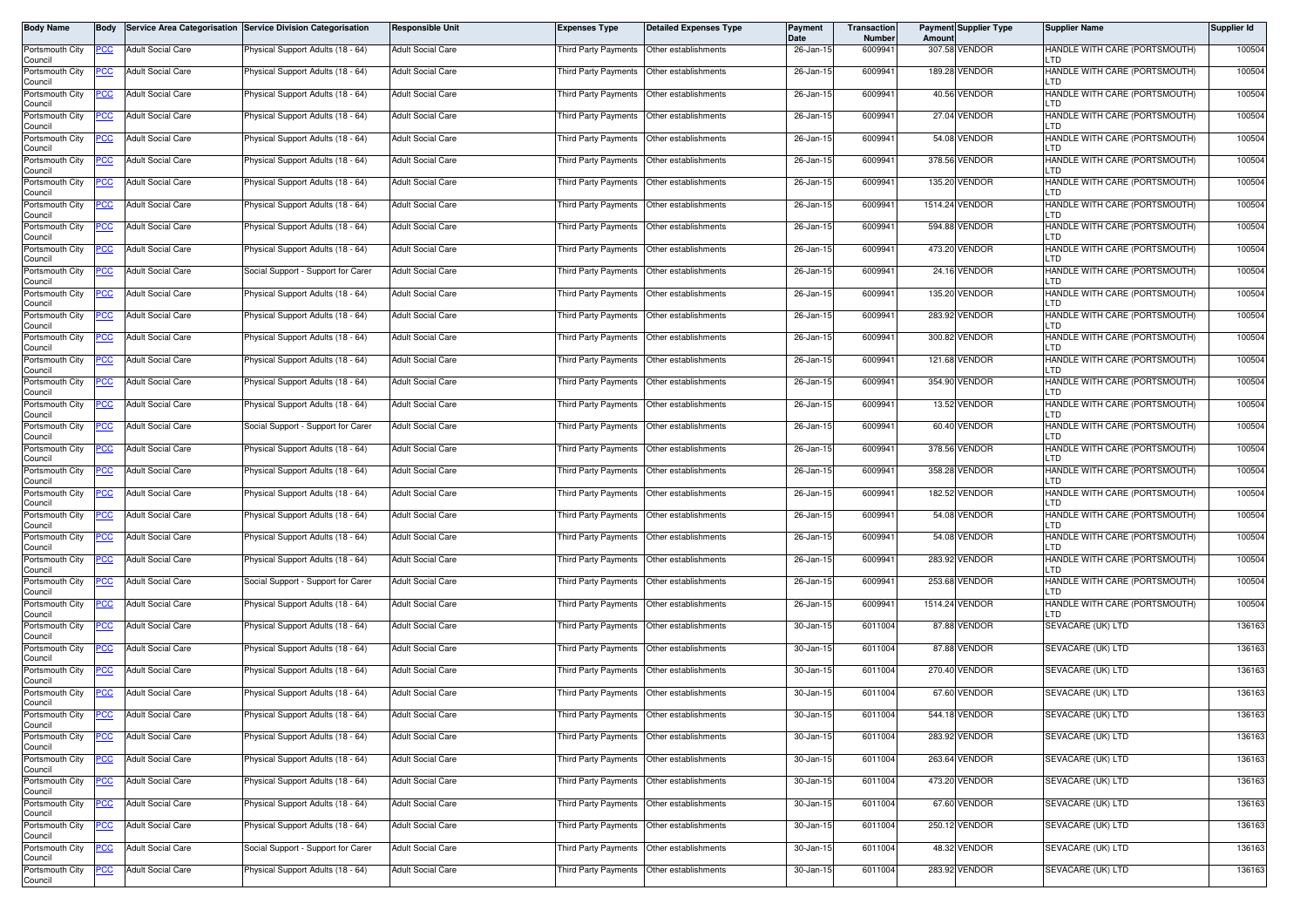| Body Name                  | Body        |                          | Service Area Categorisation Service Division Categorisation | <b>Responsible Unit</b>  | <b>Expenses Type</b>                      | <b>Detailed Expenses Type</b> | Payment<br>Date | <b>Transaction</b><br>Number | Amount | <b>Payment Supplier Type</b> | <b>Supplier Name</b>                  | Supplier Id |
|----------------------------|-------------|--------------------------|-------------------------------------------------------------|--------------------------|-------------------------------------------|-------------------------------|-----------------|------------------------------|--------|------------------------------|---------------------------------------|-------------|
| Portsmouth City<br>Council | PCC         | <b>Adult Social Care</b> | Physical Support Adults (18 - 64)                           | <b>Adult Social Care</b> | Third Party Payments                      | Other establishments          | 26-Jan-15       | 6009941                      |        | 307.58 VENDOR                | HANDLE WITH CARE (PORTSMOUTH)<br>LTD  | 100504      |
| Portsmouth City<br>Council | ပင          | <b>Adult Social Care</b> | Physical Support Adults (18 - 64)                           | Adult Social Care        | Third Party Payments                      | Other establishments          | 26-Jan-15       | 6009941                      |        | 189.28 VENDOR                | HANDLE WITH CARE (PORTSMOUTH)<br>LTD  | 100504      |
| Portsmouth City<br>Council | °СС         | <b>Adult Social Care</b> | Physical Support Adults (18 - 64)                           | <b>Adult Social Care</b> | Third Party Payments                      | Other establishments          | 26-Jan-15       | 6009941                      |        | 40.56 VENDOR                 | HANDLE WITH CARE (PORTSMOUTH)<br>LTD  | 100504      |
| Portsmouth City<br>Council | <u>PCC</u>  | <b>Adult Social Care</b> | Physical Support Adults (18 - 64)                           | <b>Adult Social Care</b> | Third Party Payments                      | Other establishments          | 26-Jan-15       | 600994                       |        | 27.04 VENDOR                 | HANDLE WITH CARE (PORTSMOUTH)<br>LTD  | 100504      |
| Portsmouth City<br>Council | PCC         | <b>Adult Social Care</b> | Physical Support Adults (18 - 64)                           | <b>Adult Social Care</b> | <b>Third Party Payments</b>               | Other establishments          | 26-Jan-15       | 6009941                      |        | 54.08 VENDOR                 | HANDLE WITH CARE (PORTSMOUTH)<br>LTD  | 100504      |
| Portsmouth City<br>Council | <u>'CC</u>  | <b>Adult Social Care</b> | Physical Support Adults (18 - 64)                           | <b>Adult Social Care</b> | Third Party Payments                      | Other establishments          | 26-Jan-15       | 6009941                      |        | 378.56 VENDOR                | HANDLE WITH CARE (PORTSMOUTH)<br>LTD  | 100504      |
| Portsmouth City<br>Council | PCC         | <b>Adult Social Care</b> | Physical Support Adults (18 - 64)                           | <b>Adult Social Care</b> | Third Party Payments                      | Other establishments          | 26-Jan-15       | 6009941                      |        | 135.20 VENDOR                | HANDLE WITH CARE (PORTSMOUTH)<br>LTD  | 100504      |
| Portsmouth City<br>Council | <b>PCC</b>  | <b>Adult Social Care</b> | Physical Support Adults (18 - 64)                           | <b>Adult Social Care</b> | Third Party Payments                      | Other establishments          | 26-Jan-15       | 6009941                      |        | 1514.24 VENDOR               | HANDLE WITH CARE (PORTSMOUTH)<br>LTD  | 100504      |
| Portsmouth City<br>Council | PСC         | <b>Adult Social Care</b> | Physical Support Adults (18 - 64)                           | <b>Adult Social Care</b> | <b>Third Party Payments</b>               | Other establishments          | 26-Jan-15       | 6009941                      |        | 594.88 VENDOR                | HANDLE WITH CARE (PORTSMOUTH)<br>LTD  | 100504      |
| Portsmouth City<br>Council | PСC         | <b>Adult Social Care</b> | Physical Support Adults (18 - 64)                           | <b>Adult Social Care</b> | Third Party Payments                      | Other establishments          | 26-Jan-15       | 6009941                      |        | 473.20 VENDOR                | HANDLE WITH CARE (PORTSMOUTH)<br>LTD  | 100504      |
| Portsmouth City<br>Council | °СС         | <b>Adult Social Care</b> | Social Support - Support for Carer                          | <b>Adult Social Care</b> | Third Party Payments                      | Other establishments          | 26-Jan-15       | 6009941                      |        | 24.16 VENDOR                 | HANDLE WITH CARE (PORTSMOUTH)<br>LTD  | 100504      |
| Portsmouth City<br>Council |             | <b>Adult Social Care</b> | Physical Support Adults (18 - 64)                           | Adult Social Care        | Third Party Payments                      | Other establishments          | 26-Jan-15       | 6009941                      |        | 135.20 VENDOR                | HANDLE WITH CARE (PORTSMOUTH)<br>LTD  | 100504      |
| Portsmouth City<br>Council | PСC         | <b>Adult Social Care</b> | Physical Support Adults (18 - 64)                           | <b>Adult Social Care</b> | <b>Third Party Payments</b>               | Other establishments          | 26-Jan-15       | 6009941                      |        | 283.92 VENDOR                | HANDLE WITH CARE (PORTSMOUTH)<br>חד ו | 100504      |
| Portsmouth City<br>Council | 'CC         | <b>Adult Social Care</b> | Physical Support Adults (18 - 64)                           | <b>Adult Social Care</b> | Third Party Payments                      | Other establishments          | 26-Jan-15       | 6009941                      |        | 300.82 VENDOR                | HANDLE WITH CARE (PORTSMOUTH)<br>LTD  | 100504      |
| Portsmouth City<br>Council | <u>PCC </u> | <b>Adult Social Care</b> | Physical Support Adults (18 - 64)                           | <b>Adult Social Care</b> | Third Party Payments                      | Other establishments          | 26-Jan-15       | 6009941                      |        | 121.68 VENDOR                | HANDLE WITH CARE (PORTSMOUTH)<br>חד ו | 100504      |
| Portsmouth City<br>Council | <u>CC </u>  | <b>Adult Social Care</b> | Physical Support Adults (18 - 64)                           | <b>Adult Social Care</b> | <b>Third Party Payments</b>               | Other establishments          | 26-Jan-15       | 6009941                      |        | 354.90 VENDOR                | HANDLE WITH CARE (PORTSMOUTH)<br>LTD  | 100504      |
| Portsmouth City<br>Council | <u>PCC</u>  | <b>Adult Social Care</b> | Physical Support Adults (18 - 64)                           | <b>Adult Social Care</b> | Third Party Payments                      | Other establishments          | 26-Jan-15       | 6009941                      |        | 13.52 VENDOR                 | HANDLE WITH CARE (PORTSMOUTH)<br>LTD. | 100504      |
| Portsmouth City<br>Council | PCC         | <b>Adult Social Care</b> | Social Support - Support for Carer                          | <b>Adult Social Care</b> | Third Party Payments                      | Other establishments          | 26-Jan-15       | 6009941                      |        | 60.40 VENDOR                 | HANDLE WITH CARE (PORTSMOUTH)<br>LTD  | 100504      |
| Portsmouth City<br>Council | <u>cc</u>   | <b>Adult Social Care</b> | Physical Support Adults (18 - 64)                           | <b>Adult Social Care</b> | <b>Third Party Payments</b>               | Other establishments          | 26-Jan-15       | 6009941                      |        | 378.56 VENDOR                | HANDLE WITH CARE (PORTSMOUTH)<br>חד ו | 100504      |
| Portsmouth City<br>Council |             | <b>Adult Social Care</b> | Physical Support Adults (18 - 64)                           | Adult Social Care        | Third Party Payments                      | Other establishments          | 26-Jan-15       | 6009941                      |        | 358.28 VENDOR                | HANDLE WITH CARE (PORTSMOUTH)<br>LTD  | 100504      |
| Portsmouth City<br>Council | PСC         | <b>Adult Social Care</b> | Physical Support Adults (18 - 64)                           | <b>Adult Social Care</b> | <b>Third Party Payments</b>               | Other establishments          | 26-Jan-15       | 6009941                      |        | 182.52 VENDOR                | HANDLE WITH CARE (PORTSMOUTH)<br>LTD  | 100504      |
| Portsmouth City<br>Council | PСC         | <b>Adult Social Care</b> | Physical Support Adults (18 - 64)                           | <b>Adult Social Care</b> | <b>Third Party Payments</b>               | Other establishments          | 26-Jan-15       | 6009941                      |        | 54.08 VENDOR                 | HANDLE WITH CARE (PORTSMOUTH)<br>LTD  | 100504      |
| Portsmouth City<br>Council |             | <b>Adult Social Care</b> | Physical Support Adults (18 - 64)                           | <b>Adult Social Care</b> | Third Party Payments                      | Other establishments          | 26-Jan-15       | 6009941                      |        | 54.08 VENDOR                 | HANDLE WITH CARE (PORTSMOUTH)<br>LTD  | 100504      |
| Portsmouth City<br>Council | PСC         | <b>Adult Social Care</b> | Physical Support Adults (18 - 64)                           | <b>Adult Social Care</b> | Third Party Payments                      | Other establishments          | 26-Jan-15       | 6009941                      |        | 283.92 VENDOR                | HANDLE WITH CARE (PORTSMOUTH)<br>LTD  | 100504      |
| Portsmouth City<br>Council | PСC         | <b>Adult Social Care</b> | Social Support - Support for Carer                          | Adult Social Care        | Third Party Payments                      | Other establishments          | 26-Jan-15       | 6009941                      |        | 253.68 VENDOR                | HANDLE WITH CARE (PORTSMOUTH)<br>LTD  | 100504      |
| Portsmouth City<br>Council | PCC         | <b>Adult Social Care</b> | Physical Support Adults (18 - 64)                           | <b>Adult Social Care</b> | Third Party Payments                      | Other establishments          | 26-Jan-15       | 6009941                      |        | 1514.24 VENDOR               | HANDLE WITH CARE (PORTSMOUTH)<br>LTD  | 100504      |
| Portsmouth City<br>Council | <u>PCC</u>  | <b>Adult Social Care</b> | Physical Support Adults (18 - 64)                           | <b>Adult Social Care</b> | Third Party Payments                      | Other establishments          | 30-Jan-15       | 6011004                      |        | 87.88 VENDOR                 | SEVACARE (UK) LTD                     | 136163      |
| Portsmouth City<br>Council | PCC         | <b>Adult Social Care</b> | Physical Support Adults (18 - 64)                           | <b>Adult Social Care</b> | Third Party Payments                      | Other establishments          | 30-Jan-15       | 6011004                      |        | 87.88 VENDOR                 | SEVACARE (UK) LTD                     | 136163      |
| Portsmouth City<br>Council | <u>cc</u>   | <b>Adult Social Care</b> | Physical Support Adults (18 - 64)                           | <b>Adult Social Care</b> | Third Party Payments                      | Other establishments          | 30-Jan-15       | 6011004                      |        | 270.40 VENDOR                | SEVACARE (UK) LTD                     | 136163      |
| Portsmouth City<br>Council | <u>PCC</u>  | <b>Adult Social Care</b> | Physical Support Adults (18 - 64)                           | <b>Adult Social Care</b> | <b>Third Party Payments</b>               | Other establishments          | 30-Jan-15       | 6011004                      |        | 67.60 VENDOR                 | SEVACARE (UK) LTD                     | 136163      |
| Portsmouth City<br>Council | <b>PCC</b>  | <b>Adult Social Care</b> | Physical Support Adults (18 - 64)                           | <b>Adult Social Care</b> | Third Party Payments Other establishments |                               | 30-Jan-15       | 6011004                      |        | 544.18 VENDOR                | SEVACARE (UK) LTD                     | 136163      |
| Portsmouth City<br>Council |             | <b>Adult Social Care</b> | Physical Support Adults (18 - 64)                           | <b>Adult Social Care</b> | Third Party Payments                      | Other establishments          | 30-Jan-15       | 6011004                      |        | 283.92 VENDOR                | SEVACARE (UK) LTD                     | 136163      |
| Portsmouth City<br>Council | сC          | <b>Adult Social Care</b> | Physical Support Adults (18 - 64)                           | <b>Adult Social Care</b> | Third Party Payments                      | Other establishments          | 30-Jan-15       | 6011004                      |        | 263.64 VENDOR                | SEVACARE (UK) LTD                     | 136163      |
| Portsmouth City<br>Council | PСC         | <b>Adult Social Care</b> | Physical Support Adults (18 - 64)                           | <b>Adult Social Care</b> | Third Party Payments                      | Other establishments          | 30-Jan-15       | 6011004                      |        | 473.20 VENDOR                | SEVACARE (UK) LTD                     | 136163      |
| Portsmouth City<br>Council | °СС         | <b>Adult Social Care</b> | Physical Support Adults (18 - 64)                           | <b>Adult Social Care</b> | Third Party Payments                      | Other establishments          | 30-Jan-15       | 6011004                      |        | 67.60 VENDOR                 | SEVACARE (UK) LTD                     | 136163      |
| Portsmouth City<br>Council | °СС         | <b>Adult Social Care</b> | Physical Support Adults (18 - 64)                           | Adult Social Care        | Third Party Payments                      | Other establishments          | 30-Jan-15       | 6011004                      |        | 250.12 VENDOR                | SEVACARE (UK) LTD                     | 136163      |
| Portsmouth City<br>Council | <u>CC</u>   | <b>Adult Social Care</b> | Social Support - Support for Carer                          | <b>Adult Social Care</b> | Third Party Payments                      | Other establishments          | 30-Jan-15       | 6011004                      |        | 48.32 VENDOR                 | SEVACARE (UK) LTD                     | 136163      |
| Portsmouth City<br>Council | <b>PCC</b>  | <b>Adult Social Care</b> | Physical Support Adults (18 - 64)                           | <b>Adult Social Care</b> | Third Party Payments                      | Other establishments          | 30-Jan-15       | 6011004                      |        | 283.92 VENDOR                | SEVACARE (UK) LTD                     | 136163      |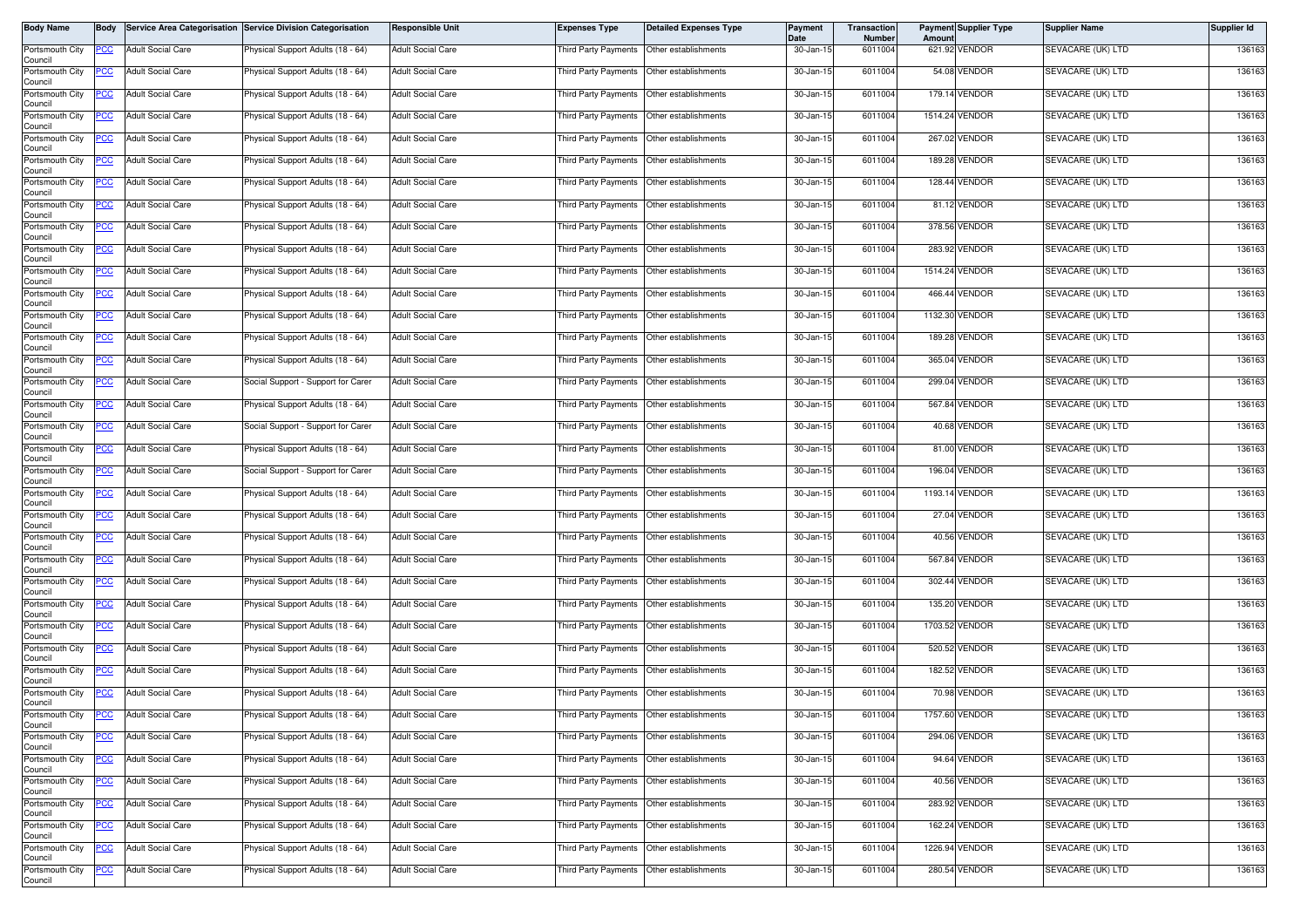| <b>Body Name</b>           | <b>Body</b> |                          | Service Area Categorisation Service Division Categorisation | <b>Responsible Unit</b>  | <b>Expenses Type</b>                      | <b>Detailed Expenses Type</b> | <b>Payment</b><br>Date | <b>Transaction</b><br>Number | Amoun | <b>Payment Supplier Type</b> | <b>Supplier Name</b> | Supplier Id |
|----------------------------|-------------|--------------------------|-------------------------------------------------------------|--------------------------|-------------------------------------------|-------------------------------|------------------------|------------------------------|-------|------------------------------|----------------------|-------------|
| Portsmouth City<br>Council | PCC         | <b>Adult Social Care</b> | Physical Support Adults (18 - 64)                           | <b>Adult Social Care</b> | <b>Third Party Payments</b>               | Other establishments          | 30-Jan-15              | 6011004                      |       | 621.92 VENDOR                | SEVACARE (UK) LTD    | 136163      |
| Portsmouth City<br>Council | PCC         | <b>Adult Social Care</b> | Physical Support Adults (18 - 64)                           | <b>Adult Social Care</b> | Third Party Payments Other establishments |                               | 30-Jan-15              | 6011004                      |       | 54.08 VENDOR                 | SEVACARE (UK) LTD    | 136163      |
| Portsmouth City<br>Council | <u>PCC</u>  | <b>Adult Social Care</b> | <sup>9</sup> hysical Support Adults (18 - 64)               | <b>Adult Social Care</b> | Third Party Payments                      | Other establishments          | 30-Jan-15              | 6011004                      |       | 179.14 VENDOR                | SEVACARE (UK) LTD    | 136163      |
| Portsmouth City<br>Council | PCC         | <b>Adult Social Care</b> | Physical Support Adults (18 - 64)                           | Adult Social Care        | Third Party Payments                      | Other establishments          | 30-Jan-15              | 6011004                      |       | 1514.24 VENDOR               | SEVACARE (UK) LTD    | 136163      |
| Portsmouth City<br>Council | <u>PCC</u>  | <b>Adult Social Care</b> | Physical Support Adults (18 - 64)                           | <b>Adult Social Care</b> | Third Party Payments                      | Other establishments          | 30-Jan-15              | 6011004                      |       | 267.02 VENDOR                | SEVACARE (UK) LTD    | 136163      |
| Portsmouth City<br>Council |             | <b>Adult Social Care</b> | Physical Support Adults (18 - 64)                           | Adult Social Care        | Third Party Payments                      | Other establishments          | 30-Jan-15              | 6011004                      |       | 189.28 VENDOR                | SEVACARE (UK) LTD    | 136163      |
| Portsmouth City<br>Council | <u>PCC</u>  | <b>Adult Social Care</b> | Physical Support Adults (18 - 64)                           | <b>Adult Social Care</b> | Third Party Payments                      | Other establishments          | 30-Jan-15              | 6011004                      |       | 128.44 VENDOR                | SEVACARE (UK) LTD    | 136163      |
| Portsmouth City<br>Council | <u>PCC</u>  | <b>Adult Social Care</b> | Physical Support Adults (18 - 64)                           | Adult Social Care        | Third Party Payments                      | Other establishments          | 30-Jan-15              | 6011004                      |       | 81.12 VENDOR                 | SEVACARE (UK) LTD    | 136163      |
| Portsmouth City<br>Council | <u>PCC</u>  | <b>Adult Social Care</b> | Physical Support Adults (18 - 64)                           | Adult Social Care        | Third Party Payments                      | Other establishments          | 30-Jan-15              | 6011004                      |       | 378.56 VENDOR                | SEVACARE (UK) LTD    | 136163      |
| Portsmouth City<br>Council | PСC         | <b>Adult Social Care</b> | Physical Support Adults (18 - 64)                           | Adult Social Care        | Third Party Payments                      | Other establishments          | 30-Jan-15              | 6011004                      |       | 283.92 VENDOR                | SEVACARE (UK) LTD    | 136163      |
| Portsmouth City<br>Council | <u>PCC</u>  | <b>Adult Social Care</b> | Physical Support Adults (18 - 64)                           | <b>Adult Social Care</b> | Third Party Payments                      | Other establishments          | 30-Jan-15              | 6011004                      |       | 1514.24 VENDOR               | SEVACARE (UK) LTD    | 136163      |
| Portsmouth City<br>Council | <u>PCC</u>  | <b>Adult Social Care</b> | Physical Support Adults (18 - 64)                           | Adult Social Care        | Third Party Payments                      | Other establishments          | 30-Jan-15              | 6011004                      |       | 466.44 VENDOR                | SEVACARE (UK) LTD    | 136163      |
| Portsmouth City<br>Council | <u>PCC</u>  | <b>Adult Social Care</b> | Physical Support Adults (18 - 64)                           | <b>Adult Social Care</b> | <b>Third Party Payments</b>               | Other establishments          | 30-Jan-15              | 6011004                      |       | 1132.30 VENDOR               | SEVACARE (UK) LTD    | 136163      |
| Portsmouth City<br>Council | <u>PCC </u> | <b>Adult Social Care</b> | Physical Support Adults (18 - 64)                           | <b>Adult Social Care</b> | Third Party Payments                      | Other establishments          | 30-Jan-15              | 6011004                      |       | 189.28 VENDOR                | SEVACARE (UK) LTD    | 136163      |
| Portsmouth City<br>Council | <u>PCC</u>  | <b>Adult Social Care</b> | Physical Support Adults (18 - 64)                           | Adult Social Care        | Third Party Payments                      | Other establishments          | 30-Jan-15              | 6011004                      |       | 365.04 VENDOR                | SEVACARE (UK) LTD    | 136163      |
| Portsmouth City<br>Council | <u>PCC</u>  | <b>Adult Social Care</b> | Social Support - Support for Carer                          | <b>Adult Social Care</b> | <b>Third Party Payments</b>               | Other establishments          | 30-Jan-15              | 6011004                      |       | 299.04 VENDOR                | SEVACARE (UK) LTD    | 136163      |
| Portsmouth City<br>Council | <u>PCC</u>  | <b>Adult Social Care</b> | Physical Support Adults (18 - 64)                           | Adult Social Care        | Third Party Payments                      | Other establishments          | 30-Jan-15              | 6011004                      |       | 567.84 VENDOR                | SEVACARE (UK) LTD    | 136163      |
| Portsmouth City<br>Council | PCC         | <b>Adult Social Care</b> | Social Support - Support for Carer                          | Adult Social Care        | Third Party Payments                      | Other establishments          | 30-Jan-15              | 6011004                      |       | 40.68 VENDOR                 | SEVACARE (UK) LTD    | 136163      |
| Portsmouth City<br>Council | <u>cc</u>   | <b>Adult Social Care</b> | Physical Support Adults (18 - 64)                           | Adult Social Care        | <b>Third Party Payments</b>               | Other establishments          | 30-Jan-15              | 6011004                      |       | 81.00 VENDOR                 | SEVACARE (UK) LTD    | 136163      |
| Portsmouth City<br>Council | PCC         | <b>Adult Social Care</b> | Social Support - Support for Carer                          | Adult Social Care        | Third Party Payments                      | Other establishments          | 30-Jan-15              | 6011004                      |       | 196.04 VENDOR                | SEVACARE (UK) LTD    | 136163      |
| Portsmouth City<br>Council | <u>PCC</u>  | <b>Adult Social Care</b> | Physical Support Adults (18 - 64)                           | <b>Adult Social Care</b> | Third Party Payments                      | Other establishments          | 30-Jan-15              | 6011004                      |       | 1193.14 VENDOR               | SEVACARE (UK) LTD    | 136163      |
| Portsmouth City<br>Council | PCC         | <b>Adult Social Care</b> | Physical Support Adults (18 - 64)                           | Adult Social Care        | Third Party Payments                      | Other establishments          | 30-Jan-15              | 6011004                      |       | 27.04 VENDOR                 | SEVACARE (UK) LTD    | 136163      |
| Portsmouth City<br>Council | PСC         | <b>Adult Social Care</b> | Physical Support Adults (18 - 64)                           | <b>Adult Social Care</b> | Third Party Payments                      | Other establishments          | 30-Jan-15              | 6011004                      |       | 40.56 VENDOR                 | SEVACARE (UK) LTD    | 136163      |
| Portsmouth City<br>Council | <u>PCC</u>  | <b>Adult Social Care</b> | Physical Support Adults (18 - 64)                           | <b>Adult Social Care</b> | Third Party Payments                      | Other establishments          | 30-Jan-15              | 6011004                      |       | 567.84 VENDOR                | SEVACARE (UK) LTD    | 136163      |
| Portsmouth City<br>Council | <u>PCC</u>  | <b>Adult Social Care</b> | Physical Support Adults (18 - 64)                           | Adult Social Care        | Third Party Payments                      | Other establishments          | 30-Jan-15              | 6011004                      |       | 302.44 VENDOR                | SEVACARE (UK) LTD    | 136163      |
| Portsmouth City<br>Council | PCC         | <b>Adult Social Care</b> | Physical Support Adults (18 - 64)                           | <b>Adult Social Care</b> | Third Party Payments                      | Other establishments          | 30-Jan-15              | 6011004                      |       | 135.20 VENDOR                | SEVACARE (UK) LTD    | 136163      |
| Portsmouth City<br>Council | <u>PCC</u>  | <b>Adult Social Care</b> | Physical Support Adults (18 - 64)                           | <b>Adult Social Care</b> | Third Party Payments                      | Other establishments          | 30-Jan-15              | 6011004                      |       | 1703.52 VENDOR               | SEVACARE (UK) LTD    | 136163      |
| Portsmouth City<br>Council | <u>PCC</u>  | <b>Adult Social Care</b> | Physical Support Adults (18 - 64)                           | <b>Adult Social Care</b> | Third Party Payments                      | Other establishments          | 30-Jan-15              | 6011004                      |       | 520.52 VENDOR                | SEVACARE (UK) LTD    | 136163      |
| Portsmouth City<br>Council | <u>CC</u>   | <b>Adult Social Care</b> | Physical Support Adults (18 - 64)                           | Adult Social Care        | Third Party Payments                      | Other establishments          | 30-Jan-15              | 6011004                      |       | 182.52 VENDOR                | SEVACARE (UK) LTD    | 136163      |
| Portsmouth City<br>Council | <b>PCC</b>  | <b>Adult Social Care</b> | Physical Support Adults (18 - 64)                           | <b>Adult Social Care</b> | Third Party Payments                      | Other establishments          | 30-Jan-15              | 6011004                      |       | 70.98 VENDOR                 | SEVACARE (UK) LTD    | 136163      |
| Portsmouth City<br>Council | <b>PCC</b>  | <b>Adult Social Care</b> | Physical Support Adults (18 - 64)                           | Adult Social Care        | Third Party Payments Other establishments |                               | 30-Jan-15              | 6011004                      |       | 1757.60 VENDOR               | SEVACARE (UK) LTD    | 136163      |
| Portsmouth City<br>Council | <u>PCC</u>  | <b>Adult Social Care</b> | Physical Support Adults (18 - 64)                           | Adult Social Care        | Third Party Payments                      | Other establishments          | 30-Jan-15              | 6011004                      |       | 294.06 VENDOR                | SEVACARE (UK) LTD    | 136163      |
| Portsmouth City<br>Council | <u>PCC</u>  | <b>Adult Social Care</b> | Physical Support Adults (18 - 64)                           | <b>Adult Social Care</b> | Third Party Payments                      | Other establishments          | $30 - Jan - 15$        | 6011004                      |       | 94.64 VENDOR                 | SEVACARE (UK) LTD    | 136163      |
| Portsmouth City<br>Council | <u>PCC</u>  | <b>Adult Social Care</b> | Physical Support Adults (18 - 64)                           | <b>Adult Social Care</b> | <b>Third Party Payments</b>               | Other establishments          | 30-Jan-15              | 6011004                      |       | 40.56 VENDOR                 | SEVACARE (UK) LTD    | 136163      |
| Portsmouth City<br>Council | PСC         | Adult Social Care        | Physical Support Adults (18 - 64)                           | <b>Adult Social Care</b> | Third Party Payments                      | Other establishments          | 30-Jan-15              | 6011004                      |       | 283.92 VENDOR                | SEVACARE (UK) LTD    | 136163      |
| Portsmouth City<br>Council | <u>PCC </u> | <b>Adult Social Care</b> | Physical Support Adults (18 - 64)                           | <b>Adult Social Care</b> | Third Party Payments                      | Other establishments          | 30-Jan-15              | 6011004                      |       | 162.24 VENDOR                | SEVACARE (UK) LTD    | 136163      |
| Portsmouth City<br>Council | <u>PCC</u>  | <b>Adult Social Care</b> | Physical Support Adults (18 - 64)                           | <b>Adult Social Care</b> | Third Party Payments                      | Other establishments          | 30-Jan-15              | 6011004                      |       | 1226.94 VENDOR               | SEVACARE (UK) LTD    | 136163      |
| Portsmouth City<br>Council | <u>PCC</u>  | <b>Adult Social Care</b> | Physical Support Adults (18 - 64)                           | <b>Adult Social Care</b> | Third Party Payments                      | Other establishments          | 30-Jan-15              | 6011004                      |       | 280.54 VENDOR                | SEVACARE (UK) LTD    | 136163      |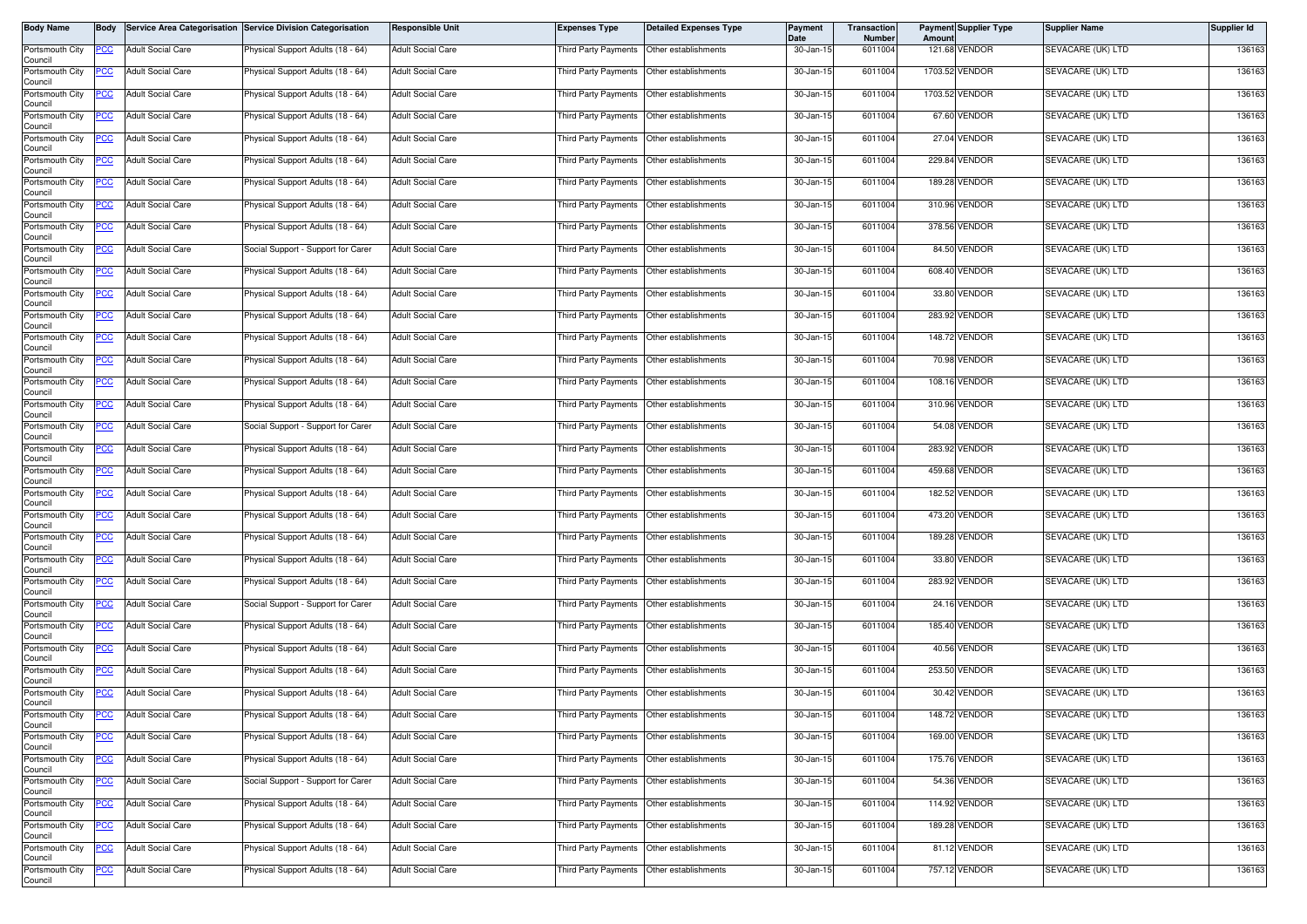| <b>Body Name</b>           | <b>Body</b> |                          | Service Area Categorisation Service Division Categorisation | <b>Responsible Unit</b>  | <b>Expenses Type</b>                      | <b>Detailed Expenses Type</b> | <b>Payment</b><br>Date | <b>Transaction</b><br>Number | Amoun | <b>Payment Supplier Type</b> | <b>Supplier Name</b> | Supplier Id |
|----------------------------|-------------|--------------------------|-------------------------------------------------------------|--------------------------|-------------------------------------------|-------------------------------|------------------------|------------------------------|-------|------------------------------|----------------------|-------------|
| Portsmouth City<br>Council | PCC         | <b>Adult Social Care</b> | Physical Support Adults (18 - 64)                           | <b>Adult Social Care</b> | Third Party Payments                      | Other establishments          | 30-Jan-15              | 6011004                      |       | 121.68 VENDOR                | SEVACARE (UK) LTD    | 136163      |
| Portsmouth City<br>Council | PCC         | <b>Adult Social Care</b> | Physical Support Adults (18 - 64)                           | <b>Adult Social Care</b> | Third Party Payments Other establishments |                               | 30-Jan-15              | 6011004                      |       | 1703.52 VENDOR               | SEVACARE (UK) LTD    | 136163      |
| Portsmouth City<br>Council | <u>PCC</u>  | <b>Adult Social Care</b> | <sup>9</sup> hysical Support Adults (18 - 64)               | <b>Adult Social Care</b> | Third Party Payments                      | Other establishments          | 30-Jan-15              | 6011004                      |       | 1703.52 VENDOR               | SEVACARE (UK) LTD    | 136163      |
| Portsmouth City<br>Council | PCC         | <b>Adult Social Care</b> | Physical Support Adults (18 - 64)                           | <b>Adult Social Care</b> | Third Party Payments                      | Other establishments          | 30-Jan-15              | 6011004                      |       | 67.60 VENDOR                 | SEVACARE (UK) LTD    | 136163      |
| Portsmouth City<br>Council | <u>PCC</u>  | <b>Adult Social Care</b> | Physical Support Adults (18 - 64)                           | <b>Adult Social Care</b> | Third Party Payments                      | Other establishments          | 30-Jan-15              | 6011004                      |       | 27.04 VENDOR                 | SEVACARE (UK) LTD    | 136163      |
| Portsmouth City<br>Council |             | <b>Adult Social Care</b> | Physical Support Adults (18 - 64)                           | <b>Adult Social Care</b> | Third Party Payments                      | Other establishments          | 30-Jan-15              | 6011004                      |       | 229.84 VENDOR                | SEVACARE (UK) LTD    | 136163      |
| Portsmouth City<br>Council | <u>PCC</u>  | <b>Adult Social Care</b> | Physical Support Adults (18 - 64)                           | <b>Adult Social Care</b> | Third Party Payments                      | Other establishments          | 30-Jan-15              | 6011004                      |       | 189.28 VENDOR                | SEVACARE (UK) LTD    | 136163      |
| Portsmouth City<br>Council | <u>PCC</u>  | <b>Adult Social Care</b> | Physical Support Adults (18 - 64)                           | <b>Adult Social Care</b> | Third Party Payments                      | Other establishments          | 30-Jan-15              | 6011004                      |       | 310.96 VENDOR                | SEVACARE (UK) LTD    | 136163      |
| Portsmouth City<br>Council | <u>PCC</u>  | <b>Adult Social Care</b> | Physical Support Adults (18 - 64)                           | <b>Adult Social Care</b> | Third Party Payments                      | Other establishments          | 30-Jan-15              | 6011004                      |       | 378.56 VENDOR                | SEVACARE (UK) LTD    | 136163      |
| Portsmouth City<br>Council | PСC         | <b>Adult Social Care</b> | Social Support - Support for Carer                          | <b>Adult Social Care</b> | Third Party Payments                      | Other establishments          | 30-Jan-15              | 6011004                      |       | 84.50 VENDOR                 | SEVACARE (UK) LTD    | 136163      |
| Portsmouth City<br>Council | <u>PCC</u>  | <b>Adult Social Care</b> | Physical Support Adults (18 - 64)                           | <b>Adult Social Care</b> | Third Party Payments                      | Other establishments          | 30-Jan-15              | 6011004                      |       | 608.40 VENDOR                | SEVACARE (UK) LTD    | 136163      |
| Portsmouth City<br>Council | <u>PCC</u>  | <b>Adult Social Care</b> | Physical Support Adults (18 - 64)                           | Adult Social Care        | Third Party Payments                      | Other establishments          | 30-Jan-15              | 6011004                      |       | 33.80 VENDOR                 | SEVACARE (UK) LTD    | 136163      |
| Portsmouth City<br>Council | <u>PCC</u>  | <b>Adult Social Care</b> | Physical Support Adults (18 - 64)                           | <b>Adult Social Care</b> | <b>Third Party Payments</b>               | Other establishments          | 30-Jan-15              | 6011004                      |       | 283.92 VENDOR                | SEVACARE (UK) LTD    | 136163      |
| Portsmouth City<br>Council | <u>PCC </u> | <b>Adult Social Care</b> | Physical Support Adults (18 - 64)                           | <b>Adult Social Care</b> | Third Party Payments                      | Other establishments          | 30-Jan-15              | 6011004                      |       | 148.72 VENDOR                | SEVACARE (UK) LTD    | 136163      |
| Portsmouth City<br>Council | <u>PCC</u>  | <b>Adult Social Care</b> | Physical Support Adults (18 - 64)                           | <b>Adult Social Care</b> | Third Party Payments                      | Other establishments          | 30-Jan-15              | 6011004                      |       | 70.98 VENDOR                 | SEVACARE (UK) LTD    | 136163      |
| Portsmouth City<br>Council | <u>PCC</u>  | <b>Adult Social Care</b> | Physical Support Adults (18 - 64)                           | <b>Adult Social Care</b> | Third Party Payments                      | Other establishments          | 30-Jan-15              | 6011004                      |       | 108.16 VENDOR                | SEVACARE (UK) LTD    | 136163      |
| Portsmouth City<br>Council | <u>PCC</u>  | <b>Adult Social Care</b> | Physical Support Adults (18 - 64)                           | Adult Social Care        | Third Party Payments                      | Other establishments          | 30-Jan-15              | 6011004                      |       | 310.96 VENDOR                | SEVACARE (UK) LTD    | 136163      |
| Portsmouth City<br>Council | PCC         | <b>Adult Social Care</b> | Social Support - Support for Carer                          | <b>Adult Social Care</b> | Third Party Payments                      | Other establishments          | 30-Jan-15              | 6011004                      |       | 54.08 VENDOR                 | SEVACARE (UK) LTD    | 136163      |
| Portsmouth City<br>Council | <u>cc</u>   | <b>Adult Social Care</b> | Physical Support Adults (18 - 64)                           | <b>Adult Social Care</b> | <b>Third Party Payments</b>               | Other establishments          | 30-Jan-15              | 6011004                      |       | 283.92 VENDOR                | SEVACARE (UK) LTD    | 136163      |
| Portsmouth City<br>Council | PCC         | <b>Adult Social Care</b> | Physical Support Adults (18 - 64)                           | Adult Social Care        | Third Party Payments                      | Other establishments          | 30-Jan-15              | 6011004                      |       | 459.68 VENDOR                | SEVACARE (UK) LTD    | 136163      |
| Portsmouth City<br>Council | <u>PCC</u>  | <b>Adult Social Care</b> | Physical Support Adults (18 - 64)                           | <b>Adult Social Care</b> | Third Party Payments                      | Other establishments          | 30-Jan-15              | 6011004                      |       | 182.52 VENDOR                | SEVACARE (UK) LTD    | 136163      |
| Portsmouth City<br>Council | PCC         | <b>Adult Social Care</b> | Physical Support Adults (18 - 64)                           | <b>Adult Social Care</b> | Third Party Payments                      | Other establishments          | 30-Jan-15              | 6011004                      |       | 473.20 VENDOR                | SEVACARE (UK) LTD    | 136163      |
| Portsmouth City<br>Council | PСC         | <b>Adult Social Care</b> | Physical Support Adults (18 - 64)                           | <b>Adult Social Care</b> | Third Party Payments                      | Other establishments          | 30-Jan-15              | 6011004                      |       | 189.28 VENDOR                | SEVACARE (UK) LTD    | 136163      |
| Portsmouth City<br>Council | <u>PCC</u>  | <b>Adult Social Care</b> | Physical Support Adults (18 - 64)                           | <b>Adult Social Care</b> | Third Party Payments                      | Other establishments          | 30-Jan-15              | 6011004                      |       | 33.80 VENDOR                 | SEVACARE (UK) LTD    | 136163      |
| Portsmouth City<br>Council | <u>PCC</u>  | <b>Adult Social Care</b> | Physical Support Adults (18 - 64)                           | Adult Social Care        | Third Party Payments                      | Other establishments          | 30-Jan-15              | 6011004                      |       | 283.92 VENDOR                | SEVACARE (UK) LTD    | 136163      |
| Portsmouth City<br>Council | PCC         | <b>Adult Social Care</b> | Social Support - Support for Carer                          | <b>Adult Social Care</b> | Third Party Payments                      | Other establishments          | 30-Jan-15              | 6011004                      |       | 24.16 VENDOR                 | SEVACARE (UK) LTD    | 136163      |
| Portsmouth City<br>Council | PCC         | <b>Adult Social Care</b> | Physical Support Adults (18 - 64)                           | <b>Adult Social Care</b> | Third Party Payments                      | Other establishments          | 30-Jan-15              | 6011004                      |       | 185.40 VENDOR                | SEVACARE (UK) LTD    | 136163      |
| Portsmouth City<br>Council | <u>PCC</u>  | <b>Adult Social Care</b> | Physical Support Adults (18 - 64)                           | <b>Adult Social Care</b> | Third Party Payments                      | Other establishments          | 30-Jan-15              | 6011004                      |       | 40.56 VENDOR                 | SEVACARE (UK) LTD    | 136163      |
| Portsmouth City<br>Council | <u>CC</u>   | <b>Adult Social Care</b> | Physical Support Adults (18 - 64)                           | Adult Social Care        | Third Party Payments                      | Other establishments          | 30-Jan-15              | 6011004                      |       | 253.50 VENDOR                | SEVACARE (UK) LTD    | 136163      |
| Portsmouth City<br>Council | <b>PCC</b>  | <b>Adult Social Care</b> | Physical Support Adults (18 - 64)                           | <b>Adult Social Care</b> | Third Party Payments                      | Other establishments          | 30-Jan-15              | 6011004                      |       | 30.42 VENDOR                 | SEVACARE (UK) LTD    | 136163      |
| Portsmouth City<br>Council | <b>PCC</b>  | <b>Adult Social Care</b> | Physical Support Adults (18 - 64)                           | Adult Social Care        | Third Party Payments Other establishments |                               | 30-Jan-15              | 6011004                      |       | 148.72 VENDOR                | SEVACARE (UK) LTD    | 136163      |
| Portsmouth City<br>Council | <u>PCC</u>  | <b>Adult Social Care</b> | Physical Support Adults (18 - 64)                           | <b>Adult Social Care</b> | hird Party Payments                       | Other establishments          | 30-Jan-15              | 6011004                      |       | 169.00 VENDOR                | SEVACARE (UK) LTD    | 136163      |
| Portsmouth City<br>Council | <u>PCC</u>  | <b>Adult Social Care</b> | Physical Support Adults (18 - 64)                           | <b>Adult Social Care</b> | Third Party Payments                      | Other establishments          | 30-Jan-15              | 6011004                      |       | 175.76 VENDOR                | SEVACARE (UK) LTD    | 136163      |
| Portsmouth City<br>Council | <u>PCC</u>  | <b>Adult Social Care</b> | Social Support - Support for Carer                          | <b>Adult Social Care</b> | Third Party Payments                      | Other establishments          | 30-Jan-15              | 6011004                      |       | 54.36 VENDOR                 | SEVACARE (UK) LTD    | 136163      |
| Portsmouth City<br>Council | PСC         | Adult Social Care        | Physical Support Adults (18 - 64)                           | <b>Adult Social Care</b> | Third Party Payments                      | Other establishments          | 30-Jan-15              | 6011004                      |       | 114.92 VENDOR                | SEVACARE (UK) LTD    | 136163      |
| Portsmouth City<br>Council | <u>PCC </u> | <b>Adult Social Care</b> | Physical Support Adults (18 - 64)                           | <b>Adult Social Care</b> | Third Party Payments                      | Other establishments          | 30-Jan-15              | 6011004                      |       | 189.28 VENDOR                | SEVACARE (UK) LTD    | 136163      |
| Portsmouth City<br>Council | <u>PCC</u>  | <b>Adult Social Care</b> | Physical Support Adults (18 - 64)                           | <b>Adult Social Care</b> | Third Party Payments                      | Other establishments          | 30-Jan-15              | 6011004                      |       | 81.12 VENDOR                 | SEVACARE (UK) LTD    | 136163      |
| Portsmouth City<br>Council | <u>PCC</u>  | <b>Adult Social Care</b> | Physical Support Adults (18 - 64)                           | <b>Adult Social Care</b> | <b>Third Party Payments</b>               | Other establishments          | 30-Jan-15              | 6011004                      |       | 757.12 VENDOR                | SEVACARE (UK) LTD    | 136163      |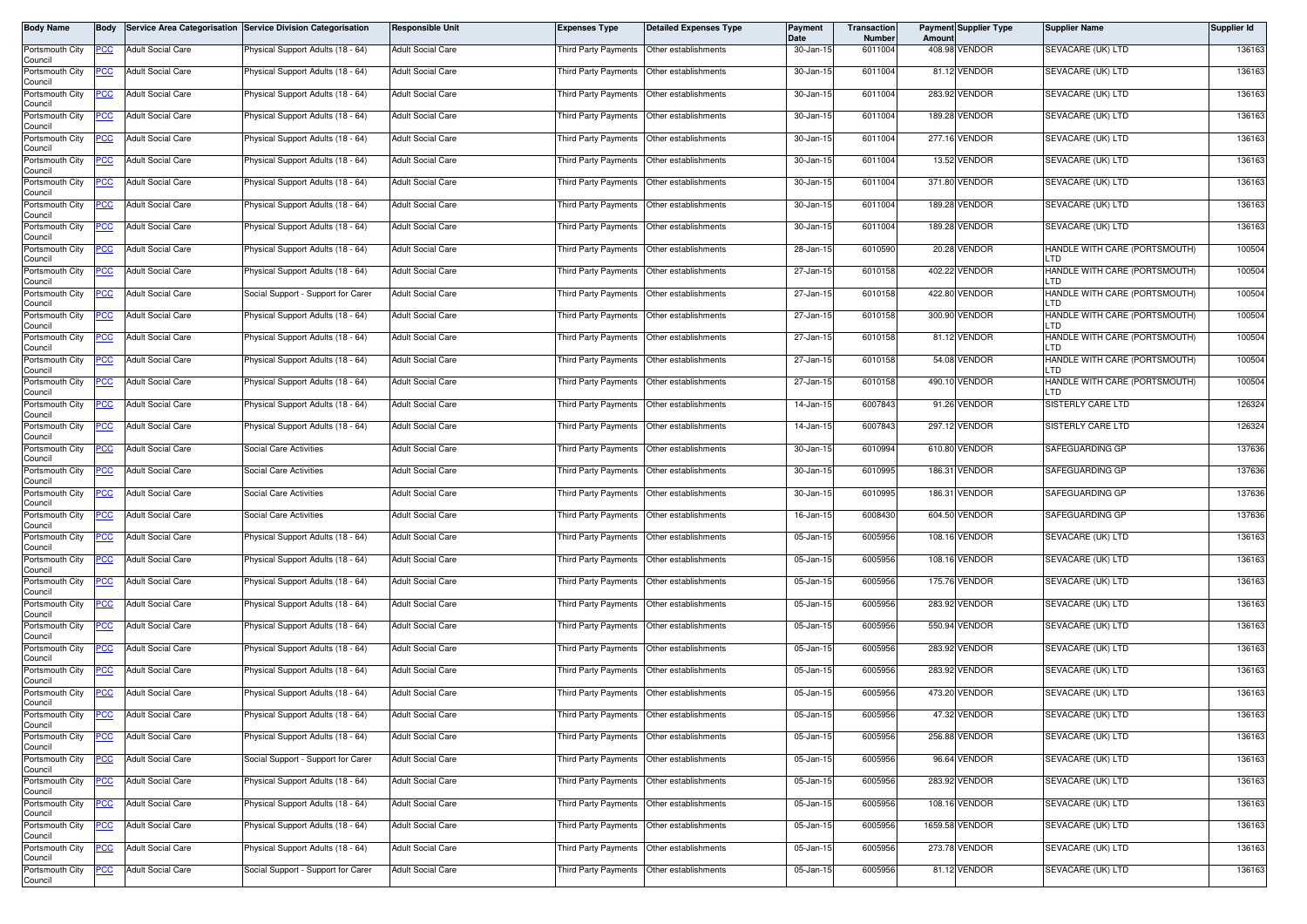| <b>Body Name</b>           | <b>Body</b> |                          | Service Area Categorisation Service Division Categorisation | <b>Responsible Unit</b>  | <b>Expenses Type</b>                      | <b>Detailed Expenses Type</b>             | <b>Payment</b><br>Date | <b>Transaction</b><br><b>Number</b> | Amoun | <b>Payment Supplier Type</b> | <b>Supplier Name</b>                  | Supplier Id |
|----------------------------|-------------|--------------------------|-------------------------------------------------------------|--------------------------|-------------------------------------------|-------------------------------------------|------------------------|-------------------------------------|-------|------------------------------|---------------------------------------|-------------|
| Portsmouth City<br>Council | PCC         | <b>Adult Social Care</b> | Physical Support Adults (18 - 64)                           | <b>Adult Social Care</b> | Third Party Payments                      | Other establishments                      | 30-Jan-15              | 6011004                             |       | 408.98 VENDOR                | SEVACARE (UK) LTD                     | 136163      |
| Portsmouth City<br>Council | PCC         | <b>Adult Social Care</b> | Physical Support Adults (18 - 64)                           | <b>Adult Social Care</b> |                                           | Third Party Payments Other establishments | 30-Jan-15              | 6011004                             |       | 81.12 VENDOR                 | SEVACARE (UK) LTD                     | 136163      |
| Portsmouth City<br>Council | <u>PCC </u> | <b>Adult Social Care</b> | <sup>9</sup> hysical Support Adults (18 - 64)               | <b>Adult Social Care</b> | Third Party Payments                      | Other establishments                      | 30-Jan-15              | 6011004                             |       | 283.92 VENDOR                | SEVACARE (UK) LTD                     | 136163      |
| Portsmouth City<br>Council | PCC         | <b>Adult Social Care</b> | Physical Support Adults (18 - 64)                           | <b>Adult Social Care</b> | Third Party Payments                      | Other establishments                      | 30-Jan-15              | 6011004                             |       | 189.28 VENDOR                | SEVACARE (UK) LTD                     | 136163      |
| Portsmouth City<br>Council | <u>PCC</u>  | <b>Adult Social Care</b> | Physical Support Adults (18 - 64)                           | <b>Adult Social Care</b> | Third Party Payments                      | Other establishments                      | 30-Jan-15              | 6011004                             |       | 277.16 VENDOR                | SEVACARE (UK) LTD                     | 136163      |
| Portsmouth City<br>Council |             | <b>Adult Social Care</b> | Physical Support Adults (18 - 64)                           | <b>Adult Social Care</b> | Third Party Payments                      | Other establishments                      | 30-Jan-15              | 6011004                             |       | 13.52 VENDOR                 | SEVACARE (UK) LTD                     | 136163      |
| Portsmouth City<br>Council | <u>PCC</u>  | <b>Adult Social Care</b> | Physical Support Adults (18 - 64)                           | <b>Adult Social Care</b> | Third Party Payments                      | Other establishments                      | 30-Jan-15              | 6011004                             |       | 371.80 VENDOR                | SEVACARE (UK) LTD                     | 136163      |
| Portsmouth City<br>Council | <u>PCC</u>  | <b>Adult Social Care</b> | Physical Support Adults (18 - 64)                           | <b>Adult Social Care</b> | <b>Third Party Payments</b>               | Other establishments                      | 30-Jan-15              | 6011004                             |       | 189.28 VENDOR                | SEVACARE (UK) LTD                     | 136163      |
| Portsmouth City<br>Council | <u>PCC</u>  | <b>Adult Social Care</b> | Physical Support Adults (18 - 64)                           | <b>Adult Social Care</b> | Third Party Payments                      | Other establishments                      | 30-Jan-15              | 6011004                             |       | 189.28 VENDOR                | SEVACARE (UK) LTD                     | 136163      |
| Portsmouth City<br>Council | PСC         | <b>Adult Social Care</b> | Physical Support Adults (18 - 64)                           | <b>Adult Social Care</b> | Third Party Payments                      | Other establishments                      | 28-Jan-15              | 6010590                             |       | 20.28 VENDOR                 | HANDLE WITH CARE (PORTSMOUTH)<br>LTD  | 100504      |
| Portsmouth City<br>Council | <u>PCC</u>  | <b>Adult Social Care</b> | Physical Support Adults (18 - 64)                           | <b>Adult Social Care</b> | Third Party Payments                      | Other establishments                      | 27-Jan-15              | 6010158                             |       | 402.22 VENDOR                | HANDLE WITH CARE (PORTSMOUTH)<br>LTD  | 100504      |
| Portsmouth City<br>Council | <u>PCC</u>  | <b>Adult Social Care</b> | Social Support - Support for Carer                          | Adult Social Care        | Third Party Payments                      | Other establishments                      | 27-Jan-15              | 6010158                             |       | 422.80 VENDOR                | HANDLE WITH CARE (PORTSMOUTH)<br>_TD  | 100504      |
| Portsmouth City<br>Council | <u>PCC</u>  | <b>Adult Social Care</b> | Physical Support Adults (18 - 64)                           | <b>Adult Social Care</b> | <b>Third Party Payments</b>               | Other establishments                      | 27-Jan-15              | 6010158                             |       | 300.90 VENDOR                | HANDLE WITH CARE (PORTSMOUTH)<br>LTD  | 100504      |
| Portsmouth City<br>Council | <u>PCC </u> | <b>Adult Social Care</b> | Physical Support Adults (18 - 64)                           | <b>Adult Social Care</b> | Third Party Payments                      | Other establishments                      | 27-Jan-15              | 6010158                             |       | 81.12 VENDOR                 | HANDLE WITH CARE (PORTSMOUTH)<br>_TD  | 100504      |
| Portsmouth City<br>Council | <u>PCC</u>  | <b>Adult Social Care</b> | Physical Support Adults (18 - 64)                           | <b>Adult Social Care</b> | Third Party Payments                      | Other establishments                      | 27-Jan-15              | 6010158                             |       | 54.08 VENDOR                 | HANDLE WITH CARE (PORTSMOUTH)<br>LTD. | 100504      |
| Portsmouth City<br>Council | <u>PCC</u>  | <b>Adult Social Care</b> | Physical Support Adults (18 - 64)                           | <b>Adult Social Care</b> | <b>Third Party Payments</b>               | Other establishments                      | 27-Jan-15              | 6010158                             |       | 490.10 VENDOR                | HANDLE WITH CARE (PORTSMOUTH)<br>_TD  | 100504      |
| Portsmouth City<br>Council | <u>PCC</u>  | <b>Adult Social Care</b> | Physical Support Adults (18 - 64)                           | Adult Social Care        | Third Party Payments                      | Other establishments                      | 14-Jan-15              | 6007843                             |       | 91.26 VENDOR                 | SISTERLY CARE LTD                     | 126324      |
| Portsmouth City<br>Council | PCC         | <b>Adult Social Care</b> | Physical Support Adults (18 - 64)                           | <b>Adult Social Care</b> | Third Party Payments                      | Other establishments                      | 14-Jan-15              | 6007843                             |       | 297.12 VENDOR                | SISTERLY CARE LTD                     | 126324      |
| Portsmouth City<br>Council | <u>cc</u>   | <b>Adult Social Care</b> | Social Care Activities                                      | <b>Adult Social Care</b> | <b>Third Party Payments</b>               | Other establishments                      | 30-Jan-15              | 6010994                             |       | 610.80 VENDOR                | SAFEGUARDING GP                       | 137636      |
| Portsmouth City<br>Council | PСC         | <b>Adult Social Care</b> | Social Care Activities                                      | Adult Social Care        | Third Party Payments                      | Other establishments                      | 30-Jan-15              | 6010995                             |       | 186.31 VENDOR                | SAFEGUARDING GP                       | 137636      |
| Portsmouth City<br>Council | <u>PCC</u>  | <b>Adult Social Care</b> | <b>Social Care Activities</b>                               | Adult Social Care        | Third Party Payments                      | Other establishments                      | 30-Jan-15              | 6010995                             |       | 186.31 VENDOR                | SAFEGUARDING GP                       | 137636      |
| Portsmouth City<br>Council | PCC         | <b>Adult Social Care</b> | Social Care Activities                                      | Adult Social Care        | Third Party Payments                      | Other establishments                      | 16-Jan-15              | 6008430                             |       | 604.50 VENDOR                | SAFEGUARDING GP                       | 137636      |
| Portsmouth City<br>Council | PСC         | <b>Adult Social Care</b> | Physical Support Adults (18 - 64)                           | <b>Adult Social Care</b> | Third Party Payments                      | Other establishments                      | 05-Jan-15              | 6005956                             |       | 108.16 VENDOR                | SEVACARE (UK) LTD                     | 136163      |
| Portsmouth City<br>Council | <u>PCC</u>  | <b>Adult Social Care</b> | Physical Support Adults (18 - 64)                           | Adult Social Care        | Third Party Payments                      | Other establishments                      | 05-Jan-15              | 6005956                             |       | 108.16 VENDOR                | SEVACARE (UK) LTD                     | 136163      |
| Portsmouth City<br>Council | <u>PCC</u>  | <b>Adult Social Care</b> | Physical Support Adults (18 - 64)                           | Adult Social Care        | Third Party Payments                      | Other establishments                      | 05-Jan-15              | 6005956                             |       | 175.76 VENDOR                | SEVACARE (UK) LTD                     | 136163      |
| Portsmouth City<br>Council | PCC         | <b>Adult Social Care</b> | Physical Support Adults (18 - 64)                           | Adult Social Care        | Third Party Payments                      | Other establishments                      | 05-Jan-15              | 6005956                             |       | 283.92 VENDOR                | SEVACARE (UK) LTD                     | 136163      |
| Portsmouth City<br>Council | PCC         | <b>Adult Social Care</b> | Physical Support Adults (18 - 64)                           | Adult Social Care        | Third Party Payments                      | Other establishments                      | 05-Jan-15              | 6005956                             |       | 550.94 VENDOR                | SEVACARE (UK) LTD                     | 136163      |
| Portsmouth City<br>Council | <u>PCC</u>  | <b>Adult Social Care</b> | Physical Support Adults (18 - 64)                           | <b>Adult Social Care</b> | Third Party Payments                      | Other establishments                      | 05-Jan-15              | 6005956                             |       | 283.92 VENDOR                | SEVACARE (UK) LTD                     | 136163      |
| Portsmouth City<br>Council | <u>CC</u>   | <b>Adult Social Care</b> | Physical Support Adults (18 - 64)                           | Adult Social Care        | Third Party Payments                      | Other establishments                      | 05-Jan-15              | 6005956                             |       | 283.92 VENDOR                | SEVACARE (UK) LTD                     | 136163      |
| Portsmouth City<br>Council | <b>PCC</b>  | <b>Adult Social Care</b> | Physical Support Adults (18 - 64)                           | <b>Adult Social Care</b> | <b>Third Party Payments</b>               | Other establishments                      | 05-Jan-15              | 6005956                             |       | 473.20 VENDOR                | SEVACARE (UK) LTD                     | 136163      |
| Portsmouth City<br>Council | <b>PCC</b>  | <b>Adult Social Care</b> | Physical Support Adults (18 - 64)                           | Adult Social Care        | Third Party Payments Other establishments |                                           | 05-Jan-15              | 6005956                             |       | 47.32 VENDOR                 | SEVACARE (UK) LTD                     | 136163      |
| Portsmouth City<br>Council | <u>PCC</u>  | <b>Adult Social Care</b> | Physical Support Adults (18 - 64)                           | Adult Social Care        | hird Party Payments                       | Other establishments                      | 05-Jan-15              | 6005956                             |       | 256.88 VENDOR                | SEVACARE (UK) LTD                     | 136163      |
| Portsmouth City<br>Council | <u>PCC</u>  | <b>Adult Social Care</b> | Social Support - Support for Carer                          | <b>Adult Social Care</b> | Third Party Payments                      | Other establishments                      | 05-Jan-15              | 6005956                             |       | 96.64 VENDOR                 | SEVACARE (UK) LTD                     | 136163      |
| Portsmouth City<br>Council | <u>PCC</u>  | <b>Adult Social Care</b> | Physical Support Adults (18 - 64)                           | Adult Social Care        | Third Party Payments                      | Other establishments                      | 05-Jan-15              | 6005956                             |       | 283.92 VENDOR                | SEVACARE (UK) LTD                     | 136163      |
| Portsmouth City<br>Council | PСC         | Adult Social Care        | Physical Support Adults (18 - 64)                           | Adult Social Care        | Third Party Payments                      | Other establishments                      | 05-Jan-15              | 6005956                             |       | 108.16 VENDOR                | SEVACARE (UK) LTD                     | 136163      |
| Portsmouth City<br>Council | <u>PCC </u> | <b>Adult Social Care</b> | Physical Support Adults (18 - 64)                           | <b>Adult Social Care</b> | Third Party Payments                      | Other establishments                      | 05-Jan-15              | 6005956                             |       | 1659.58 VENDOR               | SEVACARE (UK) LTD                     | 136163      |
| Portsmouth City<br>Council | <u>PCC</u>  | <b>Adult Social Care</b> | Physical Support Adults (18 - 64)                           | <b>Adult Social Care</b> | Third Party Payments                      | Other establishments                      | 05-Jan-15              | 6005956                             |       | 273.78 VENDOR                | SEVACARE (UK) LTD                     | 136163      |
| Portsmouth City<br>Council | <u>PCC</u>  | <b>Adult Social Care</b> | Social Support - Support for Carer                          | Adult Social Care        | Third Party Payments                      | Other establishments                      | 05-Jan-15              | 6005956                             |       | 81.12 VENDOR                 | SEVACARE (UK) LTD                     | 136163      |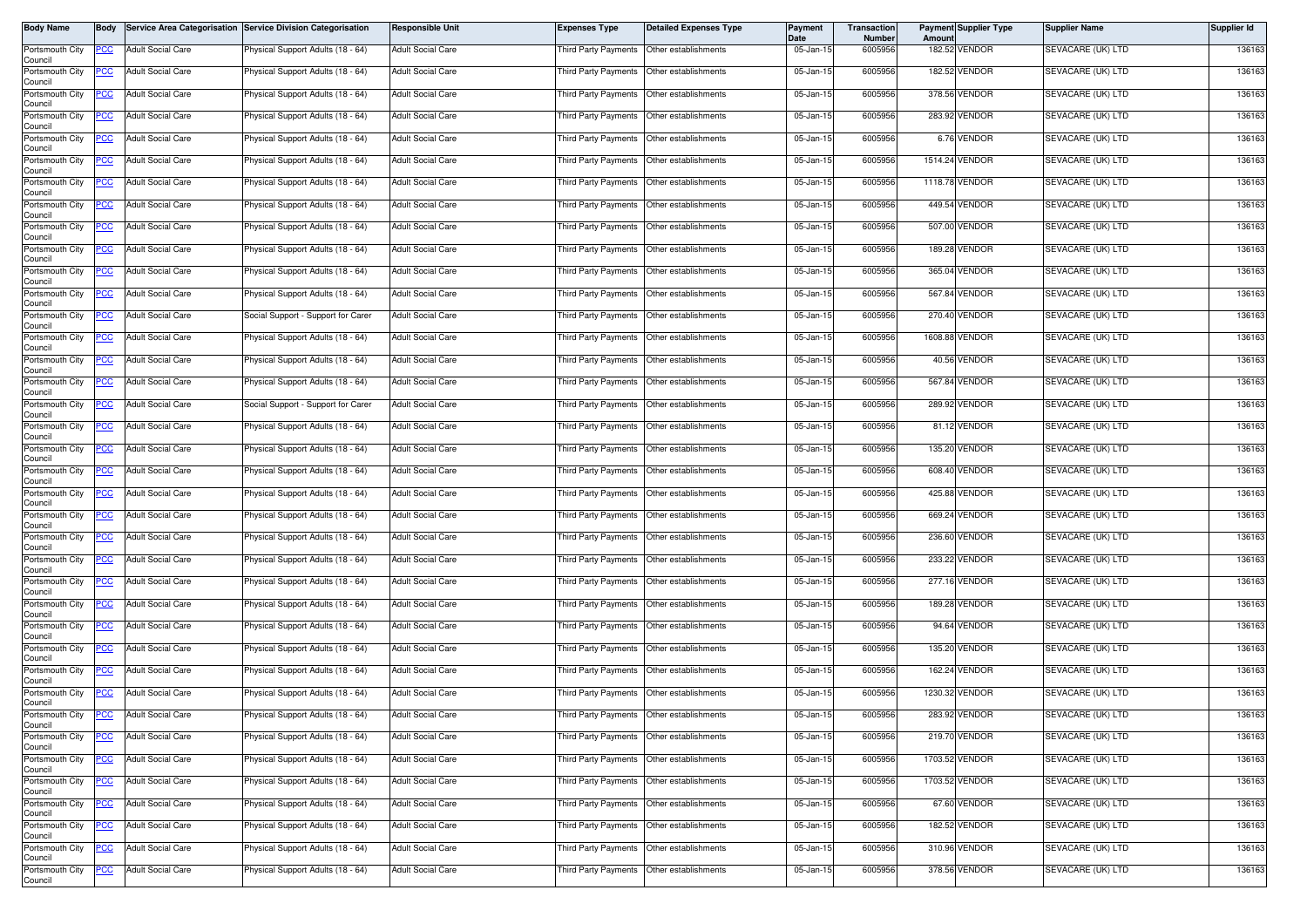| <b>Body Name</b>           | <b>Body</b> |                          | Service Area Categorisation Service Division Categorisation | <b>Responsible Unit</b>  | <b>Expenses Type</b>                      | <b>Detailed Expenses Type</b> | <b>Payment</b><br>Date  | <b>Transaction</b><br>Number | Amount | <b>Payment Supplier Type</b> | <b>Supplier Name</b> | Supplier Id |
|----------------------------|-------------|--------------------------|-------------------------------------------------------------|--------------------------|-------------------------------------------|-------------------------------|-------------------------|------------------------------|--------|------------------------------|----------------------|-------------|
| Portsmouth City<br>Council | PCC         | <b>Adult Social Care</b> | Physical Support Adults (18 - 64)                           | Adult Social Care        | <b>Third Party Payments</b>               | Other establishments          | 05-Jan-15               | 6005956                      |        | 182.52 VENDOR                | SEVACARE (UK) LTD    | 136163      |
| Portsmouth City<br>Council | PCC         | <b>Adult Social Care</b> | Physical Support Adults (18 - 64)                           | Adult Social Care        | Third Party Payments Other establishments |                               | 05-Jan-15               | 6005956                      |        | 182.52 VENDOR                | SEVACARE (UK) LTD    | 136163      |
| Portsmouth City<br>Council | <u>PCC</u>  | <b>Adult Social Care</b> | <sup>9</sup> hysical Support Adults (18 - 64)               | Adult Social Care        | Third Party Payments                      | Other establishments          | 05-Jan-15               | 6005956                      |        | 378.56 VENDOR                | SEVACARE (UK) LTD    | 136163      |
| Portsmouth City<br>Council | PCC         | <b>Adult Social Care</b> | Physical Support Adults (18 - 64)                           | <b>Adult Social Care</b> | Third Party Payments                      | Other establishments          | 05-Jan-15               | 6005956                      |        | 283.92 VENDOR                | SEVACARE (UK) LTD    | 136163      |
| Portsmouth City<br>Council | <u>PCC</u>  | <b>Adult Social Care</b> | Physical Support Adults (18 - 64)                           | <b>Adult Social Care</b> | Third Party Payments                      | Other establishments          | 05-Jan-15               | 6005956                      |        | 6.76 VENDOR                  | SEVACARE (UK) LTD    | 136163      |
| Portsmouth City<br>Council |             | <b>Adult Social Care</b> | Physical Support Adults (18 - 64)                           | <b>Adult Social Care</b> | Third Party Payments                      | Other establishments          | 05-Jan-15               | 6005956                      |        | 1514.24 VENDOR               | SEVACARE (UK) LTD    | 136163      |
| Portsmouth City<br>Council | <u>PCC</u>  | <b>Adult Social Care</b> | Physical Support Adults (18 - 64)                           | <b>Adult Social Care</b> | Third Party Payments                      | Other establishments          | $\overline{05}$ -Jan-15 | 6005956                      |        | 1118.78 VENDOR               | SEVACARE (UK) LTD    | 136163      |
| Portsmouth City<br>Council | <u>PCC</u>  | <b>Adult Social Care</b> | Physical Support Adults (18 - 64)                           | <b>Adult Social Care</b> | Third Party Payments                      | Other establishments          | 05-Jan-15               | 6005956                      |        | 449.54 VENDOR                | SEVACARE (UK) LTD    | 136163      |
| Portsmouth City<br>Council | <u>PCC</u>  | <b>Adult Social Care</b> | Physical Support Adults (18 - 64)                           | <b>Adult Social Care</b> | Third Party Payments                      | Other establishments          | 05-Jan-15               | 6005956                      |        | 507.00 VENDOR                | SEVACARE (UK) LTD    | 136163      |
| Portsmouth City<br>Council | PСC         | <b>Adult Social Care</b> | Physical Support Adults (18 - 64)                           | <b>Adult Social Care</b> | Third Party Payments                      | Other establishments          | 05-Jan-15               | 6005956                      |        | 189.28 VENDOR                | SEVACARE (UK) LTD    | 136163      |
| Portsmouth City<br>Council | <u>PCC</u>  | <b>Adult Social Care</b> | Physical Support Adults (18 - 64)                           | <b>Adult Social Care</b> | Third Party Payments                      | Other establishments          | 05-Jan-15               | 6005956                      |        | 365.04 VENDOR                | SEVACARE (UK) LTD    | 136163      |
| Portsmouth City<br>Council | <u>PCC</u>  | <b>Adult Social Care</b> | Physical Support Adults (18 - 64)                           | Adult Social Care        | Third Party Payments                      | Other establishments          | 05-Jan-15               | 6005956                      |        | 567.84 VENDOR                | SEVACARE (UK) LTD    | 136163      |
| Portsmouth City<br>Council | <u>PCC</u>  | <b>Adult Social Care</b> | Social Support - Support for Carer                          | <b>Adult Social Care</b> | <b>Third Party Payments</b>               | Other establishments          | 05-Jan-15               | 6005956                      |        | 270.40 VENDOR                | SEVACARE (UK) LTD    | 136163      |
| Portsmouth City<br>Council | <u>PCC </u> | <b>Adult Social Care</b> | Physical Support Adults (18 - 64)                           | <b>Adult Social Care</b> | Third Party Payments                      | Other establishments          | 05-Jan-15               | 6005956                      |        | 1608.88 VENDOR               | SEVACARE (UK) LTD    | 136163      |
| Portsmouth City<br>Council | <u>PCC</u>  | <b>Adult Social Care</b> | Physical Support Adults (18 - 64)                           | <b>Adult Social Care</b> | Third Party Payments                      | Other establishments          | 05-Jan-15               | 6005956                      |        | 40.56 VENDOR                 | SEVACARE (UK) LTD    | 136163      |
| Portsmouth City<br>Council | <u>PCC</u>  | <b>Adult Social Care</b> | Physical Support Adults (18 - 64)                           | <b>Adult Social Care</b> | Third Party Payments                      | Other establishments          | 05-Jan-15               | 6005956                      |        | 567.84 VENDOR                | SEVACARE (UK) LTD    | 136163      |
| Portsmouth City<br>Council | <u>PCC</u>  | <b>Adult Social Care</b> | Social Support - Support for Carer                          | Adult Social Care        | Third Party Payments                      | Other establishments          | 05-Jan-15               | 6005956                      |        | 289.92 VENDOR                | SEVACARE (UK) LTD    | 136163      |
| Portsmouth City<br>Council | PCC         | <b>Adult Social Care</b> | Physical Support Adults (18 - 64)                           | <b>Adult Social Care</b> | Third Party Payments                      | Other establishments          | 05-Jan-15               | 6005956                      |        | 81.12 VENDOR                 | SEVACARE (UK) LTD    | 136163      |
| Portsmouth City<br>Council | <u>cc</u>   | <b>Adult Social Care</b> | Physical Support Adults (18 - 64)                           | <b>Adult Social Care</b> | <b>Third Party Payments</b>               | Other establishments          | 05-Jan-15               | 6005956                      |        | 135.20 VENDOR                | SEVACARE (UK) LTD    | 136163      |
| Portsmouth City<br>Council | PCC         | <b>Adult Social Care</b> | Physical Support Adults (18 - 64)                           | Adult Social Care        | Third Party Payments                      | Other establishments          | 05-Jan-15               | 6005956                      |        | 608.40 VENDOR                | SEVACARE (UK) LTD    | 136163      |
| Portsmouth City<br>Council | <u>PCC</u>  | <b>Adult Social Care</b> | Physical Support Adults (18 - 64)                           | <b>Adult Social Care</b> | Third Party Payments                      | Other establishments          | 05-Jan-15               | 6005956                      |        | 425.88 VENDOR                | SEVACARE (UK) LTD    | 136163      |
| Portsmouth City<br>Council | PCC         | <b>Adult Social Care</b> | Physical Support Adults (18 - 64)                           | <b>Adult Social Care</b> | <b>Third Party Payments</b>               | Other establishments          | 05-Jan-15               | 6005956                      |        | 669.24 VENDOR                | SEVACARE (UK) LTD    | 136163      |
| Portsmouth City<br>Council | PСC         | <b>Adult Social Care</b> | Physical Support Adults (18 - 64)                           | <b>Adult Social Care</b> | Third Party Payments                      | Other establishments          | 05-Jan-15               | 6005956                      |        | 236.60 VENDOR                | SEVACARE (UK) LTD    | 136163      |
| Portsmouth City<br>Council | <u>PCC</u>  | <b>Adult Social Care</b> | Physical Support Adults (18 - 64)                           | <b>Adult Social Care</b> | Third Party Payments                      | Other establishments          | 05-Jan-15               | 6005956                      |        | 233.22 VENDOR                | SEVACARE (UK) LTD    | 136163      |
| Portsmouth City<br>Council | <u>PCC</u>  | <b>Adult Social Care</b> | Physical Support Adults (18 - 64)                           | Adult Social Care        | Third Party Payments                      | Other establishments          | 05-Jan-15               | 6005956                      |        | 277.16 VENDOR                | SEVACARE (UK) LTD    | 136163      |
| Portsmouth City<br>Council | PCC         | <b>Adult Social Care</b> | Physical Support Adults (18 - 64)                           | <b>Adult Social Care</b> | Third Party Payments                      | Other establishments          | 05-Jan-15               | 6005956                      |        | 189.28 VENDOR                | SEVACARE (UK) LTD    | 136163      |
| Portsmouth City<br>Council | <u>PCC</u>  | <b>Adult Social Care</b> | Physical Support Adults (18 - 64)                           | <b>Adult Social Care</b> | Third Party Payments                      | Other establishments          | 05-Jan-15               | 6005956                      |        | 94.64 VENDOR                 | SEVACARE (UK) LTD    | 136163      |
| Portsmouth City<br>Council | <u>PCC</u>  | <b>Adult Social Care</b> | Physical Support Adults (18 - 64)                           | <b>Adult Social Care</b> | Third Party Payments                      | Other establishments          | 05-Jan-15               | 6005956                      |        | 135.20 VENDOR                | SEVACARE (UK) LTD    | 136163      |
| Portsmouth City<br>Council | <u>PCC</u>  | <b>Adult Social Care</b> | Physical Support Adults (18 - 64)                           | Adult Social Care        | Third Party Payments                      | Other establishments          | 05-Jan-15               | 6005956                      |        | 162.24 VENDOR                | SEVACARE (UK) LTD    | 136163      |
| Portsmouth City<br>Council | <u>PCC</u>  | <b>Adult Social Care</b> | Physical Support Adults (18 - 64)                           | <b>Adult Social Care</b> | Third Party Payments                      | Other establishments          | 05-Jan-15               | 6005956                      |        | 1230.32 VENDOR               | SEVACARE (UK) LTD    | 136163      |
| Portsmouth City<br>Council | <b>PCC</b>  | <b>Adult Social Care</b> | Physical Support Adults (18 - 64)                           | Adult Social Care        | Third Party Payments Other establishments |                               | 05-Jan-15               | 6005956                      |        | 283.92 VENDOR                | SEVACARE (UK) LTD    | 136163      |
| Portsmouth City<br>Council | <u>PCC</u>  | <b>Adult Social Care</b> | Physical Support Adults (18 - 64)                           | Adult Social Care        | hird Party Payments                       | Other establishments          | 05-Jan-15               | 6005956                      |        | 219.70 VENDOR                | SEVACARE (UK) LTD    | 136163      |
| Portsmouth City<br>Council | <u>PCC</u>  | <b>Adult Social Care</b> | Physical Support Adults (18 - 64)                           | <b>Adult Social Care</b> | Third Party Payments                      | Other establishments          | 05-Jan-15               | 6005956                      |        | 1703.52 VENDOR               | SEVACARE (UK) LTD    | 136163      |
| Portsmouth City<br>Council | <u>PCC</u>  | <b>Adult Social Care</b> | Physical Support Adults (18 - 64)                           | <b>Adult Social Care</b> | Third Party Payments                      | Other establishments          | 05-Jan-15               | 6005956                      |        | 1703.52 VENDOR               | SEVACARE (UK) LTD    | 136163      |
| Portsmouth City<br>Council | PСC         | Adult Social Care        | Physical Support Adults (18 - 64)                           | <b>Adult Social Care</b> | Third Party Payments                      | Other establishments          | 05-Jan-15               | 6005956                      |        | 67.60 VENDOR                 | SEVACARE (UK) LTD    | 136163      |
| Portsmouth City<br>Council | <u>PCC </u> | <b>Adult Social Care</b> | Physical Support Adults (18 - 64)                           | <b>Adult Social Care</b> | Third Party Payments                      | Other establishments          | 05-Jan-15               | 6005956                      |        | 182.52 VENDOR                | SEVACARE (UK) LTD    | 136163      |
| Portsmouth City<br>Council | <u>PCC</u>  | <b>Adult Social Care</b> | Physical Support Adults (18 - 64)                           | <b>Adult Social Care</b> | Third Party Payments                      | Other establishments          | 05-Jan-15               | 6005956                      |        | 310.96 VENDOR                | SEVACARE (UK) LTD    | 136163      |
| Portsmouth City<br>Council | <u>PCC</u>  | <b>Adult Social Care</b> | Physical Support Adults (18 - 64)                           | <b>Adult Social Care</b> | Third Party Payments                      | Other establishments          | 05-Jan-15               | 6005956                      |        | 378.56 VENDOR                | SEVACARE (UK) LTD    | 136163      |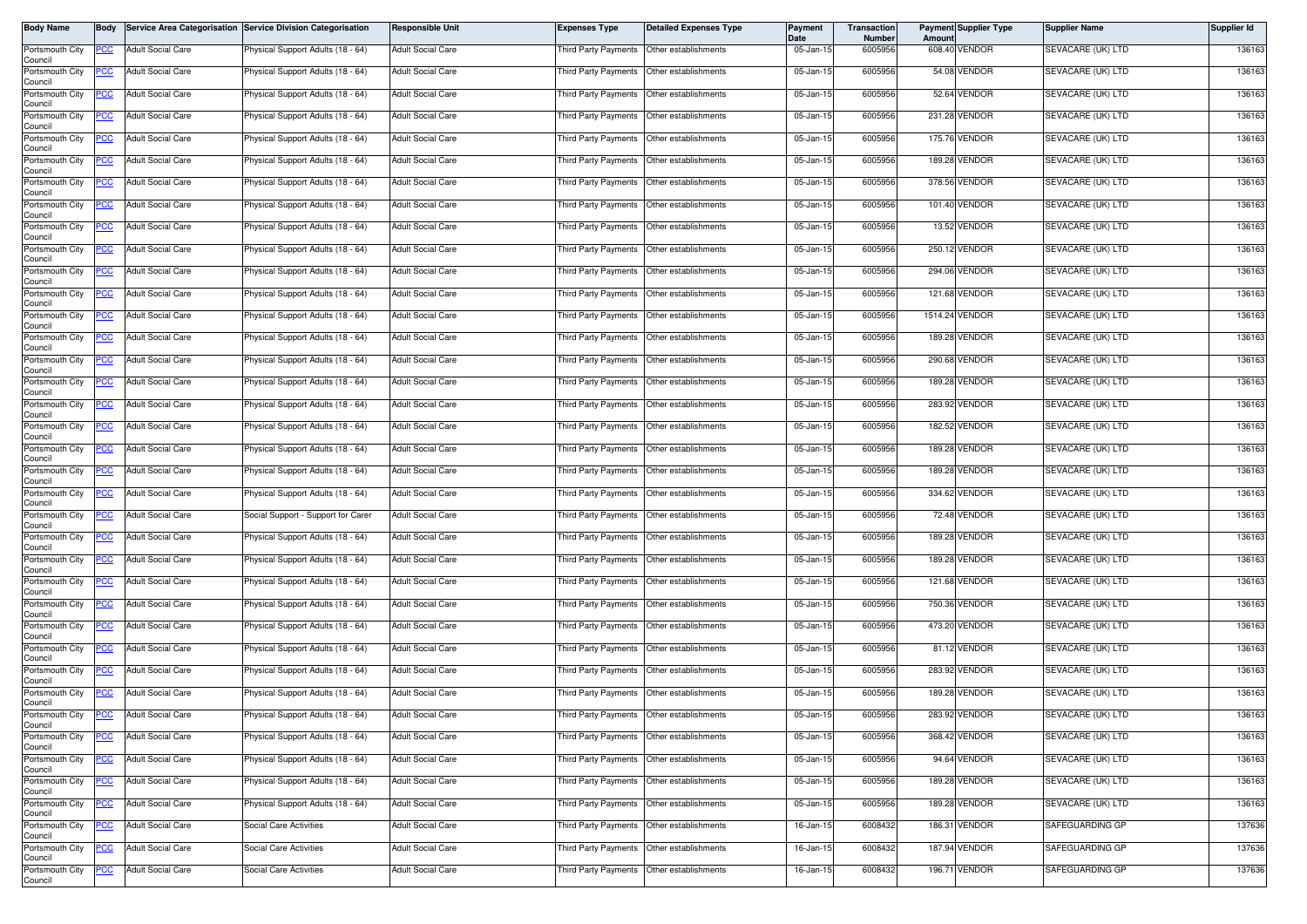| <b>Body Name</b>           | <b>Body</b> |                          | Service Area Categorisation Service Division Categorisation | <b>Responsible Unit</b>  | <b>Expenses Type</b>                      | <b>Detailed Expenses Type</b> | <b>Payment</b><br>Date  | <b>Transaction</b><br>Number | Amoun | <b>Payment Supplier Type</b> | <b>Supplier Name</b> | Supplier Id |
|----------------------------|-------------|--------------------------|-------------------------------------------------------------|--------------------------|-------------------------------------------|-------------------------------|-------------------------|------------------------------|-------|------------------------------|----------------------|-------------|
| Portsmouth City<br>Council | PCC         | <b>Adult Social Care</b> | Physical Support Adults (18 - 64)                           | <b>Adult Social Care</b> | <b>Third Party Payments</b>               | Other establishments          | 05-Jan-15               | 6005956                      |       | 608.40 VENDOR                | SEVACARE (UK) LTD    | 136163      |
| Portsmouth City<br>Council | PCC         | <b>Adult Social Care</b> | Physical Support Adults (18 - 64)                           | <b>Adult Social Care</b> | Third Party Payments Other establishments |                               | 05-Jan-15               | 6005956                      |       | 54.08 VENDOR                 | SEVACARE (UK) LTD    | 136163      |
| Portsmouth City<br>Council | <u>PCC</u>  | <b>Adult Social Care</b> | <sup>9</sup> hysical Support Adults (18 - 64)               | <b>Adult Social Care</b> | Third Party Payments                      | Other establishments          | 05-Jan-15               | 6005956                      |       | 52.64 VENDOR                 | SEVACARE (UK) LTD    | 136163      |
| Portsmouth City<br>Council | PCC         | <b>Adult Social Care</b> | Physical Support Adults (18 - 64)                           | Adult Social Care        | Third Party Payments                      | Other establishments          | 05-Jan-15               | 6005956                      |       | 231.28 VENDOR                | SEVACARE (UK) LTD    | 136163      |
| Portsmouth City<br>Council | <u>PCC</u>  | <b>Adult Social Care</b> | Physical Support Adults (18 - 64)                           | <b>Adult Social Care</b> | Third Party Payments                      | Other establishments          | 05-Jan-15               | 6005956                      |       | 175.76 VENDOR                | SEVACARE (UK) LTD    | 136163      |
| Portsmouth City<br>Council |             | <b>Adult Social Care</b> | Physical Support Adults (18 - 64)                           | Adult Social Care        | Third Party Payments                      | Other establishments          | 05-Jan-15               | 6005956                      |       | 189.28 VENDOR                | SEVACARE (UK) LTD    | 136163      |
| Portsmouth City<br>Council | <u>PCC</u>  | <b>Adult Social Care</b> | Physical Support Adults (18 - 64)                           | <b>Adult Social Care</b> | Third Party Payments                      | Other establishments          | $\overline{05}$ -Jan-15 | 6005956                      |       | 378.56 VENDOR                | SEVACARE (UK) LTD    | 136163      |
| Portsmouth City<br>Council | <u>PCC</u>  | <b>Adult Social Care</b> | Physical Support Adults (18 - 64)                           | Adult Social Care        | Third Party Payments                      | Other establishments          | 05-Jan-15               | 6005956                      |       | 101.40 VENDOR                | SEVACARE (UK) LTD    | 136163      |
| Portsmouth City<br>Council | <u>PCC</u>  | <b>Adult Social Care</b> | Physical Support Adults (18 - 64)                           | Adult Social Care        | Third Party Payments                      | Other establishments          | 05-Jan-15               | 6005956                      |       | 13.52 VENDOR                 | SEVACARE (UK) LTD    | 136163      |
| Portsmouth City<br>Council | PСC         | <b>Adult Social Care</b> | Physical Support Adults (18 - 64)                           | Adult Social Care        | Third Party Payments                      | Other establishments          | 05-Jan-15               | 6005956                      |       | 250.12 VENDOR                | SEVACARE (UK) LTD    | 136163      |
| Portsmouth City<br>Council | <u>PCC</u>  | <b>Adult Social Care</b> | Physical Support Adults (18 - 64)                           | <b>Adult Social Care</b> | Third Party Payments                      | Other establishments          | 05-Jan-15               | 6005956                      |       | 294.06 VENDOR                | SEVACARE (UK) LTD    | 136163      |
| Portsmouth City<br>Council | <u>PCC</u>  | <b>Adult Social Care</b> | Physical Support Adults (18 - 64)                           | Adult Social Care        | Third Party Payments                      | Other establishments          | 05-Jan-15               | 6005956                      |       | 121.68 VENDOR                | SEVACARE (UK) LTD    | 136163      |
| Portsmouth City<br>Council | <u>PCC</u>  | <b>Adult Social Care</b> | Physical Support Adults (18 - 64)                           | <b>Adult Social Care</b> | <b>Third Party Payments</b>               | Other establishments          | 05-Jan-15               | 6005956                      |       | 1514.24 VENDOR               | SEVACARE (UK) LTD    | 136163      |
| Portsmouth City<br>Council | <u>PCC </u> | <b>Adult Social Care</b> | Physical Support Adults (18 - 64)                           | <b>Adult Social Care</b> | Third Party Payments                      | Other establishments          | 05-Jan-15               | 6005956                      |       | 189.28 VENDOR                | SEVACARE (UK) LTD    | 136163      |
| Portsmouth City<br>Council | <u>PCC</u>  | <b>Adult Social Care</b> | Physical Support Adults (18 - 64)                           | Adult Social Care        | Third Party Payments                      | Other establishments          | 05-Jan-15               | 6005956                      |       | 290.68 VENDOR                | SEVACARE (UK) LTD    | 136163      |
| Portsmouth City<br>Council | <u>PCC</u>  | <b>Adult Social Care</b> | Physical Support Adults (18 - 64)                           | Adult Social Care        | Third Party Payments                      | Other establishments          | 05-Jan-15               | 6005956                      |       | 189.28 VENDOR                | SEVACARE (UK) LTD    | 136163      |
| Portsmouth City<br>Council | <u>PCC</u>  | <b>Adult Social Care</b> | Physical Support Adults (18 - 64)                           | Adult Social Care        | Third Party Payments                      | Other establishments          | 05-Jan-15               | 6005956                      |       | 283.92 VENDOR                | SEVACARE (UK) LTD    | 136163      |
| Portsmouth City<br>Council | PCC         | <b>Adult Social Care</b> | Physical Support Adults (18 - 64)                           | Adult Social Care        | Third Party Payments                      | Other establishments          | 05-Jan-15               | 6005956                      |       | 182.52 VENDOR                | SEVACARE (UK) LTD    | 136163      |
| Portsmouth City<br>Council | <u>cc</u>   | <b>Adult Social Care</b> | Physical Support Adults (18 - 64)                           | Adult Social Care        | <b>Third Party Payments</b>               | Other establishments          | 05-Jan-15               | 6005956                      |       | 189.28 VENDOR                | SEVACARE (UK) LTD    | 136163      |
| Portsmouth City<br>Council | PCC         | <b>Adult Social Care</b> | Physical Support Adults (18 - 64)                           | Adult Social Care        | Third Party Payments                      | Other establishments          | 05-Jan-15               | 6005956                      |       | 189.28 VENDOR                | SEVACARE (UK) LTD    | 136163      |
| Portsmouth City<br>Council | <u>PCC</u>  | <b>Adult Social Care</b> | Physical Support Adults (18 - 64)                           | <b>Adult Social Care</b> | Third Party Payments                      | Other establishments          | 05-Jan-15               | 6005956                      |       | 334.62 VENDOR                | SEVACARE (UK) LTD    | 136163      |
| Portsmouth City<br>Council | PCC         | <b>Adult Social Care</b> | Social Support - Support for Carer                          | Adult Social Care        | Third Party Payments                      | Other establishments          | 05-Jan-15               | 6005956                      |       | 72.48 VENDOR                 | SEVACARE (UK) LTD    | 136163      |
| Portsmouth City<br>Council | PСC         | <b>Adult Social Care</b> | Physical Support Adults (18 - 64)                           | <b>Adult Social Care</b> | Third Party Payments                      | Other establishments          | 05-Jan-15               | 6005956                      |       | 189.28 VENDOR                | SEVACARE (UK) LTD    | 136163      |
| Portsmouth City<br>Council | <u>PCC</u>  | <b>Adult Social Care</b> | Physical Support Adults (18 - 64)                           | Adult Social Care        | Third Party Payments                      | Other establishments          | 05-Jan-15               | 6005956                      |       | 189.28 VENDOR                | SEVACARE (UK) LTD    | 136163      |
| Portsmouth City<br>Council | <u>PCC</u>  | <b>Adult Social Care</b> | Physical Support Adults (18 - 64)                           | Adult Social Care        | Third Party Payments                      | Other establishments          | 05-Jan-15               | 6005956                      |       | 121.68 VENDOR                | SEVACARE (UK) LTD    | 136163      |
| Portsmouth City<br>Council | PCC         | <b>Adult Social Care</b> | Physical Support Adults (18 - 64)                           | Adult Social Care        | Third Party Payments                      | Other establishments          | 05-Jan-15               | 6005956                      |       | 750.36 VENDOR                | SEVACARE (UK) LTD    | 136163      |
| Portsmouth City<br>Council | <u>PCC</u>  | <b>Adult Social Care</b> | Physical Support Adults (18 - 64)                           | Adult Social Care        | Third Party Payments                      | Other establishments          | 05-Jan-15               | 6005956                      |       | 473.20 VENDOR                | SEVACARE (UK) LTD    | 136163      |
| Portsmouth City<br>Council | <u>PCC</u>  | <b>Adult Social Care</b> | Physical Support Adults (18 - 64)                           | <b>Adult Social Care</b> | Third Party Payments                      | Other establishments          | 05-Jan-15               | 6005956                      |       | 81.12 VENDOR                 | SEVACARE (UK) LTD    | 136163      |
| Portsmouth City<br>Council | <u>PCC</u>  | <b>Adult Social Care</b> | Physical Support Adults (18 - 64)                           | Adult Social Care        | Third Party Payments                      | Other establishments          | 05-Jan-15               | 6005956                      |       | 283.92 VENDOR                | SEVACARE (UK) LTD    | 136163      |
| Portsmouth City<br>Council | <u>PCC</u>  | <b>Adult Social Care</b> | Physical Support Adults (18 - 64)                           | <b>Adult Social Care</b> | Third Party Payments                      | Other establishments          | 05-Jan-15               | 6005956                      |       | 189.28 VENDOR                | SEVACARE (UK) LTD    | 136163      |
| Portsmouth City<br>Council | <b>PCC</b>  | <b>Adult Social Care</b> | Physical Support Adults (18 - 64)                           | Adult Social Care        | Third Party Payments Other establishments |                               | 05-Jan-15               | 6005956                      |       | 283.92 VENDOR                | SEVACARE (UK) LTD    | 136163      |
| Portsmouth City<br>Council | <u>PCC</u>  | <b>Adult Social Care</b> | Physical Support Adults (18 - 64)                           | Adult Social Care        | Third Party Payments                      | Other establishments          | 05-Jan-15               | 6005956                      |       | 368.42 VENDOR                | SEVACARE (UK) LTD    | 136163      |
| Portsmouth City<br>Council | <u>PCC</u>  | <b>Adult Social Care</b> | Physical Support Adults (18 - 64)                           | <b>Adult Social Care</b> | Third Party Payments                      | Other establishments          | 05-Jan-15               | 6005956                      |       | 94.64 VENDOR                 | SEVACARE (UK) LTD    | 136163      |
| Portsmouth City<br>Council | <u>PCC</u>  | <b>Adult Social Care</b> | Physical Support Adults (18 - 64)                           | Adult Social Care        | <b>Third Party Payments</b>               | Other establishments          | 05-Jan-15               | 6005956                      |       | 189.28 VENDOR                | SEVACARE (UK) LTD    | 136163      |
| Portsmouth City<br>Council | PСC         | <b>Adult Social Care</b> | Physical Support Adults (18 - 64)                           | Adult Social Care        | Third Party Payments                      | Other establishments          | 05-Jan-15               | 6005956                      |       | 189.28 VENDOR                | SEVACARE (UK) LTD    | 136163      |
| Portsmouth City<br>Council | <u>PCC </u> | <b>Adult Social Care</b> | Social Care Activities                                      | Adult Social Care        | Third Party Payments                      | Other establishments          | 16-Jan-15               | 6008432                      |       | 186.31 VENDOR                | SAFEGUARDING GP      | 137636      |
| Portsmouth City<br>Council | <u>PCC</u>  | <b>Adult Social Care</b> | Social Care Activities                                      | Adult Social Care        | Third Party Payments                      | Other establishments          | 16-Jan-15               | 6008432                      |       | 187.94 VENDOR                | SAFEGUARDING GP      | 137636      |
| Portsmouth City<br>Council | <u>PCC</u>  | <b>Adult Social Care</b> | Social Care Activities                                      | Adult Social Care        | Third Party Payments                      | Other establishments          | 16-Jan-15               | 6008432                      |       | 196.71 VENDOR                | SAFEGUARDING GP      | 137636      |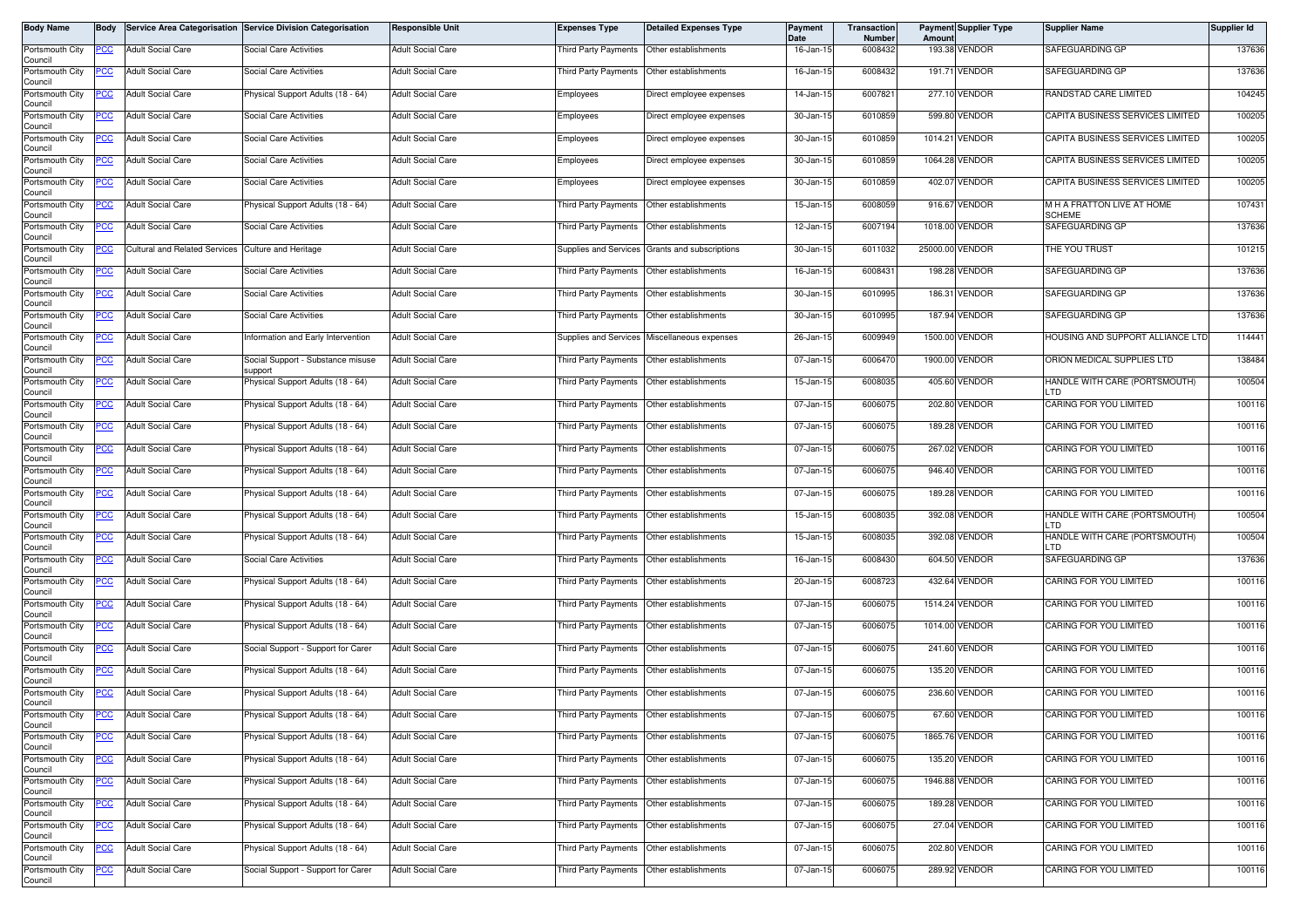| Body Name                  | Body        |                                                    | Service Area Categorisation Service Division Categorisation | <b>Responsible Unit</b>  | <b>Expenses Type</b>                      | <b>Detailed Expenses Type</b>                  | <b>Payment</b><br>Date | <b>Transaction</b><br><b>Number</b> | Amount          | <b>Payment Supplier Type</b> | <b>Supplier Name</b>                        | Supplier Id |
|----------------------------|-------------|----------------------------------------------------|-------------------------------------------------------------|--------------------------|-------------------------------------------|------------------------------------------------|------------------------|-------------------------------------|-----------------|------------------------------|---------------------------------------------|-------------|
| Portsmouth City<br>Council | PCC         | <b>Adult Social Care</b>                           | <b>Social Care Activities</b>                               | <b>Adult Social Care</b> | Third Party Payments                      | Other establishments                           | 16-Jan-15              | 6008432                             |                 | 193.38 VENDOR                | SAFEGUARDING GP                             | 137636      |
| Portsmouth City<br>Council | ပင          | <b>Adult Social Care</b>                           | Social Care Activities                                      | Adult Social Care        | Third Party Payments                      | Other establishments                           | 16-Jan-15              | 6008432                             |                 | 191.71 VENDOR                | SAFEGUARDING GP                             | 137636      |
| Portsmouth City<br>Council | °СС         | <b>Adult Social Care</b>                           | Physical Support Adults (18 - 64)                           | Adult Social Care        | Employees                                 | Direct employee expenses                       | 14-Jan-15              | 6007821                             |                 | 277.10 VENDOR                | RANDSTAD CARE LIMITED                       | 104245      |
| Portsmouth City<br>Council | <u>PCC</u>  | <b>Adult Social Care</b>                           | Social Care Activities                                      | <b>Adult Social Care</b> | Employees                                 | Direct employee expenses                       | 30-Jan-15              | 6010859                             |                 | 599.80 VENDOR                | CAPITA BUSINESS SERVICES LIMITED            | 100205      |
| Portsmouth City<br>Council | PCC         | <b>Adult Social Care</b>                           | <b>Social Care Activities</b>                               | <b>Adult Social Care</b> | Employees                                 | Direct employee expenses                       | 30-Jan-15              | 6010859                             |                 | 1014.21 VENDOR               | CAPITA BUSINESS SERVICES LIMITED            | 100205      |
| Portsmouth City<br>Council | <u>'CC</u>  | <b>Adult Social Care</b>                           | Social Care Activities                                      | <b>Adult Social Care</b> | Employees                                 | Direct employee expenses                       | 30-Jan-15              | 6010859                             |                 | 1064.28 VENDOR               | CAPITA BUSINESS SERVICES LIMITED            | 100205      |
| Portsmouth City<br>Council | PCC         | <b>Adult Social Care</b>                           | Social Care Activities                                      | <b>Adult Social Care</b> | Employees                                 | Direct employee expenses                       | 30-Jan-15              | 6010859                             |                 | 402.07 VENDOR                | CAPITA BUSINESS SERVICES LIMITED            | 100205      |
| Portsmouth City<br>Council | <b>PCC</b>  | <b>Adult Social Care</b>                           | Physical Support Adults (18 - 64)                           | Adult Social Care        | Third Party Payments                      | Other establishments                           | 15-Jan-15              | 6008059                             |                 | 916.67 VENDOR                | M H A FRATTON LIVE AT HOME<br><b>SCHEME</b> | 107431      |
| Portsmouth City<br>Council | PСC         | <b>Adult Social Care</b>                           | <b>Social Care Activities</b>                               | <b>Adult Social Care</b> | <b>Third Party Payments</b>               | Other establishments                           | 12-Jan-15              | 6007194                             |                 | 1018.00 VENDOR               | SAFEGUARDING GP                             | 137636      |
| Portsmouth City<br>Council | PСC         | Cultural and Related Services Culture and Heritage |                                                             | Adult Social Care        |                                           | Supplies and Services Grants and subscriptions | 30-Jan-15              | 6011032                             | 25000.00 VENDOR |                              | THE YOU TRUST                               | 101215      |
| Portsmouth City<br>Council | PСC         | <b>Adult Social Care</b>                           | <b>Social Care Activities</b>                               | <b>Adult Social Care</b> | Third Party Payments                      | Other establishments                           | 16-Jan-15              | 6008431                             |                 | 198.28 VENDOR                | SAFEGUARDING GP                             | 137636      |
| Portsmouth City<br>Council |             | <b>Adult Social Care</b>                           | Social Care Activities                                      | Adult Social Care        | Third Party Payments                      | Other establishments                           | 30-Jan-15              | 6010995                             |                 | 186.31 VENDOR                | SAFEGUARDING GP                             | 137636      |
| Portsmouth City<br>Council | эсс         | <b>Adult Social Care</b>                           | <b>Social Care Activities</b>                               | <b>Adult Social Care</b> | <b>Third Party Payments</b>               | Other establishments                           | 30-Jan-15              | 6010995                             |                 | 187.94 VENDOR                | SAFEGUARDING GP                             | 137636      |
| Portsmouth City<br>Council | °СС         | <b>Adult Social Care</b>                           | nformation and Early Intervention                           | <b>Adult Social Care</b> | <b>Supplies and Services</b>              | Miscellaneous expenses                         | 26-Jan-15              | 6009949                             |                 | 1500.00 VENDOR               | HOUSING AND SUPPORT ALLIANCE LTD            | 114441      |
| Portsmouth City<br>Council | <u>PCC </u> | <b>Adult Social Care</b>                           | Social Support - Substance misuse<br>support                | <b>Adult Social Care</b> | Third Party Payments                      | Other establishments                           | 07-Jan-15              | 6006470                             |                 | 1900.00 VENDOR               | ORION MEDICAL SUPPLIES LTD                  | 138484      |
| Portsmouth City<br>Council | <u>CC </u>  | <b>Adult Social Care</b>                           | Physical Support Adults (18 - 64)                           | <b>Adult Social Care</b> | Third Party Payments                      | Other establishments                           | 15-Jan-15              | 6008035                             |                 | 405.60 VENDOR                | HANDLE WITH CARE (PORTSMOUTH)<br>LTD        | 100504      |
| Portsmouth City<br>Council | <u>PCC</u>  | <b>Adult Social Care</b>                           | Physical Support Adults (18 - 64)                           | <b>Adult Social Care</b> | Third Party Payments                      | Other establishments                           | 07-Jan-15              | 6006075                             |                 | 202.80 VENDOR                | CARING FOR YOU LIMITED                      | 100116      |
| Portsmouth City<br>Council | PCC         | <b>Adult Social Care</b>                           | Physical Support Adults (18 - 64)                           | Adult Social Care        | Third Party Payments                      | Other establishments                           | 07-Jan-15              | 6006075                             |                 | 189.28 VENDOR                | CARING FOR YOU LIMITED                      | 100116      |
| Portsmouth City<br>Council | <u>cc</u>   | <b>Adult Social Care</b>                           | Physical Support Adults (18 - 64)                           | Adult Social Care        | <b>Third Party Payments</b>               | Other establishments                           | 07-Jan-15              | 6006075                             |                 | 267.02 VENDOR                | CARING FOR YOU LIMITED                      | 100116      |
| Portsmouth City<br>Council |             | <b>Adult Social Care</b>                           | Physical Support Adults (18 - 64)                           | Adult Social Care        | Third Party Payments                      | Other establishments                           | 07-Jan-15              | 6006075                             |                 | 946.40 VENDOR                | CARING FOR YOU LIMITED                      | 100116      |
| Portsmouth City<br>Council | PСC         | <b>Adult Social Care</b>                           | Physical Support Adults (18 - 64)                           | <b>Adult Social Care</b> | <b>Third Party Payments</b>               | Other establishments                           | 07-Jan-15              | 6006075                             |                 | 189.28 VENDOR                | CARING FOR YOU LIMITED                      | 100116      |
| Portsmouth City<br>Council | PСC         | <b>Adult Social Care</b>                           | Physical Support Adults (18 - 64)                           | <b>Adult Social Care</b> | <b>Third Party Payments</b>               | Other establishments                           | 15-Jan-15              | 6008035                             |                 | 392.08 VENDOR                | HANDLE WITH CARE (PORTSMOUTH)<br>LTD        | 100504      |
| Portsmouth City<br>Council |             | <b>Adult Social Care</b>                           | Physical Support Adults (18 - 64)                           | <b>Adult Social Care</b> | Third Party Payments                      | Other establishments                           | 15-Jan-15              | 6008035                             |                 | 392.08 VENDOR                | HANDLE WITH CARE (PORTSMOUTH)<br>LTD        | 100504      |
| Portsmouth City<br>Council | PСC         | <b>Adult Social Care</b>                           | Social Care Activities                                      | Adult Social Care        | Third Party Payments                      | Other establishments                           | 16-Jan-15              | 6008430                             |                 | 604.50 VENDOR                | SAFEGUARDING GP                             | 137636      |
| Portsmouth City<br>Council | PСC         | <b>Adult Social Care</b>                           | Physical Support Adults (18 - 64)                           | <b>Adult Social Care</b> | Third Party Payments                      | Other establishments                           | 20-Jan-15              | 6008723                             |                 | 432.64 VENDOR                | CARING FOR YOU LIMITED                      | 100116      |
| Portsmouth City<br>Council | PCC         | <b>Adult Social Care</b>                           | Physical Support Adults (18 - 64)                           | <b>Adult Social Care</b> | Third Party Payments                      | Other establishments                           | 07-Jan-15              | 6006075                             |                 | 1514.24 VENDOR               | CARING FOR YOU LIMITED                      | 100116      |
| Portsmouth City<br>Council | <u>PCC</u>  | <b>Adult Social Care</b>                           | Physical Support Adults (18 - 64)                           | Adult Social Care        | Third Party Payments                      | Other establishments                           | 07-Jan-15              | 6006075                             |                 | 1014.00 VENDOR               | CARING FOR YOU LIMITED                      | 100116      |
| Portsmouth City<br>Council | PCC         | <b>Adult Social Care</b>                           | Social Support - Support for Carer                          | <b>Adult Social Care</b> | Third Party Payments                      | Other establishments                           | 07-Jan-15              | 6006075                             |                 | 241.60 VENDOR                | CARING FOR YOU LIMITED                      | 100116      |
| Portsmouth City<br>Council | <u>'CC</u>  | <b>Adult Social Care</b>                           | Physical Support Adults (18 - 64)                           | Adult Social Care        | Third Party Payments                      | Other establishments                           | 07-Jan-15              | 6006075                             |                 | 135.20 VENDOR                | CARING FOR YOU LIMITED                      | 100116      |
| Portsmouth City<br>Council | <u>PCC</u>  | <b>Adult Social Care</b>                           | Physical Support Adults (18 - 64)                           | <b>Adult Social Care</b> | <b>Third Party Payments</b>               | Other establishments                           | 07-Jan-15              | 6006075                             |                 | 236.60 VENDOR                | CARING FOR YOU LIMITED                      | 100116      |
| Portsmouth City<br>Council | <b>PCC</b>  | <b>Adult Social Care</b>                           | Physical Support Adults (18 - 64)                           | <b>Adult Social Care</b> | Third Party Payments Other establishments |                                                | 07-Jan-15              | 6006075                             |                 | 67.60 VENDOR                 | CARING FOR YOU LIMITED                      | 100116      |
| Portsmouth City<br>Council | <u>CC </u>  | <b>Adult Social Care</b>                           | Physical Support Adults (18 - 64)                           | <b>Adult Social Care</b> | Third Party Payments                      | Other establishments                           | 07-Jan-15              | 6006075                             |                 | 1865.76 VENDOR               | CARING FOR YOU LIMITED                      | 100116      |
| Portsmouth City<br>Council | сC          | <b>Adult Social Care</b>                           | Physical Support Adults (18 - 64)                           | <b>Adult Social Care</b> | Third Party Payments                      | Other establishments                           | 07-Jan-15              | 6006075                             |                 | 135.20 VENDOR                | CARING FOR YOU LIMITED                      | 100116      |
| Portsmouth City<br>Council | PСC         | <b>Adult Social Care</b>                           | Physical Support Adults (18 - 64)                           | <b>Adult Social Care</b> | Third Party Payments                      | Other establishments                           | 07-Jan-15              | 6006075                             |                 | 1946.88 VENDOR               | CARING FOR YOU LIMITED                      | 100116      |
| Portsmouth City<br>Council | °СС         | <b>Adult Social Care</b>                           | Physical Support Adults (18 - 64)                           | Adult Social Care        | Third Party Payments                      | Other establishments                           | 07-Jan-15              | 6006075                             |                 | 189.28 VENDOR                | CARING FOR YOU LIMITED                      | 100116      |
| Portsmouth City<br>Council | °СС         | <b>Adult Social Care</b>                           | Physical Support Adults (18 - 64)                           | Adult Social Care        | Third Party Payments                      | Other establishments                           | 07-Jan-15              | 6006075                             |                 | 27.04 VENDOR                 | CARING FOR YOU LIMITED                      | 100116      |
| Portsmouth City<br>Council | <u>CC</u>   | <b>Adult Social Care</b>                           | Physical Support Adults (18 - 64)                           | <b>Adult Social Care</b> | Third Party Payments                      | Other establishments                           | 07-Jan-15              | 6006075                             |                 | 202.80 VENDOR                | CARING FOR YOU LIMITED                      | 100116      |
| Portsmouth City<br>Council | <b>PCC</b>  | <b>Adult Social Care</b>                           | Social Support - Support for Carer                          | <b>Adult Social Care</b> | Third Party Payments                      | Other establishments                           | 07-Jan-15              | 6006075                             |                 | 289.92 VENDOR                | CARING FOR YOU LIMITED                      | 100116      |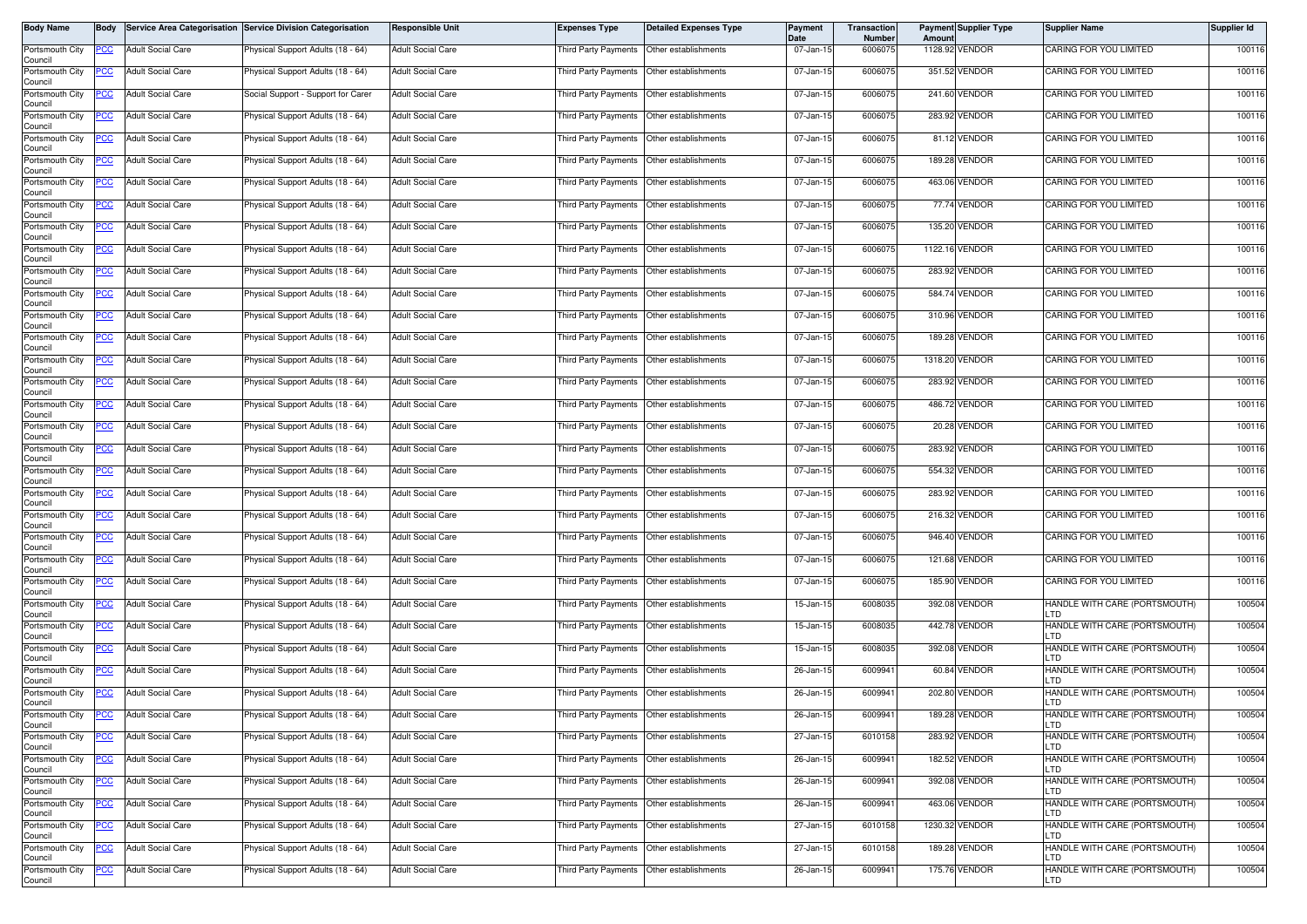| <b>Body Name</b>           | <b>Body</b> |                          | Service Area Categorisation Service Division Categorisation | <b>Responsible Unit</b>  | <b>Expenses Type</b>                        | <b>Detailed Expenses Type</b>             | Payment<br>Date | Transaction<br>Number | Amount | <b>Payment Supplier Type</b> | <b>Supplier Name</b>                         | Supplier Id |
|----------------------------|-------------|--------------------------|-------------------------------------------------------------|--------------------------|---------------------------------------------|-------------------------------------------|-----------------|-----------------------|--------|------------------------------|----------------------------------------------|-------------|
| Portsmouth City<br>Council | PCC         | <b>Adult Social Care</b> | Physical Support Adults (18 - 64)                           | <b>Adult Social Care</b> | Third Party Payments                        | Other establishments                      | 07-Jan-15       | 6006075               |        | 1128.92 VENDOR               | CARING FOR YOU LIMITED                       | 100116      |
| Portsmouth City<br>Council | PCC         | <b>Adult Social Care</b> | Physical Support Adults (18 - 64)                           | <b>Adult Social Care</b> | Third Party Payments   Other establishments |                                           | 07-Jan-15       | 6006075               |        | 351.52 VENDOR                | CARING FOR YOU LIMITED                       | 100116      |
| Portsmouth City<br>Council | <u>PCC </u> | <b>Adult Social Care</b> | Social Support - Support for Carer                          | <b>Adult Social Care</b> | Third Party Payments Other establishments   |                                           | 07-Jan-15       | 6006075               |        | 241.60 VENDOR                | CARING FOR YOU LIMITED                       | 100116      |
| Portsmouth City<br>Council | <u>PCC</u>  | <b>Adult Social Care</b> | Physical Support Adults (18 - 64)                           | <b>Adult Social Care</b> | Third Party Payments                        | Other establishments                      | 07-Jan-15       | 6006075               |        | 283.92 VENDOR                | CARING FOR YOU LIMITED                       | 100116      |
| Portsmouth City<br>Council | <u>PCC</u>  | <b>Adult Social Care</b> | Physical Support Adults (18 - 64)                           | <b>Adult Social Care</b> | Third Party Payments                        | Other establishments                      | 07-Jan-15       | 6006075               |        | 81.12 VENDOR                 | CARING FOR YOU LIMITED                       | 100116      |
| Portsmouth City<br>Council |             | <b>Adult Social Care</b> | Physical Support Adults (18 - 64)                           | <b>Adult Social Care</b> | Third Party Payments                        | Other establishments                      | 07-Jan-15       | 6006075               |        | 189.28 VENDOR                | CARING FOR YOU LIMITED                       | 100116      |
| Portsmouth City<br>Council | <u>PCC</u>  | <b>Adult Social Care</b> | Physical Support Adults (18 - 64)                           | <b>Adult Social Care</b> | Third Party Payments Other establishments   |                                           | 07-Jan-15       | 6006075               |        | 463.06 VENDOR                | CARING FOR YOU LIMITED                       | 100116      |
| Portsmouth City<br>Council | <u>PCC</u>  | <b>Adult Social Care</b> | Physical Support Adults (18 - 64)                           | <b>Adult Social Care</b> | Third Party Payments                        | Other establishments                      | 07-Jan-15       | 6006075               |        | 77.74 VENDOR                 | CARING FOR YOU LIMITED                       | 100116      |
| Portsmouth City<br>Council | <u>PCC</u>  | <b>Adult Social Care</b> | Physical Support Adults (18 - 64)                           | <b>Adult Social Care</b> | Third Party Payments                        | Other establishments                      | 07-Jan-15       | 6006075               |        | 135.20 VENDOR                | CARING FOR YOU LIMITED                       | 100116      |
| Portsmouth City<br>Council | PСC         | <b>Adult Social Care</b> | Physical Support Adults (18 - 64)                           | <b>Adult Social Care</b> | Third Party Payments                        | Other establishments                      | 07-Jan-15       | 6006075               |        | 1122.16 VENDOR               | CARING FOR YOU LIMITED                       | 100116      |
| Portsmouth City<br>Council | <u>PCC</u>  | <b>Adult Social Care</b> | Physical Support Adults (18 - 64)                           | <b>Adult Social Care</b> | Third Party Payments                        | Other establishments                      | 07-Jan-15       | 6006075               |        | 283.92 VENDOR                | CARING FOR YOU LIMITED                       | 100116      |
| Portsmouth City<br>Council | <u>PCC </u> | <b>Adult Social Care</b> | Physical Support Adults (18 - 64)                           | <b>Adult Social Care</b> | Third Party Payments                        | Other establishments                      | 07-Jan-15       | 6006075               |        | 584.74 VENDOR                | CARING FOR YOU LIMITED                       | 100116      |
| Portsmouth City<br>Council | <u>PCC</u>  | <b>Adult Social Care</b> | Physical Support Adults (18 - 64)                           | <b>Adult Social Care</b> | Third Party Payments                        | Other establishments                      | 07-Jan-15       | 6006075               |        | 310.96 VENDOR                | CARING FOR YOU LIMITED                       | 100116      |
| Portsmouth City<br>Council | <u>PCC </u> | <b>Adult Social Care</b> | Physical Support Adults (18 - 64)                           | <b>Adult Social Care</b> | Third Party Payments                        | Other establishments                      | 07-Jan-15       | 6006075               |        | 189.28 VENDOR                | CARING FOR YOU LIMITED                       | 100116      |
| Portsmouth City<br>Council | <u>PCC</u>  | <b>Adult Social Care</b> | Physical Support Adults (18 - 64)                           | <b>Adult Social Care</b> | Third Party Payments   Other establishments |                                           | 07-Jan-15       | 6006075               |        | 1318.20 VENDOR               | CARING FOR YOU LIMITED                       | 100116      |
| Portsmouth City<br>Council | <u>PCC</u>  | <b>Adult Social Care</b> | Physical Support Adults (18 - 64)                           | <b>Adult Social Care</b> | Third Party Payments                        | Other establishments                      | 07-Jan-15       | 6006075               |        | 283.92 VENDOR                | CARING FOR YOU LIMITED                       | 100116      |
| Portsmouth City<br>Council | <u>PCC</u>  | <b>Adult Social Care</b> | Physical Support Adults (18 - 64)                           | <b>Adult Social Care</b> | Third Party Payments                        | Other establishments                      | 07-Jan-15       | 6006075               |        | 486.72 VENDOR                | CARING FOR YOU LIMITED                       | 100116      |
| Portsmouth City<br>Council | PCC         | <b>Adult Social Care</b> | Physical Support Adults (18 - 64)                           | <b>Adult Social Care</b> | Third Party Payments                        | Other establishments                      | 07-Jan-15       | 6006075               |        | 20.28 VENDOR                 | CARING FOR YOU LIMITED                       | 100116      |
| Portsmouth City<br>Council | <u>cc</u>   | <b>Adult Social Care</b> | hysical Support Adults (18 - 64)                            | <b>Adult Social Care</b> | Third Party Payments                        | Other establishments                      | 07-Jan-15       | 6006075               |        | 283.92 VENDOR                | CARING FOR YOU LIMITED                       | 100116      |
| Portsmouth City<br>Council | <u>PCC </u> | <b>Adult Social Care</b> | Physical Support Adults (18 - 64)                           | <b>Adult Social Care</b> | Third Party Payments                        | Other establishments                      | 07-Jan-15       | 6006075               |        | 554.32 VENDOR                | CARING FOR YOU LIMITED                       | 100116      |
| Portsmouth City<br>Council | <u>PCC</u>  | <b>Adult Social Care</b> | Physical Support Adults (18 - 64)                           | <b>Adult Social Care</b> | Third Party Payments                        | Other establishments                      | 07-Jan-15       | 6006075               |        | 283.92 VENDOR                | CARING FOR YOU LIMITED                       | 100116      |
| Portsmouth City<br>Council | <u>PCC</u>  | <b>Adult Social Care</b> | Physical Support Adults (18 - 64)                           | <b>Adult Social Care</b> | Third Party Payments                        | Other establishments                      | 07-Jan-15       | 6006075               |        | 216.32 VENDOR                | CARING FOR YOU LIMITED                       | 100116      |
| Portsmouth City<br>Council | <u>CC </u>  | <b>Adult Social Care</b> | Physical Support Adults (18 - 64)                           | <b>Adult Social Care</b> | Third Party Payments                        | Other establishments                      | 07-Jan-15       | 6006075               |        | 946.40 VENDOR                | CARING FOR YOU LIMITED                       | 100116      |
| Portsmouth City<br>Council | <u>PCC</u>  | <b>Adult Social Care</b> | <sup>9</sup> hysical Support Adults (18 - 64)               | <b>Adult Social Care</b> | Third Party Payments   Other establishments |                                           | 07-Jan-15       | 6006075               |        | 121.68 VENDOR                | CARING FOR YOU LIMITED                       | 100116      |
| Portsmouth City<br>Council | <u>PCC</u>  | <b>Adult Social Care</b> | Physical Support Adults (18 - 64)                           | <b>Adult Social Care</b> | Third Party Payments                        | Other establishments                      | 07-Jan-15       | 6006075               |        | 185.90 VENDOR                | CARING FOR YOU LIMITED                       | 100116      |
| Portsmouth City<br>Council | PCC         | <b>Adult Social Care</b> | Physical Support Adults (18 - 64)                           | <b>Adult Social Care</b> | Third Party Payments   Other establishments |                                           | 15-Jan-15       | 6008035               |        | 392.08 VENDOR                | HANDLE WITH CARE (PORTSMOUTH)<br>LTD         | 100504      |
| Portsmouth City<br>Council | <u>PCC</u>  | <b>Adult Social Care</b> | Physical Support Adults (18 - 64)                           | <b>Adult Social Care</b> | Third Party Payments                        | Other establishments                      | 15-Jan-15       | 6008035               |        | 442.78 VENDOR                | HANDLE WITH CARE (PORTSMOUTH)<br>LTD         | 100504      |
| Portsmouth City<br>Council | <u>PCC</u>  | <b>Adult Social Care</b> | Physical Support Adults (18 - 64)                           | <b>Adult Social Care</b> | Third Party Payments   Other establishments |                                           | 15-Jan-15       | 6008035               |        | 392.08 VENDOR                | HANDLE WITH CARE (PORTSMOUTH)<br>LTD         | 100504      |
| Portsmouth City<br>Council | <u>CC</u>   | <b>Adult Social Care</b> | Physical Support Adults (18 - 64)                           | <b>Adult Social Care</b> | Third Party Payments                        | Other establishments                      | 26-Jan-15       | 6009941               |        | 60.84 VENDOR                 | HANDLE WITH CARE (PORTSMOUTH)<br>LTD         | 100504      |
| Portsmouth City<br>Council | <u>PCC</u>  | <b>Adult Social Care</b> | Physical Support Adults (18 - 64)                           | <b>Adult Social Care</b> | <b>Third Party Payments</b>                 | Other establishments                      | 26-Jan-15       | 6009941               |        | 202.80 VENDOR                | HANDLE WITH CARE (PORTSMOUTH)<br>LTD         | 100504      |
| Portsmouth City<br>Council | <b>PCC</b>  | <b>Adult Social Care</b> | Physical Support Adults (18 - 64)                           | <b>Adult Social Care</b> | Third Party Payments Other establishments   |                                           | 26-Jan-15       | 6009941               |        | 189.28 VENDOR                | HANDLE WITH CARE (PORTSMOUTH)<br><b>ILTD</b> | 100504      |
| Portsmouth City<br>Council | <u>PCC</u>  | <b>Adult Social Care</b> | Physical Support Adults (18 - 64)                           | <b>Adult Social Care</b> | Third Party Payments                        | Other establishments                      | 27-Jan-15       | 6010158               |        | 283.92 VENDOR                | HANDLE WITH CARE (PORTSMOUTH)<br>LTD         | 100504      |
| Portsmouth City<br>Council | <u>PCC</u>  | <b>Adult Social Care</b> | Physical Support Adults (18 - 64)                           | <b>Adult Social Care</b> | Third Party Payments                        | Other establishments                      | 26-Jan-15       | 6009941               |        | 182.52 VENDOR                | HANDLE WITH CARE (PORTSMOUTH)<br>LTD         | 100504      |
| Portsmouth City<br>Council | <u>PCC</u>  | <b>Adult Social Care</b> | Physical Support Adults (18 - 64)                           | <b>Adult Social Care</b> | Third Party Payments Other establishments   |                                           | 26-Jan-15       | 6009941               |        | 392.08 VENDOR                | HANDLE WITH CARE (PORTSMOUTH)<br>LTD         | 100504      |
| Portsmouth City<br>Council | PСC         | Adult Social Care        | Physical Support Adults (18 - 64)                           | <b>Adult Social Care</b> | Third Party Payments                        | Other establishments                      | 26-Jan-15       | 6009941               |        | 463.06 VENDOR                | HANDLE WITH CARE (PORTSMOUTH)<br>LTD         | 100504      |
| Portsmouth City<br>Council | <u>CC </u>  | <b>Adult Social Care</b> | Physical Support Adults (18 - 64)                           | <b>Adult Social Care</b> |                                             | Third Party Payments Other establishments | 27-Jan-15       | 6010158               |        | 1230.32 VENDOR               | HANDLE WITH CARE (PORTSMOUTH)<br>LTD         | 100504      |
| Portsmouth City<br>Council | <u>PCC</u>  | <b>Adult Social Care</b> | Physical Support Adults (18 - 64)                           | <b>Adult Social Care</b> | hird Party Payments                         | Other establishments                      | 27-Jan-15       | 6010158               |        | 189.28 VENDOR                | HANDLE WITH CARE (PORTSMOUTH)<br>LTD         | 100504      |
| Portsmouth City<br>Council | PCC         | <b>Adult Social Care</b> | Physical Support Adults (18 - 64)                           | <b>Adult Social Care</b> | Third Party Payments                        | Other establishments                      | 26-Jan-15       | 6009941               |        | 175.76 VENDOR                | HANDLE WITH CARE (PORTSMOUTH)<br>LTD         | 100504      |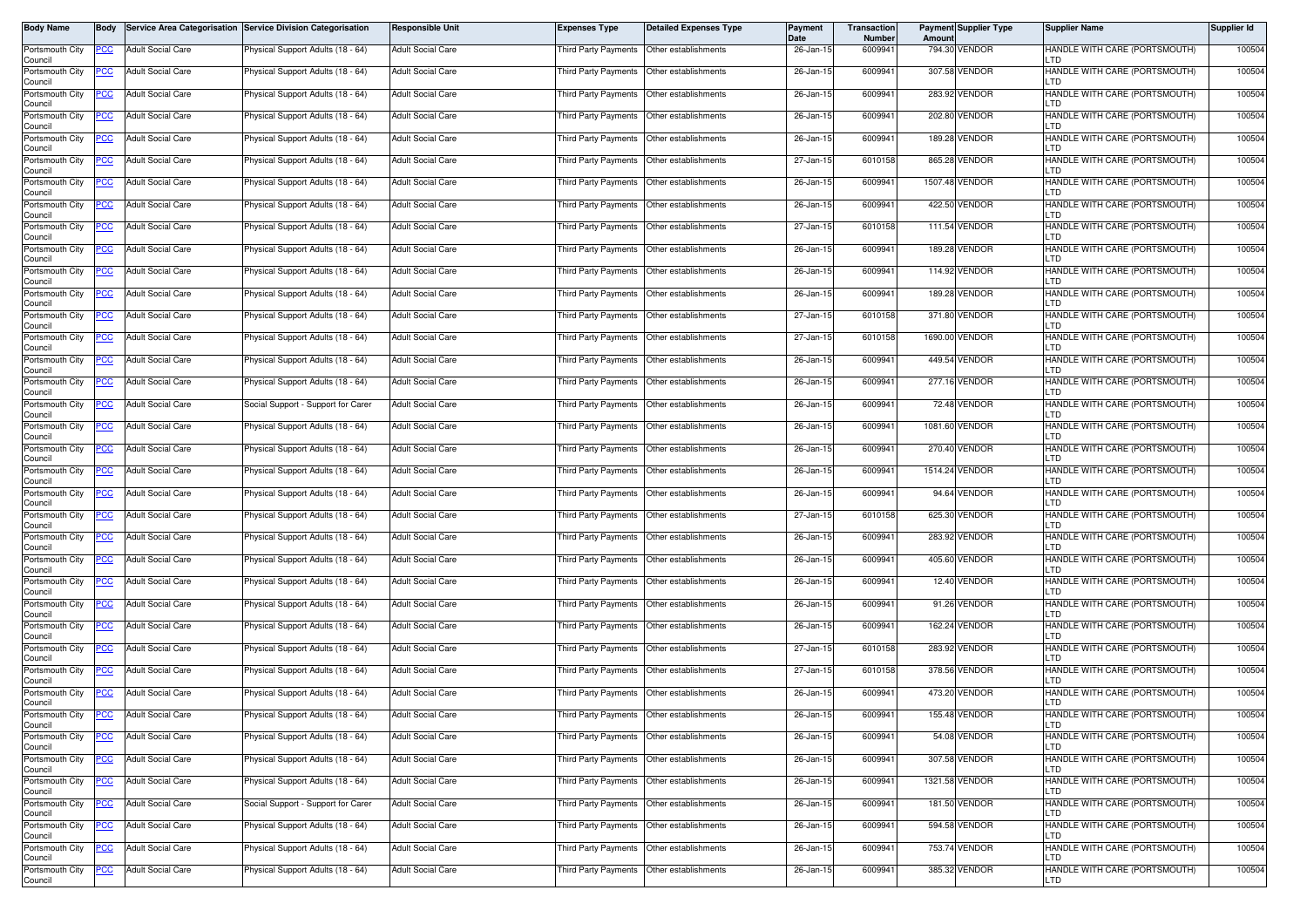| Body Name                                     | <b>Body</b> |                                                      | Service Area Categorisation Service Division Categorisation            | <b>Responsible Unit</b>                              | <b>Expenses Type</b>                                              | <b>Detailed Expenses Type</b>                                     | Payment<br>Date        | <b>Transaction</b><br>Number | Amount | <b>Payment Supplier Type</b>  | <b>Supplier Name</b>                                                  | Supplier Id      |
|-----------------------------------------------|-------------|------------------------------------------------------|------------------------------------------------------------------------|------------------------------------------------------|-------------------------------------------------------------------|-------------------------------------------------------------------|------------------------|------------------------------|--------|-------------------------------|-----------------------------------------------------------------------|------------------|
| Portsmouth City<br>Council                    | PCC         | <b>Adult Social Care</b>                             | Physical Support Adults (18 - 64)                                      | <b>Adult Social Care</b>                             | Third Party Payments   Other establishments                       |                                                                   | 26-Jan-15              | 6009941                      |        | 794.30 VENDOR                 | HANDLE WITH CARE (PORTSMOUTH)<br>LTD                                  | 100504           |
| Portsmouth City<br>Council                    | ပင          | <b>Adult Social Care</b>                             | Physical Support Adults (18 - 64)                                      | <b>Adult Social Care</b>                             | Third Party Payments Other establishments                         |                                                                   | 26-Jan-15              | 6009941                      |        | 307.58 VENDOR                 | HANDLE WITH CARE (PORTSMOUTH)<br>LTD                                  | 100504           |
| Portsmouth City<br>Council                    | <u>PCC </u> | <b>Adult Social Care</b>                             | <sup>9</sup> hysical Support Adults (18 - 64)                          | <b>Adult Social Care</b>                             | Third Party Payments Other establishments                         |                                                                   | 26-Jan-15              | 6009941                      |        | 283.92 VENDOR                 | HANDLE WITH CARE (PORTSMOUTH)<br>LTD                                  | 100504           |
| Portsmouth City<br>Council                    | <u>PCC</u>  | <b>Adult Social Care</b>                             | Physical Support Adults (18 - 64)                                      | <b>Adult Social Care</b>                             | Third Party Payments                                              | Other establishments                                              | 26-Jan-15              | 6009941                      |        | 202.80 VENDOR                 | HANDLE WITH CARE (PORTSMOUTH)<br>LTD                                  | 100504           |
| Portsmouth City<br>Council                    | <u>PCC</u>  | <b>Adult Social Care</b>                             | Physical Support Adults (18 - 64)                                      | <b>Adult Social Care</b>                             | Third Party Payments                                              | Other establishments                                              | 26-Jan-15              | 6009941                      |        | 189.28 VENDOR                 | HANDLE WITH CARE (PORTSMOUTH)<br>LTD                                  | 100504           |
| Portsmouth City<br>Council                    | <u>PCC</u>  | <b>Adult Social Care</b>                             | Physical Support Adults (18 - 64)                                      | <b>Adult Social Care</b>                             | Third Party Payments                                              | Other establishments                                              | 27-Jan-15              | 6010158                      |        | 865.28 VENDOR                 | HANDLE WITH CARE (PORTSMOUTH)<br>LTD                                  | 100504           |
| Portsmouth City<br>Council                    | <u>PCC</u>  | <b>Adult Social Care</b>                             | Physical Support Adults (18 - 64)                                      | <b>Adult Social Care</b>                             | Third Party Payments Other establishments                         |                                                                   | 26-Jan-15              | 6009941                      |        | 1507.48 VENDOR                | HANDLE WITH CARE (PORTSMOUTH)<br>LTD                                  | 100504           |
| Portsmouth City<br>Council                    | <u>PCC</u>  | <b>Adult Social Care</b>                             | Physical Support Adults (18 - 64)                                      | <b>Adult Social Care</b>                             | Third Party Payments                                              | Other establishments                                              | 26-Jan-15              | 6009941                      |        | 422.50 VENDOR                 | HANDLE WITH CARE (PORTSMOUTH)<br>LTD                                  | 100504           |
| Portsmouth City<br>Council                    | <u>PCC</u>  | <b>Adult Social Care</b>                             | Physical Support Adults (18 - 64)                                      | <b>Adult Social Care</b>                             | Third Party Payments                                              | Other establishments                                              | 27-Jan-15              | 6010158                      |        | 111.54 VENDOR                 | HANDLE WITH CARE (PORTSMOUTH)<br>LTD                                  | 100504           |
| Portsmouth City<br>Council                    | PСC         | <b>Adult Social Care</b>                             | Physical Support Adults (18 - 64)                                      | <b>Adult Social Care</b>                             | Third Party Payments                                              | Other establishments                                              | 26-Jan-15              | 6009941                      |        | 189.28 VENDOR                 | HANDLE WITH CARE (PORTSMOUTH)<br>LTD                                  | 100504           |
| Portsmouth City<br>Council                    | <u>PCC</u>  | <b>Adult Social Care</b>                             | Physical Support Adults (18 - 64)                                      | <b>Adult Social Care</b>                             | Third Party Payments                                              | Other establishments                                              | 26-Jan-15              | 6009941                      |        | 114.92 VENDOR                 | HANDLE WITH CARE (PORTSMOUTH)<br>LTD                                  | 100504           |
| Portsmouth City<br>Council                    | <u>PCC </u> | <b>Adult Social Care</b>                             | Physical Support Adults (18 - 64)                                      | <b>Adult Social Care</b>                             | Third Party Payments                                              | Other establishments                                              | 26-Jan-15              | 6009941                      |        | 189.28 VENDOR                 | HANDLE WITH CARE (PORTSMOUTH)<br>LTD                                  | 100504           |
| Portsmouth City<br>Council                    | <u>PCC</u>  | <b>Adult Social Care</b>                             | Physical Support Adults (18 - 64)                                      | <b>Adult Social Care</b>                             | <b>Third Party Payments</b>                                       | Other establishments                                              | 27-Jan-15              | 6010158                      |        | 371.80 VENDOR                 | HANDLE WITH CARE (PORTSMOUTH)<br>LTD                                  | 100504           |
| Portsmouth City<br>Council                    | <u>CC </u>  | <b>Adult Social Care</b>                             | Physical Support Adults (18 - 64)                                      | <b>Adult Social Care</b>                             | Third Party Payments                                              | Other establishments                                              | 27-Jan-15              | 6010158                      |        | 1690.00 VENDOR                | HANDLE WITH CARE (PORTSMOUTH)<br>LTD                                  | 100504           |
| Portsmouth City<br>Council                    | <u>PCC</u>  | <b>Adult Social Care</b>                             | Physical Support Adults (18 - 64)                                      | <b>Adult Social Care</b>                             | Third Party Payments Other establishments                         |                                                                   | 26-Jan-15              | 6009941                      |        | 449.54 VENDOR                 | HANDLE WITH CARE (PORTSMOUTH)<br>LTD                                  | 100504           |
| Portsmouth City<br>Council                    | <u>PCC</u>  | <b>Adult Social Care</b>                             | Physical Support Adults (18 - 64)                                      | <b>Adult Social Care</b>                             | <b>Third Party Payments</b>                                       | Other establishments                                              | 26-Jan-15              | 6009941                      |        | 277.16 VENDOR                 | HANDLE WITH CARE (PORTSMOUTH)<br>LTD                                  | 100504           |
| Portsmouth City<br>Council                    | <u>PCC</u>  | <b>Adult Social Care</b>                             | Social Support - Support for Carer                                     | <b>Adult Social Care</b>                             | Third Party Payments                                              | Other establishments                                              | 26-Jan-15              | 6009941                      |        | 72.48 VENDOR                  | HANDLE WITH CARE (PORTSMOUTH)<br>LTD                                  | 100504           |
| Portsmouth City<br>Council                    |             | <b>Adult Social Care</b>                             | Physical Support Adults (18 - 64)                                      | <b>Adult Social Care</b>                             | Third Party Payments                                              | Other establishments                                              | 26-Jan-15              | 6009941                      |        | 1081.60 VENDOR                | HANDLE WITH CARE (PORTSMOUTH)<br>LTD                                  | 100504           |
| Portsmouth City<br>Council                    | <u>cc</u>   | <b>Adult Social Care</b>                             | Physical Support Adults (18 - 64)                                      | <b>Adult Social Care</b>                             | Third Party Payments                                              | Other establishments                                              | 26-Jan-15              | 6009941                      |        | 270.40 VENDOR                 | HANDLE WITH CARE (PORTSMOUTH)<br>LTD                                  | 100504           |
| Portsmouth City<br>Council                    | <u>PCC </u> | <b>Adult Social Care</b>                             | Physical Support Adults (18 - 64)                                      | <b>Adult Social Care</b>                             | Third Party Payments                                              | Other establishments                                              | 26-Jan-15              | 6009941                      |        | 1514.24 VENDOR                | HANDLE WITH CARE (PORTSMOUTH)<br>LTD                                  | 100504           |
| Portsmouth City<br>Council                    | <u>PCC</u>  | <b>Adult Social Care</b>                             | Physical Support Adults (18 - 64)                                      | <b>Adult Social Care</b>                             | <b>Third Party Payments</b>                                       | Other establishments                                              | 26-Jan-15              | 6009941                      |        | 94.64 VENDOR                  | HANDLE WITH CARE (PORTSMOUTH)<br>LTD                                  | 100504           |
| Portsmouth City<br>Council                    | <u>PCC </u> | <b>Adult Social Care</b>                             | Physical Support Adults (18 - 64)                                      | <b>Adult Social Care</b>                             | Third Party Payments                                              | Other establishments                                              | 27-Jan-15              | 6010158                      |        | 625.30 VENDOR                 | HANDLE WITH CARE (PORTSMOUTH)<br>LTD                                  | 100504           |
| Portsmouth City<br>Council                    | PСC         | <b>Adult Social Care</b>                             | Physical Support Adults (18 - 64)                                      | <b>Adult Social Care</b>                             | Third Party Payments                                              | Other establishments                                              | 26-Jan-15              | 6009941                      |        | 283.92 VENDOR                 | HANDLE WITH CARE (PORTSMOUTH)<br>LTD                                  | 100504           |
| Portsmouth City<br>Council                    | <u>PCC</u>  | <b>Adult Social Care</b>                             | <sup>9</sup> hysical Support Adults (18 - 64)                          | <b>Adult Social Care</b>                             | Third Party Payments   Other establishments                       |                                                                   | 26-Jan-15              | 6009941                      |        | 405.60 VENDOR                 | HANDLE WITH CARE (PORTSMOUTH)<br>LTD                                  | 100504           |
| Portsmouth City<br>Council                    | <u>PCC</u>  | <b>Adult Social Care</b>                             | Physical Support Adults (18 - 64)                                      | <b>Adult Social Care</b>                             | Third Party Payments                                              | Other establishments                                              | 26-Jan-15              | 6009941                      |        | 12.40 VENDOR                  | HANDLE WITH CARE (PORTSMOUTH)<br>LTD                                  | 100504           |
| Portsmouth City<br>Council                    | <u>PCC</u>  | <b>Adult Social Care</b>                             | Physical Support Adults (18 - 64)                                      | <b>Adult Social Care</b>                             | Third Party Payments   Other establishments                       |                                                                   | 26-Jan-15              | 6009941                      |        | 91.26 VENDOR                  | HANDLE WITH CARE (PORTSMOUTH)<br><b>LTD</b>                           | 100504           |
| Portsmouth City<br>Council                    | PCC         | <b>Adult Social Care</b>                             | Physical Support Adults (18 - 64)                                      | <b>Adult Social Care</b>                             | Third Party Payments                                              | Other establishments                                              | 26-Jan-15              | 6009941                      |        | 162.24 VENDOR                 | HANDLE WITH CARE (PORTSMOUTH)<br>LTD                                  | 100504           |
| Portsmouth City<br>Council                    | <u>PCC </u> | <b>Adult Social Care</b>                             | Physical Support Adults (18 - 64)                                      | <b>Adult Social Care</b>                             |                                                                   |                                                                   | 27-Jan-15              | 6010158                      |        | 283.92 VENDOR                 | HANDLE WITH CARE (PORTSMOUTH)<br>LTD                                  | 100504           |
| Portsmouth City<br>Council                    | <u>CC</u>   | <b>Adult Social Care</b>                             | Physical Support Adults (18 - 64)                                      | <b>Adult Social Care</b>                             | Third Party Payments                                              | Other establishments                                              | 27-Jan-15              | 6010158                      |        | 378.56 VENDOR                 | HANDLE WITH CARE (PORTSMOUTH)<br>LTD                                  | 100504           |
| Portsmouth City<br>Council                    | <u>PCC</u>  | <b>Adult Social Care</b>                             | Physical Support Adults (18 - 64)                                      | <b>Adult Social Care</b>                             | <b>Third Party Payments</b>                                       | Other establishments                                              | 26-Jan-15              | 6009941                      |        | 473.20 VENDOR                 | HANDLE WITH CARE (PORTSMOUTH)<br>LTD                                  | 100504           |
| Portsmouth City<br>Council                    | <b>PCC</b>  | <b>Adult Social Care</b>                             | Physical Support Adults (18 - 64)                                      | <b>Adult Social Care</b>                             | Third Party Payments   Other establishments                       |                                                                   | 26-Jan-15              | 6009941                      |        | 155.48 VENDOR                 | HANDLE WITH CARE (PORTSMOUTH)<br>LTD                                  | 100504           |
| Portsmouth City<br>Council                    | <u>PCC</u>  | <b>Adult Social Care</b>                             | Physical Support Adults (18 - 64)                                      | <b>Adult Social Care</b>                             | Third Party Payments                                              | Other establishments                                              | 26-Jan-15              | 6009941                      |        | 54.08 VENDOR<br>307.58 VENDOR | HANDLE WITH CARE (PORTSMOUTH)<br>LTD                                  | 100504           |
| Portsmouth City<br>Council                    | <u>PCC</u>  | <b>Adult Social Care</b><br><b>Adult Social Care</b> | Physical Support Adults (18 - 64)                                      | <b>Adult Social Care</b>                             | Third Party Payments<br>Third Party Payments Other establishments | Other establishments                                              | 26-Jan-15              | 6009941                      |        | 1321.58 VENDOR                | HANDLE WITH CARE (PORTSMOUTH)<br>LTD                                  | 100504<br>100504 |
| Portsmouth City<br>Council                    | <u>PCC</u>  |                                                      | Physical Support Adults (18 - 64)                                      | <b>Adult Social Care</b><br><b>Adult Social Care</b> |                                                                   |                                                                   | 26-Jan-15              | 6009941                      |        | 181.50 VENDOR                 | HANDLE WITH CARE (PORTSMOUTH)<br>LTD<br>HANDLE WITH CARE (PORTSMOUTH) |                  |
| Portsmouth City<br>Council<br>Portsmouth City | PСC         | Adult Social Care<br><b>Adult Social Care</b>        | Social Support - Support for Carer                                     | <b>Adult Social Care</b>                             | Third Party Payments                                              | Other establishments<br>Third Party Payments Other establishments | 26-Jan-15              | 6009941<br>6009941           |        | 594.58 VENDOR                 | LTD<br>HANDLE WITH CARE (PORTSMOUTH)                                  | 100504<br>100504 |
| Council<br>Portsmouth City                    | <u>CC </u>  |                                                      | Physical Support Adults (18 - 64)<br>Physical Support Adults (18 - 64) | <b>Adult Social Care</b>                             | hird Party Payments                                               | Other establishments                                              | 26-Jan-15<br>26-Jan-15 | 6009941                      |        | 753.74 VENDOR                 | LTD<br>HANDLE WITH CARE (PORTSMOUTH)                                  | 100504           |
| Council                                       | <u>PCC</u>  | <b>Adult Social Care</b>                             |                                                                        |                                                      |                                                                   |                                                                   |                        |                              |        |                               | LTD                                                                   |                  |
| Portsmouth City<br>Council                    | PCC         | <b>Adult Social Care</b>                             | Physical Support Adults (18 - 64)                                      | <b>Adult Social Care</b>                             | Third Party Payments                                              | Other establishments                                              | 26-Jan-15              | 6009941                      |        | 385.32 VENDOR                 | HANDLE WITH CARE (PORTSMOUTH)<br>LTD                                  | 100504           |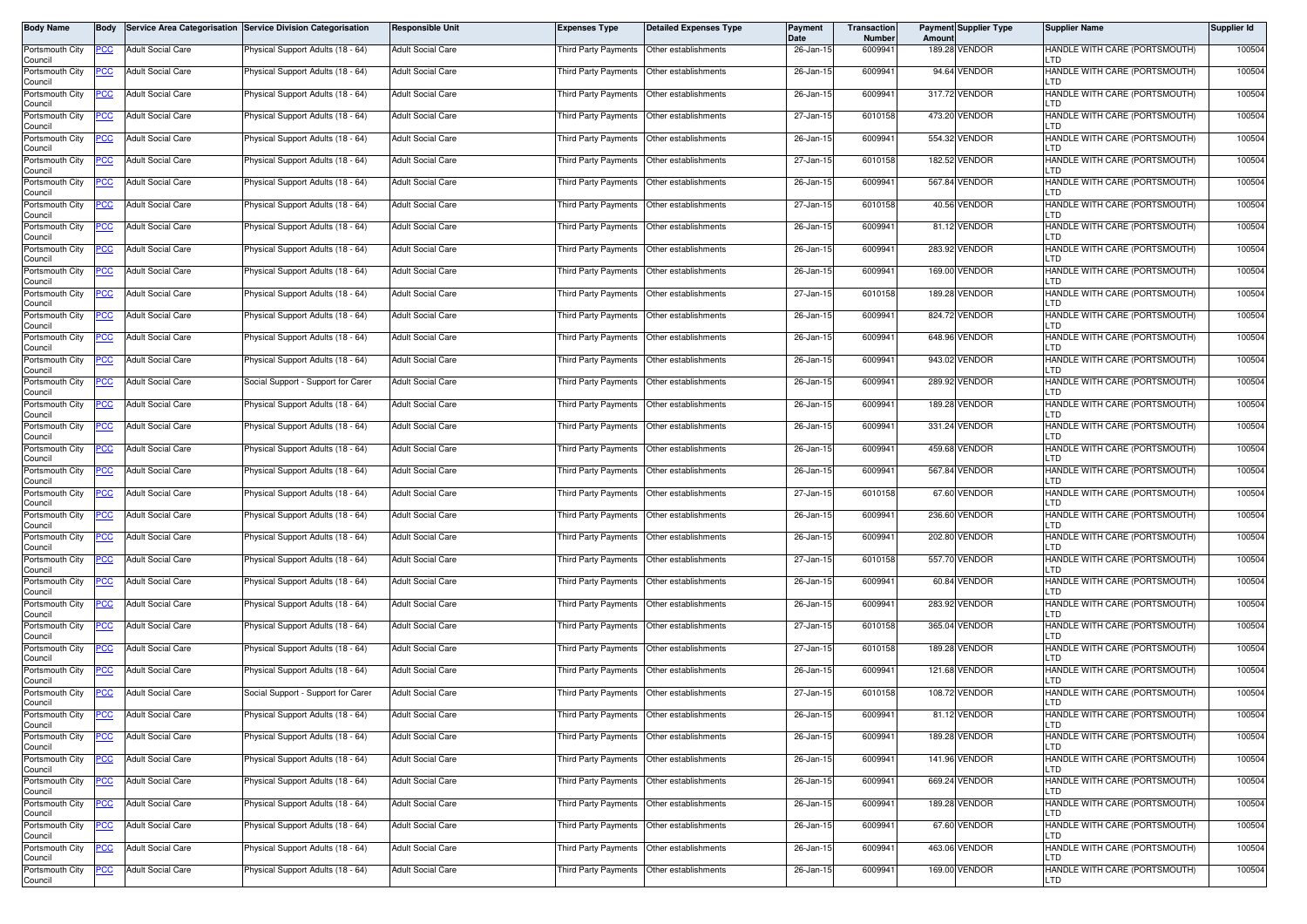| Body Name                                     | <b>Body</b> |                                               | Service Area Categorisation Service Division Categorisation            | Responsible Unit                                     | <b>Expenses Type</b>                        | <b>Detailed Expenses Type</b>                                     | Payment<br>Date        | <b>Transaction</b><br>Number | Amount | <b>Payment Supplier Type</b>   | <b>Supplier Name</b>                                                  | Supplier Id      |
|-----------------------------------------------|-------------|-----------------------------------------------|------------------------------------------------------------------------|------------------------------------------------------|---------------------------------------------|-------------------------------------------------------------------|------------------------|------------------------------|--------|--------------------------------|-----------------------------------------------------------------------|------------------|
| Portsmouth City<br>Council                    | PCC         | <b>Adult Social Care</b>                      | Physical Support Adults (18 - 64)                                      | <b>Adult Social Care</b>                             | Third Party Payments   Other establishments |                                                                   | 26-Jan-15              | 6009941                      |        | 189.28 VENDOR                  | HANDLE WITH CARE (PORTSMOUTH)<br>LTD                                  | 100504           |
| Portsmouth City<br>Council                    | ပင          | <b>Adult Social Care</b>                      | Physical Support Adults (18 - 64)                                      | <b>Adult Social Care</b>                             | Third Party Payments Other establishments   |                                                                   | 26-Jan-15              | 6009941                      |        | 94.64 VENDOR                   | HANDLE WITH CARE (PORTSMOUTH)<br>LTD                                  | 100504           |
| Portsmouth City<br>Council                    | <u>PCC </u> | <b>Adult Social Care</b>                      | <sup>9</sup> hysical Support Adults (18 - 64)                          | <b>Adult Social Care</b>                             | Third Party Payments Other establishments   |                                                                   | 26-Jan-15              | 6009941                      |        | 317.72 VENDOR                  | HANDLE WITH CARE (PORTSMOUTH)<br>LTD                                  | 100504           |
| Portsmouth City<br>Council                    | <u>PCC</u>  | <b>Adult Social Care</b>                      | Physical Support Adults (18 - 64)                                      | <b>Adult Social Care</b>                             | Third Party Payments                        | Other establishments                                              | 27-Jan-15              | 6010158                      |        | 473.20 VENDOR                  | HANDLE WITH CARE (PORTSMOUTH)<br>LTD                                  | 100504           |
| Portsmouth City<br>Council                    | <u>PCC</u>  | <b>Adult Social Care</b>                      | Physical Support Adults (18 - 64)                                      | <b>Adult Social Care</b>                             | Third Party Payments                        | Other establishments                                              | 26-Jan-15              | 6009941                      |        | 554.32 VENDOR                  | HANDLE WITH CARE (PORTSMOUTH)<br>LTD                                  | 100504           |
| Portsmouth City<br>Council                    | <u>PCC</u>  | <b>Adult Social Care</b>                      | Physical Support Adults (18 - 64)                                      | <b>Adult Social Care</b>                             | Third Party Payments                        | Other establishments                                              | 27-Jan-15              | 6010158                      |        | 182.52 VENDOR                  | HANDLE WITH CARE (PORTSMOUTH)<br>LTD                                  | 100504           |
| Portsmouth City<br>Council                    | <u>PCC</u>  | <b>Adult Social Care</b>                      | Physical Support Adults (18 - 64)                                      | <b>Adult Social Care</b>                             | Third Party Payments Other establishments   |                                                                   | 26-Jan-15              | 6009941                      |        | 567.84 VENDOR                  | HANDLE WITH CARE (PORTSMOUTH)<br>LTD                                  | 100504           |
| Portsmouth City<br>Council                    | <u>PCC</u>  | <b>Adult Social Care</b>                      | Physical Support Adults (18 - 64)                                      | <b>Adult Social Care</b>                             | Third Party Payments                        | Other establishments                                              | 27-Jan-15              | 6010158                      |        | 40.56 VENDOR                   | HANDLE WITH CARE (PORTSMOUTH)<br>LTD                                  | 100504           |
| Portsmouth City<br>Council                    | <u>PCC</u>  | <b>Adult Social Care</b>                      | Physical Support Adults (18 - 64)                                      | <b>Adult Social Care</b>                             | Third Party Payments                        | Other establishments                                              | 26-Jan-15              | 6009941                      |        | 81.12 VENDOR                   | HANDLE WITH CARE (PORTSMOUTH)<br>LTD                                  | 100504           |
| Portsmouth City<br>Council                    | PСC         | <b>Adult Social Care</b>                      | Physical Support Adults (18 - 64)                                      | <b>Adult Social Care</b>                             | Third Party Payments                        | Other establishments                                              | 26-Jan-15              | 6009941                      |        | 283.92 VENDOR                  | HANDLE WITH CARE (PORTSMOUTH)<br>LTD                                  | 100504           |
| Portsmouth City<br>Council                    | <u>PCC</u>  | <b>Adult Social Care</b>                      | Physical Support Adults (18 - 64)                                      | <b>Adult Social Care</b>                             | Third Party Payments                        | Other establishments                                              | 26-Jan-15              | 6009941                      |        | 169.00 VENDOR                  | HANDLE WITH CARE (PORTSMOUTH)<br>LTD                                  | 100504           |
| Portsmouth City<br>Council                    | <u>PCC </u> | <b>Adult Social Care</b>                      | Physical Support Adults (18 - 64)                                      | <b>Adult Social Care</b>                             | Third Party Payments                        | Other establishments                                              | 27-Jan-15              | 6010158                      |        | 189.28 VENDOR                  | HANDLE WITH CARE (PORTSMOUTH)<br>LTD                                  | 100504           |
| Portsmouth City<br>Council                    | <u>PCC</u>  | <b>Adult Social Care</b>                      | Physical Support Adults (18 - 64)                                      | <b>Adult Social Care</b>                             | <b>Third Party Payments</b>                 | Other establishments                                              | 26-Jan-15              | 6009941                      |        | 824.72 VENDOR                  | HANDLE WITH CARE (PORTSMOUTH)<br>LTD                                  | 100504           |
| Portsmouth City<br>Council                    | <u>CC </u>  | <b>Adult Social Care</b>                      | Physical Support Adults (18 - 64)                                      | <b>Adult Social Care</b>                             | Third Party Payments                        | Other establishments                                              | 26-Jan-15              | 6009941                      |        | 648.96 VENDOR                  | HANDLE WITH CARE (PORTSMOUTH)<br>LTD                                  | 100504           |
| Portsmouth City<br>Council                    | <u>PCC</u>  | <b>Adult Social Care</b>                      | Physical Support Adults (18 - 64)                                      | <b>Adult Social Care</b>                             | Third Party Payments Other establishments   |                                                                   | 26-Jan-15              | 6009941                      |        | 943.02 VENDOR                  | HANDLE WITH CARE (PORTSMOUTH)<br>LTD                                  | 100504           |
| Portsmouth City<br>Council                    | <u>PCC</u>  | <b>Adult Social Care</b>                      | Social Support - Support for Carer                                     | <b>Adult Social Care</b>                             | <b>Third Party Payments</b>                 | Other establishments                                              | 26-Jan-15              | 6009941                      |        | 289.92 VENDOR                  | HANDLE WITH CARE (PORTSMOUTH)<br>LTD                                  | 100504           |
| Portsmouth City<br>Council                    | <u>PCC</u>  | <b>Adult Social Care</b>                      | Physical Support Adults (18 - 64)                                      | <b>Adult Social Care</b>                             | Third Party Payments                        | Other establishments                                              | 26-Jan-15              | 6009941                      |        | 189.28 VENDOR                  | HANDLE WITH CARE (PORTSMOUTH)<br><b>LTD</b>                           | 100504           |
| Portsmouth City<br>Council                    |             | <b>Adult Social Care</b>                      | Physical Support Adults (18 - 64)                                      | <b>Adult Social Care</b>                             | Third Party Payments                        | Other establishments                                              | 26-Jan-15              | 6009941                      |        | 331.24 VENDOR                  | HANDLE WITH CARE (PORTSMOUTH)<br>LTD                                  | 100504           |
| Portsmouth City<br>Council                    | <u>cc</u>   | <b>Adult Social Care</b>                      | hysical Support Adults (18 - 64)                                       | <b>Adult Social Care</b>                             | Third Party Payments                        | Other establishments                                              | 26-Jan-15              | 6009941                      |        | 459.68 VENDOR                  | HANDLE WITH CARE (PORTSMOUTH)<br>LTD                                  | 100504           |
| Portsmouth City<br>Council                    | <u>PCC </u> | <b>Adult Social Care</b>                      | Physical Support Adults (18 - 64)                                      | <b>Adult Social Care</b>                             | Third Party Payments                        | Other establishments                                              | 26-Jan-15              | 6009941                      |        | 567.84 VENDOR                  | HANDLE WITH CARE (PORTSMOUTH)<br>LTD                                  | 100504           |
| Portsmouth City<br>Council                    | <u>PCC</u>  | <b>Adult Social Care</b>                      | Physical Support Adults (18 - 64)                                      | <b>Adult Social Care</b>                             | <b>Third Party Payments</b>                 | Other establishments                                              | 27-Jan-15              | 6010158                      |        | 67.60 VENDOR                   | HANDLE WITH CARE (PORTSMOUTH)<br>LTD                                  | 100504           |
| Portsmouth City<br>Council                    | <u>PCC </u> | <b>Adult Social Care</b>                      | Physical Support Adults (18 - 64)                                      | <b>Adult Social Care</b>                             | Third Party Payments                        | Other establishments                                              | 26-Jan-15              | 6009941                      | 236.60 | VENDOR                         | HANDLE WITH CARE (PORTSMOUTH)<br>LTD                                  | 100504           |
| Portsmouth City<br>Council                    | PСC         | <b>Adult Social Care</b>                      | Physical Support Adults (18 - 64)                                      | <b>Adult Social Care</b>                             | Third Party Payments                        | Other establishments                                              | 26-Jan-15              | 6009941                      |        | 202.80 VENDOR                  | HANDLE WITH CARE (PORTSMOUTH)<br>LTD                                  | 100504           |
| Portsmouth City<br>Council                    | <u>PCC</u>  | <b>Adult Social Care</b>                      | <sup>9</sup> hysical Support Adults (18 - 64)                          | <b>Adult Social Care</b>                             | Third Party Payments   Other establishments |                                                                   | 27-Jan-15              | 6010158                      |        | 557.70 VENDOR                  | HANDLE WITH CARE (PORTSMOUTH)<br>LTD                                  | 100504           |
| Portsmouth City<br>Council                    | <u>PCC</u>  | <b>Adult Social Care</b>                      | Physical Support Adults (18 - 64)                                      | <b>Adult Social Care</b>                             | Third Party Payments                        | Other establishments                                              | 26-Jan-15              | 6009941                      |        | 60.84 VENDOR                   | HANDLE WITH CARE (PORTSMOUTH)<br>LTD                                  | 100504           |
| Portsmouth City<br>Council                    | <u>PCC</u>  | <b>Adult Social Care</b>                      | Physical Support Adults (18 - 64)                                      | <b>Adult Social Care</b>                             | Third Party Payments   Other establishments |                                                                   | 26-Jan-15              | 6009941                      |        | 283.92 VENDOR                  | HANDLE WITH CARE (PORTSMOUTH)<br><b>LTD</b>                           | 100504           |
| Portsmouth City<br>Council                    | PCC         | <b>Adult Social Care</b>                      | Physical Support Adults (18 - 64)                                      | <b>Adult Social Care</b>                             | Third Party Payments                        | Other establishments                                              | 27-Jan-15              | 6010158                      |        | 365.04 VENDOR                  | HANDLE WITH CARE (PORTSMOUTH)<br>LTD                                  | 100504           |
| Portsmouth City<br>Council                    | <u>PCC </u> | <b>Adult Social Care</b>                      | Physical Support Adults (18 - 64)                                      | <b>Adult Social Care</b>                             |                                             |                                                                   | 27-Jan-15              | 6010158                      |        | 189.28 VENDOR                  | HANDLE WITH CARE (PORTSMOUTH)<br>LTD                                  | 100504           |
| Portsmouth City<br>Council                    | <u>CC</u>   | <b>Adult Social Care</b>                      | Physical Support Adults (18 - 64)                                      | <b>Adult Social Care</b>                             | Third Party Payments                        | Other establishments                                              | 26-Jan-15              | 6009941                      |        | 121.68 VENDOR                  | HANDLE WITH CARE (PORTSMOUTH)<br>LTD                                  | 100504           |
| Portsmouth City<br>Council                    | <u>PCC</u>  | <b>Adult Social Care</b>                      | Social Support - Support for Carer                                     | <b>Adult Social Care</b>                             | <b>Third Party Payments</b>                 | Other establishments                                              | 27-Jan-15              | 6010158                      |        | 108.72 VENDOR                  | HANDLE WITH CARE (PORTSMOUTH)<br>LTD                                  | 100504           |
| Portsmouth City<br>Council                    | <b>PCC</b>  | <b>Adult Social Care</b>                      | Physical Support Adults (18 - 64)                                      | <b>Adult Social Care</b>                             | Third Party Payments   Other establishments |                                                                   | 26-Jan-15              | 6009941                      |        | 81.12 VENDOR<br>189.28 VENDOR  | HANDLE WITH CARE (PORTSMOUTH)<br><b>ILTD</b>                          | 100504           |
| Portsmouth City<br>Council                    | <u>PCC</u>  | <b>Adult Social Care</b>                      | Physical Support Adults (18 - 64)                                      | <b>Adult Social Care</b>                             | Third Party Payments                        | Other establishments                                              | 26-Jan-15              | 6009941                      |        | 141.96 VENDOR                  | HANDLE WITH CARE (PORTSMOUTH)<br>LTD                                  | 100504           |
| Portsmouth City<br>Council                    | <u>PCC</u>  | <b>Adult Social Care</b>                      | Physical Support Adults (18 - 64)                                      | <b>Adult Social Care</b>                             | Third Party Payments                        | Other establishments                                              | 26-Jan-15              | 6009941                      |        |                                | HANDLE WITH CARE (PORTSMOUTH)<br>LTD                                  | 100504<br>100504 |
| Portsmouth City<br>Council<br>Portsmouth City | <u>PCC</u>  | <b>Adult Social Care</b>                      | Physical Support Adults (18 - 64)                                      | <b>Adult Social Care</b><br><b>Adult Social Care</b> | Third Party Payments Other establishments   |                                                                   | 26-Jan-15              | 6009941<br>6009941           |        | 669.24 VENDOR<br>189.28 VENDOR | HANDLE WITH CARE (PORTSMOUTH)<br>LTD<br>HANDLE WITH CARE (PORTSMOUTH) | 100504           |
| Council<br>Portsmouth City                    | PСC         | Adult Social Care<br><b>Adult Social Care</b> | Physical Support Adults (18 - 64)                                      | <b>Adult Social Care</b>                             | Third Party Payments                        | Other establishments<br>Third Party Payments Other establishments | 26-Jan-15              | 6009941                      |        | 67.60 VENDOR                   | LTD<br>HANDLE WITH CARE (PORTSMOUTH)                                  | 100504           |
| Council<br>Portsmouth City                    | <u>CC </u>  |                                               | Physical Support Adults (18 - 64)<br>Physical Support Adults (18 - 64) | <b>Adult Social Care</b>                             | Third Party Payments                        | Other establishments                                              | 26-Jan-15<br>26-Jan-15 | 6009941                      |        | 463.06 VENDOR                  | LTD<br>HANDLE WITH CARE (PORTSMOUTH)                                  | 100504           |
| Council                                       | <u>PCC</u>  | <b>Adult Social Care</b>                      |                                                                        |                                                      |                                             |                                                                   |                        |                              |        |                                | LTD                                                                   |                  |
| Portsmouth City<br>Council                    | PCC         | <b>Adult Social Care</b>                      | Physical Support Adults (18 - 64)                                      | <b>Adult Social Care</b>                             | Third Party Payments                        | Other establishments                                              | 26-Jan-15              | 6009941                      |        | 169.00 VENDOR                  | HANDLE WITH CARE (PORTSMOUTH)<br>LTD                                  | 100504           |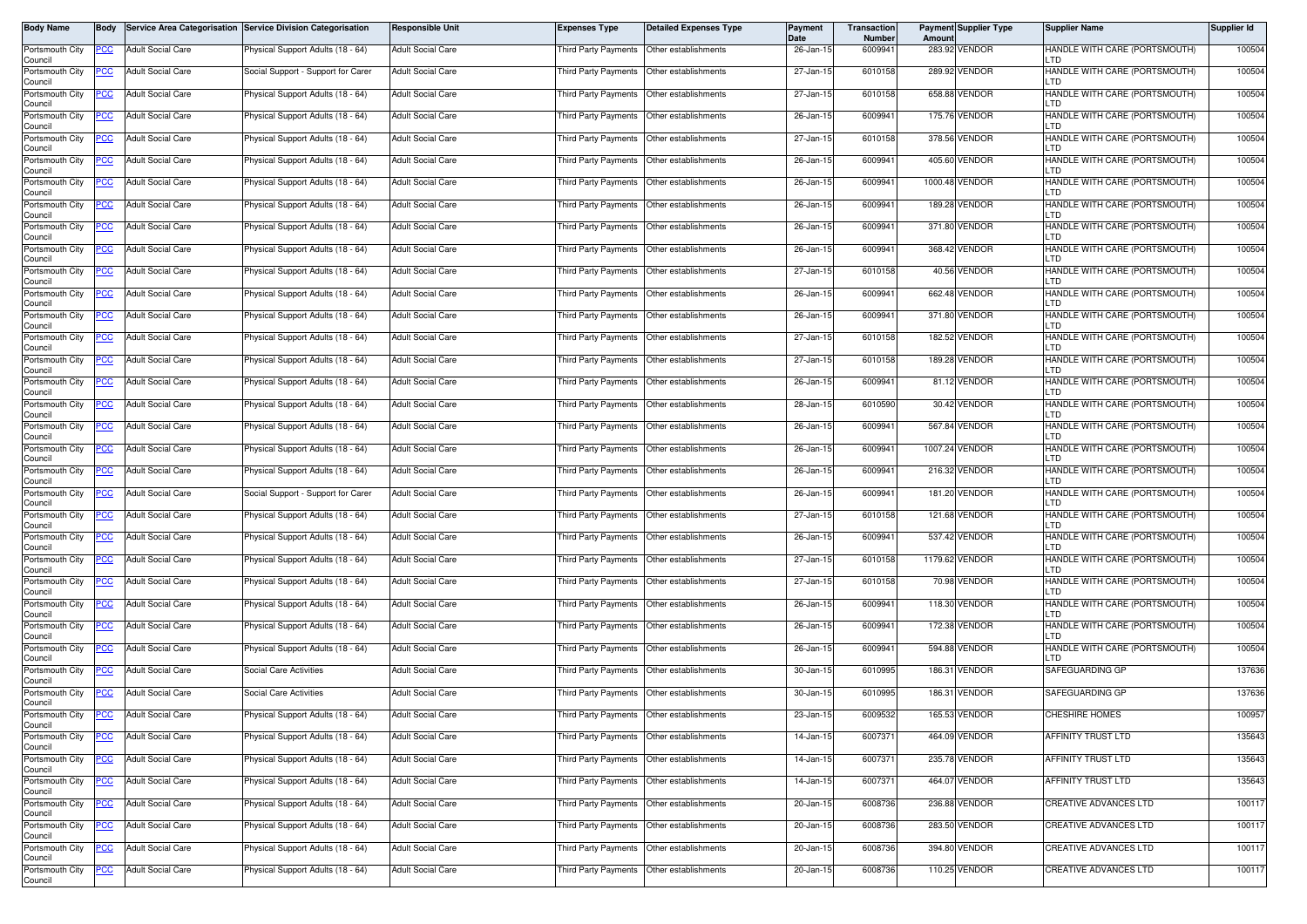| Body Name                  | <b>Body</b> |                          | Service Area Categorisation Service Division Categorisation | <b>Responsible Unit</b>  | <b>Expenses Type</b>                        | <b>Detailed Expenses Type</b>             | Payment<br>Date | <b>Transaction</b><br>Number | Amount | <b>Payment Supplier Type</b> | <b>Supplier Name</b>                        | Supplier Id |
|----------------------------|-------------|--------------------------|-------------------------------------------------------------|--------------------------|---------------------------------------------|-------------------------------------------|-----------------|------------------------------|--------|------------------------------|---------------------------------------------|-------------|
| Portsmouth City<br>Council | PCC         | <b>Adult Social Care</b> | Physical Support Adults (18 - 64)                           | <b>Adult Social Care</b> | Third Party Payments Other establishments   |                                           | 26-Jan-15       | 6009941                      |        | 283.92 VENDOR                | HANDLE WITH CARE (PORTSMOUTH)<br>LTD        | 100504      |
| Portsmouth City<br>Council | PCC         | <b>Adult Social Care</b> | Social Support - Support for Carer                          | <b>Adult Social Care</b> | Third Party Payments Other establishments   |                                           | 27-Jan-15       | 6010158                      |        | 289.92 VENDOR                | HANDLE WITH CARE (PORTSMOUTH)<br>LTD        | 100504      |
| Portsmouth City<br>Council | <u>PCC </u> | <b>Adult Social Care</b> | <sup>9</sup> hysical Support Adults (18 - 64)               | <b>Adult Social Care</b> | Third Party Payments                        | Other establishments                      | 27-Jan-15       | 6010158                      |        | 658.88 VENDOR                | HANDLE WITH CARE (PORTSMOUTH)<br>LTD        | 100504      |
| Portsmouth City<br>Council | <u>PCC</u>  | <b>Adult Social Care</b> | Physical Support Adults (18 - 64)                           | <b>Adult Social Care</b> | Third Party Payments                        | Other establishments                      | 26-Jan-15       | 6009941                      |        | 175.76 VENDOR                | HANDLE WITH CARE (PORTSMOUTH)<br>LTD        | 100504      |
| Portsmouth City<br>Council | <u>PCC</u>  | <b>Adult Social Care</b> | Physical Support Adults (18 - 64)                           | <b>Adult Social Care</b> | <b>Third Party Payments</b>                 | Other establishments                      | 27-Jan-15       | 6010158                      |        | 378.56 VENDOR                | HANDLE WITH CARE (PORTSMOUTH)<br>LTD        | 100504      |
| Portsmouth City<br>Council | <u>PCC</u>  | <b>Adult Social Care</b> | Physical Support Adults (18 - 64)                           | <b>Adult Social Care</b> | Third Party Payments                        | Other establishments                      | 26-Jan-15       | 6009941                      |        | 405.60 VENDOR                | HANDLE WITH CARE (PORTSMOUTH)<br>LTD        | 100504      |
| Portsmouth City<br>Council | <u>PCC</u>  | <b>Adult Social Care</b> | Physical Support Adults (18 - 64)                           | <b>Adult Social Care</b> | Third Party Payments Other establishments   |                                           | 26-Jan-15       | 6009941                      |        | 1000.48 VENDOR               | HANDLE WITH CARE (PORTSMOUTH)<br>LTD        | 100504      |
| Portsmouth City<br>Council | <u>PCC</u>  | <b>Adult Social Care</b> | Physical Support Adults (18 - 64)                           | <b>Adult Social Care</b> | Third Party Payments                        | Other establishments                      | 26-Jan-15       | 6009941                      |        | 189.28 VENDOR                | HANDLE WITH CARE (PORTSMOUTH)<br>LTD        | 100504      |
| Portsmouth City<br>Council | <u>PCC</u>  | <b>Adult Social Care</b> | Physical Support Adults (18 - 64)                           | <b>Adult Social Care</b> | Third Party Payments                        | Other establishments                      | 26-Jan-15       | 6009941                      |        | 371.80 VENDOR                | HANDLE WITH CARE (PORTSMOUTH)<br>LTD        | 100504      |
| Portsmouth City<br>Council | PСC         | <b>Adult Social Care</b> | Physical Support Adults (18 - 64)                           | <b>Adult Social Care</b> | Third Party Payments                        | Other establishments                      | 26-Jan-15       | 6009941                      |        | 368.42 VENDOR                | HANDLE WITH CARE (PORTSMOUTH)<br>LTD        | 100504      |
| Portsmouth City<br>Council | <u>PCC</u>  | <b>Adult Social Care</b> | Physical Support Adults (18 - 64)                           | <b>Adult Social Care</b> | Third Party Payments                        | Other establishments                      | 27-Jan-15       | 6010158                      |        | 40.56 VENDOR                 | HANDLE WITH CARE (PORTSMOUTH)<br>LTD        | 100504      |
| Portsmouth City<br>Council | <u>PCC </u> | <b>Adult Social Care</b> | Physical Support Adults (18 - 64)                           | <b>Adult Social Care</b> | Third Party Payments                        | Other establishments                      | 26-Jan-15       | 6009941                      |        | 662.48 VENDOR                | HANDLE WITH CARE (PORTSMOUTH)<br>LTD        | 100504      |
| Portsmouth City<br>Council | <u>PCC</u>  | <b>Adult Social Care</b> | Physical Support Adults (18 - 64)                           | <b>Adult Social Care</b> | <b>Third Party Payments</b>                 | Other establishments                      | 26-Jan-15       | 6009941                      |        | 371.80 VENDOR                | HANDLE WITH CARE (PORTSMOUTH)<br>LTD        | 100504      |
| Portsmouth City<br>Council | <u>CC </u>  | <b>Adult Social Care</b> | Physical Support Adults (18 - 64)                           | <b>Adult Social Care</b> | Third Party Payments                        | Other establishments                      | 27-Jan-15       | 6010158                      |        | 182.52 VENDOR                | HANDLE WITH CARE (PORTSMOUTH)<br>LTD        | 100504      |
| Portsmouth City<br>Council | <u>PCC</u>  | <b>Adult Social Care</b> | Physical Support Adults (18 - 64)                           | <b>Adult Social Care</b> | Third Party Payments   Other establishments |                                           | 27-Jan-15       | 6010158                      |        | 189.28 VENDOR                | HANDLE WITH CARE (PORTSMOUTH)<br>LTD        | 100504      |
| Portsmouth City<br>Council | <u>PCC</u>  | <b>Adult Social Care</b> | Physical Support Adults (18 - 64)                           | <b>Adult Social Care</b> | Third Party Payments                        | Other establishments                      | 26-Jan-15       | 6009941                      |        | 81.12 VENDOR                 | HANDLE WITH CARE (PORTSMOUTH)<br>LTD        | 100504      |
| Portsmouth City<br>Council | <u>PCC</u>  | <b>Adult Social Care</b> | Physical Support Adults (18 - 64)                           | <b>Adult Social Care</b> | <b>Third Party Payments</b>                 | Other establishments                      | 28-Jan-15       | 6010590                      |        | 30.42 VENDOR                 | HANDLE WITH CARE (PORTSMOUTH)<br><b>LTD</b> | 100504      |
| Portsmouth City<br>Council | PCC         | <b>Adult Social Care</b> | Physical Support Adults (18 - 64)                           | <b>Adult Social Care</b> | Third Party Payments                        | Other establishments                      | 26-Jan-15       | 6009941                      |        | 567.84 VENDOR                | HANDLE WITH CARE (PORTSMOUTH)<br>LTD        | 100504      |
| Portsmouth City<br>Council | <u>cc</u>   | <b>Adult Social Care</b> | Physical Support Adults (18 - 64)                           | <b>Adult Social Care</b> | Third Party Payments                        | Other establishments                      | 26-Jan-15       | 6009941                      |        | 1007.24 VENDOR               | HANDLE WITH CARE (PORTSMOUTH)<br>LTD        | 100504      |
| Portsmouth City<br>Council | <u>PCC </u> | <b>Adult Social Care</b> | Physical Support Adults (18 - 64)                           | <b>Adult Social Care</b> | Third Party Payments                        | Other establishments                      | 26-Jan-15       | 6009941                      |        | 216.32 VENDOR                | HANDLE WITH CARE (PORTSMOUTH)<br>LTD        | 100504      |
| Portsmouth City<br>Council | <u>PCC</u>  | <b>Adult Social Care</b> | Social Support - Support for Carer                          | <b>Adult Social Care</b> | <b>Third Party Payments</b>                 | Other establishments                      | 26-Jan-15       | 6009941                      |        | 181.20 VENDOR                | HANDLE WITH CARE (PORTSMOUTH)<br>LTD        | 100504      |
| Portsmouth City<br>Council | <u>PCC </u> | <b>Adult Social Care</b> | Physical Support Adults (18 - 64)                           | <b>Adult Social Care</b> | Third Party Payments                        | Other establishments                      | 27-Jan-15       | 6010158                      |        | 121.68 VENDOR                | HANDLE WITH CARE (PORTSMOUTH)<br>LTD        | 100504      |
| Portsmouth City<br>Council | PСC         | <b>Adult Social Care</b> | Physical Support Adults (18 - 64)                           | <b>Adult Social Care</b> | Third Party Payments                        | Other establishments                      | 26-Jan-15       | 6009941                      |        | 537.42 VENDOR                | HANDLE WITH CARE (PORTSMOUTH)<br>LTD        | 100504      |
| Portsmouth City<br>Council | <u>PCC</u>  | <b>Adult Social Care</b> | <sup>9</sup> hysical Support Adults (18 - 64)               | <b>Adult Social Care</b> | Third Party Payments   Other establishments |                                           | 27-Jan-15       | 6010158                      |        | 1179.62 VENDOR               | HANDLE WITH CARE (PORTSMOUTH)<br>LTD        | 100504      |
| Portsmouth City<br>Council | <u>PCC</u>  | <b>Adult Social Care</b> | Physical Support Adults (18 - 64)                           | <b>Adult Social Care</b> | Third Party Payments                        | Other establishments                      | 27-Jan-15       | 6010158                      |        | 70.98 VENDOR                 | HANDLE WITH CARE (PORTSMOUTH)<br>LTD        | 100504      |
| Portsmouth City<br>Council | PCC         | <b>Adult Social Care</b> | Physical Support Adults (18 - 64)                           | <b>Adult Social Care</b> | Third Party Payments   Other establishments |                                           | 26-Jan-15       | 6009941                      |        | 118.30 VENDOR                | HANDLE WITH CARE (PORTSMOUTH)<br><b>LTD</b> | 100504      |
| Portsmouth City<br>Council | PCC         | <b>Adult Social Care</b> | Physical Support Adults (18 - 64)                           | <b>Adult Social Care</b> | Third Party Payments                        | Other establishments                      | 26-Jan-15       | 6009941                      |        | 172.38 VENDOR                | HANDLE WITH CARE (PORTSMOUTH)<br>LTD        | 100504      |
| Portsmouth City<br>Council | <u>PCC</u>  | <b>Adult Social Care</b> | Physical Support Adults (18 - 64)                           | <b>Adult Social Care</b> | Third Party Payments Other establishments   |                                           | 26-Jan-15       | 6009941                      |        | 594.88 VENDOR                | HANDLE WITH CARE (PORTSMOUTH)<br>LTD        | 100504      |
| Portsmouth City<br>Council | <u>CC</u>   | <b>Adult Social Care</b> | Social Care Activities                                      | <b>Adult Social Care</b> | Third Party Payments                        | Other establishments                      | 30-Jan-15       | 6010995                      |        | 186.31 VENDOR                | SAFEGUARDING GP                             | 137636      |
| Portsmouth City<br>Council | <u>PCC</u>  | <b>Adult Social Care</b> | <b>Social Care Activities</b>                               | <b>Adult Social Care</b> | <b>Third Party Payments</b>                 | Other establishments                      | 30-Jan-15       | 6010995                      |        | 186.31 VENDOR                | SAFEGUARDING GP                             | 137636      |
| Portsmouth City<br>Council | <b>PCC</b>  | <b>Adult Social Care</b> | Physical Support Adults (18 - 64)                           | <b>Adult Social Care</b> | Third Party Payments Other establishments   |                                           | 23-Jan-15       | 6009532                      |        | 165.53 VENDOR                | <b>CHESHIRE HOMES</b>                       | 100957      |
| Portsmouth City<br>Council | <u>PCC</u>  | <b>Adult Social Care</b> | Physical Support Adults (18 - 64)                           | <b>Adult Social Care</b> | Third Party Payments                        | Other establishments                      | 14-Jan-15       | 6007371                      |        | 464.09 VENDOR                | AFFINITY TRUST LTD                          | 135643      |
| Portsmouth City<br>Council | <u>PCC</u>  | <b>Adult Social Care</b> | Physical Support Adults (18 - 64)                           | <b>Adult Social Care</b> | Third Party Payments                        | Other establishments                      | 14-Jan-15       | 6007371                      |        | 235.78 VENDOR                | AFFINITY TRUST LTD                          | 135643      |
| Portsmouth City<br>Council | <u>PCC</u>  | <b>Adult Social Care</b> | Physical Support Adults (18 - 64)                           | <b>Adult Social Care</b> | Third Party Payments Other establishments   |                                           | 14-Jan-15       | 6007371                      |        | 464.07 VENDOR                | AFFINITY TRUST LTD                          | 135643      |
| Portsmouth City<br>Council | PСC         | Adult Social Care        | Physical Support Adults (18 - 64)                           | <b>Adult Social Care</b> | Third Party Payments                        | Other establishments                      | 20-Jan-15       | 6008736                      |        | 236.88 VENDOR                | CREATIVE ADVANCES LTD                       | 100117      |
| Portsmouth City<br>Council | <u>PCC </u> | <b>Adult Social Care</b> | Physical Support Adults (18 - 64)                           | <b>Adult Social Care</b> |                                             | Third Party Payments Other establishments | 20-Jan-15       | 6008736                      |        | 283.50 VENDOR                | CREATIVE ADVANCES LTD                       | 100117      |
| Portsmouth City<br>Council | <u>PCC</u>  | <b>Adult Social Care</b> | Physical Support Adults (18 - 64)                           | <b>Adult Social Care</b> | Third Party Payments                        | Other establishments                      | 20-Jan-15       | 6008736                      |        | 394.80 VENDOR                | CREATIVE ADVANCES LTD                       | 100117      |
| Portsmouth City<br>Council | <u>PCC</u>  | <b>Adult Social Care</b> | Physical Support Adults (18 - 64)                           | <b>Adult Social Care</b> | Third Party Payments                        | Other establishments                      | 20-Jan-15       | 6008736                      |        | 110.25 VENDOR                | CREATIVE ADVANCES LTD                       | 100117      |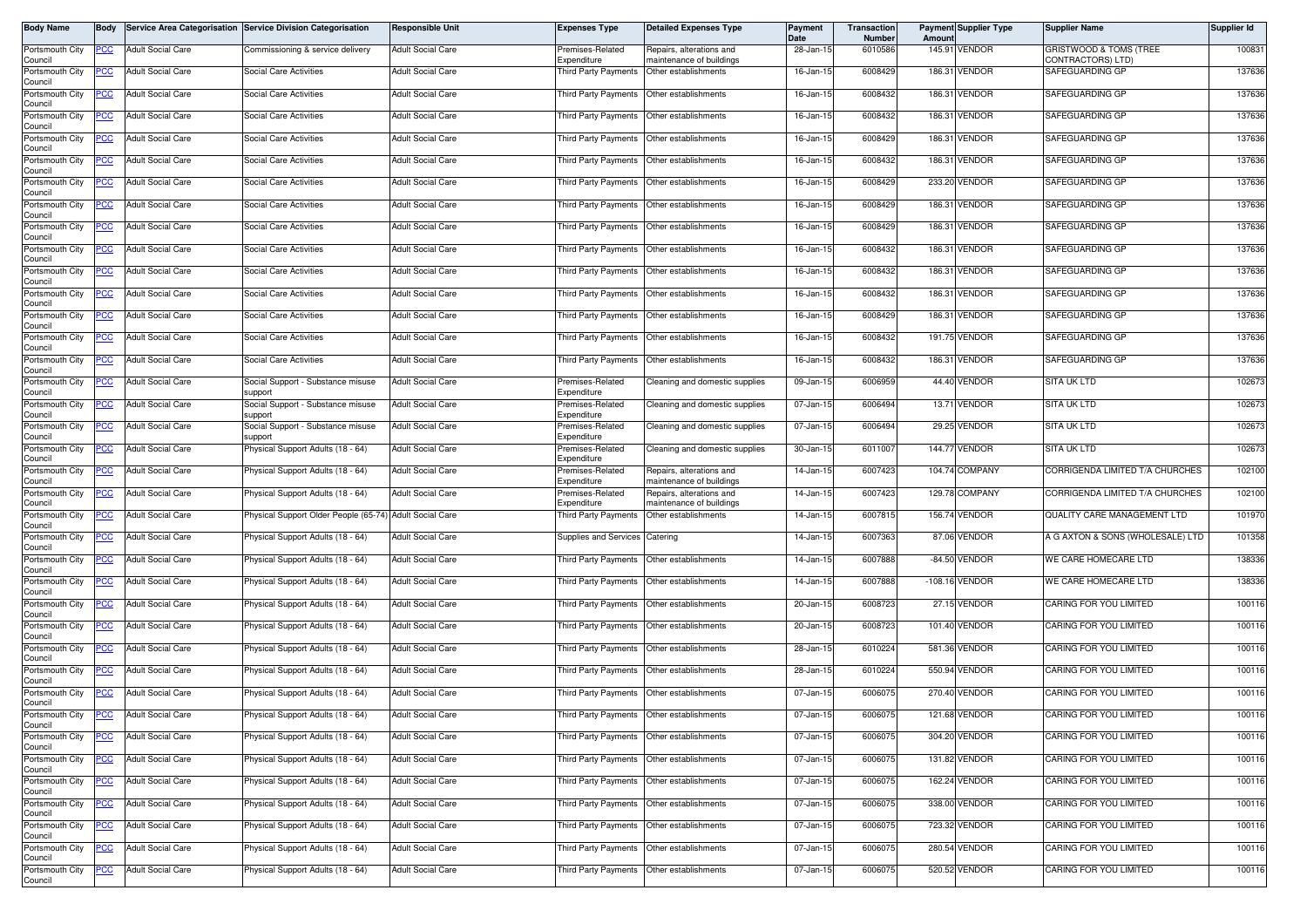| Body Name                  | Body        |                          | Service Area Categorisation Service Division Categorisation | <b>Responsible Unit</b>  | <b>Expenses Type</b>                        | <b>Detailed Expenses Type</b>                        | Payment<br><b>Date</b> | Transaction<br>Number | Amount | <b>Payment Supplier Type</b> | <b>Supplier Name</b>                        | Supplier Id |
|----------------------------|-------------|--------------------------|-------------------------------------------------------------|--------------------------|---------------------------------------------|------------------------------------------------------|------------------------|-----------------------|--------|------------------------------|---------------------------------------------|-------------|
| Portsmouth City<br>Council | PCC         | <b>Adult Social Care</b> | Commissioning & service delivery                            | <b>Adult Social Care</b> | Premises-Related<br>Expenditure             | Repairs, alterations and<br>naintenance of buildings | 28-Jan-15              | 6010586               |        | 145.91 VENDOR                | GRISTWOOD & TOMS (TREE<br>CONTRACTORS) LTD) | 100831      |
| Portsmouth City            | ပင          | <b>Adult Social Care</b> | Social Care Activities                                      | <b>Adult Social Care</b> | Third Party Payments                        | Other establishments                                 | 16-Jan-15              | 6008429               |        | 186.31 VENDOR                | SAFEGUARDING GP                             | 137636      |
| Council<br>Portsmouth City | <u>CC </u>  | <b>Adult Social Care</b> | Social Care Activities                                      | <b>Adult Social Care</b> |                                             | Third Party Payments Other establishments            | 16-Jan-15              | 6008432               |        | 186.31 VENDOR                | SAFEGUARDING GP                             | 137636      |
| Council<br>Portsmouth City | <u>CC</u>   | <b>Adult Social Care</b> | Social Care Activities                                      | <b>Adult Social Care</b> | Third Party Payments                        | Other establishments                                 | 16-Jan-15              | 6008432               |        | 186.31 VENDOR                | SAFEGUARDING GP                             | 137636      |
| Council<br>Portsmouth City | PCC         | <b>Adult Social Care</b> | <b>Social Care Activities</b>                               | <b>Adult Social Care</b> | Third Party Payments                        | Other establishments                                 | 16-Jan-15              | 6008429               |        | 186.31 VENDOR                | SAFEGUARDING GP                             | 137636      |
| Council<br>Portsmouth City |             | <b>Adult Social Care</b> | Social Care Activities                                      | <b>Adult Social Care</b> | Third Party Payments                        | Other establishments                                 | 16-Jan-15              | 6008432               |        | 186.31 VENDOR                | SAFEGUARDING GP                             | 137636      |
| Council<br>Portsmouth City | <u>PCC</u>  | <b>Adult Social Care</b> | Social Care Activities                                      | <b>Adult Social Care</b> | Third Party Payments Other establishments   |                                                      | 16-Jan-15              | 6008429               |        | 233.20 VENDOR                | SAFEGUARDING GP                             | 137636      |
| Council<br>Portsmouth City | <u>PCC</u>  | <b>Adult Social Care</b> | Social Care Activities                                      | <b>Adult Social Care</b> | Third Party Payments                        | Other establishments                                 | 16-Jan-15              | 6008429               |        | 186.31 VENDOR                | SAFEGUARDING GP                             | 137636      |
| Council<br>Portsmouth City | PCC         | <b>Adult Social Care</b> | <b>Social Care Activities</b>                               | <b>Adult Social Care</b> | Third Party Payments                        | Other establishments                                 | 16-Jan-15              | 6008429               |        | 186.31 VENDOR                | SAFEGUARDING GP                             | 137636      |
| Council<br>Portsmouth City | PСC         | <b>Adult Social Care</b> | Social Care Activities                                      | <b>Adult Social Care</b> | Third Party Payments                        | Other establishments                                 | 16-Jan-15              | 6008432               |        | 186.31 VENDOR                | SAFEGUARDING GP                             | 137636      |
| Council                    |             | <b>Adult Social Care</b> | Social Care Activities                                      | <b>Adult Social Care</b> |                                             | Other establishments                                 | 16-Jan-15              | 6008432               |        | 186.31 VENDOR                | SAFEGUARDING GP                             | 137636      |
| Portsmouth City<br>Council | <u>PCC</u>  |                          |                                                             |                          | Third Party Payments                        |                                                      |                        |                       |        |                              |                                             |             |
| Portsmouth City<br>Council | <u>PCC </u> | <b>Adult Social Care</b> | Social Care Activities                                      | <b>Adult Social Care</b> | Third Party Payments                        | Other establishments                                 | 16-Jan-15              | 6008432               |        | 186.31 VENDOR                | SAFEGUARDING GP                             | 137636      |
| Portsmouth City<br>Council | PСC         | <b>Adult Social Care</b> | <b>Social Care Activities</b>                               | <b>Adult Social Care</b> | Third Party Payments                        | Other establishments                                 | 16-Jan-15              | 6008429               |        | 186.31 VENDOR                | SAFEGUARDING GP                             | 137636      |
| Portsmouth City<br>Council | PСC         | <b>Adult Social Care</b> | Social Care Activities                                      | <b>Adult Social Care</b> | Third Party Payments                        | Other establishments                                 | 16-Jan-15              | 6008432               |        | 191.75 VENDOR                | SAFEGUARDING GP                             | 137636      |
| Portsmouth City<br>Council | <u>PCC</u>  | <b>Adult Social Care</b> | Social Care Activities                                      | <b>Adult Social Care</b> |                                             | Third Party Payments Other establishments            | 16-Jan-15              | 6008432               |        | 186.31 VENDOR                | SAFEGUARDING GP                             | 137636      |
| Portsmouth City<br>Council | <u>PCC</u>  | <b>Adult Social Care</b> | Social Support - Substance misuse<br>support                | <b>Adult Social Care</b> | Premises-Related<br>Expenditure             | Cleaning and domestic supplies                       | 09-Jan-15              | 6006959               |        | 44.40 VENDOR                 | SITA UK LTD                                 | 102673      |
| Portsmouth City<br>Council |             | <b>Adult Social Care</b> | Social Support - Substance misuse<br>support                | <b>Adult Social Care</b> | remises-Related<br>Expenditure              | Cleaning and domestic supplies                       | 07-Jan-15              | 6006494               |        | 13.71 VENDOR                 | <b>SITA UK LTD</b>                          | 102673      |
| Portsmouth City<br>Council | PCC         | <b>Adult Social Care</b> | Social Support - Substance misuse<br>support                | <b>Adult Social Care</b> | Premises-Related<br>Expenditure             | Cleaning and domestic supplies                       | 07-Jan-15              | 6006494               |        | 29.25 VENDOR                 | SITA UK LTD                                 | 102673      |
| Portsmouth City<br>Council | <u>cc</u>   | <b>Adult Social Care</b> | hysical Support Adults (18 - 64)                            | <b>Adult Social Care</b> | Premises-Related<br>Expenditure             | Cleaning and domestic supplies                       | 30-Jan-15              | 6011007               |        | 144.77 VENDOR                | <b>SITA UK LTD</b>                          | 102673      |
| Portsmouth City<br>Council | PСC         | <b>Adult Social Care</b> | Physical Support Adults (18 - 64)                           | <b>Adult Social Care</b> | Premises-Related<br>Expenditure             | Repairs, alterations and<br>naintenance of buildings | 14-Jan-15              | 6007423               |        | 104.74 COMPANY               | CORRIGENDA LIMITED T/A CHURCHES             | 102100      |
| Portsmouth City            | <u>PCC</u>  | <b>Adult Social Care</b> | Physical Support Adults (18 - 64)                           | <b>Adult Social Care</b> | Premises-Related                            | Repairs, alterations and                             | 14-Jan-15              | 6007423               |        | 129.78 COMPANY               | CORRIGENDA LIMITED T/A CHURCHES             | 102100      |
| Council<br>Portsmouth City | PСC         | <b>Adult Social Care</b> | Physical Support Older People (65-74)                       | <b>Adult Social Care</b> | Expenditure<br><b>Third Party Payments</b>  | naintenance of buildings<br>Other establishments     | 14-Jan-15              | 6007815               |        | 156.74 VENDOR                | QUALITY CARE MANAGEMENT LTD                 | 101970      |
| Council<br>Portsmouth City | сc          | <b>Adult Social Care</b> | Physical Support Adults (18 - 64)                           | <b>Adult Social Care</b> | Supplies and Services                       | Catering                                             | 14-Jan-15              | 6007363               |        | 87.06 VENDOR                 | A G AXTON & SONS (WHOLESALE) LTD            | 101358      |
| Council<br>Portsmouth City | <u>PCC</u>  | <b>Adult Social Care</b> | hysical Support Adults (18 - 64)                            | <b>Adult Social Care</b> |                                             | Third Party Payments Other establishments            | 14-Jan-15              | 6007888               |        | -84.50 VENDOR                | WE CARE HOMECARE LTD                        | 138336      |
| Council<br>Portsmouth City | PCC         | <b>Adult Social Care</b> | Physical Support Adults (18 - 64)                           | <b>Adult Social Care</b> | Third Party Payments                        | Other establishments                                 | 14-Jan-1               | 6007888               |        | -108.16 VENDOR               | WE CARE HOMECARE LTD                        | 138336      |
| Council<br>Portsmouth City | PCC         | <b>Adult Social Care</b> | Physical Support Adults (18 - 64)                           | <b>Adult Social Care</b> | Third Party Payments                        | Other establishments                                 | 20-Jan-15              | 6008723               |        | 27.15 VENDOR                 | CARING FOR YOU LIMITED                      | 100116      |
| Council<br>Portsmouth City | PCC         | <b>Adult Social Care</b> | Physical Support Adults (18 - 64)                           | <b>Adult Social Care</b> | Third Party Payments                        | Other establishments                                 | 20-Jan-15              | 6008723               |        | 101.40 VENDOR                | CARING FOR YOU LIMITED                      | 100116      |
| Council<br>Portsmouth City |             | <b>Adult Social Care</b> |                                                             | <b>Adult Social Care</b> | Third Party Payments Other establishments   |                                                      | 28-Jan-15              | 6010224               |        | 581.36 VENDOR                | CARING FOR YOU LIMITED                      | 100116      |
| Council                    | <u>PCC</u>  |                          | Physical Support Adults (18 - 64)                           |                          |                                             |                                                      |                        |                       |        |                              |                                             |             |
| Portsmouth City<br>Council | <u>'CC</u>  | <b>Adult Social Care</b> | Physical Support Adults (18 - 64)                           | <b>Adult Social Care</b> | Third Party Payments                        | Other establishments                                 | 28-Jan-15              | 6010224               |        | 550.94 VENDOR                | CARING FOR YOU LIMITED                      | 100116      |
| Portsmouth City<br>Council | <b>PCC</b>  | <b>Adult Social Care</b> | Physical Support Adults (18 - 64)                           | <b>Adult Social Care</b> | Third Party Payments                        | Other establishments                                 | 07-Jan-15              | 6006075               |        | 270.40 VENDOR                | CARING FOR YOU LIMITED                      | 100116      |
| Portsmouth City<br>Council | <b>PCC</b>  | <b>Adult Social Care</b> | Physical Support Adults (18 - 64)                           | <b>Adult Social Care</b> | Third Party Payments   Other establishments |                                                      | 07-Jan-15              | 6006075               |        | 121.68 VENDOR                | CARING FOR YOU LIMITED                      | 100116      |
| Portsmouth City<br>Council | <u>PCC</u>  | <b>Adult Social Care</b> | Physical Support Adults (18 - 64)                           | <b>Adult Social Care</b> | Third Party Payments                        | Other establishments                                 | 07-Jan-15              | 6006075               |        | 304.20 VENDOR                | CARING FOR YOU LIMITED                      | 100116      |
| Portsmouth City<br>Council | <u>PCC</u>  | <b>Adult Social Care</b> | Physical Support Adults (18 - 64)                           | <b>Adult Social Care</b> | Third Party Payments                        | Other establishments                                 | 07-Jan-15              | 6006075               |        | 131.82 VENDOR                | CARING FOR YOU LIMITED                      | 100116      |
| Portsmouth City<br>Council | <u>PCC</u>  | <b>Adult Social Care</b> | Physical Support Adults (18 - 64)                           | <b>Adult Social Care</b> |                                             | Third Party Payments Other establishments            | 07-Jan-15              | 6006075               |        | 162.24 VENDOR                | CARING FOR YOU LIMITED                      | 100116      |
| Portsmouth City<br>Council | PСC         | Adult Social Care        | Physical Support Adults (18 - 64)                           | <b>Adult Social Care</b> | Third Party Payments                        | Other establishments                                 | 07-Jan-15              | 6006075               |        | 338.00 VENDOR                | CARING FOR YOU LIMITED                      | 100116      |
| Portsmouth City<br>Council | <u>PCC </u> | <b>Adult Social Care</b> | Physical Support Adults (18 - 64)                           | <b>Adult Social Care</b> |                                             | Third Party Payments Other establishments            | 07-Jan-15              | 6006075               |        | 723.32 VENDOR                | CARING FOR YOU LIMITED                      | 100116      |
| Portsmouth City<br>Council | <u>PCC</u>  | <b>Adult Social Care</b> | Physical Support Adults (18 - 64)                           | <b>Adult Social Care</b> | Third Party Payments                        | Other establishments                                 | 07-Jan-15              | 6006075               |        | 280.54 VENDOR                | CARING FOR YOU LIMITED                      | 100116      |
| Portsmouth City            | <u>PCC</u>  | <b>Adult Social Care</b> | Physical Support Adults (18 - 64)                           | <b>Adult Social Care</b> | Third Party Payments                        | Other establishments                                 | 07-Jan-15              | 6006075               |        | 520.52 VENDOR                | CARING FOR YOU LIMITED                      | 100116      |
| Council                    |             |                          |                                                             |                          |                                             |                                                      |                        |                       |        |                              |                                             |             |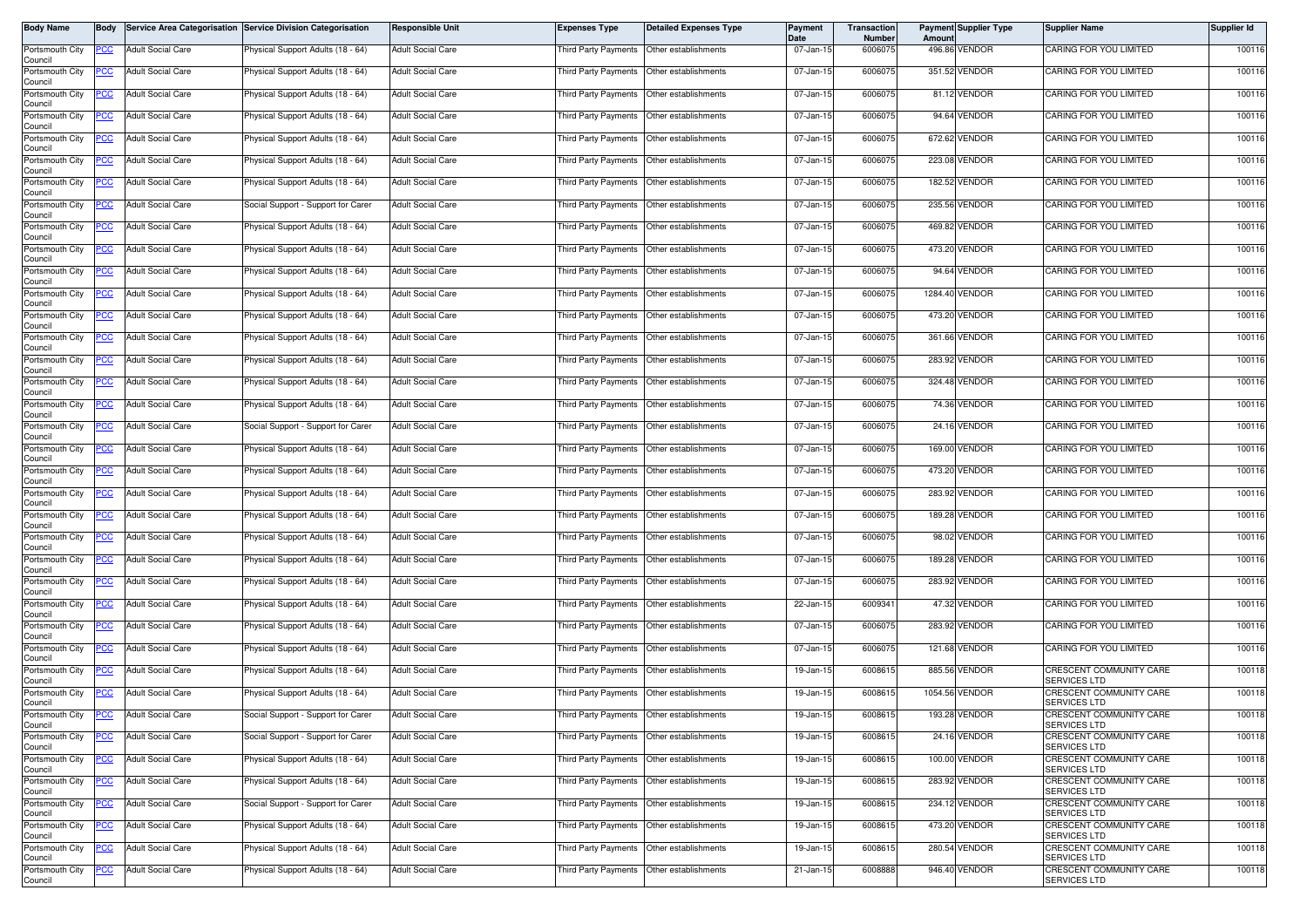| Body Name                  | Body        |                          | Service Area Categorisation Service Division Categorisation | <b>Responsible Unit</b>  | <b>Expenses Type</b>                        | <b>Detailed Expenses Type</b> | Payment<br>Date | Transaction<br><b>Number</b> | Amoun  | <b>Payment Supplier Type</b> | <b>Supplier Name</b>                           | Supplier Id |
|----------------------------|-------------|--------------------------|-------------------------------------------------------------|--------------------------|---------------------------------------------|-------------------------------|-----------------|------------------------------|--------|------------------------------|------------------------------------------------|-------------|
| Portsmouth City<br>Council | PCC         | <b>Adult Social Care</b> | Physical Support Adults (18 - 64)                           | <b>Adult Social Care</b> | Third Party Payments Other establishments   |                               | 07-Jan-15       | 6006075                      |        | 496.86 VENDOR                | CARING FOR YOU LIMITED                         | 100116      |
| Portsmouth City<br>Council | ပင          | <b>Adult Social Care</b> | Physical Support Adults (18 - 64)                           | <b>Adult Social Care</b> | Third Party Payments Other establishments   |                               | 07-Jan-15       | 6006075                      |        | 351.52 VENDOR                | CARING FOR YOU LIMITED                         | 100116      |
| Portsmouth City<br>Council | <u>CC </u>  | <b>Adult Social Care</b> | <sup>9</sup> hysical Support Adults (18 - 64)               | <b>Adult Social Care</b> | Third Party Payments Other establishments   |                               | 07-Jan-15       | 6006075                      |        | 81.12 VENDOR                 | CARING FOR YOU LIMITED                         | 100116      |
| Portsmouth City<br>Council | <u>PCC</u>  | <b>Adult Social Care</b> | Physical Support Adults (18 - 64)                           | <b>Adult Social Care</b> | Third Party Payments                        | Other establishments          | 07-Jan-15       | 6006075                      |        | 94.64 VENDOR                 | CARING FOR YOU LIMITED                         | 100116      |
| Portsmouth City<br>Council | <u>PCC</u>  | <b>Adult Social Care</b> | Physical Support Adults (18 - 64)                           | <b>Adult Social Care</b> | Third Party Payments                        | Other establishments          | 07-Jan-15       | 6006075                      |        | 672.62 VENDOR                | CARING FOR YOU LIMITED                         | 100116      |
| Portsmouth City<br>Council | <u>CC</u>   | <b>Adult Social Care</b> | Physical Support Adults (18 - 64)                           | <b>Adult Social Care</b> | Third Party Payments                        | Other establishments          | 07-Jan-15       | 6006075                      | 223.08 | VENDOR                       | CARING FOR YOU LIMITED                         | 100116      |
| Portsmouth City<br>Council | <u>PCC</u>  | <b>Adult Social Care</b> | Physical Support Adults (18 - 64)                           | <b>Adult Social Care</b> | Third Party Payments  Other establishments  |                               | 07-Jan-15       | 6006075                      |        | 182.52 VENDOR                | CARING FOR YOU LIMITED                         | 100116      |
| Portsmouth City<br>Council | <u>PCC</u>  | <b>Adult Social Care</b> | Social Support - Support for Carer                          | <b>Adult Social Care</b> | Third Party Payments                        | Other establishments          | 07-Jan-15       | 6006075                      |        | 235.56 VENDOR                | CARING FOR YOU LIMITED                         | 100116      |
| Portsmouth City<br>Council | <u>PCC</u>  | <b>Adult Social Care</b> | Physical Support Adults (18 - 64)                           | <b>Adult Social Care</b> | Third Party Payments                        | Other establishments          | 07-Jan-15       | 600607                       |        | 469.82 VENDOR                | CARING FOR YOU LIMITED                         | 100116      |
| Portsmouth City<br>Council | PСC         | <b>Adult Social Care</b> | Physical Support Adults (18 - 64)                           | <b>Adult Social Care</b> | Third Party Payments                        | Other establishments          | 07-Jan-15       | 6006075                      |        | 473.20 VENDOR                | CARING FOR YOU LIMITED                         | 100116      |
| Portsmouth City<br>Council | <u>PCC</u>  | <b>Adult Social Care</b> | Physical Support Adults (18 - 64)                           | <b>Adult Social Care</b> | Third Party Payments                        | Other establishments          | 07-Jan-15       | 6006075                      |        | 94.64 VENDOR                 | CARING FOR YOU LIMITED                         | 100116      |
| Portsmouth City<br>Council | <u>CC </u>  | <b>Adult Social Care</b> | Physical Support Adults (18 - 64)                           | <b>Adult Social Care</b> | Third Party Payments                        | Other establishments          | 07-Jan-15       | 6006075                      |        | 1284.40 VENDOR               | CARING FOR YOU LIMITED                         | 100116      |
| Portsmouth City<br>Council | <u>PCC</u>  | <b>Adult Social Care</b> | Physical Support Adults (18 - 64)                           | <b>Adult Social Care</b> | Third Party Payments                        | Other establishments          | 07-Jan-15       | 6006075                      |        | 473.20 VENDOR                | CARING FOR YOU LIMITED                         | 100116      |
| Portsmouth City<br>Council | <u>CC </u>  | <b>Adult Social Care</b> | Physical Support Adults (18 - 64)                           | <b>Adult Social Care</b> | Third Party Payments                        | Other establishments          | 07-Jan-15       | 6006075                      |        | 361.66 VENDOR                | CARING FOR YOU LIMITED                         | 100116      |
| Portsmouth City<br>Council | <u>PCC</u>  | <b>Adult Social Care</b> | Physical Support Adults (18 - 64)                           | <b>Adult Social Care</b> | Third Party Payments Other establishments   |                               | 07-Jan-15       | 6006075                      |        | 283.92 VENDOR                | CARING FOR YOU LIMITED                         | 100116      |
| Portsmouth City<br>Council | <u>PCC</u>  | <b>Adult Social Care</b> | Physical Support Adults (18 - 64)                           | <b>Adult Social Care</b> | Third Party Payments                        | Other establishments          | 07-Jan-15       | 6006075                      |        | 324.48 VENDOR                | CARING FOR YOU LIMITED                         | 100116      |
| Portsmouth City<br>Council |             | <b>Adult Social Care</b> | Physical Support Adults (18 - 64)                           | <b>Adult Social Care</b> | Third Party Payments                        | Other establishments          | 07-Jan-15       | 6006075                      |        | 74.36 VENDOR                 | CARING FOR YOU LIMITED                         | 100116      |
| Portsmouth City<br>Council | PCC         | <b>Adult Social Care</b> | Social Support - Support for Carer                          | <b>Adult Social Care</b> | <b>Third Party Payments</b>                 | Other establishments          | 07-Jan-15       | 6006075                      |        | 24.16 VENDOR                 | CARING FOR YOU LIMITED                         | 100116      |
| Portsmouth City<br>Council | <u>cc</u>   | <b>Adult Social Care</b> | Physical Support Adults (18 - 64)                           | <b>Adult Social Care</b> | Third Party Payments                        | Other establishments          | 07-Jan-15       | 6006075                      |        | 169.00 VENDOR                | CARING FOR YOU LIMITED                         | 100116      |
| Portsmouth City<br>Council | PСC         | <b>Adult Social Care</b> | Physical Support Adults (18 - 64)                           | <b>Adult Social Care</b> | Third Party Payments                        | Other establishments          | 07-Jan-15       | 6006075                      |        | 473.20 VENDOR                | CARING FOR YOU LIMITED                         | 100116      |
| Portsmouth City<br>Council | <u>PCC</u>  | <b>Adult Social Care</b> | Physical Support Adults (18 - 64)                           | <b>Adult Social Care</b> | Third Party Payments                        | Other establishments          | 07-Jan-15       | 6006075                      |        | 283.92 VENDOR                | CARING FOR YOU LIMITED                         | 100116      |
| Portsmouth City<br>Council | PСC         | <b>Adult Social Care</b> | Physical Support Adults (18 - 64)                           | <b>Adult Social Care</b> | Third Party Payments                        | Other establishments          | 07-Jan-15       | 6006075                      | 189.28 | VENDOR                       | CARING FOR YOU LIMITED                         | 100116      |
| Portsmouth City<br>Council | сc          | <b>Adult Social Care</b> | Physical Support Adults (18 - 64)                           | <b>Adult Social Care</b> | Third Party Payments Other establishments   |                               | 07-Jan-15       | 6006075                      |        | 98.02 VENDOR                 | CARING FOR YOU LIMITED                         | 100116      |
| Portsmouth City<br>Council | <u>PCC</u>  | <b>Adult Social Care</b> | hysical Support Adults (18 - 64)                            | <b>Adult Social Care</b> | Third Party Payments Other establishments   |                               | 07-Jan-15       | 6006075                      |        | 189.28 VENDOR                | CARING FOR YOU LIMITED                         | 100116      |
| Portsmouth City<br>Council | <u>PCC </u> | <b>Adult Social Care</b> | Physical Support Adults (18 - 64)                           | <b>Adult Social Care</b> | Third Party Payments Other establishments   |                               | 07-Jan-15       | 6006075                      |        | 283.92 VENDOR                | CARING FOR YOU LIMITED                         | 100116      |
| Portsmouth City<br>Council | PCC         | <b>Adult Social Care</b> | Physical Support Adults (18 - 64)                           | <b>Adult Social Care</b> | Third Party Payments   Other establishments |                               | 22-Jan-15       | 6009341                      |        | 47.32 VENDOR                 | CARING FOR YOU LIMITED                         | 100116      |
| Portsmouth City<br>Council | <u>PCC</u>  | <b>Adult Social Care</b> | Physical Support Adults (18 - 64)                           | <b>Adult Social Care</b> | Third Party Payments                        | Other establishments          | 07-Jan-15       | 6006075                      |        | 283.92 VENDOR                | CARING FOR YOU LIMITED                         | 100116      |
| Portsmouth City<br>Council | <u>PCC</u>  | <b>Adult Social Care</b> | Physical Support Adults (18 - 64)                           | <b>Adult Social Care</b> | Third Party Payments Other establishments   |                               | 07-Jan-15       | 6006075                      |        | 121.68 VENDOR                | CARING FOR YOU LIMITED                         | 100116      |
| Portsmouth City<br>Council | <u>'CC</u>  | <b>Adult Social Care</b> | Physical Support Adults (18 - 64)                           | <b>Adult Social Care</b> | Third Party Payments                        | Other establishments          | 19-Jan-15       | 6008615                      |        | 885.56 VENDOR                | CRESCENT COMMUNITY CARE<br><b>SERVICES LTD</b> | 100118      |
| Portsmouth City<br>Council | <u>PCC</u>  | <b>Adult Social Care</b> | Physical Support Adults (18 - 64)                           | <b>Adult Social Care</b> | <b>Third Party Payments</b>                 | Other establishments          | 19-Jan-15       | 600861                       |        | 1054.56 VENDOR               | CRESCENT COMMUNITY CARE<br><b>SERVICES LTD</b> | 100118      |
| Portsmouth City<br>Council | <u>PCC</u>  | <b>Adult Social Care</b> | Social Support - Support for Carer                          | <b>Adult Social Care</b> | Third Party Payments Other establishments   |                               | 19-Jan-15       | 6008615                      |        | 193.28 VENDOR                | CRESCENT COMMUNITY CARE<br>SERVICES LTD        | 100118      |
| Portsmouth City<br>Council | <u>PCC</u>  | <b>Adult Social Care</b> | Social Support - Support for Carer                          | <b>Adult Social Care</b> | Third Party Payments Other establishments   |                               | 19-Jan-15       | 6008615                      |        | 24.16 VENDOR                 | CRESCENT COMMUNITY CARE<br>SERVICES LTD        | 100118      |
| Portsmouth City<br>Council | 'CC         | <b>Adult Social Care</b> | Physical Support Adults (18 - 64)                           | <b>Adult Social Care</b> | Third Party Payments                        | Other establishments          | 19-Jan-15       | 6008615                      |        | 100.00 VENDOR                | CRESCENT COMMUNITY CARE<br><b>SERVICES LTD</b> | 100118      |
| Portsmouth City<br>Council | PCC         | <b>Adult Social Care</b> | Physical Support Adults (18 - 64)                           | <b>Adult Social Care</b> | Third Party Payments Other establishments   |                               | 19-Jan-15       | 6008615                      |        | 283.92 VENDOR                | CRESCENT COMMUNITY CARE<br>SERVICES LTD        | 100118      |
| Portsmouth City<br>Council | PСC         | <b>Adult Social Care</b> | Social Support - Support for Carer                          | <b>Adult Social Care</b> | <b>Third Party Payments</b>                 | Other establishments          | 19-Jan-15       | 6008615                      |        | 234.12 VENDOR                | CRESCENT COMMUNITY CARE<br>SERVICES LTD        | 100118      |
| Portsmouth City<br>Council | <u>CC </u>  | <b>Adult Social Care</b> | Physical Support Adults (18 - 64)                           | <b>Adult Social Care</b> | Third Party Payments Other establishments   |                               | 19-Jan-15       | 6008615                      |        | 473.20 VENDOR                | CRESCENT COMMUNITY CARE<br><b>SERVICES LTD</b> | 100118      |
| Portsmouth City<br>Council | <u>PCC</u>  | <b>Adult Social Care</b> | Physical Support Adults (18 - 64)                           | <b>Adult Social Care</b> | Third Party Payments                        | Other establishments          | 19-Jan-15       | 6008615                      |        | 280.54 VENDOR                | CRESCENT COMMUNITY CARE<br><b>SERVICES LTD</b> | 100118      |
| Portsmouth City<br>Council | <u>PCC</u>  | <b>Adult Social Care</b> | Physical Support Adults (18 - 64)                           | <b>Adult Social Care</b> | Third Party Payments                        | Other establishments          | 21-Jan-15       | 6008888                      |        | 946.40 VENDOR                | CRESCENT COMMUNITY CARE<br>SERVICES LTD        | 100118      |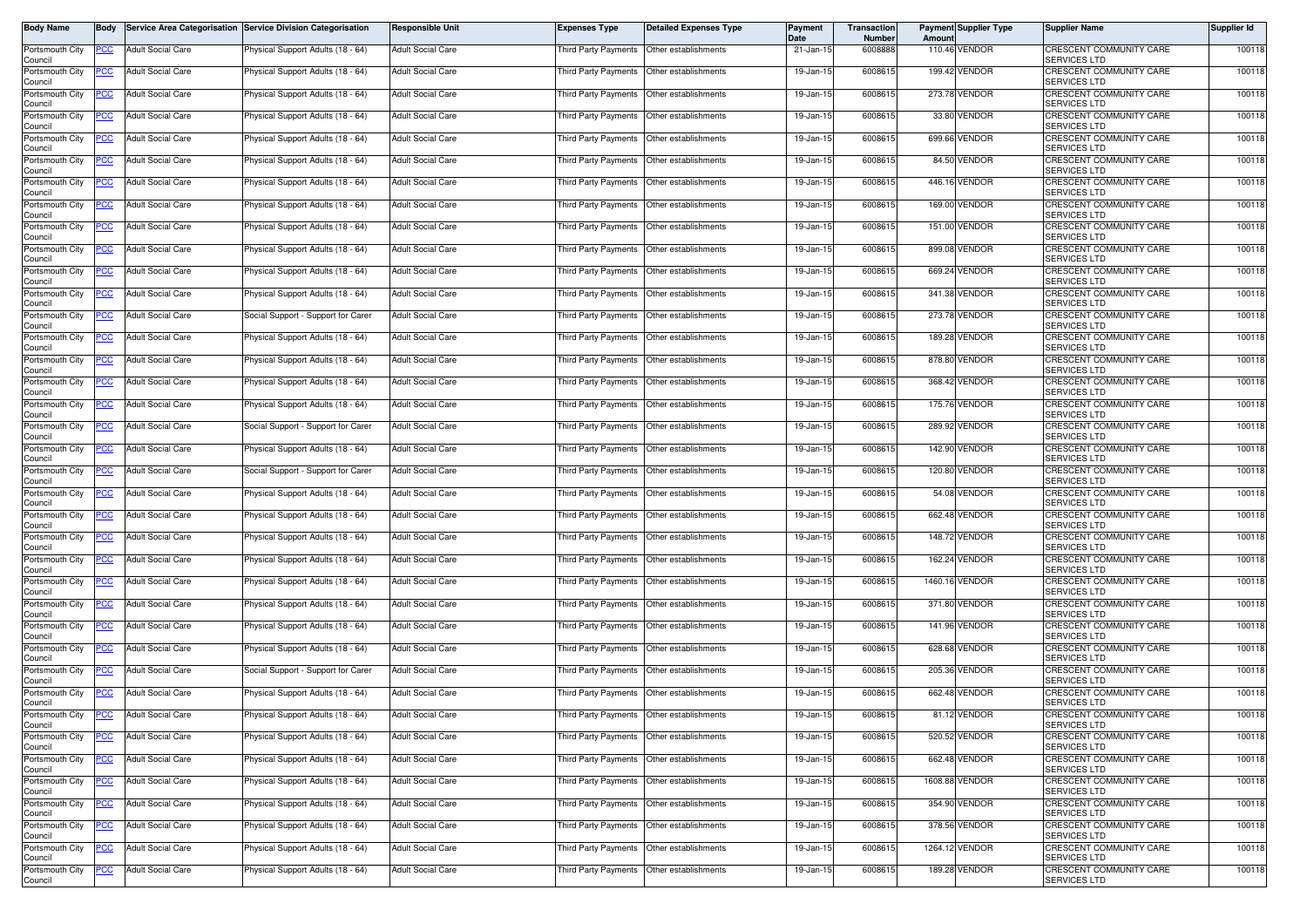| Body Name                  | Body        |                          | Service Area Categorisation Service Division Categorisation | <b>Responsible Unit</b>  | <b>Expenses Type</b>                        | <b>Detailed Expenses Type</b> | Payment<br>Date | Transaction<br>Number | Amoun  | <b>Payment Supplier Type</b> | <b>Supplier Name</b>                                  | Supplier Id |
|----------------------------|-------------|--------------------------|-------------------------------------------------------------|--------------------------|---------------------------------------------|-------------------------------|-----------------|-----------------------|--------|------------------------------|-------------------------------------------------------|-------------|
| Portsmouth City<br>Council | PCC         | <b>Adult Social Care</b> | Physical Support Adults (18 - 64)                           | <b>Adult Social Care</b> | Third Party Payments                        | Other establishments          | 21-Jan-15       | 6008888               |        | 110.46 VENDOR                | CRESCENT COMMUNITY CARE<br><b>SERVICES LTD</b>        | 100118      |
| Portsmouth City<br>Council | 'СС         | <b>Adult Social Care</b> | Physical Support Adults (18 - 64)                           | <b>Adult Social Care</b> | Third Party Payments Other establishments   |                               | 19-Jan-15       | 6008615               |        | 199.42 VENDOR                | CRESCENT COMMUNITY CARE<br>SERVICES LTD               | 100118      |
| Portsmouth City<br>Council | PСC         | <b>Adult Social Care</b> | <sup>9</sup> hysical Support Adults (18 - 64)               | <b>Adult Social Care</b> | Third Party Payments Other establishments   |                               | 19-Jan-15       | 6008615               |        | 273.78 VENDOR                | CRESCENT COMMUNITY CARE<br><b>SERVICES LTD</b>        | 100118      |
| Portsmouth City<br>Council |             | <b>Adult Social Care</b> | Physical Support Adults (18 - 64)                           | <b>Adult Social Care</b> | <b>Third Party Payments</b>                 | Other establishments          | 19-Jan-1        | 600861                | 33.80  | VENDOR                       | CRESCENT COMMUNITY CARE<br><b>SERVICES LTD</b>        | 100118      |
| Portsmouth City<br>Council | ∍сс         | <b>Adult Social Care</b> | Physical Support Adults (18 - 64)                           | <b>Adult Social Care</b> | Third Party Payments                        | Other establishments          | 19-Jan-15       | 6008615               |        | 699.66 VENDOR                | CRESCENT COMMUNITY CARE<br><b>SERVICES LTD</b>        | 100118      |
| Portsmouth City<br>Council | <u>CC</u>   | <b>Adult Social Care</b> | Physical Support Adults (18 - 64)                           | <b>Adult Social Care</b> | Third Party Payments                        | Other establishments          | 19-Jan-15       | 6008615               |        | 84.50 VENDOR                 | CRESCENT COMMUNITY CARE<br>SERVICES LTD               | 100118      |
| Portsmouth City<br>Council | <u>PCC</u>  | <b>Adult Social Care</b> | Physical Support Adults (18 - 64)                           | <b>Adult Social Care</b> | Third Party Payments  Other establishments  |                               | 19-Jan-15       | 6008615               |        | 446.16 VENDOR                | CRESCENT COMMUNITY CARE<br>SERVICES LTD               | 100118      |
| Portsmouth City<br>Council | <u>'CC</u>  | <b>Adult Social Care</b> | Physical Support Adults (18 - 64)                           | <b>Adult Social Care</b> | Third Party Payments                        | Other establishments          | 19-Jan-15       | 6008615               |        | 169.00 VENDOR                | CRESCENT COMMUNITY CARE<br><b>SERVICES LTD</b>        | 100118      |
| Portsmouth City<br>Council | PCC         | <b>Adult Social Care</b> | Physical Support Adults (18 - 64)                           | <b>Adult Social Care</b> | <b>Third Party Payments</b>                 | Other establishments          | 19-Jan-15       | 600861                |        | 151.00 VENDOR                | <b>CRESCENT COMMUNITY CARE</b><br><b>SERVICES LTD</b> | 100118      |
| Portsmouth City<br>Council | сc          | <b>Adult Social Care</b> | Physical Support Adults (18 - 64)                           | <b>Adult Social Care</b> | Third Party Payments                        | Other establishments          | 19-Jan-15       | 6008615               |        | 899.08 VENDOR                | CRESCENT COMMUNITY CARE<br><b>SERVICES LTD</b>        | 100118      |
| Portsmouth City<br>Council | °СС         | <b>Adult Social Care</b> | Physical Support Adults (18 - 64)                           | <b>Adult Social Care</b> | Third Party Payments                        | Other establishments          | 19-Jan-15       | 6008615               |        | 669.24 VENDOR                | CRESCENT COMMUNITY CARE<br><b>SERVICES LTD</b>        | 100118      |
| Portsmouth City<br>Council | PСC         | <b>Adult Social Care</b> | Physical Support Adults (18 - 64)                           | <b>Adult Social Care</b> | Third Party Payments                        | Other establishments          | 19-Jan-15       | 6008615               |        | 341.38 VENDOR                | CRESCENT COMMUNITY CARE<br><b>SERVICES LTD</b>        | 100118      |
| Portsmouth City<br>Council | PСC         | <b>Adult Social Care</b> | Social Support - Support for Carer                          | <b>Adult Social Care</b> | Third Party Payments                        | Other establishments          | 19-Jan-15       | 6008615               |        | 273.78 VENDOR                | CRESCENT COMMUNITY CARE<br><b>SERVICES LTD</b>        | 100118      |
| Portsmouth City<br>Council | 'CC         | <b>Adult Social Care</b> | Physical Support Adults (18 - 64)                           | <b>Adult Social Care</b> | Third Party Payments                        | Other establishments          | 19-Jan-15       | 6008615               | 189.28 | VENDOR                       | <b>CRESCENT COMMUNITY CARE</b><br>SERVICES LTD        | 100118      |
| Portsmouth City<br>Council | <u>PCC </u> | <b>Adult Social Care</b> | Physical Support Adults (18 - 64)                           | <b>Adult Social Care</b> | Third Party Payments Other establishments   |                               | 19-Jan-15       | 6008615               |        | 878.80 VENDOR                | CRESCENT COMMUNITY CARE<br>SERVICES LTD               | 100118      |
| Portsmouth City<br>Council | <u>PCC</u>  | <b>Adult Social Care</b> | Physical Support Adults (18 - 64)                           | <b>Adult Social Care</b> | Third Party Payments                        | Other establishments          | 19-Jan-15       | 6008615               |        | 368.42 VENDOR                | <b>CRESCENT COMMUNITY CARE</b><br>SERVICES LTD        | 100118      |
| Portsmouth City<br>Council | <u>CC</u>   | <b>Adult Social Care</b> | Physical Support Adults (18 - 64)                           | <b>Adult Social Care</b> | <b>Third Party Payments</b>                 | Other establishments          | 19-Jan-15       | 6008615               |        | 175.76 VENDOR                | CRESCENT COMMUNITY CARE<br><b>SERVICES LTD</b>        | 100118      |
| Portsmouth City<br>Council | PСC         | <b>Adult Social Care</b> | Social Support - Support for Carer                          | <b>Adult Social Care</b> | Third Party Payments                        | Other establishments          | 19-Jan-15       | 6008615               |        | 289.92 VENDOR                | CRESCENT COMMUNITY CARE<br>SERVICES LTD               | 100118      |
| Portsmouth City<br>Council | <u>cc</u>   | <b>Adult Social Care</b> | Physical Support Adults (18 - 64)                           | <b>Adult Social Care</b> | Third Party Payments                        | Other establishments          | 19-Jan-15       | 6008615               |        | 142.90 VENDOR                | CRESCENT COMMUNITY CARE<br><b>SERVICES LTD</b>        | 100118      |
| Portsmouth City<br>Council | PСC         | <b>Adult Social Care</b> | Social Support - Support for Carer                          | <b>Adult Social Care</b> | <b>Third Party Payments</b>                 | Other establishments          | 19-Jan-15       | 6008615               |        | 120.80 VENDOR                | CRESCENT COMMUNITY CARE<br><b>SERVICES LTD</b>        | 100118      |
| Portsmouth City<br>Council |             | <b>Adult Social Care</b> | Physical Support Adults (18 - 64)                           | <b>Adult Social Care</b> | <b>Third Party Payments</b>                 | Other establishments          | 19-Jan-15       | 6008615               |        | 54.08 VENDOR                 | CRESCENT COMMUNITY CARE<br><b>SERVICES LTD</b>        | 100118      |
| Portsmouth City<br>Council | PСC         | <b>Adult Social Care</b> | Physical Support Adults (18 - 64)                           | <b>Adult Social Care</b> | Third Party Payments                        | Other establishments          | 19-Jan-15       | 6008615               | 662.48 | VENDOR                       | CRESCENT COMMUNITY CARE<br><b>SERVICES LTD</b>        | 100118      |
| Portsmouth City<br>Council | сc          | <b>Adult Social Care</b> | Physical Support Adults (18 - 64)                           | <b>Adult Social Care</b> | Third Party Payments                        | Other establishments          | 19-Jan-15       | 6008615               |        | 148.72 VENDOR                | CRESCENT COMMUNITY CARE<br><b>SERVICES LTD</b>        | 100118      |
| Portsmouth City<br>Council | PСC         | <b>Adult Social Care</b> | Physical Support Adults (18 - 64)                           | <b>Adult Social Care</b> | Third Party Payments Other establishments   |                               | 19-Jan-15       | 6008615               |        | 162.24 VENDOR                | CRESCENT COMMUNITY CARE<br><b>SERVICES LTD</b>        | 100118      |
| Portsmouth City<br>Council | PСC         | <b>Adult Social Care</b> | Physical Support Adults (18 - 64)                           | <b>Adult Social Care</b> | Third Party Payments                        | Other establishments          | 19-Jan-1        | 6008615               |        | 1460.16 VENDOR               | CRESCENT COMMUNITY CARE<br><b>SERVICES LTD</b>        | 100118      |
| Portsmouth City<br>Council | PСC         | <b>Adult Social Care</b> | Physical Support Adults (18 - 64)                           | <b>Adult Social Care</b> | Third Party Payments   Other establishments |                               | 19-Jan-15       | 6008615               |        | 371.80 VENDOR                | CRESCENT COMMUNITY CARE<br>SERVICES LTD               | 100118      |
| Portsmouth City<br>Council | <u>PCC</u>  | <b>Adult Social Care</b> | Physical Support Adults (18 - 64)                           | <b>Adult Social Care</b> | <b>Third Party Payments</b>                 | Other establishments          | 19-Jan-15       | 6008615               | 141.96 | VENDOR                       | CRESCENT COMMUNITY CARE<br>SERVICES LTD               | 100118      |
| Portsmouth City<br>Council | <u>PCC</u>  | <b>Adult Social Care</b> | Physical Support Adults (18 - 64)                           | <b>Adult Social Care</b> | Third Party Payments  Other establishments  |                               | 19-Jan-15       | 6008615               |        | 628.68 VENDOR                | CRESCENT COMMUNITY CARE<br><b>SERVICES LTD</b>        | 100118      |
| Portsmouth City<br>Council | <u>cc</u>   | <b>Adult Social Care</b> | Social Support - Support for Carer                          | <b>Adult Social Care</b> | Third Party Payments                        | Other establishments          | 19-Jan-15       | 600861                |        | 205.36 VENDOR                | CRESCENT COMMUNITY CARE<br>SERVICES LTD               | 100118      |
| Portsmouth City<br>Council | <u>PCC</u>  | <b>Adult Social Care</b> | Physical Support Adults (18 - 64)                           | <b>Adult Social Care</b> | <b>Third Party Payments</b>                 | Other establishments          | 19-Jan-15       | 600861                | 662.48 | VENDOR                       | CRESCENT COMMUNITY CARE<br>SERVICES LTD               | 100118      |
| Portsmouth City<br>Council | <u>PCC</u>  | <b>Adult Social Care</b> | Physical Support Adults (18 - 64)                           | <b>Adult Social Care</b> | Third Party Payments   Other establishments |                               | 19-Jan-15       | 6008615               |        | 81.12 VENDOR                 | <b>CRESCENT COMMUNITY CARE</b><br>SERVICES LTD        | 100118      |
| Portsmouth City<br>Council | <u>PCC</u>  | <b>Adult Social Care</b> | Physical Support Adults (18 - 64)                           | <b>Adult Social Care</b> | Third Party Payments Other establishments   |                               | 19-Jan-15       | 6008615               |        | 520.52 VENDOR                | CRESCENT COMMUNITY CARE<br>SERVICES LTD               | 100118      |
| Portsmouth City<br>Council | 'CC         | <b>Adult Social Care</b> | Physical Support Adults (18 - 64)                           | <b>Adult Social Care</b> | Third Party Payments                        | Other establishments          | 19-Jan-15       | 6008615               |        | 662.48 VENDOR                | CRESCENT COMMUNITY CARE<br><b>SERVICES LTD</b>        | 100118      |
| Portsmouth City<br>Council | PCC         | <b>Adult Social Care</b> | Physical Support Adults (18 - 64)                           | <b>Adult Social Care</b> | Third Party Payments Other establishments   |                               | 19-Jan-15       | 6008615               |        | 1608.88 VENDOR               | CRESCENT COMMUNITY CARE<br>SERVICES LTD               | 100118      |
| Portsmouth City<br>Council | PСC         | <b>Adult Social Care</b> | Physical Support Adults (18 - 64)                           | <b>Adult Social Care</b> | Third Party Payments                        | Other establishments          | 19-Jan-15       | 6008615               |        | 354.90 VENDOR                | CRESCENT COMMUNITY CARE<br>SERVICES LTD               | 100118      |
| Portsmouth City<br>Council | <u>CC </u>  | <b>Adult Social Care</b> | Physical Support Adults (18 - 64)                           | <b>Adult Social Care</b> | Third Party Payments Other establishments   |                               | 19-Jan-15       | 6008615               |        | 378.56 VENDOR                | CRESCENT COMMUNITY CARE<br><b>SERVICES LTD</b>        | 100118      |
| Portsmouth City<br>Council | <u>PCC</u>  | <b>Adult Social Care</b> | Physical Support Adults (18 - 64)                           | <b>Adult Social Care</b> | Third Party Payments                        | Other establishments          | 19-Jan-15       | 6008615               |        | 1264.12 VENDOR               | CRESCENT COMMUNITY CARE<br><b>SERVICES LTD</b>        | 100118      |
| Portsmouth City<br>Council |             | <b>Adult Social Care</b> | Physical Support Adults (18 - 64)                           | <b>Adult Social Care</b> | Third Party Payments                        | Other establishments          | 19-Jan-15       | 6008615               |        | 189.28 VENDOR                | CRESCENT COMMUNITY CARE<br>SERVICES LTD               | 100118      |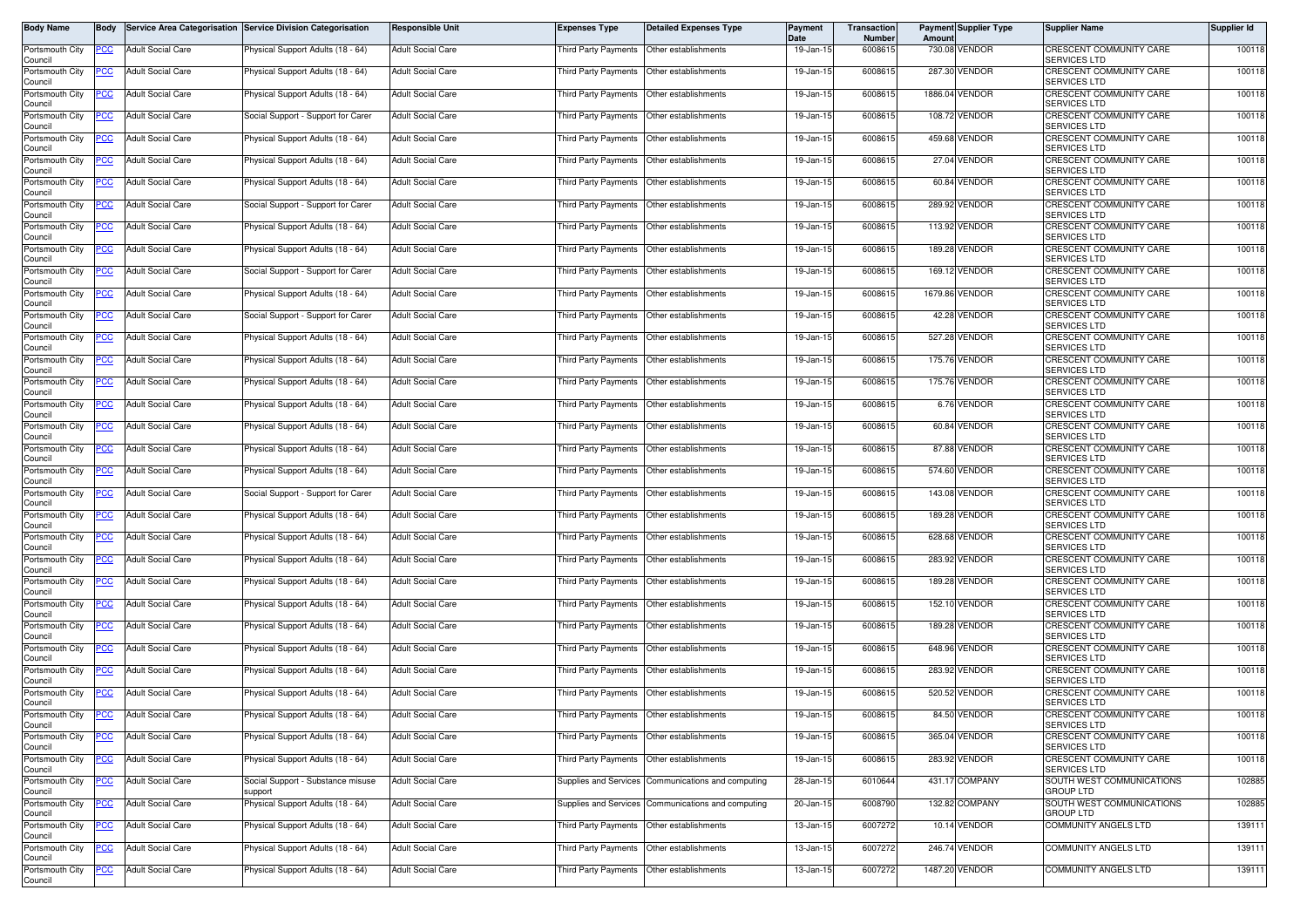| Body Name                  | Body        |                          | Service Area Categorisation Service Division Categorisation | <b>Responsible Unit</b>  | <b>Expenses Type</b>                        | <b>Detailed Expenses Type</b>                      | Payment<br>Date | Transaction<br>Number | Amoun  | <b>Payment Supplier Type</b> | <b>Supplier Name</b>                                  | Supplier Id |
|----------------------------|-------------|--------------------------|-------------------------------------------------------------|--------------------------|---------------------------------------------|----------------------------------------------------|-----------------|-----------------------|--------|------------------------------|-------------------------------------------------------|-------------|
| Portsmouth City<br>Council | PCC         | <b>Adult Social Care</b> | Physical Support Adults (18 - 64)                           | <b>Adult Social Care</b> | Third Party Payments                        | Other establishments                               | 19-Jan-15       | 6008615               |        | 730.08 VENDOR                | CRESCENT COMMUNITY CARE<br><b>SERVICES LTD</b>        | 100118      |
| Portsmouth City<br>Council | 'СС         | <b>Adult Social Care</b> | Physical Support Adults (18 - 64)                           | <b>Adult Social Care</b> | Third Party Payments Other establishments   |                                                    | 19-Jan-15       | 6008615               |        | 287.30 VENDOR                | <b>CRESCENT COMMUNITY CARE</b><br>SERVICES LTD        | 100118      |
| Portsmouth City<br>Council | PСC         | <b>Adult Social Care</b> | <sup>9</sup> hysical Support Adults (18 - 64)               | <b>Adult Social Care</b> | Third Party Payments Other establishments   |                                                    | 19-Jan-15       | 6008615               |        | 1886.04 VENDOR               | CRESCENT COMMUNITY CARE<br><b>SERVICES LTD</b>        | 100118      |
| Portsmouth City<br>Council |             | <b>Adult Social Care</b> | Social Support - Support for Carer                          | <b>Adult Social Care</b> | <b>Third Party Payments</b>                 | Other establishments                               | 19-Jan-15       | 600861                |        | 108.72 VENDOR                | CRESCENT COMMUNITY CARE<br><b>SERVICES LTD</b>        | 100118      |
| Portsmouth City<br>Council | ∍сс         | <b>Adult Social Care</b> | Physical Support Adults (18 - 64)                           | <b>Adult Social Care</b> | Third Party Payments                        | Other establishments                               | 19-Jan-15       | 6008615               |        | 459.68 VENDOR                | CRESCENT COMMUNITY CARE<br><b>SERVICES LTD</b>        | 100118      |
| Portsmouth City<br>Council | <u>CC</u>   | <b>Adult Social Care</b> | Physical Support Adults (18 - 64)                           | <b>Adult Social Care</b> | Third Party Payments                        | Other establishments                               | 19-Jan-15       | 6008615               |        | 27.04 VENDOR                 | CRESCENT COMMUNITY CARE<br>SERVICES LTD               | 100118      |
| Portsmouth City<br>Council | <u>PCC</u>  | <b>Adult Social Care</b> | Physical Support Adults (18 - 64)                           | <b>Adult Social Care</b> | Third Party Payments  Other establishments  |                                                    | 19-Jan-15       | 6008615               |        | 60.84 VENDOR                 | CRESCENT COMMUNITY CARE<br>SERVICES LTD               | 100118      |
| Portsmouth City<br>Council | <u>'CC</u>  | <b>Adult Social Care</b> | Social Support - Support for Carer                          | <b>Adult Social Care</b> | Third Party Payments                        | Other establishments                               | 19-Jan-15       | 6008615               |        | 289.92 VENDOR                | CRESCENT COMMUNITY CARE<br><b>SERVICES LTD</b>        | 100118      |
| Portsmouth City<br>Council | PCC         | <b>Adult Social Care</b> | Physical Support Adults (18 - 64)                           | <b>Adult Social Care</b> | <b>Third Party Payments</b>                 | Other establishments                               | 19-Jan-15       | 600861                |        | 113.92 VENDOR                | <b>CRESCENT COMMUNITY CARE</b><br><b>SERVICES LTD</b> | 100118      |
| Portsmouth City<br>Council | сc          | <b>Adult Social Care</b> | Physical Support Adults (18 - 64)                           | <b>Adult Social Care</b> | Third Party Payments                        | Other establishments                               | 19-Jan-15       | 6008615               |        | 189.28 VENDOR                | CRESCENT COMMUNITY CARE<br><b>SERVICES LTD</b>        | 100118      |
| Portsmouth City<br>Council | °СС         | <b>Adult Social Care</b> | Social Support - Support for Carer                          | <b>Adult Social Care</b> | Third Party Payments                        | Other establishments                               | 19-Jan-15       | 6008615               |        | 169.12 VENDOR                | CRESCENT COMMUNITY CARE<br><b>SERVICES LTD</b>        | 100118      |
| Portsmouth City<br>Council | PСC         | <b>Adult Social Care</b> | Physical Support Adults (18 - 64)                           | <b>Adult Social Care</b> | Third Party Payments                        | Other establishments                               | 19-Jan-15       | 6008615               |        | 1679.86 VENDOR               | CRESCENT COMMUNITY CARE<br><b>SERVICES LTD</b>        | 100118      |
| Portsmouth City<br>Council | PСC         | <b>Adult Social Care</b> | Social Support - Support for Carer                          | <b>Adult Social Care</b> | Third Party Payments                        | Other establishments                               | 19-Jan-15       | 6008615               |        | 42.28 VENDOR                 | CRESCENT COMMUNITY CARE<br><b>SERVICES LTD</b>        | 100118      |
| Portsmouth City<br>Council | 'CC         | <b>Adult Social Care</b> | Physical Support Adults (18 - 64)                           | <b>Adult Social Care</b> | Third Party Payments                        | Other establishments                               | 19-Jan-15       | 6008615               |        | 527.28 VENDOR                | <b>CRESCENT COMMUNITY CARE</b><br>SERVICES LTD        | 100118      |
| Portsmouth City<br>Council | <u>PCC </u> | <b>Adult Social Care</b> | Physical Support Adults (18 - 64)                           | <b>Adult Social Care</b> | Third Party Payments Other establishments   |                                                    | 19-Jan-15       | 6008615               |        | 175.76 VENDOR                | CRESCENT COMMUNITY CARE<br>SERVICES LTD               | 100118      |
| Portsmouth City<br>Council | <u>PCC</u>  | <b>Adult Social Care</b> | Physical Support Adults (18 - 64)                           | <b>Adult Social Care</b> | Third Party Payments                        | Other establishments                               | 19-Jan-15       | 6008615               |        | 175.76 VENDOR                | <b>CRESCENT COMMUNITY CARE</b><br>SERVICES LTD        | 100118      |
| Portsmouth City<br>Council | <u>CC</u>   | <b>Adult Social Care</b> | Physical Support Adults (18 - 64)                           | <b>Adult Social Care</b> | <b>Third Party Payments</b>                 | Other establishments                               | 19-Jan-15       | 6008615               |        | 6.76 VENDOR                  | CRESCENT COMMUNITY CARE<br><b>SERVICES LTD</b>        | 100118      |
| Portsmouth City<br>Council | ∍сс         | <b>Adult Social Care</b> | Physical Support Adults (18 - 64)                           | <b>Adult Social Care</b> | Third Party Payments                        | Other establishments                               | 19-Jan-15       | 6008615               |        | 60.84 VENDOR                 | CRESCENT COMMUNITY CARE<br>SERVICES LTD               | 100118      |
| Portsmouth City<br>Council | <u>cc</u>   | <b>Adult Social Care</b> | Physical Support Adults (18 - 64)                           | <b>Adult Social Care</b> | Third Party Payments                        | Other establishments                               | 19-Jan-15       | 6008615               |        | 87.88 VENDOR                 | CRESCENT COMMUNITY CARE<br><b>SERVICES LTD</b>        | 100118      |
| Portsmouth City<br>Council | PСC         | <b>Adult Social Care</b> | Physical Support Adults (18 - 64)                           | <b>Adult Social Care</b> | <b>Third Party Payments</b>                 | Other establishments                               | 19-Jan-15       | 6008615               |        | 574.60 VENDOR                | CRESCENT COMMUNITY CARE<br><b>SERVICES LTD</b>        | 100118      |
| Portsmouth City<br>Council |             | <b>Adult Social Care</b> | Social Support - Support for Carer                          | <b>Adult Social Care</b> | <b>Third Party Payments</b>                 | Other establishments                               | 19-Jan-15       | 6008615               |        | 143.08 VENDOR                | CRESCENT COMMUNITY CARE<br><b>SERVICES LTD</b>        | 100118      |
| Portsmouth City<br>Council | PСC         | <b>Adult Social Care</b> | Physical Support Adults (18 - 64)                           | <b>Adult Social Care</b> | Third Party Payments                        | Other establishments                               | 19-Jan-15       | 6008615               | 189.28 | <b>/ENDOR</b>                | CRESCENT COMMUNITY CARE<br><b>SERVICES LTD</b>        | 100118      |
| Portsmouth City<br>Council | сc          | <b>Adult Social Care</b> | Physical Support Adults (18 - 64)                           | <b>Adult Social Care</b> | Third Party Payments                        | Other establishments                               | 19-Jan-15       | 6008615               |        | 628.68 VENDOR                | CRESCENT COMMUNITY CARE<br><b>SERVICES LTD</b>        | 100118      |
| Portsmouth City<br>Council | PСC         | <b>Adult Social Care</b> | Physical Support Adults (18 - 64)                           | <b>Adult Social Care</b> | Third Party Payments Other establishments   |                                                    | 19-Jan-15       | 6008615               |        | 283.92 VENDOR                | CRESCENT COMMUNITY CARE<br><b>SERVICES LTD</b>        | 100118      |
| Portsmouth City<br>Council | PСC         | <b>Adult Social Care</b> | Physical Support Adults (18 - 64)                           | <b>Adult Social Care</b> | Third Party Payments                        | Other establishments                               | 19-Jan-1        | 6008615               |        | <b>189.28 VENDOR</b>         | CRESCENT COMMUNITY CARE<br><b>SERVICES LTD</b>        | 100118      |
| Portsmouth City<br>Council | PСC         | <b>Adult Social Care</b> | Physical Support Adults (18 - 64)                           | <b>Adult Social Care</b> | Third Party Payments   Other establishments |                                                    | 19-Jan-15       | 6008615               |        | 152.10 VENDOR                | CRESCENT COMMUNITY CARE<br>SERVICES LTD               | 100118      |
| Portsmouth City<br>Council | <u>PCC</u>  | <b>Adult Social Care</b> | Physical Support Adults (18 - 64)                           | <b>Adult Social Care</b> | <b>Third Party Payments</b>                 | Other establishments                               | 19-Jan-15       | 6008615               | 189.28 | /ENDOR                       | CRESCENT COMMUNITY CARE<br>SERVICES LTD               | 100118      |
| Portsmouth City<br>Council | <u>PCC</u>  | <b>Adult Social Care</b> | Physical Support Adults (18 - 64)                           | <b>Adult Social Care</b> | Third Party Payments  Other establishments  |                                                    | 19-Jan-15       | 6008615               |        | 648.96 VENDOR                | CRESCENT COMMUNITY CARE<br><b>SERVICES LTD</b>        | 100118      |
| Portsmouth City<br>Council | <u>cc</u>   | <b>Adult Social Care</b> | Physical Support Adults (18 - 64)                           | <b>Adult Social Care</b> | Third Party Payments                        | Other establishments                               | 19-Jan-15       | 600861                |        | 283.92 VENDOR                | CRESCENT COMMUNITY CARE<br>SERVICES LTD               | 100118      |
| Portsmouth City<br>Council | <u>PCC</u>  | <b>Adult Social Care</b> | Physical Support Adults (18 - 64)                           | <b>Adult Social Care</b> | <b>Third Party Payments</b>                 | Other establishments                               | 19-Jan-15       | 600861                | 520.52 | VENDOR                       | CRESCENT COMMUNITY CARE<br>SERVICES LTD               | 100118      |
| Portsmouth City<br>Council | <u>PCC</u>  | <b>Adult Social Care</b> | Physical Support Adults (18 - 64)                           | <b>Adult Social Care</b> | Third Party Payments   Other establishments |                                                    | 19-Jan-15       | 6008615               |        | 84.50 VENDOR                 | CRESCENT COMMUNITY CARE<br>SERVICES LTD               | 100118      |
| Portsmouth City<br>Council | <u>PCC</u>  | <b>Adult Social Care</b> | Physical Support Adults (18 - 64)                           | <b>Adult Social Care</b> | Third Party Payments Other establishments   |                                                    | 19-Jan-15       | 6008615               |        | 365.04 VENDOR                | CRESCENT COMMUNITY CARE<br>SERVICES LTD               | 100118      |
| Portsmouth City<br>Council | °СС         | <b>Adult Social Care</b> | Physical Support Adults (18 - 64)                           | <b>Adult Social Care</b> | Third Party Payments Other establishments   |                                                    | 19-Jan-15       | 6008615               |        | 283.92 VENDOR                | CRESCENT COMMUNITY CARE<br><b>SERVICES LTD</b>        | 100118      |
| Portsmouth City<br>Council | <u>PCC</u>  | <b>Adult Social Care</b> | Social Support - Substance misuse<br>support                | <b>Adult Social Care</b> |                                             | Supplies and Services Communications and computing | 28-Jan-15       | 6010644               |        | 431.17 COMPANY               | SOUTH WEST COMMUNICATIONS<br><b>GROUP LTD</b>         | 102885      |
| Portsmouth City<br>Council | PСC         | Adult Social Care        | Physical Support Adults (18 - 64)                           | <b>Adult Social Care</b> |                                             | Supplies and Services Communications and computing | 20-Jan-15       | 6008790               |        | 132.82 COMPANY               | SOUTH WEST COMMUNICATIONS<br><b>GROUP LTD</b>         | 102885      |
| Portsmouth City<br>Council | <u>CC </u>  | <b>Adult Social Care</b> | Physical Support Adults (18 - 64)                           | <b>Adult Social Care</b> | Third Party Payments Other establishments   |                                                    | 13-Jan-15       | 6007272               |        | 10.14 VENDOR                 | <b>COMMUNITY ANGELS LTD</b>                           | 139111      |
| Portsmouth City<br>Council | <u>PCC</u>  | <b>Adult Social Care</b> | Physical Support Adults (18 - 64)                           | <b>Adult Social Care</b> | Third Party Payments                        | Other establishments                               | 13-Jan-15       | 6007272               |        | 246.74 VENDOR                | <b>COMMUNITY ANGELS LTD</b>                           | 139111      |
| Portsmouth City<br>Council | <u>PCC</u>  | <b>Adult Social Care</b> | Physical Support Adults (18 - 64)                           | <b>Adult Social Care</b> | Third Party Payments Other establishments   |                                                    | 13-Jan-15       | 6007272               |        | 1487.20 VENDOR               | <b>COMMUNITY ANGELS LTD</b>                           | 139111      |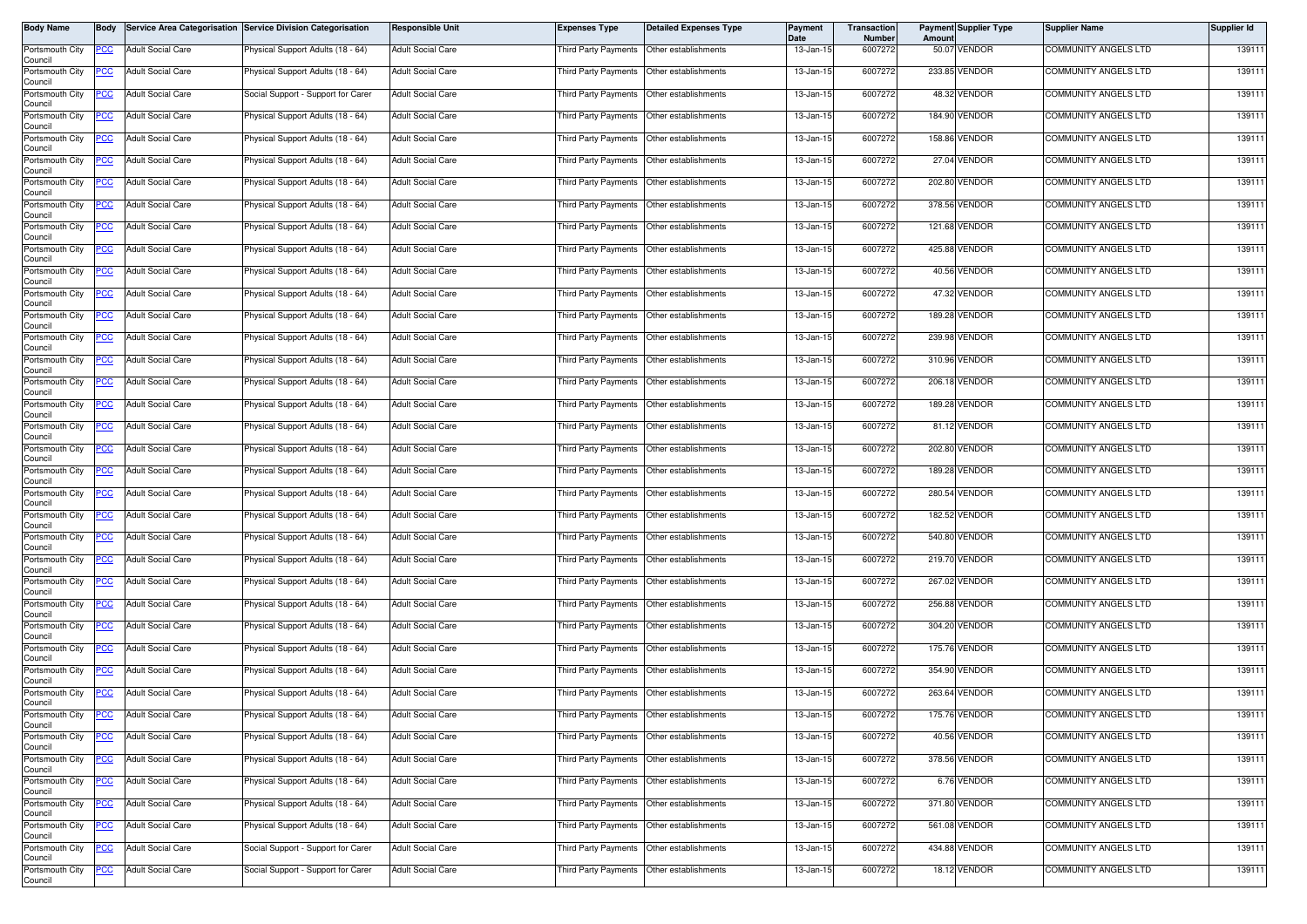| Body Name                  | Body        |                          | Service Area Categorisation Service Division Categorisation | <b>Responsible Unit</b>  | <b>Expenses Type</b>                        | <b>Detailed Expenses Type</b> | Payment<br>Date | Transaction<br><b>Number</b> | Amoun | <b>Payment Supplier Type</b> | <b>Supplier Name</b>        | Supplier Id |
|----------------------------|-------------|--------------------------|-------------------------------------------------------------|--------------------------|---------------------------------------------|-------------------------------|-----------------|------------------------------|-------|------------------------------|-----------------------------|-------------|
| Portsmouth City<br>Council | PCC         | <b>Adult Social Care</b> | Physical Support Adults (18 - 64)                           | <b>Adult Social Care</b> | Third Party Payments Other establishments   |                               | 13-Jan-15       | 6007272                      |       | 50.07 VENDOR                 | <b>COMMUNITY ANGELS LTD</b> | 139111      |
| Portsmouth City<br>Council | PCC         | <b>Adult Social Care</b> | Physical Support Adults (18 - 64)                           | <b>Adult Social Care</b> | Third Party Payments Other establishments   |                               | 13-Jan-15       | 6007272                      |       | 233.85 VENDOR                | COMMUNITY ANGELS LTD        | 139111      |
| Portsmouth City<br>Council | <u>PCC </u> | <b>Adult Social Care</b> | Social Support - Support for Carer                          | <b>Adult Social Care</b> | Third Party Payments Other establishments   |                               | 13-Jan-15       | 6007272                      |       | 48.32 VENDOR                 | COMMUNITY ANGELS LTD        | 139111      |
| Portsmouth City<br>Council | <u>PCC</u>  | <b>Adult Social Care</b> | Physical Support Adults (18 - 64)                           | <b>Adult Social Care</b> | Third Party Payments                        | Other establishments          | 13-Jan-15       | 6007272                      |       | 184.90 VENDOR                | COMMUNITY ANGELS LTD        | 139111      |
| Portsmouth City<br>Council | <u>PCC</u>  | <b>Adult Social Care</b> | Physical Support Adults (18 - 64)                           | <b>Adult Social Care</b> | Third Party Payments   Other establishments |                               | 13-Jan-15       | 6007272                      |       | 158.86 VENDOR                | <b>COMMUNITY ANGELS LTD</b> | 139111      |
| Portsmouth City<br>Council |             | <b>Adult Social Care</b> | Physical Support Adults (18 - 64)                           | <b>Adult Social Care</b> | Third Party Payments                        | Other establishments          | 13-Jan-15       | 6007272                      |       | 27.04 VENDOR                 | COMMUNITY ANGELS LTD        | 139111      |
| Portsmouth City<br>Council | <u>PCC</u>  | <b>Adult Social Care</b> | Physical Support Adults (18 - 64)                           | <b>Adult Social Care</b> | Third Party Payments   Other establishments |                               | 13-Jan-15       | 6007272                      |       | 202.80 VENDOR                | <b>COMMUNITY ANGELS LTD</b> | 139111      |
| Portsmouth City<br>Council | <u>PCC</u>  | <b>Adult Social Care</b> | Physical Support Adults (18 - 64)                           | <b>Adult Social Care</b> | Third Party Payments                        | Other establishments          | 13-Jan-15       | 6007272                      |       | 378.56 VENDOR                | COMMUNITY ANGELS LTD        | 139111      |
| Portsmouth City<br>Council | <u>PCC</u>  | <b>Adult Social Care</b> | Physical Support Adults (18 - 64)                           | <b>Adult Social Care</b> | Third Party Payments                        | Other establishments          | 13-Jan-15       | 6007272                      |       | 121.68 VENDOR                | <b>COMMUNITY ANGELS LTD</b> | 139111      |
| Portsmouth City<br>Council | PСC         | <b>Adult Social Care</b> | Physical Support Adults (18 - 64)                           | <b>Adult Social Care</b> | Third Party Payments   Other establishments |                               | 13-Jan-15       | 6007272                      |       | 425.88 VENDOR                | COMMUNITY ANGELS LTD        | 139111      |
| Portsmouth City<br>Council | <u>PCC </u> | <b>Adult Social Care</b> | Physical Support Adults (18 - 64)                           | <b>Adult Social Care</b> | Third Party Payments                        | Other establishments          | 13-Jan-15       | 6007272                      |       | 40.56 VENDOR                 | <b>COMMUNITY ANGELS LTD</b> | 139111      |
| Portsmouth City<br>Council | <u>PCC </u> | <b>Adult Social Care</b> | Physical Support Adults (18 - 64)                           | <b>Adult Social Care</b> | Third Party Payments                        | Other establishments          | 13-Jan-15       | 6007272                      |       | 47.32 VENDOR                 | COMMUNITY ANGELS LTD        | 139111      |
| Portsmouth City<br>Council | <u>PCC</u>  | <b>Adult Social Care</b> | Physical Support Adults (18 - 64)                           | <b>Adult Social Care</b> | Third Party Payments Other establishments   |                               | 13-Jan-15       | 6007272                      |       | <b>189.28 VENDOR</b>         | <b>COMMUNITY ANGELS LTD</b> | 139111      |
| Portsmouth City<br>Council | <u>CC </u>  | <b>Adult Social Care</b> | Physical Support Adults (18 - 64)                           | <b>Adult Social Care</b> | Third Party Payments                        | Other establishments          | 13-Jan-15       | 6007272                      |       | 239.98 VENDOR                | <b>COMMUNITY ANGELS LTD</b> | 139111      |
| Portsmouth City<br>Council | <u>PCC</u>  | <b>Adult Social Care</b> | Physical Support Adults (18 - 64)                           | <b>Adult Social Care</b> | Third Party Payments Other establishments   |                               | 13-Jan-15       | 6007272                      |       | 310.96 VENDOR                | <b>COMMUNITY ANGELS LTD</b> | 139111      |
| Portsmouth City<br>Council | <u>PCC</u>  | <b>Adult Social Care</b> | Physical Support Adults (18 - 64)                           | <b>Adult Social Care</b> | Third Party Payments                        | Other establishments          | 13-Jan-15       | 6007272                      |       | 206.18 VENDOR                | <b>COMMUNITY ANGELS LTD</b> | 139111      |
| Portsmouth City<br>Council | <u>PCC</u>  | <b>Adult Social Care</b> | Physical Support Adults (18 - 64)                           | <b>Adult Social Care</b> | Third Party Payments                        | Other establishments          | 13-Jan-15       | 6007272                      |       | 189.28 VENDOR                | <b>COMMUNITY ANGELS LTD</b> | 139111      |
| Portsmouth City<br>Council | PCC         | <b>Adult Social Care</b> | Physical Support Adults (18 - 64)                           | <b>Adult Social Care</b> | Third Party Payments   Other establishments |                               | 13-Jan-15       | 6007272                      |       | 81.12 VENDOR                 | <b>COMMUNITY ANGELS LTD</b> | 139111      |
| Portsmouth City<br>Council | <u>cc</u>   | <b>Adult Social Care</b> | Physical Support Adults (18 - 64)                           | <b>Adult Social Care</b> | Third Party Payments                        | Other establishments          | 13-Jan-15       | 6007272                      |       | 202.80 VENDOR                | COMMUNITY ANGELS LTD        | 139111      |
| Portsmouth City<br>Council | <u>PCC </u> | <b>Adult Social Care</b> | Physical Support Adults (18 - 64)                           | <b>Adult Social Care</b> | Third Party Payments                        | Other establishments          | 13-Jan-15       | 6007272                      |       | 189.28 VENDOR                | <b>COMMUNITY ANGELS LTD</b> | 139111      |
| Portsmouth City<br>Council | <u>PCC</u>  | <b>Adult Social Care</b> | Physical Support Adults (18 - 64)                           | <b>Adult Social Care</b> | Third Party Payments                        | Other establishments          | 13-Jan-15       | 6007272                      |       | 280.54 VENDOR                | <b>COMMUNITY ANGELS LTD</b> | 139111      |
| Portsmouth City<br>Council | <u>PCC</u>  | <b>Adult Social Care</b> | Physical Support Adults (18 - 64)                           | <b>Adult Social Care</b> | Third Party Payments                        | Other establishments          | 13-Jan-15       | 6007272                      |       | 182.52 VENDOR                | COMMUNITY ANGELS LTD        | 139111      |
| Portsmouth City<br>Council | <u>CC </u>  | <b>Adult Social Care</b> | Physical Support Adults (18 - 64)                           | <b>Adult Social Care</b> | Third Party Payments Other establishments   |                               | 13-Jan-15       | 6007272                      |       | 540.80 VENDOR                | COMMUNITY ANGELS LTD        | 139111      |
| Portsmouth City<br>Council | <u>PCC</u>  | <b>Adult Social Care</b> | <sup>9</sup> hysical Support Adults (18 - 64)               | <b>Adult Social Care</b> | Third Party Payments Other establishments   |                               | 13-Jan-15       | 6007272                      |       | 219.70 VENDOR                | COMMUNITY ANGELS LTD        | 139111      |
| Portsmouth City<br>Council | <u>PCC</u>  | <b>Adult Social Care</b> | Physical Support Adults (18 - 64)                           | <b>Adult Social Care</b> | Third Party Payments Other establishments   |                               | 13-Jan-15       | 6007272                      |       | 267.02 VENDOR                | <b>COMMUNITY ANGELS LTD</b> | 139111      |
| Portsmouth City<br>Council | PCC         | <b>Adult Social Care</b> | Physical Support Adults (18 - 64)                           | <b>Adult Social Care</b> | Third Party Payments   Other establishments |                               | 13-Jan-15       | 6007272                      |       | 256.88 VENDOR                | <b>COMMUNITY ANGELS LTD</b> | 139111      |
| Portsmouth City<br>Council | <u>PCC</u>  | <b>Adult Social Care</b> | Physical Support Adults (18 - 64)                           | <b>Adult Social Care</b> | Third Party Payments                        | Other establishments          | 13-Jan-15       | 6007272                      |       | 304.20 VENDOR                | COMMUNITY ANGELS LTD        | 139111      |
| Portsmouth City<br>Council | <u>PCC</u>  | <b>Adult Social Care</b> | Physical Support Adults (18 - 64)                           | <b>Adult Social Care</b> | Third Party Payments   Other establishments |                               | 13-Jan-15       | 6007272                      |       | 175.76 VENDOR                | <b>COMMUNITY ANGELS LTD</b> | 139111      |
| Portsmouth City<br>Council | <u>CC</u>   | <b>Adult Social Care</b> | Physical Support Adults (18 - 64)                           | <b>Adult Social Care</b> | Third Party Payments                        | Other establishments          | 13-Jan-15       | 6007272                      |       | 354.90 VENDOR                | COMMUNITY ANGELS LTD        | 139111      |
| Portsmouth City<br>Council | <u>PCC</u>  | <b>Adult Social Care</b> | Physical Support Adults (18 - 64)                           | <b>Adult Social Care</b> | Third Party Payments                        | Other establishments          | 13-Jan-15       | 6007272                      |       | 263.64 VENDOR                | <b>COMMUNITY ANGELS LTD</b> | 139111      |
| Portsmouth City<br>Council | <u>PCC</u>  | <b>Adult Social Care</b> | Physical Support Adults (18 - 64)                           | <b>Adult Social Care</b> | Third Party Payments Other establishments   |                               | 13-Jan-15       | 6007272                      |       | 175.76 VENDOR                | <b>COMMUNITY ANGELS LTD</b> | 139111      |
| Portsmouth City<br>Council | <u>PCC</u>  | <b>Adult Social Care</b> | Physical Support Adults (18 - 64)                           | <b>Adult Social Care</b> | Third Party Payments Other establishments   |                               | 13-Jan-15       | 6007272                      |       | 40.56 VENDOR                 | COMMUNITY ANGELS LTD        | 139111      |
| Portsmouth City<br>Council | <u>PCC</u>  | <b>Adult Social Care</b> | Physical Support Adults (18 - 64)                           | <b>Adult Social Care</b> | Third Party Payments  Other establishments  |                               | 13-Jan-15       | 6007272                      |       | 378.56 VENDOR                | <b>COMMUNITY ANGELS LTD</b> | 139111      |
| Portsmouth City<br>Council | <u>PCC</u>  | <b>Adult Social Care</b> | Physical Support Adults (18 - 64)                           | <b>Adult Social Care</b> | Third Party Payments Other establishments   |                               | 13-Jan-15       | 6007272                      |       | 6.76 VENDOR                  | <b>COMMUNITY ANGELS LTD</b> | 139111      |
| Portsmouth City<br>Council | <u>PCC</u>  | Adult Social Care        | Physical Support Adults (18 - 64)                           | <b>Adult Social Care</b> | Third Party Payments Other establishments   |                               | 13-Jan-15       | 6007272                      |       | 371.80 VENDOR                | COMMUNITY ANGELS LTD        | 139111      |
| Portsmouth City<br>Council | <u>PCC </u> | <b>Adult Social Care</b> | Physical Support Adults (18 - 64)                           | <b>Adult Social Care</b> | Third Party Payments Other establishments   |                               | 13-Jan-15       | 6007272                      |       | 561.08 VENDOR                | COMMUNITY ANGELS LTD        | 139111      |
| Portsmouth City<br>Council | <u>PCC</u>  | <b>Adult Social Care</b> | Social Support - Support for Carer                          | <b>Adult Social Care</b> | Third Party Payments Other establishments   |                               | 13-Jan-15       | 6007272                      |       | 434.88 VENDOR                | <b>COMMUNITY ANGELS LTD</b> | 139111      |
| Portsmouth City<br>Council | <u>PCC</u>  | <b>Adult Social Care</b> | Social Support - Support for Carer                          | <b>Adult Social Care</b> | Third Party Payments Other establishments   |                               | 13-Jan-15       | 6007272                      |       | 18.12 VENDOR                 | <b>COMMUNITY ANGELS LTD</b> | 139111      |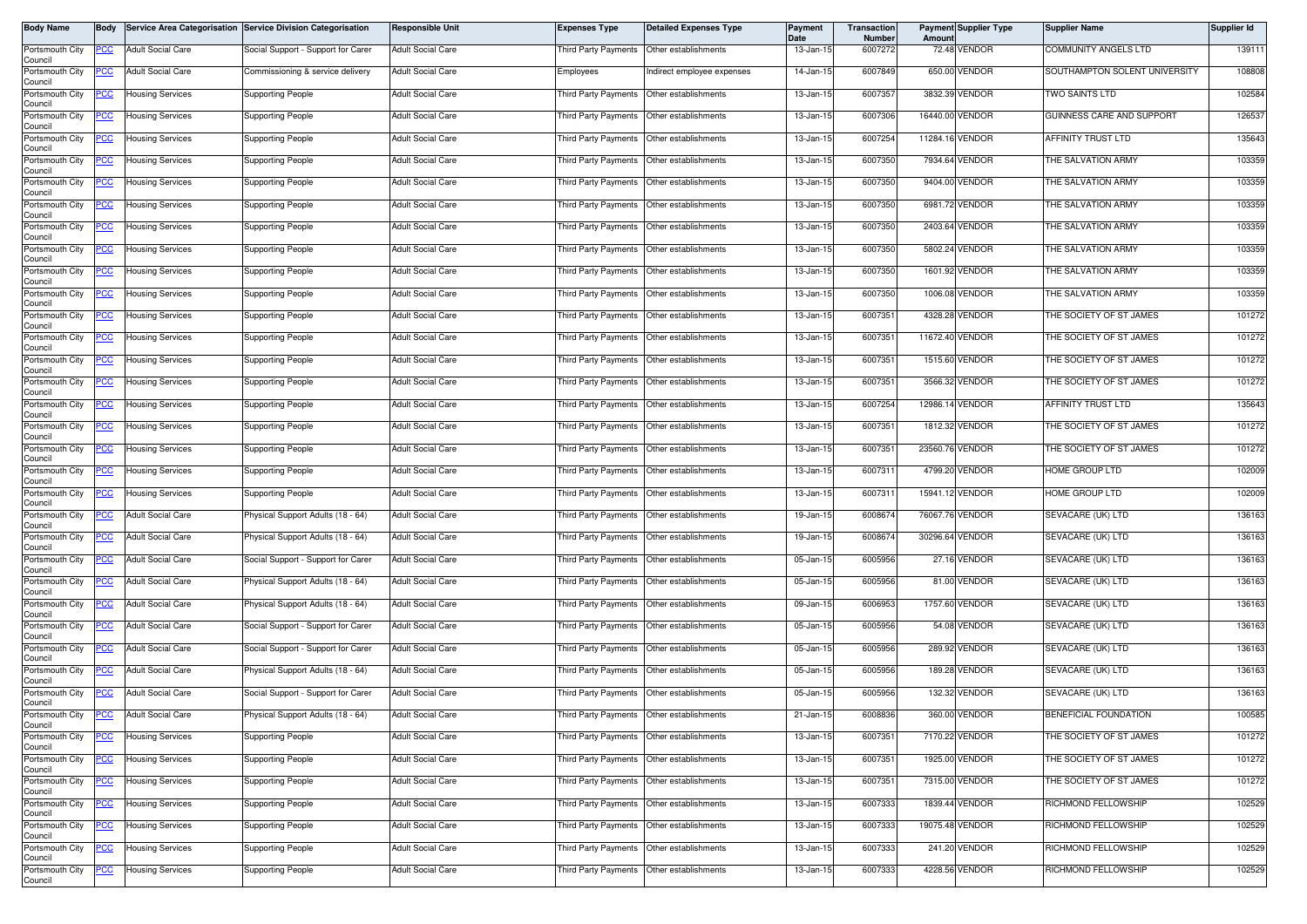| <b>Body Name</b>                              | <b>Body</b> |                                                    | Service Area Categorisation Service Division Categorisation | <b>Responsible Unit</b>                              | <b>Expenses Type</b>                        | <b>Detailed Expenses Type</b>                                       | <b>Payment</b><br>Date  | Transaction<br>Number | Amount          | <b>Payment Supplier Type</b>     | <b>Supplier Name</b>                               | <b>Supplier Id</b> |
|-----------------------------------------------|-------------|----------------------------------------------------|-------------------------------------------------------------|------------------------------------------------------|---------------------------------------------|---------------------------------------------------------------------|-------------------------|-----------------------|-----------------|----------------------------------|----------------------------------------------------|--------------------|
| Portsmouth City<br>Council                    | <u>PCC</u>  | <b>Adult Social Care</b>                           | Social Support - Support for Carer                          | <b>Adult Social Care</b>                             | Third Party Payments                        | Other establishments                                                | 13-Jan-15               | 6007272               |                 | 72.48 VENDOR                     | COMMUNITY ANGELS LTD                               | 139111             |
| Portsmouth City<br>Council                    | PСC         | <b>Adult Social Care</b>                           | Commissioning & service delivery                            | <b>Adult Social Care</b>                             | Employees                                   | Indirect employee expenses                                          | 14-Jan-15               | 6007849               |                 | 650.00 VENDOR                    | SOUTHAMPTON SOLENT UNIVERSITY                      | 108808             |
| Portsmouth City<br>Council                    | <u>CC </u>  | <b>Housing Services</b>                            | <b>Supporting People</b>                                    | <b>Adult Social Care</b>                             | hird Party Payments                         | Other establishments                                                | 13-Jan-15               | 6007357               |                 | 3832.39 VENDOR                   | <b>TWO SAINTS LTD</b>                              | 102584             |
| Portsmouth City<br>Council                    | <u>PCC</u>  | <b>Housing Services</b>                            | Supporting People                                           | <b>Adult Social Care</b>                             | <b>Third Party Payments</b>                 | Other establishments                                                | 13-Jan-15               | 6007306               |                 | 16440.00 VENDOR                  | GUINNESS CARE AND SUPPORT                          | 126537             |
| Portsmouth City<br>Council                    | <u>'CC</u>  | <b>Housing Services</b>                            | Supporting People                                           | <b>Adult Social Care</b>                             | <b>Third Party Payments</b>                 | Other establishments                                                | 13-Jan-15               | 6007254               | 11284.16 VENDOR |                                  | AFFINITY TRUST LTD                                 | 135643             |
| Portsmouth City<br>Council                    | PCC         | <b>Housing Services</b>                            | <b>Supporting People</b>                                    | <b>Adult Social Care</b>                             | Third Party Payments                        | Other establishments                                                | 13-Jan-15               | 6007350               |                 | 7934.64 VENDOR                   | THE SALVATION ARMY                                 | 103359             |
| Portsmouth City<br>Council                    | <u>CC</u>   | <b>Housing Services</b>                            | Supporting People                                           | <b>Adult Social Care</b>                             | Third Party Payments                        | Other establishments                                                | 13-Jan-15               | 6007350               |                 | 9404.00 VENDOR                   | THE SALVATION ARMY                                 | 103359             |
| Portsmouth City<br>Council                    | <u>'CC</u>  | <b>Housing Services</b>                            | Supporting People                                           | <b>Adult Social Care</b>                             | <b>Third Party Payments</b>                 | Other establishments                                                | 13-Jan-15               | 6007350               |                 | 6981.72 VENDOR                   | THE SALVATION ARMY                                 | 103359             |
| Portsmouth City<br>Council                    |             | <b>Housing Services</b>                            | Supporting People                                           | <b>Adult Social Care</b>                             | Third Party Payments                        | Other establishments                                                | 13-Jan-15               | 6007350               |                 | 2403.64 VENDOR                   | THE SALVATION ARMY                                 | 103359             |
| Portsmouth City<br>Council                    | PCC         | <b>Housing Services</b>                            | Supporting People                                           | <b>Adult Social Care</b>                             | <b>Third Party Payments</b>                 | Other establishments                                                | 13-Jan-15               | 6007350               |                 | 5802.24 VENDOR                   | THE SALVATION ARMY                                 | 103359             |
| Portsmouth City<br>Council                    | <u>cc</u>   | <b>Housing Services</b>                            | Supporting People                                           | <b>Adult Social Care</b>                             | <b>Third Party Payments</b>                 | Other establishments                                                | 13-Jan-15               | 6007350               |                 | 1601.92 VENDOR                   | THE SALVATION ARMY                                 | 103359             |
| Portsmouth City<br>Council                    | <u>PCC</u>  | <b>Housing Services</b>                            | <b>Supporting People</b>                                    | <b>Adult Social Care</b>                             | Third Party Payments  Other establishments  |                                                                     | 13-Jan-15               | 6007350               |                 | 1006.08 VENDOR                   | THE SALVATION ARMY                                 | 103359             |
| Portsmouth City<br>Council                    | <u>PCC</u>  | <b>Housing Services</b>                            | Supporting People                                           | <b>Adult Social Care</b>                             | Third Party Payments                        | Other establishments                                                | 13-Jan-15               | 6007351               |                 | 4328.28 VENDOR                   | THE SOCIETY OF ST JAMES                            | 101272             |
| Portsmouth City<br>Council                    | PCC         | <b>Housing Services</b>                            | Supporting People                                           | <b>Adult Social Care</b>                             | Third Party Payments Other establishments   |                                                                     | 13-Jan-15               | 6007351               | 11672.40 VENDOR |                                  | THE SOCIETY OF ST JAMES                            | 101272             |
| Portsmouth City<br>Council                    | PCC         | <b>Housing Services</b>                            | Supporting People                                           | <b>Adult Social Care</b>                             | Third Party Payments Other establishments   |                                                                     | 13-Jan-15               | 6007351               |                 | 1515.60 VENDOR                   | THE SOCIETY OF ST JAMES                            | 101272             |
| Portsmouth City<br>Council                    | <u>PCC</u>  | <b>Housing Services</b>                            | <b>Supporting People</b>                                    | <b>Adult Social Care</b>                             | Third Party Payments                        | Other establishments                                                | 13-Jan-15               | 6007351               |                 | 3566.32 VENDOR                   | THE SOCIETY OF ST JAMES                            | 101272             |
| Portsmouth City<br>Council                    | <u>PCC</u>  | <b>Housing Services</b>                            | Supporting People                                           | <b>Adult Social Care</b>                             | Third Party Payments                        | Other establishments                                                | 13-Jan-15               | 6007254               |                 | 12986.14 VENDOR                  | AFFINITY TRUST LTD                                 | 135643             |
| Portsmouth City<br>Council                    | <u>PCC</u>  | <b>Housing Services</b>                            | Supporting People                                           | <b>Adult Social Care</b>                             | Third Party Payments                        | Other establishments                                                | 13-Jan-15               | 6007351               |                 | 1812.32 VENDOR                   | THE SOCIETY OF ST JAMES                            | 101272             |
| Portsmouth City<br>Council                    | <u>PCC</u>  | <b>Housing Services</b>                            | Supporting People                                           | <b>Adult Social Care</b>                             | Third Party Payments                        | Other establishments                                                | 13-Jan-15               | 6007351               | 23560.76 VENDOR |                                  | THE SOCIETY OF ST JAMES                            | 101272             |
| Portsmouth City<br>Council                    | <u>PCC</u>  | <b>Housing Services</b>                            | Supporting People                                           | <b>Adult Social Care</b>                             | Third Party Payments                        | Other establishments                                                | 13-Jan-15               | 6007311               |                 | 4799.20 VENDOR                   | HOME GROUP LTD                                     | 102009             |
| Portsmouth City<br>Council                    | <u>PCC</u>  | <b>Housing Services</b>                            | Supporting People                                           | <b>Adult Social Care</b>                             | Third Party Payments                        | Other establishments                                                | 13-Jan-15               | 600731                |                 | 15941.12 VENDOR                  | HOME GROUP LTD                                     | 102009             |
| Portsmouth City<br>Council                    | <u>PCC</u>  | <b>Adult Social Care</b>                           | Physical Support Adults (18 - 64)                           | <b>Adult Social Care</b>                             | Third Party Payments                        | Other establishments                                                | 19-Jan-15               | 6008674               | 76067.76 VENDOR |                                  | SEVACARE (UK) LTD                                  | 136163             |
| Portsmouth City<br>Council                    | PСC         | <b>Adult Social Care</b>                           | Physical Support Adults (18 - 64)                           | <b>Adult Social Care</b>                             | Third Party Payments                        | Other establishments                                                | 19-Jan-15               | 6008674               | 30296.64 VENDOR |                                  | SEVACARE (UK) LTD                                  | 136163             |
| Portsmouth City<br>Council                    |             | <b>Adult Social Care</b>                           | Social Support - Support for Carer                          | <b>Adult Social Care</b>                             | Third Party Payments                        | Other establishments                                                | 05-Jan-15               | 6005956               |                 | 27.16 VENDOR                     | SEVACARE (UK) LTD                                  | 136163             |
| Portsmouth City<br>Council                    | <u>PCC</u>  | <b>Adult Social Care</b>                           | Physical Support Adults (18 - 64)                           | <b>Adult Social Care</b>                             | Third Party Payments Other establishments   |                                                                     | 05-Jan-15               | 6005956               |                 | 81.00 VENDOR                     | SEVACARE (UK) LTD                                  | 136163             |
| Portsmouth City<br>Council                    | <u>PCC</u>  | <b>Adult Social Care</b>                           | Physical Support Adults (18 - 64)                           | <b>Adult Social Care</b>                             | Third Party Payments Other establishments   |                                                                     | 09-Jan-15               | 6006953               |                 | 1757.60 VENDOR                   | SEVACARE (UK) LTD                                  | 136163             |
| Portsmouth City<br>Council                    | <u> РСС</u> | <b>Adult Social Care</b>                           | Social Support - Support for Carer                          | <b>Adult Social Care</b>                             | Third Party Payments                        | Other establishments                                                | 05-Jan-15               | 6005956               |                 | 54.08 VENDOR                     | SEVACARE (UK) LTD                                  | 136163             |
| Portsmouth City<br>Council                    | <u>'CC</u>  | <b>Adult Social Care</b>                           | Social Support - Support for Carer                          | <b>Adult Social Care</b>                             | Third Party Payments                        | Other establishments                                                | $\overline{05}$ -Jan-15 | 6005956               |                 | 289.92 VENDOR                    | SEVACARE (UK) LTD                                  | 136163             |
| Portsmouth City<br>Council                    | <u>PCC</u>  | <b>Adult Social Care</b>                           | Physical Support Adults (18 - 64)                           | <b>Adult Social Care</b>                             | <b>Third Party Payments</b>                 | Other establishments                                                | 05-Jan-15               | 6005956               |                 | 189.28 VENDOR                    | SEVACARE (UK) LTD                                  | 136163             |
| Portsmouth City<br>Council                    | <u>PCC</u>  | <b>Adult Social Care</b>                           | Social Support - Support for Carer                          | <b>Adult Social Care</b>                             | Third Party Payments                        | Other establishments                                                | 05-Jan-15               | 6005956               |                 | 132.32 VENDOR                    | SEVACARE (UK) LTD                                  | 136163             |
| Portsmouth City<br>Council                    | <b>PCC</b>  | <b>Adult Social Care</b>                           | Physical Support Adults (18 - 64)                           | <b>Adult Social Care</b>                             | Third Party Payments   Other establishments |                                                                     | 21-Jan-15               | 6008836               |                 | 360.00 VENDOR                    | BENEFICIAL FOUNDATION                              | 100585             |
| Portsmouth City<br>Council<br>Portsmouth City | <u>PCC</u>  | <b>Housing Services</b>                            | Supporting People                                           | <b>Adult Social Care</b>                             | Third Party Payments                        | Other establishments                                                | 13-Jan-15               | 6007351               |                 | 7170.22 VENDOR                   | THE SOCIETY OF ST JAMES                            | 101272             |
| Council<br>Portsmouth City                    | <u>PCC</u>  | <b>Housing Services</b>                            | <b>Supporting People</b><br><b>Supporting People</b>        | <b>Adult Social Care</b><br><b>Adult Social Care</b> | Third Party Payments Other establishments   |                                                                     | 13-Jan-15<br>13-Jan-15  | 6007351               |                 | 1925.00 VENDOR<br>7315.00 VENDOR | THE SOCIETY OF ST JAMES<br>THE SOCIETY OF ST JAMES | 101272<br>101272   |
| Council<br>Portsmouth City                    |             | <b>Housing Services</b>                            |                                                             |                                                      | <b>Third Party Payments</b>                 | Other establishments                                                | 13-Jan-15               | 6007351<br>6007333    |                 | 1839.44 VENDOR                   | RICHMOND FELLOWSHIP                                | 102529             |
| Council<br>Portsmouth City                    | <u>PCC</u>  | <b>Housing Services</b><br><b>Housing Services</b> | <b>Supporting People</b>                                    | <b>Adult Social Care</b><br><b>Adult Social Care</b> | Third Party Payments                        | Other establishments                                                |                         | 6007333               |                 | 19075.48 VENDOR                  | RICHMOND FELLOWSHIP                                | 102529             |
| Council<br>Portsmouth City                    | 'СС         | <b>Housing Services</b>                            | <b>Supporting People</b>                                    | <b>Adult Social Care</b>                             | Third Party Payments                        | Third Party Payments   Other establishments<br>Other establishments | 13-Jan-15               | 6007333               |                 | 241.20 VENDOR                    | RICHMOND FELLOWSHIP                                | 102529             |
| Council                                       | <u>PCC</u>  |                                                    | Supporting People                                           |                                                      |                                             | Other establishments                                                | 13-Jan-15               |                       |                 |                                  |                                                    |                    |
| Portsmouth City<br>Council                    | <u>'CC</u>  | <b>Housing Services</b>                            | <b>Supporting People</b>                                    | <b>Adult Social Care</b>                             | Third Party Payments                        |                                                                     | 13-Jan-15               | 6007333               |                 | 4228.56 VENDOR                   | RICHMOND FELLOWSHIP                                | 102529             |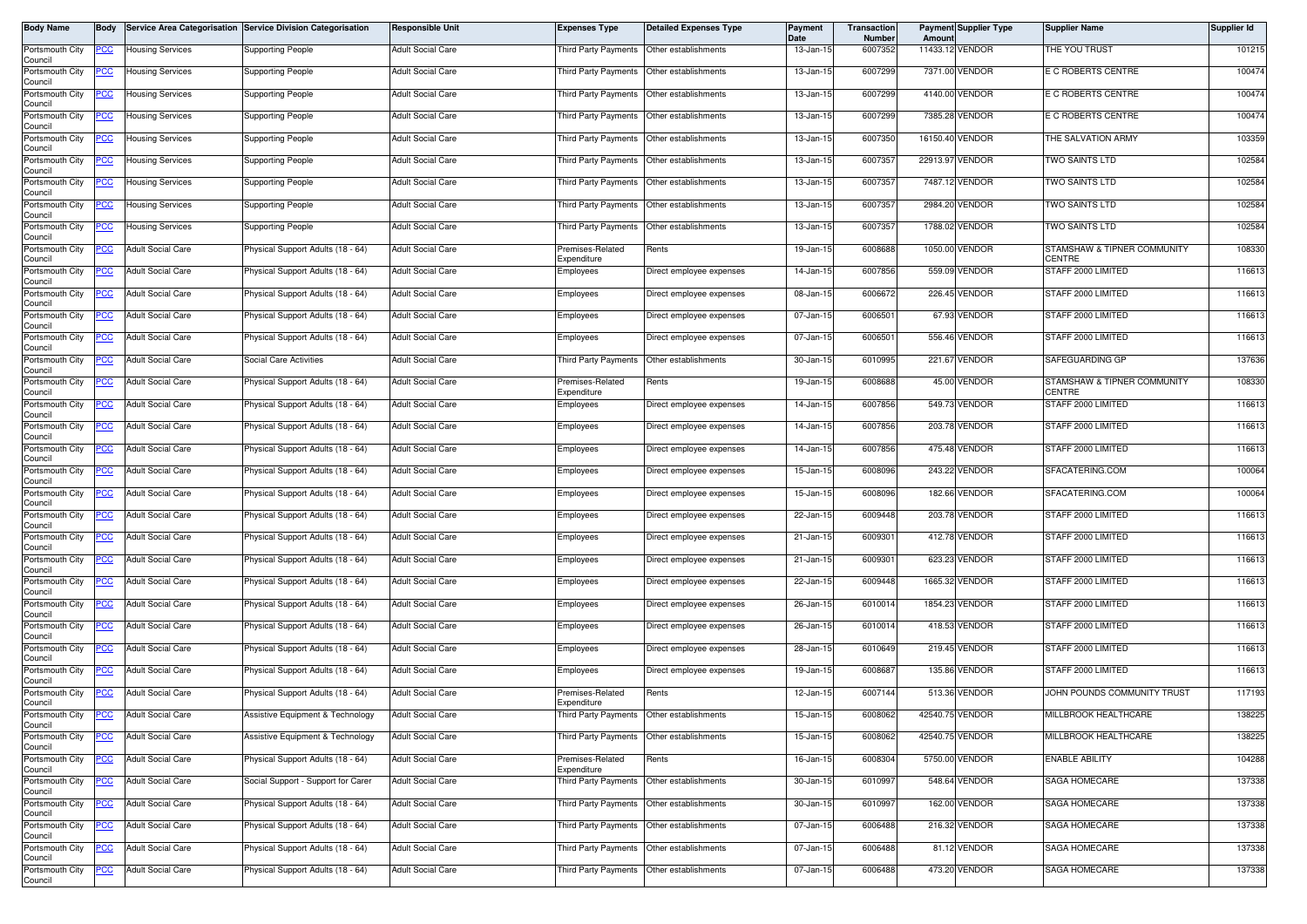| <b>Body Name</b>                      | <b>Body</b> |                          | Service Area Categorisation Service Division Categorisation | <b>Responsible Unit</b>  | <b>Expenses Type</b>            | <b>Detailed Expenses Type</b> | <b>Payment</b><br>Date | <b>Transaction</b><br><b>Number</b> | Amoun    | <b>Payment Supplier Type</b> | <b>Supplier Name</b>                         | <b>Supplier Id</b> |
|---------------------------------------|-------------|--------------------------|-------------------------------------------------------------|--------------------------|---------------------------------|-------------------------------|------------------------|-------------------------------------|----------|------------------------------|----------------------------------------------|--------------------|
| Portsmouth City<br>Council            | <u>PCC</u>  | <b>Housing Services</b>  | Supporting People                                           | <b>Adult Social Care</b> | <b>Third Party Payments</b>     | Other establishments          | 13-Jan-15              | 6007352                             |          | 11433.12 VENDOR              | THE YOU TRUST                                | 101215             |
| Portsmouth City                       | PСC         | <b>Housing Services</b>  | <b>Supporting People</b>                                    | Adult Social Care        | Third Party Payments            | Other establishments          | 13-Jan-15              | 6007299                             |          | 7371.00 VENDOR               | E C ROBERTS CENTRE                           | 100474             |
| Council<br>Portsmouth City<br>Council | <u>CC </u>  | <b>Housing Services</b>  | <b>Supporting People</b>                                    | Adult Social Care        | Third Party Payments            | Other establishments          | 13-Jan-15              | 6007299                             |          | 4140.00 VENDOR               | E C ROBERTS CENTRE                           | 100474             |
| Portsmouth City<br>Council            | <u>PCC</u>  | <b>Housing Services</b>  | Supporting People                                           | <b>Adult Social Care</b> | Third Party Payments            | Other establishments          | 13-Jan-15              | 6007299                             |          | 7385.28 VENDOR               | E C ROBERTS CENTRE                           | 100474             |
| Portsmouth City<br>Council            | <u>'CC</u>  | <b>Housing Services</b>  | Supporting People                                           | <b>Adult Social Care</b> | Third Party Payments            | Other establishments          | 13-Jan-15              | 6007350                             |          | 16150.40 VENDOR              | THE SALVATION ARMY                           | 103359             |
| Portsmouth City<br>Council            | PCC         | <b>Housing Services</b>  | Supporting People                                           | <b>Adult Social Care</b> | Third Party Payments            | Other establishments          | 13-Jan-15              | 6007357                             | 22913.97 | <b>VENDOR</b>                | <b>TWO SAINTS LTD</b>                        | 102584             |
| Portsmouth City<br>Council            | <u>CC</u>   | <b>Housing Services</b>  | Supporting People                                           | <b>Adult Social Care</b> | Third Party Payments            | Other establishments          | 13-Jan-15              | 6007357                             |          | 7487.12 VENDOR               | TWO SAINTS LTD                               | 102584             |
| Portsmouth City<br>Council            | <u>'CC</u>  | <b>Housing Services</b>  | Supporting People                                           | <b>Adult Social Care</b> | <b>Third Party Payments</b>     | Other establishments          | 13-Jan-15              | 6007357                             |          | 2984.20 VENDOR               | <b>TWO SAINTS LTD</b>                        | 102584             |
| Portsmouth City<br>Council            |             | <b>Housing Services</b>  | Supporting People                                           | <b>Adult Social Care</b> | Third Party Payments            | Other establishments          | 13-Jan-15              | 6007357                             |          | 1788.02 VENDOR               | <b>TWO SAINTS LTD</b>                        | 102584             |
| Portsmouth City<br>Council            | PCC         | <b>Adult Social Care</b> | Physical Support Adults (18 - 64)                           | <b>Adult Social Care</b> | Premises-Related<br>Expenditure | Rents                         | 19-Jan-15              | 6008688                             |          | 1050.00 VENDOR               | STAMSHAW & TIPNER COMMUNITY<br><b>CENTRE</b> | 108330             |
| Portsmouth City<br>Council            | cс          | <b>Adult Social Care</b> | Physical Support Adults (18 - 64)                           | <b>Adult Social Care</b> | Employees                       | Direct employee expenses      | 14-Jan-15              | 6007856                             |          | 559.09 VENDOR                | STAFF 2000 LIMITED                           | 116613             |
| Portsmouth City<br>Council            | PCC         | <b>Adult Social Care</b> | Physical Support Adults (18 - 64)                           | Adult Social Care        | Employees                       | Direct employee expenses      | 08-Jan-15              | 6006672                             |          | 226.45 VENDOR                | STAFF 2000 LIMITED                           | 116613             |
| Portsmouth City<br>Council            | <u>PCC</u>  | <b>Adult Social Care</b> | Physical Support Adults (18 - 64)                           | Adult Social Care        | Employees                       | Direct employee expenses      | 07-Jan-15              | 6006501                             |          | 67.93 VENDOR                 | STAFF 2000 LIMITED                           | 116613             |
| Portsmouth City<br>Council            | PCC         | <b>Adult Social Care</b> | Physical Support Adults (18 - 64)                           | <b>Adult Social Care</b> | Employees                       | Direct employee expenses      | 07-Jan-15              | 6006501                             |          | 556.46 VENDOR                | STAFF 2000 LIMITED                           | 116613             |
| Portsmouth City<br>Council            | PCC         | <b>Adult Social Care</b> | Social Care Activities                                      | <b>Adult Social Care</b> | Third Party Payments            | Other establishments          | 30-Jan-15              | 6010995                             |          | 221.67 VENDOR                | SAFEGUARDING GP                              | 137636             |
| Portsmouth City<br>Council            | <u>PCC</u>  | <b>Adult Social Care</b> | Physical Support Adults (18 - 64)                           | <b>Adult Social Care</b> | Premises-Related<br>Expenditure | Rents                         | 19-Jan-15              | 6008688                             |          | 45.00 VENDOR                 | STAMSHAW & TIPNER COMMUNITY<br>CENTRE        | 108330             |
| Portsmouth City<br>Council            |             | <b>Adult Social Care</b> | Physical Support Adults (18 - 64)                           | Adult Social Care        | Employees                       | Direct employee expenses      | 14-Jan-15              | 6007856                             |          | 549.73 VENDOR                | STAFF 2000 LIMITED                           | 116613             |
| Portsmouth City<br>Council            | <u>PCC</u>  | <b>Adult Social Care</b> | Physical Support Adults (18 - 64)                           | <b>Adult Social Care</b> | Employees                       | Direct employee expenses      | 14-Jan-15              | 6007856                             |          | 203.78 VENDOR                | STAFF 2000 LIMITED                           | 116613             |
| Portsmouth City<br>Council            | <u>PCC</u>  | <b>Adult Social Care</b> | Physical Support Adults (18 - 64)                           | <b>Adult Social Care</b> | Employees                       | Direct employee expenses      | 14-Jan-15              | 6007856                             |          | 475.48 VENDOR                | STAFF 2000 LIMITED                           | 116613             |
| Portsmouth City<br>Council            | PCC         | <b>Adult Social Care</b> | Physical Support Adults (18 - 64)                           | <b>Adult Social Care</b> | Employees                       | Direct employee expenses      | 15-Jan-15              | 6008096                             |          | 243.22 VENDOR                | SFACATERING.COM                              | 100064             |
| Portsmouth City<br>Council            | <u>PCC</u>  | <b>Adult Social Care</b> | Physical Support Adults (18 - 64)                           | Adult Social Care        | Employees                       | Direct employee expenses      | 15-Jan-15              | 6008096                             |          | 182.66 VENDOR                | SFACATERING.COM                              | 100064             |
| Portsmouth City<br>Council            | <u>PCC</u>  | <b>Adult Social Care</b> | Physical Support Adults (18 - 64)                           | <b>Adult Social Care</b> | Employees                       | Direct employee expenses      | 22-Jan-15              | 6009448                             |          | 203.78 VENDOR                | STAFF 2000 LIMITED                           | 116613             |
| Portsmouth City<br>Council            | PСC         | <b>Adult Social Care</b> | Physical Support Adults (18 - 64)                           | <b>Adult Social Care</b> | Employees                       | Direct employee expenses      | 21-Jan-15              | 6009301                             |          | 412.78 VENDOR                | STAFF 2000 LIMITED                           | 116613             |
| Portsmouth City<br>Council            |             | <b>Adult Social Care</b> | hysical Support Adults (18 - 64)                            | <b>Adult Social Care</b> | Employees                       | Direct employee expenses      | 21-Jan-15              | 6009301                             |          | 623.23 VENDOR                | STAFF 2000 LIMITED                           | 116613             |
| Portsmouth City<br>Council            | <u>PCC</u>  | <b>Adult Social Care</b> | Physical Support Adults (18 - 64)                           | <b>Adult Social Care</b> | Employees                       | Direct employee expenses      | 22-Jan-15              | 6009448                             |          | 1665.32 VENDOR               | STAFF 2000 LIMITED                           | 116613             |
| Portsmouth City<br>Council            | <u>PCC</u>  | <b>Adult Social Care</b> | Physical Support Adults (18 - 64)                           | <b>Adult Social Care</b> | Employees                       | Direct employee expenses      | 26-Jan-15              | 6010014                             |          | 1854.23 VENDOR               | STAFF 2000 LIMITED                           | 116613             |
| Portsmouth City<br>Council            | <u> РСС</u> | <b>Adult Social Care</b> | Physical Support Adults (18 - 64)                           | <b>Adult Social Care</b> | Employees                       | Direct employee expenses      | 26-Jan-15              | 6010014                             |          | 418.53 VENDOR                | STAFF 2000 LIMITED                           | 116613             |
| Portsmouth City<br>Council            | <u>'CC</u>  | <b>Adult Social Care</b> | Physical Support Adults (18 - 64)                           | <b>Adult Social Care</b> | Employees                       | Direct employee expenses      | 28-Jan-15              | 6010649                             |          | 219.45 VENDOR                | STAFF 2000 LIMITED                           | 116613             |
| Portsmouth City<br>Council            | <u>PCC</u>  | <b>Adult Social Care</b> | Physical Support Adults (18 - 64)                           | <b>Adult Social Care</b> | Employees                       | Direct employee expenses      | 19-Jan-15              | 6008687                             |          | 135.86 VENDOR                | STAFF 2000 LIMITED                           | 116613             |
| Portsmouth City<br>Council            | <u>PCC</u>  | <b>Adult Social Care</b> | Physical Support Adults (18 - 64)                           | <b>Adult Social Care</b> | Premises-Related<br>Expenditure | Rents                         | 12-Jan-15              | 6007144                             |          | 513.36 VENDOR                | JOHN POUNDS COMMUNITY TRUST                  | 117193             |
| Portsmouth City<br>Council            | <b>PCC</b>  | <b>Adult Social Care</b> | Assistive Equipment & Technology                            | <b>Adult Social Care</b> | Third Party Payments            | Other establishments          | 15-Jan-15              | 6008062                             |          | 42540.75 VENDOR              | MILLBROOK HEALTHCARE                         | 138225             |
| Portsmouth City<br>Council            | <u>PCC</u>  | <b>Adult Social Care</b> | Assistive Equipment & Technology                            | Adult Social Care        | Third Party Payments            | Other establishments          | 15-Jan-15              | 6008062                             |          | 42540.75 VENDOR              | MILLBROOK HEALTHCARE                         | 138225             |
| Portsmouth City<br>Council            | PCC         | <b>Adult Social Care</b> | Physical Support Adults (18 - 64)                           | <b>Adult Social Care</b> | Premises-Related<br>Expenditure | Rents                         | 16-Jan-15              | 6008304                             |          | 5750.00 VENDOR               | <b>ENABLE ABILITY</b>                        | 104288             |
| Portsmouth City<br>Council            | cc          | <b>Adult Social Care</b> | Social Support - Support for Carer                          | <b>Adult Social Care</b> | <b>Third Party Payments</b>     | Other establishments          | 30-Jan-15              | 6010997                             |          | 548.64 VENDOR                | SAGA HOMECARE                                | 137338             |
| Portsmouth City<br>Council            | <u>PCC</u>  | <b>Adult Social Care</b> | Physical Support Adults (18 - 64)                           | <b>Adult Social Care</b> | Third Party Payments            | Other establishments          | 30-Jan-15              | 6010997                             |          | 162.00 VENDOR                | SAGA HOMECARE                                | 137338             |
| Portsmouth City<br>Council            | ပင          | <b>Adult Social Care</b> | Physical Support Adults (18 - 64)                           | <b>Adult Social Care</b> | Third Party Payments            | Other establishments          | 07-Jan-15              | 6006488                             |          | 216.32 VENDOR                | SAGA HOMECARE                                | 137338             |
| Portsmouth City<br>Council            | <u>PCC</u>  | <b>Adult Social Care</b> | Physical Support Adults (18 - 64)                           | Adult Social Care        | Third Party Payments            | Other establishments          | 07-Jan-15              | 6006488                             |          | 81.12 VENDOR                 | <b>SAGA HOMECARE</b>                         | 137338             |
| Portsmouth City<br>Council            | <u>'CC</u>  | <b>Adult Social Care</b> | Physical Support Adults (18 - 64)                           | <b>Adult Social Care</b> | Third Party Payments            | Other establishments          | 07-Jan-15              | 6006488                             |          | 473.20 VENDOR                | SAGA HOMECARE                                | 137338             |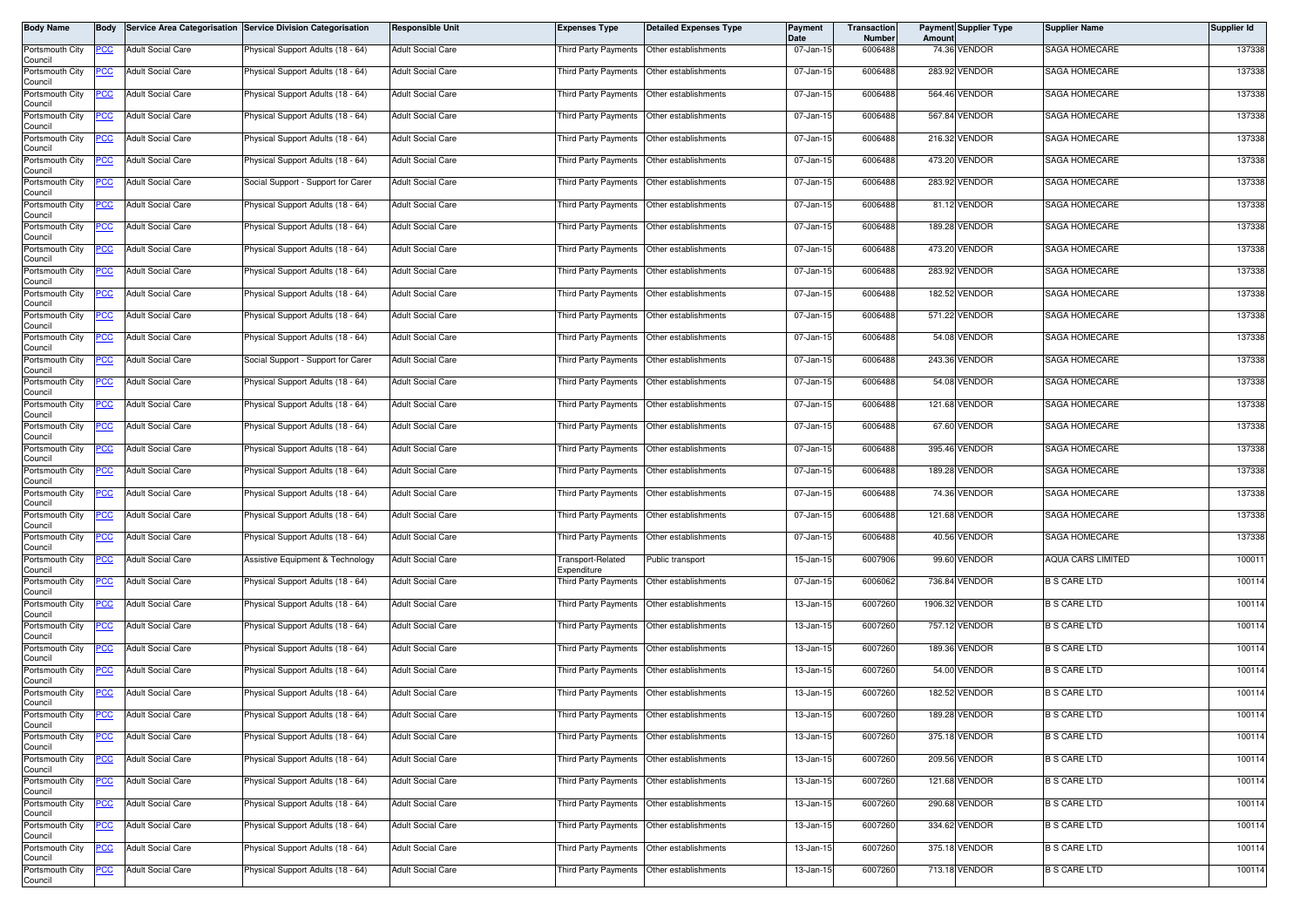| Body Name                  | Body       |                          | Service Area Categorisation Service Division Categorisation | <b>Responsible Unit</b>  | <b>Expenses Type</b>                      | <b>Detailed Expenses Type</b>             | Payment<br>Date | <b>Transaction</b><br><b>Number</b> | Amount | <b>Payment Supplier Type</b> | <b>Supplier Name</b> | Supplier Id |
|----------------------------|------------|--------------------------|-------------------------------------------------------------|--------------------------|-------------------------------------------|-------------------------------------------|-----------------|-------------------------------------|--------|------------------------------|----------------------|-------------|
| Portsmouth City<br>Council | PCC        | <b>Adult Social Care</b> | Physical Support Adults (18 - 64)                           | <b>Adult Social Care</b> | Third Party Payments                      | Other establishments                      | 07-Jan-15       | 6006488                             |        | 74.36 VENDOR                 | SAGA HOMECARE        | 137338      |
| Portsmouth City<br>Council | PCC.       | <b>Adult Social Care</b> | Physical Support Adults (18 - 64)                           | <b>Adult Social Care</b> |                                           | Third Party Payments Other establishments | 07-Jan-15       | 6006488                             |        | 283.92 VENDOR                | SAGA HOMECARE        | 137338      |
| Portsmouth City<br>Council | °СС        | <b>Adult Social Care</b> | Physical Support Adults (18 - 64)                           | <b>Adult Social Care</b> |                                           | Third Party Payments Other establishments | 07-Jan-15       | 6006488                             |        | 564.46 VENDOR                | SAGA HOMECARE        | 137338      |
| Portsmouth City<br>Council | <u>PCC</u> | <b>Adult Social Care</b> | Physical Support Adults (18 - 64)                           | <b>Adult Social Care</b> | Third Party Payments                      | Other establishments                      | 07-Jan-15       | 6006488                             |        | 567.84 VENDOR                | SAGA HOMECARE        | 137338      |
| Portsmouth City<br>Council | PСC        | <b>Adult Social Care</b> | Physical Support Adults (18 - 64)                           | <b>Adult Social Care</b> | <b>Third Party Payments</b>               | Other establishments                      | 07-Jan-15       | 6006488                             |        | 216.32 VENDOR                | <b>SAGA HOMECARE</b> | 137338      |
| Portsmouth City<br>Council | <u>'CC</u> | <b>Adult Social Care</b> | Physical Support Adults (18 - 64)                           | <b>Adult Social Care</b> | Third Party Payments                      | Other establishments                      | 07-Jan-15       | 6006488                             |        | 473.20 VENDOR                | SAGA HOMECARE        | 137338      |
| Portsmouth City<br>Council | <u>PCC</u> | <b>Adult Social Care</b> | Social Support - Support for Carer                          | <b>Adult Social Care</b> | Third Party Payments                      | Other establishments                      | 07-Jan-15       | 6006488                             |        | 283.92 VENDOR                | SAGA HOMECARE        | 137338      |
| Portsmouth City<br>Council | <b>PCC</b> | <b>Adult Social Care</b> | Physical Support Adults (18 - 64)                           | <b>Adult Social Care</b> | Third Party Payments                      | Other establishments                      | 07-Jan-15       | 6006488                             |        | 81.12 VENDOR                 | SAGA HOMECARE        | 137338      |
| Portsmouth City<br>Council | PСC        | <b>Adult Social Care</b> | Physical Support Adults (18 - 64)                           | <b>Adult Social Care</b> | <b>Third Party Payments</b>               | Other establishments                      | 07-Jan-15       | 6006488                             |        | 189.28 VENDOR                | SAGA HOMECARE        | 137338      |
| Portsmouth City<br>Council | PСC        | <b>Adult Social Care</b> | Physical Support Adults (18 - 64)                           | <b>Adult Social Care</b> | Third Party Payments                      | Other establishments                      | 07-Jan-15       | 6006488                             |        | 473.20 VENDOR                | SAGA HOMECARE        | 137338      |
| Portsmouth City<br>Council | °СС        | <b>Adult Social Care</b> | Physical Support Adults (18 - 64)                           | <b>Adult Social Care</b> | Third Party Payments                      | Other establishments                      | 07-Jan-15       | 6006488                             |        | 283.92 VENDOR                | SAGA HOMECARE        | 137338      |
| Portsmouth City<br>Council |            | <b>Adult Social Care</b> | Physical Support Adults (18 - 64)                           | <b>Adult Social Care</b> | Third Party Payments                      | Other establishments                      | 07-Jan-15       | 6006488                             |        | 182.52 VENDOR                | SAGA HOMECARE        | 137338      |
| Portsmouth City<br>Council | PСC        | <b>Adult Social Care</b> | Physical Support Adults (18 - 64)                           | <b>Adult Social Care</b> | <b>Third Party Payments</b>               | Other establishments                      | 07-Jan-15       | 6006488                             |        | 571.22 VENDOR                | SAGA HOMECARE        | 137338      |
| Portsmouth City<br>Council | °СС        | <b>Adult Social Care</b> | Physical Support Adults (18 - 64)                           | <b>Adult Social Care</b> | Third Party Payments                      | Other establishments                      | 07-Jan-15       | 6006488                             |        | 54.08 VENDOR                 | <b>SAGA HOMECARE</b> | 137338      |
| Portsmouth City<br>Council |            | <b>Adult Social Care</b> | Social Support - Support for Carer                          | <b>Adult Social Care</b> |                                           | Third Party Payments Other establishments | 07-Jan-15       | 6006488                             |        | 243.36 VENDOR                | <b>SAGA HOMECARE</b> | 137338      |
| Portsmouth City<br>Council | <u>CC </u> | <b>Adult Social Care</b> | Physical Support Adults (18 - 64)                           | <b>Adult Social Care</b> | Third Party Payments                      | Other establishments                      | 07-Jan-15       | 6006488                             |        | 54.08 VENDOR                 | SAGA HOMECARE        | 137338      |
| Portsmouth City<br>Council | <u>CC </u> | <b>Adult Social Care</b> | Physical Support Adults (18 - 64)                           | <b>Adult Social Care</b> | <b>Third Party Payments</b>               | Other establishments                      | 07-Jan-15       | 6006488                             |        | 121.68 VENDOR                | SAGA HOMECARE        | 137338      |
| Portsmouth City<br>Council | ∍сс        | <b>Adult Social Care</b> | Physical Support Adults (18 - 64)                           | <b>Adult Social Care</b> | Third Party Payments                      | Other establishments                      | 07-Jan-15       | 6006488                             |        | 67.60 VENDOR                 | SAGA HOMECARE        | 137338      |
| Portsmouth City<br>Council | <u>cc</u>  | <b>Adult Social Care</b> | Physical Support Adults (18 - 64)                           | <b>Adult Social Care</b> | Third Party Payments                      | Other establishments                      | 07-Jan-15       | 6006488                             |        | 395.46 VENDOR                | SAGA HOMECARE        | 137338      |
| Portsmouth City<br>Council |            | <b>Adult Social Care</b> | Physical Support Adults (18 - 64)                           | <b>Adult Social Care</b> | Third Party Payments                      | Other establishments                      | 07-Jan-15       | 6006488                             |        | 189.28 VENDOR                | SAGA HOMECARE        | 137338      |
| Portsmouth City<br>Council | PСC        | <b>Adult Social Care</b> | Physical Support Adults (18 - 64)                           | <b>Adult Social Care</b> | <b>Third Party Payments</b>               | Other establishments                      | 07-Jan-15       | 6006488                             |        | 74.36 VENDOR                 | SAGA HOMECARE        | 137338      |
| Portsmouth City<br>Council | PСC        | <b>Adult Social Care</b> | Physical Support Adults (18 - 64)                           | <b>Adult Social Care</b> | Third Party Payments                      | Other establishments                      | 07-Jan-15       | 6006488                             |        | 121.68 VENDOR                | SAGA HOMECARE        | 137338      |
| Portsmouth City<br>Council | сC         | <b>Adult Social Care</b> | Physical Support Adults (18 - 64)                           | <b>Adult Social Care</b> | Third Party Payments                      | Other establishments                      | 07-Jan-15       | 6006488                             |        | 40.56 VENDOR                 | SAGA HOMECARE        | 137338      |
| Portsmouth City<br>Council | PСC        | <b>Adult Social Care</b> | Assistive Equipment & Technology                            | <b>Adult Social Care</b> | Fransport-Related<br>Expenditure          | Public transport                          | 15-Jan-15       | 6007906                             |        | 99.60 VENDOR                 | AQUA CARS LIMITED    | 100011      |
| Portsmouth City<br>Council | PСC        | <b>Adult Social Care</b> | Physical Support Adults (18 - 64)                           | <b>Adult Social Care</b> | Third Party Payments                      | Other establishments                      | 07-Jan-15       | 6006062                             |        | 736.84 VENDOR                | <b>B S CARE LTD</b>  | 100114      |
| Portsmouth City<br>Council | PCC.       | <b>Adult Social Care</b> | Physical Support Adults (18 - 64)                           | <b>Adult Social Care</b> | Third Party Payments                      | Other establishments                      | 13-Jan-15       | 6007260                             |        | 1906.32 VENDOR               | <b>B S CARE LTD</b>  | 100114      |
| Portsmouth City<br>Council | <u>PCC</u> | <b>Adult Social Care</b> | Physical Support Adults (18 - 64)                           | <b>Adult Social Care</b> | Third Party Payments                      | Other establishments                      | 13-Jan-15       | 6007260                             |        | 757.12 VENDOR                | <b>B S CARE LTD</b>  | 100114      |
| Portsmouth City<br>Council | <u>PCC</u> | <b>Adult Social Care</b> | Physical Support Adults (18 - 64)                           | <b>Adult Social Care</b> | Third Party Payments                      | Other establishments                      | 13-Jan-15       | 6007260                             |        | 189.36 VENDOR                | <b>B S CARE LTD</b>  | 100114      |
| Portsmouth City<br>Council | <u>'CC</u> | <b>Adult Social Care</b> | Physical Support Adults (18 - 64)                           | <b>Adult Social Care</b> | Third Party Payments                      | Other establishments                      | 13-Jan-15       | 6007260                             |        | 54.00 VENDOR                 | <b>B S CARE LTD</b>  | 100114      |
| Portsmouth City<br>Council | <u>PCC</u> | <b>Adult Social Care</b> | Physical Support Adults (18 - 64)                           | <b>Adult Social Care</b> | <b>Third Party Payments</b>               | Other establishments                      | 13-Jan-15       | 6007260                             |        | 182.52 VENDOR                | <b>B S CARE LTD</b>  | 100114      |
| Portsmouth City<br>Council | <b>PCC</b> | <b>Adult Social Care</b> | Physical Support Adults (18 - 64)                           | <b>Adult Social Care</b> | Third Party Payments Other establishments |                                           | 13-Jan-15       | 6007260                             |        | 189.28 VENDOR                | <b>B S CARE LTD</b>  | 100114      |
| Portsmouth City<br>Council |            | <b>Adult Social Care</b> | Physical Support Adults (18 - 64)                           | <b>Adult Social Care</b> | Third Party Payments Other establishments |                                           | 13-Jan-15       | 6007260                             |        | 375.18 VENDOR                | <b>B S CARE LTD</b>  | 100114      |
| Portsmouth City<br>Council | сC         | <b>Adult Social Care</b> | Physical Support Adults (18 - 64)                           | <b>Adult Social Care</b> | Third Party Payments                      | Other establishments                      | 13-Jan-15       | 6007260                             |        | 209.56 VENDOR                | <b>B S CARE LTD</b>  | 100114      |
| Portsmouth City<br>Council | PСC        | <b>Adult Social Care</b> | Physical Support Adults (18 - 64)                           | <b>Adult Social Care</b> | Third Party Payments                      | Other establishments                      | 13-Jan-15       | 6007260                             |        | 121.68 VENDOR                | <b>B S CARE LTD</b>  | 100114      |
| Portsmouth City<br>Council | PСC        | <b>Adult Social Care</b> | Physical Support Adults (18 - 64)                           | <b>Adult Social Care</b> | Third Party Payments                      | Other establishments                      | 13-Jan-15       | 6007260                             |        | 290.68 VENDOR                | <b>B S CARE LTD</b>  | 100114      |
| Portsmouth City<br>Council |            | <b>Adult Social Care</b> | Physical Support Adults (18 - 64)                           | <b>Adult Social Care</b> | Third Party Payments Other establishments |                                           | 13-Jan-15       | 6007260                             |        | 334.62 VENDOR                | <b>B S CARE LTD</b>  | 100114      |
| Portsmouth City<br>Council | <u>CC</u>  | <b>Adult Social Care</b> | Physical Support Adults (18 - 64)                           | <b>Adult Social Care</b> | Third Party Payments                      | Other establishments                      | 13-Jan-15       | 6007260                             |        | 375.18 VENDOR                | <b>B S CARE LTD</b>  | 100114      |
| Portsmouth City<br>Council | <b>PCC</b> | <b>Adult Social Care</b> | Physical Support Adults (18 - 64)                           | <b>Adult Social Care</b> | Third Party Payments                      | Other establishments                      | 13-Jan-15       | 6007260                             |        | 713.18 VENDOR                | <b>B S CARE LTD</b>  | 100114      |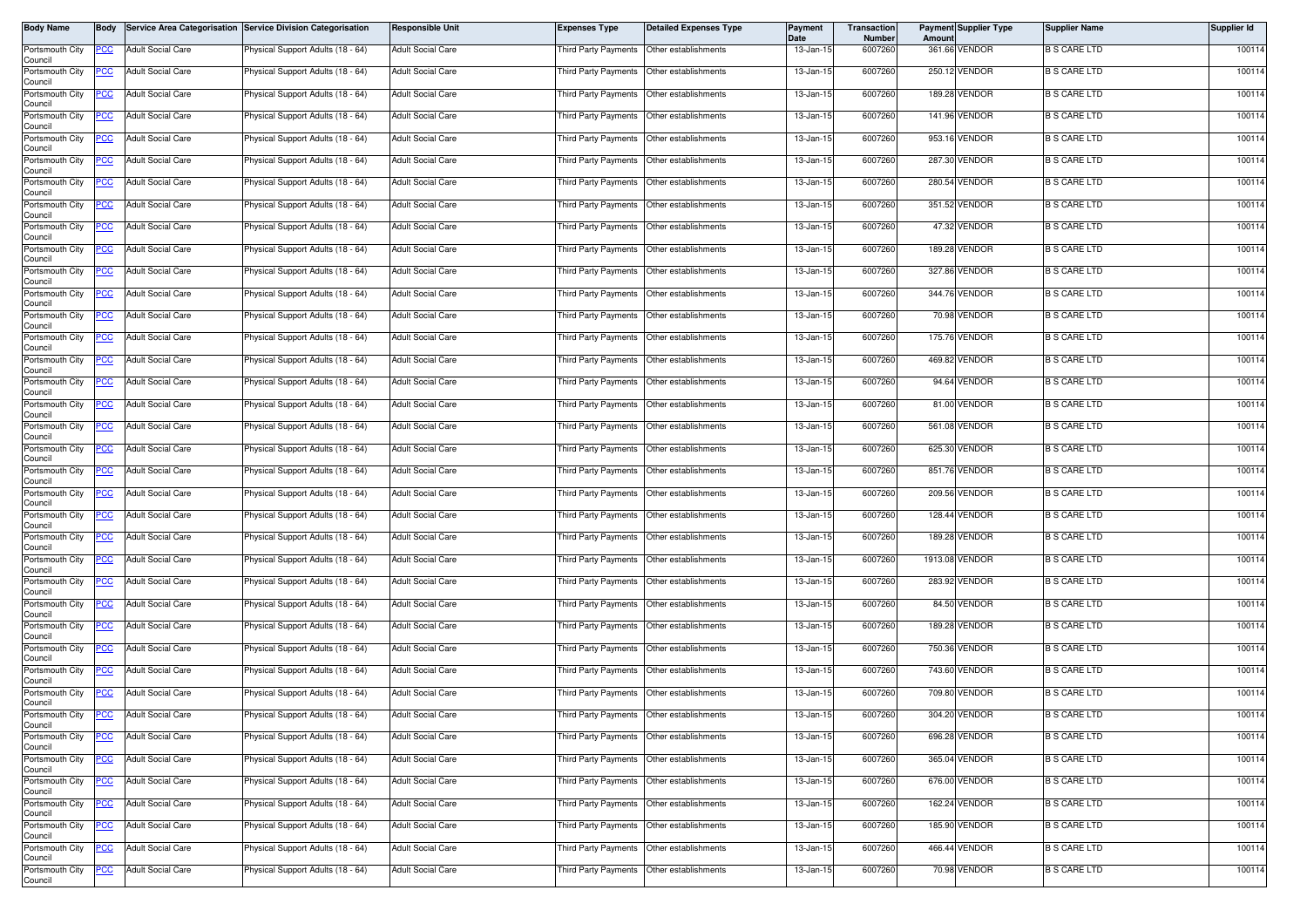| Body Name                  | Body       |                          | Service Area Categorisation Service Division Categorisation | <b>Responsible Unit</b>  | <b>Expenses Type</b>                      | <b>Detailed Expenses Type</b> | Payment<br>Date | <b>Transaction</b><br><b>Number</b> | Amount | <b>Payment Supplier Type</b> | <b>Supplier Name</b> | Supplier Id |
|----------------------------|------------|--------------------------|-------------------------------------------------------------|--------------------------|-------------------------------------------|-------------------------------|-----------------|-------------------------------------|--------|------------------------------|----------------------|-------------|
| Portsmouth City<br>Council | PCC        | <b>Adult Social Care</b> | Physical Support Adults (18 - 64)                           | <b>Adult Social Care</b> | Third Party Payments                      | Other establishments          | 13-Jan-15       | 6007260                             |        | 361.66 VENDOR                | <b>B S CARE LTD</b>  | 100114      |
| Portsmouth City<br>Council | PCC.       | <b>Adult Social Care</b> | Physical Support Adults (18 - 64)                           | <b>Adult Social Care</b> | Third Party Payments Other establishments |                               | 13-Jan-15       | 6007260                             |        | 250.12 VENDOR                | <b>B S CARE LTD</b>  | 100114      |
| Portsmouth City<br>Council | °СС        | <b>Adult Social Care</b> | Physical Support Adults (18 - 64)                           | <b>Adult Social Care</b> | Third Party Payments Other establishments |                               | 13-Jan-15       | 6007260                             |        | 189.28 VENDOR                | <b>B S CARE LTD</b>  | 100114      |
| Portsmouth City<br>Council | <u>PCC</u> | <b>Adult Social Care</b> | Physical Support Adults (18 - 64)                           | <b>Adult Social Care</b> | Third Party Payments                      | Other establishments          | 13-Jan-15       | 6007260                             |        | 141.96 VENDOR                | <b>B S CARE LTD</b>  | 100114      |
| Portsmouth City<br>Council | PCC        | <b>Adult Social Care</b> | Physical Support Adults (18 - 64)                           | <b>Adult Social Care</b> | Third Party Payments                      | Other establishments          | 13-Jan-15       | 6007260                             |        | 953.16 VENDOR                | <b>B S CARE LTD</b>  | 100114      |
| Portsmouth City<br>Council | <u>'CC</u> | <b>Adult Social Care</b> | Physical Support Adults (18 - 64)                           | <b>Adult Social Care</b> | Third Party Payments                      | Other establishments          | 13-Jan-15       | 6007260                             |        | 287.30 VENDOR                | <b>B S CARE LTD</b>  | 100114      |
| Portsmouth City<br>Council | <u>PCC</u> | <b>Adult Social Care</b> | Physical Support Adults (18 - 64)                           | <b>Adult Social Care</b> | Third Party Payments                      | Other establishments          | 13-Jan-15       | 6007260                             |        | 280.54 VENDOR                | <b>B S CARE LTD</b>  | 100114      |
| Portsmouth City<br>Council | <b>PCC</b> | <b>Adult Social Care</b> | Physical Support Adults (18 - 64)                           | <b>Adult Social Care</b> | Third Party Payments                      | Other establishments          | 13-Jan-15       | 6007260                             |        | 351.52 VENDOR                | <b>B S CARE LTD</b>  | 100114      |
| Portsmouth City<br>Council | PСC        | <b>Adult Social Care</b> | Physical Support Adults (18 - 64)                           | <b>Adult Social Care</b> | Third Party Payments                      | Other establishments          | 13-Jan-15       | 6007260                             |        | 47.32 VENDOR                 | <b>B S CARE LTD</b>  | 100114      |
| Portsmouth City<br>Council | PСC        | <b>Adult Social Care</b> | Physical Support Adults (18 - 64)                           | <b>Adult Social Care</b> | Third Party Payments                      | Other establishments          | 13-Jan-15       | 6007260                             |        | 189.28 VENDOR                | <b>B S CARE LTD</b>  | 100114      |
| Portsmouth City<br>Council | <u>CC </u> | <b>Adult Social Care</b> | Physical Support Adults (18 - 64)                           | <b>Adult Social Care</b> | Third Party Payments                      | Other establishments          | 13-Jan-15       | 6007260                             |        | 327.86 VENDOR                | <b>B S CARE LTD</b>  | 100114      |
| Portsmouth City<br>Council |            | <b>Adult Social Care</b> | Physical Support Adults (18 - 64)                           | <b>Adult Social Care</b> | Third Party Payments                      | Other establishments          | 13-Jan-15       | 6007260                             |        | 344.76 VENDOR                | <b>B S CARE LTD</b>  | 100114      |
| Portsmouth City<br>Council | PСC        | <b>Adult Social Care</b> | Physical Support Adults (18 - 64)                           | <b>Adult Social Care</b> | <b>Third Party Payments</b>               | Other establishments          | 13-Jan-15       | 6007260                             |        | 70.98 VENDOR                 | <b>B S CARE LTD</b>  | 100114      |
| Portsmouth City<br>Council | °СС        | <b>Adult Social Care</b> | Physical Support Adults (18 - 64)                           | <b>Adult Social Care</b> | Third Party Payments                      | Other establishments          | 13-Jan-15       | 6007260                             |        | 175.76 VENDOR                | <b>B S CARE LTD</b>  | 100114      |
| Portsmouth City<br>Council |            | <b>Adult Social Care</b> | Physical Support Adults (18 - 64)                           | <b>Adult Social Care</b> | Third Party Payments Other establishments |                               | 13-Jan-15       | 6007260                             |        | 469.82 VENDOR                | <b>B S CARE LTD</b>  | 100114      |
| Portsmouth City<br>Council | <u>CC </u> | <b>Adult Social Care</b> | Physical Support Adults (18 - 64)                           | <b>Adult Social Care</b> | Third Party Payments                      | Other establishments          | 13-Jan-15       | 6007260                             |        | 94.64 VENDOR                 | <b>B S CARE LTD</b>  | 100114      |
| Portsmouth City<br>Council | <u>PCC</u> | <b>Adult Social Care</b> | Physical Support Adults (18 - 64)                           | <b>Adult Social Care</b> | <b>Third Party Payments</b>               | Other establishments          | 13-Jan-15       | 6007260                             |        | 81.00 VENDOR                 | <b>B S CARE LTD</b>  | 100114      |
| Portsmouth City<br>Council | ∍сс        | <b>Adult Social Care</b> | Physical Support Adults (18 - 64)                           | <b>Adult Social Care</b> | Third Party Payments                      | Other establishments          | 13-Jan-15       | 6007260                             |        | 561.08 VENDOR                | <b>B S CARE LTD</b>  | 100114      |
| Portsmouth City<br>Council | <u>cc</u>  | <b>Adult Social Care</b> | Physical Support Adults (18 - 64)                           | <b>Adult Social Care</b> | Third Party Payments                      | Other establishments          | 13-Jan-15       | 6007260                             |        | 625.30 VENDOR                | <b>B S CARE LTD</b>  | 100114      |
| Portsmouth City<br>Council | сC         | <b>Adult Social Care</b> | Physical Support Adults (18 - 64)                           | <b>Adult Social Care</b> | Third Party Payments                      | Other establishments          | 13-Jan-15       | 6007260                             |        | 851.76 VENDOR                | <b>B S CARE LTD</b>  | 100114      |
| Portsmouth City<br>Council | PСC        | <b>Adult Social Care</b> | Physical Support Adults (18 - 64)                           | <b>Adult Social Care</b> | <b>Third Party Payments</b>               | Other establishments          | 13-Jan-15       | 6007260                             |        | 209.56 VENDOR                | <b>B S CARE LTD</b>  | 100114      |
| Portsmouth City<br>Council | PСC        | <b>Adult Social Care</b> | Physical Support Adults (18 - 64)                           | <b>Adult Social Care</b> | Third Party Payments                      | Other establishments          | 13-Jan-15       | 6007260                             |        | 128.44 VENDOR                | <b>B S CARE LTD</b>  | 100114      |
| Portsmouth City<br>Council | сc         | <b>Adult Social Care</b> | Physical Support Adults (18 - 64)                           | <b>Adult Social Care</b> | Third Party Payments                      | Other establishments          | 13-Jan-15       | 6007260                             |        | 189.28 VENDOR                | <b>B S CARE LTD</b>  | 100114      |
| Portsmouth City<br>Council | PСC        | <b>Adult Social Care</b> | Physical Support Adults (18 - 64)                           | <b>Adult Social Care</b> | Third Party Payments Other establishments |                               | 13-Jan-15       | 6007260                             |        | 1913.08 VENDOR               | <b>B S CARE LTD</b>  | 100114      |
| Portsmouth City<br>Council | PСC        | <b>Adult Social Care</b> | Physical Support Adults (18 - 64)                           | <b>Adult Social Care</b> | Third Party Payments                      | Other establishments          | 13-Jan-15       | 6007260                             |        | 283.92 VENDOR                | <b>B S CARE LTD</b>  | 100114      |
| Portsmouth City<br>Council | PCC.       | <b>Adult Social Care</b> | Physical Support Adults (18 - 64)                           | <b>Adult Social Care</b> | Third Party Payments                      | Other establishments          | 13-Jan-15       | 6007260                             |        | 84.50 VENDOR                 | <b>B S CARE LTD</b>  | 100114      |
| Portsmouth City<br>Council | <u>PCC</u> | <b>Adult Social Care</b> | Physical Support Adults (18 - 64)                           | <b>Adult Social Care</b> | Third Party Payments                      | Other establishments          | 13-Jan-15       | 6007260                             |        | 189.28 VENDOR                | <b>B S CARE LTD</b>  | 100114      |
| Portsmouth City<br>Council | <u>PCC</u> | <b>Adult Social Care</b> | Physical Support Adults (18 - 64)                           | <b>Adult Social Care</b> | Third Party Payments Other establishments |                               | 13-Jan-15       | 6007260                             |        | 750.36 VENDOR                | <b>B S CARE LTD</b>  | 100114      |
| Portsmouth City<br>Council | <u>'CC</u> | <b>Adult Social Care</b> | Physical Support Adults (18 - 64)                           | <b>Adult Social Care</b> | Third Party Payments                      | Other establishments          | 13-Jan-15       | 6007260                             |        | 743.60 VENDOR                | <b>B S CARE LTD</b>  | 100114      |
| Portsmouth City<br>Council | <u>PCC</u> | <b>Adult Social Care</b> | Physical Support Adults (18 - 64)                           | <b>Adult Social Care</b> | <b>Third Party Payments</b>               | Other establishments          | 13-Jan-15       | 6007260                             |        | 709.80 VENDOR                | <b>B S CARE LTD</b>  | 100114      |
| Portsmouth City<br>Council | <b>PCC</b> | <b>Adult Social Care</b> | Physical Support Adults (18 - 64)                           | <b>Adult Social Care</b> | Third Party Payments Other establishments |                               | 13-Jan-15       | 6007260                             |        | 304.20 VENDOR                | <b>B S CARE LTD</b>  | 100114      |
| Portsmouth City<br>Council | <u>CC </u> | <b>Adult Social Care</b> | Physical Support Adults (18 - 64)                           | <b>Adult Social Care</b> | Third Party Payments Other establishments |                               | 13-Jan-15       | 6007260                             |        | 696.28 VENDOR                | <b>B S CARE LTD</b>  | 100114      |
| Portsmouth City<br>Council | сc         | <b>Adult Social Care</b> | Physical Support Adults (18 - 64)                           | <b>Adult Social Care</b> | Third Party Payments                      | Other establishments          | 13-Jan-15       | 6007260                             |        | 365.04 VENDOR                | <b>B S CARE LTD</b>  | 100114      |
| Portsmouth City<br>Council | PСC        | <b>Adult Social Care</b> | Physical Support Adults (18 - 64)                           | <b>Adult Social Care</b> | Third Party Payments                      | Other establishments          | 13-Jan-15       | 6007260                             |        | 676.00 VENDOR                | <b>B S CARE LTD</b>  | 100114      |
| Portsmouth City<br>Council | PСC        | <b>Adult Social Care</b> | Physical Support Adults (18 - 64)                           | <b>Adult Social Care</b> | Third Party Payments                      | Other establishments          | 13-Jan-15       | 6007260                             |        | 162.24 VENDOR                | <b>B S CARE LTD</b>  | 100114      |
| Portsmouth City<br>Council |            | <b>Adult Social Care</b> | Physical Support Adults (18 - 64)                           | <b>Adult Social Care</b> | Third Party Payments Other establishments |                               | 13-Jan-15       | 6007260                             |        | 185.90 VENDOR                | <b>B S CARE LTD</b>  | 100114      |
| Portsmouth City<br>Council | <u>CC</u>  | <b>Adult Social Care</b> | Physical Support Adults (18 - 64)                           | <b>Adult Social Care</b> | Third Party Payments                      | Other establishments          | 13-Jan-15       | 6007260                             |        | 466.44 VENDOR                | <b>B S CARE LTD</b>  | 100114      |
| Portsmouth City<br>Council | <b>PCC</b> | <b>Adult Social Care</b> | Physical Support Adults (18 - 64)                           | <b>Adult Social Care</b> | Third Party Payments                      | Other establishments          | 13-Jan-15       | 6007260                             |        | 70.98 VENDOR                 | <b>B S CARE LTD</b>  | 100114      |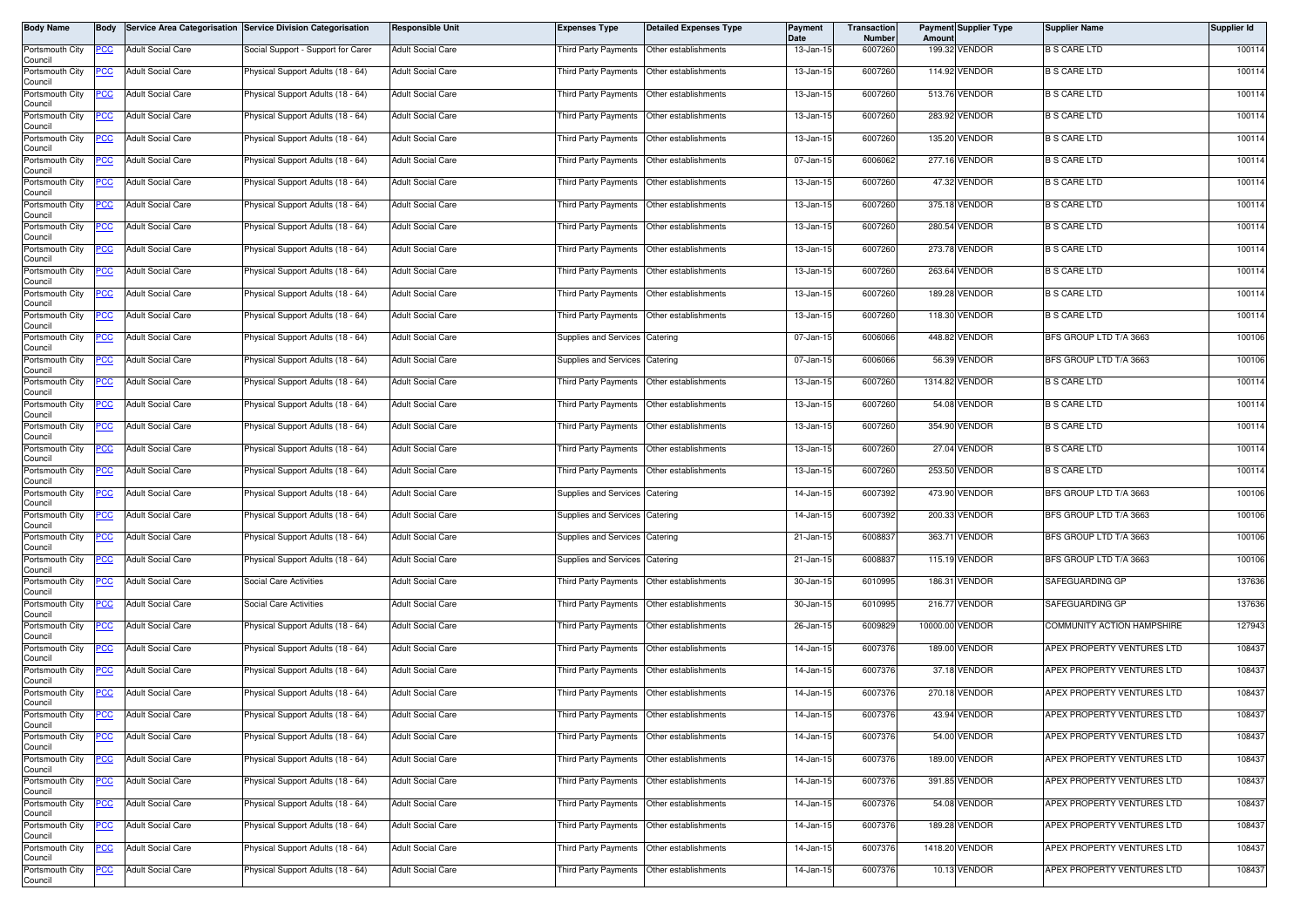| Body Name                  | Body       |                          | Service Area Categorisation Service Division Categorisation | <b>Responsible Unit</b>  | <b>Expenses Type</b>                      | <b>Detailed Expenses Type</b> | Payment<br>Date | Transaction<br><b>Number</b> | Amount          | <b>Payment Supplier Type</b> | <b>Supplier Name</b>       | Supplier Id |
|----------------------------|------------|--------------------------|-------------------------------------------------------------|--------------------------|-------------------------------------------|-------------------------------|-----------------|------------------------------|-----------------|------------------------------|----------------------------|-------------|
| Portsmouth City<br>Council | <b>PCC</b> | <b>Adult Social Care</b> | Social Support - Support for Carer                          | <b>Adult Social Care</b> | Third Party Payments                      | Other establishments          | 13-Jan-15       | 6007260                      |                 | 199.32 VENDOR                | <b>B S CARE LTD</b>        | 100114      |
| Portsmouth City<br>Council | PCC        | <b>Adult Social Care</b> | Physical Support Adults (18 - 64)                           | Adult Social Care        | Third Party Payments                      | Other establishments          | 13-Jan-15       | 6007260                      |                 | 114.92 VENDOR                | <b>B S CARE LTD</b>        | 100114      |
| Portsmouth City<br>Council | <u>PCC</u> | <b>Adult Social Care</b> | Physical Support Adults (18 - 64)                           | Adult Social Care        | Third Party Payments                      | Other establishments          | 13-Jan-15       | 6007260                      |                 | 513.76 VENDOR                | <b>B S CARE LTD</b>        | 100114      |
| Portsmouth City<br>Council | PCC        | <b>Adult Social Care</b> | Physical Support Adults (18 - 64)                           | Adult Social Care        | Third Party Payments                      | Other establishments          | 13-Jan-15       | 6007260                      |                 | 283.92 VENDOR                | <b>B S CARE LTD</b>        | 100114      |
| Portsmouth City<br>Council | PCC        | <b>Adult Social Care</b> | Physical Support Adults (18 - 64)                           | <b>Adult Social Care</b> | <b>Third Party Payments</b>               | Other establishments          | 13-Jan-15       | 6007260                      |                 | 135.20 VENDOR                | <b>B S CARE LTD</b>        | 100114      |
| Portsmouth City<br>Council | <u>PCC</u> | <b>Adult Social Care</b> | Physical Support Adults (18 - 64)                           | <b>Adult Social Care</b> | Third Party Payments                      | Other establishments          | 07-Jan-15       | 6006062                      |                 | 277.16 VENDOR                | <b>B S CARE LTD</b>        | 100114      |
| Portsmouth City<br>Council | <b>PCC</b> | <b>Adult Social Care</b> | Physical Support Adults (18 - 64)                           | <b>Adult Social Care</b> | Third Party Payments                      | Other establishments          | 13-Jan-15       | 6007260                      |                 | 47.32 VENDOR                 | <b>B S CARE LTD</b>        | 100114      |
| Portsmouth City<br>Council | <u>PCC</u> | <b>Adult Social Care</b> | Physical Support Adults (18 - 64)                           | Adult Social Care        | Third Party Payments                      | Other establishments          | 13-Jan-15       | 6007260                      |                 | 375.18 VENDOR                | <b>B S CARE LTD</b>        | 100114      |
| Portsmouth City<br>Council | <u>PCC</u> | <b>Adult Social Care</b> | Physical Support Adults (18 - 64)                           | <b>Adult Social Care</b> | Third Party Payments                      | Other establishments          | 13-Jan-15       | 6007260                      |                 | 280.54 VENDOR                | <b>B S CARE LTD</b>        | 100114      |
| Portsmouth City<br>Council | PCC        | <b>Adult Social Care</b> | Physical Support Adults (18 - 64)                           | Adult Social Care        | Third Party Payments                      | Other establishments          | 13-Jan-15       | 6007260                      |                 | 273.78 VENDOR                | <b>B S CARE LTD</b>        | 100114      |
| Portsmouth City<br>Council | <u>PCC</u> | <b>Adult Social Care</b> | Physical Support Adults (18 - 64)                           | <b>Adult Social Care</b> | Third Party Payments                      | Other establishments          | 13-Jan-15       | 6007260                      |                 | 263.64 VENDOR                | <b>B S CARE LTD</b>        | 100114      |
| Portsmouth City<br>Council | <u>PCC</u> | <b>Adult Social Care</b> | Physical Support Adults (18 - 64)                           | Adult Social Care        | Third Party Payments                      | Other establishments          | 13-Jan-15       | 6007260                      |                 | 189.28 VENDOR                | <b>B S CARE LTD</b>        | 100114      |
| Portsmouth City<br>Council | <u>PCC</u> | <b>Adult Social Care</b> | Physical Support Adults (18 - 64)                           | Adult Social Care        | Third Party Payments                      | Other establishments          | 13-Jan-15       | 6007260                      |                 | 118.30 VENDOR                | <b>B S CARE LTD</b>        | 100114      |
| Portsmouth City<br>Council | <b>PCC</b> | <b>Adult Social Care</b> | Physical Support Adults (18 - 64)                           | Adult Social Care        | Supplies and Services                     | Catering                      | 07-Jan-15       | 6006066                      |                 | 448.82 VENDOR                | BFS GROUP LTD T/A 3663     | 100106      |
| Portsmouth City<br>Council | PCC        | <b>Adult Social Care</b> | Physical Support Adults (18 - 64)                           | <b>Adult Social Care</b> | Supplies and Services                     | Catering                      | 07-Jan-15       | 6006066                      |                 | 56.39 VENDOR                 | BFS GROUP LTD T/A 3663     | 100106      |
| Portsmouth City<br>Council | <u>PCC</u> | <b>Adult Social Care</b> | Physical Support Adults (18 - 64)                           | Adult Social Care        | Third Party Payments                      | Other establishments          | 13-Jan-15       | 6007260                      |                 | 1314.82 VENDOR               | <b>B S CARE LTD</b>        | 100114      |
| Portsmouth City<br>Council | <u>PCC</u> | <b>Adult Social Care</b> | Physical Support Adults (18 - 64)                           | <b>Adult Social Care</b> | Third Party Payments                      | Other establishments          | 13-Jan-15       | 6007260                      |                 | 54.08 VENDOR                 | <b>B S CARE LTD</b>        | 100114      |
| Portsmouth City<br>Council | °СС        | <b>Adult Social Care</b> | Physical Support Adults (18 - 64)                           | <b>Adult Social Care</b> | Third Party Payments                      | Other establishments          | 13-Jan-15       | 6007260                      |                 | 354.90 VENDOR                | <b>B S CARE LTD</b>        | 100114      |
| Portsmouth City<br>Council | <u>'CC</u> | <b>Adult Social Care</b> | Physical Support Adults (18 - 64)                           | <b>Adult Social Care</b> | Third Party Payments                      | Other establishments          | 13-Jan-15       | 6007260                      |                 | 27.04 VENDOR                 | <b>B S CARE LTD</b>        | 100114      |
| Portsmouth City<br>Council | <b>PCC</b> | <b>Adult Social Care</b> | Physical Support Adults (18 - 64)                           | Adult Social Care        | Third Party Payments                      | Other establishments          | 13-Jan-15       | 6007260                      |                 | 253.50 VENDOR                | <b>B S CARE LTD</b>        | 100114      |
| Portsmouth City<br>Council | PСC        | <b>Adult Social Care</b> | Physical Support Adults (18 - 64)                           | <b>Adult Social Care</b> | Supplies and Services                     | Catering                      | 14-Jan-15       | 6007392                      |                 | 473.90 VENDOR                | BFS GROUP LTD T/A 3663     | 100106      |
| Portsmouth City<br>Council | PСC        | <b>Adult Social Care</b> | Physical Support Adults (18 - 64)                           | <b>Adult Social Care</b> | Supplies and Services                     | Catering                      | 14-Jan-15       | 6007392                      |                 | 200.33 VENDOR                | BFS GROUP LTD T/A 3663     | 100106      |
| Portsmouth City<br>Council | PCC        | <b>Adult Social Care</b> | Physical Support Adults (18 - 64)                           | <b>Adult Social Care</b> | Supplies and Services                     | Catering                      | 21-Jan-15       | 6008837                      |                 | 363.71 VENDOR                | BFS GROUP LTD T/A 3663     | 100106      |
| Portsmouth City<br>Council | <u>PCC</u> | <b>Adult Social Care</b> | Physical Support Adults (18 - 64)                           | Adult Social Care        | Supplies and Services Catering            |                               | 21-Jan-15       | 6008837                      |                 | 115.19 VENDOR                | BFS GROUP LTD T/A 3663     | 100106      |
| Portsmouth City<br>Council | <u>PCC</u> | <b>Adult Social Care</b> | Social Care Activities                                      | Adult Social Care        | Third Party Payments                      | Other establishments          | 30-Jan-15       | 6010995                      | 186.31          | VENDOR                       | SAFEGUARDING GP            | 137636      |
| Portsmouth City<br>Council | PCC        | <b>Adult Social Care</b> | Social Care Activities                                      | Adult Social Care        | Third Party Payments                      | Other establishments          | 30-Jan-15       | 6010995                      |                 | 216.77 VENDOR                | SAFEGUARDING GP            | 137636      |
| Portsmouth City<br>Council | <u>PCC</u> | <b>Adult Social Care</b> | Physical Support Adults (18 - 64)                           | <b>Adult Social Care</b> | Third Party Payments                      | Other establishments          | 26-Jan-15       | 6009829                      | 10000.00 VENDOR |                              | COMMUNITY ACTION HAMPSHIRE | 127943      |
| Portsmouth City<br>Council | <b>PCC</b> | <b>Adult Social Care</b> | Physical Support Adults (18 - 64)                           | <b>Adult Social Care</b> | Third Party Payments                      | Other establishments          | 14-Jan-15       | 6007376                      |                 | 189.00 VENDOR                | APEX PROPERTY VENTURES LTD | 108437      |
| Portsmouth City<br>Council | <u>PCC</u> | <b>Adult Social Care</b> | Physical Support Adults (18 - 64)                           | Adult Social Care        | Third Party Payments                      | Other establishments          | 14-Jan-15       | 6007376                      |                 | 37.18 VENDOR                 | APEX PROPERTY VENTURES LTD | 108437      |
| Portsmouth City<br>Council | <b>PCC</b> | <b>Adult Social Care</b> | Physical Support Adults (18 - 64)                           | <b>Adult Social Care</b> | Third Party Payments                      | Other establishments          | 14-Jan-15       | 6007376                      |                 | 270.18 VENDOR                | APEX PROPERTY VENTURES LTD | 108437      |
| Portsmouth City<br>Council | <b>PCC</b> | <b>Adult Social Care</b> | Physical Support Adults (18 - 64)                           | <b>Adult Social Care</b> | Third Party Payments Other establishments |                               | 14-Jan-15       | 6007376                      |                 | 43.94 VENDOR                 | APEX PROPERTY VENTURES LTD | 108437      |
| Portsmouth City<br>Council | <u>PCC</u> | <b>Adult Social Care</b> | Physical Support Adults (18 - 64)                           | Adult Social Care        | Third Party Payments                      | Other establishments          | 14-Jan-15       | 6007376                      |                 | 54.00 VENDOR                 | APEX PROPERTY VENTURES LTD | 108437      |
| Portsmouth City<br>Council | PСC        | <b>Adult Social Care</b> | Physical Support Adults (18 - 64)                           | <b>Adult Social Care</b> | Third Party Payments                      | Other establishments          | 14-Jan-15       | 6007376                      |                 | 189.00 VENDOR                | APEX PROPERTY VENTURES LTD | 108437      |
| Portsmouth City<br>Council | PCC        | <b>Adult Social Care</b> | Physical Support Adults (18 - 64)                           | Adult Social Care        | Third Party Payments                      | Other establishments          | 14-Jan-15       | 6007376                      |                 | 391.85 VENDOR                | APEX PROPERTY VENTURES LTD | 108437      |
| Portsmouth City<br>Council | PСC        | <b>Adult Social Care</b> | Physical Support Adults (18 - 64)                           | <b>Adult Social Care</b> | Third Party Payments                      | Other establishments          | 14-Jan-15       | 6007376                      |                 | 54.08 VENDOR                 | APEX PROPERTY VENTURES LTD | 108437      |
| Portsmouth City<br>Council | <u>PCC</u> | <b>Adult Social Care</b> | Physical Support Adults (18 - 64)                           | Adult Social Care        | Third Party Payments                      | Other establishments          | 14-Jan-15       | 6007376                      |                 | 189.28 VENDOR                | APEX PROPERTY VENTURES LTD | 108437      |
| Portsmouth City<br>Council |            | <b>Adult Social Care</b> | Physical Support Adults (18 - 64)                           | <b>Adult Social Care</b> | Third Party Payments                      | Other establishments          | 14-Jan-15       | 6007376                      |                 | 1418.20 VENDOR               | APEX PROPERTY VENTURES LTD | 108437      |
| Portsmouth City<br>Council | <u>PCC</u> | <b>Adult Social Care</b> | Physical Support Adults (18 - 64)                           | <b>Adult Social Care</b> | Third Party Payments                      | Other establishments          | 14-Jan-15       | 6007376                      |                 | 10.13 VENDOR                 | APEX PROPERTY VENTURES LTD | 108437      |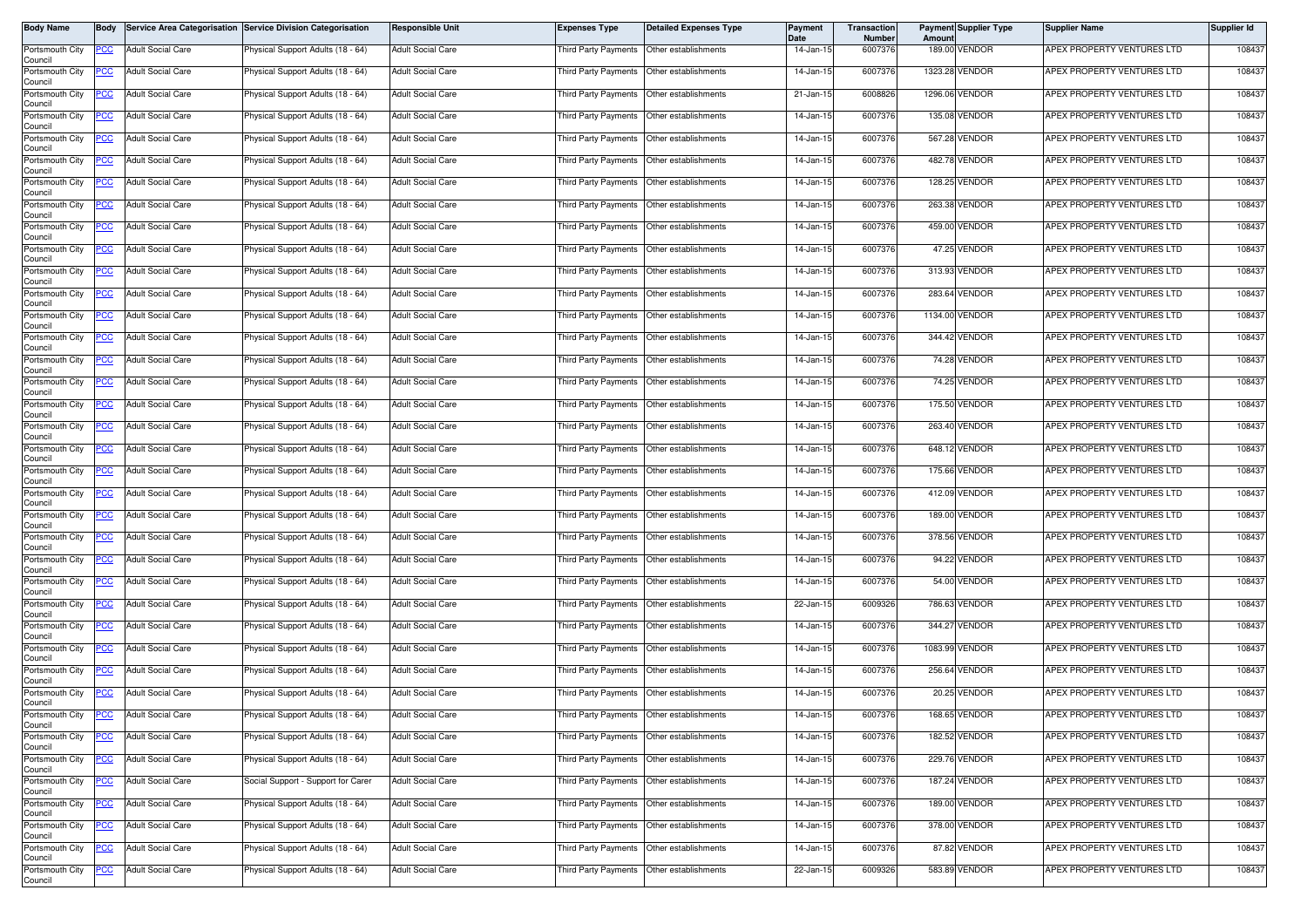| Body Name                  | Body        |                          | Service Area Categorisation Service Division Categorisation | <b>Responsible Unit</b>  | <b>Expenses Type</b>                        | <b>Detailed Expenses Type</b> | Payment<br>Date | Transaction<br><b>Number</b> | Amoun | <b>Payment Supplier Type</b> | <b>Supplier Name</b>       | Supplier Id |
|----------------------------|-------------|--------------------------|-------------------------------------------------------------|--------------------------|---------------------------------------------|-------------------------------|-----------------|------------------------------|-------|------------------------------|----------------------------|-------------|
| Portsmouth City<br>Council | PCC         | <b>Adult Social Care</b> | Physical Support Adults (18 - 64)                           | <b>Adult Social Care</b> | Third Party Payments                        | Other establishments          | 14-Jan-15       | 6007376                      |       | 189.00 VENDOR                | APEX PROPERTY VENTURES LTD | 108437      |
| Portsmouth City<br>Council | PCC         | <b>Adult Social Care</b> | Physical Support Adults (18 - 64)                           | <b>Adult Social Care</b> | Third Party Payments Other establishments   |                               | 14-Jan-15       | 6007376                      |       | 1323.28 VENDOR               | APEX PROPERTY VENTURES LTD | 108437      |
| Portsmouth City<br>Council | <u>PCC </u> | <b>Adult Social Care</b> | <sup>9</sup> hysical Support Adults (18 - 64)               | <b>Adult Social Care</b> | Third Party Payments Other establishments   |                               | 21-Jan-15       | 6008826                      |       | 1296.06 VENDOR               | APEX PROPERTY VENTURES LTD | 108437      |
| Portsmouth City<br>Council | <u>PCC</u>  | <b>Adult Social Care</b> | Physical Support Adults (18 - 64)                           | <b>Adult Social Care</b> | Third Party Payments                        | Other establishments          | 14-Jan-15       | 6007376                      |       | 135.08 VENDOR                | APEX PROPERTY VENTURES LTD | 108437      |
| Portsmouth City<br>Council | <u>PCC</u>  | <b>Adult Social Care</b> | Physical Support Adults (18 - 64)                           | <b>Adult Social Care</b> | Third Party Payments                        | Other establishments          | 14-Jan-15       | 6007376                      |       | 567.28 VENDOR                | APEX PROPERTY VENTURES LTD | 108437      |
| Portsmouth City<br>Council |             | <b>Adult Social Care</b> | Physical Support Adults (18 - 64)                           | <b>Adult Social Care</b> | Third Party Payments                        | Other establishments          | 14-Jan-15       | 6007376                      |       | 482.78 VENDOR                | APEX PROPERTY VENTURES LTD | 108437      |
| Portsmouth City<br>Council | <u>PCC</u>  | <b>Adult Social Care</b> | Physical Support Adults (18 - 64)                           | <b>Adult Social Care</b> | Third Party Payments   Other establishments |                               | 14-Jan-15       | 6007376                      |       | 128.25 VENDOR                | APEX PROPERTY VENTURES LTD | 108437      |
| Portsmouth City<br>Council | <u>PCC</u>  | <b>Adult Social Care</b> | Physical Support Adults (18 - 64)                           | <b>Adult Social Care</b> | Third Party Payments                        | Other establishments          | 14-Jan-15       | 6007376                      |       | 263.38 VENDOR                | APEX PROPERTY VENTURES LTD | 108437      |
| Portsmouth City<br>Council | <u>PCC</u>  | <b>Adult Social Care</b> | Physical Support Adults (18 - 64)                           | <b>Adult Social Care</b> | Third Party Payments                        | Other establishments          | 14-Jan-15       | 6007376                      |       | 459.00 VENDOR                | APEX PROPERTY VENTURES LTD | 108437      |
| Portsmouth City<br>Council | PСC         | <b>Adult Social Care</b> | Physical Support Adults (18 - 64)                           | <b>Adult Social Care</b> | Third Party Payments   Other establishments |                               | 14-Jan-15       | 6007376                      |       | 47.25 VENDOR                 | APEX PROPERTY VENTURES LTD | 108437      |
| Portsmouth City<br>Council | <u>PCC </u> | <b>Adult Social Care</b> | Physical Support Adults (18 - 64)                           | <b>Adult Social Care</b> | Third Party Payments                        | Other establishments          | 14-Jan-15       | 6007376                      |       | 313.93 VENDOR                | APEX PROPERTY VENTURES LTD | 108437      |
| Portsmouth City<br>Council | <u>PCC </u> | <b>Adult Social Care</b> | Physical Support Adults (18 - 64)                           | <b>Adult Social Care</b> | Third Party Payments                        | Other establishments          | 14-Jan-15       | 6007376                      |       | 283.64 VENDOR                | APEX PROPERTY VENTURES LTD | 108437      |
| Portsmouth City<br>Council | <u>PCC</u>  | <b>Adult Social Care</b> | Physical Support Adults (18 - 64)                           | <b>Adult Social Care</b> | Third Party Payments                        | Other establishments          | 14-Jan-15       | 6007376                      |       | 1134.00 VENDOR               | APEX PROPERTY VENTURES LTD | 108437      |
| Portsmouth City<br>Council | <u>CC </u>  | <b>Adult Social Care</b> | Physical Support Adults (18 - 64)                           | <b>Adult Social Care</b> | Third Party Payments                        | Other establishments          | 14-Jan-15       | 6007376                      |       | 344.42 VENDOR                | APEX PROPERTY VENTURES LTD | 108437      |
| Portsmouth City<br>Council | <u>PCC</u>  | <b>Adult Social Care</b> | Physical Support Adults (18 - 64)                           | <b>Adult Social Care</b> | Third Party Payments Other establishments   |                               | 14-Jan-15       | 6007376                      |       | 74.28 VENDOR                 | APEX PROPERTY VENTURES LTD | 108437      |
| Portsmouth City<br>Council | <u>PCC</u>  | <b>Adult Social Care</b> | Physical Support Adults (18 - 64)                           | <b>Adult Social Care</b> | Third Party Payments                        | Other establishments          | 14-Jan-15       | 6007376                      |       | 74.25 VENDOR                 | APEX PROPERTY VENTURES LTD | 108437      |
| Portsmouth City<br>Council | <u>PCC</u>  | <b>Adult Social Care</b> | Physical Support Adults (18 - 64)                           | <b>Adult Social Care</b> | Third Party Payments                        | Other establishments          | 14-Jan-15       | 6007376                      |       | 175.50 VENDOR                | APEX PROPERTY VENTURES LTD | 108437      |
| Portsmouth City<br>Council | PCC         | <b>Adult Social Care</b> | Physical Support Adults (18 - 64)                           | <b>Adult Social Care</b> | Third Party Payments   Other establishments |                               | 14-Jan-15       | 6007376                      |       | 263.40 VENDOR                | APEX PROPERTY VENTURES LTD | 108437      |
| Portsmouth City<br>Council | <u>cc</u>   | <b>Adult Social Care</b> | Physical Support Adults (18 - 64)                           | <b>Adult Social Care</b> | Third Party Payments                        | Other establishments          | 14-Jan-15       | 6007376                      |       | 648.12 VENDOR                | APEX PROPERTY VENTURES LTD | 108437      |
| Portsmouth City<br>Council | <u>PCC </u> | <b>Adult Social Care</b> | Physical Support Adults (18 - 64)                           | <b>Adult Social Care</b> | Third Party Payments                        | Other establishments          | 14-Jan-15       | 6007376                      |       | 175.66 VENDOR                | APEX PROPERTY VENTURES LTD | 108437      |
| Portsmouth City<br>Council | <u>PCC</u>  | <b>Adult Social Care</b> | Physical Support Adults (18 - 64)                           | <b>Adult Social Care</b> | Third Party Payments                        | Other establishments          | 14-Jan-15       | 6007376                      |       | 412.09 VENDOR                | APEX PROPERTY VENTURES LTD | 108437      |
| Portsmouth City<br>Council | PCC         | <b>Adult Social Care</b> | Physical Support Adults (18 - 64)                           | <b>Adult Social Care</b> | Third Party Payments                        | Other establishments          | 14-Jan-15       | 6007376                      |       | 189.00 VENDOR                | APEX PROPERTY VENTURES LTD | 108437      |
| Portsmouth City<br>Council | PСC         | <b>Adult Social Care</b> | Physical Support Adults (18 - 64)                           | <b>Adult Social Care</b> | Third Party Payments Other establishments   |                               | 14-Jan-15       | 6007376                      |       | 378.56 VENDOR                | APEX PROPERTY VENTURES LTD | 108437      |
| Portsmouth City<br>Council | <u>PCC</u>  | <b>Adult Social Care</b> | <sup>9</sup> hysical Support Adults (18 - 64)               | <b>Adult Social Care</b> | Third Party Payments Other establishments   |                               | 14-Jan-15       | 6007376                      |       | 94.22 VENDOR                 | APEX PROPERTY VENTURES LTD | 108437      |
| Portsmouth City<br>Council | <u>PCC</u>  | <b>Adult Social Care</b> | Physical Support Adults (18 - 64)                           | <b>Adult Social Care</b> | Third Party Payments Other establishments   |                               | 14-Jan-15       | 6007376                      |       | 54.00 VENDOR                 | APEX PROPERTY VENTURES LTD | 108437      |
| Portsmouth City<br>Council | PCC         | <b>Adult Social Care</b> | Physical Support Adults (18 - 64)                           | <b>Adult Social Care</b> | Third Party Payments   Other establishments |                               | 22-Jan-15       | 6009326                      |       | 786.63 VENDOR                | APEX PROPERTY VENTURES LTD | 108437      |
| Portsmouth City<br>Council | <u>PCC</u>  | <b>Adult Social Care</b> | Physical Support Adults (18 - 64)                           | <b>Adult Social Care</b> | Third Party Payments                        | Other establishments          | 14-Jan-15       | 6007376                      |       | 344.27 VENDOR                | APEX PROPERTY VENTURES LTD | 108437      |
| Portsmouth City<br>Council | <u>PCC</u>  | <b>Adult Social Care</b> | Physical Support Adults (18 - 64)                           | <b>Adult Social Care</b> | Third Party Payments   Other establishments |                               | 14-Jan-15       | 6007376                      |       | 1083.99 VENDOR               | APEX PROPERTY VENTURES LTD | 108437      |
| Portsmouth City<br>Council | <u>CC</u>   | <b>Adult Social Care</b> | Physical Support Adults (18 - 64)                           | <b>Adult Social Care</b> | Third Party Payments                        | Other establishments          | 14-Jan-15       | 6007376                      |       | 256.64 VENDOR                | APEX PROPERTY VENTURES LTD | 108437      |
| Portsmouth City<br>Council | <u>PCC</u>  | <b>Adult Social Care</b> | Physical Support Adults (18 - 64)                           | <b>Adult Social Care</b> | Third Party Payments                        | Other establishments          | 14-Jan-15       | 6007376                      |       | 20.25 VENDOR                 | APEX PROPERTY VENTURES LTD | 108437      |
| Portsmouth City<br>Council | <u>PCC</u>  | <b>Adult Social Care</b> | Physical Support Adults (18 - 64)                           | <b>Adult Social Care</b> | Third Party Payments Other establishments   |                               | 14-Jan-15       | 6007376                      |       | 168.65 VENDOR                | APEX PROPERTY VENTURES LTD | 108437      |
| Portsmouth City<br>Council | <u>PCC</u>  | <b>Adult Social Care</b> | Physical Support Adults (18 - 64)                           | <b>Adult Social Care</b> | Third Party Payments Other establishments   |                               | 14-Jan-15       | 6007376                      |       | 182.52 VENDOR                | APEX PROPERTY VENTURES LTD | 108437      |
| Portsmouth City<br>Council | <u>PCC</u>  | <b>Adult Social Care</b> | Physical Support Adults (18 - 64)                           | <b>Adult Social Care</b> | Third Party Payments Other establishments   |                               | 14-Jan-15       | 6007376                      |       | 229.76 VENDOR                | APEX PROPERTY VENTURES LTD | 108437      |
| Portsmouth City<br>Council | <u>PCC</u>  | <b>Adult Social Care</b> | Social Support - Support for Carer                          | <b>Adult Social Care</b> | Third Party Payments Other establishments   |                               | 14-Jan-15       | 6007376                      |       | 187.24 VENDOR                | APEX PROPERTY VENTURES LTD | 108437      |
| Portsmouth City<br>Council | PСC         | Adult Social Care        | Physical Support Adults (18 - 64)                           | <b>Adult Social Care</b> | Third Party Payments Other establishments   |                               | 14-Jan-15       | 6007376                      |       | 189.00 VENDOR                | APEX PROPERTY VENTURES LTD | 108437      |
| Portsmouth City<br>Council | <u>PCC </u> | <b>Adult Social Care</b> | Physical Support Adults (18 - 64)                           | <b>Adult Social Care</b> | Third Party Payments Other establishments   |                               | 14-Jan-15       | 6007376                      |       | 378.00 VENDOR                | APEX PROPERTY VENTURES LTD | 108437      |
| Portsmouth City<br>Council | <u>PCC</u>  | <b>Adult Social Care</b> | Physical Support Adults (18 - 64)                           | <b>Adult Social Care</b> | Third Party Payments Other establishments   |                               | 14-Jan-15       | 6007376                      |       | 87.82 VENDOR                 | APEX PROPERTY VENTURES LTD | 108437      |
| Portsmouth City<br>Council | <u>PCC</u>  | <b>Adult Social Care</b> | Physical Support Adults (18 - 64)                           | <b>Adult Social Care</b> | Third Party Payments Other establishments   |                               | 22-Jan-15       | 6009326                      |       | 583.89 VENDOR                | APEX PROPERTY VENTURES LTD | 108437      |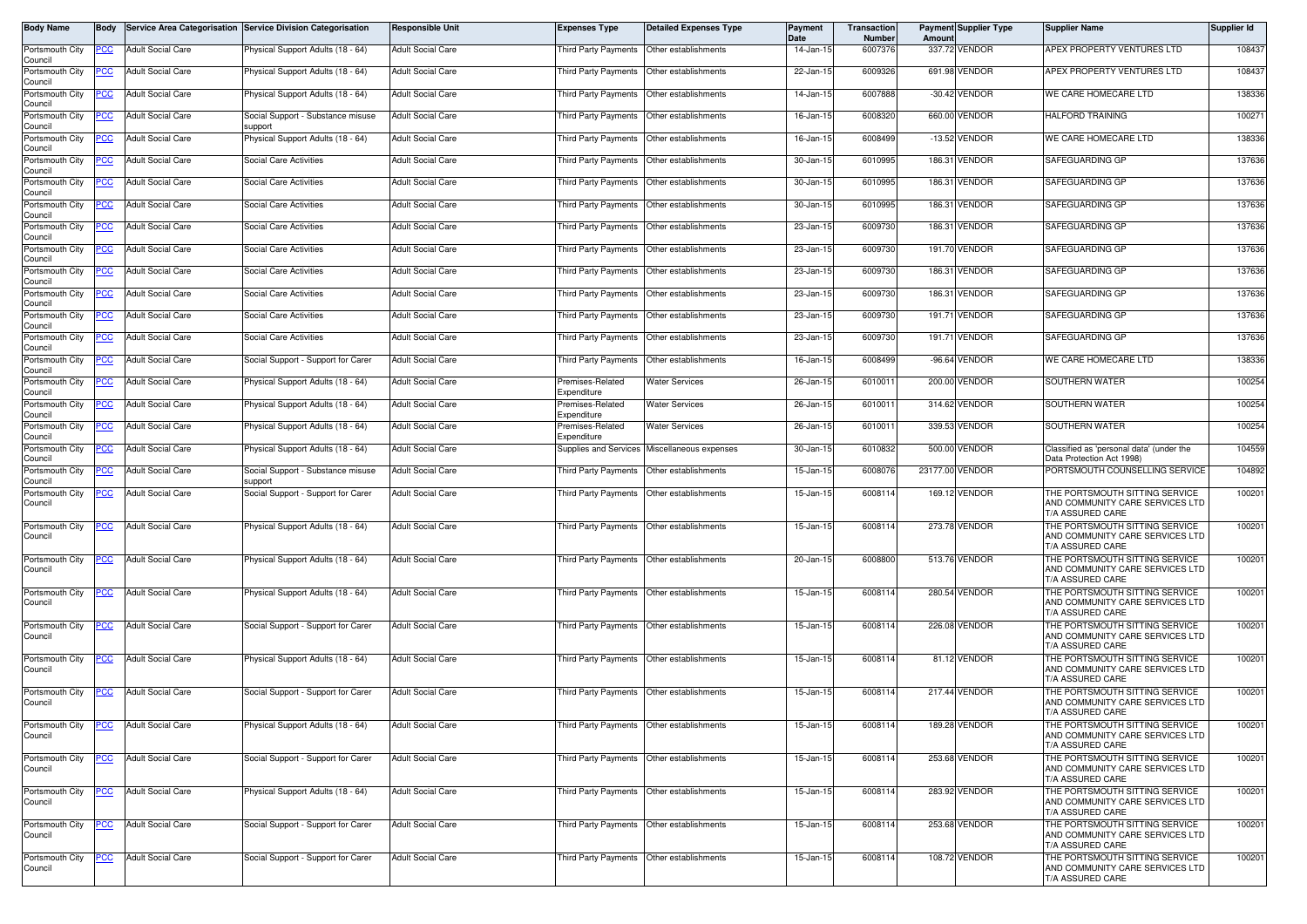| Body Name                  | Body       |                          | Service Area Categorisation Service Division Categorisation | <b>Responsible Unit</b>  | <b>Expenses Type</b>                        | <b>Detailed Expenses Type</b>             | <b>Payment</b><br>Date | Transaction<br><b>Number</b> | Amount          | <b>Payment Supplier Type</b> | <b>Supplier Name</b>                                                                  | Supplier Id |
|----------------------------|------------|--------------------------|-------------------------------------------------------------|--------------------------|---------------------------------------------|-------------------------------------------|------------------------|------------------------------|-----------------|------------------------------|---------------------------------------------------------------------------------------|-------------|
| Portsmouth City<br>Council | PCC        | <b>Adult Social Care</b> | Physical Support Adults (18 - 64)                           | <b>Adult Social Care</b> | Third Party Payments                        | Other establishments                      | 14-Jan-15              | 6007376                      |                 | 337.72 VENDOR                | APEX PROPERTY VENTURES LTD                                                            | 108437      |
| Portsmouth City<br>Council | 'СС        | <b>Adult Social Care</b> | Physical Support Adults (18 - 64)                           | <b>Adult Social Care</b> |                                             | Third Party Payments Other establishments | 22-Jan-15              | 6009326                      |                 | 691.98 VENDOR                | APEX PROPERTY VENTURES LTD                                                            | 108437      |
| Portsmouth City<br>Council | <u>'CC</u> | <b>Adult Social Care</b> | <sup>9</sup> hysical Support Adults (18 - 64)               | <b>Adult Social Care</b> | Third Party Payments                        | Other establishments                      | 14-Jan-15              | 6007888                      |                 | -30.42 VENDOR                | WE CARE HOMECARE LTD                                                                  | 138336      |
| Portsmouth City            |            | <b>Adult Social Care</b> | Social Support - Substance misuse                           | <b>Adult Social Care</b> | Third Party Payments                        | Other establishments                      | 16-Jan-15              | 6008320                      |                 | 660.00 VENDOR                | <b>HALFORD TRAINING</b>                                                               | 100271      |
| Council<br>Portsmouth City | ∍сс        | <b>Adult Social Care</b> | upport<br>Physical Support Adults (18 - 64)                 | <b>Adult Social Care</b> | <b>Third Party Payments</b>                 | Other establishments                      | 16-Jan-15              | 6008499                      |                 | -13.52 VENDOR                | WE CARE HOMECARE LTD                                                                  | 138336      |
| Council<br>Portsmouth City | <u>'CC</u> | <b>Adult Social Care</b> | Social Care Activities                                      | <b>Adult Social Care</b> | Third Party Payments                        | Other establishments                      | 30-Jan-15              | 6010995                      |                 | 186.31 VENDOR                | SAFEGUARDING GP                                                                       | 137636      |
| Council<br>Portsmouth City | PCC        | <b>Adult Social Care</b> | Social Care Activities                                      | <b>Adult Social Care</b> | Third Party Payments  Other establishments  |                                           | 30-Jan-15              | 6010995                      |                 | 186.31 VENDOR                | SAFEGUARDING GP                                                                       | 137636      |
| Council<br>Portsmouth City | <u>'CC</u> | <b>Adult Social Care</b> | Social Care Activities                                      | <b>Adult Social Care</b> | Third Party Payments                        | Other establishments                      | 30-Jan-15              | 6010995                      |                 | 186.31 VENDOR                | SAFEGUARDING GP                                                                       | 137636      |
| Council<br>Portsmouth City | PСC        | <b>Adult Social Care</b> | <b>Social Care Activities</b>                               | <b>Adult Social Care</b> | <b>Third Party Payments</b>                 | Other establishments                      | 23-Jan-15              | 6009730                      |                 | 186.31 VENDOR                | SAFEGUARDING GP                                                                       | 137636      |
| Council<br>Portsmouth City | сc         | <b>Adult Social Care</b> | Social Care Activities                                      | <b>Adult Social Care</b> | Third Party Payments                        | Other establishments                      | 23-Jan-15              | 6009730                      |                 | 191.70 VENDOR                | SAFEGUARDING GP                                                                       | 137636      |
| Council<br>Portsmouth City | <u>'CC</u> | <b>Adult Social Care</b> | <b>Social Care Activities</b>                               | <b>Adult Social Care</b> | Third Party Payments                        | Other establishments                      | 23-Jan-15              | 6009730                      |                 | 186.31 VENDOR                | SAFEGUARDING GP                                                                       | 137636      |
| Council<br>Portsmouth City | PСC        | <b>Adult Social Care</b> | Social Care Activities                                      | <b>Adult Social Care</b> | Third Party Payments                        | Other establishments                      | 23-Jan-15              | 6009730                      |                 | 186.31 VENDOR                | SAFEGUARDING GP                                                                       | 137636      |
| Council<br>Portsmouth City | сc         | <b>Adult Social Care</b> | <b>Social Care Activities</b>                               | <b>Adult Social Care</b> | Third Party Payments                        | Other establishments                      | 23-Jan-15              | 6009730                      |                 | 191.71 VENDOR                | SAFEGUARDING GP                                                                       | 137636      |
| Council<br>Portsmouth City | сc         | <b>Adult Social Care</b> | <b>Social Care Activities</b>                               | <b>Adult Social Care</b> | Third Party Payments                        | Other establishments                      | 23-Jan-15              | 6009730                      |                 | 191.71 VENDOR                | SAFEGUARDING GP                                                                       | 137636      |
| Council<br>Portsmouth City | <u>PCC</u> | <b>Adult Social Care</b> | Social Support - Support for Carer                          | <b>Adult Social Care</b> |                                             | Third Party Payments Other establishments | 16-Jan-15              | 6008499                      |                 | -96.64 VENDOR                | WE CARE HOMECARE LTD                                                                  | 138336      |
| Council<br>Portsmouth City | <u>'CC</u> | <b>Adult Social Care</b> | Physical Support Adults (18 - 64)                           | <b>Adult Social Care</b> | Premises-Related                            | <b>Water Services</b>                     | 26-Jan-15              | 601001                       |                 | 200.00 VENDOR                | SOUTHERN WATER                                                                        | 100254      |
| Council<br>Portsmouth City | <u>CC</u>  | <b>Adult Social Care</b> | Physical Support Adults (18 - 64)                           | <b>Adult Social Care</b> | Expenditure<br>remises-Related              | <b>Water Services</b>                     | 26-Jan-1               | 601001                       |                 | 314.62 VENDOR                | SOUTHERN WATER                                                                        | 100254      |
| Council                    |            |                          |                                                             |                          | Expenditure<br>Premises-Related             |                                           |                        | 6010011                      |                 | 339.53 VENDOR                | SOUTHERN WATER                                                                        | 100254      |
| Portsmouth City<br>Council | PСC        | <b>Adult Social Care</b> | Physical Support Adults (18 - 64)                           | <b>Adult Social Care</b> | .<br>xpenditure                             | <b>Water Services</b>                     | 26-Jan-15              |                              |                 |                              |                                                                                       |             |
| Portsmouth City<br>Council | <u>cc</u>  | <b>Adult Social Care</b> | Physical Support Adults (18 - 64)                           | <b>Adult Social Care</b> | <b>Supplies and Services</b>                | Miscellaneous expenses                    | 30-Jan-15              | 6010832                      |                 | 500.00 VENDOR                | Classified as 'personal data' (under the<br>Data Protection Act 1998)                 | 104559      |
| Portsmouth City<br>Council | PСC        | <b>Adult Social Care</b> | Social Support - Substance misuse<br>support                | <b>Adult Social Care</b> | Third Party Payments                        | Other establishments                      | 15-Jan-15              | 6008076                      | 23177.00 VENDOR |                              | PORTSMOUTH COUNSELLING SERVICE                                                        | 104892      |
| Portsmouth City<br>Council |            | <b>Adult Social Care</b> | Social Support - Support for Carer                          | <b>Adult Social Care</b> | <b>Third Party Payments</b>                 | Other establishments                      | 15-Jan-15              | 6008114                      |                 | 169.12 VENDOR                | THE PORTSMOUTH SITTING SERVICE<br>AND COMMUNITY CARE SERVICES LTD<br>T/A ASSURED CARE | 100201      |
| Portsmouth City<br>Council | <u>PCC</u> | <b>Adult Social Care</b> | Physical Support Adults (18 - 64)                           | <b>Adult Social Care</b> | Third Party Payments                        | Other establishments                      | 15-Jan-15              | 600811                       |                 | 273.78 VENDOR                | THE PORTSMOUTH SITTING SERVICE<br>AND COMMUNITY CARE SERVICES LTD<br>T/A ASSURED CARE | 100201      |
| Portsmouth City<br>Council | <u>PCC</u> | <b>Adult Social Care</b> | Physical Support Adults (18 - 64)                           | <b>Adult Social Care</b> | Third Party Payments   Other establishments |                                           | 20-Jan-15              | 6008800                      |                 | 513.76 VENDOR                | THE PORTSMOUTH SITTING SERVICE<br>AND COMMUNITY CARE SERVICES LTD<br>T/A ASSURED CARE | 100201      |
| Portsmouth City<br>Council | <u>PCC</u> | <b>Adult Social Care</b> | Physical Support Adults (18 - 64)                           | <b>Adult Social Care</b> | Third Party Payments   Other establishments |                                           | 15-Jan-15              | 6008114                      |                 | 280.54 VENDOR                | THE PORTSMOUTH SITTING SERVICE<br>AND COMMUNITY CARE SERVICES LTD<br>T/A ASSURED CARE | 100201      |
| Portsmouth City<br>Council | <u>PCC</u> | <b>Adult Social Care</b> | Social Support - Support for Carer                          | <b>Adult Social Care</b> | Third Party Payments                        | Other establishments                      | 15-Jan-15              | 6008114                      |                 | 226.08 VENDOR                | THE PORTSMOUTH SITTING SERVICE<br>AND COMMUNITY CARE SERVICES LTD<br>T/A ASSURED CARE | 100201      |
| Portsmouth City<br>Council | CC         | <b>Adult Social Care</b> | Physical Support Adults (18 - 64)                           | <b>Adult Social Care</b> | Third Party Payments                        | Other establishments                      | 15-Jan-15              | 6008114                      |                 | 81.12 VENDOR                 | THE PORTSMOUTH SITTING SERVICE<br>AND COMMUNITY CARE SERVICES LTD<br>T/A ASSURED CARE | 100201      |
| Portsmouth City<br>Council | <u>PCC</u> | <b>Adult Social Care</b> | Social Support - Support for Carer                          | <b>Adult Social Care</b> | Third Party Payments   Other establishments |                                           | 15-Jan-15              | 600811                       |                 | 217.44 VENDOR                | THE PORTSMOUTH SITTING SERVICE<br>AND COMMUNITY CARE SERVICES LTD<br>T/A ASSURED CARE | 100201      |
| Portsmouth City<br>Council |            | <b>Adult Social Care</b> | Physical Support Adults (18 - 64)                           | <b>Adult Social Care</b> | Third Party Payments   Other establishments |                                           | 15-Jan-15              | 6008114                      |                 | 189.28 VENDOR                | THE PORTSMOUTH SITTING SERVICE<br>AND COMMUNITY CARE SERVICES LTD<br>T/A ASSURED CARE | 100201      |
| Portsmouth City<br>Council | <u>PCC</u> | <b>Adult Social Care</b> | Social Support - Support for Carer                          | <b>Adult Social Care</b> | Third Party Payments Other establishments   |                                           | 15-Jan-15              | 6008114                      |                 | 253.68 VENDOR                | THE PORTSMOUTH SITTING SERVICE<br>AND COMMUNITY CARE SERVICES LTD<br>T/A ASSURED CARE | 100201      |
| Portsmouth City<br>Council | <u>CC</u>  | <b>Adult Social Care</b> | Physical Support Adults (18 - 64)                           | <b>Adult Social Care</b> | Third Party Payments                        | Other establishments                      | 15-Jan-15              | 600811                       |                 | 283.92 VENDOR                | THE PORTSMOUTH SITTING SERVICE<br>AND COMMUNITY CARE SERVICES LTD<br>T/A ASSURED CARE | 100201      |
| Portsmouth City<br>Council | <u>PCC</u> | <b>Adult Social Care</b> | Social Support - Support for Carer                          | <b>Adult Social Care</b> | Third Party Payments Other establishments   |                                           | 15-Jan-15              | 6008114                      |                 | 253.68 VENDOR                | THE PORTSMOUTH SITTING SERVICE<br>AND COMMUNITY CARE SERVICES LTD<br>T/A ASSURED CARE | 100201      |
| Portsmouth City<br>Council | PCC        | <b>Adult Social Care</b> | Social Support - Support for Carer                          | <b>Adult Social Care</b> | Third Party Payments Other establishments   |                                           | 15-Jan-15              | 600811                       |                 | 108.72 VENDOR                | THE PORTSMOUTH SITTING SERVICE<br>AND COMMUNITY CARE SERVICES LTD<br>T/A ASSURED CARE | 100201      |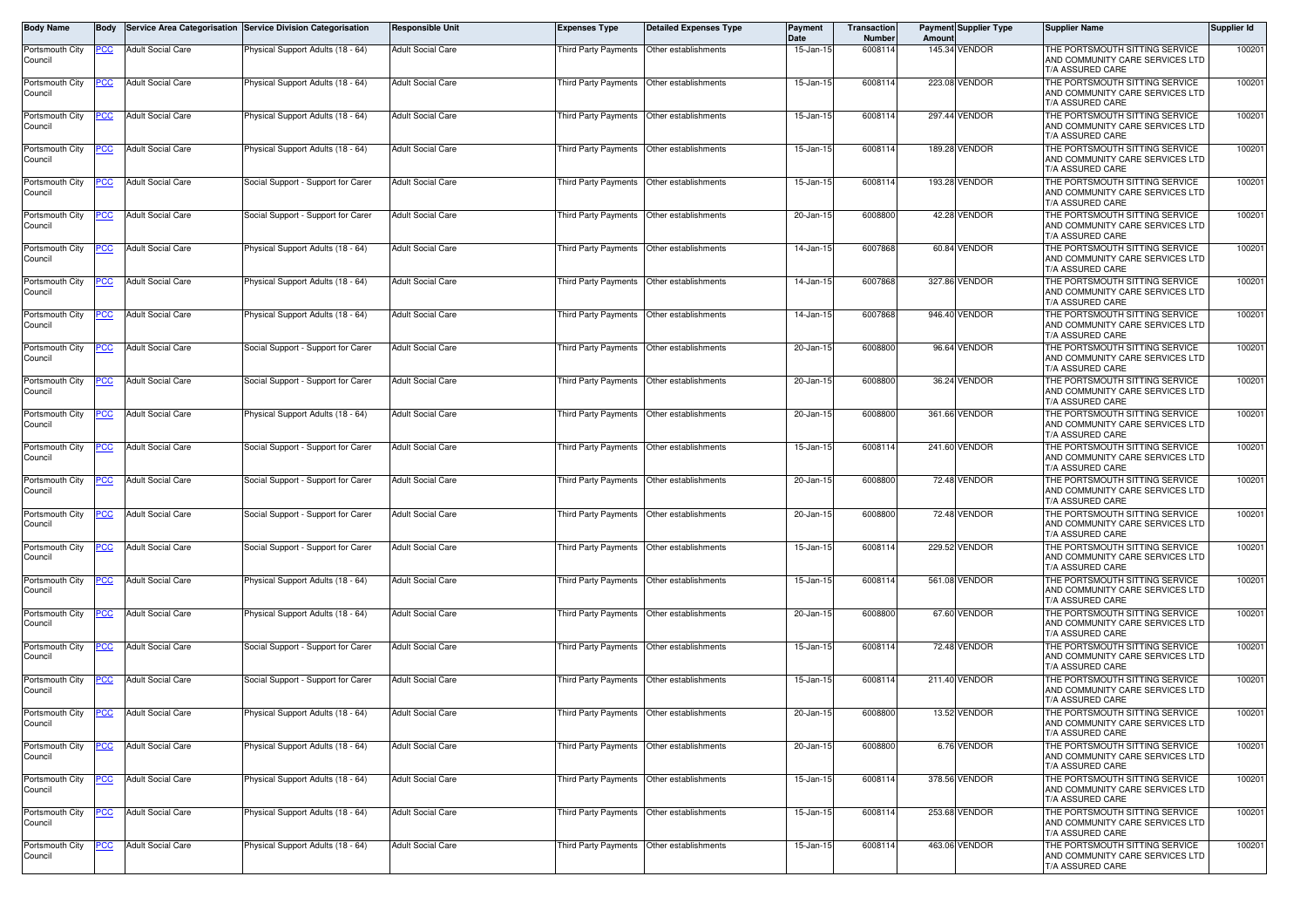| Body Name                  | Body       |                          | Service Area Categorisation Service Division Categorisation | <b>Responsible Unit</b>  | <b>Expenses Type</b>                        | <b>Detailed Expenses Type</b>             | Payment<br>Date | <b>Transaction</b><br>Number | Amount | <b>Payment Supplier Type</b> | Supplier Name                                                                         | Supplier Id |
|----------------------------|------------|--------------------------|-------------------------------------------------------------|--------------------------|---------------------------------------------|-------------------------------------------|-----------------|------------------------------|--------|------------------------------|---------------------------------------------------------------------------------------|-------------|
| Portsmouth City<br>Council | PCC        | <b>Adult Social Care</b> | Physical Support Adults (18 - 64)                           | <b>Adult Social Care</b> | Third Party Payments                        | Other establishments                      | 15-Jan-15       | 6008114                      |        | 145.34 VENDOR                | THE PORTSMOUTH SITTING SERVICE<br>AND COMMUNITY CARE SERVICES LTD<br>T/A ASSURED CARE | 100201      |
| Portsmouth City<br>Council | PСC        | <b>Adult Social Care</b> | Physical Support Adults (18 - 64)                           | <b>Adult Social Care</b> | Third Party Payments                        | Other establishments                      | 15-Jan-1!       | 6008114                      |        | 223.08 VENDOR                | THE PORTSMOUTH SITTING SERVICE<br>AND COMMUNITY CARE SERVICES LTD<br>T/A ASSURED CARE | 100201      |
| Portsmouth City<br>Council | <u>PCC</u> | <b>Adult Social Care</b> | Physical Support Adults (18 - 64)                           | <b>Adult Social Care</b> | Third Party Payments                        | Other establishments                      | 15-Jan-1!       | 6008114                      |        | 297.44 VENDOR                | THE PORTSMOUTH SITTING SERVICE<br>AND COMMUNITY CARE SERVICES LTD<br>T/A ASSURED CARE | 100201      |
| Portsmouth City<br>Council | <u>CC </u> | <b>Adult Social Care</b> | Physical Support Adults (18 - 64)                           | <b>Adult Social Care</b> | Third Party Payments                        | Other establishments                      | $15 - Jan-1$    | 600811                       |        | 189.28 VENDOR                | THE PORTSMOUTH SITTING SERVICE<br>AND COMMUNITY CARE SERVICES LTD<br>T/A ASSURED CARE | 100201      |
| Portsmouth City<br>Council | <u>PCC</u> | <b>Adult Social Care</b> | Social Support - Support for Carer                          | <b>Adult Social Care</b> | Third Party Payments                        | Other establishments                      | 15-Jan-15       | 6008114                      |        | 193.28 VENDOR                | THE PORTSMOUTH SITTING SERVICE<br>AND COMMUNITY CARE SERVICES LTD<br>T/A ASSURED CARE | 100201      |
| Portsmouth City<br>Council | CС         | <b>Adult Social Care</b> | Social Support - Support for Carer                          | <b>Adult Social Care</b> | Third Party Payments                        | Other establishments                      | 20-Jan-15       | 600880                       |        | 42.28 VENDOR                 | THE PORTSMOUTH SITTING SERVICE<br>AND COMMUNITY CARE SERVICES LTD<br>T/A ASSURED CARE | 100201      |
| Portsmouth City<br>Council | 'CC        | <b>Adult Social Care</b> | Physical Support Adults (18 - 64)                           | <b>Adult Social Care</b> | Third Party Payments                        | Other establishments                      | 14-Jan-15       | 6007868                      |        | 60.84 VENDOR                 | THE PORTSMOUTH SITTING SERVICE<br>AND COMMUNITY CARE SERVICES LTD<br>T/A ASSURED CARE | 100201      |
| Portsmouth City<br>Council | PCC.       | <b>Adult Social Care</b> | Physical Support Adults (18 - 64)                           | <b>Adult Social Care</b> |                                             | Third Party Payments Other establishments | 14-Jan-1        | 6007868                      |        | 327.86 VENDOR                | THE PORTSMOUTH SITTING SERVICE<br>AND COMMUNITY CARE SERVICES LTD<br>T/A ASSURED CARE | 100201      |
| Portsmouth City<br>Council |            | <b>Adult Social Care</b> | Physical Support Adults (18 - 64)                           | <b>Adult Social Care</b> | Third Party Payments                        | Other establishments                      | 14-Jan-1!       | 6007868                      |        | 946.40 VENDOR                | THE PORTSMOUTH SITTING SERVICE<br>AND COMMUNITY CARE SERVICES LTD<br>T/A ASSURED CARE | 100201      |
| Portsmouth City<br>Council | PСC        | <b>Adult Social Care</b> | Social Support - Support for Carer                          | <b>Adult Social Care</b> | Third Party Payments                        | Other establishments                      | 20-Jan-1        | 600880                       |        | 96.64 VENDOR                 | THE PORTSMOUTH SITTING SERVICE<br>AND COMMUNITY CARE SERVICES LTD<br>T/A ASSURED CARE | 100201      |
| Portsmouth City<br>Council |            | <b>Adult Social Care</b> | Social Support - Support for Carer                          | <b>Adult Social Care</b> | <b>Third Party Payments</b>                 | Other establishments                      | 20-Jan-1        | 600880                       |        | 36.24 VENDOR                 | THE PORTSMOUTH SITTING SERVICE<br>AND COMMUNITY CARE SERVICES LTD<br>T/A ASSURED CARE | 100201      |
| Portsmouth City<br>Council | PСC        | <b>Adult Social Care</b> | Physical Support Adults (18 - 64)                           | <b>Adult Social Care</b> | Third Party Payments                        | Other establishments                      | 20-Jan-1        | 6008800                      |        | 361.66 VENDOR                | THE PORTSMOUTH SITTING SERVICE<br>AND COMMUNITY CARE SERVICES LTD<br>T/A ASSURED CARE | 100201      |
| Portsmouth City<br>Council |            | <b>Adult Social Care</b> | Social Support - Support for Carer                          | <b>Adult Social Care</b> | Third Party Payments                        | Other establishments                      | $15 - Jan-1$    | 6008114                      |        | 241.60 VENDOR                | THE PORTSMOUTH SITTING SERVICE<br>AND COMMUNITY CARE SERVICES LTD<br>T/A ASSURED CARE | 100201      |
| Portsmouth City<br>Council | <u>PCC</u> | <b>Adult Social Care</b> | Social Support - Support for Carer                          | <b>Adult Social Care</b> |                                             | Third Party Payments Other establishments | 20-Jan-15       | 6008800                      |        | 72.48 VENDOR                 | THE PORTSMOUTH SITTING SERVICE<br>AND COMMUNITY CARE SERVICES LTD<br>T/A ASSURED CARE | 100201      |
| Portsmouth City<br>Council | <u>cc</u>  | <b>Adult Social Care</b> | Social Support - Support for Carer                          | <b>Adult Social Care</b> | Third Party Payments                        | Other establishments                      | 20-Jan-1        | 600880                       |        | 72.48 VENDOR                 | THE PORTSMOUTH SITTING SERVICE<br>AND COMMUNITY CARE SERVICES LTD<br>T/A ASSURED CARE | 100201      |
| Portsmouth City<br>Council |            | <b>Adult Social Care</b> | Social Support - Support for Carer                          | Adult Social Care        | Third Party Payments                        | Other establishments                      | 15-Jan-15       | 6008114                      |        | 229.52 VENDOR                | THE PORTSMOUTH SITTING SERVICE<br>AND COMMUNITY CARE SERVICES LTD<br>T/A ASSURED CARE | 100201      |
| Portsmouth City<br>Council | <u>PCC</u> | <b>Adult Social Care</b> | Physical Support Adults (18 - 64)                           | <b>Adult Social Care</b> | Third Party Payments                        | Other establishments                      | 15-Jan-1        | 6008114                      |        | 561.08 VENDOR                | THE PORTSMOUTH SITTING SERVICE<br>AND COMMUNITY CARE SERVICES LTD<br>T/A ASSURED CARE | 100201      |
| Portsmouth City<br>Council | PCC        | <b>Adult Social Care</b> | Physical Support Adults (18 - 64)                           | <b>Adult Social Care</b> | Third Party Payments                        | Other establishments                      | 20-Jan-1        | 600880                       |        | 67.60 VENDOR                 | THE PORTSMOUTH SITTING SERVICE<br>AND COMMUNITY CARE SERVICES LTD<br>T/A ASSURED CARE | 100201      |
| Portsmouth City<br>Council | <u>'CC</u> | <b>Adult Social Care</b> | Social Support - Support for Carer                          | <b>Adult Social Care</b> | <b>Third Party Payments</b>                 | Other establishments                      | $15 - Jan-1$    | 600811                       |        | 72.48 VENDOR                 | THE PORTSMOUTH SITTING SERVICE<br>AND COMMUNITY CARE SERVICES LTD<br>T/A ASSURED CARE | 100201      |
| Portsmouth City<br>Council |            | <b>Adult Social Care</b> | Social Support - Support for Carer                          | <b>Adult Social Care</b> | Third Party Payments                        | Other establishments                      | 15-Jan-1        | 600811                       |        | 211.40 VENDOR                | THE PORTSMOUTH SITTING SERVICE<br>AND COMMUNITY CARE SERVICES LTD<br>T/A ASSURED CARE | 100201      |
| Portsmouth City<br>Council | <u>PCC</u> | <b>Adult Social Care</b> | Physical Support Adults (18 - 64)                           | <b>Adult Social Care</b> | Third Party Payments   Other establishments |                                           | 20-Jan-15       | 6008800                      |        | 13.52 VENDOR                 | THE PORTSMOUTH SITTING SERVICE<br>AND COMMUNITY CARE SERVICES LTD<br>T/A ASSURED CARE | 100201      |
| Portsmouth City<br>Council | <u>PCC</u> | <b>Adult Social Care</b> | Physical Support Adults (18 - 64)                           | <b>Adult Social Care</b> |                                             | Third Party Payments Other establishments | 20-Jan-15       | 6008800                      |        | 6.76 VENDOR                  | THE PORTSMOUTH SITTING SERVICE<br>AND COMMUNITY CARE SERVICES LTD<br>T/A ASSURED CARE | 100201      |
| Portsmouth City<br>Council | <u>'CC</u> | <b>Adult Social Care</b> | Physical Support Adults (18 - 64)                           | <b>Adult Social Care</b> |                                             | Third Party Payments Other establishments | 15-Jan-15       | 6008114                      |        | 378.56 VENDOR                | THE PORTSMOUTH SITTING SERVICE<br>AND COMMUNITY CARE SERVICES LTD<br>T/A ASSURED CARE | 100201      |
| Portsmouth City<br>Council | <u>PCC</u> | <b>Adult Social Care</b> | Physical Support Adults (18 - 64)                           | <b>Adult Social Care</b> |                                             | Third Party Payments Other establishments | 15-Jan-15       | 6008114                      |        | 253.68 VENDOR                | THE PORTSMOUTH SITTING SERVICE<br>AND COMMUNITY CARE SERVICES LTD<br>T/A ASSURED CARE | 100201      |
| Portsmouth City<br>Council |            | <b>Adult Social Care</b> | Physical Support Adults (18 - 64)                           | Adult Social Care        | Third Party Payments                        | Other establishments                      | 15-Jan-15       | 6008114                      |        | 463.06 VENDOR                | THE PORTSMOUTH SITTING SERVICE<br>AND COMMUNITY CARE SERVICES LTD<br>T/A ASSURED CARE | 100201      |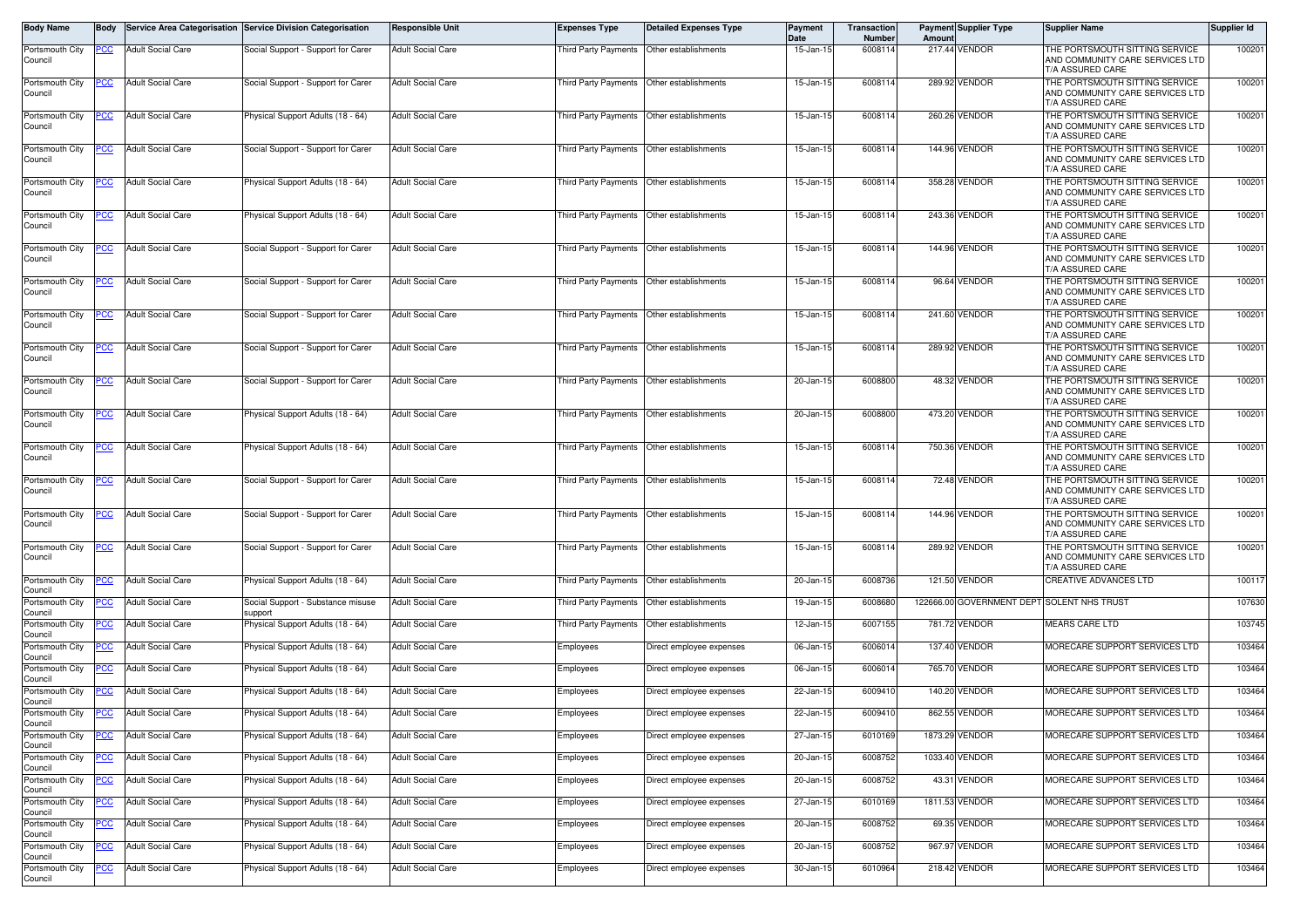| Body Name                             | <b>Body</b> |                          | Service Area Categorisation Service Division Categorisation | <b>Responsible Unit</b>  | <b>Expenses Type</b>                      | <b>Detailed Expenses Type</b> | Payment<br>Date | Transaction<br>Number | Amount | <b>Payment Supplier Type</b>               | Supplier Name                                                                         | Supplier Id |
|---------------------------------------|-------------|--------------------------|-------------------------------------------------------------|--------------------------|-------------------------------------------|-------------------------------|-----------------|-----------------------|--------|--------------------------------------------|---------------------------------------------------------------------------------------|-------------|
| Portsmouth City<br>Council            | PCC         | <b>Adult Social Care</b> | Social Support - Support for Carer                          | <b>Adult Social Care</b> | Third Party Payments                      | Other establishments          | 15-Jan-15       | 6008114               |        | 217.44 VENDOR                              | THE PORTSMOUTH SITTING SERVICE<br>AND COMMUNITY CARE SERVICES LTD<br>T/A ASSURED CARE | 100201      |
| Portsmouth City<br>Council            | PСC         | <b>Adult Social Care</b> | Social Support - Support for Carer                          | <b>Adult Social Care</b> | Third Party Payments                      | Other establishments          | 15-Jan-1        | 6008114               |        | 289.92 VENDOR                              | THE PORTSMOUTH SITTING SERVICE<br>AND COMMUNITY CARE SERVICES LTD<br>T/A ASSURED CARE | 100201      |
| Portsmouth City<br>Council            | <u>PCC</u>  | <b>Adult Social Care</b> | Physical Support Adults (18 - 64)                           | <b>Adult Social Care</b> | Third Party Payments                      | Other establishments          | 15-Jan-15       | 6008114               |        | 260.26 VENDOR                              | THE PORTSMOUTH SITTING SERVICE<br>AND COMMUNITY CARE SERVICES LTD<br>T/A ASSURED CARE | 100201      |
| Portsmouth City<br>Council            | <u>PCC</u>  | <b>Adult Social Care</b> | Social Support - Support for Carer                          | <b>Adult Social Care</b> | Third Party Payments                      | Other establishments          | $15 - Jan-1$    | 600811                |        | 144.96 VENDOR                              | THE PORTSMOUTH SITTING SERVICE<br>AND COMMUNITY CARE SERVICES LTD<br>T/A ASSURED CARE | 100201      |
| Portsmouth City<br>Council            | <u>PCC</u>  | <b>Adult Social Care</b> | Physical Support Adults (18 - 64)                           | <b>Adult Social Care</b> | Third Party Payments                      | Other establishments          | 15-Jan-15       | 6008114               |        | 358.28 VENDOR                              | THE PORTSMOUTH SITTING SERVICE<br>AND COMMUNITY CARE SERVICES LTD<br>T/A ASSURED CARE | 100201      |
| Portsmouth City<br>Council            | CС          | <b>Adult Social Care</b> | Physical Support Adults (18 - 64)                           | <b>Adult Social Care</b> | Third Party Payments                      | Other establishments          | 15-Jan-15       | 6008114               |        | 243.36 VENDOR                              | THE PORTSMOUTH SITTING SERVICE<br>AND COMMUNITY CARE SERVICES LTD<br>T/A ASSURED CARE | 100201      |
| Portsmouth City<br>Council            | сc          | <b>Adult Social Care</b> | Social Support - Support for Carer                          | <b>Adult Social Care</b> | Third Party Payments                      | Other establishments          | 15-Jan-15       | 6008114               |        | 144.96 VENDOR                              | THE PORTSMOUTH SITTING SERVICE<br>AND COMMUNITY CARE SERVICES LTD<br>T/A ASSURED CARE | 100201      |
| Portsmouth City<br>Council            | PСC         | <b>Adult Social Care</b> | Social Support - Support for Carer                          | <b>Adult Social Care</b> | Third Party Payments Other establishments |                               | 15-Jan-1        | 600811                |        | 96.64 VENDOR                               | THE PORTSMOUTH SITTING SERVICE<br>AND COMMUNITY CARE SERVICES LTD<br>T/A ASSURED CARE | 100201      |
| Portsmouth City<br>Council            |             | <b>Adult Social Care</b> | Social Support - Support for Carer                          | <b>Adult Social Care</b> | Third Party Payments                      | Other establishments          | $15 - Jan-1!$   | 6008114               |        | 241.60 VENDOR                              | THE PORTSMOUTH SITTING SERVICE<br>AND COMMUNITY CARE SERVICES LTD<br>T/A ASSURED CARE | 100201      |
| Portsmouth Citv<br>Council            | PСC         | <b>Adult Social Care</b> | Social Support - Support for Carer                          | <b>Adult Social Care</b> | <b>Third Party Payments</b>               | Other establishments          | 15-Jan-1!       | 6008114               |        | 289.92 VENDOR                              | THE PORTSMOUTH SITTING SERVICE<br>AND COMMUNITY CARE SERVICES LTD<br>T/A ASSURED CARE | 100201      |
| Portsmouth City<br>Council            |             | <b>Adult Social Care</b> | Social Support - Support for Carer                          | <b>Adult Social Care</b> | <b>Third Party Payments</b>               | Other establishments          | 20-Jan-1        | 600880                |        | 48.32 VENDOR                               | THE PORTSMOUTH SITTING SERVICE<br>AND COMMUNITY CARE SERVICES LTD<br>T/A ASSURED CARE | 100201      |
| Portsmouth City<br>Council            | °СС         | <b>Adult Social Care</b> | Physical Support Adults (18 - 64)                           | <b>Adult Social Care</b> | <b>Third Party Payments</b>               | Other establishments          | 20-Jan-1        | 6008800               |        | 473.20 VENDOR                              | THE PORTSMOUTH SITTING SERVICE<br>AND COMMUNITY CARE SERVICES LTD<br>T/A ASSURED CARE | 100201      |
| Portsmouth City<br>Council            | °СС         | <b>Adult Social Care</b> | Physical Support Adults (18 - 64)                           | <b>Adult Social Care</b> | Third Party Payments                      | Other establishments          | $15 - Jan-1$    | 6008114               |        | 750.36 VENDOR                              | THE PORTSMOUTH SITTING SERVICE<br>AND COMMUNITY CARE SERVICES LTD<br>T/A ASSURED CARE | 100201      |
| Portsmouth City<br>Council            | <u>PCC</u>  | <b>Adult Social Care</b> | Social Support - Support for Carer                          | <b>Adult Social Care</b> | Third Party Payments                      | Other establishments          | 15-Jan-15       | 6008114               |        | 72.48 VENDOR                               | THE PORTSMOUTH SITTING SERVICE<br>AND COMMUNITY CARE SERVICES LTD<br>T/A ASSURED CARE | 100201      |
| Portsmouth City<br>Council            | <u>cc</u>   | <b>Adult Social Care</b> | Social Support - Support for Carer                          | <b>Adult Social Care</b> | Third Party Payments                      | Other establishments          | 15-Jan-1!       | 6008114               |        | 144.96 VENDOR                              | THE PORTSMOUTH SITTING SERVICE<br>AND COMMUNITY CARE SERVICES LTD<br>T/A ASSURED CARE | 100201      |
| Portsmouth City<br>Council            |             | <b>Adult Social Care</b> | Social Support - Support for Carer                          | <b>Adult Social Care</b> | Third Party Payments                      | Other establishments          | 15-Jan-15       | 6008114               |        | 289.92 VENDOR                              | THE PORTSMOUTH SITTING SERVICE<br>AND COMMUNITY CARE SERVICES LTD<br>T/A ASSURED CARE | 100201      |
| Portsmouth City<br>Council            | °СС         | <b>Adult Social Care</b> | Physical Support Adults (18 - 64)                           | <b>Adult Social Care</b> | Third Party Payments                      | Other establishments          | 20-Jan-1        | 6008736               |        | 121.50 VENDOR                              | CREATIVE ADVANCES LTD                                                                 | 100117      |
| Portsmouth City<br>Council            | <u>'CC</u>  | <b>Adult Social Care</b> | Social Support - Substance misuse<br>support                | <b>Adult Social Care</b> | Third Party Payments                      | Other establishments          | 19-Jan-15       | 600868                |        | 122666.00 GOVERNMENT DEPT SOLENT NHS TRUST |                                                                                       | 107630      |
| Portsmouth City<br>Council            | PCC         | <b>Adult Social Care</b> | Physical Support Adults (18 - 64)                           | <b>Adult Social Care</b> | Third Party Payments                      | Other establishments          | 12-Jan-1!       | 6007155               |        | 781.72 VENDOR                              | MEARS CARE LTD                                                                        | 103745      |
| Portsmouth City<br>Council            | сc          | <b>Adult Social Care</b> | Physical Support Adults (18 - 64)                           | <b>Adult Social Care</b> | Employees                                 | Direct employee expenses      | 06-Jan-1        | 6006014               |        | 137.40 VENDOR                              | MORECARE SUPPORT SERVICES LTD                                                         | 103464      |
| Portsmouth City<br>Council            | CC          | <b>Adult Social Care</b> | Physical Support Adults (18 - 64)                           | <b>Adult Social Care</b> | Employees                                 | Direct employee expenses      | 06-Jan-15       | 6006014               |        | 765.70 VENDOR                              | MORECARE SUPPORT SERVICES LTD                                                         | 103464      |
| Portsmouth City<br>Council            | °СС         | <b>Adult Social Care</b> | Physical Support Adults (18 - 64)                           | <b>Adult Social Care</b> | Employees                                 | Direct employee expenses      | 22-Jan-15       | 6009410               |        | 140.20 VENDOR                              | MORECARE SUPPORT SERVICES LTD                                                         | 103464      |
| Portsmouth City<br>Jouncil            | <u>PCC</u>  | <b>Adult Social Care</b> | Physical Support Adults (18 - 64)                           | <b>Adult Social Care</b> | Employees                                 | Direct employee expenses      | 22-Jan-15       | 6009410               |        | 862.55 VENDOR                              | MORECARE SUPPORT SERVICES LTD                                                         | 103464      |
| Portsmouth City<br>Council            |             | Adult Social Care        | Physical Support Adults (18 - 64)                           | <b>Adult Social Care</b> | Employees                                 | Direct employee expenses      | 27-Jan-15       | 6010169               |        | 1873.29 VENDOR                             | <b>MORECARE SUPPORT SERVICES LTD</b>                                                  | 103464      |
| Portsmouth City<br>Council            | <u>PCC</u>  | <b>Adult Social Care</b> | Physical Support Adults (18 - 64)                           | <b>Adult Social Care</b> | Employees                                 | Direct employee expenses      | 20-Jan-15       | 6008752               |        | 1033.40 VENDOR                             | MORECARE SUPPORT SERVICES LTD                                                         | 103464      |
| Portsmouth City<br>Council            | <u>PCC</u>  | <b>Adult Social Care</b> | Physical Support Adults (18 - 64)                           | <b>Adult Social Care</b> | Employees                                 | Direct employee expenses      | 20-Jan-15       | 6008752               |        | 43.31 VENDOR                               | MORECARE SUPPORT SERVICES LTD                                                         | 103464      |
| Portsmouth City<br>Council            | <u>PCC</u>  | <b>Adult Social Care</b> | Physical Support Adults (18 - 64)                           | <b>Adult Social Care</b> | Employees                                 | Direct employee expenses      | 27-Jan-15       | 6010169               |        | 1811.53 VENDOR                             | MORECARE SUPPORT SERVICES LTD                                                         | 103464      |
| Portsmouth City                       |             | <b>Adult Social Care</b> | Physical Support Adults (18 - 64)                           | <b>Adult Social Care</b> | Employees                                 | Direct employee expenses      | 20-Jan-15       | 6008752               |        | 69.35 VENDOR                               | MORECARE SUPPORT SERVICES LTD                                                         | 103464      |
| Council<br>Portsmouth City            | <u> РСС</u> | <b>Adult Social Care</b> | Physical Support Adults (18 - 64)                           | <b>Adult Social Care</b> | Employees                                 | Direct employee expenses      | 20-Jan-15       | 6008752               |        | 967.97 VENDOR                              | MORECARE SUPPORT SERVICES LTD                                                         | 103464      |
| Council<br>Portsmouth City<br>Council | <u>'CC</u>  | Adult Social Care        | Physical Support Adults (18 - 64)                           | <b>Adult Social Care</b> | Employees                                 | Direct employee expenses      | 30-Jan-15       | 6010964               |        | 218.42 VENDOR                              | MORECARE SUPPORT SERVICES LTD                                                         | 103464      |
|                                       |             |                          |                                                             |                          |                                           |                               |                 |                       |        |                                            |                                                                                       |             |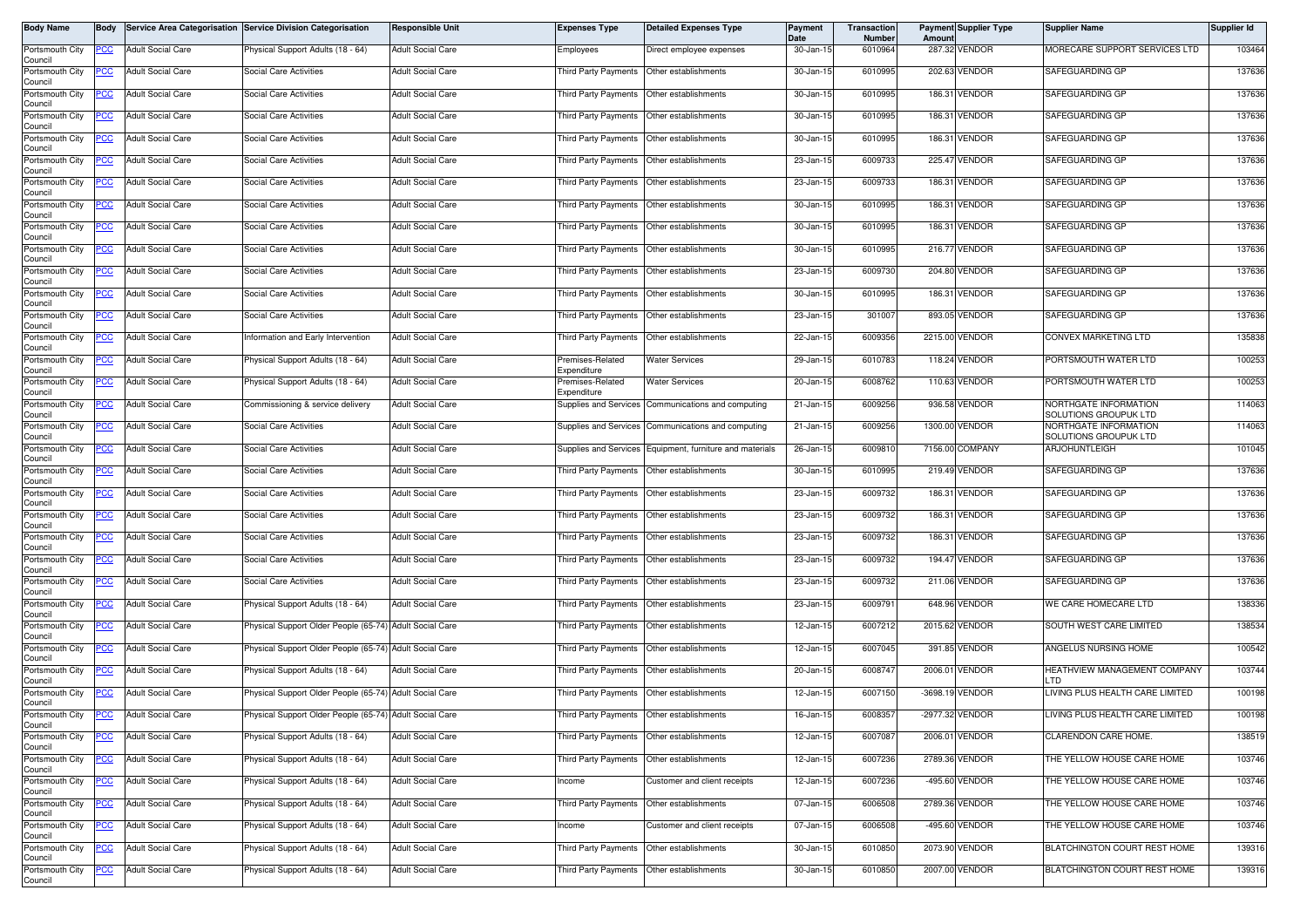| Body Name                  | Body        |                          | Service Area Categorisation Service Division Categorisation | Responsible Unit         | <b>Expenses Type</b>                        | <b>Detailed Expenses Type</b>                      | Payment<br>Date | Transaction<br>Number | Amount | <b>Payment Supplier Type</b> | <b>Supplier Name</b>                           | Supplier Id |
|----------------------------|-------------|--------------------------|-------------------------------------------------------------|--------------------------|---------------------------------------------|----------------------------------------------------|-----------------|-----------------------|--------|------------------------------|------------------------------------------------|-------------|
| Portsmouth City<br>Council | PCC         | <b>Adult Social Care</b> | Physical Support Adults (18 - 64)                           | <b>Adult Social Care</b> | Employees                                   | Direct employee expenses                           | 30-Jan-15       | 6010964               |        | 287.32 VENDOR                | MORECARE SUPPORT SERVICES LTD                  | 103464      |
| Portsmouth City<br>Council | PCC         | <b>Adult Social Care</b> | Social Care Activities                                      | <b>Adult Social Care</b> | Third Party Payments   Other establishments |                                                    | 30-Jan-15       | 6010995               |        | 202.63 VENDOR                | SAFEGUARDING GP                                | 137636      |
| Portsmouth City<br>Council | <u>CC </u>  | <b>Adult Social Care</b> | Social Care Activities                                      | <b>Adult Social Care</b> | Third Party Payments   Other establishments |                                                    | 30-Jan-15       | 6010995               |        | 186.31 VENDOR                | SAFEGUARDING GP                                | 137636      |
| Portsmouth City<br>Council | <u>PCC</u>  | <b>Adult Social Care</b> | Social Care Activities                                      | <b>Adult Social Care</b> | Third Party Payments                        | Other establishments                               | 30-Jan-15       | 6010995               |        | 186.31 VENDOR                | SAFEGUARDING GP                                | 137636      |
| Portsmouth City<br>Council | <u>PCC</u>  | <b>Adult Social Care</b> | <b>Social Care Activities</b>                               | <b>Adult Social Care</b> | Third Party Payments                        | Other establishments                               | 30-Jan-15       | 6010995               |        | 186.31 VENDOR                | SAFEGUARDING GP                                | 137636      |
| Portsmouth City<br>Council |             | <b>Adult Social Care</b> | Social Care Activities                                      | <b>Adult Social Care</b> | Third Party Payments                        | Other establishments                               | 23-Jan-15       | 6009733               |        | 225.47 VENDOR                | SAFEGUARDING GP                                | 137636      |
| Portsmouth City<br>Council | <u>PCC</u>  | <b>Adult Social Care</b> | Social Care Activities                                      | <b>Adult Social Care</b> | Third Party Payments Other establishments   |                                                    | 23-Jan-15       | 6009733               |        | 186.31 VENDOR                | SAFEGUARDING GP                                | 137636      |
| Portsmouth City<br>Council | <u>PCC</u>  | <b>Adult Social Care</b> | Social Care Activities                                      | <b>Adult Social Care</b> | Third Party Payments                        | Other establishments                               | 30-Jan-15       | 6010995               |        | 186.31 VENDOR                | SAFEGUARDING GP                                | 137636      |
| Portsmouth City<br>Council | <u>PCC</u>  | <b>Adult Social Care</b> | <b>Social Care Activities</b>                               | <b>Adult Social Care</b> | <b>Third Party Payments</b>                 | Other establishments                               | 30-Jan-15       | 6010995               |        | 186.31 VENDOR                | SAFEGUARDING GP                                | 137636      |
| Portsmouth City<br>Council | PСC         | <b>Adult Social Care</b> | Social Care Activities                                      | <b>Adult Social Care</b> | Third Party Payments                        | Other establishments                               | 30-Jan-15       | 6010995               |        | 216.77 VENDOR                | SAFEGUARDING GP                                | 137636      |
| Portsmouth City<br>Council | <u>PCC</u>  | <b>Adult Social Care</b> | Social Care Activities                                      | <b>Adult Social Care</b> | Third Party Payments                        | Other establishments                               | 23-Jan-15       | 6009730               |        | 204.80 VENDOR                | SAFEGUARDING GP                                | 137636      |
| Portsmouth City<br>Council | <u>PCC </u> | <b>Adult Social Care</b> | Social Care Activities                                      | <b>Adult Social Care</b> | Third Party Payments                        | Other establishments                               | 30-Jan-15       | 6010995               |        | 186.31 VENDOR                | SAFEGUARDING GP                                | 137636      |
| Portsmouth City<br>Council | <u>PCC</u>  | <b>Adult Social Care</b> | <b>Social Care Activities</b>                               | <b>Adult Social Care</b> | Third Party Payments                        | Other establishments                               | 23-Jan-15       | 301007                |        | 893.05 VENDOR                | SAFEGUARDING GP                                | 137636      |
| Portsmouth City<br>Council | <u>CC </u>  | <b>Adult Social Care</b> | nformation and Early Intervention                           | <b>Adult Social Care</b> | Third Party Payments                        | Other establishments                               | 22-Jan-15       | 6009356               |        | 2215.00 VENDOR               | CONVEX MARKETING LTD                           | 135838      |
| Portsmouth City<br>Council | <u>PCC</u>  | <b>Adult Social Care</b> | Physical Support Adults (18 - 64)                           | <b>Adult Social Care</b> | remises-Related<br>Expenditure              | <b>Water Services</b>                              | 29-Jan-15       | 6010783               |        | 118.24 VENDOR                | PORTSMOUTH WATER LTD                           | 100253      |
| Portsmouth City<br>Council | <u>PCC</u>  | <b>Adult Social Care</b> | Physical Support Adults (18 - 64)                           | <b>Adult Social Care</b> | remises-Related<br>Expenditure              | <b>Water Services</b>                              | 20-Jan-15       | 6008762               |        | 110.63 VENDOR                | PORTSMOUTH WATER LTD                           | 100253      |
| Portsmouth City<br>Council | <u>PCC</u>  | <b>Adult Social Care</b> | Commissioning & service delivery                            | <b>Adult Social Care</b> | Supplies and Services                       | Communications and computing                       | 21-Jan-15       | 6009256               |        | 936.58 VENDOR                | NORTHGATE INFORMATION<br>SOLUTIONS GROUPUK LTD | 114063      |
| Portsmouth City<br>Council | PCC         | <b>Adult Social Care</b> | Social Care Activities                                      | <b>Adult Social Care</b> |                                             | Supplies and Services Communications and computing | 21-Jan-15       | 6009256               |        | 1300.00 VENDOR               | NORTHGATE INFORMATION<br>SOLUTIONS GROUPUK LTD | 114063      |
| Portsmouth City<br>Council | <u>cc</u>   | <b>Adult Social Care</b> | <b>Social Care Activities</b>                               | <b>Adult Social Care</b> | Supplies and Services                       | Equipment, furniture and materials                 | 26-Jan-15       | 6009810               |        | 7156.00 COMPANY              | <b>ARJOHUNTLEIGH</b>                           | 101045      |
| Portsmouth City<br>Council | PСC         | <b>Adult Social Care</b> | Social Care Activities                                      | <b>Adult Social Care</b> | Third Party Payments                        | Other establishments                               | 30-Jan-15       | 6010995               |        | 219.49 VENDOR                | SAFEGUARDING GP                                | 137636      |
| Portsmouth City<br>Council | <u>PCC</u>  | <b>Adult Social Care</b> | <b>Social Care Activities</b>                               | <b>Adult Social Care</b> | <b>Third Party Payments</b>                 | Other establishments                               | 23-Jan-15       | 6009732               |        | 186.31 VENDOR                | SAFEGUARDING GP                                | 137636      |
| Portsmouth City<br>Council | PСC         | <b>Adult Social Care</b> | Social Care Activities                                      | <b>Adult Social Care</b> | Third Party Payments                        | Other establishments                               | 23-Jan-15       | 6009732               |        | 186.31 VENDOR                | SAFEGUARDING GP                                | 137636      |
| Portsmouth City<br>Council | PСC         | <b>Adult Social Care</b> | Social Care Activities                                      | <b>Adult Social Care</b> | Third Party Payments                        | Other establishments                               | 23-Jan-15       | 6009732               |        | 186.31 VENDOR                | SAFEGUARDING GP                                | 137636      |
| Portsmouth City<br>Council | <u>PCC</u>  | <b>Adult Social Care</b> | Social Care Activities                                      | <b>Adult Social Care</b> | Third Party Payments Other establishments   |                                                    | 23-Jan-15       | 6009732               |        | 194.47 VENDOR                | SAFEGUARDING GP                                | 137636      |
| Portsmouth City<br>Council | <u>PCC</u>  | <b>Adult Social Care</b> | Social Care Activities                                      | <b>Adult Social Care</b> | Third Party Payments                        | Other establishments                               | 23-Jan-1        | 6009732               |        | 211.06 VENDOR                | SAFEGUARDING GP                                | 137636      |
| Portsmouth City<br>Council | PCC         | <b>Adult Social Care</b> | Physical Support Adults (18 - 64)                           | <b>Adult Social Care</b> | Third Party Payments                        | Other establishments                               | 23-Jan-15       | 6009791               |        | 648.96 VENDOR                | WE CARE HOMECARE LTD                           | 138336      |
| Portsmouth City<br>Council | PCC         | <b>Adult Social Care</b> | Physical Support Older People (65-74) Adult Social Care     |                          | Third Party Payments                        | Other establishments                               | 12-Jan-15       | 6007212               |        | 2015.62 VENDOR               | SOUTH WEST CARE LIMITED                        | 138534      |
| Portsmouth City<br>Council | <u>PCC</u>  | <b>Adult Social Care</b> | Physical Support Older People (65-74) Adult Social Care     |                          | Third Party Payments Other establishments   |                                                    | 12-Jan-15       | 6007045               |        | 391.85 VENDOR                | ANGELUS NURSING HOME                           | 100542      |
| Portsmouth City<br>Council | <u>'CC</u>  | <b>Adult Social Care</b> | Physical Support Adults (18 - 64)                           | <b>Adult Social Care</b> | Third Party Payments                        | Other establishments                               | 20-Jan-15       | 6008747               |        | 2006.01 VENDOR               | HEATHVIEW MANAGEMENT COMPANY<br>חד ו           | 103744      |
| Portsmouth City<br>Council | <u>PCC</u>  | <b>Adult Social Care</b> | Physical Support Older People (65-74) Adult Social Care     |                          | <b>Third Party Payments</b>                 | Other establishments                               | 12-Jan-15       | 6007150               |        | -3698.19 VENDOR              | LIVING PLUS HEALTH CARE LIMITED                | 100198      |
| Portsmouth City<br>Council | <b>PCC</b>  | <b>Adult Social Care</b> | Physical Support Older People (65-74) Adult Social Care     |                          | Third Party Payments   Other establishments |                                                    | 16-Jan-15       | 6008357               |        | -2977.32 VENDOR              | LIVING PLUS HEALTH CARE LIMITED                | 100198      |
| Portsmouth City<br>Council | <u>PCC</u>  | <b>Adult Social Care</b> | Physical Support Adults (18 - 64)                           | <b>Adult Social Care</b> | <b>Third Party Payments</b>                 | Other establishments                               | 12-Jan-15       | 6007087               |        | 2006.01 VENDOR               | CLARENDON CARE HOME.                           | 138519      |
| Portsmouth City<br>Council | <u>PCC</u>  | <b>Adult Social Care</b> | Physical Support Adults (18 - 64)                           | <b>Adult Social Care</b> | Third Party Payments                        | Other establishments                               | 12-Jan-15       | 6007236               |        | 2789.36 VENDOR               | THE YELLOW HOUSE CARE HOME                     | 103746      |
| Portsmouth City<br>Council | <u>PCC</u>  | <b>Adult Social Care</b> | Physical Support Adults (18 - 64)                           | <b>Adult Social Care</b> | Income                                      | Customer and client receipts                       | 12-Jan-15       | 6007236               |        | -495.60 VENDOR               | THE YELLOW HOUSE CARE HOME                     | 103746      |
| Portsmouth City<br>Council | PСC         | Adult Social Care        | Physical Support Adults (18 - 64)                           | <b>Adult Social Care</b> | Third Party Payments                        | Other establishments                               | 07-Jan-15       | 6006508               |        | 2789.36 VENDOR               | THE YELLOW HOUSE CARE HOME                     | 103746      |
| Portsmouth City<br>Council | <u>PCC </u> | <b>Adult Social Care</b> | Physical Support Adults (18 - 64)                           | <b>Adult Social Care</b> | Income                                      | Customer and client receipts                       | 07-Jan-15       | 6006508               |        | -495.60 VENDOR               | THE YELLOW HOUSE CARE HOME                     | 103746      |
| Portsmouth City<br>Council | <u>PCC</u>  | <b>Adult Social Care</b> | Physical Support Adults (18 - 64)                           | <b>Adult Social Care</b> | Third Party Payments                        | Other establishments                               | 30-Jan-15       | 6010850               |        | 2073.90 VENDOR               | BLATCHINGTON COURT REST HOME                   | 139316      |
| Portsmouth City<br>Council | <u>PCC</u>  | <b>Adult Social Care</b> | Physical Support Adults (18 - 64)                           | <b>Adult Social Care</b> | Third Party Payments                        | Other establishments                               | 30-Jan-15       | 6010850               |        | 2007.00 VENDOR               | BLATCHINGTON COURT REST HOME                   | 139316      |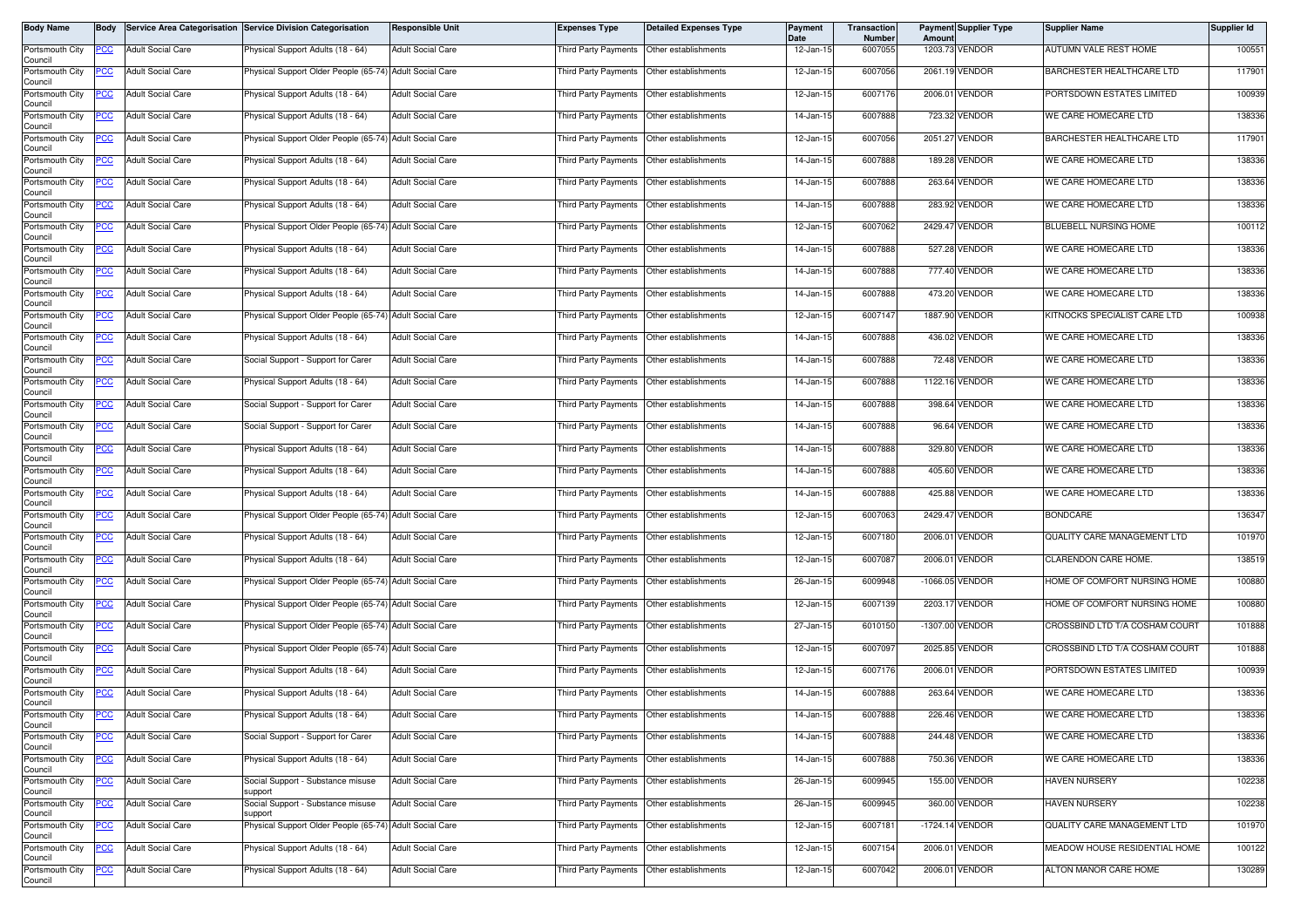| <b>Body Name</b>           | Body        |                          | Service Area Categorisation Service Division Categorisation | <b>Responsible Unit</b>  | <b>Expenses Type</b>                        | <b>Detailed Expenses Type</b>             | Payment<br>Date | Transaction<br>Number | Amount | <b>Payment Supplier Type</b> | <b>Supplier Name</b>           | Supplier Id |
|----------------------------|-------------|--------------------------|-------------------------------------------------------------|--------------------------|---------------------------------------------|-------------------------------------------|-----------------|-----------------------|--------|------------------------------|--------------------------------|-------------|
| Portsmouth City<br>Council | PCC         | <b>Adult Social Care</b> | Physical Support Adults (18 - 64)                           | <b>Adult Social Care</b> | Third Party Payments                        | Other establishments                      | 12-Jan-15       | 6007055               |        | 1203.73 VENDOR               | AUTUMN VALE REST HOME          | 100551      |
| Portsmouth City<br>Council | PCC         | <b>Adult Social Care</b> | Physical Support Older People (65-74) Adult Social Care     |                          | Third Party Payments   Other establishments |                                           | 12-Jan-15       | 6007056               |        | 2061.19 VENDOR               | BARCHESTER HEALTHCARE LTD      | 117901      |
| Portsmouth City<br>Council | <u>PCC </u> | <b>Adult Social Care</b> | <sup>9</sup> hysical Support Adults (18 - 64)               | <b>Adult Social Care</b> | Third Party Payments Other establishments   |                                           | 12-Jan-15       | 6007176               |        | 2006.01 VENDOR               | PORTSDOWN ESTATES LIMITED      | 100939      |
| Portsmouth City<br>Council | PCC         | <b>Adult Social Care</b> | Physical Support Adults (18 - 64)                           | <b>Adult Social Care</b> | Third Party Payments                        | Other establishments                      | 14-Jan-15       | 6007888               |        | 723.32 VENDOR                | WE CARE HOMECARE LTD           | 138336      |
| Portsmouth City<br>Council | <u>PCC</u>  | <b>Adult Social Care</b> | Physical Support Older People (65-74) Adult Social Care     |                          | Third Party Payments                        | Other establishments                      | 12-Jan-15       | 6007056               |        | 2051.27 VENDOR               | BARCHESTER HEALTHCARE LTD      | 117901      |
| Portsmouth City<br>Council |             | <b>Adult Social Care</b> | Physical Support Adults (18 - 64)                           | <b>Adult Social Care</b> | Third Party Payments                        | Other establishments                      | 14-Jan-15       | 6007888               |        | 189.28 VENDOR                | WE CARE HOMECARE LTD           | 138336      |
| Portsmouth City<br>Council | <u>PCC</u>  | <b>Adult Social Care</b> | Physical Support Adults (18 - 64)                           | <b>Adult Social Care</b> | Third Party Payments Other establishments   |                                           | 14-Jan-15       | 6007888               |        | 263.64 VENDOR                | WE CARE HOMECARE LTD           | 138336      |
| Portsmouth City<br>Council | <u>PCC</u>  | <b>Adult Social Care</b> | Physical Support Adults (18 - 64)                           | <b>Adult Social Care</b> | Third Party Payments                        | Other establishments                      | 14-Jan-15       | 6007888               |        | 283.92 VENDOR                | WE CARE HOMECARE LTD           | 138336      |
| Portsmouth City<br>Council | <u>PCC</u>  | <b>Adult Social Care</b> | Physical Support Older People (65-74) Adult Social Care     |                          | Third Party Payments                        | Other establishments                      | 12-Jan-15       | 6007062               |        | 2429.47 VENDOR               | BLUEBELL NURSING HOME          | 100112      |
| Portsmouth City<br>Council | PСC         | <b>Adult Social Care</b> | Physical Support Adults (18 - 64)                           | <b>Adult Social Care</b> | Third Party Payments                        | Other establishments                      | 14-Jan-15       | 6007888               |        | 527.28 VENDOR                | WE CARE HOMECARE LTD           | 138336      |
| Portsmouth City<br>Council | <u>PCC</u>  | <b>Adult Social Care</b> | Physical Support Adults (18 - 64)                           | <b>Adult Social Care</b> | Third Party Payments                        | Other establishments                      | 14-Jan-15       | 6007888               |        | 777.40 VENDOR                | WE CARE HOMECARE LTD           | 138336      |
| Portsmouth City<br>Council | <u>PCC</u>  | <b>Adult Social Care</b> | Physical Support Adults (18 - 64)                           | <b>Adult Social Care</b> | Third Party Payments                        | Other establishments                      | 14-Jan-15       | 6007888               |        | 473.20 VENDOR                | WE CARE HOMECARE LTD           | 138336      |
| Portsmouth City<br>Council | <u>PCC</u>  | <b>Adult Social Care</b> | Physical Support Older People (65-74) Adult Social Care     |                          | Third Party Payments                        | Other establishments                      | 12-Jan-15       | 6007147               |        | 1887.90 VENDOR               | KITNOCKS SPECIALIST CARE LTD   | 100938      |
| Portsmouth City<br>Council | <u>PCC </u> | <b>Adult Social Care</b> | Physical Support Adults (18 - 64)                           | <b>Adult Social Care</b> | Third Party Payments                        | Other establishments                      | 14-Jan-15       | 6007888               |        | 436.02 VENDOR                | WE CARE HOMECARE LTD           | 138336      |
| Portsmouth City<br>Council | <u>PCC</u>  | <b>Adult Social Care</b> | Social Support - Support for Carer                          | <b>Adult Social Care</b> | Third Party Payments Other establishments   |                                           | 14-Jan-15       | 6007888               |        | 72.48 VENDOR                 | WE CARE HOMECARE LTD           | 138336      |
| Portsmouth City<br>Council | <u>PCC</u>  | <b>Adult Social Care</b> | Physical Support Adults (18 - 64)                           | <b>Adult Social Care</b> | Third Party Payments                        | Other establishments                      | 14-Jan-15       | 6007888               |        | 1122.16 VENDOR               | WE CARE HOMECARE LTD           | 138336      |
| Portsmouth City<br>Council | <u>PCC</u>  | <b>Adult Social Care</b> | Social Support - Support for Carer                          | <b>Adult Social Care</b> | Third Party Payments                        | Other establishments                      | 14-Jan-15       | 6007888               |        | 398.64 VENDOR                | WE CARE HOMECARE LTD           | 138336      |
| Portsmouth City<br>Council | PCC         | <b>Adult Social Care</b> | Social Support - Support for Carer                          | <b>Adult Social Care</b> | Third Party Payments                        | Other establishments                      | 14-Jan-15       | 6007888               |        | 96.64 VENDOR                 | WE CARE HOMECARE LTD           | 138336      |
| Portsmouth City<br>Council | <u>cc</u>   | <b>Adult Social Care</b> | Physical Support Adults (18 - 64)                           | <b>Adult Social Care</b> | Third Party Payments                        | Other establishments                      | 14-Jan-15       | 6007888               |        | 329.80 VENDOR                | WE CARE HOMECARE LTD           | 138336      |
| Portsmouth City<br>Council | PСC         | <b>Adult Social Care</b> | Physical Support Adults (18 - 64)                           | <b>Adult Social Care</b> | Third Party Payments                        | Other establishments                      | 14-Jan-15       | 6007888               |        | 405.60 VENDOR                | WE CARE HOMECARE LTD           | 138336      |
| Portsmouth City<br>Council | <u>PCC</u>  | <b>Adult Social Care</b> | Physical Support Adults (18 - 64)                           | <b>Adult Social Care</b> | Third Party Payments                        | Other establishments                      | 14-Jan-15       | 6007888               |        | 425.88 VENDOR                | WE CARE HOMECARE LTD           | 138336      |
| Portsmouth City<br>Council | PCC         | <b>Adult Social Care</b> | Physical Support Older People (65-74)                       | <b>Adult Social Care</b> | Third Party Payments                        | Other establishments                      | 12-Jan-15       | 6007063               |        | 2429.47 VENDOR               | <b>BONDCARE</b>                | 136347      |
| Portsmouth City<br>Council | PСC         | <b>Adult Social Care</b> | Physical Support Adults (18 - 64)                           | <b>Adult Social Care</b> | Third Party Payments                        | Other establishments                      | 12-Jan-15       | 6007180               |        | 2006.01 VENDOR               | QUALITY CARE MANAGEMENT LTD    | 101970      |
| Portsmouth City<br>Council | <u>PCC</u>  | <b>Adult Social Care</b> | hysical Support Adults (18 - 64)                            | <b>Adult Social Care</b> | Third Party Payments Other establishments   |                                           | 12-Jan-15       | 6007087               |        | 2006.01 VENDOR               | CLARENDON CARE HOME.           | 138519      |
| Portsmouth City<br>Council | <u>PCC</u>  | <b>Adult Social Care</b> | Physical Support Older People (65-74) Adult Social Care     |                          | Third Party Payments                        | Other establishments                      | 26-Jan-15       | 6009948               |        | -1066.05 VENDOR              | HOME OF COMFORT NURSING HOME   | 100880      |
| Portsmouth City<br>Council | PCC         | <b>Adult Social Care</b> | Physical Support Older People (65-74) Adult Social Care     |                          | Third Party Payments   Other establishments |                                           | 12-Jan-15       | 6007139               |        | 2203.17 VENDOR               | HOME OF COMFORT NURSING HOME   | 100880      |
| Portsmouth City<br>Council | <u>PCC</u>  | <b>Adult Social Care</b> | Physical Support Older People (65-74) Adult Social Care     |                          | Third Party Payments                        | Other establishments                      | 27-Jan-15       | 6010150               |        | -1307.00 VENDOR              | CROSSBIND LTD T/A COSHAM COURT | 101888      |
| Portsmouth City<br>Council | <u>PCC</u>  | <b>Adult Social Care</b> | Physical Support Older People (65-74) Adult Social Care     |                          | Third Party Payments Other establishments   |                                           | 12-Jan-15       | 6007097               |        | 2025.85 VENDOR               | CROSSBIND LTD T/A COSHAM COURT | 101888      |
| Portsmouth City<br>Council | <u>CC</u>   | <b>Adult Social Care</b> | Physical Support Adults (18 - 64)                           | <b>Adult Social Care</b> | Third Party Payments                        | Other establishments                      | 12-Jan-15       | 6007176               |        | 2006.01 VENDOR               | PORTSDOWN ESTATES LIMITED      | 100939      |
| Portsmouth City<br>Council | <u>PCC</u>  | <b>Adult Social Care</b> | Physical Support Adults (18 - 64)                           | <b>Adult Social Care</b> | Third Party Payments                        | Other establishments                      | 14-Jan-15       | 6007888               |        | 263.64 VENDOR                | WE CARE HOMECARE LTD           | 138336      |
| Portsmouth City<br>Council | <b>PCC</b>  | <b>Adult Social Care</b> | Physical Support Adults (18 - 64)                           | <b>Adult Social Care</b> | Third Party Payments Other establishments   |                                           | 14-Jan-15       | 6007888               |        | 226.46 VENDOR                | WE CARE HOMECARE LTD           | 138336      |
| Portsmouth City<br>Council | <u>PCC</u>  | <b>Adult Social Care</b> | Social Support - Support for Carer                          | <b>Adult Social Care</b> | <b>Third Party Payments</b>                 | Other establishments                      | 14-Jan-15       | 6007888               |        | 244.48 VENDOR                | WE CARE HOMECARE LTD           | 138336      |
| Portsmouth City<br>Council | <u>PCC</u>  | <b>Adult Social Care</b> | Physical Support Adults (18 - 64)                           | <b>Adult Social Care</b> | Third Party Payments                        | Other establishments                      | 14-Jan-15       | 6007888               |        | 750.36 VENDOR                | WE CARE HOMECARE LTD           | 138336      |
| Portsmouth City<br>Council | <u>PCC</u>  | <b>Adult Social Care</b> | Social Support - Substance misuse<br>support                | <b>Adult Social Care</b> | Third Party Payments Other establishments   |                                           | 26-Jan-15       | 6009945               |        | 155.00 VENDOR                | <b>HAVEN NURSERY</b>           | 102238      |
| Portsmouth City<br>Council | PСC         | Adult Social Care        | Social Support - Substance misuse<br>support                | <b>Adult Social Care</b> | Third Party Payments                        | Other establishments                      | 26-Jan-15       | 6009945               |        | 360.00 VENDOR                | <b>HAVEN NURSERY</b>           | 102238      |
| Portsmouth City<br>Council | <u>PCC </u> | <b>Adult Social Care</b> | Physical Support Older People (65-74) Adult Social Care     |                          |                                             | Third Party Payments Other establishments | 12-Jan-15       | 6007181               |        | -1724.14 VENDOR              | QUALITY CARE MANAGEMENT LTD    | 101970      |
| Portsmouth City<br>Council | <u>PCC</u>  | <b>Adult Social Care</b> | Physical Support Adults (18 - 64)                           | <b>Adult Social Care</b> | Third Party Payments                        | Other establishments                      | 12-Jan-15       | 6007154               |        | 2006.01 VENDOR               | MEADOW HOUSE RESIDENTIAL HOME  | 100122      |
| Portsmouth City<br>Council | <u>PCC</u>  | <b>Adult Social Care</b> | Physical Support Adults (18 - 64)                           | <b>Adult Social Care</b> | Third Party Payments                        | Other establishments                      | 12-Jan-15       | 6007042               |        | 2006.01 VENDOR               | ALTON MANOR CARE HOME          | 130289      |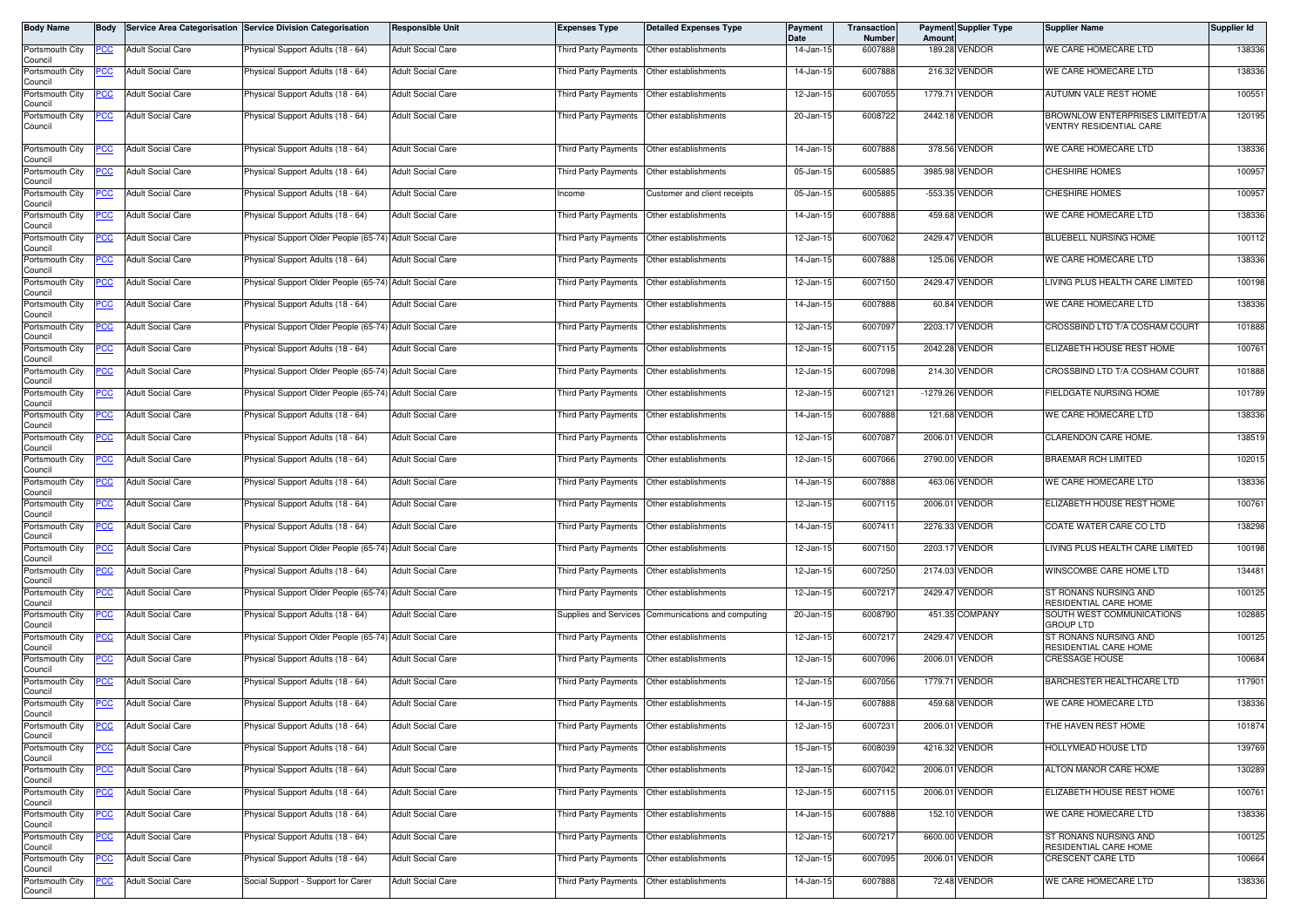| <b>Body Name</b>                      | <b>Body</b> |                          | Service Area Categorisation Service Division Categorisation | <b>Responsible Unit</b>  | <b>Expenses Type</b>                        | <b>Detailed Expenses Type</b>                      | Payment<br>Date | Transaction<br>Number | Amoun      | <b>Payment Supplier Type</b> | <b>Supplier Name</b>                                       | Supplier Id |
|---------------------------------------|-------------|--------------------------|-------------------------------------------------------------|--------------------------|---------------------------------------------|----------------------------------------------------|-----------------|-----------------------|------------|------------------------------|------------------------------------------------------------|-------------|
| Portsmouth City<br>Council            | <u>PCC</u>  | <b>Adult Social Care</b> | Physical Support Adults (18 - 64)                           | <b>Adult Social Care</b> | Third Party Payments                        | Other establishments                               | 14-Jan-15       | 6007888               | 189.28     | <b>VENDOR</b>                | WE CARE HOMECARE LTD                                       | 138336      |
| Portsmouth City<br>Council            | <u>PCC</u>  | <b>Adult Social Care</b> | Physical Support Adults (18 - 64)                           | <b>Adult Social Care</b> | Third Party Payments  Other establishments  |                                                    | 14-Jan-15       | 6007888               |            | 216.32 VENDOR                | WE CARE HOMECARE LTD                                       | 138336      |
| Portsmouth City<br>Council            |             | <b>Adult Social Care</b> | Physical Support Adults (18 - 64)                           | <b>Adult Social Care</b> | Third Party Payments Other establishments   |                                                    | 12-Jan-15       | 6007055               |            | 1779.71 VENDOR               | <b>AUTUMN VALE REST HOME</b>                               | 100551      |
| Portsmouth City<br>Council            | <u>PCC</u>  | <b>Adult Social Care</b> | Physical Support Adults (18 - 64)                           | <b>Adult Social Care</b> | Third Party Payments  Other establishments  |                                                    | 20-Jan-15       | 6008722               |            | 2442.18 VENDOR               | BROWNLOW ENTERPRISES LIMITEDT/A<br>VENTRY RESIDENTIAL CARE | 120195      |
| Portsmouth City<br>Council            | <u>PCC</u>  | <b>Adult Social Care</b> | Physical Support Adults (18 - 64)                           | <b>Adult Social Care</b> | Third Party Payments   Other establishments |                                                    | 14-Jan-15       | 6007888               |            | 378.56 VENDOR                | WE CARE HOMECARE LTD                                       | 138336      |
| Portsmouth City<br>Council            | <u>PCC</u>  | <b>Adult Social Care</b> | Physical Support Adults (18 - 64)                           | <b>Adult Social Care</b> | Third Party Payments                        | Other establishments                               | 05-Jan-15       | 6005885               | 3985.98    | /ENDOR                       | <b>CHESHIRE HOMES</b>                                      | 100957      |
| Portsmouth City<br>Council            | <u>PCC</u>  | <b>Adult Social Care</b> | Physical Support Adults (18 - 64)                           | <b>Adult Social Care</b> | Income                                      | Customer and client receipts                       | 05-Jan-15       | 6005885               |            | -553.35 VENDOR               | <b>CHESHIRE HOMES</b>                                      | 100957      |
| Portsmouth City<br>Council            | <u>PCC</u>  | <b>Adult Social Care</b> | Physical Support Adults (18 - 64)                           | <b>Adult Social Care</b> | Third Party Payments                        | Other establishments                               | 14-Jan-15       | 6007888               | 459.68     | /ENDOR                       | WE CARE HOMECARE LTD                                       | 138336      |
| Portsmouth City<br>Council            | <u>PCC</u>  | <b>Adult Social Care</b> | Physical Support Older People (65-74) Adult Social Care     |                          | Third Party Payments  Other establishments  |                                                    | 12-Jan-15       | 6007062               |            | 2429.47 VENDOR               | BLUEBELL NURSING HOME                                      | 100112      |
| Portsmouth City<br>Council            | <u>PCC</u>  | <b>Adult Social Care</b> | Physical Support Adults (18 - 64)                           | <b>Adult Social Care</b> | Third Party Payments                        | Other establishments                               | 14-Jan-15       | 6007888               |            | 125.06 VENDOR                | WE CARE HOMECARE LTD                                       | 138336      |
| Portsmouth City<br>Council            | <u>PCC</u>  | <b>Adult Social Care</b> | Physical Support Older People (65-74) Adult Social Care     |                          | Third Party Payments                        | Other establishments                               | 12-Jan-15       | 6007150               |            | 2429.47 VENDOR               | LIVING PLUS HEALTH CARE LIMITED                            | 100198      |
| Portsmouth City<br>Council            | PCC         | <b>Adult Social Care</b> | Physical Support Adults (18 - 64)                           | <b>Adult Social Care</b> | Third Party Payments                        | Other establishments                               | 14-Jan-15       | 6007888               |            | 60.84 VENDOR                 | WE CARE HOMECARE LTD                                       | 138336      |
| Portsmouth City<br>Council            | <u>PCC </u> | <b>Adult Social Care</b> | Physical Support Older People (65-74) Adult Social Care     |                          | Third Party Payments                        | Other establishments                               | 12-Jan-15       | 6007097               |            | 2203.17 VENDOR               | CROSSBIND LTD T/A COSHAM COURT                             | 101888      |
| Portsmouth City<br>Council            | <u>PCC</u>  | <b>Adult Social Care</b> | Physical Support Adults (18 - 64)                           | <b>Adult Social Care</b> | Third Party Payments   Other establishments |                                                    | 12-Jan-15       | 6007115               |            | 2042.28 VENDOR               | ELIZABETH HOUSE REST HOME                                  | 100761      |
| Portsmouth City<br>Council            | <u>PCC</u>  | <b>Adult Social Care</b> | Physical Support Older People (65-74) Adult Social Care     |                          | Third Party Payments  Other establishments  |                                                    | 12-Jan-15       | 6007098               |            | 214.30 VENDOR                | CROSSBIND LTD T/A COSHAM COURT                             | 101888      |
| Portsmouth City<br>Council            | <u>PCC</u>  | <b>Adult Social Care</b> | Physical Support Older People (65-74) Adult Social Care     |                          | Third Party Payments                        | Other establishments                               | 12-Jan-15       | 6007121               | $-1279.26$ | <b>VENDOR</b>                | FIELDGATE NURSING HOME                                     | 101789      |
| Portsmouth City<br>Council            | <u>PCC</u>  | <b>Adult Social Care</b> | Physical Support Adults (18 - 64)                           | <b>Adult Social Care</b> | Third Party Payments                        | Other establishments                               | 14-Jan-15       | 6007888               |            | 121.68 VENDOR                | WE CARE HOMECARE LTD                                       | 138336      |
| Portsmouth City<br>Council            | <u>PCC</u>  | <b>Adult Social Care</b> | Physical Support Adults (18 - 64)                           | <b>Adult Social Care</b> | Third Party Payments                        | Other establishments                               | 12-Jan-15       | 6007087               |            | 2006.01 VENDOR               | CLARENDON CARE HOME.                                       | 138519      |
| Portsmouth City<br>Council            | <u> РСС</u> | <b>Adult Social Care</b> | Physical Support Adults (18 - 64)                           | <b>Adult Social Care</b> | Third Party Payments                        | Other establishments                               | 12-Jan-15       | 6007066               | 2790.00    | /ENDOR                       | BRAEMAR RCH LIMITED                                        | 102015      |
| Portsmouth City<br>Council            | <u>PCC</u>  | <b>Adult Social Care</b> | Physical Support Adults (18 - 64)                           | <b>Adult Social Care</b> | Third Party Payments   Other establishments |                                                    | 14-Jan-15       | 6007888               |            | 463.06 VENDOR                | WE CARE HOMECARE LTD                                       | 138336      |
| Portsmouth City<br>Council            | <u>PCC</u>  | <b>Adult Social Care</b> | Physical Support Adults (18 - 64)                           | <b>Adult Social Care</b> | Third Party Payments                        | Other establishments                               | 12-Jan-15       | 6007115               |            | 2006.01 VENDOR               | ELIZABETH HOUSE REST HOME                                  | 100761      |
| Portsmouth City<br>Council            | PCC         | <b>Adult Social Care</b> | Physical Support Adults (18 - 64)                           | <b>Adult Social Care</b> | Third Party Payments                        | Other establishments                               | 14-Jan-15       | 6007411               |            | 2276.33 VENDOR               | COATE WATER CARE CO LTD                                    | 138298      |
| Portsmouth City<br>Council            | <u>PCC</u>  | <b>Adult Social Care</b> | Physical Support Older People (65-74) Adult Social Care     |                          | <b>Third Party Payments</b>                 | Other establishments                               | 12-Jan-15       | 6007150               |            | 2203.17 VENDOR               | LIVING PLUS HEALTH CARE LIMITED                            | 100198      |
| Portsmouth City<br>Council            | <u>PCC</u>  | <b>Adult Social Care</b> | Physical Support Adults (18 - 64)                           | <b>Adult Social Care</b> | Third Party Payments                        | Other establishments                               | 12-Jan-15       | 6007250               | 2174.03    | <b>ENDOR</b>                 | WINSCOMBE CARE HOME LTD                                    | 134481      |
| Portsmouth City<br>Council            | <u>PCC</u>  | <b>Adult Social Care</b> | Physical Support Older People (65-74) Adult Social Care     |                          | Third Party Payments                        | Other establishments                               | 12-Jan-15       | 6007217               |            | 2429.47 VENDOR               | ST RONANS NURSING AND<br>RESIDENTIAL CARE HOME             | 100125      |
| Portsmouth City<br>Council            | <u>PCC </u> | <b>Adult Social Care</b> | Physical Support Adults (18 - 64)                           | <b>Adult Social Care</b> |                                             | Supplies and Services Communications and computing | 20-Jan-15       | 6008790               |            | 451.35 COMPANY               | SOUTH WEST COMMUNICATIONS<br><b>GROUP LTD</b>              | 102885      |
| Portsmouth City<br>Council            | <u>PCC</u>  | <b>Adult Social Care</b> | Physical Support Older People (65-74) Adult Social Care     |                          | Third Party Payments   Other establishments |                                                    | 12-Jan-15       | 6007217               |            | 2429.47 VENDOR               | ST RONANS NURSING AND<br>RESIDENTIAL CARE HOME             | 100125      |
| Portsmouth City<br>Council            | <u>PCC</u>  | <b>Adult Social Care</b> | Physical Support Adults (18 - 64)                           | <b>Adult Social Care</b> | Third Party Payments  Other establishments  |                                                    | 12-Jan-15       | 6007096               |            | 2006.01 VENDOR               | <b>CRESSAGE HOUSE</b>                                      | 100684      |
| Portsmouth City<br>Council            | <u>PCC</u>  | <b>Adult Social Care</b> | Physical Support Adults (18 - 64)                           | <b>Adult Social Care</b> | Third Party Payments                        | Other establishments                               | 12-Jan-15       | 6007056               |            | 1779.71 VENDOR               | BARCHESTER HEALTHCARE LTD                                  | 117901      |
| Portsmouth City<br>Council            | <u>PCC</u>  | <b>Adult Social Care</b> | Physical Support Adults (18 - 64)                           | <b>Adult Social Care</b> | Third Party Payments  Other establishments  |                                                    | 14-Jan-15       | 6007888               |            | 459.68 VENDOR                | WE CARE HOMECARE LTD                                       | 138336      |
| Portsmouth City<br>Council            |             | <b>Adult Social Care</b> | Physical Support Adults (18 - 64)                           | <b>Adult Social Care</b> | Third Party Payments   Other establishments |                                                    | 12-Jan-15       | 6007231               |            | 2006.01 VENDOR               | THE HAVEN REST HOME                                        | 101874      |
| Portsmouth City<br>Council            | <u>PCC</u>  | <b>Adult Social Care</b> | Physical Support Adults (18 - 64)                           | <b>Adult Social Care</b> | Third Party Payments   Other establishments |                                                    | 15-Jan-15       | 6008039               |            | 4216.32 VENDOR               | HOLLYMEAD HOUSE LTD                                        | 139769      |
| Portsmouth City<br>Council            | <u>PCC</u>  | <b>Adult Social Care</b> | Physical Support Adults (18 - 64)                           | <b>Adult Social Care</b> | Third Party Payments Other establishments   |                                                    | 12-Jan-15       | 6007042               |            | 2006.01 VENDOR               | ALTON MANOR CARE HOME                                      | 130289      |
| Portsmouth City                       | <u>PCC</u>  | <b>Adult Social Care</b> | Physical Support Adults (18 - 64)                           | <b>Adult Social Care</b> | Third Party Payments Other establishments   |                                                    | 12-Jan-15       | 6007115               |            | 2006.01 VENDOR               | ELIZABETH HOUSE REST HOME                                  | 100761      |
| Council<br>Portsmouth City<br>Council | <u>PCC</u>  | <b>Adult Social Care</b> | Physical Support Adults (18 - 64)                           | <b>Adult Social Care</b> | Third Party Payments                        | Other establishments                               | 14-Jan-15       | 6007888               |            | 152.10 VENDOR                | WE CARE HOMECARE LTD                                       | 138336      |
| Portsmouth City                       | <u>PCC</u>  | <b>Adult Social Care</b> | Physical Support Adults (18 - 64)                           | <b>Adult Social Care</b> | Third Party Payments Other establishments   |                                                    | 12-Jan-15       | 6007217               |            | 6600.00 VENDOR               | ST RONANS NURSING AND<br>RESIDENTIAL CARE HOME             | 100125      |
| Council<br>Portsmouth City<br>Council | <u>PCC</u>  | <b>Adult Social Care</b> | Physical Support Adults (18 - 64)                           | <b>Adult Social Care</b> | Third Party Payments                        | Other establishments                               | 12-Jan-15       | 6007095               |            | 2006.01 VENDOR               | <b>CRESCENT CARE LTD</b>                                   | 100664      |
| Portsmouth City<br>Council            | <u>PCC</u>  | <b>Adult Social Care</b> | Social Support - Support for Carer                          | <b>Adult Social Care</b> | Third Party Payments Other establishments   |                                                    | 14-Jan-15       | 6007888               |            | 72.48 VENDOR                 | WE CARE HOMECARE LTD                                       | 138336      |
|                                       |             |                          |                                                             |                          |                                             |                                                    |                 |                       |            |                              |                                                            |             |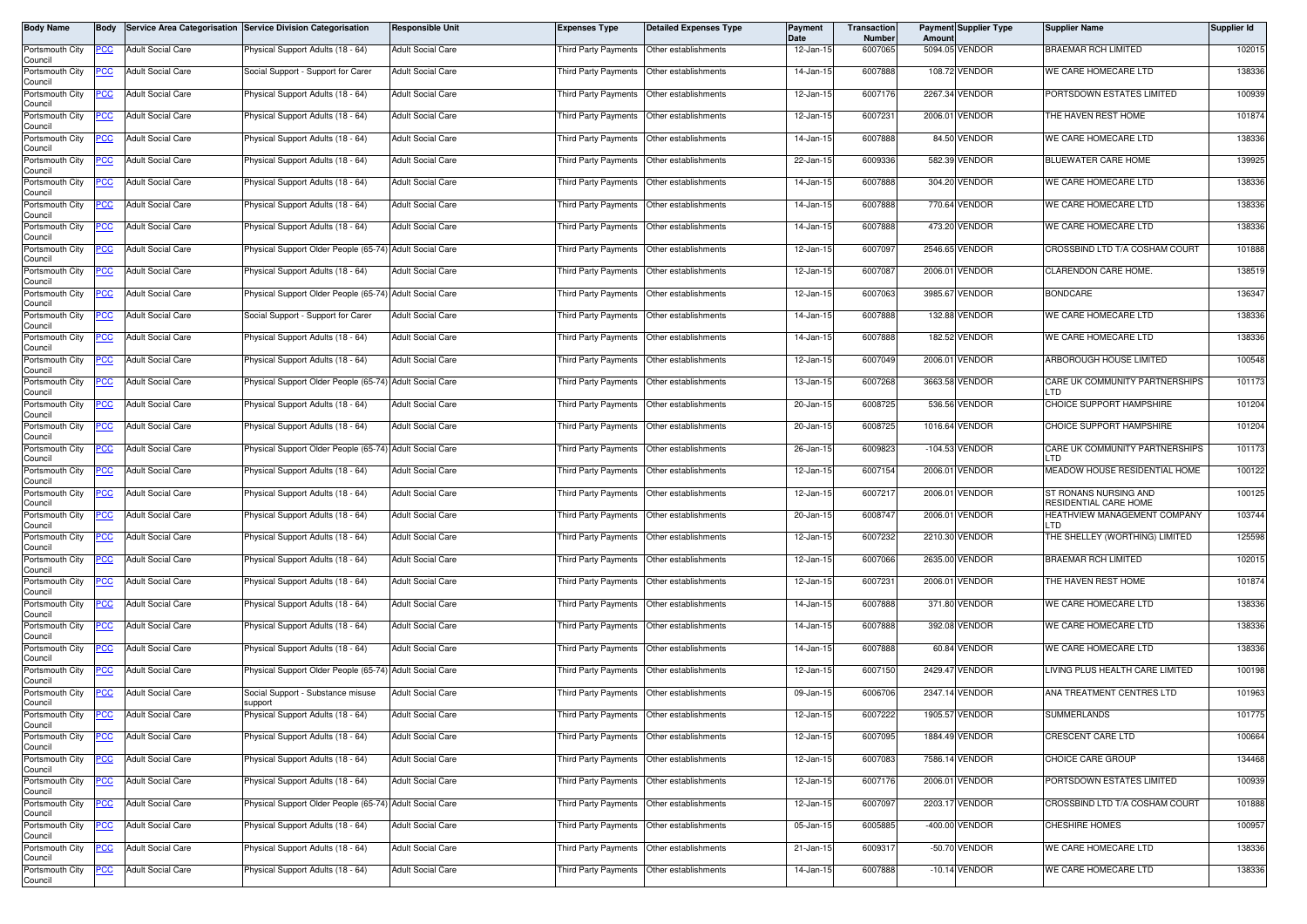| Body Name                  | Body        |                          | Service Area Categorisation Service Division Categorisation | Responsible Unit         | <b>Expenses Type</b>                        | <b>Detailed Expenses Type</b>             | Payment<br>Date | Transaction<br>Number | Amoun | <b>Payment Supplier Type</b> | <b>Supplier Name</b>                           | Supplier Id |
|----------------------------|-------------|--------------------------|-------------------------------------------------------------|--------------------------|---------------------------------------------|-------------------------------------------|-----------------|-----------------------|-------|------------------------------|------------------------------------------------|-------------|
| Portsmouth City<br>Council | PCC         | <b>Adult Social Care</b> | Physical Support Adults (18 - 64)                           | <b>Adult Social Care</b> | <b>Third Party Payments</b>                 | Other establishments                      | 12-Jan-15       | 6007065               |       | 5094.05 VENDOR               | BRAEMAR RCH LIMITED                            | 102015      |
| Portsmouth City<br>Council | PCC         | <b>Adult Social Care</b> | Social Support - Support for Carer                          | <b>Adult Social Care</b> | Third Party Payments   Other establishments |                                           | 14-Jan-15       | 6007888               |       | 108.72 VENDOR                | WE CARE HOMECARE LTD                           | 138336      |
| Portsmouth City<br>Council | <u>PCC </u> | <b>Adult Social Care</b> | <sup>9</sup> hysical Support Adults (18 - 64)               | <b>Adult Social Care</b> | Third Party Payments                        | Other establishments                      | 12-Jan-15       | 6007176               |       | 2267.34 VENDOR               | PORTSDOWN ESTATES LIMITED                      | 100939      |
| Portsmouth City<br>Council | <u>PCC</u>  | <b>Adult Social Care</b> | Physical Support Adults (18 - 64)                           | <b>Adult Social Care</b> | Third Party Payments                        | Other establishments                      | 12-Jan-15       | 6007231               |       | 2006.01 VENDOR               | THE HAVEN REST HOME                            | 101874      |
| Portsmouth City<br>Council | <u>PCC</u>  | <b>Adult Social Care</b> | Physical Support Adults (18 - 64)                           | <b>Adult Social Care</b> | <b>Third Party Payments</b>                 | Other establishments                      | 14-Jan-15       | 6007888               |       | 84.50 VENDOR                 | WE CARE HOMECARE LTD                           | 138336      |
| Portsmouth City<br>Council | <u>PCC</u>  | <b>Adult Social Care</b> | Physical Support Adults (18 - 64)                           | <b>Adult Social Care</b> | Third Party Payments                        | Other establishments                      | 22-Jan-15       | 6009336               |       | 582.39 VENDOR                | BLUEWATER CARE HOME                            | 139925      |
| Portsmouth City<br>Council | <u>PCC</u>  | <b>Adult Social Care</b> | Physical Support Adults (18 - 64)                           | <b>Adult Social Care</b> | Third Party Payments   Other establishments |                                           | 14-Jan-15       | 6007888               |       | 304.20 VENDOR                | WE CARE HOMECARE LTD                           | 138336      |
| Portsmouth City<br>Council | <u>PCC</u>  | <b>Adult Social Care</b> | Physical Support Adults (18 - 64)                           | <b>Adult Social Care</b> | Third Party Payments                        | Other establishments                      | 14-Jan-15       | 6007888               |       | 770.64 VENDOR                | WE CARE HOMECARE LTD                           | 138336      |
| Portsmouth City<br>Council | <u>PCC</u>  | <b>Adult Social Care</b> | Physical Support Adults (18 - 64)                           | <b>Adult Social Care</b> | Third Party Payments                        | Other establishments                      | 14-Jan-15       | 6007888               |       | 473.20 VENDOR                | WE CARE HOMECARE LTD                           | 138336      |
| Portsmouth City<br>Council | PСC         | <b>Adult Social Care</b> | Physical Support Older People (65-74) Adult Social Care     |                          | Third Party Payments                        | Other establishments                      | 12-Jan-15       | 6007097               |       | 2546.65 VENDOR               | CROSSBIND LTD T/A COSHAM COURT                 | 101888      |
| Portsmouth City<br>Council | <u>PCC</u>  | <b>Adult Social Care</b> | Physical Support Adults (18 - 64)                           | <b>Adult Social Care</b> | Third Party Payments                        | Other establishments                      | 12-Jan-15       | 6007087               |       | 2006.01 VENDOR               | CLARENDON CARE HOME.                           | 138519      |
| Portsmouth City<br>Council | <u>PCC </u> | <b>Adult Social Care</b> | Physical Support Older People (65-74) Adult Social Care     |                          | Third Party Payments                        | Other establishments                      | 12-Jan-15       | 6007063               |       | 3985.67 VENDOR               | <b>BONDCARE</b>                                | 136347      |
| Portsmouth City<br>Council | <u>PCC</u>  | <b>Adult Social Care</b> | Social Support - Support for Carer                          | <b>Adult Social Care</b> | Third Party Payments                        | Other establishments                      | 14-Jan-15       | 6007888               |       | 132.88 VENDOR                | WE CARE HOMECARE LTD                           | 138336      |
| Portsmouth City<br>Council | PСC         | <b>Adult Social Care</b> | Physical Support Adults (18 - 64)                           | <b>Adult Social Care</b> | Third Party Payments                        | Other establishments                      | 14-Jan-15       | 6007888               |       | 182.52 VENDOR                | WE CARE HOMECARE LTD                           | 138336      |
| Portsmouth City<br>Council | <u>PCC</u>  | <b>Adult Social Care</b> | Physical Support Adults (18 - 64)                           | <b>Adult Social Care</b> | Third Party Payments                        | Other establishments                      | 12-Jan-15       | 6007049               |       | 2006.01 VENDOR               | ARBOROUGH HOUSE LIMITED                        | 100548      |
| Portsmouth City<br>Council | <u>PCC</u>  | <b>Adult Social Care</b> | Physical Support Older People (65-74) Adult Social Care     |                          | Third Party Payments                        | Other establishments                      | 13-Jan-15       | 6007268               |       | 3663.58 VENDOR               | CARE UK COMMUNITY PARTNERSHIPS                 | 101173      |
| Portsmouth City<br>Council | <u>PCC</u>  | <b>Adult Social Care</b> | Physical Support Adults (18 - 64)                           | <b>Adult Social Care</b> | Third Party Payments                        | Other establishments                      | 20-Jan-15       | 6008725               |       | 536.56 VENDOR                | CHOICE SUPPORT HAMPSHIRE                       | 101204      |
| Portsmouth City<br>Council | PCC         | <b>Adult Social Care</b> | Physical Support Adults (18 - 64)                           | <b>Adult Social Care</b> | Third Party Payments                        | Other establishments                      | 20-Jan-15       | 6008725               |       | 1016.64 VENDOR               | CHOICE SUPPORT HAMPSHIRE                       | 101204      |
| Portsmouth City<br>Council | <u>cc</u>   | <b>Adult Social Care</b> | hysical Support Older People (65-74) Adult Social Care      |                          | <b>Third Party Payments</b>                 | Other establishments                      | 26-Jan-15       | 6009823               |       | -104.53 VENDOR               | CARE UK COMMUNITY PARTNERSHIPS<br>חד ו         | 101173      |
| Portsmouth City<br>Council | PСC         | <b>Adult Social Care</b> | Physical Support Adults (18 - 64)                           | <b>Adult Social Care</b> | Third Party Payments                        | Other establishments                      | 12-Jan-15       | 6007154               |       | 2006.01 VENDOR               | MEADOW HOUSE RESIDENTIAL HOME                  | 100122      |
| Portsmouth City<br>Council | <u>PCC</u>  | <b>Adult Social Care</b> | Physical Support Adults (18 - 64)                           | <b>Adult Social Care</b> | <b>Third Party Payments</b>                 | Other establishments                      | 12-Jan-15       | 6007217               |       | 2006.01 VENDOR               | ST RONANS NURSING AND<br>RESIDENTIAL CARE HOME | 100125      |
| Portsmouth City<br>Council | PСC         | <b>Adult Social Care</b> | Physical Support Adults (18 - 64)                           | <b>Adult Social Care</b> | Third Party Payments                        | Other establishments                      | 20-Jan-15       | 6008747               |       | 2006.01 VENDOR               | HEATHVIEW MANAGEMENT COMPANY<br>חד ו           | 103744      |
| Portsmouth City<br>Council | PСC         | <b>Adult Social Care</b> | Physical Support Adults (18 - 64)                           | <b>Adult Social Care</b> | Third Party Payments                        | Other establishments                      | 12-Jan-15       | 6007232               |       | 2210.30 VENDOR               | THE SHELLEY (WORTHING) LIMITED                 | 125598      |
| Portsmouth City<br>Council | <u>PCC</u>  | <b>Adult Social Care</b> | hysical Support Adults (18 - 64)                            | <b>Adult Social Care</b> | Third Party Payments Other establishments   |                                           | 12-Jan-15       | 6007066               |       | 2635.00 VENDOR               | <b>BRAEMAR RCH LIMITED</b>                     | 102015      |
| Portsmouth City<br>Council | <u>PCC</u>  | <b>Adult Social Care</b> | Physical Support Adults (18 - 64)                           | <b>Adult Social Care</b> | Third Party Payments                        | Other establishments                      | 12-Jan-15       | 6007231               |       | 2006.01 VENDOR               | THE HAVEN REST HOME                            | 101874      |
| Portsmouth City<br>Council | PCC         | <b>Adult Social Care</b> | Physical Support Adults (18 - 64)                           | <b>Adult Social Care</b> | Third Party Payments                        | Other establishments                      | 14-Jan-15       | 6007888               |       | 371.80 VENDOR                | WE CARE HOMECARE LTD                           | 138336      |
| Portsmouth City<br>Council | PCC         | <b>Adult Social Care</b> | Physical Support Adults (18 - 64)                           | <b>Adult Social Care</b> | Third Party Payments                        | Other establishments                      | 14-Jan-15       | 6007888               |       | 392.08 VENDOR                | WE CARE HOMECARE LTD                           | 138336      |
| Portsmouth City<br>Council | <u>PCC</u>  | <b>Adult Social Care</b> | Physical Support Adults (18 - 64)                           | <b>Adult Social Care</b> | Third Party Payments  Other establishments  |                                           | 14-Jan-15       | 6007888               |       | 60.84 VENDOR                 | WE CARE HOMECARE LTD                           | 138336      |
| Portsmouth City<br>Council | <u>'CC</u>  | <b>Adult Social Care</b> | Physical Support Older People (65-74) Adult Social Care     |                          | Third Party Payments                        | Other establishments                      | 12-Jan-15       | 6007150               |       | 2429.47 VENDOR               | LIVING PLUS HEALTH CARE LIMITED                | 100198      |
| Portsmouth City<br>Council | <u>PCC</u>  | <b>Adult Social Care</b> | Social Support - Substance misuse<br>support                | <b>Adult Social Care</b> | Third Party Payments                        | Other establishments                      | 09-Jan-15       | 6006706               |       | 2347.14 VENDOR               | ANA TREATMENT CENTRES LTD                      | 101963      |
| Portsmouth City<br>Council | <b>PCC</b>  | <b>Adult Social Care</b> | Physical Support Adults (18 - 64)                           | <b>Adult Social Care</b> | Third Party Payments Other establishments   |                                           | 12-Jan-15       | 6007222               |       | 1905.57 VENDOR               | <b>SUMMERLANDS</b>                             | 101775      |
| Portsmouth City<br>Council | <u>PCC</u>  | <b>Adult Social Care</b> | Physical Support Adults (18 - 64)                           | <b>Adult Social Care</b> | Third Party Payments                        | Other establishments                      | 12-Jan-15       | 6007095               |       | 1884.49 VENDOR               | CRESCENT CARE LTD                              | 100664      |
| Portsmouth City<br>Council | <u>PCC</u>  | <b>Adult Social Care</b> | Physical Support Adults (18 - 64)                           | <b>Adult Social Care</b> | Third Party Payments                        | Other establishments                      | 12-Jan-15       | 6007083               |       | 7586.14 VENDOR               | CHOICE CARE GROUP                              | 134468      |
| Portsmouth City<br>Council | <u>PCC</u>  | <b>Adult Social Care</b> | Physical Support Adults (18 - 64)                           | <b>Adult Social Care</b> | Third Party Payments Other establishments   |                                           | 12-Jan-15       | 6007176               |       | 2006.01 VENDOR               | PORTSDOWN ESTATES LIMITED                      | 100939      |
| Portsmouth City<br>Council | PСC         | <b>Adult Social Care</b> | Physical Support Older People (65-74) Adult Social Care     |                          | Third Party Payments                        | Other establishments                      | 12-Jan-15       | 6007097               |       | 2203.17 VENDOR               | CROSSBIND LTD T/A COSHAM COURT                 | 101888      |
| Portsmouth City<br>Council | <u>PCC </u> | <b>Adult Social Care</b> | Physical Support Adults (18 - 64)                           | <b>Adult Social Care</b> |                                             | Third Party Payments Other establishments | 05-Jan-15       | 6005885               |       | -400.00 VENDOR               | <b>CHESHIRE HOMES</b>                          | 100957      |
| Portsmouth City<br>Council | <u>PCC</u>  | <b>Adult Social Care</b> | Physical Support Adults (18 - 64)                           | <b>Adult Social Care</b> | Third Party Payments                        | Other establishments                      | 21-Jan-15       | 6009317               |       | -50.70 VENDOR                | WE CARE HOMECARE LTD                           | 138336      |
| Portsmouth City<br>Council | <u>PCC</u>  | <b>Adult Social Care</b> | Physical Support Adults (18 - 64)                           | <b>Adult Social Care</b> | Third Party Payments                        | Other establishments                      | 14-Jan-15       | 6007888               |       | $-10.14$ VENDOR              | WE CARE HOMECARE LTD                           | 138336      |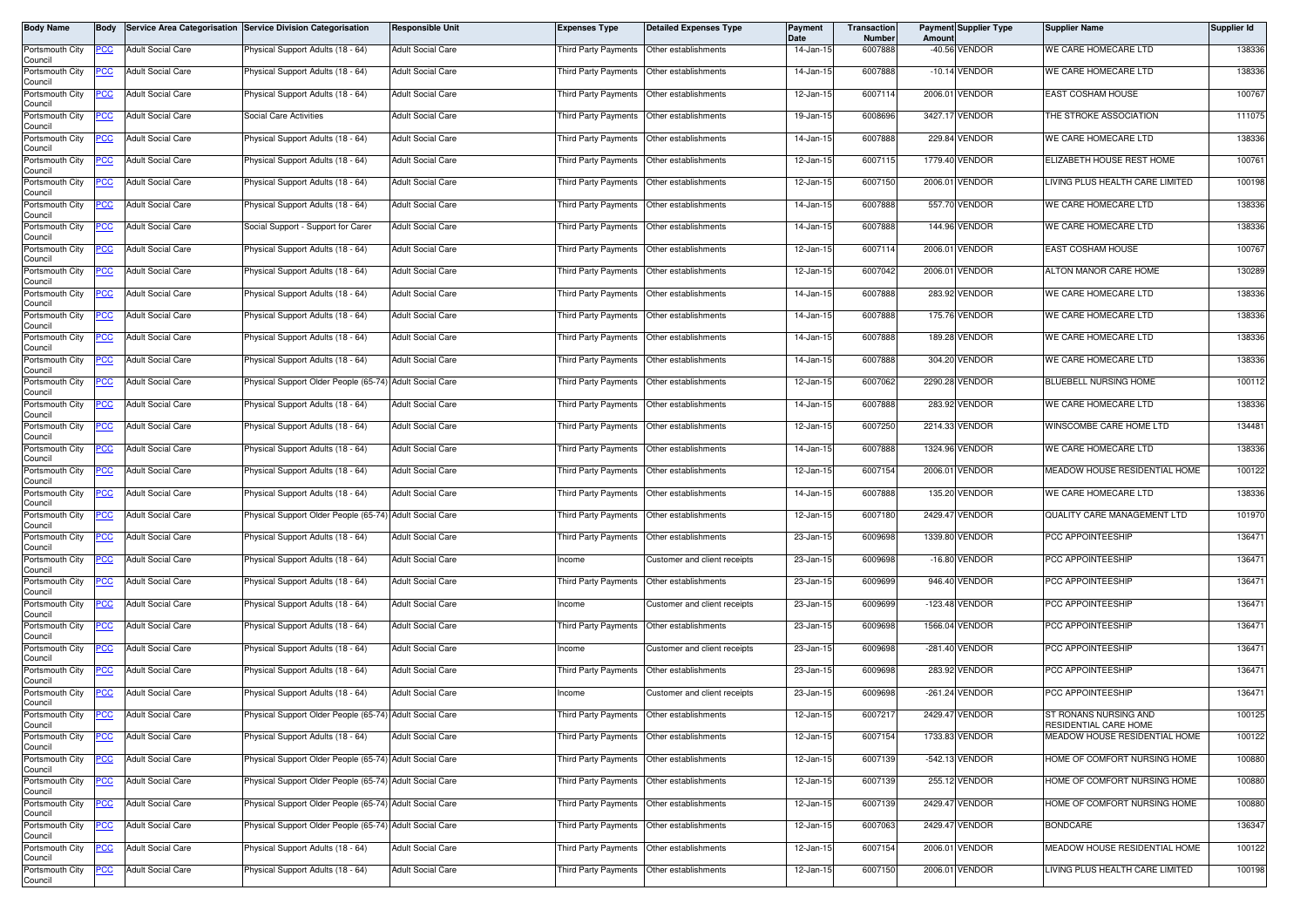| Body Name                  | <b>Body</b> |                          | Service Area Categorisation Service Division Categorisation | Responsible Unit         | <b>Expenses Type</b>                        | <b>Detailed Expenses Type</b>             | Payment<br>Date | Transaction<br>Number | Amount | <b>Payment Supplier Type</b> | <b>Supplier Name</b>                           | Supplier Id |
|----------------------------|-------------|--------------------------|-------------------------------------------------------------|--------------------------|---------------------------------------------|-------------------------------------------|-----------------|-----------------------|--------|------------------------------|------------------------------------------------|-------------|
| Portsmouth City<br>Council | PCC         | <b>Adult Social Care</b> | Physical Support Adults (18 - 64)                           | <b>Adult Social Care</b> | Third Party Payments                        | Other establishments                      | 14-Jan-15       | 6007888               |        | -40.56 VENDOR                | WE CARE HOMECARE LTD                           | 138336      |
| Portsmouth City<br>Council | PCC         | <b>Adult Social Care</b> | Physical Support Adults (18 - 64)                           | <b>Adult Social Care</b> | Third Party Payments   Other establishments |                                           | 14-Jan-15       | 6007888               |        | $-10.14$ VENDOR              | WE CARE HOMECARE LTD                           | 138336      |
| Portsmouth City<br>Council | <u>PCC </u> | <b>Adult Social Care</b> | <sup>9</sup> hysical Support Adults (18 - 64)               | <b>Adult Social Care</b> | Third Party Payments Other establishments   |                                           | 12-Jan-15       | 6007114               |        | 2006.01 VENDOR               | EAST COSHAM HOUSE                              | 100767      |
| Portsmouth City<br>Council | <u>PCC</u>  | <b>Adult Social Care</b> | <b>Social Care Activities</b>                               | <b>Adult Social Care</b> | Third Party Payments                        | Other establishments                      | 19-Jan-15       | 6008696               |        | 3427.17 VENDOR               | THE STROKE ASSOCIATION                         | 111075      |
| Portsmouth City<br>Council | <u>PCC</u>  | <b>Adult Social Care</b> | Physical Support Adults (18 - 64)                           | <b>Adult Social Care</b> | Third Party Payments                        | Other establishments                      | 14-Jan-15       | 6007888               |        | 229.84 VENDOR                | WE CARE HOMECARE LTD                           | 138336      |
| Portsmouth City<br>Council |             | <b>Adult Social Care</b> | Physical Support Adults (18 - 64)                           | <b>Adult Social Care</b> | Third Party Payments                        | Other establishments                      | 12-Jan-15       | 6007115               |        | 1779.40 VENDOR               | ELIZABETH HOUSE REST HOME                      | 100761      |
| Portsmouth City<br>Council | <u>PCC</u>  | <b>Adult Social Care</b> | Physical Support Adults (18 - 64)                           | <b>Adult Social Care</b> | Third Party Payments Other establishments   |                                           | 12-Jan-15       | 6007150               |        | 2006.01 VENDOR               | LIVING PLUS HEALTH CARE LIMITED                | 100198      |
| Portsmouth City<br>Council | <u>PCC</u>  | <b>Adult Social Care</b> | Physical Support Adults (18 - 64)                           | <b>Adult Social Care</b> | Third Party Payments                        | Other establishments                      | 14-Jan-15       | 6007888               |        | 557.70 VENDOR                | WE CARE HOMECARE LTD                           | 138336      |
| Portsmouth City<br>Council | <u>PCC</u>  | <b>Adult Social Care</b> | Social Support - Support for Carer                          | <b>Adult Social Care</b> | Third Party Payments                        | Other establishments                      | 14-Jan-15       | 6007888               |        | 144.96 VENDOR                | WE CARE HOMECARE LTD                           | 138336      |
| Portsmouth City<br>Council | PСC         | <b>Adult Social Care</b> | Physical Support Adults (18 - 64)                           | <b>Adult Social Care</b> | Third Party Payments                        | Other establishments                      | 12-Jan-15       | 6007114               |        | 2006.01 VENDOR               | EAST COSHAM HOUSE                              | 100767      |
| Portsmouth City<br>Council | <u>PCC</u>  | <b>Adult Social Care</b> | Physical Support Adults (18 - 64)                           | <b>Adult Social Care</b> | Third Party Payments                        | Other establishments                      | 12-Jan-15       | 6007042               |        | 2006.01 VENDOR               | ALTON MANOR CARE HOME                          | 130289      |
| Portsmouth City<br>Council | <u>PCC </u> | <b>Adult Social Care</b> | Physical Support Adults (18 - 64)                           | <b>Adult Social Care</b> | Third Party Payments                        | Other establishments                      | 14-Jan-15       | 6007888               |        | 283.92 VENDOR                | WE CARE HOMECARE LTD                           | 138336      |
| Portsmouth City<br>Council | <u>PCC</u>  | <b>Adult Social Care</b> | Physical Support Adults (18 - 64)                           | <b>Adult Social Care</b> | Third Party Payments                        | Other establishments                      | 14-Jan-15       | 6007888               |        | 175.76 VENDOR                | WE CARE HOMECARE LTD                           | 138336      |
| Portsmouth City<br>Council | <u>PCC </u> | <b>Adult Social Care</b> | Physical Support Adults (18 - 64)                           | <b>Adult Social Care</b> | Third Party Payments                        | Other establishments                      | 14-Jan-15       | 6007888               |        | 189.28 VENDOR                | WE CARE HOMECARE LTD                           | 138336      |
| Portsmouth City<br>Council | <u>PCC</u>  | <b>Adult Social Care</b> | Physical Support Adults (18 - 64)                           | <b>Adult Social Care</b> | Third Party Payments Other establishments   |                                           | 14-Jan-15       | 6007888               |        | 304.20 VENDOR                | WE CARE HOMECARE LTD                           | 138336      |
| Portsmouth City<br>Council | <u>PCC</u>  | <b>Adult Social Care</b> | Physical Support Older People (65-74) Adult Social Care     |                          | Third Party Payments                        | Other establishments                      | 12-Jan-15       | 6007062               |        | 2290.28 VENDOR               | BLUEBELL NURSING HOME                          | 100112      |
| Portsmouth City<br>Council | <u>PCC</u>  | <b>Adult Social Care</b> | Physical Support Adults (18 - 64)                           | <b>Adult Social Care</b> | Third Party Payments                        | Other establishments                      | 14-Jan-15       | 6007888               |        | 283.92 VENDOR                | WE CARE HOMECARE LTD                           | 138336      |
| Portsmouth City<br>Council | PCC         | <b>Adult Social Care</b> | Physical Support Adults (18 - 64)                           | <b>Adult Social Care</b> | Third Party Payments                        | Other establishments                      | 12-Jan-15       | 6007250               |        | 2214.33 VENDOR               | WINSCOMBE CARE HOME LTD                        | 134481      |
| Portsmouth City<br>Council | <u>cc</u>   | <b>Adult Social Care</b> | Physical Support Adults (18 - 64)                           | <b>Adult Social Care</b> | <b>Third Party Payments</b>                 | Other establishments                      | 14-Jan-15       | 6007888               |        | 1324.96 VENDOR               | WE CARE HOMECARE LTD                           | 138336      |
| Portsmouth City<br>Council | PСC         | <b>Adult Social Care</b> | Physical Support Adults (18 - 64)                           | <b>Adult Social Care</b> | Third Party Payments                        | Other establishments                      | 12-Jan-15       | 6007154               |        | 2006.01 VENDOR               | MEADOW HOUSE RESIDENTIAL HOME                  | 100122      |
| Portsmouth City<br>Council | <u>PCC</u>  | <b>Adult Social Care</b> | Physical Support Adults (18 - 64)                           | <b>Adult Social Care</b> | Third Party Payments                        | Other establishments                      | 14-Jan-15       | 6007888               |        | 135.20 VENDOR                | WE CARE HOMECARE LTD                           | 138336      |
| Portsmouth City<br>Council | PCC         | <b>Adult Social Care</b> | Physical Support Older People (65-74)                       | <b>Adult Social Care</b> | Third Party Payments                        | Other establishments                      | 12-Jan-15       | 6007180               |        | 2429.47 VENDOR               | QUALITY CARE MANAGEMENT LTD                    | 101970      |
| Portsmouth City<br>Council | PСC         | <b>Adult Social Care</b> | Physical Support Adults (18 - 64)                           | <b>Adult Social Care</b> | Third Party Payments                        | Other establishments                      | 23-Jan-15       | 6009698               |        | 1339.80 VENDOR               | PCC APPOINTEESHIP                              | 136471      |
| Portsmouth City<br>Council | <u>PCC</u>  | <b>Adult Social Care</b> | hysical Support Adults (18 - 64)                            | <b>Adult Social Care</b> | Income                                      | Customer and client receipts              | 23-Jan-15       | 6009698               |        | -16.80 VENDOR                | PCC APPOINTEESHIP                              | 136471      |
| Portsmouth City<br>Council | <u>PCC</u>  | <b>Adult Social Care</b> | Physical Support Adults (18 - 64)                           | <b>Adult Social Care</b> | Third Party Payments                        | Other establishments                      | 23-Jan-15       | 6009699               |        | 946.40 VENDOR                | PCC APPOINTEESHIP                              | 136471      |
| Portsmouth City<br>Council | PCC         | <b>Adult Social Care</b> | Physical Support Adults (18 - 64)                           | <b>Adult Social Care</b> | Income                                      | Customer and client receipts              | 23-Jan-15       | 6009699               |        | -123.48 VENDOR               | PCC APPOINTEESHIP                              | 136471      |
| Portsmouth City<br>Council | PCC         | <b>Adult Social Care</b> | Physical Support Adults (18 - 64)                           | <b>Adult Social Care</b> | Third Party Payments                        | Other establishments                      | 23-Jan-15       | 6009698               |        | 1566.04 VENDOR               | PCC APPOINTEESHIP                              | 136471      |
| Portsmouth City<br>Council | <u>PCC</u>  | <b>Adult Social Care</b> | Physical Support Adults (18 - 64)                           | <b>Adult Social Care</b> | Income                                      | Customer and client receipts              | 23-Jan-15       | 6009698               |        | -281.40 VENDOR               | PCC APPOINTEESHIP                              | 136471      |
| Portsmouth City<br>Council | <u>CC</u>   | <b>Adult Social Care</b> | Physical Support Adults (18 - 64)                           | <b>Adult Social Care</b> | Third Party Payments                        | Other establishments                      | 23-Jan-15       | 6009698               |        | 283.92 VENDOR                | PCC APPOINTEESHIP                              | 136471      |
| Portsmouth City<br>Council | <u>PCC</u>  | <b>Adult Social Care</b> | Physical Support Adults (18 - 64)                           | <b>Adult Social Care</b> | Income                                      | Customer and client receipts              | 23-Jan-15       | 6009698               |        | -261.24 VENDOR               | PCC APPOINTEESHIP                              | 136471      |
| Portsmouth City<br>Council | <b>PCC</b>  | <b>Adult Social Care</b> | Physical Support Older People (65-74) Adult Social Care     |                          | Third Party Payments Other establishments   |                                           | 12-Jan-15       | 6007217               |        | 2429.47 VENDOR               | ST RONANS NURSING AND<br>RESIDENTIAL CARE HOME | 100125      |
| Portsmouth City<br>Council | <u>PCC</u>  | <b>Adult Social Care</b> | Physical Support Adults (18 - 64)                           | <b>Adult Social Care</b> | Third Party Payments Other establishments   |                                           | 12-Jan-15       | 6007154               |        | 1733.83 VENDOR               | MEADOW HOUSE RESIDENTIAL HOME                  | 100122      |
| Portsmouth City<br>Council |             | <b>Adult Social Care</b> | Physical Support Older People (65-74) Adult Social Care     |                          | Third Party Payments                        | Other establishments                      | 12-Jan-15       | 6007139               |        | -542.13 VENDOR               | HOME OF COMFORT NURSING HOME                   | 100880      |
| Portsmouth City<br>Council | <u>PCC</u>  | <b>Adult Social Care</b> | Physical Support Older People (65-74) Adult Social Care     |                          | Third Party Payments Other establishments   |                                           | 12-Jan-15       | 6007139               |        | 255.12 VENDOR                | HOME OF COMFORT NURSING HOME                   | 100880      |
| Portsmouth City<br>Council | PCC         | Adult Social Care        | Physical Support Older People (65-74) Adult Social Care     |                          | Third Party Payments                        | Other establishments                      | 12-Jan-15       | 6007139               |        | 2429.47 VENDOR               | HOME OF COMFORT NURSING HOME                   | 100880      |
| Portsmouth City<br>Council | <u>PCC </u> | <b>Adult Social Care</b> | Physical Support Older People (65-74) Adult Social Care     |                          |                                             | Third Party Payments Other establishments | 12-Jan-15       | 6007063               |        | 2429.47 VENDOR               | <b>BONDCARE</b>                                | 136347      |
| Portsmouth City<br>Council | <u>PCC</u>  | <b>Adult Social Care</b> | Physical Support Adults (18 - 64)                           | <b>Adult Social Care</b> | Third Party Payments                        | Other establishments                      | 12-Jan-15       | 6007154               |        | 2006.01 VENDOR               | MEADOW HOUSE RESIDENTIAL HOME                  | 100122      |
| Portsmouth City<br>Council | PCC         | <b>Adult Social Care</b> | Physical Support Adults (18 - 64)                           | <b>Adult Social Care</b> | Third Party Payments                        | Other establishments                      | 12-Jan-15       | 6007150               |        | 2006.01 VENDOR               | LIVING PLUS HEALTH CARE LIMITED                | 100198      |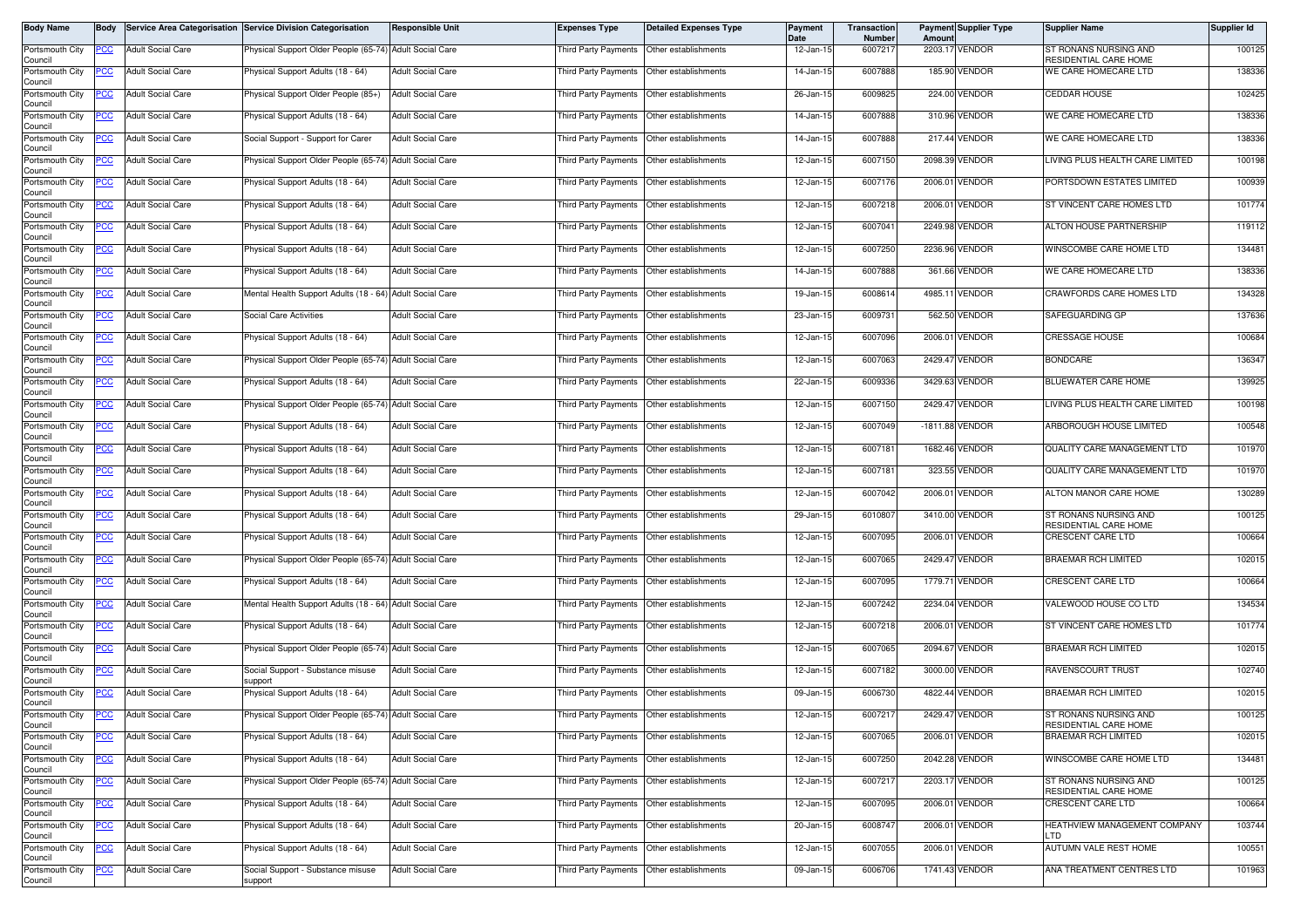| Body Name                  | <b>Body</b> |                          | Service Area Categorisation Service Division Categorisation | Responsible Unit         | <b>Expenses Type</b>                        | <b>Detailed Expenses Type</b>             | Payment<br>Date | Transaction<br><b>Number</b> | Amount | <b>Payment Supplier Type</b> | <b>Supplier Name</b>                           | Supplier Id |
|----------------------------|-------------|--------------------------|-------------------------------------------------------------|--------------------------|---------------------------------------------|-------------------------------------------|-----------------|------------------------------|--------|------------------------------|------------------------------------------------|-------------|
| Portsmouth City<br>Council | PCC         | <b>Adult Social Care</b> | Physical Support Older People (65-74) Adult Social Care     |                          | Third Party Payments                        | Other establishments                      | 12-Jan-15       | 6007217                      |        | 2203.17 VENDOR               | ST RONANS NURSING AND<br>RESIDENTIAL CARE HOME | 100125      |
| Portsmouth City<br>Council | PCC         | <b>Adult Social Care</b> | Physical Support Adults (18 - 64)                           | <b>Adult Social Care</b> | Third Party Payments Other establishments   |                                           | 14-Jan-15       | 6007888                      |        | 185.90 VENDOR                | WE CARE HOMECARE LTD                           | 138336      |
| Portsmouth City<br>Council | <u>PCC </u> | <b>Adult Social Care</b> | hysical Support Older People (85+)                          | <b>Adult Social Care</b> | Third Party Payments Other establishments   |                                           | 26-Jan-15       | 6009825                      |        | 224.00 VENDOR                | <b>CEDDAR HOUSE</b>                            | 102425      |
| Portsmouth City<br>Council | <u>PCC</u>  | <b>Adult Social Care</b> | Physical Support Adults (18 - 64)                           | <b>Adult Social Care</b> | Third Party Payments                        | Other establishments                      | 14-Jan-15       | 6007888                      |        | 310.96 VENDOR                | WE CARE HOMECARE LTD                           | 138336      |
| Portsmouth City<br>Council | <u>PCC</u>  | <b>Adult Social Care</b> | Social Support - Support for Carer                          | <b>Adult Social Care</b> | Third Party Payments                        | Other establishments                      | 14-Jan-15       | 6007888                      |        | 217.44 VENDOR                | WE CARE HOMECARE LTD                           | 138336      |
| Portsmouth City<br>Council | <u>PCC</u>  | <b>Adult Social Care</b> | Physical Support Older People (65-74) Adult Social Care     |                          | Third Party Payments                        | Other establishments                      | 12-Jan-15       | 6007150                      |        | 2098.39 VENDOR               | LIVING PLUS HEALTH CARE LIMITED                | 100198      |
| Portsmouth City<br>Council | <u>PCC</u>  | <b>Adult Social Care</b> | Physical Support Adults (18 - 64)                           | <b>Adult Social Care</b> | Third Party Payments Other establishments   |                                           | 12-Jan-15       | 6007176                      |        | 2006.01 VENDOR               | PORTSDOWN ESTATES LIMITED                      | 100939      |
| Portsmouth City<br>Council | <u>PCC</u>  | <b>Adult Social Care</b> | Physical Support Adults (18 - 64)                           | <b>Adult Social Care</b> | Third Party Payments                        | Other establishments                      | 12-Jan-15       | 6007218                      |        | 2006.01 VENDOR               | ST VINCENT CARE HOMES LTD                      | 101774      |
| Portsmouth City<br>Council | <u>PCC</u>  | <b>Adult Social Care</b> | Physical Support Adults (18 - 64)                           | <b>Adult Social Care</b> | Third Party Payments                        | Other establishments                      | 12-Jan-15       | 6007041                      |        | 2249.98 VENDOR               | ALTON HOUSE PARTNERSHIP                        | 119112      |
| Portsmouth City<br>Council | PСC         | <b>Adult Social Care</b> | Physical Support Adults (18 - 64)                           | <b>Adult Social Care</b> | Third Party Payments                        | Other establishments                      | 12-Jan-15       | 6007250                      |        | 2236.96 VENDOR               | WINSCOMBE CARE HOME LTD                        | 134481      |
| Portsmouth City<br>Council | <u>PCC</u>  | <b>Adult Social Care</b> | Physical Support Adults (18 - 64)                           | <b>Adult Social Care</b> | Third Party Payments                        | Other establishments                      | 14-Jan-15       | 6007888                      |        | 361.66 VENDOR                | WE CARE HOMECARE LTD                           | 138336      |
| Portsmouth City<br>Council | <u>PCC </u> | <b>Adult Social Care</b> | Mental Health Support Adults (18 - 64) Adult Social Care    |                          | Third Party Payments                        | Other establishments                      | 19-Jan-15       | 6008614                      |        | 4985.11 VENDOR               | CRAWFORDS CARE HOMES LTD                       | 134328      |
| Portsmouth City<br>Council | <u>PCC</u>  | <b>Adult Social Care</b> | <b>Social Care Activities</b>                               | <b>Adult Social Care</b> | Third Party Payments                        | Other establishments                      | 23-Jan-15       | 6009731                      |        | 562.50 VENDOR                | SAFEGUARDING GP                                | 137636      |
| Portsmouth City<br>Council | PСC         | <b>Adult Social Care</b> | Physical Support Adults (18 - 64)                           | <b>Adult Social Care</b> | Third Party Payments                        | Other establishments                      | 12-Jan-15       | 6007096                      |        | 2006.01 VENDOR               | <b>CRESSAGE HOUSE</b>                          | 100684      |
| Portsmouth City<br>Council | <u>PCC</u>  | <b>Adult Social Care</b> | Physical Support Older People (65-74) Adult Social Care     |                          | Third Party Payments                        | Other establishments                      | 12-Jan-15       | 6007063                      |        | 2429.47 VENDOR               | <b>BONDCARE</b>                                | 136347      |
| Portsmouth City<br>Council | <u>PCC</u>  | <b>Adult Social Care</b> | Physical Support Adults (18 - 64)                           | <b>Adult Social Care</b> | Third Party Payments                        | Other establishments                      | 22-Jan-15       | 6009336                      |        | 3429.63 VENDOR               | <b>BLUEWATER CARE HOME</b>                     | 139925      |
| Portsmouth City<br>Council | <u>PCC</u>  | <b>Adult Social Care</b> | Physical Support Older People (65-74) Adult Social Care     |                          | Third Party Payments                        | Other establishments                      | 12-Jan-15       | 6007150                      |        | 2429.47 VENDOR               | LIVING PLUS HEALTH CARE LIMITED                | 100198      |
| Portsmouth City<br>Council | PCC         | <b>Adult Social Care</b> | Physical Support Adults (18 - 64)                           | <b>Adult Social Care</b> | Third Party Payments                        | Other establishments                      | 12-Jan-15       | 6007049                      |        | -1811.88 VENDOR              | ARBOROUGH HOUSE LIMITED                        | 100548      |
| Portsmouth City<br>Council | <u>cc</u>   | <b>Adult Social Care</b> | Physical Support Adults (18 - 64)                           | <b>Adult Social Care</b> | <b>Third Party Payments</b>                 | Other establishments                      | 12-Jan-15       | 6007181                      |        | 1682.46 VENDOR               | QUALITY CARE MANAGEMENT LTD                    | 101970      |
| Portsmouth City<br>Council | PСC         | <b>Adult Social Care</b> | Physical Support Adults (18 - 64)                           | <b>Adult Social Care</b> | Third Party Payments                        | Other establishments                      | 12-Jan-15       | 6007181                      |        | 323.55 VENDOR                | QUALITY CARE MANAGEMENT LTD                    | 101970      |
| Portsmouth City<br>Council | <u>PCC</u>  | <b>Adult Social Care</b> | Physical Support Adults (18 - 64)                           | <b>Adult Social Care</b> | <b>Third Party Payments</b>                 | Other establishments                      | 12-Jan-15       | 6007042                      |        | 2006.01 VENDOR               | ALTON MANOR CARE HOME                          | 130289      |
| Portsmouth City<br>Council | PСC         | <b>Adult Social Care</b> | Physical Support Adults (18 - 64)                           | <b>Adult Social Care</b> | Third Party Payments                        | Other establishments                      | 29-Jan-15       | 6010807                      |        | 3410.00 VENDOR               | ST RONANS NURSING AND<br>RESIDENTIAL CARE HOME | 100125      |
| Portsmouth City<br>Council | PСC         | <b>Adult Social Care</b> | Physical Support Adults (18 - 64)                           | <b>Adult Social Care</b> | Third Party Payments                        | Other establishments                      | 12-Jan-15       | 6007095                      |        | 2006.01 VENDOR               | CRESCENT CARE LTD                              | 100664      |
| Portsmouth City<br>Council | <u>PCC</u>  | <b>Adult Social Care</b> | hysical Support Older People (65-74) Adult Social Care      |                          | Third Party Payments Other establishments   |                                           | 12-Jan-15       | 6007065                      |        | 2429.47 VENDOR               | <b>BRAEMAR RCH LIMITED</b>                     | 102015      |
| Portsmouth City<br>Council | <u>PCC</u>  | <b>Adult Social Care</b> | Physical Support Adults (18 - 64)                           | <b>Adult Social Care</b> | Third Party Payments                        | Other establishments                      | 12-Jan-1!       | 6007095                      |        | 1779.71 VENDOR               | <b>CRESCENT CARE LTD</b>                       | 100664      |
| Portsmouth City<br>Council | PCC         | <b>Adult Social Care</b> | Mental Health Support Adults (18 - 64) Adult Social Care    |                          | Third Party Payments   Other establishments |                                           | 12-Jan-15       | 6007242                      |        | 2234.04 VENDOR               | VALEWOOD HOUSE CO LTD                          | 134534      |
| Portsmouth City<br>Council | PCC         | <b>Adult Social Care</b> | Physical Support Adults (18 - 64)                           | <b>Adult Social Care</b> | Third Party Payments                        | Other establishments                      | 12-Jan-15       | 6007218                      |        | 2006.01 VENDOR               | ST VINCENT CARE HOMES LTD                      | 101774      |
| Portsmouth City<br>Council | <u>PCC</u>  | <b>Adult Social Care</b> | Physical Support Older People (65-74) Adult Social Care     |                          | Third Party Payments Other establishments   |                                           | 12-Jan-15       | 6007065                      |        | 2094.67 VENDOR               | <b>BRAEMAR RCH LIMITED</b>                     | 102015      |
| Portsmouth City<br>Council | <u>'CC</u>  | <b>Adult Social Care</b> | Social Support - Substance misuse<br>upport                 | <b>Adult Social Care</b> | Third Party Payments                        | Other establishments                      | 12-Jan-15       | 6007182                      |        | 3000.00 VENDOR               | RAVENSCOURT TRUST                              | 102740      |
| Portsmouth City<br>Council | <u>PCC</u>  | <b>Adult Social Care</b> | Physical Support Adults (18 - 64)                           | <b>Adult Social Care</b> | Third Party Payments                        | Other establishments                      | 09-Jan-15       | 6006730                      |        | 4822.44 VENDOR               | <b>BRAEMAR RCH LIMITED</b>                     | 102015      |
| Portsmouth City<br>Council | <b>PCC</b>  | <b>Adult Social Care</b> | Physical Support Older People (65-74) Adult Social Care     |                          | Third Party Payments  Other establishments  |                                           | 12-Jan-15       | 6007217                      |        | 2429.47 VENDOR               | ST RONANS NURSING AND<br>RESIDENTIAL CARE HOME | 100125      |
| Portsmouth City<br>Council | <u>PCC</u>  | <b>Adult Social Care</b> | Physical Support Adults (18 - 64)                           | <b>Adult Social Care</b> | Third Party Payments                        | Other establishments                      | 12-Jan-15       | 6007065                      |        | 2006.01 VENDOR               | BRAEMAR RCH LIMITED                            | 102015      |
| Portsmouth City<br>Council | °СС         | <b>Adult Social Care</b> | Physical Support Adults (18 - 64)                           | <b>Adult Social Care</b> | Third Party Payments                        | Other establishments                      | 12-Jan-15       | 6007250                      |        | 2042.28 VENDOR               | WINSCOMBE CARE HOME LTD                        | 134481      |
| Portsmouth City<br>Council | <u>PCC</u>  | <b>Adult Social Care</b> | Physical Support Older People (65-74) Adult Social Care     |                          | Third Party Payments Other establishments   |                                           | 12-Jan-15       | 6007217                      |        | 2203.17 VENDOR               | ST RONANS NURSING AND<br>RESIDENTIAL CARE HOME | 100125      |
| Portsmouth City<br>Council | PСC         | <b>Adult Social Care</b> | Physical Support Adults (18 - 64)                           | <b>Adult Social Care</b> | Third Party Payments                        | Other establishments                      | 12-Jan-15       | 6007095                      |        | 2006.01 VENDOR               | <b>CRESCENT CARE LTD</b>                       | 100664      |
| Portsmouth City<br>Council | <u>PCC </u> | <b>Adult Social Care</b> | Physical Support Adults (18 - 64)                           | <b>Adult Social Care</b> |                                             | Third Party Payments Other establishments | 20-Jan-15       | 6008747                      |        | 2006.01 VENDOR               | HEATHVIEW MANAGEMENT COMPANY<br><b>LTD</b>     | 103744      |
| Portsmouth City<br>Council | <u>PCC</u>  | <b>Adult Social Care</b> | Physical Support Adults (18 - 64)                           | <b>Adult Social Care</b> | Third Party Payments                        | Other establishments                      | 12-Jan-15       | 6007055                      |        | 2006.01 VENDOR               | AUTUMN VALE REST HOME                          | 100551      |
| Portsmouth City<br>Council | PCC         | <b>Adult Social Care</b> | Social Support - Substance misuse<br>support                | <b>Adult Social Care</b> | Third Party Payments                        | Other establishments                      | 09-Jan-15       | 6006706                      |        | 1741.43 VENDOR               | ANA TREATMENT CENTRES LTD                      | 101963      |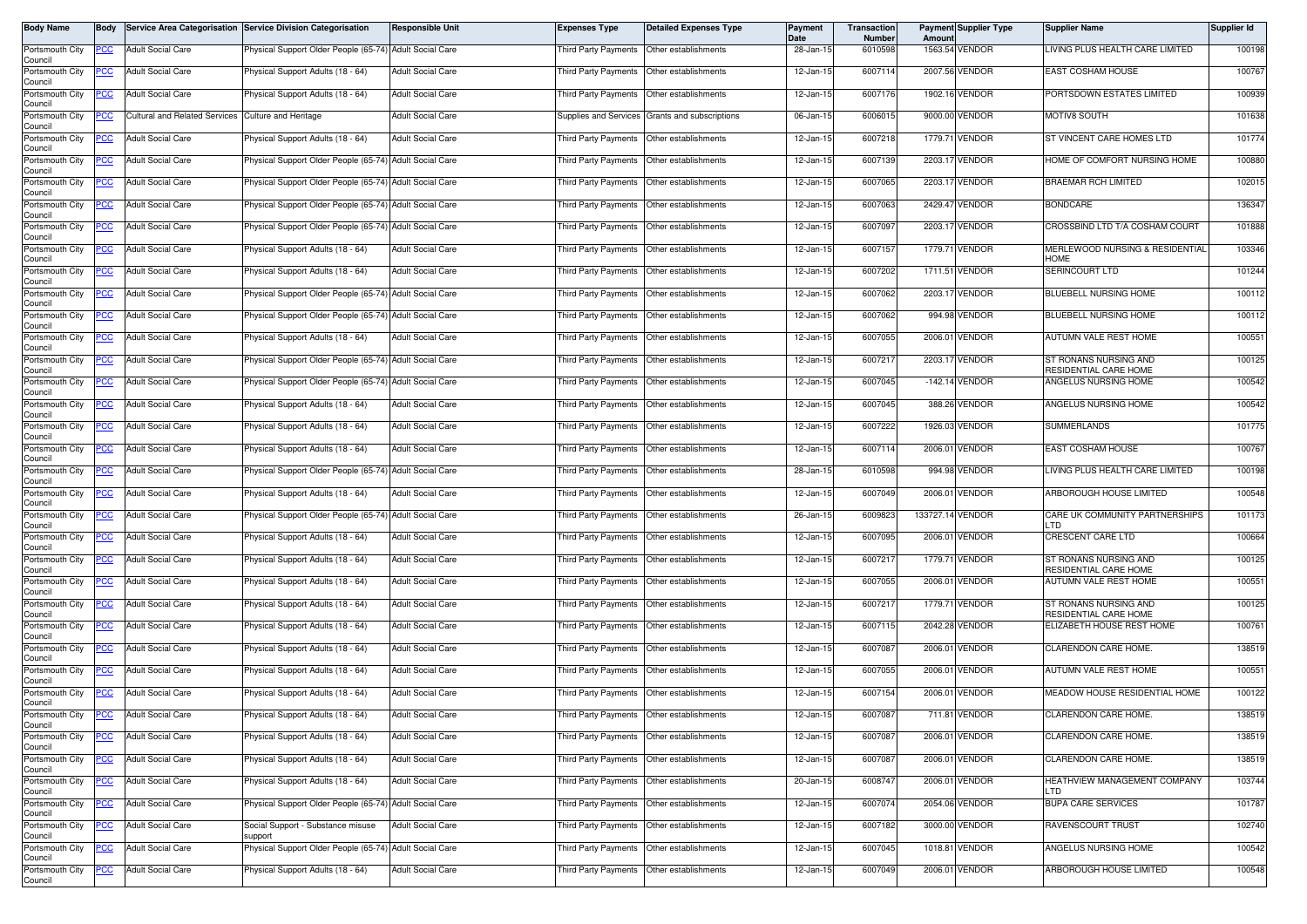| Body Name                             | <b>Body</b> |                                      | Service Area Categorisation Service Division Categorisation | <b>Responsible Unit</b>  | <b>Expenses Type</b>                      | <b>Detailed Expenses Type</b>                  | Payment<br>Date | Transaction<br><b>Number</b> | Amoun            | <b>Payment Supplier Type</b> | <b>Supplier Name</b>                                  | Supplier Id |
|---------------------------------------|-------------|--------------------------------------|-------------------------------------------------------------|--------------------------|-------------------------------------------|------------------------------------------------|-----------------|------------------------------|------------------|------------------------------|-------------------------------------------------------|-------------|
| Portsmouth City<br>Council            | PCC         | <b>Adult Social Care</b>             | Physical Support Older People (65-74) Adult Social Care     |                          | Third Party Payments                      | Other establishments                           | 28-Jan-15       | 6010598                      |                  | 1563.54 VENDOR               | LIVING PLUS HEALTH CARE LIMITED                       | 100198      |
| Portsmouth City<br>Council            | ပင          | <b>Adult Social Care</b>             | Physical Support Adults (18 - 64)                           | <b>Adult Social Care</b> | Third Party Payments Other establishments |                                                | 12-Jan-15       | 6007114                      |                  | 2007.56 VENDOR               | <b>EAST COSHAM HOUSE</b>                              | 100767      |
| Portsmouth City<br>Council            | <u>CC </u>  | <b>Adult Social Care</b>             | <sup>9</sup> hysical Support Adults (18 - 64)               | <b>Adult Social Care</b> | Third Party Payments                      | Other establishments                           | 12-Jan-15       | 6007176                      |                  | 1902.16 VENDOR               | PORTSDOWN ESTATES LIMITED                             | 100939      |
| Portsmouth City                       | <u>PCC</u>  | <b>Cultural and Related Services</b> | <b>Culture and Heritage</b>                                 | <b>Adult Social Care</b> |                                           | Supplies and Services Grants and subscriptions | 06-Jan-15       | 600601                       |                  | 9000.00 VENDOR               | MOTIV8 SOUTH                                          | 101638      |
| Council<br>Portsmouth City<br>Council | <u>PCC</u>  | <b>Adult Social Care</b>             | Physical Support Adults (18 - 64)                           | <b>Adult Social Care</b> | <b>Third Party Payments</b>               | Other establishments                           | 12-Jan-15       | 6007218                      |                  | 1779.71 VENDOR               | ST VINCENT CARE HOMES LTD                             | 101774      |
| Portsmouth City<br>Council            | <u>'CC</u>  | <b>Adult Social Care</b>             | Physical Support Older People (65-74) Adult Social Care     |                          | Third Party Payments                      | Other establishments                           | 12-Jan-15       | 6007139                      |                  | 2203.17 VENDOR               | HOME OF COMFORT NURSING HOME                          | 100880      |
| Portsmouth City<br>Council            | <u>PCC</u>  | <b>Adult Social Care</b>             | Physical Support Older People (65-74) Adult Social Care     |                          | Third Party Payments Other establishments |                                                | 12-Jan-15       | 6007065                      |                  | 2203.17 VENDOR               | <b>BRAEMAR RCH LIMITED</b>                            | 102015      |
| Portsmouth City<br>Council            | <u>PCC</u>  | <b>Adult Social Care</b>             | Physical Support Older People (65-74) Adult Social Care     |                          | Third Party Payments                      | Other establishments                           | 12-Jan-15       | 6007063                      |                  | 2429.47 VENDOR               | <b>BONDCARE</b>                                       | 136347      |
| Portsmouth City<br>Council            | PCC         | <b>Adult Social Care</b>             | Physical Support Older People (65-74) Adult Social Care     |                          | <b>Third Party Payments</b>               | Other establishments                           | 12-Jan-15       | 6007097                      |                  | 2203.17 VENDOR               | CROSSBIND LTD T/A COSHAM COURT                        | 101888      |
| Portsmouth City<br>Council            | PСC         | <b>Adult Social Care</b>             | Physical Support Adults (18 - 64)                           | <b>Adult Social Care</b> | Third Party Payments                      | Other establishments                           | 12-Jan-15       | 6007157                      |                  | 1779.71 VENDOR               | MERLEWOOD NURSING & RESIDENTIAL<br><b>HOME</b>        | 103346      |
| Portsmouth City<br>Council            | <u>PCC</u>  | <b>Adult Social Care</b>             | Physical Support Adults (18 - 64)                           | <b>Adult Social Care</b> | Third Party Payments                      | Other establishments                           | 12-Jan-15       | 6007202                      |                  | 1711.51 VENDOR               | SERINCOURT LTD                                        | 101244      |
| Portsmouth City<br>Council            | <u>CC </u>  | <b>Adult Social Care</b>             | Physical Support Older People (65-74) Adult Social Care     |                          | Third Party Payments                      | Other establishments                           | 12-Jan-15       | 6007062                      |                  | 2203.17 VENDOR               | BLUEBELL NURSING HOME                                 | 100112      |
| Portsmouth City<br>Council            | <u>CC </u>  | <b>Adult Social Care</b>             | Physical Support Older People (65-74) Adult Social Care     |                          | Third Party Payments                      | Other establishments                           | 12-Jan-15       | 6007062                      |                  | 994.98 VENDOR                | BLUEBELL NURSING HOME                                 | 100112      |
| Portsmouth City<br>Council            | PСC         | <b>Adult Social Care</b>             | Physical Support Adults (18 - 64)                           | <b>Adult Social Care</b> | Third Party Payments                      | Other establishments                           | 12-Jan-15       | 6007055                      |                  | 2006.01 VENDOR               | <b>AUTUMN VALE REST HOME</b>                          | 100551      |
| Portsmouth City<br>Council            | <u>PCC</u>  | <b>Adult Social Care</b>             | Physical Support Older People (65-74) Adult Social Care     |                          | Third Party Payments                      | Other establishments                           | 12-Jan-15       | 6007217                      |                  | 2203.17 VENDOR               | ST RONANS NURSING AND<br>RESIDENTIAL CARE HOME        | 100125      |
| Portsmouth City<br>Council            | <u>PCC</u>  | <b>Adult Social Care</b>             | Physical Support Older People (65-74) Adult Social Care     |                          | Third Party Payments                      | Other establishments                           | 12-Jan-15       | 6007045                      |                  | -142.14 VENDOR               | ANGELUS NURSING HOME                                  | 100542      |
| Portsmouth City<br>Council            | <u>PCC</u>  | <b>Adult Social Care</b>             | Physical Support Adults (18 - 64)                           | <b>Adult Social Care</b> | Third Party Payments                      | Other establishments                           | 12-Jan-15       | 6007045                      |                  | 388.26 VENDOR                | ANGELUS NURSING HOME                                  | 100542      |
| Portsmouth City<br>Council            | PCC         | <b>Adult Social Care</b>             | Physical Support Adults (18 - 64)                           | <b>Adult Social Care</b> | Third Party Payments                      | Other establishments                           | 12-Jan-15       | 6007222                      |                  | 1926.03 VENDOR               | <b>SUMMERLANDS</b>                                    | 101775      |
| Portsmouth City<br>Council            | <u>cc</u>   | <b>Adult Social Care</b>             | Physical Support Adults (18 - 64)                           | <b>Adult Social Care</b> | <b>Third Party Payments</b>               | Other establishments                           | 12-Jan-15       | 6007114                      |                  | 2006.01 VENDOR               | EAST COSHAM HOUSE                                     | 100767      |
| Portsmouth City<br>Council            | PСC         | <b>Adult Social Care</b>             | Physical Support Older People (65-74) Adult Social Care     |                          | Third Party Payments                      | Other establishments                           | 28-Jan-15       | 6010598                      |                  | 994.98 VENDOR                | LIVING PLUS HEALTH CARE LIMITED                       | 100198      |
| Portsmouth City<br>Council            | <u>PCC</u>  | <b>Adult Social Care</b>             | Physical Support Adults (18 - 64)                           | <b>Adult Social Care</b> | <b>Third Party Payments</b>               | Other establishments                           | 12-Jan-15       | 6007049                      |                  | 2006.01 VENDOR               | ARBOROUGH HOUSE LIMITED                               | 100548      |
| Portsmouth City<br>Council            | °СС         | <b>Adult Social Care</b>             | Physical Support Older People (65-74)                       | <b>Adult Social Care</b> | Third Party Payments                      | Other establishments                           | 26-Jan-15       | 6009823                      | 133727.14 VENDOR |                              | CARE UK COMMUNITY PARTNERSHIPS<br>LTD                 | 101173      |
| Portsmouth City<br>Council            | сc          | <b>Adult Social Care</b>             | Physical Support Adults (18 - 64)                           | <b>Adult Social Care</b> | Third Party Payments                      | Other establishments                           | 12-Jan-15       | 6007095                      |                  | 2006.01 VENDOR               | CRESCENT CARE LTD                                     | 100664      |
| Portsmouth City<br>Council            | PCC         | <b>Adult Social Care</b>             | hysical Support Adults (18 - 64)                            | <b>Adult Social Care</b> | Third Party Payments                      | Other establishments                           | 12-Jan-15       | 6007217                      |                  | 1779.71 VENDOR               | ST RONANS NURSING AND<br><b>RESIDENTIAL CARE HOME</b> | 100125      |
| Portsmouth City<br>Council            | <u>PCC </u> | <b>Adult Social Care</b>             | Physical Support Adults (18 - 64)                           | <b>Adult Social Care</b> | Third Party Payments                      | Other establishments                           | 12-Jan-1!       | 6007055                      |                  | 2006.01 VENDOR               | AUTUMN VALE REST HOME                                 | 100551      |
| Portsmouth City<br>Council            | PCC         | <b>Adult Social Care</b>             | Physical Support Adults (18 - 64)                           | <b>Adult Social Care</b> | Third Party Payments                      | Other establishments                           | 12-Jan-15       | 6007217                      |                  | 1779.71 VENDOR               | ST RONANS NURSING AND<br>RESIDENTIAL CARE HOME        | 100125      |
| Portsmouth City<br>Council            | <u>PCC</u>  | <b>Adult Social Care</b>             | Physical Support Adults (18 - 64)                           | <b>Adult Social Care</b> | Third Party Payments                      | Other establishments                           | 12-Jan-15       | 6007115                      |                  | 2042.28 VENDOR               | ELIZABETH HOUSE REST HOME                             | 100761      |
| Portsmouth City<br>Council            | <u>PCC</u>  | <b>Adult Social Care</b>             | Physical Support Adults (18 - 64)                           | <b>Adult Social Care</b> | Third Party Payments                      | Other establishments                           | 12-Jan-15       | 6007087                      |                  | 2006.01 VENDOR               | CLARENDON CARE HOME.                                  | 138519      |
| Portsmouth City<br>Council            | <u>cc</u>   | <b>Adult Social Care</b>             | Physical Support Adults (18 - 64)                           | <b>Adult Social Care</b> | Third Party Payments                      | Other establishments                           | 12-Jan-15       | 6007055                      |                  | 2006.01 VENDOR               | AUTUMN VALE REST HOME                                 | 100551      |
| Portsmouth City<br>Council            | <u>PCC</u>  | <b>Adult Social Care</b>             | Physical Support Adults (18 - 64)                           | <b>Adult Social Care</b> | Third Party Payments                      | Other establishments                           | 12-Jan-15       | 6007154                      |                  | 2006.01 VENDOR               | MEADOW HOUSE RESIDENTIAL HOME                         | 100122      |
| Portsmouth City<br>Council            | <b>PCC</b>  | <b>Adult Social Care</b>             | Physical Support Adults (18 - 64)                           | <b>Adult Social Care</b> | Third Party Payments Other establishments |                                                | 12-Jan-15       | 6007087                      |                  | 711.81 VENDOR                | CLARENDON CARE HOME.                                  | 138519      |
| Portsmouth City<br>Council            | <u>PCC</u>  | <b>Adult Social Care</b>             | Physical Support Adults (18 - 64)                           | <b>Adult Social Care</b> | Third Party Payments                      | Other establishments                           | 12-Jan-15       | 6007087                      |                  | 2006.01 VENDOR               | CLARENDON CARE HOME.                                  | 138519      |
| Portsmouth City<br>Council            | <u>PCC</u>  | <b>Adult Social Care</b>             | Physical Support Adults (18 - 64)                           | <b>Adult Social Care</b> | Third Party Payments                      | Other establishments                           | 12-Jan-15       | 6007087                      |                  | 2006.01 VENDOR               | CLARENDON CARE HOME.                                  | 138519      |
| Portsmouth City<br>Council            | <u>PCC</u>  | <b>Adult Social Care</b>             | Physical Support Adults (18 - 64)                           | <b>Adult Social Care</b> | Third Party Payments Other establishments |                                                | 20-Jan-15       | 6008747                      |                  | 2006.01 VENDOR               | HEATHVIEW MANAGEMENT COMPANY<br><b>LTD</b>            | 103744      |
| Portsmouth City<br>Council            | PСC         | <b>Adult Social Care</b>             | Physical Support Older People (65-74) Adult Social Care     |                          | Third Party Payments                      | Other establishments                           | 12-Jan-15       | 6007074                      |                  | 2054.06 VENDOR               | <b>BUPA CARE SERVICES</b>                             | 101787      |
| Portsmouth City<br>Council            | <u>PCC </u> | <b>Adult Social Care</b>             | Social Support - Substance misuse<br>support                | <b>Adult Social Care</b> |                                           | Third Party Payments Other establishments      | 12-Jan-15       | 6007182                      |                  | 3000.00 VENDOR               | RAVENSCOURT TRUST                                     | 102740      |
| Portsmouth City<br>Council            | <u>PCC</u>  | <b>Adult Social Care</b>             | Physical Support Older People (65-74) Adult Social Care     |                          | Third Party Payments                      | Other establishments                           | 12-Jan-15       | 6007045                      |                  | 1018.81 VENDOR               | ANGELUS NURSING HOME                                  | 100542      |
| Portsmouth City<br>Council            | PCC         | <b>Adult Social Care</b>             | Physical Support Adults (18 - 64)                           | <b>Adult Social Care</b> | Third Party Payments                      | Other establishments                           | 12-Jan-15       | 6007049                      |                  | 2006.01 VENDOR               | ARBOROUGH HOUSE LIMITED                               | 100548      |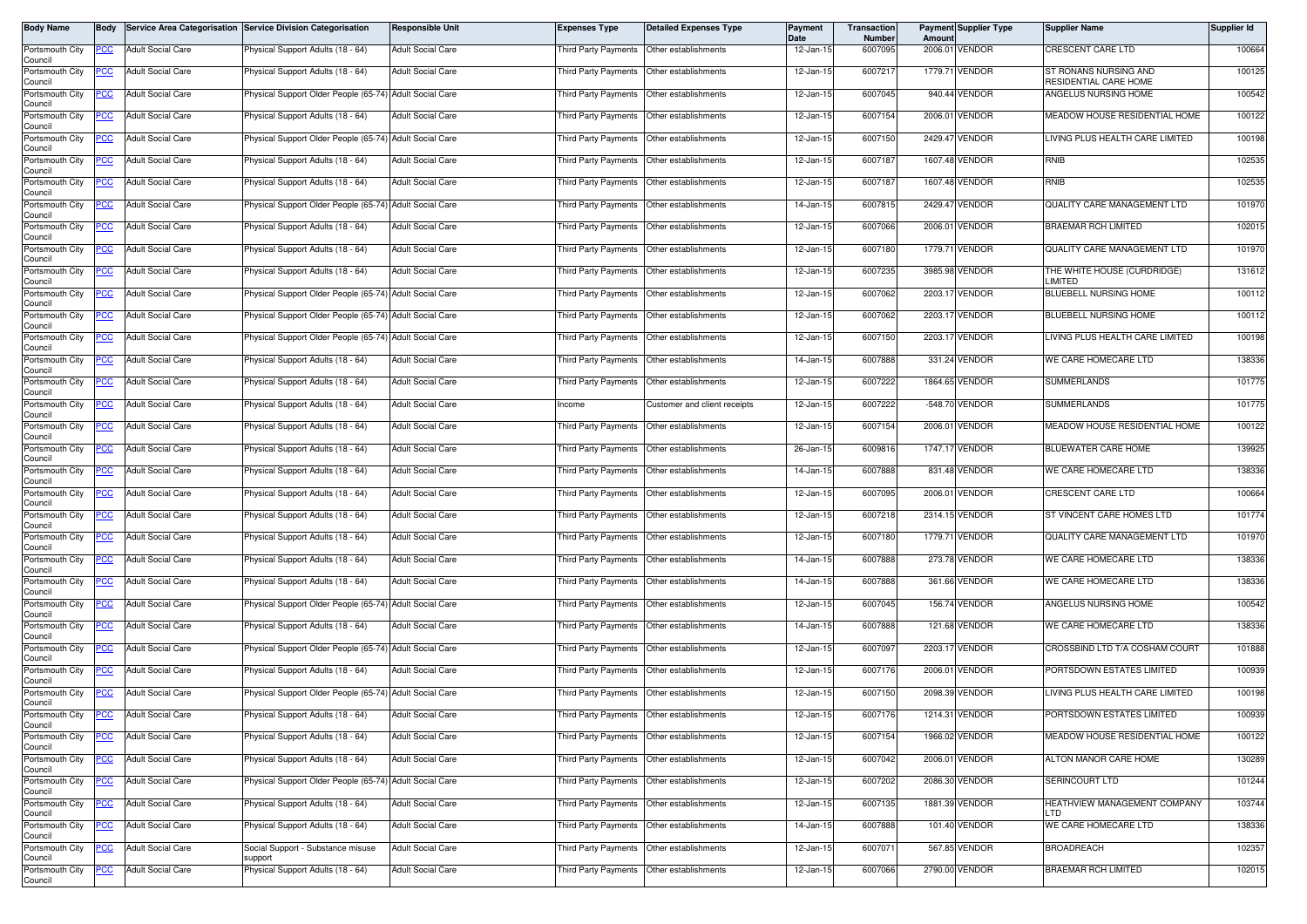| Body Name                  | <b>Body</b> |                          | Service Area Categorisation Service Division Categorisation | <b>Responsible Unit</b>  | <b>Expenses Type</b>                        | <b>Detailed Expenses Type</b>             | Payment<br>Date | Transaction<br><b>Number</b> | Amount | <b>Payment Supplier Type</b> | <b>Supplier Name</b>                           | Supplier Id |
|----------------------------|-------------|--------------------------|-------------------------------------------------------------|--------------------------|---------------------------------------------|-------------------------------------------|-----------------|------------------------------|--------|------------------------------|------------------------------------------------|-------------|
| Portsmouth City<br>Council | PCC         | <b>Adult Social Care</b> | Physical Support Adults (18 - 64)                           | <b>Adult Social Care</b> | Third Party Payments                        | Other establishments                      | 12-Jan-15       | 6007095                      |        | 2006.01 VENDOR               | <b>CRESCENT CARE LTD</b>                       | 100664      |
| Portsmouth City<br>Council | PCC         | <b>Adult Social Care</b> | Physical Support Adults (18 - 64)                           | <b>Adult Social Care</b> | Third Party Payments   Other establishments |                                           | 12-Jan-15       | 6007217                      |        | 1779.71 VENDOR               | ST RONANS NURSING AND<br>RESIDENTIAL CARE HOME | 100125      |
| Portsmouth City<br>Council | <u>PCC </u> | <b>Adult Social Care</b> | hysical Support Older People (65-74) Adult Social Care      |                          | Third Party Payments Other establishments   |                                           | 12-Jan-15       | 6007045                      |        | 940.44 VENDOR                | ANGELUS NURSING HOME                           | 100542      |
| Portsmouth City<br>Council | <u>PCC</u>  | <b>Adult Social Care</b> | Physical Support Adults (18 - 64)                           | <b>Adult Social Care</b> | Third Party Payments                        | Other establishments                      | 12-Jan-15       | 6007154                      |        | 2006.01 VENDOR               | MEADOW HOUSE RESIDENTIAL HOME                  | 100122      |
| Portsmouth City<br>Council | <u>PCC</u>  | <b>Adult Social Care</b> | Physical Support Older People (65-74) Adult Social Care     |                          | Third Party Payments                        | Other establishments                      | 12-Jan-15       | 6007150                      |        | 2429.47 VENDOR               | LIVING PLUS HEALTH CARE LIMITED                | 100198      |
| Portsmouth City<br>Council | <u>PCC</u>  | <b>Adult Social Care</b> | Physical Support Adults (18 - 64)                           | <b>Adult Social Care</b> | Third Party Payments                        | Other establishments                      | 12-Jan-15       | 6007187                      |        | 1607.48 VENDOR               | RNIB                                           | 102535      |
| Portsmouth City<br>Council | <u>PCC</u>  | <b>Adult Social Care</b> | Physical Support Adults (18 - 64)                           | <b>Adult Social Care</b> | Third Party Payments Other establishments   |                                           | 12-Jan-15       | 6007187                      |        | 1607.48 VENDOR               | RNIB                                           | 102535      |
| Portsmouth City<br>Council | <u>PCC</u>  | <b>Adult Social Care</b> | Physical Support Older People (65-74) Adult Social Care     |                          | Third Party Payments                        | Other establishments                      | 14-Jan-15       | 6007815                      |        | 2429.47 VENDOR               | QUALITY CARE MANAGEMENT LTD                    | 101970      |
| Portsmouth City<br>Council | <u>PCC</u>  | <b>Adult Social Care</b> | Physical Support Adults (18 - 64)                           | <b>Adult Social Care</b> | Third Party Payments                        | Other establishments                      | 12-Jan-15       | 6007066                      |        | 2006.01 VENDOR               | BRAEMAR RCH LIMITED                            | 102015      |
| Portsmouth City<br>Council | PСC         | <b>Adult Social Care</b> | Physical Support Adults (18 - 64)                           | <b>Adult Social Care</b> | Third Party Payments                        | Other establishments                      | 12-Jan-15       | 6007180                      |        | 1779.71 VENDOR               | QUALITY CARE MANAGEMENT LTD                    | 101970      |
| Portsmouth City<br>Council | <u>PCC</u>  | <b>Adult Social Care</b> | Physical Support Adults (18 - 64)                           | <b>Adult Social Care</b> | Third Party Payments                        | Other establishments                      | 12-Jan-15       | 6007235                      |        | 3985.98 VENDOR               | THE WHITE HOUSE (CURDRIDGE)<br>LIMITED         | 131612      |
| Portsmouth City<br>Council | <u>PCC </u> | <b>Adult Social Care</b> | Physical Support Older People (65-74) Adult Social Care     |                          | Third Party Payments                        | Other establishments                      | 12-Jan-15       | 6007062                      |        | 2203.17 VENDOR               | BLUEBELL NURSING HOME                          | 100112      |
| Portsmouth City<br>Council | <u>PCC </u> | <b>Adult Social Care</b> | Physical Support Older People (65-74) Adult Social Care     |                          | Third Party Payments                        | Other establishments                      | 12-Jan-15       | 6007062                      |        | 2203.17 VENDOR               | BLUEBELL NURSING HOME                          | 100112      |
| Portsmouth City<br>Council | <u>PCC </u> | <b>Adult Social Care</b> | Physical Support Older People (65-74) Adult Social Care     |                          | Third Party Payments                        | Other establishments                      | 12-Jan-15       | 6007150                      |        | 2203.17 VENDOR               | LIVING PLUS HEALTH CARE LIMITED                | 100198      |
| Portsmouth City<br>Council | <u>PCC</u>  | <b>Adult Social Care</b> | Physical Support Adults (18 - 64)                           | <b>Adult Social Care</b> | Third Party Payments                        | Other establishments                      | 14-Jan-15       | 6007888                      |        | 331.24 VENDOR                | WE CARE HOMECARE LTD                           | 138336      |
| Portsmouth City<br>Council | <u>PCC</u>  | <b>Adult Social Care</b> | Physical Support Adults (18 - 64)                           | <b>Adult Social Care</b> | <b>Third Party Payments</b>                 | Other establishments                      | 12-Jan-15       | 6007222                      |        | 1864.65 VENDOR               | <b>SUMMERLANDS</b>                             | 101775      |
| Portsmouth City<br>Council | <u>PCC</u>  | <b>Adult Social Care</b> | Physical Support Adults (18 - 64)                           | <b>Adult Social Care</b> | Income                                      | Customer and client receipts              | 12-Jan-15       | 6007222                      |        | -548.70 VENDOR               | <b>SUMMERLANDS</b>                             | 101775      |
| Portsmouth City<br>Council | PCC         | <b>Adult Social Care</b> | Physical Support Adults (18 - 64)                           | <b>Adult Social Care</b> | Third Party Payments                        | Other establishments                      | 12-Jan-15       | 6007154                      |        | 2006.01 VENDOR               | MEADOW HOUSE RESIDENTIAL HOME                  | 100122      |
| Portsmouth City<br>Council | <u>cc</u>   | <b>Adult Social Care</b> | Physical Support Adults (18 - 64)                           | <b>Adult Social Care</b> | <b>Third Party Payments</b>                 | Other establishments                      | 26-Jan-15       | 6009816                      |        | 1747.17 VENDOR               | BLUEWATER CARE HOME                            | 139925      |
| Portsmouth City<br>Council | PСC         | <b>Adult Social Care</b> | Physical Support Adults (18 - 64)                           | <b>Adult Social Care</b> | Third Party Payments                        | Other establishments                      | 14-Jan-15       | 6007888                      |        | 831.48 VENDOR                | WE CARE HOMECARE LTD                           | 138336      |
| Portsmouth City<br>Council | <u>PCC </u> | <b>Adult Social Care</b> | Physical Support Adults (18 - 64)                           | <b>Adult Social Care</b> | Third Party Payments                        | Other establishments                      | 12-Jan-15       | 6007095                      |        | 2006.01 VENDOR               | CRESCENT CARE LTD                              | 100664      |
| Portsmouth City<br>Council | PСC         | <b>Adult Social Care</b> | Physical Support Adults (18 - 64)                           | <b>Adult Social Care</b> | Third Party Payments                        | Other establishments                      | 12-Jan-15       | 6007218                      |        | 2314.15 VENDOR               | ST VINCENT CARE HOMES LTD                      | 101774      |
| Portsmouth City<br>Council | PСC         | <b>Adult Social Care</b> | Physical Support Adults (18 - 64)                           | <b>Adult Social Care</b> | Third Party Payments                        | Other establishments                      | 12-Jan-15       | 6007180                      |        | 1779.71 VENDOR               | QUALITY CARE MANAGEMENT LTD                    | 101970      |
| Portsmouth City<br>Council | <u>PCC</u>  | <b>Adult Social Care</b> | hysical Support Adults (18 - 64)                            | <b>Adult Social Care</b> | Third Party Payments Other establishments   |                                           | 14-Jan-15       | 6007888                      |        | 273.78 VENDOR                | WE CARE HOMECARE LTD                           | 138336      |
| Portsmouth City<br>Council | <u>PCC</u>  | <b>Adult Social Care</b> | Physical Support Adults (18 - 64)                           | <b>Adult Social Care</b> | Third Party Payments                        | Other establishments                      | 14-Jan-15       | 6007888                      |        | 361.66 VENDOR                | WE CARE HOMECARE LTD                           | 138336      |
| Portsmouth City<br>Council | PCC         | <b>Adult Social Care</b> | Physical Support Older People (65-74) Adult Social Care     |                          | Third Party Payments   Other establishments |                                           | 12-Jan-15       | 6007045                      |        | 156.74 VENDOR                | ANGELUS NURSING HOME                           | 100542      |
| Portsmouth City<br>Council | PCC         | <b>Adult Social Care</b> | Physical Support Adults (18 - 64)                           | <b>Adult Social Care</b> | Third Party Payments                        | Other establishments                      | 14-Jan-15       | 6007888                      |        | 121.68 VENDOR                | WE CARE HOMECARE LTD                           | 138336      |
| Portsmouth City<br>Council | <u>PCC</u>  | <b>Adult Social Care</b> | Physical Support Older People (65-74) Adult Social Care     |                          | Third Party Payments  Other establishments  |                                           | 12-Jan-15       | 6007097                      |        | 2203.17 VENDOR               | CROSSBIND LTD T/A COSHAM COURT                 | 101888      |
| Portsmouth City<br>Council | <u>CC</u>   | <b>Adult Social Care</b> | Physical Support Adults (18 - 64)                           | <b>Adult Social Care</b> | Third Party Payments                        | Other establishments                      | 12-Jan-15       | 6007176                      |        | 2006.01 VENDOR               | PORTSDOWN ESTATES LIMITED                      | 100939      |
| Portsmouth City<br>Council | <u>PCC</u>  | <b>Adult Social Care</b> | Physical Support Older People (65-74) Adult Social Care     |                          | Third Party Payments                        | Other establishments                      | 12-Jan-15       | 6007150                      |        | 2098.39 VENDOR               | LIVING PLUS HEALTH CARE LIMITED                | 100198      |
| Portsmouth City<br>Council | <b>PCC</b>  | <b>Adult Social Care</b> | Physical Support Adults (18 - 64)                           | <b>Adult Social Care</b> | Third Party Payments Other establishments   |                                           | 12-Jan-15       | 6007176                      |        | 1214.31 VENDOR               | PORTSDOWN ESTATES LIMITED                      | 100939      |
| Portsmouth City<br>Council | <u>PCC</u>  | <b>Adult Social Care</b> | Physical Support Adults (18 - 64)                           | <b>Adult Social Care</b> | Third Party Payments                        | Other establishments                      | 12-Jan-15       | 6007154                      |        | 1966.02 VENDOR               | MEADOW HOUSE RESIDENTIAL HOME                  | 100122      |
| Portsmouth City<br>Council | <u>PCC</u>  | <b>Adult Social Care</b> | Physical Support Adults (18 - 64)                           | <b>Adult Social Care</b> | Third Party Payments                        | Other establishments                      | 12-Jan-15       | 6007042                      |        | 2006.01 VENDOR               | ALTON MANOR CARE HOME                          | 130289      |
| Portsmouth City<br>Council | <u>PCC</u>  | <b>Adult Social Care</b> | Physical Support Older People (65-74) Adult Social Care     |                          | Third Party Payments Other establishments   |                                           | 12-Jan-15       | 6007202                      |        | 2086.30 VENDOR               | SERINCOURT LTD                                 | 101244      |
| Portsmouth City<br>Council | PСC         | <b>Adult Social Care</b> | Physical Support Adults (18 - 64)                           | <b>Adult Social Care</b> | Third Party Payments                        | Other establishments                      | 12-Jan-15       | 6007135                      |        | 1881.39 VENDOR               | HEATHVIEW MANAGEMENT COMPANY<br><b>LTD</b>     | 103744      |
| Portsmouth City<br>Council | <u>PCC </u> | <b>Adult Social Care</b> | Physical Support Adults (18 - 64)                           | <b>Adult Social Care</b> |                                             | Third Party Payments Other establishments | 14-Jan-15       | 6007888                      |        | 101.40 VENDOR                | WE CARE HOMECARE LTD                           | 138336      |
| Portsmouth City<br>Council | <u>PCC</u>  | <b>Adult Social Care</b> | Social Support - Substance misuse<br>support                | <b>Adult Social Care</b> | hird Party Payments                         | Other establishments                      | 12-Jan-15       | 6007071                      |        | 567.85 VENDOR                | <b>BROADREACH</b>                              | 102357      |
| Portsmouth City<br>Council | <u>PCC</u>  | <b>Adult Social Care</b> | Physical Support Adults (18 - 64)                           | <b>Adult Social Care</b> | Third Party Payments                        | Other establishments                      | 12-Jan-15       | 6007066                      |        | 2790.00 VENDOR               | <b>BRAEMAR RCH LIMITED</b>                     | 102015      |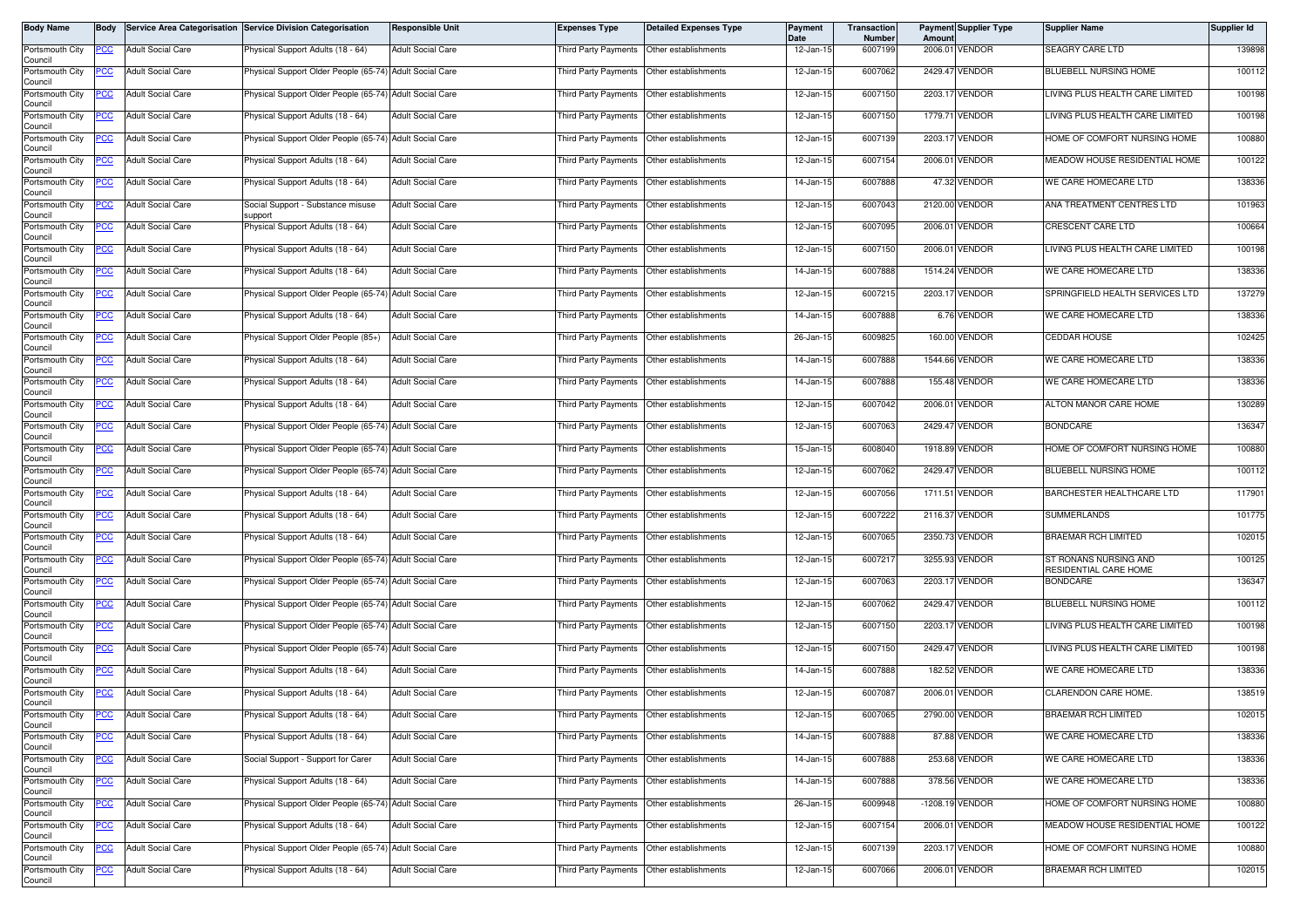| Body Name                  | <b>Body</b> |                          | Service Area Categorisation Service Division Categorisation | <b>Responsible Unit</b>  | <b>Expenses Type</b>                       | <b>Detailed Expenses Type</b>             | Payment<br>Date | Transaction<br><b>Number</b> | Amoun   | <b>Payment Supplier Type</b> | <b>Supplier Name</b>                           | Supplier Id |
|----------------------------|-------------|--------------------------|-------------------------------------------------------------|--------------------------|--------------------------------------------|-------------------------------------------|-----------------|------------------------------|---------|------------------------------|------------------------------------------------|-------------|
| Portsmouth City<br>Council | PCC         | <b>Adult Social Care</b> | Physical Support Adults (18 - 64)                           | <b>Adult Social Care</b> | <b>Third Party Payments</b>                | Other establishments                      | 12-Jan-15       | 6007199                      |         | 2006.01 VENDOR               | SEAGRY CARE LTD                                | 139898      |
| Portsmouth City<br>Council | PCC         | <b>Adult Social Care</b> | Physical Support Older People (65-74) Adult Social Care     |                          | Third Party Payments Other establishments  |                                           | 12-Jan-15       | 6007062                      |         | 2429.47 VENDOR               | BLUEBELL NURSING HOME                          | 100112      |
| Portsmouth City<br>Council | <u>PCC </u> | <b>Adult Social Care</b> | hysical Support Older People (65-74) Adult Social Care      |                          | Third Party Payments Other establishments  |                                           | 12-Jan-15       | 6007150                      |         | 2203.17 VENDOR               | LIVING PLUS HEALTH CARE LIMITED                | 100198      |
| Portsmouth City<br>Council | <u>PCC</u>  | <b>Adult Social Care</b> | Physical Support Adults (18 - 64)                           | <b>Adult Social Care</b> | Third Party Payments                       | Other establishments                      | 12-Jan-15       | 6007150                      |         | 1779.71 VENDOR               | LIVING PLUS HEALTH CARE LIMITED                | 100198      |
| Portsmouth City<br>Council | <u>PCC</u>  | <b>Adult Social Care</b> | Physical Support Older People (65-74) Adult Social Care     |                          | Third Party Payments                       | Other establishments                      | 12-Jan-15       | 6007139                      |         | 2203.17 VENDOR               | HOME OF COMFORT NURSING HOME                   | 100880      |
| Portsmouth City<br>Council | <u>PCC</u>  | <b>Adult Social Care</b> | Physical Support Adults (18 - 64)                           | <b>Adult Social Care</b> | Third Party Payments                       | Other establishments                      | 12-Jan-15       | 6007154                      |         | 2006.01 VENDOR               | MEADOW HOUSE RESIDENTIAL HOME                  | 100122      |
| Portsmouth City<br>Council | <u>PCC</u>  | <b>Adult Social Care</b> | Physical Support Adults (18 - 64)                           | <b>Adult Social Care</b> | Third Party Payments Other establishments  |                                           | 14-Jan-15       | 6007888                      |         | 47.32 VENDOR                 | WE CARE HOMECARE LTD                           | 138336      |
| Portsmouth City<br>Council | <u>PCC</u>  | <b>Adult Social Care</b> | Social Support - Substance misuse<br>support                | <b>Adult Social Care</b> | Third Party Payments                       | Other establishments                      | 12-Jan-15       | 6007043                      |         | 2120.00 VENDOR               | ANA TREATMENT CENTRES LTD                      | 101963      |
| Portsmouth City<br>Council | <u>PCC</u>  | <b>Adult Social Care</b> | Physical Support Adults (18 - 64)                           | <b>Adult Social Care</b> | Third Party Payments                       | Other establishments                      | 12-Jan-15       | 6007095                      |         | 2006.01 VENDOR               | CRESCENT CARE LTD                              | 100664      |
| Portsmouth City<br>Council | PСC         | <b>Adult Social Care</b> | Physical Support Adults (18 - 64)                           | <b>Adult Social Care</b> | Third Party Payments                       | Other establishments                      | 12-Jan-15       | 6007150                      |         | 2006.01 VENDOR               | LIVING PLUS HEALTH CARE LIMITED                | 100198      |
| Portsmouth City<br>Council | <u>PCC</u>  | <b>Adult Social Care</b> | Physical Support Adults (18 - 64)                           | <b>Adult Social Care</b> | Third Party Payments                       | Other establishments                      | 14-Jan-15       | 6007888                      |         | 1514.24 VENDOR               | WE CARE HOMECARE LTD                           | 138336      |
| Portsmouth City<br>Council | <u>PCC </u> | <b>Adult Social Care</b> | Physical Support Older People (65-74) Adult Social Care     |                          | Third Party Payments                       | Other establishments                      | 12-Jan-15       | 6007215                      |         | 2203.17 VENDOR               | SPRINGFIELD HEALTH SERVICES LTD                | 137279      |
| Portsmouth City<br>Council | <u>PCC</u>  | <b>Adult Social Care</b> | Physical Support Adults (18 - 64)                           | <b>Adult Social Care</b> | Third Party Payments                       | Other establishments                      | 14-Jan-15       | 6007888                      |         | 6.76 VENDOR                  | WE CARE HOMECARE LTD                           | 138336      |
| Portsmouth City<br>Council | PСC         | <b>Adult Social Care</b> | Physical Support Older People (85+)                         | <b>Adult Social Care</b> | Third Party Payments                       | Other establishments                      | 26-Jan-15       | 6009825                      |         | 160.00 VENDOR                | <b>CEDDAR HOUSE</b>                            | 102425      |
| Portsmouth City<br>Council | <u>PCC</u>  | <b>Adult Social Care</b> | Physical Support Adults (18 - 64)                           | <b>Adult Social Care</b> | Third Party Payments                       | Other establishments                      | 14-Jan-15       | 6007888                      |         | 1544.66 VENDOR               | WE CARE HOMECARE LTD                           | 138336      |
| Portsmouth City<br>Council | <u>PCC</u>  | <b>Adult Social Care</b> | Physical Support Adults (18 - 64)                           | <b>Adult Social Care</b> | Third Party Payments                       | Other establishments                      | 14-Jan-15       | 6007888                      |         | 155.48 VENDOR                | WE CARE HOMECARE LTD                           | 138336      |
| Portsmouth City<br>Council | <u>PCC</u>  | <b>Adult Social Care</b> | Physical Support Adults (18 - 64)                           | <b>Adult Social Care</b> | Third Party Payments                       | Other establishments                      | 12-Jan-15       | 6007042                      |         | 2006.01 VENDOR               | ALTON MANOR CARE HOME                          | 130289      |
| Portsmouth City<br>Council | PCC         | <b>Adult Social Care</b> | Physical Support Older People (65-74)                       | <b>Adult Social Care</b> | Third Party Payments                       | Other establishments                      | 12-Jan-15       | 6007063                      |         | 2429.47 VENDOR               | <b>BONDCARE</b>                                | 136347      |
| Portsmouth City<br>Council | <u>cc</u>   | <b>Adult Social Care</b> | Physical Support Older People (65-74) Adult Social Care     |                          | <b>Third Party Payments</b>                | Other establishments                      | 15-Jan-15       | 6008040                      |         | 1918.89 VENDOR               | HOME OF COMFORT NURSING HOME                   | 100880      |
| Portsmouth City<br>Council | PСC         | <b>Adult Social Care</b> | Physical Support Older People (65-74) Adult Social Care     |                          | Third Party Payments                       | Other establishments                      | 12-Jan-15       | 6007062                      |         | 2429.47 VENDOR               | BLUEBELL NURSING HOME                          | 100112      |
| Portsmouth City<br>Council | <u>PCC</u>  | <b>Adult Social Care</b> | Physical Support Adults (18 - 64)                           | <b>Adult Social Care</b> | <b>Third Party Payments</b>                | Other establishments                      | 12-Jan-15       | 6007056                      |         | 1711.51 VENDOR               | BARCHESTER HEALTHCARE LTD                      | 117901      |
| Portsmouth City<br>Council | PСC         | <b>Adult Social Care</b> | Physical Support Adults (18 - 64)                           | <b>Adult Social Care</b> | Third Party Payments                       | Other establishments                      | 12-Jan-15       | 6007222                      | 2116.37 | <b>VENDOR</b>                | <b>SUMMERLANDS</b>                             | 101775      |
| Portsmouth City<br>Council | PСC         | <b>Adult Social Care</b> | Physical Support Adults (18 - 64)                           | <b>Adult Social Care</b> | Third Party Payments                       | Other establishments                      | 12-Jan-15       | 6007065                      |         | 2350.73 VENDOR               | BRAEMAR RCH LIMITED                            | 102015      |
| Portsmouth City<br>Council | <u>PCC</u>  | <b>Adult Social Care</b> | hysical Support Older People (65-74) Adult Social Care      |                          | Third Party Payments Other establishments  |                                           | 12-Jan-15       | 6007217                      |         | 3255.93 VENDOR               | ST RONANS NURSING AND<br>RESIDENTIAL CARE HOME | 100125      |
| Portsmouth City<br>Council | <u>PCC</u>  | <b>Adult Social Care</b> | Physical Support Older People (65-74) Adult Social Care     |                          | Third Party Payments                       | Other establishments                      | 12-Jan-15       | 6007063                      |         | 2203.17 VENDOR               | <b>BONDCARE</b>                                | 136347      |
| Portsmouth City<br>Council | PCC         | <b>Adult Social Care</b> | Physical Support Older People (65-74) Adult Social Care     |                          | Third Party Payments                       | Other establishments                      | 12-Jan-15       | 6007062                      |         | 2429.47 VENDOR               | BLUEBELL NURSING HOME                          | 100112      |
| Portsmouth City<br>Council | PCC         | <b>Adult Social Care</b> | Physical Support Older People (65-74) Adult Social Care     |                          | Third Party Payments                       | Other establishments                      | 12-Jan-15       | 6007150                      |         | 2203.17 VENDOR               | LIVING PLUS HEALTH CARE LIMITED                | 100198      |
| Portsmouth City<br>Council | <u>PCC</u>  | <b>Adult Social Care</b> | Physical Support Older People (65-74) Adult Social Care     |                          | Third Party Payments  Other establishments |                                           | 12-Jan-15       | 6007150                      |         | 2429.47 VENDOR               | LIVING PLUS HEALTH CARE LIMITED                | 100198      |
| Portsmouth City<br>Council | <u>CC</u>   | <b>Adult Social Care</b> | Physical Support Adults (18 - 64)                           | <b>Adult Social Care</b> | Third Party Payments                       | Other establishments                      | 14-Jan-15       | 6007888                      |         | 182.52 VENDOR                | WE CARE HOMECARE LTD                           | 138336      |
| Portsmouth City<br>Council | <u>PCC</u>  | <b>Adult Social Care</b> | Physical Support Adults (18 - 64)                           | <b>Adult Social Care</b> | Third Party Payments                       | Other establishments                      | 12-Jan-15       | 6007087                      |         | 2006.01 VENDOR               | CLARENDON CARE HOME.                           | 138519      |
| Portsmouth City<br>Council | <b>PCC</b>  | <b>Adult Social Care</b> | Physical Support Adults (18 - 64)                           | <b>Adult Social Care</b> | Third Party Payments Other establishments  |                                           | 12-Jan-15       | 6007065                      |         | 2790.00 VENDOR               | <b>BRAEMAR RCH LIMITED</b>                     | 102015      |
| Portsmouth City<br>Council | <u>PCC</u>  | <b>Adult Social Care</b> | Physical Support Adults (18 - 64)                           | <b>Adult Social Care</b> | Third Party Payments                       | Other establishments                      | 14-Jan-15       | 6007888                      |         | 87.88 VENDOR                 | WE CARE HOMECARE LTD                           | 138336      |
| Portsmouth City<br>Council | <u>PCC</u>  | <b>Adult Social Care</b> | Social Support - Support for Carer                          | <b>Adult Social Care</b> | Third Party Payments                       | Other establishments                      | 14-Jan-15       | 6007888                      |         | 253.68 VENDOR                | WE CARE HOMECARE LTD                           | 138336      |
| Portsmouth City<br>Council | <u>PCC</u>  | <b>Adult Social Care</b> | Physical Support Adults (18 - 64)                           | <b>Adult Social Care</b> | Third Party Payments Other establishments  |                                           | 14-Jan-15       | 6007888                      |         | 378.56 VENDOR                | WE CARE HOMECARE LTD                           | 138336      |
| Portsmouth City<br>Council | PСC         | Adult Social Care        | Physical Support Older People (65-74) Adult Social Care     |                          | Third Party Payments                       | Other establishments                      | 26-Jan-15       | 6009948                      |         | -1208.19 VENDOR              | HOME OF COMFORT NURSING HOME                   | 100880      |
| Portsmouth City<br>Council | <u>PCC </u> | <b>Adult Social Care</b> | Physical Support Adults (18 - 64)                           | <b>Adult Social Care</b> |                                            | Third Party Payments Other establishments | 12-Jan-15       | 6007154                      |         | 2006.01 VENDOR               | MEADOW HOUSE RESIDENTIAL HOME                  | 100122      |
| Portsmouth City<br>Council | <u>PCC</u>  | <b>Adult Social Care</b> | Physical Support Older People (65-74) Adult Social Care     |                          | Third Party Payments                       | Other establishments                      | 12-Jan-15       | 6007139                      |         | 2203.17 VENDOR               | HOME OF COMFORT NURSING HOME                   | 100880      |
| Portsmouth City<br>Council | <u>PCC</u>  | <b>Adult Social Care</b> | Physical Support Adults (18 - 64)                           | <b>Adult Social Care</b> | Third Party Payments                       | Other establishments                      | 12-Jan-15       | 6007066                      |         | 2006.01 VENDOR               | <b>BRAEMAR RCH LIMITED</b>                     | 102015      |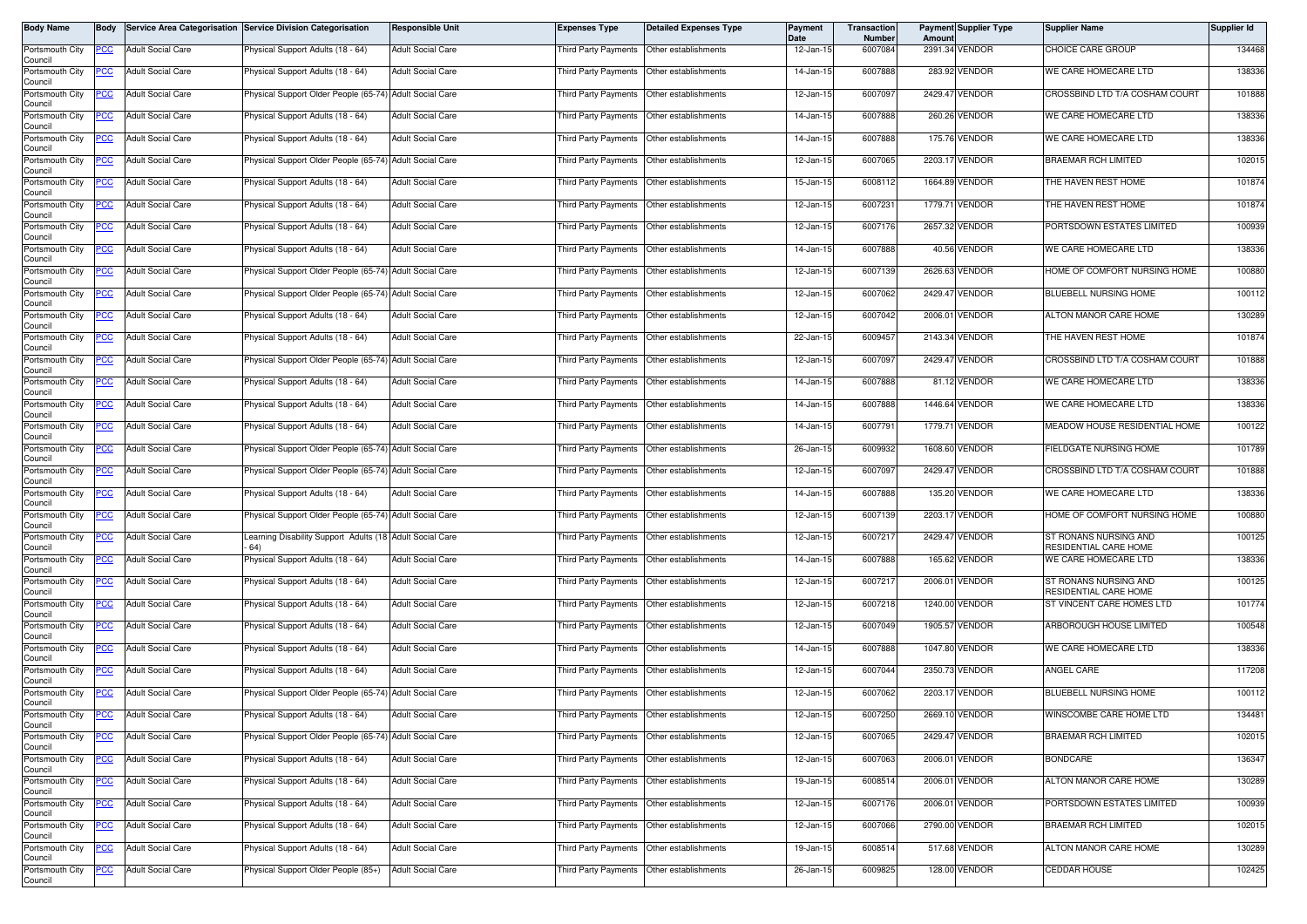| Body Name                             | <b>Body</b> |                          | Service Area Categorisation Service Division Categorisation    | Responsible Unit         | <b>Expenses Type</b>                       | <b>Detailed Expenses Type</b>               | Payment<br>Date | Transaction<br><b>Number</b> | Amount | <b>Payment Supplier Type</b> | <b>Supplier Name</b>                           | Supplier Id |
|---------------------------------------|-------------|--------------------------|----------------------------------------------------------------|--------------------------|--------------------------------------------|---------------------------------------------|-----------------|------------------------------|--------|------------------------------|------------------------------------------------|-------------|
| Portsmouth City<br>Council            | PCC         | <b>Adult Social Care</b> | Physical Support Adults (18 - 64)                              | <b>Adult Social Care</b> | Third Party Payments                       | Other establishments                        | 12-Jan-15       | 6007084                      |        | 2391.34 VENDOR               | CHOICE CARE GROUP                              | 134468      |
| Portsmouth City<br>Council            | ပင          | <b>Adult Social Care</b> | Physical Support Adults (18 - 64)                              | <b>Adult Social Care</b> |                                            | Third Party Payments   Other establishments | 14-Jan-15       | 6007888                      |        | 283.92 VENDOR                | WE CARE HOMECARE LTD                           | 138336      |
| Portsmouth City<br>Council            | <u>CC </u>  | <b>Adult Social Care</b> | hysical Support Older People (65-74) Adult Social Care         |                          | Third Party Payments                       | Other establishments                        | 12-Jan-15       | 6007097                      |        | 2429.47 VENDOR               | CROSSBIND LTD T/A COSHAM COURT                 | 101888      |
| Portsmouth City<br>Council            | <u>PCC</u>  | <b>Adult Social Care</b> | Physical Support Adults (18 - 64)                              | <b>Adult Social Care</b> | Third Party Payments                       | Other establishments                        | 14-Jan-15       | 6007888                      |        | 260.26 VENDOR                | WE CARE HOMECARE LTD                           | 138336      |
| Portsmouth City<br>Council            | <u>PCC</u>  | <b>Adult Social Care</b> | Physical Support Adults (18 - 64)                              | <b>Adult Social Care</b> | <b>Third Party Payments</b>                | Other establishments                        | 14-Jan-15       | 6007888                      |        | 175.76 VENDOR                | WE CARE HOMECARE LTD                           | 138336      |
| Portsmouth City<br>Council            | <u>PCC</u>  | <b>Adult Social Care</b> | Physical Support Older People (65-74) Adult Social Care        |                          | Third Party Payments                       | Other establishments                        | 12-Jan-15       | 6007065                      |        | 2203.17 VENDOR               | BRAEMAR RCH LIMITED                            | 102015      |
| Portsmouth City<br>Council            | <u>PCC</u>  | <b>Adult Social Care</b> | Physical Support Adults (18 - 64)                              | <b>Adult Social Care</b> | Third Party Payments Other establishments  |                                             | 15-Jan-15       | 6008112                      |        | 1664.89 VENDOR               | THE HAVEN REST HOME                            | 101874      |
| Portsmouth City<br>Council            | <u>PCC</u>  | <b>Adult Social Care</b> | Physical Support Adults (18 - 64)                              | <b>Adult Social Care</b> | Third Party Payments                       | Other establishments                        | 12-Jan-15       | 6007231                      |        | 1779.71 VENDOR               | THE HAVEN REST HOME                            | 101874      |
| Portsmouth City                       | <u>PCC</u>  | <b>Adult Social Care</b> | Physical Support Adults (18 - 64)                              | <b>Adult Social Care</b> | Third Party Payments                       | Other establishments                        | 12-Jan-15       | 6007176                      |        | 2657.32 VENDOR               | PORTSDOWN ESTATES LIMITED                      | 100939      |
| Council<br>Portsmouth City<br>Council | PСC         | <b>Adult Social Care</b> | Physical Support Adults (18 - 64)                              | <b>Adult Social Care</b> | Third Party Payments                       | Other establishments                        | 14-Jan-15       | 6007888                      |        | 40.56 VENDOR                 | WE CARE HOMECARE LTD                           | 138336      |
| Portsmouth City<br>Council            | <u>PCC</u>  | <b>Adult Social Care</b> | Physical Support Older People (65-74) Adult Social Care        |                          | Third Party Payments                       | Other establishments                        | 12-Jan-15       | 6007139                      |        | 2626.63 VENDOR               | HOME OF COMFORT NURSING HOME                   | 100880      |
| Portsmouth City<br>Council            | <u>CC </u>  | <b>Adult Social Care</b> | Physical Support Older People (65-74) Adult Social Care        |                          | Third Party Payments                       | Other establishments                        | 12-Jan-15       | 6007062                      |        | 2429.47 VENDOR               | BLUEBELL NURSING HOME                          | 100112      |
| Portsmouth City<br>Council            | <u>PCC</u>  | <b>Adult Social Care</b> | Physical Support Adults (18 - 64)                              | <b>Adult Social Care</b> | Third Party Payments                       | Other establishments                        | 12-Jan-15       | 6007042                      |        | 2006.01 VENDOR               | ALTON MANOR CARE HOME                          | 130289      |
| Portsmouth City<br>Council            | PСC         | <b>Adult Social Care</b> | Physical Support Adults (18 - 64)                              | <b>Adult Social Care</b> | Third Party Payments                       | Other establishments                        | 22-Jan-15       | 6009457                      |        | 2143.34 VENDOR               | THE HAVEN REST HOME                            | 101874      |
| Portsmouth City<br>Council            | <u>PCC</u>  | <b>Adult Social Care</b> | Physical Support Older People (65-74) Adult Social Care        |                          | Third Party Payments                       | Other establishments                        | 12-Jan-15       | 6007097                      |        | 2429.47 VENDOR               | CROSSBIND LTD T/A COSHAM COURT                 | 101888      |
| Portsmouth City<br>Council            | <u>PCC</u>  | <b>Adult Social Care</b> | Physical Support Adults (18 - 64)                              | <b>Adult Social Care</b> | Third Party Payments                       | Other establishments                        | 14-Jan-15       | 6007888                      |        | 81.12 VENDOR                 | WE CARE HOMECARE LTD                           | 138336      |
| Portsmouth City<br>Council            | <u>PCC</u>  | <b>Adult Social Care</b> | Physical Support Adults (18 - 64)                              | <b>Adult Social Care</b> | Third Party Payments                       | Other establishments                        | 14-Jan-15       | 6007888                      |        | 1446.64 VENDOR               | WE CARE HOMECARE LTD                           | 138336      |
| Portsmouth City<br>Council            | PCC         | <b>Adult Social Care</b> | Physical Support Adults (18 - 64)                              | <b>Adult Social Care</b> | Third Party Payments                       | Other establishments                        | 14-Jan-15       | 6007791                      |        | 1779.71 VENDOR               | MEADOW HOUSE RESIDENTIAL HOME                  | 100122      |
| Portsmouth City<br>Council            | <u>cc</u>   | <b>Adult Social Care</b> | hysical Support Older People (65-74) Adult Social Care         |                          | <b>Third Party Payments</b>                | Other establishments                        | 26-Jan-15       | 6009932                      |        | 1608.60 VENDOR               | FIELDGATE NURSING HOME                         | 101789      |
| Portsmouth City<br>Council            | PСC         | <b>Adult Social Care</b> | Physical Support Older People (65-74) Adult Social Care        |                          | Third Party Payments                       | Other establishments                        | 12-Jan-15       | 6007097                      |        | 2429.47 VENDOR               | CROSSBIND LTD T/A COSHAM COURT                 | 101888      |
| Portsmouth City<br>Council            | <u>PCC </u> | <b>Adult Social Care</b> | Physical Support Adults (18 - 64)                              | <b>Adult Social Care</b> | <b>Third Party Payments</b>                | Other establishments                        | 14-Jan-15       | 6007888                      |        | 135.20 VENDOR                | WE CARE HOMECARE LTD                           | 138336      |
| Portsmouth City<br>Council            | PСC         | <b>Adult Social Care</b> | Physical Support Older People (65-74)                          | <b>Adult Social Care</b> | Third Party Payments                       | Other establishments                        | 12-Jan-15       | 6007139                      |        | 2203.17 VENDOR               | HOME OF COMFORT NURSING HOME                   | 100880      |
| Portsmouth City<br>Council            | 'CC         | <b>Adult Social Care</b> | earning Disability Support Adults (18 Adult Social Care<br>64) |                          | Third Party Payments                       | Other establishments                        | 12-Jan-15       | 6007217                      |        | 2429.47 VENDOR               | ST RONANS NURSING AND<br>RESIDENTIAL CARE HOME | 100125      |
| Portsmouth City<br>Council            | PCC         | <b>Adult Social Care</b> | hysical Support Adults (18 - 64)                               | <b>Adult Social Care</b> | Third Party Payments Other establishments  |                                             | 14-Jan-15       | 6007888                      |        | 165.62 VENDOR                | WE CARE HOMECARE LTD                           | 138336      |
| Portsmouth City<br>Council            | <u>PCC</u>  | <b>Adult Social Care</b> | Physical Support Adults (18 - 64)                              | <b>Adult Social Care</b> | Third Party Payments                       | Other establishments                        | 12-Jan-1!       | 6007217                      |        | 2006.01 VENDOR               | ST RONANS NURSING AND<br>RESIDENTIAL CARE HOME | 100125      |
| Portsmouth City<br>Council            | PCC         | <b>Adult Social Care</b> | Physical Support Adults (18 - 64)                              | <b>Adult Social Care</b> | Third Party Payments                       | Other establishments                        | 12-Jan-15       | 6007218                      |        | 1240.00 VENDOR               | ST VINCENT CARE HOMES LTD                      | 101774      |
| Portsmouth City<br>Council            | <u>PCC</u>  | <b>Adult Social Care</b> | Physical Support Adults (18 - 64)                              | <b>Adult Social Care</b> | Third Party Payments                       | Other establishments                        | 12-Jan-15       | 6007049                      |        | 1905.57 VENDOR               | ARBOROUGH HOUSE LIMITED                        | 100548      |
| Portsmouth City<br>Council            | <u>PCC</u>  | <b>Adult Social Care</b> | Physical Support Adults (18 - 64)                              | <b>Adult Social Care</b> | Third Party Payments                       | Other establishments                        | 14-Jan-15       | 6007888                      |        | 1047.80 VENDOR               | WE CARE HOMECARE LTD                           | 138336      |
| Portsmouth City<br>Council            | <u>'CC</u>  | <b>Adult Social Care</b> | Physical Support Adults (18 - 64)                              | <b>Adult Social Care</b> | Third Party Payments                       | Other establishments                        | 12-Jan-15       | 6007044                      |        | 2350.73 VENDOR               | ANGEL CARE                                     | 117208      |
| Portsmouth City<br>Council            | <u>PCC</u>  | <b>Adult Social Care</b> | Physical Support Older People (65-74) Adult Social Care        |                          | Third Party Payments                       | Other establishments                        | 12-Jan-15       | 6007062                      |        | 2203.17 VENDOR               | BLUEBELL NURSING HOME                          | 100112      |
| Portsmouth City<br>Council            | <b>PCC</b>  | <b>Adult Social Care</b> | Physical Support Adults (18 - 64)                              | <b>Adult Social Care</b> | Third Party Payments  Other establishments |                                             | 12-Jan-15       | 6007250                      |        | 2669.10 VENDOR               | WINSCOMBE CARE HOME LTD                        | 134481      |
| Portsmouth City<br>Council            | <u>PCC</u>  | <b>Adult Social Care</b> | Physical Support Older People (65-74) Adult Social Care        |                          | Third Party Payments                       | Other establishments                        | 12-Jan-15       | 6007065                      |        | 2429.47 VENDOR               | <b>BRAEMAR RCH LIMITED</b>                     | 102015      |
| Portsmouth City<br>Council            | <u>PCC</u>  | <b>Adult Social Care</b> | Physical Support Adults (18 - 64)                              | <b>Adult Social Care</b> | Third Party Payments                       | Other establishments                        | 12-Jan-15       | 6007063                      |        | 2006.01 VENDOR               | BONDCARE                                       | 136347      |
| Portsmouth City<br>Council            | <u>PCC</u>  | <b>Adult Social Care</b> | Physical Support Adults (18 - 64)                              | <b>Adult Social Care</b> | Third Party Payments Other establishments  |                                             | 19-Jan-15       | 6008514                      |        | 2006.01 VENDOR               | ALTON MANOR CARE HOME                          | 130289      |
| Portsmouth City<br>Council            | <u>PCC</u>  | Adult Social Care        | Physical Support Adults (18 - 64)                              | <b>Adult Social Care</b> | Third Party Payments                       | Other establishments                        | 12-Jan-15       | 6007176                      |        | 2006.01 VENDOR               | PORTSDOWN ESTATES LIMITED                      | 100939      |
| Portsmouth City<br>Council            | <u>PCC </u> | <b>Adult Social Care</b> | Physical Support Adults (18 - 64)                              | <b>Adult Social Care</b> |                                            | Third Party Payments Other establishments   | 12-Jan-15       | 6007066                      |        | 2790.00 VENDOR               | <b>BRAEMAR RCH LIMITED</b>                     | 102015      |
| Portsmouth City<br>Council            | <u>PCC</u>  | <b>Adult Social Care</b> | Physical Support Adults (18 - 64)                              | <b>Adult Social Care</b> | hird Party Payments                        | Other establishments                        | 19-Jan-15       | 6008514                      |        | 517.68 VENDOR                | ALTON MANOR CARE HOME                          | 130289      |
| Portsmouth City<br>Council            | <u>PCC</u>  | <b>Adult Social Care</b> | Physical Support Older People (85+)                            | <b>Adult Social Care</b> | Third Party Payments                       | Other establishments                        | 26-Jan-15       | 6009825                      |        | 128.00 VENDOR                | <b>CEDDAR HOUSE</b>                            | 102425      |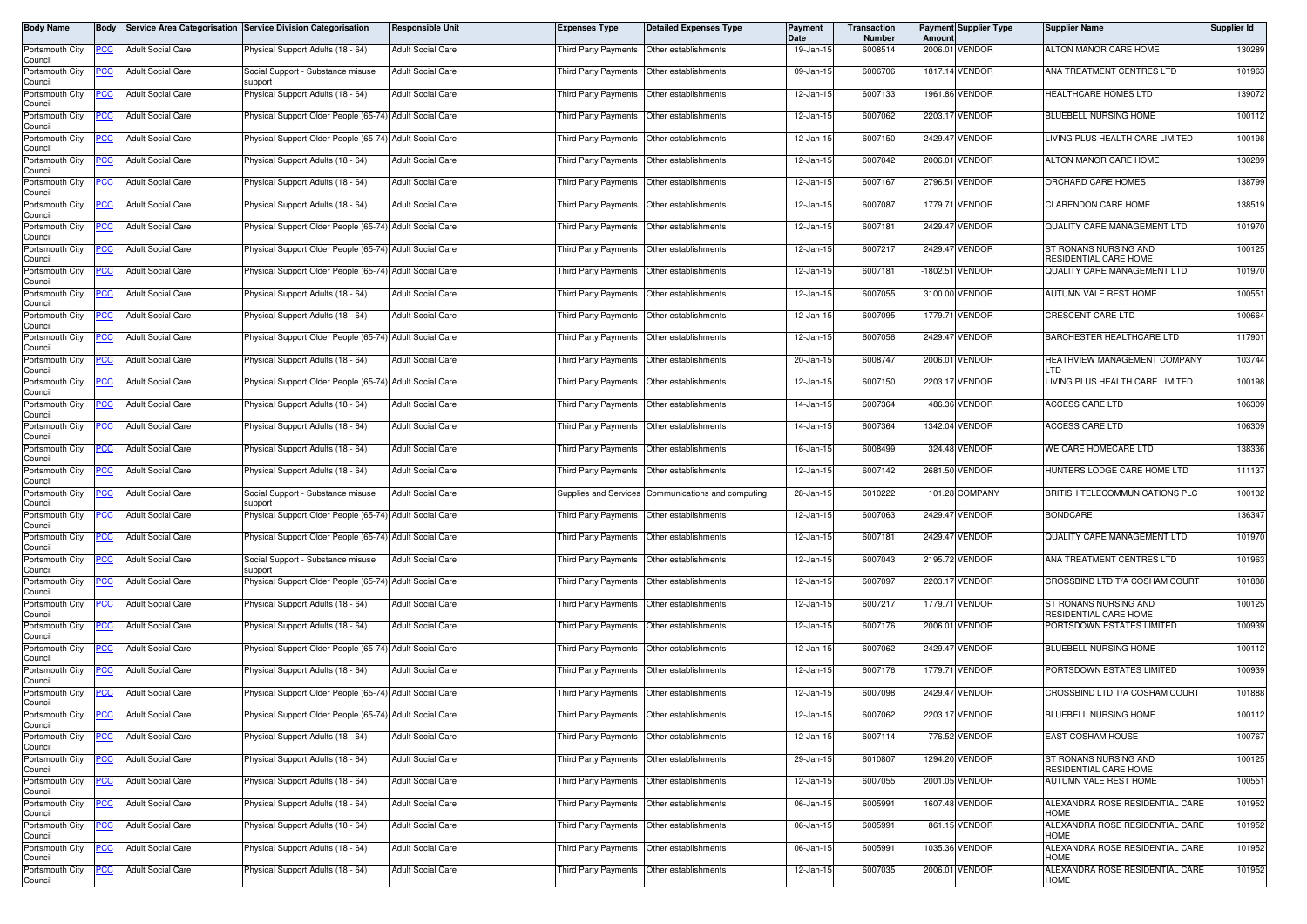| Body Name                  | <b>Body</b> |                          | Service Area Categorisation Service Division Categorisation | Responsible Unit         | <b>Expenses Type</b>                      | <b>Detailed Expenses Type</b>             | Payment<br>Date | Transaction<br><b>Number</b> | Amoun   | <b>Payment Supplier Type</b> | <b>Supplier Name</b>                           | Supplier Id |
|----------------------------|-------------|--------------------------|-------------------------------------------------------------|--------------------------|-------------------------------------------|-------------------------------------------|-----------------|------------------------------|---------|------------------------------|------------------------------------------------|-------------|
| Portsmouth City<br>Council | PCC         | <b>Adult Social Care</b> | Physical Support Adults (18 - 64)                           | <b>Adult Social Care</b> | Third Party Payments                      | Other establishments                      | 19-Jan-15       | 6008514                      |         | 2006.01 VENDOR               | ALTON MANOR CARE HOME                          | 130289      |
| Portsmouth City<br>Council | ပင          | <b>Adult Social Care</b> | Social Support - Substance misuse<br>upport                 | <b>Adult Social Care</b> | Third Party Payments Other establishments |                                           | 09-Jan-15       | 6006706                      |         | 1817.14 VENDOR               | ANA TREATMENT CENTRES LTD                      | 101963      |
| Portsmouth City<br>Council | <u>CC </u>  | <b>Adult Social Care</b> | <sup>9</sup> hysical Support Adults (18 - 64)               | <b>Adult Social Care</b> | Third Party Payments                      | Other establishments                      | 12-Jan-15       | 6007133                      |         | 1961.86 VENDOR               | HEALTHCARE HOMES LTD                           | 139072      |
| Portsmouth City<br>Council | <u>CC</u>   | <b>Adult Social Care</b> | Physical Support Older People (65-74) Adult Social Care     |                          | Third Party Payments                      | Other establishments                      | 12-Jan-15       | 6007062                      | 2203.17 | VENDOR                       | BLUEBELL NURSING HOME                          | 100112      |
| Portsmouth City<br>Council | <u>PCC</u>  | <b>Adult Social Care</b> | Physical Support Older People (65-74) Adult Social Care     |                          | Third Party Payments                      | Other establishments                      | 12-Jan-15       | 6007150                      |         | 2429.47 VENDOR               | LIVING PLUS HEALTH CARE LIMITED                | 100198      |
| Portsmouth City<br>Council | <u>PCC</u>  | <b>Adult Social Care</b> | Physical Support Adults (18 - 64)                           | <b>Adult Social Care</b> | Third Party Payments                      | Other establishments                      | 12-Jan-15       | 6007042                      |         | 2006.01 VENDOR               | ALTON MANOR CARE HOME                          | 130289      |
| Portsmouth City<br>Council | <u>PCC</u>  | <b>Adult Social Care</b> | Physical Support Adults (18 - 64)                           | <b>Adult Social Care</b> | Third Party Payments Other establishments |                                           | 12-Jan-15       | 6007167                      |         | 2796.51 VENDOR               | ORCHARD CARE HOMES                             | 138799      |
| Portsmouth City<br>Council | <u>PCC</u>  | <b>Adult Social Care</b> | Physical Support Adults (18 - 64)                           | <b>Adult Social Care</b> | Third Party Payments                      | Other establishments                      | 12-Jan-15       | 6007087                      |         | 1779.71 VENDOR               | CLARENDON CARE HOME.                           | 138519      |
| Portsmouth City<br>Council | PCC         | <b>Adult Social Care</b> | Physical Support Older People (65-74) Adult Social Care     |                          | <b>Third Party Payments</b>               | Other establishments                      | 12-Jan-15       | 6007181                      |         | 2429.47 VENDOR               | QUALITY CARE MANAGEMENT LTD                    | 101970      |
| Portsmouth City<br>Council | PСC         | <b>Adult Social Care</b> | Physical Support Older People (65-74) Adult Social Care     |                          | Third Party Payments                      | Other establishments                      | 12-Jan-15       | 6007217                      |         | 2429.47 VENDOR               | ST RONANS NURSING AND<br>RESIDENTIAL CARE HOME | 100125      |
| Portsmouth City<br>Council | <u>PCC</u>  | <b>Adult Social Care</b> | Physical Support Older People (65-74) Adult Social Care     |                          | Third Party Payments                      | Other establishments                      | 12-Jan-15       | 6007181                      |         | -1802.51 VENDOR              | QUALITY CARE MANAGEMENT LTD                    | 101970      |
| Portsmouth City<br>Council | <u>CC </u>  | <b>Adult Social Care</b> | Physical Support Adults (18 - 64)                           | <b>Adult Social Care</b> | Third Party Payments                      | Other establishments                      | 12-Jan-15       | 6007055                      |         | 3100.00 VENDOR               | AUTUMN VALE REST HOME                          | 100551      |
| Portsmouth City<br>Council | <u>CC </u>  | <b>Adult Social Care</b> | Physical Support Adults (18 - 64)                           | <b>Adult Social Care</b> | Third Party Payments                      | Other establishments                      | 12-Jan-15       | 6007095                      |         | 1779.71 VENDOR               | <b>CRESCENT CARE LTD</b>                       | 100664      |
| Portsmouth City<br>Council | PСC         | <b>Adult Social Care</b> | Physical Support Older People (65-74) Adult Social Care     |                          | Third Party Payments                      | Other establishments                      | 12-Jan-15       | 6007056                      |         | 2429.47 VENDOR               | BARCHESTER HEALTHCARE LTD                      | 117901      |
| Portsmouth City<br>Council | <u>PCC</u>  | <b>Adult Social Care</b> | Physical Support Adults (18 - 64)                           | <b>Adult Social Care</b> | Third Party Payments                      | Other establishments                      | 20-Jan-15       | 6008747                      |         | 2006.01 VENDOR               | HEATHVIEW MANAGEMENT COMPANY<br>חד ו           | 103744      |
| Portsmouth City<br>Council | <u>PCC</u>  | <b>Adult Social Care</b> | Physical Support Older People (65-74)                       | <b>Adult Social Care</b> | Third Party Payments                      | Other establishments                      | 12-Jan-15       | 6007150                      |         | 2203.17 VENDOR               | LIVING PLUS HEALTH CARE LIMITED                | 100198      |
| Portsmouth City<br>Council | <u>CC</u>   | <b>Adult Social Care</b> | Physical Support Adults (18 - 64)                           | <b>Adult Social Care</b> | Third Party Payments                      | Other establishments                      | 14-Jan-15       | 6007364                      |         | 486.36 VENDOR                | ACCESS CARE LTD                                | 106309      |
| Portsmouth City<br>Council | PCC         | <b>Adult Social Care</b> | Physical Support Adults (18 - 64)                           | <b>Adult Social Care</b> | Third Party Payments                      | Other establishments                      | 14-Jan-15       | 6007364                      |         | 1342.04 VENDOR               | ACCESS CARE LTD                                | 106309      |
| Portsmouth City<br>Council | <u>cc</u>   | <b>Adult Social Care</b> | Physical Support Adults (18 - 64)                           | <b>Adult Social Care</b> | <b>Third Party Payments</b>               | Other establishments                      | 16-Jan-15       | 6008499                      |         | 324.48 VENDOR                | WE CARE HOMECARE LTD                           | 138336      |
| Portsmouth City<br>Council | PСC         | <b>Adult Social Care</b> | Physical Support Adults (18 - 64)                           | <b>Adult Social Care</b> | Third Party Payments                      | Other establishments                      | 12-Jan-15       | 6007142                      |         | 2681.50 VENDOR               | HUNTERS LODGE CARE HOME LTD                    | 111137      |
| Portsmouth City<br>Council | <u>PCC</u>  | <b>Adult Social Care</b> | Social Support - Substance misuse<br>upport                 | <b>Adult Social Care</b> | Supplies and Services                     | Communications and computing              | 28-Jan-15       | 6010222                      |         | 101.28 COMPANY               | BRITISH TELECOMMUNICATIONS PLC                 | 100132      |
| Portsmouth City<br>Council | PСC         | <b>Adult Social Care</b> | Physical Support Older People (65-74)                       | <b>Adult Social Care</b> | Third Party Payments                      | Other establishments                      | 12-Jan-15       | 6007063                      |         | 2429.47 VENDOR               | <b>BONDCARE</b>                                | 136347      |
| Portsmouth City<br>Council | сc          | <b>Adult Social Care</b> | hysical Support Older People (65-74) Adult Social Care      |                          | Third Party Payments                      | Other establishments                      | 12-Jan-15       | 6007181                      |         | 2429.47 VENDOR               | QUALITY CARE MANAGEMENT LTD                    | 101970      |
| Portsmouth City<br>Council | PCC         | <b>Adult Social Care</b> | Social Support - Substance misuse<br>support                | <b>Adult Social Care</b> | Third Party Payments                      | Other establishments                      | 12-Jan-15       | 6007043                      |         | 2195.72 VENDOR               | ANA TREATMENT CENTRES LTD                      | 101963      |
| Portsmouth City<br>Council | <u>PCC </u> | <b>Adult Social Care</b> | Physical Support Older People (65-74) Adult Social Care     |                          | Third Party Payments                      | Other establishments                      | 12-Jan-1!       | 6007097                      |         | 2203.17 VENDOR               | CROSSBIND LTD T/A COSHAM COURT                 | 101888      |
| Portsmouth City<br>Council | PCC         | <b>Adult Social Care</b> | Physical Support Adults (18 - 64)                           | <b>Adult Social Care</b> | Third Party Payments                      | Other establishments                      | 12-Jan-15       | 6007217                      |         | 1779.71 VENDOR               | ST RONANS NURSING AND<br>RESIDENTIAL CARE HOME | 100125      |
| Portsmouth City<br>Council | <u>PCC</u>  | <b>Adult Social Care</b> | Physical Support Adults (18 - 64)                           | <b>Adult Social Care</b> | Third Party Payments                      | Other establishments                      | 12-Jan-15       | 6007176                      |         | 2006.01 VENDOR               | PORTSDOWN ESTATES LIMITED                      | 100939      |
| Portsmouth City<br>Council | <u>PCC</u>  | <b>Adult Social Care</b> | Physical Support Older People (65-74) Adult Social Care     |                          | Third Party Payments                      | Other establishments                      | 12-Jan-15       | 6007062                      |         | 2429.47 VENDOR               | BLUEBELL NURSING HOME                          | 100112      |
| Portsmouth City<br>Council | <u>cc</u>   | <b>Adult Social Care</b> | Physical Support Adults (18 - 64)                           | <b>Adult Social Care</b> | Third Party Payments                      | Other establishments                      | 12-Jan-15       | 6007176                      |         | 1779.71 VENDOR               | PORTSDOWN ESTATES LIMITED                      | 100939      |
| Portsmouth City<br>Council | <u>PCC</u>  | <b>Adult Social Care</b> | Physical Support Older People (65-74) Adult Social Care     |                          | <b>Third Party Payments</b>               | Other establishments                      | 12-Jan-15       | 6007098                      |         | 2429.47 VENDOR               | CROSSBIND LTD T/A COSHAM COURT                 | 101888      |
| Portsmouth City<br>Council | <b>PCC</b>  | <b>Adult Social Care</b> | Physical Support Older People (65-74) Adult Social Care     |                          | Third Party Payments Other establishments |                                           | 12-Jan-15       | 6007062                      |         | 2203.17 VENDOR               | BLUEBELL NURSING HOME                          | 100112      |
| Portsmouth City<br>Council | <u>PCC</u>  | <b>Adult Social Care</b> | Physical Support Adults (18 - 64)                           | <b>Adult Social Care</b> | Third Party Payments                      | Other establishments                      | 12-Jan-15       | 6007114                      |         | 776.52 VENDOR                | EAST COSHAM HOUSE                              | 100767      |
| Portsmouth City<br>Council | °СС         | <b>Adult Social Care</b> | Physical Support Adults (18 - 64)                           | <b>Adult Social Care</b> | Third Party Payments                      | Other establishments                      | 29-Jan-15       | 6010807                      |         | 1294.20 VENDOR               | ST RONANS NURSING AND<br>RESIDENTIAL CARE HOME | 100125      |
| Portsmouth City<br>Council | PCC         | <b>Adult Social Care</b> | Physical Support Adults (18 - 64)                           | <b>Adult Social Care</b> | Third Party Payments                      | Other establishments                      | 12-Jan-15       | 6007055                      |         | 2001.05 VENDOR               | AUTUMN VALE REST HOME                          | 100551      |
| Portsmouth City<br>Council | PСC         | <b>Adult Social Care</b> | Physical Support Adults (18 - 64)                           | <b>Adult Social Care</b> | Third Party Payments                      | Other establishments                      | 06-Jan-15       | 6005991                      |         | 1607.48 VENDOR               | ALEXANDRA ROSE RESIDENTIAL CARE<br><b>HOME</b> | 101952      |
| Portsmouth City<br>Council | <u>CC </u>  | <b>Adult Social Care</b> | Physical Support Adults (18 - 64)                           | <b>Adult Social Care</b> |                                           | Third Party Payments Other establishments | 06-Jan-15       | 6005991                      |         | 861.15 VENDOR                | ALEXANDRA ROSE RESIDENTIAL CARE<br><b>HOME</b> | 101952      |
| Portsmouth City<br>Council | <u>PCC</u>  | <b>Adult Social Care</b> | Physical Support Adults (18 - 64)                           | <b>Adult Social Care</b> | Third Party Payments                      | Other establishments                      | 06-Jan-15       | 6005991                      |         | 1035.36 VENDOR               | ALEXANDRA ROSE RESIDENTIAL CARE<br><b>HOME</b> | 101952      |
| Portsmouth City<br>Council | <u>PCC</u>  | <b>Adult Social Care</b> | Physical Support Adults (18 - 64)                           | <b>Adult Social Care</b> | Third Party Payments                      | Other establishments                      | 12-Jan-15       | 6007035                      |         | 2006.01 VENDOR               | ALEXANDRA ROSE RESIDENTIAL CARE<br><b>HOME</b> | 101952      |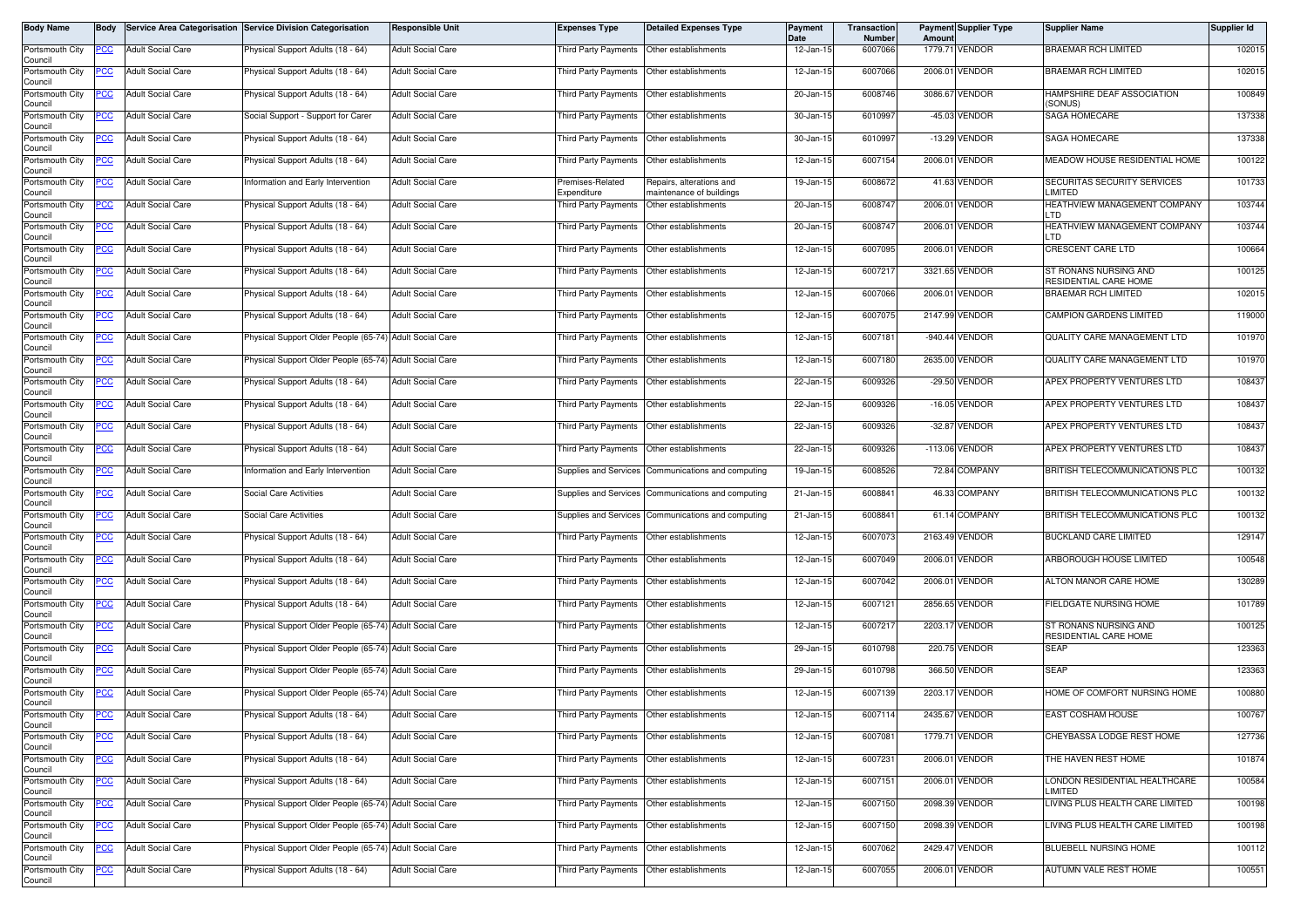| Body Name                  | <b>Body</b> |                          | Service Area Categorisation Service Division Categorisation | <b>Responsible Unit</b>  | <b>Expenses Type</b>                      | <b>Detailed Expenses Type</b>                        | Payment<br>Date | Transaction<br>Number | Amount | <b>Payment Supplier Type</b> | <b>Supplier Name</b>                           | Supplier Id |
|----------------------------|-------------|--------------------------|-------------------------------------------------------------|--------------------------|-------------------------------------------|------------------------------------------------------|-----------------|-----------------------|--------|------------------------------|------------------------------------------------|-------------|
| Portsmouth City<br>Council | PCC         | <b>Adult Social Care</b> | Physical Support Adults (18 - 64)                           | <b>Adult Social Care</b> | Third Party Payments                      | Other establishments                                 | 12-Jan-15       | 6007066               |        | 1779.71 VENDOR               | BRAEMAR RCH LIMITED                            | 102015      |
| Portsmouth City<br>Council | ပင          | <b>Adult Social Care</b> | Physical Support Adults (18 - 64)                           | <b>Adult Social Care</b> | Third Party Payments Other establishments |                                                      | 12-Jan-15       | 6007066               |        | 2006.01 VENDOR               | <b>BRAEMAR RCH LIMITED</b>                     | 102015      |
| Portsmouth City<br>Council | <u>CC </u>  | <b>Adult Social Care</b> | <sup>9</sup> hysical Support Adults (18 - 64)               | <b>Adult Social Care</b> | Third Party Payments                      | Other establishments                                 | 20-Jan-15       | 6008746               |        | 3086.67 VENDOR               | HAMPSHIRE DEAF ASSOCIATION<br>(SONUS)          | 100849      |
| Portsmouth City<br>Council | <u>PCC</u>  | <b>Adult Social Care</b> | Social Support - Support for Carer                          | <b>Adult Social Care</b> | Third Party Payments                      | Other establishments                                 | 30-Jan-15       | 6010997               |        | -45.03 VENDOR                | SAGA HOMECARE                                  | 137338      |
| Portsmouth City<br>Council | <u>PCC</u>  | <b>Adult Social Care</b> | Physical Support Adults (18 - 64)                           | <b>Adult Social Care</b> | <b>Third Party Payments</b>               | Other establishments                                 | 30-Jan-15       | 6010997               |        | -13.29 VENDOR                | SAGA HOMECARE                                  | 137338      |
| Portsmouth City<br>Council | <u>PCC</u>  | <b>Adult Social Care</b> | Physical Support Adults (18 - 64)                           | <b>Adult Social Care</b> | Third Party Payments                      | Other establishments                                 | 12-Jan-15       | 6007154               |        | 2006.01 VENDOR               | MEADOW HOUSE RESIDENTIAL HOME                  | 100122      |
| Portsmouth City<br>Council | <u>PCC</u>  | <b>Adult Social Care</b> | Information and Early Intervention                          | <b>Adult Social Care</b> | Premises-Related<br>Expenditure           | Repairs, alterations and<br>naintenance of buildings | 19-Jan-15       | 6008672               |        | 41.63 VENDOR                 | SECURITAS SECURITY SERVICES<br>LIMITED         | 101733      |
| Portsmouth City<br>Council | <u>PCC</u>  | <b>Adult Social Care</b> | Physical Support Adults (18 - 64)                           | <b>Adult Social Care</b> | <b>Third Party Payments</b>               | Other establishments                                 | 20-Jan-15       | 6008747               |        | 2006.01 VENDOR               | HEATHVIEW MANAGEMENT COMPANY<br>LTD            | 103744      |
| Portsmouth City<br>Council | PCC         | <b>Adult Social Care</b> | Physical Support Adults (18 - 64)                           | <b>Adult Social Care</b> | Third Party Payments                      | Other establishments                                 | 20-Jan-15       | 6008747               |        | 2006.01 VENDOR               | HEATHVIEW MANAGEMENT COMPANY<br>LTD            | 103744      |
| Portsmouth City<br>Council | PСC         | <b>Adult Social Care</b> | Physical Support Adults (18 - 64)                           | <b>Adult Social Care</b> | Third Party Payments                      | Other establishments                                 | 12-Jan-15       | 6007095               |        | 2006.01 VENDOR               | CRESCENT CARE LTD                              | 100664      |
| Portsmouth City<br>Council | <u>PCC</u>  | <b>Adult Social Care</b> | Physical Support Adults (18 - 64)                           | <b>Adult Social Care</b> | Third Party Payments                      | Other establishments                                 | 12-Jan-15       | 6007217               |        | 3321.65 VENDOR               | ST RONANS NURSING AND<br>RESIDENTIAL CARE HOME | 100125      |
| Portsmouth City<br>Council | <u>CC </u>  | <b>Adult Social Care</b> | Physical Support Adults (18 - 64)                           | <b>Adult Social Care</b> | Third Party Payments                      | Other establishments                                 | 12-Jan-15       | 6007066               |        | 2006.01 VENDOR               | <b>BRAEMAR RCH LIMITED</b>                     | 102015      |
| Portsmouth City<br>Council | <u>PCC</u>  | <b>Adult Social Care</b> | Physical Support Adults (18 - 64)                           | <b>Adult Social Care</b> | Third Party Payments                      | Other establishments                                 | 12-Jan-15       | 6007075               |        | 2147.99 VENDOR               | CAMPION GARDENS LIMITED                        | 119000      |
| Portsmouth City<br>Council | PСC         | <b>Adult Social Care</b> | Physical Support Older People (65-74) Adult Social Care     |                          | Third Party Payments                      | Other establishments                                 | 12-Jan-15       | 6007181               |        | -940.44 VENDOR               | QUALITY CARE MANAGEMENT LTD                    | 101970      |
| Portsmouth City<br>Council | <u>PCC</u>  | <b>Adult Social Care</b> | Physical Support Older People (65-74) Adult Social Care     |                          | Third Party Payments                      | Other establishments                                 | 12-Jan-15       | 6007180               |        | 2635.00 VENDOR               | QUALITY CARE MANAGEMENT LTD                    | 101970      |
| Portsmouth City<br>Council | <u>PCC</u>  | <b>Adult Social Care</b> | Physical Support Adults (18 - 64)                           | <b>Adult Social Care</b> | Third Party Payments                      | Other establishments                                 | 22-Jan-15       | 6009326               |        | -29.50 VENDOR                | APEX PROPERTY VENTURES LTD                     | 108437      |
| Portsmouth City<br>Council |             | <b>Adult Social Care</b> | Physical Support Adults (18 - 64)                           | <b>Adult Social Care</b> | Third Party Payments                      | Other establishments                                 | 22-Jan-15       | 6009326               |        | $-16.05$ VENDOR              | APEX PROPERTY VENTURES LTD                     | 108437      |
| Portsmouth City<br>Council | PCC         | <b>Adult Social Care</b> | Physical Support Adults (18 - 64)                           | <b>Adult Social Care</b> | Third Party Payments                      | Other establishments                                 | 22-Jan-15       | 6009326               |        | -32.87 VENDOR                | APEX PROPERTY VENTURES LTD                     | 108437      |
| Portsmouth City<br>Council | <u>cc</u>   | <b>Adult Social Care</b> | Physical Support Adults (18 - 64)                           | <b>Adult Social Care</b> | <b>Third Party Payments</b>               | Other establishments                                 | 22-Jan-15       | 6009326               |        | -113.06 VENDOR               | APEX PROPERTY VENTURES LTD                     | 108437      |
| Portsmouth City<br>Council | PСC         | <b>Adult Social Care</b> | nformation and Early Intervention                           | <b>Adult Social Care</b> | Supplies and Services                     | Communications and computing                         | 19-Jan-15       | 6008526               |        | 72.84 COMPANY                | BRITISH TELECOMMUNICATIONS PLC                 | 100132      |
| Portsmouth City<br>Council | <u>PCC</u>  | <b>Adult Social Care</b> | <b>Social Care Activities</b>                               | <b>Adult Social Care</b> | Supplies and Services                     | Communications and computing                         | 21-Jan-15       | 6008841               |        | 46.33 COMPANY                | BRITISH TELECOMMUNICATIONS PLC                 | 100132      |
| Portsmouth City<br>Council | PСC         | <b>Adult Social Care</b> | Social Care Activities                                      | <b>Adult Social Care</b> | Supplies and Services                     | Communications and computing                         | 21-Jan-15       | 6008841               |        | 61.14 COMPANY                | BRITISH TELECOMMUNICATIONS PLC                 | 100132      |
| Portsmouth City<br>Council | сc          | <b>Adult Social Care</b> | Physical Support Adults (18 - 64)                           | <b>Adult Social Care</b> | Third Party Payments                      | Other establishments                                 | 12-Jan-15       | 6007073               |        | 2163.49 VENDOR               | <b>BUCKLAND CARE LIMITED</b>                   | 129147      |
| Portsmouth City<br>Council | <u>PCC</u>  | <b>Adult Social Care</b> | hysical Support Adults (18 - 64)                            | <b>Adult Social Care</b> | Third Party Payments Other establishments |                                                      | 12-Jan-15       | 6007049               |        | 2006.01 VENDOR               | ARBOROUGH HOUSE LIMITED                        | 100548      |
| Portsmouth City<br>Council | <u>PCC</u>  | <b>Adult Social Care</b> | Physical Support Adults (18 - 64)                           | <b>Adult Social Care</b> | Third Party Payments                      | Other establishments                                 | 12-Jan-1!       | 6007042               |        | 2006.01 VENDOR               | ALTON MANOR CARE HOME                          | 130289      |
| Portsmouth City<br>Council | PCC         | <b>Adult Social Care</b> | Physical Support Adults (18 - 64)                           | <b>Adult Social Care</b> | Third Party Payments                      | Other establishments                                 | 12-Jan-15       | 6007121               |        | 2856.65 VENDOR               | FIELDGATE NURSING HOME                         | 101789      |
| Portsmouth City<br>Council | PCC         | <b>Adult Social Care</b> | Physical Support Older People (65-74) Adult Social Care     |                          | Third Party Payments                      | Other establishments                                 | 12-Jan-15       | 6007217               |        | 2203.17 VENDOR               | ST RONANS NURSING AND<br>RESIDENTIAL CARE HOME | 100125      |
| Portsmouth City<br>Council | <u>PCC</u>  | <b>Adult Social Care</b> | Physical Support Older People (65-74) Adult Social Care     |                          | Third Party Payments                      | Other establishments                                 | 29-Jan-15       | 6010798               |        | 220.75 VENDOR                | <b>SEAP</b>                                    | 123363      |
| Portsmouth City<br>Council | <u>'CC</u>  | <b>Adult Social Care</b> | Physical Support Older People (65-74) Adult Social Care     |                          | Third Party Payments                      | Other establishments                                 | 29-Jan-15       | 6010798               |        | 366.50 VENDOR                | <b>SEAP</b>                                    | 123363      |
| Portsmouth City<br>Council | <u>PCC</u>  | <b>Adult Social Care</b> | Physical Support Older People (65-74) Adult Social Care     |                          | Third Party Payments                      | Other establishments                                 | 12-Jan-15       | 6007139               |        | 2203.17 VENDOR               | HOME OF COMFORT NURSING HOME                   | 100880      |
| Portsmouth City<br>Council | <b>PCC</b>  | <b>Adult Social Care</b> | Physical Support Adults (18 - 64)                           | <b>Adult Social Care</b> | Third Party Payments Other establishments |                                                      | 12-Jan-15       | 6007114               |        | 2435.67 VENDOR               | EAST COSHAM HOUSE                              | 100767      |
| Portsmouth City<br>Council | <u>PCC</u>  | <b>Adult Social Care</b> | Physical Support Adults (18 - 64)                           | <b>Adult Social Care</b> | Third Party Payments                      | Other establishments                                 | 12-Jan-15       | 6007081               |        | 1779.71 VENDOR               | CHEYBASSA LODGE REST HOME                      | 127736      |
| Portsmouth City<br>Council | <u>PCC</u>  | <b>Adult Social Care</b> | Physical Support Adults (18 - 64)                           | <b>Adult Social Care</b> | Third Party Payments                      | Other establishments                                 | 12-Jan-15       | 6007231               |        | 2006.01 VENDOR               | THE HAVEN REST HOME                            | 101874      |
| Portsmouth City<br>Council | <u>PCC</u>  | <b>Adult Social Care</b> | Physical Support Adults (18 - 64)                           | <b>Adult Social Care</b> |                                           | Third Party Payments Other establishments            | 12-Jan-15       | 6007151               |        | 2006.01 VENDOR               | LONDON RESIDENTIAL HEALTHCARE<br>LIMITED       | 100584      |
| Portsmouth City<br>Council | PСC         | Adult Social Care        | Physical Support Older People (65-74) Adult Social Care     |                          | Third Party Payments                      | Other establishments                                 | 12-Jan-15       | 6007150               |        | 2098.39 VENDOR               | LIVING PLUS HEALTH CARE LIMITED                | 100198      |
| Portsmouth City<br>Council | <u>PCC </u> | <b>Adult Social Care</b> | Physical Support Older People (65-74) Adult Social Care     |                          |                                           | Third Party Payments Other establishments            | 12-Jan-15       | 6007150               |        | 2098.39 VENDOR               | LIVING PLUS HEALTH CARE LIMITED                | 100198      |
| Portsmouth City<br>Council | <u>PCC</u>  | <b>Adult Social Care</b> | Physical Support Older People (65-74) Adult Social Care     |                          | Third Party Payments                      | Other establishments                                 | 12-Jan-15       | 6007062               |        | 2429.47 VENDOR               | BLUEBELL NURSING HOME                          | 100112      |
| Portsmouth City<br>Council | <u>PCC</u>  | <b>Adult Social Care</b> | Physical Support Adults (18 - 64)                           | <b>Adult Social Care</b> | Third Party Payments                      | Other establishments                                 | 12-Jan-15       | 6007055               |        | 2006.01 VENDOR               | AUTUMN VALE REST HOME                          | 100551      |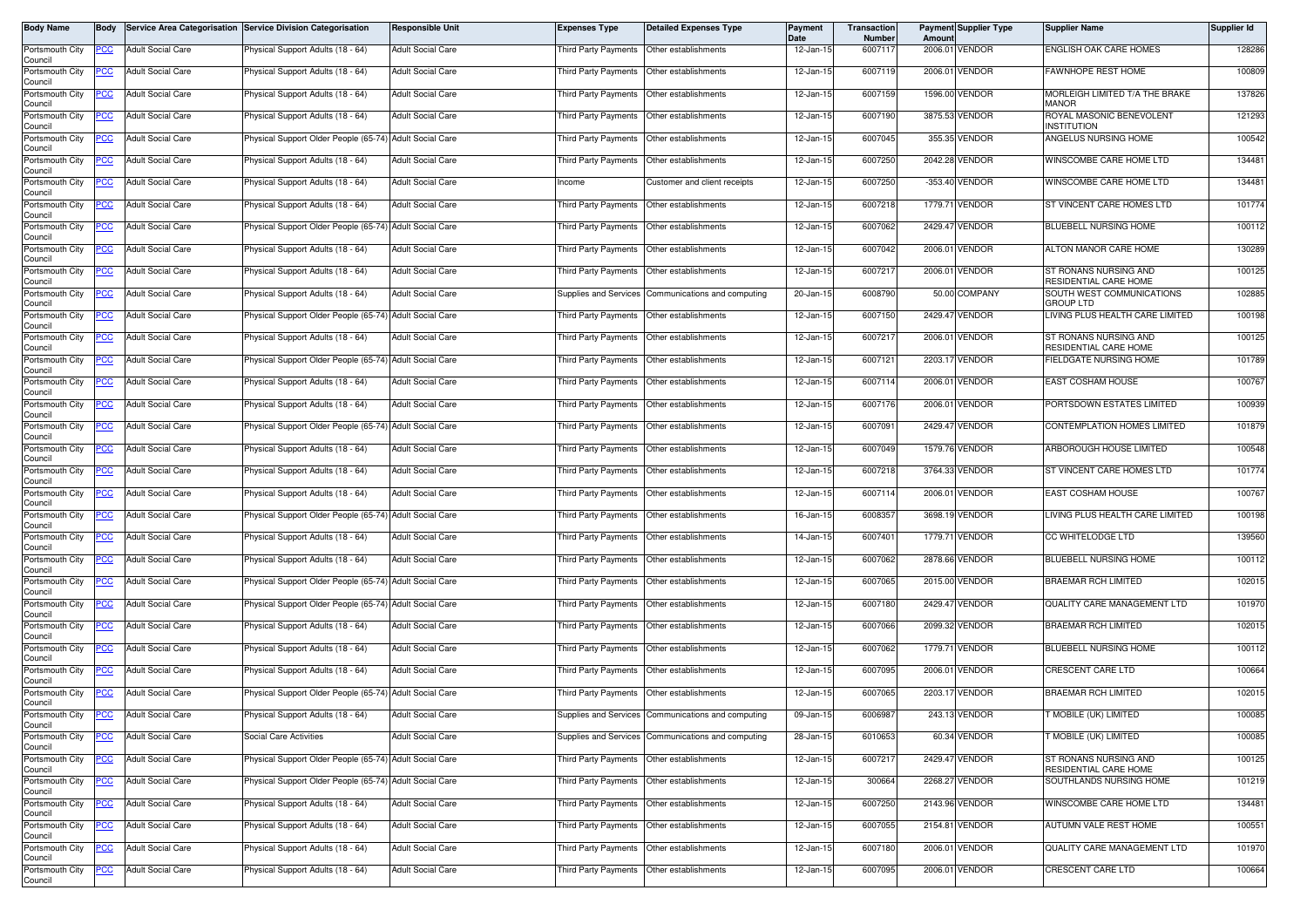| Body Name                  | <b>Body</b> |                          | Service Area Categorisation Service Division Categorisation | Responsible Unit         | <b>Expenses Type</b>                      | <b>Detailed Expenses Type</b>                      | Payment<br>Date | Transaction<br>Number | Amoun | <b>Payment Supplier Type</b> | <b>Supplier Name</b>                           | Supplier Id |
|----------------------------|-------------|--------------------------|-------------------------------------------------------------|--------------------------|-------------------------------------------|----------------------------------------------------|-----------------|-----------------------|-------|------------------------------|------------------------------------------------|-------------|
| Portsmouth City<br>Council | PCC         | <b>Adult Social Care</b> | Physical Support Adults (18 - 64)                           | <b>Adult Social Care</b> | Third Party Payments                      | Other establishments                               | 12-Jan-15       | 6007117               |       | 2006.01 VENDOR               | ENGLISH OAK CARE HOMES                         | 128286      |
| Portsmouth City<br>Council | ပင          | <b>Adult Social Care</b> | Physical Support Adults (18 - 64)                           | <b>Adult Social Care</b> | Third Party Payments Other establishments |                                                    | 12-Jan-15       | 6007119               |       | 2006.01 VENDOR               | <b>FAWNHOPE REST HOME</b>                      | 100809      |
| Portsmouth City<br>Council | <u>CC </u>  | <b>Adult Social Care</b> | <sup>9</sup> hysical Support Adults (18 - 64)               | <b>Adult Social Care</b> | Third Party Payments                      | Other establishments                               | 12-Jan-15       | 6007159               |       | 1596.00 VENDOR               | MORLEIGH LIMITED T/A THE BRAKE<br><b>MANOR</b> | 137826      |
| Portsmouth City<br>Council | <u>CC</u>   | <b>Adult Social Care</b> | Physical Support Adults (18 - 64)                           | <b>Adult Social Care</b> | Third Party Payments                      | Other establishments                               | 12-Jan-15       | 6007190               |       | 3875.53 VENDOR               | ROYAL MASONIC BENEVOLENT<br><b>INSTITUTION</b> | 121293      |
| Portsmouth City<br>Council | PCC         | <b>Adult Social Care</b> | Physical Support Older People (65-74) Adult Social Care     |                          | <b>Third Party Payments</b>               | Other establishments                               | 12-Jan-15       | 6007045               |       | 355.35 VENDOR                | ANGELUS NURSING HOME                           | 100542      |
| Portsmouth City<br>Council | <u>CC</u>   | <b>Adult Social Care</b> | Physical Support Adults (18 - 64)                           | <b>Adult Social Care</b> | Third Party Payments                      | Other establishments                               | 12-Jan-15       | 6007250               |       | 2042.28 VENDOR               | WINSCOMBE CARE HOME LTD                        | 134481      |
| Portsmouth City<br>Council | <u>PCC</u>  | <b>Adult Social Care</b> | Physical Support Adults (18 - 64)                           | <b>Adult Social Care</b> | Income                                    | Customer and client receipts                       | 12-Jan-15       | 6007250               |       | -353.40 VENDOR               | WINSCOMBE CARE HOME LTD                        | 134481      |
| Portsmouth City<br>Council | <u>PCC</u>  | <b>Adult Social Care</b> | Physical Support Adults (18 - 64)                           | <b>Adult Social Care</b> | Third Party Payments                      | Other establishments                               | 12-Jan-15       | 6007218               |       | 1779.71 VENDOR               | ST VINCENT CARE HOMES LTD                      | 101774      |
| Portsmouth City<br>Council | PCC         | <b>Adult Social Care</b> | Physical Support Older People (65-74) Adult Social Care     |                          | <b>Third Party Payments</b>               | Other establishments                               | 12-Jan-15       | 6007062               |       | 2429.47 VENDOR               | BLUEBELL NURSING HOME                          | 100112      |
| Portsmouth City<br>Council | PСC         | <b>Adult Social Care</b> | Physical Support Adults (18 - 64)                           | <b>Adult Social Care</b> | Third Party Payments                      | Other establishments                               | 12-Jan-15       | 6007042               |       | 2006.01 VENDOR               | ALTON MANOR CARE HOME                          | 130289      |
| Portsmouth City<br>Council | <u>PCC</u>  | <b>Adult Social Care</b> | Physical Support Adults (18 - 64)                           | <b>Adult Social Care</b> | Third Party Payments                      | Other establishments                               | 12-Jan-15       | 6007217               |       | 2006.01 VENDOR               | ST RONANS NURSING AND<br>RESIDENTIAL CARE HOME | 100125      |
| Portsmouth City<br>Council | <u>CC </u>  | <b>Adult Social Care</b> | Physical Support Adults (18 - 64)                           | <b>Adult Social Care</b> | Supplies and Services                     | Communications and computing                       | 20-Jan-15       | 6008790               |       | 50.00 COMPANY                | SOUTH WEST COMMUNICATIONS<br><b>GROUP LTD</b>  | 102885      |
| Portsmouth City<br>Council | PСC         | <b>Adult Social Care</b> | Physical Support Older People (65-74) Adult Social Care     |                          | Third Party Payments                      | Other establishments                               | 12-Jan-15       | 6007150               |       | 2429.47 VENDOR               | LIVING PLUS HEALTH CARE LIMITED                | 100198      |
| Portsmouth City<br>Council | PСC         | <b>Adult Social Care</b> | Physical Support Adults (18 - 64)                           | <b>Adult Social Care</b> | Third Party Payments                      | Other establishments                               | 12-Jan-15       | 6007217               |       | 2006.01 VENDOR               | ST RONANS NURSING AND<br>RESIDENTIAL CARE HOME | 100125      |
| Portsmouth City<br>Council | <u>PCC</u>  | <b>Adult Social Care</b> | Physical Support Older People (65-74) Adult Social Care     |                          | Third Party Payments                      | Other establishments                               | 12-Jan-15       | 6007121               |       | 2203.17 VENDOR               | FIELDGATE NURSING HOME                         | 101789      |
| Portsmouth City<br>Council | <u>PCC</u>  | <b>Adult Social Care</b> | Physical Support Adults (18 - 64)                           | <b>Adult Social Care</b> | Third Party Payments                      | Other establishments                               | 12-Jan-15       | 6007114               |       | 2006.01 VENDOR               | EAST COSHAM HOUSE                              | 100767      |
| Portsmouth City<br>Council |             | <b>Adult Social Care</b> | Physical Support Adults (18 - 64)                           | <b>Adult Social Care</b> | Third Party Payments                      | Other establishments                               | 12-Jan-15       | 6007176               |       | 2006.01 VENDOR               | PORTSDOWN ESTATES LIMITED                      | 100939      |
| Portsmouth City<br>Council | PCC         | <b>Adult Social Care</b> | Physical Support Older People (65-74)                       | <b>Adult Social Care</b> | <b>Third Party Payments</b>               | Other establishments                               | 12-Jan-15       | 6007091               |       | 2429.47 VENDOR               | CONTEMPLATION HOMES LIMITED                    | 101879      |
| Portsmouth City<br>Council | <u>cc</u>   | <b>Adult Social Care</b> | Physical Support Adults (18 - 64)                           | <b>Adult Social Care</b> | <b>Third Party Payments</b>               | Other establishments                               | 12-Jan-15       | 6007049               |       | 1579.76 VENDOR               | ARBOROUGH HOUSE LIMITED                        | 100548      |
| Portsmouth City<br>Council | PСC         | <b>Adult Social Care</b> | Physical Support Adults (18 - 64)                           | <b>Adult Social Care</b> | Third Party Payments                      | Other establishments                               | 12-Jan-15       | 6007218               |       | 3764.33 VENDOR               | ST VINCENT CARE HOMES LTD                      | 101774      |
| Portsmouth City<br>Council | <u>PCC</u>  | <b>Adult Social Care</b> | Physical Support Adults (18 - 64)                           | <b>Adult Social Care</b> | <b>Third Party Payments</b>               | Other establishments                               | 12-Jan-15       | 6007114               |       | 2006.01 VENDOR               | EAST COSHAM HOUSE                              | 100767      |
| Portsmouth City<br>Council | PСC         | <b>Adult Social Care</b> | Physical Support Older People (65-74)                       | <b>Adult Social Care</b> | Third Party Payments                      | Other establishments                               | 16-Jan-15       | 6008357               |       | 3698.19 VENDOR               | LIVING PLUS HEALTH CARE LIMITED                | 100198      |
| Portsmouth City<br>Council | сc          | <b>Adult Social Care</b> | Physical Support Adults (18 - 64)                           | <b>Adult Social Care</b> | Third Party Payments                      | Other establishments                               | 14-Jan-15       | 6007401               |       | 1779.71 VENDOR               | CC WHITELODGE LTD                              | 139560      |
| Portsmouth City<br>Council | PCC         | <b>Adult Social Care</b> | hysical Support Adults (18 - 64)                            | <b>Adult Social Care</b> | Third Party Payments                      | Other establishments                               | 12-Jan-15       | 6007062               |       | 2878.66 VENDOR               | BLUEBELL NURSING HOME                          | 100112      |
| Portsmouth City<br>Council | <u>PCC</u>  | <b>Adult Social Care</b> | Physical Support Older People (65-74) Adult Social Care     |                          | Third Party Payments                      | Other establishments                               | 12-Jan-1!       | 6007065               |       | 2015.00 VENDOR               | <b>BRAEMAR RCH LIMITED</b>                     | 102015      |
| Portsmouth City<br>Council | PCC         | <b>Adult Social Care</b> | Physical Support Older People (65-74) Adult Social Care     |                          | Third Party Payments                      | Other establishments                               | 12-Jan-15       | 6007180               |       | 2429.47 VENDOR               | QUALITY CARE MANAGEMENT LTD                    | 101970      |
| Portsmouth City<br>Council | PCC         | <b>Adult Social Care</b> | Physical Support Adults (18 - 64)                           | <b>Adult Social Care</b> | Third Party Payments                      | Other establishments                               | 12-Jan-15       | 6007066               |       | 2099.32 VENDOR               | <b>BRAEMAR RCH LIMITED</b>                     | 102015      |
| Portsmouth City<br>Council | <u>PCC</u>  | <b>Adult Social Care</b> | Physical Support Adults (18 - 64)                           | <b>Adult Social Care</b> | Third Party Payments                      | Other establishments                               | 12-Jan-15       | 6007062               |       | 1779.71 VENDOR               | <b>BLUEBELL NURSING HOME</b>                   | 100112      |
| Portsmouth City<br>Council | <u>'CC</u>  | <b>Adult Social Care</b> | Physical Support Adults (18 - 64)                           | <b>Adult Social Care</b> | Third Party Payments                      | Other establishments                               | 12-Jan-15       | 6007095               |       | 2006.01 VENDOR               | CRESCENT CARE LTD                              | 100664      |
| Portsmouth City<br>Council | <u>PCC</u>  | <b>Adult Social Care</b> | Physical Support Older People (65-74) Adult Social Care     |                          | <b>Third Party Payments</b>               | Other establishments                               | 12-Jan-15       | 6007065               |       | 2203.17 VENDOR               | <b>BRAEMAR RCH LIMITED</b>                     | 102015      |
| Portsmouth City<br>Council | <b>PCC</b>  | <b>Adult Social Care</b> | Physical Support Adults (18 - 64)                           | <b>Adult Social Care</b> |                                           | Supplies and Services Communications and computing | 09-Jan-15       | 6006987               |       | 243.13 VENDOR                | T MOBILE (UK) LIMITED                          | 100085      |
| Portsmouth City<br>Council | <u>PCC</u>  | <b>Adult Social Care</b> | Social Care Activities                                      | <b>Adult Social Care</b> | Supplies and Services                     | Communications and computing                       | 28-Jan-15       | 6010653               |       | 60.34 VENDOR                 | <b>F MOBILE (UK) LIMITED</b>                   | 100085      |
| Portsmouth City<br>Council | PСC         | <b>Adult Social Care</b> | Physical Support Older People (65-74) Adult Social Care     |                          | Third Party Payments                      | Other establishments                               | 12-Jan-15       | 6007217               |       | 2429.47 VENDOR               | ST RONANS NURSING AND<br>RESIDENTIAL CARE HOME | 100125      |
| Portsmouth City<br>Council | <u>PCC</u>  | <b>Adult Social Care</b> | Physical Support Older People (65-74) Adult Social Care     |                          | Third Party Payments                      | Other establishments                               | 12-Jan-15       | 300664                |       | 2268.27 VENDOR               | SOUTHLANDS NURSING HOME                        | 101219      |
| Portsmouth City<br>Council | °СС         | <b>Adult Social Care</b> | Physical Support Adults (18 - 64)                           | <b>Adult Social Care</b> | Third Party Payments                      | Other establishments                               | 12-Jan-15       | 6007250               |       | 2143.96 VENDOR               | WINSCOMBE CARE HOME LTD                        | 134481      |
| Portsmouth City<br>Council | <u>CC </u>  | <b>Adult Social Care</b> | Physical Support Adults (18 - 64)                           | <b>Adult Social Care</b> |                                           | Third Party Payments Other establishments          | 12-Jan-15       | 6007055               |       | 2154.81 VENDOR               | AUTUMN VALE REST HOME                          | 100551      |
| Portsmouth City<br>Council | <u>PCC</u>  | <b>Adult Social Care</b> | Physical Support Adults (18 - 64)                           | <b>Adult Social Care</b> | Third Party Payments                      | Other establishments                               | 12-Jan-15       | 6007180               |       | 2006.01 VENDOR               | QUALITY CARE MANAGEMENT LTD                    | 101970      |
| Portsmouth City<br>Council |             | <b>Adult Social Care</b> | Physical Support Adults (18 - 64)                           | <b>Adult Social Care</b> | Third Party Payments                      | Other establishments                               | 12-Jan-15       | 6007095               |       | 2006.01 VENDOR               | CRESCENT CARE LTD                              | 100664      |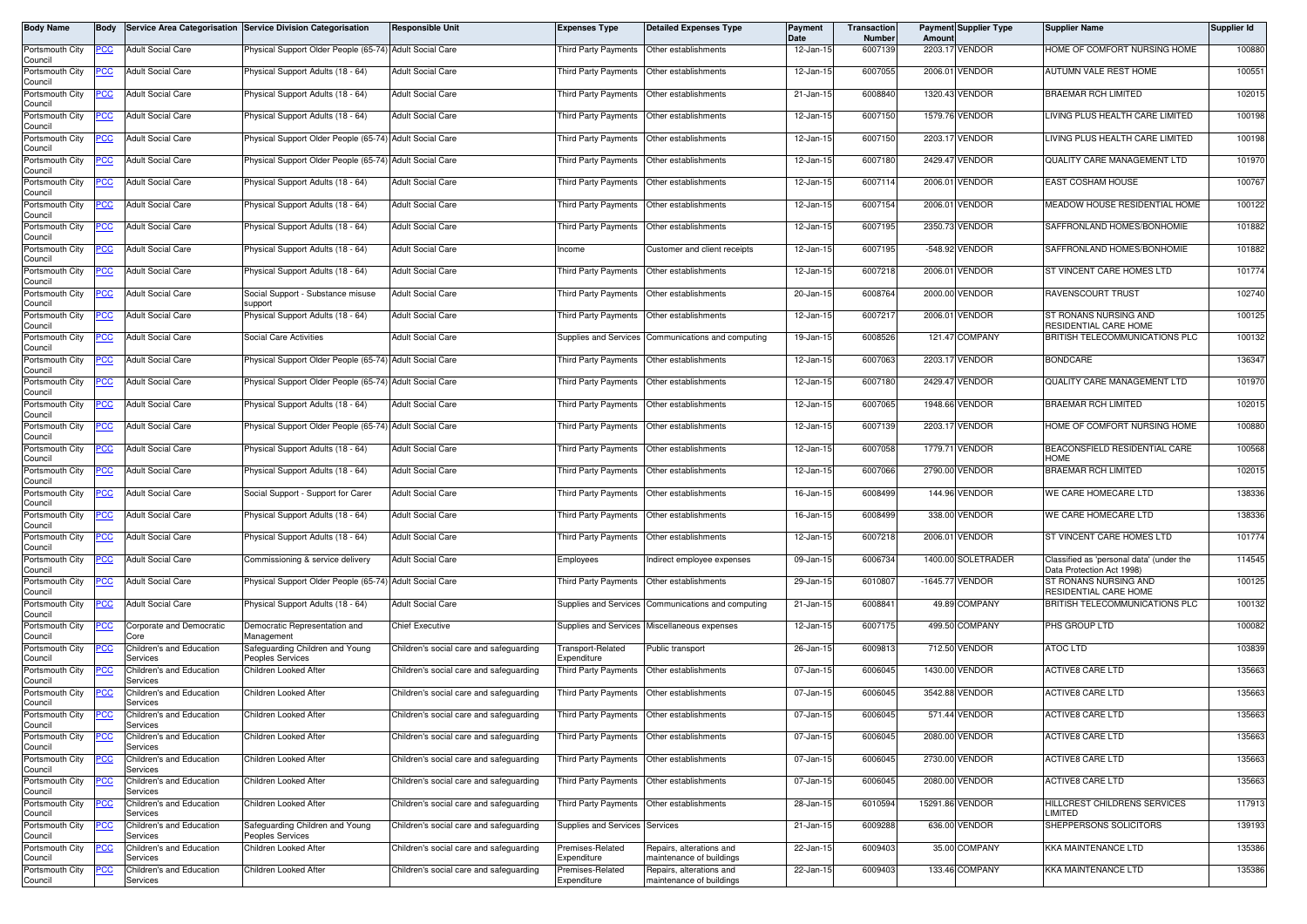| Body Name                  | <b>Body</b> |                                      | Service Area Categorisation Service Division Categorisation | Responsible Unit                        | <b>Expenses Type</b>                       | <b>Detailed Expenses Type</b>                        | Payment<br>Date | Transaction<br>Number | Amoun  | <b>Payment Supplier Type</b> | <b>Supplier Name</b>                                                  | Supplier Id |
|----------------------------|-------------|--------------------------------------|-------------------------------------------------------------|-----------------------------------------|--------------------------------------------|------------------------------------------------------|-----------------|-----------------------|--------|------------------------------|-----------------------------------------------------------------------|-------------|
| Portsmouth City<br>Council | PCC         | <b>Adult Social Care</b>             | Physical Support Older People (65-74) Adult Social Care     |                                         | <b>Third Party Payments</b>                | Other establishments                                 | 12-Jan-15       | 6007139               |        | 2203.17 VENDOR               | HOME OF COMFORT NURSING HOME                                          | 100880      |
| Portsmouth City            | ပင          | <b>Adult Social Care</b>             | Physical Support Adults (18 - 64)                           | <b>Adult Social Care</b>                |                                            | Third Party Payments Other establishments            | 12-Jan-15       | 6007055               |        | 2006.01 VENDOR               | AUTUMN VALE REST HOME                                                 | 100551      |
| Council<br>Portsmouth City | <u>CC </u>  | <b>Adult Social Care</b>             | <sup>9</sup> hysical Support Adults (18 - 64)               | <b>Adult Social Care</b>                | Third Party Payments                       | Other establishments                                 | 21-Jan-15       | 6008840               |        | 1320.43 VENDOR               | <b>BRAEMAR RCH LIMITED</b>                                            | 102015      |
| Council<br>Portsmouth City | <u>CC</u>   | <b>Adult Social Care</b>             | Physical Support Adults (18 - 64)                           | <b>Adult Social Care</b>                | Third Party Payments                       | Other establishments                                 | 12-Jan-15       | 6007150               |        | 1579.76 VENDOR               | LIVING PLUS HEALTH CARE LIMITED                                       | 100198      |
| Council<br>Portsmouth City | PCC         | <b>Adult Social Care</b>             | Physical Support Older People (65-74) Adult Social Care     |                                         | <b>Third Party Payments</b>                | Other establishments                                 | 12-Jan-15       | 6007150               |        | 2203.17 VENDOR               | LIVING PLUS HEALTH CARE LIMITED                                       | 100198      |
| Council<br>Portsmouth City | <u>CC</u>   | <b>Adult Social Care</b>             | Physical Support Older People (65-74) Adult Social Care     |                                         | Third Party Payments                       | Other establishments                                 | 12-Jan-15       | 6007180               |        | 2429.47 VENDOR               | QUALITY CARE MANAGEMENT LTD                                           | 101970      |
| Council<br>Portsmouth City | <u>PCC</u>  | <b>Adult Social Care</b>             | Physical Support Adults (18 - 64)                           | <b>Adult Social Care</b>                | Third Party Payments                       | Other establishments                                 | 12-Jan-15       | 6007114               |        | 2006.01 VENDOR               | EAST COSHAM HOUSE                                                     | 100767      |
| Council<br>Portsmouth City | <u>PCC</u>  | <b>Adult Social Care</b>             | Physical Support Adults (18 - 64)                           | <b>Adult Social Care</b>                | Third Party Payments                       | Other establishments                                 | 12-Jan-15       | 6007154               |        | 2006.01 VENDOR               | MEADOW HOUSE RESIDENTIAL HOME                                         | 100122      |
| Council<br>Portsmouth City | PCC         | <b>Adult Social Care</b>             | Physical Support Adults (18 - 64)                           | <b>Adult Social Care</b>                | <b>Third Party Payments</b>                | Other establishments                                 | 12-Jan-15       | 6007195               |        | 2350.73 VENDOR               | SAFFRONLAND HOMES/BONHOMIE                                            | 101882      |
| Council<br>Portsmouth City | PСC         | <b>Adult Social Care</b>             | Physical Support Adults (18 - 64)                           | <b>Adult Social Care</b>                | Income                                     | Customer and client receipts                         | 12-Jan-15       | 6007195               |        | -548.92 VENDOR               | SAFFRONLAND HOMES/BONHOMIE                                            | 101882      |
| Council                    |             | <b>Adult Social Care</b>             |                                                             | <b>Adult Social Care</b>                |                                            | Other establishments                                 | 12-Jan-15       | 6007218               |        | 2006.01 VENDOR               | ST VINCENT CARE HOMES LTD                                             | 101774      |
| Portsmouth City<br>Council | <u>PCC</u>  |                                      | Physical Support Adults (18 - 64)                           |                                         | Third Party Payments                       |                                                      |                 |                       |        |                              |                                                                       |             |
| Portsmouth City<br>Council | <u>CC </u>  | <b>Adult Social Care</b>             | Social Support - Substance misuse<br>support                | <b>Adult Social Care</b>                | Third Party Payments                       | Other establishments                                 | 20-Jan-15       | 6008764               |        | 2000.00 VENDOR               | RAVENSCOURT TRUST                                                     | 102740      |
| Portsmouth City<br>Council | PСC         | <b>Adult Social Care</b>             | Physical Support Adults (18 - 64)                           | <b>Adult Social Care</b>                | <b>Third Party Payments</b>                | Other establishments                                 | 12-Jan-15       | 6007217               |        | 2006.01 VENDOR               | ST RONANS NURSING AND<br>RESIDENTIAL CARE HOME                        | 100125      |
| Portsmouth City<br>Council | PСC         | <b>Adult Social Care</b>             | <b>Social Care Activities</b>                               | <b>Adult Social Care</b>                | <b>Supplies and Services</b>               | Communications and computing                         | 19-Jan-15       | 6008526               |        | 121.47 COMPANY               | BRITISH TELECOMMUNICATIONS PLC                                        | 100132      |
| Portsmouth City<br>Council | <u>PCC</u>  | <b>Adult Social Care</b>             | Physical Support Older People (65-74) Adult Social Care     |                                         | Third Party Payments                       | Other establishments                                 | 12-Jan-15       | 6007063               |        | 2203.17 VENDOR               | <b>BONDCARE</b>                                                       | 136347      |
| Portsmouth City<br>Council | <u>PCC</u>  | <b>Adult Social Care</b>             | Physical Support Older People (65-74) Adult Social Care     |                                         | Third Party Payments                       | Other establishments                                 | 12-Jan-15       | 6007180               |        | 2429.47 VENDOR               | QUALITY CARE MANAGEMENT LTD                                           | 101970      |
| Portsmouth City<br>Council | <u>CC</u>   | <b>Adult Social Care</b>             | Physical Support Adults (18 - 64)                           | <b>Adult Social Care</b>                | Third Party Payments                       | Other establishments                                 | 12-Jan-15       | 6007065               |        | 1948.66 VENDOR               | <b>BRAEMAR RCH LIMITED</b>                                            | 102015      |
| Portsmouth City<br>Council | PCC         | <b>Adult Social Care</b>             | Physical Support Older People (65-74)                       | <b>Adult Social Care</b>                | Third Party Payments                       | Other establishments                                 | 12-Jan-15       | 6007139               |        | 2203.17 VENDOR               | HOME OF COMFORT NURSING HOME                                          | 100880      |
| Portsmouth City<br>Council | <u>cc</u>   | <b>Adult Social Care</b>             | Physical Support Adults (18 - 64)                           | <b>Adult Social Care</b>                | <b>Third Party Payments</b>                | Other establishments                                 | 12-Jan-15       | 6007058               |        | 1779.71 VENDOR               | BEACONSFIELD RESIDENTIAL CARE<br><b>HOME</b>                          | 100568      |
| Portsmouth City<br>Council | PСC         | <b>Adult Social Care</b>             | Physical Support Adults (18 - 64)                           | <b>Adult Social Care</b>                | Third Party Payments                       | Other establishments                                 | 12-Jan-15       | 6007066               |        | 2790.00 VENDOR               | <b>BRAEMAR RCH LIMITED</b>                                            | 102015      |
| Portsmouth City<br>Council | <u>PCC</u>  | <b>Adult Social Care</b>             | Social Support - Support for Carer                          | <b>Adult Social Care</b>                | <b>Third Party Payments</b>                | Other establishments                                 | 16-Jan-15       | 6008499               |        | 144.96 VENDOR                | WE CARE HOMECARE LTD                                                  | 138336      |
| Portsmouth City<br>Council | PСC         | <b>Adult Social Care</b>             | Physical Support Adults (18 - 64)                           | <b>Adult Social Care</b>                | Third Party Payments                       | Other establishments                                 | 16-Jan-15       | 6008499               | 338.00 | VENDOR                       | WE CARE HOMECARE LTD                                                  | 138336      |
| Portsmouth City<br>Council | сc          | <b>Adult Social Care</b>             | Physical Support Adults (18 - 64)                           | <b>Adult Social Care</b>                | Third Party Payments                       | Other establishments                                 | 12-Jan-15       | 6007218               |        | 2006.01 VENDOR               | ST VINCENT CARE HOMES LTD                                             | 101774      |
| Portsmouth City<br>Council | PCC         | <b>Adult Social Care</b>             | Commissioning & service delivery                            | <b>Adult Social Care</b>                | Employees                                  | Indirect employee expenses                           | 09-Jan-15       | 6006734               |        | 1400.00 SOLETRADER           | Classified as 'personal data' (under the<br>Data Protection Act 1998) | 114545      |
| Portsmouth City<br>Council | PСC         | <b>Adult Social Care</b>             | Physical Support Older People (65-74) Adult Social Care     |                                         | <b>Third Party Payments</b>                | Other establishments                                 | 29-Jan-1        | 6010807               |        | -1645.77 VENDOR              | ST RONANS NURSING AND<br>RESIDENTIAL CARE HOME                        | 100125      |
| Portsmouth City<br>Council | PCC         | <b>Adult Social Care</b>             | Physical Support Adults (18 - 64)                           | <b>Adult Social Care</b>                |                                            | Supplies and Services Communications and computing   | 21-Jan-15       | 6008841               |        | 49.89 COMPANY                | BRITISH TELECOMMUNICATIONS PLC                                        | 100132      |
| Portsmouth City<br>Council | <u>CC</u>   | Corporate and Democratic<br>Core     | Democratic Representation and<br>Management                 | <b>Chief Executive</b>                  |                                            | Supplies and Services Miscellaneous expenses         | 12-Jan-15       | 6007175               |        | 499.50 COMPANY               | PHS GROUP LTD                                                         | 100082      |
| Portsmouth City            | <u>CC</u>   | Children's and Education<br>Services | Safeguarding Children and Young                             | Children's social care and safeguarding | Transport-Related                          | Public transport                                     | 26-Jan-15       | 6009813               |        | 712.50 VENDOR                | <b>ATOC LTD</b>                                                       | 103839      |
| Council<br>Portsmouth City |             | Children's and Education             | eoples Services<br>Children Looked After                    | Children's social care and safeguarding | Expenditure<br><b>Third Party Payments</b> | Other establishments                                 | 07-Jan-15       | 6006045               |        | 1430.00 VENDOR               | <b>ACTIVE8 CARE LTD</b>                                               | 135663      |
| Council<br>Portsmouth City | CC          | Services<br>Children's and Education | Children Looked After                                       | Children's social care and safeguarding | <b>Third Party Payments</b>                | Other establishments                                 | 07-Jan-15       | 6006045               |        | 3542.88 VENDOR               | <b>ACTIVES CARE LTD</b>                                               | 135663      |
| Council<br>Portsmouth City | <u>PCC</u>  | Services<br>Children's and Education | Children Looked After                                       | Children's social care and safeguarding | Third Party Payments Other establishments  |                                                      | 07-Jan-15       | 6006045               |        | 571.44 VENDOR                | <b>ACTIVE8 CARE LTD</b>                                               | 135663      |
| Council<br>Portsmouth City | <u>PCC</u>  | Services<br>Children's and Education | Children Looked After                                       | Children's social care and safeguarding | Third Party Payments                       | Other establishments                                 | 07-Jan-15       | 6006045               |        | 2080.00 VENDOR               | <b>ACTIVE8 CARE LTD</b>                                               | 135663      |
| Council<br>Portsmouth City |             | Services<br>Children's and Education | Children Looked After                                       | Children's social care and safeguarding | Third Party Payments                       | Other establishments                                 | 07-Jan-15       | 6006045               |        | 2730.00 VENDOR               | <b>ACTIVE8 CARE LTD</b>                                               | 135663      |
| Council<br>Portsmouth City | ∍сс         | Services<br>Children's and Education | Children Looked After                                       | Children's social care and safeguarding | Third Party Payments                       | Other establishments                                 | 07-Jan-15       | 6006045               |        | 2080.00 VENDOR               | <b>ACTIVE8 CARE LTD</b>                                               | 135663      |
| Council<br>Portsmouth City | 'СC         | Services<br>Children's and Education | Children Looked After                                       | Children's social care and safeguarding | Third Party Payments                       | Other establishments                                 | 28-Jan-15       | 6010594               |        | 15291.86 VENDOR              | HILLCREST CHILDRENS SERVICES                                          | 117913      |
| Council<br>Portsmouth City |             | Services<br>Children's and Education | Safeguarding Children and Young                             | Children's social care and safeguarding | Supplies and Services Services             |                                                      | 21-Jan-15       | 6009288               |        | 636.00 VENDOR                | LIMITED<br>SHEPPERSONS SOLICITORS                                     | 139193      |
| Council<br>Portsmouth City |             | Services<br>Children's and Education | Peoples Services<br>Children Looked After                   | Children's social care and safeguarding | remises-Related                            | Repairs, alterations and                             | 22-Jan-15       | 6009403               |        | 35.00 COMPANY                | KKA MAINTENANCE LTD                                                   | 135386      |
| Council                    | <u>PCC</u>  | Services                             |                                                             |                                         | Expenditure                                | naintenance of buildings                             |                 |                       |        |                              |                                                                       |             |
| Portsmouth City<br>Council |             | Children's and Education<br>Services | Children Looked After                                       | Children's social care and safeguarding | Premises-Related<br>Expenditure            | Repairs, alterations and<br>maintenance of buildings | 22-Jan-15       | 6009403               |        | 133.46 COMPANY               | <b>KKA MAINTENANCE LTD</b>                                            | 135386      |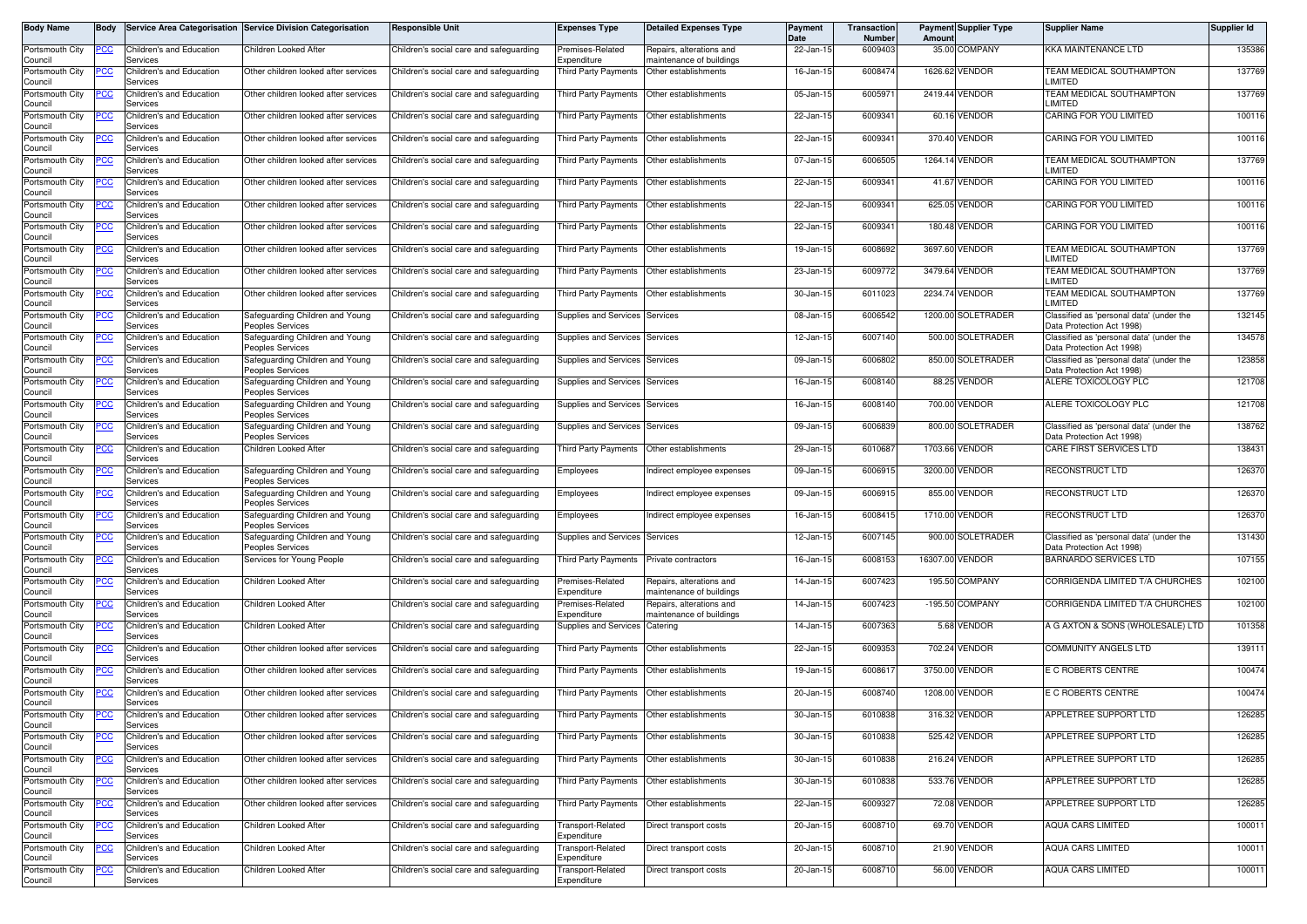| Body Name                             | <b>Body</b> |                                                  | Service Area Categorisation Service Division Categorisation | <b>Responsible Unit</b>                 | <b>Expenses Type</b>                       | <b>Detailed Expenses Type</b>                        | <b>Payment</b><br><b>Date</b> | <b>Transaction</b><br>Number | Amount  | <b>Payment Supplier Type</b> | <b>Supplier Name</b>                                                  | Supplier Id |
|---------------------------------------|-------------|--------------------------------------------------|-------------------------------------------------------------|-----------------------------------------|--------------------------------------------|------------------------------------------------------|-------------------------------|------------------------------|---------|------------------------------|-----------------------------------------------------------------------|-------------|
| Portsmouth City<br>Council            | PCC         | Children's and Education<br>Services             | Children Looked After                                       | Children's social care and safeguarding | Premises-Related<br>Expenditure            | Repairs, alterations and<br>naintenance of buildings | 22-Jan-15                     | 6009403                      |         | 35.00 COMPANY                | <b>KKA MAINTENANCE LTD</b>                                            | 135386      |
| Portsmouth City                       |             | Children's and Education                         | Other children looked after services                        | Children's social care and safeguarding | Third Party Payments                       | Other establishments                                 | 16-Jan-15                     | 6008474                      |         | 1626.62 VENDOR               | <b>TEAM MEDICAL SOUTHAMPTON</b><br>LIMITED                            | 137769      |
| Council<br>Portsmouth City            | CC          | Services<br>Children's and Education             | Other children looked after services                        | Children's social care and safeguarding | hird Party Payments                        | Other establishments                                 | 05-Jan-15                     | 6005971                      |         | 2419.44 VENDOR               | TEAM MEDICAL SOUTHAMPTON<br>LIMITED                                   | 137769      |
| Council<br>Portsmouth City            |             | Services<br>Children's and Education<br>Services | Other children looked after services                        | Children's social care and safeguarding | Third Party Payments                       | Other establishments                                 | 22-Jan-15                     | 6009341                      |         | 60.16 VENDOR                 | CARING FOR YOU LIMITED                                                | 100116      |
| Council<br>Portsmouth City<br>Council |             | Children's and Education<br>Services             | Other children looked after services                        | Children's social care and safeguarding | <b>Third Party Payments</b>                | Other establishments                                 | 22-Jan-15                     | 6009341                      |         | 370.40 VENDOR                | CARING FOR YOU LIMITED                                                | 100116      |
| Portsmouth City<br>Council            |             | Children's and Education<br>Services             | Other children looked after services                        | Children's social care and safeguarding | <b>Third Party Payments</b>                | Other establishments                                 | 07-Jan-15                     | 6006505                      |         | 1264.14 VENDOR               | TEAM MEDICAL SOUTHAMPTON<br>LIMITED                                   | 137769      |
| Portsmouth City<br>Council            |             | Children's and Education<br>Services             | Other children looked after services                        | Children's social care and safeguarding | Third Party Payments                       | Other establishments                                 | 22-Jan-15                     | 6009341                      |         | 41.67 VENDOR                 | CARING FOR YOU LIMITED                                                | 100116      |
| Portsmouth City<br>Council            |             | Children's and Education<br>Services             | Other children looked after services                        | Children's social care and safeguarding | <b>Third Party Payments</b>                | Other establishments                                 | 22-Jan-15                     | 6009341                      |         | 625.05 VENDOR                | CARING FOR YOU LIMITED                                                | 100116      |
| Portsmouth City<br>Council            | cс          | Children's and Education<br>Services             | Other children looked after services                        | Children's social care and safeguarding | <b>Third Party Payments</b>                | Other establishments                                 | 22-Jan-15                     | 6009341                      | 180.48  | <b>VENDOR</b>                | CARING FOR YOU LIMITED                                                | 100116      |
| Portsmouth City<br>Council            | 'СC         | Children's and Education<br>Services             | Other children looked after services                        | Children's social care and safeguarding | <b>Third Party Payments</b>                | Other establishments                                 | 19-Jan-15                     | 6008692                      |         | 3697.60 VENDOR               | TEAM MEDICAL SOUTHAMPTON<br>LIMITED                                   | 137769      |
| Portsmouth City<br>Council            |             | Children's and Education<br>Services             | Other children looked after services                        | Children's social care and safeguarding | <b>Third Party Payments</b>                | Other establishments                                 | 23-Jan-15                     | 6009772                      |         | 3479.64 VENDOR               | TEAM MEDICAL SOUTHAMPTON<br>LIMITED                                   | 137769      |
| Portsmouth City<br>Council            | PCC         | Children's and Education<br>Services             | Other children looked after services                        | Children's social care and safeguarding | Third Party Payments                       | Other establishments                                 | 30-Jan-15                     | 6011023                      |         | 2234.74 VENDOR               | TEAM MEDICAL SOUTHAMPTON<br>LIMITED                                   | 137769      |
| Portsmouth City<br>Council            |             | Children's and Education<br>Services             | Safeguarding Children and Young<br>Peoples Services         | Children's social care and safeguarding | Supplies and Services                      | Services                                             | 08-Jan-1                      | 6006542                      |         | 1200.00 SOLETRADER           | Classified as 'personal data' (under the<br>Data Protection Act 1998) | 132145      |
| Portsmouth City<br>Council            |             | Children's and Education<br>Services             | Safeguarding Children and Young<br>eoples Services          | Children's social care and safeguarding | Supplies and Services                      | Services                                             | 12-Jan-15                     | 6007140                      |         | 500.00 SOLETRADER            | Classified as 'personal data' (under the<br>Data Protection Act 1998) | 134578      |
| Portsmouth City<br>Council            |             | Children's and Education<br>Services             | Safeguarding Children and Young<br>Peoples Services         | Children's social care and safeguarding | Supplies and Services                      | Services                                             | 09-Jan-15                     | 6006802                      |         | 850.00 SOLETRADER            | Classified as 'personal data' (under the<br>Data Protection Act 1998) | 123858      |
| Portsmouth City<br>Council            | 'СC         | Children's and Education<br>Services             | Safeguarding Children and Young<br>Peoples Services         | Children's social care and safeguarding | Supplies and Services                      | Services                                             | 16-Jan-15                     | 6008140                      |         | 88.25 VENDOR                 | ALERE TOXICOLOGY PLC                                                  | 121708      |
| Portsmouth City<br>Council            |             | Children's and Education<br>Services             | Safeguarding Children and Young<br>eoples Services          | Children's social care and safeguarding | Supplies and Services                      | Services                                             | 16-Jan-15                     | 6008140                      |         | 700.00 VENDOR                | ALERE TOXICOLOGY PLC                                                  | 121708      |
| Portsmouth City<br>Council            |             | Children's and Education<br>Services             | Safeguarding Children and Young<br>Peoples Services         | Children's social care and safeguarding | <b>Supplies and Services</b>               | Services                                             | 09-Jan-15                     | 6006839                      |         | 800.00 SOLETRADER            | Classified as 'personal data' (under the<br>Data Protection Act 1998) | 138762      |
| Portsmouth City<br>Council            |             | Children's and Education<br>Services             | Children Looked After                                       | Children's social care and safeguarding | Third Party Payments                       | Other establishments                                 | 29-Jan-15                     | 6010687                      | 1703.66 | VENDOR                       | CARE FIRST SERVICES LTD                                               | 138431      |
| Portsmouth City<br>Council            | cс          | Children's and Education<br>Services             | Safeguarding Children and Young<br>Peoples Services         | Children's social care and safeguarding | Employees                                  | Indirect employee expenses                           | 09-Jan-15                     | 6006915                      |         | 3200.00 VENDOR               | <b>RECONSTRUCT LTD</b>                                                | 126370      |
| Portsmouth City<br>Council            |             | Children's and Education<br>Services             | Safeguarding Children and Young<br>Peoples Services         | Children's social care and safeguarding | Employees                                  | ndirect employee expenses                            | 09-Jan-1                      | 600691                       |         | 855.00 VENDOR                | RECONSTRUCT LTD                                                       | 126370      |
| Portsmouth City<br>Council            | °СС         | Children's and Education<br>Services             | Safeguarding Children and Young<br>Peoples Services         | Children's social care and safeguarding | Employees                                  | Indirect employee expenses                           | 16-Jan-15                     | 6008415                      |         | 1710.00 VENDOR               | RECONSTRUCT LTD                                                       | 126370      |
| Portsmouth City<br>Council            |             | Children's and Education<br>Services             | Safeguarding Children and Young<br>Peoples Services         | Children's social care and safeguarding | Supplies and Services                      | Services                                             | 12-Jan-15                     | 6007145                      |         | 900.00 SOLETRADER            | Classified as 'personal data' (under the<br>Data Protection Act 1998) | 131430      |
| Portsmouth City<br>Council            | сc          | Children's and Education<br>Services             | Services for Young People                                   | Children's social care and safeguarding | <b>Third Party Payments</b>                | Private contractors                                  | 16-Jan-15                     | 6008153                      |         | 16307.00 VENDOR              | <b>BARNARDO SERVICES LTD</b>                                          | 107155      |
| Portsmouth City<br>Council            |             | Children's and Education<br>Services             | <b>Children Looked After</b>                                | Children's social care and safeguarding | Premises-Related<br>Expenditure            | Repairs, alterations and<br>naintenance of buildings | 14-Jan-15                     | 6007423                      |         | 195.50 COMPANY               | CORRIGENDA LIMITED T/A CHURCHES                                       | 102100      |
| Portsmouth City<br>Council            | 'СC         | Children's and Education<br>Services             | Children Looked After                                       | Children's social care and safeguarding | remises-Related<br>Expenditure             | Repairs, alterations and<br>maintenance of buildings | 14-Jan-15                     | 6007423                      |         | -195.50 COMPANY              | CORRIGENDA LIMITED T/A CHURCHES                                       | 102100      |
| Portsmouth City<br>Council            |             | Children's and Education<br>Services             | Children Looked After                                       | Children's social care and safeguarding | Supplies and Services                      | Catering                                             | 14-Jan-15                     | 6007363                      |         | 5.68 VENDOR                  | A G AXTON & SONS (WHOLESALE) LTD                                      | 101358      |
| Portsmouth City<br>Council            |             | Children's and Education<br>Services             | Other children looked after services                        | Children's social care and safeguarding | <b>Third Party Payments</b>                | Other establishments                                 | 22-Jan-15                     | 6009353                      |         | 702.24 VENDOR                | <b>COMMUNITY ANGELS LTD</b>                                           | 139111      |
| Portsmouth City<br>Council            | 'СC         | Children's and Education<br>Services             | Other children looked after services                        | Children's social care and safeguarding | Third Party Payments                       | Other establishments                                 | 19-Jan-15                     | 600861                       |         | 3750.00 VENDOR               | E C ROBERTS CENTRE                                                    | 100474      |
| Portsmouth City<br>Council            |             | Children's and Education<br>Services             | Other children looked after services                        | Children's social care and safeguarding | <b>Third Party Payments</b>                | Other establishments                                 | 20-Jan-15                     | 6008740                      | 1208.00 | <b>VENDOR</b>                | E C ROBERTS CENTRE                                                    | 100474      |
| Portsmouth City<br>Council            | PCC         | Children's and Education<br>Services             | Other children looked after services                        | Children's social care and safeguarding | Third Party Payments  Other establishments |                                                      | 30-Jan-15                     | 6010838                      |         | 316.32 VENDOR                | APPLETREE SUPPORT LTD                                                 | 126285      |
| Portsmouth City<br>Council            | <u>PCC</u>  | Children's and Education<br>Services             | Other children looked after services                        | Children's social care and safeguarding | <b>Third Party Payments</b>                | Other establishments                                 | 30-Jan-15                     | 6010838                      |         | 525.42 VENDOR                | APPLETREE SUPPORT LTD                                                 | 126285      |
| Portsmouth City<br>Council            | PСC         | Children's and Education<br>Services             | Other children looked after services                        | Children's social care and safeguarding | Third Party Payments                       | Other establishments                                 | 30-Jan-15                     | 6010838                      |         | 216.24 VENDOR                | APPLETREE SUPPORT LTD                                                 | 126285      |
| Portsmouth City<br>Council            |             | Children's and Education<br>Services             | Other children looked after services                        | Children's social care and safeguarding | <b>Third Party Payments</b>                | Other establishments                                 | 30-Jan-15                     | 6010838                      |         | 533.76 VENDOR                | APPLETREE SUPPORT LTD                                                 | 126285      |
| Portsmouth City<br>Council            | PCC         | Children's and Education<br>Services             | Other children looked after services                        | Children's social care and safeguarding | <b>Third Party Payments</b>                | Other establishments                                 | 22-Jan-15                     | 6009327                      |         | 72.08 VENDOR                 | APPLETREE SUPPORT LTD                                                 | 126285      |
| Portsmouth City<br>Council            |             | Children's and Education<br>Services             | Children Looked After                                       | Children's social care and safeguarding | Transport-Related<br>Expenditure           | Direct transport costs                               | 20-Jan-15                     | 6008710                      |         | 69.70 VENDOR                 | <b>AQUA CARS LIMITED</b>                                              | 100011      |
| Portsmouth City<br>Council            |             | Children's and Education<br>Services             | Children Looked After                                       | Children's social care and safeguarding | Transport-Related<br>Expenditure           | Direct transport costs                               | 20-Jan-15                     | 6008710                      |         | 21.90 VENDOR                 | AQUA CARS LIMITED                                                     | 100011      |
| Portsmouth City<br>Council            |             | Children's and Education<br>Services             | Children Looked After                                       | Children's social care and safeguarding | Transport-Related<br>Expenditure           | Direct transport costs                               | 20-Jan-15                     | 6008710                      |         | 56.00 VENDOR                 | AQUA CARS LIMITED                                                     | 100011      |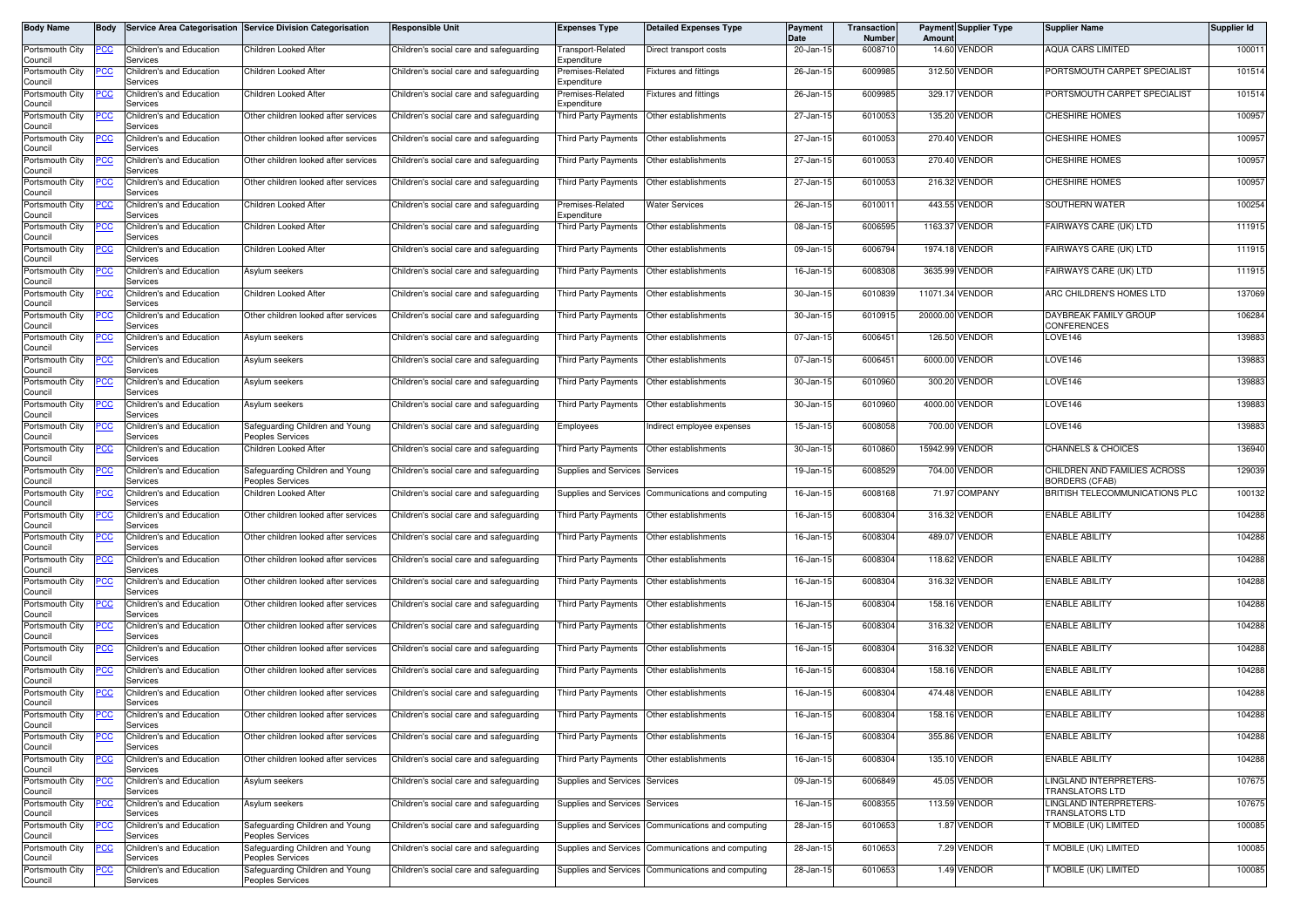| Body Name                             | <b>Body</b> |                                                  | Service Area Categorisation Service Division Categorisation | <b>Responsible Unit</b>                 | <b>Expenses Type</b>                          | <b>Detailed Expenses Type</b>                      | <b>Payment</b><br><b>Date</b> | Transaction<br><b>Number</b> | Amount          | <b>Payment Supplier Type</b> | <b>Supplier Name</b>                                  | Supplier Id |
|---------------------------------------|-------------|--------------------------------------------------|-------------------------------------------------------------|-----------------------------------------|-----------------------------------------------|----------------------------------------------------|-------------------------------|------------------------------|-----------------|------------------------------|-------------------------------------------------------|-------------|
| Portsmouth City<br>Council            | PCC         | Children's and Education<br>Services             | <b>Children Looked After</b>                                | Children's social care and safeguarding | ransport-Related<br>Expenditure               | Direct transport costs                             | 20-Jan-15                     | 6008710                      |                 | 14.60 VENDOR                 | <b>AQUA CARS LIMITED</b>                              | 100011      |
| Portsmouth City                       | CC          | Children's and Education                         | Children Looked After                                       | Children's social care and safeguarding | Premises-Related                              | Fixtures and fittings                              | 26-Jan-15                     | 6009985                      |                 | 312.50 VENDOR                | PORTSMOUTH CARPET SPECIALIST                          | 101514      |
| Council<br>Portsmouth City<br>Council | сc          | Services<br>Children's and Education<br>Services | Children Looked After                                       | Children's social care and safeguarding | Expenditure<br>remises-Related<br>Expenditure | Fixtures and fittings                              | 26-Jan-15                     | 6009985                      |                 | 329.17 VENDOR                | PORTSMOUTH CARPET SPECIALIST                          | 101514      |
| Portsmouth City<br>Council            |             | Children's and Education<br>Services             | Other children looked after services                        | Children's social care and safeguarding | <b>Third Party Payments</b>                   | Other establishments                               | 27-Jan-15                     | 6010053                      |                 | 135.20 VENDOR                | <b>CHESHIRE HOMES</b>                                 | 100957      |
| Portsmouth City<br>Council            |             | Children's and Education<br>Services             | Other children looked after services                        | Children's social care and safeguarding | Third Party Payments                          | Other establishments                               | 27-Jan-15                     | 6010053                      |                 | 270.40 VENDOR                | <b>CHESHIRE HOMES</b>                                 | 100957      |
| Portsmouth City<br>Council            |             | Children's and Education<br>Services             | Other children looked after services                        | Children's social care and safeguarding | <b>Third Party Payments</b>                   | Other establishments                               | 27-Jan-15                     | 6010053                      |                 | 270.40 VENDOR                | <b>CHESHIRE HOMES</b>                                 | 100957      |
| Portsmouth City<br>Council            |             | Children's and Education<br>Services             | Other children looked after services                        | Children's social care and safeguarding | Third Party Payments                          | Other establishments                               | 27-Jan-15                     | 6010053                      |                 | 216.32 VENDOR                | CHESHIRE HOMES                                        | 100957      |
| Portsmouth City<br>Council            | сc          | Children's and Education<br>Services             | Children Looked After                                       | Children's social care and safeguarding | remises-Related<br>Expenditure                | <b>Water Services</b>                              | 26-Jan-15                     | 6010011                      |                 | 443.55 VENDOR                | SOUTHERN WATER                                        | 100254      |
| Portsmouth City<br>Council            | сc          | Children's and Education<br>Services             | Children Looked After                                       | Children's social care and safeguarding | <b>Third Party Payments</b>                   | Other establishments                               | 08-Jan-15                     | 6006595                      |                 | 1163.37 VENDOR               | FAIRWAYS CARE (UK) LTD                                | 111915      |
| Portsmouth City<br>Council            | PСC         | Children's and Education<br>Services             | Children Looked After                                       | Children's social care and safeguarding | <b>Third Party Payments</b>                   | Other establishments                               | 09-Jan-15                     | 6006794                      |                 | 1974.18 VENDOR               | FAIRWAYS CARE (UK) LTD                                | 111915      |
| Portsmouth City<br>Council            |             | Children's and Education<br>Services             | Asylum seekers                                              | Children's social care and safeguarding | <b>Third Party Payments</b>                   | Other establishments                               | 16-Jan-15                     | 6008308                      |                 | 3635.99 VENDOR               | FAIRWAYS CARE (UK) LTD                                | 111915      |
| Portsmouth City<br>Council            | PCC         | Children's and Education<br>Services             | Children Looked After                                       | Children's social care and safeguarding | Third Party Payments                          | Other establishments                               | 30-Jan-15                     | 6010839                      | 11071.34 VENDOR |                              | ARC CHILDREN'S HOMES LTD                              | 137069      |
| Portsmouth City<br>Council            | ပင          | Children's and Education<br>Services             | Other children looked after services                        | Children's social care and safeguarding | Third Party Payments                          | Other establishments                               | 30-Jan-1                      | 6010915                      | 20000.00 VENDOR |                              | DAYBREAK FAMILY GROUP<br>CONFERENCES                  | 106284      |
| Portsmouth City<br>Council            |             | Children's and Education<br>Services             | Asylum seekers                                              | Children's social care and safeguarding | Third Party Payments                          | Other establishments                               | 07-Jan-15                     | 6006451                      |                 | 126.50 VENDOR                | LOVE146                                               | 139883      |
| Portsmouth City<br>Council            | 'СС         | Children's and Education<br>Services             | Asylum seekers                                              | Children's social care and safeguarding | Third Party Payments                          | Other establishments                               | 07-Jan-15                     | 6006451                      |                 | 6000.00 VENDOR               | LOVE146                                               | 139883      |
| Portsmouth City<br>Council            | 'СC         | Children's and Education<br>Services             | Asylum seekers                                              | Children's social care and safeguarding | <b>Third Party Payments</b>                   | Other establishments                               | 30-Jan-15                     | 6010960                      |                 | 300.20 VENDOR                | LOVE146                                               | 139883      |
| Portsmouth City<br>Council            |             | Children's and Education<br>Services             | Asylum seekers                                              | Children's social care and safeguarding | Third Party Payments                          | Other establishments                               | 30-Jan-15                     | 6010960                      |                 | 4000.00 VENDOR               | LOVE146                                               | 139883      |
| Portsmouth City<br>Council            | PCC         | Children's and Education<br>Services             | Safeguarding Children and Young<br>Peoples Services         | Children's social care and safeguarding | Employees                                     | Indirect employee expenses                         | 15-Jan-15                     | 6008058                      |                 | 700.00 VENDOR                | LOVE146                                               | 139883      |
| Portsmouth City<br>Council            |             | Children's and Education<br>Services             | Children Looked After                                       | Children's social care and safeguarding | Third Party Payments                          | Other establishments                               | 30-Jan-15                     | 6010860                      |                 | 15942.99 VENDOR              | <b>CHANNELS &amp; CHOICES</b>                         | 136940      |
| Portsmouth City<br>Council            | PСC         | Children's and Education<br>Services             | Safeguarding Children and Young<br>Peoples Services         | Children's social care and safeguarding | Supplies and Services                         | Services                                           | 19-Jan-15                     | 6008529                      |                 | 704.00 VENDOR                | CHILDREN AND FAMILIES ACROSS<br><b>BORDERS (CFAB)</b> | 129039      |
| Portsmouth City<br>Council            | сc          | Children's and Education<br>Services             | Children Looked After                                       | Children's social care and safeguarding | Supplies and Services                         | Communications and computing                       | 16-Jan-15                     | 6008168                      |                 | 71.97 COMPANY                | BRITISH TELECOMMUNICATIONS PLC                        | 100132      |
| Portsmouth City<br>Council            | PСC         | Children's and Education<br>Services             | Other children looked after services                        | Children's social care and safeguarding | Third Party Payments                          | Other establishments                               | 16-Jan-15                     | 6008304                      |                 | 316.32 VENDOR                | <b>ENABLE ABILITY</b>                                 | 104288      |
| Portsmouth City<br>Council            |             | Children's and Education<br>Services             | Other children looked after services                        | Children's social care and safeguarding | Third Party Payments                          | Other establishments                               | 16-Jan-15                     | 6008304                      |                 | 489.07 VENDOR                | <b>ENABLE ABILITY</b>                                 | 104288      |
| Portsmouth City<br>Council            | PСC         | Children's and Education<br>Services             | Other children looked after services                        | Children's social care and safeguarding | <b>Third Party Payments</b>                   | Other establishments                               | 16-Jan-15                     | 6008304                      |                 | 118.62 VENDOR                | <b>ENABLE ABILITY</b>                                 | 104288      |
| Portsmouth City<br>Council            | сc          | Children's and Education<br>Services             | Other children looked after services                        | Children's social care and safeguarding | Third Party Payments                          | Other establishments                               | 16-Jan-15                     | 6008304                      |                 | 316.32 VENDOR                | <b>ENABLE ABILITY</b>                                 | 104288      |
| Portsmouth City<br>Council            | °СС         | Children's and Education<br>Services             | Other children looked after services                        | Children's social care and safeguarding | <b>Third Party Payments</b>                   | Other establishments                               | 16-Jan-15                     | 6008304                      |                 | 158.16 VENDOR                | <b>ENABLE ABILITY</b>                                 | 104288      |
| Portsmouth City<br>Council            |             | Children's and Education<br>Services             | Other children looked after services                        | Children's social care and safeguarding | <b>Third Party Payments</b>                   | Other establishments                               | 16-Jan-15                     | 6008304                      |                 | 316.32 VENDOR                | <b>ENABLE ABILITY</b>                                 | 104288      |
| Portsmouth City<br>Council            |             | Children's and Education<br>Services             | Other children looked after services                        | Children's social care and safeguarding | <b>Third Party Payments</b>                   | Other establishments                               | 16-Jan-15                     | 6008304                      |                 | 316.32 VENDOR                | <b>ENABLE ABILITY</b>                                 | 104288      |
| Portsmouth City<br>Council            | PСC         | Children's and Education<br>Services             | Other children looked after services                        | Children's social care and safeguarding | <b>Third Party Payments</b>                   | Other establishments                               | 16-Jan-15                     | 6008304                      |                 | 158.16 VENDOR                | <b>ENABLE ABILITY</b>                                 | 104288      |
| Portsmouth City<br>Council            |             | Children's and Education<br>Services             | Other children looked after services                        | Children's social care and safeguarding | <b>Third Party Payments</b>                   | Other establishments                               | 16-Jan-15                     | 6008304                      |                 | 474.48 VENDOR                | <b>ENABLE ABILITY</b>                                 | 104288      |
| Portsmouth City<br>Council            | <u>PCC</u>  | Children's and Education<br>Services             | Other children looked after services                        | Children's social care and safeguarding | Third Party Payments Other establishments     |                                                    | 16-Jan-15                     | 6008304                      |                 | 158.16 VENDOR                | <b>ENABLE ABILITY</b>                                 | 104288      |
| Portsmouth City<br>Council            | PСC         | Children's and Education<br>Services             | Other children looked after services                        | Children's social care and safeguarding | Third Party Payments                          | Other establishments                               | 16-Jan-15                     | 6008304                      |                 | 355.86 VENDOR                | <b>ENABLE ABILITY</b>                                 | 104288      |
| Portsmouth City<br>Council            | °СС         | Children's and Education<br>Services             | Other children looked after services                        | Children's social care and safeguarding | Third Party Payments                          | Other establishments                               | 16-Jan-15                     | 6008304                      |                 | 135.10 VENDOR                | <b>ENABLE ABILITY</b>                                 | 104288      |
| Portsmouth City<br>Council            |             | Children's and Education<br>Services             | Asylum seekers                                              | Children's social care and safeguarding | Supplies and Services                         | Services                                           | 09-Jan-15                     | 6006849                      |                 | 45.05 VENDOR                 | LINGLAND INTERPRETERS-<br><b>TRANSLATORS LTD</b>      | 107675      |
| Portsmouth City<br>Council            | PСC         | Children's and Education<br>Services             | Asylum seekers                                              | Children's social care and safeguarding | Supplies and Services                         | Services                                           | 16-Jan-15                     | 6008355                      |                 | 113.59 VENDOR                | LINGLAND INTERPRETERS-<br>TRANSLATORS LTD             | 107675      |
| Portsmouth City<br>Council            |             | Children's and Education<br>Services             | Safeguarding Children and Young<br>Peoples Services         | Children's social care and safeguarding | Supplies and Services                         | Communications and computing                       | 28-Jan-15                     | 6010653                      |                 | 1.87 VENDOR                  | T MOBILE (UK) LIMITED                                 | 100085      |
| Portsmouth City<br>Council            |             | Children's and Education<br>Services             | Safeguarding Children and Young<br>Peoples Services         | Children's social care and safeguarding | Supplies and Services                         | Communications and computing                       | 28-Jan-15                     | 6010653                      |                 | 7.29 VENDOR                  | <b>T MOBILE (UK) LIMITED</b>                          | 100085      |
| Portsmouth City<br>Council            |             | Children's and Education<br>Services             | Safeguarding Children and Young<br>Peoples Services         | Children's social care and safeguarding |                                               | Supplies and Services Communications and computing | 28-Jan-15                     | 6010653                      |                 | 1.49 VENDOR                  | T MOBILE (UK) LIMITED                                 | 100085      |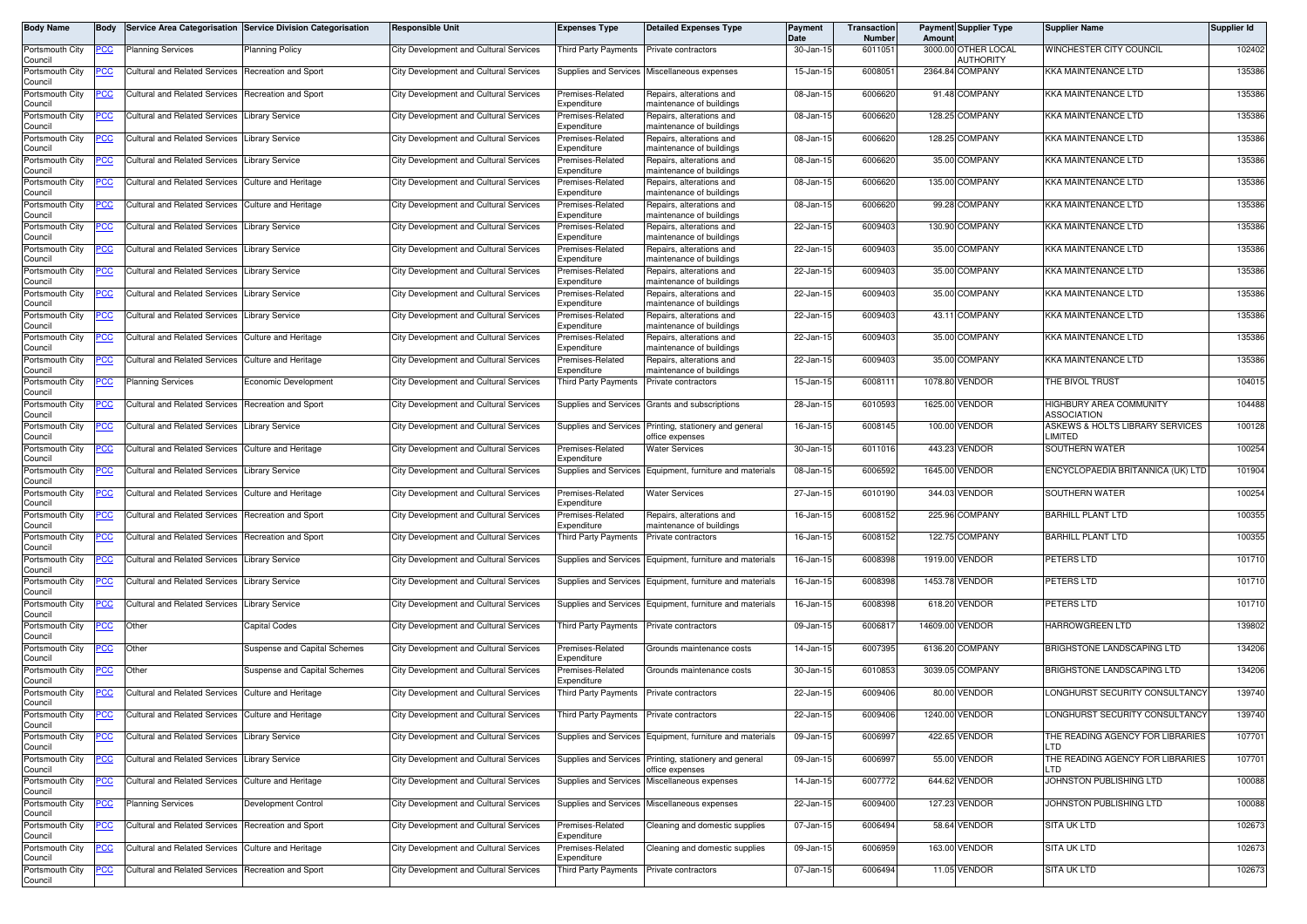| Body Name                  | <b>Body</b> |                                                    | Service Area Categorisation Service Division Categorisation | <b>Responsible Unit</b>                       | <b>Expenses Type</b>                     | <b>Detailed Expenses Type</b>                            | <b>Payment</b><br>Date | Transaction<br>Number | Amoun   | <b>Payment Supplier Type</b>     | <b>Supplier Name</b>                       | Supplier Id |
|----------------------------|-------------|----------------------------------------------------|-------------------------------------------------------------|-----------------------------------------------|------------------------------------------|----------------------------------------------------------|------------------------|-----------------------|---------|----------------------------------|--------------------------------------------|-------------|
| Portsmouth City<br>Council | <u>CC </u>  | <b>Planning Services</b>                           | <b>Planning Policy</b>                                      | City Development and Cultural Services        | Third Party Payments                     | Private contractors                                      | 30-Jan-15              | 6011051               |         | 3000.00 OTHER LOCAL<br>AUTHORITY | WINCHESTER CITY COUNCIL                    | 102402      |
| Portsmouth City<br>Council | сc          | <b>Cultural and Related Services</b>               | Recreation and Sport                                        | <b>City Development and Cultural Services</b> |                                          | Supplies and Services Miscellaneous expenses             | 15-Jan-15              | 600805                |         | 2364.84 COMPANY                  | KKA MAINTENANCE LTD                        | 135386      |
| Portsmouth City<br>Council | PCC         | <b>Cultural and Related Services</b>               | Recreation and Sport                                        | <b>City Development and Cultural Services</b> | Premises-Related<br>Expenditure          | Repairs, alterations and<br>naintenance of buildings     | 08-Jan-15              | 600662                |         | 91.48 COMPANY                    | KKA MAINTENANCE LTD                        | 135386      |
| Portsmouth City<br>Council | <u>cc</u>   | <b>Cultural and Related Services</b>               | ibrary Service                                              | <b>City Development and Cultural Services</b> | Premises-Related<br>Expenditure          | Repairs, alterations and<br>maintenance of buildings     | 08-Jan-15              | 600662                |         | 128.25 COMPANY                   | KKA MAINTENANCE LTD                        | 135386      |
| Portsmouth City<br>Council | <u>'CC</u>  | <b>Cultural and Related Services</b>               | ibrary Service                                              | <b>City Development and Cultural Services</b> | remises-Related<br>Expenditure           | Repairs, alterations and<br>naintenance of buildings     | 08-Jan-15              | 6006620               |         | 128.25 COMPANY                   | KKA MAINTENANCE LTD                        | 135386      |
| Portsmouth City<br>Council |             | <b>Cultural and Related Services</b>               | ibrary Service                                              | City Development and Cultural Services        | remises-Related<br>Expenditure           | Repairs, alterations and<br>maintenance of buildings     | 08-Jan-15              | 6006620               |         | 35.00 COMPANY                    | <b>KKA MAINTENANCE LTD</b>                 | 135386      |
| Portsmouth City<br>Council |             | Cultural and Related Services                      | Culture and Heritage                                        | City Development and Cultural Services        | Premises-Related<br>Expenditure          | Repairs, alterations and<br>maintenance of buildings     | 08-Jan-15              | 6006620               | 135.00  | <b>COMPANY</b>                   | KKA MAINTENANCE LTD                        | 135386      |
| Portsmouth City<br>Council | <u>сс</u>   | <b>Cultural and Related Services</b>               | <b>Culture and Heritage</b>                                 | <b>City Development and Cultural Services</b> | Premises-Related<br>Expenditure          | Repairs, alterations and<br>maintenance of buildings     | 08-Jan-15              | 6006620               |         | 99.28 COMPANY                    | <b>KKA MAINTENANCE LTD</b>                 | 135386      |
| Portsmouth City<br>Council | PCC         | <b>Cultural and Related Services</b>               | <b>Library Service</b>                                      | City Development and Cultural Services        | Premises-Related<br>Expenditure          | Repairs, alterations and<br>maintenance of buildings     | 22-Jan-15              | 6009403               |         | 130.90 COMPANY                   | <b>KKA MAINTENANCE LTD</b>                 | 135386      |
| Portsmouth City<br>Council | cc          | <b>Cultural and Related Services</b>               | ibrary Service                                              | <b>City Development and Cultural Services</b> | Premises-Related<br>Expenditure          | Repairs, alterations and<br>maintenance of buildings     | 22-Jan-15              | 6009403               | 35.00   | <b>COMPANY</b>                   | <b>KKA MAINTENANCE LTD</b>                 | 135386      |
| Portsmouth City<br>Council | сc          | <b>Cultural and Related Services</b>               | ibrary Service                                              | <b>City Development and Cultural Services</b> | remises-Related<br>Expenditure           | Repairs, alterations and<br>maintenance of buildings     | 22-Jan-15              | 6009403               | 35.00   | COMPANY                          | KKA MAINTENANCE LTD                        | 135386      |
| Portsmouth City<br>Council | PСC         | <b>Cultural and Related Services</b>               | Library Service                                             | <b>City Development and Cultural Services</b> | Premises-Related<br>Expenditure          | Repairs, alterations and<br>maintenance of buildings     | 22-Jan-15              | 6009403               |         | 35.00 COMPANY                    | KKA MAINTENANCE LTD                        | 135386      |
| Portsmouth City<br>Council | PСC         | <b>Cultural and Related Services</b>               | ibrary Service.                                             | City Development and Cultural Services        | remises-Related<br>Expenditure           | Repairs, alterations and<br>maintenance of buildings     | 22-Jan-15              | 6009403               |         | 43.11 COMPANY                    | <b>KKA MAINTENANCE LTD</b>                 | 135386      |
| Portsmouth City<br>Council | <u>'CC</u>  | <b>Cultural and Related Services</b>               | <b>Culture and Heritage</b>                                 | <b>City Development and Cultural Services</b> | remises-Related<br>Expenditure           | Repairs, alterations and<br>maintenance of buildings     | 22-Jan-1               | 6009403               |         | 35.00 COMPANY                    | KKA MAINTENANCE LTD                        | 135386      |
| Portsmouth City<br>Council | PСC         | Cultural and Related Services                      | Culture and Heritage                                        | City Development and Cultural Services        | remises-Related<br>Expenditure           | Repairs, alterations and<br>maintenance of buildings     | 22-Jan-15              | 6009403               |         | 35.00 COMPANY                    | KKA MAINTENANCE LTD                        | 135386      |
| Portsmouth City<br>Council | <u>'CC</u>  | <b>Planning Services</b>                           | Economic Development                                        | <b>City Development and Cultural Services</b> | Third Party Payments                     | Private contractors                                      | 15-Jan-15              | 600811                | 1078.80 | /ENDOR                           | THE BIVOL TRUST                            | 104015      |
| Portsmouth City<br>Council | <u>CC</u>   | Cultural and Related Services Recreation and Sport |                                                             | City Development and Cultural Services        |                                          | Supplies and Services Grants and subscriptions           | 28-Jan-15              | 6010593               |         | 1625.00 VENDOR                   | HIGHBURY AREA COMMUNITY<br>ASSOCIATION     | 104488      |
| Portsmouth City<br>Council | <u>cc</u>   | <b>Cultural and Related Services</b>               | ibrary Service.                                             | City Development and Cultural Services        | Supplies and Services                    | Printing, stationery and general<br>office expenses      | 16-Jan-15              | 6008145               |         | 100.00 VENDOR                    | ASKEWS & HOLTS LIBRARY SERVICES<br>LIMITED | 100128      |
| Portsmouth City<br>Council | <u>PCC</u>  | <b>Cultural and Related Services</b>               | Culture and Heritage                                        | City Development and Cultural Services        | Premises-Related<br>Expenditure          | <b>Water Services</b>                                    | 30-Jan-15              | 6011016               |         | 443.23 VENDOR                    | SOUTHERN WATER                             | 100254      |
| Portsmouth City<br>Council | PСC         | <b>Cultural and Related Services</b>               | ibrary Service.                                             | <b>City Development and Cultural Services</b> | Supplies and Services                    | Equipment, furniture and materials                       | 08-Jan-15              | 6006592               |         | 1645.00 VENDOR                   | ENCYCLOPAEDIA BRITANNICA (UK) LTD          | 101904      |
| Portsmouth City<br>Council | <u>CC </u>  | <b>Cultural and Related Services</b>               | Culture and Heritage                                        | City Development and Cultural Services        | Premises-Related<br>Expenditure          | <b>Water Services</b>                                    | 27-Jan-15              | 6010190               |         | 344.03 VENDOR                    | <b>SOUTHERN WATER</b>                      | 100254      |
| Portsmouth City<br>Council | <u>CC </u>  | <b>Cultural and Related Services</b>               | Recreation and Sport                                        | <b>City Development and Cultural Services</b> | Premises-Related<br>Expenditure          | Repairs, alterations and<br>naintenance of buildings     | 16-Jan-15              | 6008152               |         | 225.96 COMPANY                   | <b>BARHILL PLANT LTD</b>                   | 100355      |
| Portsmouth City<br>Council | PСC         | <b>Cultural and Related Services</b>               | Recreation and Sport                                        | <b>City Development and Cultural Services</b> | <b>Third Party Payments</b>              | Private contractors                                      | 16-Jan-15              | 6008152               |         | 122.75 COMPANY                   | <b>BARHILL PLANT LTD</b>                   | 100355      |
| Portsmouth City<br>Council | 'СС         | <b>Cultural and Related Services</b>               | Library Service                                             | <b>City Development and Cultural Services</b> | Supplies and Services                    | Equipment, furniture and materials                       | 16-Jan-15              | 6008398               |         | 1919.00 VENDOR                   | PETERS LTD                                 | 101710      |
| Portsmouth City<br>Council | <u>'CC</u>  | <b>Cultural and Related Services</b>               | ibrary Service                                              | <b>City Development and Cultural Services</b> | Supplies and Services                    | Equipment, furniture and materials                       | 16-Jan-15              | 6008398               |         | 1453.78 VENDOR                   | PETERS LTD                                 | 101710      |
| Portsmouth City<br>Council | <u>PCC</u>  | <b>Cultural and Related Services</b>               | ibrary Service                                              | City Development and Cultural Services        | Supplies and Services                    | Equipment, furniture and materials                       | 16-Jan-15              | 6008398               |         | 618.20 VENDOR                    | PETERS LTD                                 | 101710      |
| Portsmouth City<br>Council | <u>CC</u>   | Other                                              | Capital Codes                                               | City Development and Cultural Services        | Third Party Payments                     | Private contractors                                      | 09-Jan-15              | 600681                |         | 14609.00 VENDOR                  | <b>HARROWGREEN LTD</b>                     | 139802      |
| Portsmouth City<br>Council | <u>cc</u>   | Other                                              | <b>Suspense and Capital Schemes</b>                         | <b>City Development and Cultural Services</b> | Premises-Related<br><i>s</i> penditure   | Grounds maintenance costs                                | 14-Jan-15              | 6007395               |         | 6136.20 COMPANY                  | BRIGHSTONE LANDSCAPING LTD                 | 134206      |
| Portsmouth City<br>Council | <u>PCC</u>  | Other                                              | Suspense and Capital Schemes                                | City Development and Cultural Services        | Premises-Related<br>Expenditure          | Grounds maintenance costs                                | 30-Jan-15              | 6010853               |         | 3039.05 COMPANY                  | BRIGHSTONE LANDSCAPING LTD                 | 134206      |
| Portsmouth City<br>Council | <u>PCC</u>  | <b>Cultural and Related Services</b>               | <b>Culture and Heritage</b>                                 | <b>City Development and Cultural Services</b> | Third Party Payments                     | Private contractors                                      | 22-Jan-15              | 6009406               |         | 80.00 VENDOR                     | LONGHURST SECURITY CONSULTANCY             | 139740      |
| Portsmouth City<br>Council | <b>PCC</b>  | Cultural and Related Services Culture and Heritage |                                                             | City Development and Cultural Services        | Third Party Payments Private contractors |                                                          | 22-Jan-15              | 6009406               |         | 1240.00 VENDOR                   | LONGHURST SECURITY CONSULTANCY             | 139740      |
| Portsmouth City<br>Council | <u>PCC</u>  | Cultural and Related Services                      | Library Service                                             | <b>City Development and Cultural Services</b> |                                          | Supplies and Services Equipment, furniture and materials | 09-Jan-15              | 600699                |         | 422.65 VENDOR                    | THE READING AGENCY FOR LIBRARIES<br>LTD    | 107701      |
| Portsmouth City<br>Council | cc          | <b>Cultural and Related Services</b>               | ibrary Service                                              | City Development and Cultural Services        | <b>Supplies and Services</b>             | Printing, stationery and general<br>office expenses      | 09-Jan-15              | 6006997               |         | 55.00 VENDOR                     | THE READING AGENCY FOR LIBRARIES<br>LTD    | 107701      |
| Portsmouth City<br>Council | <u>'СС</u>  | <b>Cultural and Related Services</b>               | Culture and Heritage                                        | City Development and Cultural Services        | Supplies and Services                    | Miscellaneous expenses                                   | 14-Jan-15              | 6007772               |         | 644.62 VENDOR                    | JOHNSTON PUBLISHING LTD                    | 100088      |
| Portsmouth City<br>Council | <u>PCC</u>  | <b>Planning Services</b>                           | Development Control                                         | City Development and Cultural Services        |                                          | Supplies and Services Miscellaneous expenses             | 22-Jan-15              | 6009400               |         | 127.23 VENDOR                    | JOHNSTON PUBLISHING LTD                    | 100088      |
| Portsmouth City<br>Council | PСC         | Cultural and Related Services Recreation and Sport |                                                             | City Development and Cultural Services        | Premises-Related<br>Expenditure          | Cleaning and domestic supplies                           | 07-Jan-15              | 6006494               |         | 58.64 VENDOR                     | <b>SITA UK LTD</b>                         | 102673      |
| Portsmouth City<br>Council | сc          | <b>Cultural and Related Services</b>               | Culture and Heritage                                        | City Development and Cultural Services        | Premises-Related<br>Expenditure          | Cleaning and domestic supplies                           | 09-Jan-15              | 6006959               |         | 163.00 VENDOR                    | <b>SITA UK LTD</b>                         | 102673      |
| Portsmouth City<br>Council | <u>PCC </u> | Cultural and Related Services Recreation and Sport |                                                             | City Development and Cultural Services        | Third Party Payments Private contractors |                                                          | 07-Jan-15              | 6006494               |         | 11.05 VENDOR                     | SITA UK LTD                                | 102673      |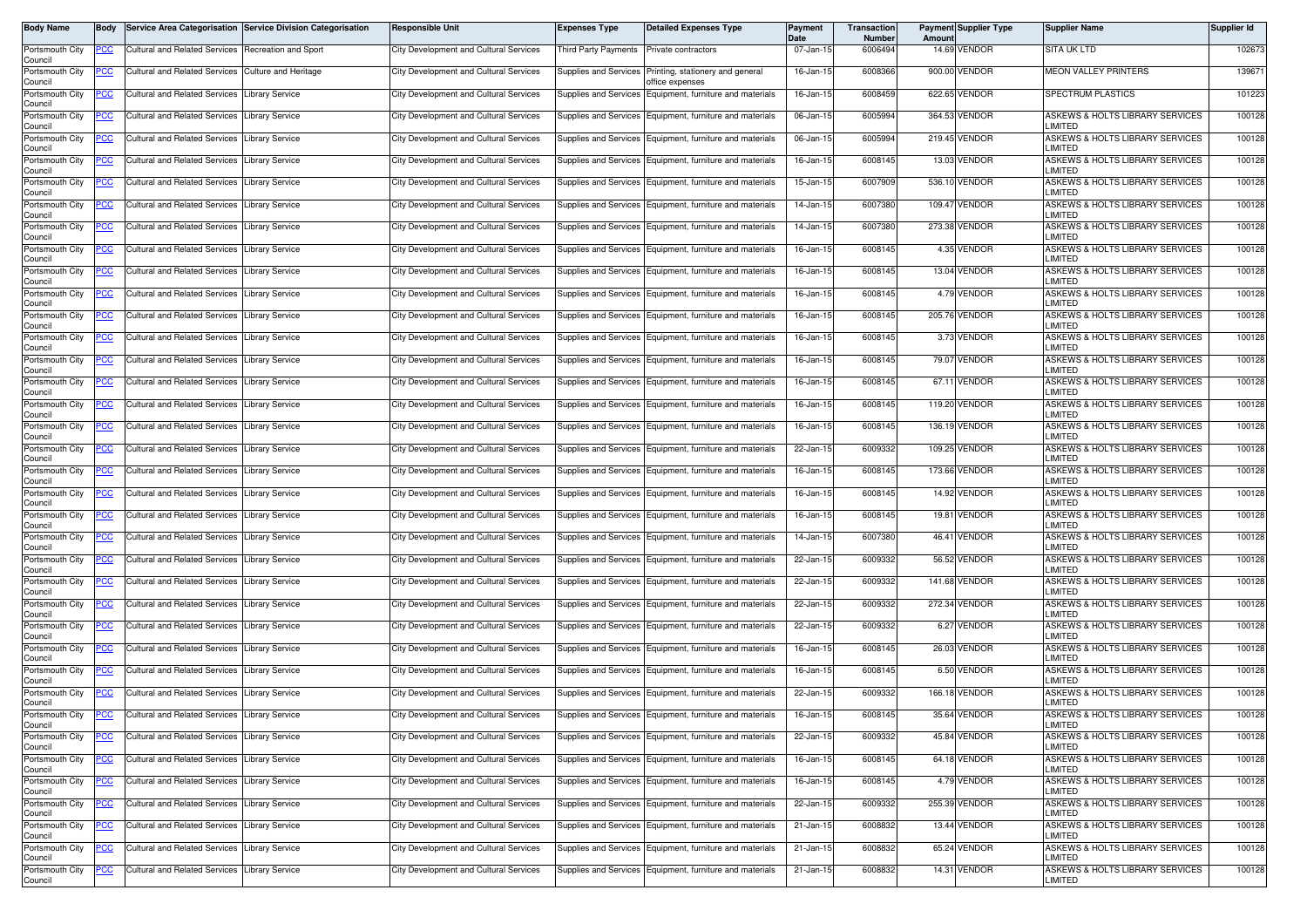| Body Name                                     | Body                     |                                                                | Service Area Categorisation Service Division Categorisation | <b>Responsible Unit</b>                                                          | <b>Expenses Type</b>         | <b>Detailed Expenses Type</b>                                                                  | Payment<br><b>Date</b> | Transaction<br>Number | Amoun | <b>Payment Supplier Type</b> | <b>Supplier Name</b>                                                          | Supplier Id      |
|-----------------------------------------------|--------------------------|----------------------------------------------------------------|-------------------------------------------------------------|----------------------------------------------------------------------------------|------------------------------|------------------------------------------------------------------------------------------------|------------------------|-----------------------|-------|------------------------------|-------------------------------------------------------------------------------|------------------|
| Portsmouth City<br>Council                    | PCC                      | <b>Cultural and Related Services</b>                           | <b>Recreation and Sport</b>                                 | <b>City Development and Cultural Services</b>                                    | Third Party Payments         | Private contractors                                                                            | 07-Jan-15              | 6006494               |       | 14.69 VENDOR                 | <b>SITA UK LTD</b>                                                            | 102673           |
| Portsmouth City<br>Council                    | ပင                       | <b>Cultural and Related Services</b>                           | <b>Culture and Heritage</b>                                 | <b>City Development and Cultural Services</b>                                    | Supplies and Services        | Printing, stationery and general<br>office expenses                                            | 16-Jan-15              | 6008366               |       | 900.00 VENDOR                | <b>MEON VALLEY PRINTERS</b>                                                   | 139671           |
| Portsmouth City<br>Council                    | <u>CC </u>               | <b>Cultural and Related Services</b>                           | ibrary Service                                              | City Development and Cultural Services                                           | Supplies and Services        | Equipment, furniture and materials                                                             | 16-Jan-15              | 6008459               |       | 622.65 VENDOR                | SPECTRUM PLASTICS                                                             | 101223           |
| Portsmouth City<br>Council                    | <u>CC</u>                | <b>Cultural and Related Services</b>                           | ibrary Service.                                             | City Development and Cultural Services                                           | Supplies and Services        | Equipment, furniture and materials                                                             | 06-Jan-15              | 6005994               |       | 364.53 VENDOR                | ASKEWS & HOLTS LIBRARY SERVICES<br>LIMITED                                    | 100128           |
| Portsmouth City<br>Council                    | PCC                      | <b>Cultural and Related Services</b>                           | ibrary Service                                              | <b>City Development and Cultural Services</b>                                    | Supplies and Services        | Equipment, furniture and materials                                                             | 06-Jan-15              | 6005994               |       | 219.45 VENDOR                | ASKEWS & HOLTS LIBRARY SERVICES<br>LIMITED                                    | 100128           |
| Portsmouth City<br>Council                    | <u>CC</u>                | <b>Cultural and Related Services</b>                           | ibrary Service                                              | <b>City Development and Cultural Services</b>                                    | Supplies and Services        | Equipment, furniture and materials                                                             | 16-Jan-15              | 6008145               |       | 13.03 VENDOR                 | ASKEWS & HOLTS LIBRARY SERVICES<br>LIMITED                                    | 100128           |
| Portsmouth City<br>Council                    | <u>PCC</u>               | Cultural and Related Services                                  | <b>Library Service</b>                                      | City Development and Cultural Services                                           |                              | Supplies and Services Equipment, furniture and materials                                       | 15-Jan-15              | 6007909               |       | 536.10 VENDOR                | ASKEWS & HOLTS LIBRARY SERVICES<br>LIMITED                                    | 100128           |
| Portsmouth City<br>Council                    | <u>PCC</u>               | <b>Cultural and Related Services</b>                           | ibrary Service                                              | <b>City Development and Cultural Services</b>                                    | Supplies and Services        | Equipment, furniture and materials                                                             | 14-Jan-15              | 6007380               |       | 109.47 VENDOR                | ASKEWS & HOLTS LIBRARY SERVICES<br>LIMITED                                    | 100128           |
| Portsmouth City<br>Council                    | PCC                      | <b>Cultural and Related Services</b>                           | ibrary Service                                              | <b>City Development and Cultural Services</b>                                    | <b>Supplies and Services</b> | Equipment, furniture and materials                                                             | 14-Jan-15              | 6007380               |       | 273.38 VENDOR                | ASKEWS & HOLTS LIBRARY SERVICES<br>LIMITED                                    | 100128           |
| Portsmouth City<br>Council                    | PСC                      | <b>Cultural and Related Services</b>                           | ibrary Service.                                             | <b>City Development and Cultural Services</b>                                    | Supplies and Services        | Equipment, furniture and materials                                                             | 16-Jan-15              | 6008145               |       | 4.35 VENDOR                  | ASKEWS & HOLTS LIBRARY SERVICES<br>LIMITED                                    | 100128           |
| Portsmouth City<br>Council                    | <u>PCC</u>               | <b>Cultural and Related Services</b>                           | ibrary Service                                              | City Development and Cultural Services                                           | Supplies and Services        | Equipment, furniture and materials                                                             | 16-Jan-15              | 6008145               |       | 13.04 VENDOR                 | ASKEWS & HOLTS LIBRARY SERVICES<br>LIMITED                                    | 100128           |
| Portsmouth City<br>Council                    | <u>CC </u>               | <b>Cultural and Related Services</b>                           | ibrary Service                                              | <b>City Development and Cultural Services</b>                                    | Supplies and Services        | Equipment, furniture and materials                                                             | 16-Jan-15              | 6008145               |       | 4.79 VENDOR                  | ASKEWS & HOLTS LIBRARY SERVICES<br>LIMITED                                    | 100128           |
| Portsmouth City<br>Council                    | PСC                      | <b>Cultural and Related Services</b>                           | ibrary Service.                                             | <b>City Development and Cultural Services</b>                                    | <b>Supplies and Services</b> | Equipment, furniture and materials                                                             | 16-Jan-15              | 6008145               |       | 205.76 VENDOR                | ASKEWS & HOLTS LIBRARY SERVICES<br>LIMITED                                    | 100128           |
| Portsmouth City<br>Council                    | сc                       | Cultural and Related Services                                  | ibrary Service                                              | <b>City Development and Cultural Services</b>                                    | Supplies and Services        | Equipment, furniture and materials                                                             | 16-Jan-15              | 6008145               |       | 3.73 VENDOR                  | ASKEWS & HOLTS LIBRARY SERVICES<br>LIMITED                                    | 100128           |
| Portsmouth City<br>Council                    | <u>PCC </u>              | <b>Cultural and Related Services</b>                           | ibrary Service.                                             | City Development and Cultural Services                                           | Supplies and Services        | Equipment, furniture and materials                                                             | 16-Jan-15              | 6008145               |       | 79.07 VENDOR                 | ASKEWS & HOLTS LIBRARY SERVICES<br>LIMITED                                    | 100128           |
| Portsmouth City<br>Council                    | <u>CC</u>                | <b>Cultural and Related Services</b>                           | ibrary Service                                              | <b>City Development and Cultural Services</b>                                    | Supplies and Services        | Equipment, furniture and materials                                                             | 16-Jan-15              | 6008145               |       | 67.11 VENDOR                 | ASKEWS & HOLTS LIBRARY SERVICES<br>LIMITED                                    | 100128           |
| Portsmouth City<br>Council                    | <u>CC</u>                | <b>Cultural and Related Services</b>                           | ibrary Service                                              | City Development and Cultural Services                                           | Supplies and Services        | Equipment, furniture and materials                                                             | 16-Jan-15              | 6008145               |       | 119.20 VENDOR                | ASKEWS & HOLTS LIBRARY SERVICES<br>LIMITED                                    | 100128           |
| Portsmouth City<br>Council                    | ∍сс                      | <b>Cultural and Related Services</b>                           | ibrary Service                                              | <b>City Development and Cultural Services</b>                                    | Supplies and Services        | Equipment, furniture and materials                                                             | 16-Jan-15              | 6008145               |       | 136.19 VENDOR                | ASKEWS & HOLTS LIBRARY SERVICES<br>LIMITED                                    | 100128           |
| Portsmouth City<br>Council                    | <u>cc</u>                | <b>Cultural and Related Services</b>                           | ibrary Service                                              | <b>City Development and Cultural Services</b>                                    | <b>Supplies and Services</b> | Equipment, furniture and materials                                                             | 22-Jan-15              | 6009332               |       | 109.25 VENDOR                | ASKEWS & HOLTS LIBRARY SERVICES<br>LIMITED                                    | 100128           |
| Portsmouth City<br>Council                    | PСC                      | <b>Cultural and Related Services</b>                           | ibrary Service                                              | City Development and Cultural Services                                           | Supplies and Services        | Equipment, furniture and materials                                                             | 16-Jan-15              | 6008145               |       | 173.66 VENDOR                | ASKEWS & HOLTS LIBRARY SERVICES<br>LIMITED                                    | 100128           |
| Portsmouth City<br>Council                    |                          | <b>Cultural and Related Services</b>                           | ibrary Service                                              | <b>City Development and Cultural Services</b>                                    | <b>Supplies and Services</b> | Equipment, furniture and materials                                                             | 16-Jan-15              | 6008145               |       | 14.92 VENDOR                 | ASKEWS & HOLTS LIBRARY SERVICES<br>LIMITED                                    | 100128           |
| Portsmouth City<br>Council                    | PСC                      | Cultural and Related Services                                  | ibrary Service.                                             | City Development and Cultural Services                                           | Supplies and Services        | Equipment, furniture and materials                                                             | 16-Jan-15              | 6008145               | 19.81 | <b>VENDOR</b>                | ASKEWS & HOLTS LIBRARY SERVICES<br>LIMITED                                    | 100128           |
| Portsmouth City<br>Council                    | сc                       | <b>Cultural and Related Services</b>                           | ibrary Service                                              | <b>City Development and Cultural Services</b>                                    | Supplies and Services        | Equipment, furniture and materials                                                             | 14-Jan-15              | 6007380               |       | 46.41 VENDOR                 | ASKEWS & HOLTS LIBRARY SERVICES<br>LIMITED                                    | 100128           |
| Portsmouth City<br>Council                    | PСC                      | <b>Cultural and Related Services</b>                           | ibrary Service                                              | City Development and Cultural Services                                           | Supplies and Services        | Equipment, furniture and materials                                                             | 22-Jan-15              | 6009332               |       | 56.52 VENDOR                 | ASKEWS & HOLTS LIBRARY SERVICES<br>LIMITED                                    | 100128           |
| Portsmouth City<br>Council                    | PСC                      | <b>Cultural and Related Services</b>                           | ibrary Service                                              | <b>City Development and Cultural Services</b>                                    | Supplies and Services        | Equipment, furniture and materials                                                             | 22-Jan-1               | 6009332               |       | 141.68 VENDOR                | ASKEWS & HOLTS LIBRARY SERVICES<br>LIMITED                                    | 100128           |
| Portsmouth City<br>Council                    | PСC                      | <b>Cultural and Related Services</b>                           | ibrary Service.                                             | City Development and Cultural Services                                           |                              | Supplies and Services Equipment, furniture and materials                                       | 22-Jan-15              | 6009332               |       | 272.34 VENDOR                | ASKEWS & HOLTS LIBRARY SERVICES<br>LIMITED                                    | 100128           |
| Portsmouth City<br>Council                    | <u>PCC</u>               | <b>Cultural and Related Services</b>                           | ibrary Service                                              | <b>City Development and Cultural Services</b>                                    | Supplies and Services        | Equipment, furniture and materials                                                             | 22-Jan-15              | 6009332               | 6.27  | <b>VENDOR</b>                | ASKEWS & HOLTS LIBRARY SERVICES<br>LIMITED                                    | 100128           |
| Portsmouth City<br>Council                    | <u>PCC</u>               | <b>Cultural and Related Services</b>                           | <b>Library Service</b>                                      | <b>City Development and Cultural Services</b>                                    |                              | Supplies and Services Equipment, furniture and materials                                       | 16-Jan-15              | 6008145<br>6008145    |       | 26.03 VENDOR<br>6.50 VENDOR  | ASKEWS & HOLTS LIBRARY SERVICES<br>LIMITED<br>ASKEWS & HOLTS LIBRARY SERVICES | 100128<br>100128 |
| Portsmouth City<br>Council                    | <u>'CC</u>               | <b>Cultural and Related Services</b>                           | ibrary Service.                                             | <b>City Development and Cultural Services</b>                                    | Supplies and Services        | Equipment, furniture and materials                                                             | 16-Jan-15              | 6009332               |       | 166.18 VENDOR                | LIMITED                                                                       | 100128           |
| Portsmouth City<br>Council<br>Portsmouth City | <u>PCC</u>               | <b>Cultural and Related Services</b>                           | ibrary Service                                              | City Development and Cultural Services                                           | Supplies and Services        | Equipment, furniture and materials                                                             | 22-Jan-15              | 6008145               |       | 35.64 VENDOR                 | ASKEWS & HOLTS LIBRARY SERVICES<br>LIMITED<br>ASKEWS & HOLTS LIBRARY SERVICES | 100128           |
| Council                                       | <u>PCC</u>               | Cultural and Related Services<br>Cultural and Related Services | <b>Library Service</b><br>ibrary Service                    | City Development and Cultural Services<br>City Development and Cultural Services | Supplies and Services        | Supplies and Services Equipment, furniture and materials                                       | 16-Jan-15<br>22-Jan-15 | 6009332               |       | 45.84 VENDOR                 | LIMITED<br>ASKEWS & HOLTS LIBRARY SERVICES                                    | 100128           |
| Portsmouth City<br>Council<br>Portsmouth City |                          | Cultural and Related Services                                  | <b>Library Service</b>                                      | City Development and Cultural Services                                           |                              | Equipment, furniture and materials<br>Supplies and Services Equipment, furniture and materials | 16-Jan-15              | 6008145               |       | 64.18 VENDOR                 | LIMITED<br>ASKEWS & HOLTS LIBRARY SERVICES                                    | 100128           |
| Council<br>Portsmouth City                    | 'CC<br><u>PCC</u>        | <b>Cultural and Related Services</b>                           | <b>Library Service</b>                                      | <b>City Development and Cultural Services</b>                                    |                              | Supplies and Services Equipment, furniture and materials                                       | 16-Jan-15              | 6008145               |       | 4.79 VENDOR                  | LIMITED<br>ASKEWS & HOLTS LIBRARY SERVICES                                    | 100128           |
| Council<br>Portsmouth City                    | °СС                      | <b>Cultural and Related Services</b>                           | ibrary Service                                              | <b>City Development and Cultural Services</b>                                    | Supplies and Services        |                                                                                                | 22-Jan-15              | 6009332               |       | 255.39 VENDOR                | LIMITED<br>ASKEWS & HOLTS LIBRARY SERVICES                                    | 100128           |
| Council<br>Portsmouth City                    |                          | Cultural and Related Services Library Service                  |                                                             | City Development and Cultural Services                                           |                              | Equipment, furniture and materials<br>Supplies and Services Equipment, furniture and materials | 21-Jan-15              | 6008832               |       | 13.44 VENDOR                 | LIMITED<br>ASKEWS & HOLTS LIBRARY SERVICES                                    | 100128           |
| Council<br>Portsmouth City                    | <u>CC </u><br><u>PCC</u> | <b>Cultural and Related Services</b>                           | Library Service                                             | City Development and Cultural Services                                           |                              | Supplies and Services Equipment, furniture and materials                                       | 21-Jan-15              | 6008832               |       | 65.24 VENDOR                 | LIMITED<br>ASKEWS & HOLTS LIBRARY SERVICES                                    | 100128           |
| Council<br>Portsmouth City                    | <u>PCC</u>               | <b>Cultural and Related Services</b>                           | <b>Library Service</b>                                      | City Development and Cultural Services                                           |                              | Supplies and Services Equipment, furniture and materials                                       | 21-Jan-15              | 6008832               |       | 14.31 VENDOR                 | LIMITED<br>ASKEWS & HOLTS LIBRARY SERVICES                                    | 100128           |
| Council                                       |                          |                                                                |                                                             |                                                                                  |                              |                                                                                                |                        |                       |       |                              | LIMITED                                                                       |                  |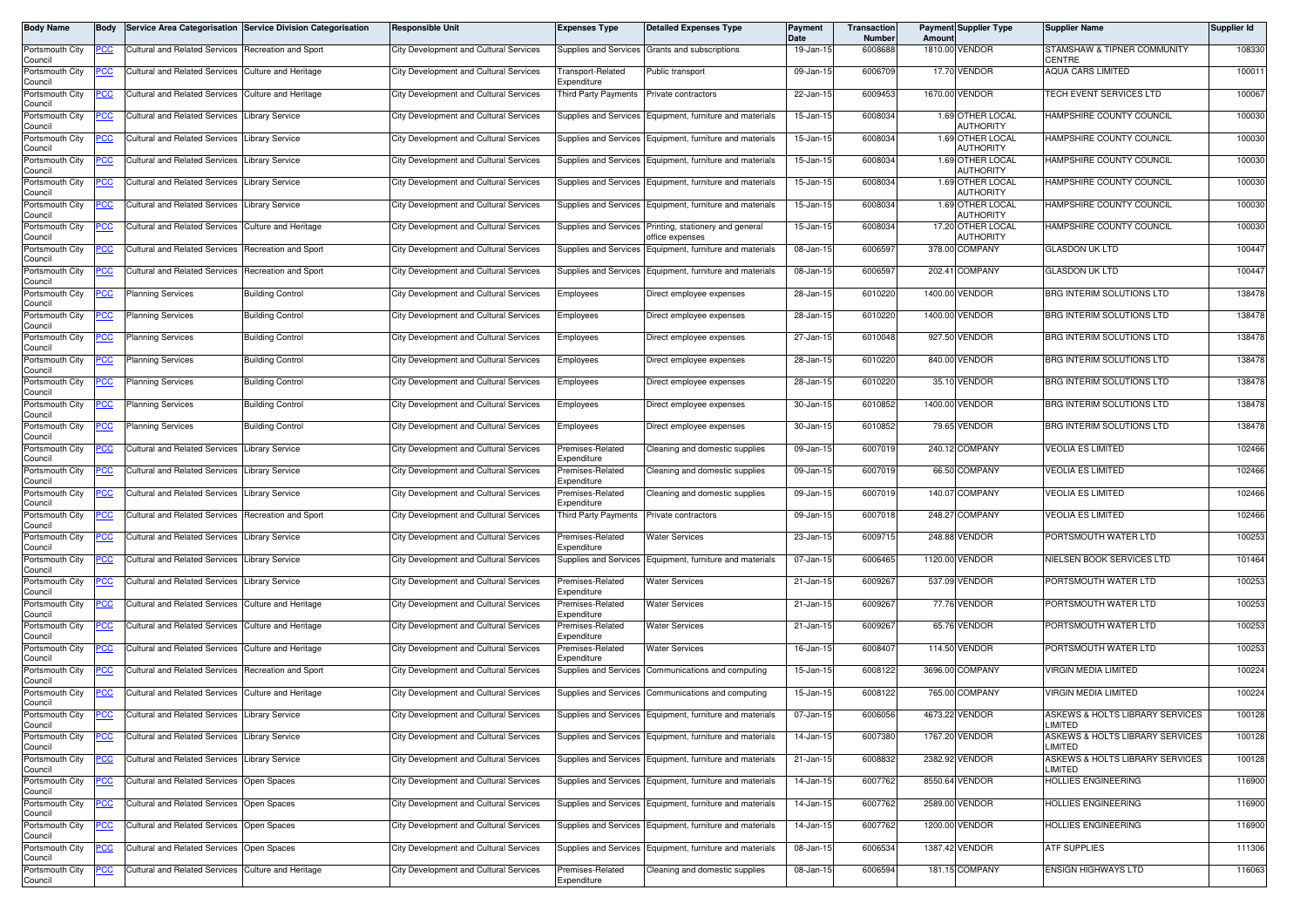| Body Name                  | <b>Body</b> |                                               | Service Area Categorisation Service Division Categorisation | <b>Responsible Unit</b>                       | <b>Expenses Type</b>                  | <b>Detailed Expenses Type</b>                              | <b>Payment</b><br><b>Date</b> | Transaction<br><b>Number</b> | Amoun  | <b>Payment Supplier Type</b>          | <b>Supplier Name</b>                         | Supplier Id |
|----------------------------|-------------|-----------------------------------------------|-------------------------------------------------------------|-----------------------------------------------|---------------------------------------|------------------------------------------------------------|-------------------------------|------------------------------|--------|---------------------------------------|----------------------------------------------|-------------|
| Portsmouth City<br>Council | <u>PCC</u>  | <b>Cultural and Related Services</b>          | Recreation and Sport                                        | <b>City Development and Cultural Services</b> | Supplies and Services                 | Grants and subscriptions                                   | 19-Jan-15                     | 6008688                      |        | 1810.00 VENDOR                        | STAMSHAW & TIPNER COMMUNITY<br><b>CENTRE</b> | 108330      |
| Portsmouth City<br>Council | сc          | <b>Cultural and Related Services</b>          | Culture and Heritage                                        | City Development and Cultural Services        | Transport-Related<br>Expenditure      | Public transport                                           | 09-Jan-15                     | 6006709                      |        | 17.70 VENDOR                          | <b>AQUA CARS LIMITED</b>                     | 100011      |
| Portsmouth City<br>Council | <u>'CC</u>  | <b>Cultural and Related Services</b>          | Culture and Heritage                                        | <b>City Development and Cultural Services</b> | hird Party Payments                   | Private contractors                                        | 22-Jan-15                     | 6009453                      |        | 1670.00 VENDOR                        | TECH EVENT SERVICES LTD                      | 100067      |
| Portsmouth City<br>Council | <u>PCC</u>  | <b>Cultural and Related Services</b>          | Library Service                                             | City Development and Cultural Services        | Supplies and Services                 | Equipment, furniture and materials                         | 15-Jan-15                     | 6008034                      |        | 1.69 OTHER LOCAL<br>AUTHORITY         | HAMPSHIRE COUNTY COUNCIL                     | 100030      |
| Portsmouth City<br>Council | <u>cc</u>   | <b>Cultural and Related Services</b>          | ibrary Service                                              | <b>City Development and Cultural Services</b> | Supplies and Services                 | Equipment, furniture and materials                         | 15-Jan-15                     | 6008034                      |        | 1.69 OTHER LOCAL<br><b>AUTHORITY</b>  | HAMPSHIRE COUNTY COUNCIL                     | 100030      |
| Portsmouth City<br>Council | ∍сс         | <b>Cultural and Related Services</b>          | ibrary Service                                              | <b>City Development and Cultural Services</b> | <b>Supplies and Services</b>          | Equipment, furniture and materials                         | 15-Jan-15                     | 6008034                      |        | 1.69 OTHER LOCAL<br><b>AUTHORITY</b>  | HAMPSHIRE COUNTY COUNCIL                     | 100030      |
| Portsmouth City<br>Council | <u>cc</u>   | Cultural and Related Services                 | ibrary Service                                              | City Development and Cultural Services        | Supplies and Services                 | Equipment, furniture and materials                         | 15-Jan-15                     | 6008034                      |        | 1.69 OTHER LOCAL<br>AUTHORITY         | HAMPSHIRE COUNTY COUNCIL                     | 100030      |
| Portsmouth City<br>Council | <u>cc</u>   | <b>Cultural and Related Services</b>          | ibrary Service                                              | City Development and Cultural Services        | Supplies and Services                 | Equipment, furniture and materials                         | 15-Jan-15                     | 6008034                      |        | 1.69 OTHER LOCAL<br>AUTHORITY         | HAMPSHIRE COUNTY COUNCIL                     | 100030      |
| Portsmouth City<br>Council | <u>CC</u>   | <b>Cultural and Related Services</b>          | Culture and Heritage                                        | City Development and Cultural Services        | <b>Supplies and Services</b>          | Printing, stationery and general<br>office expenses        | 15-Jan-15                     | 6008034                      |        | 17.20 OTHER LOCAL<br><b>AUTHORITY</b> | HAMPSHIRE COUNTY COUNCIL                     | 100030      |
| Portsmouth City<br>Council | PСC         | <b>Cultural and Related Services</b>          | Recreation and Sport                                        | <b>City Development and Cultural Services</b> | Supplies and Services                 | Equipment, furniture and materials                         | 08-Jan-15                     | 6006597                      |        | 378.00 COMPANY                        | <b>GLASDON UK LTD</b>                        | 100447      |
| Portsmouth City<br>Council | cс          | <b>Cultural and Related Services</b>          | Recreation and Sport                                        | City Development and Cultural Services        | Supplies and Services                 | Equipment, furniture and materials                         | 08-Jan-15                     | 6006597                      |        | 202.41 COMPANY                        | <b>GLASDON UK LTD</b>                        | 100447      |
| Portsmouth City<br>Council | PCC         | <b>Planning Services</b>                      | <b>Building Control</b>                                     | City Development and Cultural Services        | Employees                             | Direct employee expenses                                   | 28-Jan-15                     | 6010220                      |        | 1400.00 VENDOR                        | BRG INTERIM SOLUTIONS LTD                    | 138478      |
| Portsmouth City<br>Council | <u>CC </u>  | Planning Services                             | <b>Building Control</b>                                     | <b>City Development and Cultural Services</b> | Employees                             | Direct employee expenses                                   | 28-Jan-1                      | 6010220                      |        | 1400.00 VENDOR                        | BRG INTERIM SOLUTIONS LTD                    | 138478      |
| Portsmouth City<br>Council | PСC         | Planning Services                             | <b>Building Control</b>                                     | <b>City Development and Cultural Services</b> | imployees                             | Direct employee expenses                                   | 27-Jan-15                     | 6010048                      |        | 927.50 VENDOR                         | BRG INTERIM SOLUTIONS LTD                    | 138478      |
| Portsmouth City<br>Council | PСC         | <b>Planning Services</b>                      | <b>Building Control</b>                                     | <b>City Development and Cultural Services</b> | imployees                             | Direct employee expenses                                   | 28-Jan-15                     | 6010220                      |        | 840.00 VENDOR                         | BRG INTERIM SOLUTIONS LTD                    | 138478      |
| Portsmouth City<br>Council | <u>PCC</u>  | <b>Planning Services</b>                      | <b>Building Control</b>                                     | <b>City Development and Cultural Services</b> | <i><b>Employees</b></i>               | Direct employee expenses                                   | 28-Jan-15                     | 6010220                      |        | 35.10 VENDOR                          | BRG INTERIM SOLUTIONS LTD                    | 138478      |
| Portsmouth City<br>Council |             | <b>Planning Services</b>                      | <b>Building Control</b>                                     | <b>City Development and Cultural Services</b> | Employees                             | Direct employee expenses                                   | 30-Jan-15                     | 6010852                      |        | 1400.00 VENDOR                        | BRG INTERIM SOLUTIONS LTD                    | 138478      |
| Portsmouth City<br>Council | <u>PCC</u>  | Planning Services                             | <b>Building Control</b>                                     | <b>City Development and Cultural Services</b> | Employees                             | Direct employee expenses                                   | 30-Jan-15                     | 6010852                      |        | 79.65 VENDOR                          | BRG INTERIM SOLUTIONS LTD                    | 138478      |
| Portsmouth City<br>Council | <u>'CC</u>  | <b>Cultural and Related Services</b>          | ibrary Service                                              | <b>City Development and Cultural Services</b> | remises-Related<br>xpenditure         | Cleaning and domestic supplies                             | 09-Jan-15                     | 6007019                      |        | 240.12 COMPANY                        | <b>VEOLIA ES LIMITED</b>                     | 102466      |
| Portsmouth City<br>Council | °СС         | <b>Cultural and Related Services</b>          | ibrary Service                                              | City Development and Cultural Services        | Premises-Related<br>Expenditure       | Cleaning and domestic supplies                             | 09-Jan-15                     | 6007019                      |        | 66.50 COMPANY                         | <b>VEOLIA ES LIMITED</b>                     | 102466      |
| Portsmouth City<br>Council | <u>'CC</u>  | <b>Cultural and Related Services</b>          | ibrary Service.                                             | City Development and Cultural Services        | remises-Related<br><i>xpenditure</i>  | Cleaning and domestic supplies                             | 09-Jan-1                      | 6007019                      |        | 140.07 COMPANY                        | <b>VEOLIA ES LIMITED</b>                     | 102466      |
| Portsmouth City<br>Council | PCC         | <b>Cultural and Related Services</b>          | Recreation and Sport                                        | <b>City Development and Cultural Services</b> | <b>Third Party Payments</b>           | Private contractors                                        | 09-Jan-15                     | 6007018                      | 248.27 | COMPANY                               | <b>VEOLIA ES LIMITED</b>                     | 102466      |
| Portsmouth City<br>Council | сc          | <b>Cultural and Related Services</b>          | ibrary Service                                              | <b>City Development and Cultural Services</b> | Premises-Related<br>xpenditure        | <b>Water Services</b>                                      | 23-Jan-15                     | 6009715                      |        | 248.88 VENDOR                         | PORTSMOUTH WATER LTD                         | 100253      |
| Portsmouth City<br>Council | <u>'CC</u>  | <b>Cultural and Related Services</b>          | ibrary Service                                              | <b>City Development and Cultural Services</b> | Supplies and Services                 | Equipment, furniture and materials                         | 07-Jan-15                     | 6006465                      |        | 1120.00 VENDOR                        | NIELSEN BOOK SERVICES LTD                    | 101464      |
| Portsmouth City<br>Council | <u>CC </u>  | <b>Cultural and Related Services</b>          | <b>Library Service</b>                                      | <b>City Development and Cultural Services</b> | Premises-Related<br><i>xpenditure</i> | <b>Water Services</b>                                      | $21$ -Jan-15                  | 6009267                      |        | 537.09 VENDOR                         | PORTSMOUTH WATER LTD                         | 100253      |
| Portsmouth City<br>Council | °СС         | <b>Cultural and Related Services</b>          | Culture and Heritage                                        | <b>City Development and Cultural Services</b> | remises-Related<br>Expenditure        | <b>Water Services</b>                                      | 21-Jan-15                     | 6009267                      |        | 77.76 VENDOR                          | PORTSMOUTH WATER LTD                         | 100253      |
| Portsmouth City<br>Council | <u>PCC</u>  | <b>Cultural and Related Services</b>          | Culture and Heritage                                        | <b>City Development and Cultural Services</b> | remises-Related<br>Expenditure        | <b>Water Services</b>                                      | 21-Jan-15                     | 6009267                      |        | 65.76 VENDOR                          | PORTSMOUTH WATER LTD                         | 100253      |
| Portsmouth City<br>Council | <u>сс</u>   | <b>Cultural and Related Services</b>          | <b>Culture and Heritage</b>                                 | <b>City Development and Cultural Services</b> | remises-Related<br>Expenditure        | <b>Water Services</b>                                      | 16-Jan-15                     | 6008407                      |        | 114.50 VENDOR                         | PORTSMOUTH WATER LTD                         | 100253      |
| Portsmouth City<br>Council | <u>PCC</u>  | <b>Cultural and Related Services</b>          | Recreation and Sport                                        | City Development and Cultural Services        | <b>Supplies and Services</b>          | Communications and computing                               | 15-Jan-15                     | 6008122                      |        | 3696.00 COMPANY                       | VIRGIN MEDIA LIMITED                         | 100224      |
| Portsmouth City<br>Council | <u>CC</u>   | <b>Cultural and Related Services</b>          | Culture and Heritage                                        | City Development and Cultural Services        | <b>Supplies and Services</b>          | Communications and computing                               | 15-Jan-15                     | 6008122                      |        | 765.00 COMPANY                        | <b>VIRGIN MEDIA LIMITED</b>                  | 100224      |
| Portsmouth City<br>Council | <b>PCC</b>  | <b>Cultural and Related Services</b>          | Library Service                                             | City Development and Cultural Services        |                                       | Supplies and Services Equipment, furniture and materials   | 07-Jan-15                     | 6006056                      |        | 4673.22 VENDOR                        | ASKEWS & HOLTS LIBRARY SERVICES<br>LIMITED   | 100128      |
| Portsmouth City<br>Council | <u>CC </u>  | Cultural and Related Services                 | <b>Library Service</b>                                      | <b>City Development and Cultural Services</b> |                                       | Supplies and Services Equipment, furniture and materials   | 14-Jan-15                     | 6007380                      |        | 1767.20 VENDOR                        | ASKEWS & HOLTS LIBRARY SERVICES<br>LIMITED   | 100128      |
| Portsmouth City<br>Council | PCC         | Cultural and Related Services Library Service |                                                             | <b>City Development and Cultural Services</b> |                                       | Supplies and Services Equipment, furniture and materials   | 21-Jan-15                     | 6008832                      |        | 2382.92 VENDOR                        | ASKEWS & HOLTS LIBRARY SERVICES<br>LIMITED   | 100128      |
| Portsmouth City<br>Council |             | <b>Cultural and Related Services</b>          | Open Spaces                                                 | City Development and Cultural Services        | <b>Supplies and Services</b>          | Equipment, furniture and materials                         | 14-Jan-15                     | 6007762                      |        | 8550.64 VENDOR                        | HOLLIES ENGINEERING                          | 116900      |
| Portsmouth City<br>Council | PCC         | <b>Cultural and Related Services</b>          | Open Spaces                                                 | City Development and Cultural Services        |                                       | Supplies and Services Equipment, furniture and materials   | 14-Jan-15                     | 6007762                      |        | 2589.00 VENDOR                        | HOLLIES ENGINEERING                          | 116900      |
| Portsmouth City<br>Council | ပင          | Cultural and Related Services Open Spaces     |                                                             | <b>City Development and Cultural Services</b> |                                       | Supplies and Services   Equipment, furniture and materials | 14-Jan-15                     | 6007762                      |        | 1200.00 VENDOR                        | HOLLIES ENGINEERING                          | 116900      |
| Portsmouth City<br>Council | <u>PCC</u>  | Cultural and Related Services                 | Open Spaces                                                 | City Development and Cultural Services        |                                       | Supplies and Services Equipment, furniture and materials   | 08-Jan-15                     | 6006534                      |        | 1387.42 VENDOR                        | ATF SUPPLIES                                 | 111306      |
| Portsmouth City<br>Council | <u>CC </u>  | Cultural and Related Services                 | Culture and Heritage                                        | City Development and Cultural Services        | Premises-Related<br>Expenditure       | Cleaning and domestic supplies                             | 08-Jan-15                     | 6006594                      |        | 181.15 COMPANY                        | ENSIGN HIGHWAYS LTD                          | 116063      |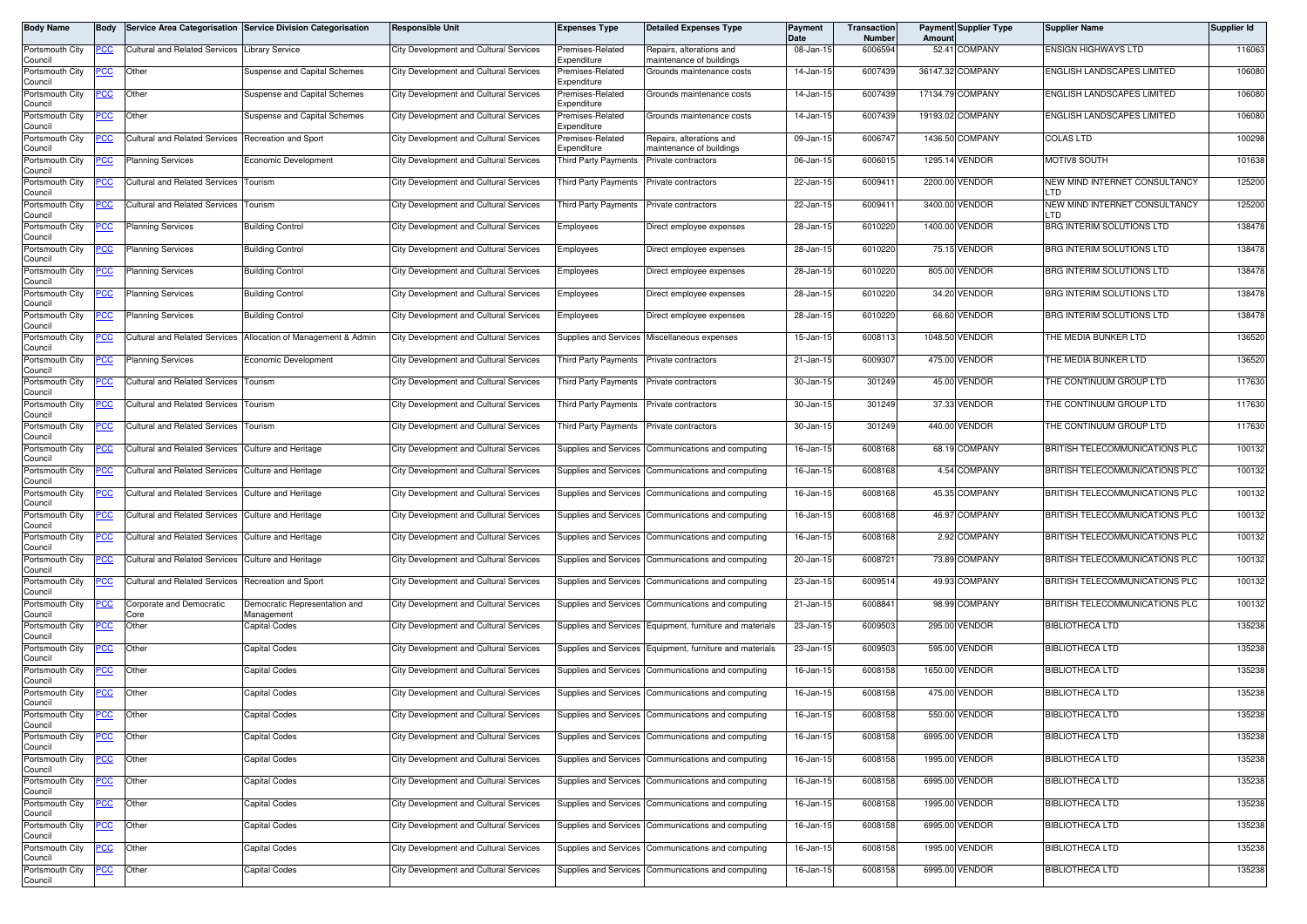| Body Name                             | Body       |                                                    | Service Area Categorisation Service Division Categorisation | <b>Responsible Unit</b>                       | <b>Expenses Type</b>            | <b>Detailed Expenses Type</b>                            | Payment<br>Date | Transaction<br>Number | <b>Payment Supplier Type</b><br>Amoun | <b>Supplier Name</b>                  | Supplier Id |
|---------------------------------------|------------|----------------------------------------------------|-------------------------------------------------------------|-----------------------------------------------|---------------------------------|----------------------------------------------------------|-----------------|-----------------------|---------------------------------------|---------------------------------------|-------------|
| Portsmouth City<br>Council            | PCC        | <b>Cultural and Related Services</b>               | <b>Library Service</b>                                      | City Development and Cultural Services        | Premises-Related<br>Expenditure | Repairs, alterations and<br>naintenance of buildings     | 08-Jan-15       | 6006594               | 52.41 COMPANY                         | <b>ENSIGN HIGHWAYS LTD</b>            | 116063      |
| Portsmouth City<br>Council            | PCC        | Other                                              | <b>Suspense and Capital Schemes</b>                         | <b>City Development and Cultural Services</b> | remises-Related<br>Expenditure  | Grounds maintenance costs                                | 14-Jan-15       | 6007439               | 36147.32 COMPANY                      | ENGLISH LANDSCAPES LIMITED            | 106080      |
| Portsmouth City<br>Council            | °СС        | Other                                              | Suspense and Capital Schemes                                | <b>City Development and Cultural Services</b> | Premises-Related<br>Expenditure | Grounds maintenance costs                                | 14-Jan-15       | 6007439               | 17134.79 COMPANY                      | ENGLISH LANDSCAPES LIMITED            | 106080      |
| Portsmouth City<br>Council            | сc         | Other                                              | <b>Suspense and Capital Schemes</b>                         | City Development and Cultural Services        | Premises-Related<br>Expenditure | Grounds maintenance costs                                | 14-Jan-15       | 6007439               | 19193.02 COMPANY                      | <b>ENGLISH LANDSCAPES LIMITED</b>     | 106080      |
| Portsmouth City                       | <b>PCC</b> | <b>Cultural and Related Services</b>               | Recreation and Sport                                        | City Development and Cultural Services        | Premises-Related<br>Expenditure | Repairs, alterations and                                 | 09-Jan-15       | 6006747               | 1436.50<br>COMPANY                    | <b>COLAS LTD</b>                      | 100298      |
| Council<br>Portsmouth City<br>Council | <u>PCC</u> | <b>Planning Services</b>                           | Economic Development                                        | City Development and Cultural Services        | <b>Third Party Payments</b>     | naintenance of buildings<br>Private contractors          | 06-Jan-15       | 6006015               | 1295.14 VENDOR                        | MOTIV8 SOUTH                          | 101638      |
| Portsmouth City<br>Council            | PСC        | <b>Cultural and Related Services</b>               | Tourism                                                     | City Development and Cultural Services        | <b>Third Party Payments</b>     | Private contractors                                      | 22-Jan-15       | 6009411               | 2200.00 VENDOR                        | NEW MIND INTERNET CONSULTANCY<br>LTD  | 125200      |
| Portsmouth City<br>Council            | <b>PCC</b> | Cultural and Related Services                      | Tourism                                                     | City Development and Cultural Services        | Third Party Payments            | Private contractors                                      | 22-Jan-15       | 6009411               | 3400.00 VENDOR                        | NEW MIND INTERNET CONSULTANCY<br>LTD. | 125200      |
| Portsmouth City<br>Council            |            | Planning Services                                  | <b>Building Control</b>                                     | <b>City Development and Cultural Services</b> | Employees                       | Direct employee expenses                                 | 28-Jan-15       | 6010220               | 1400.00<br>/ENDOR                     | BRG INTERIM SOLUTIONS LTD             | 138478      |
| Portsmouth City<br>Council            | сc         | <b>Planning Services</b>                           | Building Control                                            | City Development and Cultural Services        | Employees                       | Direct employee expenses                                 | 28-Jan-15       | 6010220               | 75.15 VENDOR                          | BRG INTERIM SOLUTIONS LTD             | 138478      |
| Portsmouth City<br>Council            | °СС        | <b>Planning Services</b>                           | <b>Building Control</b>                                     | City Development and Cultural Services        | Employees                       | Direct employee expenses                                 | 28-Jan-15       | 6010220               | 805.00<br>/ENDOR                      | BRG INTERIM SOLUTIONS LTD             | 138478      |
| Portsmouth City<br>Council            | PCC        | <b>Planning Services</b>                           | <b>Building Control</b>                                     | City Development and Cultural Services        | Employees                       | Direct employee expenses                                 | 28-Jan-15       | 6010220               | 34.20 VENDOR                          | BRG INTERIM SOLUTIONS LTD             | 138478      |
| Portsmouth City<br>Council            | °СС        | <b>Planning Services</b>                           | <b>Building Control</b>                                     | <b>City Development and Cultural Services</b> | Employees                       | Direct employee expenses                                 | 28-Jan-15       | 6010220               | 66.60 VENDOR                          | BRG INTERIM SOLUTIONS LTD             | 138478      |
| Portsmouth City<br>Council            | сc         | <b>Cultural and Related Services</b>               | Allocation of Management & Admin                            | City Development and Cultural Services        | <b>Supplies and Services</b>    | Miscellaneous expenses                                   | 15-Jan-15       | 6008113               | 1048.50<br><b>/ENDOR</b>              | THE MEDIA BUNKER LTD                  | 136520      |
| Portsmouth City<br>Council            | PCC        | <b>Planning Services</b>                           | Economic Development                                        | <b>City Development and Cultural Services</b> | Third Party Payments            | Private contractors                                      | 21-Jan-15       | 6009307               | 475.00 VENDOR                         | THE MEDIA BUNKER LTD                  | 136520      |
| Portsmouth City<br>Council            |            | <b>Cultural and Related Services</b>               | Tourism                                                     | City Development and Cultural Services        | <b>Third Party Payments</b>     | Private contractors                                      | 30-Jan-15       | 301249                | 45.00<br>/ENDOR                       | THE CONTINUUM GROUP LTD               | 117630      |
| Portsmouth City<br>Council            |            | <b>Cultural and Related Services</b>               | Tourism                                                     | City Development and Cultural Services        | <b>Third Party Payments</b>     | Private contractors                                      | 30-Jan-15       | 301249                | 37.33 VENDOR                          | THE CONTINUUM GROUP LTD               | 117630      |
| Portsmouth City<br>Council            | сC         | <b>Cultural and Related Services</b>               | Tourism                                                     | <b>City Development and Cultural Services</b> | <b>Third Party Payments</b>     | Private contractors                                      | 30-Jan-15       | 301249                | 440.00 VENDOR                         | THE CONTINUUM GROUP LTD               | 117630      |
| Portsmouth City<br>Council            | сc         | <b>Cultural and Related Services</b>               | Culture and Heritage                                        | <b>City Development and Cultural Services</b> | Supplies and Services           | Communications and computing                             | 16-Jan-15       | 6008168               | 68.19 COMPANY                         | BRITISH TELECOMMUNICATIONS PLC        | 100132      |
| Portsmouth City<br>Council            | cс         | <b>Cultural and Related Services</b>               | <b>Culture and Heritage</b>                                 | <b>City Development and Cultural Services</b> | Supplies and Services           | Communications and computing                             | 16-Jan-15       | 6008168               | 4.54 COMPANY                          | BRITISH TELECOMMUNICATIONS PLC        | 100132      |
| Portsmouth City<br>Council            | PCC        | Cultural and Related Services                      | <b>Culture and Heritage</b>                                 | City Development and Cultural Services        | Supplies and Services           | Communications and computing                             | 16-Jan-15       | 6008168               | 45.35 COMPANY                         | BRITISH TELECOMMUNICATIONS PLC        | 100132      |
| Portsmouth City<br>Council            | сc         | <b>Cultural and Related Services</b>               | <b>Culture and Heritage</b>                                 | City Development and Cultural Services        | Supplies and Services           | Communications and computing                             | 16-Jan-15       | 6008168               | 46.97<br><b>COMPANY</b>               | BRITISH TELECOMMUNICATIONS PLC        | 100132      |
| Portsmouth City<br>Council            | PСC        | <b>Cultural and Related Services</b>               | Culture and Heritage                                        | <b>City Development and Cultural Services</b> | <b>Supplies and Services</b>    | Communications and computing                             | 16-Jan-15       | 6008168               | 2.92 COMPANY                          | BRITISH TELECOMMUNICATIONS PLC        | 100132      |
| Portsmouth City<br>Council            | 'CC        | <b>Cultural and Related Services</b>               | Culture and Heritage                                        | City Development and Cultural Services        | <b>Supplies and Services</b>    | Communications and computing                             | 20-Jan-15       | 6008721               | 73.89 COMPANY                         | BRITISH TELECOMMUNICATIONS PLC        | 100132      |
| Portsmouth City<br>Council            | PСC        | Cultural and Related Services Recreation and Sport |                                                             | City Development and Cultural Services        | Supplies and Services           | Communications and computing                             | 23-Jan-15       | 6009514               | 49.93 COMPANY                         | BRITISH TELECOMMUNICATIONS PLC        | 100132      |
| Portsmouth City<br>Council            | <u>'СС</u> | Corporate and Democratic<br>Core                   | Democratic Representation and<br>Management                 | <b>City Development and Cultural Services</b> | <b>Supplies and Services</b>    | Communications and computing                             | 21-Jan-1        | 6008841               | 98.99 COMPANY                         | BRITISH TELECOMMUNICATIONS PLC        | 100132      |
| Portsmouth City<br>Council            | PСC        | Other                                              | <b>Capital Codes</b>                                        | City Development and Cultural Services        |                                 | Supplies and Services Equipment, furniture and materials | 23-Jan-15       | 6009503               | 295.00<br>/ENDOR                      | <b>BIBLIOTHECA LTD</b>                | 135238      |
| Portsmouth City<br>Council            | сc         | Other                                              | Capital Codes                                               | <b>City Development and Cultural Services</b> | Supplies and Services           | Equipment, furniture and materials                       | 23-Jan-15       | 6009503               | 595.00 VENDOR                         | <b>BIBLIOTHECA LTD</b>                | 135238      |
| Portsmouth City<br>Council            | <u>PCC</u> | Other                                              | Capital Codes                                               | City Development and Cultural Services        | Supplies and Services           | Communications and computing                             | 16-Jan-15       | 6008158               | 1650.00 VENDOR                        | <b>BIBLIOTHECA LTD</b>                | 135238      |
| Portsmouth City<br>Council            | <u>PCC</u> | Other                                              | Capital Codes                                               | City Development and Cultural Services        | Supplies and Services           | Communications and computing                             | 16-Jan-15       | 6008158               | <b>VENDOR</b><br>475.00               | <b>BIBLIOTHECA LTD</b>                | 135238      |
| Portsmouth City<br>Council            | <b>PCC</b> | Other                                              | <b>Capital Codes</b>                                        | <b>City Development and Cultural Services</b> |                                 | Supplies and Services Communications and computing       | 16-Jan-15       | 6008158               | 550.00 VENDOR                         | <b>BIBLIOTHECA LTD</b>                | 135238      |
| Portsmouth City<br>Council            | PCC        | Other                                              | Capital Codes                                               | City Development and Cultural Services        |                                 | Supplies and Services Communications and computing       | 16-Jan-15       | 6008158               | 6995.00 VENDOR                        | <b>BIBLIOTHECA LTD</b>                | 135238      |
| Portsmouth City<br>Council            | сc         | Other                                              | Capital Codes                                               | City Development and Cultural Services        |                                 | Supplies and Services Communications and computing       | 16-Jan-15       | 6008158               | 1995.00 VENDOR                        | <b>BIBLIOTHECA LTD</b>                | 135238      |
| Portsmouth City<br>Council            | <u>CC</u>  | Other                                              | Capital Codes                                               | City Development and Cultural Services        |                                 | Supplies and Services Communications and computing       | 16-Jan-15       | 6008158               | 6995.00 VENDOR                        | <b>BIBLIOTHECA LTD</b>                | 135238      |
| Portsmouth City<br>Council            | PСC        | Other                                              | Capital Codes                                               | City Development and Cultural Services        |                                 | Supplies and Services Communications and computing       | 16-Jan-15       | 6008158               | 1995.00 VENDOR                        | <b>BIBLIOTHECA LTD</b>                | 135238      |
| Portsmouth City<br>Council            | °СС        | Other                                              | Capital Codes                                               | <b>City Development and Cultural Services</b> |                                 | Supplies and Services Communications and computing       | 16-Jan-15       | 6008158               | 6995.00 VENDOR                        | <b>BIBLIOTHECA LTD</b>                | 135238      |
| Portsmouth City<br>Council            | <u>CC</u>  | Other                                              | Capital Codes                                               | City Development and Cultural Services        | Supplies and Services           | Communications and computing                             | 16-Jan-15       | 6008158               | 1995.00 VENDOR                        | <b>BIBLIOTHECA LTD</b>                | 135238      |
| Portsmouth City<br>Council            | <u>PCC</u> | Other                                              | <b>Capital Codes</b>                                        | City Development and Cultural Services        |                                 | Supplies and Services Communications and computing       | 16-Jan-15       | 6008158               | 6995.00 VENDOR                        | <b>BIBLIOTHECA LTD</b>                | 135238      |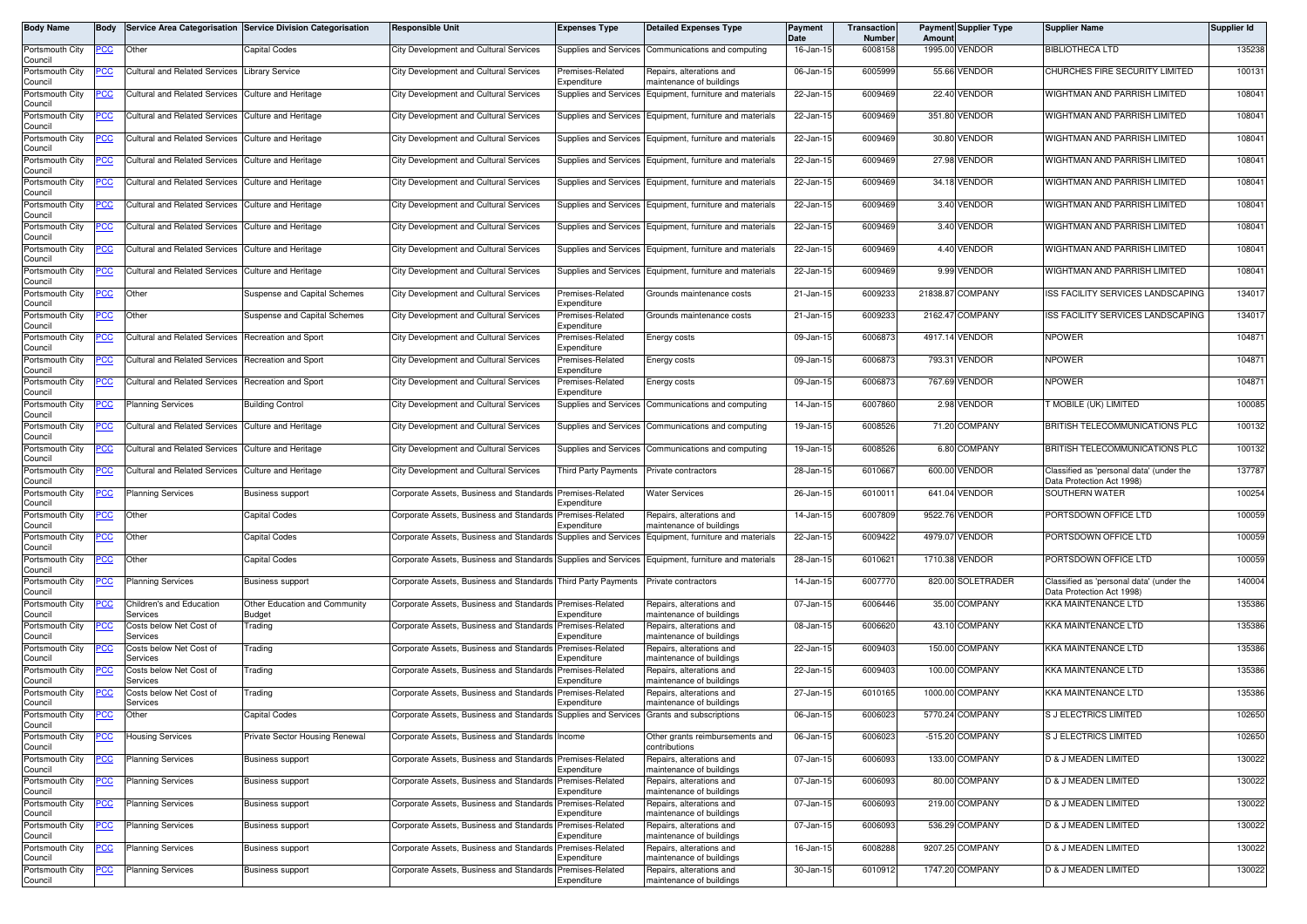| Body Name                  | Body       |                                                    | Service Area Categorisation Service Division Categorisation | <b>Responsible Unit</b>                                                                           | <b>Expenses Type</b>            | <b>Detailed Expenses Type</b>                            | Payment<br>Date | Transaction<br>Number | Amoun | <b>Payment Supplier Type</b> | <b>Supplier Name</b>                                                  | Supplier Id |
|----------------------------|------------|----------------------------------------------------|-------------------------------------------------------------|---------------------------------------------------------------------------------------------------|---------------------------------|----------------------------------------------------------|-----------------|-----------------------|-------|------------------------------|-----------------------------------------------------------------------|-------------|
| Portsmouth City<br>Council | <u>PCC</u> | Other                                              | Capital Codes                                               | <b>City Development and Cultural Services</b>                                                     | Supplies and Services           | Communications and computing                             | 16-Jan-15       | 6008158               |       | 1995.00 VENDOR               | <b>BIBLIOTHECA LTD</b>                                                | 135238      |
| Portsmouth City<br>Council | сc         | <b>Cultural and Related Services</b>               | Library Service                                             | City Development and Cultural Services                                                            | Premises-Related<br>Expenditure | Repairs, alterations and<br>maintenance of buildings     | 06-Jan-15       | 6005999               |       | 55.66 VENDOR                 | CHURCHES FIRE SECURITY LIMITED                                        | 100131      |
| Portsmouth City<br>Council | <u>'CC</u> | <b>Cultural and Related Services</b>               | Culture and Heritage                                        | <b>City Development and Cultural Services</b>                                                     | Supplies and Services           | Equipment, furniture and materials                       | 22-Jan-15       | 6009469               |       | 22.40 VENDOR                 | WIGHTMAN AND PARRISH LIMITED                                          | 108041      |
| Portsmouth City<br>Council | <u>CC</u>  | <b>Cultural and Related Services</b>               | <b>Culture and Heritage</b>                                 | <b>City Development and Cultural Services</b>                                                     |                                 | Supplies and Services Equipment, furniture and materials | 22-Jan-15       | 6009469               |       | 351.80 VENDOR                | WIGHTMAN AND PARRISH LIMITED                                          | 108041      |
| Portsmouth City<br>Council | <u>cc</u>  | <b>Cultural and Related Services</b>               | <b>Culture and Heritage</b>                                 | <b>City Development and Cultural Services</b>                                                     | <b>Supplies and Services</b>    | Equipment, furniture and materials                       | 22-Jan-15       | 6009469               |       | 30.80 VENDOR                 | WIGHTMAN AND PARRISH LIMITED                                          | 108041      |
| Portsmouth City<br>Council | ∍сс        | <b>Cultural and Related Services</b>               | <b>Culture and Heritage</b>                                 | <b>City Development and Cultural Services</b>                                                     | Supplies and Services           | Equipment, furniture and materials                       | 22-Jan-15       | 6009469               |       | 27.98 VENDOR                 | WIGHTMAN AND PARRISH LIMITED                                          | 108041      |
| Portsmouth City<br>Council | <u>'CC</u> | <b>Cultural and Related Services</b>               | <b>Culture and Heritage</b>                                 | <b>City Development and Cultural Services</b>                                                     | Supplies and Services           | Equipment, furniture and materials                       | 22-Jan-15       | 6009469               |       | 34.18 VENDOR                 | WIGHTMAN AND PARRISH LIMITED                                          | 108041      |
| Portsmouth City<br>Council | <u>cc</u>  | <b>Cultural and Related Services</b>               | Culture and Heritage                                        | <b>City Development and Cultural Services</b>                                                     | Supplies and Services           | Equipment, furniture and materials                       | 22-Jan-15       | 6009469               |       | 3.40 VENDOR                  | WIGHTMAN AND PARRISH LIMITED                                          | 108041      |
| Portsmouth City<br>Council | <u>CC</u>  | <b>Cultural and Related Services</b>               | <b>Culture and Heritage</b>                                 | City Development and Cultural Services                                                            | Supplies and Services           | Equipment, furniture and materials                       | 22-Jan-15       | 6009469               |       | 3.40 VENDOR                  | WIGHTMAN AND PARRISH LIMITED                                          | 108041      |
| Portsmouth City<br>Council | PСC        | <b>Cultural and Related Services</b>               | Culture and Heritage                                        | <b>City Development and Cultural Services</b>                                                     | Supplies and Services           | Equipment, furniture and materials                       | 22-Jan-15       | 6009469               |       | 4.40 VENDOR                  | WIGHTMAN AND PARRISH LIMITED                                          | 108041      |
| Portsmouth City<br>Council | cс         | <b>Cultural and Related Services</b>               | <b>Culture and Heritage</b>                                 | <b>City Development and Cultural Services</b>                                                     | <b>Supplies and Services</b>    | Equipment, furniture and materials                       | 22-Jan-15       | 6009469               |       | 9.99 VENDOR                  | WIGHTMAN AND PARRISH LIMITED                                          | 108041      |
| Portsmouth City<br>Council | PCC        | Other                                              | Suspense and Capital Schemes                                | City Development and Cultural Services                                                            | Premises-Related<br>Expenditure | Grounds maintenance costs                                | 21-Jan-15       | 6009233               |       | 21838.87 COMPANY             | ISS FACILITY SERVICES LANDSCAPING                                     | 134017      |
| Portsmouth City<br>Council | <u>CC </u> | Other                                              | <b>Suspense and Capital Schemes</b>                         | <b>City Development and Cultural Services</b>                                                     | remises-Related<br>Expenditure  | Grounds maintenance costs                                | 21-Jan-15       | 6009233               |       | 2162.47 COMPANY              | <b>ISS FACILITY SERVICES LANDSCAPING</b>                              | 134017      |
| Portsmouth City<br>Council | PСC        | <b>Cultural and Related Services</b>               | <b>Recreation and Sport</b>                                 | <b>City Development and Cultural Services</b>                                                     | remises-Related<br>Expenditure  | Energy costs                                             | 09-Jan-15       | 6006873               |       | 4917.14 VENDOR               | <b>NPOWER</b>                                                         | 104871      |
| Portsmouth City<br>Council | PСC        | Cultural and Related Services Recreation and Sport |                                                             | <b>City Development and Cultural Services</b>                                                     | Premises-Related<br>Expenditure | Energy costs                                             | 09-Jan-15       | 6006873               |       | 793.31 VENDOR                | <b>NPOWER</b>                                                         | 104871      |
| Portsmouth City<br>Council | <u>PCC</u> | <b>Cultural and Related Services</b>               | Recreation and Sport                                        | City Development and Cultural Services                                                            | Premises-Related<br>Expenditure | Energy costs                                             | 09-Jan-15       | 6006873               |       | 767.69 VENDOR                | <b>NPOWER</b>                                                         | 104871      |
| Portsmouth City<br>Council | <u>'CC</u> | <b>Planning Services</b>                           | <b>Building Control</b>                                     | <b>City Development and Cultural Services</b>                                                     | Supplies and Services           | Communications and computing                             | 14-Jan-15       | 6007860               |       | 2.98 VENDOR                  | <b>F MOBILE (UK) LIMITED</b>                                          | 100085      |
| Portsmouth City<br>Council | ∍сс        | <b>Cultural and Related Services</b>               | <b>Culture and Heritage</b>                                 | <b>City Development and Cultural Services</b>                                                     | Supplies and Services           | Communications and computing                             | 19-Jan-15       | 6008526               |       | 71.20 COMPANY                | BRITISH TELECOMMUNICATIONS PLC                                        | 100132      |
| Portsmouth City<br>Council | <u>'CC</u> | <b>Cultural and Related Services</b>               | <b>Culture and Heritage</b>                                 | <b>City Development and Cultural Services</b>                                                     | Supplies and Services           | Communications and computing                             | 19-Jan-15       | 6008526               |       | 6.80 COMPANY                 | BRITISH TELECOMMUNICATIONS PLC                                        | 100132      |
| Portsmouth City<br>Council | PСC        | Cultural and Related Services Culture and Heritage |                                                             | City Development and Cultural Services                                                            | Third Party Payments            | Private contractors                                      | 28-Jan-15       | 6010667               |       | 600.00 VENDOR                | Classified as 'personal data' (under the<br>Data Protection Act 1998) | 137787      |
| Portsmouth City<br>Council | <u>'СС</u> | <b>Planning Services</b>                           | <b>Business support</b>                                     | Corporate Assets, Business and Standards                                                          | Premises-Related<br>Expenditure | <b>Water Services</b>                                    | 26-Jan-15       | 601001                |       | 641.04 VENDOR                | SOUTHERN WATER                                                        | 100254      |
| Portsmouth City<br>Council | <u>PCC</u> | Other                                              | Capital Codes                                               | Corporate Assets, Business and Standards                                                          | Premises-Related<br>Expenditure | Repairs, alterations and<br>maintenance of buildings     | 14-Jan-15       | 6007809               |       | 9522.76 VENDOR               | PORTSDOWN OFFICE LTD                                                  | 100059      |
| Portsmouth City<br>Council | сc         | Other                                              | Capital Codes                                               | Corporate Assets, Business and Standards                                                          | Supplies and Services           | Equipment, furniture and materials                       | 22-Jan-15       | 6009422               |       | 4979.07 VENDOR               | PORTSDOWN OFFICE LTD                                                  | 100059      |
| Portsmouth City<br>Council | <u>PCC</u> | Other                                              | Capital Codes                                               | Corporate Assets, Business and Standards Supplies and Services Equipment, furniture and materials |                                 |                                                          | 28-Jan-15       | 6010621               |       | 1710.38 VENDOR               | PORTSDOWN OFFICE LTD                                                  | 100059      |
| Portsmouth City<br>Council | <u>'CC</u> | <b>Planning Services</b>                           | <b>Business support</b>                                     | Corporate Assets, Business and Standards Third Party Payments                                     |                                 | Private contractors                                      | 14-Jan-15       | 6007770               |       | 820.00 SOLETRADER            | Classified as 'personal data' (under the<br>Data Protection Act 1998) | 140004      |
| Portsmouth City<br>Council | сc         | Children's and Education<br>Services               | Other Education and Community<br>Budget                     | Corporate Assets, Business and Standards Premises-Related                                         | Expenditure                     | Repairs, alterations and<br>maintenance of buildings     | 07-Jan-15       | 6006446               |       | 35.00 COMPANY                | <b>KKA MAINTENANCE LTD</b>                                            | 135386      |
| Portsmouth City<br>Council |            | Costs below Net Cost of<br>Services                | Frading                                                     | Corporate Assets, Business and Standards                                                          | Premises-Related<br>Expenditure | Repairs, alterations and<br>maintenance of buildings     | 08-Jan-15       | 6006620               |       | 43.10 COMPANY                | KKA MAINTENANCE LTD                                                   | 135386      |
| Portsmouth City<br>Council |            | Costs below Net Cost of<br>Services                | rading                                                      | Corporate Assets, Business and Standards                                                          | Premises-Related<br>Expenditure | Repairs, alterations and<br>maintenance of buildings     | 22-Jan-15       | 6009403               |       | 150.00 COMPANY               | <b>KKA MAINTENANCE LTD</b>                                            | 135386      |
| Portsmouth City<br>Council |            | Costs below Net Cost of<br>Services                | <b>Trading</b>                                              | Corporate Assets, Business and Standards                                                          | Premises-Related<br>Expenditure | Repairs, alterations and<br>naintenance of buildings     | 22-Jan-15       | 6009403               |       | 100.00 COMPANY               | <b>KKA MAINTENANCE LTD</b>                                            | 135386      |
| Portsmouth City<br>Council |            | Costs below Net Cost of<br>Services                | <b>Trading</b>                                              | Corporate Assets, Business and Standards                                                          | Premises-Related<br>Expenditure | Repairs, alterations and<br>maintenance of buildings     | 27-Jan-15       | 6010165               |       | 1000.00 COMPANY              | <b>KKA MAINTENANCE LTD</b>                                            | 135386      |
| Portsmouth City<br>Council | <u>PCC</u> | Other                                              | Capital Codes                                               | Corporate Assets, Business and Standards                                                          | Supplies and Services           | Grants and subscriptions                                 | 06-Jan-15       | 6006023               |       | 5770.24 COMPANY              | <b>S J ELECTRICS LIMITED</b>                                          | 102650      |
| Portsmouth City<br>Council | <u>CC </u> | <b>Housing Services</b>                            | Private Sector Housing Renewal                              | Corporate Assets, Business and Standards                                                          | Income                          | Other grants reimbursements and<br>contributions         | 06-Jan-15       | 6006023               |       | -515.20 COMPANY              | S J ELECTRICS LIMITED                                                 | 102650      |
| Portsmouth City<br>Council | °СС        | <b>Planning Services</b>                           | <b>Business support</b>                                     | Corporate Assets, Business and Standards Premises-Related                                         | Expenditure                     | Repairs, alterations and<br>maintenance of buildings     | 07-Jan-15       | 6006093               |       | 133.00 COMPANY               | D & J MEADEN LIMITED                                                  | 130022      |
| Portsmouth City<br>Council |            | <b>Planning Services</b>                           | <b>Business support</b>                                     | Corporate Assets, Business and Standards                                                          | Premises-Related<br>Expenditure | Repairs, alterations and<br>maintenance of buildings     | 07-Jan-15       | 6006093               |       | 80.00 COMPANY                | D & J MEADEN LIMITED                                                  | 130022      |
| Portsmouth City<br>Council | <u>PCC</u> | <b>Planning Services</b>                           | <b>Business support</b>                                     | Corporate Assets, Business and Standards                                                          | Premises-Related<br>Expenditure | Repairs, alterations and<br>maintenance of buildings     | 07-Jan-15       | 6006093               |       | 219.00 COMPANY               | D & J MEADEN LIMITED                                                  | 130022      |
| Portsmouth City<br>Council | 'CC        | <b>Planning Services</b>                           | Business support                                            | Corporate Assets, Business and Standards                                                          | Premises-Related<br>Expenditure | Repairs, alterations and<br>maintenance of buildings     | 07-Jan-15       | 6006093               |       | 536.29 COMPANY               | D & J MEADEN LIMITED                                                  | 130022      |
| Portsmouth City<br>Council | <u>'CC</u> | <b>Planning Services</b>                           | <b>Business support</b>                                     | Corporate Assets, Business and Standards Premises-Related                                         | Expenditure                     | Repairs, alterations and<br>maintenance of buildings     | 16-Jan-15       | 6008288               |       | 9207.25 COMPANY              | D & J MEADEN LIMITED                                                  | 130022      |
| Portsmouth City<br>Council |            | Planning Services                                  | <b>Business support</b>                                     | Corporate Assets, Business and Standards                                                          | Premises-Related<br>Expenditure | Repairs, alterations and<br>maintenance of buildings     | 30-Jan-15       | 6010912               |       | 1747.20 COMPANY              | D & J MEADEN LIMITED                                                  | 130022      |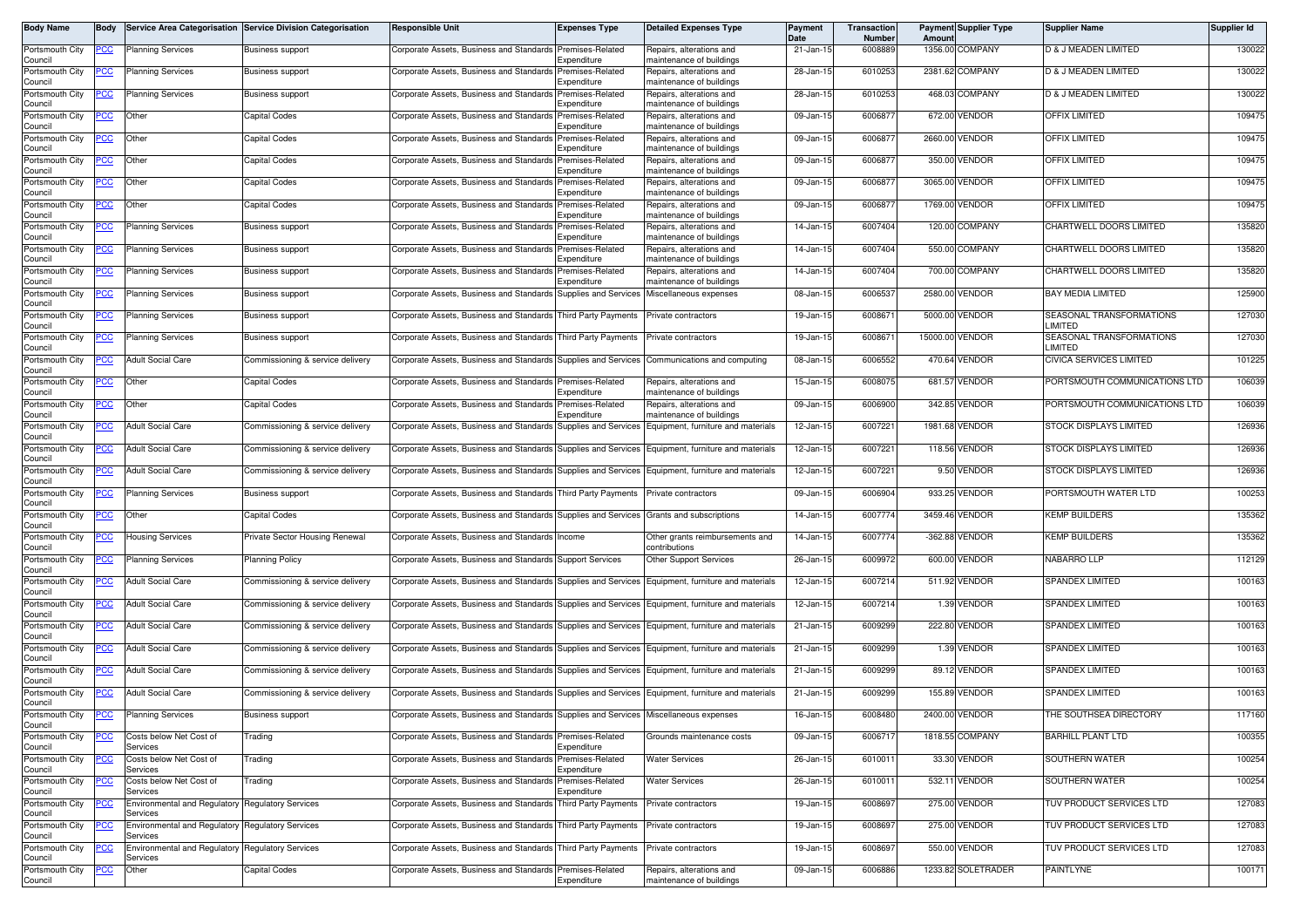| Body Name                             | <b>Bodv</b> |                                                                     | Service Area Categorisation Service Division Categorisation | <b>Responsible Unit</b>                                                                             | <b>Expenses Type</b>                 | <b>Detailed Expenses Type</b>                                  | Payment<br>Date | Transaction<br><b>Number</b> | Amoun           | <b>Payment Supplier Type</b> | <b>Supplier Name</b>                | Supplier Id |
|---------------------------------------|-------------|---------------------------------------------------------------------|-------------------------------------------------------------|-----------------------------------------------------------------------------------------------------|--------------------------------------|----------------------------------------------------------------|-----------------|------------------------------|-----------------|------------------------------|-------------------------------------|-------------|
| Portsmouth City<br>Council            | <u>PCC</u>  | <b>Planning Services</b>                                            | <b>Business support</b>                                     | Corporate Assets, Business and Standards Premises-Related                                           | Expenditure                          | Repairs, alterations and<br>maintenance of buildings           | 21-Jan-15       | 6008889                      |                 | 1356.00 COMPANY              | D & J MEADEN LIMITED                | 130022      |
| Portsmouth City<br>Council            | PСC         | <b>Planning Services</b>                                            | <b>Business support</b>                                     | Corporate Assets, Business and Standards                                                            | Premises-Related<br>Expenditure      | Repairs, alterations and<br>maintenance of buildings           | 28-Jan-15       | 6010253                      |                 | 2381.62 COMPANY              | D & J MEADEN LIMITED                | 130022      |
| Portsmouth City                       | <u>'CC</u>  | <b>Planning Services</b>                                            | <b>Business support</b>                                     | Corporate Assets, Business and Standards                                                            | Premises-Related                     | Repairs, alterations and                                       | 28-Jan-15       | 6010253                      |                 | 468.03 COMPANY               | D & J MEADEN LIMITED                | 130022      |
| Council<br>Portsmouth City            | <u>PCC</u>  | Other                                                               | Capital Codes                                               | Corporate Assets, Business and Standards                                                            | Expenditure<br>Premises-Related      | maintenance of buildings<br>Repairs, alterations and           | 09-Jan-15       | 600687                       |                 | 672.00 VENDOR                | <b>OFFIX LIMITED</b>                | 109475      |
| Council<br>Portsmouth City            | <u>'CC</u>  | Other                                                               | Capital Codes                                               | Corporate Assets, Business and Standards                                                            | Expenditure<br>Premises-Related      | maintenance of buildings<br>Repairs, alterations and           | 09-Jan-15       | 600687                       |                 | 2660.00 VENDOR               | <b>OFFIX LIMITED</b>                | 109475      |
| Council<br>Portsmouth City            |             | Other                                                               | Capital Codes                                               | Corporate Assets, Business and Standards                                                            | Expenditure<br>Premises-Related      | maintenance of buildings<br>Repairs, alterations and           | 09-Jan-15       | 600687                       |                 | 350.00 VENDOR                | <b>OFFIX LIMITED</b>                | 109475      |
| Council<br>Portsmouth City            | <u>'CC</u>  | Other                                                               | Capital Codes                                               | Corporate Assets, Business and Standards                                                            | Expenditure<br>Premises-Related      | maintenance of buildings<br>Repairs, alterations and           | 09-Jan-15       | 600687                       |                 | 3065.00 VENDOR               | <b>OFFIX LIMITED</b>                | 109475      |
| Council<br>Portsmouth City            | <u>PCC </u> | Other                                                               | Capital Codes                                               | Corporate Assets, Business and Standards                                                            | Expenditure<br>Premises-Related      | maintenance of buildings<br>Repairs, alterations and           | 09-Jan-15       | 600687                       |                 | 1769.00 VENDOR               | OFFIX LIMITED                       | 109475      |
| Council                               |             |                                                                     |                                                             |                                                                                                     | Expenditure                          | maintenance of buildings                                       |                 |                              |                 |                              |                                     |             |
| Portsmouth City<br>Council            | <u>CC </u>  | <b>Planning Services</b>                                            | Business support                                            | Corporate Assets, Business and Standards                                                            | Premises-Related<br>Expenditure      | Repairs, alterations and<br>naintenance of buildings           | 14-Jan-15       | 6007404                      |                 | 120.00 COMPANY               | <b>CHARTWELL DOORS LIMITED</b>      | 135820      |
| Portsmouth City<br>Council            | PСC         | Planning Services                                                   | <b>Business support</b>                                     | Corporate Assets, Business and Standards                                                            | Premises-Related<br>Expenditure      | Repairs, alterations and<br>maintenance of buildings           | 14-Jan-15       | 6007404                      |                 | 550.00 COMPANY               | <b>CHARTWELL DOORS LIMITED</b>      | 135820      |
| Portsmouth City<br>Council            | <u>CC </u>  | <b>Planning Services</b>                                            | <b>Business support</b>                                     | Corporate Assets, Business and Standards                                                            | Premises-Related<br>Expenditure      | Repairs, alterations and<br>maintenance of buildings           | 14-Jan-15       | 6007404                      | 700.00          | COMPANY                      | CHARTWELL DOORS LIMITED             | 135820      |
| Portsmouth City<br>Council            | <u>PCC</u>  | <b>Planning Services</b>                                            | <b>Business support</b>                                     | Corporate Assets, Business and Standards                                                            | Supplies and Services                | Miscellaneous expenses                                         | 08-Jan-15       | 600653                       |                 | 2580.00 VENDOR               | <b>BAY MEDIA LIMITED</b>            | 125900      |
| Portsmouth City<br>Council            | <u>CC </u>  | <b>Planning Services</b>                                            | <b>Business support</b>                                     | Corporate Assets, Business and Standards Third Party Payments                                       |                                      | Private contractors                                            | 19-Jan-15       | 600867                       |                 | 5000.00 VENDOR               | SEASONAL TRANSFORMATIONS<br>LIMITED | 127030      |
| Portsmouth City<br>Council            | <u>PCC</u>  | Planning Services                                                   | Business support                                            | Corporate Assets, Business and Standards Third Party Payments                                       |                                      | Private contractors                                            | 19-Jan-15       | 600867                       | 15000.00 VENDOR |                              | SEASONAL TRANSFORMATIONS<br>LIMITED | 127030      |
| Portsmouth City<br>Council            | PCC         | <b>Adult Social Care</b>                                            | Commissioning & service delivery                            | Corporate Assets, Business and Standards Supplies and Services [Communications and computing        |                                      |                                                                | 08-Jan-15       | 6006552                      |                 | 470.64 VENDOR                | CIVICA SERVICES LIMITED             | 101225      |
| Portsmouth City<br>Council            | <u>cc</u>   | Other                                                               | Capital Codes                                               | Corporate Assets, Business and Standards                                                            | Premises-Related<br>Expenditure      | Repairs, alterations and<br>maintenance of buildings           | 15-Jan-15       | 6008075                      |                 | 681.57 VENDOR                | PORTSMOUTH COMMUNICATIONS LTD       | 106039      |
| Portsmouth City                       | <u>'CC</u>  | Other                                                               | Capital Codes                                               | Corporate Assets, Business and Standards                                                            | Premises-Related                     | Repairs, alterations and                                       | 09-Jan-15       | 6006900                      |                 | 342.85 VENDOR                | PORTSMOUTH COMMUNICATIONS LTD       | 106039      |
| Council<br>Portsmouth City            | <u>CC</u>   | <b>Adult Social Care</b>                                            | Commissioning & service delivery                            | Corporate Assets, Business and Standards                                                            | Expenditure<br>Supplies and Services | naintenance of buildings<br>Equipment, furniture and materials | 12-Jan-15       | 6007221                      |                 | 1981.68 VENDOR               | STOCK DISPLAYS LIMITED              | 126936      |
| Council<br>Portsmouth City<br>Council | <u>'CC</u>  | <b>Adult Social Care</b>                                            | Commissioning & service delivery                            | Corporate Assets, Business and Standards                                                            | Supplies and Services                | Equipment, furniture and materials                             | 12-Jan-15       | 600722                       |                 | 118.56 VENDOR                | STOCK DISPLAYS LIMITED              | 126936      |
| Portsmouth City<br>Council            | PСC         | <b>Adult Social Care</b>                                            | Commissioning & service delivery                            | Corporate Assets, Business and Standards Supplies and Services Equipment, furniture and materials   |                                      |                                                                | 12-Jan-15       | 6007221                      |                 | 9.50 VENDOR                  | <b>STOCK DISPLAYS LIMITED</b>       | 126936      |
| Portsmouth City<br>Council            | <u>PCC</u>  | <b>Planning Services</b>                                            | <b>Business support</b>                                     | Corporate Assets, Business and Standards Third Party Payments                                       |                                      | Private contractors                                            | 09-Jan-15       | 6006904                      |                 | 933.25 VENDOR                | PORTSMOUTH WATER LTD                | 100253      |
| Portsmouth City<br>Council            | сc          | Other                                                               | Capital Codes                                               | Corporate Assets, Business and Standards Supplies and Services Grants and subscriptions             |                                      |                                                                | 14-Jan-15       | 6007774                      |                 | 3459.46 VENDOR               | <b>KEMP BUILDERS</b>                | 135362      |
| Portsmouth City<br>Council            | сc          | <b>Housing Services</b>                                             | Private Sector Housing Renewal                              | Corporate Assets, Business and Standards                                                            | Income                               | Other grants reimbursements and<br>contributions               | 14-Jan-15       | 6007774                      |                 | -362.88 VENDOR               | <b>KEMP BUILDERS</b>                | 135362      |
| Portsmouth City<br>Council            | 'СС         | <b>Planning Services</b>                                            | <b>Planning Policy</b>                                      | Corporate Assets, Business and Standards                                                            | <b>Support Services</b>              | <b>Other Support Services</b>                                  | 26-Jan-15       | 6009972                      |                 | 600.00 VENDOR                | <b>NABARRO LLP</b>                  | 112129      |
| Portsmouth City<br>Council            | PСC         | <b>Adult Social Care</b>                                            | Commissioning & service delivery                            | Corporate Assets, Business and Standards Supplies and Services Equipment, furniture and materials   |                                      |                                                                | 12-Jan-15       | 6007214                      |                 | 511.92 VENDOR                | <b>SPANDEX LIMITED</b>              | 100163      |
| Portsmouth City<br>Council            | <u>CC </u>  | <b>Adult Social Care</b>                                            | Commissioning & service delivery                            | Corporate Assets, Business and Standards Supplies and Services Equipment, furniture and materials   |                                      |                                                                | 12-Jan-1        | 6007214                      |                 | 1.39 VENDOR                  | <b>SPANDEX LIMITED</b>              | 100163      |
| Portsmouth City<br>Council            | <u>PCC</u>  | <b>Adult Social Care</b>                                            | Commissioning & service delivery                            | Corporate Assets, Business and Standards Supplies and Services Equipment, furniture and materials   |                                      |                                                                | 21-Jan-15       | 600929                       |                 | 222.80 VENDOR                | <b>SPANDEX LIMITED</b>              | 100163      |
| Portsmouth City<br>Council            | <u>'CC</u>  | <b>Adult Social Care</b>                                            | Commissioning & service delivery                            | Corporate Assets, Business and Standards Supplies and Services Equipment, furniture and materials   |                                      |                                                                | 21-Jan-15       | 6009299                      |                 | 1.39 VENDOR                  | SPANDEX LIMITED                     | 100163      |
| Portsmouth City<br>Council            | <u>PCC</u>  | <b>Adult Social Care</b>                                            | Commissioning & service delivery                            | Corporate Assets, Business and Standards Supplies and Services   Equipment, furniture and materials |                                      |                                                                | 21-Jan-15       | 6009299                      |                 | 89.12 VENDOR                 | <b>SPANDEX LIMITED</b>              | 100163      |
| Portsmouth City<br>Council            | <u>PCC</u>  | <b>Adult Social Care</b>                                            | Commissioning & service delivery                            | Corporate Assets, Business and Standards Supplies and Services Equipment, furniture and materials   |                                      |                                                                | 21-Jan-15       | 6009299                      |                 | 155.89 VENDOR                | <b>SPANDEX LIMITED</b>              | 100163      |
| Portsmouth City<br>Council            | <b>PCC</b>  | <b>Planning Services</b>                                            | <b>Business support</b>                                     | Corporate Assets, Business and Standards Supplies and Services Miscellaneous expenses               |                                      |                                                                | 16-Jan-15       | 6008480                      |                 | 2400.00 VENDOR               | THE SOUTHSEA DIRECTORY              | 117160      |
| Portsmouth City<br>Council            | PСC         | Costs below Net Cost of<br>Services                                 | <b>Trading</b>                                              | Corporate Assets, Business and Standards                                                            | Premises-Related<br>Expenditure      | Grounds maintenance costs                                      | 09-Jan-15       | 600671                       |                 | 1818.55 COMPANY              | <b>BARHILL PLANT LTD</b>            | 100355      |
| Portsmouth City<br>Council            | CC          | Costs below Net Cost of<br>Services                                 | Trading                                                     | Corporate Assets, Business and Standards                                                            | Premises-Related<br>Expenditure      | <b>Water Services</b>                                          | 26-Jan-15       | 6010011                      |                 | 33.30 VENDOR                 | SOUTHERN WATER                      | 100254      |
| Portsmouth City<br>Council            | <u>cc</u>   | Costs below Net Cost of<br>Services                                 | Trading                                                     | Corporate Assets, Business and Standards                                                            | Premises-Related<br>Expenditure      | <b>Water Services</b>                                          | 26-Jan-15       | 601001                       |                 | 532.11 VENDOR                | SOUTHERN WATER                      | 100254      |
| Portsmouth City                       |             | Environmental and Regulatory Regulatory Services<br>Services        |                                                             | Corporate Assets, Business and Standards Third Party Payments                                       |                                      | Private contractors                                            | 19-Jan-15       | 6008697                      |                 | 275.00 VENDOR                | TUV PRODUCT SERVICES LTD            | 127083      |
| Council<br>Portsmouth City<br>Council |             | <b>Environmental and Regulatory Regulatory Services</b><br>Services |                                                             | Corporate Assets, Business and Standards Third Party Payments                                       |                                      | Private contractors                                            | 19-Jan-15       | 6008697                      |                 | 275.00 VENDOR                | TUV PRODUCT SERVICES LTD            | 127083      |
| Portsmouth City<br>Council            | uu          | Environmental and Regulatory<br>Services                            | Regulatory Services                                         | Corporate Assets, Business and Standards Third Party Payments                                       |                                      | Private contractors                                            | 19-Jan-15       | 6008697                      |                 | 550.00 VENDOR                | TUV PRODUCT SERVICES LTD            | 127083      |
| Portsmouth City<br>Council            | <u>CC</u>   | Other                                                               | Capital Codes                                               | Corporate Assets, Business and Standards Premises-Related                                           | Expenditure                          | Repairs, alterations and<br>maintenance of buildings           | 09-Jan-15       | 6006886                      |                 | 1233.82 SOLETRADER           | PAINTLYNE                           | 100171      |
|                                       |             |                                                                     |                                                             |                                                                                                     |                                      |                                                                |                 |                              |                 |                              |                                     |             |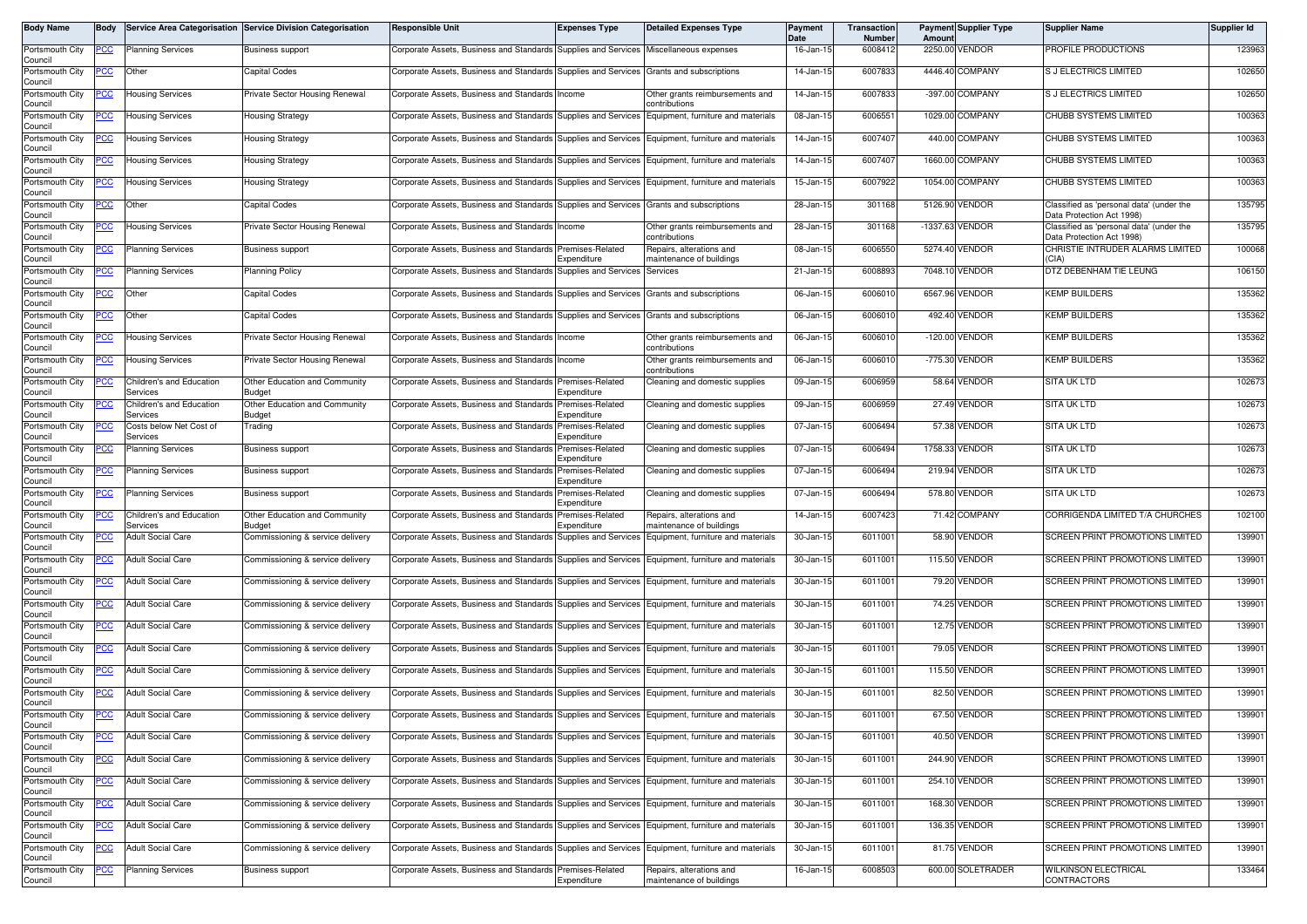| Body Name                  | Body       |                                      | Service Area Categorisation Service Division Categorisation | <b>Responsible Unit</b>                                                                           | <b>Expenses Type</b>                  | <b>Detailed Expenses Type</b>                        | Payment<br><b>Date</b> | Transaction<br>Number | <b>Payment Supplier Type</b><br>Amoun | <b>Supplier Name</b>                                                  | Supplier Id |
|----------------------------|------------|--------------------------------------|-------------------------------------------------------------|---------------------------------------------------------------------------------------------------|---------------------------------------|------------------------------------------------------|------------------------|-----------------------|---------------------------------------|-----------------------------------------------------------------------|-------------|
| Portsmouth City<br>Council | PCC        | <b>Planning Services</b>             | Business support                                            | Corporate Assets, Business and Standards Supplies and Services                                    |                                       | Miscellaneous expenses                               | 16-Jan-15              | 6008412               | /ENDOR<br>2250.00                     | PROFILE PRODUCTIONS                                                   | 123963      |
| Portsmouth City<br>Council | °СС        | Other                                | Capital Codes                                               | Corporate Assets, Business and Standards Supplies and Services Grants and subscriptions           |                                       |                                                      | 14-Jan-15              | 6007833               | 4446.40<br>COMPANY                    | S J ELECTRICS LIMITED                                                 | 102650      |
| Portsmouth City<br>Council | <u>cc</u>  | <b>Housing Services</b>              | Private Sector Housing Renewal                              | Corporate Assets, Business and Standards                                                          | Income                                | Other grants reimbursements and<br>contributions     | 14-Jan-15              | 6007833               | -397.00 COMPANY                       | S J ELECTRICS LIMITED                                                 | 102650      |
| Portsmouth City<br>Council | PСC        | <b>Housing Services</b>              | <b>Housing Strategy</b>                                     | Corporate Assets, Business and Standards Supplies and Services                                    |                                       | Equipment, furniture and materials                   | 08-Jan-15              | 6006551               | 1029.00 COMPANY                       | CHUBB SYSTEMS LIMITED                                                 | 100363      |
| Portsmouth City<br>Council | <u>cc</u>  | <b>Housing Services</b>              | Housing Strategy                                            | Corporate Assets, Business and Standards                                                          | Supplies and Services                 | Equipment, furniture and materials                   | 14-Jan-15              | 6007407               | 440.00<br>COMPANY                     | CHUBB SYSTEMS LIMITED                                                 | 100363      |
| Portsmouth City<br>Council | PСC        | Housing Services                     | Housing Strategy                                            | Corporate Assets, Business and Standards                                                          | Supplies and Services                 | Equipment, furniture and materials                   | 14-Jan-15              | 6007407               | COMPANY<br>1660.00                    | CHUBB SYSTEMS LIMITED                                                 | 100363      |
| Portsmouth City<br>Council | <u>CC</u>  | <b>Housing Services</b>              | Housing Strategy                                            | Corporate Assets, Business and Standards Supplies and Services                                    |                                       | Equipment, furniture and materials                   | 15-Jan-15              | 6007922               | 1054.00 COMPANY                       | CHUBB SYSTEMS LIMITED                                                 | 100363      |
| Portsmouth City<br>Council | <u>CC</u>  | Other                                | Capital Codes                                               | Corporate Assets, Business and Standards                                                          | Supplies and Services                 | Grants and subscriptions                             | 28-Jan-15              | 301168                | 5126.90<br><b>VENDOR</b>              | Classified as 'personal data' (under the<br>Data Protection Act 1998  | 135795      |
| Portsmouth City<br>Council | сC         | <b>Housing Services</b>              | Private Sector Housing Renewal                              | Corporate Assets, Business and Standards                                                          | Income                                | Other grants reimbursements and<br>contributions     | 28-Jan-15              | 301168                | $-1337.63$<br><b>VENDOR</b>           | Classified as 'personal data' (under the<br>Data Protection Act 1998) | 135795      |
| Portsmouth City<br>Council | PСC        | <b>Planning Services</b>             | Business support                                            | Corporate Assets, Business and Standards                                                          | Premises-Related<br><i>xpenditure</i> | Repairs, alterations and<br>maintenance of buildings | 08-Jan-15              | 6006550               | 5274.40 VENDOR                        | CHRISTIE INTRUDER ALARMS LIMITED<br>(CIA)                             | 100068      |
| Portsmouth City<br>Council | cс         | <b>Planning Services</b>             | <b>Planning Policy</b>                                      | Corporate Assets, Business and Standards                                                          | Supplies and Services                 | Services                                             | 21-Jan-15              | 6008893               | <b>/ENDOR</b><br>7048.10              | DTZ DEBENHAM TIE LEUNG                                                | 106150      |
| Portsmouth City<br>Council | PСC        | Other                                | Capital Codes                                               | Corporate Assets, Business and Standards Supplies and Services                                    |                                       | Grants and subscriptions                             | 06-Jan-15              | 6006010               | 6567.96 VENDOR                        | <b>KEMP BUILDERS</b>                                                  | 135362      |
| Portsmouth City<br>Council | PСC        | Other                                | Capital Codes                                               | Corporate Assets, Business and Standards Supplies and Services                                    |                                       | Grants and subscriptions                             | 06-Jan-15              | 6006010               | 492.40 VENDOR                         | <b>KEMP BUILDERS</b>                                                  | 135362      |
| Portsmouth City<br>Council | 'CC        | <b>Housing Services</b>              | Private Sector Housing Renewal                              | Corporate Assets, Business and Standards Income                                                   |                                       | Other grants reimbursements and<br>contributions     | 06-Jan-15              | 6006010               | <b>VENDOR</b><br>$-120.00$            | <b>KEMP BUILDERS</b>                                                  | 135362      |
| Portsmouth City<br>Council | ပင         | <b>Housing Services</b>              | Private Sector Housing Renewal                              | Corporate Assets, Business and Standards                                                          | Income                                | Other grants reimbursements and<br>contributions     | 06-Jan-15              | 6006010               | -775.30 VENDOR                        | <b>KEMP BUILDERS</b>                                                  | 135362      |
| Portsmouth City<br>Council | 'CC        | Children's and Education<br>Services | Other Education and Community<br>Budget                     | Corporate Assets, Business and Standards Premises-Related                                         | Expenditure                           | Cleaning and domestic supplies                       | 09-Jan-15              | 6006959               | 58.64 VENDOR                          | <b>SITA UK LTD</b>                                                    | 102673      |
| Portsmouth City<br>Council |            | Children's and Education<br>Services | Other Education and Community<br>Budget                     | Corporate Assets, Business and Standards                                                          | Premises-Related<br>Expenditure       | Cleaning and domestic supplies                       | 09-Jan-15              | 6006959               | 27.49<br><b>VENDOR</b>                | SITA UK LTD                                                           | 102673      |
| Portsmouth City<br>Council |            | Costs below Net Cost of<br>Services  | Trading                                                     | Corporate Assets, Business and Standards                                                          | Premises-Related<br>Expenditure       | Cleaning and domestic supplies                       | 07-Jan-15              | 6006494               | 57.38 VENDOR                          | <b>SITA UK LTD</b>                                                    | 102673      |
| Portsmouth City<br>Council | 'CC        | <b>Planning Services</b>             | <b>Business support</b>                                     | Corporate Assets, Business and Standards                                                          | Premises-Related<br>Expenditure       | Cleaning and domestic supplies                       | 07-Jan-15              | 6006494               | 1758.33<br>/ENDOR                     | SITA UK LTD                                                           | 102673      |
| Portsmouth City<br>Council | °СС        | <b>Planning Services</b>             | Business support                                            | Corporate Assets, Business and Standards                                                          | Premises-Related<br>Expenditure       | Cleaning and domestic supplies                       | 07-Jan-15              | 6006494               | 219.94 VENDOR                         | SITA UK LTD                                                           | 102673      |
| Portsmouth City<br>Council | cс         | Planning Services                    | Business support                                            | Corporate Assets, Business and Standards                                                          | Premises-Related<br>Expenditure       | Cleaning and domestic supplies                       | 07-Jan-1               | 6006494               | 578.80<br>/ENDOR                      | <b>SITA UK LTD</b>                                                    | 102673      |
| Portsmouth City<br>Council | 'CC        | Children's and Education<br>Services | Other Education and Community<br>Budget                     | Corporate Assets, Business and Standards                                                          | Premises-Related<br>Expenditure       | Repairs, alterations and<br>naintenance of buildings | 14-Jan-15              | 6007423               | 71.42 COMPANY                         | CORRIGENDA LIMITED T/A CHURCHES                                       | 102100      |
| Portsmouth City<br>Council |            | <b>Adult Social Care</b>             | Commissioning & service delivery                            | Corporate Assets, Business and Standards                                                          | Supplies and Services                 | Equipment, furniture and materials                   | 30-Jan-15              | 6011001               | 58.90 VENDOR                          | SCREEN PRINT PROMOTIONS LIMITED                                       | 139901      |
| Portsmouth City<br>Council | cс         | <b>Adult Social Care</b>             | Commissioning & service delivery                            | Corporate Assets, Business and Standards                                                          | Supplies and Services                 | Equipment, furniture and materials                   | 30-Jan-15              | 6011001               | <b>VENDOR</b><br>115.50               | SCREEN PRINT PROMOTIONS LIMITED                                       | 139901      |
| Portsmouth City<br>Council | °СС        | <b>Adult Social Care</b>             | Commissioning & service delivery                            | Corporate Assets, Business and Standards Supplies and Services Equipment, furniture and materials |                                       |                                                      | 30-Jan-15              | 6011001               | 79.20<br><b>VENDOR</b>                | SCREEN PRINT PROMOTIONS LIMITED                                       | 139901      |
| Portsmouth City<br>Council | 'CC        | <b>Adult Social Care</b>             | Commissioning & service delivery                            | Corporate Assets, Business and Standards                                                          | Supplies and Services                 | Equipment, furniture and materials                   | 30-Jan-15              | 6011001               | 74.25 VENDOR                          | SCREEN PRINT PROMOTIONS LIMITED                                       | 139901      |
| Portsmouth City<br>Council | PСC        | <b>Adult Social Care</b>             | Commissioning & service delivery                            | Corporate Assets, Business and Standards                                                          | Supplies and Services                 | Equipment, furniture and materials                   | 30-Jan-15              | 6011001               | <b>VENDOR</b><br>12.75                | SCREEN PRINT PROMOTIONS LIMITED                                       | 139901      |
| Portsmouth City<br>Council |            | <b>Adult Social Care</b>             | Commissioning & service delivery                            | Corporate Assets, Business and Standards                                                          | Supplies and Services                 | Equipment, furniture and materials                   | 30-Jan-15              | 6011001               | 79.05 VENDOR                          | SCREEN PRINT PROMOTIONS LIMITED                                       | 139901      |
| Portsmouth City<br>Council | CС         | <b>Adult Social Care</b>             | Commissioning & service delivery                            | Corporate Assets, Business and Standards                                                          | Supplies and Services                 | Equipment, furniture and materials                   | 30-Jan-15              | 6011001               | 115.50 VENDOR                         | SCREEN PRINT PROMOTIONS LIMITED                                       | 139901      |
| Portsmouth City<br>Council | эсс        | <b>Adult Social Care</b>             | Commissioning & service delivery                            | Corporate Assets, Business and Standards Supplies and Services Equipment, furniture and materials |                                       |                                                      | 30-Jan-15              | 6011001               | 82.50<br><b>VENDOR</b>                | SCREEN PRINT PROMOTIONS LIMITED                                       | 139901      |
| Portsmouth City<br>Council | <b>PCC</b> | <b>Adult Social Care</b>             | Commissioning & service delivery                            | Corporate Assets, Business and Standards Supplies and Services Equipment, furniture and materials |                                       |                                                      | 30-Jan-15              | 6011001               | 67.50 VENDOR                          | SCREEN PRINT PROMOTIONS LIMITED                                       | 139901      |
| Portsmouth City<br>Council | °СС        | <b>Adult Social Care</b>             | Commissioning & service delivery                            | Corporate Assets, Business and Standards Supplies and Services Equipment, furniture and materials |                                       |                                                      | 30-Jan-15              | 6011001               | 40.50 VENDOR                          | SCREEN PRINT PROMOTIONS LIMITED                                       | 139901      |
| Portsmouth City<br>Council | PCC        | <b>Adult Social Care</b>             | Commissioning & service delivery                            | Corporate Assets, Business and Standards Supplies and Services Equipment, furniture and materials |                                       |                                                      | 30-Jan-15              | 6011001               | 244.90 VENDOR                         | SCREEN PRINT PROMOTIONS LIMITED                                       | 139901      |
| Portsmouth City<br>Council | cс         | <b>Adult Social Care</b>             | Commissioning & service delivery                            | Corporate Assets, Business and Standards Supplies and Services Equipment, furniture and materials |                                       |                                                      | 30-Jan-15              | 6011001               | 254.10 VENDOR                         | <b>SCREEN PRINT PROMOTIONS LIMITED</b>                                | 139901      |
| Portsmouth City<br>Council | PCC        | <b>Adult Social Care</b>             | Commissioning & service delivery                            | Corporate Assets, Business and Standards Supplies and Services Equipment, furniture and materials |                                       |                                                      | 30-Jan-15              | 6011001               | 168.30 VENDOR                         | SCREEN PRINT PROMOTIONS LIMITED                                       | 139901      |
| Portsmouth City<br>Council | PCC        | <b>Adult Social Care</b>             | Commissioning & service delivery                            | Corporate Assets, Business and Standards Supplies and Services Equipment, furniture and materials |                                       |                                                      | 30-Jan-15              | 6011001               | 136.35 VENDOR                         | SCREEN PRINT PROMOTIONS LIMITED                                       | 139901      |
| Portsmouth City<br>Council | °СС        | <b>Adult Social Care</b>             | Commissioning & service delivery                            | Corporate Assets, Business and Standards Supplies and Services Equipment, furniture and materials |                                       |                                                      | 30-Jan-15              | 6011001               | 81.75 VENDOR                          | SCREEN PRINT PROMOTIONS LIMITED                                       | 139901      |
| Portsmouth City<br>Council | <u>CC</u>  | <b>Planning Services</b>             | <b>Business support</b>                                     | Corporate Assets, Business and Standards Premises-Related                                         | Expenditure                           | Repairs, alterations and<br>maintenance of buildings | 16-Jan-15              | 6008503               | 600.00 SOLETRADER                     | WILKINSON ELECTRICAL<br>CONTRACTORS                                   | 133464      |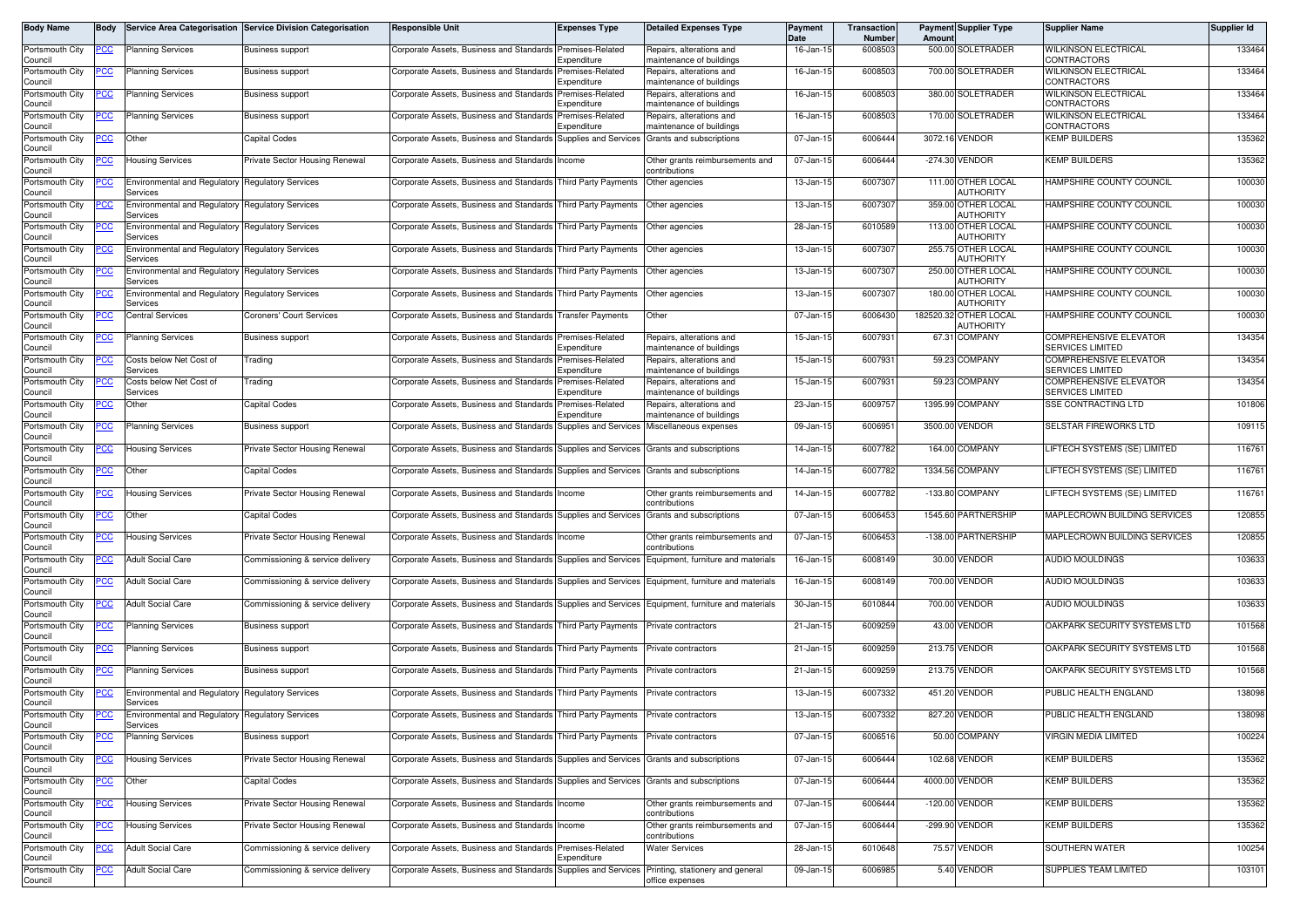| Body Name                  | <b>Bodv</b> |                                                                     | Service Area Categorisation Service Division Categorisation | <b>Responsible Unit</b>                                                                             | <b>Expenses Type</b>                     | <b>Detailed Expenses Type</b>                            | Payment<br>Date | Transaction<br>Number | Amoun  | <b>Payment Supplier Type</b>           | <b>Supplier Name</b>                                     | <b>Supplier Id</b> |
|----------------------------|-------------|---------------------------------------------------------------------|-------------------------------------------------------------|-----------------------------------------------------------------------------------------------------|------------------------------------------|----------------------------------------------------------|-----------------|-----------------------|--------|----------------------------------------|----------------------------------------------------------|--------------------|
| Portsmouth City<br>Council | <u>PCC</u>  | <b>Planning Services</b>                                            | <b>Business support</b>                                     | Corporate Assets, Business and Standards                                                            | Premises-Related<br>.<br>xpenditure      | Repairs, alterations and<br>naintenance of buildings     | 16-Jan-15       | 6008503               |        | 500.00 SOLETRADER                      | <b>WILKINSON ELECTRICAL</b><br>CONTRACTORS               | 133464             |
| Portsmouth City<br>Council | PСC         | <b>Planning Services</b>                                            | <b>Business support</b>                                     | Corporate Assets, Business and Standards                                                            | Premises-Related<br>Expenditure          | Repairs, alterations and<br>naintenance of buildings     | 16-Jan-15       | 6008503               |        | 700.00 SOLETRADER                      | <b>WILKINSON ELECTRICAL</b><br>CONTRACTORS               | 133464             |
| Portsmouth City            | <u>'CC</u>  | <b>Planning Services</b>                                            | <b>Business support</b>                                     | Corporate Assets, Business and Standards                                                            | Premises-Related                         | Repairs, alterations and                                 | 16-Jan-15       | 6008503               |        | 380.00 SOLETRADER                      | <b>WILKINSON ELECTRICAL</b>                              | 133464             |
| Council<br>Portsmouth City | <u>PCC</u>  | <b>Planning Services</b>                                            | <b>Business support</b>                                     | Corporate Assets, Business and Standards                                                            | Expenditure<br>Premises-Related          | maintenance of buildings<br>Repairs, alterations and     | 16-Jan-15       | 6008503               |        | 170.00 SOLETRADER                      | CONTRACTORS<br><b>WILKINSON ELECTRICAL</b>               | 133464             |
| Council<br>Portsmouth City | <u>PCC</u>  | Other                                                               | Capital Codes                                               | Corporate Assets, Business and Standards                                                            | .<br>xpenditure<br>Supplies and Services | naintenance of buildings<br>Grants and subscriptions     | 07-Jan-1        | 6006444               |        | 3072.16 VENDOR                         | CONTRACTORS<br><b>KEMP BUILDERS</b>                      | 135362             |
| Council<br>Portsmouth City | PCC         | <b>Housing Services</b>                                             | Private Sector Housing Renewal                              | Corporate Assets, Business and Standards                                                            | Income                                   | Other grants reimbursements and                          | 07-Jan-15       | 6006444               |        | -274.30 VENDOR                         | <b>KEMP BUILDERS</b>                                     | 135362             |
| Council<br>Portsmouth City |             | Environmental and Regulatory Regulatory Services                    |                                                             | Corporate Assets, Business and Standards Third Party Payments                                       |                                          | contributions<br>Other agencies                          | 13-Jan-15       | 6007307               |        | 111.00 OTHER LOCAL                     | HAMPSHIRE COUNTY COUNCIL                                 | 100030             |
| Council<br>Portsmouth City | ∍сс         | Services<br><b>Environmental and Regulatory</b>                     | <b>Regulatory Services</b>                                  | Corporate Assets, Business and Standards Third Party Payments                                       |                                          | Other agencies                                           | 13-Jan-15       | 6007307               |        | AUTHORITY<br>359.00 OTHER LOCAL        | HAMPSHIRE COUNTY COUNCIL                                 | 100030             |
| Council<br>Portsmouth City |             | Services<br>Environmental and Regulatory Regulatory Services        |                                                             | Corporate Assets, Business and Standards Third Party Payments                                       |                                          | Other agencies                                           | 28-Jan-15       | 6010589               |        | AUTHORITY<br>113.00 OTHER LOCAL        | HAMPSHIRE COUNTY COUNCIL                                 | 100030             |
| Council<br>Portsmouth City |             | Services<br><b>Environmental and Regulatory</b>                     | Regulatory Services                                         | Corporate Assets, Business and Standards Third Party Payments                                       |                                          | Other agencies                                           | 13-Jan-15       | 600730                |        | AUTHORITY<br>255.75 OTHER LOCAL        | HAMPSHIRE COUNTY COUNCIL                                 | 100030             |
| Council<br>Portsmouth City | cс          | Services<br><b>Environmental and Regulatory</b>                     | <b>Regulatory Services</b>                                  | Corporate Assets, Business and Standards Third Party Payments                                       |                                          | Other agencies                                           | 13-Jan-15       | 6007307               |        | <b>AUTHORITY</b><br>250.00 OTHER LOCAL | HAMPSHIRE COUNTY COUNCIL                                 | 100030             |
| Council<br>Portsmouth City | 'CC         | Services<br>Environmental and Regulatory Regulatory Services        |                                                             | Corporate Assets, Business and Standards Third Party Payments                                       |                                          | Other agencies                                           | 13-Jan-15       | 6007307               |        | AUTHORITY<br>180.00 OTHER LOCAL        | HAMPSHIRE COUNTY COUNCIL                                 | 100030             |
| Council<br>Portsmouth City | <u>CC </u>  | Services<br><b>Central Services</b>                                 | <b>Coroners' Court Services</b>                             | Corporate Assets, Business and Standards                                                            | <b>Transfer Payments</b>                 | Other                                                    | 07-Jan-15       | 6006430               |        | AUTHORITY<br>182520.32 OTHER LOCAL     | HAMPSHIRE COUNTY COUNCIL                                 | 100030             |
| Council<br>Portsmouth City | <u>CC </u>  | Planning Services                                                   | <b>Business support</b>                                     | Corporate Assets, Business and Standards                                                            | Premises-Related                         | Repairs, alterations and                                 | 15-Jan-15       | 6007931               |        | AUTHORITY<br>67.31 COMPANY             | <b>COMPREHENSIVE ELEVATOR</b>                            | 134354             |
| Council<br>Portsmouth City | ပင          | Costs below Net Cost of                                             | Frading                                                     | Corporate Assets, Business and Standards                                                            | Expenditure<br>Premises-Related          | naintenance of buildings<br>Repairs, alterations and     | 15-Jan-15       | 6007931               |        | 59.23 COMPANY                          | <b>SERVICES LIMITED</b><br><b>COMPREHENSIVE ELEVATOR</b> | 134354             |
| Council<br>Portsmouth City |             | Services<br>Costs below Net Cost of                                 | rading                                                      | Corporate Assets, Business and Standards                                                            | Expenditure<br>remises-Related           | maintenance of buildings<br>Repairs, alterations and     | 15-Jan-1!       | 6007931               |        | 59.23 COMPANY                          | <b>SERVICES LIMITED</b><br>COMPREHENSIVE ELEVATOR        | 134354             |
| Council                    |             | Services                                                            |                                                             |                                                                                                     | Expenditure                              | naintenance of buildings                                 |                 |                       |        |                                        | <b>SERVICES LIMITED</b>                                  |                    |
| Portsmouth City<br>Council |             | Other                                                               | Capital Codes                                               | Corporate Assets, Business and Standards                                                            | remises-Related<br>xpenditure            | Repairs, alterations and<br>naintenance of buildings     | $23 - Jan-15$   | 6009757               |        | 1395.99 COMPANY                        | SSE CONTRACTING LTD                                      | 101806             |
| Portsmouth City<br>Council | <u>'CC</u>  | <b>Planning Services</b>                                            | <b>Business support</b>                                     | Corporate Assets, Business and Standards                                                            | <b>Supplies and Services</b>             | Miscellaneous expenses                                   | 09-Jan-15       | 6006951               |        | 3500.00 VENDOR                         | <b>SELSTAR FIREWORKS LTD</b>                             | 109115             |
| Portsmouth City<br>Council | <u>cc</u>   | <b>Housing Services</b>                                             | Private Sector Housing Renewal                              | Corporate Assets, Business and Standards                                                            | Supplies and Services                    | Grants and subscriptions                                 | 14-Jan-15       | 6007782               | 164.00 | COMPANY                                | LIFTECH SYSTEMS (SE) LIMITED                             | 116761             |
| Portsmouth City<br>Council | <u>'CC</u>  | Other                                                               | Capital Codes                                               | Corporate Assets, Business and Standards                                                            | Supplies and Services                    | Grants and subscriptions                                 | 14-Jan-15       | 6007782               |        | 1334.56 COMPANY                        | LIFTECH SYSTEMS (SE) LIMITED                             | 116761             |
| Portsmouth City<br>Council | <u>PCC</u>  | <b>Housing Services</b>                                             | Private Sector Housing Renewal                              | Corporate Assets, Business and Standards                                                            | Income                                   | Other grants reimbursements and<br>contributions         | 14-Jan-15       | 6007782               |        | -133.80 COMPANY                        | LIFTECH SYSTEMS (SE) LIMITED                             | 116761             |
| Portsmouth City<br>Council | сc          | Other                                                               | Capital Codes                                               | Corporate Assets, Business and Standards                                                            | Supplies and Services                    | Grants and subscriptions                                 | 07-Jan-15       | 6006453               |        | 1545.60 PARTNERSHIP                    | MAPLECROWN BUILDING SERVICES                             | 120855             |
| Portsmouth City<br>Council | сc          | <b>Housing Services</b>                                             | Private Sector Housing Renewal                              | Corporate Assets, Business and Standards                                                            | Income                                   | Other grants reimbursements and<br>contributions         | 07-Jan-15       | 6006453               |        | -138.00 PARTNERSHIP                    | MAPLECROWN BUILDING SERVICES                             | 120855             |
| Portsmouth City<br>Council | 'СС         | <b>Adult Social Care</b>                                            | Commissioning & service delivery                            | Corporate Assets, Business and Standards                                                            | Supplies and Services                    | Equipment, furniture and materials                       | 16-Jan-15       | 6008149               |        | 30.00 VENDOR                           | <b>AUDIO MOULDINGS</b>                                   | 103633             |
| Portsmouth City<br>Council | PСC         | <b>Adult Social Care</b>                                            | Commissioning & service delivery                            | Corporate Assets, Business and Standards Supplies and Services   Equipment, furniture and materials |                                          |                                                          | 16-Jan-15       | 6008149               |        | 700.00 VENDOR                          | <b>AUDIO MOULDINGS</b>                                   | 103633             |
| Portsmouth City<br>Council | <u>CC </u>  | <b>Adult Social Care</b>                                            | Commissioning & service delivery                            | Corporate Assets, Business and Standards                                                            |                                          | Supplies and Services Equipment, furniture and materials | 30-Jan-1        | 6010844               |        | 700.00 VENDOR                          | AUDIO MOULDINGS                                          | 103633             |
| Portsmouth City<br>Council | <u>PCC</u>  | <b>Planning Services</b>                                            | <b>Business support</b>                                     | Corporate Assets, Business and Standards Third Party Payments                                       |                                          | Private contractors                                      | 21-Jan-15       | 6009259               |        | 43.00 VENDOR                           | OAKPARK SECURITY SYSTEMS LTD                             | 101568             |
| Portsmouth City<br>Council | <u>'CC</u>  | <b>Planning Services</b>                                            | <b>Business support</b>                                     | Corporate Assets, Business and Standards Third Party Payments                                       |                                          | Private contractors                                      | 21-Jan-15       | 6009259               |        | 213.75 VENDOR                          | OAKPARK SECURITY SYSTEMS LTD                             | 101568             |
| Portsmouth City<br>Council | <u>PCC</u>  | <b>Planning Services</b>                                            | <b>Business support</b>                                     | Corporate Assets, Business and Standards Third Party Payments                                       |                                          | Private contractors                                      | 21-Jan-15       | 6009259               |        | 213.75 VENDOR                          | OAKPARK SECURITY SYSTEMS LTD                             | 101568             |
| Portsmouth City<br>Council |             | <b>Environmental and Regulatory Regulatory Services</b><br>Services |                                                             | Corporate Assets, Business and Standards Third Party Payments                                       |                                          | Private contractors                                      | 13-Jan-1!       | 6007332               |        | 451.20 VENDOR                          | PUBLIC HEALTH ENGLAND                                    | 138098             |
| Portsmouth City<br>Council | <b>PCC</b>  | Environmental and Regulatory Regulatory Services<br>Services        |                                                             | Corporate Assets, Business and Standards Third Party Payments Private contractors                   |                                          |                                                          | 13-Jan-15       | 6007332               |        | 827.20 VENDOR                          | <b>PUBLIC HEALTH ENGLAND</b>                             | 138098             |
| Portsmouth City<br>Council | ∍сс         | <b>Planning Services</b>                                            | <b>Business support</b>                                     | Corporate Assets, Business and Standards Third Party Payments                                       |                                          | Private contractors                                      | 07-Jan-15       | 6006516               |        | 50.00 COMPANY                          | VIRGIN MEDIA LIMITED                                     | 100224             |
| Portsmouth City<br>Council | 'CC         | <b>Housing Services</b>                                             | Private Sector Housing Renewal                              | Corporate Assets, Business and Standards Supplies and Services Grants and subscriptions             |                                          |                                                          | 07-Jan-15       | 6006444               |        | 102.68 VENDOR                          | <b>KEMP BUILDERS</b>                                     | 135362             |
| Portsmouth City<br>Council | <u>PCC</u>  | Other                                                               | Capital Codes                                               | Corporate Assets, Business and Standards Supplies and Services Grants and subscriptions             |                                          |                                                          | 07-Jan-15       | 6006444               |        | 4000.00 VENDOR                         | <b>KEMP BUILDERS</b>                                     | 135362             |
| Portsmouth City<br>Council |             | <b>Housing Services</b>                                             | Private Sector Housing Renewal                              | Corporate Assets, Business and Standards Income                                                     |                                          | Other grants reimbursements and<br>contributions         | 07-Jan-15       | 6006444               |        | -120.00 VENDOR                         | <b>KEMP BUILDERS</b>                                     | 135362             |
| Portsmouth City<br>Council | сc          | <b>Housing Services</b>                                             | Private Sector Housing Renewal                              | Corporate Assets, Business and Standards Income                                                     |                                          | Other grants reimbursements and<br>contributions         | 07-Jan-15       | 6006444               |        | -299.90 VENDOR                         | <b>KEMP BUILDERS</b>                                     | 135362             |
| Portsmouth City<br>Council | <u>cc</u>   | <b>Adult Social Care</b>                                            | Commissioning & service delivery                            | Corporate Assets, Business and Standards                                                            | Premises-Related<br>Expenditure          | <b>Water Services</b>                                    | 28-Jan-15       | 6010648               |        | 75.57 VENDOR                           | SOUTHERN WATER                                           | 100254             |
| Portsmouth City<br>Council | <u>PCC</u>  | <b>Adult Social Care</b>                                            | Commissioning & service delivery                            | Corporate Assets, Business and Standards                                                            | Supplies and Services                    | Printing, stationery and general<br>office expenses      | 09-Jan-15       | 6006985               |        | 5.40 VENDOR                            | SUPPLIES TEAM LIMITED                                    | 103101             |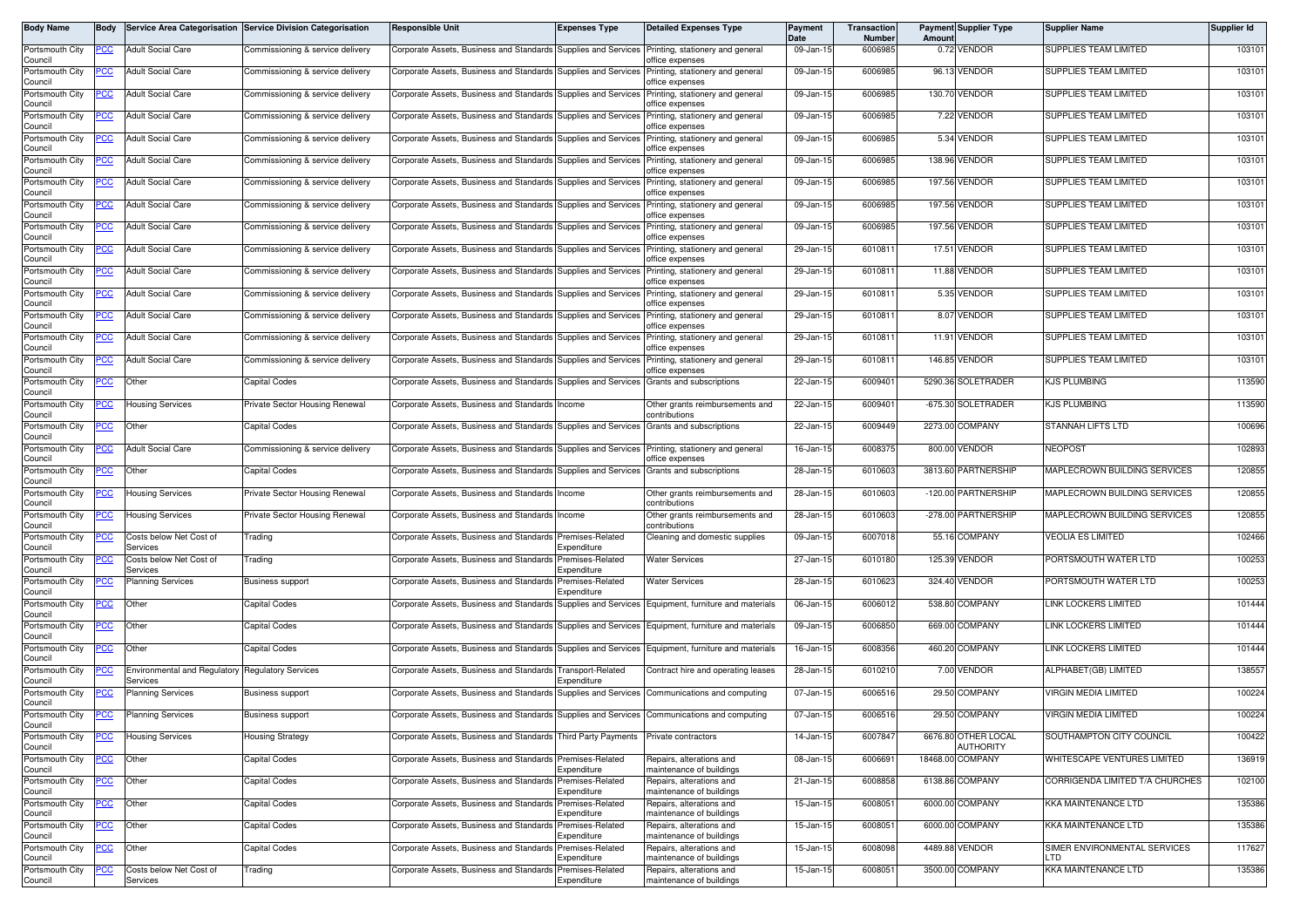| Body Name                  | Body       |                                                 | Service Area Categorisation Service Division Categorisation | <b>Responsible Unit</b>                                                                     | <b>Expenses Type</b>            | <b>Detailed Expenses Type</b>                        | Payment<br><b>Date</b> | Transaction<br>Number | Amoun       | <b>Payment Supplier Type</b>     | <b>Supplier Name</b>                 | Supplier Id |
|----------------------------|------------|-------------------------------------------------|-------------------------------------------------------------|---------------------------------------------------------------------------------------------|---------------------------------|------------------------------------------------------|------------------------|-----------------------|-------------|----------------------------------|--------------------------------------|-------------|
| Portsmouth City<br>Council | PCC        | <b>Adult Social Care</b>                        | Commissioning & service delivery                            | Corporate Assets, Business and Standards Supplies and Services                              |                                 | Printing, stationery and general<br>office expenses  | 09-Jan-15              | 6006985               |             | 0.72 VENDOR                      | SUPPLIES TEAM LIMITED                | 103101      |
| Portsmouth City<br>Council | сc         | <b>Adult Social Care</b>                        | Commissioning & service delivery                            | Corporate Assets, Business and Standards                                                    | Supplies and Services           | Printing, stationery and general<br>office expenses  | 09-Jan-15              | 600698                |             | 96.13 VENDOR                     | <b>SUPPLIES TEAM LIMITED</b>         | 103101      |
| Portsmouth City<br>Council | <u>'CC</u> | <b>Adult Social Care</b>                        | Commissioning & service delivery                            | Corporate Assets, Business and Standards                                                    | Supplies and Services           | Printing, stationery and general<br>office expenses  | 09-Jan-15              | 600698                |             | 130.70 VENDOR                    | <b>SUPPLIES TEAM LIMITED</b>         | 103101      |
| Portsmouth City<br>Council | °СС        | <b>Adult Social Care</b>                        | Commissioning & service delivery                            | Corporate Assets, Business and Standards Supplies and Services                              |                                 | Printing, stationery and general<br>office expenses  | 09-Jan-15              | 6006985               |             | 7.22 VENDOR                      | SUPPLIES TEAM LIMITED                | 103101      |
| Portsmouth City<br>Council | <u>cc</u>  | <b>Adult Social Care</b>                        | Commissioning & service delivery                            | Corporate Assets, Business and Standards                                                    | Supplies and Services           | Printing, stationery and general<br>office expenses  | 09-Jan-15              | 6006985               |             | 5.34 VENDOR                      | SUPPLIES TEAM LIMITED                | 103101      |
| Portsmouth City<br>Council | ∍сс        | <b>Adult Social Care</b>                        | Commissioning & service delivery                            | Corporate Assets, Business and Standards                                                    | Supplies and Services           | Printing, stationery and general<br>office expenses  | 09-Jan-15              | 6006985               | 138.96      | <b>/ENDOR</b>                    | SUPPLIES TEAM LIMITED                | 103101      |
| Portsmouth City<br>Council | <u>cc</u>  | <b>Adult Social Care</b>                        | Commissioning & service delivery                            | Corporate Assets, Business and Standards                                                    | Supplies and Services           | Printing, stationery and general<br>office expenses  | 09-Jan-15              | 6006985               |             | 197.56 VENDOR                    | SUPPLIES TEAM LIMITED                | 103101      |
| Portsmouth City<br>Council | <u>cc</u>  | <b>Adult Social Care</b>                        | Commissioning & service delivery                            | Corporate Assets, Business and Standards                                                    | Supplies and Services           | Printing, stationery and general<br>office expenses  | 09-Jan-15              | 6006985               |             | 197.56 VENDOR                    | SUPPLIES TEAM LIMITED                | 103101      |
| Portsmouth City<br>Council | <u>CC</u>  | <b>Adult Social Care</b>                        | Commissioning & service delivery                            | Corporate Assets, Business and Standards                                                    | Supplies and Services           | Printing, stationery and general<br>office expenses  | 09-Jan-15              | 6006985               |             | 197.56 VENDOR                    | SUPPLIES TEAM LIMITED                | 103101      |
| Portsmouth City<br>Council | PСC        | <b>Adult Social Care</b>                        | Commissioning & service delivery                            | Corporate Assets, Business and Standards                                                    | Supplies and Services           | Printing, stationery and general<br>office expenses  | 29-Jan-15              | 601081                |             | 17.51 VENDOR                     | SUPPLIES TEAM LIMITED                | 103101      |
| Portsmouth City<br>Council | cс         | <b>Adult Social Care</b>                        | Commissioning & service delivery                            | Corporate Assets, Business and Standards                                                    | <b>Supplies and Services</b>    | Printing, stationery and general<br>office expenses  | 29-Jan-15              | 601081                |             | 11.88 VENDOR                     | SUPPLIES TEAM LIMITED                | 103101      |
| Portsmouth City<br>Council | PCC        | <b>Adult Social Care</b>                        | Commissioning & service delivery                            | Corporate Assets, Business and Standards Supplies and Services                              |                                 | Printing, stationery and general<br>office expenses  | 29-Jan-15              | 601081                |             | 5.35 VENDOR                      | SUPPLIES TEAM LIMITED                | 103101      |
| Portsmouth City<br>Council | PСC        | <b>Adult Social Care</b>                        | Commissioning & service delivery                            | Corporate Assets, Business and Standards                                                    | <b>Supplies and Services</b>    | Printing, stationery and general<br>office expenses  | 29-Jan-1               | 601081                |             | 8.07 VENDOR                      | <b>SUPPLIES TEAM LIMITED</b>         | 103101      |
| Portsmouth City<br>Council | PСC        | <b>Adult Social Care</b>                        | Commissioning & service delivery                            | Corporate Assets, Business and Standards Supplies and Services                              |                                 | Printing, stationery and general<br>office expenses  | 29-Jan-15              | 601081                |             | 11.91 VENDOR                     | <b>SUPPLIES TEAM LIMITED</b>         | 103101      |
| Portsmouth City<br>Council | PСC        | <b>Adult Social Care</b>                        | Commissioning & service delivery                            | Corporate Assets, Business and Standards                                                    | Supplies and Services           | Printing, stationery and general<br>office expenses  | 29-Jan-15              | 601081                |             | 146.85 VENDOR                    | <b>SUPPLIES TEAM LIMITED</b>         | 103101      |
| Portsmouth City<br>Council | <u>PCC</u> | Other                                           | Capital Codes                                               | Corporate Assets, Business and Standards Supplies and Services                              |                                 | Grants and subscriptions                             | 22-Jan-15              | 600940                |             | 5290.36 SOLETRADER               | <b>KJS PLUMBING</b>                  | 113590      |
| Portsmouth City<br>Council |            | <b>Housing Services</b>                         | Private Sector Housing Renewal                              | Corporate Assets, Business and Standards                                                    | Income                          | Other grants reimbursements and<br>contributions     | 22-Jan-15              | 600940                |             | -675.30 SOLETRADER               | KJS PLUMBING                         | 113590      |
| Portsmouth City<br>Council |            | Other                                           | Capital Codes                                               | Corporate Assets, Business and Standards                                                    | Supplies and Services           | Grants and subscriptions                             | 22-Jan-15              | 6009449               |             | 2273.00 COMPANY                  | STANNAH LIFTS LTD                    | 100696      |
| Portsmouth City<br>Council | <u>'CC</u> | <b>Adult Social Care</b>                        | Commissioning & service delivery                            | Corporate Assets, Business and Standards                                                    | Supplies and Services           | Printing, stationery and general<br>office expenses  | 16-Jan-15              | 6008375               | 800.00      | /ENDOR                           | NEOPOS <sub>1</sub>                  | 102893      |
| Portsmouth City<br>Council | <u>PCC</u> | Other                                           | <b>Capital Codes</b>                                        | Corporate Assets, Business and Standards Supplies and Services                              |                                 | Grants and subscriptions                             | 28-Jan-15              | 6010603               |             | 3813.60 PARTNERSHIP              | MAPLECROWN BUILDING SERVICES         | 120855      |
| Portsmouth City<br>Council | <u>'CC</u> | <b>Housing Services</b>                         | Private Sector Housing Renewal                              | Corporate Assets, Business and Standards                                                    | Income                          | Other grants reimbursements and<br>contributions     | 28-Jan-1               | 6010603               | $-120.00$ F | PARTNERSHIP                      | <b>MAPLECROWN BUILDING SERVICES</b>  | 120855      |
| Portsmouth City<br>Council | <u>PCC</u> | <b>Housing Services</b>                         | Private Sector Housing Renewal                              | Corporate Assets, Business and Standards Income                                             |                                 | Other grants reimbursements and<br>contributions     | 28-Jan-15              | 6010603               |             | -278.00 PARTNERSHIP              | MAPLECROWN BUILDING SERVICES         | 120855      |
| Portsmouth City<br>Council | cс         | Costs below Net Cost of<br>Services             | <b>Trading</b>                                              | Corporate Assets, Business and Standards                                                    | Premises-Related<br>Expenditure | Cleaning and domestic supplies                       | 09-Jan-15              | 6007018               |             | 55.16 COMPANY                    | VEOLIA ES LIMITED                    | 102466      |
| Portsmouth City<br>Council |            | Costs below Net Cost of<br>Services             | rading                                                      | Corporate Assets, Business and Standards                                                    | Premises-Related<br>Expenditure | <b>Water Services</b>                                | 27-Jan-15              | 6010180               |             | 125.39 VENDOR                    | PORTSMOUTH WATER LTD                 | 100253      |
| Portsmouth City<br>Council | CC         | Planning Services                               | <b>Business support</b>                                     | Corporate Assets, Business and Standards                                                    | Premises-Related<br>Expenditure | <b>Water Services</b>                                | 28-Jan-1               | 6010623               |             | 324.40 VENDOR                    | PORTSMOUTH WATER LTD                 | 100253      |
| Portsmouth City<br>Council | сC         | Other                                           | Capital Codes                                               | Corporate Assets, Business and Standards                                                    | Supplies and Services           | Equipment, furniture and materials                   | 06-Jan-15              | 6006012               |             | 538.80 COMPANY                   | <b>LINK LOCKERS LIMITED</b>          | 101444      |
| Portsmouth City<br>Council | <u>CC</u>  | Other                                           | Capital Codes                                               | Corporate Assets, Business and Standards                                                    | Supplies and Services           | Equipment, furniture and materials                   | 09-Jan-15              | 6006850               | 669.00      | COMPANY                          | <b>LINK LOCKERS LIMITED</b>          | 101444      |
| Portsmouth City<br>Council | <u>сс</u>  | Other                                           | Capital Codes                                               | Corporate Assets, Business and Standards                                                    | Supplies and Services           | Equipment, furniture and materials                   | 16-Jan-15              | 6008356               |             | 460.20 COMPANY                   | <b>LINK LOCKERS LIMITED</b>          | 101444      |
| Portsmouth City<br>Council | <u>'CC</u> | <b>Environmental and Regulatory</b><br>Services | <b>Regulatory Services</b>                                  | Corporate Assets, Business and Standards Transport-Related                                  | Expenditure                     | Contract hire and operating leases                   | 28-Jan-15              | 6010210               |             | 7.00 VENDOR                      | ALPHABET(GB) LIMITED                 | 138557      |
| Portsmouth City<br>Council | <u>cc</u>  | <sup>2</sup> lanning Services                   | <b>Business support</b>                                     | Corporate Assets, Business and Standards                                                    | Supplies and Services           | Communications and computing                         | 07-Jan-15              | 6006516               |             | 29.50 COMPANY                    | <b>VIRGIN MEDIA LIMITED</b>          | 100224      |
| Portsmouth City<br>Council | <u>PCC</u> | <b>Planning Services</b>                        | <b>Business support</b>                                     | Corporate Assets, Business and Standards Supplies and Services Communications and computing |                                 |                                                      | 07-Jan-15              | 6006516               |             | 29.50 COMPANY                    | <b>VIRGIN MEDIA LIMITED</b>          | 100224      |
| Portsmouth City<br>Council | <u>CC </u> | <b>Housing Services</b>                         | Housing Strategy                                            | Corporate Assets, Business and Standards Third Party Payments                               |                                 | Private contractors                                  | 14-Jan-15              | 6007847               |             | 6676.80 OTHER LOCAL<br>AUTHORITY | SOUTHAMPTON CITY COUNCIL             | 100422      |
| Portsmouth City<br>Council | PСC        | Other                                           | Capital Codes                                               | Corporate Assets, Business and Standards Premises-Related                                   | Expenditure                     | Repairs, alterations and<br>maintenance of buildings | 08-Jan-15              | 600669                |             | 18468.00 COMPANY                 | WHITESCAPE VENTURES LIMITED          | 136919      |
| Portsmouth City<br>Council | cс         | Other                                           | Capital Codes                                               | Corporate Assets, Business and Standards                                                    | Premises-Related<br>Expenditure | Repairs, alterations and<br>maintenance of buildings | 21-Jan-15              | 6008858               |             | 6138.86 COMPANY                  | CORRIGENDA LIMITED T/A CHURCHES      | 102100      |
| Portsmouth City<br>Council | PCC        | Other                                           | Capital Codes                                               | Corporate Assets, Business and Standards                                                    | Premises-Related<br>Expenditure | Repairs, alterations and<br>maintenance of buildings | 15-Jan-15              | 600805                |             | 6000.00 COMPANY                  | <b>KKA MAINTENANCE LTD</b>           | 135386      |
| Portsmouth City<br>Council | 'CC        | Other                                           | Capital Codes                                               | Corporate Assets, Business and Standards                                                    | Premises-Related<br>Expenditure | Repairs, alterations and<br>maintenance of buildings | 15-Jan-15              | 6008051               |             | 6000.00 COMPANY                  | KKA MAINTENANCE LTD                  | 135386      |
| Portsmouth City<br>Council | <u>PCC</u> | Other                                           | Capital Codes                                               | Corporate Assets, Business and Standards Premises-Related                                   | Expenditure                     | Repairs, alterations and<br>maintenance of buildings | 15-Jan-15              | 6008098               |             | 4489.88 VENDOR                   | SIMER ENVIRONMENTAL SERVICES<br>LTD. | 117627      |
| Portsmouth City<br>Council | <u>'CC</u> | Costs below Net Cost of<br>Services             | Trading                                                     | Corporate Assets, Business and Standards                                                    | Premises-Related<br>Expenditure | Repairs, alterations and<br>maintenance of buildings | 15-Jan-15              | 600805                |             | 3500.00 COMPANY                  | KKA MAINTENANCE LTD                  | 135386      |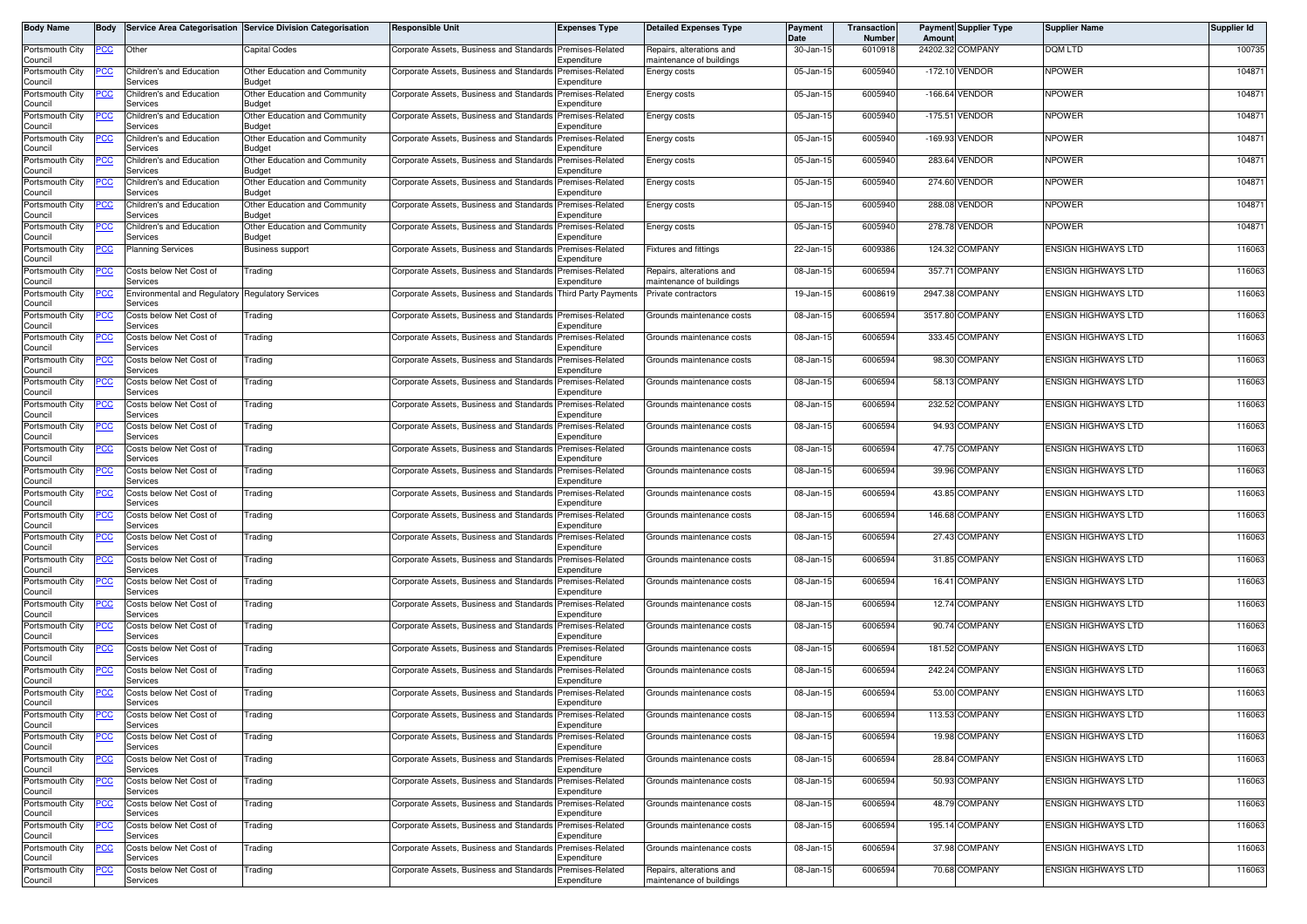| <b>Body Name</b>           | <b>Body</b> |                                      | Service Area Categorisation Service Division Categorisation | <b>Responsible Unit</b>                                       | <b>Expenses Type</b>                           | <b>Detailed Expenses Type</b>                        | Payment<br>Date | Transaction<br>Number | Amoun              | <b>Payment Supplier Type</b> | <b>Supplier Name</b>       | <b>Supplier Id</b> |
|----------------------------|-------------|--------------------------------------|-------------------------------------------------------------|---------------------------------------------------------------|------------------------------------------------|------------------------------------------------------|-----------------|-----------------------|--------------------|------------------------------|----------------------------|--------------------|
| Portsmouth City<br>Council | <u>PCC</u>  | Other                                | Capital Codes                                               | Corporate Assets, Business and Standards Premises-Related     | Expenditure                                    | Repairs, alterations and<br>maintenance of buildings | 30-Jan-15       | 6010918               |                    | 24202.32 COMPANY             | DQM LTD                    | 100735             |
| Portsmouth City<br>Council | <u>PCC</u>  | Children's and Education<br>Services | Other Education and Community<br><b>Budget</b>              | Corporate Assets, Business and Standards                      | Premises-Related<br>Expenditure                | Energy costs                                         | 05-Jan-15       | 6005940               |                    | -172.10 VENDOR               | <b>NPOWER</b>              | 104871             |
| Portsmouth City<br>Council | PCC         | Children's and Education<br>Services | Other Education and Community<br>Budget                     | Corporate Assets, Business and Standards                      | Premises-Related<br>Expenditure                | Energy costs                                         | 05-Jan-15       | 6005940               |                    | -166.64 VENDOR               | <b>NPOWER</b>              | 104871             |
| Portsmouth City<br>Council |             | Children's and Education<br>Services | Other Education and Community<br><b>Budget</b>              | Corporate Assets, Business and Standards                      | Premises-Related<br>Expenditure                | Energy costs                                         | 05-Jan-15       | 6005940               |                    | -175.51 VENDOR               | <b>NPOWER</b>              | 104871             |
| Portsmouth City<br>Council |             | Children's and Education<br>Services | Other Education and Community<br>Budget                     | Corporate Assets, Business and Standards                      | Premises-Related<br>Expenditure                | Energy costs                                         | 05-Jan-15       | 6005940               | $-169.93$          | VENDOR                       | <b>NPOWER</b>              | 104871             |
| Portsmouth City<br>Council | <u>PCC</u>  | Children's and Education<br>Services | Other Education and Community<br><b>Budget</b>              | Corporate Assets, Business and Standards                      | Premises-Related<br>Expenditure                | Energy costs                                         | 05-Jan-15       | 6005940               |                    | 283.64 VENDOR                | <b>NPOWER</b>              | 104871             |
| Portsmouth City<br>Council |             | Children's and Education<br>Services | Other Education and Community<br><b>Budget</b>              | Corporate Assets, Business and Standards                      | Premises-Related<br>Expenditure                | Energy costs                                         | 05-Jan-15       | 6005940               |                    | 274.60 VENDOR                | <b>NPOWER</b>              | 104871             |
| Portsmouth City            | <u>'CC</u>  | Children's and Education             | Other Education and Community                               | Corporate Assets, Business and Standards                      | Premises-Related                               | Energy costs                                         | 05-Jan-15       | 6005940               |                    | 288.08 VENDOR                | <b>NPOWER</b>              | 104871             |
| Council<br>Portsmouth City | PCC         | Services<br>Children's and Education | <b>Budget</b><br>Other Education and Community              | Corporate Assets, Business and Standards                      | Expenditure<br>Premises-Related                | Energy costs                                         | 05-Jan-15       | 6005940               |                    | 278.78 VENDOR                | <b>NPOWER</b>              | 104871             |
| Council<br>Portsmouth City | <u> РСС</u> | Services<br><b>Planning Services</b> | Budget<br><b>Business support</b>                           | Corporate Assets, Business and Standards                      | Expenditure<br>Premises-Related                | <b>Fixtures and fittings</b>                         | 22-Jan-15       | 6009386               |                    | 124.32 COMPANY               | <b>ENSIGN HIGHWAYS LTD</b> | 116063             |
| Council<br>Portsmouth City | PСC         | Costs below Net Cost of<br>Services  | Trading                                                     | Corporate Assets, Business and Standards                      | Expenditure<br>Premises-Related<br>Expenditure | Repairs, alterations and<br>maintenance of buildings | 08-Jan-15       | 6006594               | 357.71             | <b>COMPANY</b>               | <b>ENSIGN HIGHWAYS LTD</b> | 116063             |
| Council<br>Portsmouth City | ∍сс         | Environmental and Regulatory         | <b>Regulatory Services</b>                                  | Corporate Assets, Business and Standards Third Party Payments |                                                | Private contractors                                  | 19-Jan-15       | 6008619               |                    | 2947.38 COMPANY              | <b>ENSIGN HIGHWAYS LTD</b> | 116063             |
| Council<br>Portsmouth City | <u>PCC</u>  | Services<br>Costs below Net Cost of  | Trading                                                     | Corporate Assets, Business and Standards Premises-Related     |                                                | Grounds maintenance costs                            | 08-Jan-15       | 6006594               |                    | 3517.80 COMPANY              | <b>ENSIGN HIGHWAYS LTD</b> | 116063             |
| Council<br>Portsmouth City |             | Services<br>Costs below Net Cost of  | Trading                                                     | Corporate Assets, Business and Standards                      | Expenditure<br>Premises-Related                | Grounds maintenance costs                            | 08-Jan-1        | 6006594               |                    | 333.45 COMPANY               | <b>ENSIGN HIGHWAYS LTD</b> | 116063             |
| Council<br>Portsmouth City | PCC         | Services<br>Costs below Net Cost of  | Trading                                                     | Corporate Assets, Business and Standards Premises-Related     | Expenditure                                    | Grounds maintenance costs                            | 08-Jan-15       | 6006594               |                    | 98.30 COMPANY                | <b>ENSIGN HIGHWAYS LTD</b> | 116063             |
| Council<br>Portsmouth City | PCC         | Services<br>Costs below Net Cost of  | Trading                                                     | Corporate Assets, Business and Standards Premises-Related     | Expenditure                                    | Grounds maintenance costs                            | 08-Jan-15       | 6006594               | 58.13              | COMPANY                      | <b>ENSIGN HIGHWAYS LTD</b> | 116063             |
| Council<br>Portsmouth City |             | Services<br>Costs below Net Cost of  | Trading                                                     | Corporate Assets, Business and Standards                      | Expenditure<br>Premises-Related                | Grounds maintenance costs                            | 08-Jan-15       | 6006594               |                    | 232.52 COMPANY               | <b>ENSIGN HIGHWAYS LTD</b> | 116063             |
| Council<br>Portsmouth City | <u>PCC</u>  | Services<br>Costs below Net Cost of  | Trading                                                     | Corporate Assets, Business and Standards                      | Expenditure<br>Premises-Related                | Grounds maintenance costs                            | 08-Jan-1        | 6006594               |                    | 94.93 COMPANY                | <b>ENSIGN HIGHWAYS LTD</b> | 116063             |
| Council<br>Portsmouth City | <u>PCC</u>  | Services<br>Costs below Net Cost of  | Trading                                                     | Corporate Assets, Business and Standards Premises-Related     | Expenditure                                    | Grounds maintenance costs                            | 08-Jan-15       | 6006594               |                    | 47.75 COMPANY                | <b>ENSIGN HIGHWAYS LTD</b> | 116063             |
| Council<br>Portsmouth City | PСC         | Services<br>Costs below Net Cost of  | Trading                                                     | Corporate Assets, Business and Standards                      | Expenditure<br>Premises-Related                | Grounds maintenance costs                            | 08-Jan-15       | 6006594               | 39.96 <sup>C</sup> | COMPANY                      | <b>ENSIGN HIGHWAYS LTD</b> | 116063             |
| Council<br>Portsmouth City |             | Services<br>Costs below Net Cost of  | Trading                                                     | Corporate Assets, Business and Standards                      | Expenditure<br>Premises-Related                | Grounds maintenance costs                            | 08-Jan-15       | 6006594               |                    | 43.85 COMPANY                | <b>ENSIGN HIGHWAYS LTD</b> | 116063             |
| Council<br>Portsmouth City | <u>PCC</u>  | Services<br>Costs below Net Cost of  | Trading                                                     | Corporate Assets, Business and Standards                      | Expenditure<br>Premises-Related                | Grounds maintenance costs                            | 08-Jan-15       | 6006594               |                    | 146.68 COMPANY               | <b>ENSIGN HIGHWAYS LTD</b> | 116063             |
| Council<br>Portsmouth City | PCC         | Services<br>Costs below Net Cost of  | Trading                                                     | Corporate Assets, Business and Standards                      | Expenditure<br>Premises-Related                | Grounds maintenance costs                            | 08-Jan-15       | 6006594               |                    | 27.43 COMPANY                | <b>ENSIGN HIGHWAYS LTD</b> | 116063             |
| Council<br>Portsmouth City | PCC         | Services<br>Costs below Net Cost of  | Trading                                                     | Corporate Assets, Business and Standards                      | Expenditure<br>Premises-Related                | Grounds maintenance costs                            | 08-Jan-1        | 6006594               |                    | 31.85 COMPANY                | <b>ENSIGN HIGHWAYS LTD</b> | 116063             |
| Council<br>Portsmouth City | <u>CC </u>  | Services<br>Costs below Net Cost of  | Trading                                                     | Corporate Assets, Business and Standards                      | Expenditure<br>Premises-Related                | Grounds maintenance costs                            | 08-Jan-15       | 6006594               |                    | 16.41 COMPANY                | <b>ENSIGN HIGHWAYS LTD</b> | 116063             |
| Council<br>Portsmouth City | <u>PCC</u>  | Services<br>Costs below Net Cost of  | Trading                                                     | Corporate Assets, Business and Standards                      | Expenditure<br>Premises-Related                | Grounds maintenance costs                            | 08-Jan-1        | 6006594               |                    | 12.74 COMPANY                | <b>ENSIGN HIGHWAYS LTD</b> | 116063             |
| Council                    |             | Services                             |                                                             |                                                               | Expenditure                                    |                                                      |                 |                       |                    |                              |                            |                    |
| Portsmouth City<br>Council |             | Costs below Net Cost of<br>Services  | Trading                                                     | Corporate Assets, Business and Standards                      | Premises-Related<br>Expenditure                | Grounds maintenance costs                            | 08-Jan-15       | 6006594               |                    | 90.74 COMPANY                | <b>ENSIGN HIGHWAYS LTD</b> | 116063             |
| Portsmouth City<br>Council |             | Costs below Net Cost of<br>Services  | Trading                                                     | Corporate Assets, Business and Standards                      | Premises-Related<br>Expenditure                | Grounds maintenance costs                            | 08-Jan-15       | 6006594               |                    | 181.52 COMPANY               | <b>ENSIGN HIGHWAYS LTD</b> | 116063             |
| Portsmouth City<br>Council | <u>PCC</u>  | Costs below Net Cost of<br>Services  | Trading                                                     | Corporate Assets, Business and Standards                      | Premises-Related<br>Expenditure                | Grounds maintenance costs                            | 08-Jan-15       | 6006594               |                    | 242.24 COMPANY               | <b>ENSIGN HIGHWAYS LTD</b> | 116063             |
| Portsmouth City<br>Council |             | Costs below Net Cost of<br>Services  | Trading                                                     | Corporate Assets, Business and Standards                      | Premises-Related<br>Expenditure                | Grounds maintenance costs                            | 08-Jan-15       | 6006594               |                    | 53.00 COMPANY                | <b>ENSIGN HIGHWAYS LTD</b> | 116063             |
| Portsmouth City<br>Council | <b>PCC</b>  | Costs below Net Cost of<br>Services  | Trading                                                     | Corporate Assets, Business and Standards Premises-Related     | Expenditure                                    | Grounds maintenance costs                            | 08-Jan-15       | 6006594               |                    | 113.53 COMPANY               | <b>ENSIGN HIGHWAYS LTD</b> | 116063             |
| Portsmouth City<br>Council | <b>PCC</b>  | Costs below Net Cost of<br>Services  | Trading                                                     | Corporate Assets, Business and Standards Premises-Related     | Expenditure                                    | Grounds maintenance costs                            | 08-Jan-15       | 6006594               |                    | 19.98 COMPANY                | <b>ENSIGN HIGHWAYS LTD</b> | 116063             |
| Portsmouth City<br>Council | эсс         | Costs below Net Cost of<br>Services  | Trading                                                     | Corporate Assets, Business and Standards                      | Premises-Related<br>Expenditure                | Grounds maintenance costs                            | 08-Jan-15       | 6006594               |                    | 28.84 COMPANY                | <b>ENSIGN HIGHWAYS LTD</b> | 116063             |
| Portsmouth City<br>Council |             | Costs below Net Cost of<br>Services  | Trading                                                     | Corporate Assets, Business and Standards Premises-Related     | Expenditure                                    | Grounds maintenance costs                            | 08-Jan-15       | 6006594               |                    | 50.93 COMPANY                | <b>ENSIGN HIGHWAYS LTD</b> | 116063             |
| Portsmouth City<br>Council | <u>PCC</u>  | Costs below Net Cost of<br>Services  | Trading                                                     | Corporate Assets, Business and Standards                      | Premises-Related<br>Expenditure                | Grounds maintenance costs                            | 08-Jan-15       | 6006594               |                    | 48.79 COMPANY                | <b>ENSIGN HIGHWAYS LTD</b> | 116063             |
| Portsmouth City<br>Council | PCC         | Costs below Net Cost of<br>Services  | Trading                                                     | Corporate Assets, Business and Standards Premises-Related     | Expenditure                                    | Grounds maintenance costs                            | 08-Jan-15       | 6006594               |                    | 195.14 COMPANY               | <b>ENSIGN HIGHWAYS LTD</b> | 116063             |
| Portsmouth City<br>Council |             | Costs below Net Cost of<br>Services  | Trading                                                     | Corporate Assets, Business and Standards                      | Premises-Related<br>Expenditure                | Grounds maintenance costs                            | 08-Jan-15       | 6006594               |                    | 37.98 COMPANY                | <b>ENSIGN HIGHWAYS LTD</b> | 116063             |
| Portsmouth City<br>Council | <u>PCC</u>  | Costs below Net Cost of<br>Services  | Trading                                                     | Corporate Assets, Business and Standards                      | Premises-Related<br>Expenditure                | Repairs, alterations and<br>maintenance of buildings | 08-Jan-15       | 6006594               |                    | 70.68 COMPANY                | <b>ENSIGN HIGHWAYS LTD</b> | 116063             |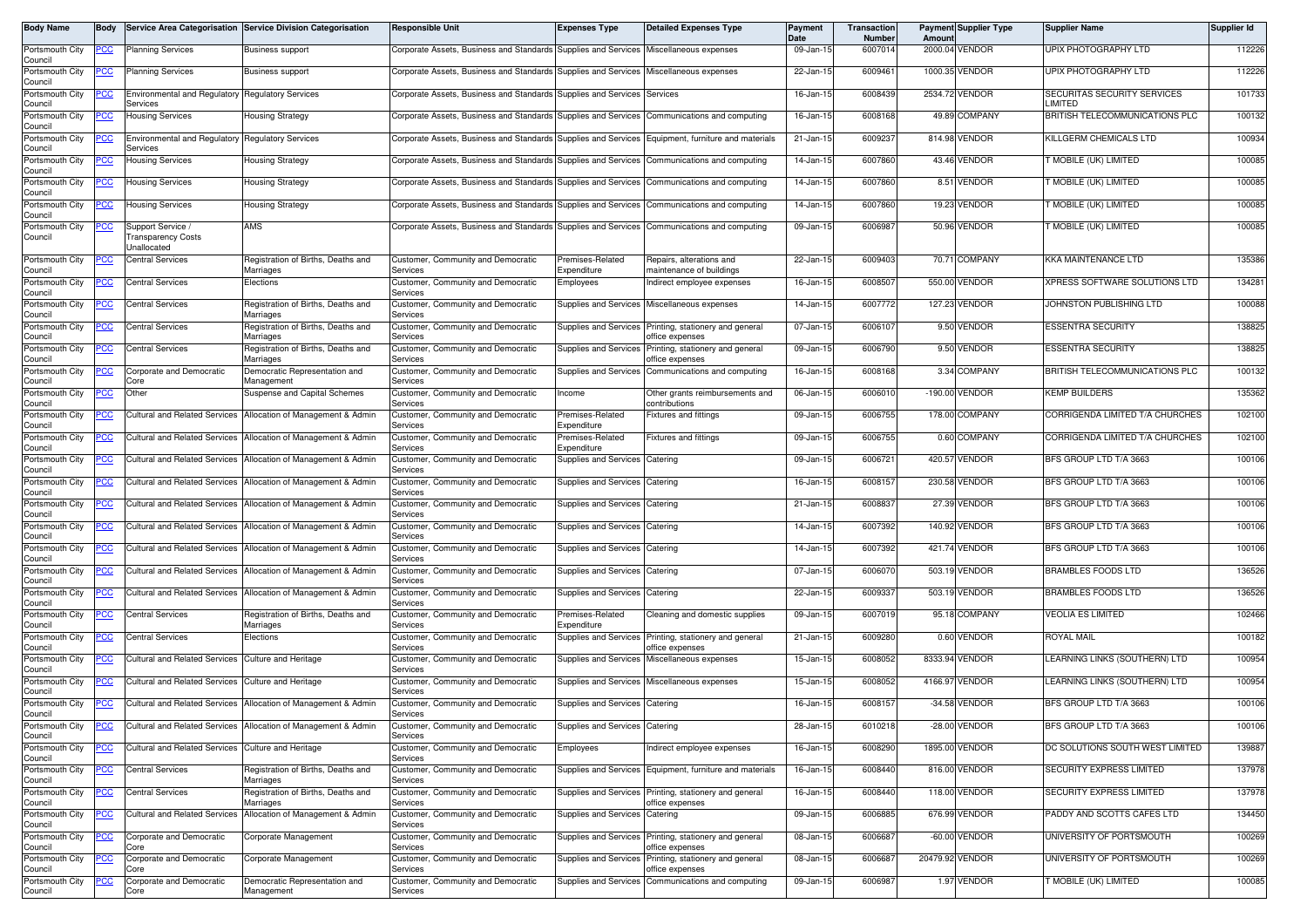| Body Name                             | Body        |                                                 | Service Area Categorisation Service Division Categorisation                 | <b>Responsible Unit</b>                                                               | <b>Expenses Type</b>            | <b>Detailed Expenses Type</b>                            | Payment<br>Date | Transaction<br>Number | Amoun           | <b>Payment Supplier Type</b> | <b>Supplier Name</b>                   | Supplier Id |
|---------------------------------------|-------------|-------------------------------------------------|-----------------------------------------------------------------------------|---------------------------------------------------------------------------------------|---------------------------------|----------------------------------------------------------|-----------------|-----------------------|-----------------|------------------------------|----------------------------------------|-------------|
| Portsmouth City<br>Council            | <u>PCC</u>  | <b>Planning Services</b>                        | <b>Business support</b>                                                     | Corporate Assets, Business and Standards Supplies and Services Miscellaneous expenses |                                 |                                                          | 09-Jan-15       | 6007014               |                 | 2000.04 VENDOR               | UPIX PHOTOGRAPHY LTD                   | 112226      |
| Portsmouth City<br>Council            | <u>PCC</u>  | <b>Planning Services</b>                        | <b>Business support</b>                                                     | Corporate Assets, Business and Standards Supplies and Services Miscellaneous expenses |                                 |                                                          | 22-Jan-15       | 6009461               |                 | 1000.35 VENDOR               | UPIX PHOTOGRAPHY LTD                   | 112226      |
| Portsmouth City<br>Council            |             | <b>Environmental and Regulatory</b><br>Services | <b>Regulatory Services</b>                                                  | Corporate Assets, Business and Standards Supplies and Services                        |                                 | Services                                                 | 16-Jan-15       | 6008439               |                 | 2534.72 VENDOR               | SECURITAS SECURITY SERVICES<br>LIMITED | 101733      |
| Portsmouth City<br>Council            | <u>PCC</u>  | <b>Housing Services</b>                         | Housing Strategy                                                            | Corporate Assets, Business and Standards Supplies and Services                        |                                 | Communications and computing                             | 16-Jan-15       | 6008168               |                 | 49.89 COMPANY                | BRITISH TELECOMMUNICATIONS PLC         | 100132      |
| Portsmouth City<br>Council            | <u> РСС</u> | <b>Environmental and Regulatory</b><br>Services | <b>Regulatory Services</b>                                                  | Corporate Assets, Business and Standards Supplies and Services                        |                                 | Equipment, furniture and materials                       | 21-Jan-1        | 600923                |                 | 814.98 VENDOR                | KILLGERM CHEMICALS LTD                 | 100934      |
| Portsmouth City<br>Council            | <u>PCC</u>  | Housing Services                                | Housing Strategy                                                            | Corporate Assets, Business and Standards Supplies and Services                        |                                 | Communications and computing                             | 14-Jan-15       | 6007860               |                 | 43.46 VENDOR                 | T MOBILE (UK) LIMITED                  | 100085      |
| Portsmouth City                       | <u>PCC</u>  | Housing Services                                | Housing Strategy                                                            | Corporate Assets, Business and Standards Supplies and Services                        |                                 | Communications and computing                             | 14-Jan-15       | 6007860               |                 | 8.51 VENDOR                  | T MOBILE (UK) LIMITED                  | 100085      |
| Council<br>Portsmouth City            | <u>PCC</u>  | <b>Housing Services</b>                         | Housing Strategy                                                            | Corporate Assets, Business and Standards Supplies and Services                        |                                 | Communications and computing                             | 14-Jan-15       | 6007860               |                 | 19.23 VENDOR                 | T MOBILE (UK) LIMITED                  | 100085      |
| Council<br>Portsmouth City<br>Council |             | Support Service<br>ransparency Costs            | AMS                                                                         | Corporate Assets, Business and Standards Supplies and Services                        |                                 | Communications and computing                             | 09-Jan-15       | 600698                | 50.96           | /ENDOR                       | T MOBILE (UK) LIMITED                  | 100085      |
| Portsmouth City                       |             | Jnallocated<br><b>Central Services</b>          | Registration of Births, Deaths and                                          | Customer, Community and Democratic                                                    | Premises-Related                | Repairs, alterations and                                 | 22-Jan-15       | 6009403               |                 | 70.71 COMPANY                | KKA MAINTENANCE LTD                    | 135386      |
| Council<br>Portsmouth City            |             | <b>Central Services</b>                         | Marriages<br>Elections                                                      | Services<br>Customer, Community and Democratic                                        | Expenditure<br>Employees        | maintenance of buildings<br>Indirect employee expenses   | 16-Jan-15       | 6008507               | 550.00          | /ENDOR                       | XPRESS SOFTWARE SOLUTIONS LTD          | 134281      |
| Council<br>Portsmouth City            | PCC         | <b>Central Services</b>                         | Registration of Births, Deaths and                                          | Services<br>Customer, Community and Democratic                                        |                                 | Supplies and Services Miscellaneous expenses             | 14-Jan-15       | 6007772               |                 | 127.23 VENDOR                | JOHNSTON PUBLISHING LTD                | 100088      |
| Council                               |             |                                                 | Marriages                                                                   | Services                                                                              | Supplies and Services           |                                                          | 07-Jan-15       | 6006107               | 9.50            | <b>VENDOR</b>                | <b>ESSENTRA SECURITY</b>               | 138825      |
| Portsmouth City<br>Council            |             | Central Services                                | Registration of Births, Deaths and<br>Marriages                             | Customer, Community and Democratic<br>Services                                        |                                 | Printing, stationery and general<br>office expenses      |                 |                       |                 |                              |                                        |             |
| Portsmouth City<br>Council            | <u>PCC</u>  | <b>Central Services</b>                         | Registration of Births, Deaths and<br>Marriages                             | Customer, Community and Democratic<br>Services                                        | Supplies and Services           | Printing, stationery and general<br>office expenses      | 09-Jan-15       | 6006790               |                 | 9.50 VENDOR                  | <b>ESSENTRA SECURITY</b>               | 138825      |
| Portsmouth City<br>Council            | <u>PCC</u>  | <b>Corporate and Democratic</b><br>Core         | Democratic Representation and<br>Management                                 | Customer, Community and Democratic<br>Services                                        | Supplies and Services           | Communications and computing                             | $16$ -Jan-1     | 6008168               |                 | 3.34 COMPANY                 | BRITISH TELECOMMUNICATIONS PLC         | 100132      |
| Portsmouth City<br>Council            | <u>PCC</u>  | Other                                           | Suspense and Capital Schemes                                                | Customer, Community and Democratic<br>Services                                        | Income                          | Other grants reimbursements and<br>contributions         | 06-Jan-15       | 6006010               | $-190.00$       | <b>VENDOR</b>                | <b>KEMP BUILDERS</b>                   | 135362      |
| Portsmouth City<br>Council            |             | <b>Cultural and Related Services</b>            | Allocation of Management & Admin                                            | Customer, Community and Democratic<br>Services                                        | Premises-Related<br>Expenditure | Fixtures and fittings                                    | 09-Jan-15       | 6006755               |                 | 178.00 COMPANY               | CORRIGENDA LIMITED T/A CHURCHES        | 102100      |
| Portsmouth City<br>Council            | <u>PCC </u> | Cultural and Related Services                   | Allocation of Management & Admin                                            | Customer, Community and Democratic<br>Services                                        | Premises-Related<br>Expenditure | <b>Fixtures and fittings</b>                             | 09-Jan-15       | 6006755               |                 | 0.60 COMPANY                 | CORRIGENDA LIMITED T/A CHURCHES        | 102100      |
| Portsmouth City<br>Council            | <u>PCC</u>  | <b>Cultural and Related Services</b>            | Allocation of Management & Admin                                            | Customer, Community and Democratic<br>Services                                        | Supplies and Services           | Catering                                                 | 09-Jan-15       | 6006721               |                 | 420.57 VENDOR                | BFS GROUP LTD T/A 3663                 | 100106      |
| Portsmouth City<br>Council            | <u> РСС</u> | <b>Cultural and Related Services</b>            | Allocation of Management & Admin                                            | Customer, Community and Democratic<br>Services                                        | Supplies and Services           | Catering                                                 | 16-Jan-15       | 600815                |                 | 230.58 VENDOR                | BFS GROUP LTD T/A 3663                 | 100106      |
| Portsmouth City<br>Council            | <u>PCC</u>  | <b>Cultural and Related Services</b>            | Allocation of Management & Admin                                            | Customer, Community and Democratic<br>Services                                        | Supplies and Services           | Catering                                                 | 21-Jan-15       | 6008837               | 27.39           | <b>VENDOR</b>                | BFS GROUP LTD T/A 3663                 | 100106      |
| Portsmouth City<br>Council            | <u>PCC </u> |                                                 | Cultural and Related Services Allocation of Management & Admin              | Customer, Community and Democratic<br>Services                                        | Supplies and Services           | Catering                                                 | 14-Jan-15       | 6007392               |                 | 140.92 VENDOR                | BFS GROUP LTD T/A 3663                 | 100106      |
| Portsmouth City<br>Council            |             | <b>Cultural and Related Services</b>            | Allocation of Management & Admin                                            | Customer, Community and Democratic<br>Services                                        | Supplies and Services           | Catering                                                 | 14-Jan-1        | 6007392               |                 | 421.74 VENDOR                | BFS GROUP LTD T/A 3663                 | 100106      |
| Portsmouth City<br>Council            | <u>PCC</u>  | Cultural and Related Services                   | Allocation of Management & Admin                                            | Customer, Community and Democratic<br>Services                                        | Supplies and Services           | Catering                                                 | 07-Jan-15       | 6006070               | 503.19          | /ENDOR                       | <b>BRAMBLES FOODS LTD</b>              | 136526      |
| Portsmouth City<br>Council            |             |                                                 | Cultural and Related Services Allocation of Management & Admin              | Customer, Community and Democratic<br>Services                                        | Supplies and Services           | Catering                                                 | 22-Jan-15       | 6009337               |                 | 503.19 VENDOR                | BRAMBLES FOODS LTD                     | 136526      |
| Portsmouth City                       | <u>PCC</u>  | <b>Central Services</b>                         | Registration of Births, Deaths and                                          | Customer, Community and Democratic                                                    | Premises-Related<br>Expenditure | Cleaning and domestic supplies                           | 09-Jan-15       | 6007019               |                 | 95.18 COMPANY                | <b>VEOLIA ES LIMITED</b>               | 102466      |
| Council<br>Portsmouth City            | <u>PCC</u>  | <b>Central Services</b>                         | Marriages<br>Elections                                                      | Services<br>Customer, Community and Democratic                                        | Supplies and Services           | Printing, stationery and general                         | 21-Jan-15       | 6009280               | 0.60            | <b>VENDOR</b>                | <b>ROYAL MAIL</b>                      | 100182      |
| Council<br>Portsmouth City            | <u>PCC</u>  | <b>Cultural and Related Services</b>            | Culture and Heritage                                                        | Services<br>Customer, Community and Democratic                                        | Supplies and Services           | office expenses<br>Miscellaneous expenses                | 15-Jan-15       | 6008052               |                 | 8333.94 VENDOR               | LEARNING LINKS (SOUTHERN) LTD          | 100954      |
| Council<br>Portsmouth City            | <u>PCC</u>  | Cultural and Related Services                   | <b>Culture and Heritage</b>                                                 | Services<br>Customer, Community and Democratic                                        |                                 | Supplies and Services Miscellaneous expenses             | 15-Jan-15       | 6008052               | 4166.97         | VENDOR                       | LEARNING LINKS (SOUTHERN) LTD          | 100954      |
| Council<br>Portsmouth City            | <u>PCC</u>  |                                                 | Cultural and Related Services Allocation of Management & Admin              | Services<br>Customer, Community and Democratic                                        | Supplies and Services           | Catering                                                 | 16-Jan-15       | 6008157               |                 | -34.58 VENDOR                | BFS GROUP LTD T/A 3663                 | 100106      |
| Council<br>Portsmouth City            |             |                                                 | Cultural and Related Services Allocation of Management & Admin              | Services<br>Customer, Community and Democratic                                        | Supplies and Services Catering  |                                                          | 28-Jan-15       | 6010218               |                 | -28.00 VENDOR                | BFS GROUP LTD T/A 3663                 | 100106      |
| Council<br>Portsmouth City            | <u>PCC</u>  | <b>Cultural and Related Services</b>            | <b>Culture and Heritage</b>                                                 | Services<br>Customer, Community and Democratic                                        | Employees                       | Indirect employee expenses                               | 16-Jan-15       | 6008290               | 1895.00         | VENDOR                       | DC SOLUTIONS SOUTH WEST LIMITED        | 139887      |
| Council<br>Portsmouth City            | PСC         | <b>Central Services</b>                         | Registration of Births, Deaths and                                          | Services<br>Customer, Community and Democratic                                        |                                 | Supplies and Services Equipment, furniture and materials | 16-Jan-15       | 6008440               |                 | 816.00 VENDOR                | SECURITY EXPRESS LIMITED               | 137978      |
| Council<br>Portsmouth City            | <u>PCC</u>  | <b>Central Services</b>                         | Marriages<br>Registration of Births, Deaths and                             | Services<br>Customer, Community and Democratic                                        |                                 | Supplies and Services Printing, stationery and general   | 16-Jan-15       | 6008440               |                 | 118.00 VENDOR                | SECURITY EXPRESS LIMITED               | 137978      |
| Council<br>Portsmouth City            | <u>PCC</u>  |                                                 | Marriages<br>Cultural and Related Services Allocation of Management & Admin | Services<br>Customer, Community and Democratic                                        | Supplies and Services           | office expenses<br>Catering                              | 09-Jan-15       | 6006885               |                 | 676.99 VENDOR                | PADDY AND SCOTTS CAFES LTD             | 134450      |
| Council<br>Portsmouth City            | ∍сс         | Corporate and Democratic                        | Corporate Management                                                        | Services<br>Customer, Community and Democratic                                        | Supplies and Services           | Printing, stationery and general                         | 08-Jan-15       | 6006687               |                 | -60.00 VENDOR                | UNIVERSITY OF PORTSMOUTH               | 100269      |
| Council<br>Portsmouth City            | <u>PCC</u>  | Core<br>Corporate and Democratic                | Corporate Management                                                        | Services<br>Customer, Community and Democratic                                        | Supplies and Services           | office expenses<br>Printing, stationery and general      | 08-Jan-15       | 6006687               | 20479.92 VENDOR |                              | UNIVERSITY OF PORTSMOUTH               | 100269      |
| Council                               |             | Core                                            |                                                                             | Services                                                                              |                                 | office expenses                                          |                 |                       |                 |                              |                                        |             |
| Portsmouth City<br>Council            | <u>PCC</u>  | Corporate and Democratic<br>Core                | Democratic Representation and<br>Management                                 | Customer, Community and Democratic<br>Services                                        | Supplies and Services           | Communications and computing                             | 09-Jan-15       | 6006987               |                 | 1.97 VENDOR                  | T MOBILE (UK) LIMITED                  | 100085      |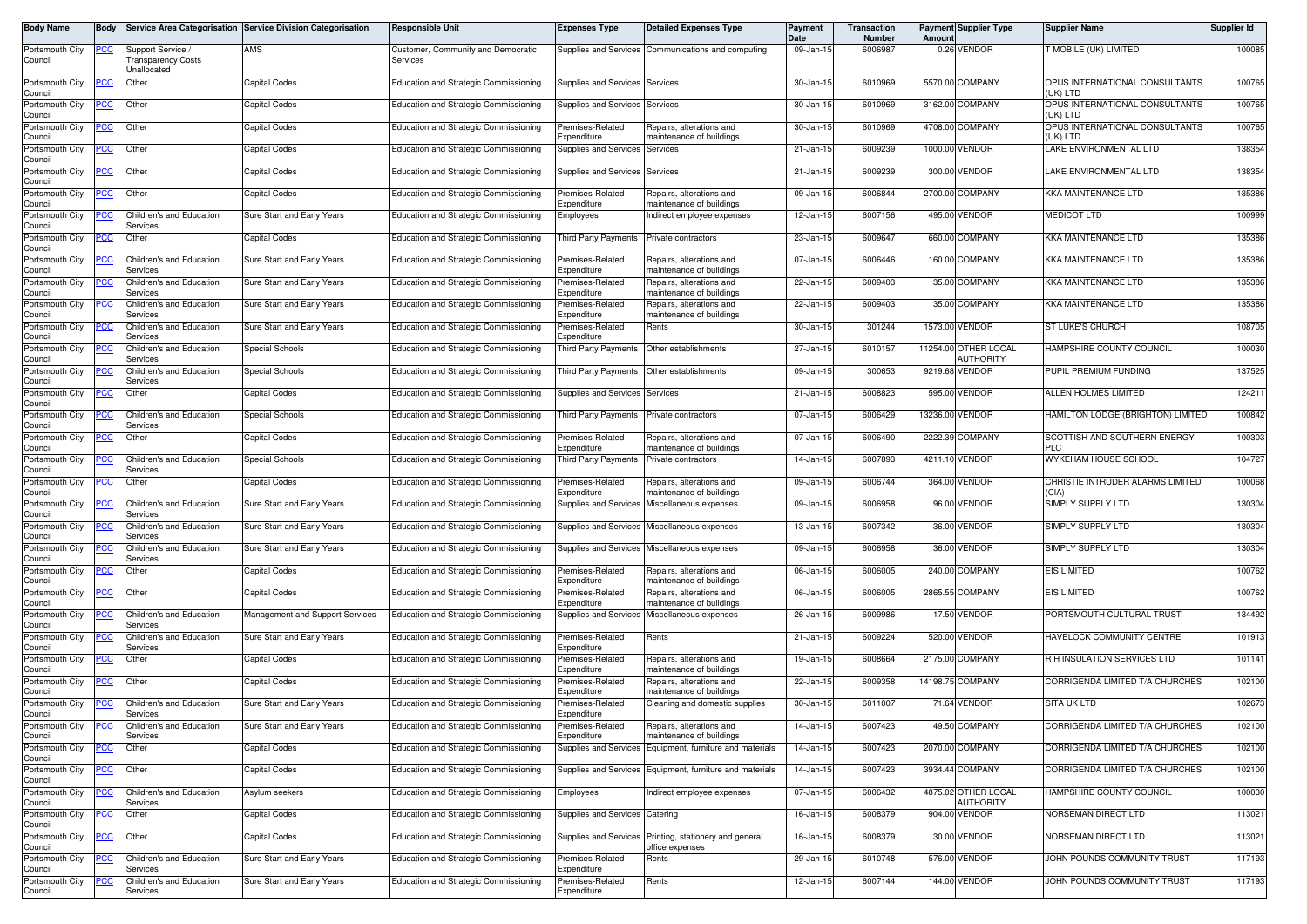| <b>Body Name</b>           | Body       |                                                       | Service Area Categorisation Service Division Categorisation | <b>Responsible Unit</b>                        | <b>Expenses Type</b>                  | <b>Detailed Expenses Type</b>                            | Payment<br>Date | <b>Transaction</b><br>Number | Amoun   | <b>Payment Supplier Type</b>      | <b>Supplier Name</b>                       | <b>Supplier Id</b> |
|----------------------------|------------|-------------------------------------------------------|-------------------------------------------------------------|------------------------------------------------|---------------------------------------|----------------------------------------------------------|-----------------|------------------------------|---------|-----------------------------------|--------------------------------------------|--------------------|
| Portsmouth City<br>Council | <u>CC </u> | Support Service /<br>ransparency Costs<br>Jnallocated | AMS                                                         | Customer, Community and Democratic<br>Services |                                       | Supplies and Services Communications and computing       | 09-Jan-15       | 6006987                      |         | 0.26 VENDOR                       | T MOBILE (UK) LIMITED                      | 100085             |
| Portsmouth City<br>Council | <u>CC </u> | Other                                                 | Capital Codes                                               | <b>Education and Strategic Commissioning</b>   | Supplies and Services                 | Services                                                 | 30-Jan-15       | 6010969                      |         | 5570.00 COMPANY                   | OPUS INTERNATIONAL CONSULTANTS<br>(uk) ltd | 100765             |
| Portsmouth City<br>Council | <u>PCC</u> | Other                                                 | Capital Codes                                               | Education and Strategic Commissioning          | Supplies and Services                 | Services                                                 | 30-Jan-1        | 6010969                      |         | 3162.00 COMPANY                   | OPUS INTERNATIONAL CONSULTANTS<br>(UK) LTD | 100765             |
| Portsmouth City<br>Council | PСC        | Other                                                 | Capital Codes                                               | <b>Education and Strategic Commissioning</b>   | remises-Related<br>Expenditure        | Repairs, alterations and<br>maintenance of buildings     | 30-Jan-15       | 6010969                      |         | 4708.00 COMPANY                   | OPUS INTERNATIONAL CONSULTANTS<br>(uk) ltd | 100765             |
| Portsmouth City<br>Council | CC         | Other                                                 | Capital Codes                                               | <b>Education and Strategic Commissioning</b>   | Supplies and Services                 | Services                                                 | 21-Jan-15       | 6009239                      |         | 1000.00 VENDOR                    | LAKE ENVIRONMENTAL LTD                     | 138354             |
| Portsmouth City<br>Council | <u>PCC</u> | Other                                                 | Capital Codes                                               | Education and Strategic Commissioning          | Supplies and Services                 | Services                                                 | 21-Jan-15       | 6009239                      |         | 300.00 VENDOR                     | LAKE ENVIRONMENTAL LTD                     | 138354             |
| Portsmouth City<br>Council | <b>PCC</b> | Other                                                 | Capital Codes                                               | <b>Education and Strategic Commissioning</b>   | remises-Related<br>Expenditure        | Repairs, alterations and<br>naintenance of buildings     | 09-Jan-1        | 6006844                      |         | 2700.00 COMPANY                   | <b>KKA MAINTENANCE LTD</b>                 | 135386             |
| Portsmouth City<br>Council |            | Children's and Education<br>Services                  | Sure Start and Early Years                                  | <b>Education and Strategic Commissioning</b>   | Employees                             | Indirect employee expenses                               | 12-Jan-15       | 6007156                      | 495.00  | <b>VENDOR</b>                     | <b>MEDICOT LTD</b>                         | 100999             |
| Portsmouth City<br>Council |            | Other                                                 | Capital Codes                                               | Education and Strategic Commissioning          | Third Party Payments                  | Private contractors                                      | 23-Jan-15       | 6009647                      |         | 660.00 COMPANY                    | <b>KKA MAINTENANCE LTD</b>                 | 135386             |
| Portsmouth City<br>Council | °СС        | Children's and Education<br>Services                  | Sure Start and Early Years                                  | Education and Strategic Commissioning          | Premises-Related<br>Expenditure       | Repairs, alterations and<br>naintenance of buildings     | 07-Jan-15       | 6006446                      |         | 160.00 COMPANY                    | <b>KKA MAINTENANCE LTD</b>                 | 135386             |
| Portsmouth City<br>Council |            | Children's and Education<br>Services                  | Sure Start and Early Years                                  | Education and Strategic Commissioning          | remises-Related<br>xpenditure         | Repairs, alterations and<br>naintenance of buildings     | 22-Jan-15       | 6009403                      |         | 35.00 COMPANY                     | KKA MAINTENANCE LTD                        | 135386             |
| Portsmouth City<br>Council |            | Children's and Education<br>Services                  | Sure Start and Early Years                                  | <b>Education and Strategic Commissioning</b>   | Premises-Related<br>Expenditure       | Repairs, alterations and<br>maintenance of buildings     | 22-Jan-15       | 6009403                      |         | 35.00 COMPANY                     | <b>KKA MAINTENANCE LTD</b>                 | 135386             |
| Portsmouth City<br>Council | cс         | Children's and Education<br>Services                  | Sure Start and Early Years                                  | Education and Strategic Commissioning          | remises-Related<br>Expenditure        | Rents                                                    | 30-Jan-15       | 301244                       |         | 1573.00 VENDOR                    | ST LUKE'S CHURCH                           | 108705             |
| Portsmouth City<br>Council | <u>'CC</u> | Children's and Education<br>Services                  | <b>Special Schools</b>                                      | <b>Education and Strategic Commissioning</b>   | Third Party Payments                  | Other establishments                                     | 27-Jan-15       | 6010157                      |         | 11254.00 OTHER LOCAL<br>AUTHORITY | HAMPSHIRE COUNTY COUNCIL                   | 100030             |
| Portsmouth City<br>Council | PСC        | Children's and Education<br>Services                  | <b>Special Schools</b>                                      | <b>Education and Strategic Commissioning</b>   | Third Party Payments                  | Other establishments                                     | 09-Jan-15       | 300653                       |         | 9219.68 VENDOR                    | PUPIL PREMIUM FUNDING                      | 137525             |
| Portsmouth City<br>Council | сc         | Other                                                 | Capital Codes                                               | <b>Education and Strategic Commissioning</b>   | <b>Supplies and Services</b>          | Services                                                 | 21-Jan-15       | 6008823                      |         | 595.00 VENDOR                     | ALLEN HOLMES LIMITED                       | 124211             |
| Portsmouth City<br>Council |            | Children's and Education<br>Services                  | <b>Special Schools</b>                                      | Education and Strategic Commissioning          | Third Party Payments                  | Private contractors                                      | 07-Jan-15       | 6006429                      |         | 13236.00 VENDOR                   | HAMILTON LODGE (BRIGHTON) LIMITED          | 100842             |
| Portsmouth City<br>Council | <u>cc</u>  | Other                                                 | Capital Codes                                               | Education and Strategic Commissioning          | remises-Related<br>Expenditure        | Repairs, alterations and<br>naintenance of buildings     | 07-Jan-15       | 6006490                      | 2222.39 | <b>COMPANY</b>                    | SCOTTISH AND SOUTHERN ENERGY<br>PI C       | 100303             |
| Portsmouth City<br>Council |            | Children's and Education<br>Services                  | <b>Special Schools</b>                                      | Education and Strategic Commissioning          | Third Party Payments                  | Private contractors                                      | 14-Jan-15       | 6007893                      |         | 4211.10 VENDOR                    | WYKEHAM HOUSE SCHOOL                       | 104727             |
| Portsmouth City<br>Council | ∍сс        | Other                                                 | <b>Capital Codes</b>                                        | Education and Strategic Commissioning          | remises-Related<br>Expenditure        | Repairs, alterations and<br>naintenance of buildings     | 09-Jan-15       | 6006744                      |         | 364.00 VENDOR                     | CHRISTIE INTRUDER ALARMS LIMITED<br>(CIA)  | 100068             |
| Portsmouth City<br>Council |            | Children's and Education<br>Services                  | Sure Start and Early Years                                  | Education and Strategic Commissioning          | upplies and Services                  | Miscellaneous expenses                                   | 09-Jan-15       | 6006958                      |         | 96.00 VENDOR                      | SIMPLY SUPPLY LTD                          | 130304             |
| Portsmouth City<br>Council |            | Children's and Education<br>Services                  | Sure Start and Early Years                                  | <b>Education and Strategic Commissioning</b>   | <b>Supplies and Services</b>          | Miscellaneous expenses                                   | 13-Jan-15       | 6007342                      |         | 36.00 VENDOR                      | SIMPLY SUPPLY LTD                          | 130304             |
| Portsmouth City<br>Council | PCC        | Children's and Education<br>Services                  | Sure Start and Early Years                                  | Education and Strategic Commissioning          |                                       | Supplies and Services Miscellaneous expenses             | 09-Jan-15       | 6006958                      |         | 36.00 VENDOR                      | SIMPLY SUPPLY LTD                          | 130304             |
| Portsmouth City<br>Council | cс         | Other                                                 | Capital Codes                                               | Education and Strategic Commissioning          | Premises-Related<br>.<br>xpenditure   | Repairs, alterations and<br>naintenance of buildings     | 06-Jan-15       | 6006005                      |         | 240.00 COMPANY                    | <b>EIS LIMITED</b>                         | 100762             |
| Portsmouth City<br>Council | сc         | Other                                                 | Capital Codes                                               | Education and Strategic Commissioning          | remises-Related<br>Expenditure        | Repairs, alterations and<br>naintenance of buildings     | 06-Jan-15       | 6006005                      |         | 2865.55 COMPANY                   | <b>EIS LIMITED</b>                         | 100762             |
| Portsmouth City<br>Council | PСC        | Children's and Education<br>Services                  | Management and Support Services                             | Education and Strategic Commissioning          | Supplies and Services                 | Miscellaneous expenses                                   | 26-Jan-15       | 6009986                      |         | 17.50 VENDOR                      | PORTSMOUTH CULTURAL TRUST                  | 134492             |
| Portsmouth City<br>Council | сc         | Children's and Education<br>Services                  | Sure Start and Early Years                                  | <b>Education and Strategic Commissioning</b>   | Premises-Related<br><i>xpenditure</i> | Rents                                                    | 21-Jan-15       | 6009224                      |         | 520.00 VENDOR                     | HAVELOCK COMMUNITY CENTRE                  | 101913             |
| Portsmouth City<br>Council | <u>cc</u>  | Other                                                 | Capital Codes                                               | Education and Strategic Commissioning          | remises-Related<br>Expenditure        | Repairs, alterations and<br>naintenance of buildings     | 19-Jan-1        | 6008664                      |         | 2175.00 COMPANY                   | R H INSULATION SERVICES LTD                | 101141             |
| Portsmouth City<br>Council | <u>PCC</u> | Other                                                 | Capital Codes                                               | Education and Strategic Commissioning          | remises-Related<br>Expenditure        | Repairs, alterations and<br>naintenance of buildings     | 22-Jan-15       | 6009358                      |         | 14198.75 COMPANY                  | CORRIGENDA LIMITED T/A CHURCHES            | 102100             |
| Portsmouth City<br>Council | <u>CC</u>  | Children's and Education<br>Services                  | Sure Start and Early Years                                  | <b>Education and Strategic Commissioning</b>   | Premises-Related<br>Expenditure       | Cleaning and domestic supplies                           | 30-Jan-15       | 6011007                      |         | 71.64 VENDOR                      | <b>SITA UK LTD</b>                         | 102673             |
| Portsmouth City<br>Council |            | Children's and Education<br>Services                  | Sure Start and Early Years                                  | Education and Strategic Commissioning          | Premises-Related<br>Expenditure       | Repairs, alterations and<br>maintenance of buildings     | 14-Jan-15       | 6007423                      |         | 49.50 COMPANY                     | CORRIGENDA LIMITED T/A CHURCHES            | 102100             |
| Portsmouth City<br>Council |            | Other                                                 | Capital Codes                                               | Education and Strategic Commissioning          |                                       | Supplies and Services Equipment, furniture and materials | 14-Jan-15       | 6007423                      |         | 2070.00 COMPANY                   | CORRIGENDA LIMITED T/A CHURCHES            | 102100             |
| Portsmouth City<br>Council | <u>PCC</u> | Other                                                 | Capital Codes                                               | <b>Education and Strategic Commissioning</b>   |                                       | Supplies and Services Equipment, furniture and materials | 14-Jan-15       | 6007423                      |         | 3934.44 COMPANY                   | CORRIGENDA LIMITED T/A CHURCHES            | 102100             |
| Portsmouth City<br>Council | ۲CC        | Children's and Education<br>Services                  | Asylum seekers                                              | Education and Strategic Commissioning          | Employees                             | Indirect employee expenses                               | 07-Jan-15       | 6006432                      |         | 4875.02 OTHER LOCAL<br>AUTHORITY  | HAMPSHIRE COUNTY COUNCIL                   | 100030             |
| Portsmouth City<br>Council | cс         | Other                                                 | Capital Codes                                               | Education and Strategic Commissioning          | Supplies and Services Catering        |                                                          | 16-Jan-15       | 6008379                      |         | 904.00 VENDOR                     | NORSEMAN DIRECT LTD                        | 113021             |
| Portsmouth City<br>Council | <u>'CC</u> | Other                                                 | Capital Codes                                               | Education and Strategic Commissioning          | <b>Supplies and Services</b>          | Printing, stationery and general<br>office expenses      | 16-Jan-15       | 6008379                      |         | 30.00 VENDOR                      | NORSEMAN DIRECT LTD                        | 113021             |
| Portsmouth City<br>Council | ∍сс        | Children's and Education<br>Services                  | Sure Start and Early Years                                  | <b>Education and Strategic Commissioning</b>   | Premises-Related<br>Expenditure       | Rents                                                    | 29-Jan-15       | 6010748                      |         | 576.00 VENDOR                     | JOHN POUNDS COMMUNITY TRUST                | 117193             |
| Portsmouth City<br>Council | ပင         | Children's and Education<br>Services                  | Sure Start and Early Years                                  | <b>Education and Strategic Commissioning</b>   | Premises-Related<br>Expenditure       | Rents                                                    | 12-Jan-15       | 6007144                      |         | 144.00 VENDOR                     | JOHN POUNDS COMMUNITY TRUST                | 117193             |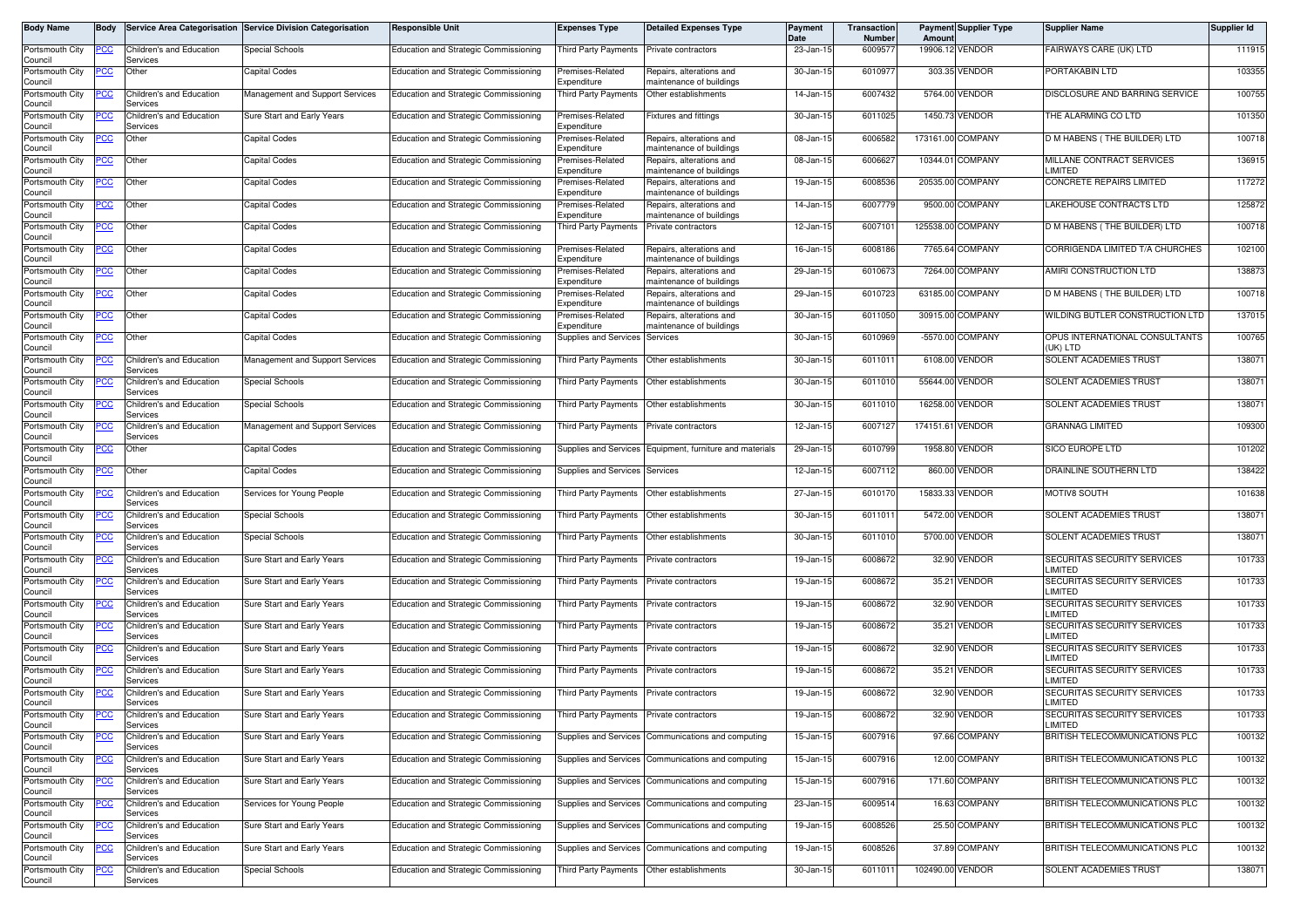| Body Name                  | <b>Body</b> |                                             | Service Area Categorisation Service Division Categorisation | <b>Responsible Unit</b>                      | <b>Expenses Type</b>                        | <b>Detailed Expenses Type</b>                        | <b>Payment</b><br>Date | Transaction<br><b>Number</b> | Amoun             | <b>Payment Supplier Type</b> | <b>Supplier Name</b>                          | Supplier Id |
|----------------------------|-------------|---------------------------------------------|-------------------------------------------------------------|----------------------------------------------|---------------------------------------------|------------------------------------------------------|------------------------|------------------------------|-------------------|------------------------------|-----------------------------------------------|-------------|
| Portsmouth City<br>Council | PCC         | Children's and Education<br>Services        | <b>Special Schools</b>                                      | Education and Strategic Commissioning        | Third Party Payments                        | Private contractors                                  | 23-Jan-15              | 6009577                      |                   | 19906.12 VENDOR              | FAIRWAYS CARE (UK) LTD                        | 111915      |
| Portsmouth City<br>Council | PСC         | Other                                       | Capital Codes                                               | <b>Education and Strategic Commissioning</b> | Premises-Related<br>Expenditure             | Repairs, alterations and<br>maintenance of buildings | 30-Jan-15              | 6010977                      |                   | 303.35 VENDOR                | PORTAKABIN LTD                                | 103355      |
| Portsmouth City<br>Council | 'CC         | Children's and Education<br>Services        | Management and Support Services                             | Education and Strategic Commissioning        | Third Party Payments                        | Other establishments                                 | 14-Jan-15              | 6007432                      |                   | 5764.00 VENDOR               | DISCLOSURE AND BARRING SERVICE                | 100755      |
| Portsmouth City<br>Council | 'CC         | Children's and Education<br>Services        | Sure Start and Early Years                                  | Education and Strategic Commissioning        | Premises-Related<br>Expenditure             | Fixtures and fittings                                | 30-Jan-15              | 6011025                      |                   | 1450.73 VENDOR               | THE ALARMING CO LTD                           | 101350      |
| Portsmouth City<br>Council | <u>'CC</u>  | Other                                       | Capital Codes                                               | <b>Education and Strategic Commissioning</b> | Premises-Related<br>Expenditure             | Repairs, alterations and<br>maintenance of buildings | 08-Jan-15              | 600658                       | 173161.00 COMPANY |                              | D M HABENS (THE BUILDER) LTD                  | 100718      |
| Portsmouth City<br>Council |             | Other                                       | Capital Codes                                               | Education and Strategic Commissioning        | remises-Related<br>Expenditure              | Repairs, alterations and<br>maintenance of buildings | 08-Jan-15              | 600662                       |                   | 10344.01 COMPANY             | MILLANE CONTRACT SERVICES<br>LIMITED          | 136915      |
| Portsmouth City<br>Council | <u>'CC</u>  | Other                                       | Capital Codes                                               | Education and Strategic Commissioning        | Premises-Related<br>Expenditure             | Repairs, alterations and<br>maintenance of buildings | 19-Jan-15              | 6008536                      |                   | 20535.00 COMPANY             | CONCRETE REPAIRS LIMITED                      | 117272      |
| Portsmouth City<br>Council | <u>PCC </u> | Other                                       | Capital Codes                                               | Education and Strategic Commissioning        | Premises-Related<br>Expenditure             | Repairs, alterations and<br>maintenance of buildings | 14-Jan-15              | 6007779                      |                   | 9500.00 COMPANY              | LAKEHOUSE CONTRACTS LTD                       | 125872      |
| Portsmouth City<br>Council | сc          | Other                                       | Capital Codes                                               | Education and Strategic Commissioning        | Third Party Payments                        | Private contractors                                  | 12-Jan-15              | 600710                       |                   | 125538.00 COMPANY            | D M HABENS (THE BUILDER) LTD                  | 100718      |
| Portsmouth City<br>Council | 'CC         | Other                                       | Capital Codes                                               | <b>Education and Strategic Commissioning</b> | Premises-Related<br>Expenditure             | Repairs, alterations and<br>maintenance of buildings | 16-Jan-15              | 6008186                      |                   | 7765.64 COMPANY              | CORRIGENDA LIMITED T/A CHURCHES               | 102100      |
| Portsmouth City<br>Council | <u>PCC</u>  | Other                                       | Capital Codes                                               | <b>Education and Strategic Commissioning</b> | Premises-Related<br>Expenditure             | Repairs, alterations and<br>maintenance of buildings | 29-Jan-15              | 6010673                      | 7264.00           | COMPANY                      | AMIRI CONSTRUCTION LTD                        | 138873      |
| Portsmouth City<br>Council | <u>PCC</u>  | Other                                       | Capital Codes                                               | Education and Strategic Commissioning        | Premises-Related<br>Expenditure             | Repairs, alterations and<br>maintenance of buildings | 29-Jan-15              | 6010723                      |                   | 63185.00 COMPANY             | D M HABENS (THE BUILDER) LTD                  | 100718      |
| Portsmouth City<br>Council | <u>CC </u>  | Other                                       | Capital Codes                                               | <b>Education and Strategic Commissioning</b> | Premises-Related<br>Expenditure             | Repairs, alterations and<br>maintenance of buildings | 30-Jan-15              | 6011050                      |                   | 30915.00 COMPANY             | WILDING BUTLER CONSTRUCTION LTD               | 137015      |
| Portsmouth City<br>Council | <u>PCC</u>  | Other                                       | Capital Codes                                               | Education and Strategic Commissioning        | Supplies and Services                       | Services                                             | 30-Jan-15              | 6010969                      |                   | -5570.00 COMPANY             | OPUS INTERNATIONAL CONSULTANTS<br>(UK) LTD    | 100765      |
| Portsmouth City<br>Council | PCC         | Children's and Education<br>Services        | Management and Support Services                             | Education and Strategic Commissioning        | Third Party Payments                        | Other establishments                                 | 30-Jan-15              | 6011011                      |                   | 6108.00 VENDOR               | SOLENT ACADEMIES TRUST                        | 138071      |
| Portsmouth City<br>Council |             | Children's and Education<br>Services        | Special Schools                                             | Education and Strategic Commissioning        | <b>Third Party Payments</b>                 | Other establishments                                 | 30-Jan-15              | 6011010                      | 55644.00          | /ENDOR                       | SOLENT ACADEMIES TRUST                        | 138071      |
| Portsmouth City<br>Council |             | Children's and Education<br>Services        | <b>Special Schools</b>                                      | Education and Strategic Commissioning        | Third Party Payments                        | Other establishments                                 | 30-Jan-15              | 6011010                      |                   | 16258.00 VENDOR              | SOLENT ACADEMIES TRUST                        | 138071      |
| Portsmouth City<br>Council |             | Children's and Education<br>Services        | Management and Support Services                             | Education and Strategic Commissioning        | <b>Third Party Payments</b>                 | Private contractors                                  | 12-Jan-15              | 6007127                      | 174151.61 VENDOR  |                              | <b>GRANNAG LIMITED</b>                        | 109300      |
| Portsmouth City<br>Council | <u>cc</u>   | Other                                       | Capital Codes                                               | Education and Strategic Commissioning        | Supplies and Services                       | Equipment, furniture and materials                   | 29-Jan-15              | 6010799                      | 1958.80           | VENDOR                       | SICO EUROPE LTD                               | 101202      |
| Portsmouth City<br>Council | сc          | Other                                       | Capital Codes                                               | Education and Strategic Commissioning        | Supplies and Services                       | Services                                             | 12-Jan-15              | 6007112                      |                   | 860.00 VENDOR                | DRAINLINE SOUTHERN LTD                        | 138422      |
| Portsmouth City<br>Council | PCC         | Children's and Education<br>Services        | Services for Young People                                   | Education and Strategic Commissioning        | Third Party Payments                        | Other establishments                                 | 27-Jan-15              | 6010170                      |                   | 15833.33 VENDOR              | MOTIV8 SOUTH                                  | 101638      |
| Portsmouth City<br>Council |             | Children's and Education<br>Services        | <b>Special Schools</b>                                      | Education and Strategic Commissioning        | <b>Third Party Payments</b>                 | Other establishments                                 | 30-Jan-15              | 6011011                      |                   | 5472.00 VENDOR               | <b>SOLENT ACADEMIES TRUST</b>                 | 138071      |
| Portsmouth City<br>Council |             | Children's and Education<br>Services        | <b>Special Schools</b>                                      | Education and Strategic Commissioning        | Third Party Payments                        | Other establishments                                 | 30-Jan-15              | 6011010                      |                   | 5700.00 VENDOR               | SOLENT ACADEMIES TRUST                        | 138071      |
| Portsmouth City<br>Council | 'CC         | Children's and Education<br>Services        | Sure Start and Early Years                                  | Education and Strategic Commissioning        | Third Party Payments                        | Private contractors                                  | 19-Jan-15              | 6008672                      |                   | 32.90 VENDOR                 | SECURITAS SECURITY SERVICES<br>LIMITED        | 101733      |
| Portsmouth City<br>Council | сc          | Children's and Education<br>Services        | Sure Start and Early Years                                  | Education and Strategic Commissioning        | Third Party Payments                        | Private contractors                                  | 19-Jan-15              | 6008672                      |                   | 35.21 VENDOR                 | SECURITAS SECURITY SERVICES<br>LIMITED        | 101733      |
| Portsmouth City<br>Council |             | Children's and Education<br>Services        | Sure Start and Early Years                                  | Education and Strategic Commissioning        | <b>Third Party Payments</b>                 | Private contractors                                  | 19-Jan-1               | 600867                       |                   | 32.90 VENDOR                 | <b>SECURITAS SECURITY SERVICES</b><br>LIMITED | 101733      |
| Portsmouth City<br>Council | ∍сс         | Children's and Education<br>Services        | Sure Start and Early Years                                  | Education and Strategic Commissioning        | <b>Third Party Payments</b>                 | Private contractors                                  | 19-Jan-15              | 600867                       |                   | 35.21 VENDOR                 | SECURITAS SECURITY SERVICES<br>LIMITED        | 101733      |
| Portsmouth City<br>Council |             | Children's and Education<br>Services        | Sure Start and Early Years                                  | Education and Strategic Commissioning        | <b>Third Party Payments</b>                 | Private contractors                                  | 19-Jan-15              | 6008672                      |                   | 32.90 VENDOR                 | SECURITAS SECURITY SERVICES<br>LIMITED        | 101733      |
| Portsmouth City<br>Council | <u>'CC</u>  | Children's and Education<br>Services        | Sure Start and Early Years                                  | Education and Strategic Commissioning        | Third Party Payments                        | Private contractors                                  | 19-Jan-15              | 6008672                      |                   | 35.21 VENDOR                 | SECURITAS SECURITY SERVICES<br>LIMITED        | 101733      |
| Portsmouth City<br>Council |             | Children's and Education<br>Services        | Sure Start and Early Years                                  | Education and Strategic Commissioning        | <b>Third Party Payments</b>                 | Private contractors                                  | 19-Jan-15              | 6008672                      |                   | 32.90 VENDOR                 | SECURITAS SECURITY SERVICES<br>LIMITED        | 101733      |
| Portsmouth City<br>Council | <b>PCC</b>  | Children's and Education<br>Services        | Sure Start and Early Years                                  | Education and Strategic Commissioning        | Third Party Payments Private contractors    |                                                      | 19-Jan-15              | 6008672                      |                   | 32.90 VENDOR                 | SECURITAS SECURITY SERVICES<br>LIMITED        | 101733      |
| Portsmouth City<br>Council | PСC         | Children's and Education<br>Services        | Sure Start and Early Years                                  | Education and Strategic Commissioning        |                                             | Supplies and Services Communications and computing   | 15-Jan-15              | 6007916                      |                   | 97.66 COMPANY                | BRITISH TELECOMMUNICATIONS PLC                | 100132      |
| Portsmouth City<br>Council | <u>cc</u>   | Children's and Education<br>Services        | Sure Start and Early Years                                  | Education and Strategic Commissioning        |                                             | Supplies and Services Communications and computing   | 15-Jan-15              | 6007916                      |                   | 12.00 COMPANY                | BRITISH TELECOMMUNICATIONS PLC                | 100132      |
| Portsmouth City<br>Council | <u>cc</u>   | Children's and Education<br>Services        | Sure Start and Early Years                                  | Education and Strategic Commissioning        |                                             | Supplies and Services Communications and computing   | 15-Jan-15              | 6007916                      |                   | 171.60 COMPANY               | BRITISH TELECOMMUNICATIONS PLC                | 100132      |
| Portsmouth City<br>Council |             | Children's and Education<br>Services        | Services for Young People                                   | Education and Strategic Commissioning        | Supplies and Services                       | Communications and computing                         | 23-Jan-15              | 6009514                      |                   | 16.63 COMPANY                | BRITISH TELECOMMUNICATIONS PLC                | 100132      |
| Portsmouth City<br>Council |             | <b>Children's and Education</b><br>Services | Sure Start and Early Years                                  | Education and Strategic Commissioning        |                                             | Supplies and Services Communications and computing   | 19-Jan-15              | 6008526                      |                   | 25.50 COMPANY                | BRITISH TELECOMMUNICATIONS PLC                | 100132      |
| Portsmouth City<br>Council | <u>CC</u>   | Children's and Education<br>Services        | Sure Start and Early Years                                  | Education and Strategic Commissioning        | Supplies and Services                       | Communications and computing                         | 19-Jan-15              | 6008526                      |                   | 37.89 COMPANY                | BRITISH TELECOMMUNICATIONS PLC                | 100132      |
| Portsmouth City<br>Council |             | Children's and Education<br>Services        | <b>Special Schools</b>                                      | Education and Strategic Commissioning        | Third Party Payments   Other establishments |                                                      | 30-Jan-15              | 6011011                      | 102490.00 VENDOR  |                              | SOLENT ACADEMIES TRUST                        | 138071      |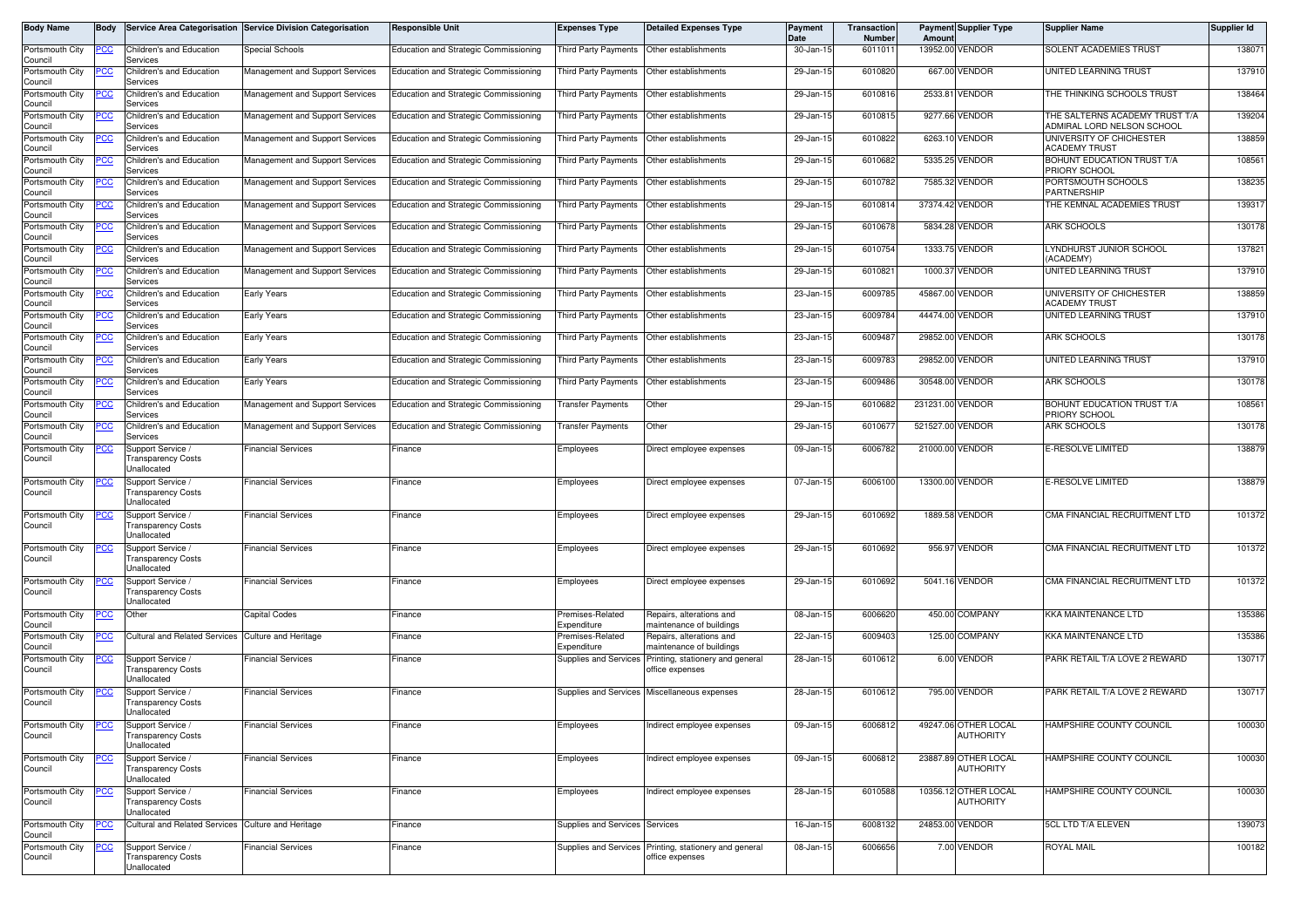| Body Name                  | Body       |                                                               | Service Area Categorisation Service Division Categorisation | <b>Responsible Unit</b>                      | <b>Expenses Type</b>            | <b>Detailed Expenses Type</b>                        | <b>Payment</b><br>Date | <b>Transaction</b><br><b>Number</b> | Amoun            | <b>Payment Supplier Type</b>             | <b>Supplier Name</b>                                         | Supplier Id |
|----------------------------|------------|---------------------------------------------------------------|-------------------------------------------------------------|----------------------------------------------|---------------------------------|------------------------------------------------------|------------------------|-------------------------------------|------------------|------------------------------------------|--------------------------------------------------------------|-------------|
| Portsmouth City<br>Council | PCC        | Children's and Education<br>Services                          | Special Schools                                             | Education and Strategic Commissioning        | Third Party Payments            | Other establishments                                 | 30-Jan-15              | 6011011                             |                  | 13952.00 VENDOR                          | SOLENT ACADEMIES TRUST                                       | 138071      |
| Portsmouth City<br>Council |            | Children's and Education<br>Services                          | Management and Support Services                             | Education and Strategic Commissioning        |                                 | Third Party Payments Other establishments            | 29-Jan-15              | 6010820                             |                  | 667.00 VENDOR                            | UNITED LEARNING TRUST                                        | 137910      |
| Portsmouth City<br>Council |            | Children's and Education<br>Services                          | Management and Support Services                             | Education and Strategic Commissioning        | Third Party Payments            | Other establishments                                 | 29-Jan-15              | 6010816                             |                  | 2533.81 VENDOR                           | THE THINKING SCHOOLS TRUST                                   | 138464      |
| Portsmouth City<br>Council |            | Children's and Education<br>Services                          | Management and Support Services                             | <b>Education and Strategic Commissioning</b> | Third Party Payments            | Other establishments                                 | 29-Jan-15              | 601081                              |                  | 9277.66 VENDOR                           | THE SALTERNS ACADEMY TRUST T/A<br>ADMIRAL LORD NELSON SCHOOL | 139204      |
| Portsmouth City<br>Council | °СС        | Children's and Education<br>Services                          | Management and Support Services                             | <b>Education and Strategic Commissioning</b> | <b>Third Party Payments</b>     | Other establishments                                 | 29-Jan-15              | 6010822                             |                  | 6263.10 VENDOR                           | UNIVERSITY OF CHICHESTER<br><b>ACADEMY TRUST</b>             | 138859      |
| Portsmouth City<br>Council |            | Children's and Education<br>Services                          | Management and Support Services                             | Education and Strategic Commissioning        | <b>Third Party Payments</b>     | Other establishments                                 | 29-Jan-15              | 6010682                             | 5335.25          | <b>VENDOR</b>                            | BOHUNT EDUCATION TRUST T/A<br>PRIORY SCHOOL                  | 108561      |
| Portsmouth City<br>Council | 'СС        | Children's and Education<br>Services                          | Management and Support Services                             | Education and Strategic Commissioning        | Third Party Payments            | Other establishments                                 | 29-Jan-15              | 6010782                             |                  | 7585.32 VENDOR                           | PORTSMOUTH SCHOOLS<br><b>PARTNERSHIP</b>                     | 138235      |
| Portsmouth City<br>Council | CC         | Children's and Education<br>Services                          | Management and Support Services                             | <b>Education and Strategic Commissioning</b> | <b>Third Party Payments</b>     | Other establishments                                 | 29-Jan-15              | 601081                              |                  | 37374.42 VENDOR                          | THE KEMNAL ACADEMIES TRUST                                   | 139317      |
| Portsmouth City<br>Council |            | Children's and Education<br>Services                          | Management and Support Services                             | Education and Strategic Commissioning        | <b>Third Party Payments</b>     | Other establishments                                 | 29-Jan-15              | 6010678                             |                  | 5834.28 VENDOR                           | ARK SCHOOLS                                                  | 130178      |
| Portsmouth City<br>Council |            | Children's and Education<br>Services                          | Management and Support Services                             | Education and Strategic Commissioning        | Third Party Payments            | Other establishments                                 | 29-Jan-15              | 6010754                             |                  | 1333.75 VENDOR                           | LYNDHURST JUNIOR SCHOOL<br>(ACADEMY)                         | 137821      |
| Portsmouth City<br>Council | cс         | Children's and Education<br>Services                          | Management and Support Services                             | <b>Education and Strategic Commissioning</b> | Third Party Payments            | Other establishments                                 | 29-Jan-15              | 6010821                             |                  | 1000.37 VENDOR                           | UNITED LEARNING TRUST                                        | 137910      |
| Portsmouth City<br>Council |            | Children's and Education<br>Services                          | Early Years                                                 | Education and Strategic Commissioning        | Third Party Payments            | Other establishments                                 | 23-Jan-15              | 6009785                             |                  | 45867.00 VENDOR                          | UNIVERSITY OF CHICHESTER<br><b>ACADEMY TRUST</b>             | 138859      |
| Portsmouth City<br>Council |            | Children's and Education<br>Services                          | Early Years                                                 | Education and Strategic Commissioning        | <b>Third Party Payments</b>     | Other establishments                                 | 23-Jan-15              | 6009784                             |                  | 44474.00 VENDOR                          | UNITED LEARNING TRUST                                        | 137910      |
| Portsmouth City<br>Council |            | Children's and Education<br>Services                          | Early Years                                                 | <b>Education and Strategic Commissioning</b> | Third Party Payments            | Other establishments                                 | 23-Jan-15              | 600948                              |                  | 29852.00 VENDOR                          | <b>ARK SCHOOLS</b>                                           | 130178      |
| Portsmouth City<br>Council | טטי        | Children's and Education<br>Services                          | Early Years                                                 | Education and Strategic Commissioning        | Third Party Payments            | Other establishments                                 | 23-Jan-15              | 6009783                             |                  | 29852.00 VENDOR                          | UNITED LEARNING TRUST                                        | 137910      |
| Portsmouth City<br>Council |            | Children's and Education<br>Services                          | Early Years                                                 | <b>Education and Strategic Commissioning</b> | <b>Third Party Payments</b>     | Other establishments                                 | 23-Jan-15              | 6009486                             |                  | 30548.00 VENDOR                          | <b>ARK SCHOOLS</b>                                           | 130178      |
| Portsmouth City<br>Council |            | Children's and Education<br>Services                          | Management and Support Services                             | Education and Strategic Commissioning        | ransfer Payments                | Other                                                | 29-Jan-1               | 6010682                             | 231231.00 VENDOR |                                          | BOHUNT EDUCATION TRUST T/A<br>PRIORY SCHOOL                  | 108561      |
| Portsmouth City<br>Council |            | Children's and Education<br>Services                          | Management and Support Services                             | <b>Education and Strategic Commissioning</b> | <b>Transfer Payments</b>        | Other                                                | 29-Jan-15              | 601067                              | 521527.00 VENDOR |                                          | ARK SCHOOLS                                                  | 130178      |
| Portsmouth City<br>Council |            | Support Service /<br>ransparency Costs<br>Unallocated         | Financial Services                                          | Finance                                      | Employees                       | Direct employee expenses                             | 09-Jan-1               | 6006782                             | 21000.00 VENDOR  |                                          | <b>E-RESOLVE LIMITED</b>                                     | 138879      |
| Portsmouth City<br>Council |            | Support Service /<br>Transparency Costs<br>Jnallocated        | <b>Financial Services</b>                                   | Finance                                      | Employees                       | Direct employee expenses                             | 07-Jan-15              | 6006100                             |                  | 13300.00 VENDOR                          | E-RESOLVE LIMITED                                            | 138879      |
| Portsmouth City<br>Council | °СС        | Support Service /<br>ransparency Costs<br>Unallocated         | Financial Services                                          | -inance                                      | Employees                       | Direct employee expenses                             | 29-Jan-15              | 6010692                             |                  | 1889.58 VENDOR                           | CMA FINANCIAL RECRUITMENT LTD                                | 101372      |
| Portsmouth City<br>Council |            | Support Service /<br><b>Transparency Costs</b><br>Jnallocated | <b>Financial Services</b>                                   | <sup>=</sup> inance                          | Employees                       | Direct employee expenses                             | 29-Jan-15              | 6010692                             |                  | 956.97 VENDOR                            | CMA FINANCIAL RECRUITMENT LTD                                | 101372      |
| Portsmouth City<br>Council |            | Support Service /<br>ransparency Costs<br>Jnallocated         | <b>Financial Services</b>                                   | Finance                                      | Employees                       | Direct employee expenses                             | 29-Jan-15              | 6010692                             |                  | 5041.16 VENDOR                           | CMA FINANCIAL RECRUITMENT LTD                                | 101372      |
| Portsmouth City<br>Council |            | Other                                                         | Capital Codes                                               | Finance                                      | Premises-Related<br>Expenditure | Repairs, alterations and<br>naintenance of buildings | 08-Jan-15              | 6006620                             |                  | 450.00 COMPANY                           | KKA MAINTENANCE LTD                                          | 135386      |
| Portsmouth City<br>Council | <u>PCC</u> | <b>Cultural and Related Services</b>                          | <b>Culture and Heritage</b>                                 | -inance                                      | Premises-Related<br>Expenditure | Repairs, alterations and<br>naintenance of buildings | 22-Jan-15              | 6009403                             |                  | 125.00 COMPANY                           | <b>KKA MAINTENANCE LTD</b>                                   | 135386      |
| Portsmouth City<br>Council | <u>cc</u>  | Support Service /<br>ransparency Costs<br>Jnallocated         | Financial Services                                          | Finance                                      | <b>Supplies and Services</b>    | Printing, stationery and general<br>office expenses  | 28-Jan-15              | 6010612                             |                  | 6.00 VENDOR                              | PARK RETAIL T/A LOVE 2 REWARD                                | 130717      |
| Portsmouth City<br>Council | PCC        | Support Service /<br>ransparency Costs<br>Unallocated         | <b>Financial Services</b>                                   | <sup>=</sup> inance                          |                                 | Supplies and Services Miscellaneous expenses         | 28-Jan-15              | 6010612                             |                  | 795.00 VENDOR                            | PARK RETAIL T/A LOVE 2 REWARD                                | 130717      |
| Portsmouth City<br>Council |            | Support Service /<br><b>Transparency Costs</b><br>Unallocated | <b>Financial Services</b>                                   | Finance                                      | Employees                       | Indirect employee expenses                           | 09-Jan-15              | 6006812                             |                  | 49247.06 OTHER LOCAL<br><b>AUTHORITY</b> | HAMPSHIRE COUNTY COUNCIL                                     | 100030      |
| Portsmouth City<br>Council |            | Support Service /<br>ransparency Costs<br>Jnallocated         | <b>Financial Services</b>                                   | Finance                                      | Employees                       | Indirect employee expenses                           | 09-Jan-15              | 6006812                             |                  | 23887.89 OTHER LOCAL<br>AUTHORITY        | HAMPSHIRE COUNTY COUNCIL                                     | 100030      |
| Portsmouth City<br>Council |            | Support Service /<br><b>Transparency Costs</b><br>Unallocated | <b>Financial Services</b>                                   | Finance                                      | Employees                       | Indirect employee expenses                           | 28-Jan-15              | 6010588                             |                  | 10356.12 OTHER LOCAL<br>AUTHORITY        | HAMPSHIRE COUNTY COUNCIL                                     | 100030      |
| Portsmouth City<br>Council |            | Cultural and Related Services Culture and Heritage            |                                                             | Finance                                      | Supplies and Services Services  |                                                      | 16-Jan-15              | 6008132                             |                  | 24853.00 VENDOR                          | 5CL LTD T/A ELEVEN                                           | 139073      |
| Portsmouth City<br>Council |            | Support Service /<br><b>Transparency Costs</b><br>Unallocated | <b>Financial Services</b>                                   | Finance                                      | <b>Supplies and Services</b>    | Printing, stationery and general<br>office expenses  | 08-Jan-15              | 6006656                             |                  | 7.00 VENDOR                              | <b>ROYAL MAIL</b>                                            | 100182      |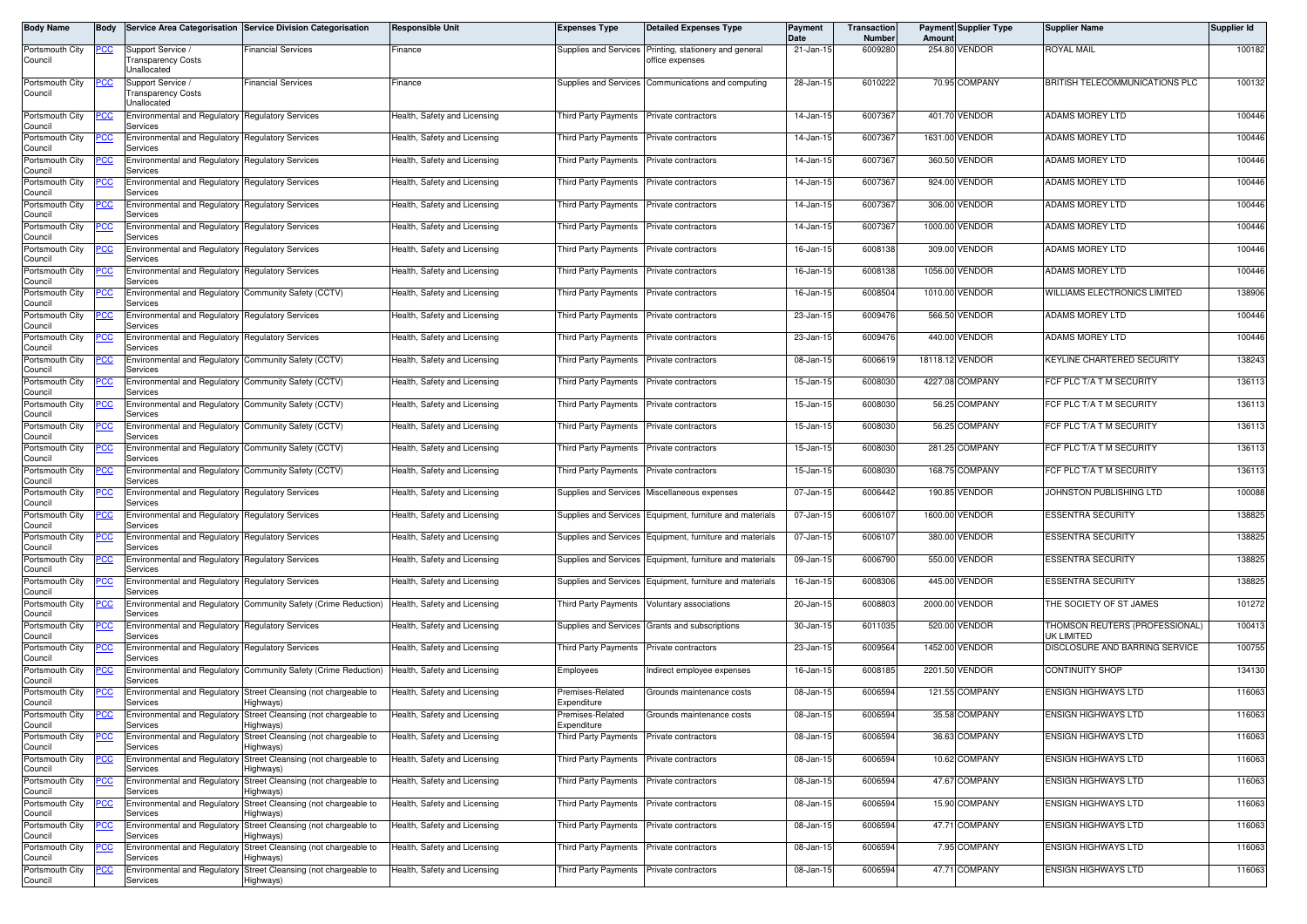| Body Name                  | <b>IBodv</b> |                                                                     | Service Area Categorisation Service Division Categorisation                   | <b>Responsible Unit</b>      | <b>Expenses Type</b>                     | <b>Detailed Expenses Type</b>                            | Payment<br><b>Date</b> | Transaction<br><b>Number</b> | Amount          | <b>Payment Supplier Type</b> | <b>Supplier Name</b>                         | <b>Supplier Id</b> |
|----------------------------|--------------|---------------------------------------------------------------------|-------------------------------------------------------------------------------|------------------------------|------------------------------------------|----------------------------------------------------------|------------------------|------------------------------|-----------------|------------------------------|----------------------------------------------|--------------------|
| Portsmouth City<br>Council | <u>PCC</u>   | Support Service<br>Transparency Costs<br>Unallocated                | Financial Services                                                            | Finance                      | Supplies and Services                    | Printing, stationery and general<br>office expenses      | 21-Jan-15              | 6009280                      |                 | 254.80 VENDOR                | royal Mail                                   | 100182             |
| Portsmouth City<br>Council |              | Support Service<br>Transparency Costs<br>Unallocated                | inancial Services                                                             | Finance                      | Supplies and Services                    | Communications and computing                             | 28-Jan-15              | 6010222                      |                 | 70.95 COMPANY                | BRITISH TELECOMMUNICATIONS PLC               | 100132             |
| Portsmouth City<br>Council |              | Environmental and Regulatory Regulatory Services<br>Services        |                                                                               | Health, Safety and Licensing | Third Party Payments                     | Private contractors                                      | 14-Jan-15              | 6007367                      |                 | 401.70 VENDOR                | ADAMS MOREY LTD                              | 100446             |
| Portsmouth City<br>Council | CC           | Environmental and Regulatory<br>Services                            | <b>Regulatory Services</b>                                                    | Health, Safety and Licensing | <b>Third Party Payments</b>              | Private contractors                                      | 14-Jan-15              | 6007367                      |                 | 1631.00 VENDOR               | ADAMS MOREY LTD                              | 100446             |
| Portsmouth City<br>Council | 'CC          | Environmental and Regulatory<br>Services                            | <b>Regulatory Services</b>                                                    | Health, Safety and Licensing | Third Party Payments                     | Private contractors                                      | 14-Jan-15              | 6007367                      |                 | 360.50 VENDOR                | <b>ADAMS MOREY LTD</b>                       | 100446             |
| Portsmouth City<br>Council |              | Environmental and Regulatory Regulatory Services<br>Services        |                                                                               | Health, Safety and Licensing | Third Party Payments                     | Private contractors                                      | 14-Jan-15              | 6007367                      |                 | 924.00 VENDOR                | ADAMS MOREY LTD                              | 100446             |
| Portsmouth City<br>Council |              | <b>Environmental and Regulatory Regulatory Services</b><br>Services |                                                                               | Health, Safety and Licensing | Third Party Payments                     | Private contractors                                      | 14-Jan-15              | 6007367                      |                 | 306.00 VENDOR                | ADAMS MOREY LTD                              | 100446             |
| Portsmouth City<br>Council | cс           | Environmental and Regulatory Regulatory Services<br>Services        |                                                                               | Health, Safety and Licensing | <b>Third Party Payments</b>              | Private contractors                                      | 14-Jan-15              | 6007367                      |                 | 1000.00 VENDOR               | <b>ADAMS MOREY LTD</b>                       | 100446             |
| Portsmouth City<br>Council |              | Environmental and Regulatory<br>Services                            | <b>Regulatory Services</b>                                                    | Health, Safety and Licensing | Third Party Payments                     | Private contractors                                      | 16-Jan-15              | 6008138                      |                 | 309.00 VENDOR                | ADAMS MOREY LTD                              | 100446             |
| Portsmouth City<br>Council |              | Environmental and Regulatory<br>Services                            | <b>Regulatory Services</b>                                                    | Health, Safety and Licensing | <b>Third Party Payments</b>              | Private contractors                                      | 16-Jan-15              | 6008138                      |                 | 1056.00 VENDOR               | <b>ADAMS MOREY LTD</b>                       | 100446             |
| Portsmouth City<br>Council |              | Environmental and Regulatory Community Safety (CCTV)<br>Services    |                                                                               | Health, Safety and Licensing | Third Party Payments                     | Private contractors                                      | 16-Jan-15              | 6008504                      |                 | 1010.00 VENDOR               | WILLIAMS ELECTRONICS LIMITED                 | 138906             |
| Portsmouth City<br>Council | cс           | Environmental and Regulatory<br>Services                            | <b>Regulatory Services</b>                                                    | Health, Safety and Licensing | <b>Third Party Payments</b>              | Private contractors                                      | 23-Jan-15              | 6009476                      |                 | 566.50 VENDOR                | <b>ADAMS MOREY LTD</b>                       | 100446             |
| Portsmouth City<br>Council | CС           | Environmental and Regulatory<br>Services                            | <b>Regulatory Services</b>                                                    | Health, Safety and Licensing | Third Party Payments                     | Private contractors                                      | 23-Jan-15              | 6009476                      |                 | 440.00 VENDOR                | ADAMS MOREY LTD                              | 100446             |
| Portsmouth City<br>Council |              | Environmental and Regulatory Community Safety (CCTV)<br>Services    |                                                                               | Health, Safety and Licensing | Third Party Payments                     | Private contractors                                      | 08-Jan-15              | 6006619                      | 18118.12 VENDOR |                              | KEYLINE CHARTERED SECURITY                   | 138243             |
| Portsmouth City<br>Council | cс           | Environmental and Regulatory Community Safety (CCTV)<br>Services    |                                                                               | Health, Safety and Licensing | Third Party Payments                     | Private contractors                                      | 15-Jan-15              | 6008030                      |                 | 4227.08 COMPANY              | FCF PLC T/A T M SECURITY                     | 136113             |
| Portsmouth City<br>Council |              | Environmental and Regulatory Community Safety (CCTV)<br>Services    |                                                                               | Health, Safety and Licensing | <b>Third Party Payments</b>              | Private contractors                                      | 15-Jan-15              | 6008030                      |                 | 56.25 COMPANY                | FCF PLC T/A T M SECURITY                     | 136113             |
| Portsmouth City<br>Council |              | Environmental and Regulatory Community Safety (CCTV)<br>Services    |                                                                               | Health, Safety and Licensing | Third Party Payments                     | Private contractors                                      | 15-Jan-15              | 6008030                      |                 | 56.25 COMPANY                | FCF PLC T/A T M SECURITY                     | 136113             |
| Portsmouth City<br>Council | 'CC          | Environmental and Regulatory Community Safety (CCTV)<br>Services    |                                                                               | Health, Safety and Licensing | Third Party Payments                     | Private contractors                                      | 15-Jan-15              | 6008030                      |                 | 281.25 COMPANY               | FCF PLC T/A T M SECURITY                     | 136113             |
| Portsmouth City<br>Council |              | Environmental and Regulatory Community Safety (CCTV)<br>Services    |                                                                               | Health, Safety and Licensing | Third Party Payments                     | Private contractors                                      | 15-Jan-15              | 6008030                      |                 | 168.75 COMPANY               | FCF PLC T/A T M SECURITY                     | 136113             |
| Portsmouth City<br>Council |              | Environmental and Regulatory<br>Services                            | <b>Regulatory Services</b>                                                    | Health, Safety and Licensing | Supplies and Services                    | Miscellaneous expenses                                   | 07-Jan-15              | 6006442                      |                 | 190.85 VENDOR                | JOHNSTON PUBLISHING LTD                      | 100088             |
| Portsmouth City<br>Council | сc           | Environmental and Regulatory<br>Services                            | <b>Regulatory Services</b>                                                    | Health, Safety and Licensing |                                          | Supplies and Services Equipment, furniture and materials | 07-Jan-15              | 6006107                      |                 | 1600.00 VENDOR               | <b>ESSENTRA SECURITY</b>                     | 138825             |
| Portsmouth City<br>Council |              | Environmental and Regulatory Regulatory Services<br>Services        |                                                                               | Health, Safety and Licensing | Supplies and Services                    | Equipment, furniture and materials                       | 07-Jan-15              | 6006107                      |                 | 380.00 VENDOR                | <b>ESSENTRA SECURITY</b>                     | 138825             |
| Portsmouth City<br>Council |              | Environmental and Regulatory Regulatory Services<br>Services        |                                                                               | Health, Safety and Licensing | Supplies and Services                    | Equipment, furniture and materials                       | 09-Jan-15              | 6006790                      |                 | 550.00 VENDOR                | <b>ESSENTRA SECURITY</b>                     | 138825             |
| Portsmouth City<br>Council | cс           | Environmental and Regulatory Regulatory Services<br>Services        |                                                                               | Health, Safety and Licensing | Supplies and Services                    | Equipment, furniture and materials                       | 16-Jan-15              | 6008306                      |                 | 445.00 VENDOR                | <b>ESSENTRA SECURITY</b>                     | 138825             |
| Portsmouth City<br>Council | CС           | Environmental and Regulatory<br>Services                            | Community Safety (Crime Reduction)                                            | Health, Safety and Licensing | Third Party Payments                     | Voluntary associations                                   | 20-Jan-15              | 6008803                      |                 | 2000.00 VENDOR               | THE SOCIETY OF ST JAMES                      | 101272             |
| Portsmouth City<br>Council |              | Environmental and Regulatory Regulatory Services<br>Services        |                                                                               | Health, Safety and Licensing | Supplies and Services                    | Grants and subscriptions                                 | 30-Jan-15              | 6011035                      | 520.00          | VENDOR                       | THOMSON REUTERS (PROFESSIONAL)<br>UK LIMITED | 100413             |
| Portsmouth City<br>Council |              | Environmental and Regulatory Regulatory Services<br>Services        |                                                                               | Health. Safety and Licensing | Third Party Payments                     | Private contractors                                      | 23-Jan-15              | 6009564                      |                 | 1452.00 VENDOR               | DISCLOSURE AND BARRING SERVICE               | 100755             |
| Portsmouth City<br>Council | °СС          | Services                                                            | Environmental and Regulatory Community Safety (Crime Reduction)               | Health, Safety and Licensing | Employees                                | ndirect employee expenses                                | 16-Jan-15              | 6008185                      |                 | 2201.50 VENDOR               | <b>CONTINUITY SHOP</b>                       | 134130             |
| Portsmouth City<br>Council |              | <b>Environmental and Regulatory</b><br>Services                     | Street Cleansing (not chargeable to<br>Highways)                              | Health, Safety and Licensing | Premises-Related<br>Expenditure          | Grounds maintenance costs                                | 08-Jan-15              | 6006594                      |                 | 121.55 COMPANY               | <b>ENSIGN HIGHWAYS LTD</b>                   | 116063             |
| Portsmouth City<br>Council | PСC          | Services                                                            | Environmental and Regulatory Street Cleansing (not chargeable to<br>Highways) | Health, Safety and Licensing | Premises-Related<br>Expenditure          | Grounds maintenance costs                                | 08-Jan-15              | 6006594                      |                 | 35.58 COMPANY                | <b>ENSIGN HIGHWAYS LTD</b>                   | 116063             |
| Portsmouth City<br>Council | <u>CC</u>    | Services                                                            | Environmental and Regulatory Street Cleansing (not chargeable to<br>Highways) | Health, Safety and Licensing | Third Party Payments Private contractors |                                                          | 08-Jan-15              | 6006594                      |                 | 36.63 COMPANY                | ENSIGN HIGHWAYS LTD                          | 116063             |
| Portsmouth City<br>Council |              | Services                                                            | Environmental and Regulatory Street Cleansing (not chargeable to<br>lighways) | Health, Safety and Licensing | Third Party Payments Private contractors |                                                          | 08-Jan-15              | 6006594                      |                 | 10.62 COMPANY                | <b>ENSIGN HIGHWAYS LTD</b>                   | 116063             |
| Portsmouth City<br>Council |              | Environmental and Regulatory<br>Services                            | Street Cleansing (not chargeable to<br>Highways)                              | Health, Safety and Licensing | <b>Third Party Payments</b>              | Private contractors                                      | 08-Jan-15              | 6006594                      |                 | 47.67 COMPANY                | <b>ENSIGN HIGHWAYS LTD</b>                   | 116063             |
| Portsmouth City<br>Council | 'CC          | Environmental and Regulatory<br>Services                            | Street Cleansing (not chargeable to<br>Highways)                              | Health, Safety and Licensing | Third Party Payments Private contractors |                                                          | 08-Jan-15              | 6006594                      |                 | 15.90 COMPANY                | ENSIGN HIGHWAYS LTD                          | 116063             |
| Portsmouth City<br>Council |              | <b>Environmental and Regulatory</b><br>Services                     | Street Cleansing (not chargeable to<br>Highways)                              | Health, Safety and Licensing | Third Party Payments Private contractors |                                                          | 08-Jan-15              | 6006594                      |                 | 47.71 COMPANY                | ENSIGN HIGHWAYS LTD                          | 116063             |
| Portsmouth City<br>Council |              | Environmental and Regulatory<br>Services                            | Street Cleansing (not chargeable to<br>Highways)                              | Health, Safety and Licensing | Third Party Payments                     | Private contractors                                      | 08-Jan-15              | 6006594                      |                 | 7.95 COMPANY                 | ENSIGN HIGHWAYS LTD                          | 116063             |
| Portsmouth City<br>Council | cс           | <b>Environmental and Regulatory</b><br>Services                     | Street Cleansing (not chargeable to<br>Highways)                              | Health, Safety and Licensing | Third Party Payments                     | Private contractors                                      | 08-Jan-15              | 6006594                      |                 | 47.71 COMPANY                | <b>ENSIGN HIGHWAYS LTD</b>                   | 116063             |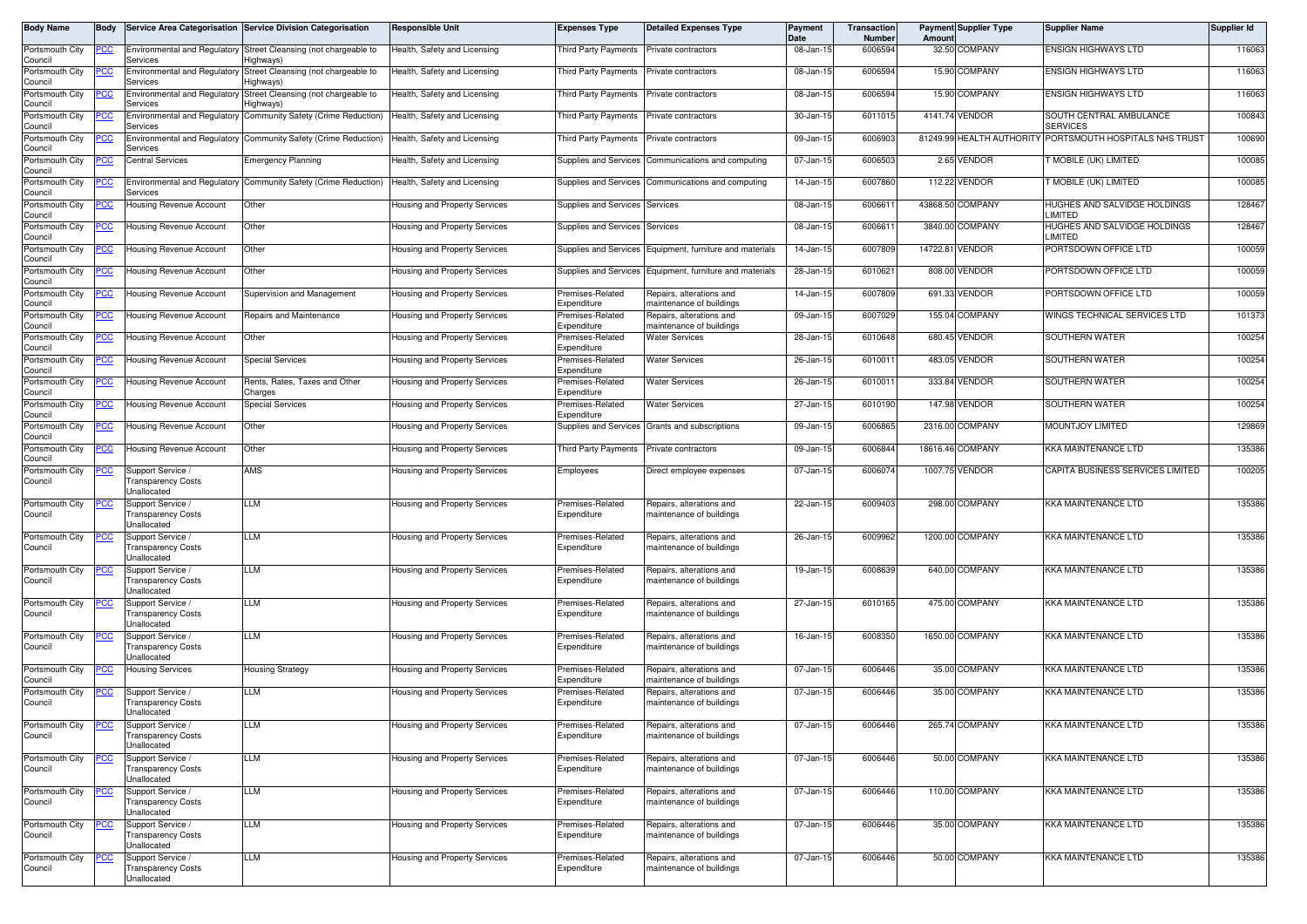| <b>Body Name</b>                      | Body        |                                                               | Service Area Categorisation Service Division Categorisation                   | <b>Responsible Unit</b>              | <b>Expenses Type</b>                     | <b>Detailed Expenses Type</b>                            | Payment<br>Date | Transaction<br>Number | Amount | <b>Payment Supplier Type</b> | <b>Supplier Name</b>                              | Supplier Id |
|---------------------------------------|-------------|---------------------------------------------------------------|-------------------------------------------------------------------------------|--------------------------------------|------------------------------------------|----------------------------------------------------------|-----------------|-----------------------|--------|------------------------------|---------------------------------------------------|-------------|
| Portsmouth City<br>Council            |             | Services                                                      | Environmental and Regulatory Street Cleansing (not chargeable to<br>Highways) | Health, Safety and Licensing         | Third Party Payments                     | Private contractors                                      | 08-Jan-15       | 6006594               | 32.50  | <b>COMPANY</b>               | <b>ENSIGN HIGHWAYS LTD</b>                        | 116063      |
| Portsmouth City<br>Council            | PCC         | Environmental and Regulatory<br>Services                      | Street Cleansing (not chargeable to<br>lighways)                              | Health, Safety and Licensing         | Third Party Payments Private contractors |                                                          | 08-Jan-15       | 6006594               |        | 15.90 COMPANY                | <b>ENSIGN HIGHWAYS LTD</b>                        | 116063      |
| Portsmouth City                       |             | <b>Environmental and Regulatory</b><br>Services               | Street Cleansing (not chargeable to                                           | Health, Safety and Licensing         | Third Party Payments                     | Private contractors                                      | 08-Jan-1        | 6006594               |        | 15.90 COMPANY                | <b>ENSIGN HIGHWAYS LTD</b>                        | 116063      |
| Council<br>Portsmouth City            | <u>cc</u>   |                                                               | Highways)<br>Environmental and Regulatory Community Safety (Crime Reduction)  | Health, Safety and Licensing         | Third Party Payments                     | Private contractors                                      | 30-Jan-15       | 6011015               |        | 4141.74 VENDOR               | SOUTH CENTRAL AMBULANCE                           | 100843      |
| Council<br>Portsmouth City            | <u>cc</u>   | Services                                                      | Environmental and Regulatory Community Safety (Crime Reduction)               | Health, Safety and Licensing         | Third Party Payments                     | Private contractors                                      | 09-Jan-1        | 6006903               |        | 81249.99 HEALTH AUTHORITY    | <b>SERVICES</b><br>PORTSMOUTH HOSPITALS NHS TRUST | 100690      |
| Council<br>Portsmouth City            | <u>PCC</u>  | Services<br><b>Central Services</b>                           | <b>Emergency Planning</b>                                                     | Health, Safety and Licensing         | Supplies and Services                    | Communications and computing                             | 07-Jan-15       | 6006503               |        | 2.65 VENDOR                  | T MOBILE (UK) LIMITED                             | 100085      |
| Council<br>Portsmouth City<br>Council | <u>cc</u>   | Services                                                      | Environmental and Regulatory Community Safety (Crime Reduction)               | Health, Safety and Licensing         |                                          | Supplies and Services Communications and computing       | 14-Jan-15       | 6007860               |        | 112.22 VENDOR                | T MOBILE (UK) LIMITED                             | 100085      |
| Portsmouth City<br>Council            | <u>CC</u>   | Housing Revenue Account                                       | Other                                                                         | <b>Housing and Property Services</b> | Supplies and Services Services           |                                                          | 08-Jan-15       | 600661                |        | 43868.50 COMPANY             | HUGHES AND SALVIDGE HOLDINGS<br>LIMITED           | 128467      |
| Portsmouth City<br>Council            | <u>cc</u>   | Housing Revenue Account                                       | Other                                                                         | Housing and Property Services        | Supplies and Services                    | Services                                                 | 08-Jan-15       | 600661                |        | 3840.00 COMPANY              | HUGHES AND SALVIDGE HOLDINGS<br>LIMITED           | 128467      |
| Portsmouth City<br>Council            | <u>cc</u>   | Housing Revenue Account                                       | Other                                                                         | Housing and Property Services        | Supplies and Services                    | Equipment, furniture and materials                       | 14-Jan-15       | 6007809               |        | 14722.81 VENDOR              | PORTSDOWN OFFICE LTD                              | 100059      |
| Portsmouth City<br>Council            | <u>'CC </u> | <b>Housing Revenue Account</b>                                | Other                                                                         | Housing and Property Services        |                                          | Supplies and Services Equipment, furniture and materials | 28-Jan-15       | 6010621               | 808.00 | <b>VENDOR</b>                | PORTSDOWN OFFICE LTD                              | 100059      |
| Portsmouth City<br>Council            | <u>PCC</u>  | Housing Revenue Account                                       | Supervision and Management                                                    | Housing and Property Services        | Premises-Related<br>Expenditure          | Repairs, alterations and<br>maintenance of buildings     | 14-Jan-15       | 6007809               |        | 691.33 VENDOR                | PORTSDOWN OFFICE LTD                              | 100059      |
| Portsmouth City<br>Council            | <u>PCC</u>  | Housing Revenue Account                                       | Repairs and Maintenance                                                       | Housing and Property Services        | Premises-Related<br>Expenditure          | Repairs, alterations and<br>maintenance of buildings     | 09-Jan-15       | 6007029               |        | 155.04 COMPANY               | WINGS TECHNICAL SERVICES LTD                      | 101373      |
| Portsmouth City<br>Council            | <u>'СС</u>  | Housing Revenue Account                                       | Other                                                                         | Housing and Property Services        | Premises-Related<br>Expenditure          | <b>Water Services</b>                                    | 28-Jan-1        | 6010648               |        | 680.45 VENDOR                | SOUTHERN WATER                                    | 100254      |
| Portsmouth City<br>Council            | <u>CC</u>   | <b>Housing Revenue Account</b>                                | <b>Special Services</b>                                                       | <b>Housing and Property Services</b> | Premises-Related<br>Expenditure          | <b>Water Services</b>                                    | 26-Jan-15       | 601001                |        | 483.05 VENDOR                | SOUTHERN WATER                                    | 100254      |
| Portsmouth City<br>Council            | <u>CC</u>   | <b>Housing Revenue Account</b>                                | Rents, Rates, Taxes and Other<br>Charges                                      | Housing and Property Services        | Premises-Related<br>Expenditure          | <b>Water Services</b>                                    | 26-Jan-1        | 601001                |        | 333.84 VENDOR                | SOUTHERN WATER                                    | 100254      |
| Portsmouth City<br>Council            | <u>CC</u>   | <b>Housing Revenue Account</b>                                | <b>Special Services</b>                                                       | Housing and Property Services        | Premises-Related<br>Expenditure          | <b>Water Services</b>                                    | 27-Jan-15       | 6010190               |        | 147.98 VENDOR                | SOUTHERN WATER                                    | 100254      |
| Portsmouth City<br>Council            | <u>cc</u>   | Housing Revenue Account                                       | Other                                                                         | Housing and Property Services        | <b>Supplies and Services</b>             | Grants and subscriptions                                 | 09-Jan-15       | 6006865               |        | 2316.00 COMPANY              | <b>MOUNTJOY LIMITED</b>                           | 129869      |
| Portsmouth City<br>Council            | <u>PCC</u>  | <b>Housing Revenue Account</b>                                | Other                                                                         | <b>Housing and Property Services</b> | <b>Third Party Payments</b>              | Private contractors                                      | 09-Jan-15       | 6006844               |        | 18616.46 COMPANY             | KKA MAINTENANCE LTD                               | 135386      |
| Portsmouth City<br>Council            | <u>cc</u>   | Support Service<br>ransparency Costs<br>Jnallocated           | AMS                                                                           | Housing and Property Services        | Employees                                | Direct employee expenses                                 | 07-Jan-15       | 6006074               |        | 1007.75 VENDOR               | CAPITA BUSINESS SERVICES LIMITED                  | 100205      |
| Portsmouth City<br>Council            | <u>'CC</u>  | Support Service /<br>ransparency Costs<br>Jnallocated         | LLM                                                                           | Housing and Property Services        | Premises-Related<br>Expenditure          | Repairs, alterations and<br>maintenance of buildings     | 22-Jan-15       | 6009403               |        | 298.00 COMPANY               | KKA MAINTENANCE LTD                               | 135386      |
| Portsmouth City<br>Council            | <u>'CC</u>  | Support Service /<br>ransparency Costs<br>Unallocated         | LLM                                                                           | Housing and Property Services        | Premises-Related<br>Expenditure          | Repairs, alterations and<br>maintenance of buildings     | 26-Jan-15       | 6009962               |        | 1200.00 COMPANY              | KKA MAINTENANCE LTD                               | 135386      |
| Portsmouth City<br>Council            | <u>PCC</u>  | Support Service /<br><b>Transparency Costs</b><br>Jnallocated | LLM                                                                           | Housing and Property Services        | Premises-Related<br>Expenditure          | Repairs, alterations and<br>maintenance of buildings     | 19-Jan-1!       | 6008639               |        | 640.00 COMPANY               | <b>KKA MAINTENANCE LTD</b>                        | 135386      |
| Portsmouth City<br>Council            | <u>'СС</u>  | Support Service<br>Transparency Costs<br>Jnallocated          | LLM                                                                           | Housing and Property Services        | Premises-Related<br>Expenditure          | Repairs, alterations and<br>maintenance of buildings     | 27-Jan-15       | 6010165               |        | 475.00 COMPANY               | <b>KKA MAINTENANCE LTD</b>                        | 135386      |
| Portsmouth City<br>Council            | <u>cc</u>   | Support Service /<br>ransparency Costs<br>Jnallocated         | LLM                                                                           | Housing and Property Services        | Premises-Related<br>Expenditure          | Repairs, alterations and<br>maintenance of buildings     | 16-Jan-15       | 6008350               |        | 1650.00 COMPANY              | <b>KKA MAINTENANCE LTD</b>                        | 135386      |
| Portsmouth City<br>Council            | <u>PCC</u>  | <b>Housing Services</b>                                       | Housing Strategy                                                              | Housing and Property Services        | Premises-Related<br>Expenditure          | Repairs, alterations and<br>naintenance of buildings     | 07-Jan-15       | 6006446               |        | 35.00 COMPANY                | KKA MAINTENANCE LTD                               | 135386      |
| Portsmouth City<br>Council            | <u>сс</u>   | Support Service<br>Transparency Costs<br>Jnallocated          | <b>LLM</b>                                                                    | <b>Housing and Property Services</b> | Premises-Related<br>Expenditure          | Repairs, alterations and<br>maintenance of buildings     | 07-Jan-15       | 6006446               |        | 35.00 COMPANY                | <b>KKA MAINTENANCE LTD</b>                        | 135386      |
| Portsmouth City<br>Council            |             | Support Service /<br><b>Transparency Costs</b><br>Unallocated | LLM                                                                           | Housing and Property Services        | Premises-Related<br>Expenditure          | Repairs, alterations and<br>maintenance of buildings     | 07-Jan-15       | 6006446               |        | 265.74 COMPANY               | <b>KKA MAINTENANCE LTD</b>                        | 135386      |
| Portsmouth City<br>Council            | <u>PCC</u>  | Support Service /<br>ransparency Costs<br>Jnallocated         | LLM                                                                           | Housing and Property Services        | Premises-Related<br>Expenditure          | Repairs, alterations and<br>maintenance of buildings     | $07 - Jan - 15$ | 6006446               |        | 50.00 COMPANY                | <b>KKA MAINTENANCE LTD</b>                        | 135386      |
| Portsmouth City<br>Council            | <u>PCC</u>  | Support Service /<br>ransparency Costs<br>Unallocated         | LLM                                                                           | Housing and Property Services        | Premises-Related<br>Expenditure          | Repairs, alterations and<br>maintenance of buildings     | 07-Jan-15       | 6006446               |        | 110.00 COMPANY               | KKA MAINTENANCE LTD                               | 135386      |
| Portsmouth City<br>Council            | <u>CC</u>   | Support Service /<br>ransparency Costs<br>Unallocated         | LLM                                                                           | Housing and Property Services        | Premises-Related<br>Expenditure          | Repairs, alterations and<br>maintenance of buildings     | 07-Jan-15       | 6006446               |        | 35.00 COMPANY                | KKA MAINTENANCE LTD                               | 135386      |
| Portsmouth City<br>Council            | <u>'CC</u>  | Support Service /<br>ransparency Costs<br>Jnallocated         | LLM                                                                           | Housing and Property Services        | Premises-Related<br>Expenditure          | Repairs, alterations and<br>maintenance of buildings     | 07-Jan-15       | 6006446               |        | 50.00 COMPANY                | KKA MAINTENANCE LTD                               | 135386      |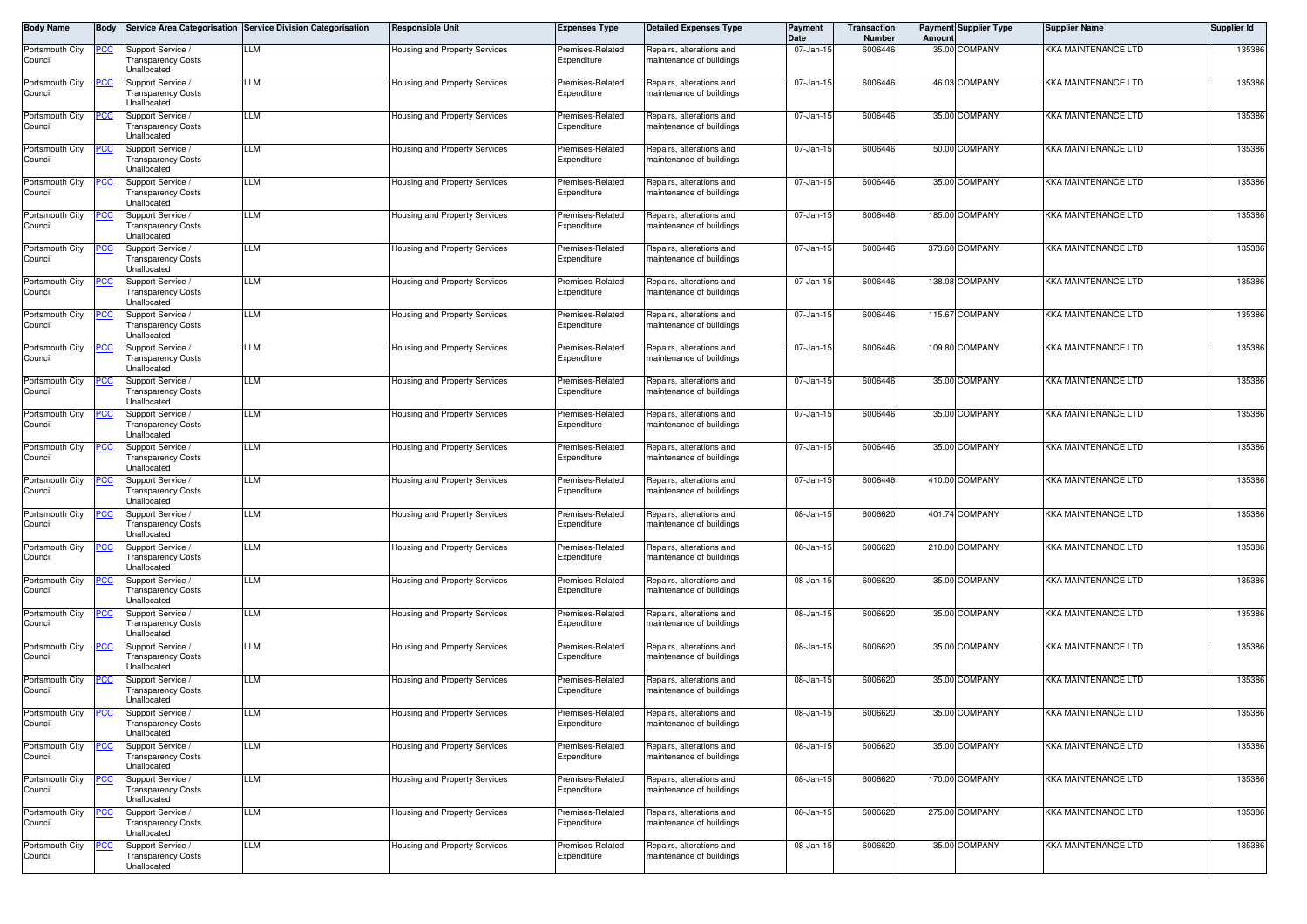| Body Name                  | Body        |                                                               | Service Area Categorisation Service Division Categorisation | <b>Responsible Unit</b>              | <b>Expenses Type</b>            | <b>Detailed Expenses Type</b>                        | Payment<br>Date | Transaction<br>Number | Amount | <b>Payment Supplier Type</b> | Supplier Name       | Supplier Id |
|----------------------------|-------------|---------------------------------------------------------------|-------------------------------------------------------------|--------------------------------------|---------------------------------|------------------------------------------------------|-----------------|-----------------------|--------|------------------------------|---------------------|-------------|
| Portsmouth City<br>Council | <u>PCC</u>  | Support Service<br><b>Transparency Costs</b><br>Unallocated   | LLM                                                         | Housing and Property Services        | Premises-Related<br>Expenditure | Repairs, alterations and<br>naintenance of buildings | 07-Jan-15       | 6006446               |        | 35.00 COMPANY                | KKA MAINTENANCE LTD | 135386      |
| Portsmouth City<br>Council | PCC         | Support Service<br><b>Transparency Costs</b><br>Unallocated   | LLM                                                         | Housing and Property Services        | Premises-Related<br>Expenditure | Repairs, alterations and<br>maintenance of buildings | 07-Jan-15       | 6006446               |        | 46.03 COMPANY                | KKA MAINTENANCE LTD | 135386      |
| Portsmouth City<br>Council |             | Support Service /<br>ransparency Costs<br>Jnallocated         | LLM                                                         | <b>Housing and Property Services</b> | Premises-Related<br>Expenditure | Repairs, alterations and<br>naintenance of buildings | 07-Jan-15       | 6006446               |        | 35.00 COMPANY                | KKA MAINTENANCE LTD | 135386      |
| Portsmouth City<br>Council | сc          | Support Service<br><b>Transparency Costs</b><br>Unallocated   | LLM                                                         | <b>Housing and Property Services</b> | Premises-Related<br>Expenditure | Repairs, alterations and<br>naintenance of buildings | 07-Jan-1        | 6006446               |        | 50.00 COMPANY                | KKA MAINTENANCE LTD | 135386      |
| Portsmouth City<br>Council | <u>PCC </u> | Support Service /<br>ransparency Costs<br>Jnallocated         | LLM                                                         | Housing and Property Services        | Premises-Related<br>Expenditure | Repairs, alterations and<br>naintenance of buildings | 07-Jan-15       | 6006446               |        | 35.00 COMPANY                | KKA MAINTENANCE LTD | 135386      |
| Portsmouth City<br>Council | 'CC         | Support Service /<br><b>Transparency Costs</b><br>Unallocated | LLM                                                         | Housing and Property Services        | Premises-Related<br>Expenditure | Repairs, alterations and<br>maintenance of buildings | 07-Jan-15       | 6006446               |        | 185.00 COMPANY               | KKA MAINTENANCE LTD | 135386      |
| Portsmouth City<br>Council |             | Support Service /<br>ransparency Costs<br>Jnallocated         | LLM                                                         | Housing and Property Services        | Premises-Related<br>Expenditure | Repairs, alterations and<br>naintenance of buildings | 07-Jan-15       | 6006446               |        | 373.60 COMPANY               | KKA MAINTENANCE LTD | 135386      |
| Portsmouth City<br>Council | 'CC         | Support Service /<br><b>Transparency Costs</b><br>Unallocated | LLM                                                         | Housing and Property Services        | Premises-Related<br>Expenditure | Repairs, alterations and<br>naintenance of buildings | 07-Jan-1        | 6006446               |        | 138.08 COMPANY               | KKA MAINTENANCE LTD | 135386      |
| Portsmouth City<br>Council |             | Support Service<br><b>Transparency Costs</b><br>Unallocated   | LLM                                                         | Housing and Property Services        | Premises-Related<br>Expenditure | Repairs, alterations and<br>naintenance of buildings | 07-Jan-15       | 6006446               |        | 115.67 COMPANY               | KKA MAINTENANCE LTD | 135386      |
| Portsmouth City<br>Council | PСC         | Support Service<br>ransparency Costs<br>Jnallocated           | LLM                                                         | Housing and Property Services        | Premises-Related<br>Expenditure | Repairs, alterations and<br>naintenance of buildings | 07-Jan-15       | 6006446               |        | 109.80 COMPANY               | KKA MAINTENANCE LTD | 135386      |
| Portsmouth City<br>Council |             | Support Service<br><b>Transparency Costs</b><br>Unallocated   | LLM                                                         | Housing and Property Services        | Premises-Related<br>Expenditure | Repairs, alterations and<br>maintenance of buildings | 07-Jan-15       | 6006446               |        | 35.00 COMPANY                | KKA MAINTENANCE LTD | 135386      |
| Portsmouth City<br>Council | сc          | Support Service /<br>ransparency Costs<br>Jnallocated         | LLM                                                         | Housing and Property Services        | Premises-Related<br>Expenditure | Repairs, alterations and<br>naintenance of buildings | 07-Jan-1        | 6006446               |        | 35.00 COMPANY                | KKA MAINTENANCE LTD | 135386      |
| Portsmouth City<br>Council | 'СC         | Support Service /<br><b>Transparency Costs</b><br>Unallocated | LLM                                                         | Housing and Property Services        | Premises-Related<br>Expenditure | Repairs, alterations and<br>naintenance of buildings | 07-Jan-1        | 6006446               |        | 35.00 COMPANY                | KKA MAINTENANCE LTD | 135386      |
| Portsmouth City<br>Council | ပင          | Support Service /<br>ransparency Costs<br>Unallocated         | LLM                                                         | Housing and Property Services        | Premises-Related<br>Expenditure | Repairs, alterations and<br>naintenance of buildings | 07-Jan-15       | 6006446               |        | 410.00 COMPANY               | KKA MAINTENANCE LTD | 135386      |
| Portsmouth City<br>Council |             | Support Service /<br><b>Transparency Costs</b><br>Unallocated | LM                                                          | Housing and Property Services        | Premises-Related<br>Expenditure | Repairs, alterations and<br>naintenance of buildings | 08-Jan-1        | 600662                |        | 401.74 COMPANY               | KKA MAINTENANCE LTD | 135386      |
| Portsmouth City<br>Council |             | Support Service /<br>Fransparency Costs<br>Unallocated        | LLM                                                         | Housing and Property Services        | Premises-Related<br>Expenditure | Repairs, alterations and<br>naintenance of buildings | 08-Jan-15       | 6006620               |        | 210.00 COMPANY               | KKA MAINTENANCE LTD | 135386      |
| Portsmouth City<br>Council | °СС         | Support Service /<br>ransparency Costs<br>Unallocated         | LLM                                                         | Housing and Property Services        | Premises-Related<br>Expenditure | Repairs, alterations and<br>naintenance of buildings | 08-Jan-1        | 600662                |        | 35.00 COMPANY                | KKA MAINTENANCE LTD | 135386      |
| Portsmouth City<br>Council |             | Support Service<br><b>Transparency Costs</b><br>Unallocated   | LLM                                                         | Housing and Property Services        | Premises-Related<br>Expenditure | Repairs, alterations and<br>maintenance of buildings | 08-Jan-15       | 6006620               |        | 35.00 COMPANY                | KKA MAINTENANCE LTD | 135386      |
| Portsmouth City<br>Council |             | Support Service /<br><b>Transparency Costs</b><br>Jnallocated | LLM                                                         | <b>Housing and Property Services</b> | Premises-Related<br>Expenditure | Repairs, alterations and<br>naintenance of buildings | 08-Jan-1        | 600662                |        | 35.00 COMPANY                | KKA MAINTENANCE LTD | 135386      |
| Portsmouth City<br>Council |             | Support Service<br><b>Transparency Costs</b><br>Unallocated   | LLM                                                         | Housing and Property Services        | Premises-Related<br>Expenditure | Repairs, alterations and<br>naintenance of buildings | 08-Jan-1        | 600662                |        | 35.00 COMPANY                | KKA MAINTENANCE LTD | 135386      |
| Portsmouth City<br>Council | <u>PCC</u>  | Support Service /<br>ransparency Costs<br>Unallocated         | LLM                                                         | Housing and Property Services        | Premises-Related<br>⊏xpenaπure  | Repairs, alterations and<br>iaintenance or buildings | 08-Jan-15       | 6006620               |        | 35.00 COMPANY                | KKA MAINTENANCE LTD | 135386      |
| Portsmouth City<br>Council | <u>PCC</u>  | Support Service /<br><b>Transparency Costs</b><br>Unallocated | LLM                                                         | Housing and Property Services        | Premises-Related<br>Expenditure | Repairs, alterations and<br>naintenance of buildings | 08-Jan-15       | 6006620               |        | 35.00 COMPANY                | KKA MAINTENANCE LTD | 135386      |
| Portsmouth City<br>Council |             | Support Service /<br><b>Transparency Costs</b><br>Unallocated | LLM                                                         | Housing and Property Services        | Premises-Related<br>Expenditure | Repairs, alterations and<br>maintenance of buildings | 08-Jan-15       | 6006620               |        | 170.00 COMPANY               | KKA MAINTENANCE LTD | 135386      |
| Portsmouth City<br>Council | <u>PCC</u>  | Support Service /<br><b>Transparency Costs</b><br>Unallocated | LLМ                                                         | <b>Housing and Property Services</b> | Premises-Related<br>Expenditure | Repairs, alterations and<br>maintenance of buildings | 08-Jan-15       | 6006620               |        | 275.00 COMPANY               | KKA MAINTENANCE LTD | 135386      |
| Portsmouth City<br>Council |             | Support Service /<br><b>Transparency Costs</b><br>Unallocated | LLМ                                                         | Housing and Property Services        | Premises-Related<br>Expenditure | Repairs, alterations and<br>maintenance of buildings | 08-Jan-15       | 6006620               |        | 35.00 COMPANY                | KKA MAINTENANCE LTD | 135386      |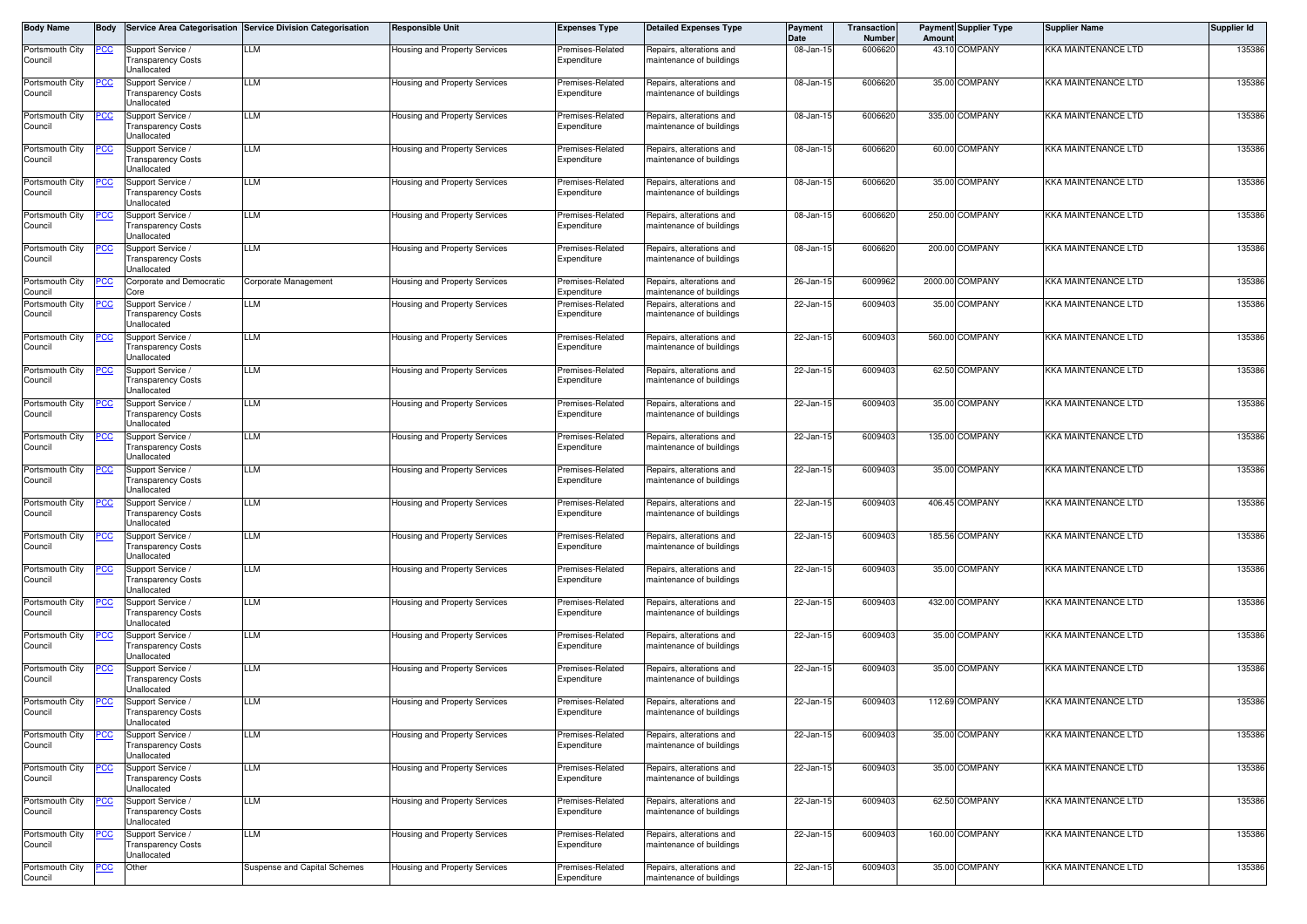| Body Name                  | <b>Body</b> |                                                               | Service Area Categorisation Service Division Categorisation | <b>Responsible Unit</b>              | <b>Expenses Type</b>            | Detailed Expenses Type                               | Payment<br>Date | Transaction<br>Number | Amount | <b>Payment Supplier Type</b> | Supplier Name       | Supplier Id |
|----------------------------|-------------|---------------------------------------------------------------|-------------------------------------------------------------|--------------------------------------|---------------------------------|------------------------------------------------------|-----------------|-----------------------|--------|------------------------------|---------------------|-------------|
| Portsmouth City<br>Council | <b>PCC</b>  | Support Service<br><b>Transparency Costs</b><br>Unallocated   | LLM                                                         | <b>Housing and Property Services</b> | Premises-Related<br>Expenditure | Repairs, alterations and<br>naintenance of buildings | 08-Jan-15       | 6006620               |        | 43.10 COMPANY                | KKA MAINTENANCE LTD | 135386      |
| Portsmouth City<br>Council | PСC         | Support Service<br><b>Transparency Costs</b><br>Unallocated   | LLM                                                         | <b>Housing and Property Services</b> | Premises-Related<br>Expenditure | Repairs, alterations and<br>maintenance of buildings | 08-Jan-15       | 6006620               |        | 35.00 COMPANY                | KKA MAINTENANCE LTD | 135386      |
| Portsmouth City<br>Council | <u> РСС</u> | Support Service<br>ransparency Costs<br>Jnallocated           | LLM                                                         | <b>Housing and Property Services</b> | Premises-Related<br>Expenditure | Repairs, alterations and<br>naintenance of buildings | 08-Jan-15       | 6006620               |        | 335.00 COMPANY               | KKA MAINTENANCE LTD | 135386      |
| Portsmouth City<br>Council | сc          | Support Service<br><b>Transparency Costs</b><br>Jnallocated   | LLM                                                         | <b>Housing and Property Services</b> | Premises-Related<br>Expenditure | Repairs, alterations and<br>naintenance of buildings | 08-Jan-1        | 600662                |        | 60.00 COMPANY                | KKA MAINTENANCE LTD | 135386      |
| Portsmouth City<br>Council | <u>PCC</u>  | Support Service /<br>ransparency Costs<br>Jnallocated         | LLM                                                         | Housing and Property Services        | Premises-Related<br>Expenditure | Repairs, alterations and<br>naintenance of buildings | 08-Jan-15       | 6006620               |        | 35.00 COMPANY                | KKA MAINTENANCE LTD | 135386      |
| Portsmouth City<br>Council | сc          | Support Service /<br><b>Transparency Costs</b><br>Unallocated | LLM                                                         | Housing and Property Services        | Premises-Related<br>Expenditure | Repairs, alterations and<br>naintenance of buildings | 08-Jan-1        | 600662                |        | 250.00 COMPANY               | KKA MAINTENANCE LTD | 135386      |
| Portsmouth City<br>Council | <u>cc</u>   | Support Service /<br>ransparency Costs<br>Jnallocated         | LLM                                                         | Housing and Property Services        | Premises-Related<br>Expenditure | Repairs, alterations and<br>naintenance of buildings | 08-Jan-15       | 6006620               |        | 200.00 COMPANY               | KKA MAINTENANCE LTD | 135386      |
| Portsmouth City<br>Council | CC          | Corporate and Democratic<br>Core                              | Corporate Management                                        | Housing and Property Services        | Premises-Related<br>Expenditure | Repairs, alterations and<br>naintenance of buildings | 26-Jan-1        | 6009962               |        | 2000.00 COMPANY              | KKA MAINTENANCE LTD | 135386      |
| Portsmouth City<br>Council | <u>PCC</u>  | Support Service /<br>ransparency Costs<br>Unallocated         | LLM                                                         | Housing and Property Services        | Premises-Related<br>Expenditure | Repairs, alterations and<br>naintenance of buildings | 22-Jan-15       | 6009403               |        | 35.00 COMPANY                | KKA MAINTENANCE LTD | 135386      |
| Portsmouth City<br>Council | ∍сс         | Support Service /<br><b>Transparency Costs</b><br>Unallocated | LLM                                                         | Housing and Property Services        | Premises-Related<br>Expenditure | Repairs, alterations and<br>maintenance of buildings | 22-Jan-1!       | 6009403               |        | 560.00 COMPANY               | KKA MAINTENANCE LTD | 135386      |
| Portsmouth City<br>Council | ငင          | Support Service /<br><b>Transparency Costs</b><br>Unallocated | LLM                                                         | Housing and Property Services        | Premises-Related<br>Expenditure | Repairs, alterations and<br>naintenance of buildings | 22-Jan-15       | 6009403               |        | 62.50 COMPANY                | KKA MAINTENANCE LTD | 135386      |
| Portsmouth City<br>Council | <b>PCC</b>  | Support Service /<br><b>Transparency Costs</b><br>Unallocated | LLM                                                         | Housing and Property Services        | Premises-Related<br>Expenditure | Repairs, alterations and<br>naintenance of buildings | 22-Jan-1!       | 600940                |        | 35.00 COMPANY                | KKA MAINTENANCE LTD | 135386      |
| Portsmouth City<br>Council | 'СС         | Support Service<br><b>Transparency Costs</b><br>Unallocated   | LLM                                                         | Housing and Property Services        | Premises-Related<br>Expenditure | Repairs, alterations and<br>maintenance of buildings | 22-Jan-15       | 6009403               |        | 135.00 COMPANY               | KKA MAINTENANCE LTD | 135386      |
| Portsmouth City<br>Council | <u>PCC</u>  | Support Service<br>ransparency Costs<br>Jnallocated           | LLM                                                         | Housing and Property Services        | Premises-Related<br>Expenditure | Repairs, alterations and<br>naintenance of buildings | 22-Jan-15       | 6009403               |        | 35.00 COMPANY                | KKA MAINTENANCE LTD | 135386      |
| Portsmouth City<br>Council | сc          | Support Service<br><b>Transparency Costs</b><br>Jnallocated   | LLM                                                         | <b>Housing and Property Services</b> | Premises-Related<br>Expenditure | Repairs, alterations and<br>naintenance of buildings | 22-Jan-1        | 6009403               |        | 406.45 COMPANY               | KKA MAINTENANCE LTD | 135386      |
| Portsmouth City<br>Council | <u>PCC</u>  | Support Service /<br>ransparency Costs<br>Jnallocated         | LLM                                                         | Housing and Property Services        | Premises-Related<br>Expenditure | Repairs, alterations and<br>naintenance of buildings | 22-Jan-15       | 6009403               |        | 185.56 COMPANY               | KKA MAINTENANCE LTD | 135386      |
| Portsmouth City<br>Council | сc          | Support Service /<br><b>Transparency Costs</b><br>Unallocated | LLM                                                         | Housing and Property Services        | Premises-Related<br>Expenditure | Repairs, alterations and<br>naintenance of buildings | 22-Jan-1!       | 600940                |        | 35.00 COMPANY                | KKA MAINTENANCE LTD | 135386      |
| Portsmouth City<br>Council | СC          | Support Service /<br>ransparency Costs<br>Jnallocated         | LLM                                                         | Housing and Property Services        | Premises-Related<br>Expenditure | Repairs, alterations and<br>naintenance of buildings | 22-Jan-15       | 6009403               |        | 432.00 COMPANY               | KKA MAINTENANCE LTD | 135386      |
| Portsmouth City<br>Council |             | Support Service /<br><b>Transparency Costs</b><br>Unallocated | LLM                                                         | Housing and Property Services        | Premises-Related<br>Expenditure | Repairs, alterations and<br>naintenance of buildings | 22-Jan-1        | 600940                |        | 35.00 COMPANY                | KKA MAINTENANCE LTD | 135386      |
| Portsmouth City<br>Council |             | Support Service<br><b>Transparency Costs</b><br>Unallocated   | LLM                                                         | Housing and Property Services        | Premises-Related<br>Expenditure | Repairs, alterations and<br>naintenance of buildings | 22-Jan-15       | 6009403               |        | 35.00 COMPANY                | KKA MAINTENANCE LTD | 135386      |
| Portsmouth City<br>Council | <u>PCC</u>  | Support Service /<br><b>Transparency Costs</b><br>Inallocated | LLM                                                         | Housing and Property Services        | Premises-Related<br>Expenditure | Repairs, alterations and<br>maintenance of buildings | 22-Jan-1        | 600940                |        | 112.69 COMPANY               | KKA MAINTENANCE LTD | 135386      |
| Portsmouth City<br>Council | <u>PCC</u>  | Support Service<br><b>Transparency Costs</b><br>Unallocated   | LLM                                                         | Housing and Property Services        | Premises-Related<br>Expenditure | Repairs, alterations and<br>maintenance of buildings | 22-Jan-15       | 6009403               |        | 35.00 COMPANY                | KKA MAINTENANCE LTD | 135386      |
| Portsmouth City<br>Council |             | Support Service /<br><b>Transparency Costs</b><br>Unallocated | LLМ                                                         | Housing and Property Services        | Premises-Related<br>Expenditure | Repairs, alterations and<br>maintenance of buildings | $22$ -Jan-15    | 6009403               |        | 35.00 COMPANY                | KKA MAINTENANCE LTD | 135386      |
| Portsmouth City<br>Council |             | Support Service /<br><b>Transparency Costs</b><br>Unallocated | LLM                                                         | Housing and Property Services        | Premises-Related<br>Expenditure | Repairs, alterations and<br>maintenance of buildings | 22-Jan-1!       | 6009403               |        | 62.50 COMPANY                | KKA MAINTENANCE LTD | 135386      |
| Portsmouth City<br>Council |             | Support Service /<br>ransparency Costs<br>Unallocated         | LLM                                                         | Housing and Property Services        | Premises-Related<br>Expenditure | Repairs, alterations and<br>maintenance of buildings | 22-Jan-15       | 6009403               |        | 160.00 COMPANY               | KKA MAINTENANCE LTD | 135386      |
| Portsmouth City<br>Council | <u>сс</u>   | Other                                                         | Suspense and Capital Schemes                                | Housing and Property Services        | Premises-Related<br>Expenditure | Repairs, alterations and<br>maintenance of buildings | 22-Jan-15       | 6009403               |        | 35.00 COMPANY                | KKA MAINTENANCE LTD | 135386      |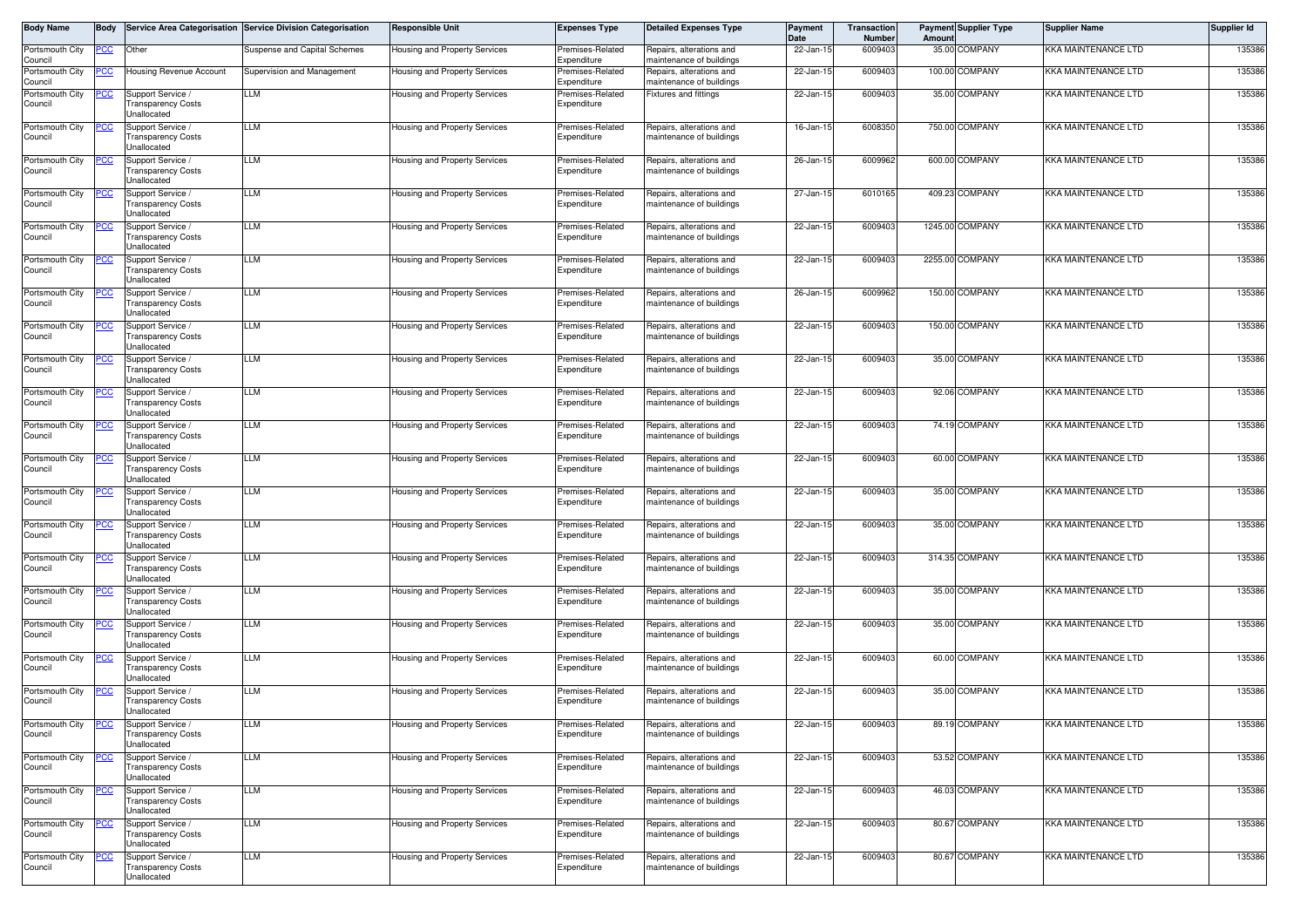| <b>Body Name</b>           | <b>Body</b> |                                                                      | Service Area Categorisation Service Division Categorisation | <b>Responsible Unit</b>              | <b>Expenses Type</b>            | <b>Detailed Expenses Type</b>                        | Payment<br>Date | Transaction<br>Number | Amount | <b>Payment Supplier Type</b> | <b>Supplier Name</b>       | <b>Supplier Id</b> |
|----------------------------|-------------|----------------------------------------------------------------------|-------------------------------------------------------------|--------------------------------------|---------------------------------|------------------------------------------------------|-----------------|-----------------------|--------|------------------------------|----------------------------|--------------------|
| Portsmouth City<br>Council | <u>PCC</u>  | Other                                                                | Suspense and Capital Schemes                                | lousing and Property Services        | Premises-Related<br>Expenditure | Repairs, alterations and<br>maintenance of buildings | 22-Jan-15       | 6009403               |        | 35.00 COMPANY                | KKA MAINTENANCE LTD        | 135386             |
| Portsmouth City<br>Council | <u>PCC</u>  | <b>Housing Revenue Account</b>                                       | Supervision and Management                                  | lousing and Property Services        | Premises-Related<br>Expenditure | Repairs, alterations and<br>maintenance of buildings | 22-Jan-15       | 6009403               |        | 100.00 COMPANY               | KKA MAINTENANCE LTD        | 135386             |
| Portsmouth City            |             | Support Service                                                      | <b>LM</b>                                                   | lousing and Property Services        | Premises-Related                | ixtures and fittings                                 | 22-Jan-15       | 6009403               |        | 35.00 COMPANY                | KKA MAINTENANCE LTD        | 135386             |
| Council                    |             | <b>Transparency Costs</b><br><b>Jnallocated</b>                      |                                                             |                                      | Expenditure                     |                                                      |                 |                       |        |                              |                            |                    |
| Portsmouth City<br>Council | <u>PCC</u>  | Support Service /<br><b>Transparency Costs</b>                       | <b>LM</b>                                                   | lousing and Property Services        | Premises-Related<br>Expenditure | Repairs, alterations and<br>maintenance of buildings | 16-Jan-15       | 6008350               |        | 750.00 COMPANY               | <b>KKA MAINTENANCE LTD</b> | 135386             |
| Portsmouth City            | <u>PCC</u>  | <b>Jnallocated</b><br>Support Service /                              | <b>LM</b>                                                   | lousing and Property Services        | Premises-Related                | Repairs, alterations and                             | 26-Jan-15       | 6009962               |        | 600.00 COMPANY               | <b>KKA MAINTENANCE LTD</b> | 135386             |
| Council                    |             | <b>Transparency Costs</b><br>Unallocated                             |                                                             |                                      | Expenditure                     | maintenance of buildings                             |                 |                       |        |                              |                            |                    |
| Portsmouth City<br>Council | PCC         | Support Service<br><b>Transparency Costs</b><br>Unallocated          | LLM                                                         | Housing and Property Services        | Premises-Related<br>Expenditure | Repairs, alterations and<br>maintenance of buildings | 27-Jan-15       | 6010165               |        | 409.23 COMPANY               | <b>KKA MAINTENANCE LTD</b> | 135386             |
| Portsmouth City            | <u>PCC</u>  | Support Service /                                                    | LLM                                                         | lousing and Property Services        | Premises-Related                | Repairs, alterations and                             | 22-Jan-15       | 6009403               |        | 1245.00 COMPANY              | KKA MAINTENANCE LTD        | 135386             |
| Council                    |             | <b>Transparency Costs</b><br>Jnallocated                             |                                                             |                                      | Expenditure                     | maintenance of buildings                             |                 |                       |        |                              |                            |                    |
| Portsmouth City<br>Council | <u>PCC</u>  | Support Service<br><b>Transparency Costs</b><br><b>Jnallocated</b>   | LLM                                                         | lousing and Property Services        | Premises-Related<br>Expenditure | Repairs, alterations and<br>maintenance of buildings | 22-Jan-15       | 6009403               |        | 2255.00 COMPANY              | <b>KKA MAINTENANCE LTD</b> | 135386             |
| Portsmouth City<br>Council | <u>PCC</u>  | Support Service /<br><b>Transparency Costs</b><br>Jnallocated        | LLM                                                         | lousing and Property Services        | Premises-Related<br>Expenditure | Repairs, alterations and<br>naintenance of buildings | 26-Jan-15       | 6009962               |        | 150.00 COMPANY               | KKA MAINTENANCE LTD        | 135386             |
| Portsmouth City            | <u>PCC </u> | Support Service /                                                    | LLM                                                         | Housing and Property Services        | Premises-Related                | Repairs, alterations and                             | 22-Jan-15       | 6009403               |        | 150.00 COMPANY               | KKA MAINTENANCE LTD        | 135386             |
| Council                    |             | <b>Transparency Costs</b><br>Unallocated                             |                                                             |                                      | Expenditure                     | maintenance of buildings                             |                 |                       |        |                              |                            |                    |
| Portsmouth City<br>Council | <u> РСС</u> | Support Service /<br><b>Transparency Costs</b><br><b>Jnallocated</b> | LLM                                                         | Housing and Property Services        | Premises-Related<br>Expenditure | Repairs, alterations and<br>maintenance of buildings | 22-Jan-15       | 6009403               |        | 35.00 COMPANY                | <b>KKA MAINTENANCE LTD</b> | 135386             |
| Portsmouth City<br>Council |             | Support Service /<br><b>Transparency Costs</b><br><b>Jnallocated</b> | LM                                                          | <b>Housing and Property Services</b> | Premises-Related<br>Expenditure | Repairs, alterations and<br>maintenance of buildings | 22-Jan-15       | 6009403               |        | 92.06 COMPANY                | KKA MAINTENANCE LTD        | 135386             |
| Portsmouth City            |             | Support Service /                                                    | LM                                                          | Housing and Property Services        | Premises-Related                | Repairs, alterations and                             | 22-Jan-15       | 6009403               |        | 74.19 COMPANY                | KKA MAINTENANCE LTD        | 135386             |
| Council                    |             | <b>Transparency Costs</b><br><b>Unallocated</b>                      |                                                             |                                      | Expenditure                     | maintenance of buildings                             |                 |                       |        |                              |                            |                    |
| Portsmouth City<br>Council | <u>PCC</u>  | Support Service /<br><b>Transparency Costs</b><br><b>Unallocated</b> | LM                                                          | lousing and Property Services        | Premises-Related<br>Expenditure | Repairs, alterations and<br>maintenance of buildings | 22-Jan-15       | 6009403               |        | 60.00 COMPANY                | KKA MAINTENANCE LTD        | 135386             |
| Portsmouth City<br>Council | <u>'CC</u>  | Support Service<br><b>Transparency Costs</b><br>Unallocated          | LLM                                                         | lousing and Property Services        | Premises-Related<br>Expenditure | Repairs, alterations and<br>maintenance of buildings | 22-Jan-15       | 6009403               |        | 35.00 COMPANY                | KKA MAINTENANCE LTD        | 135386             |
| Portsmouth City<br>Council | <u>PCC</u>  | Support Service /<br>ransparency Costs                               | LLM                                                         | lousing and Property Services        | Premises-Related<br>Expenditure | Repairs, alterations and<br>naintenance of buildings | 22-Jan-15       | 6009403               |        | 35.00 COMPANY                | KKA MAINTENANCE LTD        | 135386             |
| Portsmouth City            | 'CC         | Jnallocated<br>Support Service                                       | LLM                                                         | Housing and Property Services        | Premises-Related                | Repairs, alterations and                             | 22-Jan-15       | 6009403               |        | 314.35 COMPANY               | KKA MAINTENANCE LTD        | 135386             |
| Council                    |             | <b>Transparency Costs</b><br><b>Unallocated</b>                      |                                                             |                                      | Expenditure                     | maintenance of buildings                             |                 |                       |        |                              |                            |                    |
| Portsmouth City            | <u>PCC</u>  | Support Service /                                                    | LLM                                                         | Housing and Property Services        | Premises-Related<br>Expenditure | Repairs, alterations and                             | 22-Jan-15       | 6009403               |        | 35.00 COMPANY                | KKA MAINTENANCE LTD        | 135386             |
| Council                    |             | <b>Transparency Costs</b><br>Jnallocated                             |                                                             |                                      |                                 | maintenance of buildings                             |                 |                       |        |                              |                            |                    |
| Portsmouth City<br>Council |             | Support Service /<br><b>Transparency Costs</b><br>Unallocated        | LLM                                                         | lousing and Property Services        | Premises-Related<br>Expenditure | Repairs, alterations and<br>maintenance of buildings | 22-Jan-15       | 6009403               |        | 35.00 COMPANY                | KKA MAINTENANCE LTD        | 135386             |
| Portsmouth City<br>Council |             | Support Service<br><b>Transparency Costs</b><br>Jnallocated          | LM                                                          | Housing and Property Services        | Premises-Related<br>Expenditure | Repairs, alterations and<br>maintenance of buildings | 22-Jan-15       | 6009403               |        | 60.00 COMPANY                | KKA MAINTENANCE LTD        | 135386             |
| Portsmouth City<br>Council | <u>PCC</u>  | Support Service /<br><b>Transparency Costs</b><br>Unallocated        | LM                                                          | Housing and Property Services        | Premises-Related<br>Expenditure | Repairs, alterations and<br>maintenance of buildings | 22-Jan-15       | 6009403               |        | 35.00 COMPANY                | <b>KKA MAINTENANCE LTD</b> | 135386             |
| Portsmouth City<br>Council |             | Support Service /<br><b>Transparency Costs</b><br>Unallocated        | LLM                                                         | Housing and Property Services        | remises-Related<br>Expenditure  | Repairs, alterations and<br>maintenance of buildings | 22-Jan-15       | 6009403               |        | 89.19 COMPANY                | KKA MAINTENANCE LTD        | 135386             |
| Portsmouth City<br>Council | <u>PCC</u>  | Support Service /<br><b>Transparency Costs</b>                       | LLM                                                         | Housing and Property Services        | Premises-Related<br>Expenditure | Repairs, alterations and<br>maintenance of buildings | 22-Jan-15       | 6009403               |        | 53.52 COMPANY                | <b>KKA MAINTENANCE LTD</b> | 135386             |
| Portsmouth City<br>Council |             | Unallocated<br>Support Service /<br><b>Transparency Costs</b>        | LLM                                                         | lousing and Property Services        | Premises-Related<br>Expenditure | Repairs, alterations and<br>maintenance of buildings | 22-Jan-15       | 6009403               |        | 46.03 COMPANY                | KKA MAINTENANCE LTD        | 135386             |
| Portsmouth City            | <u>PCC</u>  | Unallocated<br>Support Service /                                     | LLM                                                         | lousing and Property Services        | Premises-Related                | Repairs, alterations and                             | 22-Jan-15       | 6009403               |        | 80.67 COMPANY                | KKA MAINTENANCE LTD        | 135386             |
| Council                    |             | <b>Transparency Costs</b><br><b>Jnallocated</b>                      |                                                             |                                      | Expenditure                     | maintenance of buildings                             |                 |                       |        |                              |                            |                    |
| Portsmouth City<br>Council | <u> РСС</u> | Support Service /<br><b>Transparency Costs</b><br>Unallocated        | LLМ                                                         | lousing and Property Services        | Premises-Related<br>Expenditure | Repairs, alterations and<br>maintenance of buildings | 22-Jan-15       | 6009403               |        | 80.67 COMPANY                | KKA MAINTENANCE LTD        | 135386             |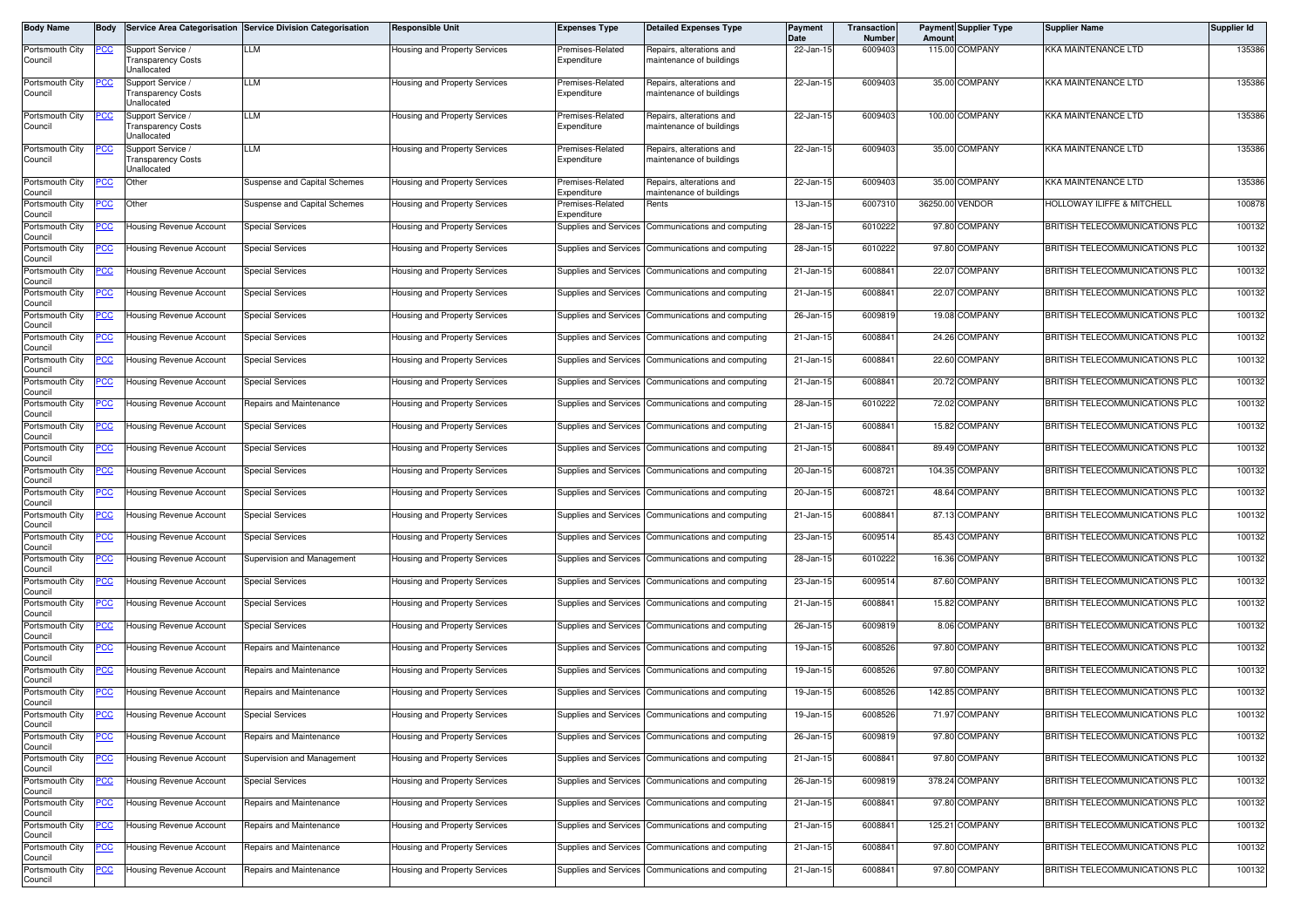| <b>Body Name</b>           | IBodv      |                                                        | Service Area Categorisation Service Division Categorisation | <b>Responsible Unit</b>              | <b>Expenses Type</b>            | <b>Detailed Expenses Type</b>                        | Payment<br>Date | Transaction<br><b>Number</b> | Amount          | <b>Payment Supplier Type</b> | <b>Supplier Name</b>           | Supplier Id |
|----------------------------|------------|--------------------------------------------------------|-------------------------------------------------------------|--------------------------------------|---------------------------------|------------------------------------------------------|-----------------|------------------------------|-----------------|------------------------------|--------------------------------|-------------|
| Portsmouth City<br>Council | <u>PCC</u> | Support Service /<br>ransparency Costs<br>Jnallocated  | LLM                                                         | Housing and Property Services        | Premises-Related<br>Expenditure | Repairs, alterations and<br>maintenance of buildings | 22-Jan-15       | 6009403                      |                 | 115.00 COMPANY               | KKA MAINTENANCE LTD            | 135386      |
| Portsmouth City<br>Council | CС         | Support Service<br>ransparency Costs<br>Jnallocated    | LLM                                                         | Housing and Property Services        | Premises-Related<br>Expenditure | Repairs, alterations and<br>maintenance of buildings | 22-Jan-1!       | 6009403                      |                 | 35.00 COMPANY                | KKA MAINTENANCE LTD            | 135386      |
| Portsmouth City<br>Council | PСC        | Support Service /<br>ransparency Costs<br>Jnallocated  | LLM                                                         | Housing and Property Services        | Premises-Related<br>Expenditure | Repairs, alterations and<br>maintenance of buildings | 22-Jan-15       | 6009403                      |                 | 100.00 COMPANY               | <b>KKA MAINTENANCE LTD</b>     | 135386      |
| Portsmouth City<br>Council | °СС        | Support Service /<br>Transparency Costs<br>Unallocated | LLM                                                         | Housing and Property Services        | Premises-Related<br>Expenditure | Repairs, alterations and<br>maintenance of buildings | 22-Jan-15       | 6009403                      |                 | 35.00 COMPANY                | KKA MAINTENANCE LTD            | 135386      |
| Portsmouth City<br>Council | PСC        | Other                                                  | <b>Suspense and Capital Schemes</b>                         | Housing and Property Services        | Premises-Related<br>Expenditure | Repairs, alterations and<br>maintenance of buildings | 22-Jan-15       | 6009403                      |                 | 35.00 COMPANY                | KKA MAINTENANCE LTD            | 135386      |
| Portsmouth City<br>Council | °СС        | Other                                                  | <b>Suspense and Capital Schemes</b>                         | Housing and Property Services        | Premises-Related<br>Expenditure | Rents                                                | $13$ -Jan-1!    | 6007310                      | 36250.00 VENDOR |                              | HOLLOWAY ILIFFE & MITCHELL     | 100878      |
| Portsmouth City<br>Council | <u>'CC</u> | <b>Housing Revenue Account</b>                         | Special Services                                            | Housing and Property Services        |                                 | Supplies and Services Communications and computing   | 28-Jan-1!       | 6010222                      |                 | 97.80 COMPANY                | BRITISH TELECOMMUNICATIONS PLC | 100132      |
| Portsmouth City<br>Council | PСC        | Housing Revenue Account                                | Special Services                                            | <b>Housing and Property Services</b> |                                 | Supplies and Services   Communications and computing | 28-Jan-15       | 6010222                      |                 | 97.80 COMPANY                | BRITISH TELECOMMUNICATIONS PLC | 100132      |
| Portsmouth City<br>Council | <u>PCC</u> | Housing Revenue Account                                | <b>Special Services</b>                                     | Housing and Property Services        | Supplies and Services           | Communications and computing                         | 21-Jan-15       | 6008841                      |                 | 22.07 COMPANY                | BRITISH TELECOMMUNICATIONS PLC | 100132      |
| Portsmouth City<br>Council | <u>PCC</u> | Housing Revenue Account                                | <b>Special Services</b>                                     | Housing and Property Services        |                                 | Supplies and Services Communications and computing   | 21-Jan-15       | 6008841                      |                 | 22.07 COMPANY                | BRITISH TELECOMMUNICATIONS PLC | 100132      |
| Portsmouth City<br>Council | <u>PCC</u> | Housing Revenue Account                                | Special Services                                            | Housing and Property Services        | Supplies and Services           | Communications and computing                         | 26-Jan-1        | 600981                       |                 | 19.08 COMPANY                | BRITISH TELECOMMUNICATIONS PLC | 100132      |
| Portsmouth City<br>Council | <u>PCC</u> | Housing Revenue Account                                | <b>Special Services</b>                                     | Housing and Property Services        | Supplies and Services           | Communications and computing                         | 21-Jan-15       | 6008841                      |                 | 24.26 COMPANY                | BRITISH TELECOMMUNICATIONS PLC | 100132      |
| Portsmouth City<br>Council | PCC        | Housing Revenue Account                                | Special Services                                            | Housing and Property Services        | Supplies and Services           | Communications and computing                         | 21-Jan-15       | 6008841                      |                 | 22.60 COMPANY                | BRITISH TELECOMMUNICATIONS PLC | 100132      |
| Portsmouth City<br>Council | <u>'CC</u> | Housing Revenue Account                                | <b>Special Services</b>                                     | Housing and Property Services        | Supplies and Services           | Communications and computing                         | 21-Jan-15       | 6008841                      |                 | 20.72 COMPANY                | BRITISH TELECOMMUNICATIONS PLC | 100132      |
| Portsmouth City<br>Council | 'CC        | <b>Housing Revenue Account</b>                         | Repairs and Maintenance                                     | <b>Housing and Property Services</b> | Supplies and Services           | Communications and computing                         | 28-Jan-15       | 6010222                      |                 | 72.02 COMPANY                | BRITISH TELECOMMUNICATIONS PLC | 100132      |
| Portsmouth City<br>Council | °СС        | Housing Revenue Account                                | <b>Special Services</b>                                     | Housing and Property Services        | Supplies and Services           | Communications and computing                         | 21-Jan-15       | 6008841                      |                 | 15.82 COMPANY                | BRITISH TELECOMMUNICATIONS PLC | 100132      |
| Portsmouth City<br>Council | PСC        | Housing Revenue Account                                | <b>Special Services</b>                                     | Housing and Property Services        | Supplies and Services           | Communications and computing                         | 21-Jan-15       | 6008841                      |                 | 89.49 COMPANY                | BRITISH TELECOMMUNICATIONS PLC | 100132      |
| Portsmouth City<br>Council | <u>PCC</u> | <b>Housing Revenue Account</b>                         | <b>Special Services</b>                                     | Housing and Property Services        | Supplies and Services           | Communications and computing                         | 20-Jan-15       | 6008721                      |                 | 104.35 COMPANY               | BRITISH TELECOMMUNICATIONS PLC | 100132      |
| Portsmouth City<br>Council | <u>PCC</u> | Housing Revenue Account                                | Special Services                                            | Housing and Property Services        |                                 | Supplies and Services Communications and computing   | 20-Jan-1        | 6008721                      |                 | 48.64 COMPANY                | BRITISH TELECOMMUNICATIONS PLC | 100132      |
| Portsmouth City<br>Council | <u>CC </u> | Housing Revenue Account                                | <b>Special Services</b>                                     | Housing and Property Services        | Supplies and Services           | Communications and computing                         | 21-Jan-1        | 6008841                      |                 | 87.13 COMPANY                | BRITISH TELECOMMUNICATIONS PLC | 100132      |
| Portsmouth City<br>Council | PСC        | Housing Revenue Account                                | Special Services                                            | Housing and Property Services        | Supplies and Services           | Communications and computing                         | 23-Jan-15       | 6009514                      |                 | 85.43 COMPANY                | BRITISH TELECOMMUNICATIONS PLC | 100132      |
| Portsmouth City<br>Council | <u>'CC</u> | Housing Revenue Account                                | Supervision and Management                                  | Housing and Property Services        | <b>Supplies and Services</b>    | Communications and computing                         | 28-Jan-15       | 6010222                      |                 | 16.36 COMPANY                | BRITISH TELECOMMUNICATIONS PLC | 100132      |
| Portsmouth City<br>Council | <u>PCC</u> | Housing Revenue Account                                | Special Services                                            | Housing and Property Services        | Supplies and Services           | Communications and computing                         | 23-Jan-15       | 6009514                      |                 | 87.60 COMPANY                | BRITISH TELECOMMUNICATIONS PLC | 100132      |
| Portsmouth City<br>Council | <u>PCC</u> | <b>Housing Revenue Account</b>                         | <b>Special Services</b>                                     | Housing and Property Services        | <b>Supplies and Services</b>    | Communications and computing                         | 21-Jan-15       | 6008841                      |                 | 15.82 COMPANY                | BRITISH TELECOMMUNICATIONS PLC | 100132      |
| Portsmouth City<br>Council | <u>PCC</u> | Housing Revenue Account                                | Special Services                                            | Housing and Property Services        | Supplies and Services           | Communications and computing                         | 26-Jan-15       | 6009819                      |                 | 8.06 COMPANY                 | BRITISH TELECOMMUNICATIONS PLC | 100132      |
| Portsmouth City<br>Council | °СС        | Housing Revenue Account                                | Repairs and Maintenance                                     | Housing and Property Services        | Supplies and Services           | Communications and computing                         | 19-Jan-15       | 6008526                      |                 | 97.80 COMPANY                | BRITISH TELECOMMUNICATIONS PLC | 100132      |
| Portsmouth City<br>Council | °СС        | Housing Revenue Account                                | Repairs and Maintenance                                     | Housing and Property Services        | Supplies and Services           | Communications and computing                         | 19-Jan-15       | 6008526                      |                 | 97.80 COMPANY                | BRITISH TELECOMMUNICATIONS PLC | 100132      |
| Portsmouth City<br>Council | PСC        | <b>Housing Revenue Account</b>                         | Repairs and Maintenance                                     | Housing and Property Services        |                                 | Supplies and Services Communications and computing   | 19-Jan-15       | 6008526                      |                 | 142.85 COMPANY               | BRITISH TELECOMMUNICATIONS PLC | 100132      |
| Portsmouth City<br>Council | PCC        | Housing Revenue Account                                | Special Services                                            | <b>Housing and Property Services</b> |                                 | Supplies and Services Communications and computing   | 19-Jan-15       | 6008526                      |                 | 71.97 COMPANY                | BRITISH TELECOMMUNICATIONS PLC | 100132      |
| Portsmouth City<br>Council | <u>PCC</u> | Housing Revenue Account                                | Repairs and Maintenance                                     | Housing and Property Services        |                                 | Supplies and Services Communications and computing   | 26-Jan-15       | 6009819                      |                 | 97.80 COMPANY                | BRITISH TELECOMMUNICATIONS PLC | 100132      |
| Portsmouth City<br>Council | PCC        | Housing Revenue Account                                | Supervision and Management                                  | Housing and Property Services        |                                 | Supplies and Services Communications and computing   | 21-Jan-15       | 6008841                      |                 | 97.80 COMPANY                | BRITISH TELECOMMUNICATIONS PLC | 100132      |
| Portsmouth City<br>Council | <u>'CC</u> | Housing Revenue Account                                | Special Services                                            | Housing and Property Services        |                                 | Supplies and Services Communications and computing   | 26-Jan-15       | 6009819                      |                 | 378.24 COMPANY               | BRITISH TELECOMMUNICATIONS PLC | 100132      |
| Portsmouth City<br>Council | <u>PCC</u> | Housing Revenue Account                                | Repairs and Maintenance                                     | Housing and Property Services        |                                 | Supplies and Services Communications and computing   | 21-Jan-15       | 6008841                      |                 | 97.80 COMPANY                | BRITISH TELECOMMUNICATIONS PLC | 100132      |
| Portsmouth City<br>Council | <u>PCC</u> | <b>Housing Revenue Account</b>                         | Repairs and Maintenance                                     | Housing and Property Services        |                                 | Supplies and Services Communications and computing   | 21-Jan-15       | 6008841                      |                 | 125.21 COMPANY               | BRITISH TELECOMMUNICATIONS PLC | 100132      |
| Portsmouth City<br>Council | <u>PCC</u> | <b>Housing Revenue Account</b>                         | Repairs and Maintenance                                     | Housing and Property Services        |                                 | Supplies and Services Communications and computing   | 21-Jan-15       | 6008841                      |                 | 97.80 COMPANY                | BRITISH TELECOMMUNICATIONS PLC | 100132      |
| Portsmouth City<br>Council | 'CC        | <b>Housing Revenue Account</b>                         | Repairs and Maintenance                                     | Housing and Property Services        |                                 | Supplies and Services Communications and computing   | 21-Jan-15       | 6008841                      |                 | 97.80 COMPANY                | BRITISH TELECOMMUNICATIONS PLC | 100132      |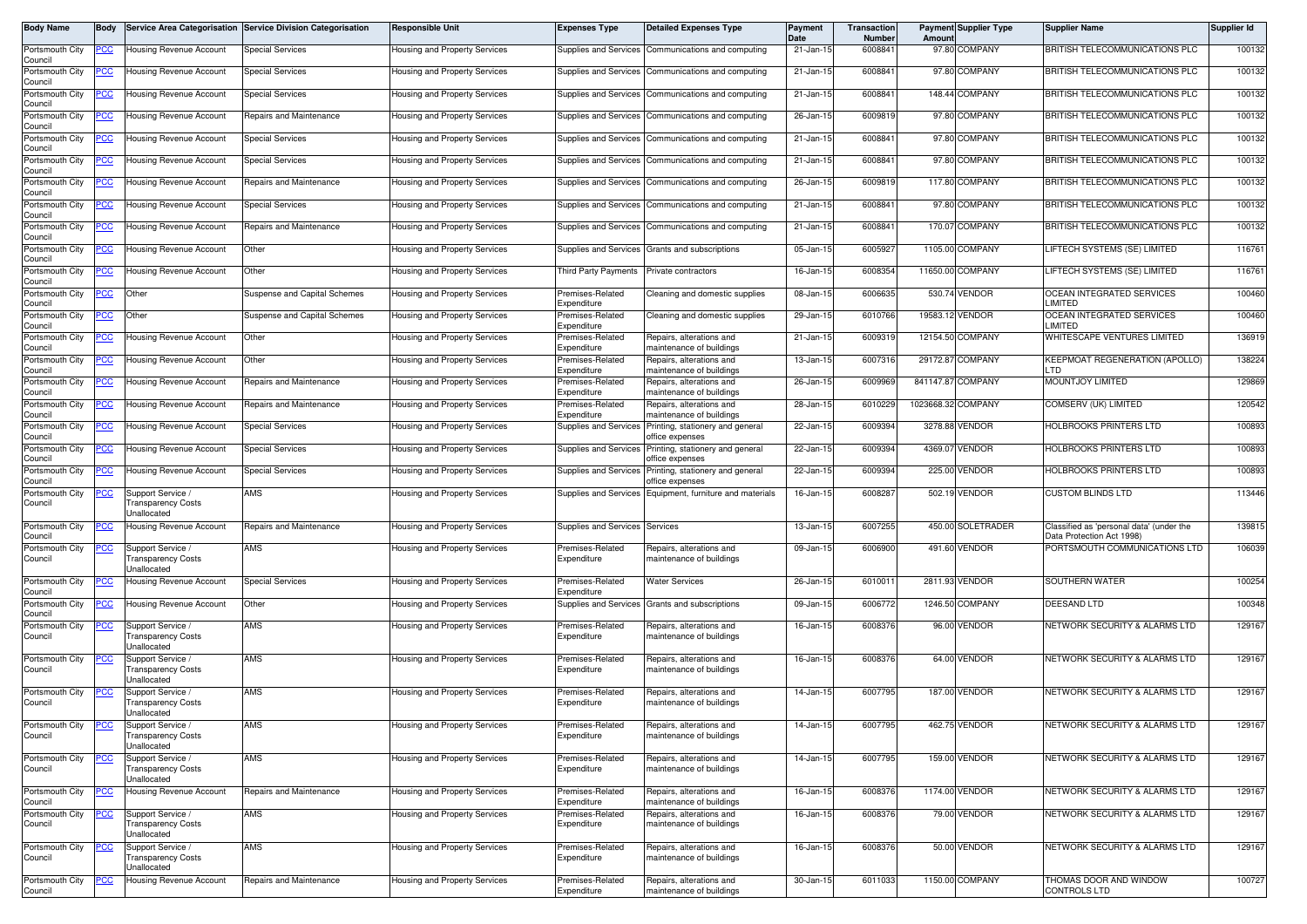| Body Name                  | Body       |                                                               | Service Area Categorisation Service Division Categorisation | <b>Responsible Unit</b>              | <b>Expenses Type</b>                   | <b>Detailed Expenses Type</b>                        | <b>Payment</b><br><b>Date</b> | Transaction<br>Number | Amount             | <b>Payment Supplier Type</b> | <b>Supplier Name</b>                                                  | Supplier Id |
|----------------------------|------------|---------------------------------------------------------------|-------------------------------------------------------------|--------------------------------------|----------------------------------------|------------------------------------------------------|-------------------------------|-----------------------|--------------------|------------------------------|-----------------------------------------------------------------------|-------------|
| Portsmouth City<br>Council | <u>CC </u> | Housing Revenue Account                                       | <b>Special Services</b>                                     | lousing and Property Services        | Supplies and Services                  | Communications and computing                         | 21-Jan-15                     | 6008841               |                    | 97.80 COMPANY                | BRITISH TELECOMMUNICATIONS PLC                                        | 100132      |
| Portsmouth City<br>Council | cс         | Housing Revenue Account                                       | <b>Special Services</b>                                     | Housing and Property Services        | Supplies and Services                  | Communications and computing                         | 21-Jan-15                     | 6008841               |                    | 97.80 COMPANY                | BRITISH TELECOMMUNICATIONS PLC                                        | 100132      |
| Portsmouth City<br>Council | <u>cc</u>  | Housing Revenue Account                                       | Special Services                                            | Housing and Property Services        | Supplies and Services                  | Communications and computing                         | 21-Jan-15                     | 6008841               |                    | 148.44 COMPANY               | BRITISH TELECOMMUNICATIONS PLC                                        | 100132      |
| Portsmouth City<br>Council | <u>CC</u>  | <b>Housing Revenue Account</b>                                | Repairs and Maintenance                                     | <b>Housing and Property Services</b> | Supplies and Services                  | Communications and computing                         | 26-Jan-15                     | 6009819               |                    | 97.80 COMPANY                | BRITISH TELECOMMUNICATIONS PLC                                        | 100132      |
| Portsmouth City<br>Council | <u>cc</u>  | Housing Revenue Account                                       | Special Services                                            | Housing and Property Services        | Supplies and Services                  | Communications and computing                         | 21-Jan-15                     | 6008841               |                    | 97.80 COMPANY                | BRITISH TELECOMMUNICATIONS PLC                                        | 100132      |
| Portsmouth City<br>Council | <u>'CC</u> | <b>Housing Revenue Account</b>                                | <b>Special Services</b>                                     | Housing and Property Services        | Supplies and Services                  | Communications and computing                         | 21-Jan-15                     | 6008841               |                    | 97.80 COMPANY                | BRITISH TELECOMMUNICATIONS PLC                                        | 100132      |
| Portsmouth City<br>Council | <u>cc</u>  | Housing Revenue Account                                       | Repairs and Maintenance                                     | lousing and Property Services        | Supplies and Services                  | Communications and computing                         | 26-Jan-15                     | 6009819               |                    | 117.80 COMPANY               | BRITISH TELECOMMUNICATIONS PLC                                        | 100132      |
| Portsmouth City<br>Council | <u>cc</u>  | Housing Revenue Account                                       | Special Services                                            | Housing and Property Services        | Supplies and Services                  | Communications and computing                         | 21-Jan-15                     | 6008841               |                    | 97.80 COMPANY                | BRITISH TELECOMMUNICATIONS PLC                                        | 100132      |
| Portsmouth City<br>Council | <u>'СС</u> | Housing Revenue Account                                       | Repairs and Maintenance                                     | Housing and Property Services        | Supplies and Services                  | Communications and computing                         | 21-Jan-15                     | 6008841               |                    | 170.07 COMPANY               | BRITISH TELECOMMUNICATIONS PLC                                        | 100132      |
| Portsmouth City<br>Council | PСC        | Housing Revenue Account                                       | Other                                                       | Housing and Property Services        | Supplies and Services                  | Grants and subscriptions                             | 05-Jan-15                     | 6005927               |                    | 1105.00 COMPANY              | LIFTECH SYSTEMS (SE) LIMITED                                          | 116761      |
| Portsmouth City<br>Council |            | <b>Housing Revenue Account</b>                                | Other                                                       | Housing and Property Services        | <b>Third Party Payments</b>            | Private contractors                                  | 16-Jan-1                      | 6008354               |                    | 11650.00 COMPANY             | LIFTECH SYSTEMS (SE) LIMITED                                          | 116761      |
| Portsmouth City<br>Council | PCC        | Other                                                         | Suspense and Capital Schemes                                | Housing and Property Services        | Premises-Related<br>Expenditure        | Cleaning and domestic supplies                       | 08-Jan-15                     | 6006635               |                    | 530.74 VENDOR                | OCEAN INTEGRATED SERVICES<br>LIMITED                                  | 100460      |
| Portsmouth City<br>Council | <u>CC </u> | Other                                                         | <b>Suspense and Capital Schemes</b>                         | Housing and Property Services        | remises-Related<br>Expenditure         | Cleaning and domestic supplies                       | 29-Jan-15                     | 6010766               |                    | 19583.12 VENDOR              | OCEAN INTEGRATED SERVICES<br>LIMITED                                  | 100460      |
| Portsmouth City<br>Council | сc         | Housing Revenue Account                                       | Other                                                       | Housing and Property Services        | remises-Related<br>Expenditure         | Repairs, alterations and<br>naintenance of buildings | 21-Jan-15                     | 600931                |                    | 12154.50 COMPANY             | WHITESCAPE VENTURES LIMITED                                           | 136919      |
| Portsmouth City<br>Council | 'СС        | <b>Housing Revenue Account</b>                                | Other                                                       | Housing and Property Services        | Premises-Related<br>Expenditure        | Repairs, alterations and<br>naintenance of buildings | 13-Jan-15                     | 6007316               |                    | 29172.87 COMPANY             | <b>KEEPMOAT REGENERATION (APOLLO)</b><br>LTD                          | 138224      |
| Portsmouth City<br>Council | <u>'CC</u> | <b>Housing Revenue Account</b>                                | Repairs and Maintenance                                     | Housing and Property Services        | Premises-Related<br>Expenditure        | Repairs, alterations and<br>naintenance of buildings | 26-Jan-15                     | 6009969               |                    | 841147.87 COMPANY            | <b>MOUNTJOY LIMITED</b>                                               | 129869      |
| Portsmouth City<br>Council |            | Housing Revenue Account                                       | Repairs and Maintenance                                     | lousing and Property Services        | remises-Related<br>.<br>xpenditure     | Repairs, alterations and<br>naintenance of buildings | 28-Jan-15                     | 6010229               | 1023668.32 COMPANY |                              | COMSERV (UK) LIMITED                                                  | 120542      |
| Portsmouth City<br>Council | <u>CC</u>  | Housing Revenue Account                                       | <b>Special Services</b>                                     | <b>Housing and Property Services</b> | Supplies and Services                  | Printing, stationery and general<br>office expenses  | 22-Jan-15                     | 6009394               |                    | 3278.88 VENDOR               | HOLBROOKS PRINTERS LTD                                                | 100893      |
| Portsmouth City<br>Council | <u>сс</u>  | Housing Revenue Account                                       | <b>Special Services</b>                                     | Housing and Property Services        | <b>Supplies and Services</b>           | Printing, stationery and general<br>office expenses  | 22-Jan-15                     | 6009394               |                    | 4369.07 VENDOR               | HOLBROOKS PRINTERS LTD                                                | 100893      |
| Portsmouth City<br>Council | <u>PCC</u> | <b>Housing Revenue Account</b>                                | <b>Special Services</b>                                     | <b>Housing and Property Services</b> | Supplies and Services                  | Printing, stationery and general<br>ffice expenses   | $\overline{22}$ -Jan-15       | 6009394               |                    | 225.00 VENDOR                | HOLBROOKS PRINTERS LTD                                                | 100893      |
| Portsmouth City<br>Council | <u>cc</u>  | Support Service /<br><b>Transparency Costs</b><br>Unallocated | AMS                                                         | Housing and Property Services        | Supplies and Services                  | Equipment, furniture and materials                   | 16-Jan-15                     | 6008287               |                    | 502.19 VENDOR                | <b>CUSTOM BLINDS LTD</b>                                              | 113446      |
| Portsmouth City<br>Council | PСC        | Housing Revenue Account                                       | Repairs and Maintenance                                     | Housing and Property Services        | Supplies and Services                  | Services                                             | 13-Jan-15                     | 6007255               |                    | 450.00 SOLETRADER            | Classified as 'personal data' (under the<br>Data Protection Act 1998) | 139815      |
| Portsmouth City<br>Council | <u>'CC</u> | Support Service /<br>Fransparency Costs<br>Jnallocated        | AMS                                                         | Housing and Property Services        | Premises-Related<br>Expenditure        | Repairs, alterations and<br>naintenance of buildings | 09-Jan-15                     | 6006900               |                    | 491.60 VENDOR                | PORTSMOUTH COMMUNICATIONS LTD                                         | 106039      |
| Portsmouth City<br>Council | <u>'CC</u> | Housing Revenue Account                                       | <b>Special Services</b>                                     | Housing and Property Services        | Premises-Related<br>Expenditure        | <b>Water Services</b>                                | 26-Jan-15                     | 601001                |                    | 2811.93 VENDOR               | SOUTHERN WATER                                                        | 100254      |
| Portsmouth City<br>Council |            | Housing Revenue Account                                       | Other                                                       | Housing and Property Services        | Supplies and Services                  | Grants and subscriptions                             | 09-Jan-15                     | 6006772               |                    | 1246.50 COMPANY              | DEESAND LTD                                                           | 100348      |
| Portsmouth City<br>Council | <u>CC </u> | Support Service /<br><b>Transparency Costs</b><br>Unallocated | AMS                                                         | Housing and Property Services        | Premises-Related<br>Expenditure        | Repairs, alterations and<br>maintenance of buildings | 16-Jan-15                     | 6008376               |                    | 96.00 VENDOR                 | NETWORK SECURITY & ALARMS LTD                                         | 129167      |
| Portsmouth City<br>Council |            | Support Service /<br>ransparency Costs<br>Jnallocated         | AMS                                                         | Housing and Property Services        | Premises-Related<br>Expenditure        | Repairs, alterations and<br>maintenance of buildings | 16-Jan-15                     | 6008376               |                    | 64.00 VENDOR                 | NETWORK SECURITY & ALARMS LTD                                         | 129167      |
| Portsmouth City<br>Council | <u>PCC</u> | Support Service /<br>ransparency Costs<br>Jnallocated         | AMS                                                         | <b>Housing and Property Services</b> | Premises-Related<br>Expenditure        | Repairs, alterations and<br>maintenance of buildings | 14-Jan-15                     | 6007795               |                    | 187.00 VENDOR                | NETWORK SECURITY & ALARMS LTD                                         | 129167      |
| Portsmouth City<br>Council |            | Support Service /<br><b>Transparency Costs</b><br>Unallocated | AMS                                                         | Housing and Property Services        | Premises-Related<br>Expenditure        | Repairs, alterations and<br>maintenance of buildings | 14-Jan-15                     | 6007795               |                    | 462.75 VENDOR                | NETWORK SECURITY & ALARMS LTD                                         | 129167      |
| Portsmouth City<br>Council | <u>cc</u>  | Support Service /<br>ransparency Costs<br>Jnallocated         | AMS                                                         | Housing and Property Services        | Premises-Related<br>Expenditure        | Repairs, alterations and<br>maintenance of buildings | 14-Jan-15                     | 6007795               |                    | 159.00 VENDOR                | NETWORK SECURITY & ALARMS LTD                                         | 129167      |
| Portsmouth City<br>Council | <u>'CC</u> | Housing Revenue Account                                       | Repairs and Maintenance                                     | lousing and Property Services        | Premises-Related<br>Expenditure        | Repairs, alterations and<br>maintenance of buildings | 16-Jan-15                     | 6008376               |                    | 1174.00 VENDOR               | NETWORK SECURITY & ALARMS LTD                                         | 129167      |
| Portsmouth City<br>Council | <u>CC</u>  | Support Service /<br>ransparency Costs<br>Jnallocated         | AMS                                                         | lousing and Property Services        | <b>Premises-Related</b><br>Expenditure | Repairs, alterations and<br>naintenance of buildings | 16-Jan-15                     | 6008376               |                    | 79.00 VENDOR                 | NETWORK SECURITY & ALARMS LTD                                         | 129167      |
| Portsmouth City<br>Council | <u>'CC</u> | Support Service /<br><b>Transparency Costs</b><br>Unallocated | AMS                                                         | lousing and Property Services        | Premises-Related<br>Expenditure        | Repairs, alterations and<br>maintenance of buildings | 16-Jan-15                     | 6008376               |                    | 50.00 VENDOR                 | NETWORK SECURITY & ALARMS LTD                                         | 129167      |
| Portsmouth City<br>Council | <u>PCC</u> | <b>Housing Revenue Account</b>                                | Repairs and Maintenance                                     | Housing and Property Services        | Premises-Related<br>Expenditure        | Repairs, alterations and<br>maintenance of buildings | 30-Jan-15                     | 6011033               |                    | 1150.00 COMPANY              | THOMAS DOOR AND WINDOW<br>CONTROLS LTD                                | 100727      |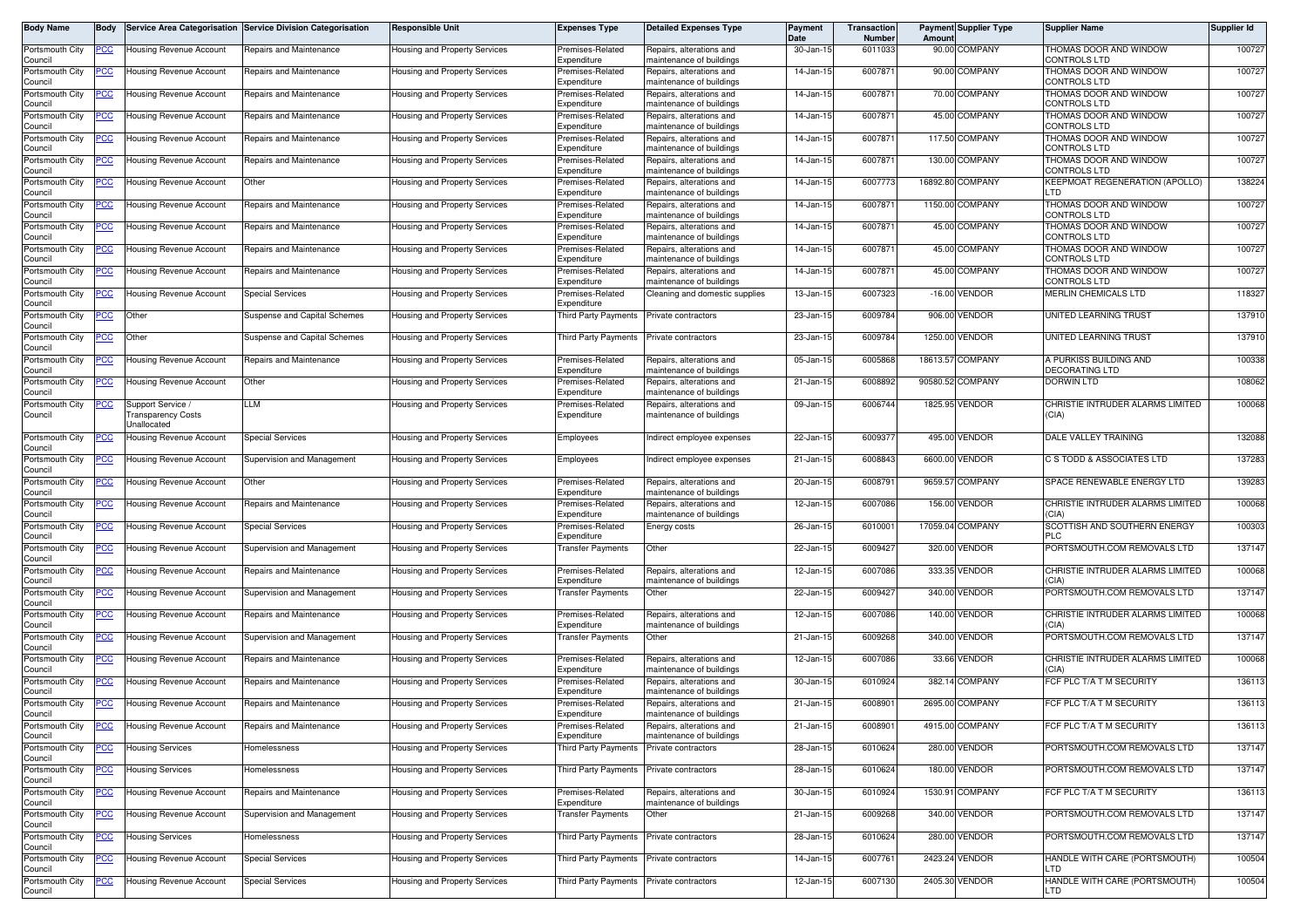| Body Name                  | Body        |                                  | Service Area Categorisation Service Division Categorisation | <b>Responsible Unit</b>              | <b>Expenses Type</b>                       | <b>Detailed Expenses Type</b>                              | Payment<br>Date | Transaction<br><b>Number</b> | Amoun    | <b>Payment Supplier Type</b> | <b>Supplier Name</b>                          | Supplier Id |
|----------------------------|-------------|----------------------------------|-------------------------------------------------------------|--------------------------------------|--------------------------------------------|------------------------------------------------------------|-----------------|------------------------------|----------|------------------------------|-----------------------------------------------|-------------|
| Portsmouth City<br>Council | <u>PCC</u>  | <b>Housing Revenue Account</b>   | Repairs and Maintenance                                     | Housing and Property Services        | Premises-Related<br>Expenditure            | Repairs, alterations and<br>maintenance of buildings       | 30-Jan-15       | 6011033                      | 90.00    | <b>COMPANY</b>               | THOMAS DOOR AND WINDOW<br>CONTROLS LTD        | 100727      |
| Portsmouth City<br>Council | PСC         | Housing Revenue Account          | Repairs and Maintenance                                     | Housing and Property Services        | Premises-Related<br>Expenditure            | Repairs, alterations and<br>maintenance of buildings       | 14-Jan-15       | 6007871                      |          | 90.00 COMPANY                | THOMAS DOOR AND WINDOW<br>CONTROLS LTD        | 100727      |
| Portsmouth City<br>Council | CC          | Housing Revenue Account          | Repairs and Maintenance                                     | Housing and Property Services        | Premises-Related<br>Expenditure            | Repairs, alterations and<br>maintenance of buildings       | 14-Jan-15       | 600787                       |          | 70.00 COMPANY                | THOMAS DOOR AND WINDOW<br>CONTROLS LTD        | 100727      |
| Portsmouth City<br>Council | 'СС         | Housing Revenue Account          | Repairs and Maintenance                                     | Housing and Property Services        | Premises-Related<br>Expenditure            | Repairs, alterations and<br>maintenance of buildings       | 14-Jan-15       | 6007871                      |          | 45.00 COMPANY                | THOMAS DOOR AND WINDOW<br>CONTROLS LTD        | 100727      |
| Portsmouth City<br>Council | <u>'CC</u>  | <b>Housing Revenue Account</b>   | Repairs and Maintenance                                     | Housing and Property Services        | Premises-Related<br>Expenditure            | Repairs, alterations and<br>maintenance of buildings       | 14-Jan-15       | 600787                       |          | 117.50 COMPANY               | THOMAS DOOR AND WINDOW<br>CONTROLS LTD        | 100727      |
| Portsmouth City<br>Council | <u>PCC</u>  | Housing Revenue Account          | Repairs and Maintenance                                     | Housing and Property Services        | Premises-Related<br>Expenditure            | Repairs, alterations and<br>maintenance of buildings       | 14-Jan-15       | 600787                       |          | 130.00 COMPANY               | THOMAS DOOR AND WINDOW<br>CONTROLS LTD        | 100727      |
| Portsmouth City            |             | Housing Revenue Account          | Other                                                       | Housing and Property Services        | Premises-Related                           | Repairs, alterations and                                   | 14-Jan-15       | 6007773                      |          | 16892.80 COMPANY             | <b>KEEPMOAT REGENERATION (APOLLO)</b><br>LTD. | 138224      |
| Council<br>Portsmouth City | <u>PCC</u>  | Housing Revenue Account          | Repairs and Maintenance                                     | Housing and Property Services        | Expenditure<br>Premises-Related            | maintenance of buildings<br>Repairs, alterations and       | 14-Jan-15       | 6007871                      |          | 1150.00 COMPANY              | THOMAS DOOR AND WINDOW                        | 100727      |
| Council<br>Portsmouth City | <u>'CC</u>  | <b>Housing Revenue Account</b>   | Repairs and Maintenance                                     | Housing and Property Services        | Expenditure<br>remises-Related             | maintenance of buildings<br>Repairs, alterations and       | 14-Jan-15       | 600787                       |          | 45.00 COMPANY                | CONTROLS LTD<br>THOMAS DOOR AND WINDOW        | 100727      |
| Council<br>Portsmouth City | CC          | <b>Housing Revenue Account</b>   | Repairs and Maintenance                                     | Housing and Property Services        | Expenditure<br>Premises-Related            | naintenance of buildings<br>Repairs, alterations and       | 14-Jan-15       | 6007871                      |          | 45.00 COMPANY                | CONTROLS LTD<br>THOMAS DOOR AND WINDOW        | 100727      |
| Council<br>Portsmouth City | <u>CC </u>  | Housing Revenue Account          | Repairs and Maintenance                                     | Housing and Property Services        | Expenditure<br>Premises-Related            | maintenance of buildings<br>Repairs, alterations and       | 14-Jan-15       | 600787                       | 45.00    | COMPANY                      | CONTROLS LTD<br>THOMAS DOOR AND WINDOW        | 100727      |
| Council<br>Portsmouth City | <u>PCC </u> | Housing Revenue Account          | <b>Special Services</b>                                     | Housing and Property Services        | Expenditure<br>Premises-Related            | maintenance of buildings<br>Cleaning and domestic supplies | 13-Jan-15       | 6007323                      |          | $-16.00$ VENDOR              | CONTROLS LTD<br>MERLIN CHEMICALS LTD          | 118327      |
| Council<br>Portsmouth City | <u>PCC</u>  | Other                            | <b>Suspense and Capital Schemes</b>                         | Housing and Property Services        | Expenditure<br>Third Party Payments        | Private contractors                                        | 23-Jan-15       | 6009784                      |          | 906.00 VENDOR                | UNITED LEARNING TRUST                         | 137910      |
| Council<br>Portsmouth City | <u>'CC</u>  | Other                            | <b>Suspense and Capital Schemes</b>                         | Housing and Property Services        | Third Party Payments                       | Private contractors                                        | 23-Jan-15       | 6009784                      |          | 1250.00 VENDOR               | <b>UNITED LEARNING TRUST</b>                  | 137910      |
| Council<br>Portsmouth City | ပင          | Housing Revenue Account          | Repairs and Maintenance                                     | Housing and Property Services        | Premises-Related                           | Repairs, alterations and                                   | 05-Jan-15       | 6005868                      |          | 18613.57 COMPANY             | A PURKISS BUILDING AND                        | 100338      |
| Council<br>Portsmouth City | <u>сс</u>   | Housing Revenue Account          | )ther                                                       | <b>Housing and Property Services</b> | Expenditure<br>Premises-Related            | maintenance of buildings<br>Repairs, alterations and       | 21-Jan-15       | 6008892                      | 90580.52 | COMPANY                      | <b>DECORATING LTD</b><br><b>DORWIN LTD</b>    | 108062      |
| Council<br>Portsmouth City |             | Support Service /                | LM.                                                         | Housing and Property Services        | Expenditure<br>Premises-Related            | maintenance of buildings<br>Repairs, alterations and       | 09-Jan-15       | 6006744                      |          | 1825.95 VENDOR               | CHRISTIE INTRUDER ALARMS LIMITED              | 100068      |
| Council                    |             | ransparency Costs<br>Jnallocated |                                                             |                                      | Expenditure                                | maintenance of buildings                                   |                 |                              |          |                              | (CIA)                                         |             |
| Portsmouth City<br>Council | 'СС         | Housing Revenue Account          | <b>Special Services</b>                                     | Housing and Property Services        | Employees                                  | Indirect employee expenses                                 | 22-Jan-15       | 600937                       |          | 495.00 VENDOR                | DALE VALLEY TRAINING                          | 132088      |
| Portsmouth City<br>Council |             | Housing Revenue Account          | Supervision and Management                                  | Housing and Property Services        | Employees                                  | Indirect employee expenses                                 | 21-Jan-15       | 6008843                      |          | 6600.00 VENDOR               | C S TODD & ASSOCIATES LTD                     | 137283      |
| Portsmouth City<br>Council | <u>CC</u>   | Housing Revenue Account          | Other                                                       | Housing and Property Services        | Premises-Related<br>Expenditure            | Repairs, alterations and<br>maintenance of buildings       | 20-Jan-15       | 6008791                      |          | 9659.57 COMPANY              | SPACE RENEWABLE ENERGY LTD                    | 139283      |
| Portsmouth City<br>Council |             | <b>Housing Revenue Account</b>   | Repairs and Maintenance                                     | Housing and Property Services        | Premises-Related<br>Expenditure            | Repairs, alterations and<br>maintenance of buildings       | 12-Jan-15       | 6007086                      | 156.00   | VENDOR                       | CHRISTIE INTRUDER ALARMS LIMITED<br>CIA)      | 100068      |
| Portsmouth City<br>Council | <u>CC </u>  | Housing Revenue Account          | <b>Special Services</b>                                     | Housing and Property Services        | Premises-Related<br>Expenditure            | Energy costs                                               | 26-Jan-15       | 6010001                      |          | 17059.04 COMPANY             | SCOTTISH AND SOUTHERN ENERGY<br><b>PLC</b>    | 100303      |
| Portsmouth City<br>Council | <u>cc</u>   | <b>Housing Revenue Account</b>   | Supervision and Management                                  | Housing and Property Services        | Transfer Payments                          | Other                                                      | 22-Jan-15       | 600942                       |          | 320.00 VENDOR                | PORTSMOUTH.COM REMOVALS LTD                   | 137147      |
| Portsmouth City<br>Council | <u>CC </u>  | Housing Revenue Account          | Repairs and Maintenance                                     | Housing and Property Services        | Premises-Related<br>Expenditure            | Repairs, alterations and<br>maintenance of buildings       | 12-Jan-15       | 6007086                      |          | 333.35 VENDOR                | CHRISTIE INTRUDER ALARMS LIMITED<br>CIA)      | 100068      |
| Portsmouth City<br>Council | cс          | Housing Revenue Account          | Supervision and Management                                  | Housing and Property Services        | Transfer Payments                          | Other                                                      | 22-Jan-15       | 6009427                      |          | 340.00 VENDOR                | PORTSMOUTH.COM REMOVALS LTD                   | 137147      |
| Portsmouth City<br>Council | <u>'CC</u>  | Housing Revenue Account          | Repairs and Maintenance                                     | Housing and Property Services        | Premises-Related<br>Expenditure            | Repairs, alterations and<br>maintenance of buildings       | 12-Jan-15       | 6007086                      |          | 140.00 VENDOR                | CHRISTIE INTRUDER ALARMS LIMITED<br>CIA)      | 100068      |
| Portsmouth City<br>Council | <u>CC </u>  | <b>Housing Revenue Account</b>   | Supervision and Management                                  | Housing and Property Services        | Fransfer Payments                          | Other                                                      | 21-Jan-15       | 6009268                      |          | 340.00 VENDOR                | PORTSMOUTH.COM REMOVALS LTD                   | 137147      |
| Portsmouth City<br>Council | <u>cc</u>   | <b>Housing Revenue Account</b>   | Repairs and Maintenance                                     | Housing and Property Services        | Premises-Related<br>Expenditure            | Repairs, alterations and<br>maintenance of buildings       | 12-Jan-15       | 6007086                      |          | 33.66 VENDOR                 | CHRISTIE INTRUDER ALARMS LIMITED<br>'CIA)     | 100068      |
| Portsmouth City<br>Council | <u>CC</u>   | Housing Revenue Account          | Repairs and Maintenance                                     | Housing and Property Services        | Premises-Related<br>Expenditure            | Repairs, alterations and<br>maintenance of buildings       | 30-Jan-15       | 6010924                      |          | 382.14 COMPANY               | FCF PLC T/A T M SECURITY                      | 136113      |
| Portsmouth City            | <u>CC</u>   | Housing Revenue Account          | Repairs and Maintenance                                     | Housing and Property Services        | Premises-Related                           | Repairs, alterations and                                   | 21-Jan-15       | 6008901                      |          | 2695.00 COMPANY              | FCF PLC T/A T M SECURITY                      | 136113      |
| Council<br>Portsmouth City |             | Housing Revenue Account          | Repairs and Maintenance                                     | Housing and Property Services        | Expenditure<br>Premises-Related            | maintenance of buildings<br>Repairs, alterations and       | 21-Jan-15       | 6008901                      |          | 4915.00 COMPANY              | FCF PLC T/A T M SECURITY                      | 136113      |
| Council<br>Portsmouth City |             | <b>Housing Services</b>          | Homelessness                                                | Housing and Property Services        | Expenditure<br><b>Third Party Payments</b> | maintenance of buildings<br>Private contractors            | 28-Jan-15       | 6010624                      |          | 280.00 VENDOR                | PORTSMOUTH.COM REMOVALS LTD                   | 137147      |
| Council<br>Portsmouth City |             | <b>Housing Services</b>          | Homelessness                                                | lousing and Property Services        | <b>Third Party Payments</b>                | Private contractors                                        | 28-Jan-15       | 6010624                      |          | 180.00 VENDOR                | PORTSMOUTH.COM REMOVALS LTD                   | 137147      |
| Council<br>Portsmouth City | <u>cc</u>   | Housing Revenue Account          | Repairs and Maintenance                                     | lousing and Property Services        | Premises-Related                           | Repairs, alterations and                                   | 30-Jan-15       | 6010924                      |          | 1530.91 COMPANY              | FCF PLC T/A T M SECURITY                      | 136113      |
| Council<br>Portsmouth City | <u>PCC</u>  | <b>Housing Revenue Account</b>   | Supervision and Management                                  | Housing and Property Services        | Expenditure<br><b>Transfer Payments</b>    | maintenance of buildings<br>Other                          | 21-Jan-15       | 6009268                      |          | 340.00 VENDOR                | PORTSMOUTH.COM REMOVALS LTD                   | 137147      |
| Council<br>Portsmouth City |             | <b>Housing Services</b>          | Homelessness                                                | lousing and Property Services        | <b>Third Party Payments</b>                | Private contractors                                        | 28-Jan-15       | 6010624                      |          | 280.00 VENDOR                | PORTSMOUTH.COM REMOVALS LTD                   | 137147      |
| Council<br>Portsmouth City | <u>PCC </u> | Housing Revenue Account          | <b>Special Services</b>                                     | Housing and Property Services        | Third Party Payments                       | Private contractors                                        | 14-Jan-15       | 6007761                      |          | 2423.24 VENDOR               | HANDLE WITH CARE (PORTSMOUTH)                 | 100504      |
| Council<br>Portsmouth City | PСC         | Housing Revenue Account          | <b>Special Services</b>                                     | lousing and Property Services        | Third Party Payments Private contractors   |                                                            | 12-Jan-15       | 6007130                      |          | 2405.30 VENDOR               | LTD<br>HANDLE WITH CARE (PORTSMOUTH)          | 100504      |
| Council                    |             |                                  |                                                             |                                      |                                            |                                                            |                 |                              |          |                              | LTD                                           |             |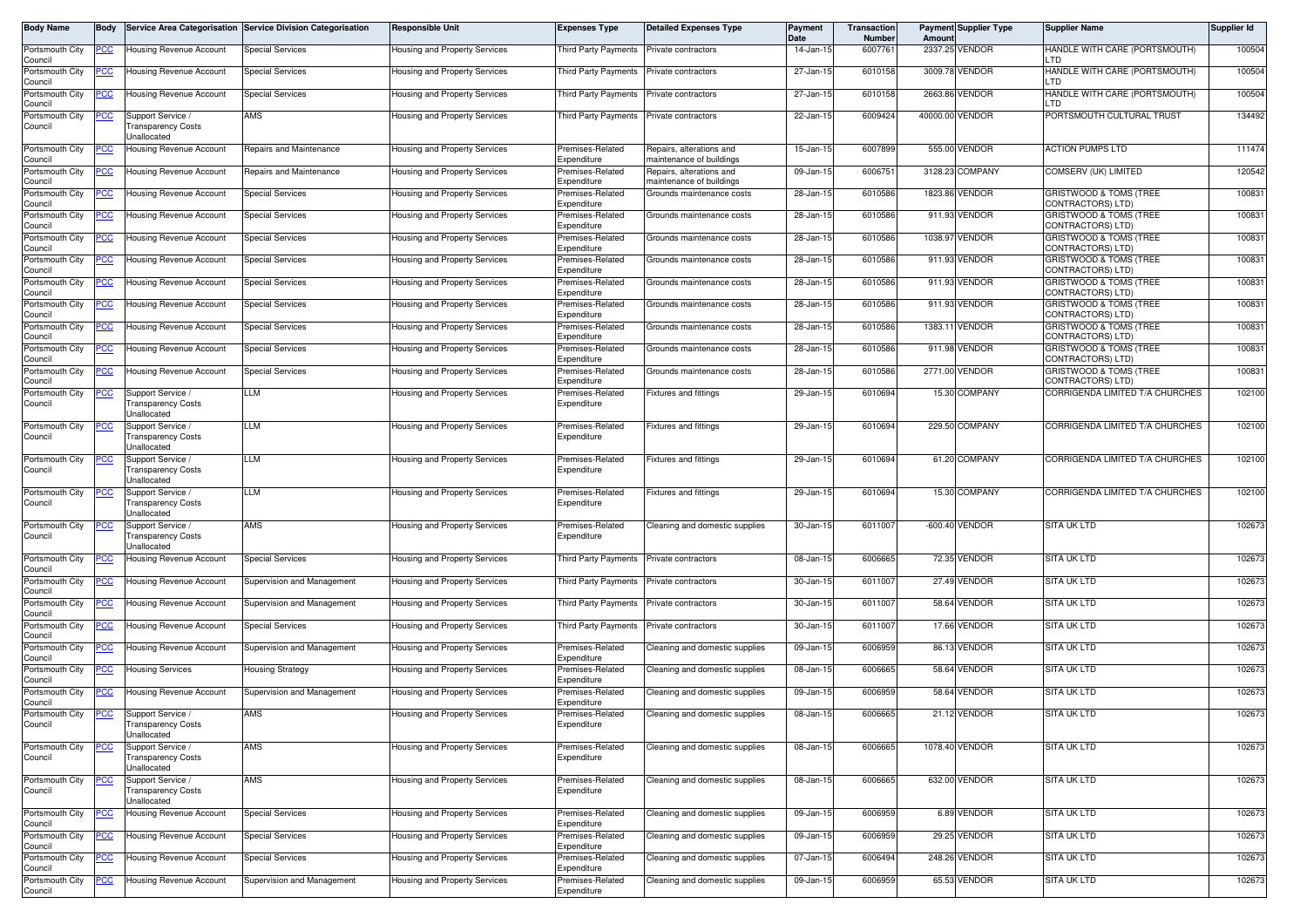| Body Name                  | <b>Body</b> |                                                                      | Service Area Categorisation Service Division Categorisation | <b>Responsible Unit</b>              | <b>Expenses Type</b>            | <b>Detailed Expenses Type</b>                        | <b>Payment</b><br>Date | Transaction<br>Number | Amount          | <b>Payment Supplier Type</b> | <b>Supplier Name</b>                                           | Supplier Id |
|----------------------------|-------------|----------------------------------------------------------------------|-------------------------------------------------------------|--------------------------------------|---------------------------------|------------------------------------------------------|------------------------|-----------------------|-----------------|------------------------------|----------------------------------------------------------------|-------------|
| Portsmouth City<br>Council | <u>PCC</u>  | Housing Revenue Account                                              | <b>Special Services</b>                                     | lousing and Property Services        | Third Party Payments            | Private contractors                                  | 14-Jan-15              | 6007761               |                 | 2337.25 VENDOR               | HANDLE WITH CARE (PORTSMOUTH)<br>LTD                           | 100504      |
| Portsmouth City<br>Council | <u>PCC</u>  | <b>Housing Revenue Account</b>                                       | <b>Special Services</b>                                     | Housing and Property Services        | Third Party Payments            | Private contractors                                  | 27-Jan-15              | 6010158               |                 | 3009.78 VENDOR               | HANDLE WITH CARE (PORTSMOUTH)<br>. TD                          | 100504      |
| Portsmouth City<br>Council |             | Housing Revenue Account                                              | Special Services                                            | Housing and Property Services        | <b>Third Party Payments</b>     | Private contractors                                  | 27-Jan-15              | 6010158               |                 | 2663.86 VENDOR               | HANDLE WITH CARE (PORTSMOUTH)<br>_TD                           | 100504      |
| Portsmouth City<br>Council | <u>PCC</u>  | Support Service /<br>Transparency Costs<br>Unallocated               | AMS                                                         | Housing and Property Services        | Third Party Payments            | Private contractors                                  | 22-Jan-15              | 6009424               | 40000.00 VENDOR |                              | PORTSMOUTH CULTURAL TRUST                                      | 134492      |
| Portsmouth City<br>Council | <u>'CC</u>  | Housing Revenue Account                                              | Repairs and Maintenance                                     | Housing and Property Services        | Premises-Related<br>Expenditure | Repairs, alterations and<br>maintenance of buildings | 15-Jan-15              | 6007899               |                 | 555.00 VENDOR                | <b>ACTION PUMPS LTD</b>                                        | 111474      |
| Portsmouth City<br>Council | <u>PCC</u>  | Housing Revenue Account                                              | Repairs and Maintenance                                     | Housing and Property Services        | Premises-Related<br>Expenditure | Repairs, alterations and<br>maintenance of buildings | 09-Jan-15              | 6006751               |                 | 3128.23 COMPANY              | COMSERV (UK) LIMITED                                           | 120542      |
| Portsmouth City<br>Council | <u>PCC</u>  | <b>Housing Revenue Account</b>                                       | Special Services                                            | Housing and Property Services        | Premises-Related<br>Expenditure | Grounds maintenance costs                            | 28-Jan-15              | 6010586               |                 | 1823.86 VENDOR               | GRISTWOOD & TOMS (TREE<br>CONTRACTORS) LTD)                    | 100831      |
| Portsmouth City<br>Council | <u>PCC</u>  | Housing Revenue Account                                              | <b>Special Services</b>                                     | <b>Housing and Property Services</b> | Premises-Related<br>Expenditure | Grounds maintenance costs                            | 28-Jan-15              | 6010586               |                 | 911.93 VENDOR                | <b>GRISTWOOD &amp; TOMS (TREE)</b><br><b>CONTRACTORS) LTD)</b> | 100831      |
| Portsmouth City<br>Council | <u>PCC</u>  | <b>Housing Revenue Account</b>                                       | <b>Special Services</b>                                     | Housing and Property Services        | Premises-Related<br>Expenditure | Grounds maintenance costs                            | 28-Jan-15              | 6010586               |                 | 1038.97 VENDOR               | GRISTWOOD & TOMS (TREE<br>CONTRACTORS) LTD)                    | 100831      |
| Portsmouth City<br>Council | <u>PCC</u>  | <b>Housing Revenue Account</b>                                       | <b>Special Services</b>                                     | Housing and Property Services        | Premises-Related<br>Expenditure | Grounds maintenance costs                            | 28-Jan-15              | 6010586               |                 | 911.93 VENDOR                | GRISTWOOD & TOMS (TREE<br>CONTRACTORS) LTD)                    | 100831      |
| Portsmouth City<br>Council | <u>'CC</u>  | Housing Revenue Account                                              | Special Services                                            | Housing and Property Services        | Premises-Related<br>Expenditure | Grounds maintenance costs                            | 28-Jan-15              | 6010586               |                 | 911.93 VENDOR                | GRISTWOOD & TOMS (TREE<br>CONTRACTORS) LTD)                    | 100831      |
| Portsmouth City<br>Council |             | Housing Revenue Account                                              | Special Services                                            | Housing and Property Services        | Premises-Related<br>Expenditure | Grounds maintenance costs                            | 28-Jan-15              | 6010586               |                 | 911.93 VENDOR                | GRISTWOOD & TOMS (TREE<br>CONTRACTORS) LTD)                    | 100831      |
| Portsmouth City<br>Council |             | <b>Housing Revenue Account</b>                                       | <b>Special Services</b>                                     | <b>Housing and Property Services</b> | Premises-Related<br>Expenditure | Grounds maintenance costs                            | 28-Jan-15              | 6010586               |                 | 1383.11 VENDOR               | GRISTWOOD & TOMS (TREE<br>CONTRACTORS) LTD)                    | 100831      |
| Portsmouth City<br>Council | PCC         | Housing Revenue Account                                              | <b>Special Services</b>                                     | Housing and Property Services        | Premises-Related<br>Expenditure | Grounds maintenance costs                            | 28-Jan-15              | 6010586               |                 | 911.98 VENDOR                | <b>GRISTWOOD &amp; TOMS (TREE</b><br>CONTRACTORS) LTD)         | 100831      |
| Portsmouth City<br>Council |             | Housing Revenue Account                                              | Special Services                                            | lousing and Property Services        | Premises-Related<br>Expenditure | Grounds maintenance costs                            | 28-Jan-15              | 6010586               |                 | 2771.00 VENDOR               | GRISTWOOD & TOMS (TREE<br>CONTRACTORS) LTD)                    | 100831      |
| Portsmouth City<br>Council | <u>PCC</u>  | Support Service<br>Transparency Costs<br><b>Jnallocated</b>          | LLM                                                         | <b>Housing and Property Services</b> | Premises-Related<br>Expenditure | <b>Fixtures and fittings</b>                         | 29-Jan-15              | 6010694               |                 | 15.30 COMPANY                | CORRIGENDA LIMITED T/A CHURCHES                                | 102100      |
| Portsmouth City<br>Council |             | Support Service<br>Transparency Costs<br><b>Jnallocated</b>          | LLM                                                         | Housing and Property Services        | Premises-Related<br>Expenditure | Fixtures and fittings                                | 29-Jan-15              | 6010694               |                 | 229.50 COMPANY               | CORRIGENDA LIMITED T/A CHURCHES                                | 102100      |
| Portsmouth City<br>Council | <u>PCC</u>  | Support Service /<br><b>Transparency Costs</b><br>Unallocated        | LLM                                                         | Housing and Property Services        | Premises-Related<br>Expenditure | <b>Fixtures and fittings</b>                         | 29-Jan-15              | 6010694               |                 | 61.20 COMPANY                | CORRIGENDA LIMITED T/A CHURCHES                                | 102100      |
| Portsmouth City<br>Council | <u>PCC</u>  | Support Service /<br><b>Transparency Costs</b><br>Unallocated        | LLM                                                         | Housing and Property Services        | Premises-Related<br>Expenditure | ixtures and fittings                                 | 29-Jan-15              | 6010694               |                 | 15.30 COMPANY                | CORRIGENDA LIMITED T/A CHURCHES                                | 102100      |
| Portsmouth City<br>Council | <u>PCC </u> | Support Service /<br>Fransparency Costs<br>Jnallocated               | AMS                                                         | Housing and Property Services        | Premises-Related<br>Expenditure | Cleaning and domestic supplies                       | 30-Jan-15              | 6011007               |                 | -600.40 VENDOR               | <b>SITA UK LTD</b>                                             | 102673      |
| Portsmouth City<br>Council |             | Housing Revenue Account                                              | <b>Special Services</b>                                     | Housing and Property Services        | <b>Third Party Payments</b>     | Private contractors                                  | 08-Jan-15              | 6006665               |                 | 72.35 VENDOR                 | SITA UK LTD                                                    | 102673      |
| Portsmouth City<br>Council | <u>PCC </u> | <b>Housing Revenue Account</b>                                       | Supervision and Management                                  | Housing and Property Services        | Third Party Payments            | Private contractors                                  | 30-Jan-15              | 6011007               |                 | 27.49 VENDOR                 | <b>SITA UK LTD</b>                                             | 102673      |
| Portsmouth City<br>Council | <u>PCC</u>  | Housing Revenue Account                                              | Supervision and Management                                  | Housing and Property Services        | <b>Third Party Payments</b>     | Private contractors                                  | 30-Jan-15              | 6011007               |                 | 58.64 VENDOR                 | <b>SITA UK LTD</b>                                             | 102673      |
| Portsmouth City<br>Council | <u>PCC</u>  | Housing Revenue Account                                              | <b>Special Services</b>                                     | Housing and Property Services        | Third Party Payments            | Private contractors                                  | 30-Jan-15              | 6011007               |                 | 17.66 VENDOR                 | <b>SITA UK LTD</b>                                             | 102673      |
| Portsmouth City<br>Council | <u>PCC</u>  | Housing Revenue Account                                              | Supervision and Management                                  | Housing and Property Services        | Premises-Related<br>Expenditure | Cleaning and domestic supplies                       | 09-Jan-15              | 6006959               |                 | 86.13 VENDOR                 | <b>SITA UK LTD</b>                                             | 102673      |
| Portsmouth City<br>Council | <u>PCC </u> | <b>Housing Services</b>                                              | Housing Strategy                                            | Housing and Property Services        | Premises-Related<br>Expenditure | Cleaning and domestic supplies                       | 08-Jan-15              | 6006665               |                 | 58.64 VENDOR                 | <b>SITA UK LTD</b>                                             | 102673      |
| Portsmouth City<br>Council | <u>PCC</u>  | <b>Housing Revenue Account</b>                                       | Supervision and Management                                  | Housing and Property Services        | Premises-Related<br>Expenditure | Cleaning and domestic supplies                       | 09-Jan-15              | 6006959               |                 | 58.64 VENDOR                 | <b>SITA UK LTD</b>                                             | 102673      |
| Portsmouth City<br>Council | <u>PCC</u>  | Support Service<br><b>Transparency Costs</b><br>Unallocated          | AMS                                                         | Housing and Property Services        | Premises-Related<br>Expenditure | Cleaning and domestic supplies                       | 08-Jan-15              | 6006665               |                 | 21.12 VENDOR                 | <b>SITA UK LTD</b>                                             | 102673      |
| Portsmouth City<br>Council | <u>PCC</u>  | Support Service /<br><b>Transparency Costs</b><br><b>Jnallocated</b> | <b>AMS</b>                                                  | lousing and Property Services        | Premises-Related<br>Expenditure | Cleaning and domestic supplies                       | 08-Jan-15              | 6006665               |                 | 1078.40 VENDOR               | <b>SITA UK LTD</b>                                             | 102673      |
| Portsmouth City<br>Council |             | Support Service /<br><b>Transparency Costs</b><br>Unallocated        | AMS                                                         | lousing and Property Services        | Premises-Related<br>Expenditure | Cleaning and domestic supplies                       | 08-Jan-15              | 6006665               |                 | 632.00 VENDOR                | SITA UK LTD                                                    | 102673      |
| Portsmouth City<br>Council | <u> РСС</u> | Housing Revenue Account                                              | <b>Special Services</b>                                     | lousing and Property Services        | Premises-Related<br>Expenditure | Cleaning and domestic supplies                       | 09-Jan-15              | 6006959               |                 | 6.89 VENDOR                  | <b>SITA UK LTD</b>                                             | 102673      |
| Portsmouth City<br>Council |             | Housing Revenue Account                                              | <b>Special Services</b>                                     | lousing and Property Services        | Premises-Related<br>Expenditure | Cleaning and domestic supplies                       | 09-Jan-15              | 6006959               |                 | 29.25 VENDOR                 | SITA UK LTD                                                    | 102673      |
| Portsmouth City<br>Council | <u>PCC</u>  | Housing Revenue Account                                              | <b>Special Services</b>                                     | lousing and Property Services        | Premises-Related<br>Expenditure | Cleaning and domestic supplies                       | 07-Jan-15              | 6006494               |                 | 248.26 VENDOR                | SITA UK LTD                                                    | 102673      |
| Portsmouth City<br>Council | <u>PCC</u>  | Housing Revenue Account                                              | Supervision and Management                                  | Housing and Property Services        | Premises-Related<br>Expenditure | Cleaning and domestic supplies                       | 09-Jan-15              | 6006959               |                 | 65.53 VENDOR                 | <b>SITA UK LTD</b>                                             | 102673      |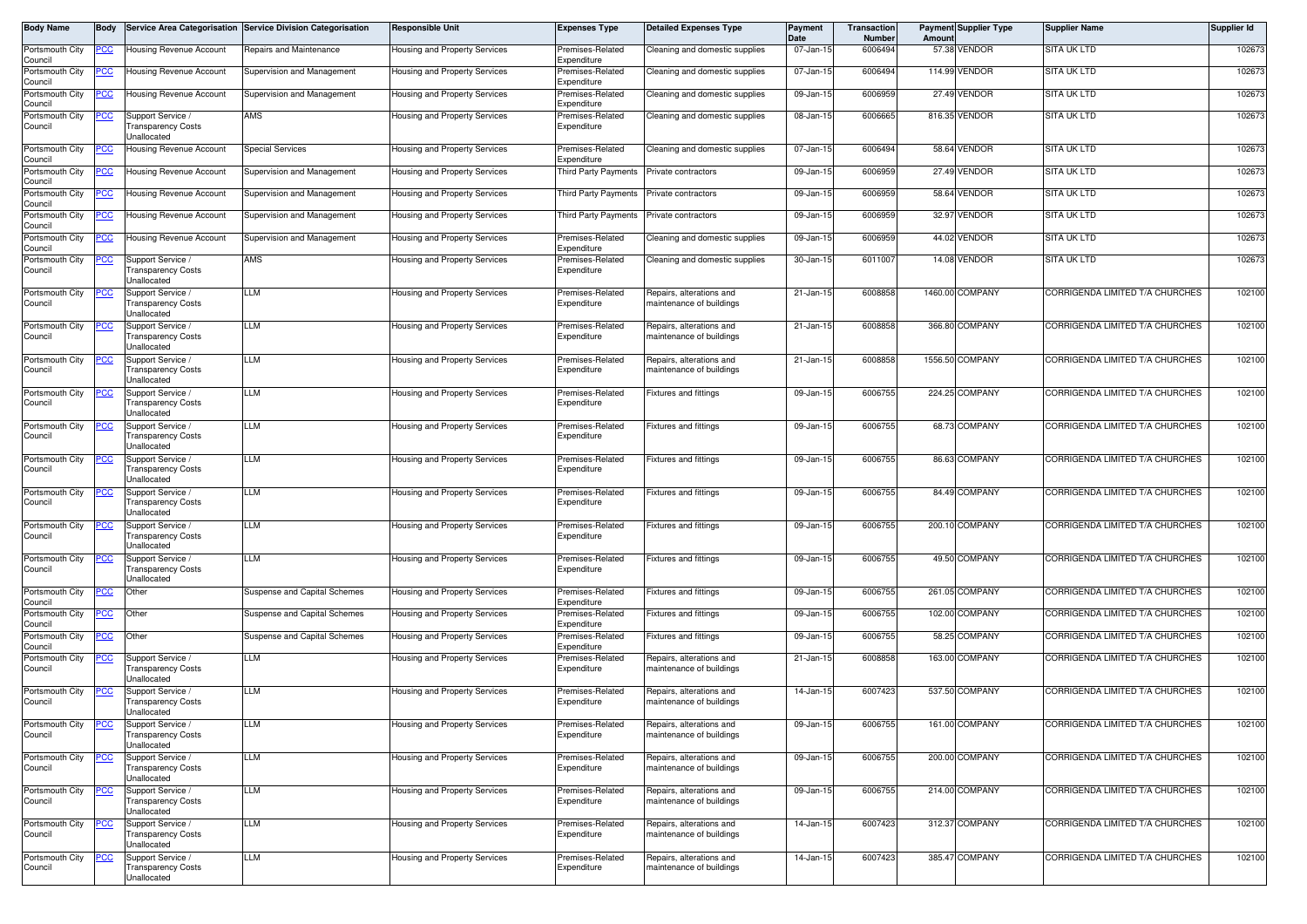| Body Name                  | Body       |                                                               | Service Area Categorisation Service Division Categorisation | <b>Responsible Unit</b>              | <b>Expenses Type</b>            | Detailed Expenses Type                               | Payment<br>Date | Transaction<br><b>Number</b> | Amount | <b>Payment Supplier Type</b> | <b>Supplier Name</b>            | Supplier Id |
|----------------------------|------------|---------------------------------------------------------------|-------------------------------------------------------------|--------------------------------------|---------------------------------|------------------------------------------------------|-----------------|------------------------------|--------|------------------------------|---------------------------------|-------------|
| Portsmouth City<br>Council | 'CC        | Housing Revenue Account                                       | Repairs and Maintenance                                     | <b>Housing and Property Services</b> | Premises-Related<br>Expenditure | Cleaning and domestic supplies                       | 07-Jan-15       | 6006494                      | 57.38  | Vendor                       | SITA UK LTD                     | 102673      |
| Portsmouth City<br>Council | CC         | <b>Housing Revenue Account</b>                                | Supervision and Management                                  | Housing and Property Services        | Premises-Related<br>Expenditure | Cleaning and domestic supplies                       | 07-Jan-15       | 6006494                      |        | 114.99 VENDOR                | <b>SITA UK LTD</b>              | 102673      |
| Portsmouth City<br>Council | <u>CC </u> | Housing Revenue Account                                       | Supervision and Management                                  | Housing and Property Services        | Premises-Related<br>Expenditure | Cleaning and domestic supplies                       | 09-Jan-15       | 6006959                      |        | 27.49 VENDOR                 | SITA UK LTD                     | 102673      |
| Portsmouth City<br>Council |            | Support Service<br>Fransparency Costs<br>Unallocated          | AMS                                                         | Housing and Property Services        | Premises-Related<br>Expenditure | Cleaning and domestic supplies                       | 08-Jan-15       | 6006665                      |        | 816.35 VENDOR                | <b>SITA UK LTD</b>              | 102673      |
| Portsmouth City<br>Council |            | Housing Revenue Account                                       | Special Services                                            | Housing and Property Services        | Premises-Related<br>Expenditure | Cleaning and domestic supplies                       | 07-Jan-15       | 6006494                      |        | 58.64 VENDOR                 | <b>SITA UK LTD</b>              | 102673      |
| Portsmouth City<br>Council |            | Housing Revenue Account                                       | Supervision and Management                                  | Housing and Property Services        | <b>Third Party Payments</b>     | Private contractors                                  | 09-Jan-15       | 6006959                      |        | 27.49 VENDOR                 | <b>SITA UK LTD</b>              | 102673      |
| Portsmouth City<br>Council | <u>CC </u> | Housing Revenue Account                                       | Supervision and Management                                  | Housing and Property Services        | <b>Third Party Payments</b>     | Private contractors                                  | 09-Jan-15       | 6006959                      | 58.64  | VENDOR                       | <b>SITA UK LTD</b>              | 102673      |
| Portsmouth City<br>Council | <u>cc</u>  | Housing Revenue Account                                       | Supervision and Management                                  | Housing and Property Services        | Third Party Payments            | Private contractors                                  | 09-Jan-15       | 6006959                      | 32.97  | VENDOR                       | SITA UK LTD                     | 102673      |
| Portsmouth City<br>Council | <u>CC</u>  | <b>Housing Revenue Account</b>                                | Supervision and Management                                  | Housing and Property Services        | Premises-Related<br>Expenditure | Cleaning and domestic supplies                       | 09-Jan-15       | 6006959                      |        | 44.02 VENDOR                 | <b>SITA UK LTD</b>              | 102673      |
| Portsmouth City<br>Council | <u>CC </u> | Support Service<br>Transparency Costs<br>Unallocated          | AMS                                                         | Housing and Property Services        | Premises-Related<br>Expenditure | Cleaning and domestic supplies                       | 30-Jan-15       | 6011007                      |        | 14.08 VENDOR                 | <b>SITA UK LTD</b>              | 102673      |
| Portsmouth City<br>Council |            | Support Service /<br>Transparency Costs<br>Unallocated        | LLM                                                         | Housing and Property Services        | Premises-Related<br>Expenditure | Repairs, alterations and<br>naintenance of buildings | 21-Jan-15       | 6008858                      |        | 1460.00 COMPANY              | CORRIGENDA LIMITED T/A CHURCHES | 102100      |
| Portsmouth City<br>Council | cс         | Support Service /<br><b>Transparency Costs</b><br>Unallocated | LLM                                                         | Housing and Property Services        | Premises-Related<br>Expenditure | Repairs, alterations and<br>naintenance of buildings | 21-Jan-15       | 6008858                      |        | 366.80 COMPANY               | CORRIGENDA LIMITED T/A CHURCHES | 102100      |
| Portsmouth City<br>Council |            | Support Service /<br>Fransparency Costs<br>Unallocated        | LLM                                                         | Housing and Property Services        | Premises-Related<br>Expenditure | Repairs, alterations and<br>naintenance of buildings | 21-Jan-15       | 6008858                      |        | 1556.50 COMPANY              | CORRIGENDA LIMITED T/A CHURCHES | 102100      |
| Portsmouth City<br>Council | <u>cc</u>  | Support Service<br><b>Transparency Costs</b><br>Unallocated   | LLM                                                         | Housing and Property Services        | Premises-Related<br>Expenditure | Fixtures and fittings                                | 09-Jan-15       | 6006755                      |        | 224.25 COMPANY               | CORRIGENDA LIMITED T/A CHURCHES | 102100      |
| Portsmouth City<br>Council |            | Support Service<br>Transparency Costs<br>Unallocated          | LLM                                                         | Housing and Property Services        | Premises-Related<br>Expenditure | Fixtures and fittings                                | 09-Jan-15       | 6006755                      |        | 68.73 COMPANY                | CORRIGENDA LIMITED T/A CHURCHES | 102100      |
| Portsmouth City<br>Council | <u>PCC</u> | Support Service /<br><b>Transparency Costs</b><br>Unallocated | LLM                                                         | Housing and Property Services        | Premises-Related<br>Expenditure | -ixtures and fittings                                | 09-Jan-15       | 6006755                      |        | 86.63 COMPANY                | CORRIGENDA LIMITED T/A CHURCHES | 102100      |
| Portsmouth City<br>Council | <u>CC</u>  | Support Service<br>Transparency Costs<br><b>Jnallocated</b>   | LLM                                                         | Housing and Property Services        | Premises-Related<br>Expenditure | Fixtures and fittings                                | 09-Jan-15       | 6006755                      |        | 84.49 COMPANY                | CORRIGENDA LIMITED T/A CHURCHES | 102100      |
| Portsmouth City<br>Council | <u>CC</u>  | Support Service<br>Fransparency Costs<br>Unallocated          | LLM                                                         | Housing and Property Services        | Premises-Related<br>Expenditure | Fixtures and fittings                                | 09-Jan-15       | 6006755                      |        | 200.10 COMPANY               | CORRIGENDA LIMITED T/A CHURCHES | 102100      |
| Portsmouth City<br>Council |            | Support Service /<br>Transparency Costs<br>Unallocated        | LLM                                                         | Housing and Property Services        | Premises-Related<br>Expenditure | Fixtures and fittings                                | 09-Jan-15       | 6006755                      |        | 49.50 COMPANY                | CORRIGENDA LIMITED T/A CHURCHES | 102100      |
| Portsmouth City<br>Council | сc         | Other                                                         | Suspense and Capital Schemes                                | Housing and Property Services        | Premises-Related<br>Expenditure | Fixtures and fittings                                | 09-Jan-15       | 6006755                      |        | 261.05 COMPANY               | CORRIGENDA LIMITED T/A CHURCHES | 102100      |
| Portsmouth City<br>Council | <u>cc</u>  | Other                                                         | Suspense and Capital Schemes                                | Housing and Property Services        | Premises-Related<br>Expenditure | Fixtures and fittings                                | 09-Jan-15       | 6006755                      |        | 102.00 COMPANY               | CORRIGENDA LIMITED T/A CHURCHES | 102100      |
| Portsmouth City<br>Council | <u>CC </u> | Other                                                         | <b>Suspense and Capital Schemes</b>                         | Housing and Property Services        | Premises-Related<br>Expenditure | Fixtures and fittings                                | 09-Jan-15       | 6006755                      |        | 58.25 COMPANY                | CORRIGENDA LIMITED T/A CHURCHES | 102100      |
| Portsmouth City<br>Council | <u>CC</u>  | Support Service /<br>Transparency Costs<br><b>Jnallocated</b> | LLM                                                         | Housing and Property Services        | Premises-Related<br>Expenditure | Repairs, alterations and<br>naintenance of buildings | 21-Jan-15       | 6008858                      |        | 163.00 COMPANY               | CORRIGENDA LIMITED T/A CHURCHES | 102100      |
| Portsmouth City<br>Council |            | Support Service<br>Transparency Costs<br>Unallocated          | LLM                                                         | Housing and Property Services        | Premises-Related<br>Expenditure | Repairs, alterations and<br>naintenance of buildings | 14-Jan-15       | 6007423                      |        | 537.50 COMPANY               | CORRIGENDA LIMITED T/A CHURCHES | 102100      |
| Portsmouth City<br>Council |            | Support Service /<br><b>Transparency Costs</b><br>Unallocated | LLM                                                         | Housing and Property Services        | Premises-Related<br>Expenditure | Repairs, alterations and<br>maintenance of buildings | 09-Jan-15       | 6006755                      |        | 161.00 COMPANY               | CORRIGENDA LIMITED T/A CHURCHES | 102100      |
| Portsmouth City<br>Council | <u>'CC</u> | Support Service /<br><b>Transparency Costs</b><br>Unallocated | LLM                                                         | Housing and Property Services        | Premises-Related<br>Expenditure | Repairs, alterations and<br>maintenance of buildings | 09-Jan-15       | 6006755                      |        | 200.00 COMPANY               | CORRIGENDA LIMITED T/A CHURCHES | 102100      |
| Portsmouth City<br>Council | <u>CC</u>  | Support Service /<br><b>Transparency Costs</b><br>Unallocated | LLM                                                         | Housing and Property Services        | Premises-Related<br>Expenditure | Repairs, alterations and<br>maintenance of buildings | 09-Jan-15       | 6006755                      |        | 214.00 COMPANY               | CORRIGENDA LIMITED T/A CHURCHES | 102100      |
| Portsmouth City<br>Council | <u>'CC</u> | Support Service /<br><b>Transparency Costs</b><br>Unallocated | LLM                                                         | Housing and Property Services        | Premises-Related<br>Expenditure | Repairs, alterations and<br>naintenance of buildings | 14-Jan-15       | 6007423                      |        | 312.37 COMPANY               | CORRIGENDA LIMITED T/A CHURCHES | 102100      |
| Portsmouth City<br>Council | <u>'CC</u> | Support Service /<br><b>Transparency Costs</b><br>Unallocated | LLM                                                         | Housing and Property Services        | Premises-Related<br>Expenditure | Repairs, alterations and<br>maintenance of buildings | 14-Jan-15       | 6007423                      |        | 385.47 COMPANY               | CORRIGENDA LIMITED T/A CHURCHES | 102100      |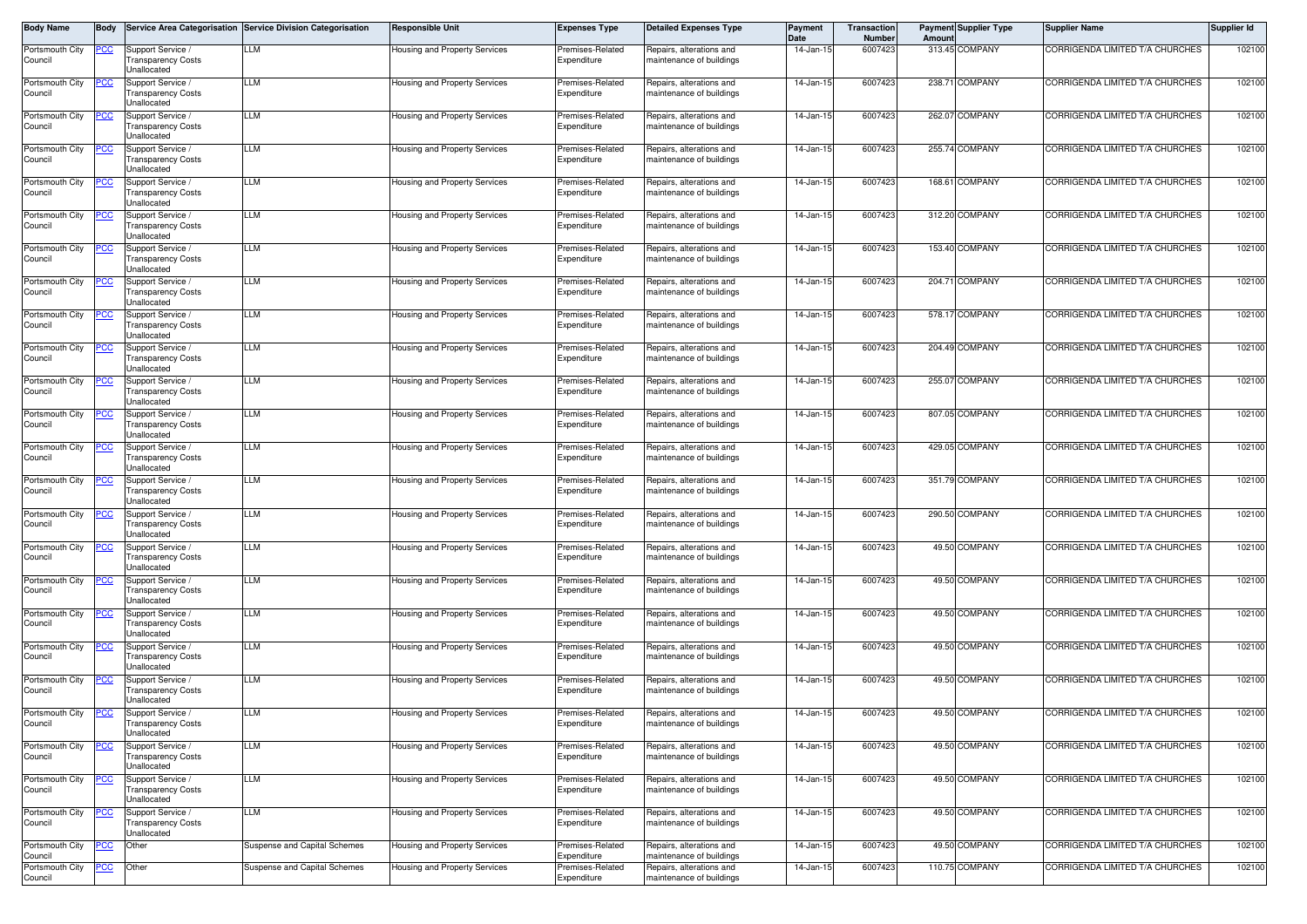| Body Name                  | Body       |                                                                    | Service Area Categorisation Service Division Categorisation | <b>Responsible Unit</b>              | <b>Expenses Type</b>            | <b>Detailed Expenses Type</b>                        | Payment<br>Date | <b>Transaction</b><br><b>Number</b> | Amoun  | <b>Payment Supplier Type</b> | <b>Supplier Name</b>            | Supplier Id |
|----------------------------|------------|--------------------------------------------------------------------|-------------------------------------------------------------|--------------------------------------|---------------------------------|------------------------------------------------------|-----------------|-------------------------------------|--------|------------------------------|---------------------------------|-------------|
| Portsmouth City<br>Council | PСC        | Support Service<br><b>Transparency Costs</b><br>Unallocated        | LLM                                                         | Housing and Property Services        | Premises-Related<br>Expenditure | Repairs, alterations and<br>maintenance of buildings | 14-Jan-1        | 6007423                             |        | 313.45 COMPANY               | CORRIGENDA LIMITED T/A CHURCHES | 102100      |
| Portsmouth City<br>Council | °СС        | Support Service<br><b>Transparency Costs</b><br>Unallocated        | LLM                                                         | Housing and Property Services        | Premises-Related<br>Expenditure | Repairs, alterations and<br>maintenance of buildings | 14-Jan-15       | 6007423                             |        | 238.71 COMPANY               | CORRIGENDA LIMITED T/A CHURCHES | 102100      |
| Portsmouth City<br>Council | <u>'СС</u> | Support Service<br><b>Transparency Costs</b><br><b>Jnallocated</b> | LLM                                                         | Housing and Property Services        | Premises-Related<br>Expenditure | Repairs, alterations and<br>maintenance of buildings | $14$ -Jan-1     | 6007423                             |        | 262.07 COMPANY               | CORRIGENDA LIMITED T/A CHURCHES | 102100      |
| Portsmouth City<br>Council | cс         | Support Service<br><b>Transparency Costs</b><br>Unallocated        | LLM                                                         | Housing and Property Services        | Premises-Related<br>Expenditure | Repairs, alterations and<br>maintenance of buildings | 14-Jan-1        | 6007423                             |        | 255.74 COMPANY               | CORRIGENDA LIMITED T/A CHURCHES | 102100      |
| Portsmouth City<br>Council | <u>'СС</u> | Support Service /<br><b>Transparency Costs</b><br>Unallocated      | LLM                                                         | Housing and Property Services        | Premises-Related<br>Expenditure | Repairs, alterations and<br>maintenance of buildings | 14-Jan-15       | 6007423                             |        | 168.61 COMPANY               | CORRIGENDA LIMITED T/A CHURCHES | 102100      |
| Portsmouth City<br>Council | cс         | Support Service /<br><b>Transparency Costs</b><br>Unallocated      | LLM                                                         | Housing and Property Services        | Premises-Related<br>Expenditure | Repairs, alterations and<br>maintenance of buildings | 14-Jan-15       | 6007423                             |        | 312.20 COMPANY               | CORRIGENDA LIMITED T/A CHURCHES | 102100      |
| Portsmouth City<br>Council |            | Support Service<br><b>Transparency Costs</b><br><b>Jnallocated</b> | LLM                                                         | Housing and Property Services        | Premises-Related<br>Expenditure | Repairs, alterations and<br>maintenance of buildings | 14-Jan-15       | 6007423                             |        | 153.40 COMPANY               | CORRIGENDA LIMITED T/A CHURCHES | 102100      |
| Portsmouth City<br>Council | °СС        | Support Service<br><b>Transparency Costs</b><br>Unallocated        | LLM                                                         | Housing and Property Services        | Premises-Related<br>Expenditure | Repairs, alterations and<br>maintenance of buildings | 14-Jan-1        | 6007423                             |        | 204.71 COMPANY               | CORRIGENDA LIMITED T/A CHURCHES | 102100      |
| Portsmouth City<br>Council |            | Support Service<br><b>Transparency Costs</b><br>Unallocated        | LLM                                                         | Housing and Property Services        | Premises-Related<br>Expenditure | Repairs, alterations and<br>maintenance of buildings | 14-Jan-15       | 6007423                             |        | 578.17 COMPANY               | CORRIGENDA LIMITED T/A CHURCHES | 102100      |
| Portsmouth City<br>Council | сC         | Support Service<br><b>Transparency Costs</b><br><b>Jnallocated</b> | LLM                                                         | Housing and Property Services        | Premises-Related<br>Expenditure | Repairs, alterations and<br>maintenance of buildings | 14-Jan-1        | 6007423                             |        | 204.49 COMPANY               | CORRIGENDA LIMITED T/A CHURCHES | 102100      |
| Portsmouth City<br>Council |            | Support Service<br><b>Transparency Costs</b><br>Unallocated        | LLM                                                         | Housing and Property Services        | Premises-Related<br>Expenditure | Repairs, alterations and<br>maintenance of buildings | 14-Jan-15       | 6007423                             | 255.07 | <b>COMPANY</b>               | CORRIGENDA LIMITED T/A CHURCHES | 102100      |
| Portsmouth City<br>Council | сC         | Support Service<br><b>Transparency Costs</b><br><b>Jnallocated</b> | LLM                                                         | Housing and Property Services        | Premises-Related<br>Expenditure | Repairs, alterations and<br>maintenance of buildings | 14-Jan-1        | 6007423                             |        | 807.05 COMPANY               | CORRIGENDA LIMITED T/A CHURCHES | 102100      |
| Portsmouth City<br>Council |            | Support Service<br><b>Transparency Costs</b><br>Unallocated        | LLM                                                         | Housing and Property Services        | Premises-Related<br>Expenditure | Repairs, alterations and<br>maintenance of buildings | $14 - Jan-1$    | 6007423                             |        | 429.05 COMPANY               | CORRIGENDA LIMITED T/A CHURCHES | 102100      |
| Portsmouth City<br>Council | <u>'CC</u> | Support Service /<br>Fransparency Costs<br>Unallocated             | LLM                                                         | Housing and Property Services        | Premises-Related<br>Expenditure | Repairs, alterations and<br>maintenance of buildings | 14-Jan-15       | 6007423                             |        | 351.79 COMPANY               | CORRIGENDA LIMITED T/A CHURCHES | 102100      |
| Portsmouth City<br>Council | <u>cc</u>  | Support Service<br>Transparency Costs<br>Unallocated               | LLM                                                         | <b>Housing and Property Services</b> | Premises-Related<br>Expenditure | Repairs, alterations and<br>maintenance of buildings | 14-Jan-15       | 6007423                             |        | 290.50 COMPANY               | CORRIGENDA LIMITED T/A CHURCHES | 102100      |
| Portsmouth City<br>Council |            | Support Service<br>Transparency Costs<br>Unallocated               | LLM                                                         | Housing and Property Services        | Premises-Related<br>Expenditure | Repairs, alterations and<br>maintenance of buildings | 14-Jan-15       | 6007423                             |        | 49.50 COMPANY                | CORRIGENDA LIMITED T/A CHURCHES | 102100      |
| Portsmouth City<br>Council | <u>CC</u>  | Support Service<br>Fransparency Costs<br>Unallocated               | LLM                                                         | Housing and Property Services        | Premises-Related<br>Expenditure | Repairs, alterations and<br>maintenance of buildings | $14$ -Jan-1     | 6007423                             |        | 49.50 COMPANY                | CORRIGENDA LIMITED T/A CHURCHES | 102100      |
| Portsmouth City<br>Council | 'CC        | Support Service<br><b>Transparency Costs</b><br>Unallocated        | LLM                                                         | Housing and Property Services        | Premises-Related<br>Expenditure | Repairs, alterations and<br>maintenance of buildings | 14-Jan-15       | 6007423                             |        | 49.50 COMPANY                | CORRIGENDA LIMITED T/A CHURCHES | 102100      |
| Portsmouth City<br>Council | <u>'CC</u> | Support Service<br><b>Transparency Costs</b><br><b>Jnallocated</b> | LLM                                                         | Housing and Property Services        | Premises-Related<br>Expenditure | Repairs, alterations and<br>maintenance of buildings | 14-Jan-1        | 6007423                             |        | 49.50 COMPANY                | CORRIGENDA LIMITED T/A CHURCHES | 102100      |
| Portsmouth City<br>Council |            | Support Service<br>Transparency Costs<br>Unallocated               | LLM                                                         | Housing and Property Services        | Premises-Related<br>Expenditure | Repairs, alterations and<br>maintenance of buildings | 14-Jan-1        | 6007423                             |        | 49.50 COMPANY                | CORRIGENDA LIMITED T/A CHURCHES | 102100      |
| Portsmouth City<br>COUNCIL | <u>PCC</u> | Support Service /<br>Fransparency Costs<br>Unallocated             | LLM                                                         | Housing and Property Services        | Premises-Related<br>Expenaiture | Repairs, alterations and<br>naintenance or buildings | 14-Jan-15       | 6007423                             |        | 49.50 COMPANY                | CORRIGENDA LIMITED T/A CHURCHES | 102100      |
| Portsmouth City<br>Council | <u>cc</u>  | Support Service /<br><b>Transparency Costs</b><br>Unallocated      | LLM                                                         | Housing and Property Services        | Premises-Related<br>Expenditure | Repairs, alterations and<br>maintenance of buildings | 14-Jan-15       | 6007423                             |        | 49.50 COMPANY                | CORRIGENDA LIMITED T/A CHURCHES | 102100      |
| Portsmouth City<br>Council | <u>CC</u>  | Support Service /<br><b>Transparency Costs</b><br>Unallocated      | LLM                                                         | Housing and Property Services        | Premises-Related<br>Expenditure | Repairs, alterations and<br>maintenance of buildings | 14-Jan-15       | 6007423                             |        | 49.50 COMPANY                | CORRIGENDA LIMITED T/A CHURCHES | 102100      |
| Portsmouth City<br>Council | <u>CC</u>  | Support Service /<br><b>Transparency Costs</b><br>Unallocated      | LLM                                                         | Housing and Property Services        | Premises-Related<br>Expenditure | Repairs, alterations and<br>maintenance of buildings | 14-Jan-15       | 6007423                             |        | 49.50 COMPANY                | CORRIGENDA LIMITED T/A CHURCHES | 102100      |
| Portsmouth City<br>Council | CC         | Other                                                              | Suspense and Capital Schemes                                | Housing and Property Services        | Premises-Related<br>Expenditure | Repairs, alterations and<br>maintenance of buildings | 14-Jan-15       | 6007423                             |        | 49.50 COMPANY                | CORRIGENDA LIMITED T/A CHURCHES | 102100      |
| Portsmouth City<br>Council | <u>CC</u>  | Other                                                              | <b>Suspense and Capital Schemes</b>                         | Housing and Property Services        | Premises-Related<br>Expenditure | Repairs, alterations and<br>maintenance of buildings | 14-Jan-15       | 6007423                             |        | 110.75 COMPANY               | CORRIGENDA LIMITED T/A CHURCHES | 102100      |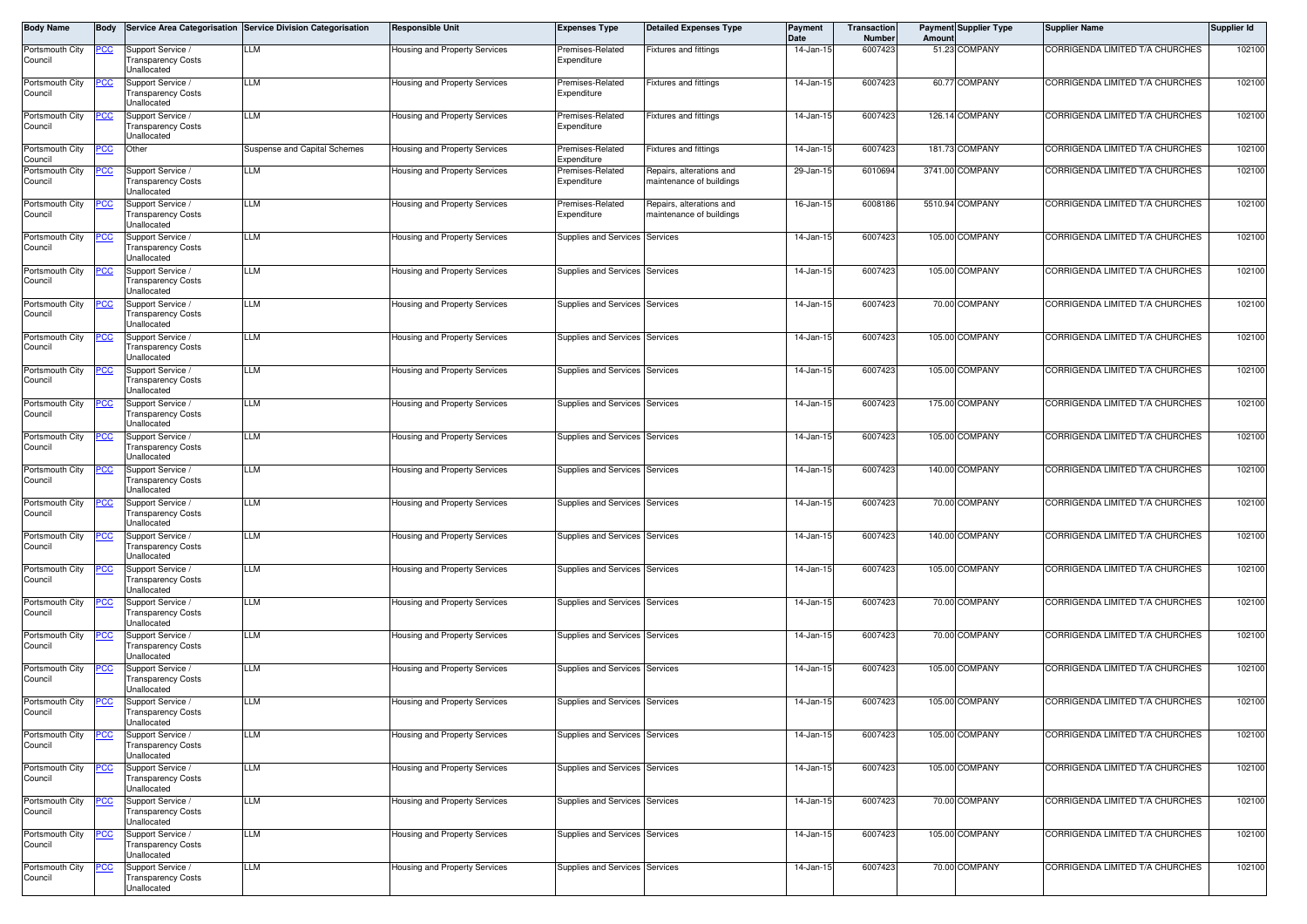| Body Name                  | Body       |                                                               | Service Area Categorisation Service Division Categorisation | <b>Responsible Unit</b>              | <b>Expenses Type</b>            | <b>Detailed Expenses Type</b>                        | <b>Payment</b><br>Date | Transaction<br><b>Number</b> | Amount | <b>Payment Supplier Type</b> | <b>Supplier Name</b>            | Supplier Id |
|----------------------------|------------|---------------------------------------------------------------|-------------------------------------------------------------|--------------------------------------|---------------------------------|------------------------------------------------------|------------------------|------------------------------|--------|------------------------------|---------------------------------|-------------|
| Portsmouth City<br>Council | <u>PCC</u> | Support Service /<br><b>Transparency Costs</b><br>Jnallocated | LLM                                                         | Housing and Property Services        | Premises-Related<br>Expenditure | Fixtures and fittings                                | 14-Jan-15              | 6007423                      |        | 51.23 COMPANY                | CORRIGENDA LIMITED T/A CHURCHES | 102100      |
| Portsmouth City<br>Council |            | Support Service<br><b>Transparency Costs</b><br>Unallocated   | LLM                                                         | Housing and Property Services        | Premises-Related<br>Expenditure | Fixtures and fittings                                | 14-Jan-15              | 6007423                      |        | 60.77 COMPANY                | CORRIGENDA LIMITED T/A CHURCHES | 102100      |
| Portsmouth City<br>Council |            | Support Service /<br><b>Transparency Costs</b><br>Unallocated | LLM                                                         | Housing and Property Services        | Premises-Related<br>Expenditure | <b>Fixtures and fittings</b>                         | 14-Jan-15              | 6007423                      |        | 126.14 COMPANY               | CORRIGENDA LIMITED T/A CHURCHES | 102100      |
| Portsmouth City<br>Council | °СС        | Other                                                         | Suspense and Capital Schemes                                | Housing and Property Services        | Premises-Related<br>Expenditure | Fixtures and fittings                                | 14-Jan-15              | 6007423                      |        | 181.73 COMPANY               | CORRIGENDA LIMITED T/A CHURCHES | 102100      |
| Portsmouth City<br>Council | cс         | Support Service<br><b>Transparency Costs</b><br>Jnallocated   | LLM                                                         | Housing and Property Services        | Premises-Related<br>Expenditure | Repairs, alterations and<br>maintenance of buildings | 29-Jan-15              | 6010694                      |        | 3741.00 COMPANY              | CORRIGENDA LIMITED T/A CHURCHES | 102100      |
| Portsmouth City<br>Council |            | Support Service<br><b>Transparency Costs</b><br>Unallocated   | LLM                                                         | Housing and Property Services        | Premises-Related<br>Expenditure | Repairs, alterations and<br>maintenance of buildings | 16-Jan-15              | 6008186                      |        | 5510.94 COMPANY              | CORRIGENDA LIMITED T/A CHURCHES | 102100      |
| Portsmouth City<br>Council | <u>'СС</u> | Support Service /<br><b>Transparency Costs</b><br>Jnallocated | LLM                                                         | Housing and Property Services        | Supplies and Services           | Services                                             | 14-Jan-15              | 6007423                      |        | 105.00 COMPANY               | CORRIGENDA LIMITED T/A CHURCHES | 102100      |
| Portsmouth City<br>Council | cс         | Support Service /<br><b>Transparency Costs</b><br>Unallocated | LLM                                                         | Housing and Property Services        | Supplies and Services           | Services                                             | 14-Jan-15              | 6007423                      |        | 105.00 COMPANY               | CORRIGENDA LIMITED T/A CHURCHES | 102100      |
| Portsmouth City<br>Council | <u>cc</u>  | Support Service /<br>Fransparency Costs<br>Jnallocated        | LLM                                                         | Housing and Property Services        | Supplies and Services Services  |                                                      | 14-Jan-15              | 6007423                      |        | 70.00 COMPANY                | CORRIGENDA LIMITED T/A CHURCHES | 102100      |
| Portsmouth City<br>Council | cс         | Support Service /<br><b>Transparency Costs</b><br>Unallocated | LLM                                                         | Housing and Property Services        | Supplies and Services Services  |                                                      | 14-Jan-15              | 6007423                      |        | 105.00 COMPANY               | CORRIGENDA LIMITED T/A CHURCHES | 102100      |
| Portsmouth City<br>Council | °СС        | Support Service /<br><b>Transparency Costs</b><br>Unallocated | LLM                                                         | Housing and Property Services        | Supplies and Services           | Services                                             | 14-Jan-15              | 6007423                      |        | 105.00 COMPANY               | CORRIGENDA LIMITED T/A CHURCHES | 102100      |
| Portsmouth City<br>Council | <u>PCC</u> | Support Service /<br><b>Transparency Costs</b><br>Jnallocated | LLM                                                         | Housing and Property Services        | Supplies and Services           | Services                                             | 14-Jan-15              | 6007423                      |        | 175.00 COMPANY               | CORRIGENDA LIMITED T/A CHURCHES | 102100      |
| Portsmouth City<br>Council | <u>cc</u>  | Support Service<br><b>Transparency Costs</b><br>Jnallocated   | LLM                                                         | <b>Housing and Property Services</b> | <b>Supplies and Services</b>    | Services                                             | 14-Jan-15              | 6007423                      |        | 105.00 COMPANY               | CORRIGENDA LIMITED T/A CHURCHES | 102100      |
| Portsmouth City<br>Council | <u>'СС</u> | Support Service /<br><b>Transparency Costs</b><br>Jnallocated | LLM                                                         | Housing and Property Services        | Supplies and Services           | Services                                             | 14-Jan-15              | 6007423                      |        | 140.00 COMPANY               | CORRIGENDA LIMITED T/A CHURCHES | 102100      |
| Portsmouth City<br>Council |            | Support Service /<br><b>Transparency Costs</b><br>Unallocated | LLM                                                         | Housing and Property Services        | Supplies and Services           | Services                                             | 14-Jan-15              | 6007423                      |        | 70.00 COMPANY                | CORRIGENDA LIMITED T/A CHURCHES | 102100      |
| Portsmouth City<br>Council | <u>cc</u>  | Support Service /<br><b>Transparency Costs</b><br>Jnallocated | LLM                                                         | Housing and Property Services        | Supplies and Services Services  |                                                      | 14-Jan-15              | 6007423                      |        | 140.00 COMPANY               | CORRIGENDA LIMITED T/A CHURCHES | 102100      |
| Portsmouth City<br>Council | cс         | Support Service<br><b>Transparency Costs</b><br>Unallocated   | LLM                                                         | Housing and Property Services        | Supplies and Services           | Services                                             | 14-Jan-15              | 6007423                      |        | 105.00 COMPANY               | CORRIGENDA LIMITED T/A CHURCHES | 102100      |
| Portsmouth City<br>Council |            | Support Service /<br><b>Transparency Costs</b><br>Jnallocated | LLM                                                         | Housing and Property Services        | Supplies and Services Services  |                                                      | 14-Jan-15              | 6007423                      |        | 70.00 COMPANY                | CORRIGENDA LIMITED T/A CHURCHES | 102100      |
| Portsmouth City<br>Council | <u>CC</u>  | Support Service /<br><b>Transparency Costs</b><br>Unallocated | LLM                                                         | Housing and Property Services        | Supplies and Services           | Services                                             | 14-Jan-15              | 6007423                      |        | 70.00 COMPANY                | CORRIGENDA LIMITED T/A CHURCHES | 102100      |
| Portsmouth City<br>Council | <u>CC</u>  | Support Service<br><b>Transparency Costs</b><br>Jnallocated   | LLM                                                         | Housing and Property Services        | Supplies and Services Services  |                                                      | 14-Jan-15              | 6007423                      |        | 105.00 COMPANY               | CORRIGENDA LIMITED T/A CHURCHES | 102100      |
| Portsmouth City<br>Council | <u>'CC</u> | Support Service /<br><b>Transparency Costs</b><br>Unallocated | LLM                                                         | Housing and Property Services        | Supplies and Services Services  |                                                      | 14-Jan-15              | 6007423                      |        | 105.00 COMPANY               | CORRIGENDA LIMITED T/A CHURCHES | 102100      |
| Portsmouth City<br>Council | <u>'CC</u> | Support Service /<br><b>Transparency Costs</b><br>Unallocated | LLM                                                         | Housing and Property Services        | Supplies and Services Services  |                                                      | 14-Jan-15              | 6007423                      |        | 105.00 COMPANY               | CORRIGENDA LIMITED T/A CHURCHES | 102100      |
| Portsmouth City<br>Council | <u>cc</u>  | Support Service /<br><b>Transparency Costs</b><br>Jnallocated | LLM                                                         | Housing and Property Services        | Supplies and Services Services  |                                                      | 14-Jan-15              | 6007423                      |        | 105.00 COMPANY               | CORRIGENDA LIMITED T/A CHURCHES | 102100      |
| Portsmouth City<br>Council | <u>cc</u>  | Support Service /<br><b>Transparency Costs</b><br>Unallocated | LLM                                                         | Housing and Property Services        | Supplies and Services Services  |                                                      | 14-Jan-15              | 6007423                      |        | 70.00 COMPANY                | CORRIGENDA LIMITED T/A CHURCHES | 102100      |
| Portsmouth City<br>Council | <u>CC</u>  | Support Service /<br><b>Fransparency Costs</b><br>Jnallocated | LLM                                                         | Housing and Property Services        | Supplies and Services Services  |                                                      | 14-Jan-15              | 6007423                      |        | 105.00 COMPANY               | CORRIGENDA LIMITED T/A CHURCHES | 102100      |
| Portsmouth City<br>Council | <u>CC </u> | Support Service /<br><b>Transparency Costs</b><br>Jnallocated | LLM                                                         | Housing and Property Services        | Supplies and Services Services  |                                                      | 14-Jan-15              | 6007423                      |        | 70.00 COMPANY                | CORRIGENDA LIMITED T/A CHURCHES | 102100      |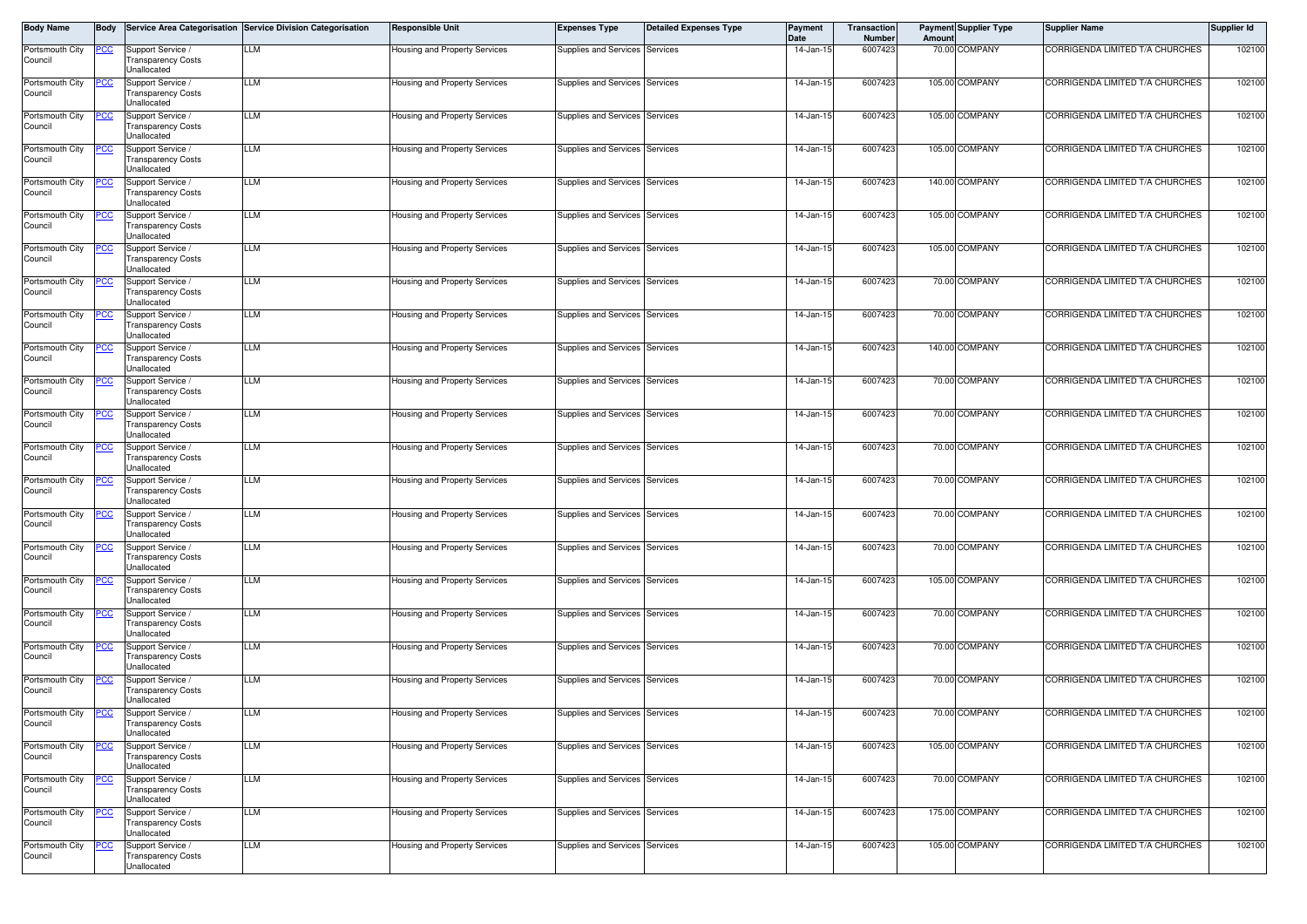| <b>Body Name</b>           | Body        |                                                                      | Service Area Categorisation Service Division Categorisation | <b>Responsible Unit</b>              | <b>Expenses Type</b>           | <b>Detailed Expenses Type</b> | Payment<br>Date | <b>Transaction</b><br><b>Number</b> | Amount | <b>Payment Supplier Type</b> | <b>Supplier Name</b>            | Supplier Id |
|----------------------------|-------------|----------------------------------------------------------------------|-------------------------------------------------------------|--------------------------------------|--------------------------------|-------------------------------|-----------------|-------------------------------------|--------|------------------------------|---------------------------------|-------------|
| Portsmouth City<br>Council | <u>PCC </u> | Support Service<br><b>Transparency Costs</b><br>Unallocated          | LLM                                                         | Housing and Property Services        | Supplies and Services Services |                               | 14-Jan-15       | 6007423                             |        | 70.00 COMPANY                | CORRIGENDA LIMITED T/A CHURCHES | 102100      |
| Portsmouth City<br>Council | °СС         | Support Service /<br><b>Transparency Costs</b><br>Unallocated        | LLM                                                         | Housing and Property Services        | Supplies and Services Services |                               | 14-Jan-15       | 6007423                             |        | 105.00 COMPANY               | CORRIGENDA LIMITED T/A CHURCHES | 102100      |
| Portsmouth City<br>Council | <u>cc</u>   | Support Service /<br>Transparency Costs<br><b>Jnallocated</b>        | LLM                                                         | Housing and Property Services        | Supplies and Services Services |                               | 14-Jan-1        | 6007423                             |        | 105.00 COMPANY               | CORRIGENDA LIMITED T/A CHURCHES | 102100      |
| Portsmouth City<br>Council | <u>cc</u>   | Support Service<br><b>Transparency Costs</b><br>Unallocated          | LLM                                                         | Housing and Property Services        | Supplies and Services Services |                               | 14-Jan-1        | 6007423                             |        | 105.00 COMPANY               | CORRIGENDA LIMITED T/A CHURCHES | 102100      |
| Portsmouth City<br>Council |             | Support Service /<br><b>Transparency Costs</b><br>Unallocated        | LLM                                                         | Housing and Property Services        | Supplies and Services Services |                               | 14-Jan-15       | 6007423                             |        | 140.00 COMPANY               | CORRIGENDA LIMITED T/A CHURCHES | 102100      |
| Portsmouth City<br>Council | cс          | Support Service /<br><b>Transparency Costs</b><br>Unallocated        | LLM                                                         | Housing and Property Services        | Supplies and Services Services |                               | 14-Jan-15       | 6007423                             |        | 105.00 COMPANY               | CORRIGENDA LIMITED T/A CHURCHES | 102100      |
| Portsmouth City<br>Council |             | Support Service /<br>Transparency Costs<br><b>Jnallocated</b>        | LLM                                                         | Housing and Property Services        | Supplies and Services Services |                               | 14-Jan-15       | 6007423                             |        | 105.00 COMPANY               | CORRIGENDA LIMITED T/A CHURCHES | 102100      |
| Portsmouth City<br>Council | cс          | Support Service<br><b>Transparency Costs</b><br>Unallocated          | LLM                                                         | Housing and Property Services        | Supplies and Services Services |                               | 14-Jan-1        | 6007423                             |        | 70.00 COMPANY                | CORRIGENDA LIMITED T/A CHURCHES | 102100      |
| Portsmouth City<br>Council |             | Support Service<br><b>Transparency Costs</b><br>Unallocated          | LLM                                                         | Housing and Property Services        | Supplies and Services Services |                               | 14-Jan-1        | 6007423                             |        | 70.00 COMPANY                | CORRIGENDA LIMITED T/A CHURCHES | 102100      |
| Portsmouth City<br>Council | сC          | Support Service<br><b>Transparency Costs</b><br>Unallocated          | LLM                                                         | Housing and Property Services        | Supplies and Services Services |                               | 14-Jan-1        | 6007423                             |        | 140.00 COMPANY               | CORRIGENDA LIMITED T/A CHURCHES | 102100      |
| Portsmouth City<br>Council |             | Support Service<br><b>Transparency Costs</b><br>Unallocated          | LLM                                                         | Housing and Property Services        | Supplies and Services Services |                               | 14-Jan-1        | 6007423                             |        | 70.00 COMPANY                | CORRIGENDA LIMITED T/A CHURCHES | 102100      |
| Portsmouth City<br>Council | cс          | Support Service<br><b>Transparency Costs</b><br><b>Jnallocated</b>   | LLM                                                         | Housing and Property Services        | Supplies and Services Services |                               | 14-Jan-1        | 6007423                             |        | 70.00 COMPANY                | CORRIGENDA LIMITED T/A CHURCHES | 102100      |
| Portsmouth City<br>Council |             | Support Service<br><b>Transparency Costs</b><br>Unallocated          | LLM                                                         | Housing and Property Services        | Supplies and Services Services |                               | 14-Jan-1        | 6007423                             |        | 70.00 COMPANY                | CORRIGENDA LIMITED T/A CHURCHES | 102100      |
| Portsmouth City<br>Council | <u>CC</u>   | Support Service /<br>Transparency Costs<br>Unallocated               | LLM                                                         | Housing and Property Services        | Supplies and Services Services |                               | 14-Jan-15       | 6007423                             |        | 70.00 COMPANY                | CORRIGENDA LIMITED T/A CHURCHES | 102100      |
| Portsmouth City<br>Council | <u>CC</u>   | Support Service<br><b>Transparency Costs</b><br>Unallocated          | LLM                                                         | <b>Housing and Property Services</b> | Supplies and Services Services |                               | 14-Jan-15       | 6007423                             |        | 70.00 COMPANY                | CORRIGENDA LIMITED T/A CHURCHES | 102100      |
| Portsmouth City<br>Council |             | Support Service<br>Transparency Costs<br>Unallocated                 | LLM                                                         | Housing and Property Services        | Supplies and Services Services |                               | 14-Jan-15       | 6007423                             |        | 70.00 COMPANY                | CORRIGENDA LIMITED T/A CHURCHES | 102100      |
| Portsmouth City<br>Council | <u>cc</u>   | Support Service<br>Transparency Costs<br>Unallocated                 | LLM                                                         | Housing and Property Services        | Supplies and Services Services |                               | $14 - Jan-1$    | 6007423                             |        | 105.00 COMPANY               | CORRIGENDA LIMITED T/A CHURCHES | 102100      |
| Portsmouth City<br>Council | 'CC         | Support Service<br>Transparency Costs<br>Unallocated                 | LLM                                                         | Housing and Property Services        | Supplies and Services Services |                               | 14-Jan-1        | 6007423                             |        | 70.00 COMPANY                | CORRIGENDA LIMITED T/A CHURCHES | 102100      |
| Portsmouth City<br>Council | <u>cc</u>   | Support Service /<br><b>Transparency Costs</b><br><b>Jnallocated</b> | LLM                                                         | Housing and Property Services        | Supplies and Services Services |                               | $14$ -Jan-1     | 6007423                             |        | 70.00 COMPANY                | CORRIGENDA LIMITED T/A CHURCHES | 102100      |
| Portsmouth City<br>Council |             | Support Service<br>Transparency Costs<br>Unallocated                 | LLM                                                         | Housing and Property Services        | Supplies and Services Services |                               | $14$ -Jan-1     | 6007423                             |        | 70.00 COMPANY                | CORRIGENDA LIMITED T/A CHURCHES | 102100      |
| Portsmouth City<br>Council | <u>PCC</u>  | Support Service /<br>Fransparency Costs<br>Unallocated               | LLM                                                         | Housing and Property Services        | Supplies and Services Services |                               | 14-Jan-15       | 6007423                             |        | 70.00 COMPANY                | CORRIGENDA LIMITED T/A CHURCHES | 102100      |
| Portsmouth City<br>Council | <u>cc</u>   | Support Service /<br><b>Transparency Costs</b><br>Unallocated        | LLM                                                         | Housing and Property Services        | Supplies and Services Services |                               | 14-Jan-15       | 6007423                             |        | 105.00 COMPANY               | CORRIGENDA LIMITED T/A CHURCHES | 102100      |
| Portsmouth City<br>Council | <u>CC</u>   | Support Service /<br><b>Transparency Costs</b><br>Unallocated        | LLM                                                         | Housing and Property Services        | Supplies and Services Services |                               | 14-Jan-15       | 6007423                             |        | 70.00 COMPANY                | CORRIGENDA LIMITED T/A CHURCHES | 102100      |
| Portsmouth City<br>Council | <u>CC </u>  | Support Service /<br><b>Transparency Costs</b><br>Unallocated        | LLM                                                         | Housing and Property Services        | Supplies and Services Services |                               | 14-Jan-15       | 6007423                             |        | 175.00 COMPANY               | CORRIGENDA LIMITED T/A CHURCHES | 102100      |
| Portsmouth City<br>Council | <u>cc</u>   | Support Service<br><b>Transparency Costs</b><br>Unallocated          | <b>LLM</b>                                                  | Housing and Property Services        | Supplies and Services Services |                               | 14-Jan-15       | 6007423                             |        | 105.00 COMPANY               | CORRIGENDA LIMITED T/A CHURCHES | 102100      |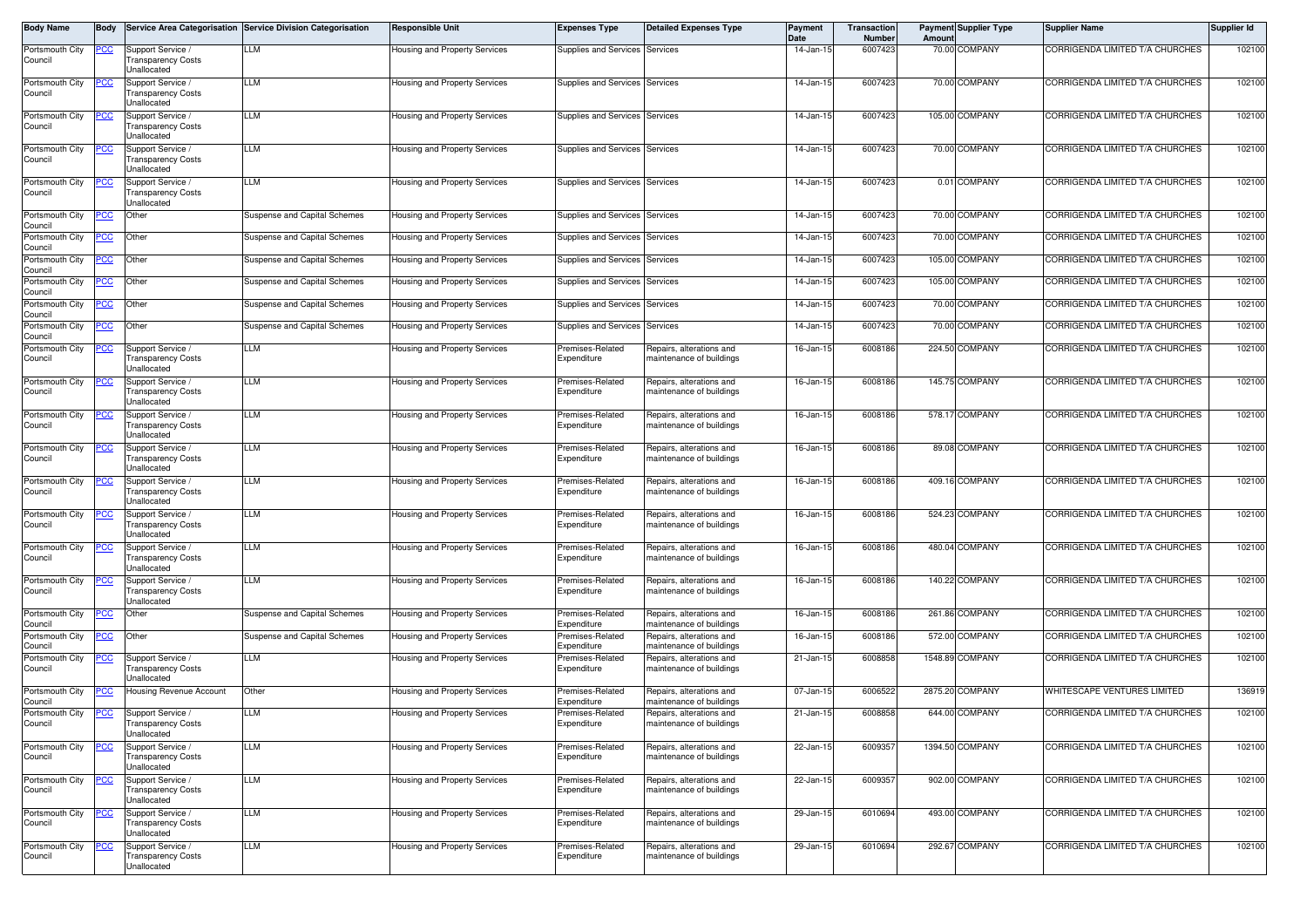| Body Name                  | Body        |                                                               | Service Area Categorisation Service Division Categorisation | <b>Responsible Unit</b>       | <b>Expenses Type</b>            | <b>Detailed Expenses Type</b>                        | Payment<br>Date | <b>Transaction</b><br><b>Number</b> | Amoun  | <b>Payment Supplier Type</b> | <b>Supplier Name</b>            | Supplier Id |
|----------------------------|-------------|---------------------------------------------------------------|-------------------------------------------------------------|-------------------------------|---------------------------------|------------------------------------------------------|-----------------|-------------------------------------|--------|------------------------------|---------------------------------|-------------|
| Portsmouth City<br>Council | PCC.        | Support Service<br><b>Transparency Costs</b><br>Unallocated   | LLM                                                         | Housing and Property Services | Supplies and Services Services  |                                                      | 14-Jan-15       | 6007423                             |        | 70.00 COMPANY                | CORRIGENDA LIMITED T/A CHURCHES | 102100      |
| Portsmouth City<br>Council | °СС         | Support Service /<br><b>Transparency Costs</b><br>Unallocated | LLM                                                         | Housing and Property Services | Supplies and Services Services  |                                                      | 14-Jan-15       | 6007423                             |        | 70.00 COMPANY                | CORRIGENDA LIMITED T/A CHURCHES | 102100      |
| Portsmouth City<br>Council | <u>cc</u>   | Support Service<br>Transparency Costs<br><b>Jnallocated</b>   | LLM                                                         | Housing and Property Services | Supplies and Services Services  |                                                      | $14$ -Jan-1     | 6007423                             |        | 105.00 COMPANY               | CORRIGENDA LIMITED T/A CHURCHES | 102100      |
| Portsmouth City<br>Council | cс          | Support Service<br><b>Transparency Costs</b><br>Unallocated   | LLM                                                         | Housing and Property Services | Supplies and Services Services  |                                                      | 14-Jan-1        | 6007423                             |        | 70.00 COMPANY                | CORRIGENDA LIMITED T/A CHURCHES | 102100      |
| Portsmouth City<br>Council | <u>'СС</u>  | Support Service /<br><b>Transparency Costs</b><br>Unallocated | LLM                                                         | Housing and Property Services | Supplies and Services Services  |                                                      | 14-Jan-15       | 6007423                             |        | 0.01 COMPANY                 | CORRIGENDA LIMITED T/A CHURCHES | 102100      |
| Portsmouth City<br>Council | cс          | Other                                                         | <b>Suspense and Capital Schemes</b>                         | Housing and Property Services | Supplies and Services Services  |                                                      | 14-Jan-15       | 6007423                             |        | 70.00 COMPANY                | CORRIGENDA LIMITED T/A CHURCHES | 102100      |
| Portsmouth City<br>Council | CС          | Other                                                         | <b>Suspense and Capital Schemes</b>                         | Housing and Property Services | Supplies and Services Services  |                                                      | 14-Jan-1        | 6007423                             | 70.00  | COMPANY                      | CORRIGENDA LIMITED T/A CHURCHES | 102100      |
| Portsmouth City<br>Council | CС          | Other                                                         | <b>Suspense and Capital Schemes</b>                         | Housing and Property Services | Supplies and Services Services  |                                                      | 14-Jan-15       | 6007423                             |        | 105.00 COMPANY               | CORRIGENDA LIMITED T/A CHURCHES | 102100      |
| Portsmouth City<br>Council | cс          | Other                                                         | <b>Suspense and Capital Schemes</b>                         | Housing and Property Services | Supplies and Services Services  |                                                      | $14$ -Jan-1     | 6007423                             | 105.00 | COMPANY                      | CORRIGENDA LIMITED T/A CHURCHES | 102100      |
| Portsmouth City<br>Council | <u>cc</u>   | Other                                                         | <b>Suspense and Capital Schemes</b>                         | Housing and Property Services | Supplies and Services Services  |                                                      | 14-Jan-15       | 6007423                             |        | 70.00 COMPANY                | CORRIGENDA LIMITED T/A CHURCHES | 102100      |
| Portsmouth City<br>Council | <u>CC</u>   | Other                                                         | <b>Suspense and Capital Schemes</b>                         | Housing and Property Services | Supplies and Services Services  |                                                      | $14$ -Jan-1     | 6007423                             |        | 70.00 COMPANY                | CORRIGENDA LIMITED T/A CHURCHES | 102100      |
| Portsmouth City<br>Council | <u>'CC</u>  | Support Service<br><b>Transparency Costs</b><br>Unallocated   | LLM                                                         | Housing and Property Services | Premises-Related<br>Expenditure | Repairs, alterations and<br>maintenance of buildings | $16$ -Jan-1     | 6008186                             | 224.50 | <b>COMPANY</b>               | CORRIGENDA LIMITED T/A CHURCHES | 102100      |
| Portsmouth City<br>Council |             | Support Service<br><b>Transparency Costs</b><br>Unallocated   | LLM                                                         | Housing and Property Services | Premises-Related<br>Expenditure | Repairs, alterations and<br>maintenance of buildings | $16$ -Jan-1     | 6008186                             |        | 145.75 COMPANY               | CORRIGENDA LIMITED T/A CHURCHES | 102100      |
| Portsmouth City<br>Council |             | Support Service /<br><b>Transparency Costs</b><br>Jnallocated | LLM                                                         | Housing and Property Services | Premises-Related<br>Expenditure | Repairs, alterations and<br>maintenance of buildings | 16-Jan-15       | 6008186                             |        | 578.17 COMPANY               | CORRIGENDA LIMITED T/A CHURCHES | 102100      |
| Portsmouth City<br>Council | <u>cc</u>   | Support Service /<br><b>Transparency Costs</b><br>Unallocated | LLM                                                         | Housing and Property Services | Premises-Related<br>Expenditure | Repairs, alterations and<br>maintenance of buildings | 16-Jan-15       | 6008186                             |        | 89.08 COMPANY                | CORRIGENDA LIMITED T/A CHURCHES | 102100      |
| Portsmouth City<br>Council | <u>CC</u>   | Support Service<br>Transparency Costs<br><b>Jnallocated</b>   | LLM                                                         | Housing and Property Services | Premises-Related<br>Expenditure | Repairs, alterations and<br>maintenance of buildings | 16-Jan-15       | 6008186                             |        | 409.16 COMPANY               | CORRIGENDA LIMITED T/A CHURCHES | 102100      |
| Portsmouth City<br>Council | <u>CC</u>   | Support Service<br>Transparency Costs<br>Unallocated          | LLM                                                         | Housing and Property Services | Premises-Related<br>Expenditure | Repairs, alterations and<br>maintenance of buildings | 16-Jan-15       | 6008186                             | 524.23 | COMPANY                      | CORRIGENDA LIMITED T/A CHURCHES | 102100      |
| Portsmouth City<br>Council | 'CC         | Support Service<br>Transparency Costs<br>Unallocated          | LLM                                                         | Housing and Property Services | Premises-Related<br>Expenditure | Repairs, alterations and<br>maintenance of buildings | 16-Jan-15       | 6008186                             |        | 480.04 COMPANY               | CORRIGENDA LIMITED T/A CHURCHES | 102100      |
| Portsmouth City<br>Council | °СС         | Support Service /<br>Transparency Costs<br>Unallocated        | LLM                                                         | Housing and Property Services | Premises-Related<br>Expenditure | Repairs, alterations and<br>maintenance of buildings | 16-Jan-15       | 6008186                             |        | 140.22 COMPANY               | CORRIGENDA LIMITED T/A CHURCHES | 102100      |
| Portsmouth City<br>Council | сC          | Other                                                         | <b>Suspense and Capital Schemes</b>                         | Housing and Property Services | Premises-Related<br>Expenditure | Repairs, alterations and<br>maintenance of buildings | 16-Jan-15       | 6008186                             |        | 261.86 COMPANY               | CORRIGENDA LIMITED T/A CHURCHES | 102100      |
| Portsmouth City<br>Council | <u>'CC</u>  | Other                                                         | Suspense and Capital Schemes                                | Housing and Property Services | Premises-Related<br>Expenditure | Repairs, alterations and<br>maintenance of buildings | $16$ -Jan-1     | 6008186                             | 572.00 | COMPANY                      | CORRIGENDA LIMITED T/A CHURCHES | 102100      |
| Portsmouth City<br>Council |             | Support Service<br>Transparency Costs<br><b>Jnallocated</b>   | LLM                                                         | Housing and Property Services | Premises-Related<br>Expenditure | Repairs, alterations and<br>maintenance of buildings | 21-Jan-15       | 6008858                             |        | 1548.89 COMPANY              | CORRIGENDA LIMITED T/A CHURCHES | 102100      |
| Portsmouth City<br>Council | <u>CC</u>   | <b>Housing Revenue Account</b>                                | Other                                                       | Housing and Property Services | Premises-Related<br>Expenditure | Repairs, alterations and<br>maintenance of buildings | 07-Jan-1        | 6006522                             |        | 2875.20 COMPANY              | WHITESCAPE VENTURES LIMITED     | 136919      |
| Portsmouth City<br>Council | <u>PCC </u> | Support Service /<br>ransparency Costs<br>Unallocated         | LLM                                                         | Housing and Property Services | Premises-Related<br>Expenditure | Repairs, alterations and<br>maintenance of buildings | 21-Jan-15       | 6008858                             |        | 644.00 COMPANY               | CORRIGENDA LIMITED T/A CHURCHES | 102100      |
| Portsmouth City<br>Council | <u>cc</u>   | Support Service /<br><b>Transparency Costs</b><br>Unallocated | LLM                                                         | Housing and Property Services | Premises-Related<br>Expenditure | Repairs, alterations and<br>maintenance of buildings | 22-Jan-15       | 6009357                             |        | 1394.50 COMPANY              | CORRIGENDA LIMITED T/A CHURCHES | 102100      |
| Portsmouth City<br>Council | <u>CC</u>   | Support Service /<br><b>Transparency Costs</b><br>Unallocated | LLM                                                         | Housing and Property Services | Premises-Related<br>Expenditure | Repairs, alterations and<br>maintenance of buildings | 22-Jan-15       | 6009357                             |        | 902.00 COMPANY               | CORRIGENDA LIMITED T/A CHURCHES | 102100      |
| Portsmouth City<br>Council | <u>CC</u>   | Support Service /<br><b>Transparency Costs</b><br>Unallocated | LLM                                                         | Housing and Property Services | Premises-Related<br>Expenditure | Repairs, alterations and<br>maintenance of buildings | 29-Jan-15       | 6010694                             |        | 493.00 COMPANY               | CORRIGENDA LIMITED T/A CHURCHES | 102100      |
| Portsmouth City<br>Council | <u>CC</u>   | Support Service<br>Transparency Costs<br>Unallocated          | LLM                                                         | Housing and Property Services | Premises-Related<br>Expenditure | Repairs, alterations and<br>maintenance of buildings | 29-Jan-15       | 6010694                             |        | 292.67 COMPANY               | CORRIGENDA LIMITED T/A CHURCHES | 102100      |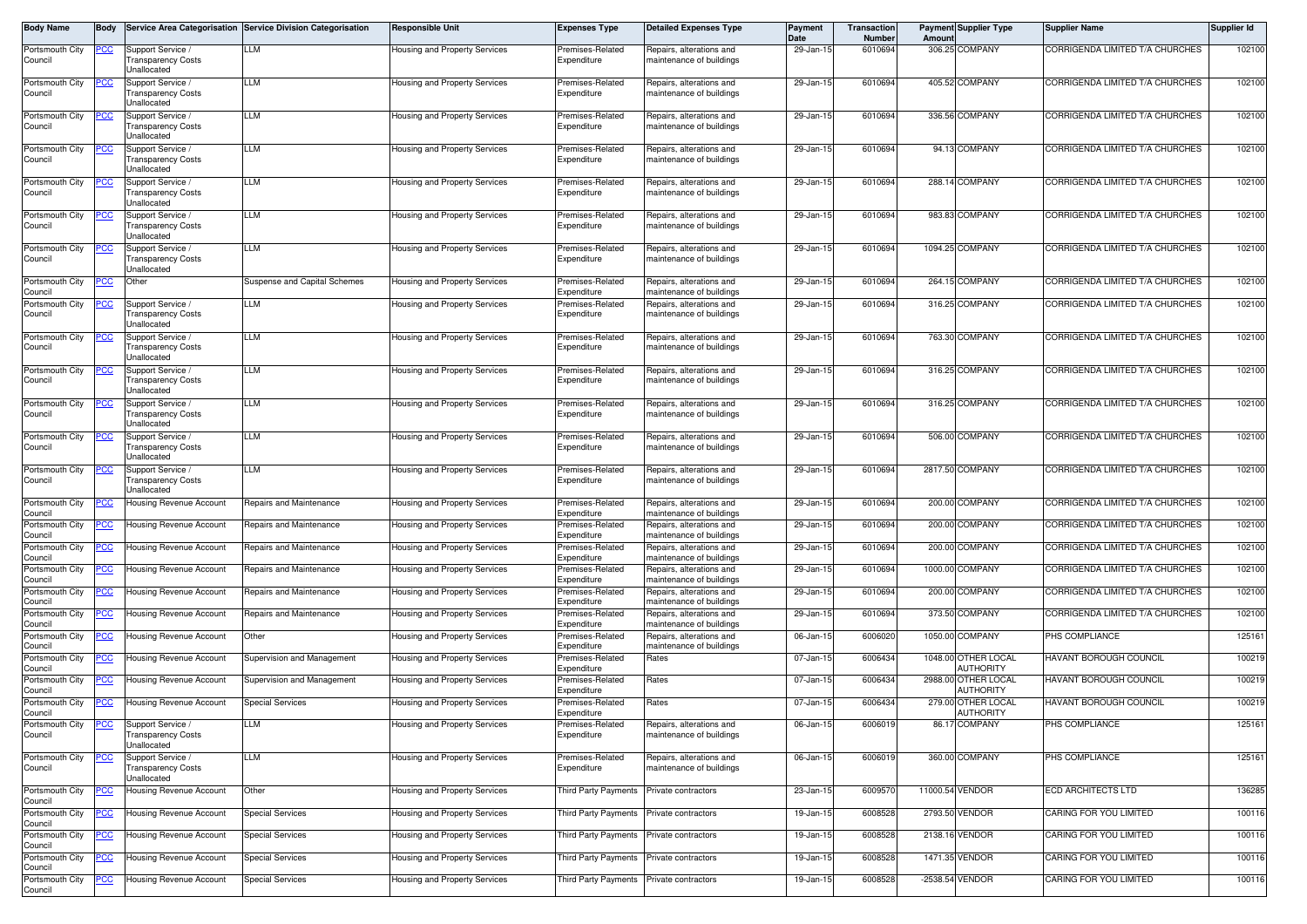| Body Name                  | Body       |                                                               | Service Area Categorisation Service Division Categorisation | <b>Responsible Unit</b>              | Expenses Type                            | <b>Detailed Expenses Type</b>                        | Payment<br>Date | Transaction<br><b>Number</b> | Amount  | <b>Payment Supplier Type</b>            | <b>Supplier Name</b>            | Supplier Id |
|----------------------------|------------|---------------------------------------------------------------|-------------------------------------------------------------|--------------------------------------|------------------------------------------|------------------------------------------------------|-----------------|------------------------------|---------|-----------------------------------------|---------------------------------|-------------|
| Portsmouth City<br>Council | <u>PCC</u> | Support Service<br>Transparency Costs<br>Unallocated          | LLM                                                         | Housing and Property Services        | Premises-Related<br>Expenditure          | Repairs, alterations and<br>maintenance of buildings | 29-Jan-15       | 6010694                      |         | 306.25 COMPANY                          | CORRIGENDA LIMITED T/A CHURCHES | 102100      |
| Portsmouth City<br>Council |            | Support Service<br>Transparency Costs<br>Unallocated          | LLM                                                         | Housing and Property Services        | Premises-Related<br>Expenditure          | Repairs, alterations and<br>maintenance of buildings | 29-Jan-1        | 6010694                      |         | 405.52 COMPANY                          | CORRIGENDA LIMITED T/A CHURCHES | 102100      |
| Portsmouth City<br>Council |            | Support Service<br>Fransparency Costs<br><b>Jnallocated</b>   | LLM                                                         | Housing and Property Services        | Premises-Related<br>Expenditure          | Repairs, alterations and<br>maintenance of buildings | 29-Jan-1        | 6010694                      |         | 336.56 COMPANY                          | CORRIGENDA LIMITED T/A CHURCHES | 102100      |
| Portsmouth City<br>Council | cс         | Support Service<br>Transparency Costs<br>Unallocated          | LLM                                                         | Housing and Property Services        | Premises-Related<br>Expenditure          | Repairs, alterations and<br>maintenance of buildings | 29-Jan-1        | 6010694                      |         | 94.13 COMPANY                           | CORRIGENDA LIMITED T/A CHURCHES | 102100      |
| Portsmouth City<br>Council |            | Support Service /<br><b>Transparency Costs</b><br>Unallocated | LLM                                                         | Housing and Property Services        | Premises-Related<br>Expenditure          | Repairs, alterations and<br>maintenance of buildings | 29-Jan-15       | 6010694                      |         | 288.14 COMPANY                          | CORRIGENDA LIMITED T/A CHURCHES | 102100      |
| Portsmouth City<br>Council | cс         | Support Service<br>Transparency Costs<br>Unallocated          | LLM                                                         | Housing and Property Services        | Premises-Related<br>Expenditure          | Repairs, alterations and<br>maintenance of buildings | 29-Jan-15       | 6010694                      |         | 983.83 COMPANY                          | CORRIGENDA LIMITED T/A CHURCHES | 102100      |
| Portsmouth City<br>Council |            | Support Service<br>Transparency Costs<br>Unallocated          | LLM                                                         | Housing and Property Services        | Premises-Related<br>Expenditure          | Repairs, alterations and<br>maintenance of buildings | 29-Jan-15       | 6010694                      |         | 1094.25 COMPANY                         | CORRIGENDA LIMITED T/A CHURCHES | 102100      |
| Portsmouth City<br>Council | °СС        | Other                                                         | Suspense and Capital Schemes                                | Housing and Property Services        | Premises-Related<br>Expenditure          | Repairs, alterations and<br>maintenance of buildings | 29-Jan-1        | 6010694                      |         | 264.15 COMPANY                          | CORRIGENDA LIMITED T/A CHURCHES | 102100      |
| Portsmouth City<br>Council |            | Support Service /<br>Transparency Costs<br><b>Jnallocated</b> | LLM                                                         | Housing and Property Services        | Premises-Related<br>Expenditure          | Repairs, alterations and<br>maintenance of buildings | 29-Jan-15       | 6010694                      |         | 316.25 COMPANY                          | CORRIGENDA LIMITED T/A CHURCHES | 102100      |
| Portsmouth City<br>Council | °СС        | Support Service<br>Transparency Costs<br>Unallocated          | LLM                                                         | Housing and Property Services        | Premises-Related<br>Expenditure          | Repairs, alterations and<br>maintenance of buildings | 29-Jan-1        | 6010694                      |         | 763.30 COMPANY                          | CORRIGENDA LIMITED T/A CHURCHES | 102100      |
| Portsmouth City<br>Council |            | Support Service<br>Transparency Costs<br>Unallocated          | LLM                                                         | Housing and Property Services        | Premises-Related<br>Expenditure          | Repairs, alterations and<br>maintenance of buildings | 29-Jan-19       | 6010694                      |         | 316.25 COMPANY                          | CORRIGENDA LIMITED T/A CHURCHES | 102100      |
| Portsmouth City<br>Council | PСC        | Support Service<br><b>Transparency Costs</b><br>Unallocated   | LLM                                                         | <b>Housing and Property Services</b> | Premises-Related<br>Expenditure          | Repairs, alterations and<br>maintenance of buildings | 29-Jan-1        | 6010694                      |         | 316.25 COMPANY                          | CORRIGENDA LIMITED T/A CHURCHES | 102100      |
| Portsmouth City<br>Council |            | Support Service<br>Transparency Costs<br>Unallocated          | LLM                                                         | Housing and Property Services        | Premises-Related<br>Expenditure          | Repairs, alterations and<br>maintenance of buildings | 29-Jan-1        | 6010694                      |         | 506.00 COMPANY                          | CORRIGENDA LIMITED T/A CHURCHES | 102100      |
| Portsmouth City<br>Council |            | Support Service<br>Fransparency Costs<br>Unallocated          | LLM                                                         | Housing and Property Services        | Premises-Related<br>Expenditure          | Repairs, alterations and<br>maintenance of buildings | 29-Jan-1        | 6010694                      |         | 2817.50 COMPANY                         | CORRIGENDA LIMITED T/A CHURCHES | 102100      |
| Portsmouth City<br>Council | cс         | Housing Revenue Account                                       | Repairs and Maintenance                                     | Housing and Property Services        | Premises-Related<br>Expenditure          | Repairs, alterations and<br>maintenance of buildings | 29-Jan-1        | 6010694                      |         | 200.00 COMPANY                          | CORRIGENDA LIMITED T/A CHURCHES | 102100      |
| Portsmouth City<br>Council | cс         | Housing Revenue Account                                       | Repairs and Maintenance                                     | Housing and Property Services        | Premises-Related<br>Expenditure          | Repairs, alterations and<br>maintenance of buildings | 29-Jan-1        | 6010694                      |         | 200.00 COMPANY                          | CORRIGENDA LIMITED T/A CHURCHES | 102100      |
| Portsmouth City<br>Council | PСC        | <b>Housing Revenue Account</b>                                | Repairs and Maintenance                                     | Housing and Property Services        | Premises-Related<br>Expenditure          | Repairs, alterations and<br>maintenance of buildings | 29-Jan-15       | 6010694                      |         | 200.00 COMPANY                          | CORRIGENDA LIMITED T/A CHURCHES | 102100      |
| Portsmouth City<br>Council | <u>cc</u>  | Housing Revenue Account                                       | Repairs and Maintenance                                     | Housing and Property Services        | Premises-Related<br>Expenditure          | Repairs, alterations and<br>maintenance of buildings | 29-Jan-15       | 6010694                      | 1000.00 | COMPANY                                 | CORRIGENDA LIMITED T/A CHURCHES | 102100      |
| Portsmouth City<br>Council | °СС        | <b>Housing Revenue Account</b>                                | Repairs and Maintenance                                     | Housing and Property Services        | Premises-Related<br>Expenditure          | Repairs, alterations and<br>maintenance of buildings | 29-Jan-15       | 6010694                      |         | 200.00 COMPANY                          | CORRIGENDA LIMITED T/A CHURCHES | 102100      |
| Portsmouth City<br>Council | <u>CC</u>  | Housing Revenue Account                                       | Repairs and Maintenance                                     | Housing and Property Services        | Premises-Related<br>Expenditure          | Repairs, alterations and<br>maintenance of buildings | 29-Jan-1        | 6010694                      |         | 373.50 COMPANY                          | CORRIGENDA LIMITED T/A CHURCHES | 102100      |
| Portsmouth City<br>Council | <u>CC </u> | Housing Revenue Account                                       | Other                                                       | Housing and Property Services        | Premises-Related<br>Expenditure          | Repairs, alterations and<br>maintenance of buildings | 06-Jan-1        | 6006020                      |         | 1050.00 COMPANY                         | <b>PHS COMPLIANCE</b>           | 125161      |
| Portsmouth City<br>Council | <u>CC </u> | <b>Housing Revenue Account</b>                                | Supervision and Management                                  | Housing and Property Services        | Premises-Related<br>Expenditure          | Rates                                                | 07-Jan-15       | 6006434                      |         | 1048.00 OTHER LOCAL<br><b>AUTHORITY</b> | <b>HAVANT BOROUGH COUNCIL</b>   | 100219      |
| Portsmouth City<br>Council | <u>CC </u> | <b>Housing Revenue Account</b>                                | Supervision and Management                                  | Housing and Property Services        | Premises-Related<br>Expenditure          | Rates                                                | 07-Jan-15       | 6006434                      |         | 2988.00 OTHER LOCAL<br>AUTHORITY        | <b>HAVANT BOROUGH COUNCIL</b>   | 100219      |
| Portsmouth City<br>Council | PCC        | Housing Revenue Account                                       | Special Services                                            | Housing and Property Services        | Premises-Related<br>Expenditure          | Rates                                                | 07-Jan-1        | 6006434                      |         | 279.00 OTHER LOCAL<br><b>AUTHORITY</b>  | <b>HAVANT BOROUGH COUNCIL</b>   | 100219      |
| Portsmouth City<br>Council |            | Support Service /<br><b>Transparency Costs</b><br>Unallocated | LLM                                                         | Housing and Property Services        | Premises-Related<br>Expenditure          | Repairs, alterations and<br>maintenance of buildings | 06-Jan-15       | 6006019                      |         | 86.17 COMPANY                           | PHS COMPLIANCE                  | 125161      |
| Portsmouth City<br>Council | <u>'CC</u> | Support Service /<br><b>Transparency Costs</b><br>Unallocated | LLM                                                         | Housing and Property Services        | Premises-Related<br>Expenditure          | Repairs, alterations and<br>maintenance of buildings | 06-Jan-15       | 6006019                      |         | 360.00 COMPANY                          | PHS COMPLIANCE                  | 125161      |
| Portsmouth City<br>Council | <u>'CC</u> | Housing Revenue Account                                       | Other                                                       | Housing and Property Services        | Third Party Payments                     | Private contractors                                  | 23-Jan-15       | 6009570                      |         | 11000.54 VENDOR                         | <b>ECD ARCHITECTS LTD</b>       | 136285      |
| Portsmouth City<br>Council | <u>'CC</u> | <b>Housing Revenue Account</b>                                | <b>Special Services</b>                                     | Housing and Property Services        | Third Party Payments                     | Private contractors                                  | 19-Jan-15       | 6008528                      |         | 2793.50 VENDOR                          | CARING FOR YOU LIMITED          | 100116      |
| Portsmouth City<br>Council | сc         | <b>Housing Revenue Account</b>                                | Special Services                                            | Housing and Property Services        | Third Party Payments Private contractors |                                                      | 19-Jan-15       | 6008528                      |         | 2138.16 VENDOR                          | CARING FOR YOU LIMITED          | 100116      |
| Portsmouth City<br>Council | <u>CC</u>  | Housing Revenue Account                                       | Special Services                                            | Housing and Property Services        | Third Party Payments Private contractors |                                                      | 19-Jan-15       | 6008528                      |         | 1471.35 VENDOR                          | CARING FOR YOU LIMITED          | 100116      |
| Portsmouth City<br>Council | <u>CC</u>  | Housing Revenue Account                                       | <b>Special Services</b>                                     | <b>Housing and Property Services</b> | Third Party Payments                     | Private contractors                                  | 19-Jan-15       | 6008528                      |         | -2538.54 VENDOR                         | CARING FOR YOU LIMITED          | 100116      |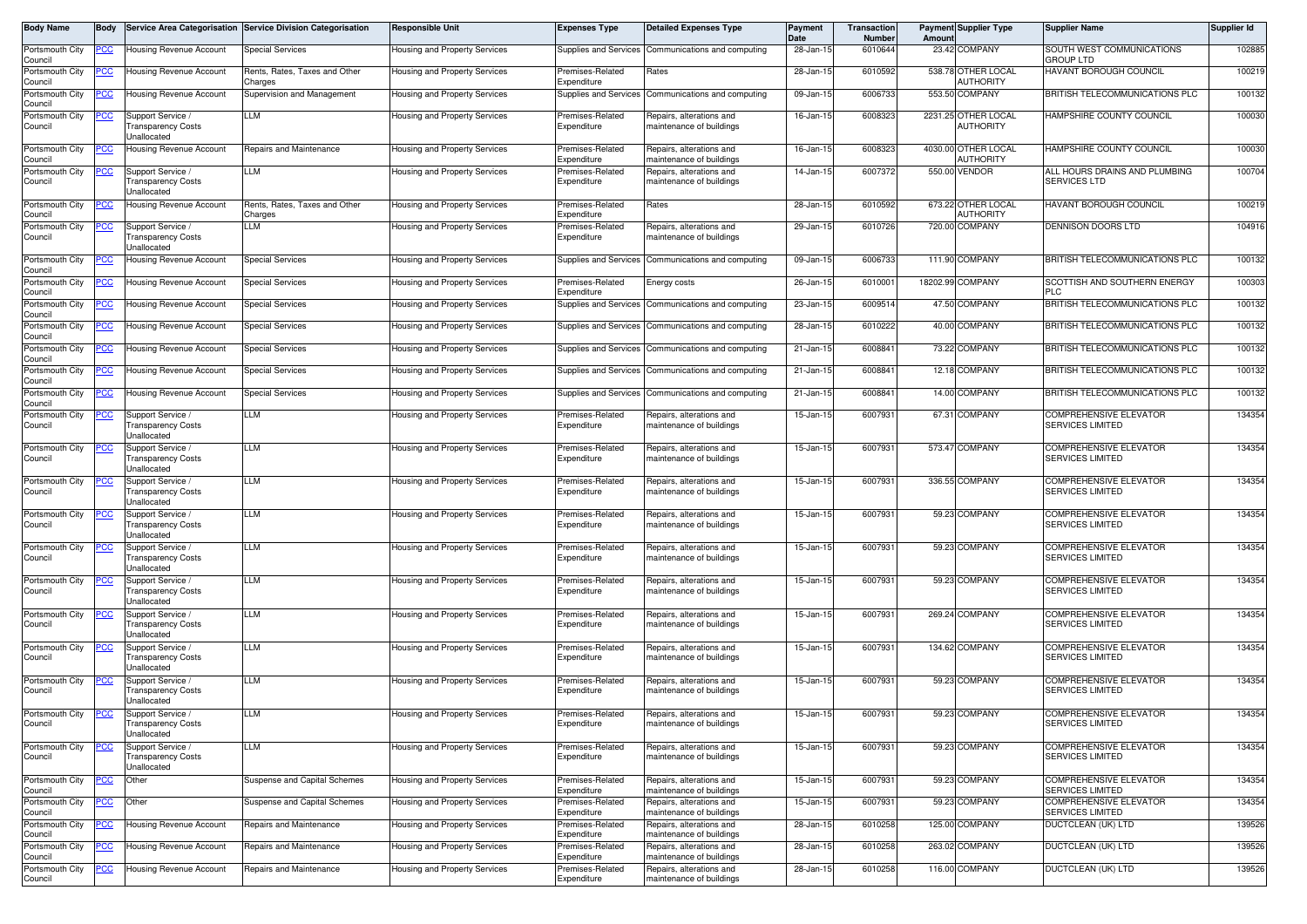| Body Name                  | <b>Body</b> |                                                                      | Service Area Categorisation Service Division Categorisation | <b>Responsible Unit</b>              | <b>Expenses Type</b>            | <b>Detailed Expenses Type</b>                        | Payment<br>Date | Transaction<br>Number | Amoun    | <b>Payment Supplier Type</b>     | <b>Supplier Name</b>                                     | <b>Supplier Id</b> |
|----------------------------|-------------|----------------------------------------------------------------------|-------------------------------------------------------------|--------------------------------------|---------------------------------|------------------------------------------------------|-----------------|-----------------------|----------|----------------------------------|----------------------------------------------------------|--------------------|
| Portsmouth City<br>Council | <u>PCC</u>  | Housing Revenue Account                                              | <b>Special Services</b>                                     | Housing and Property Services        |                                 | Supplies and Services Communications and computing   | 28-Jan-15       | 6010644               |          | 23.42 COMPANY                    | SOUTH WEST COMMUNICATIONS<br><b>GROUP LTD</b>            | 102885             |
| Portsmouth City<br>Council | <u>PCC</u>  | <b>Housing Revenue Account</b>                                       | Rents, Rates, Taxes and Other<br>Charges                    | Housing and Property Services        | Premises-Related<br>Expenditure | Rates                                                | 28-Jan-15       | 6010592               |          | 538.78 OTHER LOCAL<br>AUTHORITY  | HAVANT BOROUGH COUNCIL                                   | 100219             |
| Portsmouth City<br>Council | <u>CC </u>  | Housing Revenue Account                                              | Supervision and Management                                  | Housing and Property Services        | Supplies and Services           | Communications and computing                         | 09-Jan-15       | 6006733               |          | 553.50 COMPANY                   | BRITISH TELECOMMUNICATIONS PLC                           | 100132             |
| Portsmouth City<br>Council |             | Support Service /<br>ransparency Costs<br>Jnallocated                | LLM                                                         | Housing and Property Services        | Premises-Related<br>Expenditure | Repairs, alterations and<br>maintenance of buildings | 16-Jan-15       | 6008323               |          | 2231.25 OTHER LOCAL<br>AUTHORITY | HAMPSHIRE COUNTY COUNCIL                                 | 100030             |
| Portsmouth City<br>Council |             | Housing Revenue Account                                              | Repairs and Maintenance                                     | Housing and Property Services        | Premises-Related<br>Expenditure | Repairs, alterations and<br>maintenance of buildings | 16-Jan-15       | 6008323               |          | 4030.00 OTHER LOCAL<br>AUTHORITY | HAMPSHIRE COUNTY COUNCIL                                 | 100030             |
| Portsmouth City<br>Council | <u>PCC</u>  | Support Service<br>ransparency Costs<br>Jnallocated                  | LLM                                                         | Housing and Property Services        | Premises-Related<br>Expenditure | Repairs, alterations and<br>maintenance of buildings | 14-Jan-15       | 6007372               |          | 550.00 VENDOR                    | ALL HOURS DRAINS AND PLUMBING<br>SERVICES LTD            | 100704             |
| Portsmouth City<br>Council | <u>PCC</u>  | Housing Revenue Account                                              | Rents, Rates, Taxes and Other<br>Charges                    | Housing and Property Services        | Premises-Related<br>Expenditure | Rates                                                | 28-Jan-1        | 6010592               |          | 673.22 OTHER LOCAL<br>AUTHORITY  | HAVANT BOROUGH COUNCIL                                   | 100219             |
| Portsmouth City<br>Council | <u> РСС</u> | Support Service /<br>ransparency Costs<br>Jnallocated                | LLM                                                         | <b>Housing and Property Services</b> | Premises-Related<br>Expenditure | Repairs, alterations and<br>maintenance of buildings | 29-Jan-15       | 6010726               |          | 720.00 COMPANY                   | DENNISON DOORS LTD                                       | 104916             |
| Portsmouth City<br>Council | <u>PCC</u>  | Housing Revenue Account                                              | <b>Special Services</b>                                     | Housing and Property Services        | Supplies and Services           | Communications and computing                         | 09-Jan-15       | 6006733               |          | 111.90 COMPANY                   | BRITISH TELECOMMUNICATIONS PLC                           | 100132             |
| Portsmouth City<br>Council | <u>PCC</u>  | Housing Revenue Account                                              | <b>Special Services</b>                                     | Housing and Property Services        | Premises-Related<br>Expenditure | Energy costs                                         | 26-Jan-15       | 601000                | 18202.99 | <b>COMPANY</b>                   | SCOTTISH AND SOUTHERN ENERGY<br>PLC                      | 100303             |
| Portsmouth City<br>Council | <u>PCC</u>  | <b>Housing Revenue Account</b>                                       | <b>Special Services</b>                                     | Housing and Property Services        | Supplies and Services           | Communications and computing                         | 23-Jan-15       | 6009514               |          | 47.50 COMPANY                    | BRITISH TELECOMMUNICATIONS PLC                           | 100132             |
| Portsmouth City<br>Council | <u>PCC </u> | Housing Revenue Account                                              | <b>Special Services</b>                                     | Housing and Property Services        | Supplies and Services           | Communications and computing                         | 28-Jan-15       | 6010222               |          | 40.00 COMPANY                    | BRITISH TELECOMMUNICATIONS PLC                           | 100132             |
| Portsmouth City<br>Council | <u>PCC</u>  | Housing Revenue Account                                              | <b>Special Services</b>                                     | Housing and Property Services        | Supplies and Services           | Communications and computing                         | 21-Jan-15       | 600884                |          | 73.22 COMPANY                    | BRITISH TELECOMMUNICATIONS PLC                           | 100132             |
| Portsmouth City<br>Council | <u>CC </u>  | <b>Housing Revenue Account</b>                                       | <b>Special Services</b>                                     | <b>Housing and Property Services</b> | Supplies and Services           | Communications and computing                         | 21-Jan-15       | 6008841               |          | 12.18 COMPANY                    | BRITISH TELECOMMUNICATIONS PLC                           | 100132             |
| Portsmouth City<br>Council | <u>PCC</u>  | <b>Housing Revenue Account</b>                                       | <b>Special Services</b>                                     | Housing and Property Services        | Supplies and Services           | Communications and computing                         | 21-Jan-15       | 6008841               | 14.00    | <b>COMPANY</b>                   | BRITISH TELECOMMUNICATIONS PLC                           | 100132             |
| Portsmouth City<br>Council | <u>PCC</u>  | Support Service /<br>Fransparency Costs<br>Jnallocated               | LLM                                                         | Housing and Property Services        | Premises-Related<br>Expenditure | Repairs, alterations and<br>maintenance of buildings | 15-Jan-15       | 6007931               |          | 67.31 COMPANY                    | <b>COMPREHENSIVE ELEVATOR</b><br>SERVICES LIMITED        | 134354             |
| Portsmouth City<br>Council |             | Support Service /<br><b>Fransparency Costs</b><br><b>Jnallocated</b> | LLM                                                         | Housing and Property Services        | Premises-Related<br>Expenditure | Repairs, alterations and<br>maintenance of buildings | 15-Jan-1        | 6007931               |          | 573.47 COMPANY                   | COMPREHENSIVE ELEVATOR<br><b>SERVICES LIMITED</b>        | 134354             |
| Portsmouth City<br>Council | 'CC         | Support Service /<br>ransparency Costs<br><b>Jnallocated</b>         | LLM                                                         | Housing and Property Services        | Premises-Related<br>Expenditure | Repairs, alterations and<br>maintenance of buildings | 15-Jan-15       | 6007931               |          | 336.55 COMPANY                   | COMPREHENSIVE ELEVATOR<br><b>SERVICES LIMITED</b>        | 134354             |
| Portsmouth City<br>Council | <u>PCC</u>  | Support Service<br>Fransparency Costs<br><b>Jnallocated</b>          | LLM                                                         | Housing and Property Services        | Premises-Related<br>Expenditure | Repairs, alterations and<br>maintenance of buildings | 15-Jan-15       | 6007931               |          | 59.23 COMPANY                    | COMPREHENSIVE ELEVATOR<br><b>SERVICES LIMITED</b>        | 134354             |
| Portsmouth City<br>Council |             | Support Service<br>Transparency Costs<br><b>Jnallocated</b>          | LLM                                                         | Housing and Property Services        | Premises-Related<br>Expenditure | Repairs, alterations and<br>maintenance of buildings | 15-Jan-15       | 6007931               |          | 59.23 COMPANY                    | <b>COMPREHENSIVE ELEVATOR</b><br>SERVICES LIMITED        | 134354             |
| Portsmouth City<br>Council | <u>PCC</u>  | Support Service /<br>ransparency Costs<br>Jnallocated                | LLM                                                         | <b>Housing and Property Services</b> | Premises-Related<br>Expenditure | Repairs, alterations and<br>maintenance of buildings | 15-Jan-1        | 6007931               |          | 59.23 COMPANY                    | <b>COMPREHENSIVE ELEVATOR</b><br><b>SERVICES LIMITED</b> | 134354             |
| Portsmouth City<br>Council |             | Support Service /<br><b>Fransparency Costs</b><br><b>Jnallocated</b> | LLM                                                         | Housing and Property Services        | Premises-Related<br>Expenditure | Repairs, alterations and<br>maintenance of buildings | 15-Jan-1        | 6007931               |          | 269.24 COMPANY                   | COMPREHENSIVE ELEVATOR<br><b>SERVICES LIMITED</b>        | 134354             |
| Portsmouth City<br>Council | <u>PCC</u>  | Support Service /<br>Fransparency Costs<br>Jnallocated               | LLM                                                         | Housing and Property Services        | Premises-Related<br>Expenditure | Repairs, alterations and<br>maintenance of buildings | 15-Jan-15       | 6007931               |          | 134.62 COMPANY                   | <b>COMPREHENSIVE ELEVATOR</b><br><b>SERVICES LIMITED</b> | 134354             |
| Portsmouth City<br>Council | <u>CC </u>  | Support Service /<br>Transparency Costs<br>Unallocated               | LLM                                                         | Housing and Property Services        | Premises-Related<br>Expenditure | Repairs, alterations and<br>maintenance of buildings | 15-Jan-15       | 6007931               |          | 59.23 COMPANY                    | <b>COMPREHENSIVE ELEVATOR</b><br>SERVICES LIMITED        | 134354             |
| Portsmouth City<br>Council | <u>PCC</u>  | Support Service<br>ransparency Costs<br>Unallocated                  | LLM                                                         | Housing and Property Services        | Premises-Related<br>Expenditure | Repairs, alterations and<br>maintenance of buildings | 15-Jan-15       | 6007931               |          | 59.23 COMPANY                    | <b>COMPREHENSIVE ELEVATOR</b><br>SERVICES LIMITED        | 134354             |
| Portsmouth City<br>Council | <u>PCC</u>  | Support Service /<br><b>Transparency Costs</b><br><b>Jnallocated</b> | LLM                                                         | Housing and Property Services        | Premises-Related<br>Expenditure | Repairs, alterations and<br>maintenance of buildings | 15-Jan-15       | 6007931               |          | 59.23 COMPANY                    | COMPREHENSIVE ELEVATOR<br>SERVICES LIMITED               | 134354             |
| Portsmouth City<br>Council | PCC         | Other                                                                | Suspense and Capital Schemes                                | Housing and Property Services        | Premises-Related<br>Expenditure | Repairs, alterations and<br>maintenance of buildings | 15-Jan-15       | 6007931               |          | 59.23 COMPANY                    | COMPREHENSIVE ELEVATOR<br>SERVICES LIMITED               | 134354             |
| Portsmouth City<br>Council | <u>PCC</u>  | Other                                                                | Suspense and Capital Schemes                                | Housing and Property Services        | Premises-Related<br>Expenditure | Repairs, alterations and<br>maintenance of buildings | 15-Jan-15       | 6007931               |          | 59.23 COMPANY                    | COMPREHENSIVE ELEVATOR<br>SERVICES LIMITED               | 134354             |
| Portsmouth City<br>Council | PCC         | Housing Revenue Account                                              | Repairs and Maintenance                                     | Housing and Property Services        | Premises-Related<br>Expenditure | Repairs, alterations and<br>maintenance of buildings | 28-Jan-15       | 6010258               |          | 125.00 COMPANY                   | <b>DUCTCLEAN (UK) LTD</b>                                | 139526             |
| Portsmouth City<br>Council | <u> РСС</u> | <b>Housing Revenue Account</b>                                       | Repairs and Maintenance                                     | Housing and Property Services        | Premises-Related<br>Expenditure | Repairs, alterations and<br>maintenance of buildings | 28-Jan-15       | 6010258               |          | 263.02 COMPANY                   | DUCTCLEAN (UK) LTD                                       | 139526             |
| Portsmouth City<br>Council | <u>PCC </u> | Housing Revenue Account                                              | Repairs and Maintenance                                     | Housing and Property Services        | Premises-Related<br>Expenditure | Repairs, alterations and<br>maintenance of buildings | 28-Jan-15       | 6010258               |          | 116.00 COMPANY                   | DUCTCLEAN (UK) LTD                                       | 139526             |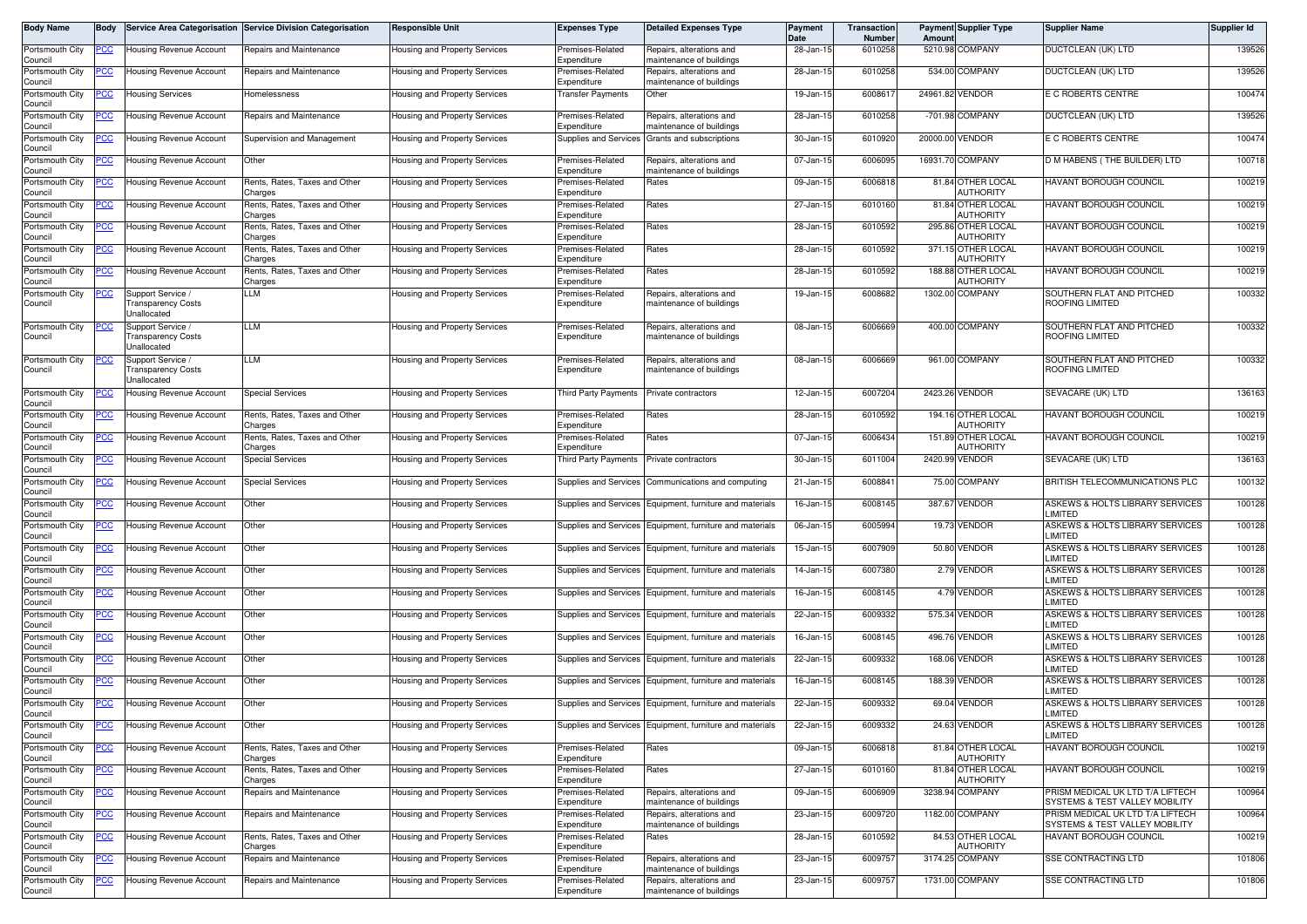| Body Name                  | <b>Body</b> |                                                               | Service Area Categorisation Service Division Categorisation | <b>Responsible Unit</b>              | <b>Expenses Type</b>                   | <b>Detailed Expenses Type</b>                            | <b>Payment</b><br>Date | Transaction<br>Number | Amoun  | <b>Payment Supplier Type</b>          | <b>Supplier Name</b>                                               | <b>Supplier Id</b> |
|----------------------------|-------------|---------------------------------------------------------------|-------------------------------------------------------------|--------------------------------------|----------------------------------------|----------------------------------------------------------|------------------------|-----------------------|--------|---------------------------------------|--------------------------------------------------------------------|--------------------|
| Portsmouth City<br>Council | PCC         | Housing Revenue Account                                       | Repairs and Maintenance                                     | Housing and Property Services        | remises-Related<br>Expenditure         | Repairs, alterations and<br>naintenance of buildings     | 28-Jan-15              | 6010258               |        | 5210.98 COMPANY                       | DUCTCLEAN (UK) LTD                                                 | 139526             |
| Portsmouth City<br>Council | <u>cc</u>   | Housing Revenue Account                                       | Repairs and Maintenance                                     | Housing and Property Services        | remises-Related<br>.<br>xpenditure     | Repairs, alterations and<br>naintenance of buildings     | 28-Jan-1               | 6010258               |        | 534.00 COMPANY                        | DUCTCLEAN (UK) LTD                                                 | 139526             |
| Portsmouth City<br>Council | PСC         | <b>Housing Services</b>                                       | Homelessness                                                | Housing and Property Services        | <b>Transfer Payments</b>               | Other                                                    | 19-Jan-15              | 600861                |        | 24961.82 VENDOR                       | E C ROBERTS CENTRE                                                 | 100474             |
| Portsmouth City<br>Council | CC          | <b>Housing Revenue Account</b>                                | Repairs and Maintenance                                     | <b>Housing and Property Services</b> | Premises-Related<br>Expenditure        | Repairs, alterations and<br>naintenance of buildings     | 28-Jan-15              | 6010258               |        | -701.98 COMPANY                       | DUCTCLEAN (UK) LTD                                                 | 139526             |
| Portsmouth City<br>Council | <u>PCC</u>  | Housing Revenue Account                                       | Supervision and Management                                  | Housing and Property Services        | <b>Supplies and Services</b>           | Grants and subscriptions                                 | 30-Jan-15              | 6010920               |        | 20000.00 VENDOR                       | E C ROBERTS CENTRE                                                 | 100474             |
| Portsmouth City<br>Council |             | Housing Revenue Account                                       | Other                                                       | Housing and Property Services        | remises-Related<br>Expenditure         | Repairs, alterations and<br>naintenance of buildings     | 07-Jan-15              | 6006095               |        | 16931.70 COMPANY                      | D M HABENS (THE BUILDER) LTD                                       | 100718             |
| Portsmouth City<br>Council | °СС         | Housing Revenue Account                                       | Rents, Rates, Taxes and Other<br>Charges                    | Housing and Property Services        | Premises-Related<br><i>s</i> penditure | Rates                                                    | 09-Jan-15              | 6006818               |        | 81.84 OTHER LOCAL<br><b>AUTHORITY</b> | <b>HAVANT BOROUGH COUNCIL</b>                                      | 100219             |
| Portsmouth City<br>Council | <u>cc</u>   | <b>Housing Revenue Account</b>                                | Rents, Rates, Taxes and Other<br>harges:                    | Housing and Property Services        | Premises-Related<br>Expenditure        | Rates                                                    | 27-Jan-15              | 6010160               |        | 81.84 OTHER LOCAL<br>AUTHORITY        | <b>HAVANT BOROUGH COUNCIL</b>                                      | 100219             |
| Portsmouth City<br>Council | PСC         | <b>Housing Revenue Account</b>                                | Rents, Rates, Taxes and Other<br>Charges                    | Housing and Property Services        | Premises-Related<br>Expenditure        | Rates                                                    | 28-Jan-15              | 6010592               |        | 295.86 OTHER LOCAL<br>AUTHORITY       | HAVANT BOROUGH COUNCIL                                             | 100219             |
| Portsmouth City<br>Council | <u>'СС</u>  | <b>Housing Revenue Account</b>                                | Rents, Rates, Taxes and Other<br>harges:                    | Housing and Property Services        | Premises-Related<br><i>xpenditure</i>  | Rates                                                    | 28-Jan-1               | 6010592               |        | 371.15 OTHER LOCAL<br>AUTHORITY       | HAVANT BOROUGH COUNCIL                                             | 100219             |
| Portsmouth City<br>Council | <u>PCC</u>  | <b>Housing Revenue Account</b>                                | Rents, Rates, Taxes and Other<br>Charges                    | Housing and Property Services        | Premises-Related<br>Expenditure        | Rates                                                    | 28-Jan-15              | 6010592               |        | 188.88 OTHER LOCAL<br>AUTHORITY       | HAVANT BOROUGH COUNCIL                                             | 100219             |
| Portsmouth City<br>Council |             | Support Service /<br><b>Transparency Costs</b><br>Jnallocated | LM.                                                         | Housing and Property Services        | remises-Related<br>Expenditure         | Repairs, alterations and<br>maintenance of buildings     | 19-Jan-15              | 6008682               |        | 1302.00 COMPANY                       | SOUTHERN FLAT AND PITCHED<br>ROOFING LIMITED                       | 100332             |
| Portsmouth City<br>Council | сc          | Support Service<br>ransparency Costs<br>Jnallocated           | LM.                                                         | <b>Housing and Property Services</b> | remises-Related<br>Expenditure         | Repairs, alterations and<br>naintenance of buildings     | 08-Jan-15              | 6006669               |        | 400.00 COMPANY                        | SOUTHERN FLAT AND PITCHED<br><b>ROOFING LIMITED</b>                | 100332             |
| Portsmouth City<br>Council |             | Support Service<br>ransparency Costs<br>Jnallocated           | LLM                                                         | <b>Housing and Property Services</b> | Premises-Related<br>Expenditure        | Repairs, alterations and<br>naintenance of buildings     | 08-Jan-15              | 6006669               |        | 961.00 COMPANY                        | SOUTHERN FLAT AND PITCHED<br>ROOFING LIMITED                       | 100332             |
| Portsmouth City<br>Council |             | <b>Housing Revenue Account</b>                                | <b>Special Services</b>                                     | lousing and Property Services        | <b>Third Party Payments</b>            | Private contractors                                      | 12-Jan-15              | 6007204               |        | 2423.26 VENDOR                        | SEVACARE (UK) LTD                                                  | 136163             |
| Portsmouth City<br>Council | PСC         | <b>Housing Revenue Account</b>                                | Rents, Rates, Taxes and Other<br>Charges                    | Housing and Property Services        | Premises-Related<br>Expenditure        | Rates                                                    | 28-Jan-15              | 6010592               |        | 194.16 OTHER LOCAL<br>AUTHORITY       | HAVANT BOROUGH COUNCIL                                             | 100219             |
| Portsmouth City<br>Council |             | Housing Revenue Account                                       | Rents, Rates, Taxes and Other<br>harges:                    | Housing and Property Services        | remises-Related<br>Expenditure         | Rates                                                    | 07-Jan-1               | 6006434               |        | 151.89 OTHER LOCAL<br>AUTHORITY       | HAVANT BOROUGH COUNCIL                                             | 100219             |
| Portsmouth City<br>Council | 'CC         | <b>Housing Revenue Account</b>                                | Special Services                                            | <b>Housing and Property Services</b> | Third Party Payments                   | Private contractors                                      | 30-Jan-15              | 6011004               |        | 2420.99 VENDOR                        | SEVACARE (UK) LTD                                                  | 136163             |
| Portsmouth City<br>Council | <u>CC </u>  | Housing Revenue Account                                       | <b>Special Services</b>                                     | lousing and Property Services        | <b>Supplies and Services</b>           | Communications and computing                             | 21-Jan-15              | 6008841               |        | 75.00 COMPANY                         | BRITISH TELECOMMUNICATIONS PLC                                     | 100132             |
| Portsmouth City<br>Council | <u>PCC</u>  | Housing Revenue Account                                       | Other                                                       | Housing and Property Services        | Supplies and Services                  | Equipment, furniture and materials                       | 16-Jan-15              | 6008145               |        | 387.67 VENDOR                         | ASKEWS & HOLTS LIBRARY SERVICES<br>LIMITED                         | 100128             |
| Portsmouth City<br>Council | <u>cc</u>   | Housing Revenue Account                                       | Other                                                       | Housing and Property Services        | Supplies and Services                  | Equipment, furniture and materials                       | 06-Jan-15              | 6005994               |        | 19.73 VENDOR                          | ASKEWS & HOLTS LIBRARY SERVICES<br>LIMITED                         | 100128             |
| Portsmouth City<br>Council | <u>CC </u>  | Housing Revenue Account                                       | Other                                                       | Housing and Property Services        | Supplies and Services                  | Equipment, furniture and materials                       | 15-Jan-15              | 6007909               |        | 50.80 VENDOR                          | ASKEWS & HOLTS LIBRARY SERVICES<br>LIMITED                         | 100128             |
| Portsmouth City<br>Council |             | Housing Revenue Account                                       | Other                                                       | Housing and Property Services        | Supplies and Services                  | Equipment, furniture and materials                       | 14-Jan-15              | 6007380               |        | 2.79 VENDOR                           | ASKEWS & HOLTS LIBRARY SERVICES<br>LIMITED                         | 100128             |
| Portsmouth City<br>Council | PСC         | Housing Revenue Account                                       | Other                                                       | Housing and Property Services        | Supplies and Services                  | Equipment, furniture and materials                       | 16-Jan-15              | 6008145               |        | 4.79 VENDOR                           | ASKEWS & HOLTS LIBRARY SERVICES<br>LIMITED                         | 100128             |
| Portsmouth City<br>Council |             | <b>Housing Revenue Account</b>                                | Other                                                       | Housing and Property Services        | Supplies and Services                  | Equipment, furniture and materials                       | 22-Jan-15              | 6009332               |        | 575.34 VENDOR                         | ASKEWS & HOLTS LIBRARY SERVICES<br>LIMITED                         | 100128             |
| Portsmouth City<br>Council | PСC         | Housing Revenue Account                                       | Other                                                       | Housing and Property Services        | Supplies and Services                  | Equipment, furniture and materials                       | 16-Jan-15              | 6008145               |        | 496.76 VENDOR                         | ASKEWS & HOLTS LIBRARY SERVICES<br>LIMITED                         | 100128             |
| Portsmouth City<br>Council | <u>cc</u>   | <b>Housing Revenue Account</b>                                | Other                                                       | Housing and Property Services        | Supplies and Services                  | Equipment, furniture and materials                       | 22-Jan-15              | 6009332               |        | 168.06 VENDOR                         | ASKEWS & HOLTS LIBRARY SERVICES<br>LIMITED                         | 100128             |
| Portsmouth City<br>Council | <u>CC </u>  | Housing Revenue Account                                       | Other                                                       | <b>Housing and Property Services</b> |                                        | Supplies and Services Equipment, furniture and materials | 16-Jan-15              | 6008145               | 188.39 | VENDOR                                | ASKEWS & HOLTS LIBRARY SERVICES<br>LIMITED                         | 100128             |
| Portsmouth City<br>Council | PСC         | <b>Housing Revenue Account</b>                                | Other                                                       | lousing and Property Services        |                                        | Supplies and Services Equipment, furniture and materials | 22-Jan-15              | 6009332               |        | 69.04 VENDOR                          | ASKEWS & HOLTS LIBRARY SERVICES<br>LIMITED                         | 100128             |
| Portsmouth City<br>Council | <u>PCC</u>  | <b>Housing Revenue Account</b>                                | Other                                                       | Housing and Property Services        |                                        | Supplies and Services Equipment, furniture and materials | 22-Jan-15              | 6009332               |        | 24.63 VENDOR                          | ASKEWS & HOLTS LIBRARY SERVICES<br>LIMITED                         | 100128             |
| Portsmouth City<br>Council |             | <b>Housing Revenue Account</b>                                | Rents, Rates, Taxes and Other<br>Charges                    | Housing and Property Services        | Premises-Related<br>Expenditure        | Rates                                                    | 09-Jan-15              | 6006818               |        | 81.84 OTHER LOCAL<br>AUTHORITY        | HAVANT BOROUGH COUNCIL                                             | 100219             |
| Portsmouth City<br>Council |             | <b>Housing Revenue Account</b>                                | Rents, Rates, Taxes and Other<br>Charges                    | lousing and Property Services        | Premises-Related<br>Expenditure        | Rates                                                    | 27-Jan-15              | 6010160               |        | 81.84 OTHER LOCAL<br><b>AUTHORITY</b> | <b>HAVANT BOROUGH COUNCIL</b>                                      | 100219             |
| Portsmouth City<br>Council | °СС         | Housing Revenue Account                                       | Repairs and Maintenance                                     | lousing and Property Services        | Premises-Related<br>Expenditure        | Repairs, alterations and<br>naintenance of buildings     | 09-Jan-15              | 6006909               |        | 3238.94 COMPANY                       | PRISM MEDICAL UK LTD T/A LIFTECH<br>SYSTEMS & TEST VALLEY MOBILITY | 100964             |
| Portsmouth City<br>Council |             | Housing Revenue Account                                       | Repairs and Maintenance                                     | lousing and Property Services        | Premises-Related<br>Expenditure        | Repairs, alterations and<br>maintenance of buildings     | 23-Jan-15              | 6009720               |        | 1182.00 COMPANY                       | PRISM MEDICAL UK LTD T/A LIFTECH<br>SYSTEMS & TEST VALLEY MOBILITY | 100964             |
| Portsmouth City<br>Council | <u>cc</u>   | <b>Housing Revenue Account</b>                                | Rents, Rates, Taxes and Other<br>harges                     | lousing and Property Services        | Premises-Related<br>Expenditure        | Rates                                                    | 28-Jan-15              | 6010592               |        | 84.53 OTHER LOCAL<br><b>AUTHORITY</b> | HAVANT BOROUGH COUNCIL                                             | 100219             |
| Portsmouth City<br>Council |             | <b>Housing Revenue Account</b>                                | Repairs and Maintenance                                     | lousing and Property Services        | Premises-Related<br>Expenditure        | Repairs, alterations and<br>naintenance of buildings     | 23-Jan-15              | 6009757               |        | 3174.25 COMPANY                       | <b>SSE CONTRACTING LTD</b>                                         | 101806             |
| Portsmouth City<br>Council | ۲CC         | <b>Housing Revenue Account</b>                                | Repairs and Maintenance                                     | lousing and Property Services        | Premises-Related<br>Expenditure        | Repairs, alterations and<br>maintenance of buildings     | 23-Jan-15              | 6009757               |        | 1731.00 COMPANY                       | SSE CONTRACTING LTD                                                | 101806             |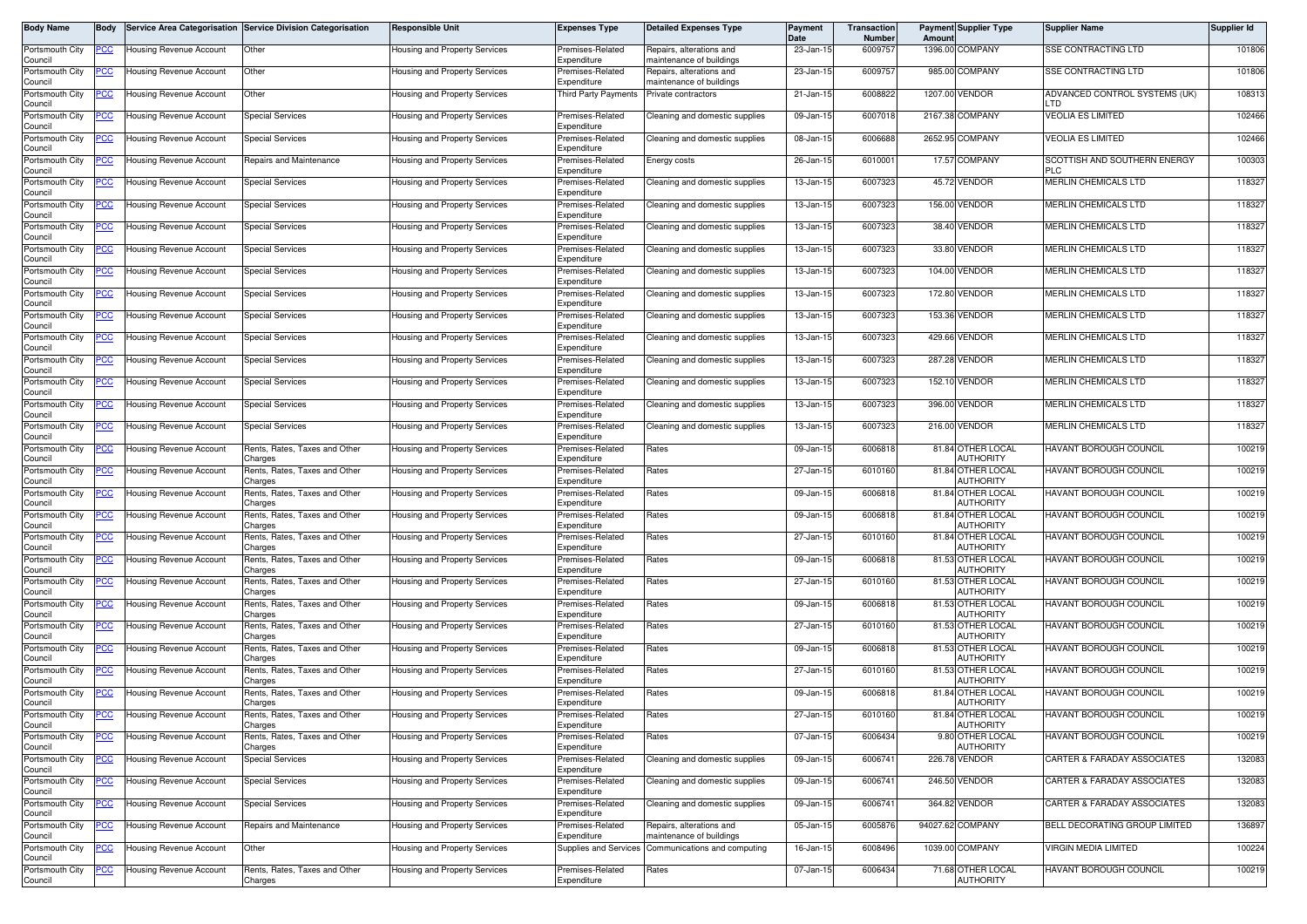| Body Name                  | Body        |                                | Service Area Categorisation Service Division Categorisation | <b>Responsible Unit</b>       | <b>Expenses Type</b>            | <b>Detailed Expenses Type</b>                        | Payment<br>Date | Transaction<br>Number | Amoun   | Payment Supplier Type                 | <b>Supplier Name</b>                       | Supplier Id |
|----------------------------|-------------|--------------------------------|-------------------------------------------------------------|-------------------------------|---------------------------------|------------------------------------------------------|-----------------|-----------------------|---------|---------------------------------------|--------------------------------------------|-------------|
| Portsmouth City<br>Council | <u>CC </u>  | Housing Revenue Account        | Other                                                       | Housing and Property Services | Premises-Related<br>Expenditure | Repairs, alterations and<br>maintenance of buildings | 23-Jan-15       | 6009757               | 1396.00 | COMPANY                               | SSE CONTRACTING LTD                        | 101806      |
| Portsmouth City<br>Council | 'CC         | Housing Revenue Account        | Other                                                       | Housing and Property Services | Premises-Related<br>Expenditure | Repairs, alterations and<br>maintenance of buildings | 23-Jan-15       | 6009757               |         | 985.00 COMPANY                        | SSE CONTRACTING LTD                        | 101806      |
| Portsmouth City<br>Council | <u>CC </u>  | Housing Revenue Account        | <b>Other</b>                                                | Housing and Property Services | Third Party Payments            | Private contractors                                  | 21-Jan-15       | 6008822               |         | 1207.00 VENDOR                        | ADVANCED CONTROL SYSTEMS (UK)<br>LTD.      | 108313      |
| Portsmouth City<br>Council | 'CC         | <b>Housing Revenue Account</b> | <b>Special Services</b>                                     | Housing and Property Services | Premises-Related<br>Expenditure | Cleaning and domestic supplies                       | 09-Jan-15       | 6007018               |         | 2167.38 COMPANY                       | <b>VEOLIA ES LIMITED</b>                   | 102466      |
| Portsmouth City<br>Council | <u>сс</u>   | Housing Revenue Account        | <b>Special Services</b>                                     | Housing and Property Services | Premises-Related<br>Expenditure | Cleaning and domestic supplies                       | 08-Jan-15       | 6006688               |         | 2652.95 COMPANY                       | <b>VEOLIA ES LIMITED</b>                   | 102466      |
| Portsmouth City<br>Council |             | Housing Revenue Account        | Repairs and Maintenance                                     | Housing and Property Services | Premises-Related<br>Expenditure | Energy costs                                         | 26-Jan-15       | 6010001               | 17.57   | <b>COMPANY</b>                        | SCOTTISH AND SOUTHERN ENERGY<br><b>PLC</b> | 100303      |
| Portsmouth City<br>Council | CC          | <b>Housing Revenue Account</b> | <b>Special Services</b>                                     | Housing and Property Services | Premises-Related<br>Expenditure | Cleaning and domestic supplies                       | 13-Jan-15       | 6007323               |         | 45.72 VENDOR                          | <b>MERLIN CHEMICALS LTD</b>                | 118327      |
| Portsmouth City<br>Council | <u>cc</u>   | Housing Revenue Account        | Special Services                                            | Housing and Property Services | Premises-Related<br>Expenditure | Cleaning and domestic supplies                       | 13-Jan-15       | 6007323               |         | 156.00 VENDOR                         | MERLIN CHEMICALS LTD                       | 118327      |
| Portsmouth City<br>Council | <u>'CC</u>  | <b>Housing Revenue Account</b> | <b>Special Services</b>                                     | lousing and Property Services | Premises-Related<br>Expenditure | Cleaning and domestic supplies                       | 13-Jan-15       | 6007323               |         | 38.40 VENDOR                          | <b>MERLIN CHEMICALS LTD</b>                | 118327      |
| Portsmouth City<br>Council | PСC         | Housing Revenue Accoun         | Special Services                                            | Housing and Property Services | Premises-Related<br>Expenditure | Cleaning and domestic supplies                       | 13-Jan-15       | 6007323               |         | 33.80 VENDOR                          | MERLIN CHEMICALS LTD                       | 118327      |
| Portsmouth City<br>Council |             | Housing Revenue Account        | Special Services                                            | Housing and Property Services | Premises-Related<br>Expenditure | Cleaning and domestic supplies                       | 13-Jan-15       | 6007323               | 104.00  | VENDOR                                | MERLIN CHEMICALS LTD                       | 118327      |
| Portsmouth City<br>Council | <u>PCC </u> | Housing Revenue Account        | <b>Special Services</b>                                     | Housing and Property Services | Premises-Related<br>Expenditure | Cleaning and domestic supplies                       | 13-Jan-15       | 6007323               |         | 172.80 VENDOR                         | MERLIN CHEMICALS LTD                       | 118327      |
| Portsmouth City<br>Council | <u>CC </u>  | Housing Revenue Account        | <b>Special Services</b>                                     | Housing and Property Services | remises-Related<br>Expenditure  | Cleaning and domestic supplies                       | 13-Jan-1        | 6007323               |         | 153.36 VENDOR                         | MERLIN CHEMICALS LTD                       | 118327      |
| Portsmouth City<br>Council | 'CC         | <b>Housing Revenue Account</b> | <b>Special Services</b>                                     | Housing and Property Services | Premises-Related<br>Expenditure | Cleaning and domestic supplies                       | 13-Jan-15       | 6007323               |         | 429.66 VENDOR                         | MERLIN CHEMICALS LTD                       | 118327      |
| Portsmouth City<br>Council | <u>CC </u>  | Housing Revenue Account        | <b>Special Services</b>                                     | Housing and Property Services | Premises-Related<br>Expenditure | Cleaning and domestic supplies                       | 13-Jan-15       | 6007323               |         | 287.28 VENDOR                         | MERLIN CHEMICALS LTD                       | 118327      |
| Portsmouth City<br>Council | <u>CC </u>  | Housing Revenue Account        | <b>Special Services</b>                                     | Housing and Property Services | Premises-Related<br>Expenditure | Cleaning and domestic supplies                       | 13-Jan-15       | 6007323               |         | 152.10 VENDOR                         | MERLIN CHEMICALS LTD                       | 118327      |
| Portsmouth City<br>Council |             | Housing Revenue Account        | <b>Special Services</b>                                     | lousing and Property Services | Premises-Related<br>Expenditure | Cleaning and domestic supplies                       | 13-Jan-15       | 6007323               |         | 396.00 VENDOR                         | MERLIN CHEMICALS LTD                       | 118327      |
| Portsmouth City<br>Council | <u>PCC</u>  | Housing Revenue Account        | <b>Special Services</b>                                     | Housing and Property Services | Premises-Related<br>Expenditure | Cleaning and domestic supplies                       | 13-Jan-15       | 6007323               |         | 216.00 VENDOR                         | MERLIN CHEMICALS LTD                       | 118327      |
| Portsmouth City<br>Council |             | <b>Housing Revenue Account</b> | Rents, Rates, Taxes and Other<br>harges:                    | Housing and Property Services | Premises-Related<br>Expenditure | Rates                                                | 09-Jan-15       | 6006818               |         | 81.84 OTHER LOCAL<br><b>AUTHORITY</b> | HAVANT BOROUGH COUNCIL                     | 100219      |
| Portsmouth City<br>Council | <u>CC </u>  | Housing Revenue Account        | Rents, Rates, Taxes and Other<br>harges:                    | Housing and Property Services | Premises-Related<br>Expenditure | Rates                                                | 27-Jan-15       | 6010160               |         | 81.84 OTHER LOCAL<br>AUTHORITY        | HAVANT BOROUGH COUNCIL                     | 100219      |
| Portsmouth City<br>Council | <u>'CC</u>  | <b>Housing Revenue Account</b> | Rents, Rates, Taxes and Other<br>harges:                    | Housing and Property Services | Premises-Related<br>Expenditure | Rates                                                | 09-Jan-1        | 600681                |         | 81.84 OTHER LOCAL<br>AUTHORITY        | HAVANT BOROUGH COUNCIL                     | 100219      |
| Portsmouth City<br>Council | <u>CC </u>  | Housing Revenue Account        | Rents, Rates, Taxes and Other<br>Charges                    | Housing and Property Services | Premises-Related<br>Expenditure | Rates                                                | 09-Jan-15       | 6006818               |         | 81.84 OTHER LOCAL<br>AUTHORITY        | <b>HAVANT BOROUGH COUNCIL</b>              | 100219      |
| Portsmouth City<br>Council | cс          | <b>Housing Revenue Account</b> | Rents, Rates, Taxes and Other<br>harges:                    | Housing and Property Services | Premises-Related<br>Expenditure | Rates                                                | 27-Jan-15       | 6010160               |         | 81.84 OTHER LOCAL<br><b>AUTHORITY</b> | HAVANT BOROUGH COUNCIL                     | 100219      |
| Portsmouth City<br>Council | <u>'CC</u>  | Housing Revenue Account        | Rents, Rates, Taxes and Other<br>Charges                    | Housing and Property Services | Premises-Related<br>Expenditure | Rates                                                | 09-Jan-15       | 6006818               |         | 81.53 OTHER LOCAL<br><b>AUTHORITY</b> | HAVANT BOROUGH COUNCIL                     | 100219      |
| Portsmouth City<br>Council | <u>CC </u>  | <b>Housing Revenue Account</b> | Rents, Rates, Taxes and Other<br>harges:                    | Housing and Property Services | Premises-Related<br>Expenditure | Rates                                                | 27-Jan-15       | 6010160               |         | 81.53 OTHER LOCAL<br>AUTHORITY        | HAVANT BOROUGH COUNCIL                     | 100219      |
| Portsmouth City<br>Council | <u>CC </u>  | Housing Revenue Account        | Rents, Rates, Taxes and Other<br>Charges                    | Housing and Property Services | Premises-Related<br>Expenditure | Rates                                                | 09-Jan-15       | 6006818               |         | 81.53 OTHER LOCAL<br><b>AUTHORITY</b> | <b>HAVANT BOROUGH COUNCIL</b>              | 100219      |
| Portsmouth City<br>Council |             | <b>Housing Revenue Account</b> | Rents, Rates, Taxes and Other<br>Charges                    | Housing and Property Services | Premises-Related<br>Expenditure | Rates                                                | 27-Jan-15       | 6010160               |         | 81.53 OTHER LOCAL<br>AUTHORITY        | <b>HAVANT BOROUGH COUNCIL</b>              | 100219      |
| Portsmouth City<br>Council |             | Housing Revenue Account        | Rents, Rates, Taxes and Other<br>Charges                    | Housing and Property Services | remises-Related<br>Expenditure  | Rates                                                | 09-Jan-15       | 6006818               |         | 81.53 OTHER LOCAL<br>AUTHORITY        | <b>HAVANT BOROUGH COUNCIL</b>              | 100219      |
| Portsmouth City<br>Council | <u>PCC</u>  | Housing Revenue Account        | Rents, Rates, Taxes and Other<br>Charges                    | Housing and Property Services | Premises-Related<br>Expenditure | Rates                                                | 27-Jan-15       | 6010160               |         | 81.53 OTHER LOCAL<br>AUTHORITY        | HAVANT BOROUGH COUNCIL                     | 100219      |
| Portsmouth City<br>Council |             | <b>Housing Revenue Account</b> | Rents, Rates, Taxes and Other<br>Charges                    | Housing and Property Services | remises-Related<br>Expenditure  | Rates                                                | 09-Jan-15       | 6006818               |         | 81.84 OTHER LOCAL<br>AUTHORITY        | <b>HAVANT BOROUGH COUNCIL</b>              | 100219      |
| Portsmouth City<br>Council | <u>PCC</u>  | <b>Housing Revenue Account</b> | Rents, Rates, Taxes and Other<br>Charges                    | Housing and Property Services | Premises-Related<br>Expenditure | Rates                                                | 27-Jan-15       | 6010160               |         | 81.84 OTHER LOCAL<br><b>AUTHORITY</b> | <b>HAVANT BOROUGH COUNCIL</b>              | 100219      |
| Portsmouth City<br>Council | <u>'CC</u>  | Housing Revenue Account        | Rents, Rates, Taxes and Other<br>Charges                    | lousing and Property Services | Premises-Related<br>Expenditure | Rates                                                | 07-Jan-15       | 6006434               |         | 9.80 OTHER LOCAL<br><b>AUTHORITY</b>  | HAVANT BOROUGH COUNCIL                     | 100219      |
| Portsmouth City<br>Council | °СС         | <b>Housing Revenue Account</b> | <b>Special Services</b>                                     | Housing and Property Services | Premises-Related<br>Expenditure | Cleaning and domestic supplies                       | 09-Jan-15       | 6006741               |         | 226.78 VENDOR                         | <b>CARTER &amp; FARADAY ASSOCIATES</b>     | 132083      |
| Portsmouth City<br>Council |             | <b>Housing Revenue Account</b> | Special Services                                            | lousing and Property Services | Premises-Related<br>Expenditure | Cleaning and domestic supplies                       | 09-Jan-15       | 6006741               |         | 246.50 VENDOR                         | <b>CARTER &amp; FARADAY ASSOCIATES</b>     | 132083      |
| Portsmouth City<br>Council | <u>PCC </u> | Housing Revenue Account        | <b>Special Services</b>                                     | lousing and Property Services | Premises-Related<br>Expenditure | Cleaning and domestic supplies                       | 09-Jan-15       | 6006741               |         | 364.82 VENDOR                         | <b>CARTER &amp; FARADAY ASSOCIATES</b>     | 132083      |
| Portsmouth City<br>Council | ငင          | Housing Revenue Account        | Repairs and Maintenance                                     | lousing and Property Services | Premises-Related<br>Expenditure | Repairs, alterations and<br>maintenance of buildings | 05-Jan-15       | 6005876               |         | 94027.62 COMPANY                      | BELL DECORATING GROUP LIMITED              | 136897      |
| Portsmouth City<br>Council | <u>'CC</u>  | Housing Revenue Account        | Other                                                       | lousing and Property Services | Supplies and Services           | Communications and computing                         | 16-Jan-15       | 6008496               |         | 1039.00 COMPANY                       | <b>VIRGIN MEDIA LIMITED</b>                | 100224      |
| Portsmouth City<br>Council |             | Housing Revenue Account        | Rents, Rates, Taxes and Other<br>Charges                    | lousing and Property Services | Premises-Related<br>Expenditure | Rates                                                | 07-Jan-15       | 6006434               |         | 71.68 OTHER LOCAL<br><b>AUTHORITY</b> | HAVANT BOROUGH COUNCIL                     | 100219      |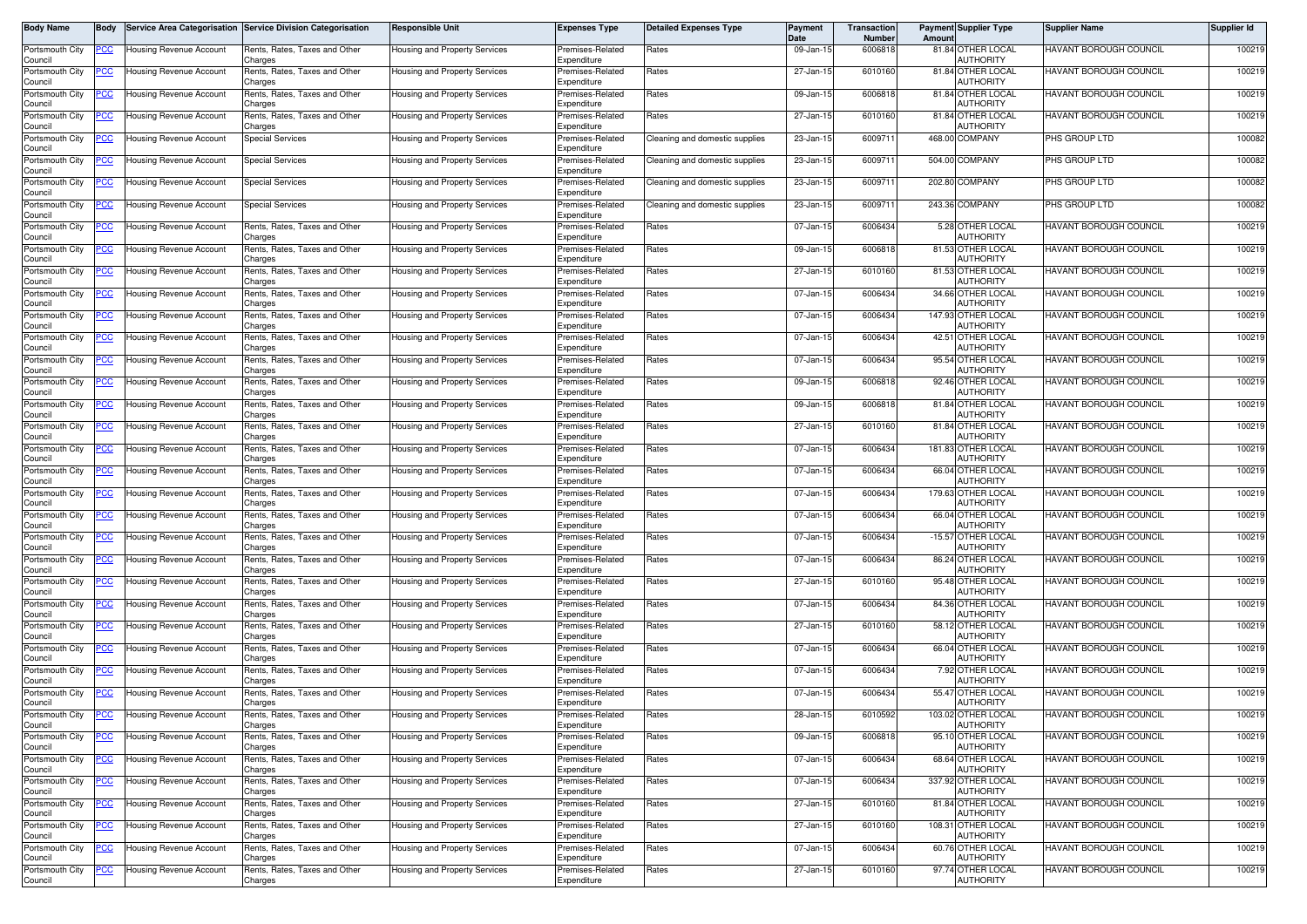| Body Name                  | Body        |                                | Service Area Categorisation Service Division Categorisation | Responsible Unit              | <b>Expenses Type</b>            | <b>Detailed Expenses Type</b>  | Payment<br>Date | Transaction<br>Number | Amount | <b>Payment Supplier Type</b>           | <b>Supplier Name</b>          | Supplier Id |
|----------------------------|-------------|--------------------------------|-------------------------------------------------------------|-------------------------------|---------------------------------|--------------------------------|-----------------|-----------------------|--------|----------------------------------------|-------------------------------|-------------|
| Portsmouth City<br>Council | <u>PCC</u>  | Housing Revenue Account        | Rents, Rates, Taxes and Other<br>Charges                    | lousing and Property Services | Premises-Related<br>Expenditure | Rates                          | 09-Jan-15       | 6006818               |        | 81.84 OTHER LOCAL<br><b>AUTHORITY</b>  | HAVANT BOROUGH COUNCIL        | 100219      |
| Portsmouth City<br>Council | <u>PCC</u>  | <b>Housing Revenue Account</b> | Rents, Rates, Taxes and Other<br>Charges                    | Housing and Property Services | Premises-Related<br>Expenditure | Rates                          | 27-Jan-15       | 6010160               |        | 81.84 OTHER LOCAL<br><b>AUTHORITY</b>  | HAVANT BOROUGH COUNCIL        | 100219      |
| Portsmouth City<br>Council |             | Housing Revenue Account        | Rents, Rates, Taxes and Other<br>Charges                    | Housing and Property Services | Premises-Related<br>Expenditure | Rates                          | 09-Jan-15       | 6006818               |        | 81.84 OTHER LOCAL<br><b>AUTHORITY</b>  | HAVANT BOROUGH COUNCIL        | 100219      |
| Portsmouth City<br>Council | <u>PCC</u>  | <b>Housing Revenue Account</b> | Rents, Rates, Taxes and Other<br>Charges                    | Housing and Property Services | Premises-Related<br>Expenditure | Rates                          | 27-Jan-15       | 6010160               |        | 81.84 OTHER LOCAL<br>AUTHORITY         | HAVANT BOROUGH COUNCIL        | 100219      |
| Portsmouth City<br>Council | <u>PCC </u> | Housing Revenue Account        | Special Services                                            | Housing and Property Services | Premises-Related<br>Expenditure | Cleaning and domestic supplies | 23-Jan-15       | 600971                |        | 468.00 COMPANY                         | PHS GROUP LTD                 | 100082      |
| Portsmouth City<br>Council | <u>PCC</u>  | Housing Revenue Account        | <b>Special Services</b>                                     | Housing and Property Services | Premises-Related<br>Expenditure | Cleaning and domestic supplies | 23-Jan-15       | 6009711               |        | 504.00 COMPANY                         | PHS GROUP LTD                 | 100082      |
| Portsmouth City<br>Council | <u>PCC</u>  | Housing Revenue Account        | <b>Special Services</b>                                     | Housing and Property Services | Premises-Related<br>Expenditure | Cleaning and domestic supplies | 23-Jan-15       | 6009711               |        | 202.80 COMPANY                         | PHS GROUP LTD                 | 100082      |
| Portsmouth City<br>Council | <u>PCC </u> | <b>Housing Revenue Account</b> | <b>Special Services</b>                                     | Housing and Property Services | Premises-Related<br>Expenditure | Cleaning and domestic supplies | 23-Jan-15       | 6009711               |        | 243.36 COMPANY                         | PHS GROUP LTD                 | 100082      |
| Portsmouth City<br>Council | <u>PCC</u>  | Housing Revenue Account        | Rents, Rates, Taxes and Other<br>harges:                    | Housing and Property Services | Premises-Related<br>Expenditure | Rates                          | 07-Jan-15       | 6006434               |        | 5.28 OTHER LOCAL<br>AUTHORITY          | HAVANT BOROUGH COUNCIL        | 100219      |
| Portsmouth City<br>Council | <u>PCC</u>  | <b>Housing Revenue Account</b> | Rents, Rates, Taxes and Other<br>Charges                    | Housing and Property Services | Premises-Related<br>Expenditure | Rates                          | 09-Jan-15       | 6006818               |        | 81.53 OTHER LOCAL<br>AUTHORITY         | HAVANT BOROUGH COUNCIL        | 100219      |
| Portsmouth City<br>Council | <u>PCC </u> | <b>Housing Revenue Account</b> | Rents, Rates, Taxes and Other<br>Charges                    | Housing and Property Services | Premises-Related<br>Expenditure | Rates                          | 27-Jan-15       | 6010160               |        | 81.53 OTHER LOCAL<br>AUTHORITY         | HAVANT BOROUGH COUNCIL        | 100219      |
| Portsmouth City<br>Council | <u>PCC </u> | <b>Housing Revenue Account</b> | Rents, Rates, Taxes and Other<br>Charges                    | Housing and Property Services | Premises-Related<br>Expenditure | Rates                          | 07-Jan-15       | 6006434               |        | 34.66 OTHER LOCAL<br>AUTHORITY         | HAVANT BOROUGH COUNCIL        | 100219      |
| Portsmouth City<br>Council | <u>PCC</u>  | Housing Revenue Account        | Rents, Rates, Taxes and Other<br>Charges                    | Housing and Property Services | Premises-Related<br>Expenditure | Rates                          | 07-Jan-15       | 6006434               |        | 147.93 OTHER LOCAL<br>AUTHORITY        | <b>HAVANT BOROUGH COUNCIL</b> | 100219      |
| Portsmouth City<br>Council | <u>PCC</u>  | Housing Revenue Account        | Rents, Rates, Taxes and Other<br>Charges                    | Housing and Property Services | Premises-Related<br>Expenditure | Rates                          | 07-Jan-15       | 6006434               |        | 42.51 OTHER LOCAL<br><b>AUTHORITY</b>  | HAVANT BOROUGH COUNCIL        | 100219      |
| Portsmouth City<br>Council | <u>PCC</u>  | <b>Housing Revenue Account</b> | Rents, Rates, Taxes and Other<br>Charges                    | Housing and Property Services | Premises-Related<br>Expenditure | Rates                          | 07-Jan-15       | 6006434               |        | 95.54 OTHER LOCAL<br><b>AUTHORITY</b>  | <b>HAVANT BOROUGH COUNCIL</b> | 100219      |
| Portsmouth City<br>Council | <u>PCC</u>  | Housing Revenue Account        | Rents, Rates, Taxes and Other<br>Charges                    | Housing and Property Services | Premises-Related<br>Expenditure | Rates                          | 09-Jan-15       | 6006818               |        | 92.46 OTHER LOCAL<br>AUTHORITY         | HAVANT BOROUGH COUNCIL        | 100219      |
| Portsmouth City<br>Council | <u>PCC</u>  | <b>Housing Revenue Account</b> | Rents, Rates, Taxes and Other<br>Charges                    | Housing and Property Services | Premises-Related<br>Expenditure | Rates                          | 09-Jan-15       | 6006818               |        | 81.84 OTHER LOCAL<br>AUTHORITY         | <b>HAVANT BOROUGH COUNCIL</b> | 100219      |
| Portsmouth City<br>Council | <u>PCC</u>  | Housing Revenue Account        | Rents, Rates, Taxes and Other<br>Charges                    | lousing and Property Services | remises-Related<br>Expenditure  | Rates                          | 27-Jan-15       | 6010160               |        | 81.84 OTHER LOCAL<br><b>AUTHORITY</b>  | HAVANT BOROUGH COUNCIL        | 100219      |
| Portsmouth City<br>Council | <u>PCC</u>  | Housing Revenue Accoun         | Rents, Rates, Taxes and Other<br>Charges                    | Housing and Property Services | Premises-Related<br>Expenditure | Rates                          | 07-Jan-15       | 6006434               |        | 181.83 OTHER LOCAL<br>AUTHORITY        | HAVANT BOROUGH COUNCIL        | 100219      |
| Portsmouth City<br>Council | <u>PCC</u>  | Housing Revenue Account        | Rents, Rates, Taxes and Other<br>Charges                    | Housing and Property Services | Premises-Related<br>Expenditure | Rates                          | 07-Jan-15       | 6006434               |        | 66.04 OTHER LOCAL<br>AUTHORITY         | <b>HAVANT BOROUGH COUNCIL</b> | 100219      |
| Portsmouth City<br>Council | <u>PCC</u>  | Housing Revenue Account        | Rents, Rates, Taxes and Other<br>Charges                    | Housing and Property Services | Premises-Related<br>Expenditure | Rates                          | 07-Jan-15       | 6006434               |        | 179.63 OTHER LOCAL<br><b>AUTHORITY</b> | HAVANT BOROUGH COUNCIL        | 100219      |
| Portsmouth City<br>Council |             | Housing Revenue Account        | Rents, Rates, Taxes and Other<br>Charges                    | Housing and Property Services | Premises-Related<br>Expenditure | Rates                          | 07-Jan-15       | 6006434               |        | 66.04 OTHER LOCAL<br>AUTHORITY         | <b>HAVANT BOROUGH COUNCIL</b> | 100219      |
| Portsmouth City<br>Council | <u>PCC</u>  | Housing Revenue Account        | Rents, Rates, Taxes and Other<br>Charges                    | Housing and Property Services | Premises-Related<br>Expenditure | Rates                          | 07-Jan-15       | 6006434               |        | -15.57 OTHER LOCAL<br>AUTHORITY        | HAVANT BOROUGH COUNCIL        | 100219      |
| Portsmouth City<br>Council |             | Housing Revenue Account        | Rents, Rates, Taxes and Other<br>Charges                    | Housing and Property Services | Premises-Related<br>Expenditure | Rates                          | 07-Jan-15       | 6006434               |        | 86.24 OTHER LOCAL<br><b>AUTHORITY</b>  | <b>HAVANT BOROUGH COUNCIL</b> | 100219      |
| Portsmouth City<br>Council | <u>PCC</u>  | <b>Housing Revenue Account</b> | Rents, Rates, Taxes and Other<br>Charges                    | Housing and Property Services | Premises-Related<br>Expenditure | Rates                          | 27-Jan-15       | 6010160               |        | 95.48 OTHER LOCAL<br>AUTHORITY         | <b>HAVANT BOROUGH COUNCIL</b> | 100219      |
| Portsmouth City<br>Council | <u>PCC</u>  | Housing Revenue Account        | Rents, Rates, Taxes and Other<br>Charges                    | lousing and Property Services | Premises-Related<br>Expenditure | Rates                          | 07-Jan-15       | 6006434               |        | 84.36 OTHER LOCAL<br><b>AUTHORITY</b>  | <b>HAVANT BOROUGH COUNCIL</b> | 100219      |
| Portsmouth City<br>Council | <u>PCC</u>  | Housing Revenue Account        | Rents, Rates, Taxes and Other<br>Charges                    | Housing and Property Services | Premises-Related<br>Expenditure | Rates                          | 27-Jan-15       | 6010160               |        | 58.12 OTHER LOCAL<br>AUTHORITY         | HAVANT BOROUGH COUNCIL        | 100219      |
| Portsmouth City<br>Council |             | Housing Revenue Account        | Rents, Rates, Taxes and Other<br>Charges                    | Housing and Property Services | Premises-Related<br>Expenditure | Rates                          | 07-Jan-15       | 6006434               |        | 66.04 OTHER LOCAL<br>AUTHORITY         | HAVANT BOROUGH COUNCIL        | 100219      |
| Portsmouth City<br>Council | <u>PCC</u>  | <b>Housing Revenue Account</b> | Rents, Rates, Taxes and Other<br>Charges                    | Housing and Property Services | Premises-Related<br>Expenditure | Rates                          | 07-Jan-15       | 6006434               |        | 7.92 OTHER LOCAL<br><b>AUTHORITY</b>   | HAVANT BOROUGH COUNCIL        | 100219      |
| Portsmouth City<br>Council | <u>PCC</u>  | Housing Revenue Account        | Rents, Rates, Taxes and Other<br>Charges                    | Housing and Property Services | Premises-Related<br>Expenditure | Rates                          | 07-Jan-15       | 6006434               |        | 55.47 OTHER LOCAL<br>AUTHORITY         | <b>HAVANT BOROUGH COUNCIL</b> | 100219      |
| Portsmouth City<br>Council | <b>PCC</b>  | <b>Housing Revenue Account</b> | Rents, Rates, Taxes and Other<br>Charges                    | Housing and Property Services | Premises-Related<br>Expenditure | Rates                          | 28-Jan-15       | 6010592               |        | 103.02 OTHER LOCAL<br>AUTHORITY        | <b>HAVANT BOROUGH COUNCIL</b> | 100219      |
| Portsmouth City<br>Council | <u>PCC</u>  | <b>Housing Revenue Account</b> | Rents, Rates, Taxes and Other<br>Charges                    | Housing and Property Services | Premises-Related<br>Expenditure | Rates                          | 09-Jan-15       | 6006818               |        | 95.10 OTHER LOCAL<br><b>AUTHORITY</b>  | HAVANT BOROUGH COUNCIL        | 100219      |
| Portsmouth City<br>Council |             | Housing Revenue Account        | Rents, Rates, Taxes and Other<br>Charges                    | lousing and Property Services | Premises-Related<br>Expenditure | Rates                          | 07-Jan-15       | 6006434               |        | 68.64 OTHER LOCAL<br>AUTHORITY         | HAVANT BOROUGH COUNCIL        | 100219      |
| Portsmouth City<br>Council | <u>PCC</u>  | Housing Revenue Account        | Rents, Rates, Taxes and Other<br>Charges                    | lousing and Property Services | Premises-Related<br>Expenditure | Rates                          | 07-Jan-15       | 6006434               |        | 337.92 OTHER LOCAL<br>AUTHORITY        | HAVANT BOROUGH COUNCIL        | 100219      |
| Portsmouth City<br>Council | <u>PCC</u>  | Housing Revenue Account        | Rents, Rates, Taxes and Other<br>Charges                    | lousing and Property Services | Premises-Related<br>Expenditure | Rates                          | 27-Jan-15       | 6010160               |        | 81.84 OTHER LOCAL<br>AUTHORITY         | HAVANT BOROUGH COUNCIL        | 100219      |
| Portsmouth City<br>Council | <u>PCC</u>  | Housing Revenue Account        | Rents, Rates, Taxes and Other<br>Charges                    | Housing and Property Services | Premises-Related<br>Expenditure | Rates                          | 27-Jan-15       | 6010160               |        | 108.31 OTHER LOCAL<br>AUTHORITY        | HAVANT BOROUGH COUNCIL        | 100219      |
| Portsmouth City<br>Council | <u>'СС</u>  | Housing Revenue Account        | Rents, Rates, Taxes and Other<br>Charges                    | lousing and Property Services | Premises-Related<br>Expenditure | Rates                          | 07-Jan-15       | 6006434               |        | 60.76 OTHER LOCAL<br><b>AUTHORITY</b>  | <b>HAVANT BOROUGH COUNCIL</b> | 100219      |
| Portsmouth City<br>Council | <u>PCC</u>  | Housing Revenue Account        | Rents, Rates, Taxes and Other<br>Charges                    | Housing and Property Services | Premises-Related<br>Expenditure | Rates                          | 27-Jan-15       | 6010160               |        | 97.74 OTHER LOCAL<br>AUTHORITY         | HAVANT BOROUGH COUNCIL        | 100219      |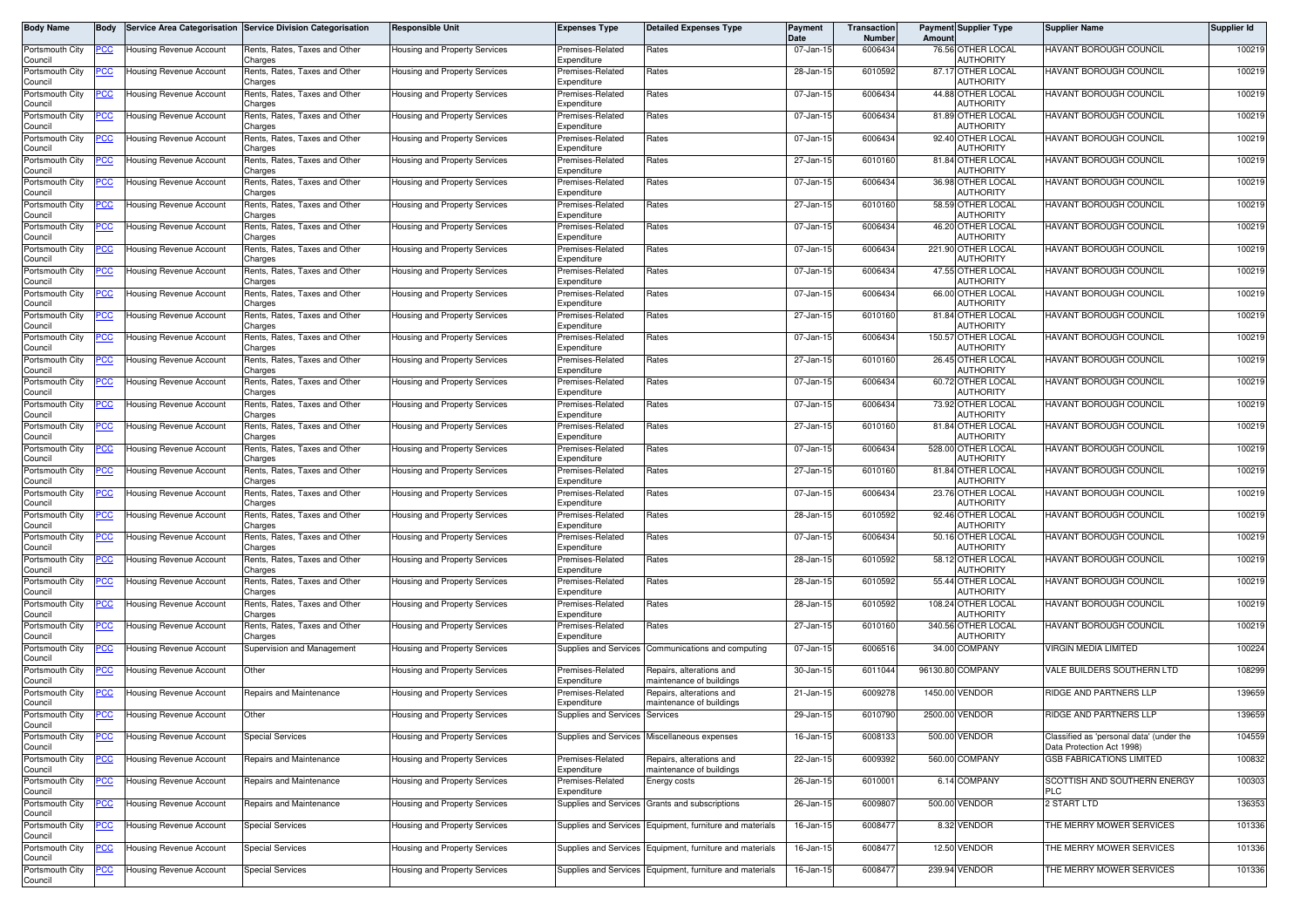| Portsmouth City<br>Council | <u>PCC</u>  | <b>Housing Revenue Account</b> | Rents, Rates, Taxes and Other            |                                      |                                 |                                                          | Date      | Number  | Amoun                                  |                                                                       |        |
|----------------------------|-------------|--------------------------------|------------------------------------------|--------------------------------------|---------------------------------|----------------------------------------------------------|-----------|---------|----------------------------------------|-----------------------------------------------------------------------|--------|
|                            |             |                                | Charges                                  | Housing and Property Services        | Premises-Related<br>Expenditure | Rates                                                    | 07-Jan-15 | 6006434 | 76.56 OTHER LOCAL<br>AUTHORITY         | HAVANT BOROUGH COUNCIL                                                | 100219 |
| Portsmouth City<br>Council |             | Housing Revenue Account        | Rents, Rates, Taxes and Other<br>Charges | Housing and Property Services        | Premises-Related<br>Expenditure | Rates                                                    | 28-Jan-15 | 6010592 | 87.17 OTHER LOCAL<br><b>AUTHORITY</b>  | <b>HAVANT BOROUGH COUNCIL</b>                                         | 100219 |
| Portsmouth City<br>Council | <u>PCC</u>  | Housing Revenue Account        | Rents, Rates, Taxes and Other<br>Charges | Housing and Property Services        | Premises-Related<br>Expenditure | Rates                                                    | 07-Jan-1  | 6006434 | 44.88 OTHER LOCAL<br><b>AUTHORITY</b>  | <b>HAVANT BOROUGH COUNCIL</b>                                         | 100219 |
| Portsmouth City<br>Council | <u>PCC</u>  | <b>Housing Revenue Account</b> | Rents, Rates, Taxes and Other<br>Charges | Housing and Property Services        | Premises-Related<br>Expenditure | Rates                                                    | 07-Jan-15 | 6006434 | 81.89 OTHER LOCAL<br>AUTHORITY         | HAVANT BOROUGH COUNCIL                                                | 100219 |
| Portsmouth City<br>Council | <u>PCC</u>  | Housing Revenue Account        | Rents, Rates, Taxes and Other<br>Charges | Housing and Property Services        | Premises-Related<br>Expenditure | Rates                                                    | 07-Jan-1  | 6006434 | 92.40 OTHER LOCAL<br>AUTHORITY         | HAVANT BOROUGH COUNCIL                                                | 100219 |
| Portsmouth City<br>Council | <u>PCC</u>  | Housing Revenue Account        | Rents, Rates, Taxes and Other<br>Charges | Housing and Property Services        | Premises-Related<br>Expenditure | Rates                                                    | 27-Jan-15 | 6010160 | 81.84 OTHER LOCAL<br>AUTHORITY         | <b>HAVANT BOROUGH COUNCIL</b>                                         | 100219 |
| Portsmouth City<br>Council |             | Housing Revenue Account        | Rents, Rates, Taxes and Other<br>Charges | Housing and Property Services        | Premises-Related<br>Expenditure | Rates                                                    | 07-Jan-15 | 6006434 | 36.98 OTHER LOCAL<br><b>AUTHORITY</b>  | <b>HAVANT BOROUGH COUNCIL</b>                                         | 100219 |
| Portsmouth City<br>Council | <u>'CC</u>  | Housing Revenue Account        | Rents, Rates, Taxes and Other<br>Charges | Housing and Property Services        | Premises-Related<br>Expenditure | Rates                                                    | 27-Jan-15 | 6010160 | 58.59 OTHER LOCAL<br>AUTHORITY         | HAVANT BOROUGH COUNCIL                                                | 100219 |
| Portsmouth City<br>Council | <u>PCC </u> | <b>Housing Revenue Account</b> | Rents, Rates, Taxes and Other<br>Charges | Housing and Property Services        | Premises-Related<br>Expenditure | Rates                                                    | 07-Jan-15 | 6006434 | 46.20 OTHER LOCAL<br><b>AUTHORITY</b>  | HAVANT BOROUGH COUNCIL                                                | 100219 |
| Portsmouth City<br>Council |             | Housing Revenue Account        | Rents, Rates, Taxes and Other<br>Charges | Housing and Property Services        | Premises-Related<br>Expenditure | Rates                                                    | 07-Jan-15 | 6006434 | 221.90 OTHER LOCAL<br><b>AUTHORITY</b> | HAVANT BOROUGH COUNCIL                                                | 100219 |
| Portsmouth City<br>Council |             | Housing Revenue Account        | Rents, Rates, Taxes and Other<br>Charges | Housing and Property Services        | Premises-Related<br>Expenditure | Rates                                                    | 07-Jan-1  | 6006434 | 47.55 OTHER LOCAL<br>AUTHORITY         | HAVANT BOROUGH COUNCIL                                                | 100219 |
| Portsmouth City<br>Council | <u>PCC</u>  | Housing Revenue Account        | Rents, Rates, Taxes and Other<br>Charges | Housing and Property Services        | Premises-Related<br>Expenditure | Rates                                                    | 07-Jan-15 | 6006434 | 66.00 OTHER LOCAL<br>AUTHORITY         | HAVANT BOROUGH COUNCIL                                                | 100219 |
| Portsmouth City<br>Council |             | Housing Revenue Account        | Rents, Rates, Taxes and Other<br>Charges | Housing and Property Services        | Premises-Related<br>Expenditure | Rates                                                    | 27-Jan-15 | 6010160 | 81.84 OTHER LOCAL<br><b>AUTHORITY</b>  | <b>HAVANT BOROUGH COUNCIL</b>                                         | 100219 |
| Portsmouth City<br>Council | <u>CC </u>  | Housing Revenue Account        | Rents, Rates, Taxes and Other<br>Charges | Housing and Property Services        | Premises-Related<br>Expenditure | Rates                                                    | 07-Jan-1  | 6006434 | 150.57 OTHER LOCAL<br>AUTHORITY        | <b>HAVANT BOROUGH COUNCIL</b>                                         | 100219 |
| Portsmouth City<br>Council | PCC         | <b>Housing Revenue Account</b> | Rents, Rates, Taxes and Other<br>Charges | <b>Housing and Property Services</b> | Premises-Related<br>Expenditure | Rates                                                    | 27-Jan-15 | 6010160 | 26.45 OTHER LOCAL<br>AUTHORITY         | <b>HAVANT BOROUGH COUNCIL</b>                                         | 100219 |
| Portsmouth City<br>Council | <u>PCC</u>  | Housing Revenue Account        | Rents, Rates, Taxes and Other<br>Charges | Housing and Property Services        | Premises-Related<br>Expenditure | Rates                                                    | 07-Jan-15 | 6006434 | 60.72 OTHER LOCAL<br><b>AUTHORITY</b>  | HAVANT BOROUGH COUNCIL                                                | 100219 |
| Portsmouth City<br>Council | <u>PCC</u>  | <b>Housing Revenue Account</b> | Rents, Rates, Taxes and Other<br>Charges | Housing and Property Services        | Premises-Related<br>Expenditure | Rates                                                    | 07-Jan-15 | 6006434 | 73.92 OTHER LOCAL<br>AUTHORITY         | HAVANT BOROUGH COUNCIL                                                | 100219 |
| Portsmouth City<br>Council | <u>PCC</u>  | Housing Revenue Account        | Rents, Rates, Taxes and Other<br>Charges | Housing and Property Services        | Premises-Related<br>Expenditure | Rates                                                    | 27-Jan-1  | 6010160 | 81.84 OTHER LOCAL<br><b>AUTHORITY</b>  | <b>HAVANT BOROUGH COUNCIL</b>                                         | 100219 |
| Portsmouth City<br>Council | <u>PCC</u>  | <b>Housing Revenue Account</b> | Rents, Rates, Taxes and Other<br>Charges | Housing and Property Services        | Premises-Related<br>Expenditure | Rates                                                    | 07-Jan-15 | 6006434 | 528.00 OTHER LOCAL<br>AUTHORITY        | <b>HAVANT BOROUGH COUNCIL</b>                                         | 100219 |
| Portsmouth City<br>Council | PСC         | Housing Revenue Account        | Rents, Rates, Taxes and Other<br>Charges | Housing and Property Services        | Premises-Related<br>Expenditure | Rates                                                    | 27-Jan-15 | 6010160 | 81.84 OTHER LOCAL<br><b>AUTHORITY</b>  | HAVANT BOROUGH COUNCIL                                                | 100219 |
| Portsmouth City<br>Council | <u>PCC</u>  | Housing Revenue Account        | Rents, Rates, Taxes and Other<br>Charges | Housing and Property Services        | Premises-Related<br>Expenditure | Rates                                                    | 07-Jan-15 | 6006434 | 23.76 OTHER LOCAL<br>AUTHORITY         | HAVANT BOROUGH COUNCIL                                                | 100219 |
| Portsmouth City<br>Council | <u>PCC </u> | Housing Revenue Account        | Rents, Rates, Taxes and Other<br>Charges | Housing and Property Services        | Premises-Related<br>Expenditure | Rates                                                    | 28-Jan-1  | 6010592 | 92.46 OTHER LOCAL<br>AUTHORITY         | HAVANT BOROUGH COUNCIL                                                | 100219 |
| Portsmouth City<br>Council | <u>PCC</u>  | Housing Revenue Account        | Rents, Rates, Taxes and Other<br>Charges | Housing and Property Services        | Premises-Related<br>Expenditure | Rates                                                    | 07-Jan-15 | 6006434 | 50.16 OTHER LOCAL<br><b>AUTHORITY</b>  | <b>HAVANT BOROUGH COUNCIL</b>                                         | 100219 |
| Portsmouth City<br>Council |             | Housing Revenue Account        | Rents, Rates, Taxes and Other<br>Charges | Housing and Property Services        | Premises-Related<br>Expenditure | Rates                                                    | 28-Jan-1  | 6010592 | 58.12 OTHER LOCAL<br><b>AUTHORITY</b>  | <b>HAVANT BOROUGH COUNCIL</b>                                         | 100219 |
| Portsmouth City<br>Council |             | Housing Revenue Account        | Rents, Rates, Taxes and Other<br>Charges | Housing and Property Services        | Premises-Related<br>Expenditure | Rates                                                    | 28-Jan-15 | 6010592 | 55.44 OTHER LOCAL<br>AUTHORITY         | HAVANT BOROUGH COUNCIL                                                | 100219 |
| Portsmouth City<br>Council | <u>PCC</u>  | Housing Revenue Account        | Rents, Rates, Taxes and Other<br>Charges | Housing and Property Services        | Premises-Related<br>Expenditure | Rates                                                    | 28-Jan-1  | 6010592 | 108.24 OTHER LOCAL<br>AUTHORITY        | HAVANT BOROUGH COUNCIL                                                | 100219 |
| Portsmouth City<br>Council | <u>PCC</u>  | Housing Revenue Account        | Rents, Rates, Taxes and Other<br>Charges | Housing and Property Services        | Premises-Related<br>Expenditure | Rates                                                    | 27-Jan-1  | 6010160 | 340.56 OTHER LOCAL<br>AUTHORITY        | HAVANT BOROUGH COUNCIL                                                | 100219 |
| Portsmouth City<br>Council | <u>PCC</u>  | Housing Revenue Account        | Supervision and Management               | Housing and Property Services        | Supplies and Services           | Communications and computing                             | 07-Jan-15 | 6006516 | 34.00 COMPANY                          | VIRGIN MEDIA LIMITED                                                  | 100224 |
| Portsmouth City<br>Council | <u>PCC</u>  | Housing Revenue Account        | Other                                    | Housing and Property Services        | Premises-Related<br>Expenditure | Repairs, alterations and<br>maintenance of buildings     | 30-Jan-15 | 6011044 | 96130.80<br><b>COMPANY</b>             | VALE BUILDERS SOUTHERN LTD                                            | 108299 |
| Portsmouth City<br>Council | <u>PCC</u>  | <b>Housing Revenue Account</b> | Repairs and Maintenance                  | Housing and Property Services        | Premises-Related<br>Expenditure | Repairs, alterations and<br>maintenance of buildings     | 21-Jan-15 | 6009278 | VENDOR<br>1450.00                      | RIDGE AND PARTNERS LLP                                                | 139659 |
| Portsmouth City<br>Council | <u>PCC</u>  | <b>Housing Revenue Account</b> | Other                                    | Housing and Property Services        | Supplies and Services           | Services                                                 | 29-Jan-15 | 6010790 | 2500.00 VENDOR                         | RIDGE AND PARTNERS LLP                                                | 139659 |
| Portsmouth City<br>Council | <u>PCC</u>  | <b>Housing Revenue Account</b> | <b>Special Services</b>                  | Housing and Property Services        |                                 | Supplies and Services Miscellaneous expenses             | 16-Jan-15 | 6008133 | 500.00 VENDOR                          | Classified as 'personal data' (under the<br>Data Protection Act 1998) | 104559 |
| Portsmouth City<br>Council | сC          | Housing Revenue Account        | Repairs and Maintenance                  | Housing and Property Services        | Premises-Related<br>Expenditure | Repairs, alterations and<br>maintenance of buildings     | 22-Jan-15 | 6009392 | 560.00 COMPANY                         | <b>GSB FABRICATIONS LIMITED</b>                                       | 100832 |
| Portsmouth City<br>Council | <u>PCC</u>  | Housing Revenue Account        | Repairs and Maintenance                  | Housing and Property Services        | Premises-Related<br>Expenditure | Energy costs                                             | 26-Jan-15 | 6010001 | 6.14 COMPANY                           | SCOTTISH AND SOUTHERN ENERGY<br><b>PLC</b>                            | 100303 |
| Portsmouth City<br>Council | <u>PCC</u>  | Housing Revenue Account        | Repairs and Maintenance                  | Housing and Property Services        |                                 | Supplies and Services Grants and subscriptions           | 26-Jan-15 | 6009807 | 500.00 VENDOR                          | 2 START LTD                                                           | 136353 |
| Portsmouth City<br>Council | PCC         | Housing Revenue Account        | <b>Special Services</b>                  | Housing and Property Services        |                                 | Supplies and Services Equipment, furniture and materials | 16-Jan-15 | 6008477 | 8.32 VENDOR                            | THE MERRY MOWER SERVICES                                              | 101336 |
| Portsmouth City<br>Council |             | Housing Revenue Account        | <b>Special Services</b>                  | Housing and Property Services        |                                 | Supplies and Services Equipment, furniture and materials | 16-Jan-15 | 6008477 | 12.50 VENDOR                           | THE MERRY MOWER SERVICES                                              | 101336 |
| Portsmouth City<br>Council | <u>PCC</u>  | Housing Revenue Account        | <b>Special Services</b>                  | Housing and Property Services        |                                 | Supplies and Services Equipment, furniture and materials | 16-Jan-15 | 6008477 | 239.94 VENDOR                          | THE MERRY MOWER SERVICES                                              | 101336 |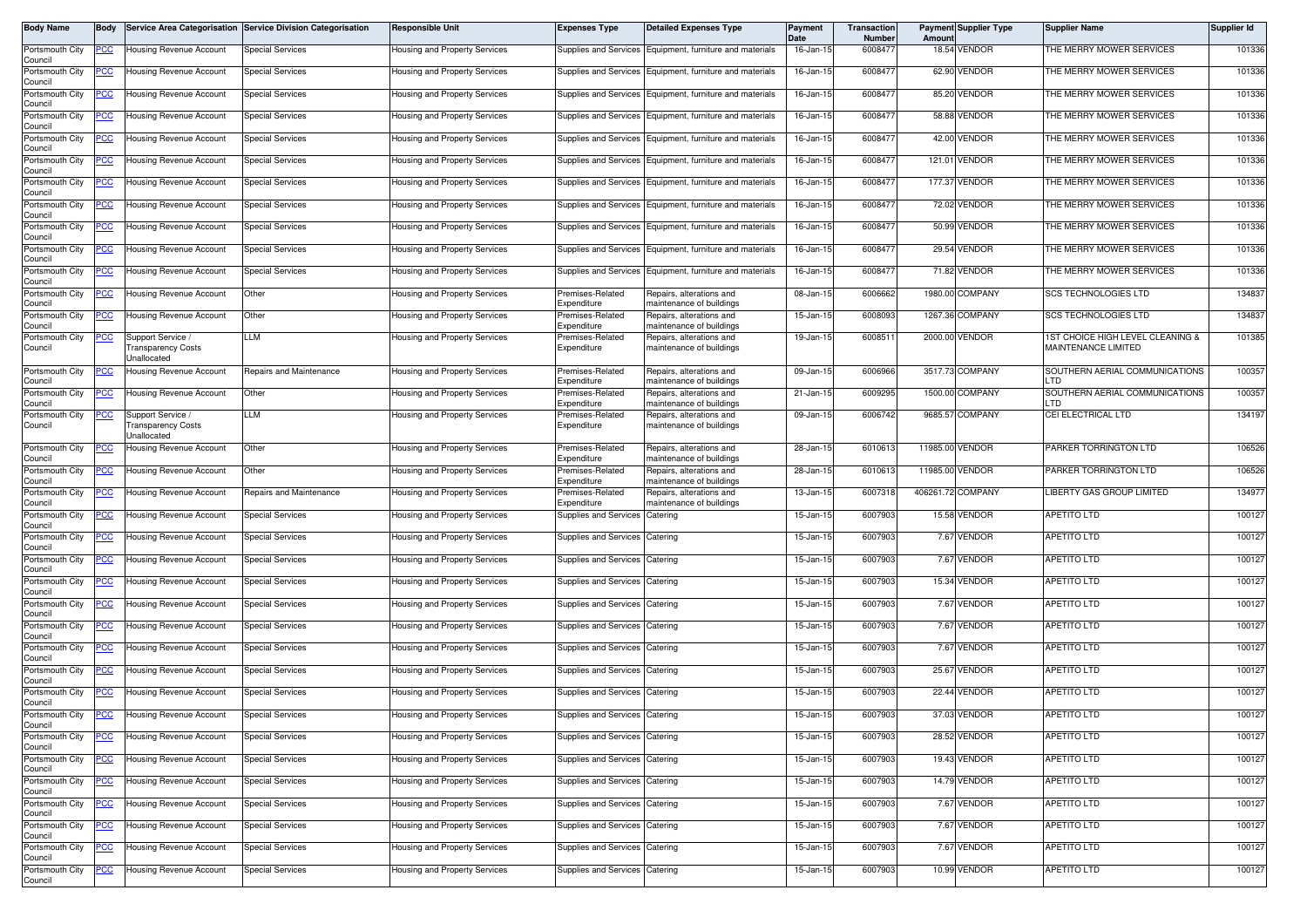| Body Name                  | Body        |                                                       | Service Area Categorisation Service Division Categorisation | Responsible Unit                     | <b>Expenses Type</b>            | <b>Detailed Expenses Type</b>                              | <b>Payment</b><br>Date | <b>Transaction</b><br>Number | Amount | <b>Payment Supplier Type</b> | <b>Supplier Name</b>                                    | Supplier Id |
|----------------------------|-------------|-------------------------------------------------------|-------------------------------------------------------------|--------------------------------------|---------------------------------|------------------------------------------------------------|------------------------|------------------------------|--------|------------------------------|---------------------------------------------------------|-------------|
| Portsmouth City<br>Council | <u>CC </u>  | <b>Housing Revenue Account</b>                        | <b>Special Services</b>                                     | Housing and Property Services        |                                 | Supplies and Services Equipment, furniture and materials   | 16-Jan-15              | 6008477                      |        | 18.54 VENDOR                 | THE MERRY MOWER SERVICES                                | 101336      |
| Portsmouth City<br>Council | 'CC         | Housing Revenue Account                               | <b>Special Services</b>                                     | Housing and Property Services        |                                 | Supplies and Services Equipment, furniture and materials   | 16-Jan-15              | 6008477                      |        | 62.90 VENDOR                 | THE MERRY MOWER SERVICES                                | 101336      |
| Portsmouth City<br>Council | <u>cc</u>   | Housing Revenue Account                               | Special Services                                            | Housing and Property Services        | <b>Supplies and Services</b>    | Equipment, furniture and materials                         | 16-Jan-15              | 600847                       |        | 85.20 VENDOR                 | THE MERRY MOWER SERVICES                                | 101336      |
| Portsmouth City<br>Council | <u>CC</u>   | Housing Revenue Account                               | <b>Special Services</b>                                     | Housing and Property Services        |                                 | Supplies and Services Equipment, furniture and materials   | 16-Jan-15              | 6008477                      |        | 58.88 VENDOR                 | THE MERRY MOWER SERVICES                                | 101336      |
| Portsmouth City<br>Council | <u>cc</u>   | Housing Revenue Account                               | Special Services                                            | Housing and Property Services        | Supplies and Services           | Equipment, furniture and materials                         | 16-Jan-15              | 6008477                      |        | 42.00 VENDOR                 | THE MERRY MOWER SERVICES                                | 101336      |
| Portsmouth City<br>Council | <u>CC</u>   | <b>Housing Revenue Account</b>                        | <b>Special Services</b>                                     | Housing and Property Services        |                                 | Supplies and Services   Equipment, furniture and materials | 16-Jan-15              | 6008477                      |        | 121.01 VENDOR                | THE MERRY MOWER SERVICES                                | 101336      |
| Portsmouth City<br>Council | CC          | Housing Revenue Account                               | <b>Special Services</b>                                     | Housing and Property Services        |                                 | Supplies and Services   Equipment, furniture and materials | 16-Jan-15              | 6008477                      |        | 177.37 VENDOR                | THE MERRY MOWER SERVICES                                | 101336      |
| Portsmouth City<br>Council | <u>cc</u>   | <b>Housing Revenue Account</b>                        | <b>Special Services</b>                                     | Housing and Property Services        | Supplies and Services           | Equipment, furniture and materials                         | 16-Jan-15              | 600847                       |        | 72.02 VENDOR                 | THE MERRY MOWER SERVICES                                | 101336      |
| Portsmouth City<br>Council | <u>'CC</u>  | <b>Housing Revenue Account</b>                        | <b>Special Services</b>                                     | Housing and Property Services        | Supplies and Services           | Equipment, furniture and materials                         | 16-Jan-15              | 6008477                      |        | 50.99 VENDOR                 | THE MERRY MOWER SERVICES                                | 101336      |
| Portsmouth City<br>Council | PСC         | Housing Revenue Account                               | <b>Special Services</b>                                     | Housing and Property Services        | Supplies and Services           | Equipment, furniture and materials                         | 16-Jan-15              | 6008477                      |        | 29.54 VENDOR                 | THE MERRY MOWER SERVICES                                | 101336      |
| Portsmouth City<br>Council |             | <b>Housing Revenue Account</b>                        | Special Services                                            | Housing and Property Services        | Supplies and Services           | Equipment, furniture and materials                         | 16-Jan-15              | 6008477                      |        | 71.82 VENDOR                 | THE MERRY MOWER SERVICES                                | 101336      |
| Portsmouth City<br>Council | <u>PCC</u>  | Housing Revenue Account                               | Other                                                       | Housing and Property Services        | Premises-Related<br>Expenditure | Repairs, alterations and<br>naintenance of buildings       | 08-Jan-15              | 6006662                      |        | 1980.00 COMPANY              | <b>SCS TECHNOLOGIES LTD</b>                             | 134837      |
| Portsmouth City<br>Council | <u>CC </u>  | Housing Revenue Account                               | Other                                                       | Housing and Property Services        | remises-Related<br>Expenditure  | Repairs, alterations and<br>naintenance of buildings       | 15-Jan-1!              | 6008093                      |        | 1267.36 COMPANY              | SCS TECHNOLOGIES LTD                                    | 134837      |
| Portsmouth City<br>Council | <u>CC </u>  | Support Service /<br>ransparency Costs<br>Jnallocated | LLM                                                         | <b>Housing and Property Services</b> | remises-Related<br>Expenditure  | Repairs, alterations and<br>maintenance of buildings       | 19-Jan-15              | 600851                       |        | 2000.00 VENDOR               | 1ST CHOICE HIGH LEVEL CLEANING &<br>MAINTENANCE LIMITED | 101385      |
| Portsmouth City<br>Council |             | Housing Revenue Account                               | Repairs and Maintenance                                     | <b>Housing and Property Services</b> | Premises-Related<br>Expenditure | Repairs, alterations and<br>naintenance of buildings       | 09-Jan-15              | 6006966                      |        | 3517.73 COMPANY              | SOUTHERN AERIAL COMMUNICATIONS<br>חד ו                  | 100357      |
| Portsmouth City<br>Council | <u>'CC</u>  | Housing Revenue Account                               | Other                                                       | Housing and Property Services        | Premises-Related<br>Expenditure | Repairs, alterations and<br>naintenance of buildings       | 21-Jan-15              | 6009295                      |        | 1500.00 COMPANY              | SOUTHERN AERIAL COMMUNICATIONS<br>LTD                   | 100357      |
| Portsmouth City<br>Council | <u>'CC </u> | Support Service /<br>ransparency Costs<br>Jnallocated | LM.                                                         | Housing and Property Services        | remises-Related<br>Expenditure  | Repairs, alterations and<br>maintenance of buildings       | 09-Jan-15              | 6006742                      |        | 9685.57 COMPANY              | CEI ELECTRICAL LTD                                      | 134197      |
| Portsmouth City<br>Council | CC          | <b>Housing Revenue Account</b>                        | Other                                                       | Housing and Property Services        | Premises-Related<br>Expenditure | Repairs, alterations and<br>naintenance of buildings       | 28-Jan-15              | 6010613                      |        | 11985.00 VENDOR              | PARKER TORRINGTON LTD                                   | 106526      |
| Portsmouth City<br>Council | <u>CC </u>  | <b>Housing Revenue Account</b>                        | Other                                                       | Housing and Property Services        | Premises-Related<br>Expenditure | Repairs, alterations and<br>naintenance of buildings       | 28-Jan-15              | 6010613                      |        | 11985.00 VENDOR              | PARKER TORRINGTON LTD                                   | 106526      |
| Portsmouth City<br>Council | <u>'CC</u>  | <b>Housing Revenue Account</b>                        | Repairs and Maintenance                                     | Housing and Property Services        | remises-Related<br>Expenditure  | Repairs, alterations and<br>naintenance of buildings       | 13-Jan-15              | 600731                       |        | 406261.72 COMPANY            | LIBERTY GAS GROUP LIMITED                               | 134977      |
| Portsmouth City<br>Council | <u>PCC</u>  | Housing Revenue Account                               | <b>Special Services</b>                                     | Housing and Property Services        | Supplies and Services           | Catering                                                   | 15-Jan-15              | 6007903                      |        | 15.58 VENDOR                 | APETITO LTD                                             | 100127      |
| Portsmouth City<br>Council |             | Housing Revenue Account                               | <b>Special Services</b>                                     | Housing and Property Services        | Supplies and Services           | Catering                                                   | 15-Jan-15              | 6007903                      |        | 7.67 VENDOR                  | APETITO LTD                                             | 100127      |
| Portsmouth City<br>Council | <u>'CC</u>  | Housing Revenue Account                               | Special Services                                            | Housing and Property Services        | Supplies and Services           | Catering                                                   | 15-Jan-15              | 6007903                      |        | 7.67 VENDOR                  | APETITO LTD                                             | 100127      |
| Portsmouth City<br>Council | <u>CC </u>  | <b>Housing Revenue Account</b>                        | <b>Special Services</b>                                     | Housing and Property Services        | Supplies and Services           | Catering                                                   | 15-Jan-15              | 6007903                      |        | 15.34 VENDOR                 | APETITO LTD                                             | 100127      |
| Portsmouth City<br>Council |             | <b>Housing Revenue Account</b>                        | <b>Special Services</b>                                     | Housing and Property Services        | Supplies and Services           | Catering                                                   | 15-Jan-15              | 6007903                      |        | 7.67 VENDOR                  | <b>APETITO LTD</b>                                      | 100127      |
| Portsmouth City<br>Council | <u>CC </u>  | Housing Revenue Account                               | <b>Special Services</b>                                     | Housing and Property Services        | Supplies and Services           | Catering                                                   | 15-Jan-15              | 6007903                      |        | 7.67 VENDOR                  | APETITO LTD                                             | 100127      |
| Portsmouth City<br>Council | <u>'CC </u> | Housing Revenue Account                               | <b>Special Services</b>                                     | Housing and Property Services        | Supplies and Services           | Catering                                                   | 15-Jan-15              | 6007903                      |        | 7.67 VENDOR                  | APETITO LTD                                             | 100127      |
| Portsmouth City<br>Council | <u>PCC</u>  | <b>Housing Revenue Account</b>                        | Special Services                                            | Housing and Property Services        | Supplies and Services           | Catering                                                   | 15-Jan-15              | 6007903                      |        | 25.67 VENDOR                 | <b>APETITO LTD</b>                                      | 100127      |
| Portsmouth City<br>Council | <u>PCC</u>  | Housing Revenue Account                               | Special Services                                            | Housing and Property Services        | Supplies and Services           | Catering                                                   | 15-Jan-1!              | 6007903                      |        | 22.44 VENDOR                 | APETITO LTD                                             | 100127      |
| Portsmouth City<br>Council | <b>PCC</b>  | <b>Housing Revenue Account</b>                        | <b>Special Services</b>                                     | <b>Housing and Property Services</b> | Supplies and Services Catering  |                                                            | 15-Jan-15              | 6007903                      |        | 37.03 VENDOR                 | <b>APETITO LTD</b>                                      | 100127      |
| Portsmouth City<br>Council | <u>CC </u>  | Housing Revenue Account                               | <b>Special Services</b>                                     | lousing and Property Services        | Supplies and Services           | Catering                                                   | 15-Jan-15              | 6007903                      |        | 28.52 VENDOR                 | <b>APETITO LTD</b>                                      | 100127      |
| Portsmouth City<br>Council | <u>'CC</u>  | <b>Housing Revenue Account</b>                        | <b>Special Services</b>                                     | lousing and Property Services        | Supplies and Services           | Catering                                                   | 15-Jan-15              | 6007903                      |        | 19.43 VENDOR                 | <b>APETITO LTD</b>                                      | 100127      |
| Portsmouth City<br>Council | <u>cc</u>   | Housing Revenue Account                               | <b>Special Services</b>                                     | <b>Housing and Property Services</b> | <b>Supplies and Services</b>    | Catering                                                   | 15-Jan-15              | 6007903                      |        | 14.79 VENDOR                 | <b>APETITO LTD</b>                                      | 100127      |
| Portsmouth City<br>Council | <u>PCC</u>  | <b>Housing Revenue Account</b>                        | <b>Special Services</b>                                     | lousing and Property Services        | Supplies and Services           | Catering                                                   | 15-Jan-15              | 6007903                      |        | 7.67 VENDOR                  | <b>APETITO LTD</b>                                      | 100127      |
| Portsmouth City<br>Council | °СС         | <b>Housing Revenue Account</b>                        | <b>Special Services</b>                                     | Housing and Property Services        | Supplies and Services           | Catering                                                   | 15-Jan-15              | 6007903                      |        | 7.67 VENDOR                  | APETITO LTD                                             | 100127      |
| Portsmouth City<br>Council | <u>'СС</u>  | Housing Revenue Account                               | Special Services                                            | Housing and Property Services        | <b>Supplies and Services</b>    | Catering                                                   | $15 - Jan - 15$        | 6007903                      |        | 7.67 VENDOR                  | <b>APETITO LTD</b>                                      | 100127      |
| Portsmouth City<br>Council |             | <b>Housing Revenue Account</b>                        | <b>Special Services</b>                                     | <b>Housing and Property Services</b> | Supplies and Services           | Catering                                                   | 15-Jan-15              | 6007903                      |        | 10.99 VENDOR                 | APETITO LTD                                             | 100127      |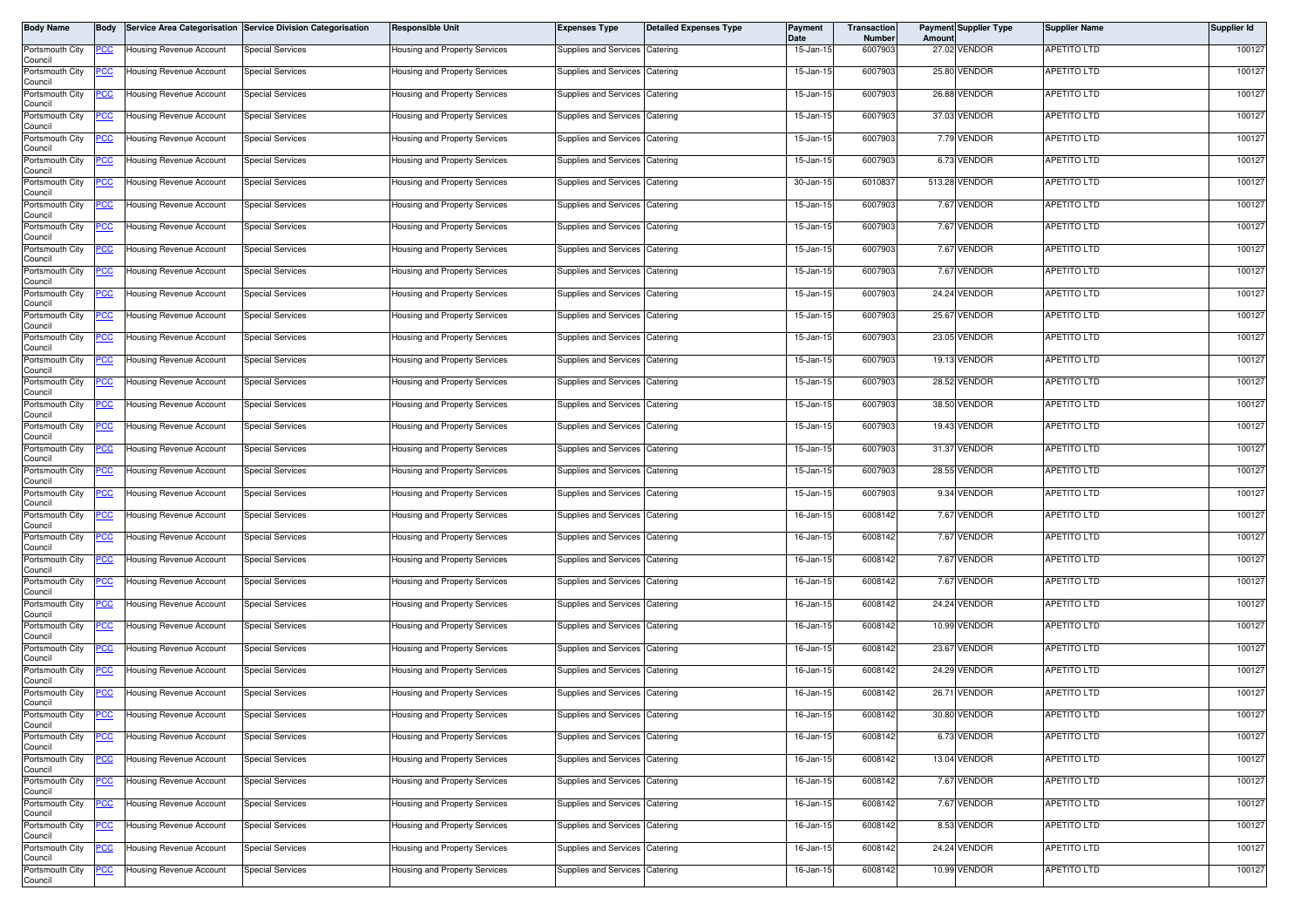| <b>Body Name</b>           | Body       |                                | Service Area Categorisation Service Division Categorisation | <b>Responsible Unit</b>              | <b>Expenses Type</b>           | <b>Detailed Expenses Type</b> | <b>Payment</b><br><b>Date</b> | <b>Transaction</b><br>Number | Amount | <b>Payment Supplier Type</b> | <b>Supplier Name</b> | <b>Supplier Id</b> |
|----------------------------|------------|--------------------------------|-------------------------------------------------------------|--------------------------------------|--------------------------------|-------------------------------|-------------------------------|------------------------------|--------|------------------------------|----------------------|--------------------|
| Portsmouth City<br>Council | PCC        | Housing Revenue Account        | <b>Special Services</b>                                     | Housing and Property Services        | Supplies and Services          | Catering                      | 15-Jan-15                     | 6007903                      |        | 27.02 VENDOR                 | APETITO LTD          | 100127             |
| Portsmouth City<br>Council | °СС        | <b>Housing Revenue Account</b> | Special Services                                            | Housing and Property Services        | Supplies and Services          | Catering                      | 15-Jan-15                     | 6007903                      |        | 25.80 VENDOR                 | <b>APETITO LTD</b>   | 100127             |
| Portsmouth City<br>Council | <u>cc</u>  | Housing Revenue Account        | <b>Special Services</b>                                     | Housing and Property Services        | Supplies and Services          | Catering                      | 15-Jan-15                     | 6007903                      |        | 26.88 VENDOR                 | <b>APETITO LTD</b>   | 100127             |
| Portsmouth City<br>Council | PСC        | Housing Revenue Account        | <b>Special Services</b>                                     | Housing and Property Services        | Supplies and Services Catering |                               | 15-Jan-15                     | 6007903                      |        | 37.03 VENDOR                 | APETITO LTD          | 100127             |
| Portsmouth City<br>Council | <u>cc</u>  | <b>Housing Revenue Account</b> | <b>Special Services</b>                                     | Housing and Property Services        | Supplies and Services          | Catering                      | 15-Jan-15                     | 6007903                      |        | 7.79 VENDOR                  | APETITO LTD          | 100127             |
| Portsmouth City<br>Council | <u>CC</u>  | Housing Revenue Account        | Special Services                                            | Housing and Property Services        | Supplies and Services          | Catering                      | 15-Jan-15                     | 6007903                      |        | 6.73 VENDOR                  | APETITO LTD          | 100127             |
| Portsmouth City<br>Council | <u>CC</u>  | <b>Housing Revenue Account</b> | <b>Special Services</b>                                     | Housing and Property Services        | Supplies and Services          | Catering                      | 30-Jan-15                     | 6010837                      |        | 513.28 VENDOR                | APETITO LTD          | 100127             |
| Portsmouth City<br>Council | <u>cc</u>  | Housing Revenue Account        | <b>Special Services</b>                                     | Housing and Property Services        | <b>Supplies and Services</b>   | Catering                      | 15-Jan-15                     | 6007903                      |        | 7.67 VENDOR                  | <b>APETITO LTD</b>   | 100127             |
| Portsmouth City<br>Council | сc         | <b>Housing Revenue Account</b> | Special Services                                            | Housing and Property Services        | Supplies and Services          | Catering                      | 15-Jan-15                     | 6007903                      |        | 7.67 VENDOR                  | APETITO LTD          | 100127             |
| Portsmouth City<br>Council | PСC        | Housing Revenue Account        | <b>Special Services</b>                                     | <b>Housing and Property Services</b> | <b>Supplies and Services</b>   | Catering                      | 15-Jan-15                     | 6007903                      |        | 7.67 VENDOR                  | APETITO LTD          | 100127             |
| Portsmouth City<br>Council | cс         | Housing Revenue Account        | <b>Special Services</b>                                     | Housing and Property Services        | Supplies and Services          | Catering                      | 15-Jan-15                     | 6007903                      |        | 7.67 VENDOR                  | APETITO LTD          | 100127             |
| Portsmouth City<br>Council | PCC.       | Housing Revenue Account        | <b>Special Services</b>                                     | Housing and Property Services        | Supplies and Services Catering |                               | 15-Jan-15                     | 6007903                      |        | 24.24 VENDOR                 | <b>APETITO LTD</b>   | 100127             |
| Portsmouth City<br>Council | <u>CC </u> | <b>Housing Revenue Account</b> | <b>Special Services</b>                                     | Housing and Property Services        | Supplies and Services Catering |                               | 15-Jan-15                     | 6007903                      |        | 25.67 VENDOR                 | <b>APETITO LTD</b>   | 100127             |
| Portsmouth City<br>Council | °СС        | Housing Revenue Account        | Special Services                                            | Housing and Property Services        | Supplies and Services Catering |                               | 15-Jan-15                     | 6007903                      |        | 23.05 VENDOR                 | APETITO LTD          | 100127             |
| Portsmouth City<br>Council | ပင         | <b>Housing Revenue Account</b> | <b>Special Services</b>                                     | Housing and Property Services        | Supplies and Services          | Catering                      | 15-Jan-15                     | 6007903                      |        | 19.13 VENDOR                 | <b>APETITO LTD</b>   | 100127             |
| Portsmouth City<br>Council | <u>CC </u> | Housing Revenue Account        | <b>Special Services</b>                                     | Housing and Property Services        | Supplies and Services          | Catering                      | 15-Jan-15                     | 6007903                      |        | 28.52 VENDOR                 | <b>APETITO LTD</b>   | 100127             |
| Portsmouth City<br>Council |            | Housing Revenue Account        | <b>Special Services</b>                                     | Housing and Property Services        | Supplies and Services          | Catering                      | 15-Jan-15                     | 6007903                      |        | 38.50 VENDOR                 | APETITO LTD          | 100127             |
| Portsmouth City<br>Council | <u>PCC</u> | <b>Housing Revenue Account</b> | <b>Special Services</b>                                     | Housing and Property Services        | Supplies and Services          | Catering                      | 15-Jan-15                     | 6007903                      |        | 19.43 VENDOR                 | <b>APETITO LTD</b>   | 100127             |
| Portsmouth City<br>Council | <u>CC</u>  | Housing Revenue Account        | <b>Special Services</b>                                     | Housing and Property Services        | Supplies and Services          | Catering                      | 15-Jan-15                     | 6007903                      |        | 31.37 VENDOR                 | <b>APETITO LTD</b>   | 100127             |
| Portsmouth City<br>Council | °СС        | Housing Revenue Account        | <b>Special Services</b>                                     | Housing and Property Services        | Supplies and Services          | Catering                      | 15-Jan-15                     | 6007903                      |        | 28.55 VENDOR                 | <b>APETITO LTD</b>   | 100127             |
| Portsmouth City<br>Council | cс         | Housing Revenue Account        | Special Services                                            | Housing and Property Services        | Supplies and Services          | Catering                      | 15-Jan-15                     | 6007903                      |        | 9.34 VENDOR                  | APETITO LTD          | 100127             |
| Portsmouth City<br>Council | PСC        | <b>Housing Revenue Account</b> | <b>Special Services</b>                                     | Housing and Property Services        | Supplies and Services          | Catering                      | 16-Jan-15                     | 6008142                      |        | 7.67 VENDOR                  | APETITO LTD          | 100127             |
| Portsmouth City<br>Council | °СС        | <b>Housing Revenue Account</b> | Special Services                                            | Housing and Property Services        | Supplies and Services          | Catering                      | 16-Jan-15                     | 6008142                      |        | 7.67 VENDOR                  | APETITO LTD          | 100127             |
| Portsmouth City<br>Council | <u>cc</u>  | <b>Housing Revenue Account</b> | <b>Special Services</b>                                     | Housing and Property Services        | Supplies and Services          | Catering                      | 16-Jan-15                     | 6008142                      |        | 7.67 VENDOR                  | <b>APETITO LTD</b>   | 100127             |
| Portsmouth City<br>Council | °СС        | Housing Revenue Account        | <b>Special Services</b>                                     | Housing and Property Services        | Supplies and Services          | Catering                      | 16-Jan-15                     | 6008142                      |        | 7.67 VENDOR                  | APETITO LTD          | 100127             |
| Portsmouth City<br>Council | °СС        | <b>Housing Revenue Account</b> | <b>Special Services</b>                                     | Housing and Property Services        | <b>Supplies and Services</b>   | Catering                      | 16-Jan-15                     | 6008142                      |        | 24.24 VENDOR                 | <b>APETITO LTD</b>   | 100127             |
| Portsmouth City<br>Council | <u>PCC</u> | Housing Revenue Account        | <b>Special Services</b>                                     | Housing and Property Services        | Supplies and Services          | Catering                      | 16-Jan-15                     | 6008142                      |        | 10.99 VENDOR                 | APETITO LTD          | 100127             |
| Portsmouth City<br>Council | <u>cc</u>  | <b>Housing Revenue Account</b> | <b>Special Services</b>                                     | Housing and Property Services        | Supplies and Services          | Catering                      | 16-Jan-15                     | 6008142                      |        | 23.67 VENDOR                 | APETITO LTD          | 100127             |
| Portsmouth City<br>Council | <u>CC </u> | Housing Revenue Account        | <b>Special Services</b>                                     | Housing and Property Services        | Supplies and Services Catering |                               | 16-Jan-15                     | 6008142                      |        | 24.29 VENDOR                 | APETITO LTD          | 100127             |
| Portsmouth City<br>Council | <u>'CC</u> | <b>Housing Revenue Account</b> | Special Services                                            | Housing and Property Services        | Supplies and Services          | Catering                      | 16-Jan-15                     | 6008142                      |        | 26.71 VENDOR                 | APETITO LTD          | 100127             |
| Portsmouth City<br>Council | <u>PCC</u> | Housing Revenue Account        | Special Services                                            | Housing and Property Services        | Supplies and Services Catering |                               | 16-Jan-15                     | 6008142                      |        | 30.80 VENDOR                 | <b>APETITO LTD</b>   | 100127             |
| Portsmouth City<br>Council |            | Housing Revenue Account        | Special Services                                            | <b>Housing and Property Services</b> | Supplies and Services Catering |                               | 16-Jan-15                     | 6008142                      |        | 6.73 VENDOR                  | APETITO LTD          | 100127             |
| Portsmouth City<br>Council | PСC        | Housing Revenue Account        | <b>Special Services</b>                                     | Housing and Property Services        | Supplies and Services Catering |                               | 16-Jan-15                     | 6008142                      |        | 13.04 VENDOR                 | APETITO LTD          | 100127             |
| Portsmouth City<br>Council |            | <b>Housing Revenue Account</b> | <b>Special Services</b>                                     | <b>Housing and Property Services</b> | Supplies and Services Catering |                               | 16-Jan-15                     | 6008142                      |        | 7.67 VENDOR                  | <b>APETITO LTD</b>   | 100127             |
| Portsmouth City<br>Council | PCC.       | <b>Housing Revenue Account</b> | <b>Special Services</b>                                     | Housing and Property Services        | Supplies and Services Catering |                               | 16-Jan-15                     | 6008142                      |        | 7.67 VENDOR                  | <b>APETITO LTD</b>   | 100127             |
| Portsmouth City<br>Council | 'CC        | Housing Revenue Account        | <b>Special Services</b>                                     | Housing and Property Services        | Supplies and Services Catering |                               | 16-Jan-15                     | 6008142                      |        | 8.53 VENDOR                  | <b>APETITO LTD</b>   | 100127             |
| Portsmouth City<br>Council | <u>CC </u> | <b>Housing Revenue Account</b> | <b>Special Services</b>                                     | Housing and Property Services        | Supplies and Services Catering |                               | 16-Jan-15                     | 6008142                      |        | 24.24 VENDOR                 | <b>APETITO LTD</b>   | 100127             |
| Portsmouth City<br>Council | <u>'CC</u> | Housing Revenue Account        | <b>Special Services</b>                                     | Housing and Property Services        | Supplies and Services Catering |                               | 16-Jan-15                     | 6008142                      |        | 10.99 VENDOR                 | APETITO LTD          | 100127             |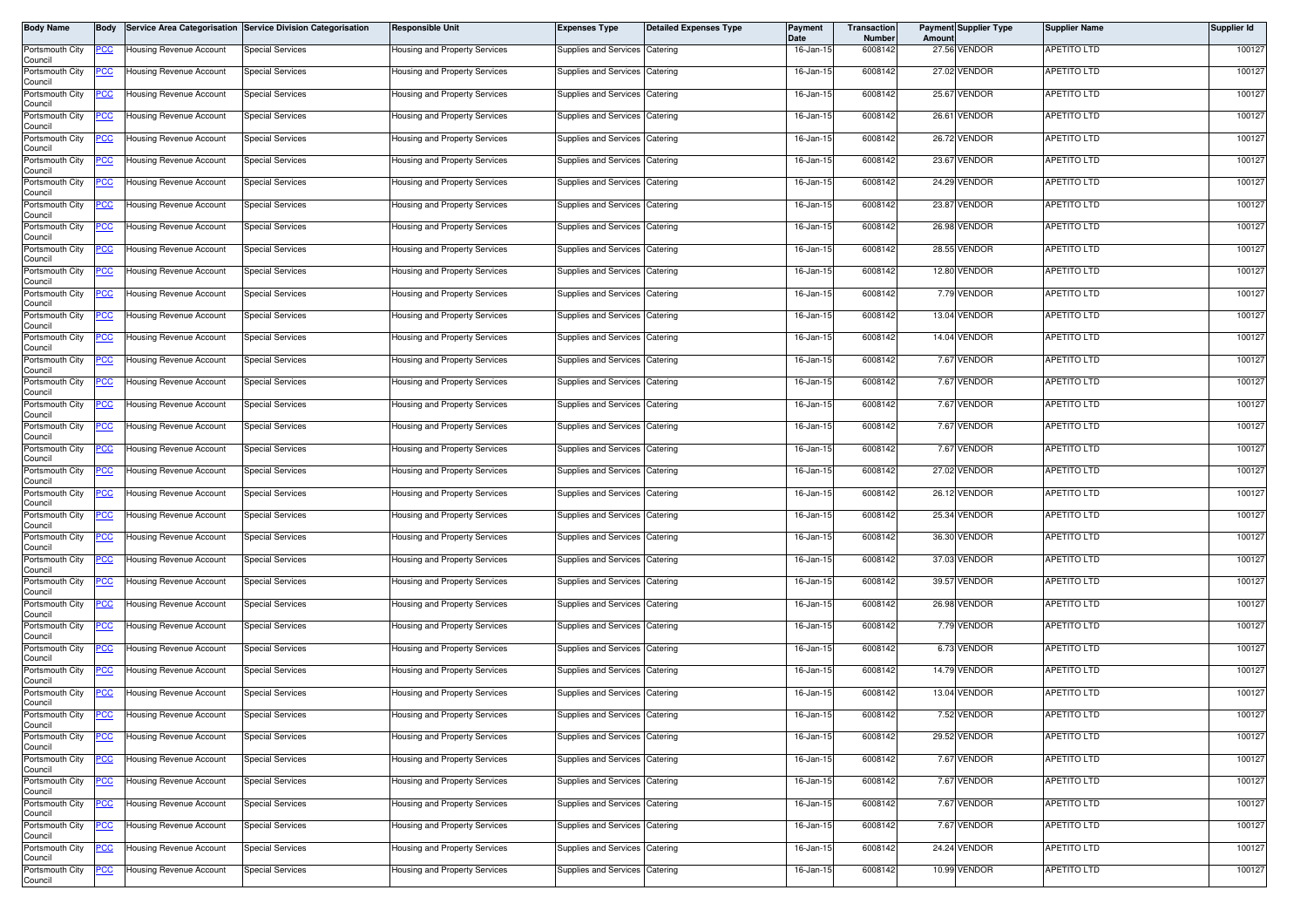| <b>Body Name</b>           | Body       |                                | Service Area Categorisation Service Division Categorisation | <b>Responsible Unit</b>              | <b>Expenses Type</b>           | <b>Detailed Expenses Type</b> | <b>Payment</b><br><b>Date</b> | <b>Transaction</b><br>Number | Amount | <b>Payment Supplier Type</b> | <b>Supplier Name</b> | <b>Supplier Id</b> |
|----------------------------|------------|--------------------------------|-------------------------------------------------------------|--------------------------------------|--------------------------------|-------------------------------|-------------------------------|------------------------------|--------|------------------------------|----------------------|--------------------|
| Portsmouth City<br>Council | PCC        | Housing Revenue Account        | <b>Special Services</b>                                     | Housing and Property Services        | Supplies and Services          | Catering                      | 16-Jan-15                     | 6008142                      |        | 27.56 VENDOR                 | APETITO LTD          | 100127             |
| Portsmouth City<br>Council | °СС        | <b>Housing Revenue Account</b> | Special Services                                            | Housing and Property Services        | Supplies and Services          | Catering                      | 16-Jan-15                     | 6008142                      |        | 27.02 VENDOR                 | <b>APETITO LTD</b>   | 100127             |
| Portsmouth City<br>Council | <u>cc</u>  | Housing Revenue Account        | <b>Special Services</b>                                     | Housing and Property Services        | Supplies and Services          | Catering                      | 16-Jan-15                     | 6008142                      |        | 25.67 VENDOR                 | <b>APETITO LTD</b>   | 100127             |
| Portsmouth City<br>Council | PСC        | Housing Revenue Account        | <b>Special Services</b>                                     | Housing and Property Services        | Supplies and Services Catering |                               | 16-Jan-15                     | 6008142                      |        | 26.61 VENDOR                 | <b>APETITO LTD</b>   | 100127             |
| Portsmouth City<br>Council | <u>cc</u>  | <b>Housing Revenue Account</b> | <b>Special Services</b>                                     | Housing and Property Services        | Supplies and Services          | Catering                      | 16-Jan-15                     | 6008142                      |        | 26.72 VENDOR                 | APETITO LTD          | 100127             |
| Portsmouth City<br>Council | <u>CC</u>  | Housing Revenue Account        | Special Services                                            | Housing and Property Services        | Supplies and Services          | Catering                      | 16-Jan-15                     | 6008142                      |        | 23.67 VENDOR                 | <b>APETITO LTD</b>   | 100127             |
| Portsmouth City<br>Council | <u>CC</u>  | <b>Housing Revenue Account</b> | <b>Special Services</b>                                     | Housing and Property Services        | Supplies and Services          | Catering                      | 16-Jan-15                     | 6008142                      |        | 24.29 VENDOR                 | APETITO LTD          | 100127             |
| Portsmouth City<br>Council | <u>cc</u>  | Housing Revenue Account        | <b>Special Services</b>                                     | Housing and Property Services        | <b>Supplies and Services</b>   | Catering                      | 16-Jan-15                     | 6008142                      |        | 23.87 VENDOR                 | <b>APETITO LTD</b>   | 100127             |
| Portsmouth City<br>Council | сc         | <b>Housing Revenue Account</b> | <b>Special Services</b>                                     | Housing and Property Services        | Supplies and Services          | Catering                      | 16-Jan-15                     | 6008142                      |        | 26.98 VENDOR                 | APETITO LTD          | 100127             |
| Portsmouth City<br>Council | PСC        | Housing Revenue Account        | <b>Special Services</b>                                     | <b>Housing and Property Services</b> | <b>Supplies and Services</b>   | Catering                      | 16-Jan-15                     | 6008142                      |        | 28.55 VENDOR                 | APETITO LTD          | 100127             |
| Portsmouth City<br>Council | cс         | Housing Revenue Account        | <b>Special Services</b>                                     | Housing and Property Services        | Supplies and Services          | Catering                      | 16-Jan-15                     | 6008142                      |        | 12.80 VENDOR                 | APETITO LTD          | 100127             |
| Portsmouth City<br>Council | PCC.       | Housing Revenue Account        | <b>Special Services</b>                                     | Housing and Property Services        | Supplies and Services Catering |                               | 16-Jan-15                     | 6008142                      |        | 7.79 VENDOR                  | <b>APETITO LTD</b>   | 100127             |
| Portsmouth City<br>Council | <u>CC </u> | <b>Housing Revenue Account</b> | <b>Special Services</b>                                     | Housing and Property Services        | Supplies and Services Catering |                               | 16-Jan-15                     | 6008142                      |        | 13.04 VENDOR                 | <b>APETITO LTD</b>   | 100127             |
| Portsmouth City<br>Council | °СС        | Housing Revenue Account        | Special Services                                            | Housing and Property Services        | Supplies and Services Catering |                               | 16-Jan-15                     | 6008142                      |        | 14.04 VENDOR                 | APETITO LTD          | 100127             |
| Portsmouth City<br>Council | ပင         | <b>Housing Revenue Account</b> | <b>Special Services</b>                                     | Housing and Property Services        | Supplies and Services          | Catering                      | 16-Jan-15                     | 6008142                      |        | 7.67 VENDOR                  | <b>APETITO LTD</b>   | 100127             |
| Portsmouth City<br>Council | <u>CC </u> | Housing Revenue Account        | <b>Special Services</b>                                     | <b>Housing and Property Services</b> | Supplies and Services          | Catering                      | 16-Jan-15                     | 6008142                      |        | 7.67 VENDOR                  | <b>APETITO LTD</b>   | 100127             |
| Portsmouth City<br>Council |            | Housing Revenue Account        | <b>Special Services</b>                                     | Housing and Property Services        | Supplies and Services          | Catering                      | 16-Jan-15                     | 6008142                      |        | 7.67 VENDOR                  | APETITO LTD          | 100127             |
| Portsmouth City<br>Council | <u>PCC</u> | <b>Housing Revenue Account</b> | <b>Special Services</b>                                     | Housing and Property Services        | Supplies and Services          | Catering                      | 16-Jan-15                     | 6008142                      |        | 7.67 VENDOR                  | <b>APETITO LTD</b>   | 100127             |
| Portsmouth City<br>Council | <u>CC</u>  | Housing Revenue Account        | <b>Special Services</b>                                     | Housing and Property Services        | Supplies and Services          | Catering                      | 16-Jan-15                     | 6008142                      |        | 7.67 VENDOR                  | <b>APETITO LTD</b>   | 100127             |
| Portsmouth City<br>Council | °СС        | Housing Revenue Account        | <b>Special Services</b>                                     | Housing and Property Services        | Supplies and Services          | Catering                      | 16-Jan-15                     | 6008142                      |        | 27.02 VENDOR                 | <b>APETITO LTD</b>   | 100127             |
| Portsmouth City<br>Council | cс         | Housing Revenue Account        | Special Services                                            | Housing and Property Services        | Supplies and Services          | Catering                      | 16-Jan-15                     | 6008142                      |        | 26.12 VENDOR                 | APETITO LTD          | 100127             |
| Portsmouth City<br>Council | PСC        | <b>Housing Revenue Account</b> | <b>Special Services</b>                                     | Housing and Property Services        | Supplies and Services          | Catering                      | 16-Jan-15                     | 6008142                      |        | 25.34 VENDOR                 | APETITO LTD          | 100127             |
| Portsmouth City<br>Council | °СС        | <b>Housing Revenue Account</b> | Special Services                                            | Housing and Property Services        | Supplies and Services          | Catering                      | 16-Jan-15                     | 6008142                      |        | 36.30 VENDOR                 | APETITO LTD          | 100127             |
| Portsmouth City<br>Council | <u>cc</u>  | <b>Housing Revenue Account</b> | <b>Special Services</b>                                     | Housing and Property Services        | Supplies and Services          | Catering                      | 16-Jan-15                     | 6008142                      |        | 37.03 VENDOR                 | <b>APETITO LTD</b>   | 100127             |
| Portsmouth City<br>Council | °СС        | Housing Revenue Account        | <b>Special Services</b>                                     | <b>Housing and Property Services</b> | Supplies and Services          | Catering                      | 16-Jan-15                     | 6008142                      |        | 39.57 VENDOR                 | APETITO LTD          | 100127             |
| Portsmouth City<br>Council | °СС        | <b>Housing Revenue Account</b> | <b>Special Services</b>                                     | Housing and Property Services        | <b>Supplies and Services</b>   | Catering                      | 16-Jan-15                     | 6008142                      |        | 26.98 VENDOR                 | <b>APETITO LTD</b>   | 100127             |
| Portsmouth City<br>Council | <u>PCC</u> | Housing Revenue Account        | <b>Special Services</b>                                     | Housing and Property Services        | Supplies and Services          | Catering                      | 16-Jan-15                     | 6008142                      |        | 7.79 VENDOR                  | APETITO LTD          | 100127             |
| Portsmouth City<br>Council | <u>cc</u>  | <b>Housing Revenue Account</b> | <b>Special Services</b>                                     | Housing and Property Services        | Supplies and Services          | Catering                      | 16-Jan-15                     | 6008142                      |        | 6.73 VENDOR                  | APETITO LTD          | 100127             |
| Portsmouth City<br>Council | <u>CC </u> | Housing Revenue Account        | <b>Special Services</b>                                     | Housing and Property Services        | Supplies and Services Catering |                               | 16-Jan-15                     | 6008142                      |        | 14.79 VENDOR                 | APETITO LTD          | 100127             |
| Portsmouth City<br>Council | <u>'CC</u> | <b>Housing Revenue Account</b> | Special Services                                            | Housing and Property Services        | Supplies and Services          | Catering                      | 16-Jan-15                     | 6008142                      |        | 13.04 VENDOR                 | APETITO LTD          | 100127             |
| Portsmouth City<br>Council | <u>PCC</u> | Housing Revenue Account        | Special Services                                            | <b>Housing and Property Services</b> | Supplies and Services Catering |                               | 16-Jan-15                     | 6008142                      |        | 7.52 VENDOR                  | <b>APETITO LTD</b>   | 100127             |
| Portsmouth City<br>Council |            | Housing Revenue Account        | Special Services                                            | <b>Housing and Property Services</b> | Supplies and Services Catering |                               | 16-Jan-15                     | 6008142                      |        | 29.52 VENDOR                 | APETITO LTD          | 100127             |
| Portsmouth City<br>Council | PСC        | Housing Revenue Account        | <b>Special Services</b>                                     | Housing and Property Services        | Supplies and Services Catering |                               | 16-Jan-15                     | 6008142                      |        | 7.67 VENDOR                  | APETITO LTD          | 100127             |
| Portsmouth City<br>Council |            | <b>Housing Revenue Account</b> | <b>Special Services</b>                                     | <b>Housing and Property Services</b> | Supplies and Services Catering |                               | 16-Jan-15                     | 6008142                      |        | 7.67 VENDOR                  | <b>APETITO LTD</b>   | 100127             |
| Portsmouth City<br>Council | PCC.       | <b>Housing Revenue Account</b> | <b>Special Services</b>                                     | Housing and Property Services        | Supplies and Services Catering |                               | 16-Jan-15                     | 6008142                      |        | 7.67 VENDOR                  | <b>APETITO LTD</b>   | 100127             |
| Portsmouth City<br>Council | 'CC        | Housing Revenue Account        | <b>Special Services</b>                                     | Housing and Property Services        | Supplies and Services Catering |                               | 16-Jan-15                     | 6008142                      |        | 7.67 VENDOR                  | <b>APETITO LTD</b>   | 100127             |
| Portsmouth City<br>Council | <u>CC </u> | <b>Housing Revenue Account</b> | <b>Special Services</b>                                     | Housing and Property Services        | Supplies and Services Catering |                               | 16-Jan-15                     | 6008142                      |        | 24.24 VENDOR                 | <b>APETITO LTD</b>   | 100127             |
| Portsmouth City<br>Council | <u>'CC</u> | Housing Revenue Account        | <b>Special Services</b>                                     | Housing and Property Services        | Supplies and Services Catering |                               | 16-Jan-15                     | 6008142                      |        | 10.99 VENDOR                 | APETITO LTD          | 100127             |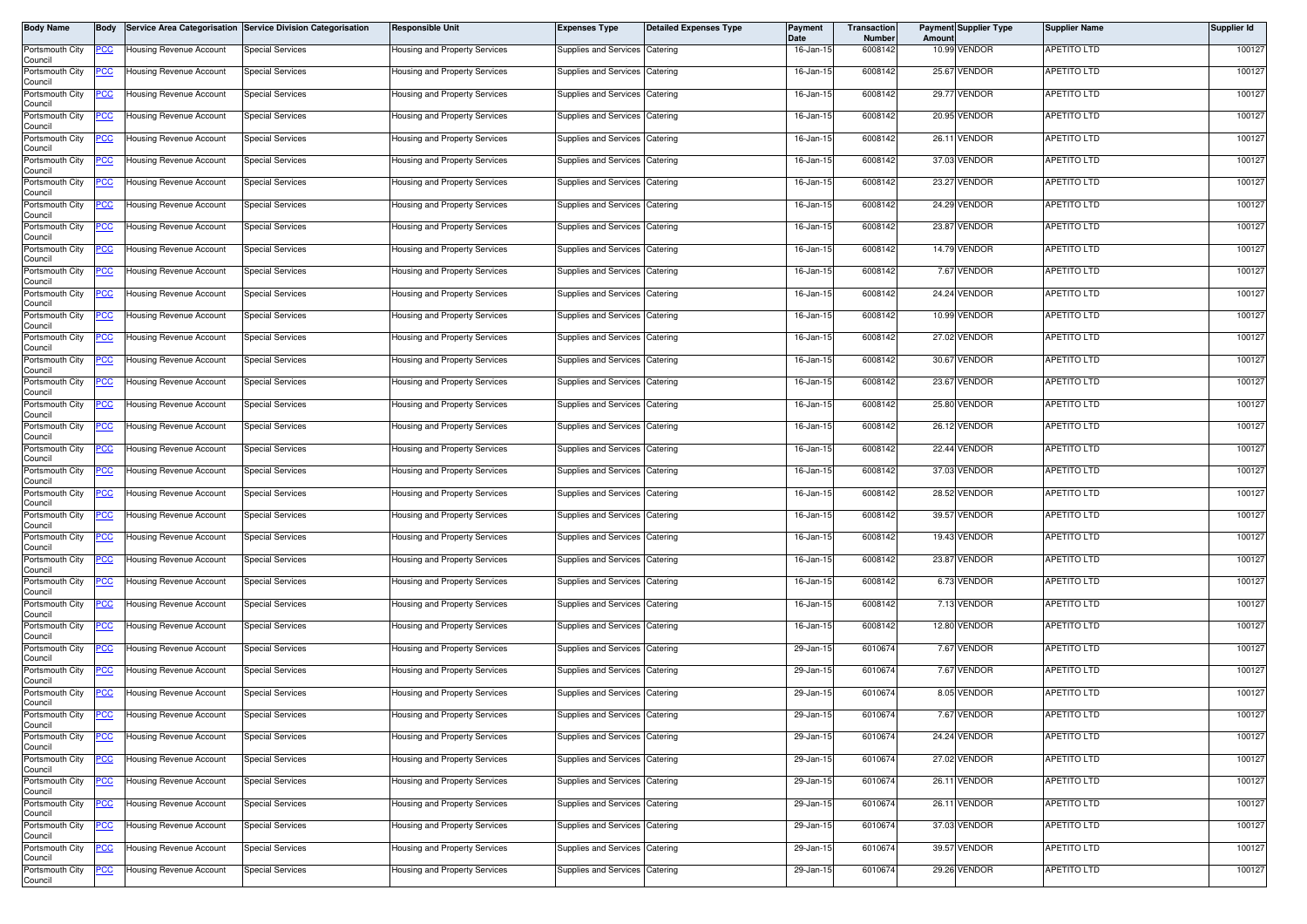| <b>Body Name</b>           | Body       |                                | Service Area Categorisation Service Division Categorisation | <b>Responsible Unit</b>              | <b>Expenses Type</b>           | <b>Detailed Expenses Type</b> | <b>Payment</b><br><b>Date</b> | <b>Transaction</b><br>Number | Amount | <b>Payment Supplier Type</b> | <b>Supplier Name</b> | <b>Supplier Id</b> |
|----------------------------|------------|--------------------------------|-------------------------------------------------------------|--------------------------------------|--------------------------------|-------------------------------|-------------------------------|------------------------------|--------|------------------------------|----------------------|--------------------|
| Portsmouth City<br>Council | PCC        | Housing Revenue Account        | <b>Special Services</b>                                     | <b>Housing and Property Services</b> | Supplies and Services          | Catering                      | 16-Jan-15                     | 6008142                      |        | 10.99 VENDOR                 | APETITO LTD          | 100127             |
| Portsmouth City<br>Council | °СС        | <b>Housing Revenue Account</b> | Special Services                                            | Housing and Property Services        | Supplies and Services          | Catering                      | 16-Jan-15                     | 6008142                      |        | 25.67 VENDOR                 | <b>APETITO LTD</b>   | 100127             |
| Portsmouth City<br>Council | <u>cc</u>  | Housing Revenue Account        | <b>Special Services</b>                                     | Housing and Property Services        | Supplies and Services          | Catering                      | 16-Jan-15                     | 6008142                      |        | 29.77 VENDOR                 | <b>APETITO LTD</b>   | 100127             |
| Portsmouth City<br>Council | PСC        | Housing Revenue Account        | <b>Special Services</b>                                     | Housing and Property Services        | Supplies and Services Catering |                               | 16-Jan-15                     | 6008142                      |        | 20.95 VENDOR                 | APETITO LTD          | 100127             |
| Portsmouth City<br>Council | <u>cc</u>  | <b>Housing Revenue Account</b> | <b>Special Services</b>                                     | Housing and Property Services        | Supplies and Services          | Catering                      | 16-Jan-15                     | 6008142                      |        | 26.11 VENDOR                 | APETITO LTD          | 100127             |
| Portsmouth City<br>Council | <u>CC</u>  | Housing Revenue Account        | Special Services                                            | <b>Housing and Property Services</b> | Supplies and Services          | Catering                      | 16-Jan-15                     | 6008142                      |        | 37.03 VENDOR                 | APETITO LTD          | 100127             |
| Portsmouth City<br>Council | <u>CC</u>  | Housing Revenue Account        | <b>Special Services</b>                                     | <b>Housing and Property Services</b> | Supplies and Services          | Catering                      | 16-Jan-15                     | 6008142                      |        | 23.27 VENDOR                 | APETITO LTD          | 100127             |
| Portsmouth City<br>Council | <u>cc</u>  | Housing Revenue Account        | <b>Special Services</b>                                     | Housing and Property Services        | <b>Supplies and Services</b>   | Catering                      | 16-Jan-15                     | 6008142                      |        | 24.29 VENDOR                 | <b>APETITO LTD</b>   | 100127             |
| Portsmouth City<br>Council | сc         | <b>Housing Revenue Account</b> | <b>Special Services</b>                                     | Housing and Property Services        | Supplies and Services          | Catering                      | 16-Jan-15                     | 6008142                      |        | 23.87 VENDOR                 | APETITO LTD          | 100127             |
| Portsmouth City<br>Council | PСC        | Housing Revenue Account        | <b>Special Services</b>                                     | <b>Housing and Property Services</b> | <b>Supplies and Services</b>   | Catering                      | 16-Jan-15                     | 6008142                      |        | 14.79 VENDOR                 | APETITO LTD          | 100127             |
| Portsmouth City<br>Council | cс         | Housing Revenue Account        | <b>Special Services</b>                                     | <b>Housing and Property Services</b> | Supplies and Services          | Catering                      | 16-Jan-15                     | 6008142                      |        | 7.67 VENDOR                  | APETITO LTD          | 100127             |
| Portsmouth City<br>Council | PCC.       | Housing Revenue Account        | <b>Special Services</b>                                     | Housing and Property Services        | Supplies and Services Catering |                               | 16-Jan-15                     | 6008142                      |        | 24.24 VENDOR                 | <b>APETITO LTD</b>   | 100127             |
| Portsmouth City<br>Council | <u>CC </u> | <b>Housing Revenue Account</b> | <b>Special Services</b>                                     | Housing and Property Services        | Supplies and Services Catering |                               | 16-Jan-15                     | 6008142                      |        | 10.99 VENDOR                 | <b>APETITO LTD</b>   | 100127             |
| Portsmouth City<br>Council | °СС        | Housing Revenue Account        | Special Services                                            | Housing and Property Services        | Supplies and Services Catering |                               | 16-Jan-15                     | 6008142                      |        | 27.02 VENDOR                 | <b>APETITO LTD</b>   | 100127             |
| Portsmouth City<br>Council | ပင         | <b>Housing Revenue Account</b> | <b>Special Services</b>                                     | Housing and Property Services        | Supplies and Services          | Catering                      | 16-Jan-15                     | 6008142                      |        | 30.67 VENDOR                 | <b>APETITO LTD</b>   | 100127             |
| Portsmouth City<br>Council | <u>CC </u> | Housing Revenue Account        | <b>Special Services</b>                                     | <b>Housing and Property Services</b> | Supplies and Services          | Catering                      | 16-Jan-15                     | 6008142                      |        | 23.67 VENDOR                 | <b>APETITO LTD</b>   | 100127             |
| Portsmouth City<br>Council |            | Housing Revenue Account        | <b>Special Services</b>                                     | Housing and Property Services        | Supplies and Services          | Catering                      | 16-Jan-15                     | 6008142                      |        | 25.80 VENDOR                 | APETITO LTD          | 100127             |
| Portsmouth City<br>Council | PCC        | Housing Revenue Account        | <b>Special Services</b>                                     | Housing and Property Services        | Supplies and Services          | Catering                      | 16-Jan-15                     | 6008142                      |        | 26.12 VENDOR                 | APETITO LTD          | 100127             |
| Portsmouth City<br>Council | <u>CC</u>  | Housing Revenue Account        | <b>Special Services</b>                                     | <b>Housing and Property Services</b> | Supplies and Services          | Catering                      | 16-Jan-15                     | 6008142                      |        | 22.44 VENDOR                 | <b>APETITO LTD</b>   | 100127             |
| Portsmouth City<br>Council | °СС        | Housing Revenue Account        | <b>Special Services</b>                                     | Housing and Property Services        | Supplies and Services          | Catering                      | 16-Jan-15                     | 6008142                      |        | 37.03 VENDOR                 | <b>APETITO LTD</b>   | 100127             |
| Portsmouth City<br>Council | cс         | Housing Revenue Account        | Special Services                                            | Housing and Property Services        | Supplies and Services          | Catering                      | 16-Jan-15                     | 6008142                      |        | 28.52 VENDOR                 | APETITO LTD          | 100127             |
| Portsmouth City<br>Council | PСC        | <b>Housing Revenue Account</b> | <b>Special Services</b>                                     | Housing and Property Services        | Supplies and Services          | Catering                      | 16-Jan-15                     | 6008142                      |        | 39.57 VENDOR                 | APETITO LTD          | 100127             |
| Portsmouth City<br>Council | °СС        | <b>Housing Revenue Account</b> | Special Services                                            | Housing and Property Services        | Supplies and Services          | Catering                      | 16-Jan-15                     | 6008142                      |        | 19.43 VENDOR                 | APETITO LTD          | 100127             |
| Portsmouth City<br>Council | <u>cc</u>  | <b>Housing Revenue Account</b> | <b>Special Services</b>                                     | Housing and Property Services        | Supplies and Services          | Catering                      | 16-Jan-15                     | 6008142                      |        | 23.87 VENDOR                 | <b>APETITO LTD</b>   | 100127             |
| Portsmouth City<br>Council | °СС        | Housing Revenue Account        | <b>Special Services</b>                                     | <b>Housing and Property Services</b> | Supplies and Services          | Catering                      | 16-Jan-15                     | 6008142                      |        | 6.73 VENDOR                  | APETITO LTD          | 100127             |
| Portsmouth City<br>Council | °СС        | <b>Housing Revenue Account</b> | <b>Special Services</b>                                     | Housing and Property Services        | <b>Supplies and Services</b>   | Catering                      | 16-Jan-15                     | 6008142                      |        | 7.13 VENDOR                  | <b>APETITO LTD</b>   | 100127             |
| Portsmouth City<br>Council | <u>PCC</u> | Housing Revenue Account        | <b>Special Services</b>                                     | Housing and Property Services        | Supplies and Services          | Catering                      | 16-Jan-15                     | 6008142                      |        | 12.80 VENDOR                 | APETITO LTD          | 100127             |
| Portsmouth City<br>Council | <u>cc</u>  | <b>Housing Revenue Account</b> | <b>Special Services</b>                                     | Housing and Property Services        | Supplies and Services          | Catering                      | 29-Jan-15                     | 6010674                      |        | 7.67 VENDOR                  | APETITO LTD          | 100127             |
| Portsmouth City<br>Council | <u>CC </u> | Housing Revenue Account        | <b>Special Services</b>                                     | Housing and Property Services        | Supplies and Services Catering |                               | 29-Jan-15                     | 6010674                      |        | 7.67 VENDOR                  | APETITO LTD          | 100127             |
| Portsmouth City<br>Council | <u>'CC</u> | <b>Housing Revenue Account</b> | Special Services                                            | Housing and Property Services        | Supplies and Services          | Catering                      | 29-Jan-15                     | 6010674                      |        | 8.05 VENDOR                  | APETITO LTD          | 100127             |
| Portsmouth City<br>Council | <u>PCC</u> | Housing Revenue Account        | Special Services                                            | <b>Housing and Property Services</b> | Supplies and Services Catering |                               | 29-Jan-15                     | 6010674                      |        | 7.67 VENDOR                  | <b>APETITO LTD</b>   | 100127             |
| Portsmouth City<br>Council |            | Housing Revenue Account        | Special Services                                            | <b>Housing and Property Services</b> | Supplies and Services Catering |                               | 29-Jan-15                     | 6010674                      |        | 24.24 VENDOR                 | APETITO LTD          | 100127             |
| Portsmouth City<br>Council | PСC        | Housing Revenue Account        | <b>Special Services</b>                                     | Housing and Property Services        | Supplies and Services Catering |                               | 29-Jan-15                     | 6010674                      |        | 27.02 VENDOR                 | APETITO LTD          | 100127             |
| Portsmouth City<br>Council |            | <b>Housing Revenue Account</b> | <b>Special Services</b>                                     | <b>Housing and Property Services</b> | Supplies and Services Catering |                               | 29-Jan-15                     | 6010674                      |        | 26.11 VENDOR                 | <b>APETITO LTD</b>   | 100127             |
| Portsmouth City<br>Council | PCC.       | <b>Housing Revenue Account</b> | <b>Special Services</b>                                     | Housing and Property Services        | Supplies and Services Catering |                               | 29-Jan-15                     | 6010674                      |        | 26.11 VENDOR                 | APETITO LTD          | 100127             |
| Portsmouth City<br>Council | 'CC        | Housing Revenue Account        | <b>Special Services</b>                                     | Housing and Property Services        | Supplies and Services Catering |                               | 29-Jan-15                     | 6010674                      |        | 37.03 VENDOR                 | <b>APETITO LTD</b>   | 100127             |
| Portsmouth City<br>Council | <u>CC </u> | <b>Housing Revenue Account</b> | <b>Special Services</b>                                     | Housing and Property Services        | Supplies and Services Catering |                               | 29-Jan-15                     | 6010674                      |        | 39.57 VENDOR                 | <b>APETITO LTD</b>   | 100127             |
| Portsmouth City<br>Council | <u>'CC</u> | Housing Revenue Account        | <b>Special Services</b>                                     | Housing and Property Services        | Supplies and Services Catering |                               | 29-Jan-15                     | 6010674                      |        | 29.26 VENDOR                 | APETITO LTD          | 100127             |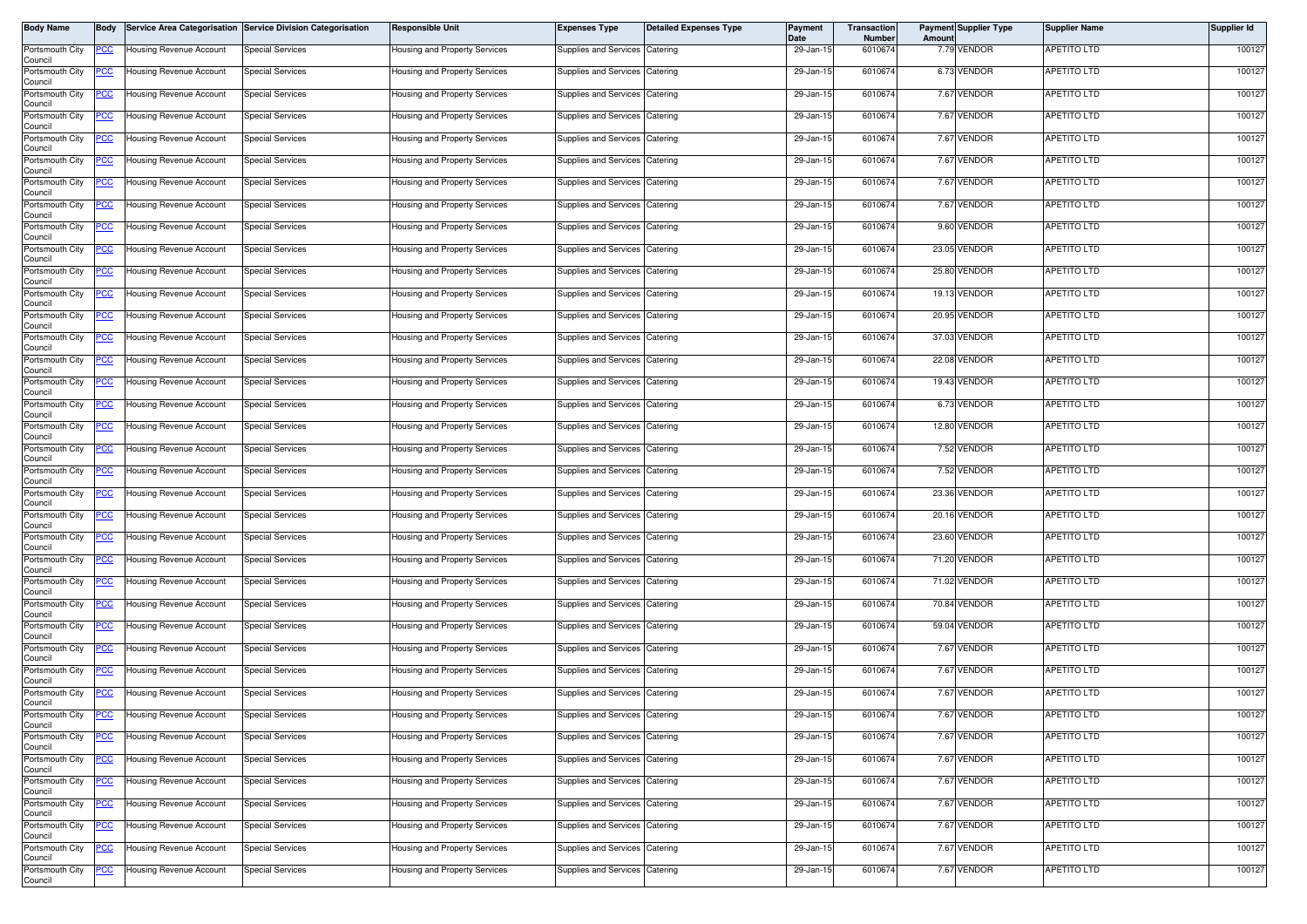| <b>Body Name</b>           | Body       |                                | Service Area Categorisation Service Division Categorisation | <b>Responsible Unit</b>              | <b>Expenses Type</b>           | <b>Detailed Expenses Type</b> | <b>Payment</b><br>Date | <b>Transaction</b><br>Number | Amount | <b>Payment Supplier Type</b> | <b>Supplier Name</b> | <b>Supplier Id</b> |
|----------------------------|------------|--------------------------------|-------------------------------------------------------------|--------------------------------------|--------------------------------|-------------------------------|------------------------|------------------------------|--------|------------------------------|----------------------|--------------------|
| Portsmouth City<br>Council | PCC        | Housing Revenue Account        | <b>Special Services</b>                                     | <b>Housing and Property Services</b> | Supplies and Services          | Catering                      | 29-Jan-15              | 6010674                      |        | 7.79 VENDOR                  | APETITO LTD          | 100127             |
| Portsmouth City<br>Council | °СС        | <b>Housing Revenue Account</b> | Special Services                                            | Housing and Property Services        | Supplies and Services          | Catering                      | 29-Jan-15              | 6010674                      |        | 6.73 VENDOR                  | <b>APETITO LTD</b>   | 100127             |
| Portsmouth City<br>Council | <u>cc</u>  | Housing Revenue Account        | <b>Special Services</b>                                     | Housing and Property Services        | Supplies and Services          | Catering                      | 29-Jan-15              | 6010674                      |        | 7.67 VENDOR                  | <b>APETITO LTD</b>   | 100127             |
| Portsmouth City<br>Council | PСC        | Housing Revenue Account        | <b>Special Services</b>                                     | Housing and Property Services        | Supplies and Services Catering |                               | 29-Jan-15              | 6010674                      |        | 7.67 VENDOR                  | APETITO LTD          | 100127             |
| Portsmouth City<br>Council | <u>'CC</u> | <b>Housing Revenue Account</b> | <b>Special Services</b>                                     | <b>Housing and Property Services</b> | Supplies and Services          | Catering                      | 29-Jan-15              | 6010674                      |        | 7.67 VENDOR                  | APETITO LTD          | 100127             |
| Portsmouth City<br>Council | <u>CC</u>  | Housing Revenue Account        | Special Services                                            | <b>Housing and Property Services</b> | Supplies and Services          | Catering                      | 29-Jan-15              | 6010674                      |        | 7.67 VENDOR                  | APETITO LTD          | 100127             |
| Portsmouth City<br>Council | <u>CC</u>  | Housing Revenue Account        | <b>Special Services</b>                                     | <b>Housing and Property Services</b> | Supplies and Services          | Catering                      | 29-Jan-15              | 6010674                      |        | 7.67 VENDOR                  | APETITO LTD          | 100127             |
| Portsmouth City<br>Council | <u>cc</u>  | Housing Revenue Account        | <b>Special Services</b>                                     | Housing and Property Services        | <b>Supplies and Services</b>   | Catering                      | 29-Jan-15              | 6010674                      |        | 7.67 VENDOR                  | <b>APETITO LTD</b>   | 100127             |
| Portsmouth City<br>Council | сC         | <b>Housing Revenue Account</b> | Special Services                                            | Housing and Property Services        | Supplies and Services          | Catering                      | 29-Jan-15              | 6010674                      |        | 9.60 VENDOR                  | APETITO LTD          | 100127             |
| Portsmouth City<br>Council | PСC        | Housing Revenue Account        | <b>Special Services</b>                                     | <b>Housing and Property Services</b> | <b>Supplies and Services</b>   | Catering                      | 29-Jan-15              | 6010674                      |        | 23.05 VENDOR                 | APETITO LTD          | 100127             |
| Portsmouth City<br>Council | cс         | Housing Revenue Account        | <b>Special Services</b>                                     | <b>Housing and Property Services</b> | Supplies and Services          | Catering                      | 29-Jan-15              | 6010674                      |        | 25.80 VENDOR                 | APETITO LTD          | 100127             |
| Portsmouth City<br>Council | PCC.       | Housing Revenue Account        | <b>Special Services</b>                                     | Housing and Property Services        | Supplies and Services Catering |                               | 29-Jan-15              | 6010674                      |        | 19.13 VENDOR                 | <b>APETITO LTD</b>   | 100127             |
| Portsmouth City<br>Council | <u>CC </u> | <b>Housing Revenue Account</b> | <b>Special Services</b>                                     | Housing and Property Services        | Supplies and Services Catering |                               | 29-Jan-15              | 6010674                      |        | 20.95 VENDOR                 | <b>APETITO LTD</b>   | 100127             |
| Portsmouth City<br>Council | °СС        | Housing Revenue Account        | Special Services                                            | Housing and Property Services        | Supplies and Services Catering |                               | 29-Jan-15              | 6010674                      |        | 37.03 VENDOR                 | <b>APETITO LTD</b>   | 100127             |
| Portsmouth City<br>Council | ပင         | <b>Housing Revenue Account</b> | <b>Special Services</b>                                     | Housing and Property Services        | Supplies and Services          | Catering                      | 29-Jan-15              | 6010674                      |        | 22.08 VENDOR                 | <b>APETITO LTD</b>   | 100127             |
| Portsmouth City<br>Council | <u>CC </u> | Housing Revenue Account        | <b>Special Services</b>                                     | <b>Housing and Property Services</b> | Supplies and Services          | Catering                      | 29-Jan-15              | 6010674                      |        | 19.43 VENDOR                 | <b>APETITO LTD</b>   | 100127             |
| Portsmouth City<br>Council |            | Housing Revenue Account        | <b>Special Services</b>                                     | Housing and Property Services        | Supplies and Services          | Catering                      | 29-Jan-15              | 6010674                      |        | 6.73 VENDOR                  | APETITO LTD          | 100127             |
| Portsmouth City<br>Council | PCC        | Housing Revenue Account        | <b>Special Services</b>                                     | Housing and Property Services        | Supplies and Services          | Catering                      | 29-Jan-15              | 6010674                      |        | 12.80 VENDOR                 | <b>APETITO LTD</b>   | 100127             |
| Portsmouth City<br>Council | <u>CC</u>  | <b>Housing Revenue Account</b> | <b>Special Services</b>                                     | Housing and Property Services        | Supplies and Services          | Catering                      | 29-Jan-15              | 6010674                      |        | 7.52 VENDOR                  | <b>APETITO LTD</b>   | 100127             |
| Portsmouth City<br>Council | °СС        | Housing Revenue Account        | <b>Special Services</b>                                     | Housing and Property Services        | Supplies and Services          | Catering                      | 29-Jan-15              | 6010674                      |        | 7.52 VENDOR                  | <b>APETITO LTD</b>   | 100127             |
| Portsmouth City<br>Council | cс         | Housing Revenue Account        | Special Services                                            | Housing and Property Services        | Supplies and Services          | Catering                      | 29-Jan-15              | 6010674                      |        | 23.36 VENDOR                 | APETITO LTD          | 100127             |
| Portsmouth City<br>Council | PСC        | <b>Housing Revenue Account</b> | <b>Special Services</b>                                     | Housing and Property Services        | Supplies and Services          | Catering                      | 29-Jan-15              | 6010674                      |        | 20.16 VENDOR                 | APETITO LTD          | 100127             |
| Portsmouth City<br>Council | °СС        | <b>Housing Revenue Account</b> | Special Services                                            | Housing and Property Services        | Supplies and Services          | Catering                      | 29-Jan-15              | 6010674                      |        | 23.60 VENDOR                 | APETITO LTD          | 100127             |
| Portsmouth City<br>Council | <u>cc</u>  | <b>Housing Revenue Account</b> | <b>Special Services</b>                                     | Housing and Property Services        | Supplies and Services          | Catering                      | 29-Jan-15              | 6010674                      |        | 71.20 VENDOR                 | <b>APETITO LTD</b>   | 100127             |
| Portsmouth City<br>Council | °СС        | Housing Revenue Account        | <b>Special Services</b>                                     | Housing and Property Services        | Supplies and Services Catering |                               | 29-Jan-15              | 6010674                      |        | 71.02 VENDOR                 | APETITO LTD          | 100127             |
| Portsmouth City<br>Council | °СС        | <b>Housing Revenue Account</b> | <b>Special Services</b>                                     | Housing and Property Services        | <b>Supplies and Services</b>   | Catering                      | 29-Jan-15              | 6010674                      |        | 70.84 VENDOR                 | <b>APETITO LTD</b>   | 100127             |
| Portsmouth City<br>Council | <u>PCC</u> | Housing Revenue Account        | <b>Special Services</b>                                     | Housing and Property Services        | Supplies and Services          | Catering                      | 29-Jan-15              | 6010674                      |        | 59.04 VENDOR                 | APETITO LTD          | 100127             |
| Portsmouth City<br>Council | <u>cc</u>  | <b>Housing Revenue Account</b> | <b>Special Services</b>                                     | Housing and Property Services        | Supplies and Services          | Catering                      | 29-Jan-15              | 6010674                      |        | 7.67 VENDOR                  | APETITO LTD          | 100127             |
| Portsmouth City<br>Council | <u>CC </u> | Housing Revenue Account        | <b>Special Services</b>                                     | Housing and Property Services        | Supplies and Services Catering |                               | 29-Jan-15              | 6010674                      |        | 7.67 VENDOR                  | APETITO LTD          | 100127             |
| Portsmouth City<br>Council | <u>'CC</u> | <b>Housing Revenue Account</b> | Special Services                                            | Housing and Property Services        | Supplies and Services          | Catering                      | 29-Jan-15              | 6010674                      |        | 7.67 VENDOR                  | APETITO LTD          | 100127             |
| Portsmouth City<br>Council | <u>PCC</u> | Housing Revenue Account        | Special Services                                            | Housing and Property Services        | Supplies and Services Catering |                               | 29-Jan-15              | 6010674                      |        | 7.67 VENDOR                  | <b>APETITO LTD</b>   | 100127             |
| Portsmouth City<br>Council |            | Housing Revenue Account        | Special Services                                            | <b>Housing and Property Services</b> | Supplies and Services Catering |                               | 29-Jan-15              | 6010674                      |        | 7.67 VENDOR                  | APETITO LTD          | 100127             |
| Portsmouth City<br>Council | PСC        | Housing Revenue Account        | <b>Special Services</b>                                     | Housing and Property Services        | Supplies and Services Catering |                               | 29-Jan-15              | 6010674                      |        | 7.67 VENDOR                  | APETITO LTD          | 100127             |
| Portsmouth City<br>Council |            | <b>Housing Revenue Account</b> | <b>Special Services</b>                                     | <b>Housing and Property Services</b> | Supplies and Services Catering |                               | 29-Jan-15              | 6010674                      |        | 7.67 VENDOR                  | <b>APETITO LTD</b>   | 100127             |
| Portsmouth City<br>Council | PCC.       | <b>Housing Revenue Account</b> | <b>Special Services</b>                                     | Housing and Property Services        | Supplies and Services Catering |                               | 29-Jan-15              | 6010674                      |        | 7.67 VENDOR                  | <b>APETITO LTD</b>   | 100127             |
| Portsmouth City<br>Council | 'CC        | Housing Revenue Account        | <b>Special Services</b>                                     | Housing and Property Services        | Supplies and Services Catering |                               | 29-Jan-15              | 6010674                      |        | 7.67 VENDOR                  | <b>APETITO LTD</b>   | 100127             |
| Portsmouth City<br>Council | <u>CC </u> | Housing Revenue Account        | <b>Special Services</b>                                     | <b>Housing and Property Services</b> | Supplies and Services Catering |                               | 29-Jan-15              | 6010674                      |        | 7.67 VENDOR                  | <b>APETITO LTD</b>   | 100127             |
| Portsmouth City<br>Council | <u>'CC</u> | Housing Revenue Account        | <b>Special Services</b>                                     | Housing and Property Services        | Supplies and Services Catering |                               | 29-Jan-15              | 6010674                      |        | 7.67 VENDOR                  | APETITO LTD          | 100127             |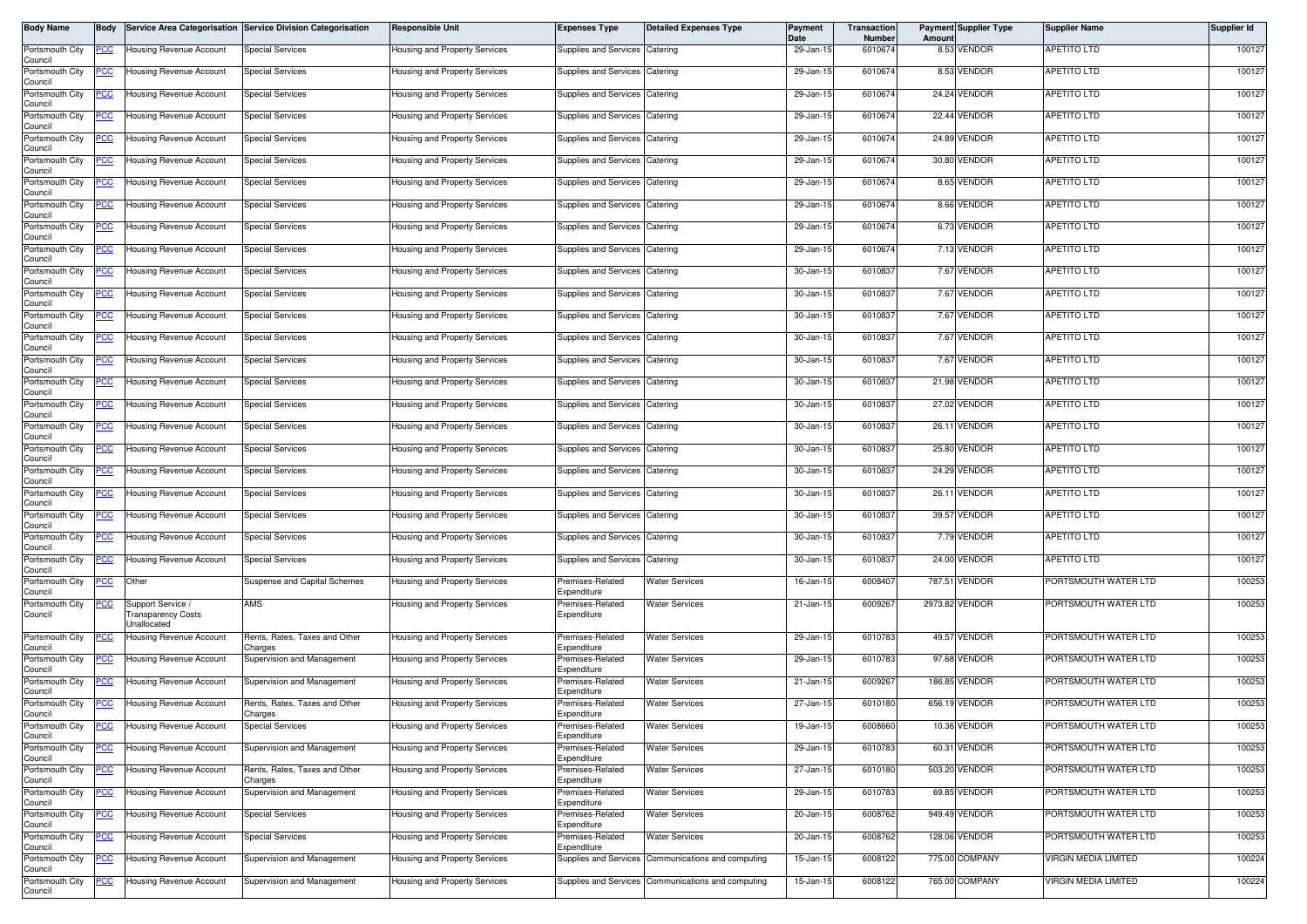| Body Name                  | Body        |                                                       | Service Area Categorisation Service Division Categorisation | Responsible Unit                     | <b>Expenses Type</b>            | <b>Detailed Expenses Type</b>                      | <b>Payment</b><br>Date | <b>Transaction</b><br>Number | Amount | <b>Payment Supplier Type</b> | <b>Supplier Name</b>        | Supplier Id |
|----------------------------|-------------|-------------------------------------------------------|-------------------------------------------------------------|--------------------------------------|---------------------------------|----------------------------------------------------|------------------------|------------------------------|--------|------------------------------|-----------------------------|-------------|
| Portsmouth City<br>Council | <u>CC </u>  | Housing Revenue Account                               | <b>Special Services</b>                                     | lousing and Property Services        | Supplies and Services           | Catering                                           | 29-Jan-15              | 6010674                      |        | 8.53 VENDOR                  | APETITO LTD                 | 100127      |
| Portsmouth City<br>Council | <u>'CC</u>  | Housing Revenue Account                               | <b>Special Services</b>                                     | lousing and Property Services        | Supplies and Services           | Catering                                           | 29-Jan-15              | 6010674                      |        | 8.53 VENDOR                  | APETITO LTD                 | 100127      |
| Portsmouth City<br>Council | <u>CC </u>  | <b>Housing Revenue Account</b>                        | Special Services                                            | Housing and Property Services        | Supplies and Services           | Catering                                           | 29-Jan-15              | 6010674                      |        | 24.24 VENDOR                 | <b>APETITO LTD</b>          | 100127      |
| Portsmouth City<br>Council | <u>PCC</u>  | Housing Revenue Account                               | <b>Special Services</b>                                     | Housing and Property Services        | Supplies and Services           | Catering                                           | 29-Jan-15              | 6010674                      |        | 22.44 VENDOR                 | <b>APETITO LTD</b>          | 100127      |
| Portsmouth City<br>Council | <u>сс</u>   | <b>Housing Revenue Account</b>                        | Special Services                                            | Housing and Property Services        | Supplies and Services           | Catering                                           | 29-Jan-15              | 6010674                      |        | 24.89 VENDOR                 | APETITO LTD                 | 100127      |
| Portsmouth City<br>Council | <u>CC</u>   | <b>Housing Revenue Account</b>                        | <b>Special Services</b>                                     | Housing and Property Services        | Supplies and Services           | Catering                                           | 29-Jan-15              | 6010674                      |        | 30.80 VENDOR                 | APETITO LTD                 | 100127      |
| Portsmouth City<br>Council | <u>'CC</u>  | Housing Revenue Account                               | <b>Special Services</b>                                     | Housing and Property Services        | Supplies and Services           | Catering                                           | 29-Jan-15              | 6010674                      |        | 8.65 VENDOR                  | APETITO LTD                 | 100127      |
| Portsmouth City<br>Council | <u>'CC</u>  | Housing Revenue Account                               | Special Services                                            | Housing and Property Services        | Supplies and Services           | Catering                                           | 29-Jan-15              | 6010674                      |        | 8.66 VENDOR                  | APETITO LTD                 | 100127      |
| Portsmouth City<br>Council | <u>CC </u>  | <b>Housing Revenue Account</b>                        | <b>Special Services</b>                                     | lousing and Property Services        | <b>Supplies and Services</b>    | Catering                                           | 29-Jan-15              | 6010674                      |        | 6.73 VENDOR                  | APETITO LTD                 | 100127      |
| Portsmouth City<br>Council | PСC         | Housing Revenue Account                               | <b>Special Services</b>                                     | Housing and Property Services        | Supplies and Services           | Catering                                           | 29-Jan-15              | 6010674                      |        | 7.13 VENDOR                  | APETITO LTD                 | 100127      |
| Portsmouth City<br>Council |             | <b>Housing Revenue Account</b>                        | <b>Special Services</b>                                     | Housing and Property Services        | Supplies and Services           | Catering                                           | 30-Jan-15              | 6010837                      |        | 7.67 VENDOR                  | APETITO LTD                 | 100127      |
| Portsmouth City<br>Council | <u>PCC</u>  | Housing Revenue Account                               | <b>Special Services</b>                                     | Housing and Property Services        | Supplies and Services           | Catering                                           | 30-Jan-15              | 6010837                      |        | 7.67 VENDOR                  | <b>APETITO LTD</b>          | 100127      |
| Portsmouth City<br>Council | <u>CC </u>  | <b>Housing Revenue Account</b>                        | Special Services                                            | lousing and Property Services        | Supplies and Services           | Catering                                           | 30-Jan-15              | 6010837                      |        | 7.67 VENDOR                  | <b>APETITO LTD</b>          | 100127      |
| Portsmouth City<br>Council | 'CC         | Housing Revenue Account                               | <b>Special Services</b>                                     | Housing and Property Services        | Supplies and Services           | Catering                                           | 30-Jan-15              | 6010837                      |        | 7.67 VENDOR                  | APETITO LTD                 | 100127      |
| Portsmouth City<br>Council | <u>CC </u>  | <b>Housing Revenue Account</b>                        | <b>Special Services</b>                                     | Housing and Property Services        | Supplies and Services           | Catering                                           | 30-Jan-15              | 6010837                      |        | 7.67 VENDOR                  | APETITO LTD                 | 100127      |
| Portsmouth City<br>Council | <u>PCC</u>  | Housing Revenue Account                               | Special Services                                            | Housing and Property Services        | Supplies and Services           | Catering                                           | 30-Jan-15              | 6010837                      |        | 21.98 VENDOR                 | APETITO LTD                 | 100127      |
| Portsmouth City<br>Council | <u>'CC</u>  | Housing Revenue Account                               | <b>Special Services</b>                                     | Housing and Property Services        | Supplies and Services           | Catering                                           | 30-Jan-15              | 6010837                      |        | 27.02 VENDOR                 | APETITO LTD                 | 100127      |
| Portsmouth City<br>Council | <u>PCC</u>  | <b>Housing Revenue Account</b>                        | <b>Special Services</b>                                     | Housing and Property Services        | Supplies and Services           | Catering                                           | 30-Jan-15              | 6010837                      |        | 26.11 VENDOR                 | <b>APETITO LTD</b>          | 100127      |
| Portsmouth City<br>Council | <u>CC</u>   | <b>Housing Revenue Account</b>                        | <b>Special Services</b>                                     | lousing and Property Services        | Supplies and Services           | Catering                                           | 30-Jan-15              | 6010837                      |        | 25.80 VENDOR                 | APETITO LTD                 | 100127      |
| Portsmouth City<br>Council | <u>PCC </u> | <b>Housing Revenue Account</b>                        | <b>Special Services</b>                                     | Housing and Property Services        | Supplies and Services           | Catering                                           | 30-Jan-15              | 6010837                      |        | 24.29 VENDOR                 | <b>APETITO LTD</b>          | 100127      |
| Portsmouth City<br>Council | <u>'СС</u>  | <b>Housing Revenue Account</b>                        | Special Services                                            | Housing and Property Services        | Supplies and Services           | Catering                                           | 30-Jan-15              | 6010837                      |        | 26.11 VENDOR                 | APETITO LTD                 | 100127      |
| Portsmouth City<br>Council | <u>PCC </u> | Housing Revenue Account                               | <b>Special Services</b>                                     | Housing and Property Services        | Supplies and Services           | Catering                                           | 30-Jan-15              | 6010837                      |        | 39.57 VENDOR                 | APETITO LTD                 | 100127      |
| Portsmouth City<br>Council | сc          | Housing Revenue Account                               | <b>Special Services</b>                                     | Housing and Property Services        | Supplies and Services           | Catering                                           | 30-Jan-15              | 6010837                      |        | 7.79 VENDOR                  | APETITO LTD                 | 100127      |
| Portsmouth City<br>Council | <u>'CC</u>  | Housing Revenue Account                               | Special Services                                            | Housing and Property Services        | Supplies and Services           | Catering                                           | 30-Jan-15              | 6010837                      |        | 24.00 VENDOR                 | APETITO LTD                 | 100127      |
| Portsmouth City<br>Council | <u>PCC</u>  | Other                                                 | Suspense and Capital Schemes                                | Housing and Property Services        | remises-Related<br>Expenditure  | Water Services                                     | 16-Jan-15              | 6008407                      |        | 787.51 VENDOR                | PORTSMOUTH WATER LTD        | 100253      |
| Portsmouth City<br>Council | <u>CC </u>  | Support Service /<br>ransparency Costs<br>Jnallocated | AMS                                                         | Housing and Property Services        | remises-Related<br>Expenditure  | <b>Water Services</b>                              | 21-Jan-15              | 6009267                      |        | 2973.82 VENDOR               | PORTSMOUTH WATER LTD        | 100253      |
| Portsmouth City<br>Council | <u>PCC</u>  | Housing Revenue Account                               | Rents, Rates, Taxes and Other<br>Charges                    | Housing and Property Services        | remises-Related<br>Expenditure  | <b>Water Services</b>                              | 29-Jan-15              | 6010783                      |        | 49.57 VENDOR                 | PORTSMOUTH WATER LTD        | 100253      |
| Portsmouth City<br>Council | <u>PCC</u>  | Housing Revenue Account                               | Supervision and Management                                  | Housing and Property Services        | remises-Related<br>Expenditure  | <b>Water Services</b>                              | 29-Jan-15              | 6010783                      |        | 97.68 VENDOR                 | PORTSMOUTH WATER LTD        | 100253      |
| Portsmouth City<br>Council | <u>PCC</u>  | Housing Revenue Account                               | Supervision and Management                                  | Housing and Property Services        | remises-Related<br>Expenditure  | <b>Water Services</b>                              | 21-Jan-15              | 6009267                      |        | 186.85 VENDOR                | PORTSMOUTH WATER LTD        | 100253      |
| Portsmouth City<br>Council | <u>PCC</u>  | <b>Housing Revenue Account</b>                        | Rents, Rates, Taxes and Other<br>Charges                    | Housing and Property Services        | Premises-Related<br>Expenditure | <b>Water Services</b>                              | 27-Jan-15              | 6010180                      |        | 656.19 VENDOR                | PORTSMOUTH WATER LTD        | 100253      |
| Portsmouth City<br>Council |             | Housing Revenue Account                               | Special Services                                            | Housing and Property Services        | Premises-Related<br>Expenditure | <b>Water Services</b>                              | 19-Jan-15              | 6008660                      |        | 10.36 VENDOR                 | PORTSMOUTH WATER LTD        | 100253      |
| Portsmouth City<br>Council | <u>PCC</u>  | Housing Revenue Account                               | Supervision and Management                                  | Housing and Property Services        | Premises-Related<br>Expenditure | <b>Water Services</b>                              | 29-Jan-15              | 6010783                      |        | 60.31 VENDOR                 | PORTSMOUTH WATER LTD        | 100253      |
| Portsmouth City<br>Council | PСC         | <b>Housing Revenue Account</b>                        | Rents, Rates, Taxes and Other<br>Charges                    | Housing and Property Services        | Premises-Related<br>Expenditure | <b>Water Services</b>                              | 27-Jan-15              | 6010180                      |        | 503.20 VENDOR                | PORTSMOUTH WATER LTD        | 100253      |
| Portsmouth City<br>Council | <u>'СС</u>  | Housing Revenue Account                               | Supervision and Management                                  | lousing and Property Services        | Premises-Related<br>Expenditure | <b>Water Services</b>                              | 29-Jan-15              | 6010783                      |        | 69.85 VENDOR                 | PORTSMOUTH WATER LTD        | 100253      |
| Portsmouth City<br>Council | сc          | Housing Revenue Account                               | <b>Special Services</b>                                     | Housing and Property Services        | Premises-Related<br>Expenditure | <b>Water Services</b>                              | 20-Jan-15              | 6008762                      |        | 949.49 VENDOR                | PORTSMOUTH WATER LTD        | 100253      |
| Portsmouth City<br>Council | °СС         | Housing Revenue Account                               | <b>Special Services</b>                                     | <b>Housing and Property Services</b> | Premises-Related<br>Expenditure | <b>Water Services</b>                              | 20-Jan-15              | 6008762                      |        | 128.06 VENDOR                | PORTSMOUTH WATER LTD        | 100253      |
| Portsmouth City<br>Council | <u>PCC </u> | Housing Revenue Account                               | Supervision and Management                                  | lousing and Property Services        | Supplies and Services           | Communications and computing                       | 15-Jan-15              | 6008122                      |        | 775.00 COMPANY               | <b>VIRGIN MEDIA LIMITED</b> | 100224      |
| Portsmouth City<br>Council | <u>PCC </u> | <b>Housing Revenue Account</b>                        | Supervision and Management                                  | Housing and Property Services        |                                 | Supplies and Services Communications and computing | 15-Jan-15              | 6008122                      |        | 765.00 COMPANY               | VIRGIN MEDIA LIMITED        | 100224      |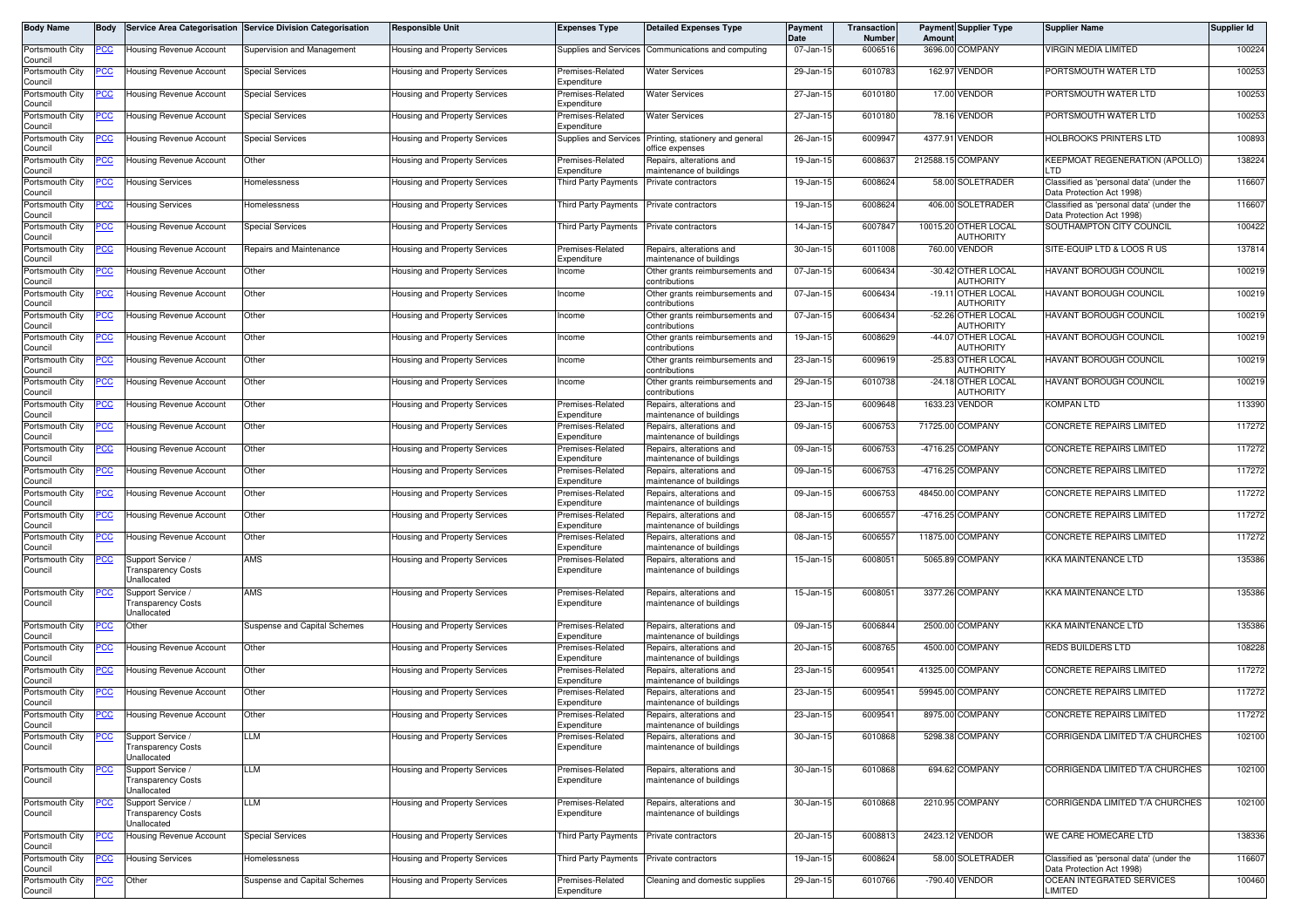| Body Name                  | <b>Body</b> | <b>Service Area Categorisation</b>                                   | <b>Service Division Categorisation</b> | <b>Responsible Unit</b>              | <b>Expenses Type</b>            | <b>Detailed Expenses Type</b>                                             | Payment<br>Date | Transaction<br>Number | Amoun             | <b>Payment Supplier Type</b>      | <b>Supplier Name</b>                                                  | <b>Supplier Id</b> |
|----------------------------|-------------|----------------------------------------------------------------------|----------------------------------------|--------------------------------------|---------------------------------|---------------------------------------------------------------------------|-----------------|-----------------------|-------------------|-----------------------------------|-----------------------------------------------------------------------|--------------------|
| Portsmouth City<br>Council | <u>PCC</u>  | <b>Housing Revenue Account</b>                                       | Supervision and Management             | <b>Housing and Property Services</b> | Supplies and Services           | Communications and computing                                              | 07-Jan-15       | 6006516               | 3696.00           | COMPANY                           | <b>VIRGIN MEDIA LIMITED</b>                                           | 100224             |
| Portsmouth City<br>Council | <u>PCC</u>  | <b>Housing Revenue Account</b>                                       | <b>Special Services</b>                | Housing and Property Services        | Premises-Related<br>Expenditure | <b>Water Services</b>                                                     | 29-Jan-15       | 6010783               |                   | 162.97 VENDOR                     | PORTSMOUTH WATER LTD                                                  | 100253             |
| Portsmouth City<br>Council |             | Housing Revenue Account                                              | <b>Special Services</b>                | Housing and Property Services        | Premises-Related<br>Expenditure | <b>Water Services</b>                                                     | 27-Jan-15       | 6010180               |                   | 17.00 VENDOR                      | PORTSMOUTH WATER LTD                                                  | 100253             |
| Portsmouth City<br>Council | <u>PCC</u>  | Housing Revenue Account                                              | <b>Special Services</b>                | Housing and Property Services        | Premises-Related<br>Expenditure | <b>Water Services</b>                                                     | 27-Jan-15       | 6010180               |                   | 78.16 VENDOR                      | PORTSMOUTH WATER LTD                                                  | 100253             |
| Portsmouth City<br>Council | <u>PCC</u>  | <b>Housing Revenue Account</b>                                       | <b>Special Services</b>                | Housing and Property Services        |                                 | Supplies and Services Printing, stationery and general<br>office expenses | 26-Jan-1        | 600994                |                   | 4377.91 VENDOR                    | HOLBROOKS PRINTERS LTD                                                | 100893             |
| Portsmouth City<br>Council | <u>PCC</u>  | Housing Revenue Account                                              | Other                                  | Housing and Property Services        | Premises-Related<br>Expenditure | Repairs, alterations and<br>maintenance of buildings                      | 19-Jan-15       | 600863                | 212588.15 COMPANY |                                   | KEEPMOAT REGENERATION (APOLLO)<br>LTD                                 | 138224             |
| Portsmouth City<br>Council | PCC         | <b>Housing Services</b>                                              | Homelessness                           | Housing and Property Services        | Third Party Payments            | Private contractors                                                       | 19-Jan-15       | 6008624               |                   | 58.00 SOLETRADER                  | Classified as 'personal data' (under the<br>Data Protection Act 1998) | 116607             |
| Portsmouth City<br>Council | <u>PCC </u> | <b>Housing Services</b>                                              | Homelessness                           | Housing and Property Services        | Third Party Payments            | Private contractors                                                       | 19-Jan-15       | 6008624               |                   | 406.00 SOLETRADER                 | Classified as 'personal data' (under the<br>Data Protection Act 1998) | 116607             |
| Portsmouth City<br>Council |             | <b>Housing Revenue Account</b>                                       | <b>Special Services</b>                | Housing and Property Services        | <b>Third Party Payments</b>     | Private contractors                                                       | 14-Jan-15       | 6007847               |                   | 10015.20 OTHER LOCAL<br>AUTHORITY | SOUTHAMPTON CITY COUNCIL                                              | 100422             |
| Portsmouth City<br>Council |             | Housing Revenue Account                                              | Repairs and Maintenance                | <b>Housing and Property Services</b> | Premises-Related<br>Expenditure | Repairs, alterations and<br>maintenance of buildings                      | 30-Jan-15       | 6011008               |                   | 760.00 VENDOR                     | SITE-EQUIP LTD & LOOS R US                                            | 137814             |
| Portsmouth City<br>Council | <u>PCC</u>  | Housing Revenue Account                                              | Other                                  | Housing and Property Services        | Income                          | Other grants reimbursements and<br>contributions                          | 07-Jan-15       | 6006434               |                   | -30.42 OTHER LOCAL<br>AUTHORITY   | HAVANT BOROUGH COUNCIL                                                | 100219             |
| Portsmouth City<br>Council | <u>PCC</u>  | Housing Revenue Account                                              | Other                                  | Housing and Property Services        | Income                          | Other grants reimbursements and<br>contributions                          | 07-Jan-15       | 6006434               |                   | -19.11 OTHER LOCAL<br>AUTHORITY   | HAVANT BOROUGH COUNCIL                                                | 100219             |
| Portsmouth City<br>Council | <u>PCC</u>  | Housing Revenue Account                                              | Other                                  | Housing and Property Services        | Income                          | Other grants reimbursements and<br>contributions                          | 07-Jan-15       | 6006434               |                   | -52.26 OTHER LOCAL<br>AUTHORITY   | <b>HAVANT BOROUGH COUNCIL</b>                                         | 100219             |
| Portsmouth City<br>Council |             | Housing Revenue Account                                              | Other                                  | Housing and Property Services        | Income                          | Other grants reimbursements and<br>contributions                          | 19-Jan-15       | 6008629               |                   | -44.07 OTHER LOCAL<br>AUTHORITY   | <b>HAVANT BOROUGH COUNCIL</b>                                         | 100219             |
| Portsmouth City<br>Council | <u>PCC</u>  | Housing Revenue Account                                              | Other                                  | Housing and Property Services        | Income                          | Other grants reimbursements and<br>contributions                          | 23-Jan-15       | 6009619               |                   | -25.83 OTHER LOCAL<br>AUTHORITY   | <b>HAVANT BOROUGH COUNCIL</b>                                         | 100219             |
| Portsmouth City<br>Council | <u>CC </u>  | Housing Revenue Account                                              | Other                                  | Housing and Property Services        | Income                          | Other grants reimbursements and<br>contributions                          | 29-Jan-15       | 6010738               |                   | -24.18 OTHER LOCAL<br>AUTHORITY   | HAVANT BOROUGH COUNCIL                                                | 100219             |
| Portsmouth City<br>Council | <u>PCC</u>  | Housing Revenue Account                                              | Other                                  | Housing and Property Services        | Premises-Related<br>Expenditure | Repairs, alterations and<br>naintenance of buildings                      | 23-Jan-15       | 6009648               |                   | 1633.23 VENDOR                    | <b>KOMPAN LTD</b>                                                     | 113390             |
| Portsmouth City<br>Council | <u>PCC</u>  | Housing Revenue Account                                              | Other                                  | Housing and Property Services        | Premises-Related<br>Expenditure | Repairs, alterations and<br>maintenance of buildings                      | 09-Jan-15       | 6006753               |                   | 71725.00 COMPANY                  | CONCRETE REPAIRS LIMITED                                              | 117272             |
| Portsmouth City<br>Council | <u>PCC</u>  | <b>Housing Revenue Account</b>                                       | Other                                  | Housing and Property Services        | Premises-Related<br>Expenditure | Repairs, alterations and<br>naintenance of buildings                      | 09-Jan-15       | 6006753               | $-4716.25$        | COMPANY                           | <b>CONCRETE REPAIRS LIMITED</b>                                       | 117272             |
| Portsmouth City<br>Council |             | <b>Housing Revenue Account</b>                                       | Other                                  | Housing and Property Services        | Premises-Related<br>Expenditure | Repairs, alterations and<br>maintenance of buildings                      | 09-Jan-15       | 6006753               |                   | -4716.25 COMPANY                  | CONCRETE REPAIRS LIMITED                                              | 117272             |
| Portsmouth City<br>Council | <u>PCC</u>  | <b>Housing Revenue Account</b>                                       | Other                                  | Housing and Property Services        | Premises-Related<br>Expenditure | Repairs, alterations and<br>maintenance of buildings                      | 09-Jan-15       | 6006753               |                   | 48450.00 COMPANY                  | CONCRETE REPAIRS LIMITED                                              | 117272             |
| Portsmouth City<br>Council |             | Housing Revenue Account                                              | Other                                  | Housing and Property Services        | Premises-Related<br>Expenditure | Repairs, alterations and<br>maintenance of buildings                      | 08-Jan-1        | 600655                | $-4716.25$        | COMPANY                           | CONCRETE REPAIRS LIMITED                                              | 117272             |
| Portsmouth City<br>Council | <u>PCC</u>  | Housing Revenue Account                                              | Other                                  | Housing and Property Services        | Premises-Related<br>Expenditure | Repairs, alterations and<br>maintenance of buildings                      | 08-Jan-15       | 6006557               |                   | 11875.00 COMPANY                  | CONCRETE REPAIRS LIMITED                                              | 117272             |
| Portsmouth City<br>Council |             | Support Service /<br>Fransparency Costs<br><b>Jnallocated</b>        | AMS                                    | Housing and Property Services        | Premises-Related<br>Expenditure | Repairs, alterations and<br>maintenance of buildings                      | $15 - Jan-15$   | 6008051               |                   | 5065.89 COMPANY                   | KKA MAINTENANCE LTD                                                   | 135386             |
| Portsmouth City<br>Council |             | Support Service /<br>ransparency Costs<br>Unallocated                | AMS                                    | Housing and Property Services        | Premises-Related<br>Expenditure | Repairs, alterations and<br>maintenance of buildings                      | 15-Jan-15       | 6008051               |                   | 3377.26 COMPANY                   | KKA MAINTENANCE LTD                                                   | 135386             |
| Portsmouth City<br>Council | <u>PCC</u>  | Other                                                                | Suspense and Capital Schemes           | Housing and Property Services        | Premises-Related<br>Expenditure | Repairs, alterations and<br>maintenance of buildings                      | 09-Jan-15       | 6006844               |                   | 2500.00 COMPANY                   | KKA MAINTENANCE LTD                                                   | 135386             |
| Portsmouth City<br>Council | <u>CC </u>  | Housing Revenue Account                                              | Other                                  | Housing and Property Services        | Premises-Related<br>Expenditure | Repairs, alterations and<br>maintenance of buildings                      | 20-Jan-15       | 6008765               |                   | 4500.00 COMPANY                   | REDS BUILDERS LTD                                                     | 108228             |
| Portsmouth City<br>Council | <u>PCC</u>  | Housing Revenue Account                                              | Other                                  | Housing and Property Services        | Premises-Related<br>Expenditure | Repairs, alterations and<br>maintenance of buildings                      | 23-Jan-15       | 6009541               |                   | 41325.00 COMPANY                  | <b>CONCRETE REPAIRS LIMITED</b>                                       | 117272             |
| Portsmouth City<br>Council | <u>PCC</u>  | <b>Housing Revenue Account</b>                                       | Other                                  | Housing and Property Services        | Premises-Related<br>Expenditure | Repairs, alterations and<br>maintenance of buildings                      | 23-Jan-1        | 6009541               | 59945.00          | <b>COMPANY</b>                    | CONCRETE REPAIRS LIMITED                                              | 117272             |
| Portsmouth City<br>Council | <u>PCC</u>  | <b>Housing Revenue Account</b>                                       | Other                                  | Housing and Property Services        | Premises-Related<br>Expenditure | Repairs, alterations and<br>maintenance of buildings                      | 23-Jan-15       | 6009541               |                   | 8975.00 COMPANY                   | <b>CONCRETE REPAIRS LIMITED</b>                                       | 117272             |
| Portsmouth City<br>Council | <u>PCC</u>  | Support Service /<br><b>Fransparency Costs</b><br><b>Jnallocated</b> | LLM                                    | Housing and Property Services        | Premises-Related<br>Expenditure | Repairs, alterations and<br>maintenance of buildings                      | 30-Jan-15       | 6010868               |                   | 5298.38 COMPANY                   | CORRIGENDA LIMITED T/A CHURCHES                                       | 102100             |
| Portsmouth City<br>Council |             | Support Service<br><b>Transparency Costs</b><br>Unallocated          | LLМ                                    | <b>Housing and Property Services</b> | Premises-Related<br>Expenditure | Repairs, alterations and<br>maintenance of buildings                      | 30-Jan-15       | 6010868               |                   | 694.62 COMPANY                    | CORRIGENDA LIMITED T/A CHURCHES                                       | 102100             |
| Portsmouth City<br>Council | <u>PCC</u>  | Support Service /<br><b>Transparency Costs</b><br><b>Jnallocated</b> | LLM                                    | <b>Housing and Property Services</b> | Premises-Related<br>Expenditure | Repairs, alterations and<br>maintenance of buildings                      | 30-Jan-15       | 6010868               |                   | 2210.95 COMPANY                   | CORRIGENDA LIMITED T/A CHURCHES                                       | 102100             |
| Portsmouth City<br>Council |             | Housing Revenue Account                                              | Special Services                       | Housing and Property Services        | Third Party Payments            | Private contractors                                                       | 20-Jan-15       | 6008813               |                   | 2423.12 VENDOR                    | WE CARE HOMECARE LTD                                                  | 138336             |
| Portsmouth City<br>Council | <u>PCC</u>  | <b>Housing Services</b>                                              | Homelessness                           | Housing and Property Services        | Third Party Payments            | Private contractors                                                       | 19-Jan-15       | 6008624               |                   | 58.00 SOLETRADER                  | Classified as 'personal data' (under the<br>Data Protection Act 1998) | 116607             |
| Portsmouth City<br>Council | <u>PCC</u>  | Other                                                                | Suspense and Capital Schemes           | Housing and Property Services        | Premises-Related<br>Expenditure | Cleaning and domestic supplies                                            | 29-Jan-15       | 6010766               |                   | -790.40 VENDOR                    | OCEAN INTEGRATED SERVICES<br>LIMITED                                  | 100460             |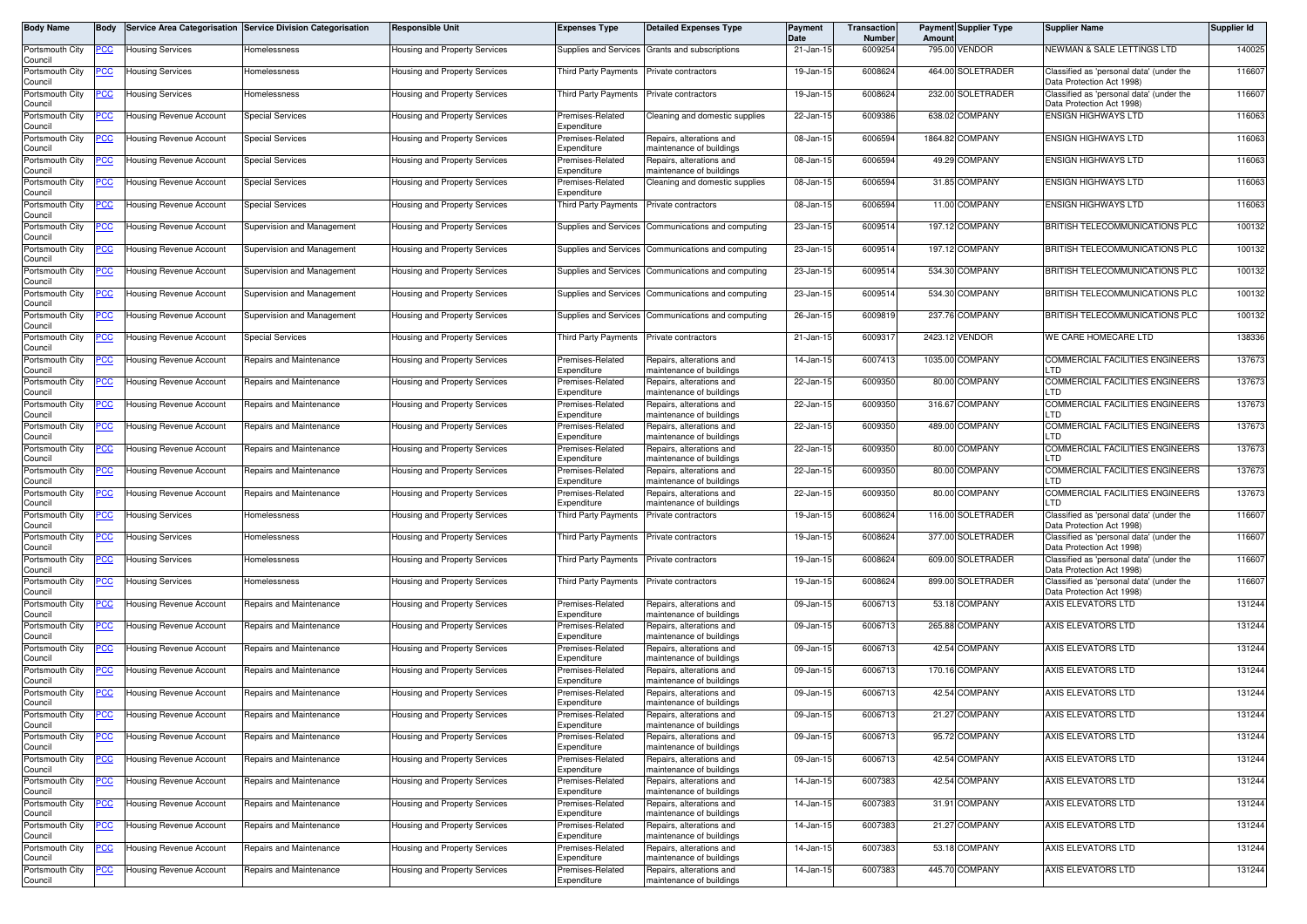| Body Name                  | Body        |                                | Service Area Categorisation Service Division Categorisation | Responsible Unit                     | <b>Expenses Type</b>            | <b>Detailed Expenses Type</b>                        | Payment<br>Date | Transaction<br><b>Number</b> | Amoun  | <b>Payment Supplier Type</b> | <b>Supplier Name</b>                                                  | Supplier Id |
|----------------------------|-------------|--------------------------------|-------------------------------------------------------------|--------------------------------------|---------------------------------|------------------------------------------------------|-----------------|------------------------------|--------|------------------------------|-----------------------------------------------------------------------|-------------|
| Portsmouth City<br>Council | <u>PCC</u>  | <b>Housing Services</b>        | Homelessness                                                | <b>Housing and Property Services</b> |                                 | Supplies and Services Grants and subscriptions       | 21-Jan-15       | 6009254                      |        | 795.00 VENDOR                | NEWMAN & SALE LETTINGS LTD                                            | 140025      |
| Portsmouth City<br>Council | 'CC         | <b>Housing Services</b>        | Homelessness                                                | Housing and Property Services        | Third Party Payments            | Private contractors                                  | 19-Jan-15       | 6008624                      |        | 464.00 SOLETRADER            | Classified as 'personal data' (under the<br>Data Protection Act 1998) | 116607      |
| Portsmouth City<br>Council | <u>cc</u>   | <b>Housing Services</b>        | lomelessness                                                | Housing and Property Services        | Third Party Payments            | Private contractors                                  | 19-Jan-15       | 6008624                      |        | 232.00 SOLETRADER            | Classified as 'personal data' (under the<br>Data Protection Act 1998) | 116607      |
| Portsmouth City<br>Council | <u>'CC</u>  | Housing Revenue Account        | <b>Special Services</b>                                     | Housing and Property Services        | Premises-Related<br>Expenditure | Cleaning and domestic supplies                       | 22-Jan-15       | 6009386                      |        | 638.02 COMPANY               | <b>ENSIGN HIGHWAYS LTD</b>                                            | 116063      |
| Portsmouth City<br>Council | <u>сс</u>   | Housing Revenue Account        | <b>Special Services</b>                                     | lousing and Property Services        | Premises-Related<br>Expenditure | Repairs, alterations and<br>maintenance of buildings | 08-Jan-15       | 6006594                      |        | 1864.82 COMPANY              | <b>ENSIGN HIGHWAYS LTD</b>                                            | 116063      |
| Portsmouth City<br>Council | <u>PCC</u>  | <b>Housing Revenue Account</b> | <b>Special Services</b>                                     | Housing and Property Services        | Premises-Related<br>Expenditure | Repairs, alterations and<br>maintenance of buildings | 08-Jan-15       | 6006594                      |        | 49.29 COMPANY                | <b>ENSIGN HIGHWAYS LTD</b>                                            | 116063      |
| Portsmouth City<br>Council | CC          | <b>Housing Revenue Account</b> | <b>Special Services</b>                                     | Housing and Property Services        | Premises-Related<br>Expenditure | Cleaning and domestic supplies                       | 08-Jan-15       | 6006594                      |        | 31.85 COMPANY                | <b>ENSIGN HIGHWAYS LTD</b>                                            | 116063      |
| Portsmouth City<br>Council | <u>cc</u>   | <b>Housing Revenue Account</b> | Special Services                                            | lousing and Property Services        | Third Party Payments            | Private contractors                                  | 08-Jan-15       | 6006594                      |        | 11.00 COMPANY                | <b>ENSIGN HIGHWAYS LTD</b>                                            | 116063      |
| Portsmouth City<br>Council | <u>'CC</u>  | <b>Housing Revenue Account</b> | Supervision and Management                                  | lousing and Property Services        | Supplies and Services           | Communications and computing                         | 23-Jan-15       | 6009514                      |        | 197.12 COMPANY               | BRITISH TELECOMMUNICATIONS PLC                                        | 100132      |
| Portsmouth City<br>Council | PСC         | Housing Revenue Account        | Supervision and Management                                  | <b>Housing and Property Services</b> | Supplies and Services           | Communications and computing                         | 23-Jan-15       | 6009514                      |        | 197.12 COMPANY               | BRITISH TELECOMMUNICATIONS PLC                                        | 100132      |
| Portsmouth City<br>Council |             | Housing Revenue Account        | Supervision and Management                                  | Housing and Property Services        | Supplies and Services           | Communications and computing                         | 23-Jan-15       | 6009514                      | 534.30 | COMPANY                      | BRITISH TELECOMMUNICATIONS PLC                                        | 100132      |
| Portsmouth City<br>Council | <u>PCC </u> | Housing Revenue Account        | Supervision and Management                                  | Housing and Property Services        | Supplies and Services           | Communications and computing                         | 23-Jan-15       | 6009514                      |        | 534.30 COMPANY               | BRITISH TELECOMMUNICATIONS PLC                                        | 100132      |
| Portsmouth City<br>Council | <u>'CC</u>  | Housing Revenue Account        | Supervision and Management                                  | Housing and Property Services        | Supplies and Services           | Communications and computing                         | 26-Jan-15       | 6009819                      |        | 237.76 COMPANY               | BRITISH TELECOMMUNICATIONS PLC                                        | 100132      |
| Portsmouth City<br>Council | 'CC         | <b>Housing Revenue Account</b> | <b>Special Services</b>                                     | Housing and Property Services        | Third Party Payments            | Private contractors                                  | 21-Jan-15       | 600931                       |        | 2423.12 VENDOR               | WE CARE HOMECARE LTD                                                  | 138336      |
| Portsmouth City<br>Council | 'СС         | <b>Housing Revenue Account</b> | Repairs and Maintenance                                     | Housing and Property Services        | Premises-Related<br>Expenditure | Repairs, alterations and<br>maintenance of buildings | 14-Jan-15       | 6007413                      |        | 1035.00 COMPANY              | <b>COMMERCIAL FACILITIES ENGINEERS</b><br>LTD.                        | 137673      |
| Portsmouth City<br>Council | <u>PCC</u>  | <b>Housing Revenue Account</b> | Repairs and Maintenance                                     | Housing and Property Services        | Premises-Related<br>Expenditure | Repairs, alterations and<br>maintenance of buildings | 22-Jan-15       | 6009350                      |        | 80.00 COMPANY                | COMMERCIAL FACILITIES ENGINEERS<br>LTD.                               | 137673      |
| Portsmouth City<br>Council |             | Housing Revenue Account        | Repairs and Maintenance                                     | Housing and Property Services        | Premises-Related<br>Expenditure | Repairs, alterations and<br>maintenance of buildings | 22-Jan-15       | 6009350                      |        | 316.67 COMPANY               | <b>COMMERCIAL FACILITIES ENGINEERS</b><br>LTD.                        | 137673      |
| Portsmouth City<br>Council | <u>PCC</u>  | Housing Revenue Account        | Repairs and Maintenance                                     | Housing and Property Services        | Premises-Related<br>Expenditure | Repairs, alterations and<br>maintenance of buildings | 22-Jan-15       | 6009350                      |        | 489.00 COMPANY               | <b>COMMERCIAL FACILITIES ENGINEERS</b><br>LTD                         | 137673      |
| Portsmouth City<br>Council |             | Housing Revenue Account        | Repairs and Maintenance                                     | Housing and Property Services        | Premises-Related<br>Expenditure | Repairs, alterations and<br>maintenance of buildings | 22-Jan-15       | 6009350                      |        | 80.00 COMPANY                | COMMERCIAL FACILITIES ENGINEERS<br>LTD.                               | 137673      |
| Portsmouth City<br>Council |             | <b>Housing Revenue Account</b> | Repairs and Maintenance                                     | Housing and Property Services        | Premises-Related<br>Expenditure | Repairs, alterations and<br>maintenance of buildings | 22-Jan-15       | 6009350                      |        | 80.00 COMPANY                | COMMERCIAL FACILITIES ENGINEERS<br><b>TD</b>                          | 137673      |
| Portsmouth City<br>Council | <u>'CC</u>  | Housing Revenue Account        | Repairs and Maintenance                                     | Housing and Property Services        | Premises-Related<br>Expenditure | Repairs, alterations and<br>naintenance of buildings | 22-Jan-15       | 6009350                      |        | 80.00 COMPANY                | COMMERCIAL FACILITIES ENGINEERS<br>LTD                                | 137673      |
| Portsmouth City<br>Council | <u>PCC </u> | <b>Housing Services</b>        | Homelessness                                                | Housing and Property Services        | Third Party Payments            | Private contractors                                  | 19-Jan-15       | 6008624                      |        | 116.00 SOLETRADER            | Classified as 'personal data' (under the<br>Data Protection Act 1998) | 116607      |
| Portsmouth City<br>Council | 'CC         | <b>Housing Services</b>        | Homelessness                                                | Housing and Property Services        | Third Party Payments            | Private contractors                                  | 19-Jan-15       | 6008624                      |        | 377.00 SOLETRADER            | Classified as 'personal data' (under the<br>Data Protection Act 1998) | 116607      |
| Portsmouth City<br>Council | <u>'CC</u>  | <b>Housing Services</b>        | lomelessness                                                | Housing and Property Services        | Third Party Payments            | Private contractors                                  | 19-Jan-15       | 6008624                      |        | 609.00 SOLETRADER            | Classified as 'personal data' (under the<br>Data Protection Act 1998) | 116607      |
| Portsmouth City<br>Council | <u>'CC </u> | <b>Housing Services</b>        | Homelessness                                                | Housing and Property Services        | Third Party Payments            | Private contractors                                  | 19-Jan-15       | 6008624                      |        | 899.00 SOLETRADER            | Classified as 'personal data' (under the<br>Data Protection Act 1998) | 116607      |
| Portsmouth City<br>Council | <u>'CC</u>  | Housing Revenue Account        | Repairs and Maintenance                                     | Housing and Property Services        | Premises-Related<br>Expenditure | Repairs, alterations and<br>maintenance of buildings | 09-Jan-15       | 6006713                      |        | 53.18 COMPANY                | AXIS ELEVATORS LTD                                                    | 131244      |
| Portsmouth City<br>Council | <u>PCC</u>  | Housing Revenue Account        | Repairs and Maintenance                                     | Housing and Property Services        | Premises-Related<br>Expenditure | Repairs, alterations and<br>maintenance of buildings | 09-Jan-15       | 6006713                      | 265.88 | COMPANY                      | AXIS ELEVATORS LTD                                                    | 131244      |
| Portsmouth City<br>Council | CC          | Housing Revenue Account        | Repairs and Maintenance                                     | Housing and Property Services        | Premises-Related<br>Expenditure | Repairs, alterations and<br>maintenance of buildings | 09-Jan-15       | 6006713                      |        | 42.54 COMPANY                | AXIS ELEVATORS LTD                                                    | 131244      |
| Portsmouth City<br>Council | <u>PCC</u>  | <b>Housing Revenue Account</b> | Repairs and Maintenance                                     | Housing and Property Services        | Premises-Related<br>Expenditure | Repairs, alterations and<br>maintenance of buildings | 09-Jan-15       | 6006713                      |        | 170.16 COMPANY               | AXIS ELEVATORS LTD                                                    | 131244      |
| Portsmouth City<br>Council |             | Housing Revenue Account        | Repairs and Maintenance                                     | Housing and Property Services        | remises-Related<br>Expenditure  | Repairs, alterations and<br>maintenance of buildings | 09-Jan-15       | 6006713                      |        | 42.54 COMPANY                | <b>AXIS ELEVATORS LTD</b>                                             | 131244      |
| Portsmouth City<br>Council | <b>PCC</b>  | Housing Revenue Account        | Repairs and Maintenance                                     | Housing and Property Services        | Premises-Related<br>Expenditure | Repairs, alterations and<br>maintenance of buildings | 09-Jan-15       | 6006713                      |        | 21.27 COMPANY                | AXIS ELEVATORS LTD                                                    | 131244      |
| Portsmouth City<br>Council | <u>CC </u>  | <b>Housing Revenue Account</b> | Repairs and Maintenance                                     | lousing and Property Services        | Premises-Related<br>Expenditure | Repairs, alterations and<br>maintenance of buildings | 09-Jan-15       | 6006713                      |        | 95.72 COMPANY                | AXIS ELEVATORS LTD                                                    | 131244      |
| Portsmouth City<br>Council | PСC         | Housing Revenue Account        | Repairs and Maintenance                                     | Housing and Property Services        | Premises-Related<br>Expenditure | Repairs, alterations and<br>maintenance of buildings | 09-Jan-15       | 6006713                      |        | 42.54 COMPANY                | AXIS ELEVATORS LTD                                                    | 131244      |
| Portsmouth City<br>Council |             | <b>Housing Revenue Account</b> | Repairs and Maintenance                                     | lousing and Property Services        | Premises-Related<br>Expenditure | Repairs, alterations and<br>maintenance of buildings | 14-Jan-15       | 6007383                      |        | 42.54 COMPANY                | AXIS ELEVATORS LTD                                                    | 131244      |
| Portsmouth City<br>Council | PCC         | Housing Revenue Account        | Repairs and Maintenance                                     | lousing and Property Services        | Premises-Related<br>Expenditure | Repairs, alterations and<br>maintenance of buildings | 14-Jan-15       | 6007383                      |        | 31.91 COMPANY                | AXIS ELEVATORS LTD                                                    | 131244      |
| Portsmouth City<br>Council |             | Housing Revenue Account        | Repairs and Maintenance                                     | lousing and Property Services        | Premises-Related<br>Expenditure | Repairs, alterations and<br>maintenance of buildings | 14-Jan-15       | 6007383                      |        | 21.27 COMPANY                | AXIS ELEVATORS LTD                                                    | 131244      |
| Portsmouth City<br>Council | <u>'CC</u>  | Housing Revenue Account        | Repairs and Maintenance                                     | lousing and Property Services        | Premises-Related<br>Expenditure | Repairs, alterations and<br>maintenance of buildings | 14-Jan-15       | 6007383                      |        | 53.18 COMPANY                | AXIS ELEVATORS LTD                                                    | 131244      |
| Portsmouth City<br>Council |             | Housing Revenue Account        | Repairs and Maintenance                                     | Housing and Property Services        | Premises-Related<br>Expenditure | Repairs, alterations and<br>maintenance of buildings | 14-Jan-15       | 6007383                      |        | 445.70 COMPANY               | AXIS ELEVATORS LTD                                                    | 131244      |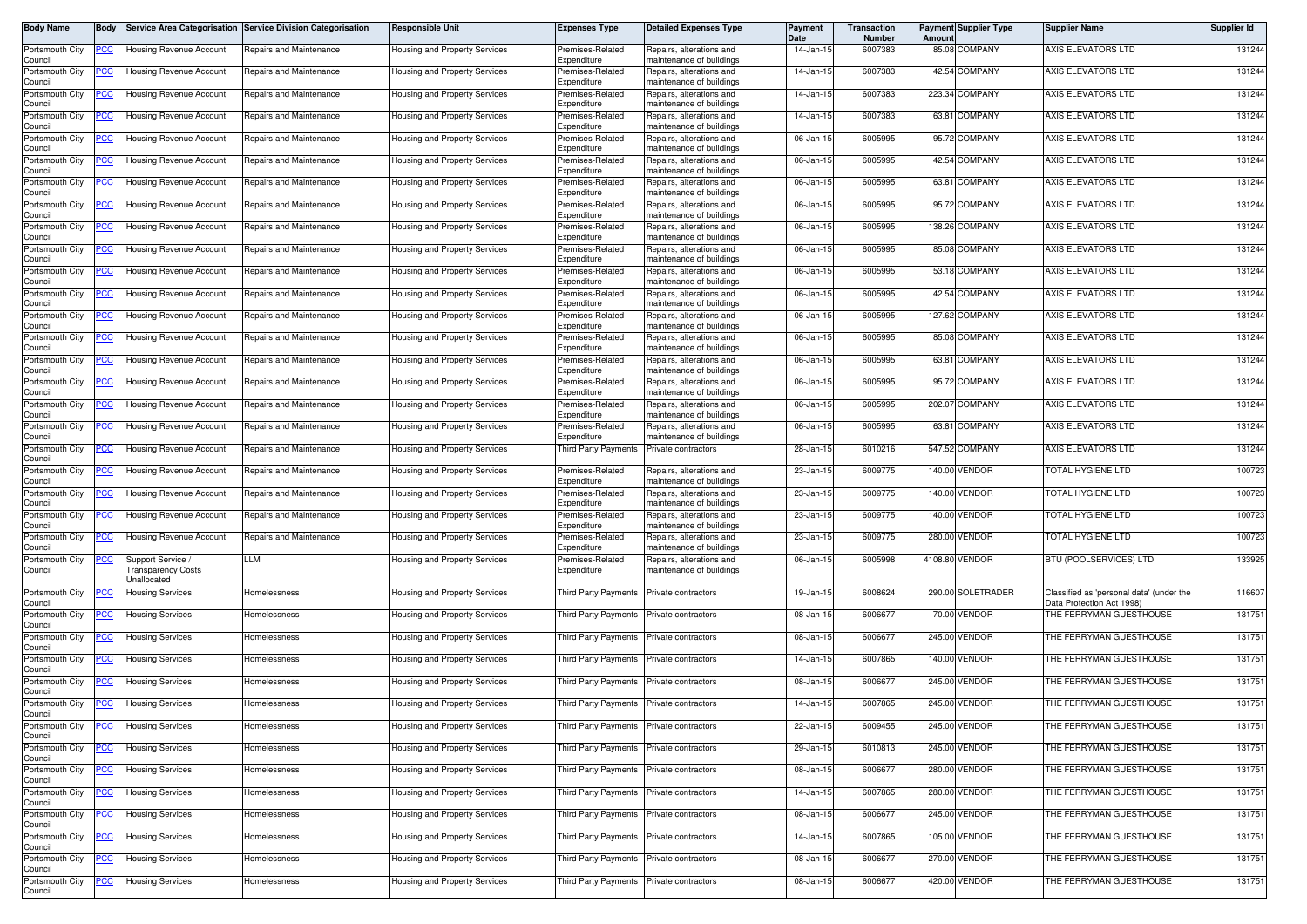| Body Name                  | <b>Body</b> |                                  | Service Area Categorisation Service Division Categorisation | <b>Responsible Unit</b>       | <b>Expenses Type</b>                     | <b>Detailed Expenses Type</b>                        | Payment<br>Date | Transaction<br><b>Number</b> | Amoun | <b>Payment Supplier Type</b> | <b>Supplier Name</b>                                                  | <b>Supplier Id</b> |
|----------------------------|-------------|----------------------------------|-------------------------------------------------------------|-------------------------------|------------------------------------------|------------------------------------------------------|-----------------|------------------------------|-------|------------------------------|-----------------------------------------------------------------------|--------------------|
| Portsmouth City<br>Council | PCC         | Housing Revenue Account          | Repairs and Maintenance                                     | Housing and Property Services | Premises-Related<br>Expenditure          | Repairs, alterations and<br>maintenance of buildings | 14-Jan-15       | 6007383                      |       | 85.08 COMPANY                | AXIS ELEVATORS LTD                                                    | 131244             |
| Portsmouth City<br>Council | <u>CC </u>  | Housing Revenue Account          | Repairs and Maintenance                                     | lousing and Property Services | remises-Related<br>Expenditure           | Repairs, alterations and<br>naintenance of buildings | 14-Jan-1!       | 6007383                      |       | 42.54 COMPANY                | AXIS ELEVATORS LTD                                                    | 131244             |
| Portsmouth City<br>Council | PСC         | <b>Housing Revenue Account</b>   | Repairs and Maintenance                                     | Housing and Property Services | Premises-Related<br>Expenditure          | Repairs, alterations and<br>naintenance of buildings | 14-Jan-15       | 6007383                      |       | 223.34 COMPANY               | AXIS ELEVATORS LTD                                                    | 131244             |
| Portsmouth City            |             | Housing Revenue Account          | Repairs and Maintenance                                     | Housing and Property Services | Premises-Related                         | Repairs, alterations and                             | 14-Jan-15       | 6007383                      |       | 63.81 COMPANY                | AXIS ELEVATORS LTD                                                    | 131244             |
| Council<br>Portsmouth City | <u>PCC</u>  | <b>Housing Revenue Account</b>   | Repairs and Maintenance                                     | Housing and Property Services | Expenditure<br>Premises-Related          | naintenance of buildings<br>Repairs, alterations and | 06-Jan-15       | 6005995                      |       | 95.72 COMPANY                | AXIS ELEVATORS LTD                                                    | 131244             |
| Council<br>Portsmouth City |             | Housing Revenue Account          | Repairs and Maintenance                                     | Housing and Property Services | Expenditure<br>remises-Related           | maintenance of buildings<br>Repairs, alterations and | 06-Jan-15       | 6005995                      |       | 42.54 COMPANY                | AXIS ELEVATORS LTD                                                    | 131244             |
| Council<br>Portsmouth City | <u>PCC</u>  | Housing Revenue Account          | Repairs and Maintenance                                     | Housing and Property Services | Expenditure<br>remises-Related           | naintenance of buildings<br>Repairs, alterations and | 06-Jan-15       | 6005995                      |       | 63.81 COMPANY                | AXIS ELEVATORS LTD                                                    | 131244             |
| Council<br>Portsmouth City | <u>'CC</u>  | Housing Revenue Account          | Repairs and Maintenance                                     | Housing and Property Services | .<br>xpenditure<br>Premises-Related      | maintenance of buildings<br>Repairs, alterations and | 06-Jan-15       | 6005995                      |       | 95.72 COMPANY                | AXIS ELEVATORS LTD                                                    | 131244             |
| Council<br>Portsmouth City | <u>CC </u>  | <b>Housing Revenue Account</b>   | Repairs and Maintenance                                     | Housing and Property Services | Expenditure<br>Premises-Related          | naintenance of buildings<br>Repairs, alterations and | 06-Jan-15       | 6005995                      |       | 138.26 COMPANY               | AXIS ELEVATORS LTD                                                    | 131244             |
| Council<br>Portsmouth City | <u>PCC</u>  | Housing Revenue Account          | Repairs and Maintenance                                     | Housing and Property Services | Expenditure<br>Premises-Related          | naintenance of buildings<br>Repairs, alterations and | 06-Jan-15       | 6005995                      |       | 85.08 COMPANY                | AXIS ELEVATORS LTD                                                    | 131244             |
| Council<br>Portsmouth City | <u>PCC </u> | Housing Revenue Account          | Repairs and Maintenance                                     | Housing and Property Services | Expenditure<br>remises-Related           | naintenance of buildings<br>Repairs, alterations and | 06-Jan-15       | 6005995                      |       | 53.18 COMPANY                | AXIS ELEVATORS LTD                                                    | 131244             |
| Council<br>Portsmouth City |             | <b>Housing Revenue Account</b>   | Repairs and Maintenance                                     | Housing and Property Services | .xpenditure<br>Premises-Related          | naintenance of buildings<br>Repairs, alterations and | 06-Jan-15       | 6005995                      |       | 42.54 COMPANY                | AXIS ELEVATORS LTD                                                    | 131244             |
| Council<br>Portsmouth City |             | Housing Revenue Account          | Repairs and Maintenance                                     |                               | Expenditure<br>remises-Related           | maintenance of buildings<br>Repairs, alterations and | 06-Jan-15       | 6005995                      |       | 127.62 COMPANY               | AXIS ELEVATORS LTD                                                    | 131244             |
| Council                    | <u>cc</u>   |                                  |                                                             | Housing and Property Services | Expenditure                              | maintenance of buildings                             |                 |                              |       |                              |                                                                       |                    |
| Portsmouth City<br>Council | <u>CC </u>  | Housing Revenue Account          | Repairs and Maintenance                                     | Housing and Property Services | remises-Related<br>Expenditure           | Repairs, alterations and<br>naintenance of buildings | 06-Jan-15       | 6005995                      |       | 85.08 COMPANY                | AXIS ELEVATORS LTD                                                    | 131244             |
| Portsmouth City<br>Council | <u>PCC</u>  | Housing Revenue Account          | Repairs and Maintenance                                     | Housing and Property Services | remises-Related<br>Expenditure           | Repairs, alterations and<br>maintenance of buildings | 06-Jan-15       | 6005995                      |       | 63.81 COMPANY                | AXIS ELEVATORS LTD                                                    | 131244             |
| Portsmouth City<br>Council | <u>'CC</u>  | Housing Revenue Account          | Repairs and Maintenance                                     | Housing and Property Services | remises-Related<br>Expenditure           | Repairs, alterations and<br>naintenance of buildings | 06-Jan-15       | 6005995                      |       | 95.72 COMPANY                | AXIS ELEVATORS LTD                                                    | 131244             |
| Portsmouth City<br>Council | 'CC         | Housing Revenue Account          | Repairs and Maintenance                                     | Housing and Property Services | Premises-Related<br>Expenditure          | Repairs, alterations and<br>maintenance of buildings | 06-Jan-15       | 6005995                      |       | 202.07 COMPANY               | AXIS ELEVATORS LTD                                                    | 131244             |
| Portsmouth City<br>Council | <u>'CC</u>  | <b>Housing Revenue Account</b>   | Repairs and Maintenance                                     | Housing and Property Services | Premises-Related<br>Expenditure          | Repairs, alterations and<br>maintenance of buildings | 06-Jan-15       | 6005995                      |       | 63.81 COMPANY                | AXIS ELEVATORS LTD                                                    | 131244             |
| Portsmouth City<br>Council |             | <b>Housing Revenue Account</b>   | Repairs and Maintenance                                     | Housing and Property Services | <b>Third Party Payments</b>              | Private contractors                                  | 28-Jan-15       | 6010216                      |       | 547.52 COMPANY               | AXIS ELEVATORS LTD                                                    | 131244             |
| Portsmouth City<br>Council | PСC         | <b>Housing Revenue Account</b>   | Repairs and Maintenance                                     | Housing and Property Services | Premises-Related<br>Expenditure          | Repairs, alterations and<br>maintenance of buildings | 23-Jan-15       | 6009775                      |       | 140.00 VENDOR                | TOTAL HYGIENE LTD                                                     | 100723             |
| Portsmouth City<br>Council | <u>cc</u>   | Housing Revenue Account          | Repairs and Maintenance                                     | Housing and Property Services | Premises-Related<br>Expenditure          | Repairs, alterations and<br>naintenance of buildings | 23-Jan-15       | 6009775                      |       | 140.00 VENDOR                | FOTAL HYGIENE LTD                                                     | 100723             |
| Portsmouth City<br>Council | 'СС         | Housing Revenue Account          | Repairs and Maintenance                                     | lousing and Property Services | remises-Related<br>Expenditure           | Repairs, alterations and<br>naintenance of buildings | 23-Jan-15       | 6009775                      |       | 140.00 VENDOR                | TOTAL HYGIENE LTD                                                     | 100723             |
| Portsmouth City<br>Council | <u>PCC</u>  | Housing Revenue Account          | Repairs and Maintenance                                     | lousing and Property Services | remises-Related<br>Expenditure           | Repairs, alterations and<br>naintenance of buildings | 23-Jan-15       | 6009775                      |       | 280.00 VENDOR                | TOTAL HYGIENE LTD                                                     | 100723             |
| Portsmouth City            | <u>PCC</u>  | / upport Service                 | LM.                                                         | Housing and Property Services | remises-Related                          | Repairs, alterations and                             | 06-Jan-15       | 6005998                      |       | 4108.80 VENDOR               | BTU (POOLSERVICES) LTD                                                | 133925             |
| Council                    |             | ransparency Costs<br>Jnallocated |                                                             |                               | Expenditure                              | maintenance of buildings                             |                 |                              |       |                              |                                                                       |                    |
| Portsmouth City<br>Council | ပင          | Housing Services                 | Homelessness                                                | Housing and Property Services | Third Party Payments                     | Private contractors                                  | 19-Jan-15       | 6008624                      |       | 290.00 SOLETRADER            | Classified as 'personal data' (under the<br>Data Protection Act 1998) | 116607             |
| Portsmouth City<br>Council | <u>CC </u>  | <b>Housing Services</b>          | Homelessness                                                | Housing and Property Services | Third Party Payments                     | Private contractors                                  | 08-Jan-15       | 600667                       |       | 70.00 VENDOR                 | THE FERRYMAN GUESTHOUSE                                               | 131751             |
| Portsmouth City<br>Council | <u>'CC </u> | <b>Housing Services</b>          | lomelessness                                                | Housing and Property Services | Third Party Payments                     | Private contractors                                  | 08-Jan-15       | 600667                       |       | 245.00 VENDOR                | THE FERRYMAN GUESTHOUSE                                               | 131751             |
| Portsmouth City<br>Council | <u>PCC</u>  | <b>Housing Services</b>          | lomelessness                                                | Housing and Property Services | Third Party Payments                     | Private contractors                                  | 14-Jan-15       | 6007865                      |       | 140.00 VENDOR                | THE FERRYMAN GUESTHOUSE                                               | 131751             |
| Portsmouth City<br>Council |             | <b>Housing Services</b>          | Homelessness                                                | Housing and Property Services | Third Party Payments                     | Private contractors                                  | 08-Jan-15       | 600667                       |       | 245.00 VENDOR                | THE FERRYMAN GUESTHOUSE                                               | 131751             |
| Portsmouth City<br>Council | <u>PCC</u>  | <b>Housing Services</b>          | Homelessness                                                | Housing and Property Services | Third Party Payments                     | Private contractors                                  | 14-Jan-15       | 6007865                      |       | 245.00 VENDOR                | THE FERRYMAN GUESTHOUSE                                               | 131751             |
| Portsmouth City<br>Council | <u>PCC</u>  | <b>Housing Services</b>          | Homelessness                                                | Housing and Property Services | Third Party Payments Private contractors |                                                      | 22-Jan-15       | 6009455                      |       | 245.00 VENDOR                | THE FERRYMAN GUESTHOUSE                                               | 131751             |
| Portsmouth City<br>Council | <u>PCC</u>  | <b>Housing Services</b>          | Homelessness                                                | Housing and Property Services | Third Party Payments Private contractors |                                                      | 29-Jan-15       | 6010813                      |       | 245.00 VENDOR                | THE FERRYMAN GUESTHOUSE                                               | 131751             |
| Portsmouth City<br>Council |             | <b>Housing Services</b>          | Homelessness                                                | Housing and Property Services | hird Party Payments                      | Private contractors                                  | 08-Jan-15       | 6006677                      |       | 280.00 VENDOR                | THE FERRYMAN GUESTHOUSE                                               | 131751             |
| Portsmouth City<br>Council |             | <b>Housing Services</b>          | Homelessness                                                | lousing and Property Services | Third Party Payments                     | Private contractors                                  | 14-Jan-15       | 6007865                      |       | 280.00 VENDOR                | THE FERRYMAN GUESTHOUSE                                               | 131751             |
| Portsmouth City            | сc          | <b>Housing Services</b>          | Homelessness                                                | lousing and Property Services | Third Party Payments                     | Private contractors                                  | 08-Jan-15       | 6006677                      |       | 245.00 VENDOR                | THE FERRYMAN GUESTHOUSE                                               | 131751             |
| Council<br>Portsmouth City | <u>PCC</u>  | <b>Housing Services</b>          | Homelessness                                                | lousing and Property Services | <b>Third Party Payments</b>              | Private contractors                                  | 14-Jan-15       | 6007865                      |       | 105.00 VENDOR                | THE FERRYMAN GUESTHOUSE                                               | 131751             |
| Council<br>Portsmouth City | <u>PCC</u>  | <b>Housing Services</b>          | Homelessness                                                | Housing and Property Services | Third Party Payments                     | Private contractors                                  | 08-Jan-15       | 600667                       |       | 270.00 VENDOR                | THE FERRYMAN GUESTHOUSE                                               | 131751             |
| Council<br>Portsmouth City | PCC         | <b>Housing Services</b>          | Homelessness                                                | Housing and Property Services | Third Party Payments Private contractors |                                                      | 08-Jan-15       | 6006677                      |       | 420.00 VENDOR                | THE FERRYMAN GUESTHOUSE                                               | 131751             |
| Council                    |             |                                  |                                                             |                               |                                          |                                                      |                 |                              |       |                              |                                                                       |                    |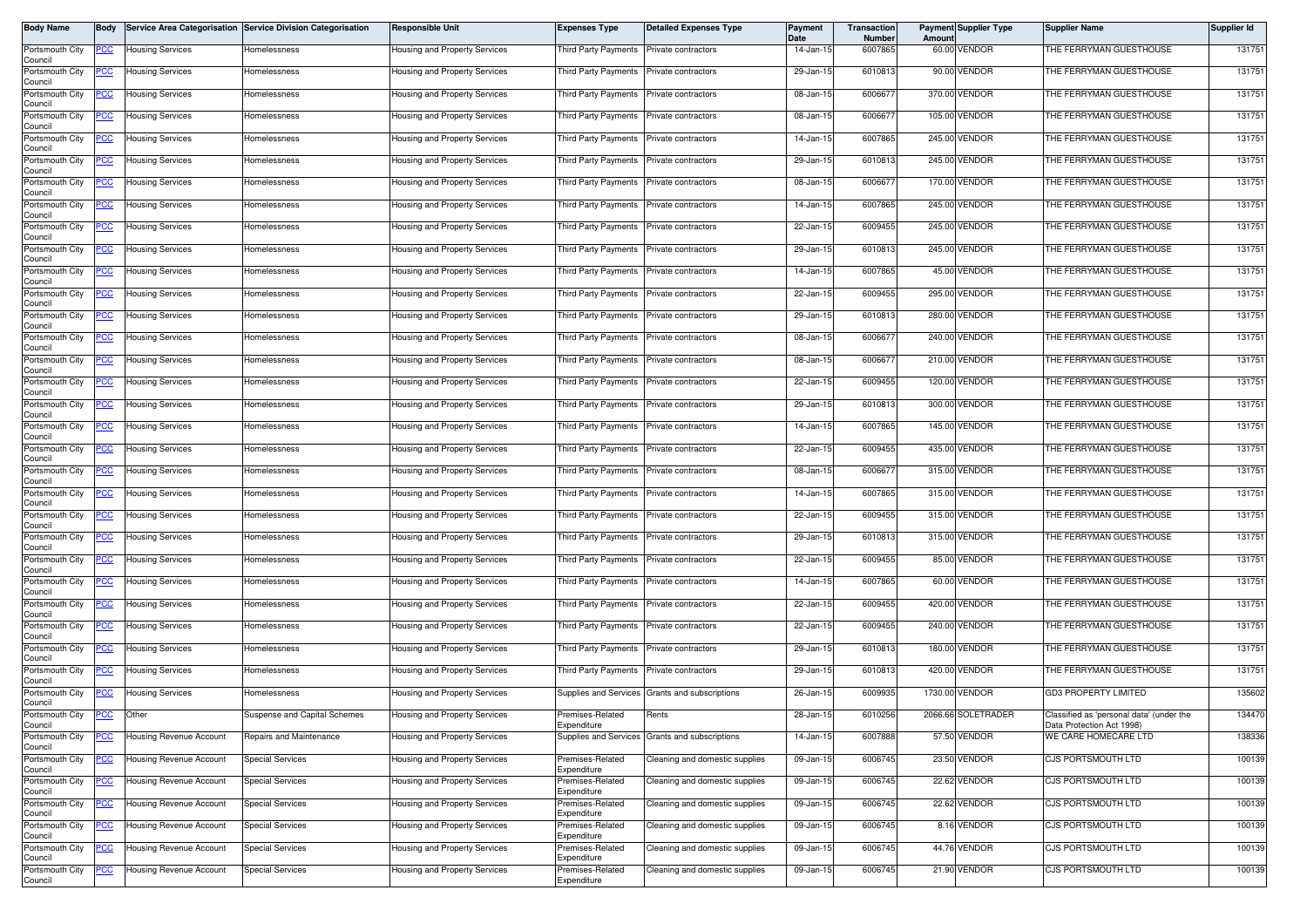| Body Name                  | <b>Body</b> |                                | Service Area Categorisation Service Division Categorisation | <b>Responsible Unit</b>       | <b>Expenses Type</b>                     | <b>Detailed Expenses Type</b>  | Payment<br>Date | Transaction<br>Number | Amount | <b>Payment Supplier Type</b> | <b>Supplier Name</b>                                                  | Supplier Id |
|----------------------------|-------------|--------------------------------|-------------------------------------------------------------|-------------------------------|------------------------------------------|--------------------------------|-----------------|-----------------------|--------|------------------------------|-----------------------------------------------------------------------|-------------|
| Portsmouth City<br>Council | <u>PCC</u>  | <b>Housing Services</b>        | Homelessness                                                | Housing and Property Services | Third Party Payments                     | Private contractors            | 14-Jan-15       | 6007865               |        | 60.00 VENDOR                 | THE FERRYMAN GUESTHOUSE                                               | 131751      |
| Portsmouth City<br>Council | <u>PCC </u> | <b>Housing Services</b>        | Homelessness                                                | Housing and Property Services | Third Party Payments Private contractors |                                | 29-Jan-15       | 6010813               |        | 90.00 VENDOR                 | THE FERRYMAN GUESTHOUSE                                               | 131751      |
| Portsmouth City<br>Council | <u>PCC </u> | <b>Housing Services</b>        | Homelessness                                                | Housing and Property Services | Third Party Payments                     | Private contractors            | 08-Jan-15       | 6006677               |        | 370.00 VENDOR                | THE FERRYMAN GUESTHOUSE                                               | 131751      |
| Portsmouth City<br>Council | <u>PCC</u>  | <b>Housing Services</b>        | Homelessness                                                | Housing and Property Services | Third Party Payments                     | Private contractors            | 08-Jan-15       | 600667                |        | 105.00 VENDOR                | THE FERRYMAN GUESTHOUSE                                               | 131751      |
| Portsmouth City<br>Council | <u>PCC</u>  | <b>Housing Services</b>        | Homelessness                                                | Housing and Property Services | Third Party Payments                     | Private contractors            | 14-Jan-15       | 6007865               |        | 245.00 VENDOR                | THE FERRYMAN GUESTHOUSE                                               | 131751      |
| Portsmouth City<br>Council | <u>PCC</u>  | <b>Housing Services</b>        | Homelessness                                                | Housing and Property Services | Third Party Payments                     | Private contractors            | 29-Jan-15       | 6010813               |        | 245.00 VENDOR                | THE FERRYMAN GUESTHOUSE                                               | 131751      |
| Portsmouth City<br>Council | <u>PCC</u>  | <b>Housing Services</b>        | <b>Homelessness</b>                                         | Housing and Property Services | Third Party Payments                     | Private contractors            | 08-Jan-15       | 6006677               |        | 170.00 VENDOR                | THE FERRYMAN GUESTHOUSE                                               | 131751      |
| Portsmouth City<br>Council | <u>PCC</u>  | <b>Housing Services</b>        | Homelessness                                                | lousing and Property Services | Third Party Payments                     | Private contractors            | 14-Jan-15       | 6007865               |        | 245.00 VENDOR                | THE FERRYMAN GUESTHOUSE                                               | 131751      |
| Portsmouth City<br>Council | <u>PCC</u>  | <b>Housing Services</b>        | Homelessness                                                | lousing and Property Services | Third Party Payments                     | Private contractors            | 22-Jan-15       | 6009455               |        | 245.00 VENDOR                | THE FERRYMAN GUESTHOUSE                                               | 131751      |
| Portsmouth City<br>Council | PСC         | <b>Housing Services</b>        | Homelessness                                                | Housing and Property Services | Third Party Payments                     | Private contractors            | 29-Jan-15       | 6010813               |        | 245.00 VENDOR                | THE FERRYMAN GUESTHOUSE                                               | 131751      |
| Portsmouth City<br>Council | <u>PCC</u>  | <b>Housing Services</b>        | Homelessness                                                | Housing and Property Services | Third Party Payments                     | Private contractors            | 14-Jan-15       | 6007865               |        | 45.00 VENDOR                 | THE FERRYMAN GUESTHOUSE                                               | 131751      |
| Portsmouth City<br>Council | <u>PCC </u> | <b>Housing Services</b>        | Homelessness                                                | Housing and Property Services | Third Party Payments                     | Private contractors            | 22-Jan-15       | 6009455               |        | 295.00 VENDOR                | THE FERRYMAN GUESTHOUSE                                               | 131751      |
| Portsmouth City<br>Council | <u>PCC</u>  | <b>Housing Services</b>        | Homelessness                                                | Housing and Property Services | <b>Third Party Payments</b>              | Private contractors            | 29-Jan-15       | 6010813               |        | 280.00 VENDOR                | THE FERRYMAN GUESTHOUSE                                               | 131751      |
| Portsmouth City<br>Council | <u>CC </u>  | <b>Housing Services</b>        | Homelessness                                                | Housing and Property Services | Third Party Payments                     | Private contractors            | 08-Jan-15       | 6006677               |        | 240.00 VENDOR                | THE FERRYMAN GUESTHOUSE                                               | 131751      |
| Portsmouth City<br>Council | <u>PCC</u>  | <b>Housing Services</b>        | lomelessness                                                | Housing and Property Services | Third Party Payments                     | Private contractors            | 08-Jan-15       | 6006677               |        | 210.00 VENDOR                | THE FERRYMAN GUESTHOUSE                                               | 131751      |
| Portsmouth City<br>Council | <u>PCC</u>  | <b>Housing Services</b>        | Homelessness                                                | lousing and Property Services | Third Party Payments                     | Private contractors            | 22-Jan-15       | 6009455               |        | 120.00 VENDOR                | THE FERRYMAN GUESTHOUSE                                               | 131751      |
| Portsmouth City<br>Council | <u>PCC</u>  | <b>Housing Services</b>        | Homelessness                                                | Housing and Property Services | Third Party Payments                     | Private contractors            | 29-Jan-15       | 6010813               |        | 300.00 VENDOR                | THE FERRYMAN GUESTHOUSE                                               | 131751      |
| Portsmouth City<br>Council | <u>PCC</u>  | <b>Housing Services</b>        | Homelessness                                                | lousing and Property Services | Third Party Payments                     | Private contractors            | 14-Jan-15       | 6007865               |        | 145.00 VENDOR                | THE FERRYMAN GUESTHOUSE                                               | 131751      |
| Portsmouth City<br>Council | <u>cc</u>   | <b>Housing Services</b>        | lomelessness                                                | Housing and Property Services | <b>Third Party Payments</b>              | Private contractors            | 22-Jan-15       | 6009455               |        | 435.00 VENDOR                | THE FERRYMAN GUESTHOUSE                                               | 131751      |
| Portsmouth City<br>Council | <u>PCC </u> | <b>Housing Services</b>        | Homelessness                                                | lousing and Property Services | Third Party Payments                     | Private contractors            | 08-Jan-15       | 6006677               |        | 315.00 VENDOR                | THE FERRYMAN GUESTHOUSE                                               | 131751      |
| Portsmouth City<br>Council | <u>PCC</u>  | <b>Housing Services</b>        | Homelessness                                                | Housing and Property Services | Third Party Payments                     | Private contractors            | 14-Jan-15       | 6007865               |        | 315.00 VENDOR                | THE FERRYMAN GUESTHOUSE                                               | 131751      |
| Portsmouth City<br>Council | <u>PCC </u> | <b>Housing Services</b>        | Homelessness                                                | Housing and Property Services | Third Party Payments                     | Private contractors            | 22-Jan-15       | 6009455               |        | 315.00 VENDOR                | THE FERRYMAN GUESTHOUSE                                               | 131751      |
| Portsmouth City<br>Council | <u>CC </u>  | <b>Housing Services</b>        | Homelessness                                                | Housing and Property Services | Third Party Payments                     | Private contractors            | 29-Jan-15       | 6010813               |        | 315.00 VENDOR                | THE FERRYMAN GUESTHOUSE                                               | 131751      |
| Portsmouth City<br>Council | PCC         | <b>Housing Services</b>        | Homelessness                                                | Housing and Property Services | Third Party Payments                     | Private contractors            | 22-Jan-15       | 6009455               |        | 85.00 VENDOR                 | THE FERRYMAN GUESTHOUSE                                               | 131751      |
| Portsmouth City<br>Council | <u>PCC</u>  | <b>Housing Services</b>        | Homelessness                                                | Housing and Property Services | Third Party Payments                     | Private contractors            | 14-Jan-15       | 6007865               |        | 60.00 VENDOR                 | THE FERRYMAN GUESTHOUSE                                               | 131751      |
| Portsmouth City<br>Council | <u>PCC</u>  | <b>Housing Services</b>        | Homelessness                                                | Housing and Property Services | Third Party Payments                     | Private contractors            | 22-Jan-15       | 6009455               |        | 420.00 VENDOR                | THE FERRYMAN GUESTHOUSE                                               | 131751      |
| Portsmouth City<br>Council | <u>PCC</u>  | <b>Housing Services</b>        | Homelessness                                                | Housing and Property Services | Third Party Payments                     | Private contractors            | 22-Jan-15       | 6009455               |        | 240.00 VENDOR                | THE FERRYMAN GUESTHOUSE                                               | 131751      |
| Portsmouth City<br>Council | <u>PCC </u> | <b>Housing Services</b>        | <b>Homelessness</b>                                         | Housing and Property Services | Third Party Payments                     | Private contractors            | 29-Jan-15       | 6010813               |        | 180.00 VENDOR                | THE FERRYMAN GUESTHOUSE                                               | 131751      |
| Portsmouth City<br>Council | <u>CC </u>  | <b>Housing Services</b>        | lomelessness                                                | lousing and Property Services | Third Party Payments                     | Private contractors            | 29-Jan-15       | 6010813               |        | 420.00 VENDOR                | THE FERRYMAN GUESTHOUSE                                               | 131751      |
| Portsmouth City<br>Council | <u>PCC</u>  | <b>Housing Services</b>        | Homelessness                                                | Housing and Property Services | Supplies and Services                    | Grants and subscriptions       | 26-Jan-15       | 6009935               |        | 1730.00 VENDOR               | <b>GD3 PROPERTY LIMITED</b>                                           | 135602      |
| Portsmouth City<br>Council | <u>PCC</u>  | Other                          | Suspense and Capital Schemes                                | Housing and Property Services | Premises-Related<br>Expenditure          | Rents                          | 28-Jan-15       | 6010256               |        | 2066.66 SOLETRADER           | Classified as 'personal data' (under the<br>Data Protection Act 1998) | 134470      |
| Portsmouth City<br>Council | <u>PCC</u>  | Housing Revenue Account        | Repairs and Maintenance                                     | lousing and Property Services | Supplies and Services                    | Grants and subscriptions       | 14-Jan-15       | 6007888               |        | 57.50 VENDOR                 | WE CARE HOMECARE LTD                                                  | 138336      |
| Portsmouth City<br>Council | <u>'CC</u>  | Housing Revenue Account        | <b>Special Services</b>                                     | lousing and Property Services | Premises-Related<br>Expenditure          | Cleaning and domestic supplies | 09-Jan-15       | 6006745               |        | 23.50 VENDOR                 | CJS PORTSMOUTH LTD                                                    | 100139      |
| Portsmouth City<br>Council | PCC         | <b>Housing Revenue Account</b> | <b>Special Services</b>                                     | lousing and Property Services | Premises-Related<br>Expenditure          | Cleaning and domestic supplies | 09-Jan-15       | 6006745               |        | 22.62 VENDOR                 | CJS PORTSMOUTH LTD                                                    | 100139      |
| Portsmouth City<br>Council |             | Housing Revenue Account        | <b>Special Services</b>                                     | Housing and Property Services | Premises-Related<br>Expenditure          | Cleaning and domestic supplies | 09-Jan-15       | 6006745               |        | 22.62 VENDOR                 | CJS PORTSMOUTH LTD                                                    | 100139      |
| Portsmouth City<br>Council | <u>CC </u>  | Housing Revenue Account        | <b>Special Services</b>                                     | lousing and Property Services | Premises-Related<br>Expenditure          | Cleaning and domestic supplies | 09-Jan-15       | 6006745               |        | 8.16 VENDOR                  | CJS PORTSMOUTH LTD                                                    | 100139      |
| Portsmouth City<br>Council | <u>PCC</u>  | Housing Revenue Account        | <b>Special Services</b>                                     | Housing and Property Services | Premises-Related<br>Expenditure          | Cleaning and domestic supplies | 09-Jan-15       | 6006745               |        | 44.76 VENDOR                 | CJS PORTSMOUTH LTD                                                    | 100139      |
| Portsmouth City<br>Council |             | Housing Revenue Account        | <b>Special Services</b>                                     | Housing and Property Services | Premises-Related<br>Expenditure          | Cleaning and domestic supplies | 09-Jan-15       | 6006745               |        | 21.90 VENDOR                 | CJS PORTSMOUTH LTD                                                    | 100139      |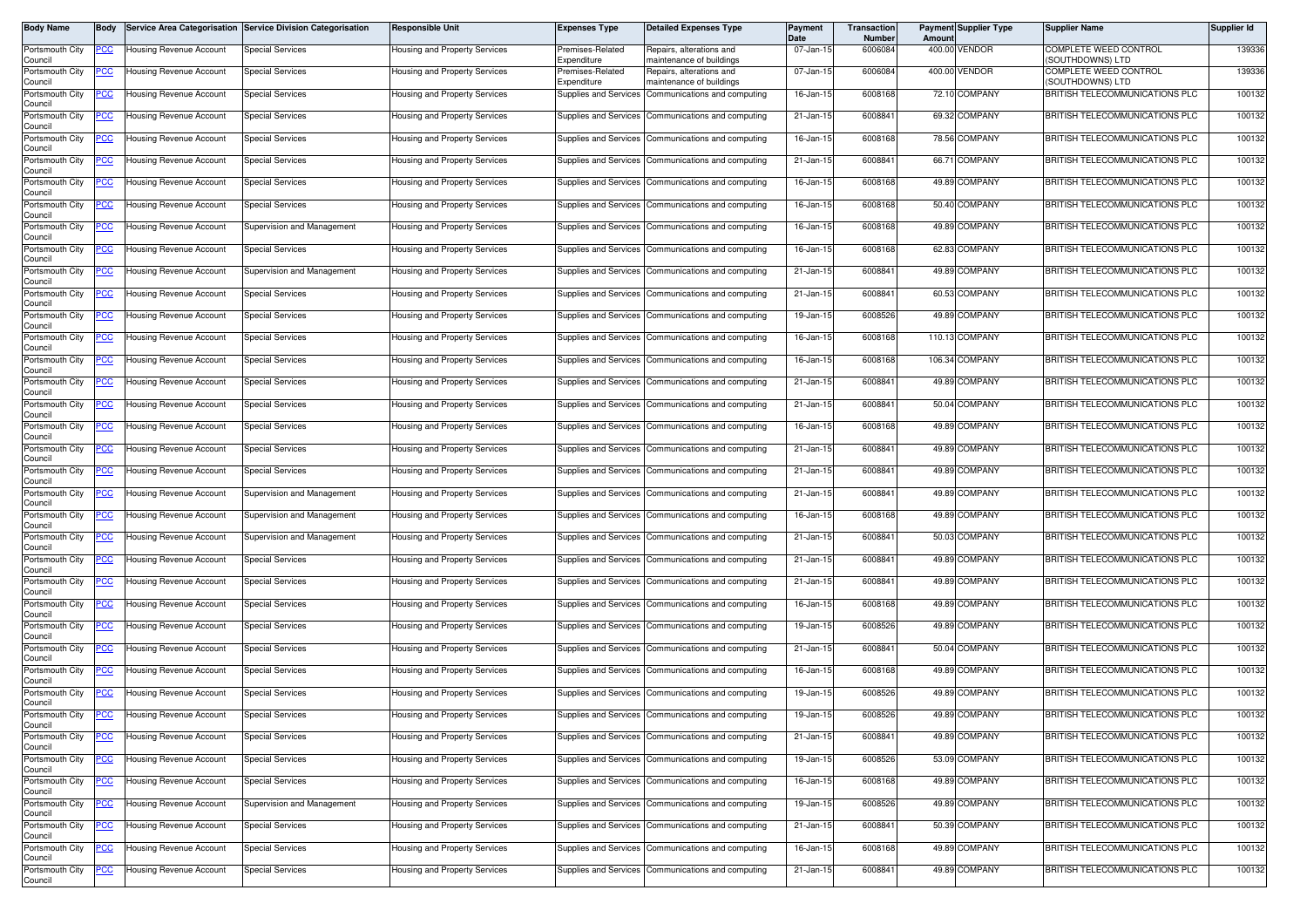| Body Name                                     | <b>Body</b> |                                                    | Service Area Categorisation Service Division Categorisation | <b>Responsible Unit</b>                                        | <b>Expenses Type</b>                           | <b>Detailed Expenses Type</b>                                | <b>Payment</b><br><b>Date</b> | Transaction<br><b>Number</b> | Amount | <b>Payment Supplier Type</b>   | <b>Supplier Name</b>                                             | Supplier Id      |
|-----------------------------------------------|-------------|----------------------------------------------------|-------------------------------------------------------------|----------------------------------------------------------------|------------------------------------------------|--------------------------------------------------------------|-------------------------------|------------------------------|--------|--------------------------------|------------------------------------------------------------------|------------------|
| Portsmouth City<br>Council                    | <u>PCC</u>  | Housing Revenue Account                            | <b>Special Services</b>                                     | Housing and Property Services                                  | remises-Related<br>Expenditure                 | Repairs, alterations and<br>naintenance of buildings         | 07-Jan-15                     | 6006084                      |        | 400.00 VENDOR                  | COMPLETE WEED CONTROL<br>(SOUTHDOWNS) LTD                        | 139336           |
| Portsmouth City<br>Council                    | 'CC         | <b>Housing Revenue Account</b>                     | <b>Special Services</b>                                     | <b>Housing and Property Services</b>                           | Premises-Related<br>.<br>xpenditure            | Repairs, alterations and<br>maintenance of buildings         | 07-Jan-15                     | 6006084                      |        | 400.00 VENDOR                  | COMPLETE WEED CONTROL<br>(SOUTHDOWNS) LTD                        | 139336           |
| Portsmouth City<br>Council                    | <u>CC </u>  | Housing Revenue Account                            | <b>Special Services</b>                                     | Housing and Property Services                                  | <b>Supplies and Services</b>                   | Communications and computing                                 | 16-Jan-15                     | 6008168                      |        | 72.10 COMPANY                  | BRITISH TELECOMMUNICATIONS PLC                                   | 100132           |
| Portsmouth City<br>Council                    | <u>PCC</u>  | <b>Housing Revenue Account</b>                     | <b>Special Services</b>                                     | <b>Housing and Property Services</b>                           | Supplies and Services                          | Communications and computing                                 | 21-Jan-15                     | 6008841                      |        | 69.32 COMPANY                  | BRITISH TELECOMMUNICATIONS PLC                                   | 100132           |
| Portsmouth City<br>Council                    | <u>cc</u>   | <b>Housing Revenue Account</b>                     | Special Services                                            | lousing and Property Services                                  | <b>Supplies and Services</b>                   | Communications and computing                                 | 16-Jan-15                     | 6008168                      |        | 78.56 COMPANY                  | BRITISH TELECOMMUNICATIONS PLC                                   | 100132           |
| Portsmouth City<br>Council                    | <u>PCC</u>  | <b>Housing Revenue Account</b>                     | <b>Special Services</b>                                     | Housing and Property Services                                  | Supplies and Services                          | Communications and computing                                 | 21-Jan-15                     | 6008841                      |        | 66.71 COMPANY                  | BRITISH TELECOMMUNICATIONS PLC                                   | 100132           |
| Portsmouth City<br>Council                    | <u>'CC</u>  | <b>Housing Revenue Account</b>                     | <b>Special Services</b>                                     | Housing and Property Services                                  | Supplies and Services                          | Communications and computing                                 | 16-Jan-15                     | 6008168                      |        | 49.89 COMPANY                  | BRITISH TELECOMMUNICATIONS PLC                                   | 100132           |
| Portsmouth City<br>Council                    | <u>'CC</u>  | <b>Housing Revenue Account</b>                     | Special Services                                            | Housing and Property Services                                  | Supplies and Services                          | Communications and computing                                 | 16-Jan-15                     | 6008168                      |        | 50.40 COMPANY                  | BRITISH TELECOMMUNICATIONS PLC                                   | 100132           |
| Portsmouth City<br>Council                    | <u>CC </u>  | <b>Housing Revenue Account</b>                     | Supervision and Management                                  | <b>Housing and Property Services</b>                           | Supplies and Services                          | Communications and computing                                 | 16-Jan-15                     | 6008168                      |        | 49.89 COMPANY                  | BRITISH TELECOMMUNICATIONS PLC                                   | 100132           |
| Portsmouth City<br>Council                    | PСC         | <b>Housing Revenue Account</b>                     | <b>Special Services</b>                                     | Housing and Property Services                                  | Supplies and Services                          | Communications and computing                                 | 16-Jan-15                     | 6008168                      |        | 62.83 COMPANY                  | BRITISH TELECOMMUNICATIONS PLC                                   | 100132           |
| Portsmouth City<br>Council                    |             | Housing Revenue Account                            | Supervision and Management                                  | Housing and Property Services                                  | <b>Supplies and Services</b>                   | Communications and computing                                 | 21-Jan-15                     | 6008841                      |        | 49.89 COMPANY                  | BRITISH TELECOMMUNICATIONS PLC                                   | 100132           |
| Portsmouth City<br>Council                    | PCC         | <b>Housing Revenue Account</b>                     | <b>Special Services</b>                                     | Housing and Property Services                                  | Supplies and Services                          | Communications and computing                                 | 21-Jan-15                     | 6008841                      |        | 60.53 COMPANY                  | BRITISH TELECOMMUNICATIONS PLC                                   | 100132           |
| Portsmouth City<br>Council                    | <u>CC </u>  | <b>Housing Revenue Account</b>                     | Special Services                                            | Housing and Property Services                                  | Supplies and Services                          | Communications and computing                                 | 19-Jan-15                     | 6008526                      |        | 49.89 COMPANY                  | BRITISH TELECOMMUNICATIONS PLC                                   | 100132           |
| Portsmouth City<br>Council                    | PСC         | <b>Housing Revenue Account</b>                     | <b>Special Services</b>                                     | Housing and Property Services                                  | Supplies and Services                          | Communications and computing                                 | 16-Jan-15                     | 6008168                      |        | 110.13 COMPANY                 | BRITISH TELECOMMUNICATIONS PLC                                   | 100132           |
| Portsmouth City<br>Council                    | PСC         | <b>Housing Revenue Account</b>                     | <b>Special Services</b>                                     | <b>Housing and Property Services</b>                           | Supplies and Services                          | Communications and computing                                 | 16-Jan-15                     | 6008168                      |        | 106.34 COMPANY                 | BRITISH TELECOMMUNICATIONS PLC                                   | 100132           |
| Portsmouth City<br>Council                    | <u>PCC</u>  | <b>Housing Revenue Account</b>                     | <b>Special Services</b>                                     | Housing and Property Services                                  | Supplies and Services                          | Communications and computing                                 | 21-Jan-15                     | 6008841                      |        | 49.89 COMPANY                  | BRITISH TELECOMMUNICATIONS PLC                                   | 100132           |
| Portsmouth City<br>Council                    |             | Housing Revenue Account                            | <b>Special Services</b>                                     | Housing and Property Services                                  | Supplies and Services                          | Communications and computing                                 | 21-Jan-15                     | 6008841                      |        | 50.04 COMPANY                  | BRITISH TELECOMMUNICATIONS PLC                                   | 100132           |
| Portsmouth City<br>Council                    | PCC         | Housing Revenue Account                            | <b>Special Services</b>                                     | <b>Housing and Property Services</b>                           | Supplies and Services                          | Communications and computing                                 | 16-Jan-15                     | 6008168                      |        | 49.89 COMPANY                  | BRITISH TELECOMMUNICATIONS PLC                                   | 100132           |
| Portsmouth City<br>Council                    | <u>CC</u>   | Housing Revenue Account                            | <b>Special Services</b>                                     | lousing and Property Services                                  | Supplies and Services                          | Communications and computing                                 | 21-Jan-15                     | 6008841                      |        | 49.89 COMPANY                  | BRITISH TELECOMMUNICATIONS PLC                                   | 100132           |
| Portsmouth City<br>Council                    | <u>PCC</u>  | Housing Revenue Account                            | <b>Special Services</b>                                     | Housing and Property Services                                  | Supplies and Services                          | Communications and computing                                 | 21-Jan-15                     | 6008841                      |        | 49.89 COMPANY                  | BRITISH TELECOMMUNICATIONS PLC                                   | 100132           |
| Portsmouth City<br>Council                    | <u>'CC</u>  | <b>Housing Revenue Account</b>                     | Supervision and Management                                  | Housing and Property Services                                  | Supplies and Services                          | Communications and computing                                 | 21-Jan-15                     | 6008841                      |        | 49.89 COMPANY                  | BRITISH TELECOMMUNICATIONS PLC                                   | 100132           |
| Portsmouth City<br>Council                    | <u>PCC</u>  | Housing Revenue Account                            | Supervision and Management                                  | Housing and Property Services                                  | Supplies and Services                          | Communications and computing                                 | 16-Jan-15                     | 6008168                      |        | 49.89 COMPANY                  | BRITISH TELECOMMUNICATIONS PLC                                   | 100132           |
| Portsmouth City<br>Council                    | 'CC         | Housing Revenue Account                            | Supervision and Management                                  | Housing and Property Services                                  | Supplies and Services                          | Communications and computing                                 | 21-Jan-15                     | 6008841                      |        | 50.03 COMPANY                  | BRITISH TELECOMMUNICATIONS PLC                                   | 100132           |
| Portsmouth City<br>Council                    | <u>CC </u>  | Housing Revenue Account                            | <b>Special Services</b>                                     | Housing and Property Services                                  | Supplies and Services                          | Communications and computing                                 | 21-Jan-15                     | 6008841                      |        | 49.89 COMPANY                  | BRITISH TELECOMMUNICATIONS PLC                                   | 100132           |
| Portsmouth City<br>Council                    | <u>CC </u>  | <b>Housing Revenue Account</b>                     | <b>Special Services</b>                                     | Housing and Property Services                                  | Supplies and Services                          | Communications and computing                                 | 21-Jan-15                     | 6008841                      |        | 49.89 COMPANY                  | BRITISH TELECOMMUNICATIONS PLC                                   | 100132           |
| Portsmouth City<br>Council                    | <u>PCC</u>  | <b>Housing Revenue Account</b>                     | <b>Special Services</b>                                     | Housing and Property Services                                  | Supplies and Services                          | Communications and computing                                 | 16-Jan-15                     | 6008168                      |        | 49.89 COMPANY                  | BRITISH TELECOMMUNICATIONS PLC                                   | 100132           |
| Portsmouth City<br>Council                    | <u>CC</u>   | <b>Housing Revenue Account</b>                     | <b>Special Services</b>                                     | Housing and Property Services                                  | <b>Supplies and Services</b>                   | Communications and computing                                 | 19-Jan-15                     | 6008526                      |        | 49.89 COMPANY                  | BRITISH TELECOMMUNICATIONS PLC                                   | 100132           |
| Portsmouth City<br>Council                    | <u>cc</u>   | <b>Housing Revenue Account</b>                     | <b>Special Services</b>                                     | lousing and Property Services                                  | Supplies and Services                          | Communications and computing                                 | 21-Jan-15                     | 6008841                      |        | 50.04 COMPANY                  | BRITISH TELECOMMUNICATIONS PLC                                   | 100132           |
| Portsmouth City<br>Council                    | <u>PCC</u>  | Housing Revenue Account                            | <b>Special Services</b>                                     | <b>Housing and Property Services</b>                           | Supplies and Services                          | Communications and computing                                 | 16-Jan-15                     | 6008168                      |        | 49.89 COMPANY                  | BRITISH TELECOMMUNICATIONS PLC                                   | 100132           |
| Portsmouth City<br>Council                    |             | <b>Housing Revenue Account</b>                     | Special Services                                            | Housing and Property Services                                  | Supplies and Services                          | Communications and computing                                 | 19-Jan-15                     | 6008526                      |        | 49.89 COMPANY                  | BRITISH TELECOMMUNICATIONS PLC                                   | 100132           |
| Portsmouth City<br>Council                    | <b>PCC</b>  | Housing Revenue Account                            | <b>Special Services</b>                                     | <b>Housing and Property Services</b>                           |                                                | Supplies and Services Communications and computing           | 19-Jan-15                     | 6008526                      |        | 49.89 COMPANY                  | BRITISH TELECOMMUNICATIONS PLC                                   | 100132           |
| Portsmouth City<br>Council                    | <u>CC </u>  | Housing Revenue Account                            | <b>Special Services</b>                                     | lousing and Property Services                                  | Supplies and Services                          | Communications and computing                                 | 21-Jan-15                     | 6008841                      |        | 49.89 COMPANY                  | BRITISH TELECOMMUNICATIONS PLC                                   | 100132           |
| Portsmouth City<br>Council                    | PCC         | <b>Housing Revenue Account</b>                     | <b>Special Services</b><br><b>Special Services</b>          | lousing and Property Services<br>lousing and Property Services | Supplies and Services                          | Communications and computing                                 | 19-Jan-15                     | 6008526<br>6008168           |        | 53.09 COMPANY<br>49.89 COMPANY | BRITISH TELECOMMUNICATIONS PLC<br>BRITISH TELECOMMUNICATIONS PLC | 100132<br>100132 |
| Portsmouth City<br>Council                    |             | Housing Revenue Account                            |                                                             |                                                                | <b>Supplies and Services</b>                   | Communications and computing<br>Communications and computing | 16-Jan-15<br>19-Jan-15        | 6008526                      |        | 49.89 COMPANY                  | BRITISH TELECOMMUNICATIONS PLC                                   | 100132           |
| Portsmouth City<br>Council<br>Portsmouth City | <u>PCC</u>  | Housing Revenue Account<br>Housing Revenue Account | Supervision and Management<br><b>Special Services</b>       | lousing and Property Services<br>lousing and Property Services | Supplies and Services                          |                                                              | 21-Jan-15                     | 6008841                      |        | 50.39 COMPANY                  | BRITISH TELECOMMUNICATIONS PLC                                   | 100132           |
| Council<br>Portsmouth City                    | 'СС         |                                                    | <b>Special Services</b>                                     | lousing and Property Services                                  | Supplies and Services<br>Supplies and Services | Communications and computing<br>Communications and computing | 16-Jan-15                     | 6008168                      |        | 49.89 COMPANY                  | BRITISH TELECOMMUNICATIONS PLC                                   | 100132           |
| Council                                       |             | Housing Revenue Account                            |                                                             |                                                                |                                                |                                                              |                               |                              |        | 49.89 COMPANY                  | BRITISH TELECOMMUNICATIONS PLC                                   |                  |
| Portsmouth City<br>Council                    | <u>CC </u>  | Housing Revenue Account                            | <b>Special Services</b>                                     | Housing and Property Services                                  | Supplies and Services                          | Communications and computing                                 | 21-Jan-15                     | 6008841                      |        |                                |                                                                  | 100132           |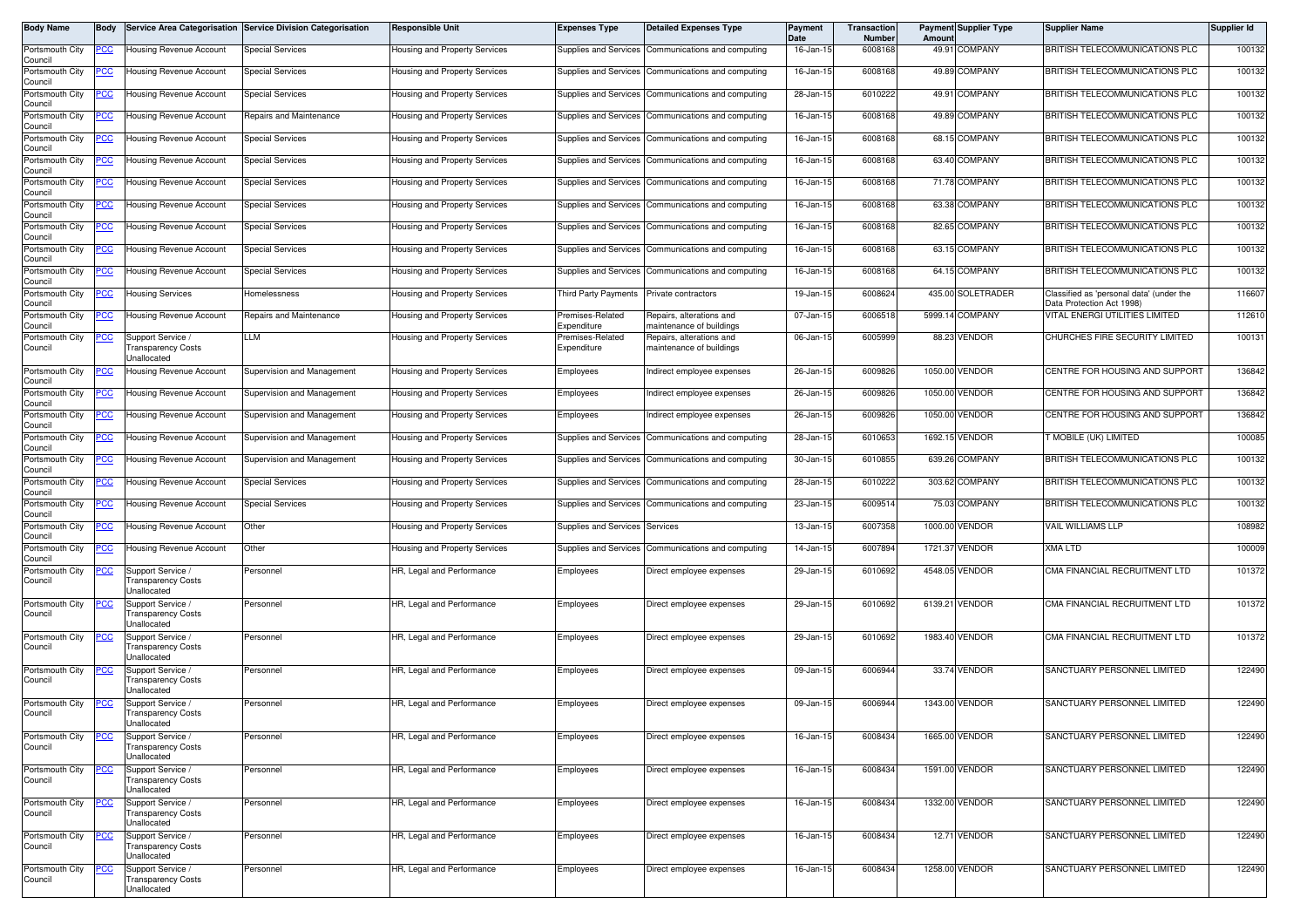| Body Name                  | <b>Body</b> |                                                               | Service Area Categorisation Service Division Categorisation | <b>Responsible Unit</b>              | <b>Expenses Type</b>                 | <b>Detailed Expenses Type</b>                        | Payment<br>Date | Transaction<br>Number | Amount | <b>Payment Supplier Type</b> | <b>Supplier Name</b>                                                  | Supplier Id |
|----------------------------|-------------|---------------------------------------------------------------|-------------------------------------------------------------|--------------------------------------|--------------------------------------|------------------------------------------------------|-----------------|-----------------------|--------|------------------------------|-----------------------------------------------------------------------|-------------|
| Portsmouth City<br>Council | <u>PCC</u>  | Housing Revenue Account                                       | <b>Special Services</b>                                     | lousing and Property Services        | Supplies and Services                | Communications and computing                         | 16-Jan-15       | 6008168               |        | 49.91 COMPANY                | BRITISH TELECOMMUNICATIONS PLC                                        | 100132      |
| Portsmouth City<br>Council | PСC         | Housing Revenue Account                                       | <b>Special Services</b>                                     | Housing and Property Services        | Supplies and Services                | Communications and computing                         | 16-Jan-15       | 6008168               |        | 49.89 COMPANY                | BRITISH TELECOMMUNICATIONS PLC                                        | 100132      |
| Portsmouth City<br>Council | CC          | Housing Revenue Account                                       | Special Services                                            | lousing and Property Services        | Supplies and Services                | Communications and computing                         | 28-Jan-15       | 6010222               |        | 49.91 COMPANY                | BRITISH TELECOMMUNICATIONS PLC                                        | 100132      |
| Portsmouth City<br>Council | <u>PCC</u>  | Housing Revenue Account                                       | Repairs and Maintenance                                     | Housing and Property Services        | Supplies and Services                | Communications and computing                         | 16-Jan-15       | 6008168               |        | 49.89 COMPANY                | BRITISH TELECOMMUNICATIONS PLC                                        | 100132      |
| Portsmouth City<br>Council | <u>cc</u>   | <b>Housing Revenue Account</b>                                | <b>Special Services</b>                                     | Housing and Property Services        | Supplies and Services                | Communications and computing                         | 16-Jan-1        | 6008168               |        | 68.15 COMPANY                | BRITISH TELECOMMUNICATIONS PLC                                        | 100132      |
| Portsmouth City<br>Council | <u>PCC</u>  | Housing Revenue Account                                       | <b>Special Services</b>                                     | Housing and Property Services        | Supplies and Services                | Communications and computing                         | 16-Jan-15       | 6008168               |        | 63.40 COMPANY                | BRITISH TELECOMMUNICATIONS PLC                                        | 100132      |
| Portsmouth City<br>Council |             | Housing Revenue Account                                       | <b>Special Services</b>                                     | <b>Housing and Property Services</b> | Supplies and Services                | Communications and computing                         | 16-Jan-15       | 6008168               |        | 71.78 COMPANY                | BRITISH TELECOMMUNICATIONS PLC                                        | 100132      |
| Portsmouth City<br>Council | <u>PCC</u>  | <b>Housing Revenue Account</b>                                | <b>Special Services</b>                                     | Housing and Property Services        | Supplies and Services                | Communications and computing                         | 16-Jan-15       | 6008168               |        | 63.38 COMPANY                | BRITISH TELECOMMUNICATIONS PLC                                        | 100132      |
| Portsmouth City<br>Council | 'CC         | <b>Housing Revenue Account</b>                                | <b>Special Services</b>                                     | Housing and Property Services        | Supplies and Services                | Communications and computing                         | 16-Jan-15       | 6008168               |        | 82.65 COMPANY                | BRITISH TELECOMMUNICATIONS PLC                                        | 100132      |
| Portsmouth City<br>Council | cс          | <b>Housing Revenue Account</b>                                | <b>Special Services</b>                                     | Housing and Property Services        | <b>Supplies and Services</b>         | Communications and computing                         | 16-Jan-15       | 6008168               |        | 63.15 COMPANY                | BRITISH TELECOMMUNICATIONS PLC                                        | 100132      |
| Portsmouth City<br>Council | <u>'CC</u>  | Housing Revenue Account                                       | <b>Special Services</b>                                     | Housing and Property Services        | Supplies and Services                | Communications and computing                         | 16-Jan-15       | 6008168               |        | 64.15 COMPANY                | BRITISH TELECOMMUNICATIONS PLC                                        | 100132      |
| Portsmouth City            | <u>PCC</u>  | <b>Housing Services</b>                                       | Homelessness                                                | Housing and Property Services        | Third Party Payments                 | Private contractors                                  | 19-Jan-15       | 6008624               |        | 435.00 SOLETRADER            | Classified as 'personal data' (under the<br>Data Protection Act 1998) | 116607      |
| Council<br>Portsmouth City | <u>CC </u>  | Housing Revenue Account                                       | Repairs and Maintenance                                     | lousing and Property Services        | remises-Related<br><i>xpenditure</i> | Repairs, alterations and<br>naintenance of buildings | 07-Jan-15       | 6006518               |        | 5999.14 COMPANY              | VITAL ENERGI UTILITIES LIMITED                                        | 112610      |
| Council<br>Portsmouth City | <u>'CC</u>  | Support Service /                                             | LM.                                                         | Housing and Property Services        | remises-Related                      | Repairs, alterations and                             | 06-Jan-15       | 6005999               |        | 88.23 VENDOR                 | CHURCHES FIRE SECURITY LIMITED                                        | 100131      |
| Council                    |             | ransparency Costs<br>Jnallocated                              |                                                             |                                      | Expenditure                          | naintenance of buildings                             |                 |                       |        |                              |                                                                       |             |
| Portsmouth City<br>Council |             | Housing Revenue Account                                       | Supervision and Management                                  | Housing and Property Services        | Employees                            | Indirect employee expenses                           | 26-Jan-15       | 6009826               |        | 1050.00 VENDOR               | CENTRE FOR HOUSING AND SUPPORT                                        | 136842      |
| Portsmouth City<br>Council | 'CC         | <b>Housing Revenue Account</b>                                | Supervision and Management                                  | Housing and Property Services        | Employees                            | Indirect employee expenses                           | 26-Jan-15       | 6009826               |        | 1050.00 VENDOR               | CENTRE FOR HOUSING AND SUPPORT                                        | 136842      |
| Portsmouth City<br>Council |             | <b>Housing Revenue Account</b>                                | Supervision and Management                                  | Housing and Property Services        | Employees                            | Indirect employee expenses                           | 26-Jan-15       | 6009826               |        | 1050.00 VENDOR               | CENTRE FOR HOUSING AND SUPPORT                                        | 136842      |
| Portsmouth City<br>Council | <u>'CC</u>  | Housing Revenue Account                                       | Supervision and Management                                  | Housing and Property Services        | Supplies and Services                | Communications and computing                         | 28-Jan-15       | 6010653               |        | 1692.15 VENDOR               | T MOBILE (UK) LIMITED                                                 | 100085      |
| Portsmouth City<br>Council |             | Housing Revenue Account                                       | Supervision and Management                                  | Housing and Property Services        | Supplies and Services                | Communications and computing                         | 30-Jan-15       | 6010855               |        | 639.26 COMPANY               | BRITISH TELECOMMUNICATIONS PLC                                        | 100132      |
| Portsmouth City<br>Council | <u>CC</u>   | Housing Revenue Account                                       | <b>Special Services</b>                                     | Housing and Property Services        | Supplies and Services                | Communications and computing                         | 28-Jan-15       | 6010222               |        | 303.62 COMPANY               | BRITISH TELECOMMUNICATIONS PLC                                        | 100132      |
| Portsmouth City<br>Council | <u>сс</u>   | Housing Revenue Account                                       | <b>Special Services</b>                                     | Housing and Property Services        | Supplies and Services                | Communications and computing                         | 23-Jan-15       | 6009514               |        | 75.03 COMPANY                | BRITISH TELECOMMUNICATIONS PLC                                        | 100132      |
| Portsmouth City<br>Council | <u>PCC</u>  | <b>Housing Revenue Account</b>                                | Other                                                       | Housing and Property Services        | Supplies and Services                | Services                                             | 13-Jan-15       | 6007358               |        | 1000.00 VENDOR               | <b>VAIL WILLIAMS LLP</b>                                              | 108982      |
| Portsmouth City<br>Council | <u>'СС</u>  | Housing Revenue Account                                       | Other                                                       | Housing and Property Services        | Supplies and Services                | Communications and computing                         | 14-Jan-1!       | 6007894               |        | 1721.37 VENDOR               | XMA LTD                                                               | 100009      |
| Portsmouth City<br>Council | <u>PCC</u>  | Support Service /<br>ransparency Costs<br>Jnallocated         | Personnel                                                   | HR, Legal and Performance            | Employees                            | Direct employee expenses                             | 29-Jan-15       | 6010692               |        | 4548.05 VENDOR               | CMA FINANCIAL RECRUITMENT LTD                                         | 101372      |
| Portsmouth City<br>Council | <u>cc</u>   | Support Service /<br><b>Transparency Costs</b>                | Personnel                                                   | HR, Legal and Performance            | Employees                            | Direct employee expenses                             | 29-Jan-15       | 6010692               |        | 6139.21 VENDOR               | CMA FINANCIAL RECRUITMENT LTD                                         | 101372      |
| Portsmouth City            | <u>'CC</u>  | Jnallocated<br>Support Service /                              | Personnel                                                   | HR, Legal and Performance            | Employees                            | Direct employee expenses                             | 29-Jan-15       | 6010692               |        | 1983.40 VENDOR               | CMA FINANCIAL RECRUITMENT LTD                                         | 101372      |
| Council                    |             | ransparency Costs<br>Jnallocated                              |                                                             |                                      |                                      |                                                      |                 |                       |        |                              |                                                                       |             |
| Portsmouth City<br>Council | <u>PCC </u> | Support Service /<br><b>Transparency Costs</b><br>Jnallocated | Personnel                                                   | HR, Legal and Performance            | Employees                            | Direct employee expenses                             | 09-Jan-15       | 6006944               |        | 33.74 VENDOR                 | SANCTUARY PERSONNEL LIMITED                                           | 122490      |
| Portsmouth City<br>Council | <u>PCC </u> | Support Service /<br><b>Transparency Costs</b><br>Unallocated | Personnel                                                   | HR, Legal and Performance            | Employees                            | Direct employee expenses                             | 09-Jan-15       | 6006944               |        | 1343.00 VENDOR               | SANCTUARY PERSONNEL LIMITED                                           | 122490      |
| Portsmouth City<br>Council | <u>PCC</u>  | Support Service /<br>Fransparency Costs<br>Jnallocated        | Personnel                                                   | HR, Legal and Performance            | Employees                            | Direct employee expenses                             | 16-Jan-15       | 6008434               |        | 1665.00 VENDOR               | SANCTUARY PERSONNEL LIMITED                                           | 122490      |
| Portsmouth City<br>Council | <u>CC </u>  | Support Service /<br>ransparency Costs<br>Jnallocated         | Personnel                                                   | HR, Legal and Performance            | Employees                            | Direct employee expenses                             | 16-Jan-15       | 6008434               |        | 1591.00 VENDOR               | SANCTUARY PERSONNEL LIMITED                                           | 122490      |
| Portsmouth City<br>Council | <u>PCC</u>  | Support Service /<br>ransparency Costs<br>Jnallocated         | Personnel                                                   | HR, Legal and Performance            | imployees                            | Direct employee expenses                             | 16-Jan-15       | 6008434               |        | 1332.00 VENDOR               | SANCTUARY PERSONNEL LIMITED                                           | 122490      |
| Portsmouth City<br>Council |             | Support Service /<br>ransparency Costs<br>Jnallocated         | Personnel                                                   | HR, Legal and Performance            | Employees                            | Direct employee expenses                             | 16-Jan-15       | 6008434               |        | 12.71 VENDOR                 | SANCTUARY PERSONNEL LIMITED                                           | 122490      |
| Portsmouth City<br>Council | <u>PCC</u>  | Support Service /<br>ransparency Costs<br>Jnallocated         | Personnel                                                   | HR, Legal and Performance            | Employees                            | Direct employee expenses                             | 16-Jan-15       | 6008434               |        | 1258.00 VENDOR               | SANCTUARY PERSONNEL LIMITED                                           | 122490      |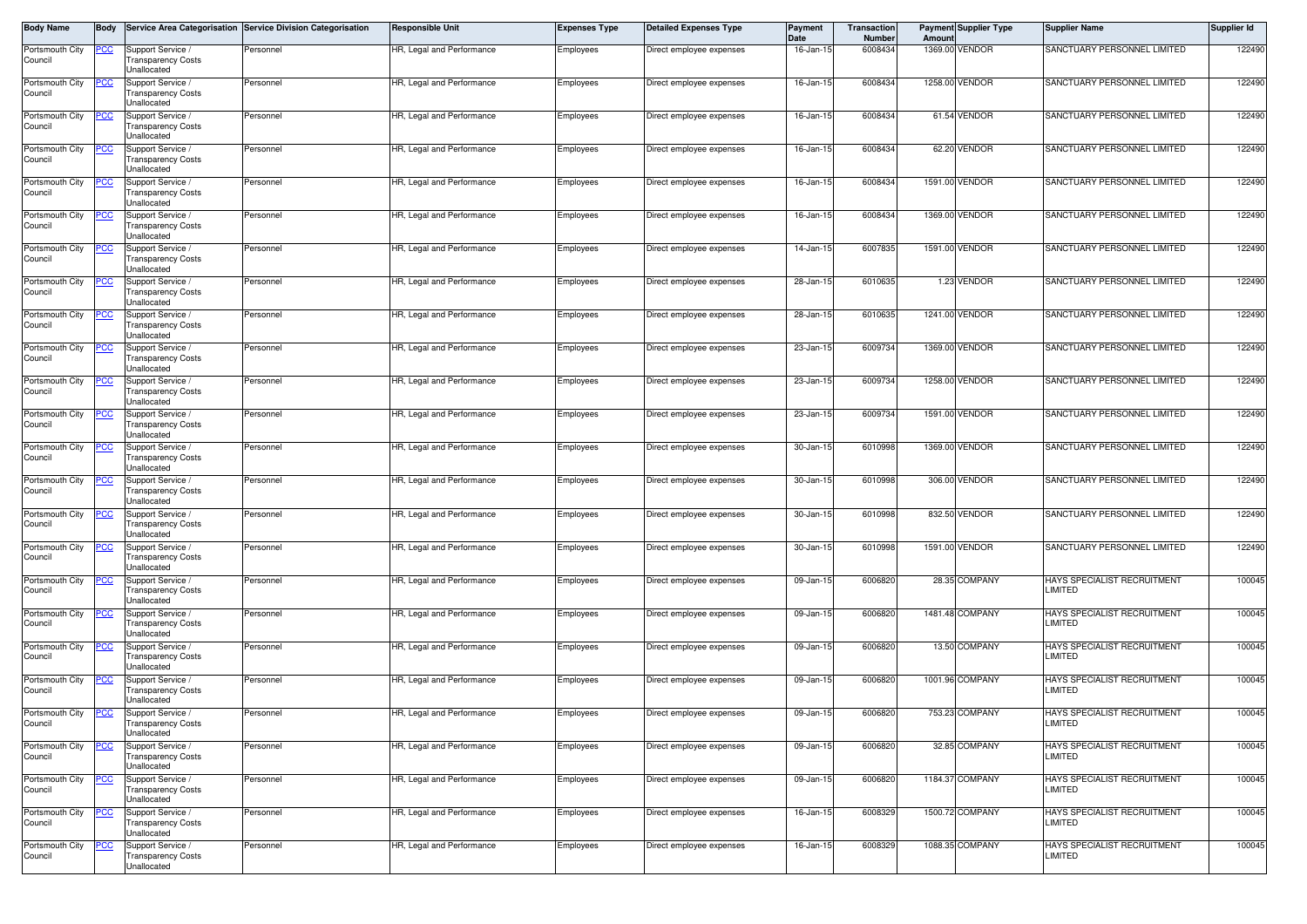| Body Name                  | <b>Body</b> |                                                               | Service Area Categorisation Service Division Categorisation | Responsible Unit          | <b>Expenses Type</b> | <b>Detailed Expenses Type</b> | Payment<br>Date | <b>Transaction</b><br><b>Number</b> | Amoun | <b>Payment Supplier Type</b> | <b>Supplier Name</b>                          | Supplier Id |
|----------------------------|-------------|---------------------------------------------------------------|-------------------------------------------------------------|---------------------------|----------------------|-------------------------------|-----------------|-------------------------------------|-------|------------------------------|-----------------------------------------------|-------------|
| Portsmouth City<br>Council | <u>PCC</u>  | Support Service<br><b>Transparency Costs</b><br>Unallocated   | Personnel                                                   | HR, Legal and Performance | Employees            | Direct employee expenses      | 16-Jan-15       | 6008434                             |       | 1369.00 VENDOR               | SANCTUARY PERSONNEL LIMITED                   | 122490      |
| Portsmouth City<br>Council | PCC         | Support Service /<br><b>Transparency Costs</b><br>Unallocated | Personnel                                                   | HR, Legal and Performance | Employees            | Direct employee expenses      | 16-Jan-15       | 6008434                             |       | 1258.00 VENDOR               | SANCTUARY PERSONNEL LIMITED                   | 122490      |
| Portsmouth City<br>Council | <u> РСС</u> | Support Service /<br>Fransparency Costs<br>Jnallocated        | Personnel                                                   | HR, Legal and Performance | Employees            | Direct employee expenses      | 16-Jan-15       | 6008434                             |       | 61.54 VENDOR                 | SANCTUARY PERSONNEL LIMITED                   | 122490      |
| Portsmouth City<br>Council | PСC         | Support Service<br><b>Transparency Costs</b><br>Unallocated   | Personnel                                                   | HR, Legal and Performance | Employees            | Direct employee expenses      | 16-Jan-15       | 6008434                             |       | 62.20 VENDOR                 | SANCTUARY PERSONNEL LIMITED                   | 122490      |
| Portsmouth City<br>Council | <u>PCC</u>  | Support Service /<br><b>Transparency Costs</b><br>Unallocated | Personnel                                                   | HR, Legal and Performance | Employees            | Direct employee expenses      | 16-Jan-15       | 6008434                             |       | 1591.00 VENDOR               | SANCTUARY PERSONNEL LIMITED                   | 122490      |
| Portsmouth City<br>Council | 'CC         | Support Service /<br><b>Transparency Costs</b><br>Unallocated | Personnel                                                   | HR, Legal and Performance | Employees            | Direct employee expenses      | 16-Jan-15       | 6008434                             |       | 1369.00 VENDOR               | SANCTUARY PERSONNEL LIMITED                   | 122490      |
| Portsmouth City<br>Council |             | Support Service /<br><b>Transparency Costs</b><br>Unallocated | Personnel                                                   | HR, Legal and Performance | Employees            | Direct employee expenses      | 14-Jan-15       | 6007835                             |       | 1591.00 VENDOR               | SANCTUARY PERSONNEL LIMITED                   | 122490      |
| Portsmouth City<br>Council | 'CC         | Support Service /<br><b>Transparency Costs</b><br>Unallocated | Personnel                                                   | HR, Legal and Performance | Employees            | Direct employee expenses      | 28-Jan-15       | 6010635                             |       | 1.23 VENDOR                  | SANCTUARY PERSONNEL LIMITED                   | 122490      |
| Portsmouth City<br>Council |             | Support Service<br><b>Transparency Costs</b><br>Unallocated   | Personnel                                                   | HR, Legal and Performance | Employees            | Direct employee expenses      | 28-Jan-15       | 6010635                             |       | 1241.00 VENDOR               | SANCTUARY PERSONNEL LIMITED                   | 122490      |
| Portsmouth City<br>Council | PСC         | Support Service /<br><b>Transparency Costs</b><br>Unallocated | Personnel                                                   | HR, Legal and Performance | Employees            | Direct employee expenses      | 23-Jan-15       | 6009734                             |       | 1369.00 VENDOR               | SANCTUARY PERSONNEL LIMITED                   | 122490      |
| Portsmouth City<br>Council |             | Support Service<br><b>Transparency Costs</b><br>Unallocated   | Personnel                                                   | HR, Legal and Performance | Employees            | Direct employee expenses      | 23-Jan-15       | 6009734                             |       | 1258.00 VENDOR               | SANCTUARY PERSONNEL LIMITED                   | 122490      |
| Portsmouth City<br>Council | <u>'CC</u>  | Support Service /<br>ransparency Costs<br>Jnallocated         | Personnel                                                   | HR, Legal and Performance | Employees            | Direct employee expenses      | 23-Jan-15       | 6009734                             |       | 1591.00 VENDOR               | SANCTUARY PERSONNEL LIMITED                   | 122490      |
| Portsmouth City<br>Council | сc          | Support Service /<br><b>Transparency Costs</b><br>Unallocated | Personnel                                                   | HR, Legal and Performance | Employees            | Direct employee expenses      | 30-Jan-15       | 6010998                             |       | 1369.00 VENDOR               | SANCTUARY PERSONNEL LIMITED                   | 122490      |
| Portsmouth City<br>Council | ပင          | Support Service /<br><b>Transparency Costs</b><br>Unallocated | Personnel                                                   | HR, Legal and Performance | Employees            | Direct employee expenses      | 30-Jan-15       | 6010998                             |       | 306.00 VENDOR                | SANCTUARY PERSONNEL LIMITED                   | 122490      |
| Portsmouth City<br>Council |             | Support Service /<br><b>Transparency Costs</b><br>Unallocated | Personnel                                                   | HR, Legal and Performance | Employees            | Direct employee expenses      | 30-Jan-15       | 6010998                             |       | 832.50 VENDOR                | SANCTUARY PERSONNEL LIMITED                   | 122490      |
| Portsmouth City<br>Council |             | Support Service /<br>Transparency Costs<br>Unallocated        | Personnel                                                   | HR, Legal and Performance | Employees            | Direct employee expenses      | 30-Jan-15       | 6010998                             |       | 1591.00 VENDOR               | SANCTUARY PERSONNEL LIMITED                   | 122490      |
| Portsmouth City<br>Council | °СС         | Support Service /<br><b>Transparency Costs</b><br>Unallocated | Personnel                                                   | HR, Legal and Performance | Employees            | Direct employee expenses      | 09-Jan-15       | 6006820                             |       | 28.35 COMPANY                | HAYS SPECIALIST RECRUITMENT<br>LIMITED        | 100045      |
| Portsmouth City<br>Council |             | Support Service<br><b>Transparency Costs</b><br>Unallocated   | Personnel                                                   | HR, Legal and Performance | Employees            | Direct employee expenses      | 09-Jan-15       | 6006820                             |       | 1481.48 COMPANY              | <b>HAYS SPECIALIST RECRUITMENT</b><br>LIMITED | 100045      |
| Portsmouth City<br>Council |             | Support Service /<br><b>Transparency Costs</b><br>Jnallocated | Personnel                                                   | HR, Legal and Performance | Employees            | Direct employee expenses      | 09-Jan-15       | 6006820                             |       | 13.50 COMPANY                | HAYS SPECIALIST RECRUITMENT<br>LIMITED        | 100045      |
| Portsmouth City<br>Council |             | Support Service<br>Transparency Costs<br>Unallocated          | Personnel                                                   | HR, Legal and Performance | Employees            | Direct employee expenses      | 09-Jan-15       | 600682                              |       | 1001.96 COMPANY              | HAYS SPECIALIST RECRUITMENT<br>LIMITED        | 100045      |
| Portsmouth City<br>COUNCIL | <u>PCC</u>  | Support Service /<br>ransparency Costs<br>Unallocated         | Personnel                                                   | HR, Legal and Performance | Employees            | Direct employee expenses      | 09-Jan-15       | 6006820                             |       | 753.23 COMPANY               | HAYS SPECIALIST RECRUITMENT<br>LIMITED        | 100045      |
| Portsmouth City<br>Council | <u>PCC</u>  | Support Service /<br><b>Transparency Costs</b><br>Unallocated | Personnel                                                   | HR, Legal and Performance | Employees            | Direct employee expenses      | 09-Jan-15       | 6006820                             |       | 32.85 COMPANY                | HAYS SPECIALIST RECRUITMENT<br><b>LIMITED</b> | 100045      |
| Portsmouth City<br>Council |             | Support Service /<br><b>Transparency Costs</b><br>Unallocated | Personnel                                                   | HR, Legal and Performance | Employees            | Direct employee expenses      | 09-Jan-15       | 6006820                             |       | 1184.37 COMPANY              | HAYS SPECIALIST RECRUITMENT<br>LIMITED        | 100045      |
| Portsmouth City<br>Council | <u>PCC</u>  | Support Service /<br><b>Transparency Costs</b><br>Unallocated | Personnel                                                   | HR, Legal and Performance | Employees            | Direct employee expenses      | 16-Jan-15       | 6008329                             |       | 1500.72 COMPANY              | HAYS SPECIALIST RECRUITMENT<br>LIMITED        | 100045      |
| Portsmouth City<br>Council |             | Support Service /<br><b>Transparency Costs</b><br>Unallocated | Personnel                                                   | HR, Legal and Performance | Employees            | Direct employee expenses      | 16-Jan-15       | 6008329                             |       | 1088.35 COMPANY              | HAYS SPECIALIST RECRUITMENT<br>LIMITED        | 100045      |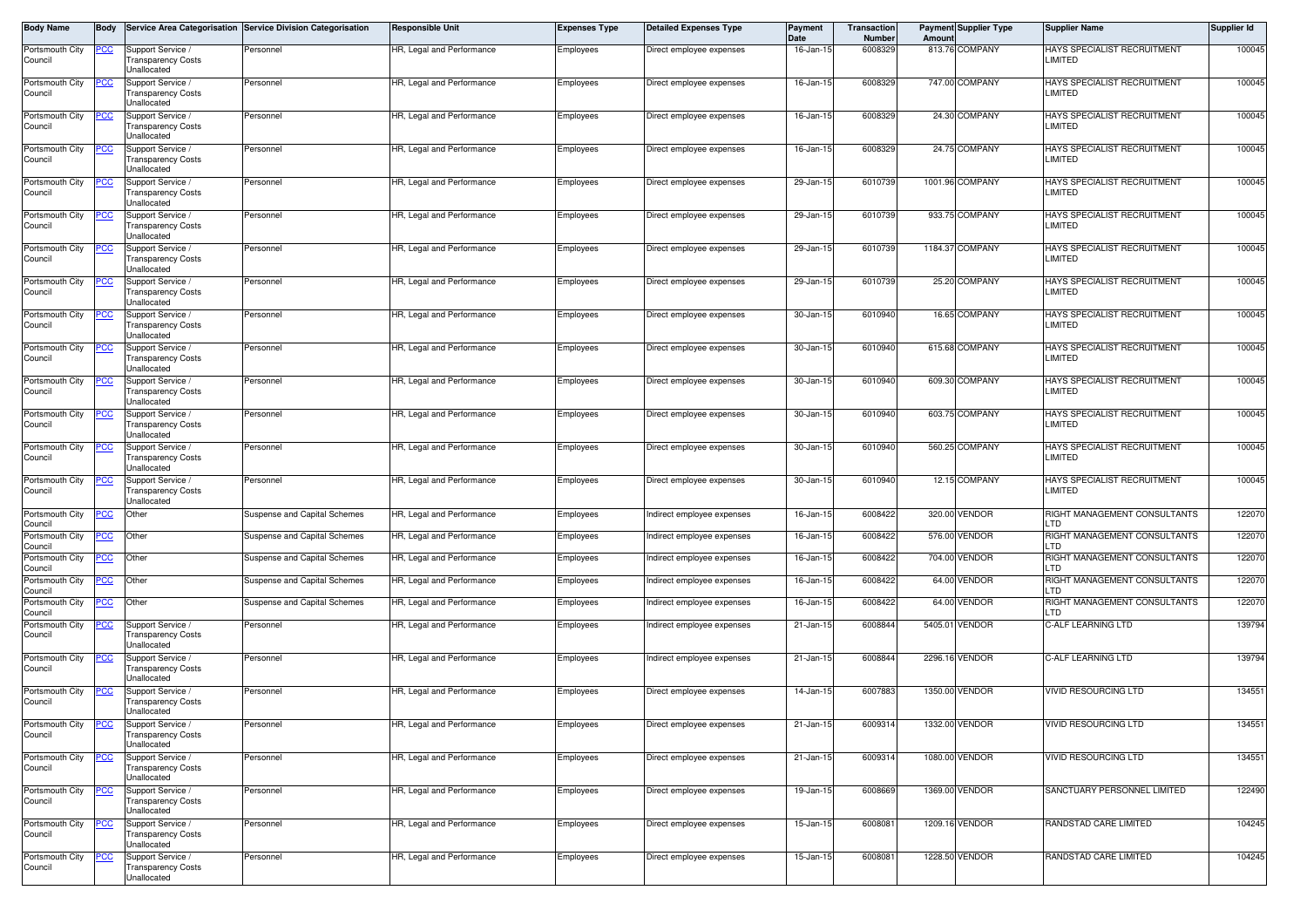| Body Name                  | <b>Body</b> |                                                               | Service Area Categorisation Service Division Categorisation | <b>Responsible Unit</b>   | <b>Expenses Type</b> | <b>Detailed Expenses Type</b> | Payment<br>Date | Transaction<br><b>Number</b> | Amount | <b>Payment Supplier Type</b> | Supplier Name                             | Supplier Id |
|----------------------------|-------------|---------------------------------------------------------------|-------------------------------------------------------------|---------------------------|----------------------|-------------------------------|-----------------|------------------------------|--------|------------------------------|-------------------------------------------|-------------|
| Portsmouth City<br>Council | <u>PCC</u>  | Support Service /<br><b>Transparency Costs</b><br>Unallocated | Personnel                                                   | HR, Legal and Performance | Employees            | Direct employee expenses      | 16-Jan-15       | 6008329                      |        | 813.76 COMPANY               | HAYS SPECIALIST RECRUITMENT<br>LIMITED    | 100045      |
| Portsmouth City<br>Council | PСC         | Support Service<br><b>Transparency Costs</b><br>Unallocated   | Personnel                                                   | HR, Legal and Performance | Employees            | Direct employee expenses      | 16-Jan-15       | 6008329                      |        | 747.00 COMPANY               | HAYS SPECIALIST RECRUITMENT<br>LIMITED    | 100045      |
| Portsmouth City<br>Council |             | Support Service /<br>ransparency Costs<br>Jnallocated         | Personnel                                                   | HR, Legal and Performance | Employees            | Direct employee expenses      | 16-Jan-15       | 6008329                      |        | 24.30 COMPANY                | HAYS SPECIALIST RECRUITMENT<br>LIMITED    | 100045      |
| Portsmouth City<br>Council | сc          | Support Service<br><b>Transparency Costs</b><br>Unallocated   | Personnel                                                   | HR, Legal and Performance | Employees            | Direct employee expenses      | $16 - Jan-1$    | 6008329                      |        | 24.75 COMPANY                | HAYS SPECIALIST RECRUITMENT<br>LIMITED    | 100045      |
| Portsmouth City<br>Council | <u>PCC</u>  | Support Service /<br>ransparency Costs<br>Jnallocated         | Personnel                                                   | HR, Legal and Performance | Employees            | Direct employee expenses      | 29-Jan-15       | 6010739                      |        | 1001.96 COMPANY              | HAYS SPECIALIST RECRUITMENT<br>LIMITED    | 100045      |
| Portsmouth City<br>Council | 'CC         | Support Service /<br><b>Transparency Costs</b><br>Unallocated | Personnel                                                   | HR, Legal and Performance | Employees            | Direct employee expenses      | 29-Jan-15       | 6010739                      |        | 933.75 COMPANY               | HAYS SPECIALIST RECRUITMENT<br>LIMITED    | 100045      |
| Portsmouth City<br>Council |             | Support Service /<br>ransparency Costs<br>Jnallocated         | Personnel                                                   | HR, Legal and Performance | Employees            | Direct employee expenses      | 29-Jan-15       | 6010739                      |        | 1184.37 COMPANY              | HAYS SPECIALIST RECRUITMENT<br>LIMITED    | 100045      |
| Portsmouth City<br>Council | 'CC         | Support Service /<br><b>Transparency Costs</b><br>Unallocated | Personnel                                                   | HR, Legal and Performance | Employees            | Direct employee expenses      | 29-Jan-1        | 6010739                      |        | 25.20 COMPANY                | HAYS SPECIALIST RECRUITMENT<br>LIMITED    | 100045      |
| Portsmouth City<br>Council |             | Support Service<br><b>Transparency Costs</b><br>Unallocated   | Personnel                                                   | HR, Legal and Performance | Employees            | Direct employee expenses      | 30-Jan-15       | 6010940                      |        | 16.65 COMPANY                | HAYS SPECIALIST RECRUITMENT<br>LIMITED    | 100045      |
| Portsmouth City<br>Council | PCC         | Support Service<br><b>Transparency Costs</b><br>Jnallocated   | Personnel                                                   | HR, Legal and Performance | Employees            | Direct employee expenses      | 30-Jan-1        | 6010940                      |        | 615.68 COMPANY               | HAYS SPECIALIST RECRUITMENT<br>LIMITED    | 100045      |
| Portsmouth City<br>Council |             | Support Service<br><b>Transparency Costs</b><br>Unallocated   | Personnel                                                   | HR, Legal and Performance | Employees            | Direct employee expenses      | 30-Jan-15       | 6010940                      |        | 609.30 COMPANY               | HAYS SPECIALIST RECRUITMENT<br>LIMITED    | 100045      |
| Portsmouth City<br>Council | <u>'CC</u>  | Support Service /<br>ransparency Costs<br>Jnallocated         | Personnel                                                   | HR, Legal and Performance | Employees            | Direct employee expenses      | 30-Jan-1        | 6010940                      |        | 603.75 COMPANY               | HAYS SPECIALIST RECRUITMENT<br>LIMITED    | 100045      |
| Portsmouth City<br>Council | сc          | Support Service /<br><b>Transparency Costs</b><br>Unallocated | Personnel                                                   | HR, Legal and Performance | Employees            | Direct employee expenses      | 30-Jan-1        | 6010940                      |        | 560.25 COMPANY               | HAYS SPECIALIST RECRUITMENT<br>LIMITED    | 100045      |
| Portsmouth City<br>Council | ပင          | Support Service /<br><b>Transparency Costs</b><br>Unallocated | Personnel                                                   | HR, Legal and Performance | Employees            | Direct employee expenses      | 30-Jan-15       | 6010940                      |        | 12.15 COMPANY                | HAYS SPECIALIST RECRUITMENT<br>LIMITED    | 100045      |
| Portsmouth City<br>Council | <u>cc</u>   | Other                                                         | Suspense and Capital Schemes                                | HR, Legal and Performance | Employees            | ndirect employee expenses     | 16-Jan-1!       | 6008422                      |        | 320.00 VENDOR                | RIGHT MANAGEMENT CONSULTANTS<br>חד ו      | 122070      |
| Portsmouth City<br>Council | PСC         | Other                                                         | Suspense and Capital Schemes                                | HR, Legal and Performance | Employees            | ndirect employee expenses     | 16-Jan-15       | 6008422                      |        | 576.00 VENDOR                | RIGHT MANAGEMENT CONSULTANTS<br>.TD       | 122070      |
| Portsmouth City<br>Council | <u>PCC</u>  | Other                                                         | Suspense and Capital Schemes                                | HR, Legal and Performance | Employees            | ndirect employee expenses     | 16-Jan-15       | 6008422                      |        | 704.00 VENDOR                | RIGHT MANAGEMENT CONSULTANTS<br>LTD       | 122070      |
| Portsmouth City<br>Council | cс          | Other                                                         | Suspense and Capital Schemes                                | HR, Legal and Performance | Employees            | ndirect employee expenses     | 16-Jan-1        | 6008422                      |        | 64.00 VENDOR                 | RIGHT MANAGEMENT CONSULTANTS<br><b>TD</b> | 122070      |
| Portsmouth City<br>Council | <u>PCC</u>  | Other                                                         | Suspense and Capital Schemes                                | HR, Legal and Performance | Employees            | ndirect employee expenses     | 16-Jan-15       | 6008422                      |        | 64.00 VENDOR                 | RIGHT MANAGEMENT CONSULTANTS<br>.TD       | 122070      |
| Portsmouth City<br>Council | <u>PCC</u>  | Support Service /<br><b>Transparency Costs</b><br>Unallocated | Personnel                                                   | HR, Legal and Performance | Employees            | ndirect employee expenses     | $21$ -Jan-15    | 6008844                      |        | 5405.01 VENDOR               | C-ALF LEARNING LTD                        | 139794      |
| Portsmouth City<br>Council | <u>CC </u>  | Support Service /<br>ransparency Costs<br>Jnallocated         | Personnel                                                   | HR, Legal and Performance | Employees            | ndirect employee expenses     | 21-Jan-15       | 6008844                      |        | 2296.16 VENDOR               | C-ALF LEARNING LTD                        | 139794      |
| Portsmouth City<br>Council | PСC         | Support Service /<br>Fransparency Costs<br>Unallocated        | Personnel                                                   | HR, Legal and Performance | Employees            | Direct employee expenses      | $14$ -Jan-1!    | 6007883                      |        | 1350.00 VENDOR               | VIVID RESOURCING LTD                      | 134551      |
| Portsmouth City<br>Council | <u>PCC</u>  | Support Service /<br><b>Transparency Costs</b><br>Unallocated | Personnel                                                   | HR, Legal and Pertormance | Employees            | Direct employee expenses      | 21-Jan-15       | 6009314                      |        | 1332.00 VENDOR               | /IVID RESOURCING LTD                      | 134551      |
| Portsmouth City<br>Council | <b>PCC</b>  | Support Service /<br><b>Transparency Costs</b><br>Unallocated | Personnel                                                   | HR, Legal and Performance | Employees            | Direct employee expenses      | 21-Jan-15       | 6009314                      |        | 1080.00 VENDOR               | VIVID RESOURCING LTD                      | 134551      |
| Portsmouth City<br>Council | ပင          | Support Service /<br><b>Transparency Costs</b><br>Unallocated | Personnel                                                   | HR, Legal and Performance | Employees            | Direct employee expenses      | 19-Jan-15       | 6008669                      |        | 1369.00 VENDOR               | SANCTUARY PERSONNEL LIMITED               | 122490      |
| Portsmouth City<br>Council | <u> РСС</u> | Support Service /<br><b>Transparency Costs</b><br>Unallocated | Personnel                                                   | HR, Legal and Performance | Employees            | Direct employee expenses      | 15-Jan-15       | 6008081                      |        | 1209.16 VENDOR               | RANDSTAD CARE LIMITED                     | 104245      |
| Portsmouth City<br>Council | <u>'CC</u>  | Support Service /<br><b>Transparency Costs</b><br>Unallocated | Personnel                                                   | HR, Legal and Performance | Employees            | Direct employee expenses      | 15-Jan-15       | 6008081                      |        | 1228.50 VENDOR               | RANDSTAD CARE LIMITED                     | 104245      |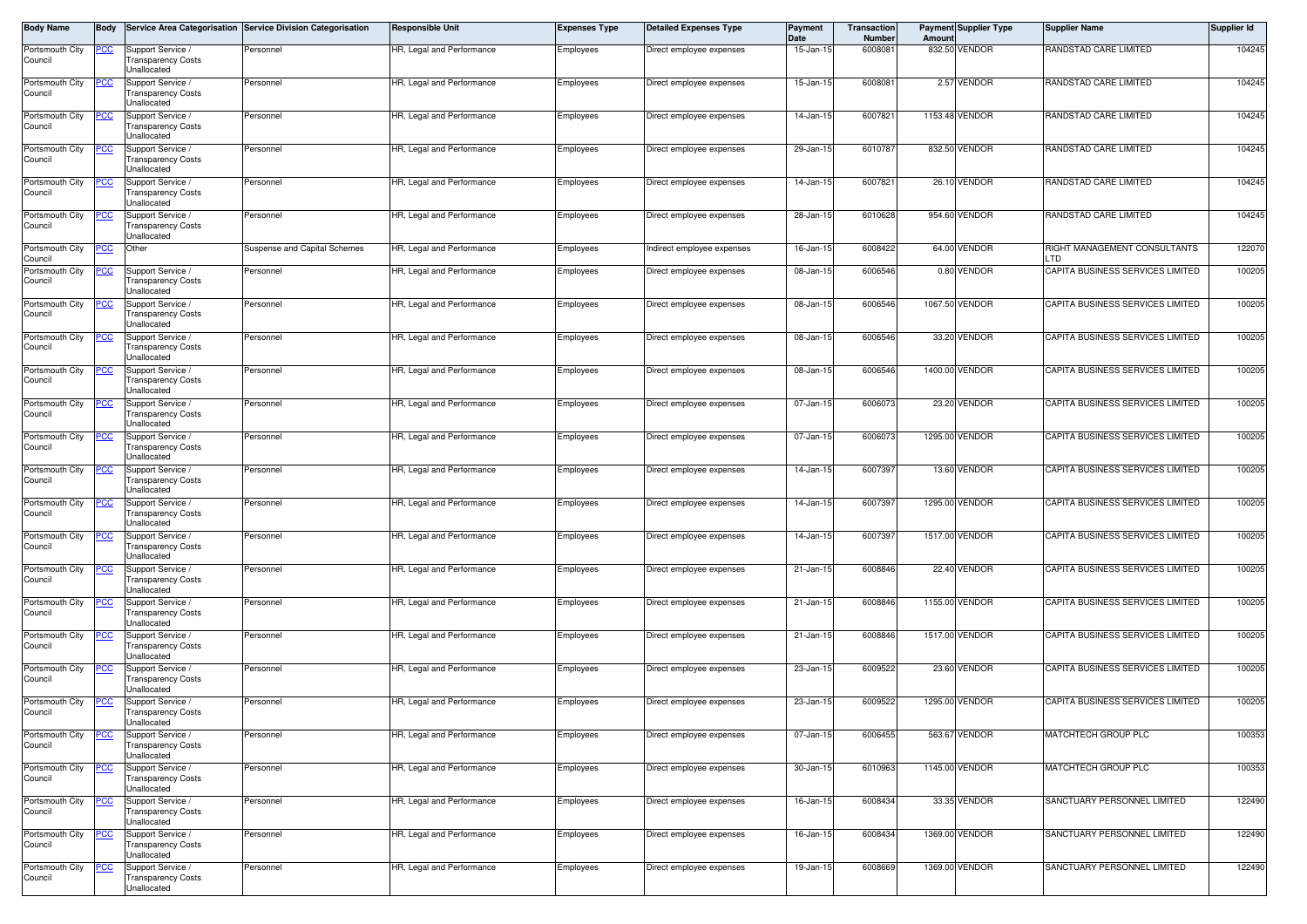| Body Name                  | Body       |                                                                    | Service Area Categorisation Service Division Categorisation | <b>Responsible Unit</b>   | <b>Expenses Type</b> | <b>Detailed Expenses Type</b> | Payment<br>Date | <b>Transaction</b><br>Number | Amount | <b>Payment Supplier Type</b> | <b>Supplier Name</b>                       | Supplier Id |
|----------------------------|------------|--------------------------------------------------------------------|-------------------------------------------------------------|---------------------------|----------------------|-------------------------------|-----------------|------------------------------|--------|------------------------------|--------------------------------------------|-------------|
| Portsmouth City<br>Council | <u>PCC</u> | Support Service<br>Transparency Costs<br>Unallocated               | Personnel                                                   | HR, Legal and Performance | Employees            | Direct employee expenses      | 15-Jan-15       | 600808                       |        | 832.50 VENDOR                | RANDSTAD CARE LIMITED                      | 104245      |
| Portsmouth City<br>Council |            | Support Service /<br>Transparency Costs<br>Unallocated             | Personnel                                                   | HR, Legal and Performance | Employees            | Direct employee expenses      | 15-Jan-1        | 600808                       |        | 2.57 VENDOR                  | RANDSTAD CARE LIMITED                      | 104245      |
| Portsmouth City<br>Council |            | Support Service /<br>Fransparency Costs<br><b>Jnallocated</b>      | Personnel                                                   | HR, Legal and Performance | Employees            | Direct employee expenses      | 14-Jan-1        | 6007821                      |        | 1153.48 VENDOR               | RANDSTAD CARE LIMITED                      | 104245      |
| Portsmouth City<br>Council | cс         | Support Service /<br>Transparency Costs<br>Unallocated             | Personnel                                                   | HR, Legal and Performance | Employees            | Direct employee expenses      | 29-Jan-1        | 601078                       |        | 832.50 VENDOR                | RANDSTAD CARE LIMITED                      | 104245      |
| Portsmouth City<br>Council |            | Support Service /<br>Transparency Costs<br>Unallocated             | Personnel                                                   | HR, Legal and Performance | Employees            | Direct employee expenses      | 14-Jan-15       | 6007821                      |        | 26.10 VENDOR                 | RANDSTAD CARE LIMITED                      | 104245      |
| Portsmouth City<br>Council | CС         | Support Service<br>Transparency Costs<br>Unallocated               | Personnel                                                   | HR, Legal and Performance | Employees            | Direct employee expenses      | 28-Jan-15       | 6010628                      |        | 954.60 VENDOR                | RANDSTAD CARE LIMITED                      | 104245      |
| Portsmouth City<br>Council | °СС        | Other                                                              | Suspense and Capital Schemes                                | HR, Legal and Performance | Employees            | Indirect employee expenses    | 16-Jan-15       | 6008422                      |        | 64.00 VENDOR                 | RIGHT MANAGEMENT CONSULTANTS<br><b>LTD</b> | 122070      |
| Portsmouth City<br>Council | <u>cc</u>  | Support Service /<br><b>Transparency Costs</b><br>Unallocated      | Personnel                                                   | HR, Legal and Performance | Employees            | Direct employee expenses      | 08-Jan-15       | 6006546                      |        | 0.80 VENDOR                  | CAPITA BUSINESS SERVICES LIMITED           | 100205      |
| Portsmouth City<br>Council |            | Support Service<br>Transparency Costs<br><b>Jnallocated</b>        | Personnel                                                   | HR, Legal and Performance | Employees            | Direct employee expenses      | 08-Jan-15       | 6006546                      |        | 1067.50 VENDOR               | CAPITA BUSINESS SERVICES LIMITED           | 100205      |
| Portsmouth City<br>Council | °СС        | Support Service<br>Transparency Costs<br>Unallocated               | Personnel                                                   | HR, Legal and Performance | Employees            | Direct employee expenses      | 08-Jan-1        | 6006546                      |        | 33.20 VENDOR                 | CAPITA BUSINESS SERVICES LIMITED           | 100205      |
| Portsmouth City<br>Council |            | Support Service<br><b>Transparency Costs</b><br>Unallocated        | Personnel                                                   | HR, Legal and Performance | Employees            | Direct employee expenses      | 08-Jan-15       | 6006546                      |        | 1400.00 VENDOR               | CAPITA BUSINESS SERVICES LIMITED           | 100205      |
| Portsmouth City<br>Council | сC         | Support Service<br><b>Transparency Costs</b><br>Unallocated        | Personnel                                                   | HR, Legal and Performance | Employees            | Direct employee expenses      | 07-Jan-15       | 600607                       |        | 23.20 VENDOR                 | CAPITA BUSINESS SERVICES LIMITED           | 100205      |
| Portsmouth City<br>Council |            | Support Service<br><b>Transparency Costs</b><br>Unallocated        | Personnel                                                   | HR, Legal and Performance | Employees            | Direct employee expenses      | 07-Jan-1        | 6006073                      |        | 1295.00 VENDOR               | CAPITA BUSINESS SERVICES LIMITED           | 100205      |
| Portsmouth City<br>Council |            | Support Service<br>Fransparency Costs<br><b>Jnallocated</b>        | Personnel                                                   | HR, Legal and Performance | Employees            | Direct employee expenses      | 14-Jan-15       | 6007397                      |        | 13.60 VENDOR                 | CAPITA BUSINESS SERVICES LIMITED           | 100205      |
| Portsmouth City<br>Council | cс         | Support Service /<br>Transparency Costs<br>Unallocated             | Personnel                                                   | HR, Legal and Performance | Employees            | Direct employee expenses      | 14-Jan-1        | 600739                       |        | 1295.00 VENDOR               | CAPITA BUSINESS SERVICES LIMITED           | 100205      |
| Portsmouth City<br>Council |            | Support Service /<br>Fransparency Costs<br>Unallocated             | Personnel                                                   | HR, Legal and Performance | Employees            | Direct employee expenses      | 14-Jan-15       | 6007397                      |        | 1517.00 VENDOR               | CAPITA BUSINESS SERVICES LIMITED           | 100205      |
| Portsmouth City<br>Council | SС         | Support Service<br>Transparency Costs<br>Unallocated               | Personnel                                                   | HR, Legal and Performance | Employees            | Direct employee expenses      | 21-Jan-15       | 6008846                      |        | 22.40 VENDOR                 | CAPITA BUSINESS SERVICES LIMITED           | 100205      |
| Portsmouth City<br>Council |            | Support Service<br>Transparency Costs<br>Unallocated               | Personnel                                                   | HR, Legal and Performance | Employees            | Direct employee expenses      | 21-Jan-15       | 6008846                      |        | 1155.00 VENDOR               | CAPITA BUSINESS SERVICES LIMITED           | 100205      |
| Portsmouth City<br>Council | <u>cc</u>  | Support Service /<br>Transparency Costs<br>Unallocated             | Personnel                                                   | HR, Legal and Performance | Employees            | Direct employee expenses      | 21-Jan-15       | 6008846                      |        | 1517.00 VENDOR               | CAPITA BUSINESS SERVICES LIMITED           | 100205      |
| Portsmouth City<br>Council | <u>CC</u>  | Support Service<br><b>Transparency Costs</b><br><b>Jnallocated</b> | Personnel                                                   | HR, Legal and Performance | Employees            | Direct employee expenses      | 23-Jan-15       | 6009522                      |        | 23.60 VENDOR                 | CAPITA BUSINESS SERVICES LIMITED           | 100205      |
| Portsmouth City<br>Council | <u>'CC</u> | Support Service /<br>Transparency Costs<br>Unallocated             | Personnel                                                   | HR, Legal and Performance | Employees            | Direct employee expenses      | 23-Jan-1        | 6009522                      |        | 1295.00 VENDOR               | CAPITA BUSINESS SERVICES LIMITED           | 100205      |
| Portsmouth City<br>Council | <u>'CC</u> | Support Service<br>Transparency Costs<br>Unallocated               | Personnel                                                   | HR, Legal and Performance | Employees            | Direct employee expenses      | 07-Jan-1        | 6006455                      |        | 563.67 VENDOR                | MATCHTECH GROUP PLC                        | 100353      |
| Portsmouth City<br>Council | <u>CC </u> | Support Service /<br><b>Fransparency Costs</b><br>Unallocated      | Personnel                                                   | HR, Legal and Performance | Employees            | Direct employee expenses      | 30-Jan-15       | 6010963                      |        | 1145.00 VENDOR               | MATCHTECH GROUP PLC                        | 100353      |
| Portsmouth City<br>Council | <u>'CC</u> | Support Service /<br><b>Transparency Costs</b><br>Unallocated      | Personnel                                                   | HR, Legal and Performance | Employees            | Direct employee expenses      | 16-Jan-15       | 6008434                      |        | 33.35 VENDOR                 | SANCTUARY PERSONNEL LIMITED                | 122490      |
| Portsmouth City<br>Council | <u>CC</u>  | Support Service /<br>Fransparency Costs<br><b>Jnallocated</b>      | Personnel                                                   | HR, Legal and Performance | Employees            | Direct employee expenses      | 16-Jan-15       | 6008434                      |        | 1369.00 VENDOR               | SANCTUARY PERSONNEL LIMITED                | 122490      |
| Portsmouth City<br>Council | <u>CC </u> | Support Service /<br>Transparency Costs<br><b>Jnallocated</b>      | Personnel                                                   | HR, Legal and Performance | Employees            | Direct employee expenses      | 19-Jan-15       | 6008669                      |        | 1369.00 VENDOR               | SANCTUARY PERSONNEL LIMITED                | 122490      |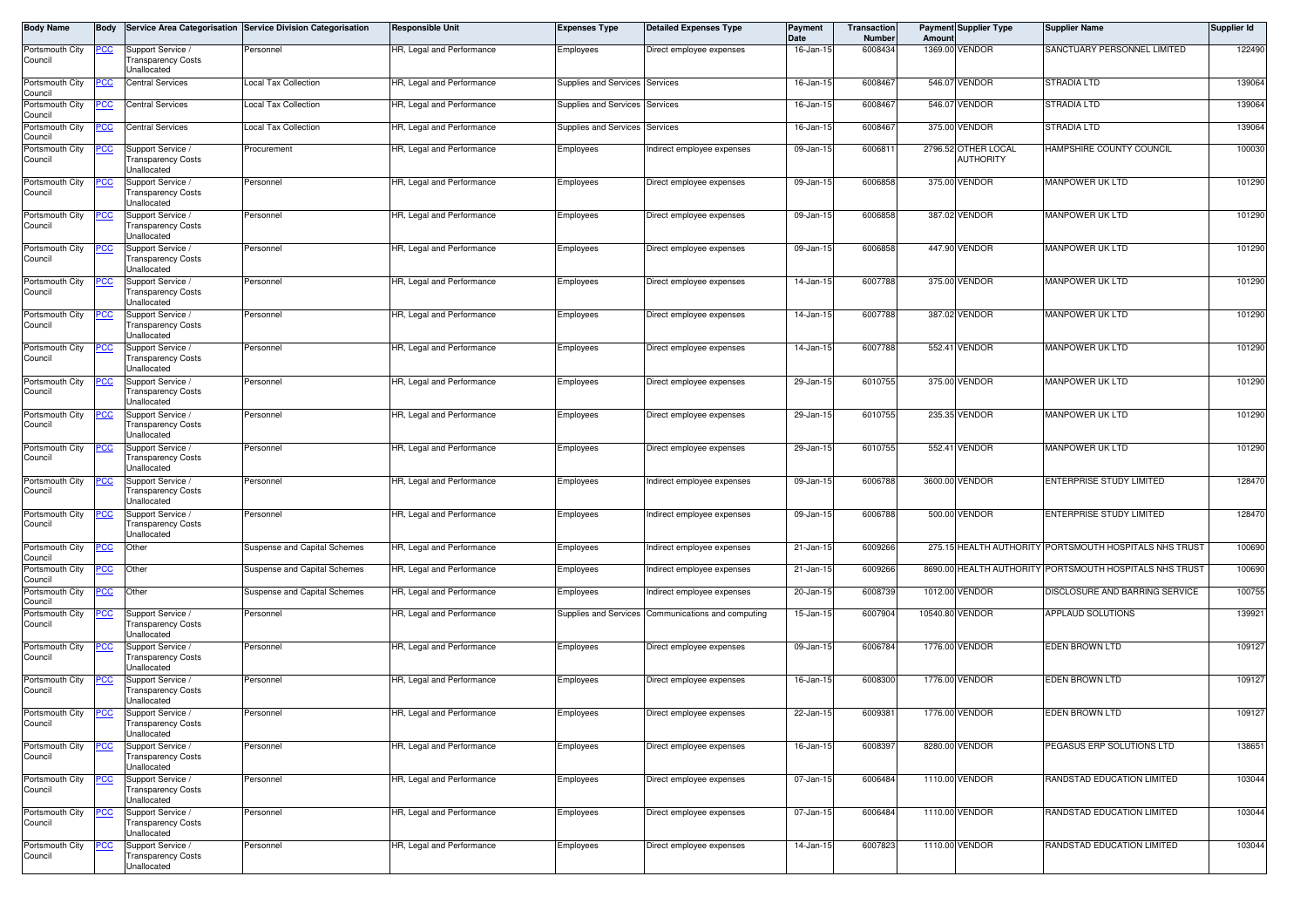| Body Name                  | <b>Body</b> |                                                                      | Service Area Categorisation Service Division Categorisation | <b>Responsible Unit</b>   | <b>Expenses Type</b>           | <b>Detailed Expenses Type</b>                      | Payment<br>Date | <b>Transaction</b><br>Number | Amount          | <b>Payment Supplier Type</b>            | <b>Supplier Name</b>                                    | Supplier Id |
|----------------------------|-------------|----------------------------------------------------------------------|-------------------------------------------------------------|---------------------------|--------------------------------|----------------------------------------------------|-----------------|------------------------------|-----------------|-----------------------------------------|---------------------------------------------------------|-------------|
| Portsmouth City<br>Council | <u>PCC</u>  | Support Service /<br><b>Transparency Costs</b><br><b>Jnallocated</b> | Personnel                                                   | HR, Legal and Performance | Employees                      | Direct employee expenses                           | 16-Jan-15       | 6008434                      |                 | 1369.00 VENDOR                          | SANCTUARY PERSONNEL LIMITED                             | 122490      |
| Portsmouth City<br>Council | сc          | <b>Central Services</b>                                              | Local Tax Collection                                        | HR, Legal and Performance | Supplies and Services          | Services                                           | 16-Jan-15       | 6008467                      |                 | 546.07 VENDOR                           | <b>STRADIA LTD</b>                                      | 139064      |
| Portsmouth City<br>Council | <u>PCC</u>  | <b>Central Services</b>                                              | Local Tax Collection                                        | HR, Legal and Performance | Supplies and Services          | Services                                           | 16-Jan-15       | 6008467                      | 546.07          | VENDOR                                  | STRADIA LTD                                             | 139064      |
| Portsmouth City<br>Council | <u>PCC</u>  | <b>Central Services</b>                                              | Local Tax Collection                                        | HR, Legal and Performance | Supplies and Services Services |                                                    | 16-Jan-15       | 6008467                      |                 | 375.00 VENDOR                           | <b>STRADIA LTD</b>                                      | 139064      |
| Portsmouth City<br>Council | <u>PCC </u> | Support Service /<br>Transparency Costs<br>Unallocated               | Procurement                                                 | HR, Legal and Performance | Employees                      | Indirect employee expenses                         | 09-Jan-15       | 6006811                      |                 | 2796.52 OTHER LOCAL<br><b>AUTHORITY</b> | HAMPSHIRE COUNTY COUNCIL                                | 100030      |
| Portsmouth City<br>Council | <u>PCC</u>  | Support Service /<br>Transparency Costs<br><b>Jnallocated</b>        | Personnel                                                   | HR, Legal and Performance | Employees                      | Direct employee expenses                           | 09-Jan-15       | 6006858                      |                 | 375.00 VENDOR                           | MANPOWER UK LTD                                         | 101290      |
| Portsmouth City<br>Council |             | Support Service /<br>Transparency Costs<br><b>Jnallocated</b>        | Personnel                                                   | HR, Legal and Performance | Employees                      | Direct employee expenses                           | 09-Jan-15       | 6006858                      |                 | 387.02 VENDOR                           | MANPOWER UK LTD                                         | 101290      |
| Portsmouth City<br>Council | <u>PCC</u>  | Support Service<br>ransparency Costs<br>Unallocated                  | Personnel                                                   | HR, Legal and Performance | Employees                      | Direct employee expenses                           | 09-Jan-15       | 6006858                      |                 | 447.90 VENDOR                           | MANPOWER UK LTD                                         | 101290      |
| Portsmouth City<br>Council | <u>PCC</u>  | Support Service /<br>Fransparency Costs<br><b>Jnallocated</b>        | Personnel                                                   | HR, Legal and Performance | Employees                      | Direct employee expenses                           | 14-Jan-15       | 6007788                      |                 | 375.00 VENDOR                           | MANPOWER UK LTD                                         | 101290      |
| Portsmouth City<br>Council |             | Support Service /<br><b>Transparency Costs</b><br><b>Jnallocated</b> | Personnel                                                   | HR, Legal and Performance | Employees                      | Direct employee expenses                           | 14-Jan-15       | 6007788                      |                 | 387.02 VENDOR                           | MANPOWER UK LTD                                         | 101290      |
| Portsmouth City<br>Council | <u>PCC</u>  | Support Service /<br>ransparency Costs<br>Jnallocated                | Personnel                                                   | HR, Legal and Performance | Employees                      | Direct employee expenses                           | 14-Jan-15       | 6007788                      |                 | 552.41 VENDOR                           | MANPOWER UK LTD                                         | 101290      |
| Portsmouth City<br>Council | <u>PCC</u>  | Support Service /<br><b>Transparency Costs</b><br>Unallocated        | Personnel                                                   | HR, Legal and Performance | Employees                      | Direct employee expenses                           | 29-Jan-15       | 6010755                      |                 | 375.00 VENDOR                           | MANPOWER UK LTD                                         | 101290      |
| Portsmouth City<br>Council | <u>PCC </u> | Support Service /<br><b>Fransparency Costs</b><br><b>Jnallocated</b> | Personnel                                                   | HR, Legal and Performance | Employees                      | Direct employee expenses                           | 29-Jan-15       | 6010755                      |                 | 235.35 VENDOR                           | MANPOWER UK LTD                                         | 101290      |
| Portsmouth City<br>Council |             | Support Service /<br><b>Transparency Costs</b><br>Unallocated        | Personnel                                                   | HR, Legal and Performance | Employees                      | Direct employee expenses                           | 29-Jan-15       | 6010755                      |                 | 552.41 VENDOR                           | MANPOWER UK LTD                                         | 101290      |
| Portsmouth City<br>Council |             | Support Service /<br>Transparency Costs<br><b>Jnallocated</b>        | Personnel                                                   | HR, Legal and Performance | Employees                      | Indirect employee expenses                         | 09-Jan-15       | 6006788                      |                 | 3600.00 VENDOR                          | ENTERPRISE STUDY LIMITED                                | 128470      |
| Portsmouth City<br>Council | <u>PCC</u>  | Support Service /<br>Transparency Costs<br><b>Jnallocated</b>        | Personnel                                                   | HR, Legal and Performance | Employees                      | Indirect employee expenses                         | 09-Jan-15       | 6006788                      |                 | 500.00 VENDOR                           | ENTERPRISE STUDY LIMITED                                | 128470      |
| Portsmouth City<br>Council | PCC         | Other                                                                | Suspense and Capital Schemes                                | HR, Legal and Performance | Employees                      | Indirect employee expenses                         | 21-Jan-15       | 6009266                      |                 |                                         | 275.15 HEALTH AUTHORITY PORTSMOUTH HOSPITALS NHS TRUST  | 100690      |
| Portsmouth City<br>Council | <u>PCC</u>  | Other                                                                | Suspense and Capital Schemes                                | HR, Legal and Performance | Employees                      | Indirect employee expenses                         | 21-Jan-15       | 6009266                      |                 |                                         | 8690.00 HEALTH AUTHORITY PORTSMOUTH HOSPITALS NHS TRUST | 100690      |
| Portsmouth City<br>Council | <u>PCC</u>  | Other                                                                | Suspense and Capital Schemes                                | HR, Legal and Performance | Employees                      | Indirect employee expenses                         | 20-Jan-15       | 6008739                      |                 | 1012.00 VENDOR                          | DISCLOSURE AND BARRING SERVICE                          | 100755      |
| Portsmouth City<br>Council | <u>PCC</u>  | Support Service /<br>Transparency Costs<br><b>Jnallocated</b>        | Personnel                                                   | HR, Legal and Performance |                                | Supplies and Services Communications and computing | 15-Jan-15       | 6007904                      | 10540.80 VENDOR |                                         | <b>APPLAUD SOLUTIONS</b>                                | 139921      |
| Portsmouth City<br>Council | <u>PCC</u>  | Support Service /<br><b>Fransparency Costs</b><br><b>Jnallocated</b> | Personnel                                                   | HR, Legal and Performance | Employees                      | Direct employee expenses                           | 09-Jan-15       | 6006784                      |                 | 1776.00 VENDOR                          | <b>EDEN BROWN LTD</b>                                   | 109127      |
| Portsmouth City<br>Council |             | Support Service /<br>Transparency Costs<br><b>Jnallocated</b>        | Personnel                                                   | HR, Legal and Performance | Employees                      | Direct employee expenses                           | 16-Jan-15       | 6008300                      |                 | 1776.00 VENDOR                          | EDEN BROWN LTD                                          | 109127      |
| Portsmouth City<br>Council | <u>PCC</u>  | Support Service /<br>l ransparency Costs<br>Unallocated              | Personnel                                                   | HR, Legal and Performance | Employees                      | Direct employee expenses                           | 22-Jan-15       | 6009381                      |                 | 1776.00 VENDOR                          | <b>EDEN BROWN LTD</b>                                   | 109127      |
| Portsmouth City<br>Council | <u>PCC</u>  | Support Service /<br><b>Transparency Costs</b><br>Unallocated        | Personnel                                                   | HR, Legal and Performance | <b>Employees</b>               | Direct employee expenses                           | 16-Jan-15       | 6008397                      |                 | 8280.00 VENDOR                          | PEGASUS ERP SOLUTIONS LTD                               | 138651      |
| Portsmouth City<br>Council |             | Support Service /<br><b>Transparency Costs</b><br><b>Unallocated</b> | Personnel                                                   | HR, Legal and Performance | Employees                      | Direct employee expenses                           | 07-Jan-15       | 6006484                      |                 | 1110.00 VENDOR                          | RANDSTAD EDUCATION LIMITED                              | 103044      |
| Portsmouth City<br>Council | <u>PCC</u>  | Support Service /<br><b>Fransparency Costs</b><br><b>Jnallocated</b> | Personnel                                                   | HR, Legal and Performance | Employees                      | Direct employee expenses                           | 07-Jan-15       | 6006484                      |                 | 1110.00 VENDOR                          | RANDSTAD EDUCATION LIMITED                              | 103044      |
| Portsmouth City<br>Council |             | Support Service<br><b>Transparency Costs</b><br>Unallocated          | Personnel                                                   | HR, Legal and Performance | Employees                      | Direct employee expenses                           | 14-Jan-15       | 6007823                      |                 | 1110.00 VENDOR                          | RANDSTAD EDUCATION LIMITED                              | 103044      |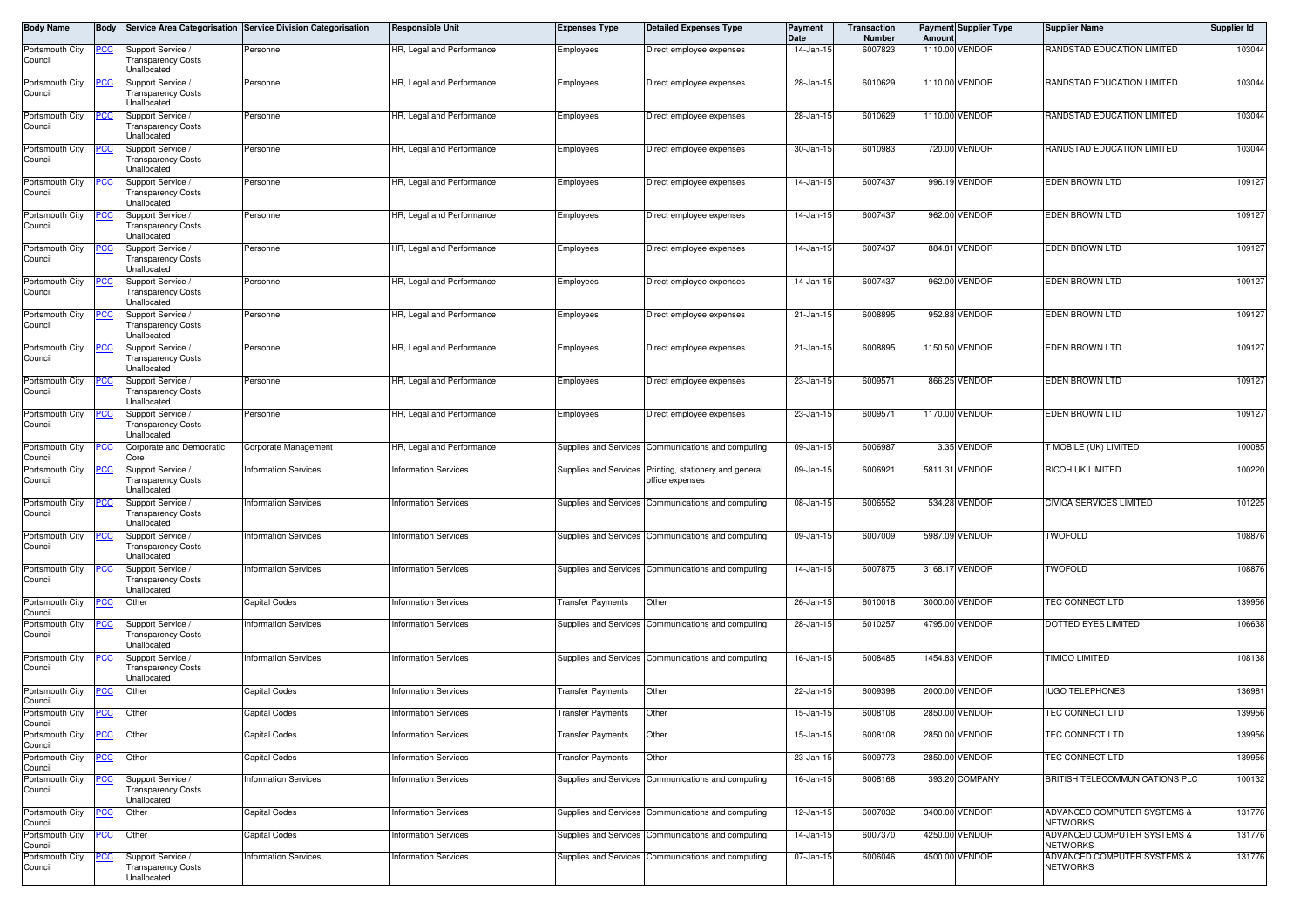| Body Name                         | <b>Body</b> |                                                               | Service Area Categorisation Service Division Categorisation | <b>Responsible Unit</b>     | <b>Expenses Type</b>     | <b>Detailed Expenses Type</b>                       | <b>Payment</b><br>Date | Transaction<br><b>Number</b> | Amount | <b>Payment Supplier Type</b> | <b>Supplier Name</b>                           | Supplier Id |
|-----------------------------------|-------------|---------------------------------------------------------------|-------------------------------------------------------------|-----------------------------|--------------------------|-----------------------------------------------------|------------------------|------------------------------|--------|------------------------------|------------------------------------------------|-------------|
| Portsmouth City<br>Council        | <u>PCC</u>  | Support Service /<br><b>Transparency Costs</b><br>Unallocated | Personnel                                                   | HR, Legal and Performance   | Employees                | Direct employee expenses                            | 14-Jan-15              | 6007823                      |        | 1110.00 VENDOR               | RANDSTAD EDUCATION LIMITED                     | 103044      |
| Portsmouth City<br>Council        | 'CC         | Support Service /<br><b>Transparency Costs</b><br>Unallocated | Personnel                                                   | HR. Legal and Performance   | Employees                | Direct employee expenses                            | 28-Jan-15              | 6010629                      |        | 1110.00 VENDOR               | RANDSTAD EDUCATION LIMITED                     | 103044      |
| Portsmouth City<br>Council        |             | Support Service /<br>ransparency Costs<br>Jnallocated         | Personnel                                                   | HR, Legal and Performance   | Employees                | Direct employee expenses                            | 28-Jan-15              | 6010629                      |        | 1110.00 VENDOR               | RANDSTAD EDUCATION LIMITED                     | 103044      |
| Portsmouth City<br>Council        | <u>'CC</u>  | Support Service<br><b>Transparency Costs</b><br>Jnallocated   | Personnel                                                   | HR, Legal and Performance   | Employees                | Direct employee expenses                            | 30-Jan-15              | 6010983                      |        | 720.00 VENDOR                | RANDSTAD EDUCATION LIMITED                     | 103044      |
| Portsmouth City<br>Council        | <u>PCC </u> | Support Service /<br>ransparency Costs<br>Jnallocated         | Personnel                                                   | HR, Legal and Performance   | Employees                | Direct employee expenses                            | 14-Jan-15              | 6007437                      |        | 996.19 VENDOR                | <b>EDEN BROWN LTD</b>                          | 109127      |
| Portsmouth City<br>Council        | CC          | Support Service /<br><b>Transparency Costs</b><br>Unallocated | Personnel                                                   | HR, Legal and Performance   | Employees                | Direct employee expenses                            | 14-Jan-15              | 6007437                      |        | 962.00 VENDOR                | EDEN BROWN LTD                                 | 109127      |
| Portsmouth City<br>Council        |             | Support Service /<br>ransparency Costs<br>Jnallocated         | Personnel                                                   | HR, Legal and Performance   | Employees                | Direct employee expenses                            | 14-Jan-15              | 6007437                      |        | 884.81 VENDOR                | EDEN BROWN LTD                                 | 109127      |
| Portsmouth City<br>Council        | 'CC         | Support Service /<br>ransparency Costs<br>Unallocated         | Personnel                                                   | HR, Legal and Performance   | Employees                | Direct employee expenses                            | 14-Jan-15              | 6007437                      |        | 962.00 VENDOR                | EDEN BROWN LTD                                 | 109127      |
| Portsmouth City<br>Council        |             | upport Service<br><b>Transparency Costs</b><br>Unallocated    | Personnel                                                   | HR, Legal and Performance   | Employees                | Direct employee expenses                            | 21-Jan-15              | 6008895                      |        | 952.88 VENDOR                | EDEN BROWN LTD                                 | 109127      |
| Portsmouth City<br>Council        |             | Support Service<br>Transparency Costs<br>Jnallocated          | Personnel                                                   | HR, Legal and Performance   | Employees                | Direct employee expenses                            | 21-Jan-15              | 600889                       |        | 1150.50 VENDOR               | <b>EDEN BROWN LTD</b>                          | 109127      |
| Portsmouth City<br>Council        |             | Support Service<br><b>Transparency Costs</b><br>Unallocated   | Personnel                                                   | HR, Legal and Performance   | Employees                | Direct employee expenses                            | 23-Jan-15              | 600957                       |        | 866.25 VENDOR                | EDEN BROWN LTD                                 | 109127      |
| Portsmouth City<br>Council        | <u>'CC</u>  | Support Service /<br>ransparency Costs<br>Jnallocated         | Personnel                                                   | HR, Legal and Performance   | Employees                | Direct employee expenses                            | 23-Jan-15              | 600957                       |        | 1170.00 VENDOR               | <b>EDEN BROWN LTD</b>                          | 109127      |
| Portsmouth City<br>Council        | сc          | Corporate and Democratic<br>Core                              | Corporate Management                                        | HR, Legal and Performance   | Supplies and Services    | Communications and computing                        | 09-Jan-15              | 6006987                      |        | 3.35 VENDOR                  | MOBILE (UK) LIMITED                            | 100085      |
| Portsmouth City<br>Council        | <u>CC</u>   | Support Service /<br>ransparency Costs<br>Jnallocated         | nformation Services                                         | <b>Information Services</b> | Supplies and Services    | Printing, stationery and general<br>office expenses | 09-Jan-15              | 6006921                      |        | 5811.31 VENDOR               | RICOH UK LIMITED                               | 100220      |
| Portsmouth City<br>Council        | <u>'CC</u>  | Support Service<br><b>Transparency Costs</b><br>Jnallocated   | nformation Services                                         | <b>Information Services</b> |                          | Supplies and Services Communications and computing  | 08-Jan-15              | 6006552                      |        | 534.28 VENDOR                | CIVICA SERVICES LIMITED                        | 101225      |
| Portsmouth City<br>Council        | <u>PCC </u> | Support Service /<br>ransparency Costs<br>Jnallocated         | <b>Information Services</b>                                 | <b>Information Services</b> |                          | Supplies and Services Communications and computing  | 09-Jan-15              | 6007009                      |        | 5987.09 VENDOR               | <b>TWOFOLD</b>                                 | 108876      |
| Portsmouth City<br>Council        | CC          | Support Service /<br><b>Transparency Costs</b><br>Unallocated | nformation Services                                         | <b>Information Services</b> | Supplies and Services    | Communications and computing                        | 14-Jan-15              | 6007875                      |        | 3168.17 VENDOR               | <b>TWOFOLD</b>                                 | 108876      |
| Portsmouth City<br>Council        | <u>cc</u>   | Other                                                         | Capital Codes                                               | <b>Information Services</b> | <b>Transfer Payments</b> | Other                                               | 26-Jan-15              | 6010018                      |        | 3000.00 VENDOR               | TEC CONNECT LTD                                | 139956      |
| Portsmouth City<br>Council        | <u>PCC</u>  | Support Service /<br><b>Transparency Costs</b><br>Unallocated | <b>Information Services</b>                                 | <b>Information Services</b> | Supplies and Services    | Communications and computing                        | 28-Jan-15              | 6010257                      |        | 4795.00 VENDOR               | DOTTED EYES LIMITED                            | 106638      |
| Portsmouth City<br>Council        | <u>'СС</u>  | Support Service /<br>ransparency Costs<br>Unallocated         | <b>Information Services</b>                                 | <b>Information Services</b> |                          | Supplies and Services Communications and computing  | 16-Jan-15              | 6008485                      |        | 1454.83 VENDOR               | <b>TIMICO LIMITED</b>                          | 108138      |
| Portsmouth City<br>Council        |             | Other                                                         | Capital Codes                                               | <b>Information Services</b> | <b>Transfer Payments</b> | Other                                               | 22-Jan-15              | 6009398                      |        | 2000.00 VENDOR               | <b>IUGO TELEPHONES</b>                         | 136981      |
| Portsmouth City<br><b>COUNCIL</b> | <u>PCC</u>  | Other                                                         | Capital Codes                                               | <b>Information Services</b> | <b>Transfer Payments</b> | Other                                               | 15-Jan-15              | 6008108                      |        | 2850.00 VENDOR               | TEC CONNECT LTD                                | 139956      |
| Portsmouth City<br>Council        | °СС         | Other                                                         | Capital Codes                                               | <b>Information Services</b> | <b>Transfer Payments</b> | Other                                               | 15-Jan-15              | 6008108                      |        | 2850.00 VENDOR               | TEC CONNECT LTD                                | 139956      |
| Portsmouth City<br>Council        | PCC         | Other                                                         | Capital Codes                                               | <b>Information Services</b> | <b>Transfer Payments</b> | Other                                               | 23-Jan-15              | 6009773                      |        | 2850.00 VENDOR               | TEC CONNECT LTD                                | 139956      |
| Portsmouth City<br>Council        | ငင          | Support Service /<br><b>Transparency Costs</b><br>Unallocated | <b>Information Services</b>                                 | <b>Information Services</b> | Supplies and Services    | Communications and computing                        | 16-Jan-15              | 6008168                      |        | 393.20 COMPANY               | BRITISH TELECOMMUNICATIONS PLC                 | 100132      |
| Portsmouth City<br>Council        | °СС         | Other                                                         | Capital Codes                                               | <b>Information Services</b> | Supplies and Services    | Communications and computing                        | 12-Jan-15              | 6007032                      |        | 3400.00 VENDOR               | ADVANCED COMPUTER SYSTEMS &<br><b>NETWORKS</b> | 131776      |
| Portsmouth City<br>Council        |             | Other                                                         | Capital Codes                                               | <b>Information Services</b> |                          | Supplies and Services Communications and computing  | 14-Jan-15              | 6007370                      |        | 4250.00 VENDOR               | ADVANCED COMPUTER SYSTEMS &<br><b>NETWORKS</b> | 131776      |
| Portsmouth City<br>Council        | <u>PCC</u>  | Support Service /<br><b>Transparency Costs</b><br>Unallocated | nformation Services                                         | <b>Information Services</b> |                          | Supplies and Services Communications and computing  | 07-Jan-15              | 6006046                      |        | 4500.00 VENDOR               | ADVANCED COMPUTER SYSTEMS &<br><b>NETWORKS</b> | 131776      |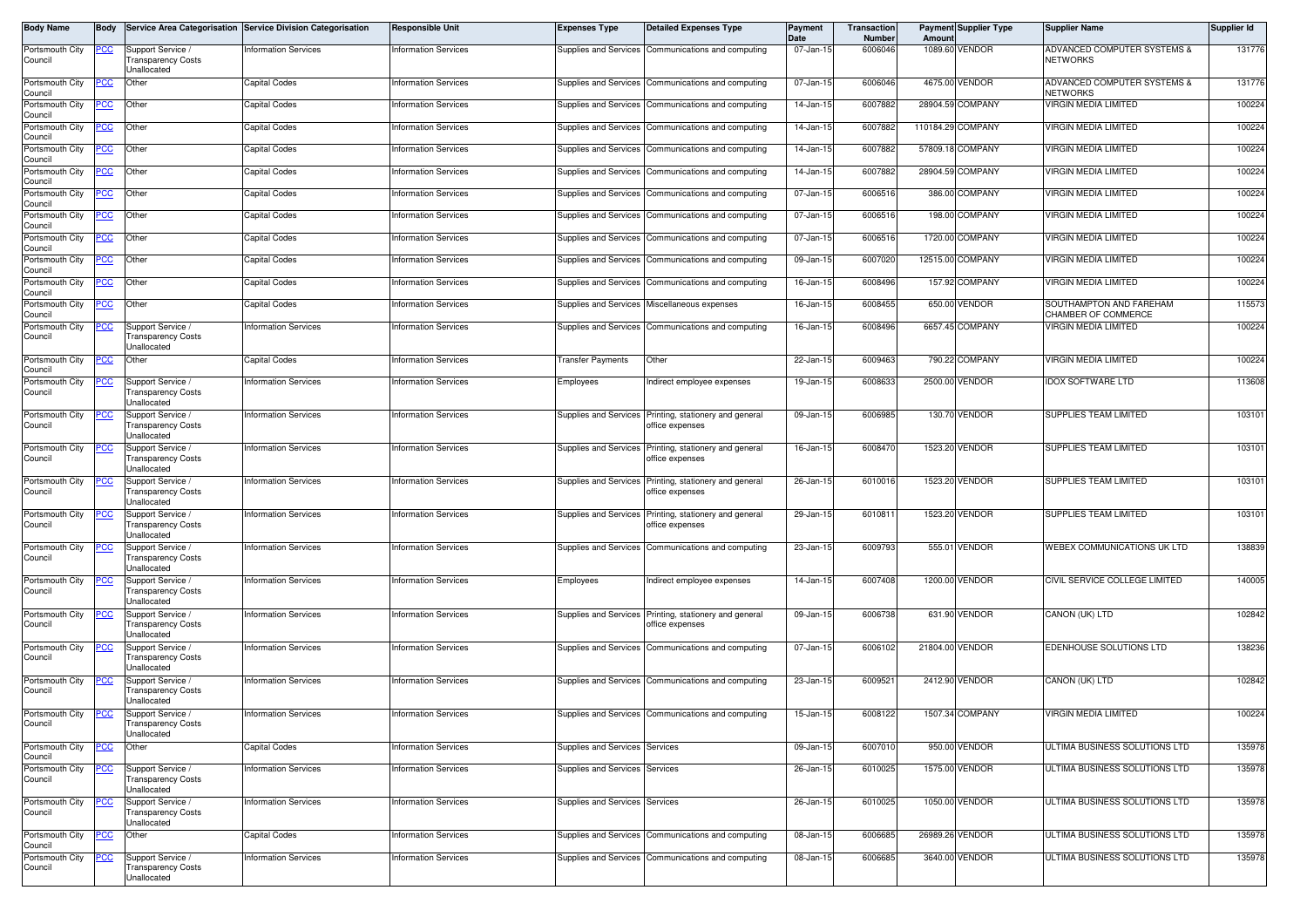| Body Name                  | Body       |                                                               | Service Area Categorisation Service Division Categorisation | <b>Responsible Unit</b>     | <b>Expenses Type</b>           | <b>Detailed Expenses Type</b>                                             | Payment<br>Date         | Transaction<br><b>Number</b> | Amount          | <b>Payment Supplier Type</b> | <b>Supplier Name</b>                           | <b>Supplier Id</b> |
|----------------------------|------------|---------------------------------------------------------------|-------------------------------------------------------------|-----------------------------|--------------------------------|---------------------------------------------------------------------------|-------------------------|------------------------------|-----------------|------------------------------|------------------------------------------------|--------------------|
| Portsmouth City<br>Council | <u>PCC</u> | Support Service /<br><b>Transparency Costs</b><br>Unallocated | nformation Services                                         | <b>Information Services</b> | Supplies and Services          | Communications and computing                                              | 07-Jan-15               | 6006046                      |                 | 1089.60 VENDOR               | ADVANCED COMPUTER SYSTEMS &<br><b>NETWORKS</b> | 131776             |
| Portsmouth City<br>Council |            | Other                                                         | Capital Codes                                               | <b>Information Services</b> | Supplies and Services          | Communications and computing                                              | $\overline{07}$ -Jan-15 | 6006046                      |                 | 4675.00 VENDOR               | ADVANCED COMPUTER SYSTEMS &<br><b>NETWORKS</b> | 131776             |
| Portsmouth City<br>Council | PСC        | Other                                                         | Capital Codes                                               | <b>Information Services</b> | Supplies and Services          | Communications and computing                                              | 14-Jan-15               | 6007882                      |                 | 28904.59 COMPANY             | <b>VIRGIN MEDIA LIMITED</b>                    | 100224             |
| Portsmouth City<br>Council | 'СС        | Other                                                         | Capital Codes                                               | <b>Information Services</b> | Supplies and Services          | Communications and computing                                              | 14-Jan-15               | 6007882                      |                 | 110184.29 COMPANY            | <b>VIRGIN MEDIA LIMITED</b>                    | 100224             |
| Portsmouth City            | <u>PCC</u> | Other                                                         | Capital Codes                                               | <b>Information Services</b> | Supplies and Services          | Communications and computing                                              | 14-Jan-15               | 6007882                      |                 | 57809.18 COMPANY             | VIRGIN MEDIA LIMITED                           | 100224             |
| Council<br>Portsmouth City | <u>cc</u>  | Other                                                         | Capital Codes                                               | <b>Information Services</b> | Supplies and Services          | Communications and computing                                              | 14-Jan-15               | 6007882                      |                 | 28904.59 COMPANY             | VIRGIN MEDIA LIMITED                           | 100224             |
| Council<br>Portsmouth City | <u>PCC</u> | Other                                                         | Capital Codes                                               | <b>Information Services</b> | Supplies and Services          | Communications and computing                                              | 07-Jan-15               | 6006516                      |                 | 386.00 COMPANY               | VIRGIN MEDIA LIMITED                           | 100224             |
| Council<br>Portsmouth City | <u>'CC</u> | Other                                                         | Capital Codes                                               | <b>Information Services</b> | Supplies and Services          | Communications and computing                                              | 07-Jan-15               | 6006516                      |                 | 198.00 COMPANY               | VIRGIN MEDIA LIMITED                           | 100224             |
| Council<br>Portsmouth City |            | Other                                                         | Capital Codes                                               | <b>Information Services</b> | Supplies and Services          | Communications and computing                                              | 07-Jan-15               | 6006516                      |                 | 1720.00 COMPANY              | <b>VIRGIN MEDIA LIMITED</b>                    | 100224             |
| Council<br>Portsmouth City | <u>'СС</u> | Other                                                         | Capital Codes                                               | <b>Information Services</b> | Supplies and Services          | Communications and computing                                              | 09-Jan-15               | 6007020                      |                 | 12515.00 COMPANY             | VIRGIN MEDIA LIMITED                           | 100224             |
| Council<br>Portsmouth City | °СС        | Other                                                         | Capital Codes                                               | <b>Information Services</b> | Supplies and Services          | Communications and computing                                              | 16-Jan-15               | 6008496                      |                 | 157.92 COMPANY               | VIRGIN MEDIA LIMITED                           | 100224             |
| Council<br>Portsmouth City | <u>PCC</u> | Other                                                         | Capital Codes                                               | <b>Information Services</b> |                                | Supplies and Services Miscellaneous expenses                              | 16-Jan-15               | 6008455                      |                 | 650.00 VENDOR                | SOUTHAMPTON AND FAREHAM                        | 115573             |
| Council<br>Portsmouth City | <u>PCC</u> | Support Service /                                             | nformation Services                                         | <b>Information Services</b> | Supplies and Services          | Communications and computing                                              | 16-Jan-15               | 6008496                      |                 | 6657.45 COMPANY              | CHAMBER OF COMMERCE<br>VIRGIN MEDIA LIMITED    | 100224             |
| Council                    |            | <b>Transparency Costs</b><br>Unallocated                      |                                                             |                             |                                |                                                                           |                         |                              |                 |                              |                                                |                    |
| Portsmouth City<br>Council | cc         | Other                                                         | Capital Codes                                               | <b>Information Services</b> | <b>Transfer Payments</b>       | Other                                                                     | 22-Jan-15               | 6009463                      |                 | 790.22 COMPANY               | VIRGIN MEDIA LIMITED                           | 100224             |
| Portsmouth City<br>Council | <u>PCC</u> | Support Service /<br><b>Transparency Costs</b><br>Unallocated | nformation Services                                         | <b>Information Services</b> | Employees                      | ndirect employee expenses                                                 | 19-Jan-15               | 6008633                      |                 | 2500.00 VENDOR               | <b>IDOX SOFTWARE LTD</b>                       | 113608             |
| Portsmouth City<br>Council | <u>'CC</u> | Support Service /<br>ransparency Costs<br>Unallocated         | <b>Information Services</b>                                 | <b>Information Services</b> | Supplies and Services          | Printing, stationery and general<br>office expenses                       | 09-Jan-15               | 6006985                      |                 | 130.70 VENDOR                | SUPPLIES TEAM LIMITED                          | 103101             |
| Portsmouth City<br>Council |            | Support Service /<br><b>Transparency Costs</b><br>Unallocated | information Services                                        | <b>Information Services</b> | Supplies and Services          | Printing, stationery and general<br>office expenses                       | 16-Jan-15               | 6008470                      |                 | 1523.20 VENDOR               | SUPPLIES TEAM LIMITED                          | 103101             |
| Portsmouth City<br>Council |            | Support Service /<br><b>Transparency Costs</b><br>Unallocated | nformation Services                                         | <b>Information Services</b> | Supplies and Services          | Printing, stationery and general<br>office expenses                       | 26-Jan-15               | 6010016                      |                 | 1523.20 VENDOR               | SUPPLIES TEAM LIMITED                          | 103101             |
| Portsmouth City<br>Council | °СС        | Support Service /<br>ransparency Costs<br>Unallocated         | nformation Services                                         | <b>Information Services</b> | <b>Supplies and Services</b>   | Printing, stationery and general<br>office expenses                       | 29-Jan-15               | 601081                       |                 | 1523.20 VENDOR               | SUPPLIES TEAM LIMITED                          | 103101             |
| Portsmouth City<br>Council |            | Support Service<br><b>Transparency Costs</b><br>Unallocated   | nformation Services                                         | <b>Information Services</b> | Supplies and Services          | Communications and computing                                              | 23-Jan-15               | 6009793                      | 555.01          | <b>VENDOR</b>                | WEBEX COMMUNICATIONS UK LTD                    | 138839             |
| Portsmouth City<br>Council | сc         | Support Service /<br>ransparency Costs<br>Jnallocated         | nformation Services                                         | <b>Information Services</b> | Employees                      | Indirect employee expenses                                                | 14-Jan-15               | 6007408                      |                 | 1200.00 VENDOR               | CIVIL SERVICE COLLEGE LIMITED                  | 140005             |
| Portsmouth City<br>Council |            | Support Service /<br><b>Transparency Costs</b><br>Unallocated | nformation Services                                         | <b>Information Services</b> |                                | Supplies and Services Printing, stationery and general<br>office expenses | 09-Jan-15               | 6006738                      |                 | 631.90 VENDOR                | CANON (UK) LTD                                 | 102842             |
| Portsmouth City<br>Council | <u>CC </u> | Support Service /<br>ransparency Costs<br>Jnallocated         | <b>Information Services</b>                                 | <b>Information Services</b> |                                | Supplies and Services Communications and computing                        | 07-Jan-15               | 6006102                      | 21804.00 VENDOR |                              | EDENHOUSE SOLUTIONS LTD                        | 138236             |
| Portsmouth City<br>Council | PСC        | Support Service /<br><b>Transparency Costs</b><br>Unallocated | <b>Information Services</b>                                 | <b>Information Services</b> | Supplies and Services          | Communications and computing                                              | 23-Jan-15               | 6009521                      |                 | 2412.90 VENDOR               | CANON (UK) LTD                                 | 102842             |
| Portsmouth City<br>Council | PCC        | Support Service<br>Transparency Costs<br>Unallocated          | <b>Information Services</b>                                 | <b>Information Services</b> |                                | Supplies and Services Communications and computing                        | 15-Jan-15               | 6008122                      |                 | 1507.34 COMPANY              | VIRGIN MEDIA LIMITED                           | 100224             |
| Portsmouth City<br>Council | PCC        | Other                                                         | Capital Codes                                               | <b>Information Services</b> | Supplies and Services          | Services                                                                  | 09-Jan-15               | 6007010                      |                 | 950.00 VENDOR                | ULTIMA BUSINESS SOLUTIONS LTD                  | 135978             |
| Portsmouth City<br>Council | <u>PCC</u> | Support Service /<br><b>Transparency Costs</b><br>Unallocated | <b>Information Services</b>                                 | <b>Information Services</b> | Supplies and Services Services |                                                                           | 26-Jan-15               | 6010025                      |                 | 1575.00 VENDOR               | ULTIMA BUSINESS SOLUTIONS LTD                  | 135978             |
| Portsmouth City<br>Council |            | Support Service /<br><b>Transparency Costs</b><br>Unallocated | <b>Information Services</b>                                 | <b>Information Services</b> | Supplies and Services Services |                                                                           | 26-Jan-15               | 6010025                      |                 | 1050.00 VENDOR               | JLTIMA BUSINESS SOLUTIONS LTD                  | 135978             |
| Portsmouth City<br>Council | 'CC        | Other                                                         | Capital Codes                                               | <b>Information Services</b> | Supplies and Services          | Communications and computing                                              | 08-Jan-15               | 6006685                      | 26989.26 VENDOR |                              | ULTIMA BUSINESS SOLUTIONS LTD                  | 135978             |
| Portsmouth City<br>Council | <u>'СС</u> | Support Service /<br>ransparency Costs<br>Unallocated         | <b>Information Services</b>                                 | <b>Information Services</b> | Supplies and Services          | Communications and computing                                              | 08-Jan-15               | 6006685                      |                 | 3640.00 VENDOR               | ULTIMA BUSINESS SOLUTIONS LTD                  | 135978             |
|                            |            |                                                               |                                                             |                             |                                |                                                                           |                         |                              |                 |                              |                                                |                    |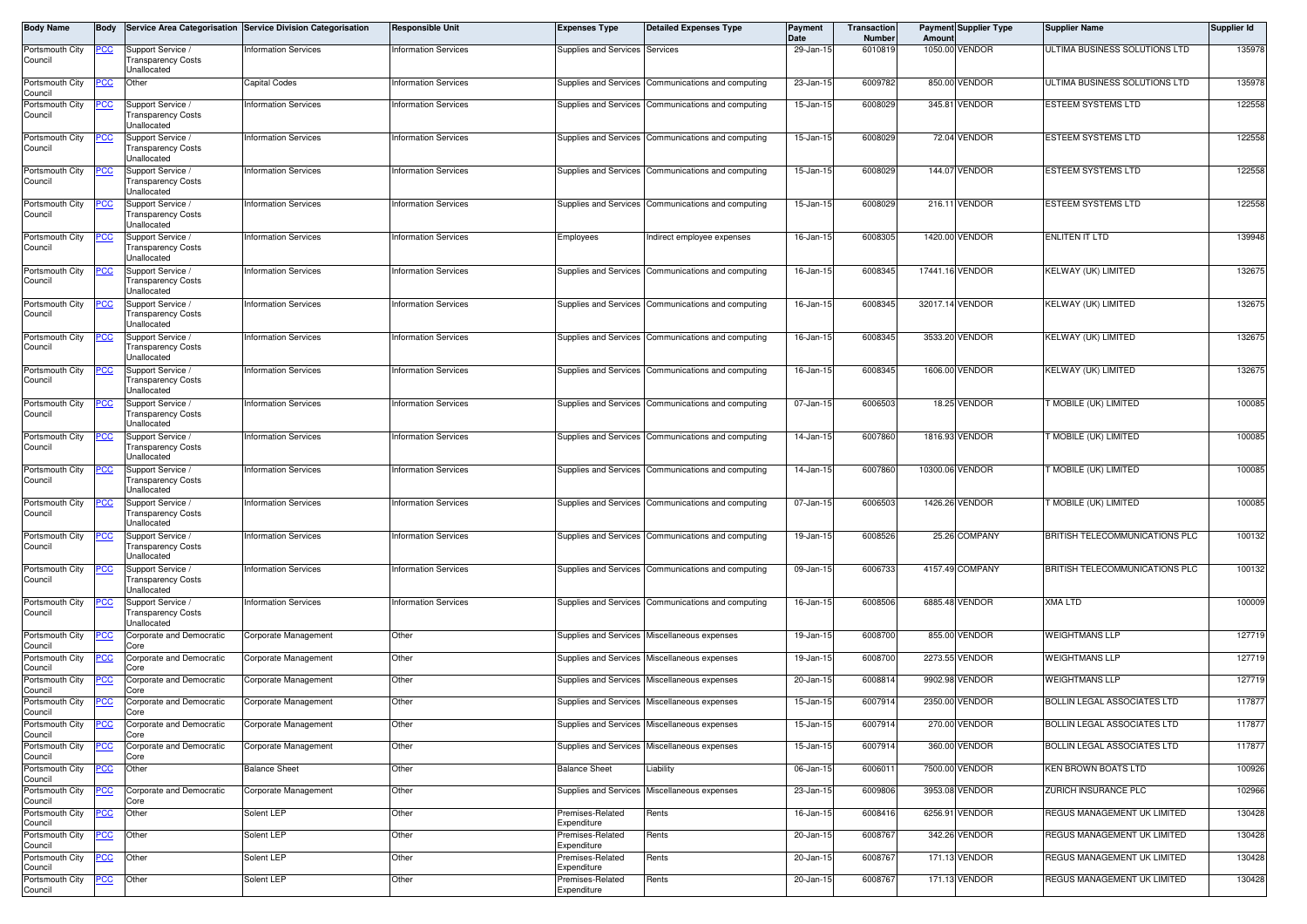| Body Name                  | Body        |                                                               | Service Area Categorisation Service Division Categorisation | <b>Responsible Unit</b>     | <b>Expenses Type</b>            | <b>Detailed Expenses Type</b>                      | Payment<br>Date | Transaction<br><b>Number</b> | Amount  | <b>Payment Supplier Type</b> | <b>Supplier Name</b>           | <b>Supplier Id</b> |
|----------------------------|-------------|---------------------------------------------------------------|-------------------------------------------------------------|-----------------------------|---------------------------------|----------------------------------------------------|-----------------|------------------------------|---------|------------------------------|--------------------------------|--------------------|
| Portsmouth City<br>Council | <u>PCC</u>  | Support Service /<br><b>Transparency Costs</b><br>Unallocated | nformation Services                                         | <b>Information Services</b> | Supplies and Services Services  |                                                    | 29-Jan-15       | 6010819                      |         | 1050.00 VENDOR               | ULTIMA BUSINESS SOLUTIONS LTD  | 135978             |
| Portsmouth City<br>Council |             | Other                                                         | Capital Codes                                               | <b>Information Services</b> | Supplies and Services           | Communications and computing                       | 23-Jan-15       | 6009782                      |         | 850.00 VENDOR                | ULTIMA BUSINESS SOLUTIONS LTD  | 135978             |
| Portsmouth City<br>Council | PСC         | Support Service /<br><b>Transparency Costs</b><br>Unallocated | nformation Services                                         | <b>Information Services</b> |                                 | Supplies and Services Communications and computing | 15-Jan-15       | 6008029                      |         | 345.81 VENDOR                | <b>ESTEEM SYSTEMS LTD</b>      | 122558             |
| Portsmouth City<br>Council |             | Support Service<br><b>Transparency Costs</b><br>Unallocated   | nformation Services                                         | <b>Information Services</b> |                                 | Supplies and Services Communications and computing | 15-Jan-15       | 6008029                      |         | 72.04 VENDOR                 | ESTEEM SYSTEMS LTD             | 122558             |
| Portsmouth City<br>Council | сc          | Support Service /<br><b>Transparency Costs</b><br>Jnallocated | nformation Services                                         | <b>Information Services</b> |                                 | Supplies and Services Communications and computing | 15-Jan-15       | 6008029                      |         | 144.07 VENDOR                | ESTEEM SYSTEMS LTD             | 122558             |
| Portsmouth City<br>Council |             | Support Service<br><b>Transparency Costs</b><br>Unallocated   | nformation Services                                         | <b>Information Services</b> |                                 | Supplies and Services Communications and computing | 15-Jan-15       | 6008029                      |         | 216.11 VENDOR                | ESTEEM SYSTEMS LTD             | 122558             |
| Portsmouth City<br>Council | <u>CC </u>  | Support Service /<br><b>Transparency Costs</b><br>Unallocated | nformation Services                                         | <b>Information Services</b> | Employees                       | Indirect employee expenses                         | 16-Jan-15       | 6008305                      |         | 1420.00 VENDOR               | <b>ENLITEN IT LTD</b>          | 139948             |
| Portsmouth City<br>Council |             | Support Service /<br><b>Transparency Costs</b><br>Unallocated | nformation Services                                         | <b>Information Services</b> |                                 | Supplies and Services Communications and computing | 16-Jan-15       | 6008345                      |         | 17441.16 VENDOR              | KELWAY (UK) LIMITED            | 132675             |
| Portsmouth City<br>Council |             | Support Service /<br><b>Transparency Costs</b><br>Unallocated | nformation Services                                         | Information Services        |                                 | Supplies and Services Communications and computing | 16-Jan-15       | 6008345                      |         | 32017.14 VENDOR              | KELWAY (UK) LIMITED            | 132675             |
| Portsmouth City<br>Council | ʻСC         | Support Service /<br><b>Transparency Costs</b><br>Unallocated | nformation Services                                         | Information Services        |                                 | Supplies and Services Communications and computing | 16-Jan-15       | 6008345                      |         | 3533.20 VENDOR               | KELWAY (UK) LIMITED            | 132675             |
| Portsmouth City<br>Council |             | Support Service<br><b>Transparency Costs</b><br>Unallocated   | nformation Services                                         | Information Services        |                                 | Supplies and Services Communications and computing | 16-Jan-15       | 6008345                      | 1606.00 | <b>VENDOR</b>                | KELWAY (UK) LIMITED            | 132675             |
| Portsmouth City<br>Council | PCC         | Support Service /<br><b>Transparency Costs</b><br>Unallocated | nformation Services                                         | <b>Information Services</b> |                                 | Supplies and Services Communications and computing | 07-Jan-15       | 6006503                      |         | 18.25 VENDOR                 | MOBILE (UK) LIMITED            | 100085             |
| Portsmouth City<br>Council |             | Support Service<br><b>Transparency Costs</b><br>Unallocated   | nformation Services                                         | <b>Information Services</b> | Supplies and Services           | Communications and computing                       | 14-Jan-15       | 6007860                      |         | 1816.93 VENDOR               | T MOBILE (UK) LIMITED          | 100085             |
| Portsmouth City<br>Council | сc          | Support Service /<br>ransparency Costs<br>Jnallocated         | nformation Services                                         | <b>Information Services</b> |                                 | Supplies and Services Communications and computing | 14-Jan-15       | 6007860                      |         | 10300.06 VENDOR              | T MOBILE (UK) LIMITED          | 100085             |
| Portsmouth City<br>Council | PСC         | Support Service /<br><b>Transparency Costs</b><br>Unallocated | nformation Services                                         | <b>Information Services</b> |                                 | Supplies and Services Communications and computing | 07-Jan-15       | 6006503                      |         | 1426.26 VENDOR               | T MOBILE (UK) LIMITED          | 100085             |
| Portsmouth City<br>Council | <u>CC </u>  | Support Service /<br><b>Transparency Costs</b><br>Unallocated | nformation Services                                         | <b>Information Services</b> |                                 | Supplies and Services Communications and computing | 19-Jan-15       | 6008526                      |         | 25.26 COMPANY                | BRITISH TELECOMMUNICATIONS PLC | 100132             |
| Portsmouth City<br>Council |             | Support Service<br><b>Transparency Costs</b><br>Unallocated   | nformation Services                                         | <b>Information Services</b> | Supplies and Services           | Communications and computing                       | 09-Jan-15       | 6006733                      |         | 4157.49 COMPANY              | BRITISH TELECOMMUNICATIONS PLC | 100132             |
| Portsmouth City<br>Council |             | Support Service /<br><b>Transparency Costs</b><br>Unallocated | nformation Services                                         | <b>Information Services</b> |                                 | Supplies and Services Communications and computing | 16-Jan-15       | 6008506                      |         | 6885.48 VENDOR               | XMA LTD                        | 100009             |
| Portsmouth City<br>Council | CC          | Corporate and Democratic<br>Core                              | Corporate Management                                        | Other                       |                                 | Supplies and Services Miscellaneous expenses       | 19-Jan-15       | 6008700                      |         | 855.00 VENDOR                | <b>WEIGHTMANS LLP</b>          | 127719             |
| Portsmouth City<br>Council |             | Corporate and Democratic<br>Core                              | Corporate Management                                        | Other                       |                                 | Supplies and Services Miscellaneous expenses       | 19-Jan-15       | 6008700                      |         | 2273.55 VENDOR               | <b>WEIGHTMANS LLP</b>          | 127719             |
| Portsmouth City<br>Council | PCC         | Corporate and Democratic<br>Core                              | Corporate Management                                        | Other                       |                                 | Supplies and Services Miscellaneous expenses       | 20-Jan-15       | 6008814                      | 9902.98 | VENDOR                       | <b>WEIGHTMANS LLP</b>          | 127719             |
| Portsmouth City<br>Council | эсс         | Corporate and Democratic<br>Core                              | Corporate Management                                        | Other                       |                                 | Supplies and Services Miscellaneous expenses       | 15-Jan-15       | 6007914                      | 2350.00 | VENDOR                       | BOLLIN LEGAL ASSOCIATES LTD    | 117877             |
| Portsmouth City<br>Council |             | Corporate and Democratic<br>Core                              | Corporate Management                                        | Other                       |                                 | Supplies and Services Miscellaneous expenses       | 15-Jan-15       | 6007914                      |         | 270.00 VENDOR                | BOLLIN LEGAL ASSOCIATES LTD    | 117877             |
| Portsmouth City<br>Council | PCC         | Corporate and Democratic<br>Core                              | Corporate Management                                        | Other                       |                                 | Supplies and Services Miscellaneous expenses       | 15-Jan-15       | 6007914                      |         | 360.00 VENDOR                | BOLLIN LEGAL ASSOCIATES LTD    | 117877             |
| Portsmouth City<br>Council | <u>PCC</u>  | Other                                                         | <b>Balance Sheet</b>                                        | Other                       | <b>Balance Sheet</b>            | Liability                                          | 06-Jan-15       | 6006011                      |         | 7500.00 VENDOR               | <b>KEN BROWN BOATS LTD</b>     | 100926             |
| Portsmouth City<br>Council | <u>PCC </u> | Corporate and Democratic<br>Core                              | Corporate Management                                        | Other                       |                                 | Supplies and Services Miscellaneous expenses       | 23-Jan-15       | 6009806                      |         | 3953.08 VENDOR               | ZURICH INSURANCE PLC           | 102966             |
| Portsmouth City<br>Council | <u>PCC</u>  | Other                                                         | Solent LEP                                                  | Other                       | Premises-Related<br>Expenditure | Rents                                              | 16-Jan-15       | 6008416                      |         | 6256.91 VENDOR               | REGUS MANAGEMENT UK LIMITED    | 130428             |
| Portsmouth City<br>Council | <u>PCC</u>  | Other                                                         | Solent LEP                                                  | Other                       | Premises-Related<br>Expenditure | Rents                                              | 20-Jan-15       | 6008767                      |         | 342.26 VENDOR                | REGUS MANAGEMENT UK LIMITED    | 130428             |
| Portsmouth City<br>Council | <u>PCC</u>  | Other                                                         | Solent LEP                                                  | Other                       | Premises-Related<br>Expenditure | Rents                                              | 20-Jan-15       | 6008767                      |         | 171.13 VENDOR                | REGUS MANAGEMENT UK LIMITED    | 130428             |
| Portsmouth City<br>Council | <u>PCC</u>  | Other                                                         | Solent LEP                                                  | Other                       | Premises-Related<br>Expenditure | Rents                                              | 20-Jan-15       | 6008767                      |         | 171.13 VENDOR                | REGUS MANAGEMENT UK LIMITED    | 130428             |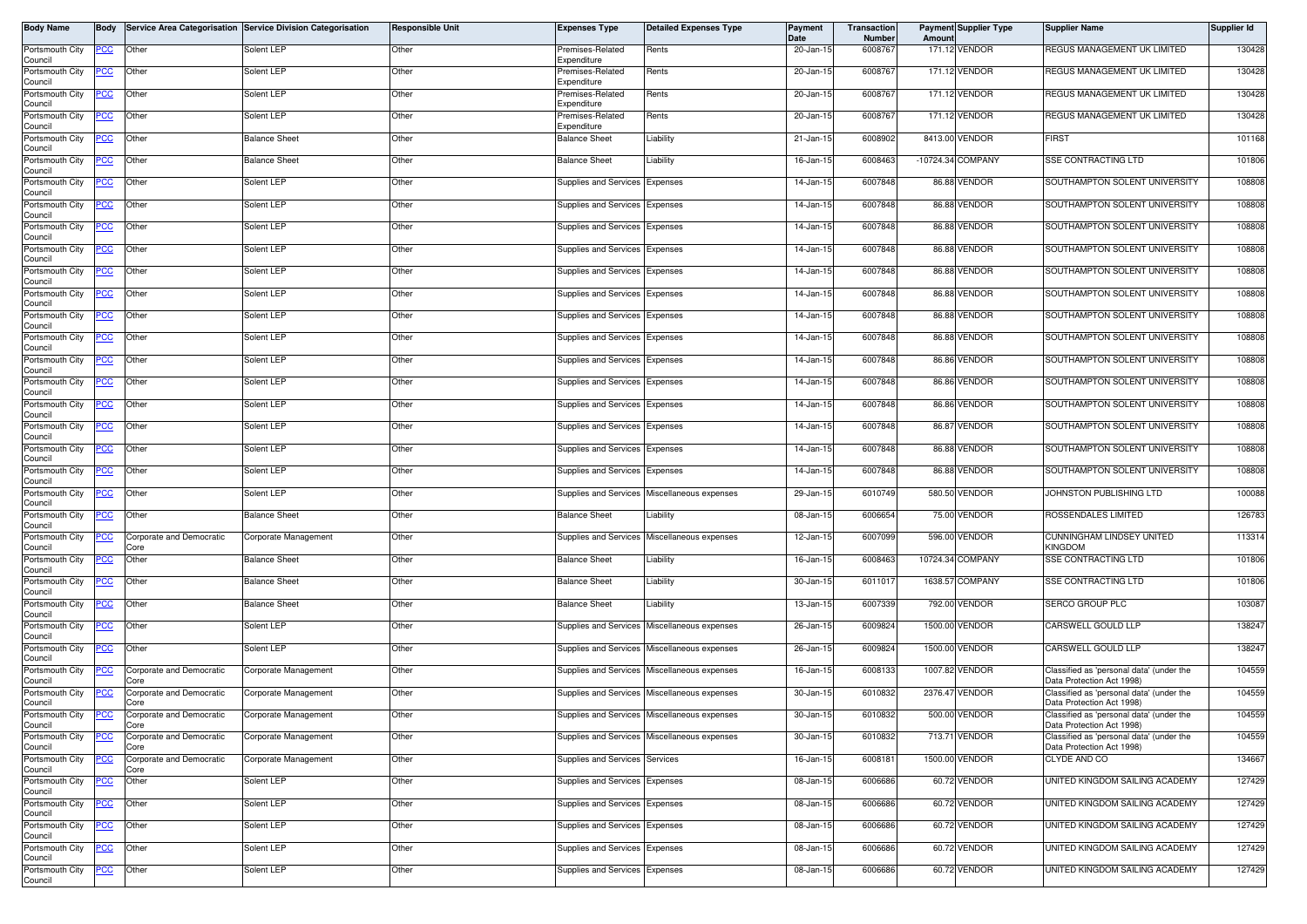| <b>Body Name</b>                      | Body        |                                  | Service Area Categorisation Service Division Categorisation | <b>Responsible Unit</b> | <b>Expenses Type</b>            | <b>Detailed Expenses Type</b>                | Payment<br>Date | Transaction<br>Number | Amount | <b>Payment Supplier Type</b> | <b>Supplier Name</b>                                                  | <b>Supplier Id</b> |
|---------------------------------------|-------------|----------------------------------|-------------------------------------------------------------|-------------------------|---------------------------------|----------------------------------------------|-----------------|-----------------------|--------|------------------------------|-----------------------------------------------------------------------|--------------------|
| Portsmouth City<br>Council            | <u>PCC</u>  | Other                            | Solent LEP                                                  | Other                   | Premises-Related<br>Expenditure | Rents                                        | 20-Jan-15       | 6008767               |        | 171.12 VENDOR                | <b>REGUS MANAGEMENT UK LIMITED</b>                                    | 130428             |
| Portsmouth City<br>Council            | <u>PCC </u> | Other                            | Solent LEP                                                  | Other                   | Premises-Related<br>Expenditure | Rents                                        | 20-Jan-15       | 6008767               |        | 171.12 VENDOR                | REGUS MANAGEMENT UK LIMITED                                           | 130428             |
| Portsmouth City<br>Council            | <u>CC </u>  | Other                            | Solent LEP                                                  | Other                   | Premises-Related<br>Expenditure | Rents                                        | 20-Jan-15       | 600876                |        | 171.12 VENDOR                | REGUS MANAGEMENT UK LIMITED                                           | 130428             |
| Portsmouth City<br>Council            | <u>PCC</u>  | Other                            | Solent LEP                                                  | Other                   | Premises-Related<br>Expenditure | Rents                                        | 20-Jan-15       | 6008767               |        | 171.12 VENDOR                | REGUS MANAGEMENT UK LIMITED                                           | 130428             |
| Portsmouth City<br>Council            | <u>PCC </u> | Other                            | <b>Balance Sheet</b>                                        | Other                   | <b>Balance Sheet</b>            | Liability                                    | 21-Jan-15       | 6008902               |        | 8413.00 VENDOR               | <b>FIRST</b>                                                          | 101168             |
| Portsmouth City<br>Council            | <u>PCC</u>  | Other                            | <b>Balance Sheet</b>                                        | Other                   | <b>Balance Sheet</b>            | Liability                                    | 16-Jan-15       | 600846                |        | -10724.34 COMPANY            | <b>SSE CONTRACTING LTD</b>                                            | 101806             |
| Portsmouth City<br>Council            | <u>PCC</u>  | Other                            | Solent LEP                                                  | Other                   | Supplies and Services Expenses  |                                              | 14-Jan-15       | 6007848               |        | 86.88 VENDOR                 | SOUTHAMPTON SOLENT UNIVERSITY                                         | 108808             |
| Portsmouth City<br>Council            | <u>PCC </u> | Other                            | Solent LEP                                                  | Other                   | Supplies and Services Expenses  |                                              | 14-Jan-15       | 6007848               |        | 86.88 VENDOR                 | SOUTHAMPTON SOLENT UNIVERSITY                                         | 108808             |
| Portsmouth City                       | <u>CC </u>  | Other                            | Solent LEP                                                  | Other                   | Supplies and Services Expenses  |                                              | 14-Jan-15       | 6007848               |        | 86.88 VENDOR                 | SOUTHAMPTON SOLENT UNIVERSITY                                         | 108808             |
| Council<br>Portsmouth City<br>Council | <u>PCC </u> | Other                            | Solent LEP                                                  | Other                   | Supplies and Services Expenses  |                                              | 14-Jan-15       | 6007848               |        | 86.88 VENDOR                 | SOUTHAMPTON SOLENT UNIVERSITY                                         | 108808             |
| Portsmouth City<br>Council            | <u>CC </u>  | Other                            | Solent LEP                                                  | Other                   | Supplies and Services Expenses  |                                              | 14-Jan-15       | 6007848               |        | 86.88 VENDOR                 | SOUTHAMPTON SOLENT UNIVERSITY                                         | 108808             |
| Portsmouth City<br>Council            | <u>CC </u>  | Other                            | Solent LEP                                                  | Other                   | Supplies and Services Expenses  |                                              | 14-Jan-15       | 6007848               |        | 86.88 VENDOR                 | SOUTHAMPTON SOLENT UNIVERSITY                                         | 108808             |
| Portsmouth City<br>Council            | <u>PCC</u>  | Other                            | Solent LEP                                                  | Other                   | Supplies and Services Expenses  |                                              | 14-Jan-15       | 6007848               |        | 86.88 VENDOR                 | SOUTHAMPTON SOLENT UNIVERSITY                                         | 108808             |
| Portsmouth City<br>Council            |             | Other                            | Solent LEP                                                  | Other                   | Supplies and Services Expenses  |                                              | 14-Jan-15       | 6007848               |        | 86.88 VENDOR                 | SOUTHAMPTON SOLENT UNIVERSITY                                         | 108808             |
| Portsmouth City<br>Council            | <u>'CC </u> | Other                            | Solent LEP                                                  | Other                   | Supplies and Services Expenses  |                                              | 14-Jan-15       | 6007848               |        | 86.86 VENDOR                 | SOUTHAMPTON SOLENT UNIVERSITY                                         | 108808             |
| Portsmouth City<br>Council            | <u>PCC</u>  | Other                            | Solent LEP                                                  | Other                   | Supplies and Services Expenses  |                                              | 14-Jan-15       | 6007848               |        | 86.86 VENDOR                 | SOUTHAMPTON SOLENT UNIVERSITY                                         | 108808             |
| Portsmouth City<br>Council            | <u>PCC </u> | Other                            | Solent LEP                                                  | Other                   | Supplies and Services Expenses  |                                              | 14-Jan-15       | 6007848               |        | 86.86 VENDOR                 | SOUTHAMPTON SOLENT UNIVERSITY                                         | 108808             |
| Portsmouth City<br>Council            | <u>'CC</u>  | Other                            | Solent LEP                                                  | Other                   | Supplies and Services Expenses  |                                              | 14-Jan-15       | 6007848               |        | 86.87 VENDOR                 | SOUTHAMPTON SOLENT UNIVERSITY                                         | 108808             |
| Portsmouth City<br>Council            | <u>PCC</u>  | Other                            | Solent LEP                                                  | Other                   | Supplies and Services Expenses  |                                              | 14-Jan-15       | 6007848               |        | 86.88 VENDOR                 | SOUTHAMPTON SOLENT UNIVERSITY                                         | 108808             |
| Portsmouth City<br>Council            | <u>CC</u>   | Other                            | Solent LEP                                                  | Other                   | Supplies and Services Expenses  |                                              | 14-Jan-15       | 6007848               |        | 86.88 VENDOR                 | SOUTHAMPTON SOLENT UNIVERSITY                                         | 108808             |
| Portsmouth City<br>Council            | <u>PCC </u> | Other                            | Solent LEP                                                  | Other                   |                                 | Supplies and Services Miscellaneous expenses | 29-Jan-15       | 6010749               |        | 580.50 VENDOR                | JOHNSTON PUBLISHING LTD                                               | 100088             |
| Portsmouth City<br>Council            | <u>CC </u>  | Other                            | <b>Balance Sheet</b>                                        | Other                   | <b>Balance Sheet</b>            | Liability                                    | 08-Jan-15       | 6006654               |        | 75.00 VENDOR                 | ROSSENDALES LIMITED                                                   | 126783             |
| Portsmouth City<br>Council            | <u>PCC </u> | Corporate and Democratic<br>Core | Corporate Management                                        | Other                   |                                 | Supplies and Services Miscellaneous expenses | 12-Jan-15       | 6007099               |        | 596.00 VENDOR                | CUNNINGHAM LINDSEY UNITED<br><b>KINGDOM</b>                           | 113314             |
| Portsmouth City<br>Council            | <u>PCC</u>  | Other                            | <b>Balance Sheet</b>                                        | Other                   | Balance Sheet                   | Liability                                    | 16-Jan-15       | 6008463               |        | 10724.34 COMPANY             | <b>SSE CONTRACTING LTD</b>                                            | 101806             |
| Portsmouth City<br>Council            | <u>PCC</u>  | Other                            | <b>Balance Sheet</b>                                        | Other                   | Balance Sheet                   | Liability                                    | 30-Jan-15       | 601101                |        | 1638.57 COMPANY              | <b>SSE CONTRACTING LTD</b>                                            | 101806             |
| Portsmouth City<br>Council            |             | Other                            | <b>Balance Sheet</b>                                        | Other                   | <b>Balance Sheet</b>            | Liability                                    | 13-Jan-15       | 6007339               |        | 792.00 VENDOR                | <b>SERCO GROUP PLC</b>                                                | 103087             |
| Portsmouth City<br>Council            | <u>PCC </u> | Other                            | Solent LEP                                                  | Other                   |                                 | Supplies and Services Miscellaneous expenses | 26-Jan-15       | 6009824               |        | 1500.00 VENDOR               | CARSWELL GOULD LLP                                                    | 138247             |
| Portsmouth City<br>Council            | <u>'CC</u>  | Other                            | Solent LEP                                                  | Other                   |                                 | Supplies and Services Miscellaneous expenses | 26-Jan-15       | 6009824               |        | 1500.00 VENDOR               | CARSWELL GOULD LLP                                                    | 138247             |
| Portsmouth City<br>Council            | <u>PCC</u>  | Corporate and Democratic<br>Core | Corporate Management                                        | Other                   |                                 | Supplies and Services Miscellaneous expenses | 16-Jan-15       | 6008133               |        | 1007.82 VENDOR               | Classified as 'personal data' (under the<br>Data Protection Act 1998) | 104559             |
| Portsmouth City<br>Council            | <u>PCC </u> | Corporate and Democratic<br>Core | Corporate Management                                        | Other                   |                                 | Supplies and Services Miscellaneous expenses | 30-Jan-15       | 6010832               |        | 2376.47 VENDOR               | Classified as 'personal data' (under the<br>Data Protection Act 1998) | 104559             |
| Portsmouth City                       | <u>PCC</u>  | Corporate and Democratic<br>Core | Corporate Management                                        | Other                   |                                 | Supplies and Services Miscellaneous expenses | 30-Jan-15       | 6010832               |        | 500.00 VENDOR                | Classified as 'personal data' (under the<br>Data Protection Act 1998) | 104559             |
| Council<br>Portsmouth City<br>Council | <u>CC</u>   | Corporate and Democratic<br>Core | Corporate Management                                        | Other                   |                                 | Supplies and Services Miscellaneous expenses | 30-Jan-15       | 6010832               |        | 713.71 VENDOR                | Classified as 'personal data' (under the<br>Data Protection Act 1998) | 104559             |
| Portsmouth City<br>Council            | <u>PCC </u> | Corporate and Democratic<br>Core | Corporate Management                                        | Other                   | Supplies and Services Services  |                                              | 16-Jan-15       | 6008181               |        | 1500.00 VENDOR               | CLYDE AND CO                                                          | 134667             |
| Portsmouth City<br>Council            | <u>PCC</u>  | Other                            | Solent LEP                                                  | Other                   | Supplies and Services Expenses  |                                              | 08-Jan-15       | 6006686               |        | 60.72 VENDOR                 | UNITED KINGDOM SAILING ACADEMY                                        | 127429             |
| Portsmouth City<br>Council            | <u>PCC</u>  | Other                            | Solent LEP                                                  | Other                   | Supplies and Services Expenses  |                                              | 08-Jan-15       | 6006686               |        | 60.72 VENDOR                 | UNITED KINGDOM SAILING ACADEMY                                        | 127429             |
| Portsmouth City<br>Council            | <u>PCC </u> | Other                            | Solent LEP                                                  | Other                   | Supplies and Services Expenses  |                                              | 08-Jan-15       | 6006686               |        | 60.72 VENDOR                 | UNITED KINGDOM SAILING ACADEMY                                        | 127429             |
| Portsmouth City<br>Council            | <u>'CC</u>  | Other                            | Solent LEP                                                  | Other                   | Supplies and Services Expenses  |                                              | 08-Jan-15       | 6006686               |        | 60.72 VENDOR                 | UNITED KINGDOM SAILING ACADEMY                                        | 127429             |
| Portsmouth City<br>Council            | <u>PCC</u>  | Other                            | Solent LEP                                                  | Other                   | Supplies and Services Expenses  |                                              | $08 - Jan - 15$ | 6006686               |        | 60.72 VENDOR                 | UNITED KINGDOM SAILING ACADEMY                                        | 127429             |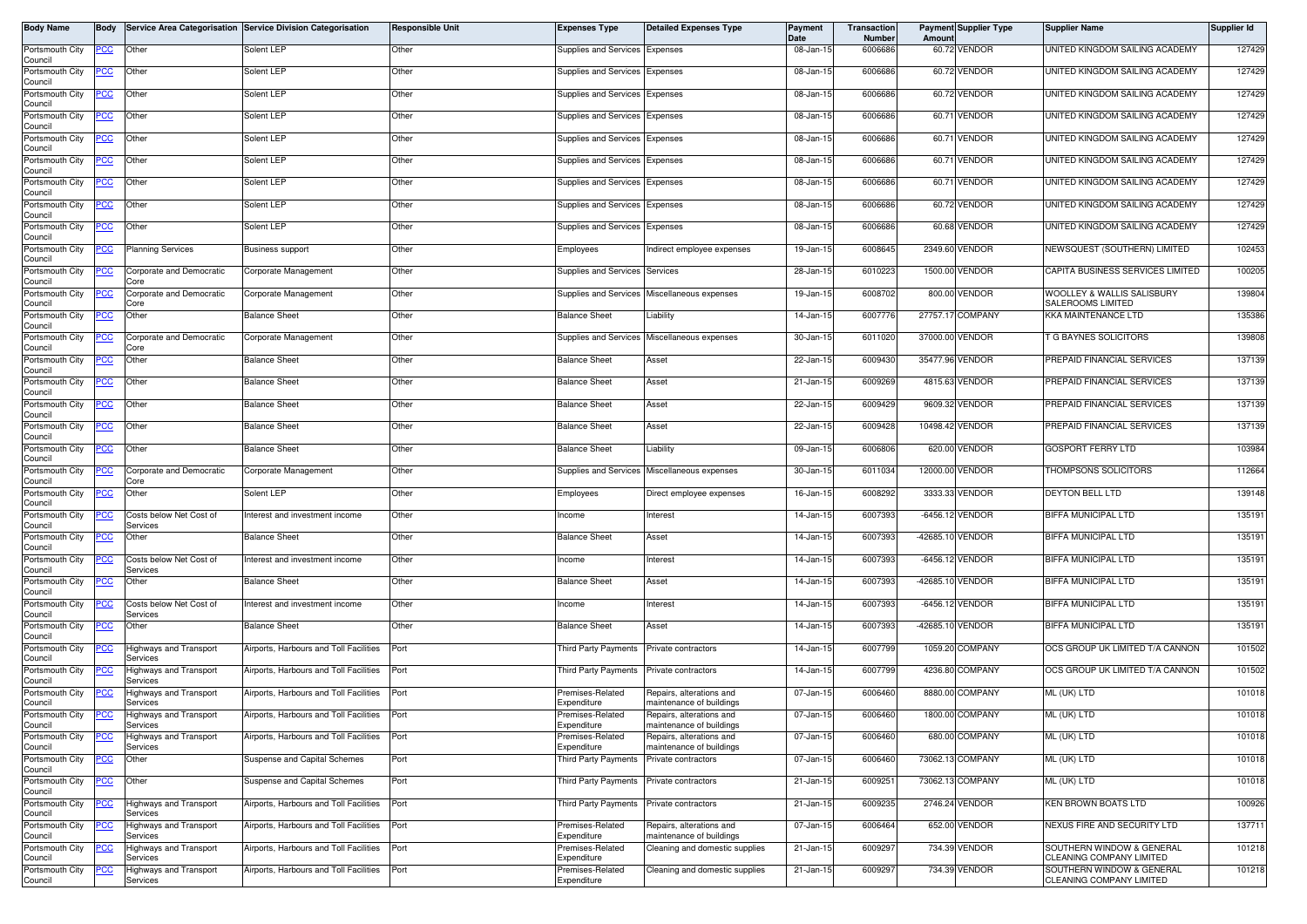| <b>Body Name</b>           | Body        |                                           | Service Area Categorisation Service Division Categorisation | <b>Responsible Unit</b> | <b>Expenses Type</b>                     | <b>Detailed Expenses Type</b>                        | Payment<br>Date | Transaction<br>Number | <b>Payment Supplier Type</b><br>Amoun |               | <b>Supplier Name</b>                                  | Supplier Id |
|----------------------------|-------------|-------------------------------------------|-------------------------------------------------------------|-------------------------|------------------------------------------|------------------------------------------------------|-----------------|-----------------------|---------------------------------------|---------------|-------------------------------------------------------|-------------|
| Portsmouth City<br>Council | <u>PCC</u>  | Other                                     | Solent LEP                                                  | Other                   | Supplies and Services Expenses           |                                                      | 08-Jan-15       | 6006686               | 60.72 VENDOR                          |               | UNITED KINGDOM SAILING ACADEMY                        | 127429      |
| Portsmouth City            | <u>PCC</u>  | Other                                     | Solent LEP                                                  | Other                   | Supplies and Services Expenses           |                                                      | 08-Jan-15       | 6006686               | 60.72 VENDOR                          |               | UNITED KINGDOM SAILING ACADEMY                        | 127429      |
| Council<br>Portsmouth City | <u>PCC</u>  | Other                                     | Solent LEP                                                  | Other                   | Supplies and Services Expenses           |                                                      | 08-Jan-15       | 6006686               | 60.72 VENDOR                          |               | UNITED KINGDOM SAILING ACADEMY                        | 127429      |
| Council<br>Portsmouth City | <u>'CC</u>  | Other                                     | Solent LEP                                                  | Other                   | Supplies and Services Expenses           |                                                      | 08-Jan-15       | 6006686               | 60.71 VENDOR                          |               | UNITED KINGDOM SAILING ACADEMY                        | 127429      |
| Council<br>Portsmouth City | $PCC$       | Other                                     | Solent LEP                                                  | Other                   | Supplies and Services Expenses           |                                                      | 08-Jan-15       | 6006686               | 60.71 VENDOR                          |               | UNITED KINGDOM SAILING ACADEMY                        | 127429      |
| Council<br>Portsmouth City |             | Other                                     | Solent LEP                                                  | Other                   | Supplies and Services Expenses           |                                                      | 08-Jan-15       | 6006686               | 60.71 VENDOR                          |               | UNITED KINGDOM SAILING ACADEMY                        | 127429      |
| Council                    | <u>PCC</u>  |                                           |                                                             |                         |                                          |                                                      |                 |                       |                                       |               |                                                       |             |
| Portsmouth City<br>Council | <u>PCC</u>  | Other                                     | Solent LEP                                                  | Other                   | Supplies and Services Expenses           |                                                      | 08-Jan-15       | 6006686               | 60.71 VENDOR                          |               | UNITED KINGDOM SAILING ACADEMY                        | 127429      |
| Portsmouth City<br>Council | <u>'CC</u>  | Other                                     | Solent LEP                                                  | Other                   | Supplies and Services Expenses           |                                                      | 08-Jan-15       | 6006686               | 60.72 VENDOR                          |               | UNITED KINGDOM SAILING ACADEMY                        | 127429      |
| Portsmouth City<br>Council | <u>PCC</u>  | Other                                     | Solent LEP                                                  | Other                   | Supplies and Services Expenses           |                                                      | 08-Jan-15       | 6006686               | 60.68 VENDOR                          |               | UNITED KINGDOM SAILING ACADEMY                        | 127429      |
| Portsmouth City<br>Council | <u>PCC</u>  | <b>Planning Services</b>                  | Business support                                            | Other                   | Employees                                | Indirect employee expenses                           | 19-Jan-15       | 6008645               | 2349.60 VENDOR                        |               | NEWSQUEST (SOUTHERN) LIMITED                          | 102453      |
| Portsmouth City<br>Council | <u>PCC </u> | Corporate and Democratic<br>Core          | Corporate Management                                        | Other                   | Supplies and Services Services           |                                                      | 28-Jan-15       | 6010223               | 1500.00 VENDOR                        |               | CAPITA BUSINESS SERVICES LIMITED                      | 100205      |
| Portsmouth City<br>Council | <u>PCC</u>  | Corporate and Democratic<br>Core          | Corporate Management                                        | Other                   |                                          | Supplies and Services Miscellaneous expenses         | 19-Jan-15       | 6008702               | 800.00 VENDOR                         |               | WOOLLEY & WALLIS SALISBURY<br>SALEROOMS LIMITED       | 139804      |
| Portsmouth City            | <u>'СС</u>  | Other                                     | <b>Balance Sheet</b>                                        | Other                   | <b>Balance Sheet</b>                     | Liability                                            | 14-Jan-15       | 6007776               | 27757.17 COMPANY                      |               | KKA MAINTENANCE LTD                                   | 135386      |
| Council<br>Portsmouth City | <u>PCC</u>  | Corporate and Democratic                  | Corporate Management                                        | Other                   |                                          | Supplies and Services Miscellaneous expenses         | 30-Jan-15       | 6011020               | 37000.00 VENDOR                       |               | <b>G BAYNES SOLICITORS</b>                            | 139808      |
| Council<br>Portsmouth City | <u>cc</u>   | Core<br>Other                             | <b>Balance Sheet</b>                                        | Other                   | <b>Balance Sheet</b>                     | Asset                                                | 22-Jan-15       | 6009430               | 35477.96 VENDOR                       |               | PREPAID FINANCIAL SERVICES                            | 137139      |
| Council<br>Portsmouth City | <u>PCC</u>  | Other                                     | <b>Balance Sheet</b>                                        | Other                   | <b>Balance Sheet</b>                     | Asset                                                | 21-Jan-15       | 6009269               | 4815.63 VENDOR                        |               | PREPAID FINANCIAL SERVICES                            | 137139      |
| Council<br>Portsmouth City | <u>PCC</u>  | Other                                     | <b>Balance Sheet</b>                                        | Other                   | <b>Balance Sheet</b>                     | Asset                                                | 22-Jan-15       | 6009429               | 9609.32                               | <b>VENDOR</b> | PREPAID FINANCIAL SERVICES                            | 137139      |
| Council<br>Portsmouth City | <u>'CC</u>  | Other                                     | <b>Balance Sheet</b>                                        | Other                   | <b>Balance Sheet</b>                     | Asset                                                | 22-Jan-15       | 6009428               | 10498.42 VENDOR                       |               | PREPAID FINANCIAL SERVICES                            | 137139      |
| Council<br>Portsmouth City |             | Other                                     | <b>Balance Sheet</b>                                        | Other                   | <b>Balance Sheet</b>                     | Liability                                            | 09-Jan-15       | 6006806               | 620.00 VENDOR                         |               | GOSPORT FERRY LTD                                     | 103984      |
| Council                    | <u>CC</u>   |                                           |                                                             |                         |                                          |                                                      |                 |                       |                                       |               |                                                       |             |
| Portsmouth City<br>Council | <u>PCC</u>  | Corporate and Democratic<br>Core          | Corporate Management                                        | Other                   |                                          | Supplies and Services Miscellaneous expenses         | 30-Jan-15       | 6011034               | 12000.00 VENDOR                       |               | <b>THOMPSONS SOLICITORS</b>                           | 112664      |
| Portsmouth City<br>Council | <u>CC</u>   | Other                                     | Solent LEP                                                  | Other                   | Employees                                | Direct employee expenses                             | 16-Jan-15       | 6008292               | 3333.33 VENDOR                        |               | DEYTON BELL LTD                                       | 139148      |
| Portsmouth City<br>Council | сC          | Costs below Net Cost of<br>Services       | Interest and investment income                              | Other                   | Income                                   | Interest                                             | 14-Jan-15       | 6007393               | $-6456.12$                            | VENDOR        | <b>BIFFA MUNICIPAL LTD</b>                            | 135191      |
| Portsmouth City<br>Council | <u>PCC</u>  | Other                                     | <b>Balance Sheet</b>                                        | Other                   | <b>Balance Sheet</b>                     | Asset                                                | 14-Jan-15       | 6007393               | -42685.10 VENDOR                      |               | BIFFA MUNICIPAL LTD                                   | 135191      |
| Portsmouth City<br>Council | <u>PCC</u>  | Costs below Net Cost of<br>Services       | Interest and investment income                              | Other                   | Income                                   | Interest                                             | 14-Jan-15       | 6007393               | -6456.12 VENDOR                       |               | BIFFA MUNICIPAL LTD                                   | 135191      |
| Portsmouth City<br>Council | <u>'СС</u>  | Other                                     | <b>Balance Sheet</b>                                        | Other                   | Balance Sheet                            | Asset                                                | 14-Jan-15       | 6007393               | -42685.10 VENDOR                      |               | BIFFA MUNICIPAL LTD                                   | 135191      |
| Portsmouth City            | 'CC         | Costs below Net Cost of                   | Interest and investment income                              | Other                   | Income                                   | Interest                                             | 14-Jan-15       | 6007393               | -6456.12 VENDOR                       |               | BIFFA MUNICIPAL LTD                                   | 135191      |
| Council<br>Portsmouth City | <u>PCC</u>  | Services<br>Other                         | <b>Balance Sheet</b>                                        | Other                   | <b>Balance Sheet</b>                     | Asset                                                | 14-Jan-15       | 6007393               | $-42685.10$                           | <b>VENDOR</b> | BIFFA MUNICIPAL LTD                                   | 135191      |
| Council<br>Portsmouth City | <u>PCC</u>  | Highways and Transport                    | Airports, Harbours and Toll Facilities                      | Port                    | Third Party Payments Private contractors |                                                      | 14-Jan-15       | 6007799               | 1059.20 COMPANY                       |               | OCS GROUP UK LIMITED T/A CANNON                       | 101502      |
| Council<br>Portsmouth City | <u>cc</u>   | Services<br>Highways and Transport        | Airports, Harbours and Toll Facilities                      | Port                    | Third Party Payments                     | Private contractors                                  | 14-Jan-15       | 6007799               | 4236.80 COMPANY                       |               | OCS GROUP UK LIMITED T/A CANNON                       | 101502      |
| Council<br>Portsmouth City | <u>PCC</u>  | Services<br>lighways and Transport        | Airports, Harbours and Toll Facilities                      | Port                    | Premises-Related                         | Repairs, alterations and                             | 07-Jan-15       | 6006460               | 8880.00 COMPANY                       |               | ML (UK) LTD                                           | 101018      |
| Council<br>Portsmouth City | <b>PCC</b>  | Services<br>Highways and Transport        | Airports, Harbours and Toll Facilities                      | Port                    | Expenditure<br>Premises-Related          | maintenance of buildings<br>Repairs, alterations and | 07-Jan-15       | 6006460               | 1800.00 COMPANY                       |               | ML (UK) LTD                                           | 101018      |
| Council<br>Portsmouth City |             | Services<br><b>Highways and Transport</b> | Airports, Harbours and Toll Facilities                      | Port                    | Expenditure<br>Premises-Related          | maintenance of buildings<br>Repairs, alterations and | 07-Jan-15       | 6006460               | 680.00 COMPANY                        |               | ML (UK) LTD                                           | 101018      |
| Council                    | <u>'СС</u>  | Services                                  |                                                             |                         | Expenditure                              | maintenance of buildings                             |                 |                       |                                       |               |                                                       |             |
| Portsmouth City<br>Council | CС          | Other                                     | Suspense and Capital Schemes                                | Port                    | Third Party Payments                     | Private contractors                                  | 07-Jan-15       | 6006460               | 73062.13 COMPANY                      |               | ML (UK) LTD                                           | 101018      |
| Portsmouth City<br>Council | <u>PCC</u>  | Other                                     | Suspense and Capital Schemes                                | Port                    | Third Party Payments                     | Private contractors                                  | 21-Jan-15       | 6009251               | 73062.13 COMPANY                      |               | ML (UK) LTD                                           | 101018      |
| Portsmouth City<br>Council | CC          | Highways and Transport<br>Services        | Airports, Harbours and Toll Facilities                      | Port                    | Third Party Payments                     | Private contractors                                  | 21-Jan-15       | 6009235               | 2746.24 VENDOR                        |               | KEN BROWN BOATS LTD                                   | 100926      |
| Portsmouth City<br>Council | <u>cc</u>   | Highways and Transport<br>Services        | Airports, Harbours and Toll Facilities                      | Port                    | Premises-Related<br>Expenditure          | Repairs, alterations and<br>maintenance of buildings | 07-Jan-15       | 6006464               | 652.00 VENDOR                         |               | NEXUS FIRE AND SECURITY LTD                           | 137711      |
| Portsmouth City<br>Council | <u>CC</u>   | Highways and Transport<br>Services        | Airports, Harbours and Toll Facilities Port                 |                         | Premises-Related<br>Expenditure          | Cleaning and domestic supplies                       | 21-Jan-15       | 6009297               | 734.39 VENDOR                         |               | SOUTHERN WINDOW & GENERAL<br>CLEANING COMPANY LIMITED | 101218      |
| Portsmouth City<br>Council | <u>CC</u>   | <b>Highways and Transport</b><br>Services | Airports. Harbours and Toll Facilities                      | Port                    | Premises-Related<br>Expenditure          | Cleaning and domestic supplies                       | 21-Jan-15       | 6009297               | 734.39 VENDOR                         |               | SOUTHERN WINDOW & GENERAL<br>CLEANING COMPANY LIMITED | 101218      |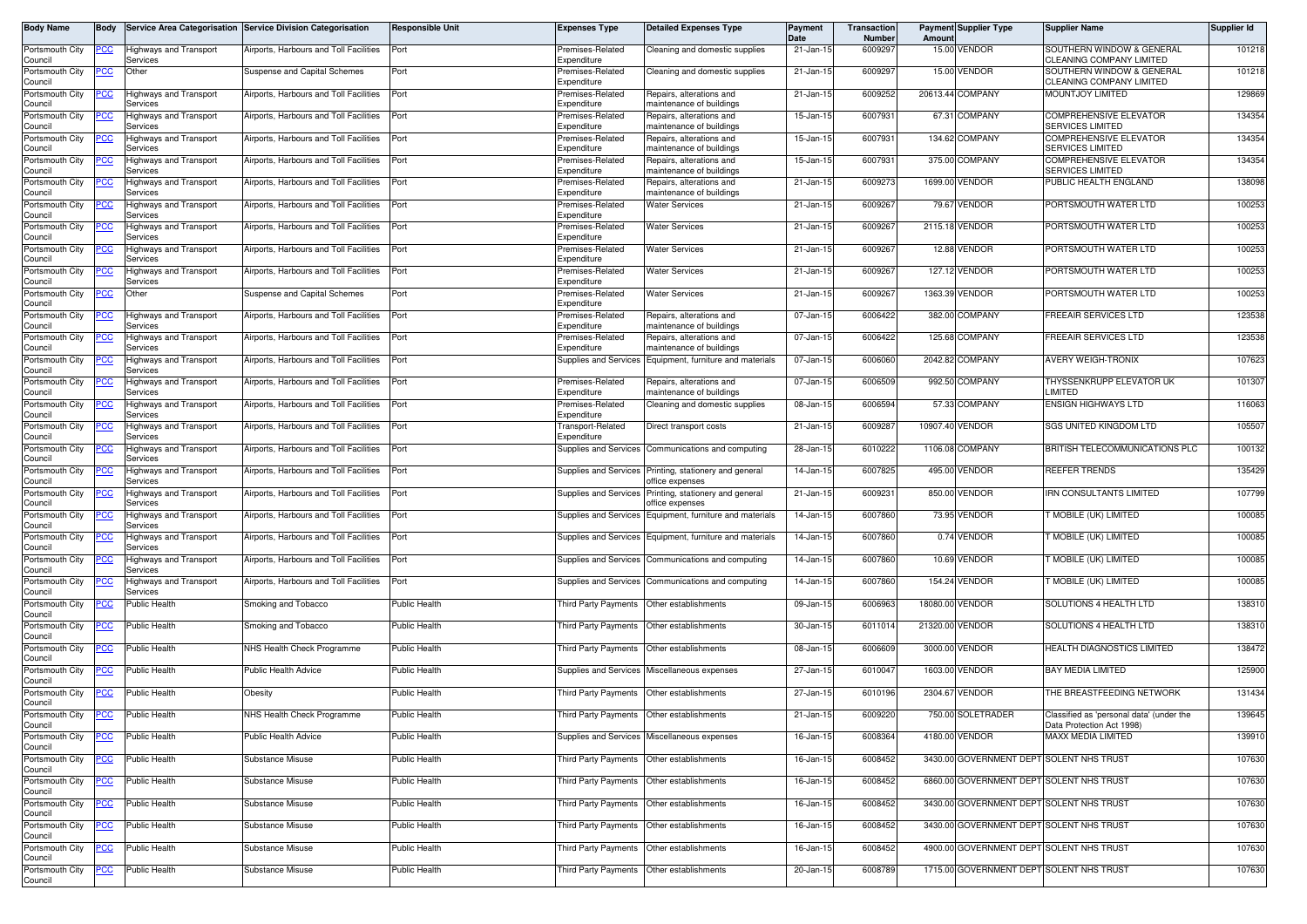| Body Name                  | Body        |                                           | Service Area Categorisation Service Division Categorisation | <b>Responsible Unit</b> | <b>Expenses Type</b>                       | <b>Detailed Expenses Type</b>                                  | Payment<br>Date | Transaction<br>Number | Amount   | <b>Payment Supplier Type</b> | <b>Supplier Name</b>                                                  | Supplier Id |
|----------------------------|-------------|-------------------------------------------|-------------------------------------------------------------|-------------------------|--------------------------------------------|----------------------------------------------------------------|-----------------|-----------------------|----------|------------------------------|-----------------------------------------------------------------------|-------------|
| Portsmouth City<br>Council | <u>PCC</u>  | Highways and Transport<br>Services        | Airports, Harbours and Toll Facilities                      | Port                    | Premises-Related<br>Expenditure            | Cleaning and domestic supplies                                 | 21-Jan-15       | 6009297               | 15.00    | /ENDOR                       | SOUTHERN WINDOW & GENERAL<br>CLEANING COMPANY LIMITED                 | 101218      |
| Portsmouth City<br>Council | PCC         | Other                                     | Suspense and Capital Schemes                                | Port                    | Premises-Related<br>Expenditure            | Cleaning and domestic supplies                                 | 21-Jan-15       | 6009297               |          | 15.00 VENDOR                 | SOUTHERN WINDOW & GENERAL<br><b>CLEANING COMPANY LIMITED</b>          | 101218      |
| Portsmouth City<br>Council |             | Highways and Transport<br>Services        | Airports, Harbours and Toll Facilities                      | Port                    | Premises-Related<br>Expenditure            | Repairs, alterations and<br>maintenance of buildings           | 21-Jan-15       | 6009252               |          | 20613.44 COMPANY             | MOUNTJOY LIMITED                                                      | 129869      |
| Portsmouth City<br>Council | <u>PCC</u>  | Highways and Transport<br>Services        | Airports, Harbours and Toll Facilities                      | Port                    | Premises-Related<br>Expenditure            | Repairs, alterations and<br>maintenance of buildings           | 15-Jan-15       | 6007931               |          | 67.31 COMPANY                | <b>COMPREHENSIVE ELEVATOR</b><br><b>SERVICES LIMITED</b>              | 134354      |
| Portsmouth City<br>Council | <u> РСС</u> | Highways and Transport<br>Services        | Airports, Harbours and Toll Facilities                      | Port                    | Premises-Related<br>Expenditure            | Repairs, alterations and<br>maintenance of buildings           | 15-Jan-1        | 6007931               |          | 134.62 COMPANY               | <b>COMPREHENSIVE ELEVATOR</b><br>SERVICES LIMITED                     | 134354      |
| Portsmouth City<br>Council | PCC         | Highways and Transport<br>Services        | Airports, Harbours and Toll Facilities                      | Port                    | Premises-Related<br>Expenditure            | Repairs, alterations and<br>maintenance of buildings           | 15-Jan-15       | 6007931               | 375.00   | <b>COMPANY</b>               | COMPREHENSIVE ELEVATOR<br><b>SERVICES LIMITED</b>                     | 134354      |
| Portsmouth City<br>Council |             | Highways and Transport<br>Services        | Airports. Harbours and Toll Facilities                      | Port                    | Premises-Related<br>Expenditure            | Repairs, alterations and<br>maintenance of buildings           | 21-Jan-15       | 6009273               |          | 1699.00 VENDOR               | PUBLIC HEALTH ENGLAND                                                 | 138098      |
| Portsmouth City<br>Council | <u> РСС</u> | <b>Highways and Transport</b><br>Services | Airports, Harbours and Toll Facilities                      | Port                    | Premises-Related<br>Expenditure            | <b>Water Services</b>                                          | 21-Jan-15       | 6009267               |          | 79.67 VENDOR                 | PORTSMOUTH WATER LTD                                                  | 100253      |
| Portsmouth City<br>Council |             | Highways and Transport<br>Services        | Airports, Harbours and Toll Facilities                      | Port                    | Premises-Related<br>Expenditure            | <b>Water Services</b>                                          | 21-Jan-15       | 600926                | 2115.18  | /ENDOR                       | PORTSMOUTH WATER LTD                                                  | 100253      |
| Portsmouth City            | PСC         | Highways and Transport                    | Airports, Harbours and Toll Facilities                      | Port                    | Premises-Related                           | <b>Water Services</b>                                          | 21-Jan-15       | 600926                |          | 12.88 VENDOR                 | PORTSMOUTH WATER LTD                                                  | 100253      |
| Council<br>Portsmouth City | <u>PCC</u>  | Services<br>Highways and Transport        | Airports, Harbours and Toll Facilities                      | Port                    | Expenditure<br>Premises-Related            | <b>Water Services</b>                                          | 21-Jan-15       | 6009267               | 127.12   | <b>ENDOR</b>                 | PORTSMOUTH WATER LTD                                                  | 100253      |
| Council<br>Portsmouth City | PCC         | Services<br>Other                         | Suspense and Capital Schemes                                | Port                    | Expenditure<br>Premises-Related            | <b>Water Services</b>                                          | 21-Jan-15       | 6009267               |          | 1363.39 VENDOR               | PORTSMOUTH WATER LTD                                                  | 100253      |
| Council<br>Portsmouth City | <u>PCC</u>  | <b>Highways and Transport</b>             | Airports, Harbours and Toll Facilities                      | Port                    | Expenditure<br>Premises-Related            | Repairs, alterations and                                       | 07-Jan-15       | 6006422               |          | 382.00 COMPANY               | FREEAIR SERVICES LTD                                                  | 123538      |
| Council<br>Portsmouth City |             | Services<br>lighways and Transport        | Airports, Harbours and Toll Facilities                      | Port                    | Expenditure<br>Premises-Related            | maintenance of buildings<br>Repairs, alterations and           | 07-Jan-15       | 6006422               | 125.68   | <b>COMPANY</b>               | <b>FREEAIR SERVICES LTD</b>                                           | 123538      |
| Council<br>Portsmouth City | PCC         | Services<br><b>Highways and Transport</b> | Airports, Harbours and Toll Facilities                      | Port                    | Expenditure<br>Supplies and Services       | maintenance of buildings<br>Equipment, furniture and materials | 07-Jan-15       | 6006060               |          | 2042.82 COMPANY              | <b>AVERY WEIGH-TRONIX</b>                                             | 107623      |
| Council<br>Portsmouth City | <u>'CC</u>  | Services<br>Highways and Transport        | Airports, Harbours and Toll Facilities                      | Port                    | Premises-Related                           | Repairs, alterations and                                       | 07-Jan-15       | 6006509               | 992.50   | <b>COMPANY</b>               | THYSSENKRUPP ELEVATOR UK                                              | 101307      |
| Council<br>Portsmouth City |             | Services<br>Highways and Transport        | Airports, Harbours and Toll Facilities                      | Port                    | Expenditure<br>Premises-Related            | maintenance of buildings<br>Cleaning and domestic supplies     | 08-Jan-15       | 6006594               |          | 57.33 COMPANY                | LIMITED<br><b>ENSIGN HIGHWAYS LTD</b>                                 | 116063      |
| Council<br>Portsmouth City | <u>PCC</u>  | Services<br>Highways and Transport        | Airports, Harbours and Toll Facilities                      | Port                    | Expenditure<br>Fransport-Related           | Direct transport costs                                         | 21-Jan-15       | 6009287               |          | 10907.40 VENDOR              | SGS UNITED KINGDOM LTD                                                | 105507      |
| Council<br>Portsmouth City | PСC         | Services<br>Highways and Transport        | Airports, Harbours and Toll Facilities                      | Port                    | Expenditure<br>Supplies and Services       | Communications and computing                                   | 28-Jan-15       | 6010222               | 1106.08  | COMPANY                      | BRITISH TELECOMMUNICATIONS PLC                                        | 100132      |
| Council<br>Portsmouth City |             | Services<br>Highways and Transport        | Airports, Harbours and Toll Facilities                      | Port                    | Supplies and Services                      | Printing, stationery and general                               | 14-Jan-15       | 6007825               |          | 495.00 VENDOR                | REEFER TRENDS                                                         | 135429      |
| Council<br>Portsmouth City | PCC         | Services<br>Highways and Transport        | Airports, Harbours and Toll Facilities                      | Port                    | Supplies and Services                      | office expenses<br>Printing, stationery and general            | 21-Jan-15       | 6009231               |          | 850.00 VENDOR                | <b>IRN CONSULTANTS LIMITED</b>                                        | 107799      |
| Council<br>Portsmouth City |             | Services<br>Highways and Transport        | Airports, Harbours and Toll Facilities                      | Port                    | Supplies and Services                      | office expenses<br>Equipment, furniture and materials          | 14-Jan-15       | 6007860               | 73.95    | /ENDOR                       | T MOBILE (UK) LIMITED                                                 | 100085      |
| Council<br>Portsmouth City |             | Services<br>Highways and Transport        | Airports, Harbours and Toll Facilities                      | Port                    |                                            | Supplies and Services Equipment, furniture and materials       | 14-Jan-15       | 6007860               |          | 0.74 VENDOR                  | T MOBILE (UK) LIMITED                                                 | 100085      |
| Council<br>Portsmouth City | ပင          | Services<br>Highways and Transport        | Airports, Harbours and Toll Facilities                      | Port                    | Supplies and Services                      | Communications and computing                                   | 14-Jan-15       | 6007860               |          | 10.69 VENDOR                 | T MOBILE (UK) LIMITED                                                 | 100085      |
| Council<br>Portsmouth City | PСC         | Services<br>Highways and Transport        | Airports, Harbours and Toll Facilities                      | Port                    |                                            | Supplies and Services Communications and computing             | 14-Jan-15       | 6007860               |          | 154.24 VENDOR                | T MOBILE (UK) LIMITED                                                 | 100085      |
| Council<br>Portsmouth City | <u>PCC</u>  | Services<br>Public Health                 | Smoking and Tobacco                                         | Public Health           | Third Party Payments                       | Other establishments                                           | 09-Jan-1        | 6006963               | 18080.00 | VENDOR                       | SOLUTIONS 4 HEALTH LTD                                                | 138310      |
| Council<br>Portsmouth City | <u>PCC</u>  | <b>Public Health</b>                      | Smoking and Tobacco                                         | <b>Public Health</b>    | Third Party Payments                       | Other establishments                                           | 30-Jan-15       | 6011014               | 21320.00 | /ENDOR                       | SOLUTIONS 4 HEALTH LTD                                                | 138310      |
| Council<br>Portsmouth City |             | Public Health                             | NHS Health Check Programme                                  | <b>Public Health</b>    | Third Party Payments  Other establishments |                                                                | 08-Jan-15       | 6006609               |          | 3000.00 VENDOR               | HEALTH DIAGNOSTICS LIMITED                                            | 138472      |
| Council                    |             |                                           | Public Health Advice                                        | <b>Public Health</b>    |                                            |                                                                | 27-Jan-15       | 6010047               |          | 1603.00 VENDOR               | <b>BAY MEDIA LIMITED</b>                                              | 125900      |
| Portsmouth City<br>Council | <u>PCC</u>  | Public Health                             |                                                             |                         |                                            | Supplies and Services Miscellaneous expenses                   |                 |                       |          | 2304.67 VENDOR               |                                                                       |             |
| Portsmouth City<br>Council | <u>PCC</u>  | Public Health                             | Obesity                                                     | <b>Public Health</b>    | Third Party Payments                       | Other establishments                                           | 27-Jan-1        | 6010196               |          |                              | THE BREASTFEEDING NETWORK                                             | 131434      |
| Portsmouth City<br>Council | <b>PCC</b>  | <b>Public Health</b>                      | NHS Health Check Programme                                  | <b>Public Health</b>    | Third Party Payments Other establishments  |                                                                | 21-Jan-15       | 6009220               |          | 750.00 SOLETRADER            | Classified as 'personal data' (under the<br>Data Protection Act 1998) | 139645      |
| Portsmouth City<br>Council | <u>PCC</u>  | Public Health                             | Public Health Advice                                        | <b>Public Health</b>    |                                            | Supplies and Services Miscellaneous expenses                   | 16-Jan-15       | 6008364               |          | 4180.00 VENDOR               | <b>MAXX MEDIA LIMITED</b>                                             | 139910      |
| Portsmouth City<br>Council | <u>PCC</u>  | Public Health                             | Substance Misuse                                            | <b>Public Health</b>    | Third Party Payments Other establishments  |                                                                | 16-Jan-15       | 6008452               |          |                              | 3430.00 GOVERNMENT DEPT SOLENT NHS TRUST                              | 107630      |
| Portsmouth City<br>Council | <u>PCC</u>  | Public Health                             | Substance Misuse                                            | <b>Public Health</b>    | Third Party Payments                       | Other establishments                                           | 16-Jan-15       | 6008452               |          |                              | 6860.00 GOVERNMENT DEPT SOLENT NHS TRUST                              | 107630      |
| Portsmouth City<br>Council | <u>PCC</u>  | Public Health                             | Substance Misuse                                            | <b>Public Health</b>    | Third Party Payments Other establishments  |                                                                | 16-Jan-15       | 6008452               |          |                              | 3430.00 GOVERNMENT DEPT SOLENT NHS TRUST                              | 107630      |
| Portsmouth City<br>Council | <u>PCC</u>  | <b>Public Health</b>                      | Substance Misuse                                            | <b>Public Health</b>    | Third Party Payments Other establishments  |                                                                | 16-Jan-15       | 6008452               |          |                              | 3430.00 GOVERNMENT DEPT SOLENT NHS TRUST                              | 107630      |
| Portsmouth City<br>Council |             | Public Health                             | Substance Misuse                                            | <b>Public Health</b>    |                                            | Third Party Payments Other establishments                      | 16-Jan-15       | 6008452               |          |                              | 4900.00 GOVERNMENT DEPT SOLENT NHS TRUST                              | 107630      |
| Portsmouth City<br>Council | <u>PCC</u>  | Public Health                             | Substance Misuse                                            | Public Health           | Third Party Payments Other establishments  |                                                                | 20-Jan-15       | 6008789               |          |                              | 1715.00 GOVERNMENT DEPT SOLENT NHS TRUST                              | 107630      |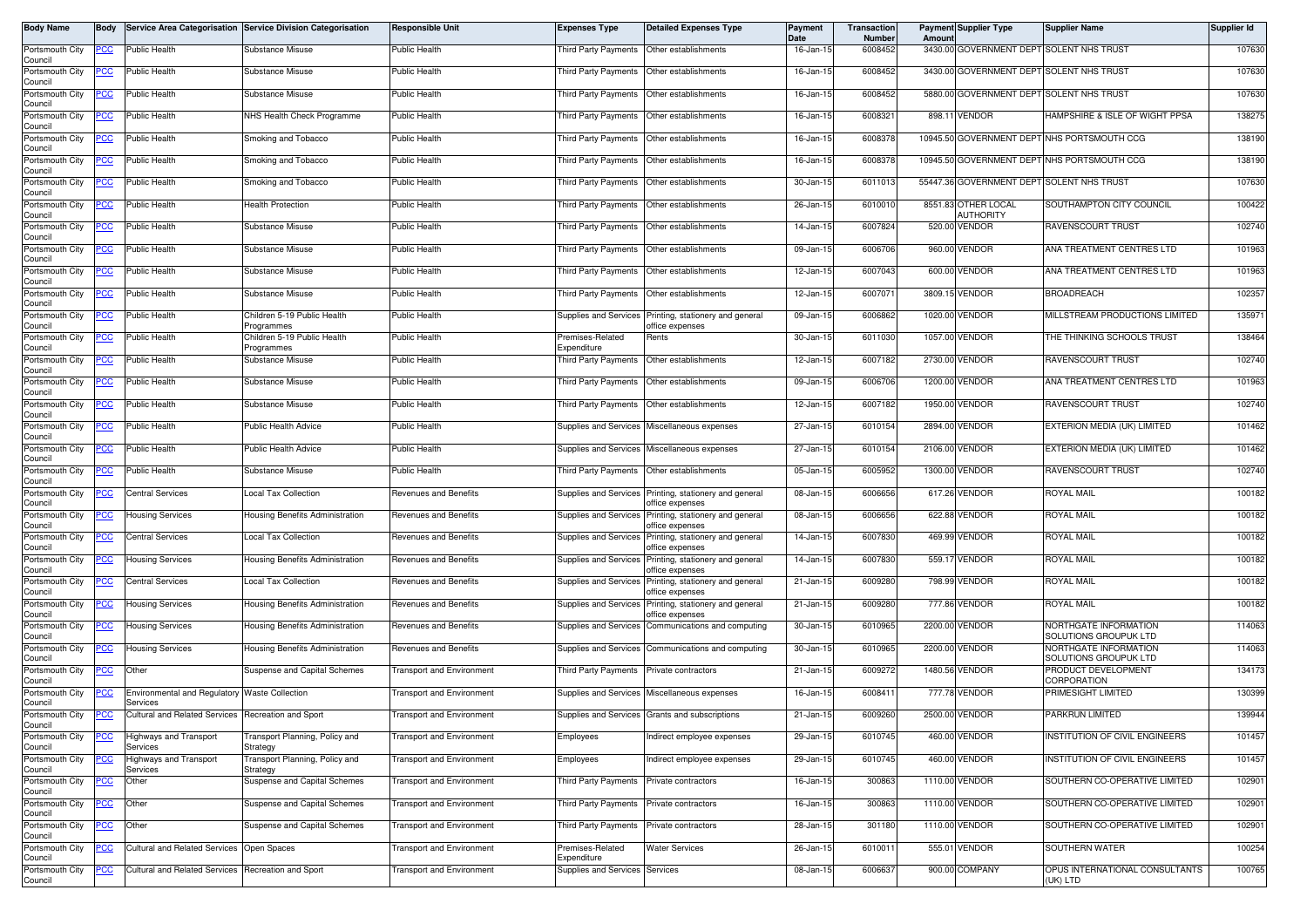| Body Name                  | Body        |                                                           | Service Area Categorisation Service Division Categorisation                       | <b>Responsible Unit</b>          | <b>Expenses Type</b>                                       | <b>Detailed Expenses Type</b>                                             | Payment<br><b>Date</b> | Transaction<br><b>Number</b> | Amount | <b>Payment Supplier Type</b>             | <b>Supplier Name</b>                                           | Supplier Id      |
|----------------------------|-------------|-----------------------------------------------------------|-----------------------------------------------------------------------------------|----------------------------------|------------------------------------------------------------|---------------------------------------------------------------------------|------------------------|------------------------------|--------|------------------------------------------|----------------------------------------------------------------|------------------|
| Portsmouth City<br>Council | PCC         | Public Health                                             | Substance Misuse                                                                  | <b>Public Health</b>             | Third Party Payments                                       | Other establishments                                                      | 16-Jan-15              | 6008452                      |        |                                          | 3430.00 GOVERNMENT DEPT SOLENT NHS TRUST                       | 107630           |
| Portsmouth City<br>Council | PCC         | Public Health                                             | Substance Misuse                                                                  | <b>Public Health</b>             | Third Party Payments                                       | Other establishments                                                      | 16-Jan-15              | 6008452                      |        | 3430.00 GOVERNMENT DEPT SOLENT NHS TRUST |                                                                | 107630           |
| Portsmouth City<br>Council | PCC         | <b>Public Health</b>                                      | Substance Misuse                                                                  | Public Health                    | Third Party Payments                                       | Other establishments                                                      | 16-Jan-15              | 6008452                      |        |                                          | 5880.00 GOVERNMENT DEPT SOLENT NHS TRUST                       | 107630           |
| Portsmouth City<br>Council | <u>'CC</u>  | Public Health                                             | NHS Health Check Programme                                                        | Public Health                    | Third Party Payments                                       | Other establishments                                                      | 16-Jan-15              | 6008321                      | 898.1  | VENDOR                                   | HAMPSHIRE & ISLE OF WIGHT PPSA                                 | 138275           |
| Portsmouth City<br>Council | PCC         | Public Health                                             | Smoking and Tobacco                                                               | <b>Public Health</b>             | <b>Third Party Payments</b>                                | Other establishments                                                      | 16-Jan-15              | 6008378                      |        |                                          | 10945.50 GOVERNMENT DEPT NHS PORTSMOUTH CCG                    | 138190           |
| Portsmouth City<br>Council | <u>PCC</u>  | <b>Public Health</b>                                      | Smoking and Tobacco                                                               | Public Health                    | Third Party Payments                                       | Other establishments                                                      | 16-Jan-15              | 6008378                      |        |                                          | 10945.50 GOVERNMENT DEPT NHS PORTSMOUTH CCG                    | 138190           |
| Portsmouth City<br>Council | <u>PCC</u>  | <b>Public Health</b>                                      | Smoking and Tobacco                                                               | <b>Public Health</b>             | <b>Third Party Payments</b>                                | Other establishments                                                      | 30-Jan-15              | 6011013                      |        |                                          | 55447.36 GOVERNMENT DEPT SOLENT NHS TRUST                      | 107630           |
| Portsmouth City<br>Council | <u>cc</u>   | Public Health                                             | <b>Health Protection</b>                                                          | <b>Public Health</b>             | <b>Third Party Payments</b>                                | Other establishments                                                      | 26-Jan-15              | 6010010                      |        | 8551.83 OTHER LOCAL<br><b>AUTHORITY</b>  | SOUTHAMPTON CITY COUNCIL                                       | 100422           |
| Portsmouth City<br>Council | PCC         | Public Health                                             | Substance Misuse                                                                  | <b>Public Health</b>             | <b>Third Party Payments</b>                                | Other establishments                                                      | 14-Jan-15              | 6007824                      |        | 520.00 VENDOR                            | RAVENSCOURT TRUST                                              | 102740           |
| Portsmouth City<br>Council | PСC         | Public Health                                             | Substance Misuse                                                                  | <b>Public Health</b>             | <b>Third Party Payments</b>                                | Other establishments                                                      | 09-Jan-15              | 6006706                      |        | 960.00 VENDOR                            | ANA TREATMENT CENTRES LTD                                      | 101963           |
| Portsmouth City<br>Council | <u>PCC</u>  | <b>Public Health</b>                                      | Substance Misuse                                                                  | <b>Public Health</b>             | <b>Third Party Payments</b>                                | Other establishments                                                      | 12-Jan-15              | 6007043                      |        | 600.00 VENDOR                            | ANA TREATMENT CENTRES LTD                                      | 101963           |
| Portsmouth City<br>Council |             | Public Health                                             | Substance Misuse                                                                  | <b>Public Health</b>             | Third Party Payments                                       | Other establishments                                                      | 12-Jan-15              | 6007071                      |        | 3809.15 VENDOR                           | <b>BROADREACH</b>                                              | 102357           |
| Portsmouth City<br>Council | <u>PCC</u>  | Public Health                                             | Children 5-19 Public Health<br>Programmes                                         | <b>Public Health</b>             |                                                            | Supplies and Services Printing, stationery and general<br>office expenses | 09-Jan-15              | 6006862                      |        | 1020.00 VENDOR                           | MILLSTREAM PRODUCTIONS LIMITED                                 | 135971           |
| Portsmouth City<br>Council | ပင          | Public Health                                             | Children 5-19 Public Health<br>Programmes                                         | Public Health                    | Premises-Related<br>Expenditure                            | Rents                                                                     | 30-Jan-15              | 6011030                      |        | 1057.00 VENDOR                           | THE THINKING SCHOOLS TRUST                                     | 138464           |
| Portsmouth City<br>Council | сc          | <b>Public Health</b>                                      | Substance Misuse                                                                  | <b>Public Health</b>             | Third Party Payments                                       | Other establishments                                                      | 12-Jan-15              | 6007182                      |        | 2730.00 VENDOR                           | RAVENSCOURT TRUST                                              | 102740           |
| Portsmouth City<br>Council | <u>'CC</u>  | <b>Public Health</b>                                      | Substance Misuse                                                                  | Public Health                    | <b>Third Party Payments</b>                                | Other establishments                                                      | 09-Jan-15              | 6006706                      |        | 1200.00 VENDOR                           | ANA TREATMENT CENTRES LTD                                      | 101963           |
| Portsmouth City<br>Council | <u> РСС</u> | <b>Public Health</b>                                      | Substance Misuse                                                                  | <b>Public Health</b>             | <b>Third Party Payments</b>                                | Other establishments                                                      | 12-Jan-15              | 6007182                      |        | 1950.00 VENDOR                           | RAVENSCOURT TRUST                                              | 102740           |
| Portsmouth City<br>Council | CC          | <b>Public Health</b>                                      | <b>Public Health Advice</b>                                                       | <b>Public Health</b>             | Supplies and Services                                      | Miscellaneous expenses                                                    | 27-Jan-15              | 6010154                      |        | 2894.00 VENDOR                           | EXTERION MEDIA (UK) LIMITED                                    | 101462           |
| Portsmouth City<br>Council | <u>cc</u>   | Public Health                                             | Public Health Advice                                                              | <b>Public Health</b>             | Supplies and Services                                      | Miscellaneous expenses                                                    | 27-Jan-15              | 6010154                      |        | 2106.00 VENDOR                           | EXTERION MEDIA (UK) LIMITED                                    | 101462           |
| Portsmouth City<br>Council | <b>PCC</b>  | <b>Public Health</b>                                      | Substance Misuse                                                                  | Public Health                    | Third Party Payments                                       | Other establishments                                                      | 05-Jan-15              | 6005952                      |        | 1300.00 VENDOR                           | <b>RAVENSCOURT TRUST</b>                                       | 102740           |
| Portsmouth City<br>Council | сc          | <b>Central Services</b>                                   | Local Tax Collection                                                              | Revenues and Benefits            |                                                            | Supplies and Services Printing, stationery and general<br>office expenses | 08-Jan-15              | 6006656                      |        | 617.26 VENDOR                            | ROYAL MAIL                                                     | 100182           |
| Portsmouth City<br>Council | сc          | Housing Services                                          | Housing Benefits Administration                                                   | <b>Revenues and Benefits</b>     | Supplies and Services                                      | Printing, stationery and general<br>office expenses                       | 08-Jan-15              | 6006656                      |        | 622.88 VENDOR                            | ROYAL MAIL                                                     | 100182           |
| Portsmouth City<br>Council | PCC         | <b>Central Services</b>                                   | Local Tax Collection                                                              | Revenues and Benefits            | Supplies and Services                                      | Printing, stationery and general<br>office expenses                       | 14-Jan-15              | 6007830                      |        | 469.99 VENDOR                            | ROYAL MAIL                                                     | 100182           |
| Portsmouth City<br>Council | <u>PCC</u>  | <b>Housing Services</b>                                   | Housing Benefits Administration                                                   | Revenues and Benefits            | Supplies and Services                                      | Printing, stationery and general<br>office expenses                       | 14-Jan-15              | 6007830                      |        | 559.17 VENDOR                            | ROYAL MAIL                                                     | 100182           |
| Portsmouth City<br>Council | PСC         | <b>Central Services</b>                                   | <b>Local Tax Collection</b>                                                       | Revenues and Benefits            | Supplies and Services                                      | Printing, stationery and general<br>office expenses                       | 21-Jan-15              | 6009280                      |        | 798.99 VENDOR                            | <b>ROYAL MAIL</b>                                              | 100182           |
| Portsmouth City<br>Council | PCC         | <b>Housing Services</b>                                   | Housing Benefits Administration                                                   | Revenues and Benefits            | Supplies and Services                                      | Printing, stationery and general<br>office expenses                       | 21-Jan-15              | 6009280                      |        | 777.86 VENDOR                            | <b>ROYAL MAIL</b>                                              | 100182           |
| Portsmouth City<br>Council | <u>PCC</u>  | <b>Housing Services</b>                                   | Housing Benefits Administration                                                   | Revenues and Benefits            | Supplies and Services                                      | Communications and computing                                              | 30-Jan-15              | 6010965                      |        | 2200.00 VENDOR                           | NORTHGATE INFORMATION<br>SOLUTIONS GROUPUK LTD                 | 114063           |
| Portsmouth City<br>Council | <u>PCC</u>  | <b>Housing Services</b>                                   | Housing Benefits Administration                                                   | Revenues and Benefits            |                                                            | Supplies and Services Communications and computing                        | 30-Jan-15              | 6010965                      |        | 2200.00 VENDOR                           | NORTHGATE INFORMATION<br>SOLUTIONS GROUPUK LTD                 | 114063           |
| Portsmouth City<br>Council | <u>'CC</u>  | Other                                                     | Suspense and Capital Schemes                                                      | Transport and Environment        | <b>Third Party Payments</b>                                | Private contractors                                                       | 21-Jan-15              | 600927                       |        | 1480.56 VENDOR                           | PRODUCT DEVELOPMENT<br>CORPORATION                             | 134173           |
| Portsmouth City<br>Council | PCC         | Environmental and Regulatory Waste Collection<br>Services |                                                                                   | <b>Transport and Environment</b> | Supplies and Services                                      | Miscellaneous expenses                                                    | 16-Jan-15              | 6008411                      |        | 777.78 VENDOR                            | PRIMESIGHT LIMITED                                             | 130399           |
| Portsmouth City<br>Council | <b>PCC</b>  | Cultural and Related Services Recreation and Sport        |                                                                                   | <b>Transport and Environment</b> |                                                            | Supplies and Services Grants and subscriptions                            | 21-Jan-15              | 6009260                      |        | 2500.00 VENDOR                           | PARKRUN LIMITED                                                | 139944           |
| Portsmouth City<br>Council | <u>PCC</u>  | Highways and Transport<br>Services                        | Fransport Planning, Policy and<br>Strategy                                        | Fransport and Environment        | Employees                                                  | ndirect employee expenses                                                 | 29-Jan-15              | 6010745                      |        | 460.00 VENDOR                            | INSTITUTION OF CIVIL ENGINEERS                                 | 101457           |
| Portsmouth City<br>Council |             | <b>Highways and Transport</b><br>Services                 | Fransport Planning, Policy and<br>Strategy<br><b>Suspense and Capital Schemes</b> | <b>Transport and Environment</b> | Employees                                                  | Indirect employee expenses                                                | 29-Jan-15              | 6010745                      |        | 460.00 VENDOR                            | INSTITUTION OF CIVIL ENGINEERS                                 | 101457<br>102901 |
| Portsmouth City<br>Council | PCC         | Other                                                     |                                                                                   | <b>Transport and Environment</b> | <b>Third Party Payments</b><br><b>Third Party Payments</b> | Private contractors                                                       | 16-Jan-15              | 300863                       |        | 1110.00 VENDOR                           | SOUTHERN CO-OPERATIVE LIMITED                                  |                  |
| Portsmouth City<br>Council | <u>PCC</u>  | Other                                                     | Suspense and Capital Schemes                                                      | <b>Transport and Environment</b> |                                                            | Private contractors                                                       | 16-Jan-15              | 300863<br>301180             |        | 1110.00 VENDOR<br>1110.00 VENDOR         | SOUTHERN CO-OPERATIVE LIMITED<br>SOUTHERN CO-OPERATIVE LIMITED | 102901<br>102901 |
| Portsmouth City<br>Council |             | Other                                                     | Suspense and Capital Schemes                                                      | <b>Transport and Environment</b> | Third Party Payments                                       | Private contractors                                                       | 28-Jan-15              |                              |        |                                          |                                                                |                  |
| Portsmouth City<br>Council | <u>PCC</u>  | <b>Cultural and Related Services</b>                      | Open Spaces                                                                       | <b>Transport and Environment</b> | Premises-Related<br>Expenditure                            | <b>Water Services</b>                                                     | 26-Jan-15              | 6010011                      |        | 555.01 VENDOR                            | SOUTHERN WATER                                                 | 100254           |
| Portsmouth City<br>Council | <u>CC</u>   | Cultural and Related Services                             | <b>Recreation and Sport</b>                                                       | <b>Transport and Environment</b> | Supplies and Services                                      | Services                                                                  | 08-Jan-15              | 6006637                      |        | 900.00 COMPANY                           | OPUS INTERNATIONAL CONSULTANTS<br>(UK) LTD                     | 100765           |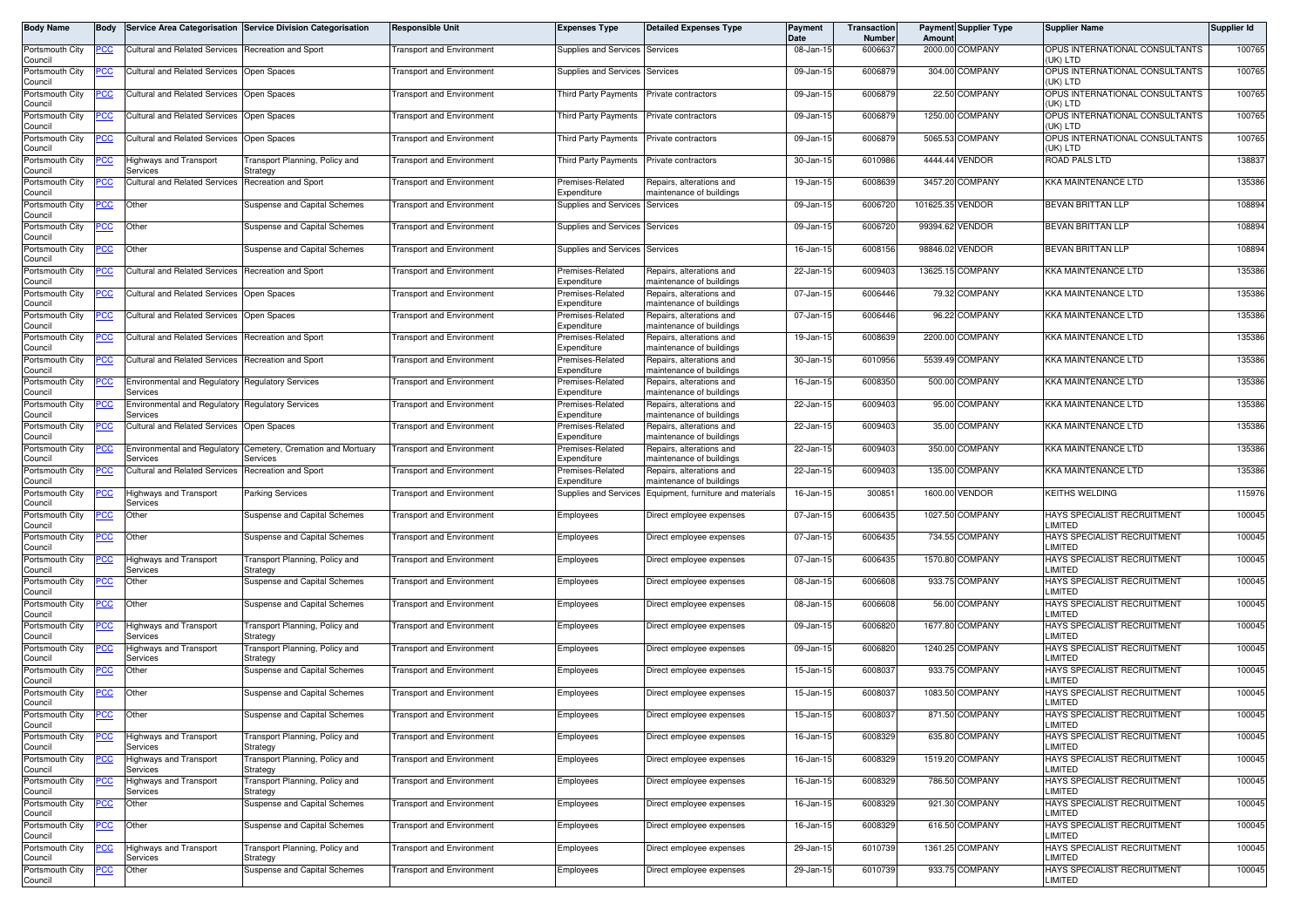| Body Name                  | <b>Body</b> |                                                              | Service Area Categorisation Service Division Categorisation | <b>Responsible Unit</b>          | <b>Expenses Type</b>            | <b>Detailed Expenses Type</b>                        | Payment<br>Date | Transaction<br>Number | Amoun            | <b>Payment Supplier Type</b> | <b>Supplier Name</b>                          | Supplier Id |
|----------------------------|-------------|--------------------------------------------------------------|-------------------------------------------------------------|----------------------------------|---------------------------------|------------------------------------------------------|-----------------|-----------------------|------------------|------------------------------|-----------------------------------------------|-------------|
| Portsmouth City<br>Council | <u>PCC </u> | Cultural and Related Services                                | <b>Recreation and Sport</b>                                 | <b>Fransport and Environment</b> | Supplies and Services           | Services                                             | 08-Jan-15       | 600663                | 2000.00          | COMPANY                      | OPUS INTERNATIONAL CONSULTANTS<br>(UK) LTD    | 100765      |
| Portsmouth City<br>Council | 'CC         | <b>Cultural and Related Services</b>                         | Open Spaces                                                 | <b>Fransport and Environment</b> | Supplies and Services           | Services                                             | 09-Jan-15       | 6006879               |                  | 304.00 COMPANY               | OPUS INTERNATIONAL CONSULTANTS<br>(UK) LTD    | 100765      |
| Portsmouth City<br>Council | <u>'CC</u>  | <b>Cultural and Related Services</b>                         | Open Spaces                                                 | ransport and Environment         | <b>Third Party Payments</b>     | Private contractors                                  | 09-Jan-15       | 6006879               |                  | 22.50 COMPANY                | OPUS INTERNATIONAL CONSULTANTS<br>(UK) LTD    | 100765      |
| Portsmouth City<br>Council | <u>PCC</u>  | <b>Cultural and Related Services</b>                         | Open Spaces                                                 | <b>Transport and Environment</b> | <b>Third Party Payments</b>     | Private contractors                                  | 09-Jan-15       | 6006879               |                  | 1250.00 COMPANY              | OPUS INTERNATIONAL CONSULTANTS<br>(UK) LTD    | 100765      |
| Portsmouth City<br>Council | <u>cc</u>   | <b>Cultural and Related Services</b>                         | Open Spaces                                                 | <b>Fransport and Environment</b> | <b>Third Party Payments</b>     | Private contractors                                  | 09-Jan-15       | 6006879               |                  | 5065.53 COMPANY              | OPUS INTERNATIONAL CONSULTANTS<br>(UK) LTD    | 100765      |
| Portsmouth City<br>Council |             | Highways and Transport<br>Services                           | ransport Planning, Policy and<br>Strategy                   | <b>Transport and Environment</b> | Third Party Payments            | Private contractors                                  | 30-Jan-15       | 6010986               |                  | 4444.44 VENDOR               | ROAD PALS LTD                                 | 138837      |
| Portsmouth City<br>Council |             | <b>Cultural and Related Services</b>                         | Recreation and Sport                                        | <b>Transport and Environment</b> | Premises-Related<br>Expenditure | Repairs, alterations and<br>maintenance of buildings | 19-Jan-15       | 6008639               |                  | 3457.20 COMPANY              | KKA MAINTENANCE LTD                           | 135386      |
| Portsmouth City<br>Council | <u>CC</u>   | Other                                                        | <b>Suspense and Capital Schemes</b>                         | Fransport and Environment        | Supplies and Services           | Services                                             | 09-Jan-15       | 6006720               | 101625.35 VENDOR |                              | <b>BEVAN BRITTAN LLP</b>                      | 108894      |
| Portsmouth City<br>Council | <u>'СС</u>  | Other                                                        | Suspense and Capital Schemes                                | <b>Transport and Environment</b> | Supplies and Services           | Services                                             | 09-Jan-15       | 6006720               | 99394.62 VENDOR  |                              | <b>BEVAN BRITTAN LLP</b>                      | 108894      |
| Portsmouth City<br>Council | PСC         | Other                                                        | Suspense and Capital Schemes                                | Transport and Environment        | Supplies and Services           | Services                                             | 16-Jan-15       | 6008156               |                  | 98846.02 VENDOR              | BEVAN BRITTAN LLP                             | 108894      |
| Portsmouth City<br>Council | cс          | <b>Cultural and Related Services</b>                         | Recreation and Sport                                        | <b>Fransport and Environment</b> | Premises-Related<br>Expenditure | Repairs, alterations and<br>maintenance of buildings | 22-Jan-15       | 6009403               | 13625.15         | COMPANY                      | <b>KKA MAINTENANCE LTD</b>                    | 135386      |
| Portsmouth City<br>Council | PCC         | Cultural and Related Services                                | Open Spaces                                                 | Transport and Environment        | Premises-Related<br>Expenditure | Repairs, alterations and<br>maintenance of buildings | 07-Jan-15       | 6006446               |                  | 79.32 COMPANY                | <b>KKA MAINTENANCE LTD</b>                    | 135386      |
| Portsmouth City<br>Council | <u>CC </u>  | <b>Cultural and Related Services</b>                         | Open Spaces                                                 | <b>Fransport and Environment</b> | Premises-Related<br>Expenditure | Repairs, alterations and<br>maintenance of buildings | 07-Jan-15       | 6006446               |                  | 96.22 COMPANY                | KKA MAINTENANCE LTD                           | 135386      |
| Portsmouth City<br>Council | PСC         | <b>Cultural and Related Services</b>                         | Recreation and Sport                                        | <b>Transport and Environment</b> | Premises-Related<br>Expenditure | Repairs, alterations and<br>maintenance of buildings | 19-Jan-15       | 6008639               |                  | 2200.00 COMPANY              | <b>KKA MAINTENANCE LTD</b>                    | 135386      |
| Portsmouth City<br>Council | PСC         | Cultural and Related Services Recreation and Sport           |                                                             | <b>Transport and Environment</b> | Premises-Related<br>Expenditure | Repairs, alterations and<br>maintenance of buildings | 30-Jan-15       | 6010956               |                  | 5539.49 COMPANY              | KKA MAINTENANCE LTD                           | 135386      |
| Portsmouth City<br>Council | <u>PCC</u>  | <b>Environmental and Regulatory</b><br>Services              | <b>Regulatory Services</b>                                  | <b>Transport and Environment</b> | Premises-Related<br>Expenditure | Repairs, alterations and<br>maintenance of buildings | 16-Jan-15       | 6008350               |                  | 500.00 COMPANY               | KKA MAINTENANCE LTD                           | 135386      |
| Portsmouth City<br>Council |             | Environmental and Regulatory Regulatory Services<br>Services |                                                             | Fransport and Environment        | Premises-Related<br>Expenditure | Repairs, alterations and<br>maintenance of buildings | 22-Jan-15       | 6009403               |                  | 95.00 COMPANY                | KKA MAINTENANCE LTD                           | 135386      |
| Portsmouth City<br>Council | PСC         | <b>Cultural and Related Services</b>                         | Open Spaces                                                 | <b>Fransport and Environment</b> | Premises-Related<br>Expenditure | Repairs, alterations and<br>maintenance of buildings | 22-Jan-15       | 6009403               |                  | 35.00 COMPANY                | KKA MAINTENANCE LTD                           | 135386      |
| Portsmouth City<br>Council |             | <b>Environmental and Regulatory</b><br>Services              | Cemetery, Cremation and Mortuary<br>Services                | Fransport and Environment        | Premises-Related<br>Expenditure | Repairs, alterations and<br>maintenance of buildings | 22-Jan-15       | 6009403               | 350.00           | COMPANY                      | KKA MAINTENANCE LTD                           | 135386      |
| Portsmouth City<br>Council | PСC         | <b>Cultural and Related Services</b>                         | <b>Recreation and Sport</b>                                 | <b>Fransport and Environment</b> | Premises-Related<br>Expenditure | Repairs, alterations and<br>maintenance of buildings | 22-Jan-15       | 6009403               |                  | 135.00 COMPANY               | <b>KKA MAINTENANCE LTD</b>                    | 135386      |
| Portsmouth City<br>Council | <u>cc</u>   | <b>Highways and Transport</b><br>Services                    | Parking Services                                            | Fransport and Environment        | Supplies and Services           | Equipment, furniture and materials                   | 16-Jan-15       | 30085                 | 1600.00          | VENDOR                       | <b>KEITHS WELDING</b>                         | 115976      |
| Portsmouth City<br>Council | PСC         | Other                                                        | Suspense and Capital Schemes                                | <b>Transport and Environment</b> | Employees                       | Direct employee expenses                             | 07-Jan-15       | 6006435               |                  | 1027.50 COMPANY              | HAYS SPECIALIST RECRUITMENT<br>LIMITED        | 100045      |
| Portsmouth City<br>Council | 'CC         | Other                                                        | Suspense and Capital Schemes                                | <b>Fransport and Environment</b> | Employees                       | Direct employee expenses                             | 07-Jan-15       | 6006435               |                  | 734.55 COMPANY               | HAYS SPECIALIST RECRUITMENT<br>LIMITED        | 100045      |
| Portsmouth City<br>Council | <u>'CC</u>  | <b>Highways and Transport</b><br>Services                    | ransport Planning, Policy and<br>Strategy                   | ransport and Environment         | Employees                       | Direct employee expenses                             | 07-Jan-15       | 6006435               |                  | 1570.80 COMPANY              | HAYS SPECIALIST RECRUITMENT<br>LIMITED        | 100045      |
| Portsmouth City<br>Council | <u>CC </u>  | Other                                                        | <b>Suspense and Capital Schemes</b>                         | Transport and Environment        | Employees                       | Direct employee expenses                             | 08-Jan-15       | 6006608               |                  | 933.75 COMPANY               | HAYS SPECIALIST RECRUITMENT<br>LIMITED        | 100045      |
| Portsmouth City<br>Council | <u>PCC</u>  | Other                                                        | <b>Suspense and Capital Schemes</b>                         | <b>Fransport and Environment</b> | Employees                       | Direct employee expenses                             | 08-Jan-15       | 6006608               |                  | 56.00 COMPANY                | HAYS SPECIALIST RECRUITMENT<br>LIMITED        | 100045      |
| Portsmouth City<br>Council |             | <b>Highways and Transport</b><br>Services                    | Fransport Planning, Policy and<br>Strategy                  | <b>Transport and Environment</b> | Employees                       | Direct employee expenses                             | 09-Jan-15       | 6006820               | 1677.80          | COMPANY                      | <b>HAYS SPECIALIST RECRUITMENT</b><br>LIMITED | 100045      |
| Portsmouth City<br>Council |             | <b>Highways and Transport</b><br>Services                    | ransport Planning, Policy and<br>Strategy                   | <b>Fransport and Environment</b> | Employees                       | Direct employee expenses                             | 09-Jan-15       | 6006820               |                  | 1240.25 COMPANY              | HAYS SPECIALIST RECRUITMENT<br>LIMITED        | 100045      |
| Portsmouth City<br>Council | <u>PCC</u>  | Other                                                        | <b>Suspense and Capital Schemes</b>                         | <b>Transport and Environment</b> | Employees                       | Direct employee expenses                             | 15-Jan-15       | 6008037               |                  | 933.75 COMPANY               | <b>HAYS SPECIALIST RECRUITMENT</b><br>LIMITED | 100045      |
| Portsmouth City<br>Council | <u>CC</u>   | Other                                                        | Suspense and Capital Schemes                                | <b>Transport and Environment</b> | Employees                       | Direct employee expenses                             | 15-Jan-15       | 600803                | 1083.50          | <b>COMPANY</b>               | HAYS SPECIALIST RECRUITMENT<br>LIMITED        | 100045      |
| Portsmouth City<br>Council | <b>PCC</b>  | Other                                                        | Suspense and Capital Schemes                                | <b>Transport and Environment</b> | Employees                       | Direct employee expenses                             | $15 - Jan - 15$ | 6008037               |                  | 871.50 COMPANY               | HAYS SPECIALIST RECRUITMENT<br>LIMITED        | 100045      |
| Portsmouth City<br>Council | PСC         | <b>Highways and Transport</b><br>Services                    | Fransport Planning, Policy and<br>Strategy                  | <b>Transport and Environment</b> | Employees                       | Direct employee expenses                             | 16-Jan-15       | 6008329               |                  | 635.80 COMPANY               | HAYS SPECIALIST RECRUITMENT<br>LIMITED        | 100045      |
| Portsmouth City<br>Council | <u>'CC</u>  | <b>Highways and Transport</b><br>Services                    | ransport Planning, Policy and<br>Strategy                   | <b>Transport and Environment</b> | Employees                       | Direct employee expenses                             | 16-Jan-15       | 6008329               |                  | 1519.20 COMPANY              | HAYS SPECIALIST RECRUITMENT<br>LIMITED        | 100045      |
| Portsmouth City<br>Council |             | Highways and Transport<br>Services                           | Fransport Planning, Policy and<br>Strategy                  | <b>Fransport and Environment</b> | Employees                       | Direct employee expenses                             | 16-Jan-15       | 6008329               |                  | 786.50 COMPANY               | HAYS SPECIALIST RECRUITMENT<br>LIMITED        | 100045      |
| Portsmouth City<br>Council | PСC         | Other                                                        | Suspense and Capital Schemes                                | <b>Transport and Environment</b> | Employees                       | Direct employee expenses                             | 16-Jan-15       | 6008329               |                  | 921.30 COMPANY               | HAYS SPECIALIST RECRUITMENT<br>LIMITED        | 100045      |
| Portsmouth City<br>Council | ငင          | Other                                                        | Suspense and Capital Schemes                                | <b>Transport and Environment</b> | Employees                       | Direct employee expenses                             | 16-Jan-15       | 6008329               |                  | 616.50 COMPANY               | HAYS SPECIALIST RECRUITMENT<br>LIMITED        | 100045      |
| Portsmouth City<br>Council | сc          | <b>Highways and Transport</b><br>Services                    | Fransport Planning, Policy and<br>Strategy                  | <b>Transport and Environment</b> | Employees                       | Direct employee expenses                             | 29-Jan-15       | 6010739               |                  | 1361.25 COMPANY              | HAYS SPECIALIST RECRUITMENT<br>LIMITED        | 100045      |
| Portsmouth City<br>Council |             | Other                                                        | Suspense and Capital Schemes                                | <b>Transport and Environment</b> | Employees                       | Direct employee expenses                             | 29-Jan-15       | 6010739               |                  | 933.75 COMPANY               | HAYS SPECIALIST RECRUITMENT<br>LIMITED        | 100045      |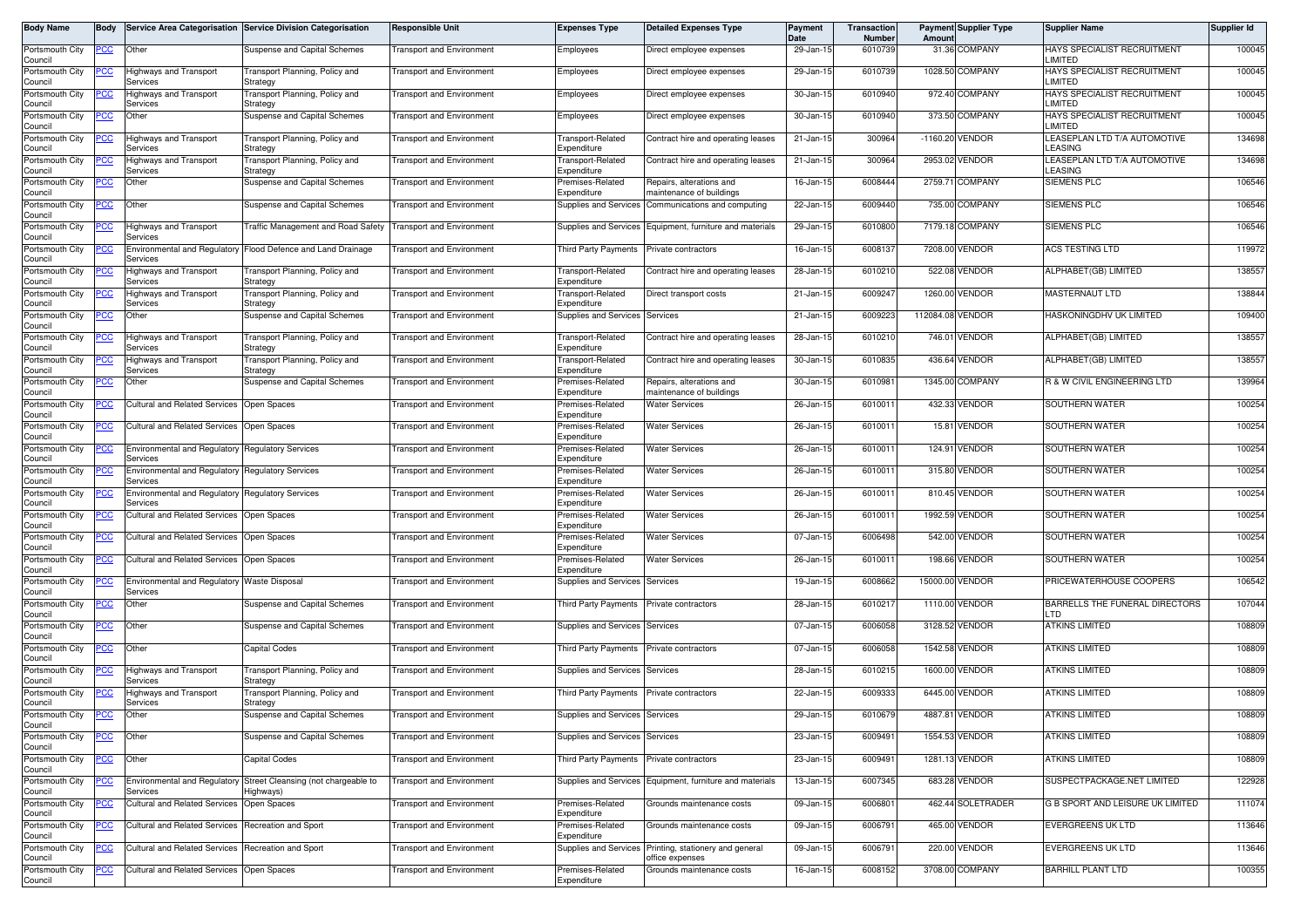| Body Name                             | <b>Body</b> |                                                    | Service Area Categorisation Service Division Categorisation                   | <b>Responsible Unit</b>          | <b>Expenses Type</b>                     | <b>Detailed Expenses Type</b>                                             | Payment<br><b>Date</b> | Transaction<br>Number | Amount           | <b>Payment Supplier Type</b> | <b>Supplier Name</b>                          | Supplier Id |
|---------------------------------------|-------------|----------------------------------------------------|-------------------------------------------------------------------------------|----------------------------------|------------------------------------------|---------------------------------------------------------------------------|------------------------|-----------------------|------------------|------------------------------|-----------------------------------------------|-------------|
| Portsmouth City<br>Council            | <u>PCC</u>  | Other                                              | Suspense and Capital Schemes                                                  | <b>Transport and Environment</b> | Employees                                | Direct employee expenses                                                  | 29-Jan-15              | 6010739               |                  | 31.36 COMPANY                | <b>HAYS SPECIALIST RECRUITMENT</b><br>LIMITED | 100045      |
| Portsmouth City<br>Council            |             | Highways and Transport<br>Services                 | Transport Planning, Policy and<br>Strategy                                    | <b>Fransport and Environment</b> | Employees                                | Direct employee expenses                                                  | 29-Jan-15              | 6010739               |                  | 1028.50 COMPANY              | HAYS SPECIALIST RECRUITMENT<br>LIMITED        | 100045      |
| Portsmouth City<br>Council            |             | Highways and Transport<br>Services                 | Transport Planning, Policy and<br>Strategy                                    | Fransport and Environment        | Employees                                | Direct employee expenses                                                  | 30-Jan-15              | 6010940               |                  | 972.40 COMPANY               | HAYS SPECIALIST RECRUITMENT<br>LIMITED        | 100045      |
| Portsmouth City                       | <u>PCC</u>  | Other                                              | Suspense and Capital Schemes                                                  | Transport and Environment        | Employees                                | Direct employee expenses                                                  | 30-Jan-15              | 6010940               |                  | 373.50 COMPANY               | HAYS SPECIALIST RECRUITMENT<br>LIMITED        | 100045      |
| Council<br>Portsmouth City<br>Council | <u>PCC</u>  | Highways and Transport<br>Services                 | Transport Planning, Policy and<br>Strategy                                    | <b>Fransport and Environment</b> | Fransport-Related<br>Expenditure         | Contract hire and operating leases                                        | 21-Jan-15              | 300964                |                  | -1160.20 VENDOR              | LEASEPLAN LTD T/A AUTOMOTIVE<br>LEASING       | 134698      |
| Portsmouth City<br>Council            |             | Highways and Transport<br>Services                 | Transport Planning, Policy and<br>Strategy                                    | <b>Fransport and Environment</b> | Transport-Related<br>Expenditure         | Contract hire and operating leases                                        | 21-Jan-15              | 300964                |                  | 2953.02 VENDOR               | LEASEPLAN LTD T/A AUTOMOTIVE<br>LEASING       | 134698      |
| Portsmouth City<br>Council            | <u>PCC</u>  | Other                                              | Suspense and Capital Schemes                                                  | Transport and Environment        | Premises-Related<br>Expenditure          | Repairs, alterations and<br>maintenance of buildings                      | 16-Jan-15              | 6008444               |                  | 2759.71 COMPANY              | <b>SIEMENS PLC</b>                            | 106546      |
| Portsmouth City                       | <u>PCC</u>  | Other                                              | Suspense and Capital Schemes                                                  | <b>Fransport and Environment</b> | Supplies and Services                    | Communications and computing                                              | 22-Jan-15              | 6009440               |                  | 735.00 COMPANY               | SIEMENS PLC                                   | 106546      |
| Council<br>Portsmouth City<br>Council | ∍сс         | Highways and Transport<br>Services                 | Traffic Management and Road Safety                                            | <b>Transport and Environment</b> | Supplies and Services                    | Equipment, furniture and materials                                        | 29-Jan-15              | 6010800               |                  | 7179.18 COMPANY              | <b>SIEMENS PLC</b>                            | 106546      |
| Portsmouth City<br>Council            |             | <b>Environmental and Regulatory</b><br>Services    | Flood Defence and Land Drainage                                               | <b>Fransport and Environment</b> | Third Party Payments                     | Private contractors                                                       | 16-Jan-15              | 6008137               |                  | 7208.00 VENDOR               | ACS TESTING LTD                               | 119972      |
| Portsmouth City<br>Council            | <u>PCC</u>  | Highways and Transport<br>Services                 | Transport Planning, Policy and<br>Strategy                                    | <b>Transport and Environment</b> | Transport-Related<br>Expenditure         | Contract hire and operating leases                                        | 28-Jan-15              | 6010210               |                  | 522.08 VENDOR                | ALPHABET(GB) LIMITED                          | 138557      |
| Portsmouth City<br>Council            | PСC         | Highways and Transport<br>Services                 | Transport Planning, Policy and<br>Strategy                                    | Fransport and Environment        | Fransport-Related<br>Expenditure         | Direct transport costs                                                    | 21-Jan-15              | 600924                |                  | 1260.00 VENDOR               | MASTERNAUT LTD                                | 138844      |
| Portsmouth City<br>Council            | <u>PCC</u>  | Other                                              | Suspense and Capital Schemes                                                  | <b>Fransport and Environment</b> | Supplies and Services Services           |                                                                           | 21-Jan-15              | 600922                | 112084.08 VENDOR |                              | HASKONINGDHV UK LIMITED                       | 109400      |
| Portsmouth City<br>Council            |             | <b>Highways and Transport</b><br>Services          | Transport Planning, Policy and<br>Strategy                                    | <b>Fransport and Environment</b> | Fransport-Related<br>Expenditure         | Contract hire and operating leases                                        | 28-Jan-15              | 6010210               |                  | 746.01 VENDOR                | ALPHABET(GB) LIMITED                          | 138557      |
| Portsmouth City                       |             | Highways and Transport                             | Transport Planning, Policy and                                                | <b>Transport and Environment</b> | ransport-Related                         | Contract hire and operating leases                                        | 30-Jan-15              | 6010835               |                  | 436.64 VENDOR                | ALPHABET(GB) LIMITED                          | 138557      |
| Council<br>Portsmouth City            | <u> РСС</u> | Services<br>Other                                  | Strategy<br>Suspense and Capital Schemes                                      | Transport and Environment        | Expenditure<br>Premises-Related          | Repairs, alterations and                                                  | 30-Jan-15              | 601098                |                  | 1345.00 COMPANY              | R & W CIVIL ENGINEERING LTD                   | 139964      |
| Council<br>Portsmouth City            | <u>PCC</u>  | <b>Cultural and Related Services</b>               | Open Spaces                                                                   | <b>Transport and Environment</b> | Expenditure<br>Premises-Related          | maintenance of buildings<br><b>Water Services</b>                         | 26-Jan-15              | 601001                |                  | 432.33 VENDOR                | SOUTHERN WATER                                | 100254      |
| Council<br>Portsmouth City            | <u> РСС</u> | <b>Cultural and Related Services</b>               | Open Spaces                                                                   | Transport and Environment        | Expenditure<br>Premises-Related          | <b>Water Services</b>                                                     | 26-Jan-15              | 601001                |                  | 15.81 VENDOR                 | <b>SOUTHERN WATER</b>                         | 100254      |
| Council<br>Portsmouth City            | <u>'CC</u>  | <b>Environmental and Regulatory</b>                | <b>Regulatory Services</b>                                                    | <b>Fransport and Environment</b> | Expenditure<br>Premises-Related          | <b>Water Services</b>                                                     | 26-Jan-15              | 601001                |                  | 124.91 VENDOR                | SOUTHERN WATER                                | 100254      |
| Council<br>Portsmouth City            | °СС         | Services<br>Environmental and Regulatory           | <b>Regulatory Services</b>                                                    | Transport and Environment        | Expenditure<br>Premises-Related          | <b>Water Services</b>                                                     | 26-Jan-15              | 601001                |                  | 315.80 VENDOR                | <b>SOUTHERN WATER</b>                         | 100254      |
| Council<br>Portsmouth City            | <u>PCC</u>  | Services<br><b>Environmental and Regulatory</b>    | <b>Regulatory Services</b>                                                    | <b>Transport and Environment</b> | Expenditure<br>Premises-Related          | <b>Water Services</b>                                                     | 26-Jan-15              | 601001                |                  | 810.45 VENDOR                | SOUTHERN WATER                                | 100254      |
| Council<br>Portsmouth City            | PCC         | Services<br><b>Cultural and Related Services</b>   | Open Spaces                                                                   | Transport and Environment        | Expenditure<br>Premises-Related          | <b>Water Services</b>                                                     | 26-Jan-15              | 601001                |                  | 1992.59 VENDOR               | SOUTHERN WATER                                | 100254      |
| Council<br>Portsmouth City            | эсс         | <b>Cultural and Related Services</b>               | Open Spaces                                                                   | <b>Fransport and Environment</b> | Expenditure<br>Premises-Related          | <b>Water Services</b>                                                     | 07-Jan-15              | 6006498               |                  | 542.00 VENDOR                | SOUTHERN WATER                                | 100254      |
| Council<br>Portsmouth City            | <u>PCC </u> | Cultural and Related Services Open Spaces          |                                                                               | Fransport and Environment        | Expenditure<br>Premises-Related          | <b>Water Services</b>                                                     | 26-Jan-15              | 601001                |                  | 198.66 VENDOR                | SOUTHERN WATER                                | 100254      |
| Council<br>Portsmouth City            | <u>PCC</u>  | Environmental and Regulatory Waste Disposal        |                                                                               | <b>Transport and Environment</b> | Expenditure<br>Supplies and Services     | Services                                                                  | 19-Jan-15              | 6008662               |                  | 15000.00 VENDOR              | PRICEWATERHOUSE COOPERS                       | 106542      |
| Council<br>Portsmouth City            |             | Services<br>Other                                  | Suspense and Capital Schemes                                                  |                                  | Third Party Payments                     | Private contractors                                                       | 28-Jan-15              | 601021                |                  | 1110.00 VENDOR               | BARRELLS THE FUNERAL DIRECTORS                | 107044      |
| Council                               | PCC         |                                                    |                                                                               | Transport and Environment        |                                          |                                                                           |                        |                       |                  |                              | חד ו                                          |             |
| Portsmouth City<br>Council            | <u>PCC</u>  | Other                                              | Suspense and Capital Schemes                                                  | <b>Transport and Environment</b> | Supplies and Services                    | Services                                                                  | 07-Jan-15              | 6006058               |                  | 3128.52 VENDOR               | <b>ATKINS LIMITED</b>                         | 108809      |
| Portsmouth City<br>Council            | <u>PCC</u>  | Other                                              | <b>Capital Codes</b>                                                          | Transport and Environment        | Third Party Payments Private contractors |                                                                           | 07-Jan-15              | 6006058               |                  | 1542.58 VENDOR               | <b>ATKINS LIMITED</b>                         | 108809      |
| Portsmouth City<br>Council            |             | Highways and Transport<br>Services                 | Transport Planning, Policy and<br>Strategy                                    | Fransport and Environment        | Supplies and Services                    | Services                                                                  | 28-Jan-15              | 6010215               |                  | 1600.00 VENDOR               | <b>ATKINS LIMITED</b>                         | 108809      |
| Portsmouth City<br>Council            | <u> РСС</u> | lighways and Transport<br>Services                 | Transport Planning, Policy and<br>Strategy                                    | <b>Transport and Environment</b> | <b>Third Party Payments</b>              | Private contractors                                                       | 22-Jan-15              | 600933                |                  | 6445.00 VENDOR               | <b>ATKINS LIMITED</b>                         | 108809      |
| Portsmouth City<br>Council            | <b>PCC</b>  | Other                                              | Suspense and Capital Schemes                                                  | <b>Transport and Environment</b> | Supplies and Services Services           |                                                                           | 29-Jan-15              | 6010679               |                  | 4887.81 VENDOR               | <b>ATKINS LIMITED</b>                         | 108809      |
| Portsmouth City<br>Council            | <u>PCC </u> | Other                                              | Suspense and Capital Schemes                                                  | <b>Fransport and Environment</b> | Supplies and Services Services           |                                                                           | 23-Jan-15              | 6009491               |                  | 1554.53 VENDOR               | <b>ATKINS LIMITED</b>                         | 108809      |
| Portsmouth City<br>Council            |             | Other                                              | <b>Capital Codes</b>                                                          | <b>Transport and Environment</b> | Third Party Payments                     | Private contractors                                                       | 23-Jan-15              | 6009491               |                  | 1281.13 VENDOR               | <b>ATKINS LIMITED</b>                         | 108809      |
| Portsmouth City<br>Council            | <u>PCC</u>  | Services                                           | Environmental and Regulatory Street Cleansing (not chargeable to<br>Highways) | <b>Transport and Environment</b> |                                          | Supplies and Services Equipment, furniture and materials                  | 13-Jan-15              | 6007345               |                  | 683.28 VENDOR                | SUSPECTPACKAGE.NET LIMITED                    | 122928      |
| Portsmouth City<br>Council            | <u>PCC</u>  | <b>Cultural and Related Services</b>               | Open Spaces                                                                   | <b>Fransport and Environment</b> | Premises-Related<br>Expenditure          | Grounds maintenance costs                                                 | 09-Jan-15              | 6006801               |                  | 462.44 SOLETRADER            | G B SPORT AND LEISURE UK LIMITED              | 111074      |
| Portsmouth City<br>Council            | <u>PCC</u>  | Cultural and Related Services Recreation and Sport |                                                                               | <b>Fransport and Environment</b> | Premises-Related<br>Expenditure          | Grounds maintenance costs                                                 | 09-Jan-15              | 6006791               |                  | 465.00 VENDOR                | <b>EVERGREENS UK LTD</b>                      | 113646      |
| Portsmouth City<br>Council            | <u>PCC</u>  | Cultural and Related Services                      | Recreation and Sport                                                          | <b>Fransport and Environment</b> |                                          | Supplies and Services Printing, stationery and general<br>office expenses | 09-Jan-15              | 6006791               |                  | 220.00 VENDOR                | <b>EVERGREENS UK LTD</b>                      | 113646      |
| Portsmouth City<br>Council            | <u>PCC</u>  | <b>Cultural and Related Services</b>               | Open Spaces                                                                   | <b>Transport and Environment</b> | Premises-Related<br>Expenditure          | Grounds maintenance costs                                                 | 16-Jan-15              | 6008152               |                  | 3708.00 COMPANY              | <b>BARHILL PLANT LTD</b>                      | 100355      |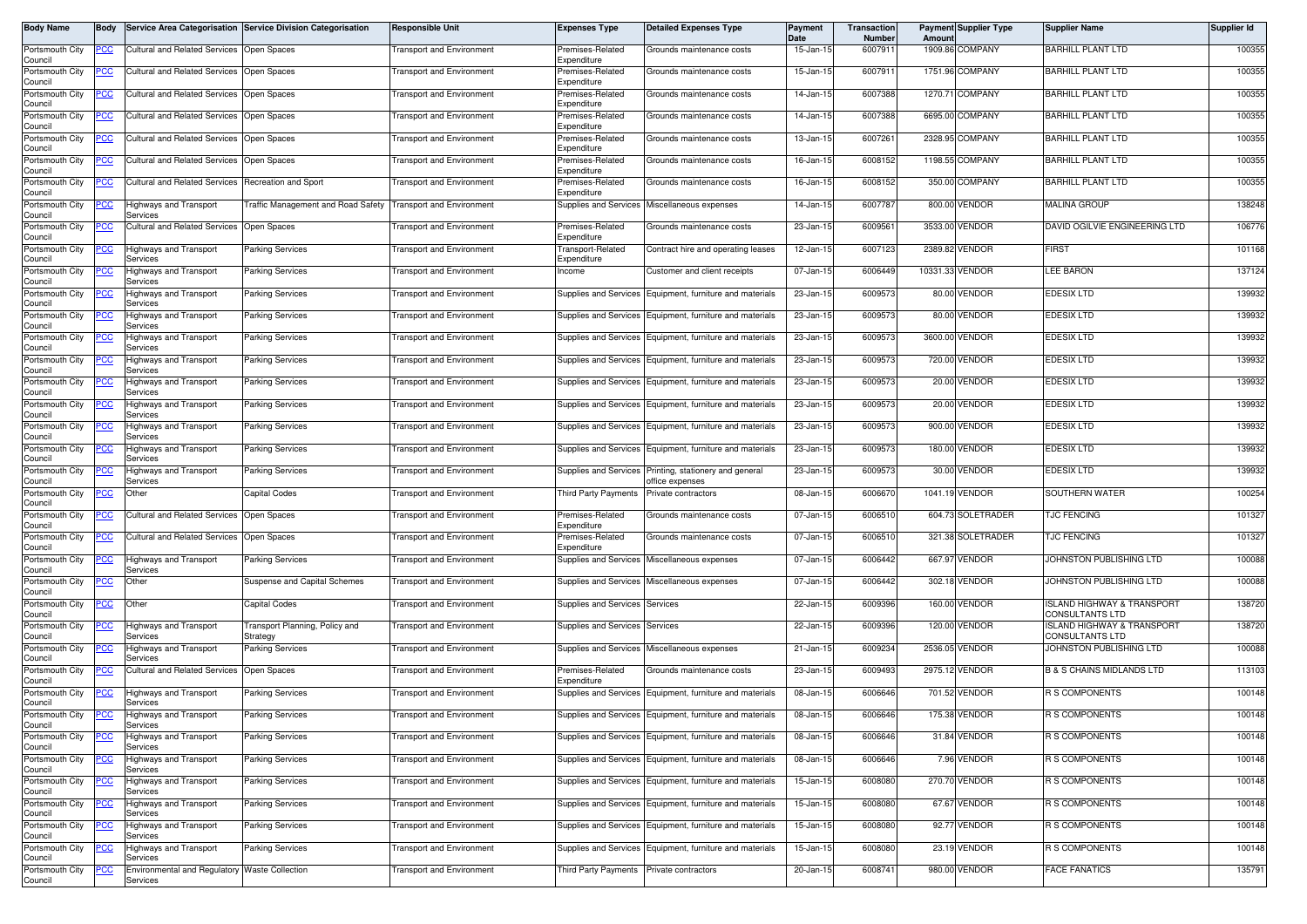| <b>Body Name</b>           | Body       |                                                           | Service Area Categorisation Service Division Categorisation | <b>Responsible Unit</b>          | <b>Expenses Type</b>               | <b>Detailed Expenses Type</b>                            | <b>Payment</b><br><b>Date</b> | <b>Transaction</b><br><b>Number</b> | Amount | <b>Payment Supplier Type</b> | <b>Supplier Name</b>                                            | Supplier Id |
|----------------------------|------------|-----------------------------------------------------------|-------------------------------------------------------------|----------------------------------|------------------------------------|----------------------------------------------------------|-------------------------------|-------------------------------------|--------|------------------------------|-----------------------------------------------------------------|-------------|
| Portsmouth City<br>Council | PСC        | <b>Cultural and Related Services</b>                      | Open Spaces                                                 | <b>Transport and Environment</b> | Premises-Related<br>Expenditure    | Grounds maintenance costs                                | 15-Jan-15                     | 6007911                             |        | 1909.86 COMPANY              | <b>BARHILL PLANT LTD</b>                                        | 100355      |
| Portsmouth City<br>Council | cс         | <b>Cultural and Related Services</b>                      | Open Spaces                                                 | <b>Fransport and Environment</b> | Premises-Related<br>Expenditure    | Grounds maintenance costs                                | 15-Jan-15                     | 6007911                             |        | 1751.96 COMPANY              | <b>BARHILL PLANT LTD</b>                                        | 100355      |
| Portsmouth City<br>Council | <u>cc</u>  | <b>Cultural and Related Services</b>                      | Open Spaces                                                 | ransport and Environment         | Premises-Related<br>Expenditure    | Grounds maintenance costs                                | 14-Jan-15                     | 6007388                             |        | 1270.71 COMPANY              | <b>BARHILL PLANT LTD</b>                                        | 100355      |
| Portsmouth City<br>Council | <u>CC</u>  | <b>Cultural and Related Services</b>                      | Open Spaces                                                 | <b>Transport and Environment</b> | remises-Related<br>Expenditure     | Grounds maintenance costs                                | 14-Jan-15                     | 6007388                             |        | 6695.00 COMPANY              | <b>BARHILL PLANT LTD</b>                                        | 100355      |
| Portsmouth City<br>Council | <u>cc</u>  | <b>Cultural and Related Services</b>                      | Open Spaces                                                 | ransport and Environment         | Premises-Related<br>Expenditure    | Grounds maintenance costs                                | 13-Jan-15                     | 6007261                             |        | 2328.95 COMPANY              | <b>BARHILL PLANT LTD</b>                                        | 100355      |
| Portsmouth City<br>Council | ∍сс        | <b>Cultural and Related Services</b>                      | Open Spaces                                                 | <b>Transport and Environment</b> | Premises-Related<br>Expenditure    | Grounds maintenance costs                                | 16-Jan-15                     | 6008152                             |        | 1198.55 COMPANY              | <b>BARHILL PLANT LTD</b>                                        | 100355      |
| Portsmouth City<br>Council | <u>'CC</u> | <b>Cultural and Related Services</b>                      | Recreation and Sport                                        | <b>Fransport and Environment</b> | remises-Related<br>Expenditure     | Grounds maintenance costs                                | 16-Jan-15                     | 6008152                             |        | 350.00 COMPANY               | <b>BARHILL PLANT LTD</b>                                        | 100355      |
| Portsmouth City<br>Council | <u>cc</u>  | <b>Highways and Transport</b><br>Services                 | raffic Management and Road Safety                           | <b>Transport and Environment</b> | <b>Supplies and Services</b>       | Miscellaneous expenses                                   | 14-Jan-15                     | 6007787                             |        | 800.00 VENDOR                | <b>MALINA GROUP</b>                                             | 138248      |
| Portsmouth City<br>Council | <u>'СС</u> | <b>Cultural and Related Services</b>                      | Open Spaces                                                 | <b>Fransport and Environment</b> | Premises-Related<br>Expenditure    | Grounds maintenance costs                                | 23-Jan-15                     | 6009561                             |        | 3533.00 VENDOR               | DAVID OGILVIE ENGINEERING LTD                                   | 106776      |
| Portsmouth City<br>Council | PСC        | <b>Highways and Transport</b><br>Services                 | <b>Parking Services</b>                                     | <b>Fransport and Environment</b> | Transport-Related<br>Expenditure   | Contract hire and operating leases                       | 12-Jan-15                     | 6007123                             |        | 2389.82 VENDOR               | <b>FIRST</b>                                                    | 101168      |
| Portsmouth City<br>Council |            | lighways and Transport<br>Services                        | Parking Services                                            | <b>Transport and Environment</b> | ncome                              | Customer and client receipts                             | 07-Jan-15                     | 6006449                             |        | 10331.33 VENDOR              | <b>LEE BARON</b>                                                | 137124      |
| Portsmouth City<br>Council | PСC        | Highways and Transport<br>Services                        | <b>Parking Services</b>                                     | <b>Transport and Environment</b> |                                    | Supplies and Services Equipment, furniture and materials | 23-Jan-15                     | 6009573                             |        | 80.00 VENDOR                 | <b>EDESIX LTD</b>                                               | 139932      |
| Portsmouth City<br>Council |            | <b>Highways and Transport</b><br>Services                 | Parking Services                                            | <b>Fransport and Environment</b> | Supplies and Services              | Equipment, furniture and materials                       | 23-Jan-1                      | 6009573                             |        | 80.00 VENDOR                 | <b>EDESIX LTD</b>                                               | 139932      |
| Portsmouth City<br>Council |            | Highways and Transport<br>Services                        | <b>Parking Services</b>                                     | <b>Transport and Environment</b> |                                    | Supplies and Services Equipment, furniture and materials | 23-Jan-15                     | 6009573                             |        | 3600.00 VENDOR               | <b>EDESIX LTD</b>                                               | 139932      |
| Portsmouth City<br>Council |            | Highways and Transport<br>Services                        | <b>Parking Services</b>                                     | <b>Transport and Environment</b> |                                    | Supplies and Services Equipment, furniture and materials | 23-Jan-15                     | 6009573                             |        | 720.00 VENDOR                | <b>EDESIX LTD</b>                                               | 139932      |
| Portsmouth City<br>Council | 'СC        | Highways and Transport<br>Services                        | Parking Services                                            | <b>Transport and Environment</b> |                                    | Supplies and Services Equipment, furniture and materials | 23-Jan-15                     | 6009573                             |        | 20.00 VENDOR                 | <b>EDESIX LTD</b>                                               | 139932      |
| Portsmouth City<br>Council |            | lighways and Transport<br>Services                        | Parking Services                                            | <b>Transport and Environment</b> |                                    | Supplies and Services Equipment, furniture and materials | 23-Jan-15                     | 6009573                             |        | 20.00 VENDOR                 | <b>EDESIX LTD</b>                                               | 139932      |
| Portsmouth City<br>Council |            | lighways and Transport<br>Services                        | <b>Parking Services</b>                                     | ransport and Environment         | <b>Supplies and Services</b>       | Equipment, furniture and materials                       | 23-Jan-15                     | 6009573                             |        | 900.00 VENDOR                | <b>EDESIX LTD</b>                                               | 139932      |
| Portsmouth City<br>Council |            | Highways and Transport<br>Services                        | <b>Parking Services</b>                                     | <b>Transport and Environment</b> | Supplies and Services              | Equipment, furniture and materials                       | 23-Jan-15                     | 6009573                             |        | 180.00 VENDOR                | <b>EDESIX LTD</b>                                               | 139932      |
| Portsmouth City<br>Council | cс         | Highways and Transport<br>Services                        | Parking Services                                            | <b>Fransport and Environment</b> | Supplies and Services              | Printing, stationery and general<br>office expenses      | 23-Jan-15                     | 6009573                             |        | 30.00 VENDOR                 | <b>EDESIX LTD</b>                                               | 139932      |
| Portsmouth City<br>Council | сc         | Other                                                     | Capital Codes                                               | <b>Fransport and Environment</b> | <b>Third Party Payments</b>        | rivate contractors                                       | 08-Jan-1                      | 600667                              |        | 1041.19 VENDOR               | SOUTHERN WATER                                                  | 100254      |
| Portsmouth City<br>Council | PСC        | <b>Cultural and Related Services</b>                      | Open Spaces                                                 | <b>Transport and Environment</b> | Premises-Related<br>Expenditure    | Grounds maintenance costs                                | 07-Jan-15                     | 6006510                             |        | 604.73 SOLETRADER            | <b>TJC FENCING</b>                                              | 101327      |
| Portsmouth City<br>Council | сC         | Cultural and Related Services                             | Open Spaces                                                 | <b>Fransport and Environment</b> | remises-Related<br>.<br>xpenditure | Grounds maintenance costs                                | 07-Jan-15                     | 6006510                             |        | 321.38 SOLETRADER            | <b>TJC FENCING</b>                                              | 101327      |
| Portsmouth City<br>Council | <u>'CC</u> | <b>Highways and Transport</b><br>Services                 | Parking Services                                            | <b>Fransport and Environment</b> | Supplies and Services              | Miscellaneous expenses                                   | 07-Jan-15                     | 6006442                             |        | 667.97 VENDOR                | JOHNSTON PUBLISHING LTD                                         | 100088      |
| Portsmouth City<br>Council | <u>'CC</u> | Other                                                     | Suspense and Capital Schemes                                | <b>Transport and Environment</b> |                                    | Supplies and Services Miscellaneous expenses             | 07-Jan-15                     | 6006442                             |        | 302.18 VENDOR                | JOHNSTON PUBLISHING LTD                                         | 100088      |
| Portsmouth City<br>Council | <u>PCC</u> | Other                                                     | Capital Codes                                               | <b>Transport and Environment</b> | <b>Supplies and Services</b>       | Services                                                 | 22-Jan-15                     | 6009396                             |        | 160.00 VENDOR                | <b>ISLAND HIGHWAY &amp; TRANSPORT</b><br>CONSULTANTS LTD        | 138720      |
| Portsmouth City<br>Council |            | <b>Highways and Transport</b><br>Services                 | Fransport Planning, Policy and<br>Strategy                  | <b>Transport and Environment</b> | <b>Supplies and Services</b>       | Services                                                 | 22-Jan-15                     | 6009396                             |        | 120.00 VENDOR                | <b>ISLAND HIGHWAY &amp; TRANSPORT</b><br><b>CONSULTANTS LTD</b> | 138720      |
| Portsmouth City<br>Council |            | <b>Highways and Transport</b><br>Services                 | Parking Services                                            | <b>Fransport and Environment</b> | Supplies and Services              | Miscellaneous expenses                                   | 21-Jan-15                     | 6009234                             |        | 2536.05 VENDOR               | JOHNSTON PUBLISHING LTD                                         | 100088      |
| Portsmouth City<br>Council | <u>'CC</u> | <b>Cultural and Related Services</b>                      | Open Spaces                                                 | <b>Fransport and Environment</b> | Premises-Related<br>Expenditure    | Grounds maintenance costs                                | 23-Jan-15                     | 6009493                             |        | 2975.12 VENDOR               | <b>B &amp; S CHAINS MIDLANDS LTD</b>                            | 113103      |
| Portsmouth City<br>Council |            | <b>Highways and Transport</b><br>Services                 | Parking Services                                            | <b>Fransport and Environment</b> | Supplies and Services              | Equipment, furniture and materials                       | 08-Jan-15                     | 6006646                             |        | 701.52 VENDOR                | <b>R S COMPONENTS</b>                                           | 100148      |
| Portsmouth City<br>Council | <u>PCC</u> | <b>Highways and Transport</b><br>Services                 | <b>Parking Services</b>                                     | <b>Transport and Environment</b> |                                    | Supplies and Services Equipment, furniture and materials | 08-Jan-15                     | 6006646                             |        | 175.38 VENDOR                | <b>R S COMPONENTS</b>                                           | 100148      |
| Portsmouth City<br>Council | PCC        | Highways and Transport<br>Services                        | <b>Parking Services</b>                                     | <b>Fransport and Environment</b> |                                    | Supplies and Services Equipment, furniture and materials | 08-Jan-15                     | 6006646                             |        | 31.84 VENDOR                 | <b>R S COMPONENTS</b>                                           | 100148      |
| Portsmouth City<br>Council |            | <b>Highways and Transport</b><br>Services                 | <b>Parking Services</b>                                     | <b>Transport and Environment</b> |                                    | Supplies and Services Equipment, furniture and materials | 08-Jan-15                     | 6006646                             |        | 7.96 VENDOR                  | <b>R S COMPONENTS</b>                                           | 100148      |
| Portsmouth City<br>Council |            | Highways and Transport<br>Services                        | <b>Parking Services</b>                                     | ransport and Environment         | Supplies and Services              | Equipment, furniture and materials                       | 15-Jan-15                     | 6008080                             |        | 270.70 VENDOR                | R S COMPONENTS                                                  | 100148      |
| Portsmouth City<br>Council | PCC        | <b>Highways and Transport</b><br>Services                 | <b>Parking Services</b>                                     | <b>Transport and Environment</b> |                                    | Supplies and Services Equipment, furniture and materials | 15-Jan-15                     | 6008080                             |        | 67.67 VENDOR                 | R S COMPONENTS                                                  | 100148      |
| Portsmouth City<br>Council |            | Highways and Transport<br>Services                        | <b>Parking Services</b>                                     | <b>Fransport and Environment</b> |                                    | Supplies and Services Equipment, furniture and materials | 15-Jan-15                     | 6008080                             |        | 92.77 VENDOR                 | R S COMPONENTS                                                  | 100148      |
| Portsmouth City<br>Council |            | Highways and Transport<br>Services                        | Parking Services                                            | <b>Transport and Environment</b> |                                    | Supplies and Services Equipment, furniture and materials | 15-Jan-15                     | 6008080                             |        | 23.19 VENDOR                 | R S COMPONENTS                                                  | 100148      |
| Portsmouth City<br>Council |            | Environmental and Regulatory Waste Collection<br>Services |                                                             | <b>Transport and Environment</b> | Third Party Payments               | Private contractors                                      | 20-Jan-15                     | 6008741                             |        | 980.00 VENDOR                | <b>FACE FANATICS</b>                                            | 135791      |
|                            |            |                                                           |                                                             |                                  |                                    |                                                          |                               |                                     |        |                              |                                                                 |             |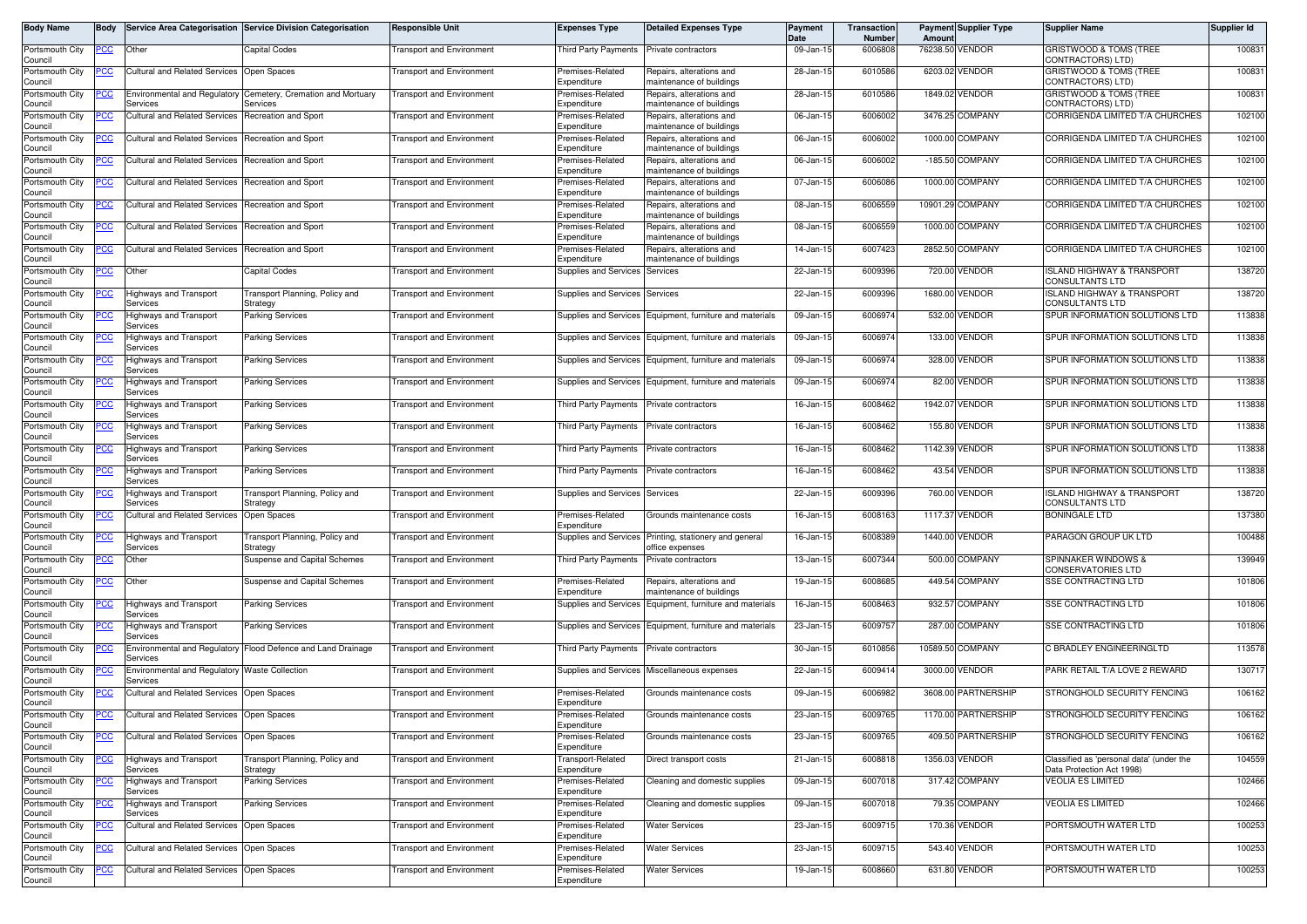| Body Name                  | <b>Bodv</b> |                                                           | Service Area Categorisation Service Division Categorisation  | <b>Responsible Unit</b>          | <b>Expenses Type</b>                     | <b>Detailed Expenses Type</b>                            | Payment<br>Date | Transaction<br>Number | Amoun  | <b>Payment Supplier Type</b> | <b>Supplier Name</b>                                            | Supplier Id |
|----------------------------|-------------|-----------------------------------------------------------|--------------------------------------------------------------|----------------------------------|------------------------------------------|----------------------------------------------------------|-----------------|-----------------------|--------|------------------------------|-----------------------------------------------------------------|-------------|
| Portsmouth City<br>Council | <u>PCC</u>  | Other                                                     | Capital Codes                                                | <b>Transport and Environment</b> | Third Party Payments                     | Private contractors                                      | 09-Jan-15       | 6006808               |        | 76238.50 VENDOR              | GRISTWOOD & TOMS (TREE<br>CONTRACTORS) LTD)                     | 100831      |
| Portsmouth City<br>Council | PСC         | Cultural and Related Services                             | Open Spaces                                                  | Fransport and Environment        | Premises-Related<br>Expenditure          | Repairs, alterations and<br>maintenance of buildings     | 28-Jan-15       | 6010586               |        | 6203.02 VENDOR               | GRISTWOOD & TOMS (TREE<br>CONTRACTORS) LTD)                     | 100831      |
| Portsmouth City            |             | <b>Environmental and Regulatory</b>                       | Cemetery, Cremation and Mortuary                             | <b>Fransport and Environment</b> | Premises-Related                         | Repairs, alterations and                                 | 28-Jan-15       | 6010586               |        | 1849.02 VENDOR               | GRISTWOOD & TOMS (TREE                                          | 100831      |
| Council<br>Portsmouth City | 'СС         | Services<br><b>Cultural and Related Services</b>          | Services<br><b>Recreation and Sport</b>                      | <b>Transport and Environment</b> | Expenditure<br>Premises-Related          | maintenance of buildings<br>Repairs, alterations and     | 06-Jan-15       | 6006002               |        | 3476.25 COMPANY              | CONTRACTORS) LTD)<br>CORRIGENDA LIMITED T/A CHURCHES            | 102100      |
| Council<br>Portsmouth City | <u>cc</u>   | <b>Cultural and Related Services</b>                      | Recreation and Sport                                         | Fransport and Environment        | Expenditure<br>Premises-Related          | maintenance of buildings<br>Repairs, alterations and     | 06-Jan-15       | 6006002               |        | 1000.00 COMPANY              | CORRIGENDA LIMITED T/A CHURCHES                                 | 102100      |
| Council<br>Portsmouth City | <u>PCC</u>  | <b>Cultural and Related Services</b>                      | Recreation and Sport                                         | <b>Fransport and Environment</b> | Expenditure<br>Premises-Related          | maintenance of buildings<br>Repairs, alterations and     | 06-Jan-15       | 6006002               |        | -185.50 COMPANY              | CORRIGENDA LIMITED T/A CHURCHES                                 | 102100      |
| Council<br>Portsmouth City | <u>'CC</u>  | Cultural and Related Services                             | <b>Recreation and Sport</b>                                  | <b>Transport and Environment</b> | Expenditure<br>Premises-Related          | maintenance of buildings<br>Repairs, alterations and     | 07-Jan-15       | 6006086               |        | 1000.00 COMPANY              | CORRIGENDA LIMITED T/A CHURCHES                                 | 102100      |
| Council                    |             |                                                           |                                                              |                                  | Expenditure                              | maintenance of buildings                                 |                 |                       |        | 10901.29 COMPANY             |                                                                 | 102100      |
| Portsmouth City<br>Council | <u>PCC</u>  | <b>Cultural and Related Services</b>                      | Recreation and Sport                                         | <b>Transport and Environment</b> | Premises-Related<br>Expenditure          | Repairs, alterations and<br>maintenance of buildings     | 08-Jan-15       | 6006559               |        |                              | CORRIGENDA LIMITED T/A CHURCHES                                 |             |
| Portsmouth City<br>Council | PСC         | <b>Cultural and Related Services</b>                      | Recreation and Sport                                         | Fransport and Environment        | Premises-Related<br>Expenditure          | Repairs, alterations and<br>naintenance of buildings     | 08-Jan-15       | 6006559               |        | 1000.00 COMPANY              | CORRIGENDA LIMITED T/A CHURCHES                                 | 102100      |
| Portsmouth City<br>Council | 'CC         | <b>Cultural and Related Services</b>                      | Recreation and Sport                                         | <b>Fransport and Environment</b> | Premises-Related<br>Expenditure          | Repairs, alterations and<br>maintenance of buildings     | 14-Jan-15       | 6007423               |        | 2852.50 COMPANY              | CORRIGENDA LIMITED T/A CHURCHES                                 | 102100      |
| Portsmouth City<br>Council | <u>PCC </u> | Other                                                     | Capital Codes                                                | <b>Transport and Environment</b> | Supplies and Services                    | Services                                                 | 22-Jan-15       | 6009396               | 720.00 | VENDOR                       | <b>ISLAND HIGHWAY &amp; TRANSPORT</b><br><b>CONSULTANTS LTD</b> | 138720      |
| Portsmouth City<br>Council | <u>PCC</u>  | Highways and Transport<br>Services                        | Fransport Planning, Policy and<br>Strategy                   | <b>Transport and Environment</b> | Supplies and Services Services           |                                                          | 22-Jan-15       | 6009396               |        | 1680.00 VENDOR               | <b>ISLAND HIGHWAY &amp; TRANSPORT</b><br><b>CONSULTANTS LTD</b> | 138720      |
| Portsmouth City<br>Council | <u>CC </u>  | <b>Highways and Transport</b><br>Services                 | Parking Services                                             | <b>Fransport and Environment</b> |                                          | Supplies and Services Equipment, furniture and materials | 09-Jan-15       | 6006974               |        | 532.00 VENDOR                | SPUR INFORMATION SOLUTIONS LTD                                  | 113838      |
| Portsmouth City<br>Council | сc          | lighways and Transport<br>Services                        | Parking Services                                             | <b>Fransport and Environment</b> | Supplies and Services                    | Equipment, furniture and materials                       | 09-Jan-15       | 6006974               |        | 133.00 VENDOR                | SPUR INFORMATION SOLUTIONS LTD                                  | 113838      |
| Portsmouth City<br>Council |             | <b>Highways and Transport</b><br>Services                 | <b>Parking Services</b>                                      | Fransport and Environment        |                                          | Supplies and Services Equipment, furniture and materials | 09-Jan-15       | 6006974               |        | 328.00 VENDOR                | SPUR INFORMATION SOLUTIONS LTD                                  | 113838      |
| Portsmouth City            |             | Highways and Transport                                    | Parking Services                                             | <b>Fransport and Environment</b> | Supplies and Services                    | Equipment, furniture and materials                       | 09-Jan-15       | 6006974               | 82.00  | VENDOR                       | SPUR INFORMATION SOLUTIONS LTD                                  | 113838      |
| Council<br>Portsmouth City |             | Services<br>Highways and Transport                        | Parking Services                                             | <b>Transport and Environment</b> | Third Party Payments                     | Private contractors                                      | 16-Jan-15       | 6008462               |        | 1942.07 VENDOR               | SPUR INFORMATION SOLUTIONS LTD                                  | 113838      |
| Council<br>Portsmouth City |             | Services<br><b>Highways and Transport</b>                 | Parking Services                                             | <b>Fransport and Environment</b> | Third Party Payments                     | Private contractors                                      | 16-Jan-15       | 6008462               |        | 155.80 VENDOR                | SPUR INFORMATION SOLUTIONS LTD                                  | 113838      |
| Council<br>Portsmouth City |             | Services<br>Highways and Transport                        | Parking Services                                             | Fransport and Environment        | Third Party Payments                     | Private contractors                                      | 16-Jan-15       | 6008462               |        | 1142.39 VENDOR               | SPUR INFORMATION SOLUTIONS LTD                                  | 113838      |
| Council<br>Portsmouth City |             | Services<br>Highways and Transport                        | Parking Services                                             | <b>Transport and Environment</b> | Third Party Payments                     | Private contractors                                      | 16-Jan-15       | 6008462               |        | 43.54 VENDOR                 | SPUR INFORMATION SOLUTIONS LTD                                  | 113838      |
| Council<br>Portsmouth City | PСC         | Services<br><b>Highways and Transport</b>                 | Transport Planning, Policy and                               | Transport and Environment        | Supplies and Services                    | Services                                                 | 22-Jan-15       | 6009396               |        | 760.00 VENDOR                | <b>ISLAND HIGHWAY &amp; TRANSPORT</b>                           | 138720      |
| Council<br>Portsmouth City |             | Services<br><b>Cultural and Related Services</b>          | Strategy<br>Open Spaces                                      | <b>Transport and Environment</b> | Premises-Related                         | Grounds maintenance costs                                | 16-Jan-15       | 6008163               |        | 1117.37 VENDOR               | <b>CONSULTANTS LTD</b><br><b>BONINGALE LTD</b>                  | 137380      |
| Council<br>Portsmouth City |             | <b>Highways and Transport</b>                             | ransport Planning, Policy and                                | Fransport and Environment        | Expenditure<br>Supplies and Services     | Printing, stationery and general                         | 16-Jan-15       | 6008389               |        | 1440.00 VENDOR               | PARAGON GROUP UK LTD                                            | 100488      |
| Council                    |             | Services                                                  | Strategy                                                     |                                  |                                          | office expenses                                          |                 |                       |        |                              |                                                                 |             |
| Portsmouth City<br>Council | 'CC         | Other                                                     | Suspense and Capital Schemes                                 | Fransport and Environment        | Third Party Payments                     | Private contractors                                      | 13-Jan-15       | 6007344               |        | 500.00 COMPANY               | <b>SPINNAKER WINDOWS &amp;</b><br><b>CONSERVATORIES LTD</b>     | 139949      |
| Portsmouth City<br>Council | PСC         | Other                                                     | Suspense and Capital Schemes                                 | <b>Transport and Environment</b> | Premises-Related<br>Expenditure          | Repairs, alterations and<br>maintenance of buildings     | 19-Jan-15       | 6008685               |        | 449.54 COMPANY               | <b>SSE CONTRACTING LTD</b>                                      | 101806      |
| Portsmouth City<br>Council | <u>'CC</u>  | <b>Highways and Transport</b><br>Services                 | Parking Services                                             | <b>Fransport and Environment</b> | <b>Supplies and Services</b>             | Equipment, furniture and materials                       | $16$ -Jan-1     | 6008463               |        | 932.57 COMPANY               | <b>SSE CONTRACTING LTD</b>                                      | 101806      |
| Portsmouth City<br>Council | ∍сс         | Highways and Transport<br>Services                        | <b>Parking Services</b>                                      | Transport and Environment        |                                          | Supplies and Services Equipment, furniture and materials | 23-Jan-15       | 600975                |        | 287.00 COMPANY               | <b>SSE CONTRACTING LTD</b>                                      | 101806      |
| Portsmouth City<br>Council |             | Services                                                  | Environmental and Regulatory Flood Defence and Land Drainage | <b>Transport and Environment</b> | Third Party Payments Private contractors |                                                          | 30-Jan-15       | 6010856               |        | 10589.50 COMPANY             | C BRADLEY ENGINEERINGLTD                                        | 113578      |
| Portsmouth City<br>Council | <u>'CC</u>  | Environmental and Regulatory Waste Collection<br>Services |                                                              | Fransport and Environment        |                                          | Supplies and Services Miscellaneous expenses             | 22-Jan-15       | 6009414               |        | 3000.00 VENDOR               | PARK RETAIL T/A LOVE 2 REWARD                                   | 130717      |
| Portsmouth City<br>Council | <u>'CC</u>  | <b>Cultural and Related Services</b>                      | Open Spaces                                                  | Transport and Environment        | Premises-Related<br>Expenditure          | Grounds maintenance costs                                | 09-Jan-15       | 6006982               |        | 3608.00 PARTNERSHIP          | STRONGHOLD SECURITY FENCING                                     | 106162      |
| Portsmouth City            | <b>PCC</b>  | Cultural and Related Services Open Spaces                 |                                                              | <b>Transport and Environment</b> | Premises-Related                         | Grounds maintenance costs                                | 23-Jan-15       | 6009765               |        | 1170.00 PARTNERSHIP          | STRONGHOLD SECURITY FENCING                                     | 106162      |
| Council<br>Portsmouth City | PСC         | <b>Cultural and Related Services</b>                      | Open Spaces                                                  | <b>Fransport and Environment</b> | Expenditure<br>Premises-Related          | Grounds maintenance costs                                | 23-Jan-15       | 6009765               |        | 409.50 PARTNERSHIP           | STRONGHOLD SECURITY FENCING                                     | 106162      |
| Council<br>Portsmouth City | <u>cc</u>   | <b>Highways and Transport</b>                             | Transport Planning, Policy and                               | <b>Transport and Environment</b> | Expenditure<br>Transport-Related         | Direct transport costs                                   | 21-Jan-15       | 6008818               |        | 1356.03 VENDOR               | Classified as 'personal data' (under the                        | 104559      |
| Council<br>Portsmouth City | cс          | Services<br>Highways and Transport                        | Strategy<br>Parking Services                                 | <b>Transport and Environment</b> | Expenditure<br>Premises-Related          | Cleaning and domestic supplies                           | 09-Jan-15       | 6007018               |        | 317.42 COMPANY               | Data Protection Act 1998)<br><b>VEOLIA ES LIMITED</b>           | 102466      |
| Council<br>Portsmouth City |             | Services<br>lighways and Transport                        | <b>Parking Services</b>                                      | <b>Fransport and Environment</b> | Expenditure<br>Premises-Related          | Cleaning and domestic supplies                           | 09-Jan-15       | 6007018               |        | 79.35 COMPANY                | <b>VEOLIA ES LIMITED</b>                                        | 102466      |
| Council<br>Portsmouth City |             | Services<br>Cultural and Related Services Open Spaces     |                                                              | <b>Fransport and Environment</b> | Expenditure<br>Premises-Related          | <b>Water Services</b>                                    | 23-Jan-15       | 6009715               |        | 170.36 VENDOR                | PORTSMOUTH WATER LTD                                            | 100253      |
| Council<br>Portsmouth City | <u>cc</u>   | Cultural and Related Services                             | Open Spaces                                                  | ransport and Environment         | Expenditure<br>Premises-Related          | <b>Water Services</b>                                    | 23-Jan-15       | 6009715               |        | 543.40 VENDOR                | PORTSMOUTH WATER LTD                                            | 100253      |
| Council                    |             |                                                           |                                                              |                                  | Expenditure                              |                                                          |                 |                       |        |                              |                                                                 |             |
| Portsmouth City<br>Council | <u>PCC</u>  | Cultural and Related Services Open Spaces                 |                                                              | <b>Transport and Environment</b> | Premises-Related<br>Expenditure          | <b>Water Services</b>                                    | 19-Jan-15       | 6008660               |        | 631.80 VENDOR                | PORTSMOUTH WATER LTD                                            | 100253      |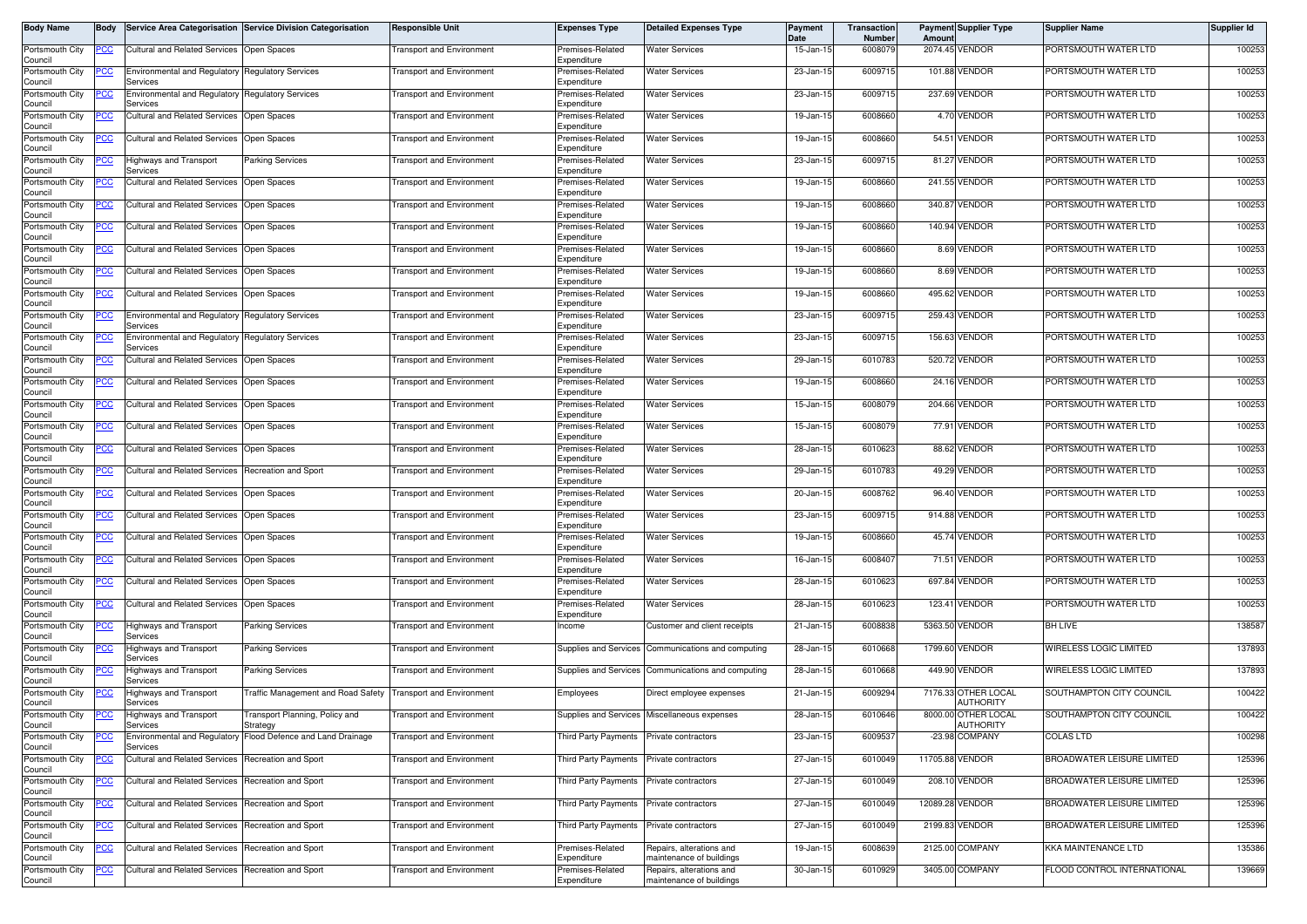| Body Name                  | <b>Body</b> |                                                                     | Service Area Categorisation Service Division Categorisation  | <b>Responsible Unit</b>          | <b>Expenses Type</b>                     | <b>Detailed Expenses Type</b>                        | Payment<br>Date         | Transaction<br>Number | Amount | <b>Payment Supplier Type</b>            | <b>Supplier Name</b>              | Supplier Id |
|----------------------------|-------------|---------------------------------------------------------------------|--------------------------------------------------------------|----------------------------------|------------------------------------------|------------------------------------------------------|-------------------------|-----------------------|--------|-----------------------------------------|-----------------------------------|-------------|
| Portsmouth City<br>Council | <u>PCC</u>  | <b>Cultural and Related Services</b>                                | Open Spaces                                                  | <b>Fransport and Environment</b> | Premises-Related<br>Expenditure          | <b>Water Services</b>                                | 15-Jan-15               | 6008079               |        | 2074.45 VENDOR                          | PORTSMOUTH WATER LTD              | 100253      |
| Portsmouth City<br>Council | <u>PCC</u>  | Environmental and Regulatory<br>Services                            | <b>Regulatory Services</b>                                   | <b>Fransport and Environment</b> | Premises-Related<br>Expenditure          | <b>Water Services</b>                                | 23-Jan-15               | 6009715               |        | 101.88 VENDOR                           | PORTSMOUTH WATER LTD              | 100253      |
| Portsmouth City            | <u>CC </u>  | <b>Environmental and Regulatory</b>                                 | <b>Regulatory Services</b>                                   | <b>Fransport and Environment</b> | Premises-Related<br>Expenditure          | <b>Water Services</b>                                | 23-Jan-15               | 6009715               |        | 237.69 VENDOR                           | PORTSMOUTH WATER LTD              | 100253      |
| Council<br>Portsmouth City | PСC         | Services<br>Cultural and Related Services                           | Open Spaces                                                  | <b>Transport and Environment</b> | Premises-Related                         | <b>Water Services</b>                                | 19-Jan-15               | 6008660               |        | 4.70 VENDOR                             | PORTSMOUTH WATER LTD              | 100253      |
| Council<br>Portsmouth City | <u>PCC</u>  | <b>Cultural and Related Services</b>                                | Open Spaces                                                  | <b>Fransport and Environment</b> | Expenditure<br>Premises-Related          | <b>Water Services</b>                                | 19-Jan-15               | 6008660               |        | 54.51 VENDOR                            | PORTSMOUTH WATER LTD              | 100253      |
| Council<br>Portsmouth City | PCC         | Highways and Transport                                              | <b>Parking Services</b>                                      | <b>Transport and Environment</b> | Expenditure<br>Premises-Related          | <b>Water Services</b>                                | 23-Jan-15               | 6009715               |        | 81.27 VENDOR                            | PORTSMOUTH WATER LTD              | 100253      |
| Council<br>Portsmouth City |             | Services<br><b>Cultural and Related Services</b>                    | Open Spaces                                                  | <b>Fransport and Environment</b> | Expenditure<br>Premises-Related          | <b>Water Services</b>                                | 19-Jan-15               | 6008660               |        | 241.55 VENDOR                           | PORTSMOUTH WATER LTD              | 100253      |
| Council<br>Portsmouth City | <u>PCC</u>  | <b>Cultural and Related Services</b>                                | Open Spaces                                                  | <b>Fransport and Environment</b> | Expenditure<br>Premises-Related          | <b>Water Services</b>                                | 19-Jan-15               | 6008660               |        | 340.87 VENDOR                           | PORTSMOUTH WATER LTD              | 100253      |
| Council<br>Portsmouth City | <u>PCC</u>  | <b>Cultural and Related Services</b>                                | Open Spaces                                                  | <b>Transport and Environment</b> | Expenditure<br>Premises-Related          | <b>Water Services</b>                                | 19-Jan-15               | 6008660               |        | 140.94 VENDOR                           | PORTSMOUTH WATER LTD              | 100253      |
| Council<br>Portsmouth City | PCC         | <b>Cultural and Related Services</b>                                | Open Spaces                                                  | <b>Transport and Environment</b> | Expenditure<br>Premises-Related          | <b>Water Services</b>                                | 19-Jan-15               | 6008660               |        | 8.69 VENDOR                             | PORTSMOUTH WATER LTD              | 100253      |
| Council<br>Portsmouth City |             | <b>Cultural and Related Services</b>                                | Open Spaces                                                  | <b>Fransport and Environment</b> | Expenditure<br>Premises-Related          | <b>Water Services</b>                                | 19-Jan-15               | 6008660               |        | 8.69 VENDOR                             | PORTSMOUTH WATER LTD              | 100253      |
| Council<br>Portsmouth City | <u>PCC</u>  | Cultural and Related Services Open Spaces                           |                                                              | <b>Transport and Environment</b> | Expenditure<br>Premises-Related          | <b>Water Services</b>                                | 19-Jan-15               | 6008660               |        | 495.62 VENDOR                           | PORTSMOUTH WATER LTD              | 100253      |
| Council<br>Portsmouth City | <u>PCC</u>  | <b>Environmental and Regulatory</b>                                 | <b>Regulatory Services</b>                                   | <b>Fransport and Environment</b> | Expenditure<br>remises-Related           | <b>Water Services</b>                                | 23-Jan-15               | 6009715               |        | 259.43 VENDOR                           | PORTSMOUTH WATER LTD              | 100253      |
| Council<br>Portsmouth City | PCC         | Services<br><b>Environmental and Requlatory Requlatory Services</b> |                                                              | Transport and Environment        | Expenditure<br>Premises-Related          | <b>Water Services</b>                                | 23-Jan-15               | 6009715               |        | 156.63 VENDOR                           | PORTSMOUTH WATER LTD              | 100253      |
| Council<br>Portsmouth City | ىن          | Services<br>Cultural and Related Services                           | Open Spaces                                                  | <b>Fransport and Environment</b> | Expenditure<br>Premises-Related          | <b>Water Services</b>                                | 29-Jan-15               | 6010783               |        | 520.72 VENDOR                           | PORTSMOUTH WATER LTD              | 100253      |
| Council<br>Portsmouth City | <u>PCC</u>  | <b>Cultural and Related Services</b>                                | Open Spaces                                                  | <b>Fransport and Environment</b> | Expenditure<br>Premises-Related          | <b>Water Services</b>                                | 19-Jan-15               | 6008660               |        | 24.16 VENDOR                            | PORTSMOUTH WATER LTD              | 100253      |
| Council                    |             |                                                                     |                                                              |                                  | Expenditure                              |                                                      | 15-Jan-15               | 6008079               |        | 204.66 VENDOR                           | PORTSMOUTH WATER LTD              | 100253      |
| Portsmouth City<br>Council | <u>PCC</u>  | Cultural and Related Services                                       | Open Spaces                                                  | <b>Fransport and Environment</b> | Premises-Related<br>Expenditure          | <b>Water Services</b>                                |                         |                       |        |                                         |                                   |             |
| Portsmouth City<br>Council | <u> РСС</u> | <b>Cultural and Related Services</b>                                | Open Spaces                                                  | <b>Fransport and Environment</b> | Premises-Related<br>Expenditure          | <b>Water Services</b>                                | 15-Jan-15               | 600807                |        | 77.91 VENDOR                            | PORTSMOUTH WATER LTD              | 100253      |
| Portsmouth City<br>Council | <u>PCC </u> | <b>Cultural and Related Services</b>                                | Open Spaces                                                  | <b>Transport and Environment</b> | Premises-Related<br>Expenditure          | <b>Water Services</b>                                | 28-Jan-15               | 6010623               |        | 88.62 VENDOR                            | PORTSMOUTH WATER LTD              | 100253      |
| Portsmouth City<br>Council |             | <b>Cultural and Related Services</b>                                | <b>Recreation and Sport</b>                                  | <b>Transport and Environment</b> | Premises-Related<br>Expenditure          | <b>Water Services</b>                                | 29-Jan-15               | 6010783               |        | 49.29 VENDOR                            | PORTSMOUTH WATER LTD              | 100253      |
| Portsmouth City<br>Council |             | <b>Cultural and Related Services</b>                                | Open Spaces                                                  | <b>Fransport and Environment</b> | Premises-Related<br>Expenditure          | <b>Water Services</b>                                | 20-Jan-15               | 600876                |        | 96.40 VENDOR                            | PORTSMOUTH WATER LTD              | 100253      |
| Portsmouth City<br>Council | <u>PCC</u>  | <b>Cultural and Related Services</b>                                | Open Spaces                                                  | <b>Transport and Environment</b> | Premises-Related<br>Expenditure          | <b>Water Services</b>                                | 23-Jan-15               | 6009715               |        | 914.88 VENDOR                           | PORTSMOUTH WATER LTD              | 100253      |
| Portsmouth City<br>Council | PСC         | Cultural and Related Services                                       | Open Spaces                                                  | <b>Fransport and Environment</b> | Premises-Related<br>Expenditure          | <b>Water Services</b>                                | 19-Jan-15               | 6008660               |        | 45.74 VENDOR                            | PORTSMOUTH WATER LTD              | 100253      |
| Portsmouth City<br>Council |             | <b>Cultural and Related Services</b>                                | Open Spaces                                                  | <b>Fransport and Environment</b> | Premises-Related<br>Expenditure          | <b>Water Services</b>                                | 16-Jan-15               | 600840                |        | 71.51 VENDOR                            | PORTSMOUTH WATER LTD              | 100253      |
| Portsmouth City<br>Council | <u>PCC</u>  | Cultural and Related Services                                       | Open Spaces                                                  | <b>Transport and Environment</b> | Premises-Related<br>Expenditure          | <b>Water Services</b>                                | 28-Jan-15               | 6010623               |        | 697.84 VENDOR                           | PORTSMOUTH WATER LTD              | 100253      |
| Portsmouth City<br>Council | <u>PCC</u>  | <b>Cultural and Related Services</b>                                | <b>Open Spaces</b>                                           | <b>Fransport and Environment</b> | Premises-Related<br>Expenditure          | <b>Water Services</b>                                | 28-Jan-15               | 6010623               |        | 123.41 VENDOR                           | PORTSMOUTH WATER LTD              | 100253      |
| Portsmouth City<br>Council | PCC         | <b>Highways and Transport</b><br>Services                           | <b>Parking Services</b>                                      | <b>Transport and Environment</b> | Income                                   | Customer and client receipts                         | 21-Jan-15               | 6008838               |        | 5363.50 VENDOR                          | <b>BH LIVE</b>                    | 138587      |
| Portsmouth City<br>Council |             | lighways and Transport<br>Services                                  | Parking Services                                             | <b>Fransport and Environment</b> | Supplies and Services                    | Communications and computing                         | 28-Jan-15               | 6010668               |        | 1799.60 VENDOR                          | WIRELESS LOGIC LIMITED            | 137893      |
| Portsmouth City<br>Council | <u>PCC</u>  | <b>Highways and Transport</b><br>Services                           | Parking Services                                             | Transport and Environment        | Supplies and Services                    | Communications and computing                         | 28-Jan-15               | 6010668               |        | 449.90 VENDOR                           | WIRELESS LOGIC LIMITED            | 137893      |
| Portsmouth City<br>Council | <u>PCC</u>  | lighways and Transport<br>Services                                  | Traffic Management and Road Safety Transport and Environment |                                  | Employees                                | Direct employee expenses                             | 21-Jan-15               | 6009294               |        | 7176.33 OTHER LOCAL<br><b>AUTHORITY</b> | SOUTHAMPTON CITY COUNCIL          | 100422      |
| Portsmouth City<br>Council | <u>PCC</u>  | <b>Highways and Transport</b><br>Services                           | Transport Planning, Policy and<br>Strategy                   | <b>Transport and Environment</b> |                                          | Supplies and Services Miscellaneous expenses         | 28-Jan-15               | 6010646               |        | 8000.00 OTHER LOCAL<br><b>AUTHORITY</b> | SOUTHAMPTON CITY COUNCIL          | 100422      |
| Portsmouth City<br>Council | <u>PCC</u>  | Services                                                            | Environmental and Regulatory Flood Defence and Land Drainage | <b>Fransport and Environment</b> | Third Party Payments Private contractors |                                                      | 23-Jan-15               | 600953                |        | -23.98 COMPANY                          | <b>COLAS LTD</b>                  | 100298      |
| Portsmouth City            | <u>PCC</u>  | Cultural and Related Services Recreation and Sport                  |                                                              | <b>Transport and Environment</b> | Third Party Payments Private contractors |                                                      | 27-Jan-15               | 6010049               |        | 11705.88 VENDOR                         | BROADWATER LEISURE LIMITED        | 125396      |
| Council<br>Portsmouth City | <u>PCC</u>  | <b>Cultural and Related Services</b>                                | <b>Recreation and Sport</b>                                  | <b>Fransport and Environment</b> | Third Party Payments                     | Private contractors                                  | 27-Jan-15               | 6010049               |        | 208.10 VENDOR                           | <b>BROADWATER LEISURE LIMITED</b> | 125396      |
| Council<br>Portsmouth City | <u>PCC</u>  | Cultural and Related Services                                       | Recreation and Sport                                         | <b>Transport and Environment</b> | Third Party Payments                     | Private contractors                                  | 27-Jan-15               | 6010049               |        | 12089.28 VENDOR                         | BROADWATER LEISURE LIMITED        | 125396      |
| Council<br>Portsmouth City | <u>PCC </u> | Cultural and Related Services Recreation and Sport                  |                                                              | <b>Fransport and Environment</b> | Third Party Payments Private contractors |                                                      | 27-Jan-15               | 6010049               |        | 2199.83 VENDOR                          | BROADWATER LEISURE LIMITED        | 125396      |
| Council<br>Portsmouth City | <u>PCC</u>  | Cultural and Related Services                                       | Recreation and Sport                                         | <b>Fransport and Environment</b> | Premises-Related                         | Repairs, alterations and                             | 19-Jan-15               | 6008639               |        | 2125.00 COMPANY                         | KKA MAINTENANCE LTD               | 135386      |
| Council<br>Portsmouth City | <u>PCC</u>  | <b>Cultural and Related Services</b>                                | Recreation and Sport                                         | <b>Transport and Environment</b> | Expenditure<br>Premises-Related          | maintenance of buildings<br>Repairs, alterations and | $\overline{30}$ -Jan-15 | 6010929               |        | 3405.00 COMPANY                         | FLOOD CONTROL INTERNATIONAL       | 139669      |
| Council                    |             |                                                                     |                                                              |                                  | Expenditure                              | maintenance of buildings                             |                         |                       |        |                                         |                                   |             |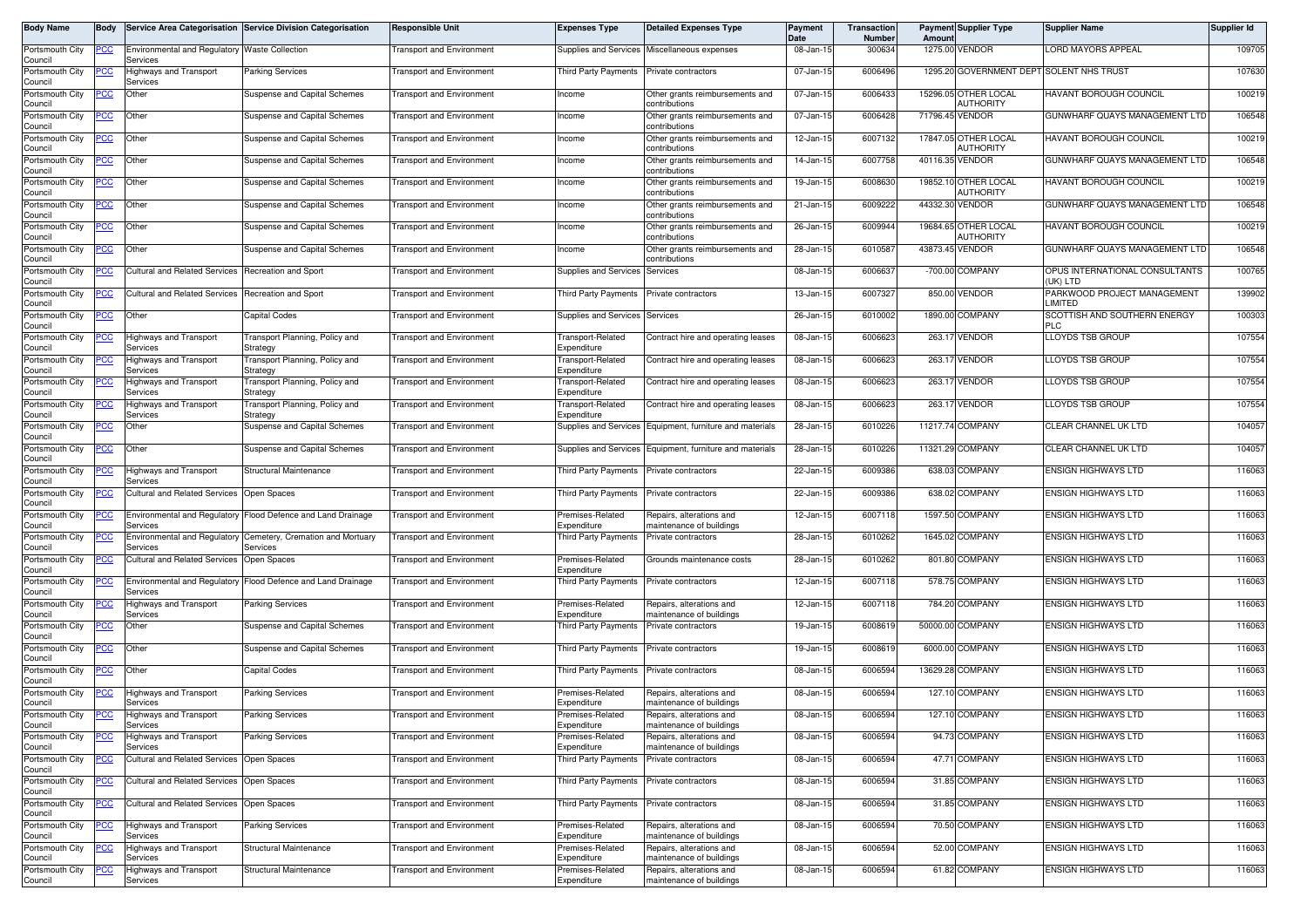| Body Name                  | Body       |                                                           | Service Area Categorisation Service Division Categorisation  | <b>Responsible Unit</b>          | <b>Expenses Type</b>                    | <b>Detailed Expenses Type</b>                        | <b>Payment</b><br><b>Date</b> | Transaction<br>Number | Amount          | <b>Payment Supplier Type</b>             | <b>Supplier Name</b>                       | Supplier Id |
|----------------------------|------------|-----------------------------------------------------------|--------------------------------------------------------------|----------------------------------|-----------------------------------------|------------------------------------------------------|-------------------------------|-----------------------|-----------------|------------------------------------------|--------------------------------------------|-------------|
| Portsmouth City<br>Council | PCC        | Environmental and Regulatory Waste Collection<br>Services |                                                              | <b>Fransport and Environment</b> |                                         | Supplies and Services Miscellaneous expenses         | 08-Jan-15                     | 300634                |                 | 1275.00 VENDOR                           | LORD MAYORS APPEAL                         | 109705      |
| Portsmouth City<br>Council |            | Highways and Transport<br>Services                        | Parking Services                                             | <b>Fransport and Environment</b> | Third Party Payments                    | Private contractors                                  | 07-Jan-15                     | 6006496               |                 |                                          | 1295.20 GOVERNMENT DEPT SOLENT NHS TRUST   | 107630      |
| Portsmouth City<br>Council | <u>cc</u>  | Other                                                     | <b>Suspense and Capital Schemes</b>                          | <b>Fransport and Environment</b> | Income                                  | Other grants reimbursements and<br>contributions     | 07-Jan-15                     | 6006433               |                 | 15296.05 OTHER LOCAL<br><b>AUTHORITY</b> | <b>HAVANT BOROUGH COUNCIL</b>              | 100219      |
| Portsmouth City<br>Council | эсс        | Other                                                     | Suspense and Capital Schemes                                 | <b>Transport and Environment</b> | Income                                  | Other grants reimbursements and<br>contributions     | 07-Jan-15                     | 6006428               | 71796.45 VENDOR |                                          | GUNWHARF QUAYS MANAGEMENT LTD              | 106548      |
| Portsmouth City<br>Council | <u>CC</u>  | Other                                                     | <b>Suspense and Capital Schemes</b>                          | <b>Fransport and Environment</b> | Income                                  | Other grants reimbursements and<br>contributions     | 12-Jan-15                     | 6007132               |                 | 17847.05 OTHER LOCAL<br><b>AUTHORITY</b> | <b>HAVANT BOROUGH COUNCIL</b>              | 100219      |
| Portsmouth City<br>Council | 'CC        | Other                                                     | <b>Suspense and Capital Schemes</b>                          | <b>Transport and Environment</b> | Income                                  | Other grants reimbursements and<br>contributions     | 14-Jan-15                     | 6007758               | 40116.35 VENDOR |                                          | GUNWHARF QUAYS MANAGEMENT LTD              | 106548      |
| Portsmouth City<br>Council | <u>cc</u>  | Other                                                     | <b>Suspense and Capital Schemes</b>                          | <b>Transport and Environment</b> | Income                                  | Other grants reimbursements and<br>contributions     | 19-Jan-15                     | 6008630               |                 | 19852.10 OTHER LOCAL<br>AUTHORITY        | <b>HAVANT BOROUGH COUNCIL</b>              | 100219      |
| Portsmouth City<br>Council | <u>CC</u>  | Other                                                     | <b>Suspense and Capital Schemes</b>                          | Fransport and Environment        | Income                                  | Other grants reimbursements and<br>contributions     | 21-Jan-15                     | 6009222               | 44332.30 VENDOR |                                          | GUNWHARF QUAYS MANAGEMENT LTD              | 106548      |
| Portsmouth City<br>Council | CС         | Other                                                     | Suspense and Capital Schemes                                 | <b>Transport and Environment</b> | Income                                  | Other grants reimbursements and<br>contributions     | 26-Jan-15                     | 6009944               |                 | 19684.65 OTHER LOCAL<br>AUTHORITY        | <b>HAVANT BOROUGH COUNCIL</b>              | 100219      |
| Portsmouth City<br>Council | PСC        | Other                                                     | <b>Suspense and Capital Schemes</b>                          | Fransport and Environment        | Income                                  | Other grants reimbursements and<br>contributions     | 28-Jan-15                     | 6010587               | 43873.45 VENDOR |                                          | GUNWHARF QUAYS MANAGEMENT LTD              | 106548      |
| Portsmouth City<br>Council |            | <b>Cultural and Related Services</b>                      | Recreation and Sport                                         | <b>Fransport and Environment</b> | Supplies and Services                   | Services                                             | 08-Jan-15                     | 6006637               |                 | -700.00 COMPANY                          | OPUS INTERNATIONAL CONSULTANTS<br>(UK) LTD | 100765      |
| Portsmouth City<br>Council | эсс        | Cultural and Related Services Recreation and Sport        |                                                              | Transport and Environment        | Third Party Payments                    | Private contractors                                  | 13-Jan-15                     | 6007327               |                 | 850.00 VENDOR                            | PARKWOOD PROJECT MANAGEMENT<br>LIMITED     | 139902      |
| Portsmouth City<br>Council | °СС        | Other                                                     | Capital Codes                                                | <b>Fransport and Environment</b> | Supplies and Services Services          |                                                      | 26-Jan-15                     | 6010002               |                 | 1890.00 COMPANY                          | SCOTTISH AND SOUTHERN ENERGY<br><b>PLC</b> | 100303      |
| Portsmouth City<br>Council | 'CC        | Highways and Transport<br>Services                        | Transport Planning, Policy and<br>Strategy                   | Transport and Environment        | Transport-Related<br>Expenditure        | Contract hire and operating leases                   | 08-Jan-15                     | 6006623               |                 | 263.17 VENDOR                            | <b>LLOYDS TSB GROUP</b>                    | 107554      |
| Portsmouth City<br>Council |            | Highways and Transport<br>Services                        | Transport Planning, Policy and<br>Strategy                   | <b>Fransport and Environment</b> | <b>Transport-Related</b><br>Expenditure | Contract hire and operating leases                   | 08-Jan-15                     | 6006623               |                 | 263.17 VENDOR                            | LLOYDS TSB GROUP                           | 107554      |
| Portsmouth City<br>Council | cс         | Highways and Transport<br>Services                        | Transport Planning, Policy and<br>Strategy                   | <b>Fransport and Environment</b> | Transport-Related<br>Expenditure        | Contract hire and operating leases                   | 08-Jan-15                     | 6006623               |                 | 263.17 VENDOR                            | <b>LLOYDS TSB GROUP</b>                    | 107554      |
| Portsmouth City<br>Council |            | Highways and Transport<br>Services                        | Transport Planning, Policy and<br>Strategy                   | Transport and Environment        | <b>Transport-Related</b><br>Expenditure | Contract hire and operating leases                   | 08-Jan-15                     | 6006623               |                 | 263.17 VENDOR                            | <b>LLOYDS TSB GROUP</b>                    | 107554      |
| Portsmouth City<br>Council | PCC        | Other                                                     | <b>Suspense and Capital Schemes</b>                          | <b>Fransport and Environment</b> | Supplies and Services                   | Equipment, furniture and materials                   | 28-Jan-15                     | 6010226               |                 | 11217.74 COMPANY                         | CLEAR CHANNEL UK LTD                       | 104057      |
| Portsmouth City<br>Council | <u>CC </u> | Other                                                     | Suspense and Capital Schemes                                 | Transport and Environment        | Supplies and Services                   | Equipment, furniture and materials                   | 28-Jan-15                     | 6010226               |                 | 11321.29 COMPANY                         | CLEAR CHANNEL UK LTD                       | 104057      |
| Portsmouth City<br>Council |            | Highways and Transport<br>Services                        | Structural Maintenance                                       | <b>Fransport and Environment</b> | Third Party Payments                    | Private contractors                                  | 22-Jan-15                     | 6009386               |                 | 638.03 COMPANY                           | <b>ENSIGN HIGHWAYS LTD</b>                 | 116063      |
| Portsmouth City<br>Council | cс         | <b>Cultural and Related Services</b>                      | Open Spaces                                                  | Fransport and Environment        | <b>Third Party Payments</b>             | Private contractors                                  | 22-Jan-15                     | 6009386               |                 | 638.02 COMPANY                           | <b>ENSIGN HIGHWAYS LTD</b>                 | 116063      |
| Portsmouth City<br>Council | сc         | Services                                                  | Environmental and Regulatory Flood Defence and Land Drainage | <b>Transport and Environment</b> | Premises-Related<br>Expenditure         | Repairs, alterations and<br>maintenance of buildings | 12-Jan-15                     | 6007118               |                 | 1597.50 COMPANY                          | <b>ENSIGN HIGHWAYS LTD</b>                 | 116063      |
| Portsmouth City<br>Council |            | Environmental and Regulatory<br>Services                  | Cemetery, Cremation and Mortuary<br>Services                 | <b>Transport and Environment</b> | <b>Third Party Payments</b>             | Private contractors                                  | 28-Jan-15                     | 6010262               |                 | 1645.02 COMPANY                          | <b>ENSIGN HIGHWAYS LTD</b>                 | 116063      |
| Portsmouth City<br>Council | cс         | <b>Cultural and Related Services</b>                      | Open Spaces                                                  | <b>Fransport and Environment</b> | Premises-Related<br>Expenditure         | Grounds maintenance costs                            | 28-Jan-15                     | 6010262               |                 | 801.80 COMPANY                           | <b>ENSIGN HIGHWAYS LTD</b>                 | 116063      |
| Portsmouth City<br>Council | cс         | Services                                                  | Environmental and Regulatory Flood Defence and Land Drainage | <b>Transport and Environment</b> | Third Party Payments                    | Private contractors                                  | 12-Jan-15                     | 6007118               |                 | 578.75 COMPANY                           | <b>ENSIGN HIGHWAYS LTD</b>                 | 116063      |
| Portsmouth City<br>Council |            | <b>Highways and Transport</b><br>Services                 | Parking Services                                             | <b>Fransport and Environment</b> | Premises-Related<br>Expenditure         | Repairs, alterations and<br>maintenance of buildings | 12-Jan-15                     | 6007118               |                 | 784.20 COMPANY                           | <b>ENSIGN HIGHWAYS LTD</b>                 | 116063      |
| Portsmouth City<br>Council | PСC        | Other                                                     | Suspense and Capital Schemes                                 | Transport and Environment        | <b>Third Party Payments</b>             | Private contractors                                  | 19-Jan-15                     | 6008619               |                 | 50000.00 COMPANY                         | <b>ENSIGN HIGHWAYS LTD</b>                 | 116063      |
| Portsmouth City<br>Council |            | Other                                                     | <b>Suspense and Capital Schemes</b>                          | <b>Fransport and Environment</b> | <b>Third Party Payments</b>             | Private contractors                                  | 19-Jan-15                     | 6008619               |                 | 6000.00 COMPANY                          | <b>ENSIGN HIGHWAYS LTD</b>                 | 116063      |
| Portsmouth City<br>Council | <u>CC </u> | Other                                                     | Capital Codes                                                | <b>Transport and Environment</b> | <b>Third Party Payments</b>             | Private contractors                                  | 08-Jan-15                     | 6006594               |                 | 13629.28 COMPANY                         | <b>ENSIGN HIGHWAYS LTD</b>                 | 116063      |
| Portsmouth City<br>Council |            | <b>Highways and Transport</b><br>Services                 | Parking Services                                             | <b>Fransport and Environment</b> | Premises-Related<br>Expenditure         | Repairs, alterations and<br>maintenance of buildings | 08-Jan-15                     | 6006594               |                 | 127.10 COMPANY                           | <b>ENSIGN HIGHWAYS LTD</b>                 | 116063      |
| Portsmouth City<br>Council | <u>PCC</u> | <b>Highways and Transport</b><br>Services                 | Parking Services                                             | <b>Transport and Environment</b> | Premises-Related<br>Expenditure         | Repairs, alterations and<br>maintenance of buildings | 08-Jan-15                     | 6006594               |                 | 127.10 COMPANY                           | <b>ENSIGN HIGHWAYS LTD</b>                 | 116063      |
| Portsmouth City<br>Council | PСC        | Highways and Transport<br>Services                        | Parking Services                                             | <b>Transport and Environment</b> | Premises-Related<br>Expenditure         | Repairs, alterations and<br>maintenance of buildings | 08-Jan-15                     | 6006594               |                 | 94.73 COMPANY                            | <b>ENSIGN HIGHWAYS LTD</b>                 | 116063      |
| Portsmouth City<br>Council | PCC        | Cultural and Related Services Open Spaces                 |                                                              | <b>Transport and Environment</b> | Third Party Payments                    | Private contractors                                  | 08-Jan-15                     | 6006594               |                 | 47.71 COMPANY                            | <b>ENSIGN HIGHWAYS LTD</b>                 | 116063      |
| Portsmouth City<br>Council |            | <b>Cultural and Related Services</b>                      | Open Spaces                                                  | <b>Fransport and Environment</b> | <b>Third Party Payments</b>             | Private contractors                                  | 08-Jan-15                     | 6006594               |                 | 31.85 COMPANY                            | <b>ENSIGN HIGHWAYS LTD</b>                 | 116063      |
| Portsmouth City<br>Council | PCC.       | <b>Cultural and Related Services</b>                      | Open Spaces                                                  | <b>Transport and Environment</b> | Third Party Payments                    | Private contractors                                  | 08-Jan-15                     | 6006594               |                 | 31.85 COMPANY                            | <b>ENSIGN HIGHWAYS LTD</b>                 | 116063      |
| Portsmouth City<br>Council |            | Highways and Transport<br>Services                        | Parking Services                                             | <b>Transport and Environment</b> | Premises-Related<br>Expenditure         | Repairs, alterations and<br>maintenance of buildings | 08-Jan-15                     | 6006594               |                 | 70.50 COMPANY                            | <b>ENSIGN HIGHWAYS LTD</b>                 | 116063      |
| Portsmouth City<br>Council |            | <b>Highways and Transport</b><br>Services                 | Structural Maintenance                                       | Transport and Environment        | Premises-Related<br>Expenditure         | Repairs, alterations and<br>maintenance of buildings | 08-Jan-15                     | 6006594               |                 | 52.00 COMPANY                            | <b>ENSIGN HIGHWAYS LTD</b>                 | 116063      |
| Portsmouth City<br>Council |            | <b>Highways and Transport</b><br>Services                 | Structural Maintenance                                       | <b>Transport and Environment</b> | Premises-Related<br>Expenditure         | Repairs, alterations and<br>maintenance of buildings | 08-Jan-15                     | 6006594               |                 | 61.82 COMPANY                            | <b>ENSIGN HIGHWAYS LTD</b>                 | 116063      |